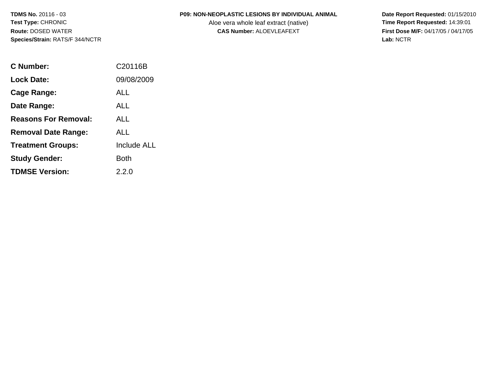### **P09: NON-NEOPLASTIC LESIONS BY INDIVIDUAL ANIMAL**

Aloe vera whole leaf extract (native)<br>**CAS Number:** ALOEVLEAFEXT

| C Number:                   | C20116B            |
|-----------------------------|--------------------|
| <b>Lock Date:</b>           | 09/08/2009         |
| Cage Range:                 | ALL                |
| Date Range:                 | ALL                |
| <b>Reasons For Removal:</b> | ALL                |
| <b>Removal Date Range:</b>  | ALL                |
| <b>Treatment Groups:</b>    | <b>Include ALL</b> |
| <b>Study Gender:</b>        | <b>Both</b>        |
| <b>TDMSE Version:</b>       | 2.2.0              |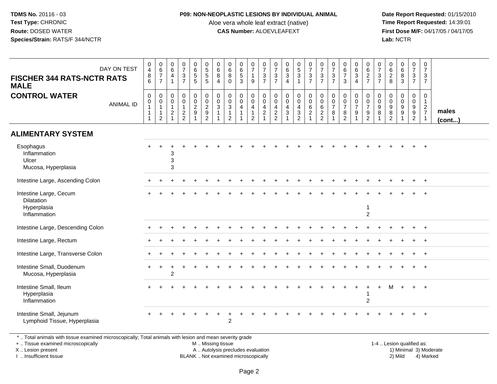#### **P09: NON-NEOPLASTIC LESIONS BY INDIVIDUAL ANIMAL**

Aloe vera whole leaf extract (native)<br>**CAS Number:** ALOEVLEAFEXT

 **Date Report Requested:** 01/15/2010 **First Dose M/F:** 04/17/05 / 04/17/05 Lab: NCTR **Lab:** NCTR

| <b>FISCHER 344 RATS-NCTR RATS</b><br><b>MALE</b>                                                                                               | DAY ON TEST      | 0<br>$\overline{\mathbf{4}}$<br>8<br>6                                     | $_{6}^{\rm 0}$<br>$\boldsymbol{7}$<br>$\overline{7}$  | 0<br>$6\overline{6}$<br>$\overline{4}$<br>$\overline{1}$             | $\frac{0}{7}$<br>$\frac{3}{7}$                  | $\pmb{0}$<br>$\,6\,$<br>$\sqrt{5}$<br>5         | 0<br>5<br>5<br>5                                      | 0<br>$\,6\,$<br>8<br>$\boldsymbol{\Lambda}$ | $\mathbf 0$<br>$\,6\,$<br>8<br>$\Omega$                                        | 0<br>$\overline{6}$<br>$\,$ 5 $\,$<br>3 | $\frac{0}{7}$<br>$\mathbf{1}$<br>9                                      | $\frac{0}{7}$<br>$\mathbf{3}$<br>$\overline{7}$                      | 0<br>$\boldsymbol{7}$<br>$\frac{3}{7}$            | $\begin{array}{c} 0 \\ 6 \end{array}$<br>$\ensuremath{\mathsf{3}}$<br>$\Delta$ | 0,5,3,1                                                          | $\frac{0}{7}$<br>$\frac{3}{7}$                                                         | $\frac{0}{7}$<br>$\sqrt{3}$<br>$\overline{7}$                   | $\frac{0}{7}$<br>$\ensuremath{\mathsf{3}}$<br>$\overline{7}$           | $0$ 6<br>7<br>3                                               | $\begin{array}{c} 0 \\ 6 \end{array}$<br>$\mathbf{3}$<br>$\overline{4}$        | $\begin{array}{c} 0 \\ 6 \end{array}$<br>$\frac{2}{7}$   | $\frac{0}{7}$<br>$\ensuremath{\mathsf{3}}$<br>$\overline{7}$ | $\begin{array}{c} 0 \\ 6 \end{array}$<br>$\frac{2}{8}$            | $\begin{array}{c} 0 \\ 6 \end{array}$<br>$\overline{8}$<br>3 | $\pmb{0}$<br>$\overline{7}$<br>$\mathbf{3}$<br>$\overline{7}$           | $\boldsymbol{0}$<br>$\overline{7}$<br>3<br>$\overline{7}$ |                 |
|------------------------------------------------------------------------------------------------------------------------------------------------|------------------|----------------------------------------------------------------------------|-------------------------------------------------------|----------------------------------------------------------------------|-------------------------------------------------|-------------------------------------------------|-------------------------------------------------------|---------------------------------------------|--------------------------------------------------------------------------------|-----------------------------------------|-------------------------------------------------------------------------|----------------------------------------------------------------------|---------------------------------------------------|--------------------------------------------------------------------------------|------------------------------------------------------------------|----------------------------------------------------------------------------------------|-----------------------------------------------------------------|------------------------------------------------------------------------|---------------------------------------------------------------|--------------------------------------------------------------------------------|----------------------------------------------------------|--------------------------------------------------------------|-------------------------------------------------------------------|--------------------------------------------------------------|-------------------------------------------------------------------------|-----------------------------------------------------------|-----------------|
| <b>CONTROL WATER</b>                                                                                                                           | <b>ANIMAL ID</b> | $\mathbf 0$<br>$\mathbf 0$<br>$\mathbf{1}$<br>$\mathbf{1}$<br>$\mathbf{1}$ | 0<br>$\pmb{0}$<br>$\mathbf{1}$<br>1<br>$\overline{c}$ | $\mathbf 0$<br>0<br>$\mathbf{1}$<br>$\overline{c}$<br>$\overline{1}$ | 0<br>$\pmb{0}$<br>$\mathbf{1}$<br>$\frac{2}{2}$ | 0<br>$\mathsf{O}\xspace$<br>$\overline{2}$<br>9 | $_{\rm 0}^{\rm 0}$<br>$\frac{2}{9}$<br>$\overline{2}$ | $\mathbf 0$<br>$\mathbf 0$<br>3             | $\mathbf 0$<br>$\mathbf 0$<br>$\mathbf{3}$<br>$\overline{1}$<br>$\overline{2}$ | 0<br>$\mathbf 0$<br>$\overline{4}$      | 0<br>$\overline{0}$<br>$\overline{4}$<br>$\mathbf{1}$<br>$\overline{2}$ | 0<br>$\mathbf 0$<br>$\overline{4}$<br>$\overline{2}$<br>$\mathbf{1}$ | 0<br>$\pmb{0}$<br>$\overline{4}$<br>$\frac{2}{2}$ | $\mathbf 0$<br>$\ddot{\mathbf{0}}$<br>$\overline{\mathbf{4}}$<br>$\mathsf 3$   | $\mathbf 0$<br>$\overline{0}$<br>$\overline{4}$<br>$\frac{3}{2}$ | $\mathbf 0$<br>$\overline{0}$<br>$6\phantom{1}6$<br>$\boldsymbol{2}$<br>$\overline{1}$ | 0<br>$\mathbf 0$<br>$\,6\,$<br>$\overline{c}$<br>$\overline{2}$ | $\mathbf 0$<br>$\boldsymbol{0}$<br>$\overline{7}$<br>8<br>$\mathbf{1}$ | 0<br>$\pmb{0}$<br>$\overline{7}$<br>$\bf 8$<br>$\overline{2}$ | 0<br>$\mathsf{O}\xspace$<br>$\overline{7}$<br>$\boldsymbol{9}$<br>$\mathbf{1}$ | 0<br>$\frac{0}{7}$<br>$\boldsymbol{9}$<br>$\overline{2}$ | $\mathbf 0$<br>$\mathbf 0$<br>$\boldsymbol{9}$<br>$\,8\,$    | 0<br>$\mathbf 0$<br>$\boldsymbol{9}$<br>$\,8\,$<br>$\overline{2}$ | 0<br>$\mathbf 0$<br>9<br>9<br>$\mathbf 1$                    | $\mathbf 0$<br>$\mathbf 0$<br>$9\,$<br>$\overline{9}$<br>$\overline{2}$ | 0<br>$\mathbf{1}$<br>$\overline{2}$<br>$\overline{7}$     | males<br>(cont) |
| <b>ALIMENTARY SYSTEM</b>                                                                                                                       |                  |                                                                            |                                                       |                                                                      |                                                 |                                                 |                                                       |                                             |                                                                                |                                         |                                                                         |                                                                      |                                                   |                                                                                |                                                                  |                                                                                        |                                                                 |                                                                        |                                                               |                                                                                |                                                          |                                                              |                                                                   |                                                              |                                                                         |                                                           |                 |
| Esophagus<br>Inflammation<br>Ulcer<br>Mucosa, Hyperplasia                                                                                      |                  |                                                                            |                                                       | 3<br>3<br>3                                                          |                                                 |                                                 |                                                       |                                             |                                                                                |                                         |                                                                         |                                                                      |                                                   |                                                                                |                                                                  |                                                                                        |                                                                 |                                                                        |                                                               |                                                                                |                                                          |                                                              |                                                                   |                                                              |                                                                         |                                                           |                 |
| Intestine Large, Ascending Colon                                                                                                               |                  |                                                                            |                                                       |                                                                      |                                                 |                                                 |                                                       |                                             |                                                                                |                                         |                                                                         |                                                                      |                                                   |                                                                                |                                                                  |                                                                                        |                                                                 |                                                                        |                                                               |                                                                                |                                                          |                                                              |                                                                   |                                                              |                                                                         | $+$                                                       |                 |
| Intestine Large, Cecum<br>Dilatation<br>Hyperplasia<br>Inflammation                                                                            |                  |                                                                            |                                                       |                                                                      |                                                 |                                                 |                                                       |                                             |                                                                                |                                         |                                                                         |                                                                      |                                                   |                                                                                |                                                                  |                                                                                        |                                                                 |                                                                        |                                                               |                                                                                | $\mathbf{1}$<br>$\overline{c}$                           |                                                              |                                                                   |                                                              |                                                                         |                                                           |                 |
| Intestine Large, Descending Colon                                                                                                              |                  |                                                                            |                                                       |                                                                      |                                                 |                                                 |                                                       |                                             |                                                                                |                                         |                                                                         |                                                                      |                                                   |                                                                                |                                                                  |                                                                                        |                                                                 |                                                                        |                                                               |                                                                                |                                                          |                                                              |                                                                   |                                                              |                                                                         |                                                           |                 |
| Intestine Large, Rectum                                                                                                                        |                  |                                                                            |                                                       |                                                                      |                                                 |                                                 |                                                       |                                             |                                                                                |                                         |                                                                         |                                                                      |                                                   |                                                                                |                                                                  |                                                                                        |                                                                 |                                                                        |                                                               |                                                                                |                                                          |                                                              |                                                                   |                                                              |                                                                         |                                                           |                 |
| Intestine Large, Transverse Colon                                                                                                              |                  |                                                                            |                                                       |                                                                      |                                                 |                                                 |                                                       |                                             |                                                                                |                                         |                                                                         |                                                                      |                                                   |                                                                                |                                                                  |                                                                                        |                                                                 |                                                                        |                                                               |                                                                                |                                                          |                                                              |                                                                   |                                                              |                                                                         | $+$                                                       |                 |
| Intestine Small, Duodenum<br>Mucosa, Hyperplasia                                                                                               |                  |                                                                            |                                                       | $\overline{2}$                                                       |                                                 |                                                 |                                                       |                                             |                                                                                |                                         |                                                                         |                                                                      |                                                   |                                                                                |                                                                  |                                                                                        |                                                                 |                                                                        |                                                               |                                                                                |                                                          |                                                              |                                                                   |                                                              |                                                                         |                                                           |                 |
| Intestine Small, Ileum<br>Hyperplasia<br>Inflammation                                                                                          |                  |                                                                            |                                                       |                                                                      |                                                 |                                                 |                                                       |                                             |                                                                                |                                         |                                                                         |                                                                      |                                                   |                                                                                |                                                                  |                                                                                        |                                                                 |                                                                        |                                                               |                                                                                | $\overline{c}$                                           |                                                              | M                                                                 |                                                              |                                                                         | $+$                                                       |                 |
| Intestine Small, Jejunum<br>Lymphoid Tissue, Hyperplasia                                                                                       |                  |                                                                            |                                                       |                                                                      |                                                 |                                                 |                                                       |                                             | $\overline{c}$                                                                 |                                         |                                                                         |                                                                      |                                                   |                                                                                |                                                                  |                                                                                        |                                                                 |                                                                        |                                                               |                                                                                |                                                          |                                                              |                                                                   |                                                              |                                                                         |                                                           |                 |
| *  Total animals with tissue examined microscopically; Total animals with lesion and mean severity grade<br>+  Tissue examined microscopically |                  |                                                                            |                                                       |                                                                      |                                                 |                                                 | M  Missing tissue                                     |                                             |                                                                                |                                         |                                                                         |                                                                      |                                                   |                                                                                |                                                                  |                                                                                        |                                                                 |                                                                        |                                                               |                                                                                |                                                          |                                                              | 1-4  Lesion qualified as:                                         |                                                              |                                                                         |                                                           |                 |

X .. Lesion present

I .. Insufficient tissue

 M .. Missing tissueA .. Autolysis precludes evaluation

BLANK .. Not examined microscopically 2) Mild 4) Marked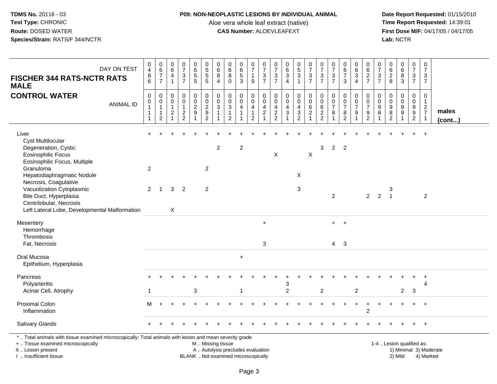### **P09: NON-NEOPLASTIC LESIONS BY INDIVIDUAL ANIMAL**

Aloe vera whole leaf extract (native)<br>**CAS Number:** ALOEVLEAFEXT

| DAY ON TEST<br><b>FISCHER 344 RATS-NCTR RATS</b><br><b>MALE</b>                                                                                                                                                                                                                                                               | $\begin{smallmatrix}0\0\4\end{smallmatrix}$<br>$\bf 8$<br>6  | $\begin{array}{c} 0 \\ 6 \end{array}$<br>$\overline{7}$<br>$\overline{7}$  | $\pmb{0}$<br>$6\overline{6}$<br>$\overline{\mathbf{4}}$<br>$\overline{1}$       | $\frac{0}{7}$<br>$\frac{3}{7}$              | 0<br>$\,6\,$<br>$\frac{5}{5}$                        | 0<br>5<br>5<br>5                                                  | 0<br>$\,6\,$<br>8<br>$\overline{4}$     | $\begin{array}{c} 0 \\ 6 \end{array}$<br>$\bf 8$<br>$\mathbf 0$                  | 0<br>$\,6\,$<br>$\sqrt{5}$<br>3                    | $\pmb{0}$<br>$\overline{7}$<br>$\mathbf{1}$<br>9                             | $\begin{array}{c} 0 \\ 7 \end{array}$<br>$\ensuremath{\mathsf{3}}$<br>$\overline{7}$ | $\frac{0}{7}$<br>$\frac{3}{7}$         | $\begin{matrix} 0 \\ 6 \\ 3 \end{matrix}$<br>$\overline{4}$ | $\begin{array}{c} 0 \\ 5 \end{array}$<br>$\ensuremath{\mathsf{3}}$<br>$\mathbf{1}$ | $\frac{0}{7}$<br>$\frac{3}{7}$                          | $\frac{0}{7}$<br>$\sqrt{3}$<br>$\overline{7}$    | $\frac{0}{7}$<br>$\frac{3}{7}$       | 0<br>6<br>7<br>3                                | $\pmb{0}$<br>$\,6$<br>$\frac{3}{4}$             | $\begin{array}{c} 0 \\ 6 \end{array}$<br>$\frac{2}{7}$                             | $\frac{0}{7}$<br>$\frac{3}{7}$                                             | 0<br>$\,6\,$<br>$\boldsymbol{2}$<br>8        | $\begin{array}{c} 0 \\ 6 \end{array}$<br>$\,8\,$<br>$\overline{3}$ | $\pmb{0}$<br>$\boldsymbol{7}$<br>$\frac{3}{7}$                  | 0<br>$\overline{7}$<br>3<br>$\overline{7}$         |                 |
|-------------------------------------------------------------------------------------------------------------------------------------------------------------------------------------------------------------------------------------------------------------------------------------------------------------------------------|--------------------------------------------------------------|----------------------------------------------------------------------------|---------------------------------------------------------------------------------|---------------------------------------------|------------------------------------------------------|-------------------------------------------------------------------|-----------------------------------------|----------------------------------------------------------------------------------|----------------------------------------------------|------------------------------------------------------------------------------|--------------------------------------------------------------------------------------|----------------------------------------|-------------------------------------------------------------|------------------------------------------------------------------------------------|---------------------------------------------------------|--------------------------------------------------|--------------------------------------|-------------------------------------------------|-------------------------------------------------|------------------------------------------------------------------------------------|----------------------------------------------------------------------------|----------------------------------------------|--------------------------------------------------------------------|-----------------------------------------------------------------|----------------------------------------------------|-----------------|
| <b>CONTROL WATER</b><br><b>ANIMAL ID</b>                                                                                                                                                                                                                                                                                      | $\mathbf 0$<br>$\mathsf 0$<br>$\mathbf{1}$<br>$\overline{1}$ | $\mathbf 0$<br>$\pmb{0}$<br>$\mathbf{1}$<br>$\mathbf{1}$<br>$\overline{2}$ | $\boldsymbol{0}$<br>$\mathbf 0$<br>$\mathbf{1}$<br>$\sqrt{2}$<br>$\overline{1}$ | $\mathbf 0$<br>$\mathbf 0$<br>$\frac{2}{2}$ | $\begin{array}{c} 0 \\ 0 \\ 2 \\ 9 \end{array}$<br>1 | $\begin{array}{c} 0 \\ 0 \\ 2 \\ 9 \end{array}$<br>$\overline{c}$ | $\mathbf 0$<br>$\mathsf{O}\xspace$<br>3 | $\pmb{0}$<br>$\ddot{\mathbf{0}}$<br>$\sqrt{3}$<br>$\mathbf{1}$<br>$\overline{2}$ | 0<br>$\mathbf 0$<br>$\overline{4}$<br>$\mathbf{1}$ | $\mathbf 0$<br>$\pmb{0}$<br>$\overline{a}$<br>$\mathbf{1}$<br>$\overline{2}$ | 0<br>$\mathbf 0$<br>4<br>$\overline{c}$                                              | 0<br>$\mathbf 0$<br>4<br>$\frac{2}{2}$ | $\pmb{0}$<br>$\pmb{0}$<br>$\overline{4}$<br>$\mathbf{3}$    | $\mathbf 0$<br>$\mathbf 0$<br>4<br>$\ensuremath{\mathsf{3}}$<br>$\overline{2}$     | $\pmb{0}$<br>$\overline{0}$<br>$\,6\,$<br>$\frac{2}{1}$ | $\mathbf 0$<br>$\mathbf 0$<br>6<br>$\frac{2}{2}$ | $\pmb{0}$<br>$\frac{0}{7}$<br>8<br>1 | 0<br>$\frac{0}{7}$<br>$\bf 8$<br>$\overline{2}$ | $\pmb{0}$<br>$\frac{0}{7}$<br>9<br>$\mathbf{1}$ | $\mathbf 0$<br>$\mathbf 0$<br>$\overline{7}$<br>$\boldsymbol{9}$<br>$\overline{2}$ | $\boldsymbol{0}$<br>$\boldsymbol{0}$<br>$\boldsymbol{9}$<br>$\overline{8}$ | 0<br>$\mathbf 0$<br>9<br>$\overline{8}$<br>2 | $\pmb{0}$<br>$\pmb{0}$<br>$^9_9$<br>$\mathbf{1}$                   | $\pmb{0}$<br>$\pmb{0}$<br>9<br>$\overline{9}$<br>$\overline{2}$ | 0<br>$\mathbf{1}$<br>$\frac{2}{7}$<br>$\mathbf{1}$ | males<br>(cont) |
| Liver<br><b>Cyst Multilocular</b><br>Degeneration, Cystic<br><b>Eosinophilic Focus</b><br>Eosinophilic Focus, Multiple<br>Granuloma<br>Hepatodiaphragmatic Nodule<br>Necrosis, Coagulative<br>Vacuolization Cytoplasmic<br>Bile Duct, Hyperplasia<br>Centrilobular, Necrosis<br>Left Lateral Lobe, Developmental Malformation | 2<br>2                                                       | $\overline{1}$                                                             | 3<br>$\sf X$                                                                    | $\overline{2}$                              |                                                      | $\overline{2}$<br>$\overline{2}$                                  | $\overline{c}$                          |                                                                                  | $\overline{c}$                                     |                                                                              |                                                                                      | X                                      |                                                             | X<br>3                                                                             | $\times$                                                | 3                                                | $\overline{2}$<br>$\overline{2}$     | $\overline{2}$                                  |                                                 | $2^{\circ}$                                                                        | $\overline{2}$                                                             | 3<br>$\overline{1}$                          |                                                                    |                                                                 | $\ddot{}$<br>$\overline{2}$                        |                 |
| Mesentery<br>Hemorrhage<br>Thrombosis<br>Fat, Necrosis                                                                                                                                                                                                                                                                        |                                                              |                                                                            |                                                                                 |                                             |                                                      |                                                                   |                                         |                                                                                  |                                                    |                                                                              | $\ddot{}$<br>3                                                                       |                                        |                                                             |                                                                                    |                                                         |                                                  | $+$<br>$4 \quad 3$                   | $+$                                             |                                                 |                                                                                    |                                                                            |                                              |                                                                    |                                                                 |                                                    |                 |
| Oral Mucosa<br>Epithelium, Hyperplasia                                                                                                                                                                                                                                                                                        |                                                              |                                                                            |                                                                                 |                                             |                                                      |                                                                   |                                         |                                                                                  | $\ddot{}$                                          |                                                                              |                                                                                      |                                        |                                                             |                                                                                    |                                                         |                                                  |                                      |                                                 |                                                 |                                                                                    |                                                                            |                                              |                                                                    |                                                                 |                                                    |                 |
| Pancreas<br>Polyarteritis<br>Acinar Cell, Atrophy                                                                                                                                                                                                                                                                             | -1                                                           |                                                                            |                                                                                 |                                             | 3                                                    |                                                                   |                                         |                                                                                  | 1                                                  |                                                                              |                                                                                      |                                        | 3<br>$\overline{c}$                                         |                                                                                    |                                                         | $\boldsymbol{2}$                                 |                                      |                                                 | $\overline{c}$                                  |                                                                                    |                                                                            |                                              | $\overline{c}$                                                     | 3                                                               | 4                                                  |                 |
| <b>Proximal Colon</b><br>Inflammation                                                                                                                                                                                                                                                                                         | М                                                            |                                                                            |                                                                                 |                                             |                                                      |                                                                   |                                         |                                                                                  |                                                    |                                                                              |                                                                                      |                                        |                                                             |                                                                                    |                                                         |                                                  |                                      |                                                 | $\ddot{}$                                       | $\ddot{}$<br>$\overline{2}$                                                        |                                                                            |                                              |                                                                    |                                                                 | $^{+}$                                             |                 |
| Salivary Glands                                                                                                                                                                                                                                                                                                               |                                                              |                                                                            |                                                                                 |                                             |                                                      |                                                                   |                                         |                                                                                  |                                                    |                                                                              |                                                                                      |                                        |                                                             |                                                                                    |                                                         |                                                  |                                      |                                                 |                                                 |                                                                                    |                                                                            |                                              |                                                                    |                                                                 | $\ddot{}$                                          |                 |
| *  Total animals with tissue examined microscopically; Total animals with lesion and mean severity grade<br>+  Tissue examined microscopically<br>X  Lesion present<br>I  Insufficient tissue                                                                                                                                 |                                                              |                                                                            |                                                                                 |                                             |                                                      | M  Missing tissue                                                 |                                         | A  Autolysis precludes evaluation<br>BLANK  Not examined microscopically         |                                                    |                                                                              |                                                                                      |                                        |                                                             |                                                                                    |                                                         |                                                  |                                      |                                                 |                                                 |                                                                                    |                                                                            | 1-4  Lesion qualified as:                    | 2) Mild                                                            |                                                                 | 1) Minimal 3) Moderate<br>4) Marked                |                 |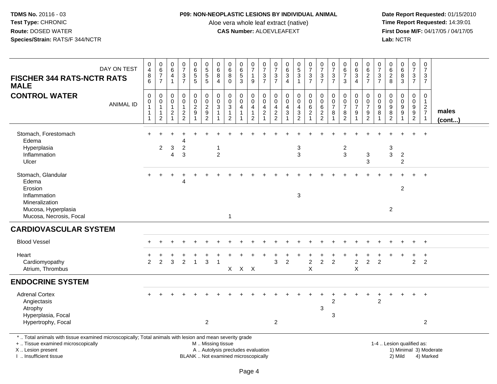### **P09: NON-NEOPLASTIC LESIONS BY INDIVIDUAL ANIMAL**

Aloe vera whole leaf extract (native)<br>**CAS Number:** ALOEVLEAFEXT

| DAY ON TEST<br><b>FISCHER 344 RATS-NCTR RATS</b><br><b>MALE</b>                                                            | 0<br>$\overline{4}$<br>$\begin{array}{c} 8 \\ 6 \end{array}$ | $\begin{array}{c} 0 \\ 6 \end{array}$<br>$\boldsymbol{7}$<br>$\overline{7}$ | 0<br>$6\phantom{1}$<br>4<br>$\overline{\mathbf{1}}$  | $\frac{0}{7}$<br>$\sqrt{3}$<br>$\overline{7}$                               | $\pmb{0}$<br>$\,6\,$<br>$\sqrt{5}$<br>$\overline{5}$ | 0<br>$\overline{5}$<br>$\,$ 5 $\,$<br>$\overline{5}$                                          | 0<br>6<br>8<br>$\overline{4}$               | 0<br>6<br>8<br>$\mathbf 0$                                                      | $\pmb{0}$<br>$6\phantom{a}$<br>$\sqrt{5}$<br>$\overline{3}$ | $\pmb{0}$<br>$\overline{7}$<br>$\mathbf{1}$<br>$\boldsymbol{9}$ | $\pmb{0}$<br>$\overline{7}$<br>$\frac{3}{7}$                                                      | $\pmb{0}$<br>$\overline{7}$<br>3<br>$\overline{7}$ | 0<br>6<br>3<br>$\overline{4}$               | $\begin{smallmatrix}0\0\5\end{smallmatrix}$<br>3<br>$\mathbf{1}$ | $\begin{smallmatrix}0\\7\end{smallmatrix}$<br>$\frac{3}{7}$                    | $\begin{array}{c} 0 \\ 7 \end{array}$<br>$\frac{3}{7}$ | $\frac{0}{7}$<br>$\frac{3}{7}$                    | 0<br>$\,6\,$<br>$\overline{7}$<br>$\mathbf{3}$                | 0<br>$\,6\,$<br>3<br>$\overline{4}$          | 0<br>$\,6$<br>$\frac{2}{7}$                                 | 0<br>$\overline{7}$<br>3<br>$\overline{7}$ | 0<br>$\,6$<br>$\frac{2}{8}$                 | $_{6}^{\rm 0}$<br>$^8_3$                               | $\begin{array}{c} 0 \\ 7 \end{array}$<br>$\frac{3}{7}$                | $\pmb{0}$<br>$\overline{7}$<br>3<br>$\overline{7}$ |                        |
|----------------------------------------------------------------------------------------------------------------------------|--------------------------------------------------------------|-----------------------------------------------------------------------------|------------------------------------------------------|-----------------------------------------------------------------------------|------------------------------------------------------|-----------------------------------------------------------------------------------------------|---------------------------------------------|---------------------------------------------------------------------------------|-------------------------------------------------------------|-----------------------------------------------------------------|---------------------------------------------------------------------------------------------------|----------------------------------------------------|---------------------------------------------|------------------------------------------------------------------|--------------------------------------------------------------------------------|--------------------------------------------------------|---------------------------------------------------|---------------------------------------------------------------|----------------------------------------------|-------------------------------------------------------------|--------------------------------------------|---------------------------------------------|--------------------------------------------------------|-----------------------------------------------------------------------|----------------------------------------------------|------------------------|
| <b>CONTROL WATER</b><br><b>ANIMAL ID</b>                                                                                   | 0<br>0<br>$\overline{1}$<br>1<br>-1                          | $\mathbf 0$<br>$\pmb{0}$<br>$\mathbf 1$<br>$\mathbf 1$<br>$\overline{c}$    | $\mathbf 0$<br>0<br>$\mathbf{1}$<br>$\boldsymbol{2}$ | $\mathsf{O}\xspace$<br>$\mathsf{O}\xspace$<br>$\mathbf{1}$<br>$\frac{2}{2}$ | 0<br>$\mathbf 0$<br>$\frac{2}{9}$<br>1               | 0<br>$\mathsf 0$<br>$\overline{2}$<br>$\boldsymbol{9}$<br>$\overline{2}$                      | $\pmb{0}$<br>$_{3}^{\rm 0}$<br>$\mathbf{1}$ | $\mathbf 0$<br>0<br>$\ensuremath{\mathsf{3}}$<br>$\mathbf{1}$<br>$\overline{2}$ | $\mathbf 0$<br>$\mathbf 0$<br>4                             | $\mathbf 0$<br>$\mathbf 0$<br>4<br>$\mathbf{1}$<br>2            | $\mathbf 0$<br>$\mathsf{O}\xspace$<br>$\overline{4}$<br>$\overline{\mathbf{c}}$<br>$\overline{1}$ | $\mathbf 0$<br>$\mathbf 0$<br>4<br>$\frac{2}{2}$   | $\pmb{0}$<br>$\mathbf 0$<br>4<br>$\sqrt{3}$ | 0<br>$\mathbf 0$<br>4<br>$\frac{3}{2}$                           | $\pmb{0}$<br>$\mathbf 0$<br>$\overline{6}$<br>$\overline{2}$<br>$\overline{1}$ | $\mathbf 0$<br>$\pmb{0}$<br>$\,6\,$<br>$\frac{2}{2}$   | $\mathbf 0$<br>$\mathbf 0$<br>$\overline{7}$<br>8 | $\mathbf 0$<br>$\mathbf 0$<br>$\overline{7}$<br>$\frac{8}{2}$ | 0<br>0<br>$\overline{7}$<br>$\boldsymbol{9}$ | $\pmb{0}$<br>$\mathbf 0$<br>$\overline{7}$<br>$\frac{9}{2}$ | $\mathbf 0$<br>0<br>9<br>8                 | 0<br>0<br>$\boldsymbol{9}$<br>$\frac{8}{2}$ | 0<br>$\pmb{0}$<br>$\boldsymbol{9}$<br>$\boldsymbol{9}$ | $\mathbf 0$<br>$\mathsf{O}\xspace$<br>$\overline{9}$<br>$\frac{9}{2}$ | 0<br>$\mathbf{1}$<br>$\frac{2}{7}$<br>$\mathbf{1}$ | males<br>$($ cont $)$  |
| Stomach, Forestomach<br>Edema<br>Hyperplasia<br>Inflammation<br>Ulcer                                                      | $+$                                                          | $\overline{c}$                                                              | 3<br>4                                               | $\overline{\mathbf{c}}$<br>3                                                |                                                      |                                                                                               | $\mathbf{1}$<br>$\overline{2}$              |                                                                                 |                                                             |                                                                 |                                                                                                   |                                                    |                                             | 3<br>$\mathbf{3}$                                                |                                                                                |                                                        |                                                   | $\overline{\mathbf{c}}$<br>$\mathbf{3}$                       |                                              | $\ensuremath{\mathsf{3}}$<br>3                              |                                            | 3<br>$\mathbf{3}$                           | $\overline{2}$<br>$\overline{2}$                       |                                                                       | $+$                                                |                        |
| Stomach, Glandular<br>Edema<br>Erosion<br>Inflammation<br>Mineralization<br>Mucosa, Hyperplasia<br>Mucosa, Necrosis, Focal |                                                              |                                                                             |                                                      | Δ                                                                           |                                                      |                                                                                               |                                             | $\mathbf{1}$                                                                    |                                                             |                                                                 |                                                                                                   |                                                    |                                             | 3                                                                |                                                                                |                                                        |                                                   |                                                               |                                              |                                                             |                                            | $\overline{c}$                              | $\overline{2}$                                         |                                                                       | $\ddot{+}$                                         |                        |
| <b>CARDIOVASCULAR SYSTEM</b>                                                                                               |                                                              |                                                                             |                                                      |                                                                             |                                                      |                                                                                               |                                             |                                                                                 |                                                             |                                                                 |                                                                                                   |                                                    |                                             |                                                                  |                                                                                |                                                        |                                                   |                                                               |                                              |                                                             |                                            |                                             |                                                        |                                                                       |                                                    |                        |
| <b>Blood Vessel</b>                                                                                                        |                                                              |                                                                             |                                                      |                                                                             |                                                      |                                                                                               |                                             |                                                                                 |                                                             |                                                                 |                                                                                                   |                                                    |                                             |                                                                  |                                                                                |                                                        |                                                   |                                                               |                                              |                                                             |                                            |                                             |                                                        |                                                                       | $+$                                                |                        |
| Heart<br>Cardiomyopathy<br>Atrium, Thrombus                                                                                | $\overline{2}$                                               | 2                                                                           | 3                                                    | 2                                                                           | $\overline{1}$                                       | 3                                                                                             | $\overline{1}$                              |                                                                                 | $X$ $X$ $X$                                                 |                                                                 |                                                                                                   | 3                                                  | $\overline{2}$                              |                                                                  | $\overline{2}$<br>X                                                            | $\overline{2}$                                         | $\overline{2}$                                    |                                                               | $\boldsymbol{2}$<br>X                        | $\overline{2}$                                              | $\overline{2}$                             |                                             |                                                        | $\overline{2}$                                                        | $\ddot{}$<br>$\overline{2}$                        |                        |
| <b>ENDOCRINE SYSTEM</b>                                                                                                    |                                                              |                                                                             |                                                      |                                                                             |                                                      |                                                                                               |                                             |                                                                                 |                                                             |                                                                 |                                                                                                   |                                                    |                                             |                                                                  |                                                                                |                                                        |                                                   |                                                               |                                              |                                                             |                                            |                                             |                                                        |                                                                       |                                                    |                        |
| <b>Adrenal Cortex</b><br>Angiectasis<br>Atrophy<br>Hyperplasia, Focal<br>Hypertrophy, Focal                                |                                                              |                                                                             |                                                      |                                                                             |                                                      | $\overline{2}$                                                                                |                                             |                                                                                 |                                                             |                                                                 |                                                                                                   | $\overline{2}$                                     |                                             |                                                                  |                                                                                | 3                                                      | $\overline{c}$<br>3                               |                                                               |                                              |                                                             | $\overline{c}$                             |                                             |                                                        | $\div$                                                                | $+$<br>$\overline{2}$                              |                        |
| *  Total animals with tissue examined microscopically; Total animals with lesion and mean severity grade                   |                                                              |                                                                             |                                                      |                                                                             |                                                      |                                                                                               |                                             |                                                                                 |                                                             |                                                                 |                                                                                                   |                                                    |                                             |                                                                  |                                                                                |                                                        |                                                   |                                                               |                                              |                                                             |                                            |                                             |                                                        |                                                                       |                                                    |                        |
| +  Tissue examined microscopically<br>X  Lesion present<br>I  Insufficient tissue                                          |                                                              |                                                                             |                                                      |                                                                             |                                                      | M  Missing tissue<br>A  Autolysis precludes evaluation<br>BLANK  Not examined microscopically |                                             |                                                                                 |                                                             |                                                                 |                                                                                                   |                                                    |                                             |                                                                  |                                                                                |                                                        |                                                   |                                                               |                                              |                                                             | 1-4  Lesion qualified as:                  |                                             | 2) Mild                                                |                                                                       | 4) Marked                                          | 1) Minimal 3) Moderate |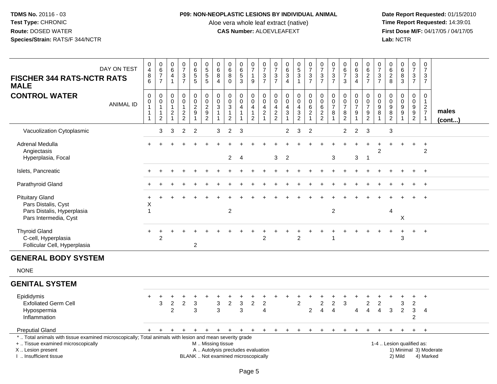### **P09: NON-NEOPLASTIC LESIONS BY INDIVIDUAL ANIMAL**

Aloe vera whole leaf extract (native)<br>**CAS Number:** ALOEVLEAFEXT

| DAY ON TEST<br><b>FISCHER 344 RATS-NCTR RATS</b><br><b>MALE</b>                                                                                                                               | $\begin{smallmatrix}0\0\4\end{smallmatrix}$<br>$^8_6$                  | $_{6}^{\rm 0}$<br>$\overline{7}$<br>$\overline{7}$       | $\,0\,$<br>6<br>$\overline{4}$<br>$\overline{1}$                   | $\begin{array}{c} 0 \\ 7 \end{array}$<br>$\frac{3}{7}$        | $\begin{array}{c} 0 \\ 6 \end{array}$<br>$\begin{array}{c} 5 \\ 5 \end{array}$         | $\pmb{0}$<br>$\overline{5}$<br>$\frac{5}{5}$                                       | 0<br>6<br>8<br>$\overline{4}$         | 0<br>$6\phantom{1}6$<br>8<br>$\Omega$                                    | 0<br>$\,6\,$<br>5<br>3             | 0<br>$\overline{7}$<br>$\mathbf{1}$<br>$\mathsf g$                         | $\frac{0}{7}$<br>3<br>$\overline{7}$           | $\pmb{0}$<br>$\overline{7}$<br>$\frac{3}{7}$   | $\begin{array}{c} 0 \\ 6 \end{array}$<br>$\ensuremath{\mathsf{3}}$<br>$\boldsymbol{\Lambda}$ | $\begin{array}{c} 0 \\ 5 \end{array}$<br>$\ensuremath{\mathsf{3}}$<br>$\overline{1}$                | $\frac{0}{7}$<br>$\frac{3}{7}$                                    | $\pmb{0}$<br>$\overline{7}$<br>3<br>$\overline{7}$                  | 0<br>$\overline{7}$<br>$\sqrt{3}$<br>$\overline{7}$        | $\begin{array}{c} 0 \\ 6 \end{array}$<br>$\overline{7}$<br>3 | 0<br>$\,6\,$<br>$\frac{3}{4}$                       | 0<br>6<br>$\frac{2}{7}$                         | 0<br>$\overline{7}$<br>$\frac{3}{7}$               | $\begin{array}{c} 0 \\ 6 \end{array}$<br>$\frac{2}{8}$ | $\begin{array}{c} 0 \\ 6 \end{array}$<br>8<br>$\overline{3}$                | $\pmb{0}$<br>$\overline{7}$<br>$\sqrt{3}$<br>$\overline{7}$           | $\pmb{0}$<br>$\overline{7}$<br>3<br>$\overline{7}$                                  |                                     |  |
|-----------------------------------------------------------------------------------------------------------------------------------------------------------------------------------------------|------------------------------------------------------------------------|----------------------------------------------------------|--------------------------------------------------------------------|---------------------------------------------------------------|----------------------------------------------------------------------------------------|------------------------------------------------------------------------------------|---------------------------------------|--------------------------------------------------------------------------|------------------------------------|----------------------------------------------------------------------------|------------------------------------------------|------------------------------------------------|----------------------------------------------------------------------------------------------|-----------------------------------------------------------------------------------------------------|-------------------------------------------------------------------|---------------------------------------------------------------------|------------------------------------------------------------|--------------------------------------------------------------|-----------------------------------------------------|-------------------------------------------------|----------------------------------------------------|--------------------------------------------------------|-----------------------------------------------------------------------------|-----------------------------------------------------------------------|-------------------------------------------------------------------------------------|-------------------------------------|--|
| <b>CONTROL WATER</b><br><b>ANIMAL ID</b>                                                                                                                                                      | $\pmb{0}$<br>$\pmb{0}$<br>$\mathbf{1}$<br>$\mathbf{1}$<br>$\mathbf{1}$ | 0<br>0<br>$\mathbf{1}$<br>$\mathbf{1}$<br>$\overline{c}$ | 0<br>$\mathbf 0$<br>$\mathbf{1}$<br>$\overline{c}$<br>$\mathbf{1}$ | $\pmb{0}$<br>$\mathbf 0$<br>1<br>$\sqrt{2}$<br>$\overline{2}$ | $\mathbf 0$<br>$\mathsf{O}\xspace$<br>$\sqrt{2}$<br>$\boldsymbol{9}$<br>$\overline{1}$ | $\mathbf 0$<br>$\mathbf 0$<br>$\overline{c}$<br>$\boldsymbol{9}$<br>$\overline{2}$ | 0<br>$\mathbf 0$<br>3<br>$\mathbf{1}$ | $\boldsymbol{0}$<br>$\mathbf 0$<br>3<br>$\mathbf{1}$<br>$\overline{2}$   | 0<br>$\mathbf 0$<br>$\overline{4}$ | $\pmb{0}$<br>$\pmb{0}$<br>$\overline{4}$<br>$\mathbf{1}$<br>$\overline{2}$ | $\mathbf 0$<br>$\Omega$<br>4<br>$\overline{a}$ | $\pmb{0}$<br>$\mathbf 0$<br>4<br>$\frac{2}{2}$ | $\pmb{0}$<br>$\mathbf 0$<br>4<br>$\sqrt{3}$                                                  | $\mathbf 0$<br>$\mathsf{O}\xspace$<br>$\overline{a}$<br>$\ensuremath{\mathsf{3}}$<br>$\overline{2}$ | $\pmb{0}$<br>$\mathbf 0$<br>6<br>$\overline{c}$<br>$\overline{1}$ | $\mathbf 0$<br>$\mathbf 0$<br>6<br>$\overline{c}$<br>$\overline{2}$ | $\pmb{0}$<br>$\boldsymbol{0}$<br>$\overline{7}$<br>8<br>-1 | 0<br>$\mathbf 0$<br>$\overline{7}$<br>8<br>$\overline{2}$    | $\pmb{0}$<br>$\frac{0}{7}$<br>$\boldsymbol{9}$<br>1 | 0<br>0<br>$\overline{7}$<br>9<br>$\overline{2}$ | 0<br>$\mathbf 0$<br>9<br>$\bf 8$<br>$\overline{1}$ | $\mathbf 0$<br>$\mathbf 0$<br>9<br>$\overline{8}$<br>2 | $\mathbf 0$<br>$\mathsf{O}\xspace$<br>9<br>$\overline{9}$<br>$\overline{1}$ | $\mathbf 0$<br>$\mathbf 0$<br>9<br>$\boldsymbol{9}$<br>$\overline{2}$ | $\mathbf 0$<br>$\overline{1}$<br>$\overline{2}$<br>$\overline{7}$<br>$\overline{1}$ | males<br>$($ cont $)$               |  |
| Vacuolization Cytoplasmic                                                                                                                                                                     |                                                                        | 3                                                        | 3                                                                  | $\overline{2}$                                                | $\overline{2}$                                                                         |                                                                                    | 3                                     | $\overline{2}$                                                           | -3                                 |                                                                            |                                                |                                                | $\overline{2}$                                                                               | 3                                                                                                   | $\overline{2}$                                                    |                                                                     |                                                            | $\overline{2}$                                               | $\overline{2}$                                      | 3                                               |                                                    | 3                                                      |                                                                             |                                                                       |                                                                                     |                                     |  |
| <b>Adrenal Medulla</b><br>Angiectasis<br>Hyperplasia, Focal                                                                                                                                   |                                                                        |                                                          |                                                                    |                                                               |                                                                                        |                                                                                    |                                       | $\overline{2}$                                                           | $\overline{4}$                     |                                                                            |                                                | $\mathbf{3}$                                   | $\overline{2}$                                                                               |                                                                                                     |                                                                   |                                                                     | 3                                                          |                                                              | 3                                                   | $\overline{1}$                                  | 2                                                  |                                                        |                                                                             | $\ddot{}$                                                             | $\ddot{}$<br>$\overline{c}$                                                         |                                     |  |
| Islets, Pancreatic                                                                                                                                                                            |                                                                        |                                                          |                                                                    |                                                               |                                                                                        |                                                                                    |                                       |                                                                          |                                    |                                                                            |                                                |                                                |                                                                                              |                                                                                                     |                                                                   |                                                                     |                                                            |                                                              |                                                     |                                                 |                                                    |                                                        |                                                                             |                                                                       | $\overline{+}$                                                                      |                                     |  |
| Parathyroid Gland                                                                                                                                                                             |                                                                        |                                                          |                                                                    |                                                               |                                                                                        |                                                                                    |                                       |                                                                          |                                    |                                                                            |                                                |                                                |                                                                                              |                                                                                                     |                                                                   |                                                                     |                                                            |                                                              |                                                     |                                                 |                                                    |                                                        |                                                                             |                                                                       | $+$                                                                                 |                                     |  |
| <b>Pituitary Gland</b><br>Pars Distalis, Cyst<br>Pars Distalis, Hyperplasia<br>Pars Intermedia, Cyst                                                                                          | Χ<br>1                                                                 |                                                          |                                                                    |                                                               |                                                                                        |                                                                                    |                                       | $\overline{\mathbf{c}}$                                                  |                                    |                                                                            |                                                |                                                |                                                                                              |                                                                                                     |                                                                   |                                                                     | $\overline{c}$                                             |                                                              |                                                     |                                                 |                                                    | 4                                                      | X                                                                           |                                                                       | $+$                                                                                 |                                     |  |
| <b>Thyroid Gland</b><br>C-cell, Hyperplasia<br>Follicular Cell, Hyperplasia                                                                                                                   |                                                                        | $\ddot{}$<br>$\overline{2}$                              |                                                                    |                                                               | 2                                                                                      |                                                                                    |                                       |                                                                          |                                    |                                                                            | $\overline{2}$                                 |                                                |                                                                                              | $\overline{2}$                                                                                      |                                                                   |                                                                     | 1                                                          |                                                              |                                                     |                                                 |                                                    | $\overline{1}$                                         | $\ddot{}$<br>3                                                              | $+$                                                                   | $+$                                                                                 |                                     |  |
| <b>GENERAL BODY SYSTEM</b>                                                                                                                                                                    |                                                                        |                                                          |                                                                    |                                                               |                                                                                        |                                                                                    |                                       |                                                                          |                                    |                                                                            |                                                |                                                |                                                                                              |                                                                                                     |                                                                   |                                                                     |                                                            |                                                              |                                                     |                                                 |                                                    |                                                        |                                                                             |                                                                       |                                                                                     |                                     |  |
| <b>NONE</b>                                                                                                                                                                                   |                                                                        |                                                          |                                                                    |                                                               |                                                                                        |                                                                                    |                                       |                                                                          |                                    |                                                                            |                                                |                                                |                                                                                              |                                                                                                     |                                                                   |                                                                     |                                                            |                                                              |                                                     |                                                 |                                                    |                                                        |                                                                             |                                                                       |                                                                                     |                                     |  |
| <b>GENITAL SYSTEM</b>                                                                                                                                                                         |                                                                        |                                                          |                                                                    |                                                               |                                                                                        |                                                                                    |                                       |                                                                          |                                    |                                                                            |                                                |                                                |                                                                                              |                                                                                                     |                                                                   |                                                                     |                                                            |                                                              |                                                     |                                                 |                                                    |                                                        |                                                                             |                                                                       |                                                                                     |                                     |  |
| Epididymis<br><b>Exfoliated Germ Cell</b><br>Hypospermia<br>Inflammation                                                                                                                      |                                                                        | 3                                                        | $\overline{c}$<br>$\overline{2}$                                   | $\overline{c}$                                                | $\ensuremath{\mathsf{3}}$<br>3                                                         |                                                                                    | 3<br>3                                | $\overline{c}$                                                           | $\mathbf{3}$<br>3                  | $\overline{c}$                                                             | $\overline{c}$<br>$\overline{4}$               |                                                |                                                                                              | $\overline{c}$                                                                                      | $\overline{c}$                                                    | $\overline{c}$<br>$\overline{4}$                                    | $\overline{c}$<br>$\overline{\mathbf{A}}$                  | 3                                                            | 4                                                   | $\overline{c}$<br>$\overline{4}$                | $\overline{c}$<br>$\overline{4}$                   | $\mathbf{3}$                                           | 3<br>$\overline{2}$                                                         | $\boldsymbol{2}$<br>3<br>2                                            | $\overline{+}$<br>$\overline{4}$                                                    |                                     |  |
| <b>Preputial Gland</b>                                                                                                                                                                        | $+$                                                                    | $+$                                                      | $+$                                                                | $\ddot{}$                                                     | $+$                                                                                    | $+$                                                                                |                                       | $+$ $+$ $+$                                                              |                                    | $+$                                                                        | $+$                                            | $+$                                            | $+$                                                                                          | $+$                                                                                                 | $+$                                                               | $\ddot{}$                                                           | $\pm$                                                      | $\ddot{}$                                                    | $+$                                                 | $\ddot{}$                                       | $\pm$                                              | $\overline{+}$                                         | $+$                                                                         | $+$                                                                   | $^{+}$                                                                              |                                     |  |
| *  Total animals with tissue examined microscopically; Total animals with lesion and mean severity grade<br>+  Tissue examined microscopically<br>X  Lesion present<br>I. Insufficient tissue |                                                                        |                                                          |                                                                    |                                                               |                                                                                        |                                                                                    | M  Missing tissue                     | A  Autolysis precludes evaluation<br>BLANK  Not examined microscopically |                                    |                                                                            |                                                |                                                |                                                                                              |                                                                                                     |                                                                   |                                                                     |                                                            |                                                              |                                                     |                                                 |                                                    | 1-4  Lesion qualified as:                              | 2) Mild                                                                     |                                                                       |                                                                                     | 1) Minimal 3) Moderate<br>4) Marked |  |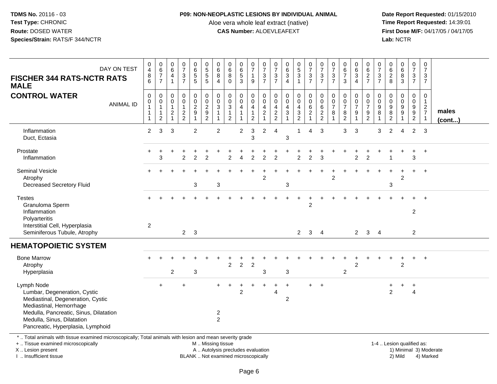### **P09: NON-NEOPLASTIC LESIONS BY INDIVIDUAL ANIMAL**

Aloe vera whole leaf extract (native)<br>**CAS Number:** ALOEVLEAFEXT

 **Date Report Requested:** 01/15/2010 **First Dose M/F:** 04/17/05 / 04/17/05<br>Lab: NCTR **Lab:** NCTR

| DAY ON TEST<br><b>FISCHER 344 RATS-NCTR RATS</b><br><b>MALE</b>                                                                                                                                                         | $\pmb{0}$<br>$\overline{4}$<br>$^8_6$                                                   | $\pmb{0}$<br>$6\phantom{a}$<br>$\overline{7}$<br>$\overline{7}$  | $\pmb{0}$<br>$\overline{6}$<br>$\overline{a}$<br>$\overline{1}$        | $\frac{0}{7}$<br>$\frac{3}{7}$                  | 0<br>6<br>5<br>5                                                            | 0<br>5<br>5<br>5                                       | 0<br>$\overline{6}$<br>8<br>$\overline{4}$ | 0<br>$6\phantom{a}$<br>8<br>$\mathbf 0$                | $\begin{matrix} 0 \\ 6 \\ 5 \end{matrix}$<br>$\mathbf{3}$ | $\frac{0}{7}$<br>$\begin{array}{c} 1 \\ 9 \end{array}$                    | 0<br>$\overline{7}$<br>$\frac{3}{7}$                             | $\frac{0}{7}$<br>$\mathbf{3}$<br>$\overline{7}$               | $_{6}^{\rm 0}$<br>$\ensuremath{\mathsf{3}}$<br>$\overline{4}$                | $\begin{matrix}0\\5\\3\end{matrix}$<br>$\mathbf{1}$ | $\frac{0}{7}$<br>$\frac{3}{7}$                                                     | $\frac{0}{7}$<br>$\frac{3}{7}$                           | $\frac{0}{7}$<br>$\frac{3}{7}$        | 0<br>$6\phantom{a}$<br>$\overline{7}$<br>$\mathbf{3}$       | 0<br>$6\phantom{a}$<br>$\mathbf{3}$<br>$\overline{4}$ | 0<br>$6\phantom{a}$<br>$\frac{2}{7}$                | $\frac{0}{7}$<br>3<br>$\overline{7}$ | 0<br>$6\phantom{a}$<br>$_{\rm 8}^2$ | $_{6}^{\rm 0}$<br>$\frac{8}{3}$                          | $\begin{smallmatrix}0\\7\end{smallmatrix}$<br>$\frac{3}{7}$                               | $\mathbf 0$<br>$\overline{7}$<br>3<br>$\overline{7}$                              |                        |
|-------------------------------------------------------------------------------------------------------------------------------------------------------------------------------------------------------------------------|-----------------------------------------------------------------------------------------|------------------------------------------------------------------|------------------------------------------------------------------------|-------------------------------------------------|-----------------------------------------------------------------------------|--------------------------------------------------------|--------------------------------------------|--------------------------------------------------------|-----------------------------------------------------------|---------------------------------------------------------------------------|------------------------------------------------------------------|---------------------------------------------------------------|------------------------------------------------------------------------------|-----------------------------------------------------|------------------------------------------------------------------------------------|----------------------------------------------------------|---------------------------------------|-------------------------------------------------------------|-------------------------------------------------------|-----------------------------------------------------|--------------------------------------|-------------------------------------|----------------------------------------------------------|-------------------------------------------------------------------------------------------|-----------------------------------------------------------------------------------|------------------------|
| <b>CONTROL WATER</b><br><b>ANIMAL ID</b>                                                                                                                                                                                | $\pmb{0}$<br>$\begin{smallmatrix}0\\1\end{smallmatrix}$<br>$\mathbf{1}$<br>$\mathbf{1}$ | 0<br>$\pmb{0}$<br>$\mathbf{1}$<br>$\mathbf{1}$<br>$\overline{2}$ | $\mathbf 0$<br>0<br>$\overline{1}$<br>$\overline{c}$<br>$\overline{1}$ | $\pmb{0}$<br>0<br>$\mathbf{1}$<br>$\frac{2}{2}$ | $\pmb{0}$<br>$\mathsf{O}\xspace$<br>$\overline{c}$<br>$\boldsymbol{9}$<br>1 | $_{\rm 0}^{\rm 0}$<br>$\overline{2}$<br>$\frac{9}{2}$  | $\pmb{0}$<br>0<br>3<br>1                   | 0<br>0<br>$\sqrt{3}$<br>$\mathbf{1}$<br>$\overline{2}$ | $\mathbf 0$<br>$\mathbf 0$<br>$\overline{4}$              | 0<br>$\boldsymbol{0}$<br>$\overline{4}$<br>$\mathbf{1}$<br>$\overline{c}$ | 0<br>$\mathbf 0$<br>$\overline{4}$<br>$\sqrt{2}$<br>$\mathbf{1}$ | $\mathbf 0$<br>$\mathbf 0$<br>$\overline{4}$<br>$\frac{2}{2}$ | $\mathbf 0$<br>$\mathbf 0$<br>4<br>$\ensuremath{\mathsf{3}}$<br>$\mathbf{1}$ | 0<br>$\mathbf 0$<br>$\overline{4}$<br>$\frac{3}{2}$ | $\pmb{0}$<br>$\mathsf{O}\xspace$<br>$6\phantom{a}$<br>$\sqrt{2}$<br>$\overline{1}$ | $\mathbf 0$<br>$\mathsf{O}\xspace$<br>6<br>$\frac{2}{2}$ | $\pmb{0}$<br>0<br>$\overline{7}$<br>8 | $\mathbf 0$<br>$\pmb{0}$<br>$\overline{7}$<br>$\frac{8}{2}$ | 0<br>$\mathbf 0$<br>$\overline{7}$<br>9               | 0<br>$\mathbf 0$<br>$\overline{7}$<br>$\frac{9}{2}$ | $\Omega$<br>0<br>9<br>8              | 0<br>0<br>$9\,$<br>$\frac{8}{2}$    | 0<br>$\mathbf 0$<br>$\boldsymbol{9}$<br>$\boldsymbol{9}$ | $\mathbf 0$<br>$\overline{0}$<br>$\boldsymbol{9}$<br>$\boldsymbol{9}$<br>$\boldsymbol{2}$ | $\mathbf 0$<br>$\overline{1}$<br>$\overline{2}$<br>$\overline{7}$<br>$\mathbf{1}$ | males<br>(cont)        |
| Inflammation<br>Duct, Ectasia                                                                                                                                                                                           | $\overline{2}$                                                                          | 3                                                                | 3                                                                      |                                                 | $\overline{2}$                                                              |                                                        | $\overline{2}$                             |                                                        | $\overline{c}$                                            | 3<br>3                                                                    | $\overline{c}$                                                   | $\overline{4}$                                                | 3                                                                            | 1                                                   | 4                                                                                  | 3                                                        |                                       | 3                                                           | 3                                                     |                                                     | 3                                    | 2                                   | 4                                                        | 2                                                                                         | -3                                                                                |                        |
| Prostate<br>Inflammation                                                                                                                                                                                                |                                                                                         | 3                                                                |                                                                        | $\overline{2}$                                  | $\overline{2}$                                                              | 2                                                      |                                            | 2                                                      |                                                           | $\overline{2}$                                                            | $\overline{2}$                                                   | $\overline{2}$                                                |                                                                              | $\overline{2}$                                      | $\overline{c}$                                                                     | 3                                                        |                                       |                                                             | $\overline{2}$                                        | 2                                                   |                                      |                                     |                                                          | +<br>3                                                                                    | $+$                                                                               |                        |
| Seminal Vesicle<br>Atrophy<br>Decreased Secretory Fluid                                                                                                                                                                 |                                                                                         |                                                                  |                                                                        |                                                 | 3                                                                           |                                                        | 3                                          |                                                        |                                                           |                                                                           | $\overline{2}$                                                   |                                                               | 3                                                                            |                                                     |                                                                                    |                                                          | $\overline{2}$                        |                                                             |                                                       |                                                     |                                      | 3                                   | 2                                                        | $\ddot{}$                                                                                 | $+$                                                                               |                        |
| <b>Testes</b><br>Granuloma Sperm<br>Inflammation<br>Polyarteritis<br>Interstitial Cell, Hyperplasia<br>Seminiferous Tubule, Atrophy                                                                                     | $\mathbf{2}$                                                                            |                                                                  |                                                                        |                                                 | $2 \quad 3$                                                                 |                                                        |                                            |                                                        |                                                           |                                                                           |                                                                  |                                                               |                                                                              |                                                     | $\overline{c}$                                                                     | $\overline{4}$                                           |                                       |                                                             | $\mathbf{2}$                                          |                                                     | $\overline{4}$                       |                                     |                                                          | $\overline{c}$                                                                            |                                                                                   |                        |
| <b>HEMATOPOIETIC SYSTEM</b>                                                                                                                                                                                             |                                                                                         |                                                                  |                                                                        |                                                 |                                                                             |                                                        |                                            |                                                        |                                                           |                                                                           |                                                                  |                                                               |                                                                              | $\overline{2}$                                      | 3                                                                                  |                                                          |                                       |                                                             |                                                       | $\mathbf{3}$                                        |                                      |                                     |                                                          | $\overline{2}$                                                                            |                                                                                   |                        |
| <b>Bone Marrow</b><br>Atrophy<br>Hyperplasia                                                                                                                                                                            |                                                                                         |                                                                  | $\overline{2}$                                                         |                                                 | 3                                                                           |                                                        |                                            | $\overline{2}$                                         | $\overline{2}$                                            | $\overline{2}$                                                            | 3                                                                |                                                               | 3                                                                            |                                                     |                                                                                    |                                                          |                                       | $\overline{c}$                                              | $\overline{2}$                                        |                                                     |                                      |                                     | $\overline{2}$                                           | $+$                                                                                       | $+$                                                                               |                        |
| Lymph Node<br>Lumbar, Degeneration, Cystic<br>Mediastinal, Degeneration, Cystic<br>Mediastinal, Hemorrhage<br>Medulla, Pancreatic, Sinus, Dilatation<br>Medulla, Sinus, Dilatation<br>Pancreatic, Hyperplasia, Lymphoid |                                                                                         |                                                                  |                                                                        |                                                 |                                                                             |                                                        | $\overline{c}$<br>$\overline{2}$           |                                                        | $\overline{c}$                                            |                                                                           |                                                                  | 4                                                             | $\overline{c}$                                                               |                                                     | +                                                                                  | $+$                                                      |                                       |                                                             |                                                       |                                                     |                                      | $\overline{2}$                      |                                                          | $\ddot{}$<br>4                                                                            |                                                                                   |                        |
| *  Total animals with tissue examined microscopically; Total animals with lesion and mean severity grade<br>+  Tissue examined microscopically<br>X  Lesion present                                                     |                                                                                         |                                                                  |                                                                        |                                                 |                                                                             | M  Missing tissue<br>A  Autolysis precludes evaluation |                                            |                                                        |                                                           |                                                                           |                                                                  |                                                               |                                                                              |                                                     |                                                                                    |                                                          |                                       |                                                             |                                                       |                                                     |                                      |                                     | 1-4  Lesion qualified as:                                |                                                                                           |                                                                                   | 1) Minimal 3) Moderate |

I .. Insufficient tissue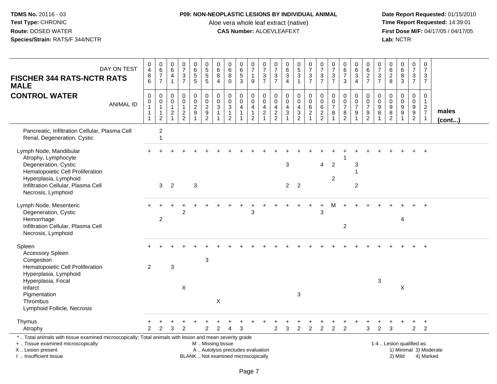### **P09: NON-NEOPLASTIC LESIONS BY INDIVIDUAL ANIMAL**

Aloe vera whole leaf extract (native)<br>**CAS Number:** ALOEVLEAFEXT

| DAY ON TEST<br><b>FISCHER 344 RATS-NCTR RATS</b><br><b>MALE</b>                                                                                                                                          | $\begin{array}{c} 0 \\ 4 \\ 8 \\ 6 \end{array}$                          | $_6^0$<br>$\overline{7}$<br>$\overline{7}$               | $\pmb{0}$<br>6<br>$\overline{4}$<br>$\mathbf{1}$                               | $\begin{smallmatrix}0\\7\end{smallmatrix}$<br>$\frac{3}{7}$ | $\begin{array}{c} 0 \\ 6 \end{array}$<br>$\overline{5}$        | $\begin{array}{c} 0 \\ 5 \\ 5 \end{array}$<br>$\sqrt{5}$ | 0<br>6<br>8<br>$\overline{4}$                | $\begin{array}{c} 0 \\ 6 \end{array}$<br>$\overline{8}$<br>$\mathbf 0$                         | $\begin{array}{c} 0 \\ 6 \\ 5 \end{array}$<br>3    | $\frac{0}{7}$<br>$\mathbf{1}$<br>$9\,$                             | $\frac{0}{7}$<br>$\frac{3}{7}$                           | 0<br>$\overline{7}$<br>$\ensuremath{\mathsf{3}}$<br>$\overline{7}$ | $\pmb{0}$<br>$\,6\,$<br>$\overline{3}$<br>$\overline{4}$                     | $\begin{array}{c} 0 \\ 5 \end{array}$<br>$\overline{3}$<br>$\mathbf{1}$ | $\begin{array}{c} 0 \\ 7 \end{array}$<br>$\frac{3}{7}$          | $\frac{0}{7}$<br>$\frac{3}{7}$                 | $\pmb{0}$<br>$\overline{7}$<br>$\ensuremath{\mathsf{3}}$<br>$\overline{7}$ | $\begin{array}{c} 0 \\ 6 \end{array}$<br>$\overline{7}$<br>3 | $\begin{array}{c} 0 \\ 6 \end{array}$<br>$\mathbf{3}$<br>$\overline{4}$ | $\mathbf 0$<br>$\,6\,$<br>$\frac{2}{7}$                     | 0<br>$\frac{5}{7}$<br>$\ensuremath{\mathsf{3}}$<br>$\overline{7}$ | 0<br>$\,6\,$<br>$\overline{2}$<br>8                                                  | 0683                                  | $\begin{smallmatrix}0\\7\end{smallmatrix}$<br>$\frac{3}{7}$           | $\mathbf 0$<br>$\overline{7}$<br>3<br>$\overline{7}$           |                        |
|----------------------------------------------------------------------------------------------------------------------------------------------------------------------------------------------------------|--------------------------------------------------------------------------|----------------------------------------------------------|--------------------------------------------------------------------------------|-------------------------------------------------------------|----------------------------------------------------------------|----------------------------------------------------------|----------------------------------------------|------------------------------------------------------------------------------------------------|----------------------------------------------------|--------------------------------------------------------------------|----------------------------------------------------------|--------------------------------------------------------------------|------------------------------------------------------------------------------|-------------------------------------------------------------------------|-----------------------------------------------------------------|------------------------------------------------|----------------------------------------------------------------------------|--------------------------------------------------------------|-------------------------------------------------------------------------|-------------------------------------------------------------|-------------------------------------------------------------------|--------------------------------------------------------------------------------------|---------------------------------------|-----------------------------------------------------------------------|----------------------------------------------------------------|------------------------|
| <b>CONTROL WATER</b><br><b>ANIMAL ID</b>                                                                                                                                                                 | $\pmb{0}$<br>$\pmb{0}$<br>$\overline{1}$<br>$\mathbf{1}$<br>$\mathbf{1}$ | 0<br>0<br>$\mathbf{1}$<br>$\mathbf{1}$<br>$\overline{c}$ | $\mathbf 0$<br>$\mathbf 0$<br>$\mathbf{1}$<br>$\overline{c}$<br>$\overline{1}$ | $\pmb{0}$<br>$\mathbf 0$<br>$\mathbf{1}$<br>$\frac{2}{2}$   | $\pmb{0}$<br>$\mathsf 0$<br>$\overline{2}$<br>$\boldsymbol{9}$ | $\mathbf 0$<br>$\frac{0}{2}$<br>$\frac{9}{2}$            | $\mathbf 0$<br>$\mathsf{O}\xspace$<br>3<br>1 | $\mathsf{O}\xspace$<br>$\mathsf{O}\xspace$<br>$\overline{3}$<br>$\mathbf{1}$<br>$\overline{2}$ | 0<br>$\mathbf 0$<br>$\overline{4}$<br>$\mathbf{1}$ | 0<br>$\pmb{0}$<br>$\overline{4}$<br>$\mathbf{1}$<br>$\overline{2}$ | $\mathbf 0$<br>$\pmb{0}$<br>$\overline{a}$<br>$\sqrt{2}$ | 0<br>$\mathbf 0$<br>$\overline{4}$<br>$\frac{2}{2}$                | $\mathbf 0$<br>$\mathbf 0$<br>$\overline{4}$<br>$\sqrt{3}$<br>$\overline{1}$ | 0<br>$\mathsf{O}\xspace$<br>4<br>$\frac{3}{2}$                          | 0<br>$\tilde{0}$<br>$\,6\,$<br>$\overline{c}$<br>$\overline{1}$ | $\pmb{0}$<br>$\overline{0}$ 6<br>$\frac{2}{2}$ | $\mathbf 0$<br>$\pmb{0}$<br>$\overline{7}$<br>8                            | $\mathbf 0$<br>$\pmb{0}$<br>$\overline{7}$<br>$\frac{8}{2}$  | 0<br>$\mathbf 0$<br>$\overline{7}$<br>9                                 | $\mathbf 0$<br>$\pmb{0}$<br>$\overline{7}$<br>$\frac{9}{2}$ | $\mathbf 0$<br>$\mathbf 0$<br>$\boldsymbol{9}$<br>8               | 0<br>$\pmb{0}$<br>$\boldsymbol{9}$<br>$\begin{smallmatrix} 8 \\ 2 \end{smallmatrix}$ | 0<br>$\pmb{0}$<br>$\overline{9}$<br>9 | $\mathbf 0$<br>$\mathbf 0$<br>$\boldsymbol{9}$<br>9<br>$\overline{2}$ | $\mathbf 0$<br>$\mathbf{1}$<br>$\frac{2}{7}$<br>$\overline{1}$ | males<br>$($ cont $)$  |
| Pancreatic, Infiltration Cellular, Plasma Cell<br>Renal, Degeneration, Cystic                                                                                                                            |                                                                          | $\overline{c}$<br>$\overline{1}$                         |                                                                                |                                                             |                                                                |                                                          |                                              |                                                                                                |                                                    |                                                                    |                                                          |                                                                    |                                                                              |                                                                         |                                                                 |                                                |                                                                            |                                                              |                                                                         |                                                             |                                                                   |                                                                                      |                                       |                                                                       |                                                                |                        |
| Lymph Node, Mandibular<br>Atrophy, Lymphocyte<br>Degeneration, Cystic<br>Hematopoietic Cell Proliferation<br>Hyperplasia, Lymphoid<br>Infiltration Cellular, Plasma Cell<br>Necrosis, Lymphoid           |                                                                          | 3                                                        | 2                                                                              |                                                             | $\mathbf{3}$                                                   |                                                          |                                              |                                                                                                |                                                    |                                                                    |                                                          |                                                                    | 3<br>$2^{\circ}$                                                             | $\overline{2}$                                                          |                                                                 | $\overline{4}$                                 | $\overline{c}$<br>$\overline{2}$                                           |                                                              | 3<br>$\overline{1}$<br>$\overline{c}$                                   |                                                             |                                                                   |                                                                                      |                                       |                                                                       | $\ddot{}$                                                      |                        |
| Lymph Node, Mesenteric<br>Degeneration, Cystic<br>Hemorrhage<br>Infiltration Cellular, Plasma Cell<br>Necrosis, Lymphoid                                                                                 |                                                                          | $\overline{c}$                                           |                                                                                | 2                                                           |                                                                |                                                          |                                              |                                                                                                |                                                    | 3                                                                  |                                                          |                                                                    |                                                                              |                                                                         |                                                                 | 3                                              |                                                                            | $\overline{2}$                                               |                                                                         |                                                             |                                                                   |                                                                                      | $\overline{4}$                        |                                                                       |                                                                |                        |
| Spleen<br><b>Accessory Spleen</b><br>Congestion<br>Hematopoietic Cell Proliferation<br>Hyperplasia, Lymphoid<br>Hyperplasia, Focal<br>Infarct<br>Pigmentation<br>Thrombus<br>Lymphoid Follicle, Necrosis | $\overline{2}$                                                           |                                                          | $\sqrt{3}$                                                                     | X                                                           |                                                                | 3                                                        | X                                            |                                                                                                |                                                    |                                                                    |                                                          |                                                                    |                                                                              | $\mathbf{3}$                                                            |                                                                 |                                                |                                                                            |                                                              |                                                                         |                                                             | $\sqrt{3}$                                                        |                                                                                      | X                                     |                                                                       |                                                                |                        |
| Thymus<br>Atrophy                                                                                                                                                                                        | $\mathcal{P}$                                                            | $\mathfrak{p}$                                           | 3                                                                              | $\mathcal{P}$                                               |                                                                | $\overline{2}$                                           | 2                                            |                                                                                                | 3                                                  |                                                                    |                                                          | $\overline{2}$                                                     | 3                                                                            | $\overline{c}$                                                          | $\overline{2}$                                                  | $\ddot{}$<br>$\overline{2}$                    | +<br>$\overline{2}$                                                        | $\overline{2}$                                               | +                                                                       | 3                                                           | 2                                                                 | 3                                                                                    | $\ddot{}$                             | $\ddot{}$<br>$\overline{2}$                                           | $\ddot{}$<br>$\overline{2}$                                    |                        |
| *  Total animals with tissue examined microscopically; Total animals with lesion and mean severity grade<br>+  Tissue examined microscopically<br>X  Lesion present<br>I  Insufficient tissue            |                                                                          |                                                          |                                                                                |                                                             |                                                                | M  Missing tissue                                        |                                              | A  Autolysis precludes evaluation<br>BLANK  Not examined microscopically                       |                                                    |                                                                    |                                                          |                                                                    |                                                                              |                                                                         |                                                                 |                                                |                                                                            |                                                              |                                                                         |                                                             |                                                                   |                                                                                      | 1-4  Lesion qualified as:<br>2) Mild  |                                                                       | 4) Marked                                                      | 1) Minimal 3) Moderate |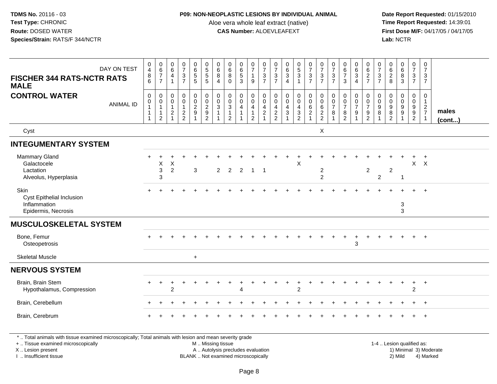### **P09: NON-NEOPLASTIC LESIONS BY INDIVIDUAL ANIMAL**

Aloe vera whole leaf extract (native)<br>**CAS Number:** ALOEVLEAFEXT

 **Date Report Requested:** 01/15/2010 **First Dose M/F:** 04/17/05 / 04/17/05 Lab: NCTR **Lab:** NCTR

| DAY ON TEST<br><b>FISCHER 344 RATS-NCTR RATS</b><br><b>MALE</b>                                          | $\begin{array}{c} 0 \\ 4 \\ 8 \\ 6 \end{array}$                         | $\begin{array}{c} 0 \\ 6 \\ 7 \end{array}$<br>$\overline{7}$                       | 0<br>$\,6\,$<br>$\overline{4}$           | $\begin{smallmatrix}0\\7\end{smallmatrix}$<br>$rac{3}{7}$                     | 0<br>6<br>5<br>5                                              | 0<br>5<br>5<br>5                                          | $\begin{matrix} 0 \\ 6 \\ 8 \end{matrix}$<br>$\overline{\mathbf{4}}$ | $\begin{array}{c} 0 \\ 6 \\ 8 \end{array}$<br>$\mathbf 0$                             | 0<br>6<br>5<br>3                      | $\begin{smallmatrix}0\\7\end{smallmatrix}$<br>$\mathbf{1}$<br>$9\,$ | $\frac{0}{7}$<br>$\frac{3}{7}$                                        | $\frac{0}{7}$<br>$\overline{3}$<br>$\overline{7}$ | $\begin{matrix} 0 \\ 6 \\ 3 \end{matrix}$<br>$\overline{4}$       | $\begin{array}{c} 0 \\ 5 \\ 3 \end{array}$<br>$\mathbf{1}$ | $\frac{0}{7}$<br>$\frac{3}{7}$                                  | $\frac{0}{7}$<br>$rac{3}{7}$     | $\begin{array}{c} 0 \\ 7 \\ 3 \\ 7 \end{array}$   | $\begin{array}{c} 0 \\ 6 \\ 7 \end{array}$<br>$\mathbf{3}$        | $\begin{array}{c} 0 \\ 6 \\ 3 \\ 4 \end{array}$                           | 0<br>$rac{6}{2}$                                    | $\frac{0}{7}$<br>$\frac{3}{7}$        | 0628                            | $\begin{array}{c} 0 \\ 6 \\ 3 \end{array}$                   | $\frac{0}{7}$<br>$\frac{3}{7}$       | 0<br>$\overline{7}$<br>$\mathbf{3}$<br>$\overline{7}$        |                       |
|----------------------------------------------------------------------------------------------------------|-------------------------------------------------------------------------|------------------------------------------------------------------------------------|------------------------------------------|-------------------------------------------------------------------------------|---------------------------------------------------------------|-----------------------------------------------------------|----------------------------------------------------------------------|---------------------------------------------------------------------------------------|---------------------------------------|---------------------------------------------------------------------|-----------------------------------------------------------------------|---------------------------------------------------|-------------------------------------------------------------------|------------------------------------------------------------|-----------------------------------------------------------------|----------------------------------|---------------------------------------------------|-------------------------------------------------------------------|---------------------------------------------------------------------------|-----------------------------------------------------|---------------------------------------|---------------------------------|--------------------------------------------------------------|--------------------------------------|--------------------------------------------------------------|-----------------------|
| <b>CONTROL WATER</b><br><b>ANIMAL ID</b>                                                                 | $\mathbf 0$<br>$\mathsf{O}\xspace$<br>$\mathbf{1}$<br>$\mathbf{1}$<br>1 | $\pmb{0}$<br>$\mathsf{O}\xspace$<br>$\mathbf{1}$<br>$\mathbf{1}$<br>$\overline{2}$ | 0<br>0<br>$\mathbf{1}$<br>$\overline{c}$ | $\begin{smallmatrix} 0\\0 \end{smallmatrix}$<br>$\mathbf{1}$<br>$\frac{2}{2}$ | $\begin{smallmatrix} 0\\0 \end{smallmatrix}$<br>$\frac{2}{9}$ | $\pmb{0}$<br>$\begin{array}{c}\n0 \\ 2 \\ 9\n\end{array}$ | 0<br>$\mathbf 0$<br>$\ensuremath{\mathsf{3}}$                        | $\mathbf 0$<br>$\mathsf{O}\xspace$<br>$\overline{3}$<br>$\mathbf 1$<br>$\overline{2}$ | 0<br>$\pmb{0}$<br>$\overline{4}$<br>1 | 0<br>$\mathbf 0$<br>$\overline{4}$<br>$\overline{c}$                | $\mathbf 0$<br>$\ddot{\mathbf{0}}$<br>$\overline{4}$<br>$\frac{2}{1}$ | $\mathbf 0$<br>$\mathbf 0$<br>4<br>$\frac{2}{2}$  | $\mathbf 0$<br>$\mathbf 0$<br>$\overline{4}$<br>$\mathbf{3}$<br>1 | 0<br>$\tilde{0}$<br>$\overline{4}$<br>$\frac{3}{2}$        | $\pmb{0}$<br>$\overline{0}$<br>$6\phantom{a}$<br>$\overline{2}$ | 0<br>$062$<br>22                 | $\mathbf 0$<br>$\mathbf 0$<br>$\overline{7}$<br>8 | $\mathbf 0$<br>$\pmb{0}$<br>$\overline{7}$<br>8<br>$\overline{2}$ | 0<br>$\overline{0}$<br>$\overline{7}$<br>$\boldsymbol{9}$<br>$\mathbf{1}$ | 0<br>$\mathbf 0$<br>$\overline{7}$<br>$\frac{9}{2}$ | 0<br>$\pmb{0}$<br>$\overline{9}$<br>8 | 0<br>$\pmb{0}$<br>$\frac{9}{8}$ | 0<br>$\ddot{\mathbf{0}}$<br>$\overline{9}$<br>$\overline{9}$ | 0<br>$\overline{0}$<br>$\frac{9}{2}$ | $\mathbf 0$<br>$\mathbf{1}$<br>$\frac{2}{7}$<br>$\mathbf{1}$ | males<br>$($ cont $)$ |
| Cyst                                                                                                     |                                                                         |                                                                                    |                                          |                                                                               |                                                               |                                                           |                                                                      |                                                                                       |                                       |                                                                     |                                                                       |                                                   |                                                                   |                                                            |                                                                 | X                                |                                                   |                                                                   |                                                                           |                                                     |                                       |                                 |                                                              |                                      |                                                              |                       |
| <b>INTEGUMENTARY SYSTEM</b>                                                                              |                                                                         |                                                                                    |                                          |                                                                               |                                                               |                                                           |                                                                      |                                                                                       |                                       |                                                                     |                                                                       |                                                   |                                                                   |                                                            |                                                                 |                                  |                                                   |                                                                   |                                                                           |                                                     |                                       |                                 |                                                              |                                      |                                                              |                       |
| Mammary Gland<br>Galactocele<br>Lactation<br>Alveolus, Hyperplasia                                       |                                                                         | Χ<br>3<br>3                                                                        | X<br>$\overline{2}$                      |                                                                               | $\mathbf{3}$                                                  |                                                           | 2                                                                    | 2                                                                                     | 2                                     |                                                                     | -1                                                                    |                                                   |                                                                   | X                                                          |                                                                 | $\overline{a}$<br>$\overline{2}$ |                                                   |                                                                   |                                                                           | $\overline{c}$                                      | $\overline{c}$                        | $\overline{c}$                  | -1                                                           | $\mathsf{X}$                         | $\mathsf{X}$                                                 |                       |
| Skin<br>Cyst Epithelial Inclusion<br>Inflammation<br>Epidermis, Necrosis                                 |                                                                         |                                                                                    |                                          |                                                                               |                                                               |                                                           |                                                                      |                                                                                       |                                       |                                                                     |                                                                       |                                                   |                                                                   |                                                            |                                                                 |                                  |                                                   |                                                                   |                                                                           |                                                     |                                       |                                 | $\sqrt{3}$<br>$\mathfrak{Z}$                                 |                                      | $\overline{+}$                                               |                       |
| <b>MUSCULOSKELETAL SYSTEM</b>                                                                            |                                                                         |                                                                                    |                                          |                                                                               |                                                               |                                                           |                                                                      |                                                                                       |                                       |                                                                     |                                                                       |                                                   |                                                                   |                                                            |                                                                 |                                  |                                                   |                                                                   |                                                                           |                                                     |                                       |                                 |                                                              |                                      |                                                              |                       |
| Bone, Femur<br>Osteopetrosis                                                                             |                                                                         |                                                                                    |                                          |                                                                               |                                                               |                                                           |                                                                      |                                                                                       |                                       |                                                                     |                                                                       |                                                   |                                                                   |                                                            |                                                                 |                                  |                                                   | $\ddot{}$                                                         | $\ddot{}$<br>3                                                            |                                                     |                                       |                                 |                                                              | $+$                                  | $+$                                                          |                       |
| <b>Skeletal Muscle</b>                                                                                   |                                                                         |                                                                                    |                                          |                                                                               | $+$                                                           |                                                           |                                                                      |                                                                                       |                                       |                                                                     |                                                                       |                                                   |                                                                   |                                                            |                                                                 |                                  |                                                   |                                                                   |                                                                           |                                                     |                                       |                                 |                                                              |                                      |                                                              |                       |
| <b>NERVOUS SYSTEM</b>                                                                                    |                                                                         |                                                                                    |                                          |                                                                               |                                                               |                                                           |                                                                      |                                                                                       |                                       |                                                                     |                                                                       |                                                   |                                                                   |                                                            |                                                                 |                                  |                                                   |                                                                   |                                                                           |                                                     |                                       |                                 |                                                              |                                      |                                                              |                       |
| Brain, Brain Stem<br>Hypothalamus, Compression                                                           |                                                                         | $\ddot{}$                                                                          | 2                                        |                                                                               |                                                               |                                                           |                                                                      |                                                                                       |                                       |                                                                     |                                                                       |                                                   |                                                                   | $\overline{c}$                                             |                                                                 |                                  |                                                   |                                                                   |                                                                           |                                                     |                                       |                                 | $\div$                                                       | $\ddot{}$<br>$\overline{c}$          | $+$                                                          |                       |
| Brain, Cerebellum                                                                                        |                                                                         |                                                                                    |                                          |                                                                               |                                                               |                                                           |                                                                      |                                                                                       |                                       |                                                                     |                                                                       |                                                   |                                                                   |                                                            |                                                                 |                                  |                                                   |                                                                   |                                                                           |                                                     |                                       |                                 |                                                              |                                      | $\overline{+}$                                               |                       |
| Brain, Cerebrum                                                                                          |                                                                         |                                                                                    |                                          |                                                                               |                                                               |                                                           |                                                                      |                                                                                       |                                       |                                                                     |                                                                       |                                                   |                                                                   |                                                            |                                                                 |                                  |                                                   |                                                                   |                                                                           |                                                     |                                       |                                 |                                                              |                                      | $+$                                                          |                       |
| *  Total animals with tissue examined microscopically; Total animals with lesion and mean severity grade |                                                                         |                                                                                    |                                          |                                                                               |                                                               |                                                           |                                                                      |                                                                                       |                                       |                                                                     |                                                                       |                                                   |                                                                   |                                                            |                                                                 |                                  |                                                   |                                                                   |                                                                           |                                                     |                                       |                                 |                                                              |                                      |                                                              |                       |

+ .. Tissue examined microscopically

X .. Lesion present

I .. Insufficient tissue

M .. Missing tissue

BLANK .. Not examined microscopically

1-4 .. Lesion qualified as:<br>1) Minimal 3) Moderate A .. Autolysis precludes evaluation 19 and 10 minimal 3) Moderate 1 and 20 minimal 3) Moderate 19 minimal 3) Moderat<br>19 and 19 and 19 and 19 and 19 and 19 and 19 and 19 and 19 and 19 and 19 and 19 and 19 and 19 and 19 and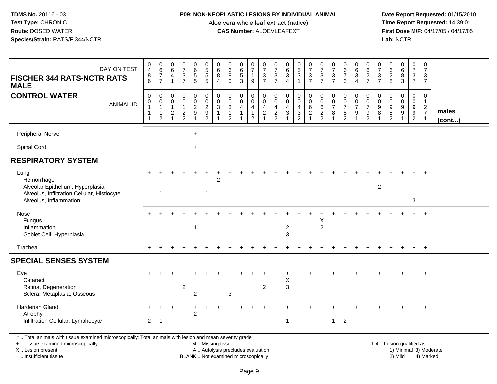### **P09: NON-NEOPLASTIC LESIONS BY INDIVIDUAL ANIMAL**

Aloe vera whole leaf extract (native)<br>**CAS Number:** ALOEVLEAFEXT

 **Date Report Requested:** 01/15/2010 **First Dose M/F:** 04/17/05 / 04/17/05 Lab: NCTR **Lab:** NCTR

| DAY ON TEST<br><b>FISCHER 344 RATS-NCTR RATS</b><br><b>MALE</b>                                                                                                     | 0<br>$\overline{4}$<br>$\bf 8$<br>6                                    | $\begin{array}{c} 0 \\ 6 \end{array}$<br>$\boldsymbol{7}$<br>$\overline{7}$  | 0<br>$6\overline{6}$<br>$\overline{4}$<br>$\mathbf{1}$         | $\frac{0}{7}$<br>$\frac{3}{7}$                    | 0<br>$\,6\,$<br>$\frac{5}{5}$                                                         | 0<br>5<br>5<br>5                                                                | $\mathbf 0$<br>$\,6$<br>8<br>$\overline{4}$       | 0<br>$\,6\,$<br>8<br>$\Omega$                                                  | $_{6}^{\rm 0}$<br>$\sqrt{5}$<br>$\overline{3}$ | $\frac{0}{7}$<br>$\mathbf{1}$<br>$\overline{9}$                                                          | $\frac{0}{7}$<br>$\frac{3}{7}$                                                       | 0<br>$\overline{7}$<br>$\frac{3}{7}$      | $063$<br>$4$                                                  | $\begin{smallmatrix} 0\\5 \end{smallmatrix}$<br>3<br>$\mathbf{1}$ | $\frac{0}{7}$<br>$\frac{3}{7}$                              | $\frac{0}{7}$<br>$\frac{3}{7}$                               | $\frac{0}{7}$<br>$\frac{3}{7}$          | $\begin{array}{c} 0 \\ 6 \\ 7 \end{array}$<br>3               | 0<br>$\,6\,$<br>$\mathbf{3}$<br>$\overline{4}$    | $\mathbf 0$<br>$\,6\,$<br>$\frac{2}{7}$                       | $\mathbf 0$<br>$\overline{7}$<br>$\sqrt{3}$<br>$\overline{7}$ | 0<br>$\,6\,$<br>$\frac{2}{8}$                                               | $_{6}^{\rm 0}$<br>$\frac{8}{3}$           | 0<br>$\overline{7}$<br>$\frac{3}{7}$      | $\mathbf 0$<br>$\overline{7}$<br>3<br>$\overline{7}$ |                        |
|---------------------------------------------------------------------------------------------------------------------------------------------------------------------|------------------------------------------------------------------------|------------------------------------------------------------------------------|----------------------------------------------------------------|---------------------------------------------------|---------------------------------------------------------------------------------------|---------------------------------------------------------------------------------|---------------------------------------------------|--------------------------------------------------------------------------------|------------------------------------------------|----------------------------------------------------------------------------------------------------------|--------------------------------------------------------------------------------------|-------------------------------------------|---------------------------------------------------------------|-------------------------------------------------------------------|-------------------------------------------------------------|--------------------------------------------------------------|-----------------------------------------|---------------------------------------------------------------|---------------------------------------------------|---------------------------------------------------------------|---------------------------------------------------------------|-----------------------------------------------------------------------------|-------------------------------------------|-------------------------------------------|------------------------------------------------------|------------------------|
| <b>CONTROL WATER</b><br><b>ANIMAL ID</b>                                                                                                                            | $\mathsf 0$<br>0<br>$\overline{1}$<br>$\overline{1}$<br>$\overline{1}$ | $\mathbf 0$<br>$\mathbf 0$<br>$\mathbf{1}$<br>$\mathbf{1}$<br>$\overline{2}$ | 0<br>$\mathbf 0$<br>$\mathbf{1}$<br>$\sqrt{2}$<br>$\mathbf{1}$ | 0<br>$\mathbf 0$<br>$\mathbf{1}$<br>$\frac{2}{2}$ | $\begin{smallmatrix} 0\\0\\2 \end{smallmatrix}$<br>$\boldsymbol{9}$<br>$\overline{1}$ | $\begin{smallmatrix} 0\\0 \end{smallmatrix}$<br>$\overline{2}$<br>$\frac{9}{2}$ | $\boldsymbol{0}$<br>$\mathbf 0$<br>$\mathfrak{Z}$ | $\mathbf 0$<br>$\mathbf 0$<br>$\overline{3}$<br>$\mathbf{1}$<br>$\overline{2}$ | 0<br>$\mathbf 0$<br>$\overline{4}$             | $\begin{smallmatrix}0\0\0\end{smallmatrix}$<br>$\overline{\mathbf{4}}$<br>$\mathbf{1}$<br>$\overline{2}$ | 0<br>$\mathsf{O}\xspace$<br>$\overline{4}$<br>$\overline{c}$<br>$\blacktriangleleft$ | 0<br>0<br>$\overline{4}$<br>$\frac{2}{2}$ | $\mathbf 0$<br>$\overline{0}$<br>$\overline{4}$<br>$\sqrt{3}$ | 0<br>$\mathbf 0$<br>4<br>$\frac{3}{2}$                            | $_{\rm 0}^{\rm 0}$<br>6<br>$\overline{c}$<br>$\overline{1}$ | $\pmb{0}$<br>$\mathsf{O}\xspace$<br>$\,6\,$<br>$\frac{2}{2}$ | 0<br>$\mathbf 0$<br>$\overline{7}$<br>8 | 0<br>$\pmb{0}$<br>$\overline{7}$<br>$\bf 8$<br>$\overline{2}$ | $\mathbf 0$<br>$\mathbf 0$<br>$\overline{7}$<br>9 | $\mathbf 0$<br>$\mathbf 0$<br>$\overline{7}$<br>$\frac{9}{2}$ | $\mathbf 0$<br>$\mathbf 0$<br>$9\,$<br>8<br>$\overline{1}$    | $\mathbf 0$<br>$\mathbf 0$<br>$\boldsymbol{9}$<br>$\bf 8$<br>$\overline{c}$ | 0<br>$\ddot{\mathbf{0}}$<br>$\frac{9}{9}$ | $\pmb{0}$<br>$\mathbf 0$<br>$\frac{9}{2}$ | 0<br>$\mathbf{1}$<br>$\frac{2}{7}$<br>$\mathbf{1}$   | males<br>(cont)        |
| <b>Peripheral Nerve</b>                                                                                                                                             |                                                                        |                                                                              |                                                                |                                                   | $+$                                                                                   |                                                                                 |                                                   |                                                                                |                                                |                                                                                                          |                                                                                      |                                           |                                                               |                                                                   |                                                             |                                                              |                                         |                                                               |                                                   |                                                               |                                                               |                                                                             |                                           |                                           |                                                      |                        |
| Spinal Cord                                                                                                                                                         |                                                                        |                                                                              |                                                                |                                                   | $+$                                                                                   |                                                                                 |                                                   |                                                                                |                                                |                                                                                                          |                                                                                      |                                           |                                                               |                                                                   |                                                             |                                                              |                                         |                                                               |                                                   |                                                               |                                                               |                                                                             |                                           |                                           |                                                      |                        |
| <b>RESPIRATORY SYSTEM</b>                                                                                                                                           |                                                                        |                                                                              |                                                                |                                                   |                                                                                       |                                                                                 |                                                   |                                                                                |                                                |                                                                                                          |                                                                                      |                                           |                                                               |                                                                   |                                                             |                                                              |                                         |                                                               |                                                   |                                                               |                                                               |                                                                             |                                           |                                           |                                                      |                        |
| Lung<br>Hemorrhage<br>Alveolar Epithelium, Hyperplasia<br>Alveolus, Infiltration Cellular, Histiocyte<br>Alveolus, Inflammation                                     |                                                                        | $\mathbf{1}$                                                                 |                                                                |                                                   |                                                                                       | $\overline{1}$                                                                  | $\overline{2}$                                    |                                                                                |                                                |                                                                                                          |                                                                                      |                                           |                                                               |                                                                   |                                                             |                                                              |                                         |                                                               |                                                   |                                                               | $\overline{c}$                                                |                                                                             |                                           | 3                                         |                                                      |                        |
| Nose<br>Fungus<br>Inflammation<br>Goblet Cell, Hyperplasia                                                                                                          |                                                                        |                                                                              |                                                                |                                                   | $\mathbf{1}$                                                                          |                                                                                 |                                                   |                                                                                |                                                |                                                                                                          |                                                                                      |                                           | $\overline{2}$<br>3                                           |                                                                   |                                                             | X<br>$\overline{2}$                                          |                                         |                                                               |                                                   |                                                               |                                                               |                                                                             |                                           |                                           |                                                      |                        |
| Trachea                                                                                                                                                             |                                                                        |                                                                              |                                                                |                                                   |                                                                                       |                                                                                 |                                                   |                                                                                |                                                |                                                                                                          |                                                                                      |                                           |                                                               |                                                                   |                                                             |                                                              |                                         |                                                               |                                                   |                                                               |                                                               |                                                                             |                                           |                                           | $+$                                                  |                        |
| <b>SPECIAL SENSES SYSTEM</b>                                                                                                                                        |                                                                        |                                                                              |                                                                |                                                   |                                                                                       |                                                                                 |                                                   |                                                                                |                                                |                                                                                                          |                                                                                      |                                           |                                                               |                                                                   |                                                             |                                                              |                                         |                                                               |                                                   |                                                               |                                                               |                                                                             |                                           |                                           |                                                      |                        |
| Eye<br>Cataract<br>Retina, Degeneration<br>Sclera, Metaplasia, Osseous                                                                                              |                                                                        |                                                                              |                                                                | $\boldsymbol{2}$                                  | $\overline{c}$                                                                        |                                                                                 |                                                   | 3                                                                              |                                                |                                                                                                          | $\overline{2}$                                                                       |                                           | Χ<br>$\mathbf{3}$                                             |                                                                   |                                                             |                                                              |                                         |                                                               |                                                   |                                                               |                                                               |                                                                             |                                           |                                           |                                                      |                        |
| Harderian Gland<br>Atrophy<br>Infiltration Cellular, Lymphocyte                                                                                                     | $\overline{2}$                                                         | $\overline{1}$                                                               |                                                                |                                                   | $\overline{2}$                                                                        |                                                                                 |                                                   |                                                                                |                                                |                                                                                                          |                                                                                      |                                           | $\overline{1}$                                                |                                                                   |                                                             |                                                              | $\mathbf{1}$                            | $\overline{2}$                                                |                                                   |                                                               |                                                               |                                                                             |                                           |                                           |                                                      |                        |
| *  Total animals with tissue examined microscopically; Total animals with lesion and mean severity grade<br>+  Tissue examined microscopically<br>X  Lesion present |                                                                        |                                                                              |                                                                |                                                   |                                                                                       | M  Missing tissue                                                               |                                                   | A  Autolysis precludes evaluation                                              |                                                |                                                                                                          |                                                                                      |                                           |                                                               |                                                                   |                                                             |                                                              |                                         |                                                               |                                                   |                                                               |                                                               | 1-4  Lesion qualified as:                                                   |                                           |                                           |                                                      | 1) Minimal 3) Moderate |

I .. Insufficient tissue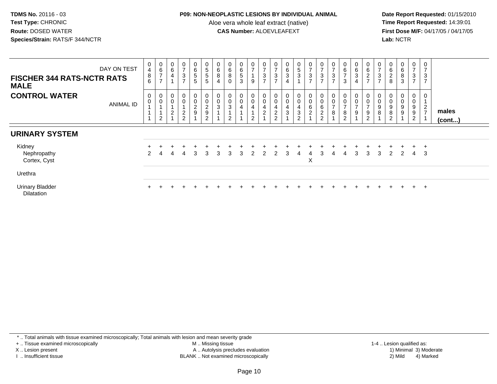### **P09: NON-NEOPLASTIC LESIONS BY INDIVIDUAL ANIMAL**

Aloe vera whole leaf extract (native)<br>**CAS Number:** ALOEVLEAFEXT

Date Report Requested: 01/15/2010<br>Time Report Requested: 14:39:01 **First Dose M/F:** 04/17/05 / 04/17/05<br>**Lab:** NCTR **Lab:** NCTR

| <b>FISCHER 344 RATS-NCTR RATS</b><br><b>MALE</b> | DAY ON TEST      | 0<br>$\overline{4}$<br>8<br>6 | $\begin{array}{c} 0 \\ 6 \end{array}$<br>$\overline{z}$<br>$\rightarrow$ | $\begin{array}{c} 0 \\ 6 \end{array}$<br>4                    | $\frac{0}{7}$<br>$\ensuremath{\mathsf{3}}$<br>$\overline{ }$ | 0<br>6<br>5<br>5                       | $5\phantom{.0}$<br>$\sqrt{5}$<br>$5\phantom{.0}$                   | 0<br>6<br>8<br>$\overline{4}$                     | $\,6\,$<br>8<br>$\mathbf 0$               | $\mathbf{0}$<br>$\,6\,$<br>$\sqrt{5}$<br>3 | $\frac{0}{7}$<br>9                                     | $\frac{0}{7}$<br>$\sqrt{3}$<br>$\overline{z}$                                   | $\frac{0}{7}$<br>$\ensuremath{\mathsf{3}}$<br>$\overline{ }$        | $\,6$<br>3<br>4          | 5<br>3                                                | $\frac{0}{7}$<br>$\mathbf{3}$<br>$\overline{7}$ | $\frac{0}{7}$<br>$\ensuremath{\mathsf{3}}$<br>$\overline{ }$ | $\overline{ }$<br>3               | 0<br>$\,6\,$<br>$\rightarrow$<br>3                | 0<br>$\,6\,$<br>3<br>4  | $\begin{array}{c} 0 \\ 6 \end{array}$<br>$\frac{2}{7}$                     | 0<br>$\overline{ }$<br>3<br>$\overline{ }$ | 6<br>$\overline{c}$<br>8              | 0<br>6<br>$\frac{8}{3}$         | $\frac{0}{7}$<br>$\ensuremath{\mathsf{3}}$<br>$\overline{7}$ | 0<br>$\mathbf{3}$<br>$\overline{ }$   |                       |
|--------------------------------------------------|------------------|-------------------------------|--------------------------------------------------------------------------|---------------------------------------------------------------|--------------------------------------------------------------|----------------------------------------|--------------------------------------------------------------------|---------------------------------------------------|-------------------------------------------|--------------------------------------------|--------------------------------------------------------|---------------------------------------------------------------------------------|---------------------------------------------------------------------|--------------------------|-------------------------------------------------------|-------------------------------------------------|--------------------------------------------------------------|-----------------------------------|---------------------------------------------------|-------------------------|----------------------------------------------------------------------------|--------------------------------------------|---------------------------------------|---------------------------------|--------------------------------------------------------------|---------------------------------------|-----------------------|
| <b>CONTROL WATER</b>                             | <b>ANIMAL ID</b> | 0<br>0                        | 0<br>$\mathbf 0$<br>$\overline{2}$                                       | $\begin{smallmatrix} 0\\0 \end{smallmatrix}$<br>$\frac{2}{1}$ | $_{\rm 0}^{\rm 0}$<br>$\frac{2}{2}$                          | 0<br>$\boldsymbol{0}$<br>$\frac{2}{9}$ | $\boldsymbol{0}$<br>$\mathbf 0$<br>$\frac{2}{9}$<br>$\overline{2}$ | $\begin{smallmatrix} 0\\0 \end{smallmatrix}$<br>3 | $_{\rm 0}^{\rm 0}$<br>3<br>$\overline{2}$ | 0<br>$\pmb{0}$                             | $\begin{smallmatrix} 0\\0 \end{smallmatrix}$<br>4<br>2 | $\begin{smallmatrix}0\0\0\end{smallmatrix}$<br>$\overline{4}$<br>$\overline{2}$ | $\begin{smallmatrix}0\0\0\end{smallmatrix}$<br>4<br>$\sqrt{2}$<br>2 | 0<br>$\pmb{0}$<br>4<br>3 | $\mathbf{0}$<br>$\pmb{0}$<br>4<br>3<br>$\overline{2}$ | 0<br>$\mathbf 0$<br>6<br>$\overline{2}$         | $_{\rm 0}^{\rm 0}$<br>$\frac{6}{2}$                          | $\mathbf 0$<br>$\rightarrow$<br>8 | 0<br>$\mathbf 0$<br>$\rightarrow$<br>$\bf 8$<br>2 | 0<br>$\frac{0}{7}$<br>9 | $_{\rm 0}^{\rm 0}$<br>$\overline{7}$<br>$\boldsymbol{9}$<br>$\overline{2}$ | $\mathbf 0$<br>9<br>8                      | $\pmb{0}$<br>9<br>8<br>$\overline{2}$ | 0<br>$\boldsymbol{0}$<br>9<br>9 | 0<br>0<br>9<br>9<br>$\overline{2}$                           | 0<br>$\overline{2}$<br>$\overline{z}$ | males<br>$($ cont $)$ |
| <b>URINARY SYSTEM</b>                            |                  |                               |                                                                          |                                                               |                                                              |                                        |                                                                    |                                                   |                                           |                                            |                                                        |                                                                                 |                                                                     |                          |                                                       |                                                 |                                                              |                                   |                                                   |                         |                                                                            |                                            |                                       |                                 |                                                              |                                       |                       |
| Kidney<br>Nephropathy<br>Cortex, Cyst            |                  | $\mathcal{P}$                 | 4                                                                        | 4                                                             | 4                                                            | 3                                      | 3                                                                  | 3                                                 | 3                                         | 3                                          | 2                                                      | 2                                                                               | 2                                                                   | 3                        | 4                                                     | 4<br>X                                          | 3                                                            | 4                                 | 4                                                 | 3                       | 3                                                                          | 3                                          | 2                                     | $\div$<br>2                     | $+$<br>4                                                     | $+$<br>-3                             |                       |
| Urethra                                          |                  |                               |                                                                          |                                                               |                                                              |                                        |                                                                    |                                                   |                                           |                                            |                                                        |                                                                                 |                                                                     |                          |                                                       |                                                 |                                                              |                                   |                                                   |                         |                                                                            |                                            |                                       |                                 |                                                              |                                       |                       |
| Urinary Bladder<br><b>Dilatation</b>             |                  | $+$                           |                                                                          |                                                               |                                                              |                                        |                                                                    |                                                   |                                           |                                            |                                                        |                                                                                 |                                                                     |                          |                                                       |                                                 |                                                              |                                   |                                                   |                         |                                                                            |                                            |                                       | $+$                             | $+$                                                          | $+$                                   |                       |

\* .. Total animals with tissue examined microscopically; Total animals with lesion and mean severity grade

+ .. Tissue examined microscopically

X .. Lesion present

I .. Insufficient tissue

 M .. Missing tissueA .. Autolysis precludes evaluation

BLANK .. Not examined microscopically 2) Mild 4) Marked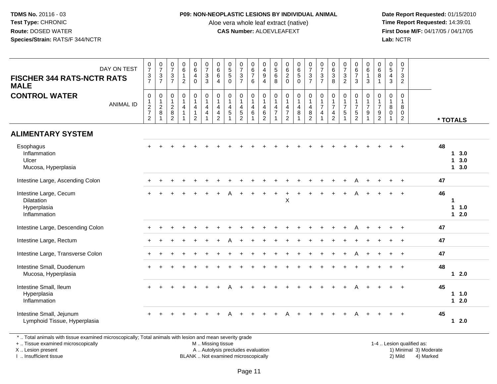#### **P09: NON-NEOPLASTIC LESIONS BY INDIVIDUAL ANIMAL**

Aloe vera whole leaf extract (native)<br>**CAS Number:** ALOEVLEAFEXT

Date Report Requested: 01/15/2010<br>Time Report Requested: 14:39:01 **First Dose M/F:** 04/17/05 / 04/17/05<br>**Lab:** NCTR **Lab:** NCTR

| <b>FISCHER 344 RATS-NCTR RATS</b><br><b>MALE</b><br><b>CONTROL WATER</b>   | DAY ON TEST      | $\begin{array}{c} 0 \\ 7 \end{array}$<br>$\frac{3}{7}$<br>$\mathsf 0$ | $\frac{0}{7}$<br>$\sqrt{3}$<br>$\overline{7}$<br>$\mathbf 0$ | $\frac{0}{7}$<br>$\ensuremath{\mathsf{3}}$<br>$\overline{7}$<br>$\pmb{0}$<br>$\mathbf{1}$ | $\begin{array}{c} 0 \\ 6 \\ 1 \end{array}$<br>$\overline{2}$<br>0<br>$\mathbf{1}$ | $\begin{array}{c} 0 \\ 6 \\ 4 \end{array}$<br>$\mathbf 0$<br>$\begin{smallmatrix}0\\1\end{smallmatrix}$ | $\begin{array}{c} 0 \\ 7 \\ 3 \end{array}$<br>3<br>$\pmb{0}$<br>$\mathbf{1}$ | $\begin{matrix} 0 \\ 6 \\ 6 \end{matrix}$<br>$\overline{4}$<br>$\mathbf 0$<br>$\mathbf{1}$ | $\begin{array}{c} 0 \\ 5 \\ 5 \end{array}$<br>$\mathbf 0$<br>$\mathbf 0$<br>$\overline{1}$ | $\begin{array}{c} 0 \\ 7 \\ 3 \end{array}$<br>$\overline{7}$<br>0<br>$\mathbf{1}$ | $\begin{array}{c} 0 \\ 6 \\ 7 \end{array}$<br>6<br>0<br>$\overline{1}$ | $\begin{array}{c} 0 \\ 4 \\ 9 \end{array}$<br>$\overline{4}$<br>0<br>$\mathbf{1}$ | $\begin{array}{c} 0 \\ 5 \\ 6 \end{array}$<br>8<br>$\mathbf 0$<br>$\overline{1}$ | $\begin{array}{c} 0 \\ 6 \\ 2 \end{array}$<br>$\mathbf 0$<br>$\begin{smallmatrix}0\\1\end{smallmatrix}$ | 065<br>$\mathbf 0$<br>$\overline{1}$        | $\frac{0}{7}$<br>$\frac{3}{7}$<br>$\mathbf 0$<br>$\overline{1}$ | $\begin{array}{c} 0 \\ 7 \end{array}$<br>3<br>$\overline{7}$<br>0<br>1 | $\begin{matrix} 0 \\ 6 \\ 3 \end{matrix}$<br>8<br>$\pmb{0}$ | $\begin{array}{c} 0 \\ 7 \\ 3 \end{array}$<br>$\overline{2}$<br>0<br>$\mathbf{1}$ | $\begin{array}{c} 0 \\ 6 \\ 7 \end{array}$<br>$\mathbf{3}$<br>0<br>$\mathbf{1}$ | $\begin{matrix} 0 \\ 6 \\ 1 \end{matrix}$<br>3<br>$\mathbf 0$<br>$\mathbf{1}$ | $\begin{matrix} 0 \\ 6 \\ 8 \end{matrix}$<br>$\overline{1}$<br>0<br>$\mathbf{1}$ | $\begin{array}{c} 0 \\ 5 \\ 4 \end{array}$<br>$\mathbf{3}$<br>$\pmb{0}$<br>$\overline{1}$ | $\frac{0}{7}$<br>$\mathbf{3}$<br>$\overline{2}$<br>$\mathbf 0$<br>$\mathbf{1}$ |                                              |  |
|----------------------------------------------------------------------------|------------------|-----------------------------------------------------------------------|--------------------------------------------------------------|-------------------------------------------------------------------------------------------|-----------------------------------------------------------------------------------|---------------------------------------------------------------------------------------------------------|------------------------------------------------------------------------------|--------------------------------------------------------------------------------------------|--------------------------------------------------------------------------------------------|-----------------------------------------------------------------------------------|------------------------------------------------------------------------|-----------------------------------------------------------------------------------|----------------------------------------------------------------------------------|---------------------------------------------------------------------------------------------------------|---------------------------------------------|-----------------------------------------------------------------|------------------------------------------------------------------------|-------------------------------------------------------------|-----------------------------------------------------------------------------------|---------------------------------------------------------------------------------|-------------------------------------------------------------------------------|----------------------------------------------------------------------------------|-------------------------------------------------------------------------------------------|--------------------------------------------------------------------------------|----------------------------------------------|--|
|                                                                            | <b>ANIMAL ID</b> | $\frac{1}{2}$<br>$\overline{c}$                                       | $\begin{array}{c} 1 \\ 2 \end{array}$<br>$\, 8$<br>1         | $\frac{2}{8}$<br>$\overline{2}$                                                           | 4<br>$\mathbf{1}$                                                                 | $\overline{4}$<br>$\overline{1}$<br>$\overline{2}$                                                      | 4<br>$\overline{4}$                                                          | 4<br>$\overline{4}$<br>2                                                                   | $\overline{4}$<br>$\overline{5}$<br>$\overline{1}$                                         | 4<br>$\mathbf 5$<br>$\overline{c}$                                                | $\overline{4}$<br>$\,6\,$<br>$\mathbf{1}$                              | 4<br>$\,6\,$<br>$\overline{2}$                                                    | 4<br>$\overline{7}$<br>$\overline{1}$                                            | $\overline{4}$<br>$\overline{7}$<br>$\overline{c}$                                                      | $\overline{4}$<br>$\bf 8$<br>$\overline{1}$ | $\begin{array}{c} 4 \\ 8 \\ 2 \end{array}$                      | $\overline{7}$<br>$\overline{4}$                                       | $\frac{1}{7}$<br>$\frac{4}{2}$                              | $\overline{7}$<br>5                                                               | $\overline{7}$<br>$\frac{5}{2}$                                                 | $\overline{7}$<br>$\boldsymbol{9}$<br>1                                       | $\overline{7}$<br>$\frac{9}{2}$                                                  | $\, 8$<br>$\mathsf{O}\xspace$<br>$\mathbf{1}$                                             | 8<br>$\mathbf 0$<br>$\overline{2}$                                             | * TOTALS                                     |  |
| <b>ALIMENTARY SYSTEM</b>                                                   |                  |                                                                       |                                                              |                                                                                           |                                                                                   |                                                                                                         |                                                                              |                                                                                            |                                                                                            |                                                                                   |                                                                        |                                                                                   |                                                                                  |                                                                                                         |                                             |                                                                 |                                                                        |                                                             |                                                                                   |                                                                                 |                                                                               |                                                                                  |                                                                                           |                                                                                |                                              |  |
| Esophagus<br>Inflammation<br>Ulcer<br>Mucosa, Hyperplasia                  |                  |                                                                       |                                                              |                                                                                           |                                                                                   |                                                                                                         |                                                                              |                                                                                            |                                                                                            |                                                                                   |                                                                        |                                                                                   |                                                                                  |                                                                                                         |                                             |                                                                 |                                                                        |                                                             |                                                                                   |                                                                                 |                                                                               |                                                                                  |                                                                                           |                                                                                | 48<br>$1 \quad 3.0$<br>13.0<br>$1 \quad 3.0$ |  |
| Intestine Large, Ascending Colon                                           |                  |                                                                       |                                                              |                                                                                           |                                                                                   |                                                                                                         |                                                                              |                                                                                            |                                                                                            |                                                                                   |                                                                        |                                                                                   |                                                                                  |                                                                                                         |                                             |                                                                 |                                                                        |                                                             |                                                                                   |                                                                                 |                                                                               |                                                                                  |                                                                                           | $+$                                                                            | 47                                           |  |
| Intestine Large, Cecum<br><b>Dilatation</b><br>Hyperplasia<br>Inflammation |                  |                                                                       |                                                              |                                                                                           |                                                                                   |                                                                                                         |                                                                              |                                                                                            |                                                                                            |                                                                                   |                                                                        |                                                                                   |                                                                                  | X                                                                                                       |                                             |                                                                 |                                                                        |                                                             |                                                                                   |                                                                                 |                                                                               |                                                                                  |                                                                                           | $\overline{+}$                                                                 | 46<br>1<br>1 1.0<br>$12.0$                   |  |
| Intestine Large, Descending Colon                                          |                  |                                                                       |                                                              |                                                                                           |                                                                                   |                                                                                                         |                                                                              |                                                                                            |                                                                                            |                                                                                   |                                                                        |                                                                                   |                                                                                  |                                                                                                         |                                             |                                                                 |                                                                        |                                                             |                                                                                   |                                                                                 |                                                                               |                                                                                  |                                                                                           | $+$                                                                            | 47                                           |  |
| Intestine Large, Rectum                                                    |                  |                                                                       |                                                              |                                                                                           |                                                                                   |                                                                                                         |                                                                              |                                                                                            |                                                                                            |                                                                                   |                                                                        |                                                                                   |                                                                                  |                                                                                                         |                                             |                                                                 |                                                                        |                                                             |                                                                                   |                                                                                 |                                                                               |                                                                                  |                                                                                           | $\ddot{}$                                                                      | 47                                           |  |
| Intestine Large, Transverse Colon                                          |                  |                                                                       |                                                              |                                                                                           |                                                                                   |                                                                                                         |                                                                              |                                                                                            |                                                                                            |                                                                                   |                                                                        |                                                                                   |                                                                                  |                                                                                                         |                                             |                                                                 |                                                                        |                                                             |                                                                                   |                                                                                 |                                                                               |                                                                                  |                                                                                           | $\ddot{}$                                                                      | 47                                           |  |
| Intestine Small, Duodenum<br>Mucosa, Hyperplasia                           |                  |                                                                       |                                                              |                                                                                           |                                                                                   |                                                                                                         |                                                                              |                                                                                            |                                                                                            |                                                                                   |                                                                        |                                                                                   |                                                                                  |                                                                                                         |                                             |                                                                 |                                                                        |                                                             |                                                                                   |                                                                                 |                                                                               |                                                                                  |                                                                                           | $+$                                                                            | 48<br>$12.0$                                 |  |
| Intestine Small, Ileum<br>Hyperplasia<br>Inflammation                      |                  |                                                                       |                                                              |                                                                                           |                                                                                   |                                                                                                         |                                                                              |                                                                                            |                                                                                            |                                                                                   |                                                                        |                                                                                   |                                                                                  |                                                                                                         |                                             |                                                                 |                                                                        |                                                             |                                                                                   |                                                                                 |                                                                               |                                                                                  |                                                                                           |                                                                                | 45<br>1 1.0<br>$12.0$                        |  |
| Intestine Small, Jejunum<br>Lymphoid Tissue, Hyperplasia                   |                  |                                                                       |                                                              |                                                                                           |                                                                                   |                                                                                                         |                                                                              |                                                                                            |                                                                                            |                                                                                   |                                                                        |                                                                                   |                                                                                  |                                                                                                         |                                             |                                                                 |                                                                        |                                                             |                                                                                   |                                                                                 |                                                                               |                                                                                  |                                                                                           |                                                                                | 45<br>$12.0$                                 |  |

\* .. Total animals with tissue examined microscopically; Total animals with lesion and mean severity grade

+ .. Tissue examined microscopically

X .. Lesion present

I .. Insufficient tissue

M .. Missing tissue

A .. Autolysis precludes evaluation

 1-4 .. Lesion qualified as: BLANK .. Not examined microscopically 2) Mild 4) Marked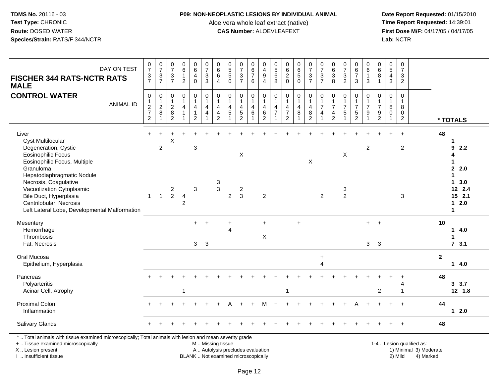### **P09: NON-NEOPLASTIC LESIONS BY INDIVIDUAL ANIMAL**

Aloe vera whole leaf extract (native)<br>**CAS Number:** ALOEVLEAFEXT

 **Date Report Requested:** 01/15/2010 **First Dose M/F:** 04/17/05 / 04/17/05<br>Lab: NCTR **Lab:** NCTR

| DAY ON TEST<br><b>FISCHER 344 RATS-NCTR RATS</b><br><b>MALE</b>                                                                                                                                                                                                                                                               | $\frac{0}{7}$<br>$\frac{3}{7}$                                              | $\frac{0}{7}$<br>$\frac{3}{7}$ | $\frac{0}{7}$<br>$\frac{3}{7}$                       | $_{6}^{\rm 0}$<br>$\mathbf{1}$<br>$\overline{2}$    | $_{6}^{\rm 0}$<br>4<br>$\mathbf 0$                       | $\frac{0}{7}$<br>$_3^3$                                                     | $\begin{array}{c} 0 \\ 6 \end{array}$<br>$\,6\,$<br>$\overline{4}$                | $\begin{array}{c} 0 \\ 5 \end{array}$<br>$\sqrt{5}$<br>$\mathbf 0$ | $\frac{0}{7}$<br>$\frac{3}{7}$                             | 0<br>6<br>$\overline{7}$<br>$6\phantom{1}$ | $\begin{smallmatrix} 0\\4 \end{smallmatrix}$<br>$\boldsymbol{9}$<br>$\overline{4}$ | 0<br>5<br>6<br>8                                                    | $\begin{array}{c} 0 \\ 6 \end{array}$<br>$\frac{2}{0}$                                   |                                  | $\frac{0}{7}$<br>$\frac{3}{7}$                                   | $\frac{0}{7}$<br>$\frac{3}{7}$                                     | 0<br>$\,6\,$<br>$\ensuremath{\mathsf{3}}$<br>8             | $\frac{0}{7}$<br>$\frac{3}{2}$                                  | 0<br>$6\phantom{a}$<br>$\overline{7}$<br>3                          | 0<br>$\,6$<br>$\mathbf{1}$<br>$\mathbf{3}$                            | $\begin{array}{c} 0 \\ 6 \end{array}$<br>8<br>$\mathbf{1}$                | $\begin{smallmatrix}0\0\5\end{smallmatrix}$<br>$\overline{4}$<br>3 | $\frac{0}{7}$<br>$\frac{3}{2}$                                |                                                     |              |                                                                                                  |
|-------------------------------------------------------------------------------------------------------------------------------------------------------------------------------------------------------------------------------------------------------------------------------------------------------------------------------|-----------------------------------------------------------------------------|--------------------------------|------------------------------------------------------|-----------------------------------------------------|----------------------------------------------------------|-----------------------------------------------------------------------------|-----------------------------------------------------------------------------------|--------------------------------------------------------------------|------------------------------------------------------------|--------------------------------------------|------------------------------------------------------------------------------------|---------------------------------------------------------------------|------------------------------------------------------------------------------------------|----------------------------------|------------------------------------------------------------------|--------------------------------------------------------------------|------------------------------------------------------------|-----------------------------------------------------------------|---------------------------------------------------------------------|-----------------------------------------------------------------------|---------------------------------------------------------------------------|--------------------------------------------------------------------|---------------------------------------------------------------|-----------------------------------------------------|--------------|--------------------------------------------------------------------------------------------------|
| <b>CONTROL WATER</b><br><b>ANIMAL ID</b>                                                                                                                                                                                                                                                                                      | $\pmb{0}$<br>$\begin{array}{c} 1 \\ 2 \\ 7 \end{array}$<br>$\boldsymbol{2}$ | 0<br>1<br>$\overline{2}$<br>8  | 0<br>$\mathbf{1}$<br>$\frac{2}{8}$<br>$\overline{2}$ | $\pmb{0}$<br>$\mathbf{1}$<br>4<br>$\mathbf{1}$<br>1 | 0<br>$\mathbf{1}$<br>4<br>$\mathbf{1}$<br>$\overline{c}$ | $\pmb{0}$<br>$\mathbf{1}$<br>$\overline{4}$<br>$\overline{\mathbf{4}}$<br>1 | $\pmb{0}$<br>$\overline{1}$<br>$\overline{a}$<br>$\overline{a}$<br>$\overline{2}$ | $\pmb{0}$<br>$\mathbf{1}$<br>4<br>$\sqrt{5}$                       | 0<br>$\mathbf{1}$<br>4<br>$\overline{5}$<br>$\overline{2}$ | 0<br>$\mathbf{1}$<br>4<br>$\,6\,$          | 0<br>$\mathbf{1}$<br>$\overline{4}$<br>$\,6$<br>$\overline{2}$                     | $\pmb{0}$<br>$\mathbf{1}$<br>$\overline{a}$<br>$\overline{7}$<br>-1 | $\pmb{0}$<br>$\mathbf{1}$<br>$\overline{\mathbf{4}}$<br>$\overline{7}$<br>$\overline{2}$ | 0<br>$\mathbf{1}$<br>4<br>8<br>1 | 0<br>$\mathbf{1}$<br>$\overline{4}$<br>$\bf 8$<br>$\overline{2}$ | $\pmb{0}$<br>$\mathbf{1}$<br>$\overline{7}$<br>$\overline{4}$<br>1 | 0<br>$\mathbf{1}$<br>$\overline{7}$<br>4<br>$\overline{2}$ | $\pmb{0}$<br>$\mathbf{1}$<br>$\overline{7}$<br>$\sqrt{5}$<br>-1 | 0<br>$\mathbf{1}$<br>$\overline{7}$<br>$\sqrt{5}$<br>$\overline{2}$ | $\mathbf 0$<br>$\mathbf{1}$<br>$\overline{7}$<br>$9\,$<br>$\mathbf 1$ | 0<br>$\mathbf{1}$<br>$\overline{7}$<br>$\boldsymbol{9}$<br>$\overline{c}$ | 0<br>$\mathbf{1}$<br>8<br>$\mathbf 0$<br>-1                        | $\pmb{0}$<br>$\mathbf{1}$<br>8<br>$\pmb{0}$<br>$\overline{c}$ |                                                     |              | * TOTALS                                                                                         |
| Liver<br><b>Cyst Multilocular</b><br>Degeneration, Cystic<br><b>Eosinophilic Focus</b><br>Eosinophilic Focus, Multiple<br>Granuloma<br>Hepatodiaphragmatic Nodule<br>Necrosis, Coagulative<br>Vacuolization Cytoplasmic<br>Bile Duct, Hyperplasia<br>Centrilobular, Necrosis<br>Left Lateral Lobe, Developmental Malformation | ÷.<br>$\mathbf{1}$                                                          | $\overline{c}$<br>$\mathbf{1}$ | Χ<br>2<br>$\overline{2}$                             | $\overline{4}$<br>$\overline{2}$                    | 3<br>3                                                   |                                                                             | $\mathbf{3}$<br>$\mathbf{3}$                                                      | $\overline{2}$                                                     | $\pmb{\times}$<br>$\overline{\mathbf{c}}$<br>$\mathbf{3}$  |                                            | 2                                                                                  |                                                                     |                                                                                          |                                  | X                                                                | $\overline{2}$                                                     |                                                            | X<br>3<br>$\overline{2}$                                        |                                                                     | $\overline{c}$                                                        |                                                                           |                                                                    | $\overline{c}$<br>3                                           |                                                     | 48           | 9<br>2.2<br>4<br>1<br>2.0<br>1<br>3.0<br>$\mathbf 1$<br>12 2.4<br>$15$ 2.1<br>$1 \quad 2.0$<br>1 |
| Mesentery<br>Hemorrhage<br>Thrombosis<br>Fat, Necrosis                                                                                                                                                                                                                                                                        |                                                                             |                                |                                                      |                                                     | $+$<br>3 <sup>1</sup>                                    | $\overline{+}$<br>3                                                         |                                                                                   | ÷<br>4                                                             |                                                            |                                            | $\ddot{}$<br>X                                                                     |                                                                     |                                                                                          | $\ddot{}$                        |                                                                  |                                                                    |                                                            |                                                                 |                                                                     | $+$<br>3                                                              | $\ddot{}$<br>3                                                            |                                                                    |                                                               |                                                     | 10           | $\mathbf 1$<br>4.0<br>1<br>7, 3.1                                                                |
| Oral Mucosa<br>Epithelium, Hyperplasia                                                                                                                                                                                                                                                                                        |                                                                             |                                |                                                      |                                                     |                                                          |                                                                             |                                                                                   |                                                                    |                                                            |                                            |                                                                                    |                                                                     |                                                                                          |                                  |                                                                  | $\ddot{}$<br>$\overline{4}$                                        |                                                            |                                                                 |                                                                     |                                                                       |                                                                           |                                                                    |                                                               |                                                     | $\mathbf{2}$ | 14.0                                                                                             |
| Pancreas<br>Polyarteritis<br>Acinar Cell, Atrophy                                                                                                                                                                                                                                                                             |                                                                             |                                |                                                      | -1                                                  |                                                          |                                                                             |                                                                                   |                                                                    |                                                            |                                            |                                                                                    |                                                                     | 1                                                                                        |                                  |                                                                  |                                                                    |                                                            |                                                                 |                                                                     |                                                                       | 2                                                                         |                                                                    | 4<br>$\overline{\mathbf{1}}$                                  |                                                     | 48           | 3.7<br>12 1.8                                                                                    |
| <b>Proximal Colon</b><br>Inflammation                                                                                                                                                                                                                                                                                         |                                                                             |                                |                                                      |                                                     |                                                          |                                                                             |                                                                                   |                                                                    |                                                            |                                            | м                                                                                  |                                                                     |                                                                                          |                                  |                                                                  |                                                                    |                                                            |                                                                 |                                                                     |                                                                       |                                                                           |                                                                    | $\ddot{}$                                                     |                                                     | 44           | $12.0$                                                                                           |
| Salivary Glands                                                                                                                                                                                                                                                                                                               |                                                                             |                                |                                                      |                                                     |                                                          |                                                                             |                                                                                   |                                                                    |                                                            |                                            |                                                                                    |                                                                     |                                                                                          |                                  |                                                                  |                                                                    |                                                            |                                                                 |                                                                     |                                                                       |                                                                           |                                                                    | $\ddot{}$                                                     |                                                     | 48           |                                                                                                  |
| *  Total animals with tissue examined microscopically; Total animals with lesion and mean severity grade<br>+  Tissue examined microscopically<br>X  Lesion present                                                                                                                                                           |                                                                             |                                |                                                      |                                                     |                                                          | M  Missing tissue                                                           |                                                                                   | A  Autolysis precludes evaluation                                  |                                                            |                                            |                                                                                    |                                                                     |                                                                                          |                                  |                                                                  |                                                                    |                                                            |                                                                 |                                                                     |                                                                       |                                                                           |                                                                    |                                                               | 1-4  Lesion qualified as:<br>1) Minimal 3) Moderate |              |                                                                                                  |

I .. Insufficient tissue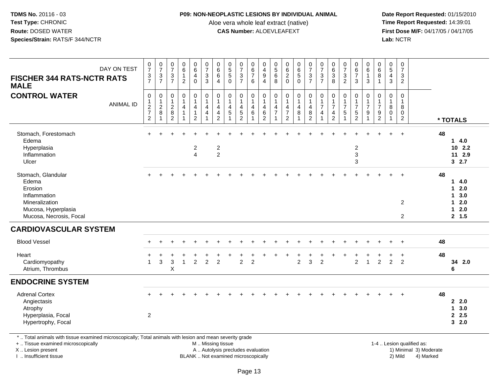#### **P09: NON-NEOPLASTIC LESIONS BY INDIVIDUAL ANIMAL**

Aloe vera whole leaf extract (native)<br>**CAS Number:** ALOEVLEAFEXT

Date Report Requested: 01/15/2010<br>Time Report Requested: 14:39:01 **First Dose M/F:** 04/17/05 / 04/17/05 Lab: NCTR **Lab:** NCTR

| $\frac{0}{7}$<br>$\begin{array}{c} 0 \\ 7 \\ 3 \\ 3 \end{array}$<br>$_6^0$<br>$\frac{0}{7}$<br>0<br>0620<br>$\begin{array}{c} 0 \\ 6 \\ 5 \end{array}$<br>$\frac{0}{7}$<br>$\frac{0}{7}$<br>$\frac{3}{7}$<br>$\begin{array}{c} 0 \\ 7 \\ 3 \end{array}$<br>$\begin{array}{c} 0 \\ 6 \end{array}$<br>0<br>$\begin{array}{c} 0 \\ 5 \end{array}$<br>$\begin{array}{c} 0 \\ 5 \\ 5 \end{array}$<br>0<br>$\begin{array}{c} 0 \\ 5 \\ 6 \end{array}$<br>$\begin{matrix} 0 \\ 6 \\ 3 \end{matrix}$<br>$\begin{array}{c} 0 \\ 6 \\ 7 \end{array}$<br>$rac{6}{7}$<br>$6\overline{6}$<br>$\begin{array}{c} 4 \\ 9 \end{array}$<br>$\overline{6}$<br>$rac{3}{7}$<br>$\frac{3}{7}$<br>8<br>$\mathbf{1}$<br>$\overline{4}$<br>3<br>$\overline{0}$<br>$\overline{2}$<br>8<br>6<br>8<br>$\mathbf{3}$<br>3<br>3<br>$\overline{2}$<br>$\overline{4}$<br>$\mathbf 0$<br>$\overline{4}$<br>$\mathbf{1}$<br>$\mathbf 0$<br>0<br>$\mathbf 0$<br>$\mathbf 0$<br>$\pmb{0}$<br>0<br>$\mathbf 0$<br>0<br>$\mathbf 0$<br>$\mathbf 0$<br>0<br>0<br>0<br>0<br>0<br>$\mathbf 0$<br>0<br>0<br>$\mathbf{1}$<br>$\mathbf{1}$<br>$\mathbf{1}$<br>$\mathbf{1}$<br>$\mathbf{1}$<br>$\mathbf{1}$<br>$\mathbf{1}$<br>$\mathbf{1}$<br>$\mathbf{1}$<br>$\mathbf{1}$<br>$\mathbf{1}$<br>$\mathbf{1}$<br>1<br>$\mathbf{1}$<br>$\mathbf{1}$<br>$\mathbf{1}$<br>$\overline{7}$<br>$\overline{7}$<br>$\overline{7}$<br>$\overline{7}$<br>$\overline{7}$<br>$\overline{7}$<br>8<br>$\overline{\mathbf{4}}$<br>$\overline{4}$<br>$\overline{4}$<br>$\overline{4}$<br>4<br>$\overline{4}$<br>8<br>4<br>4<br>4<br>4<br>$\,6\,$<br>$\overline{7}$<br>$\boldsymbol{7}$<br>$\bf8$<br>$\frac{5}{2}$<br>$\,6\,$<br>$\bf 8$<br>$\overline{4}$<br>$\sqrt{5}$<br>5<br>$\,$ 5 $\,$<br>9<br>4<br>$\overline{4}$<br>9<br>0<br>0<br>4<br>$\overline{2}$<br>$\overline{2}$<br>$\overline{2}$<br>$\overline{c}$<br>$\overline{c}$<br>$\overline{2}$<br>$\overline{c}$<br>$\overline{2}$<br>$\overline{1}$<br>$\mathbf{1}$<br>$\overline{1}$<br>$\overline{1}$<br>$\overline{1}$<br>1<br>* TOTALS<br>48<br>$+$<br>$+$<br>14.0<br>$10$ 2.2<br>$\overline{c}$<br>$\overline{c}$<br>$\mathbf{3}$<br>$\overline{2}$<br>11 2.9<br>$\mathbf{3}$<br>32.7<br>48<br>4.0<br>$\mathbf 1$<br>$\mathbf{1}$<br>2.0<br>3.0<br>$\mathbf{1}$<br>2.0<br>$\overline{2}$<br>$\mathbf 1$<br>2.0<br>$\mathbf{1}$<br>2, 1.5<br>$\overline{2}$ |
|----------------------------------------------------------------------------------------------------------------------------------------------------------------------------------------------------------------------------------------------------------------------------------------------------------------------------------------------------------------------------------------------------------------------------------------------------------------------------------------------------------------------------------------------------------------------------------------------------------------------------------------------------------------------------------------------------------------------------------------------------------------------------------------------------------------------------------------------------------------------------------------------------------------------------------------------------------------------------------------------------------------------------------------------------------------------------------------------------------------------------------------------------------------------------------------------------------------------------------------------------------------------------------------------------------------------------------------------------------------------------------------------------------------------------------------------------------------------------------------------------------------------------------------------------------------------------------------------------------------------------------------------------------------------------------------------------------------------------------------------------------------------------------------------------------------------------------------------------------------------------------------------------------------------------------------------------------------------------------------------------------------------------------------------------------------------------------------------------------------------------------------------------------------------------------------------------------------------------------------------------------------------------------------------------------------------------------------------------------|
|                                                                                                                                                                                                                                                                                                                                                                                                                                                                                                                                                                                                                                                                                                                                                                                                                                                                                                                                                                                                                                                                                                                                                                                                                                                                                                                                                                                                                                                                                                                                                                                                                                                                                                                                                                                                                                                                                                                                                                                                                                                                                                                                                                                                                                                                                                                                                          |
|                                                                                                                                                                                                                                                                                                                                                                                                                                                                                                                                                                                                                                                                                                                                                                                                                                                                                                                                                                                                                                                                                                                                                                                                                                                                                                                                                                                                                                                                                                                                                                                                                                                                                                                                                                                                                                                                                                                                                                                                                                                                                                                                                                                                                                                                                                                                                          |
|                                                                                                                                                                                                                                                                                                                                                                                                                                                                                                                                                                                                                                                                                                                                                                                                                                                                                                                                                                                                                                                                                                                                                                                                                                                                                                                                                                                                                                                                                                                                                                                                                                                                                                                                                                                                                                                                                                                                                                                                                                                                                                                                                                                                                                                                                                                                                          |
|                                                                                                                                                                                                                                                                                                                                                                                                                                                                                                                                                                                                                                                                                                                                                                                                                                                                                                                                                                                                                                                                                                                                                                                                                                                                                                                                                                                                                                                                                                                                                                                                                                                                                                                                                                                                                                                                                                                                                                                                                                                                                                                                                                                                                                                                                                                                                          |
|                                                                                                                                                                                                                                                                                                                                                                                                                                                                                                                                                                                                                                                                                                                                                                                                                                                                                                                                                                                                                                                                                                                                                                                                                                                                                                                                                                                                                                                                                                                                                                                                                                                                                                                                                                                                                                                                                                                                                                                                                                                                                                                                                                                                                                                                                                                                                          |
|                                                                                                                                                                                                                                                                                                                                                                                                                                                                                                                                                                                                                                                                                                                                                                                                                                                                                                                                                                                                                                                                                                                                                                                                                                                                                                                                                                                                                                                                                                                                                                                                                                                                                                                                                                                                                                                                                                                                                                                                                                                                                                                                                                                                                                                                                                                                                          |
| 48                                                                                                                                                                                                                                                                                                                                                                                                                                                                                                                                                                                                                                                                                                                                                                                                                                                                                                                                                                                                                                                                                                                                                                                                                                                                                                                                                                                                                                                                                                                                                                                                                                                                                                                                                                                                                                                                                                                                                                                                                                                                                                                                                                                                                                                                                                                                                       |
| 48<br>$\ddot{}$<br>$\overline{2}$<br>$\mathbf{3}$<br>$\overline{2}$<br>$\overline{c}$<br>$\overline{c}$<br>$\overline{c}$<br>$\overline{c}$<br>$\overline{2}$<br>$\overline{2}$<br>$\overline{2}$<br>$\mathbf{1}$<br>$\overline{2}$<br>34 2.0<br>6                                                                                                                                                                                                                                                                                                                                                                                                                                                                                                                                                                                                                                                                                                                                                                                                                                                                                                                                                                                                                                                                                                                                                                                                                                                                                                                                                                                                                                                                                                                                                                                                                                                                                                                                                                                                                                                                                                                                                                                                                                                                                                       |
|                                                                                                                                                                                                                                                                                                                                                                                                                                                                                                                                                                                                                                                                                                                                                                                                                                                                                                                                                                                                                                                                                                                                                                                                                                                                                                                                                                                                                                                                                                                                                                                                                                                                                                                                                                                                                                                                                                                                                                                                                                                                                                                                                                                                                                                                                                                                                          |
| 48<br>22.0<br>3.0<br>$\mathbf 1$                                                                                                                                                                                                                                                                                                                                                                                                                                                                                                                                                                                                                                                                                                                                                                                                                                                                                                                                                                                                                                                                                                                                                                                                                                                                                                                                                                                                                                                                                                                                                                                                                                                                                                                                                                                                                                                                                                                                                                                                                                                                                                                                                                                                                                                                                                                         |
|                                                                                                                                                                                                                                                                                                                                                                                                                                                                                                                                                                                                                                                                                                                                                                                                                                                                                                                                                                                                                                                                                                                                                                                                                                                                                                                                                                                                                                                                                                                                                                                                                                                                                                                                                                                                                                                                                                                                                                                                                                                                                                                                                                                                                                                                                                                                                          |

+ .. Tissue examined microscopically

X .. Lesion present

I .. Insufficient tissue

M .. Missing tissue

BLANK .. Not examined microscopically

1-4 .. Lesion qualified as:<br>1) Minimal 3) Moderate A .. Autolysis precludes evaluation 19 and 10 minimal 3) Moderate 1 and 20 minimal 3) Moderate 19 minimal 3) Moderat<br>19 and 19 and 19 and 19 and 19 and 19 and 19 and 19 and 19 and 19 and 19 and 19 and 19 and 19 and 19 and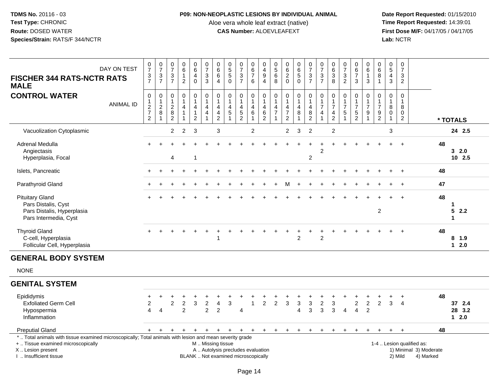### **P09: NON-NEOPLASTIC LESIONS BY INDIVIDUAL ANIMAL**

Aloe vera whole leaf extract (native)<br>**CAS Number:** ALOEVLEAFEXT

 **Date Report Requested:** 01/15/2010 **First Dose M/F:** 04/17/05 / 04/17/05<br>Lab: NCTR **Lab:** NCTR

| DAY ON TEST<br><b>FISCHER 344 RATS-NCTR RATS</b><br><b>MALE</b>                                                                                                                            | $\frac{0}{7}$<br>$\frac{3}{7}$                       | $\begin{array}{c} 0 \\ 7 \end{array}$<br>$\frac{3}{7}$                 | 0<br>$\overline{7}$<br>3<br>$\overline{7}$        | $_{6}^{\rm 0}$<br>$\mathbf{1}$<br>$\overline{2}$                              | $_{6}^{\rm 0}$<br>$\overline{4}$<br>$\Omega$                          | $\frac{0}{7}$<br>$\ensuremath{\mathsf{3}}$<br>3 | $\pmb{0}$<br>6<br>$\,6\,$<br>$\overline{4}$                                       | 0<br>$\overline{5}$<br>$\sqrt{5}$<br>$\Omega$                            | $\pmb{0}$<br>$\overline{7}$<br>$\frac{3}{7}$                                  | 0<br>$\overline{6}$<br>$\overline{7}$<br>6 | 0<br>$\overline{4}$<br>$\boldsymbol{9}$<br>$\overline{4}$  | $\begin{smallmatrix}0\0\0\end{smallmatrix}$<br>$\,6\,$<br>8                   | 0<br>$6\phantom{a}$<br>$\overline{\mathbf{c}}$<br>$\Omega$ | $\begin{array}{c} 0 \\ 6 \end{array}$<br>$\overline{5}$        | $\frac{0}{7}$<br>$\frac{3}{7}$                                      | $\pmb{0}$<br>$\overline{7}$<br>$\frac{3}{7}$                                    | $\pmb{0}$<br>$6\phantom{a}$<br>$\ensuremath{\mathsf{3}}$<br>8 | $\begin{array}{c} 0 \\ 7 \end{array}$<br>$\frac{3}{2}$   | $\begin{array}{c} 0 \\ 6 \\ 7 \end{array}$<br>3                               | 0<br>$6\overline{6}$<br>$\mathbf{1}$<br>3 | $\pmb{0}$<br>6<br>8<br>$\overline{1}$                                      | $\pmb{0}$<br>$\overline{5}$<br>$\overline{4}$<br>3   |         | $\mathbf 0$<br>$\overline{7}$<br>3<br>$\overline{2}$             |    |                                   |
|--------------------------------------------------------------------------------------------------------------------------------------------------------------------------------------------|------------------------------------------------------|------------------------------------------------------------------------|---------------------------------------------------|-------------------------------------------------------------------------------|-----------------------------------------------------------------------|-------------------------------------------------|-----------------------------------------------------------------------------------|--------------------------------------------------------------------------|-------------------------------------------------------------------------------|--------------------------------------------|------------------------------------------------------------|-------------------------------------------------------------------------------|------------------------------------------------------------|----------------------------------------------------------------|---------------------------------------------------------------------|---------------------------------------------------------------------------------|---------------------------------------------------------------|----------------------------------------------------------|-------------------------------------------------------------------------------|-------------------------------------------|----------------------------------------------------------------------------|------------------------------------------------------|---------|------------------------------------------------------------------|----|-----------------------------------|
| <b>CONTROL WATER</b><br><b>ANIMAL ID</b>                                                                                                                                                   | 0<br>$\mathbf{1}$<br>$\frac{2}{7}$<br>$\overline{2}$ | $\mathbf 0$<br>$\mathbf{1}$<br>$\boldsymbol{2}$<br>8<br>$\overline{1}$ | 0<br>1<br>$\boldsymbol{2}$<br>8<br>$\overline{2}$ | $\mathbf 0$<br>$\mathbf{1}$<br>$\overline{4}$<br>$\mathbf{1}$<br>$\mathbf{1}$ | 0<br>$\mathbf{1}$<br>$\overline{4}$<br>$\mathbf{1}$<br>$\overline{2}$ | 0<br>1<br>$\overline{4}$<br>$\overline{4}$      | $\mathbf 0$<br>$\mathbf{1}$<br>$\overline{a}$<br>$\overline{4}$<br>$\overline{2}$ | $\mathbf 0$<br>$\overline{1}$<br>4<br>5                                  | $\mathbf 0$<br>$\mathbf{1}$<br>$\overline{\mathbf{4}}$<br>5<br>$\overline{2}$ | 0<br>4<br>6                                | 0<br>$\mathbf{1}$<br>$\overline{4}$<br>6<br>$\overline{c}$ | 0<br>$\mathbf{1}$<br>$\overline{\mathbf{4}}$<br>$\overline{7}$<br>$\mathbf 1$ | $\mathbf 0$<br>4<br>$\overline{7}$<br>$\overline{c}$       | $\mathbf 0$<br>$\mathbf{1}$<br>$\overline{4}$<br>$\,8\,$<br>-1 | 0<br>$\mathbf{1}$<br>$\overline{\mathbf{4}}$<br>8<br>$\overline{c}$ | $\mathbf 0$<br>$\mathbf{1}$<br>$\overline{7}$<br>$\overline{4}$<br>$\mathbf{1}$ | 0<br>$\mathbf{1}$<br>$\overline{7}$<br>4<br>$\overline{c}$    | $\mathbf 0$<br>$\mathbf{1}$<br>$\overline{7}$<br>5<br>-1 | $\mathbf 0$<br>$\mathbf{1}$<br>$\overline{7}$<br>$\sqrt{5}$<br>$\overline{2}$ | $\mathbf 0$<br>$\overline{7}$<br>9        | $\mathbf 0$<br>$\overline{1}$<br>$\overline{7}$<br>$9\,$<br>$\overline{2}$ | $\mathbf 0$<br>$\mathbf{1}$<br>8<br>$\mathbf 0$<br>1 |         | $\mathbf 0$<br>-1<br>8<br>$\Omega$<br>$\overline{c}$             |    | * TOTALS                          |
| Vacuolization Cytoplasmic                                                                                                                                                                  |                                                      |                                                                        | 2                                                 | $\overline{2}$                                                                | 3                                                                     |                                                 | 3                                                                                 |                                                                          |                                                                               | $\overline{c}$                             |                                                            |                                                                               | $\overline{2}$                                             | 3                                                              | $\overline{c}$                                                      |                                                                                 | $\overline{c}$                                                |                                                          |                                                                               |                                           |                                                                            | 3                                                    |         |                                                                  |    | 24 2.5                            |
| Adrenal Medulla<br>Angiectasis<br>Hyperplasia, Focal                                                                                                                                       |                                                      |                                                                        | 4                                                 |                                                                               | -1                                                                    |                                                 |                                                                                   |                                                                          |                                                                               |                                            |                                                            |                                                                               |                                                            |                                                                | $\ddot{}$<br>$\overline{c}$                                         | 2                                                                               |                                                               |                                                          |                                                                               |                                           |                                                                            |                                                      |         | $\ddot{}$                                                        | 48 | 32.0<br>10 2.5                    |
| Islets, Pancreatic                                                                                                                                                                         | $\pm$                                                |                                                                        |                                                   |                                                                               |                                                                       |                                                 |                                                                                   |                                                                          |                                                                               |                                            |                                                            |                                                                               |                                                            |                                                                |                                                                     |                                                                                 |                                                               |                                                          |                                                                               |                                           |                                                                            |                                                      |         | $\ddot{}$                                                        | 48 |                                   |
| Parathyroid Gland                                                                                                                                                                          |                                                      |                                                                        |                                                   |                                                                               |                                                                       |                                                 |                                                                                   |                                                                          |                                                                               |                                            |                                                            |                                                                               | м                                                          |                                                                |                                                                     |                                                                                 |                                                               |                                                          |                                                                               |                                           |                                                                            |                                                      |         | $\div$                                                           | 47 |                                   |
| <b>Pituitary Gland</b><br>Pars Distalis, Cyst<br>Pars Distalis, Hyperplasia<br>Pars Intermedia, Cyst                                                                                       |                                                      |                                                                        |                                                   |                                                                               |                                                                       |                                                 |                                                                                   |                                                                          |                                                                               |                                            |                                                            |                                                                               |                                                            |                                                                |                                                                     |                                                                                 |                                                               |                                                          |                                                                               |                                           | 2                                                                          |                                                      |         | $+$                                                              | 48 | 1<br>5<br>2.2<br>1                |
| <b>Thyroid Gland</b><br>C-cell, Hyperplasia<br>Follicular Cell, Hyperplasia                                                                                                                |                                                      |                                                                        |                                                   |                                                                               |                                                                       | $\ddot{}$                                       |                                                                                   |                                                                          |                                                                               |                                            |                                                            |                                                                               |                                                            | $\overline{2}$                                                 | +                                                                   | $\overline{2}$                                                                  |                                                               |                                                          |                                                                               |                                           |                                                                            |                                                      |         |                                                                  | 48 | 8 1.9<br>$12.0$                   |
| <b>GENERAL BODY SYSTEM</b>                                                                                                                                                                 |                                                      |                                                                        |                                                   |                                                                               |                                                                       |                                                 |                                                                                   |                                                                          |                                                                               |                                            |                                                            |                                                                               |                                                            |                                                                |                                                                     |                                                                                 |                                                               |                                                          |                                                                               |                                           |                                                                            |                                                      |         |                                                                  |    |                                   |
| <b>NONE</b>                                                                                                                                                                                |                                                      |                                                                        |                                                   |                                                                               |                                                                       |                                                 |                                                                                   |                                                                          |                                                                               |                                            |                                                            |                                                                               |                                                            |                                                                |                                                                     |                                                                                 |                                                               |                                                          |                                                                               |                                           |                                                                            |                                                      |         |                                                                  |    |                                   |
| <b>GENITAL SYSTEM</b>                                                                                                                                                                      |                                                      |                                                                        |                                                   |                                                                               |                                                                       |                                                 |                                                                                   |                                                                          |                                                                               |                                            |                                                            |                                                                               |                                                            |                                                                |                                                                     |                                                                                 |                                                               |                                                          |                                                                               |                                           |                                                                            |                                                      |         |                                                                  |    |                                   |
| Epididymis<br><b>Exfoliated Germ Cell</b><br>Hypospermia<br>Inflammation                                                                                                                   | ÷<br>$\overline{c}$<br>4                             | $\overline{4}$                                                         | $\overline{c}$                                    | $\overline{c}$<br>$\overline{2}$                                              | $\sqrt{3}$                                                            | $\overline{c}$<br>$\overline{2}$                | $\overline{4}$<br>$\overline{2}$                                                  | 3                                                                        | 4                                                                             | $\overline{1}$                             | $\overline{2}$                                             | $\overline{2}$                                                                | 3                                                          | $\mathbf{3}$<br>$\overline{4}$                                 | $\mathfrak{S}$<br>3                                                 | $\overline{c}$<br>3                                                             | $\ensuremath{\mathsf{3}}$<br>3                                | $\overline{4}$                                           | $\boldsymbol{2}$<br>$\overline{4}$                                            | $\overline{c}$<br>$\overline{2}$          | $\overline{2}$                                                             | 3                                                    |         | $\ddot{}$<br>$\overline{\mathbf{4}}$                             | 48 | 37 2.4<br>28 3.2<br>$1 \quad 2.0$ |
| <b>Preputial Gland</b>                                                                                                                                                                     |                                                      |                                                                        |                                                   |                                                                               | $\ddot{}$                                                             | $+$                                             | $+$                                                                               | $+$                                                                      | $+$                                                                           | $+$                                        | $+$                                                        | $+$                                                                           | $+$                                                        | $\ddot{}$                                                      | $\ddot{}$                                                           | $\ddot{}$                                                                       | $\ddot{}$                                                     | $\pm$                                                    | $\ddot{}$                                                                     | +                                         |                                                                            | +                                                    |         | $\ddot{}$                                                        | 48 |                                   |
| *  Total animals with tissue examined microscopically; Total animals with lesion and mean severity grade<br>+  Tissue examined microscopically<br>X  Lesion present<br>Insufficient tissue |                                                      |                                                                        |                                                   |                                                                               |                                                                       | M  Missing tissue                               |                                                                                   | A  Autolysis precludes evaluation<br>BLANK  Not examined microscopically |                                                                               |                                            |                                                            |                                                                               |                                                            |                                                                |                                                                     |                                                                                 |                                                               |                                                          |                                                                               |                                           |                                                                            |                                                      | 2) Mild | 1-4  Lesion qualified as:<br>1) Minimal 3) Moderate<br>4) Marked |    |                                   |

I .. Insufficient tissue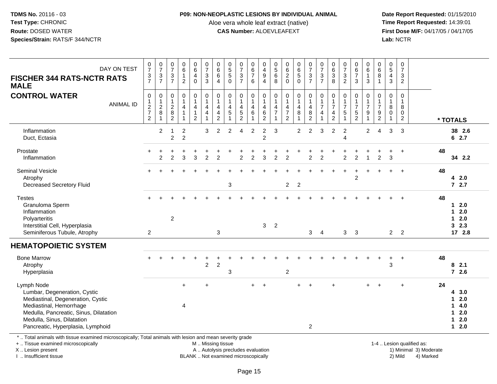### **P09: NON-NEOPLASTIC LESIONS BY INDIVIDUAL ANIMAL**

Aloe vera whole leaf extract (native)<br>**CAS Number:** ALOEVLEAFEXT

 **Date Report Requested:** 01/15/2010 **First Dose M/F:** 04/17/05 / 04/17/05 Lab: NCTR **Lab:** NCTR

| DAY ON TEST<br><b>FISCHER 344 RATS-NCTR RATS</b><br><b>MALE</b>                                                                                                                                                         | $\begin{array}{c} 0 \\ 7 \end{array}$<br>$\frac{3}{7}$                      | $\frac{0}{7}$<br>$\ensuremath{\mathsf{3}}$<br>$\overline{7}$  | $\frac{0}{7}$<br>$\frac{3}{7}$                             | $_{6}^{\rm 0}$<br>1<br>$\overline{2}$         | $\begin{array}{c} 0 \\ 6 \end{array}$<br>$\overline{\mathbf{4}}$<br>$\mathbf 0$ | $\frac{0}{7}$<br>$\sqrt{3}$<br>$\mathbf{3}$                                     | 0<br>$\overline{6}$<br>$\,6$<br>4  | $\begin{array}{c} 0 \\ 5 \\ 5 \end{array}$<br>$\mathbf{0}$ | $\frac{0}{7}$<br>$\frac{3}{7}$                                                         | 0<br>$\overline{6}$<br>$\overline{7}$<br>6     | $\mathbf 0$<br>$\overline{4}$<br>$\boldsymbol{9}$<br>$\overline{4}$          | $\begin{array}{c} 0 \\ 5 \end{array}$<br>$6\phantom{1}6$<br>8         | $\begin{matrix} 0 \\ 6 \\ 2 \end{matrix}$<br>$\mathbf 0$                          | 0<br>6<br>5<br>0            | $\frac{0}{7}$<br>$\frac{3}{7}$                                                                 | $\frac{0}{7}$<br>$\frac{3}{7}$                       | $\begin{array}{c} 0 \\ 6 \end{array}$<br>$\ensuremath{\mathsf{3}}$<br>8 | $\begin{array}{c} 0 \\ 7 \end{array}$<br>$\mathbf{3}$<br>$\overline{2}$ | $\begin{array}{c} 0 \\ 6 \\ 7 \end{array}$<br>3 | $_{6}^{\rm 0}$<br>$\mathbf{1}$<br>$\mathfrak{S}$                 | $\begin{array}{c} 0 \\ 6 \end{array}$<br>$\overline{8}$<br>1    | $\begin{array}{c} 0 \\ 5 \end{array}$<br>$\overline{4}$<br>$\mathbf{3}$ | $\pmb{0}$<br>$\overline{7}$<br>$\mathbf{3}$<br>$\overline{2}$       |                           |    |                                                       |
|-------------------------------------------------------------------------------------------------------------------------------------------------------------------------------------------------------------------------|-----------------------------------------------------------------------------|---------------------------------------------------------------|------------------------------------------------------------|-----------------------------------------------|---------------------------------------------------------------------------------|---------------------------------------------------------------------------------|------------------------------------|------------------------------------------------------------|----------------------------------------------------------------------------------------|------------------------------------------------|------------------------------------------------------------------------------|-----------------------------------------------------------------------|-----------------------------------------------------------------------------------|-----------------------------|------------------------------------------------------------------------------------------------|------------------------------------------------------|-------------------------------------------------------------------------|-------------------------------------------------------------------------|-------------------------------------------------|------------------------------------------------------------------|-----------------------------------------------------------------|-------------------------------------------------------------------------|---------------------------------------------------------------------|---------------------------|----|-------------------------------------------------------|
| <b>CONTROL WATER</b><br><b>ANIMAL ID</b>                                                                                                                                                                                | $\mathbf 0$<br>$\begin{array}{c} 1 \\ 2 \\ 7 \end{array}$<br>$\overline{2}$ | 0<br>$\mathbf{1}$<br>$\overline{2}$<br>$\,8\,$<br>$\mathbf 1$ | 0<br>$\mathbf{1}$<br>$\overline{2}$<br>8<br>$\overline{2}$ | $\mathbf 0$<br>$\mathbf{1}$<br>$\overline{4}$ | 0<br>$\mathbf{1}$<br>$\overline{4}$<br>$\mathbf 1$<br>$\overline{2}$            | $\mathbf 0$<br>$\mathbf{1}$<br>$\overline{4}$<br>$\overline{4}$<br>$\mathbf{1}$ | 0<br>1<br>4<br>4<br>$\overline{c}$ | $\mathbf 0$<br>$\mathbf{1}$<br>4<br>5<br>1                 | $\mathbf 0$<br>$\mathbf{1}$<br>$\overline{\mathbf{4}}$<br>$\sqrt{5}$<br>$\overline{2}$ | 0<br>$\mathbf{1}$<br>$\overline{4}$<br>$\,6\,$ | $\mathbf 0$<br>$\overline{1}$<br>$\overline{4}$<br>$\,6\,$<br>$\overline{2}$ | 0<br>$\mathbf{1}$<br>$\overline{4}$<br>$\overline{7}$<br>$\mathbf{1}$ | $\mathbf 0$<br>$\mathbf{1}$<br>$\overline{4}$<br>$\overline{7}$<br>$\overline{2}$ | 0<br>$\mathbf{1}$<br>4<br>8 | 0<br>$\mathbf{1}$<br>$\overline{\mathbf{4}}$<br>$\begin{smallmatrix} 8 \\ 2 \end{smallmatrix}$ | $\mathbf 0$<br>$\overline{1}$<br>$\overline{7}$<br>4 | 0<br>$\mathbf{1}$<br>$\overline{7}$<br>4<br>$\overline{c}$              | $\mathbf 0$<br>$\mathbf{1}$<br>$\overline{7}$<br>5<br>1                 | 0<br>1<br>$\overline{7}$<br>$\frac{5}{2}$       | $\mathbf 0$<br>$\frac{1}{7}$<br>$\boldsymbol{9}$<br>$\mathbf{1}$ | $\mathbf{0}$<br>$\mathbf{1}$<br>$\overline{7}$<br>$\frac{9}{2}$ | $\mathbf 0$<br>$\mathbf{1}$<br>8<br>0<br>-1                             | $\mathbf 0$<br>$\overline{1}$<br>8<br>$\mathbf 0$<br>$\overline{2}$ |                           |    | * TOTALS                                              |
| Inflammation<br>Duct, Ectasia                                                                                                                                                                                           |                                                                             | $\overline{c}$                                                | $\overline{c}$                                             | $\overline{c}$<br>$\overline{2}$              |                                                                                 | 3                                                                               | $\overline{2}$                     | $\overline{2}$                                             | $\overline{4}$                                                                         | $\overline{c}$                                 | $\overline{c}$<br>$\overline{c}$                                             | 3                                                                     |                                                                                   | $\overline{2}$              | $\overline{2}$                                                                                 | 3                                                    | $\overline{c}$                                                          | $\overline{c}$<br>$\Delta$                                              |                                                 | $\overline{2}$                                                   | $\boldsymbol{\Lambda}$                                          | 3                                                                       | 3                                                                   |                           |    | 38 2.6<br>62.7                                        |
| Prostate<br>Inflammation                                                                                                                                                                                                |                                                                             | $\overline{2}$                                                | $\overline{2}$                                             | 3                                             | 3                                                                               | $\overline{a}$                                                                  | $\overline{2}$                     |                                                            | $\overline{2}$                                                                         | $\overline{2}$                                 | 3                                                                            | $\overline{2}$                                                        | $\overline{2}$                                                                    |                             | $\overline{2}$                                                                                 | 2                                                    |                                                                         | 2                                                                       | $\overline{2}$                                  | $\mathbf{1}$                                                     | $\overline{2}$                                                  | 3                                                                       |                                                                     |                           | 48 | 34 2.2                                                |
| <b>Seminal Vesicle</b><br>Atrophy<br><b>Decreased Secretory Fluid</b>                                                                                                                                                   |                                                                             |                                                               |                                                            |                                               |                                                                                 |                                                                                 |                                    | $\mathbf{3}$                                               |                                                                                        |                                                |                                                                              |                                                                       | 2 <sup>7</sup>                                                                    | $\overline{2}$              |                                                                                                |                                                      |                                                                         |                                                                         | $\ddot{}$<br>$\overline{2}$                     |                                                                  |                                                                 |                                                                         | $\div$                                                              |                           | 48 | 42.0<br>72.7                                          |
| <b>Testes</b><br>Granuloma Sperm<br>Inflammation<br>Polyarteritis<br>Interstitial Cell, Hyperplasia<br>Seminiferous Tubule, Atrophy                                                                                     | $\overline{2}$                                                              |                                                               | $\overline{c}$                                             |                                               |                                                                                 |                                                                                 | 3                                  |                                                            |                                                                                        |                                                | 3                                                                            | $\overline{2}$                                                        |                                                                                   |                             | $\mathbf{3}$                                                                                   | $\overline{4}$                                       |                                                                         |                                                                         | 3 <sub>3</sub>                                  |                                                                  |                                                                 |                                                                         | 2 <sub>2</sub>                                                      |                           | 48 | $12.0$<br>$12.0$<br>$12.0$<br>32.3<br>17 2.8          |
| <b>HEMATOPOIETIC SYSTEM</b>                                                                                                                                                                                             |                                                                             |                                                               |                                                            |                                               |                                                                                 |                                                                                 |                                    |                                                            |                                                                                        |                                                |                                                                              |                                                                       |                                                                                   |                             |                                                                                                |                                                      |                                                                         |                                                                         |                                                 |                                                                  |                                                                 |                                                                         |                                                                     |                           |    |                                                       |
| <b>Bone Marrow</b><br>Atrophy<br>Hyperplasia                                                                                                                                                                            |                                                                             |                                                               |                                                            |                                               |                                                                                 | $\overline{c}$                                                                  | $\overline{c}$                     | 3                                                          |                                                                                        |                                                |                                                                              |                                                                       | $\boldsymbol{2}$                                                                  |                             |                                                                                                |                                                      |                                                                         |                                                                         |                                                 |                                                                  |                                                                 | 3                                                                       | $\ddot{}$                                                           |                           | 48 | 82.1<br>72.6                                          |
| Lymph Node<br>Lumbar, Degeneration, Cystic<br>Mediastinal, Degeneration, Cystic<br>Mediastinal, Hemorrhage<br>Medulla, Pancreatic, Sinus, Dilatation<br>Medulla, Sinus, Dilatation<br>Pancreatic, Hyperplasia, Lymphoid |                                                                             |                                                               |                                                            | $+$<br>$\overline{4}$                         |                                                                                 | $\ddot{}$                                                                       |                                    |                                                            |                                                                                        |                                                | $+$                                                                          |                                                                       |                                                                                   | $+$                         | $\overline{2}$                                                                                 |                                                      | $\ddotmark$                                                             |                                                                         |                                                 |                                                                  |                                                                 |                                                                         | ÷                                                                   |                           | 24 | 4 3.0<br>$12.0$<br>14.0<br>$12.0$<br>$12.0$<br>$12.0$ |
| *  Total animals with tissue examined microscopically; Total animals with lesion and mean severity grade<br>+  Tissue examined microscopically                                                                          |                                                                             |                                                               |                                                            |                                               |                                                                                 |                                                                                 |                                    | M  Missing tissue                                          |                                                                                        |                                                |                                                                              |                                                                       |                                                                                   |                             |                                                                                                |                                                      |                                                                         |                                                                         |                                                 |                                                                  |                                                                 |                                                                         |                                                                     | 1-4  Lesion qualified as: |    |                                                       |

X .. Lesion present

I .. Insufficient tissue

A .. Autolysis precludes evaluation

BLANK .. Not examined microscopically 2) Mild 4) Marked

1-4 .. Lesion qualified as:<br>1) Minimal 3) Moderate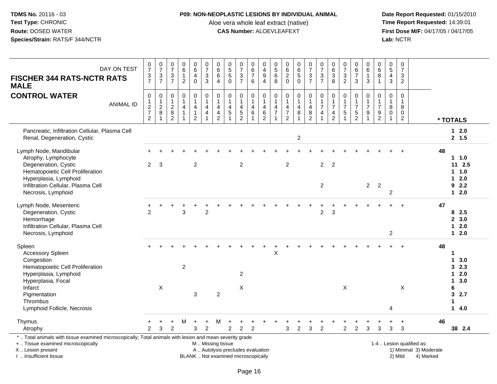### **P09: NON-NEOPLASTIC LESIONS BY INDIVIDUAL ANIMAL**

Aloe vera whole leaf extract (native)<br>**CAS Number:** ALOEVLEAFEXT

| DAY ON TEST<br><b>FISCHER 344 RATS-NCTR RATS</b><br><b>MALE</b>                                                                                                                                          | $\frac{0}{7}$<br>$\frac{3}{7}$                 | $\frac{0}{7}$<br>$\frac{3}{7}$                           | 0<br>$\overline{7}$<br>3<br>$\overline{7}$                     | $\mathbf 0$<br>$\,6\,$<br>$\mathbf{1}$<br>$\overline{2}$                      | $_{6}^{\rm 0}$<br>$\overline{4}$<br>$\Omega$             | $\begin{matrix}0\\7\end{matrix}$<br>$\ensuremath{\mathsf{3}}$<br>$\mathbf{3}$                | $\pmb{0}$<br>$\overline{6}$<br>$\,6$<br>$\overline{4}$                                    | $\mathbf 0$<br>$\overline{5}$<br>$\sqrt{5}$<br>$\mathbf{0}$ | $\boldsymbol{0}$<br>$\overline{7}$<br>$\ensuremath{\mathsf{3}}$<br>$\overline{7}$ | 0<br>$\overline{6}$<br>$\overline{7}$<br>6          | $\mathbf 0$<br>4<br>$\boldsymbol{9}$<br>$\overline{4}$                     | 0<br>$\overline{5}$<br>$6\phantom{1}6$<br>8 | 0<br>$6\phantom{a}$<br>$\boldsymbol{2}$<br>$\mathbf 0$       | $\begin{array}{c} 0 \\ 6 \\ 5 \end{array}$<br>$\mathbf 0$       | $\begin{array}{c} 0 \\ 7 \end{array}$<br>$\frac{3}{7}$     | 0<br>$\overline{7}$<br>$\frac{3}{7}$                       | $\mathbf 0$<br>$6\phantom{a}$<br>$\ensuremath{\mathsf{3}}$<br>8                            | 0<br>$\overline{7}$<br>$\ensuremath{\mathsf{3}}$<br>$\overline{2}$ | $_6^0$<br>$\overline{7}$<br>3                        | $\pmb{0}$<br>$\overline{6}$<br>$\mathbf{1}$<br>$\mathbf{3}$ | 0<br>$\overline{6}$<br>8<br>$\mathbf{1}$            | $\mathbf 0$<br>$\overline{5}$<br>$\overline{4}$<br>$\mathbf{3}$             | $\pmb{0}$<br>$\overline{7}$<br>$\mathbf{3}$<br>$\overline{2}$ |                                                                  |                                                                                                     |
|----------------------------------------------------------------------------------------------------------------------------------------------------------------------------------------------------------|------------------------------------------------|----------------------------------------------------------|----------------------------------------------------------------|-------------------------------------------------------------------------------|----------------------------------------------------------|----------------------------------------------------------------------------------------------|-------------------------------------------------------------------------------------------|-------------------------------------------------------------|-----------------------------------------------------------------------------------|-----------------------------------------------------|----------------------------------------------------------------------------|---------------------------------------------|--------------------------------------------------------------|-----------------------------------------------------------------|------------------------------------------------------------|------------------------------------------------------------|--------------------------------------------------------------------------------------------|--------------------------------------------------------------------|------------------------------------------------------|-------------------------------------------------------------|-----------------------------------------------------|-----------------------------------------------------------------------------|---------------------------------------------------------------|------------------------------------------------------------------|-----------------------------------------------------------------------------------------------------|
| <b>CONTROL WATER</b><br><b>ANIMAL ID</b>                                                                                                                                                                 | $\mathbf 0$<br>$\frac{2}{7}$<br>$\overline{2}$ | $\pmb{0}$<br>$\mathbf{1}$<br>$\sqrt{2}$<br>$\bf 8$<br>-1 | 0<br>$\overline{1}$<br>$\boldsymbol{2}$<br>8<br>$\overline{2}$ | $\mathbf 0$<br>$\mathbf{1}$<br>$\overline{4}$<br>$\mathbf{1}$<br>$\mathbf{1}$ | 0<br>$\mathbf{1}$<br>4<br>$\mathbf{1}$<br>$\overline{2}$ | 0<br>$\mathbf{1}$<br>$\overline{4}$<br>$\overline{\mathbf{4}}$<br>$\overline{1}$             | 0<br>$\mathbf{1}$<br>$\overline{\mathbf{4}}$<br>$\overline{\mathbf{4}}$<br>$\overline{2}$ | $\mathbf 0$<br>$\mathbf{1}$<br>$\overline{4}$<br>$\sqrt{5}$ | $\mathbf 0$<br>$\overline{1}$<br>$\overline{4}$<br>$\frac{5}{2}$                  | 0<br>$\mathbf{1}$<br>4<br>$\,6\,$<br>$\overline{ }$ | $\mathbf 0$<br>$\mathbf{1}$<br>$\overline{4}$<br>$\,6\,$<br>$\overline{2}$ | 0<br>1<br>4<br>$\overline{7}$<br>1          | 0<br>$\mathbf{1}$<br>4<br>$\boldsymbol{7}$<br>$\overline{2}$ | $\pmb{0}$<br>$\mathbf{1}$<br>$\overline{\mathbf{4}}$<br>$\bf 8$ | 0<br>$\mathbf{1}$<br>$\overline{4}$<br>8<br>$\overline{2}$ | 0<br>$\mathbf{1}$<br>$\overline{7}$<br>4<br>$\overline{1}$ | $\mathbf 0$<br>$\mathbf{1}$<br>$\overline{7}$<br>$\overline{\mathbf{4}}$<br>$\overline{2}$ | $\pmb{0}$<br>$\mathbf{1}$<br>$\overline{7}$<br>5<br>$\overline{1}$ | 0<br>$\mathbf{1}$<br>$\overline{7}$<br>$\frac{5}{2}$ | 0<br>$\mathbf{1}$<br>$\boldsymbol{7}$<br>9<br>$\mathbf{1}$  | $\mathbf 0$<br>1<br>$\overline{7}$<br>$\frac{9}{2}$ | $\boldsymbol{0}$<br>$\mathbf{1}$<br>8<br>$\boldsymbol{0}$<br>$\overline{1}$ | $\pmb{0}$<br>$\mathbf{1}$<br>8<br>0<br>$\overline{c}$         |                                                                  | * TOTALS                                                                                            |
| Pancreatic, Infiltration Cellular, Plasma Cell<br>Renal, Degeneration, Cystic                                                                                                                            |                                                |                                                          |                                                                |                                                                               |                                                          |                                                                                              |                                                                                           |                                                             |                                                                                   |                                                     |                                                                            |                                             |                                                              | $\boldsymbol{2}$                                                |                                                            |                                                            |                                                                                            |                                                                    |                                                      |                                                             |                                                     |                                                                             |                                                               |                                                                  | $12.0$<br>2, 1.5                                                                                    |
| Lymph Node, Mandibular<br>Atrophy, Lymphocyte<br>Degeneration, Cystic<br>Hematopoietic Cell Proliferation<br>Hyperplasia, Lymphoid<br>Infiltration Cellular, Plasma Cell<br>Necrosis, Lymphoid           | $\overline{2}$                                 | 3                                                        |                                                                |                                                                               | 2                                                        |                                                                                              |                                                                                           |                                                             | 2                                                                                 |                                                     |                                                                            |                                             | $\overline{2}$                                               |                                                                 |                                                            | $\overline{2}$<br>$\overline{2}$                           | $\overline{2}$                                                                             |                                                                    |                                                      | $\overline{2}$                                              | $\overline{2}$                                      | 2                                                                           |                                                               |                                                                  | 48<br>1 1.0<br>$11 \t2.5$<br>$1 \t1.0$<br>$12.0$<br>92.2<br>$12.0$                                  |
| Lymph Node, Mesenteric<br>Degeneration, Cystic<br>Hemorrhage<br>Infiltration Cellular, Plasma Cell<br>Necrosis, Lymphoid                                                                                 | $\overline{2}$                                 |                                                          |                                                                | 3                                                                             |                                                          | $\overline{c}$                                                                               |                                                                                           |                                                             |                                                                                   |                                                     |                                                                            |                                             |                                                              |                                                                 |                                                            | $\overline{c}$                                             | 3                                                                                          |                                                                    |                                                      |                                                             |                                                     | $\overline{c}$                                                              |                                                               |                                                                  | 47<br>82.5<br>2, 3.0<br>2.0<br>$\mathbf{1}$<br>$12.0$                                               |
| Spleen<br>Accessory Spleen<br>Congestion<br>Hematopoietic Cell Proliferation<br>Hyperplasia, Lymphoid<br>Hyperplasia, Focal<br>Infarct<br>Pigmentation<br><b>Thrombus</b><br>Lymphoid Follicle, Necrosis |                                                | $\times$                                                 |                                                                | $\overline{c}$                                                                | 3                                                        |                                                                                              | $\overline{2}$                                                                            |                                                             | $\overline{2}$<br>$\pmb{\times}$                                                  |                                                     |                                                                            | X                                           |                                                              |                                                                 |                                                            |                                                            |                                                                                            | X                                                                  |                                                      |                                                             |                                                     | 4                                                                           | X                                                             |                                                                  | 48<br>1<br>3.0<br>$\mathbf 1$<br>32.3<br>$12.0$<br>3.0<br>$\mathbf 1$<br>6<br>3<br>2.7<br>1<br>14.0 |
| Thymus<br>Atrophy                                                                                                                                                                                        | +<br>$\overline{2}$                            | $\ddot{}$<br>3                                           | $\ddot{}$<br>2                                                 | М                                                                             | $\begin{array}{c} + \end{array}$<br>3                    | $\ddot{}$<br>$\overline{2}$                                                                  | M                                                                                         | $\ddot{}$<br>$\overline{2}$                                 | $\overline{2}$                                                                    | $\overline{2}$                                      |                                                                            |                                             | 3                                                            | $\overline{c}$                                                  | +<br>3                                                     | ÷<br>$\overline{2}$                                        | $\div$                                                                                     | $\overline{2}$                                                     | $\ddot{}$<br>$\overline{2}$                          | +<br>3                                                      | 3                                                   | $\ddot{}$<br>3                                                              | $\ddot{}$<br>3                                                |                                                                  | 46<br>38 2.4                                                                                        |
| *  Total animals with tissue examined microscopically; Total animals with lesion and mean severity grade<br>+  Tissue examined microscopically<br>X  Lesion present<br>I. Insufficient tissue            |                                                |                                                          |                                                                |                                                                               |                                                          | M Missing tissue<br>A  Autolysis precludes evaluation<br>BLANK  Not examined microscopically |                                                                                           |                                                             |                                                                                   |                                                     |                                                                            |                                             |                                                              |                                                                 |                                                            |                                                            |                                                                                            |                                                                    |                                                      |                                                             |                                                     |                                                                             | 2) Mild                                                       | 1-4  Lesion qualified as:<br>1) Minimal 3) Moderate<br>4) Marked |                                                                                                     |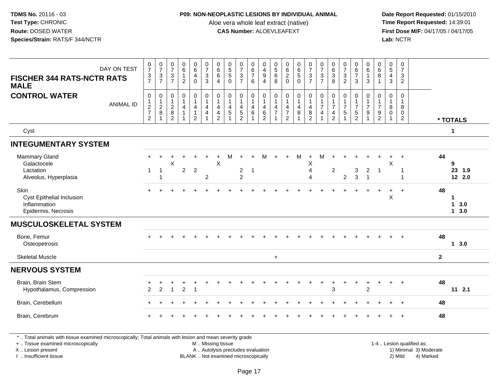### **P09: NON-NEOPLASTIC LESIONS BY INDIVIDUAL ANIMAL**

Aloe vera whole leaf extract (native)<br>**CAS Number:** ALOEVLEAFEXT

Date Report Requested: 01/15/2010<br>Time Report Requested: 14:39:01 **First Dose M/F:** 04/17/05 / 04/17/05<br>**Lab:** NCTR **Lab:** NCTR

| DAY ON TEST<br><b>FISCHER 344 RATS-NCTR RATS</b>                         | $\frac{0}{7}$<br>$\frac{3}{7}$                 | $\frac{0}{7}$<br>$\frac{3}{7}$                      | $\frac{0}{7}$<br>$\ensuremath{\mathsf{3}}$<br>$\overline{7}$            | $\begin{array}{c} 0 \\ 6 \end{array}$<br>$\mathbf{1}$<br>$\overline{2}$ | $\begin{array}{c} 0 \\ 6 \\ 4 \end{array}$<br>$\mathbf 0$                     | $\frac{0}{7}$<br>$\mathsf 3$<br>$\overline{3}$             | $\begin{matrix} 0 \\ 6 \\ 6 \end{matrix}$<br>$\overline{4}$                 | $\begin{array}{c} 0 \\ 5 \\ 5 \end{array}$<br>$\mathbf 0$                         | $\frac{0}{7}$<br>$\mathbf{3}$<br>$\overline{7}$                     | $\begin{matrix} 0 \\ 6 \end{matrix}$<br>$\overline{7}$<br>6            | 0<br>$\overline{4}$<br>$9\,$<br>$\overline{4}$                             | $\begin{array}{c} 0 \\ 5 \\ 6 \end{array}$<br>$\overline{8}$                      | 0620                                                                                               |                                                                                           | $\begin{smallmatrix}0\\7\end{smallmatrix}$<br>$\frac{3}{7}$                               | $\frac{0}{7}$<br>3<br>$\overline{7}$     | $\begin{array}{c} 0 \\ 6 \\ 3 \\ 8 \end{array}$ | $\frac{0}{7}$<br>$\frac{3}{2}$                     | $\begin{array}{c} 0 \\ 6 \\ 7 \end{array}$<br>$\mathfrak{Z}$ | $\begin{array}{c} 0 \\ 6 \end{array}$<br>$\mathbf{1}$<br>$\mathbf{3}$             | $\begin{array}{c} 0 \\ 6 \\ 8 \end{array}$<br>$\overline{1}$                          | $\begin{array}{c} 0 \\ 5 \\ 4 \end{array}$<br>$\mathbf{3}$           | $\frac{0}{7}$<br>$\mathbf{3}$<br>$\overline{2}$                   |              |                       |
|--------------------------------------------------------------------------|------------------------------------------------|-----------------------------------------------------|-------------------------------------------------------------------------|-------------------------------------------------------------------------|-------------------------------------------------------------------------------|------------------------------------------------------------|-----------------------------------------------------------------------------|-----------------------------------------------------------------------------------|---------------------------------------------------------------------|------------------------------------------------------------------------|----------------------------------------------------------------------------|-----------------------------------------------------------------------------------|----------------------------------------------------------------------------------------------------|-------------------------------------------------------------------------------------------|-------------------------------------------------------------------------------------------|------------------------------------------|-------------------------------------------------|----------------------------------------------------|--------------------------------------------------------------|-----------------------------------------------------------------------------------|---------------------------------------------------------------------------------------|----------------------------------------------------------------------|-------------------------------------------------------------------|--------------|-----------------------|
| <b>MALE</b>                                                              |                                                |                                                     |                                                                         |                                                                         |                                                                               |                                                            |                                                                             |                                                                                   |                                                                     |                                                                        |                                                                            |                                                                                   |                                                                                                    |                                                                                           |                                                                                           |                                          |                                                 |                                                    |                                                              |                                                                                   |                                                                                       |                                                                      |                                                                   |              |                       |
| <b>CONTROL WATER</b><br><b>ANIMAL ID</b>                                 | $\mathbf 0$<br>$\frac{1}{2}$<br>$\overline{c}$ | $\mathbf 0$<br>$\overline{1}$<br>$\frac{2}{8}$<br>1 | $\mathsf{O}\xspace$<br>$\mathbf{1}$<br>$_{8}^{\rm 2}$<br>$\overline{2}$ | $\mathsf{O}$<br>$\mathbf{1}$<br>4<br>$\mathbf{1}$<br>1                  | $\pmb{0}$<br>$\mathbf{1}$<br>$\overline{4}$<br>$\mathbf{1}$<br>$\overline{2}$ | $\mathsf{O}\xspace$<br>$\mathbf{1}$<br>4<br>$\overline{4}$ | $\pmb{0}$<br>$\mathbf{1}$<br>$\overline{\mathbf{4}}$<br>$\overline{4}$<br>2 | $\pmb{0}$<br>$\overline{1}$<br>$\overline{4}$<br>$\overline{5}$<br>$\overline{1}$ | 0<br>$\mathbf{1}$<br>$\overline{4}$<br>$\sqrt{5}$<br>$\overline{2}$ | $\pmb{0}$<br>$\mathbf{1}$<br>$\overline{4}$<br>$\,6\,$<br>$\mathbf{1}$ | $\mathbf 0$<br>$\mathbf{1}$<br>$\overline{4}$<br>$\,6\,$<br>$\overline{2}$ | $\pmb{0}$<br>$\overline{1}$<br>$\overline{4}$<br>$\overline{7}$<br>$\overline{1}$ | $\mathsf{O}\xspace$<br>$\mathbf{1}$<br>$\overline{\mathbf{4}}$<br>$\overline{7}$<br>$\overline{2}$ | $\begin{smallmatrix}0\\1\end{smallmatrix}$<br>$\overline{4}$<br>$\,8\,$<br>$\overline{1}$ | $\begin{smallmatrix}0\\1\end{smallmatrix}$<br>$\overline{4}$<br>$\bf 8$<br>$\overline{2}$ | 0<br>$\mathbf{1}$<br>$\overline{7}$<br>4 | $\pmb{0}$<br>$\frac{1}{7}$<br>$\frac{4}{2}$     | $\mathbf 0$<br>$\mathbf{1}$<br>$\overline{7}$<br>5 | 0<br>$\frac{1}{7}$<br>$\sqrt{5}$<br>$\overline{2}$           | $\mathbf 0$<br>$\mathbf{1}$<br>$\overline{7}$<br>$\boldsymbol{9}$<br>$\mathbf{1}$ | $\mathbf 0$<br>$\overline{1}$<br>$\overline{7}$<br>$\boldsymbol{9}$<br>$\overline{2}$ | $\mathbf 0$<br>$\mathbf{1}$<br>$\, 8$<br>$\mathbf 0$<br>$\mathbf{1}$ | $\mathbf 0$<br>$\mathbf{1}$<br>8<br>$\mathbf 0$<br>$\overline{2}$ |              | * TOTALS              |
| Cyst                                                                     |                                                |                                                     |                                                                         |                                                                         |                                                                               |                                                            |                                                                             |                                                                                   |                                                                     |                                                                        |                                                                            |                                                                                   |                                                                                                    |                                                                                           |                                                                                           |                                          |                                                 |                                                    |                                                              |                                                                                   |                                                                                       |                                                                      |                                                                   |              | $\mathbf{1}$          |
| <b>INTEGUMENTARY SYSTEM</b>                                              |                                                |                                                     |                                                                         |                                                                         |                                                                               |                                                            |                                                                             |                                                                                   |                                                                     |                                                                        |                                                                            |                                                                                   |                                                                                                    |                                                                                           |                                                                                           |                                          |                                                 |                                                    |                                                              |                                                                                   |                                                                                       |                                                                      |                                                                   |              |                       |
| Mammary Gland<br>Galactocele                                             |                                                |                                                     | X                                                                       |                                                                         |                                                                               |                                                            | $\pmb{\times}$                                                              | м                                                                                 | $\div$                                                              |                                                                        |                                                                            |                                                                                   |                                                                                                    | M                                                                                         | $\ddot{}$<br>X                                                                            | M                                        |                                                 |                                                    |                                                              |                                                                                   |                                                                                       | $\boldsymbol{\mathsf{X}}$                                            | $\ddot{}$                                                         |              | 44<br>9               |
| Lactation<br>Alveolus, Hyperplasia                                       | $\overline{1}$                                 | $\mathbf 1$<br>$\mathbf{1}$                         |                                                                         | $\boldsymbol{2}$                                                        | $\overline{2}$                                                                | $\overline{2}$                                             |                                                                             |                                                                                   | $\mathbf 2$<br>$\overline{2}$                                       | $\overline{1}$                                                         |                                                                            |                                                                                   |                                                                                                    |                                                                                           | $\overline{4}$<br>4                                                                       |                                          | $\overline{2}$                                  | $\overline{2}$                                     | 3<br>$\mathbf{3}$                                            | $\overline{2}$<br>$\overline{1}$                                                  | $\overline{1}$                                                                        |                                                                      | 1<br>1                                                            |              | 23 1.9<br>12 2.0      |
| Skin<br>Cyst Epithelial Inclusion<br>Inflammation<br>Epidermis, Necrosis |                                                |                                                     |                                                                         |                                                                         |                                                                               |                                                            |                                                                             |                                                                                   |                                                                     |                                                                        |                                                                            |                                                                                   |                                                                                                    |                                                                                           |                                                                                           |                                          |                                                 |                                                    |                                                              |                                                                                   |                                                                                       | X                                                                    | $\ddot{}$                                                         | 48           | 13.0<br>$1 \quad 3.0$ |
| <b>MUSCULOSKELETAL SYSTEM</b>                                            |                                                |                                                     |                                                                         |                                                                         |                                                                               |                                                            |                                                                             |                                                                                   |                                                                     |                                                                        |                                                                            |                                                                                   |                                                                                                    |                                                                                           |                                                                                           |                                          |                                                 |                                                    |                                                              |                                                                                   |                                                                                       |                                                                      |                                                                   |              |                       |
| Bone, Femur<br>Osteopetrosis                                             |                                                |                                                     |                                                                         |                                                                         |                                                                               |                                                            |                                                                             |                                                                                   |                                                                     |                                                                        |                                                                            |                                                                                   |                                                                                                    |                                                                                           |                                                                                           |                                          |                                                 |                                                    |                                                              |                                                                                   |                                                                                       |                                                                      | $\ddot{}$                                                         |              | 48<br>13.0            |
| <b>Skeletal Muscle</b>                                                   |                                                |                                                     |                                                                         |                                                                         |                                                                               |                                                            |                                                                             |                                                                                   |                                                                     |                                                                        |                                                                            | $+$                                                                               |                                                                                                    |                                                                                           |                                                                                           |                                          |                                                 |                                                    |                                                              |                                                                                   |                                                                                       |                                                                      |                                                                   | $\mathbf{2}$ |                       |
| <b>NERVOUS SYSTEM</b>                                                    |                                                |                                                     |                                                                         |                                                                         |                                                                               |                                                            |                                                                             |                                                                                   |                                                                     |                                                                        |                                                                            |                                                                                   |                                                                                                    |                                                                                           |                                                                                           |                                          |                                                 |                                                    |                                                              |                                                                                   |                                                                                       |                                                                      |                                                                   |              |                       |
| Brain, Brain Stem<br>Hypothalamus, Compression                           | 2                                              | $\overline{2}$                                      | $\mathbf{1}$                                                            | $\overline{2}$                                                          | $\overline{\mathbf{1}}$                                                       |                                                            |                                                                             |                                                                                   |                                                                     |                                                                        |                                                                            |                                                                                   |                                                                                                    |                                                                                           |                                                                                           |                                          | 3                                               |                                                    | $\ddot{}$                                                    | $\ddot{}$<br>$\overline{2}$                                                       | ÷                                                                                     | $\pm$                                                                | $+$                                                               |              | 48<br>$11 \t2.1$      |
| Brain, Cerebellum                                                        |                                                |                                                     |                                                                         |                                                                         |                                                                               |                                                            |                                                                             |                                                                                   |                                                                     |                                                                        |                                                                            |                                                                                   |                                                                                                    |                                                                                           |                                                                                           |                                          |                                                 |                                                    |                                                              |                                                                                   |                                                                                       |                                                                      | $+$                                                               |              | 48                    |
| Brain, Cerebrum                                                          |                                                |                                                     |                                                                         |                                                                         |                                                                               |                                                            |                                                                             |                                                                                   |                                                                     |                                                                        |                                                                            |                                                                                   |                                                                                                    |                                                                                           |                                                                                           |                                          |                                                 |                                                    |                                                              |                                                                                   |                                                                                       |                                                                      | $\ddot{+}$                                                        | 48           |                       |
|                                                                          |                                                |                                                     |                                                                         |                                                                         |                                                                               |                                                            |                                                                             |                                                                                   |                                                                     |                                                                        |                                                                            |                                                                                   |                                                                                                    |                                                                                           |                                                                                           |                                          |                                                 |                                                    |                                                              |                                                                                   |                                                                                       |                                                                      |                                                                   |              |                       |

\* .. Total animals with tissue examined microscopically; Total animals with lesion and mean severity grade

+ .. Tissue examined microscopically

X .. Lesion present

I .. Insufficient tissue

 M .. Missing tissueA .. Autolysis precludes evaluation

 1-4 .. Lesion qualified as: BLANK .. Not examined microscopically 2) Mild 4) Marked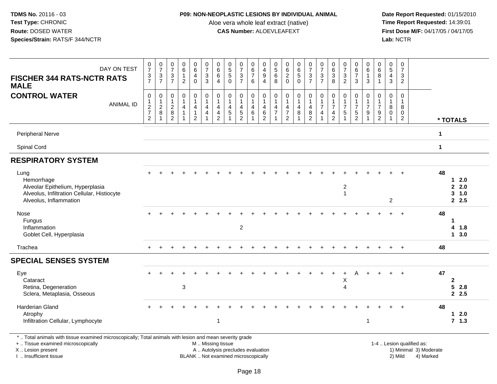### **P09: NON-NEOPLASTIC LESIONS BY INDIVIDUAL ANIMAL**

Aloe vera whole leaf extract (native)<br>**CAS Number:** ALOEVLEAFEXT

 **Date Report Requested:** 01/15/2010 **First Dose M/F:** 04/17/05 / 04/17/05<br>Lab: NCTR **Lab:** NCTR

| DAY ON TEST                                                                                                                                                         | $\frac{0}{7}$                   | $\frac{0}{7}$               | $\frac{0}{7}$                              | $\begin{array}{c} 0 \\ 6 \end{array}$<br>$\mathbf{1}$ | $\begin{array}{c} 0 \\ 6 \end{array}$<br>$\overline{4}$ | $\frac{0}{7}$<br>$\sqrt{3}$                            | 0<br>$\,6\,$<br>$\,6\,$                            | $\begin{array}{c} 0 \\ 5 \\ 5 \end{array}$   | $\frac{0}{7}$                              | 0<br>$\frac{6}{7}$        | 0<br>$\frac{4}{9}$           | $\begin{array}{c} 0 \\ 5 \\ 6 \end{array}$ | 0620                                                        | $\begin{array}{c} 0 \\ 6 \\ 5 \end{array}$ | 07/3/7                                              | $\frac{0}{7}$<br>$\ensuremath{\mathsf{3}}$ | 0<br>$\frac{6}{3}$                    | $\frac{0}{7}$<br>$\mathsf 3$     | 0<br>$\frac{6}{7}$              | $\mathbf 0$<br>$\,6\,$<br>$\mathbf{1}$  | 0<br>$\,6\,$<br>8                     | $\begin{array}{c} 0 \\ 5 \end{array}$<br>$\overline{4}$ | 0<br>$\overline{7}$<br>3 |                                                     |             |                              |
|---------------------------------------------------------------------------------------------------------------------------------------------------------------------|---------------------------------|-----------------------------|--------------------------------------------|-------------------------------------------------------|---------------------------------------------------------|--------------------------------------------------------|----------------------------------------------------|----------------------------------------------|--------------------------------------------|---------------------------|------------------------------|--------------------------------------------|-------------------------------------------------------------|--------------------------------------------|-----------------------------------------------------|--------------------------------------------|---------------------------------------|----------------------------------|---------------------------------|-----------------------------------------|---------------------------------------|---------------------------------------------------------|--------------------------|-----------------------------------------------------|-------------|------------------------------|
| <b>FISCHER 344 RATS-NCTR RATS</b><br><b>MALE</b>                                                                                                                    | $\frac{3}{7}$                   | $\frac{3}{7}$               | $\frac{3}{7}$                              | $\overline{c}$                                        | $\mathbf 0$                                             | $\overline{3}$                                         | $\overline{4}$                                     | $\Omega$                                     | $\frac{3}{7}$                              | $6\phantom{1}$            | $\overline{4}$               | 8                                          |                                                             | $\overline{0}$                             |                                                     | $\overline{7}$                             | 8                                     | $\overline{2}$                   | 3                               | $\mathbf{3}$                            | $\mathbf{1}$                          | 3                                                       | $\overline{2}$           |                                                     |             |                              |
| <b>CONTROL WATER</b>                                                                                                                                                | $\pmb{0}$                       | 0<br>$\mathbf{1}$           | $\pmb{0}$<br>$\mathbf{1}$                  | $\pmb{0}$<br>$\mathbf{1}$                             | $\mathbf 0$<br>$\mathbf{1}$                             | $\pmb{0}$<br>$\mathbf{1}$                              | $\pmb{0}$<br>$\mathbf{1}$                          | $\mathbf 0$<br>$\mathbf{1}$                  | 0<br>$\mathbf 1$                           | $\boldsymbol{0}$<br>1     | $\pmb{0}$<br>$\mathbf{1}$    | $\mathbf 0$<br>$\mathbf{1}$                | $\pmb{0}$<br>$\mathbf{1}$                                   | 0<br>$\mathbf{1}$                          | $\pmb{0}$<br>$\mathbf{1}$                           | $\mathsf 0$<br>$\mathbf{1}$                | $\pmb{0}$<br>$\mathbf{1}$             | $\pmb{0}$<br>1                   | $\mathbf 0$<br>1                | $\boldsymbol{0}$<br>$\mathbf{1}$        | 0<br>$\mathbf{1}$                     | $\boldsymbol{0}$<br>$\mathbf{1}$                        | 0<br>$\mathbf{1}$        |                                                     |             |                              |
| <b>ANIMAL ID</b>                                                                                                                                                    | $\frac{1}{2}$<br>$\overline{2}$ | $_{\rm 8}^2$<br>$\mathbf 1$ | $\begin{array}{c} 2 \\ 8 \\ 2 \end{array}$ | $\overline{4}$                                        | $\overline{4}$<br>$\overline{1}$<br>$\overline{2}$      | $\overline{4}$<br>$\overline{4}$<br>$\mathbf{1}$       | $\overline{4}$<br>$\overline{4}$<br>$\overline{2}$ | $\overline{4}$<br>$\sqrt{5}$<br>$\mathbf{1}$ | $\begin{array}{c} 4 \\ 5 \\ 2 \end{array}$ | $\overline{4}$<br>$\,6\,$ | 4<br>$\,6$<br>$\overline{2}$ | $\overline{4}$<br>$\overline{7}$           | $\overline{\mathbf{4}}$<br>$\overline{7}$<br>$\overline{2}$ | $\overline{4}$<br>$\, 8$<br>$\mathbf{1}$   | $\overline{\mathbf{4}}$<br>$\, 8$<br>$\overline{2}$ | $\overline{7}$<br>4                        | $\overline{7}$<br>4<br>$\overline{2}$ | $\overline{7}$<br>$\sqrt{5}$     | $\overline{7}$<br>$\frac{5}{2}$ | $\overline{7}$<br>$9\,$<br>$\mathbf{1}$ | $\overline{7}$<br>9<br>$\overline{2}$ | 8<br>$\mathbf 0$<br>$\overline{1}$                      | 8<br>0<br>$\overline{2}$ |                                                     |             | * TOTALS                     |
| Peripheral Nerve                                                                                                                                                    |                                 |                             |                                            |                                                       |                                                         |                                                        |                                                    |                                              |                                            |                           |                              |                                            |                                                             |                                            |                                                     |                                            |                                       |                                  |                                 |                                         |                                       |                                                         |                          |                                                     | $\mathbf 1$ |                              |
| Spinal Cord                                                                                                                                                         |                                 |                             |                                            |                                                       |                                                         |                                                        |                                                    |                                              |                                            |                           |                              |                                            |                                                             |                                            |                                                     |                                            |                                       |                                  |                                 |                                         |                                       |                                                         |                          |                                                     | $\mathbf 1$ |                              |
| <b>RESPIRATORY SYSTEM</b>                                                                                                                                           |                                 |                             |                                            |                                                       |                                                         |                                                        |                                                    |                                              |                                            |                           |                              |                                            |                                                             |                                            |                                                     |                                            |                                       |                                  |                                 |                                         |                                       |                                                         |                          |                                                     |             |                              |
| Lung<br>Hemorrhage                                                                                                                                                  |                                 |                             |                                            |                                                       |                                                         |                                                        |                                                    |                                              |                                            |                           |                              |                                            |                                                             |                                            |                                                     |                                            |                                       |                                  |                                 |                                         |                                       |                                                         |                          |                                                     | 48          | $12.0$                       |
| Alveolar Epithelium, Hyperplasia<br>Alveolus, Infiltration Cellular, Histiocyte<br>Alveolus, Inflammation                                                           |                                 |                             |                                            |                                                       |                                                         |                                                        |                                                    |                                              |                                            |                           |                              |                                            |                                                             |                                            |                                                     |                                            |                                       | $\overline{2}$<br>$\overline{1}$ |                                 |                                         |                                       | $\overline{c}$                                          |                          |                                                     |             | 2.0<br>$3 - 1.0$<br>2.5      |
| Nose<br>Fungus<br>Inflammation<br>Goblet Cell, Hyperplasia                                                                                                          |                                 |                             |                                            |                                                       |                                                         |                                                        |                                                    |                                              | $\overline{2}$                             |                           |                              |                                            |                                                             |                                            |                                                     |                                            |                                       |                                  |                                 |                                         |                                       |                                                         |                          |                                                     | 48          | $\mathbf 1$<br>4 1.8<br>13.0 |
| Trachea                                                                                                                                                             |                                 |                             |                                            |                                                       |                                                         |                                                        |                                                    |                                              |                                            |                           |                              |                                            |                                                             |                                            |                                                     |                                            |                                       |                                  |                                 |                                         |                                       |                                                         | $+$                      |                                                     | 48          |                              |
| <b>SPECIAL SENSES SYSTEM</b>                                                                                                                                        |                                 |                             |                                            |                                                       |                                                         |                                                        |                                                    |                                              |                                            |                           |                              |                                            |                                                             |                                            |                                                     |                                            |                                       |                                  |                                 |                                         |                                       |                                                         |                          |                                                     |             |                              |
| Eye<br>Cataract                                                                                                                                                     |                                 |                             |                                            |                                                       |                                                         |                                                        |                                                    |                                              |                                            |                           |                              |                                            |                                                             |                                            |                                                     |                                            |                                       | $\ddot{}$<br>X                   | A                               |                                         |                                       |                                                         | $\overline{+}$           |                                                     | 47          | $\mathbf{2}$                 |
| Retina, Degeneration<br>Sclera, Metaplasia, Osseous                                                                                                                 |                                 |                             |                                            | $\mathbf{3}$                                          |                                                         |                                                        |                                                    |                                              |                                            |                           |                              |                                            |                                                             |                                            |                                                     |                                            |                                       | $\overline{4}$                   |                                 |                                         |                                       |                                                         |                          |                                                     |             | 52.8<br>2.5                  |
| Harderian Gland<br>Atrophy<br>Infiltration Cellular, Lymphocyte                                                                                                     |                                 |                             |                                            |                                                       |                                                         |                                                        | $\mathbf{1}$                                       |                                              |                                            |                           |                              |                                            |                                                             |                                            |                                                     |                                            |                                       |                                  |                                 | $\overline{1}$                          |                                       |                                                         |                          |                                                     | 48          | $12.0$<br>7.1.3              |
| *  Total animals with tissue examined microscopically; Total animals with lesion and mean severity grade<br>+  Tissue examined microscopically<br>X  Lesion present |                                 |                             |                                            |                                                       |                                                         | M  Missing tissue<br>A  Autolysis precludes evaluation |                                                    |                                              |                                            |                           |                              |                                            |                                                             |                                            |                                                     |                                            |                                       |                                  |                                 |                                         |                                       |                                                         |                          | 1-4  Lesion qualified as:<br>1) Minimal 3) Moderate |             |                              |

I .. Insufficient tissue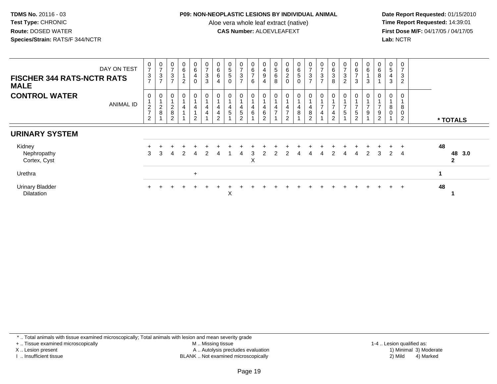### **P09: NON-NEOPLASTIC LESIONS BY INDIVIDUAL ANIMAL**

Aloe vera whole leaf extract (native)<br>**CAS Number:** ALOEVLEAFEXT

Date Report Requested: 01/15/2010<br>Time Report Requested: 14:39:01 **First Dose M/F:** 04/17/05 / 04/17/05 Lab: NCTR **Lab:** NCTR

| <b>FISCHER 344 RATS-NCTR RATS</b><br><b>MALE</b> | DAY ON TEST      | $\frac{0}{7}$<br>$\frac{3}{7}$       | $\frac{0}{7}$<br>$\frac{3}{7}$                        | 0<br>$\overline{ }$<br>3<br>$\overline{ }$ | O<br>6<br>$\overline{2}$ | 0<br>6<br>$\overline{4}$<br>0 | 0<br>$\overline{ }$<br>$\sqrt{3}$<br>3 | $\begin{matrix} 0 \\ 6 \\ 6 \\ 4 \end{matrix}$ | $\begin{array}{c} 0 \\ 5 \\ 5 \end{array}$<br>$\mathbf 0$ | $\overline{7}$<br>3<br>$\overline{ }$ | 0<br>6<br>$\overline{ }$<br>6 | 0<br>$\frac{4}{9}$<br>$\overline{4}$          | 0<br>$\sqrt{5}$<br>$\,6\,$<br>8 | 0620                                 | $065$<br>0                                      | 0<br>$\overline{ }$<br>3<br>$\overline{ }$ | $\frac{0}{7}$<br>$\frac{3}{7}$                 | $\begin{matrix} 0 \\ 6 \\ 3 \end{matrix}$<br>8                       | $\rightarrow$<br>$\ensuremath{\mathsf{3}}$<br>2 | 0<br>$rac{6}{7}$<br>3                               | 0<br>6<br>3              | 0<br>$\,6\,$<br>$\bf 8$                                   | $\sqrt{5}$<br>4<br>3 | 3<br>$\overline{2}$              |    |                        |
|--------------------------------------------------|------------------|--------------------------------------|-------------------------------------------------------|--------------------------------------------|--------------------------|-------------------------------|----------------------------------------|------------------------------------------------|-----------------------------------------------------------|---------------------------------------|-------------------------------|-----------------------------------------------|---------------------------------|--------------------------------------|-------------------------------------------------|--------------------------------------------|------------------------------------------------|----------------------------------------------------------------------|-------------------------------------------------|-----------------------------------------------------|--------------------------|-----------------------------------------------------------|----------------------|----------------------------------|----|------------------------|
| <b>CONTROL WATER</b>                             | <b>ANIMAL ID</b> | 0<br>$\frac{2}{7}$<br>$\overline{2}$ | 0<br>$\overline{1}$<br>$^2_{\bf 8}$<br>$\overline{A}$ | 0<br>$_{8}^{\rm 2}$<br>$\overline{2}$      |                          | 0<br>4<br>$\overline{2}$      | 0<br>4<br>4                            | 0<br>$\overline{4}$<br>$\frac{4}{2}$           | 0<br>$\overline{A}$<br>4<br>$\sqrt{5}$                    | 5<br>$\overline{2}$                   | 0<br>4<br>6                   | $\mathbf 0$<br>4<br>$\,6\,$<br>$\overline{2}$ | 0<br>4<br>$\overline{ }$        | 0<br>$\frac{4}{7}$<br>$\overline{2}$ | 0<br>$\overline{4}$<br>$\, 8$<br>$\overline{1}$ | 0<br>4<br>8<br>$\overline{2}$              | 0<br>$\overline{ }$<br>$\overline{\mathbf{4}}$ | $\overline{0}$<br>$\overline{ }$<br>$\overline{4}$<br>$\overline{c}$ | $\mathbf 5$                                     | 0<br>$\overline{ }$<br>$\sqrt{5}$<br>$\overline{2}$ | 0<br>$\overline{ }$<br>9 | 0<br>$\overline{ }$<br>$\boldsymbol{9}$<br>$\overline{2}$ | 8<br>$\mathbf 0$     | 8<br>$\pmb{0}$<br>$\overline{c}$ |    | * TOTALS               |
| <b>URINARY SYSTEM</b>                            |                  |                                      |                                                       |                                            |                          |                               |                                        |                                                |                                                           |                                       |                               |                                               |                                 |                                      |                                                 |                                            |                                                |                                                                      |                                                 |                                                     |                          |                                                           |                      |                                  |    |                        |
| Kidney<br>Nephropathy<br>Cortex, Cyst            |                  | 3                                    | 3                                                     |                                            |                          | 4                             | $\mathcal{P}$                          | 4                                              |                                                           | 4                                     | 3<br>X                        | 2                                             | $\mathcal{P}$                   | $\mathcal{P}$                        | 4                                               | 4                                          | 4                                              | $\overline{2}$                                                       | 4                                               | $\overline{4}$                                      | 2                        | $\mathbf{3}$                                              | 2                    | $\overline{4}$                   | 48 | 48 3.0<br>$\mathbf{2}$ |
| Urethra                                          |                  |                                      |                                                       |                                            |                          | $+$                           |                                        |                                                |                                                           |                                       |                               |                                               |                                 |                                      |                                                 |                                            |                                                |                                                                      |                                                 |                                                     |                          |                                                           |                      |                                  | 1  |                        |
| <b>Urinary Bladder</b><br><b>Dilatation</b>      |                  |                                      |                                                       |                                            |                          |                               |                                        |                                                | X                                                         |                                       |                               |                                               |                                 |                                      |                                                 |                                            |                                                |                                                                      |                                                 |                                                     |                          |                                                           |                      | $+$                              | 48 |                        |

\* .. Total animals with tissue examined microscopically; Total animals with lesion and mean severity grade

+ .. Tissue examined microscopically

X .. Lesion present

I .. Insufficient tissue

M .. Missing tissue

A .. Autolysis precludes evaluation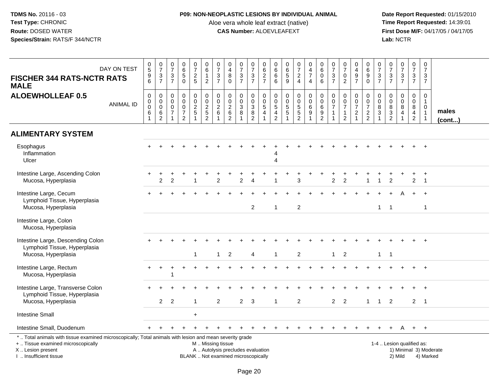### **P09: NON-NEOPLASTIC LESIONS BY INDIVIDUAL ANIMAL**

Aloe vera whole leaf extract (native)<br>**CAS Number:** ALOEVLEAFEXT

 **Date Report Requested:** 01/15/2010 **First Dose M/F:** 04/17/05 / 04/17/05<br>Lab: NCTR **Lab:** NCTR

| <b>FISCHER 344 RATS-NCTR RATS</b><br><b>MALE</b>                                                                                                                    | DAY ON TEST      | $\begin{array}{c} 0 \\ 5 \end{array}$<br>9<br>$\overline{6}$       | $\frac{0}{7}$<br>$\frac{3}{7}$                                       | $\begin{array}{c} 0 \\ 7 \end{array}$<br>$\frac{3}{7}$                   | $\begin{array}{c} 0 \\ 6 \\ 5 \end{array}$<br>$\overline{0}$      | $\begin{smallmatrix} 0\\7 \end{smallmatrix}$<br>$\frac{2}{5}$           | $_{\rm 6}^{\rm 0}$<br>$\mathbf{1}$<br>$\overline{c}$  | $\frac{0}{7}$<br>3<br>$\overline{7}$              | $\begin{smallmatrix}0\0\4\end{smallmatrix}$<br>$\overline{8}$<br>$\overline{0}$ | $\frac{0}{7}$<br>$\frac{3}{7}$           | $\begin{array}{c} 0 \\ 7 \end{array}$<br>$\frac{3}{7}$   | $\begin{array}{c} 0 \\ 6 \end{array}$<br>$\frac{2}{7}$              | $0$<br>6<br>6<br>6                                       | 0<br>6<br>5<br>9                      | $\frac{0}{7}$<br>$\frac{2}{4}$ | $\begin{array}{c} 0 \\ 4 \\ 7 \end{array}$<br>4 | $\begin{array}{c} 0 \\ 6 \end{array}$<br>$\mathbf 0$<br>6                   | $\frac{0}{7}$<br>$rac{3}{7}$                                         | $\frac{0}{7}$<br>$\mathbf 0$<br>$\overline{2}$                         | $\pmb{0}$<br>$rac{4}{9}$                                                           | $\begin{array}{c} 0 \\ 6 \end{array}$<br>$\boldsymbol{9}$<br>$\overline{0}$ | $\frac{0}{7}$<br>$\frac{3}{7}$                                                                | $\frac{0}{7}$<br>$rac{1}{7}$                           | $\begin{array}{c} 0 \\ 7 \\ 3 \\ 7 \end{array}$                 | $\frac{0}{7}$<br>$\frac{3}{7}$                                     | $\pmb{0}$<br>$\overline{7}$<br>3<br>$\overline{7}$                                      |                        |
|---------------------------------------------------------------------------------------------------------------------------------------------------------------------|------------------|--------------------------------------------------------------------|----------------------------------------------------------------------|--------------------------------------------------------------------------|-------------------------------------------------------------------|-------------------------------------------------------------------------|-------------------------------------------------------|---------------------------------------------------|---------------------------------------------------------------------------------|------------------------------------------|----------------------------------------------------------|---------------------------------------------------------------------|----------------------------------------------------------|---------------------------------------|--------------------------------|-------------------------------------------------|-----------------------------------------------------------------------------|----------------------------------------------------------------------|------------------------------------------------------------------------|------------------------------------------------------------------------------------|-----------------------------------------------------------------------------|-----------------------------------------------------------------------------------------------|--------------------------------------------------------|-----------------------------------------------------------------|--------------------------------------------------------------------|-----------------------------------------------------------------------------------------|------------------------|
| <b>ALOEWHOLLEAF 0.5</b>                                                                                                                                             | <b>ANIMAL ID</b> | $\mathbf 0$<br>$\mathbf 0$<br>$\pmb{0}$<br>$\,6\,$<br>$\mathbf{1}$ | $\mathbf 0$<br>$\mathbf 0$<br>$\pmb{0}$<br>$\,6\,$<br>$\overline{c}$ | $\mathbf 0$<br>$\mathbf 0$<br>$\mathsf{O}\xspace$<br>$\overline{7}$<br>1 | 0<br>$\mathbf 0$<br>$\pmb{0}$<br>$\overline{7}$<br>$\overline{2}$ | $\boldsymbol{0}$<br>$\mathsf{O}\xspace$<br>$\overline{2}$<br>$\sqrt{5}$ | $_{\rm 0}^{\rm 0}$<br>$\frac{2}{5}$<br>$\overline{2}$ | $\mathbf 0$<br>$\mathbf 0$<br>$\overline{c}$<br>6 | $\mathbf 0$<br>$\ddot{\mathbf{0}}$<br>$\frac{2}{6}$<br>$\overline{2}$           | 0<br>$\mathbf 0$<br>$\sqrt{3}$<br>$\bf8$ | $\boldsymbol{0}$<br>$\overline{0}$<br>$\frac{3}{8}$<br>2 | $\mathbf 0$<br>$\mathsf{O}\xspace$<br>$\mathbf 5$<br>$\overline{4}$ | $\boldsymbol{0}$<br>$\mathsf{O}\xspace$<br>$\frac{5}{4}$ | 0<br>$\overline{0}$<br>$\overline{5}$ | 0<br>0<br>5<br>5<br>2          | $_{\rm 0}^{\rm 0}$<br>6<br>$\boldsymbol{9}$     | $\mathbf 0$<br>$\mathbf 0$<br>$\,6\,$<br>$\boldsymbol{9}$<br>$\overline{2}$ | $\mathbf 0$<br>$\ddot{\mathbf{0}}$<br>$\overline{7}$<br>$\mathbf{1}$ | 0<br>$\mathbf 0$<br>$\overline{7}$<br>$\overline{1}$<br>$\overline{2}$ | $\boldsymbol{0}$<br>$\overline{0}$<br>$\overline{7}$<br>$\sqrt{2}$<br>$\mathbf{1}$ | 0<br>$\mathsf{O}\xspace$<br>$\overline{7}$<br>$\sqrt{2}$<br>$\overline{2}$  | $\boldsymbol{0}$<br>$\mathsf{O}\xspace$<br>$\overline{8}$<br>$\overline{3}$<br>$\overline{1}$ | 0<br>$\overline{0}$<br>$\frac{8}{3}$<br>$\overline{2}$ | $\begin{array}{c} 0 \\ 0 \\ 8 \\ 4 \end{array}$<br>$\mathbf{1}$ | 0<br>$\overline{0}$<br>$\bf 8$<br>$\overline{4}$<br>$\overline{2}$ | $\mathbf 0$<br>$\mathbf{1}$<br>$\mathbf 0$<br>$\overline{1}$<br>$\overline{\mathbf{1}}$ | males<br>(cont)        |
| <b>ALIMENTARY SYSTEM</b>                                                                                                                                            |                  |                                                                    |                                                                      |                                                                          |                                                                   |                                                                         |                                                       |                                                   |                                                                                 |                                          |                                                          |                                                                     |                                                          |                                       |                                |                                                 |                                                                             |                                                                      |                                                                        |                                                                                    |                                                                             |                                                                                               |                                                        |                                                                 |                                                                    |                                                                                         |                        |
| Esophagus<br>Inflammation<br>Ulcer                                                                                                                                  |                  |                                                                    |                                                                      |                                                                          |                                                                   |                                                                         |                                                       |                                                   |                                                                                 |                                          |                                                          |                                                                     | 4                                                        |                                       |                                |                                                 |                                                                             |                                                                      |                                                                        |                                                                                    |                                                                             |                                                                                               |                                                        |                                                                 |                                                                    | $+$                                                                                     |                        |
| Intestine Large, Ascending Colon<br>Mucosa, Hyperplasia                                                                                                             |                  |                                                                    | $\overline{2}$                                                       | $\mathfrak{p}$                                                           |                                                                   |                                                                         |                                                       | $\overline{2}$                                    |                                                                                 | $\overline{2}$                           |                                                          |                                                                     |                                                          |                                       | 3                              |                                                 |                                                                             | $\overline{2}$                                                       | $\overline{2}$                                                         |                                                                                    |                                                                             |                                                                                               | $\overline{2}$                                         |                                                                 | +<br>2                                                             | $\ddot{}$<br>$\overline{1}$                                                             |                        |
| Intestine Large, Cecum<br>Lymphoid Tissue, Hyperplasia<br>Mucosa, Hyperplasia                                                                                       |                  |                                                                    |                                                                      |                                                                          |                                                                   |                                                                         |                                                       |                                                   |                                                                                 |                                          | $\overline{c}$                                           |                                                                     | 1                                                        |                                       | $\overline{c}$                 |                                                 |                                                                             |                                                                      |                                                                        |                                                                                    |                                                                             | $\mathbf{1}$                                                                                  | $\overline{1}$                                         |                                                                 |                                                                    | $\ddot{+}$<br>$\overline{1}$                                                            |                        |
| Intestine Large, Colon<br>Mucosa, Hyperplasia                                                                                                                       |                  |                                                                    |                                                                      |                                                                          |                                                                   |                                                                         |                                                       |                                                   |                                                                                 |                                          |                                                          |                                                                     |                                                          |                                       |                                |                                                 |                                                                             |                                                                      |                                                                        |                                                                                    |                                                                             |                                                                                               |                                                        |                                                                 |                                                                    |                                                                                         |                        |
| Intestine Large, Descending Colon<br>Lymphoid Tissue, Hyperplasia<br>Mucosa, Hyperplasia                                                                            |                  |                                                                    |                                                                      |                                                                          |                                                                   |                                                                         |                                                       | $\mathbf{1}$                                      | $\overline{2}$                                                                  |                                          | 4                                                        |                                                                     | 1                                                        |                                       | $\overline{2}$                 |                                                 |                                                                             | $\mathbf{1}$                                                         | $\overline{2}$                                                         |                                                                                    |                                                                             | $\mathbf{1}$                                                                                  | $\overline{\phantom{0}}$                               |                                                                 |                                                                    |                                                                                         |                        |
| Intestine Large, Rectum<br>Mucosa, Hyperplasia                                                                                                                      |                  |                                                                    | $\ddot{}$                                                            |                                                                          |                                                                   |                                                                         |                                                       |                                                   |                                                                                 |                                          |                                                          |                                                                     |                                                          |                                       |                                |                                                 |                                                                             |                                                                      |                                                                        |                                                                                    |                                                                             |                                                                                               |                                                        |                                                                 |                                                                    | $\ddot{}$                                                                               |                        |
| Intestine Large, Transverse Colon<br>Lymphoid Tissue, Hyperplasia<br>Mucosa, Hyperplasia                                                                            |                  |                                                                    | 2                                                                    | 2                                                                        |                                                                   |                                                                         |                                                       | 2                                                 |                                                                                 | $\overline{2}$                           | 3                                                        |                                                                     | 1                                                        |                                       | 2                              |                                                 |                                                                             | $\overline{2}$                                                       | $\overline{2}$                                                         |                                                                                    | 1                                                                           | $\overline{1}$                                                                                | $\overline{2}$                                         |                                                                 | $2 \quad 1$                                                        |                                                                                         |                        |
| <b>Intestine Small</b>                                                                                                                                              |                  |                                                                    |                                                                      |                                                                          |                                                                   | $\ddot{}$                                                               |                                                       |                                                   |                                                                                 |                                          |                                                          |                                                                     |                                                          |                                       |                                |                                                 |                                                                             |                                                                      |                                                                        |                                                                                    |                                                                             |                                                                                               |                                                        |                                                                 |                                                                    |                                                                                         |                        |
| Intestine Small, Duodenum                                                                                                                                           |                  |                                                                    |                                                                      |                                                                          |                                                                   |                                                                         |                                                       |                                                   |                                                                                 |                                          |                                                          |                                                                     |                                                          |                                       |                                |                                                 |                                                                             |                                                                      |                                                                        |                                                                                    |                                                                             |                                                                                               | $+$                                                    | A                                                               |                                                                    | $+$ $+$                                                                                 |                        |
| *  Total animals with tissue examined microscopically; Total animals with lesion and mean severity grade<br>+  Tissue examined microscopically<br>X  Lesion present |                  |                                                                    |                                                                      |                                                                          |                                                                   |                                                                         | M  Missing tissue                                     |                                                   | A  Autolysis precludes evaluation                                               |                                          |                                                          |                                                                     |                                                          |                                       |                                |                                                 |                                                                             |                                                                      |                                                                        |                                                                                    |                                                                             |                                                                                               | 1-4  Lesion qualified as:                              |                                                                 |                                                                    |                                                                                         | 1) Minimal 3) Moderate |

I .. Insufficient tissue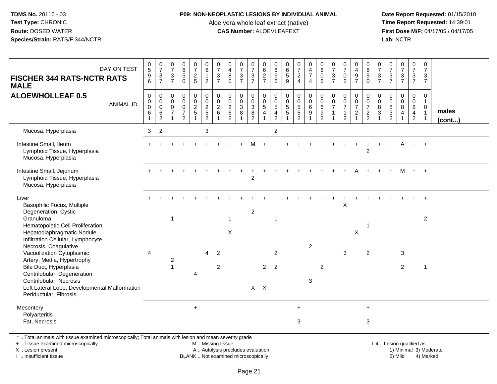### **P09: NON-NEOPLASTIC LESIONS BY INDIVIDUAL ANIMAL**

Aloe vera whole leaf extract (native)<br>**CAS Number:** ALOEVLEAFEXT

Date Report Requested: 01/15/2010<br>Time Report Requested: 14:39:01 **First Dose M/F:** 04/17/05 / 04/17/05 Lab: NCTR **Lab:** NCTR

| DAY ON TEST<br><b>FISCHER 344 RATS-NCTR RATS</b><br><b>MALE</b>                                                                                                                                           | $\begin{matrix} 0 \\ 5 \end{matrix}$<br>$\begin{array}{c} 9 \\ 6 \end{array}$ | $\frac{0}{7}$<br>$\mathfrak{S}$<br>$\overline{7}$                | $\begin{array}{c} 0 \\ 7 \end{array}$<br>$\mathsf 3$<br>$\overline{7}$ | $\begin{array}{c} 0 \\ 6 \\ 5 \end{array}$<br>$\Omega$                    | 0725                                                                  | $\begin{array}{c} 0 \\ 6 \end{array}$<br>$\mathbf{1}$<br>2                           | $\frac{0}{7}$<br>$\sqrt{3}$<br>$\overline{7}$   | $\pmb{0}$<br>$\overline{\mathbf{4}}$<br>$\bf8$<br>$\Omega$              | $\frac{0}{7}$<br>3<br>$\overline{7}$ | $\begin{array}{c} 0 \\ 7 \\ 3 \end{array}$<br>$\overline{7}$      | 0627                                                      | $\begin{array}{c} 0 \\ 6 \end{array}$<br>$\,6\,$<br>6                    | $\begin{matrix} 0 \\ 6 \\ 5 \end{matrix}$<br>9     | $\begin{matrix} 0 \\ 7 \\ 2 \end{matrix}$<br>$\overline{4}$                     | 0<br>$\frac{4}{7}$<br>$\overline{4}$                    | $\begin{array}{c} 0 \\ 6 \end{array}$<br>$\mathbf 0$<br>6             | $\frac{0}{7}$<br>$\ensuremath{\mathsf{3}}$<br>$\overline{7}$ | $\begin{array}{c} 0 \\ 7 \end{array}$<br>$\pmb{0}$<br>$\overline{2}$ | 0<br>$\overline{4}$<br>$\boldsymbol{9}$<br>$\overline{7}$      | $\begin{matrix} 0 \\ 6 \\ 9 \end{matrix}$<br>$\mathbf 0$ | 0<br>$\overline{7}$<br>$\mathbf{3}$<br>$\overline{7}$ | $\frac{0}{7}$<br>$\sqrt{3}$<br>$\overline{7}$                               | $\frac{0}{7}$<br>$\mathbf{3}$<br>$\overline{7}$ | $\frac{0}{7}$<br>$\mathbf{3}$<br>$\overline{7}$                     | $\pmb{0}$<br>$\overline{7}$<br>3<br>$\overline{7}$         |                       |
|-----------------------------------------------------------------------------------------------------------------------------------------------------------------------------------------------------------|-------------------------------------------------------------------------------|------------------------------------------------------------------|------------------------------------------------------------------------|---------------------------------------------------------------------------|-----------------------------------------------------------------------|--------------------------------------------------------------------------------------|-------------------------------------------------|-------------------------------------------------------------------------|--------------------------------------|-------------------------------------------------------------------|-----------------------------------------------------------|--------------------------------------------------------------------------|----------------------------------------------------|---------------------------------------------------------------------------------|---------------------------------------------------------|-----------------------------------------------------------------------|--------------------------------------------------------------|----------------------------------------------------------------------|----------------------------------------------------------------|----------------------------------------------------------|-------------------------------------------------------|-----------------------------------------------------------------------------|-------------------------------------------------|---------------------------------------------------------------------|------------------------------------------------------------|-----------------------|
| <b>ALOEWHOLLEAF 0.5</b><br><b>ANIMAL ID</b>                                                                                                                                                               | 0<br>$\pmb{0}$<br>$\mathbf 0$<br>6<br>$\mathbf{1}$                            | $\mathbf 0$<br>$\mathbf 0$<br>$\mathbf 0$<br>6<br>$\overline{c}$ | $\mathbf 0$<br>0<br>$\mathbf 0$<br>$\overline{7}$<br>$\overline{1}$    | $\mathbf 0$<br>$\pmb{0}$<br>$\pmb{0}$<br>$\overline{7}$<br>$\overline{2}$ | $\mathbf 0$<br>$\mathsf{O}\xspace$<br>$\frac{2}{5}$<br>$\overline{1}$ | $\mathbf 0$<br>$\mathsf{O}\xspace$<br>$\overline{c}$<br>$\sqrt{5}$<br>$\overline{c}$ | $\mathbf 0$<br>$\pmb{0}$<br>$\sqrt{2}$<br>$\,6$ | $\mathbf 0$<br>$\pmb{0}$<br>$\overline{c}$<br>$\,6\,$<br>$\overline{2}$ | 0<br>0<br>3<br>8                     | $\mathbf 0$<br>$\mathbf 0$<br>$\mathbf{3}$<br>8<br>$\overline{2}$ | $\mathbf 0$<br>$\pmb{0}$<br>$\,$ 5 $\,$<br>$\overline{4}$ | $\mathbf 0$<br>$\mathbf 0$<br>$\sqrt{5}$<br>$\overline{4}$<br>$\sqrt{2}$ | $\pmb{0}$<br>$\pmb{0}$<br>$\sqrt{5}$<br>$\sqrt{5}$ | $\pmb{0}$<br>$\mathsf{O}\xspace$<br>$\,$ 5 $\,$<br>$\sqrt{5}$<br>$\overline{2}$ | $\mathbf 0$<br>$\mathbf 0$<br>$6\phantom{1}6$<br>9<br>1 | $\mathbf 0$<br>$\mathsf 0$<br>6<br>$\boldsymbol{9}$<br>$\overline{2}$ | $\Omega$<br>$\Omega$<br>$\overline{7}$<br>$\overline{1}$     | $\mathbf 0$<br>$\pmb{0}$<br>$\overline{7}$<br>$\mathbf{1}$<br>2      | $\mathbf 0$<br>$\mathbf 0$<br>$\overline{7}$<br>$\overline{c}$ | $\Omega$<br>$\,0\,$<br>$\overline{7}$<br>$\frac{2}{2}$   | $\Omega$<br>$\mathbf 0$<br>8<br>$\mathbf{3}$          | $\Omega$<br>$\mathbf 0$<br>8<br>$\ensuremath{\mathsf{3}}$<br>$\overline{2}$ | 0<br>$\mathbf 0$<br>8<br>$\overline{4}$         | $\mathbf 0$<br>$\mathbf 0$<br>8<br>$\overline{4}$<br>$\overline{a}$ | $\mathbf 0$<br>$\mathbf{1}$<br>$\mathbf 0$<br>$\mathbf{1}$ | males<br>$($ cont $)$ |
| Mucosa, Hyperplasia                                                                                                                                                                                       | 3                                                                             | $\overline{c}$                                                   |                                                                        |                                                                           |                                                                       | 3                                                                                    |                                                 |                                                                         |                                      |                                                                   |                                                           | $\overline{c}$                                                           |                                                    |                                                                                 |                                                         |                                                                       |                                                              |                                                                      |                                                                |                                                          |                                                       |                                                                             |                                                 |                                                                     |                                                            |                       |
| Intestine Small, Ileum<br>Lymphoid Tissue, Hyperplasia<br>Mucosa, Hyperplasia                                                                                                                             |                                                                               |                                                                  |                                                                        |                                                                           |                                                                       |                                                                                      |                                                 |                                                                         |                                      |                                                                   |                                                           |                                                                          |                                                    |                                                                                 |                                                         |                                                                       |                                                              |                                                                      |                                                                | 2                                                        |                                                       |                                                                             |                                                 |                                                                     | $+$                                                        |                       |
| Intestine Small, Jejunum<br>Lymphoid Tissue, Hyperplasia<br>Mucosa, Hyperplasia                                                                                                                           |                                                                               |                                                                  |                                                                        |                                                                           |                                                                       |                                                                                      |                                                 |                                                                         |                                      | $\overline{c}$                                                    |                                                           |                                                                          |                                                    |                                                                                 |                                                         |                                                                       |                                                              |                                                                      |                                                                |                                                          |                                                       |                                                                             | м                                               | $+$                                                                 | $+$                                                        |                       |
| Liver<br>Basophilic Focus, Multiple<br>Degeneration, Cystic<br>Granuloma<br>Hematopoietic Cell Proliferation<br>Hepatodiaphragmatic Nodule                                                                |                                                                               |                                                                  | $\mathbf{1}$                                                           |                                                                           |                                                                       |                                                                                      |                                                 | $\mathbf{1}$<br>$\boldsymbol{\mathsf{X}}$                               |                                      | $\overline{a}$                                                    |                                                           | 1                                                                        |                                                    |                                                                                 |                                                         |                                                                       |                                                              | X                                                                    | $\mathsf X$                                                    | -1                                                       |                                                       |                                                                             |                                                 |                                                                     | $\ddot{}$<br>$\overline{2}$                                |                       |
| Infiltration Cellular, Lymphocyte<br>Necrosis, Coagulative<br>Vacuolization Cytoplasmic<br>Artery, Media, Hypertrophy<br>Bile Duct, Hyperplasia<br>Centrilobular, Degeneration<br>Centrilobular, Necrosis | $\overline{4}$                                                                |                                                                  | $\overline{c}$<br>$\overline{1}$                                       |                                                                           | 4                                                                     | $\overline{4}$                                                                       | $\overline{2}$<br>$\overline{c}$                |                                                                         |                                      |                                                                   | 2                                                         | $\overline{c}$<br>$\overline{2}$                                         |                                                    |                                                                                 | $\overline{c}$<br>3                                     | $\overline{c}$                                                        |                                                              | 3                                                                    |                                                                | 2                                                        |                                                       |                                                                             | 3<br>$\overline{2}$                             |                                                                     | $\mathbf{1}$                                               |                       |
| Left Lateral Lobe, Developmental Malformation<br>Periductular, Fibrosis                                                                                                                                   |                                                                               |                                                                  |                                                                        |                                                                           |                                                                       |                                                                                      |                                                 |                                                                         |                                      | $X$ $X$                                                           |                                                           |                                                                          |                                                    |                                                                                 |                                                         |                                                                       |                                                              |                                                                      |                                                                |                                                          |                                                       |                                                                             |                                                 |                                                                     |                                                            |                       |
| Mesentery<br>Polyarteritis<br>Fat, Necrosis                                                                                                                                                               |                                                                               |                                                                  |                                                                        |                                                                           | $+$                                                                   |                                                                                      |                                                 |                                                                         |                                      |                                                                   |                                                           |                                                                          |                                                    | $+$<br>3                                                                        |                                                         |                                                                       |                                                              |                                                                      |                                                                | $\ddot{}$<br>3                                           |                                                       |                                                                             |                                                 |                                                                     |                                                            |                       |
| Total animals with tissue examined microscopically: Total animals with lesion and mean severity grade                                                                                                     |                                                                               |                                                                  |                                                                        |                                                                           |                                                                       |                                                                                      |                                                 |                                                                         |                                      |                                                                   |                                                           |                                                                          |                                                    |                                                                                 |                                                         |                                                                       |                                                              |                                                                      |                                                                |                                                          |                                                       |                                                                             |                                                 |                                                                     |                                                            |                       |

\* .. Total animals with tissue examined microscopically; Total animals with lesion and mean severity grade

+ .. Tissue examined microscopically

X .. Lesion present

I .. Insufficient tissue

M .. Missing tissue

BLANK .. Not examined microscopically

1-4 .. Lesion qualified as:<br>1) Minimal 3) Moderate A .. Autolysis precludes evaluation 19 and 10 minimal 3) Moderate 1 and 20 minimal 3) Moderate 19 minimal 3) Moderat<br>19 and 19 and 19 and 19 and 19 and 19 and 19 and 19 and 19 and 19 and 19 and 19 and 19 and 19 and 19 and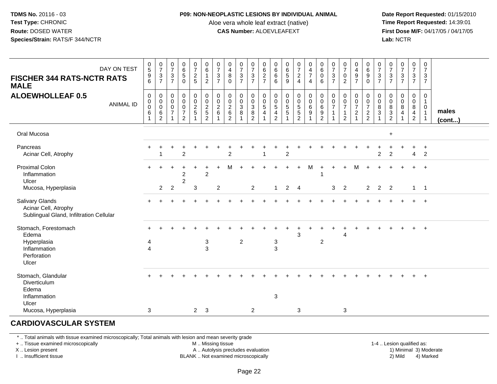#### **P09: NON-NEOPLASTIC LESIONS BY INDIVIDUAL ANIMAL**

Aloe vera whole leaf extract (native)<br>**CAS Number:** ALOEVLEAFEXT

Date Report Requested: 01/15/2010<br>Time Report Requested: 14:39:01 **First Dose M/F:** 04/17/05 / 04/17/05<br>**Lab:** NCTR **Lab:** NCTR

| DAY ON TEST<br><b>FISCHER 344 RATS-NCTR RATS</b><br><b>MALE</b>                    | 0<br>$\overline{5}$<br>$\begin{array}{c} 9 \\ 6 \end{array}$ | $\frac{0}{7}$<br>$\sqrt{3}$<br>$\overline{7}$                    | $\frac{0}{7}$<br>$\ensuremath{\mathsf{3}}$<br>$\overline{7}$   | $\begin{array}{c} 0 \\ 6 \\ 5 \end{array}$<br>$\Omega$            | $\frac{0}{7}$<br>$\frac{2}{5}$            | $\begin{array}{c} 0 \\ 6 \end{array}$<br>$\mathbf{1}$<br>$\overline{2}$ | $\frac{0}{7}$<br>$\ensuremath{\mathsf{3}}$<br>$\overline{7}$ | 0<br>$\overline{4}$<br>$\, 8$<br>$\Omega$                           | $\frac{0}{7}$<br>$\mathbf{3}$<br>$\overline{7}$ | $\frac{0}{7}$<br>$rac{3}{7}$                                              | 0<br>$\overline{6}$<br>$\overline{c}$<br>$\overline{7}$            | 0<br>$\,6\,$<br>$\,6\,$<br>6                                        | $\begin{array}{c} 0 \\ 6 \end{array}$<br>$\sqrt{5}$<br>9   | $\frac{0}{7}$<br>$\overline{2}$<br>$\overline{4}$             | 0<br>$\frac{4}{7}$<br>$\overline{4}$                    | $\begin{matrix} 0 \\ 6 \end{matrix}$<br>0<br>6                      | 0<br>$\overline{7}$<br>$\ensuremath{\mathsf{3}}$<br>$\overline{7}$ | $\frac{0}{7}$<br>$\frac{0}{2}$                                                 | 0<br>$\overline{4}$<br>$\boldsymbol{9}$<br>$\overline{7}$                | 0<br>$6\phantom{1}6$<br>$\boldsymbol{9}$<br>$\mathbf 0$                          | 0<br>$\overline{7}$<br>$\mathbf{3}$<br>$\overline{7}$ | $\frac{0}{7}$<br>$\frac{3}{7}$                      | $\frac{0}{7}$<br>$\frac{3}{7}$   | 0<br>$\overline{7}$<br>$\frac{3}{7}$                                   | $\mathbf 0$<br>$\overline{7}$<br>$\mathbf 3$<br>$\overline{7}$                   |                 |
|------------------------------------------------------------------------------------|--------------------------------------------------------------|------------------------------------------------------------------|----------------------------------------------------------------|-------------------------------------------------------------------|-------------------------------------------|-------------------------------------------------------------------------|--------------------------------------------------------------|---------------------------------------------------------------------|-------------------------------------------------|---------------------------------------------------------------------------|--------------------------------------------------------------------|---------------------------------------------------------------------|------------------------------------------------------------|---------------------------------------------------------------|---------------------------------------------------------|---------------------------------------------------------------------|--------------------------------------------------------------------|--------------------------------------------------------------------------------|--------------------------------------------------------------------------|----------------------------------------------------------------------------------|-------------------------------------------------------|-----------------------------------------------------|----------------------------------|------------------------------------------------------------------------|----------------------------------------------------------------------------------|-----------------|
| <b>ALOEWHOLLEAF 0.5</b><br><b>ANIMAL ID</b>                                        | $\mathbf 0$<br>$\mathbf 0$<br>$\mathsf 0$<br>6<br>-1         | $\mathbf 0$<br>$\mathbf 0$<br>$\mathbf 0$<br>6<br>$\overline{2}$ | $\mathbf 0$<br>$\mathbf 0$<br>$\pmb{0}$<br>$\overline{7}$<br>1 | 0<br>$\mathbf 0$<br>$\bar{0}$<br>$\overline{7}$<br>$\overline{2}$ | $\pmb{0}$<br>$\mathbf 0$<br>$\frac{2}{5}$ | $\mathbf 0$<br>$\frac{0}{2}$<br>$\overline{2}$                          | $\mathbf 0$<br>$\mathbf 0$<br>$\overline{2}$<br>6            | $\mathbf 0$<br>$\mathbf 0$<br>$\overline{2}$<br>6<br>$\overline{2}$ | 0<br>$\mathbf 0$<br>$\overline{3}$<br>8         | $\mathbf 0$<br>$\mathbf 0$<br>$\overline{3}$<br>$\bf 8$<br>$\overline{2}$ | $\,0\,$<br>$\begin{array}{c} 0 \\ 5 \end{array}$<br>$\overline{4}$ | $\mathbf 0$<br>$\mathbf 0$<br>$\overline{5}$<br>$\overline{4}$<br>2 | $\mathbf 0$<br>$\mathbf 0$<br>$\overline{5}$<br>$\sqrt{5}$ | $\mathbf 0$<br>$\mathbf 0$<br>$\frac{5}{5}$<br>$\overline{2}$ | $\mathbf 0$<br>$\mathbf 0$<br>$6\overline{6}$<br>9<br>1 | $\mathbf 0$<br>$\mathbf 0$<br>$6\phantom{a}$<br>9<br>$\overline{2}$ | 0<br>0<br>$\overline{7}$<br>$\mathbf{1}$                           | $\mathbf 0$<br>$\mathbf 0$<br>$\overline{7}$<br>$\mathbf{1}$<br>$\overline{2}$ | 0<br>$\mathbf 0$<br>$\overline{7}$<br>$\boldsymbol{2}$<br>$\overline{1}$ | $\mathbf 0$<br>$\mathbf 0$<br>$\overline{7}$<br>$\overline{c}$<br>$\overline{2}$ | 0<br>$\mathbf 0$<br>8<br>$\mathbf{3}$                 | 0<br>$\mathbf 0$<br>$\overline{8}$<br>$\frac{3}{2}$ | $\pmb{0}$<br>$_{8}^{\rm 0}$<br>4 | $\mathbf 0$<br>$\overline{0}$<br>8<br>$\overline{4}$<br>$\overline{2}$ | $\mathbf 0$<br>$\overline{1}$<br>$\mathbf 0$<br>$\overline{1}$<br>$\overline{1}$ | males<br>(cont) |
| Oral Mucosa                                                                        |                                                              |                                                                  |                                                                |                                                                   |                                           |                                                                         |                                                              |                                                                     |                                                 |                                                                           |                                                                    |                                                                     |                                                            |                                                               |                                                         |                                                                     |                                                                    |                                                                                |                                                                          |                                                                                  |                                                       | $+$                                                 |                                  |                                                                        |                                                                                  |                 |
| Pancreas<br>Acinar Cell, Atrophy                                                   |                                                              |                                                                  |                                                                | $\overline{2}$                                                    |                                           |                                                                         |                                                              | $\overline{c}$                                                      |                                                 |                                                                           |                                                                    |                                                                     | $\overline{c}$                                             |                                                               |                                                         |                                                                     |                                                                    |                                                                                |                                                                          |                                                                                  | $\overline{2}$                                        | $\overline{c}$                                      |                                  | $\overline{4}$                                                         | $\ddot{}$<br>2                                                                   |                 |
| <b>Proximal Colon</b><br>Inflammation<br>Ulcer                                     |                                                              |                                                                  |                                                                | $\ddot{}$<br>$\overline{2}$<br>$\overline{c}$                     | $\pm$                                     | $\ddot{}$<br>$\overline{2}$                                             | $+$                                                          | M                                                                   |                                                 |                                                                           |                                                                    |                                                                     |                                                            | $+$                                                           | М                                                       | $\ddot{}$                                                           |                                                                    |                                                                                | м                                                                        |                                                                                  |                                                       |                                                     |                                  |                                                                        | $+$                                                                              |                 |
| Mucosa, Hyperplasia                                                                |                                                              | $\overline{2}$                                                   | $\overline{2}$                                                 |                                                                   | 3                                         |                                                                         | $\overline{2}$                                               |                                                                     |                                                 | $\overline{2}$                                                            |                                                                    | $\mathbf 1$                                                         | $2 \quad 4$                                                |                                                               |                                                         |                                                                     | 3 <sup>1</sup>                                                     | 2                                                                              |                                                                          | $\overline{2}$                                                                   | $\overline{2}$                                        | 2                                                   |                                  |                                                                        | $1 \quad 1$                                                                      |                 |
| Salivary Glands<br>Acinar Cell, Atrophy<br>Sublingual Gland, Infiltration Cellular |                                                              |                                                                  |                                                                |                                                                   |                                           |                                                                         |                                                              |                                                                     |                                                 |                                                                           |                                                                    |                                                                     |                                                            |                                                               |                                                         |                                                                     |                                                                    |                                                                                |                                                                          |                                                                                  |                                                       |                                                     |                                  |                                                                        | $+$                                                                              |                 |
| Stomach, Forestomach<br>Edema                                                      |                                                              |                                                                  |                                                                |                                                                   |                                           |                                                                         |                                                              |                                                                     |                                                 |                                                                           |                                                                    |                                                                     |                                                            | 3                                                             |                                                         |                                                                     |                                                                    | 4                                                                              |                                                                          |                                                                                  |                                                       |                                                     |                                  |                                                                        | $\overline{+}$                                                                   |                 |
| Hyperplasia<br>Inflammation<br>Perforation<br>Ulcer                                | 4<br>$\overline{4}$                                          |                                                                  |                                                                |                                                                   |                                           | $\sqrt{3}$<br>3                                                         |                                                              |                                                                     | $\overline{c}$                                  |                                                                           |                                                                    | $\ensuremath{\mathsf{3}}$<br>$\mathbf{3}$                           |                                                            |                                                               |                                                         | $\overline{2}$                                                      |                                                                    |                                                                                |                                                                          |                                                                                  |                                                       |                                                     |                                  |                                                                        |                                                                                  |                 |
| Stomach, Glandular<br>Diverticulum<br>Edema<br>Inflammation                        |                                                              |                                                                  |                                                                |                                                                   |                                           |                                                                         |                                                              |                                                                     |                                                 |                                                                           |                                                                    | $\mathbf{3}$                                                        |                                                            |                                                               |                                                         |                                                                     |                                                                    |                                                                                |                                                                          |                                                                                  |                                                       |                                                     |                                  |                                                                        | $+$                                                                              |                 |
| Ulcer<br>Mucosa, Hyperplasia                                                       | 3                                                            |                                                                  |                                                                |                                                                   |                                           | $2 \quad 3$                                                             |                                                              |                                                                     |                                                 | $\overline{2}$                                                            |                                                                    |                                                                     |                                                            | 3                                                             |                                                         |                                                                     |                                                                    | 3                                                                              |                                                                          |                                                                                  |                                                       |                                                     |                                  |                                                                        |                                                                                  |                 |

# **CARDIOVASCULAR SYSTEM**

\* .. Total animals with tissue examined microscopically; Total animals with lesion and mean severity grade

+ .. Tissue examined microscopically

X .. Lesion present

I .. Insufficient tissue

M .. Missing tissue

A .. Autolysis precludes evaluation

BLANK .. Not examined microscopically 2) Mild 4) Marked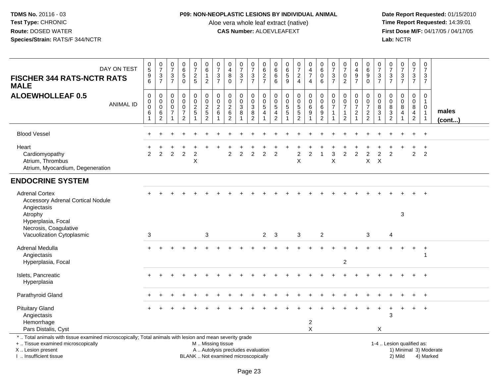### **P09: NON-NEOPLASTIC LESIONS BY INDIVIDUAL ANIMAL**

Aloe vera whole leaf extract (native)<br>**CAS Number:** ALOEVLEAFEXT

| DAY ON TEST<br><b>FISCHER 344 RATS-NCTR RATS</b><br><b>MALE</b>                                                                                                                               | $\begin{matrix} 0 \\ 5 \end{matrix}$<br>$\frac{9}{6}$ | $\frac{0}{7}$<br>$\ensuremath{\mathsf{3}}$<br>$\overline{7}$                     | $\begin{smallmatrix}0\\7\end{smallmatrix}$<br>$\ensuremath{\mathsf{3}}$<br>$\overline{7}$ | $\begin{matrix} 0 \\ 6 \\ 5 \end{matrix}$<br>$\Omega$                               | $\frac{0}{7}$<br>$\sqrt{2}$<br>5                     | $\begin{array}{c} 0 \\ 6 \end{array}$<br>$\mathbf{1}$<br>$\overline{2}$                    | $\frac{0}{7}$<br>$\sqrt{3}$<br>$\overline{7}$       | $\begin{smallmatrix}0\0\4\end{smallmatrix}$<br>$\bf 8$<br>$\mathbf{0}$   | $\frac{0}{7}$<br>$\ensuremath{\mathsf{3}}$<br>$\overline{7}$ | $\frac{0}{7}$<br>$\ensuremath{\mathsf{3}}$<br>$\overline{7}$               | $\begin{array}{c} 0 \\ 6 \end{array}$<br>$\frac{2}{7}$                         | $\begin{matrix} 0 \\ 6 \end{matrix}$<br>$\,6\,$<br>6               | $\begin{matrix} 0 \\ 6 \end{matrix}$<br>$\overline{5}$<br>9       | $\frac{0}{7}$<br>$\frac{2}{4}$                              | $\begin{smallmatrix}0\0\4\end{smallmatrix}$<br>$\overline{7}$<br>$\overline{4}$    | $\begin{array}{c} 0 \\ 6 \end{array}$<br>$\bar{0}$<br>6                                       | $\frac{0}{7}$<br>$\ensuremath{\mathsf{3}}$<br>$\overline{7}$ | $\frac{0}{7}$<br>$\frac{0}{2}$                                       | 0<br>$\overline{4}$<br>$\boldsymbol{9}$<br>$\overline{7}$ | $\begin{matrix}0\\6\end{matrix}$<br>$\boldsymbol{9}$<br>$\mathbf{0}$ | $\frac{0}{7}$<br>$\mathfrak{S}$<br>$\overline{7}$ | $\frac{0}{7}$<br>$\frac{3}{7}$                      | $\frac{0}{7}$<br>$\frac{3}{7}$                                   | $\frac{0}{7}$<br>$\sqrt{3}$<br>$\overline{7}$              | $\frac{0}{7}$<br>$\ensuremath{\mathsf{3}}$<br>$\overline{7}$               |                        |
|-----------------------------------------------------------------------------------------------------------------------------------------------------------------------------------------------|-------------------------------------------------------|----------------------------------------------------------------------------------|-------------------------------------------------------------------------------------------|-------------------------------------------------------------------------------------|------------------------------------------------------|--------------------------------------------------------------------------------------------|-----------------------------------------------------|--------------------------------------------------------------------------|--------------------------------------------------------------|----------------------------------------------------------------------------|--------------------------------------------------------------------------------|--------------------------------------------------------------------|-------------------------------------------------------------------|-------------------------------------------------------------|------------------------------------------------------------------------------------|-----------------------------------------------------------------------------------------------|--------------------------------------------------------------|----------------------------------------------------------------------|-----------------------------------------------------------|----------------------------------------------------------------------|---------------------------------------------------|-----------------------------------------------------|------------------------------------------------------------------|------------------------------------------------------------|----------------------------------------------------------------------------|------------------------|
| <b>ALOEWHOLLEAF 0.5</b><br><b>ANIMAL ID</b>                                                                                                                                                   | $\pmb{0}$<br>$_{0}^{0}$<br>$\,6$<br>$\mathbf{1}$      | $\mathsf{O}\xspace$<br>$\mathsf{O}\xspace$<br>$\mathbf 0$<br>6<br>$\overline{2}$ | 0<br>0<br>$\mathbf 0$<br>$\overline{7}$                                                   | $\mathbf 0$<br>$\ddot{\mathbf{0}}$<br>$\pmb{0}$<br>$\overline{7}$<br>$\overline{2}$ | 0<br>$\mathsf{O}\xspace$<br>$\frac{2}{5}$<br>-1      | $\begin{smallmatrix} 0\\0 \end{smallmatrix}$<br>$\sqrt{2}$<br>$\sqrt{5}$<br>$\overline{2}$ | $\mathbf 0$<br>$\mathbf 0$<br>$\boldsymbol{2}$<br>6 | $\pmb{0}$<br>$\frac{0}{2}$ 6<br>$\overline{2}$                           | $\mathbf 0$<br>$\bar{0}$<br>$\mathbf{3}$<br>8                | $\pmb{0}$<br>$\pmb{0}$<br>$\ensuremath{\mathsf{3}}$<br>8<br>$\overline{2}$ | $\mathsf 0$<br>$\overline{0}$<br>$\,$ 5 $\,$<br>$\overline{4}$<br>$\mathbf{1}$ | $\mathsf 0$<br>0<br>$\sqrt{5}$<br>$\overline{4}$<br>$\overline{2}$ | $\pmb{0}$<br>$\mathbf 0$<br>$\overline{5}$<br>5<br>$\overline{1}$ | 0<br>$\ddot{\mathbf{0}}$<br>$\frac{5}{5}$<br>$\overline{2}$ | $\begin{smallmatrix} 0\\0 \end{smallmatrix}$<br>6<br>$\check{9}$<br>$\overline{1}$ | $\begin{smallmatrix} 0\\0 \end{smallmatrix}$<br>$\,6\,$<br>$\boldsymbol{9}$<br>$\overline{2}$ | $\pmb{0}$<br>$\pmb{0}$<br>$\overline{7}$<br>$\mathbf{1}$     | $\mathbf 0$<br>$\overline{0}$<br>$\overline{7}$<br>$\mathbf{1}$<br>2 | 0<br>$\mathbf 0$<br>$\overline{7}$<br>$\sqrt{2}$<br>-1    | $\mathbf 0$<br>$\frac{0}{7}$<br>$\frac{2}{2}$                        | 0<br>$\mathbf 0$<br>8<br>3                        | $\mathsf{O}\xspace$<br>$\mathbf 0$<br>$\frac{8}{3}$ | $\mathsf{O}$<br>$\ddot{\mathbf{0}}$<br>$\bf 8$<br>$\overline{4}$ | 0<br>$\boldsymbol{0}$<br>$\frac{8}{4}$<br>$\boldsymbol{2}$ | $\mathbf 0$<br>$\mathbf{1}$<br>$\mathbf 0$<br>$\mathbf{1}$<br>$\mathbf{1}$ | males<br>(cont)        |
| <b>Blood Vessel</b>                                                                                                                                                                           |                                                       |                                                                                  |                                                                                           |                                                                                     |                                                      |                                                                                            |                                                     |                                                                          |                                                              |                                                                            |                                                                                |                                                                    |                                                                   |                                                             |                                                                                    |                                                                                               |                                                              |                                                                      |                                                           |                                                                      |                                                   |                                                     |                                                                  |                                                            | $+$                                                                        |                        |
| Heart<br>Cardiomyopathy<br>Atrium, Thrombus<br>Atrium, Myocardium, Degeneration                                                                                                               | 2                                                     | 2                                                                                | $\overline{c}$                                                                            | $\overline{2}$                                                                      | $\overline{\mathbf{c}}$<br>$\boldsymbol{\mathsf{X}}$ |                                                                                            |                                                     | 2                                                                        | $\overline{2}$                                               | $\overline{c}$                                                             | 2                                                                              | $\overline{2}$                                                     |                                                                   | $\overline{c}$<br>X                                         | $\overline{2}$                                                                     |                                                                                               | 3<br>X                                                       | 2                                                                    | $\boldsymbol{2}$                                          | 2<br>X                                                               | $\mathcal{P}$<br>$\times$                         | $\overline{2}$                                      |                                                                  | $\overline{2}$                                             | $\overline{ }$<br>2                                                        |                        |
| <b>ENDOCRINE SYSTEM</b>                                                                                                                                                                       |                                                       |                                                                                  |                                                                                           |                                                                                     |                                                      |                                                                                            |                                                     |                                                                          |                                                              |                                                                            |                                                                                |                                                                    |                                                                   |                                                             |                                                                                    |                                                                                               |                                                              |                                                                      |                                                           |                                                                      |                                                   |                                                     |                                                                  |                                                            |                                                                            |                        |
| <b>Adrenal Cortex</b><br><b>Accessory Adrenal Cortical Nodule</b><br>Angiectasis<br>Atrophy<br>Hyperplasia, Focal                                                                             |                                                       |                                                                                  |                                                                                           |                                                                                     |                                                      |                                                                                            |                                                     |                                                                          |                                                              |                                                                            |                                                                                |                                                                    |                                                                   |                                                             |                                                                                    |                                                                                               |                                                              |                                                                      |                                                           |                                                                      |                                                   |                                                     | 3                                                                |                                                            |                                                                            |                        |
| Necrosis, Coagulative<br>Vacuolization Cytoplasmic                                                                                                                                            | $\mathbf{3}$                                          |                                                                                  |                                                                                           |                                                                                     |                                                      | 3                                                                                          |                                                     |                                                                          |                                                              |                                                                            | $2^{\circ}$                                                                    | -3                                                                 |                                                                   | 3                                                           |                                                                                    | $\overline{2}$                                                                                |                                                              |                                                                      |                                                           | 3                                                                    |                                                   | 4                                                   |                                                                  |                                                            |                                                                            |                        |
| Adrenal Medulla<br>Angiectasis<br>Hyperplasia, Focal                                                                                                                                          |                                                       |                                                                                  |                                                                                           |                                                                                     |                                                      |                                                                                            |                                                     |                                                                          |                                                              |                                                                            |                                                                                |                                                                    |                                                                   |                                                             |                                                                                    |                                                                                               |                                                              | $\overline{c}$                                                       |                                                           |                                                                      |                                                   |                                                     |                                                                  |                                                            | $\overline{+}$<br>-1                                                       |                        |
| Islets, Pancreatic<br>Hyperplasia                                                                                                                                                             |                                                       |                                                                                  |                                                                                           |                                                                                     |                                                      |                                                                                            |                                                     |                                                                          |                                                              |                                                                            |                                                                                |                                                                    |                                                                   |                                                             |                                                                                    |                                                                                               |                                                              |                                                                      |                                                           |                                                                      |                                                   |                                                     |                                                                  |                                                            |                                                                            |                        |
| Parathyroid Gland                                                                                                                                                                             |                                                       |                                                                                  |                                                                                           |                                                                                     |                                                      |                                                                                            |                                                     |                                                                          |                                                              |                                                                            |                                                                                |                                                                    |                                                                   |                                                             |                                                                                    |                                                                                               |                                                              |                                                                      |                                                           |                                                                      |                                                   |                                                     |                                                                  |                                                            | $+$                                                                        |                        |
| <b>Pituitary Gland</b><br>Angiectasis<br>Hemorrhage<br>Pars Distalis, Cyst                                                                                                                    |                                                       |                                                                                  |                                                                                           |                                                                                     |                                                      |                                                                                            |                                                     |                                                                          |                                                              |                                                                            |                                                                                |                                                                    |                                                                   |                                                             | $\overline{c}$<br>$\mathsf{X}$                                                     |                                                                                               |                                                              |                                                                      |                                                           |                                                                      | X                                                 | 3                                                   |                                                                  | $\pm$                                                      | $+$                                                                        |                        |
| *  Total animals with tissue examined microscopically; Total animals with lesion and mean severity grade<br>+  Tissue examined microscopically<br>X  Lesion present<br>I  Insufficient tissue |                                                       |                                                                                  |                                                                                           |                                                                                     |                                                      | M  Missing tissue                                                                          |                                                     | A  Autolysis precludes evaluation<br>BLANK  Not examined microscopically |                                                              |                                                                            |                                                                                |                                                                    |                                                                   |                                                             |                                                                                    |                                                                                               |                                                              |                                                                      |                                                           |                                                                      |                                                   |                                                     | 1-4  Lesion qualified as:<br>2) Mild                             |                                                            | 4) Marked                                                                  | 1) Minimal 3) Moderate |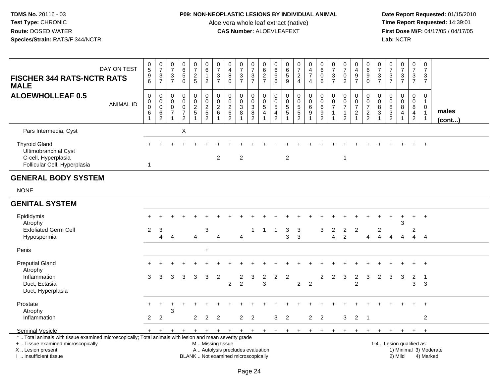## **P09: NON-NEOPLASTIC LESIONS BY INDIVIDUAL ANIMAL**

Aloe vera whole leaf extract (native)<br>**CAS Number:** ALOEVLEAFEXT

| <b>FISCHER 344 RATS-NCTR RATS</b><br><b>MALE</b>                                                                                                                                              | DAY ON TEST      | $^{\rm 0}_{\rm 5}$<br>$\frac{9}{6}$ | $\frac{0}{7}$<br>$\frac{3}{7}$                             | $\frac{0}{7}$<br>$\ensuremath{\mathsf{3}}$<br>$\overline{7}$ | $\begin{array}{c} 0 \\ 6 \end{array}$<br>$\overline{5}$<br>$\Omega$ | $\frac{0}{7}$<br>$rac{2}{5}$            | $\begin{array}{c} 0 \\ 6 \end{array}$<br>$\mathbf{1}$<br>$\overline{2}$ | $\frac{0}{7}$<br>$\frac{3}{7}$                      | $\begin{smallmatrix}0\\4\end{smallmatrix}$<br>$\bf 8$<br>$\mathbf{0}$     | $\begin{array}{c} 0 \\ 7 \end{array}$<br>$\frac{3}{7}$ | $\begin{array}{c} 0 \\ 7 \end{array}$<br>$\frac{3}{7}$                               | 0<br>$\,6$<br>$\frac{2}{7}$                | 0<br>$\,6$<br>$\,6\,$<br>6                            | 0<br>$6\phantom{a}$<br>$\overline{5}$<br>9                  | $\frac{0}{7}$<br>$\overline{2}$<br>$\overline{4}$ | 0<br>$\frac{4}{7}$<br>$\overline{4}$ | $\begin{array}{c} 0 \\ 6 \end{array}$<br>$\pmb{0}$<br>6     | $\frac{0}{7}$<br>$\ensuremath{\mathsf{3}}$<br>$\overline{7}$ | $\begin{array}{c} 0 \\ 7 \end{array}$<br>$\pmb{0}$<br>$\overline{2}$         | $_4^{\rm O}$<br>$\frac{9}{7}$                             | $_{6}^{\rm 0}$<br>$\overline{9}$ 0                          | $\frac{0}{7}$<br>$\frac{3}{7}$        | $\pmb{0}$<br>$\overline{7}$<br>$\frac{3}{7}$ | $\begin{array}{c} 0 \\ 7 \end{array}$<br>$\frac{3}{7}$ | $\begin{smallmatrix} 0\\7 \end{smallmatrix}$<br>$\frac{3}{7}$ | $\frac{0}{7}$<br>$\mathbf 3$<br>$\overline{7}$                              |                        |
|-----------------------------------------------------------------------------------------------------------------------------------------------------------------------------------------------|------------------|-------------------------------------|------------------------------------------------------------|--------------------------------------------------------------|---------------------------------------------------------------------|-----------------------------------------|-------------------------------------------------------------------------|-----------------------------------------------------|---------------------------------------------------------------------------|--------------------------------------------------------|--------------------------------------------------------------------------------------|--------------------------------------------|-------------------------------------------------------|-------------------------------------------------------------|---------------------------------------------------|--------------------------------------|-------------------------------------------------------------|--------------------------------------------------------------|------------------------------------------------------------------------------|-----------------------------------------------------------|-------------------------------------------------------------|---------------------------------------|----------------------------------------------|--------------------------------------------------------|---------------------------------------------------------------|-----------------------------------------------------------------------------|------------------------|
| <b>ALOEWHOLLEAF 0.5</b>                                                                                                                                                                       | <b>ANIMAL ID</b> | $\mathbf 0$<br>0<br>$\pmb{0}$<br>6  | $\mathbf 0$<br>$\mathbf 0$<br>$\mathbf 0$<br>$\frac{6}{2}$ | $\mathbf 0$<br>0<br>0<br>$\overline{7}$<br>1                 | $\mathbf 0$<br>0<br>$\pmb{0}$<br>$\frac{7}{2}$                      | $\mathbf 0$<br>0<br>$\overline{2}$<br>5 | $\pmb{0}$<br>$0$<br>$2$<br>$5$<br>$2$                                   | $\pmb{0}$<br>$\pmb{0}$<br>$\overline{2}$<br>$\,6\,$ | $\mathbf 0$<br>$\mathbf 0$<br>$\overline{2}$<br>$\,6\,$<br>$\overline{c}$ | $\mathbf 0$<br>$\mathbf 0$<br>$\sqrt{3}$<br>8          | $\mathbf 0$<br>$\mathbf 0$<br>$\ensuremath{\mathsf{3}}$<br>$\bf 8$<br>$\overline{2}$ | $\mathbf 0$<br>$\mathbf 0$<br>5<br>4<br>-1 | $\mathbf 0$<br>0<br>$\sqrt{5}$<br>4<br>$\overline{2}$ | $\mathbf 0$<br>$\mathbf 0$<br>$\sqrt{5}$<br>$\sqrt{5}$<br>1 | 0<br>$\pmb{0}$<br>$\frac{5}{2}$                   | 0<br>$\mathbf 0$<br>6<br>9           | $\mathbf 0$<br>$\pmb{0}$<br>$6\phantom{a}$<br>$\frac{9}{2}$ | $\mathbf 0$<br>0<br>$\overline{7}$<br>-1                     | $\pmb{0}$<br>$\mathbf 0$<br>$\overline{7}$<br>$\mathbf{1}$<br>$\overline{2}$ | 0<br>0<br>$\overline{\mathcal{I}}$<br>$\overline{2}$<br>1 | $\pmb{0}$<br>$\mathbf 0$<br>$\overline{7}$<br>$\frac{2}{2}$ | $\mathbf 0$<br>0<br>$\bf 8$<br>3<br>1 | $\mathbf 0$<br>0<br>$\bf 8$<br>$\frac{3}{2}$ | $\mathbf 0$<br>$\pmb{0}$<br>$\,8\,$<br>4               | $\mathbf 0$<br>$\mathbf 0$<br>$\bf 8$<br>4<br>$\overline{2}$  | $\mathbf 0$<br>$\mathbf{1}$<br>$\Omega$<br>$\overline{1}$<br>$\overline{1}$ | males<br>$($ cont $)$  |
| Pars Intermedia, Cyst                                                                                                                                                                         |                  |                                     |                                                            |                                                              | X                                                                   |                                         |                                                                         |                                                     |                                                                           |                                                        |                                                                                      |                                            |                                                       |                                                             |                                                   |                                      |                                                             |                                                              |                                                                              |                                                           |                                                             |                                       |                                              |                                                        |                                                               |                                                                             |                        |
| <b>Thyroid Gland</b><br>Ultimobranchial Cyst<br>C-cell, Hyperplasia<br>Follicular Cell, Hyperplasia                                                                                           |                  | $\mathbf{1}$                        |                                                            |                                                              |                                                                     |                                         |                                                                         | $\overline{2}$                                      |                                                                           | $\overline{2}$                                         |                                                                                      |                                            |                                                       | $\overline{2}$                                              |                                                   |                                      |                                                             |                                                              | $\mathbf{1}$                                                                 |                                                           |                                                             |                                       |                                              |                                                        |                                                               | $+$                                                                         |                        |
| <b>GENERAL BODY SYSTEM</b>                                                                                                                                                                    |                  |                                     |                                                            |                                                              |                                                                     |                                         |                                                                         |                                                     |                                                                           |                                                        |                                                                                      |                                            |                                                       |                                                             |                                                   |                                      |                                                             |                                                              |                                                                              |                                                           |                                                             |                                       |                                              |                                                        |                                                               |                                                                             |                        |
| <b>NONE</b>                                                                                                                                                                                   |                  |                                     |                                                            |                                                              |                                                                     |                                         |                                                                         |                                                     |                                                                           |                                                        |                                                                                      |                                            |                                                       |                                                             |                                                   |                                      |                                                             |                                                              |                                                                              |                                                           |                                                             |                                       |                                              |                                                        |                                                               |                                                                             |                        |
| <b>GENITAL SYSTEM</b>                                                                                                                                                                         |                  |                                     |                                                            |                                                              |                                                                     |                                         |                                                                         |                                                     |                                                                           |                                                        |                                                                                      |                                            |                                                       |                                                             |                                                   |                                      |                                                             |                                                              |                                                                              |                                                           |                                                             |                                       |                                              |                                                        |                                                               |                                                                             |                        |
| Epididymis<br>Atrophy<br><b>Exfoliated Germ Cell</b>                                                                                                                                          |                  | $\overline{c}$                      | 3<br>4                                                     |                                                              |                                                                     | $\overline{4}$                          | 3                                                                       |                                                     |                                                                           | 4                                                      | $\mathbf 1$                                                                          | $\mathbf{1}$                               | $\overline{1}$                                        | 3                                                           | 3<br>$\mathbf{3}$                                 |                                      | 3                                                           | 2<br>$\overline{4}$                                          | $\overline{2}$                                                               | $\overline{c}$                                            |                                                             | 2<br>$\boldsymbol{\Lambda}$           | Δ                                            | $\ddot{}$<br>3<br>$\boldsymbol{\Lambda}$               | $\ddot{}$<br>$\overline{c}$<br>4                              | $+$                                                                         |                        |
| Hypospermia<br>Penis                                                                                                                                                                          |                  |                                     |                                                            | $\overline{4}$                                               |                                                                     |                                         | $\ddot{}$                                                               | 4                                                   |                                                                           |                                                        |                                                                                      |                                            |                                                       | 3                                                           |                                                   |                                      |                                                             |                                                              | $\overline{c}$                                                               |                                                           | 4                                                           |                                       |                                              |                                                        |                                                               | $\overline{4}$                                                              |                        |
|                                                                                                                                                                                               |                  |                                     |                                                            |                                                              |                                                                     |                                         |                                                                         |                                                     |                                                                           |                                                        |                                                                                      |                                            |                                                       |                                                             |                                                   |                                      |                                                             |                                                              |                                                                              |                                                           |                                                             |                                       |                                              |                                                        |                                                               |                                                                             |                        |
| <b>Preputial Gland</b><br>Atrophy<br>Inflammation<br>Duct, Ectasia<br>Duct, Hyperplasia                                                                                                       |                  | 3                                   | 3                                                          | 3                                                            | 3                                                                   | 3                                       | 3                                                                       | $\overline{2}$                                      | $\overline{2}$                                                            | 2<br>$\overline{2}$                                    | 3                                                                                    | $\overline{c}$<br>3                        | $\overline{2}$                                        | $\overline{2}$                                              | $\overline{2}$                                    | $\overline{2}$                       | $\overline{2}$                                              | 2                                                            | 3                                                                            | $\overline{2}$<br>2                                       | 3                                                           | 2                                     | 3                                            | 3                                                      | $\overline{2}$<br>3                                           | $+$<br>- 1<br>3                                                             |                        |
| Prostate<br>Atrophy                                                                                                                                                                           |                  | $+$                                 | $\ddot{}$                                                  | 3                                                            |                                                                     |                                         |                                                                         |                                                     |                                                                           |                                                        |                                                                                      |                                            |                                                       |                                                             |                                                   |                                      |                                                             |                                                              |                                                                              |                                                           |                                                             |                                       |                                              |                                                        |                                                               | $+$                                                                         |                        |
| Inflammation                                                                                                                                                                                  |                  | $\mathbf{2}$                        | $\overline{2}$                                             |                                                              |                                                                     | $\overline{2}$                          | $\overline{2}$                                                          | $\overline{2}$                                      |                                                                           |                                                        | 2 <sub>2</sub>                                                                       |                                            | 3                                                     | 2                                                           |                                                   | $\overline{2}$                       | 2                                                           |                                                              | 3                                                                            | $\overline{2}$                                            | $\overline{\phantom{0}}$                                    |                                       |                                              |                                                        |                                                               | 2                                                                           |                        |
| Seminal Vesicle                                                                                                                                                                               |                  | $+$                                 | $+$                                                        | $\ddot{}$                                                    |                                                                     | $+$                                     | $+$                                                                     | $+$                                                 | $+$                                                                       | $+$                                                    | $+$                                                                                  | $+$                                        | $+$                                                   | $+$                                                         | $+$                                               | $\ddot{}$                            | $\ddot{}$                                                   |                                                              |                                                                              |                                                           |                                                             |                                       |                                              | $\pm$                                                  | $+$                                                           | $+$                                                                         |                        |
| *  Total animals with tissue examined microscopically; Total animals with lesion and mean severity grade<br>+  Tissue examined microscopically<br>X  Lesion present<br>I. Insufficient tissue |                  |                                     |                                                            |                                                              |                                                                     |                                         | M  Missing tissue                                                       |                                                     | A  Autolysis precludes evaluation<br>BLANK  Not examined microscopically  |                                                        |                                                                                      |                                            |                                                       |                                                             |                                                   |                                      |                                                             |                                                              |                                                                              |                                                           |                                                             |                                       |                                              | 1-4  Lesion qualified as:<br>2) Mild                   |                                                               | 4) Marked                                                                   | 1) Minimal 3) Moderate |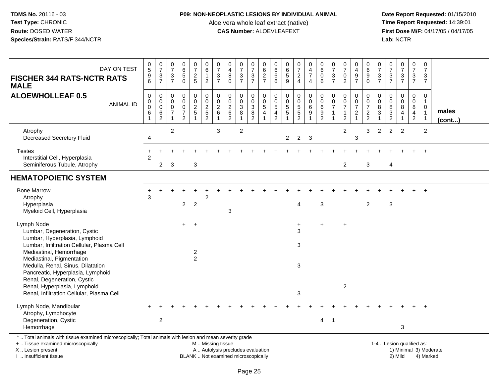### **P09: NON-NEOPLASTIC LESIONS BY INDIVIDUAL ANIMAL**

Aloe vera whole leaf extract (native)<br>**CAS Number:** ALOEVLEAFEXT

| DAY ON TEST<br><b>FISCHER 344 RATS-NCTR RATS</b><br><b>MALE</b>                                                                                                                                                                                                                                                                                                         | $\begin{smallmatrix}0\0\0\end{smallmatrix}$<br>$\begin{array}{c} 9 \\ 6 \end{array}$ | $\begin{array}{c} 0 \\ 7 \end{array}$<br>$\frac{3}{7}$ | $\frac{0}{7}$<br>$\frac{3}{7}$                                                          | $\begin{array}{c} 0 \\ 6 \\ 5 \end{array}$<br>$\overline{0}$                | $\frac{0}{7}$<br>$rac{2}{5}$                                              | $\begin{array}{c} 0 \\ 6 \end{array}$<br>1<br>$\boldsymbol{2}$ | $\frac{0}{7}$<br>$\frac{3}{7}$                                                           | $\begin{smallmatrix}0\\4\end{smallmatrix}$<br>8<br>$\mathbf 0$           | $\frac{0}{7}$<br>$\frac{3}{7}$                                        | 0<br>$\overline{7}$<br>$\frac{3}{7}$                                      | 0<br>6<br>$\frac{2}{7}$             | 0<br>6<br>6<br>6                          | 0<br>6<br>5<br>9                                             | $\begin{array}{c} 0 \\ 7 \end{array}$<br>$\frac{2}{4}$      | $\begin{smallmatrix}0\\4\end{smallmatrix}$<br>$\overline{7}$<br>$\overline{4}$ | $\,0\,$<br>$6\overline{6}$<br>0<br>$6\phantom{1}$                           | $\frac{0}{7}$<br>$\frac{3}{7}$                                             | $\frac{0}{7}$<br>0<br>$\overline{2}$                                         | 0<br>$\begin{array}{c} 4 \\ 9 \\ 7 \end{array}$                                      | 0<br>6<br>9<br>$\overline{0}$                       | $\frac{0}{7}$<br>$\frac{3}{7}$                                             | $\begin{array}{c} 0 \\ 7 \end{array}$<br>$\frac{3}{7}$      | $\frac{0}{7}$<br>$\frac{3}{7}$                                 | $\frac{0}{7}$<br>$\frac{3}{7}$                                           | $\pmb{0}$<br>$\overline{7}$<br>3<br>$\overline{7}$                     |                        |  |
|-------------------------------------------------------------------------------------------------------------------------------------------------------------------------------------------------------------------------------------------------------------------------------------------------------------------------------------------------------------------------|--------------------------------------------------------------------------------------|--------------------------------------------------------|-----------------------------------------------------------------------------------------|-----------------------------------------------------------------------------|---------------------------------------------------------------------------|----------------------------------------------------------------|------------------------------------------------------------------------------------------|--------------------------------------------------------------------------|-----------------------------------------------------------------------|---------------------------------------------------------------------------|-------------------------------------|-------------------------------------------|--------------------------------------------------------------|-------------------------------------------------------------|--------------------------------------------------------------------------------|-----------------------------------------------------------------------------|----------------------------------------------------------------------------|------------------------------------------------------------------------------|--------------------------------------------------------------------------------------|-----------------------------------------------------|----------------------------------------------------------------------------|-------------------------------------------------------------|----------------------------------------------------------------|--------------------------------------------------------------------------|------------------------------------------------------------------------|------------------------|--|
| <b>ALOEWHOLLEAF 0.5</b><br><b>ANIMAL ID</b>                                                                                                                                                                                                                                                                                                                             | $\pmb{0}$<br>$\mathbf 0$<br>$\mathbf 0$<br>$\,6$<br>$\mathbf{1}$                     | $\mathbf 0$<br>0<br>$\mathbf 0$<br>6<br>$\overline{2}$ | $\mathbf 0$<br>$\mathbf 0$<br>$\mathbf 0$<br>$\overline{\mathcal{I}}$<br>$\overline{1}$ | $\mathbf 0$<br>$\mathbf 0$<br>$\pmb{0}$<br>$\overline{7}$<br>$\overline{2}$ | $\pmb{0}$<br>$\begin{array}{c} 0 \\ 2 \\ 5 \end{array}$<br>$\overline{1}$ | $\pmb{0}$<br>$0$<br>$2$<br>$5$<br>$2$                          | $\mathbf 0$<br>$\begin{smallmatrix} 0\\2 \end{smallmatrix}$<br>$\,6\,$<br>$\overline{1}$ | $\mathbf 0$<br>$\mathbf 0$<br>$\overline{2}$<br>$\frac{6}{2}$            | 0<br>$\mathsf{O}\xspace$<br>$\overline{3}$<br>$\bf 8$<br>$\mathbf{1}$ | $\mathbf 0$<br>$\mathbf 0$<br>$\overline{3}$<br>$\,8\,$<br>$\overline{c}$ | $\mathbf 0$<br>0<br>$\sqrt{5}$<br>4 | 0<br>0<br>$\overline{5}$<br>$\frac{4}{2}$ | $\pmb{0}$<br>$\mathsf 0$<br>$\overline{5}$<br>$\overline{5}$ | 0<br>$\mathsf{O}\xspace$<br>$\overline{5}$<br>$\frac{5}{2}$ | $\pmb{0}$<br>$\overline{0}$<br>6<br>$\boldsymbol{9}$<br>$\mathbf{1}$           | $\mathbf 0$<br>$\mathbf 0$<br>$\,6\,$<br>$\boldsymbol{9}$<br>$\overline{2}$ | $\mathbf 0$<br>$\pmb{0}$<br>$\overline{7}$<br>$\mathbf{1}$<br>$\mathbf{1}$ | 0<br>$\mathsf{O}\xspace$<br>$\overline{7}$<br>$\mathbf{1}$<br>$\overline{2}$ | $\pmb{0}$<br>$\ddot{\mathbf{0}}$<br>$\overline{7}$<br>$\overline{c}$<br>$\mathbf{1}$ | $\mathbf 0$<br>0<br>$\overline{7}$<br>$\frac{2}{2}$ | $\mathbf 0$<br>0<br>$\bf 8$<br>$\ensuremath{\mathsf{3}}$<br>$\overline{1}$ | $\mathbf 0$<br>$\pmb{0}$<br>$\overline{8}$<br>$\frac{3}{2}$ | $\mathbf 0$<br>$\mathbf 0$<br>$\overline{8}$<br>$\overline{4}$ | $\mathbf 0$<br>$\mathbf 0$<br>$\, 8$<br>$\overline{4}$<br>$\overline{2}$ | $\Omega$<br>$\mathbf{1}$<br>$\Omega$<br>$\mathbf{1}$<br>$\overline{1}$ | males<br>$($ cont $)$  |  |
| Atrophy<br><b>Decreased Secretory Fluid</b>                                                                                                                                                                                                                                                                                                                             | 4                                                                                    |                                                        | 2                                                                                       |                                                                             |                                                                           |                                                                | 3                                                                                        |                                                                          | $\overline{c}$                                                        |                                                                           |                                     |                                           | $\overline{2}$                                               | $\overline{2}$                                              | 3                                                                              |                                                                             |                                                                            | $\overline{c}$                                                               | 3                                                                                    | 3                                                   | 2                                                                          | 2                                                           | 2                                                              |                                                                          | $\overline{c}$                                                         |                        |  |
| <b>Testes</b><br>Interstitial Cell, Hyperplasia<br>Seminiferous Tubule, Atrophy                                                                                                                                                                                                                                                                                         | $\mathcal{P}$                                                                        | $\overline{2}$                                         | 3                                                                                       |                                                                             | 3                                                                         |                                                                |                                                                                          |                                                                          |                                                                       |                                                                           |                                     |                                           |                                                              |                                                             |                                                                                |                                                                             |                                                                            | $\overline{c}$                                                               |                                                                                      | 3                                                   |                                                                            | $\overline{4}$                                              |                                                                |                                                                          |                                                                        |                        |  |
| <b>HEMATOPOIETIC SYSTEM</b>                                                                                                                                                                                                                                                                                                                                             |                                                                                      |                                                        |                                                                                         |                                                                             |                                                                           |                                                                |                                                                                          |                                                                          |                                                                       |                                                                           |                                     |                                           |                                                              |                                                             |                                                                                |                                                                             |                                                                            |                                                                              |                                                                                      |                                                     |                                                                            |                                                             |                                                                |                                                                          |                                                                        |                        |  |
| <b>Bone Marrow</b><br>Atrophy<br>Hyperplasia<br>Myeloid Cell, Hyperplasia                                                                                                                                                                                                                                                                                               | 3                                                                                    |                                                        |                                                                                         | $\overline{2}$                                                              | $\overline{2}$                                                            | $\overline{2}$                                                 |                                                                                          | 3                                                                        |                                                                       |                                                                           |                                     |                                           |                                                              | 4                                                           |                                                                                | $\mathbf{3}$                                                                |                                                                            |                                                                              |                                                                                      | $\overline{2}$                                      |                                                                            | $\mathbf{3}$                                                |                                                                |                                                                          |                                                                        |                        |  |
| Lymph Node<br>Lumbar, Degeneration, Cystic<br>Lumbar, Hyperplasia, Lymphoid<br>Lumbar, Infiltration Cellular, Plasma Cell<br>Mediastinal, Hemorrhage<br>Mediastinal, Pigmentation<br>Medulla, Renal, Sinus, Dilatation<br>Pancreatic, Hyperplasia, Lymphoid<br>Renal, Degeneration, Cystic<br>Renal, Hyperplasia, Lymphoid<br>Renal, Infiltration Cellular, Plasma Cell |                                                                                      |                                                        |                                                                                         | $+$                                                                         | $+$<br>$\overline{a}$<br>$\overline{2}$                                   |                                                                |                                                                                          |                                                                          |                                                                       |                                                                           |                                     |                                           |                                                              | $\ddot{}$<br>3<br>3<br>$\mathbf{3}$<br>3                    |                                                                                | $\ddot{}$                                                                   |                                                                            | $\ddot{}$<br>$\overline{c}$                                                  |                                                                                      |                                                     |                                                                            |                                                             |                                                                |                                                                          |                                                                        |                        |  |
| Lymph Node, Mandibular<br>Atrophy, Lymphocyte<br>Degeneration, Cystic<br>Hemorrhage                                                                                                                                                                                                                                                                                     |                                                                                      | $\boldsymbol{2}$                                       |                                                                                         |                                                                             |                                                                           |                                                                |                                                                                          |                                                                          |                                                                       |                                                                           |                                     |                                           |                                                              |                                                             |                                                                                | 4                                                                           | $\overline{1}$                                                             |                                                                              |                                                                                      |                                                     |                                                                            |                                                             | 3                                                              |                                                                          |                                                                        |                        |  |
| *  Total animals with tissue examined microscopically; Total animals with lesion and mean severity grade<br>+  Tissue examined microscopically<br>X  Lesion present<br>I  Insufficient tissue                                                                                                                                                                           |                                                                                      |                                                        |                                                                                         |                                                                             |                                                                           | M  Missing tissue                                              |                                                                                          | A  Autolysis precludes evaluation<br>BLANK  Not examined microscopically |                                                                       |                                                                           |                                     |                                           |                                                              |                                                             |                                                                                |                                                                             |                                                                            |                                                                              |                                                                                      |                                                     |                                                                            | 1-4  Lesion qualified as:                                   | 2) Mild                                                        |                                                                          | 4) Marked                                                              | 1) Minimal 3) Moderate |  |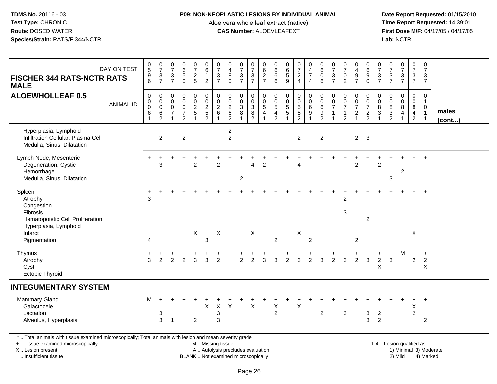### **P09: NON-NEOPLASTIC LESIONS BY INDIVIDUAL ANIMAL**

Aloe vera whole leaf extract (native)<br>**CAS Number:** ALOEVLEAFEXT

 **Date Report Requested:** 01/15/2010 **First Dose M/F:** 04/17/05 / 04/17/05<br>Lab: NCTR **Lab:** NCTR

| <b>FISCHER 344 RATS-NCTR RATS</b><br><b>MALE</b>                                                                                                                    | DAY ON TEST      | $\begin{array}{c} 0 \\ 5 \end{array}$<br>$\begin{array}{c} 9 \\ 6 \end{array}$ | $\begin{smallmatrix}0\\7\end{smallmatrix}$<br>$\frac{3}{7}$  | $\frac{0}{7}$<br>$\sqrt{3}$<br>$\overline{7}$                    | $\begin{array}{c} 0 \\ 6 \end{array}$<br>$\sqrt{5}$<br>$\overline{0}$ | $\frac{0}{7}$<br>$rac{2}{5}$         | $_{6}^{\rm 0}$<br>$\mathbf{1}$<br>$\overline{2}$ | $\frac{0}{7}$<br>$\frac{3}{7}$                         | $\begin{smallmatrix}0\\4\end{smallmatrix}$<br>$_{0}^{8}$      | $\frac{0}{7}$<br>$\frac{3}{7}$                             | $\frac{0}{7}$<br>$\frac{3}{7}$                                      | 0<br>6<br>$\frac{2}{7}$                              | $\pmb{0}$<br>$\,6$<br>$\,6$<br>$\overline{6}$                          | 0<br>$\,6\,$<br>$\frac{5}{9}$               | $\frac{0}{7}$<br>$\frac{2}{4}$ | $\mathbf 0$<br>$\overline{\mathbf{4}}$<br>$\overline{7}$<br>$\overline{4}$ | $\begin{array}{c} 0 \\ 6 \end{array}$<br>$\pmb{0}$<br>6 | $\frac{0}{7}$<br>$\mathbf{3}$<br>$\overline{7}$                     | $\frac{0}{7}$<br>$\mathbf 0$<br>$\overline{2}$                                      | 0<br>$\overline{\mathbf{4}}$<br>$\frac{9}{7}$            | 0<br>$\,6$<br>$_{0}^{9}$                                    | $\frac{0}{7}$<br>$\frac{3}{7}$                                                 | 0<br>$\overline{7}$<br>$\frac{3}{7}$ | $\begin{smallmatrix} 0\\7 \end{smallmatrix}$<br>$\frac{3}{7}$           | $\frac{0}{7}$<br>$\frac{3}{7}$                               | $\pmb{0}$<br>$\overline{7}$<br>$\frac{3}{7}$                                   |                        |
|---------------------------------------------------------------------------------------------------------------------------------------------------------------------|------------------|--------------------------------------------------------------------------------|--------------------------------------------------------------|------------------------------------------------------------------|-----------------------------------------------------------------------|--------------------------------------|--------------------------------------------------|--------------------------------------------------------|---------------------------------------------------------------|------------------------------------------------------------|---------------------------------------------------------------------|------------------------------------------------------|------------------------------------------------------------------------|---------------------------------------------|--------------------------------|----------------------------------------------------------------------------|---------------------------------------------------------|---------------------------------------------------------------------|-------------------------------------------------------------------------------------|----------------------------------------------------------|-------------------------------------------------------------|--------------------------------------------------------------------------------|--------------------------------------|-------------------------------------------------------------------------|--------------------------------------------------------------|--------------------------------------------------------------------------------|------------------------|
| <b>ALOEWHOLLEAF 0.5</b>                                                                                                                                             | <b>ANIMAL ID</b> | $\pmb{0}$<br>$\boldsymbol{0}$<br>$\ddot{\mathbf{0}}$<br>$\,6$                  | 0<br>$\mathbf 0$<br>$\mathbf 0$<br>$\,6\,$<br>$\overline{2}$ | $\mathbf 0$<br>$\mathbf 0$<br>$\mathbf 0$<br>$\overline{7}$<br>1 | $\mathbf 0$<br>$\mathbf 0$<br>$\pmb{0}$<br>$\frac{7}{2}$              | 0<br>$\overline{0}$<br>$\frac{2}{5}$ | 000252                                           | $_{\rm 0}^{\rm 0}$<br>$\overline{2}$<br>$6\phantom{1}$ | $\begin{smallmatrix} 0\\0 \end{smallmatrix}$<br>$\frac{2}{6}$ | $\pmb{0}$<br>$\mathbf 0$<br>$\ensuremath{\mathsf{3}}$<br>8 | $\pmb{0}$<br>$\mathsf{O}\xspace$<br>$\overline{3}$<br>$\frac{8}{2}$ | 0<br>$\mathsf 0$<br>$\overline{5}$<br>$\overline{4}$ | 0<br>$\mathbf 0$<br>$\overline{5}$<br>$\overline{4}$<br>$\overline{2}$ | $\mathbf 0$<br>$\mathbf 0$<br>$\frac{5}{5}$ | $\pmb{0}$<br>0<br>5<br>5<br>2  | $\mathbf 0$<br>$\mathbf 0$<br>$\,6\,$<br>9                                 | $\pmb{0}$<br>$\overline{0}$<br>$\,6\,$<br>$\frac{9}{2}$ | $\mathbf 0$<br>$\mathbf 0$<br>$\overline{7}$<br>$\overline{1}$<br>1 | $\boldsymbol{0}$<br>$\mathbf 0$<br>$\overline{7}$<br>$\mathbf{1}$<br>$\overline{c}$ | 0<br>$\mathsf{O}\xspace$<br>$\overline{7}$<br>$\sqrt{2}$ | 0<br>$\mathsf{O}\xspace$<br>$\overline{7}$<br>$\frac{2}{2}$ | $\pmb{0}$<br>$\mathbf 0$<br>$\overline{8}$<br>$\overline{3}$<br>$\overline{1}$ | 0<br>0<br>$\bf 8$<br>$\frac{3}{2}$   | $\mathbf 0$<br>$\overline{0}$<br>$\overline{8}$<br>$\overline{4}$<br>-1 | 0<br>0<br>$8\phantom{.}$<br>$\overline{4}$<br>$\overline{2}$ | $\mathbf 0$<br>$\mathbf{1}$<br>$\mathbf 0$<br>$\overline{1}$<br>$\overline{1}$ | males<br>(cont)        |
| Hyperplasia, Lymphoid<br>Infiltration Cellular, Plasma Cell<br>Medulla, Sinus, Dilatation                                                                           |                  |                                                                                | $\overline{2}$                                               |                                                                  | $\overline{c}$                                                        |                                      |                                                  |                                                        | $\overline{c}$<br>$\overline{2}$                              |                                                            |                                                                     |                                                      |                                                                        |                                             | $\overline{2}$                 |                                                                            | $\overline{2}$                                          |                                                                     |                                                                                     |                                                          | $2 \quad 3$                                                 |                                                                                |                                      |                                                                         |                                                              |                                                                                |                        |
| Lymph Node, Mesenteric<br>Degeneration, Cystic<br>Hemorrhage<br>Medulla, Sinus, Dilatation                                                                          |                  | $\pm$                                                                          | ÷<br>3                                                       |                                                                  |                                                                       | $\ddot{}$<br>$\overline{2}$          |                                                  | $\overline{2}$                                         |                                                               | $\overline{2}$                                             | $\overline{\mathbf{A}}$                                             | $\overline{2}$                                       |                                                                        |                                             | Δ                              |                                                                            |                                                         |                                                                     |                                                                                     | $\overline{2}$                                           | $\div$                                                      | $\overline{2}$                                                                 | 3                                    | $\overline{c}$                                                          |                                                              |                                                                                |                        |
| Spleen<br>Atrophy<br>Congestion<br>Fibrosis<br>Hematopoietic Cell Proliferation<br>Hyperplasia, Lymphoid                                                            |                  | 3                                                                              |                                                              |                                                                  |                                                                       |                                      |                                                  |                                                        |                                                               |                                                            |                                                                     |                                                      |                                                                        |                                             |                                |                                                                            |                                                         |                                                                     | 2<br>$\sqrt{3}$                                                                     |                                                          | $\overline{2}$                                              |                                                                                |                                      |                                                                         |                                                              |                                                                                |                        |
| Infarct<br>Pigmentation                                                                                                                                             |                  | 4                                                                              |                                                              |                                                                  |                                                                       | X                                    | $\mathbf{3}$                                     | X                                                      |                                                               |                                                            | X                                                                   |                                                      | 2                                                                      |                                             | X                              | $\overline{2}$                                                             |                                                         |                                                                     |                                                                                     | $\overline{2}$                                           |                                                             |                                                                                |                                      |                                                                         | X                                                            |                                                                                |                        |
| Thymus<br>Atrophy<br>Cyst<br><b>Ectopic Thyroid</b>                                                                                                                 |                  | $\pm$<br>3                                                                     | 2                                                            | $\mathfrak{p}$                                                   | $\mathcal{P}$                                                         | 3                                    | 3                                                | $\overline{2}$                                         |                                                               | $\overline{c}$                                             | $\overline{2}$                                                      | 3                                                    | 3                                                                      | $\overline{2}$                              | $\mathbf{3}$                   | $\overline{c}$                                                             | 3                                                       | $\overline{2}$                                                      | 3                                                                                   | $\overline{c}$                                           | 3                                                           | $\div$<br>$\sqrt{2}$<br>$\mathsf X$                                            | ÷<br>3                               | M                                                                       | $\ddot{}$<br>$\overline{2}$                                  | $\ddot{}$<br>$\sqrt{2}$<br>$\mathsf X$                                         |                        |
| <b>INTEGUMENTARY SYSTEM</b>                                                                                                                                         |                  |                                                                                |                                                              |                                                                  |                                                                       |                                      |                                                  |                                                        |                                                               |                                                            |                                                                     |                                                      |                                                                        |                                             |                                |                                                                            |                                                         |                                                                     |                                                                                     |                                                          |                                                             |                                                                                |                                      |                                                                         |                                                              |                                                                                |                        |
| Mammary Gland<br>Galactocele<br>Lactation<br>Alveolus, Hyperplasia                                                                                                  |                  | M                                                                              | $\div$<br>$\sqrt{3}$<br>3                                    | $\overline{1}$                                                   |                                                                       | $\overline{2}$                       | +<br>X                                           | $\mathsf X$<br>$\ensuremath{\mathsf{3}}$<br>3          | $\boldsymbol{\mathsf{X}}$                                     |                                                            | $\sf X$                                                             |                                                      | Χ<br>$\overline{c}$                                                    |                                             | $\times$                       |                                                                            | $\overline{c}$                                          |                                                                     | $\mathbf 3$                                                                         |                                                          | 3<br>3                                                      | $\overline{2}$<br>2                                                            |                                      |                                                                         | $\ddot{}$<br>$\mathsf X$<br>$\overline{c}$                   | $+$<br>$\overline{2}$                                                          |                        |
| *  Total animals with tissue examined microscopically; Total animals with lesion and mean severity grade<br>+  Tissue examined microscopically<br>X  Lesion present |                  |                                                                                |                                                              |                                                                  |                                                                       |                                      | M  Missing tissue                                |                                                        | A  Autolysis precludes evaluation                             |                                                            |                                                                     |                                                      |                                                                        |                                             |                                |                                                                            |                                                         |                                                                     |                                                                                     |                                                          |                                                             | 1-4  Lesion qualified as:                                                      |                                      |                                                                         |                                                              |                                                                                | 1) Minimal 3) Moderate |

I .. Insufficient tissue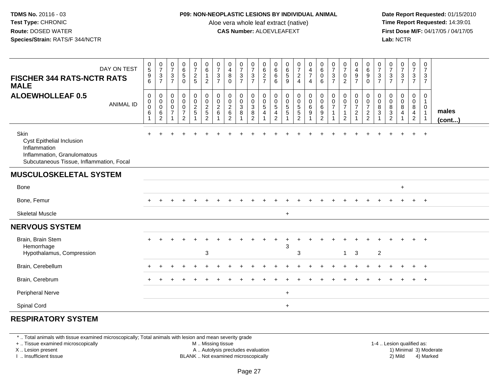#### **P09: NON-NEOPLASTIC LESIONS BY INDIVIDUAL ANIMAL**

Aloe vera whole leaf extract (native)<br>**CAS Number:** ALOEVLEAFEXT

Date Report Requested: 01/15/2010<br>Time Report Requested: 14:39:01 **First Dose M/F:** 04/17/05 / 04/17/05<br>**Lab:** NCTR **Lab:** NCTR

| DAY ON TEST<br><b>FISCHER 344 RATS-NCTR RATS</b><br><b>MALE</b>                                                                     |                  | $\begin{array}{c} 0 \\ 5 \end{array}$<br>$\boldsymbol{9}$<br>6                  | $\frac{0}{7}$<br>3<br>$\overline{7}$                   | $\frac{0}{7}$<br>$\sqrt{3}$<br>$\overline{7}$ | $\begin{array}{c} 0 \\ 6 \\ 5 \end{array}$<br>$\mathbf 0$                           | $\frac{0}{7}$<br>$rac{2}{5}$                   | $\begin{array}{c} 0 \\ 6 \end{array}$<br>$\mathbf{1}$<br>$\overline{2}$ | $\frac{0}{7}$<br>$\sqrt{3}$<br>$\overline{7}$ | $\begin{smallmatrix}0\0\4\end{smallmatrix}$<br>8<br>$\mathbf 0$                  | $\frac{0}{7}$<br>$\frac{3}{7}$        | $\frac{0}{7}$<br>$\frac{3}{7}$                                             | 0627                                           | $\begin{matrix} 0 \\ 6 \\ 6 \end{matrix}$<br>6                      | $\begin{array}{c} 0 \\ 6 \end{array}$<br>$\overline{5}$<br>9 | $\frac{0}{7}$<br>$\frac{2}{4}$                                          | $\begin{array}{c} 0 \\ 4 \\ 7 \end{array}$<br>$\overline{4}$                  | $\begin{array}{c} 0 \\ 6 \end{array}$<br>$\mathsf{O}\xspace$<br>6         | $\frac{0}{7}$<br>$\sqrt{3}$<br>$\overline{7}$ | $\frac{0}{7}$<br>$\pmb{0}$<br>$\overline{2}$                                 | 0<br>$\begin{array}{c} 4 \\ 9 \\ 7 \end{array}$                      | $\begin{array}{c} 0 \\ 6 \end{array}$<br>9<br>$\mathbf 0$     | $\frac{0}{7}$<br>$\sqrt{3}$<br>$\overline{7}$ | $\frac{0}{7}$<br>$\frac{3}{7}$                             | $\frac{0}{7}$<br>$\frac{3}{7}$                             | $\begin{smallmatrix}0\\7\end{smallmatrix}$<br>$\frac{3}{7}$ | 0<br>$\overline{7}$<br>$\mathbf{3}$<br>$\overline{7}$          |                       |
|-------------------------------------------------------------------------------------------------------------------------------------|------------------|---------------------------------------------------------------------------------|--------------------------------------------------------|-----------------------------------------------|-------------------------------------------------------------------------------------|------------------------------------------------|-------------------------------------------------------------------------|-----------------------------------------------|----------------------------------------------------------------------------------|---------------------------------------|----------------------------------------------------------------------------|------------------------------------------------|---------------------------------------------------------------------|--------------------------------------------------------------|-------------------------------------------------------------------------|-------------------------------------------------------------------------------|---------------------------------------------------------------------------|-----------------------------------------------|------------------------------------------------------------------------------|----------------------------------------------------------------------|---------------------------------------------------------------|-----------------------------------------------|------------------------------------------------------------|------------------------------------------------------------|-------------------------------------------------------------|----------------------------------------------------------------|-----------------------|
| <b>ALOEWHOLLEAF 0.5</b>                                                                                                             | <b>ANIMAL ID</b> | $\mathsf{O}\xspace$<br>$\boldsymbol{0}$<br>$\pmb{0}$<br>$\,6\,$<br>$\mathbf{1}$ | 0<br>$\mathbf 0$<br>$\mathbf 0$<br>6<br>$\overline{c}$ | $\pmb{0}$<br>0<br>$\pmb{0}$<br>$\overline{7}$ | $\mathbf 0$<br>$\mathsf{O}\xspace$<br>$\pmb{0}$<br>$\overline{7}$<br>$\overline{2}$ | $\overline{0}$<br>$\mathbf 0$<br>$\frac{2}{5}$ | 0<br>0<br>2<br>5<br>2                                                   | 0<br>$\boldsymbol{0}$<br>$\sqrt{2}$<br>6      | $\boldsymbol{0}$<br>$\mathbf 0$<br>$\boldsymbol{2}$<br>$\,6\,$<br>$\overline{2}$ | 0<br>$\mathbf 0$<br>$\mathbf{3}$<br>8 | 0<br>$\mathbf 0$<br>$\ensuremath{\mathsf{3}}$<br>$\bf 8$<br>$\overline{2}$ | 0<br>$\pmb{0}$<br>$\sqrt{5}$<br>$\overline{4}$ | 0<br>$\mathbf 0$<br>$\,$ 5 $\,$<br>$\overline{4}$<br>$\overline{2}$ | $\mathsf 0$<br>$\mathbf 0$<br>$\sqrt{5}$<br>$\,$ 5 $\,$      | $\mathbf 0$<br>$\mathsf{O}\xspace$<br>5<br>$\sqrt{5}$<br>$\overline{2}$ | $\begin{smallmatrix} 0\\0 \end{smallmatrix}$<br>$\frac{6}{9}$<br>$\mathbf{1}$ | $\pmb{0}$<br>$\mathbf 0$<br>$\,6\,$<br>$\boldsymbol{9}$<br>$\overline{2}$ | 0<br>0                                        | $\mathbf 0$<br>$\pmb{0}$<br>$\overline{7}$<br>$\mathbf{1}$<br>$\overline{2}$ | 0<br>$\pmb{0}$<br>$\overline{7}$<br>$\overline{2}$<br>$\overline{A}$ | $\mathbf 0$<br>$\mathbf 0$<br>$\overline{7}$<br>$\frac{2}{2}$ | 0<br>$\mathbf 0$<br>8<br>3                    | 0<br>0<br>8<br>$\ensuremath{\mathsf{3}}$<br>$\overline{2}$ | $\pmb{0}$<br>$\pmb{0}$<br>$\overline{8}$<br>$\overline{4}$ | 0<br>$\mathbf 0$<br>8<br>$\overline{4}$<br>$\overline{2}$   | $\mathbf 0$<br>$\overline{1}$<br>$\mathbf 0$<br>$\overline{1}$ | males<br>$($ cont $)$ |
| Skin<br><b>Cyst Epithelial Inclusion</b><br>Inflammation<br>Inflammation, Granulomatous<br>Subcutaneous Tissue, Inflammation, Focal |                  |                                                                                 |                                                        |                                               |                                                                                     |                                                |                                                                         |                                               |                                                                                  |                                       |                                                                            |                                                |                                                                     |                                                              |                                                                         |                                                                               |                                                                           |                                               |                                                                              |                                                                      |                                                               |                                               |                                                            |                                                            |                                                             | $+$                                                            |                       |
| <b>MUSCULOSKELETAL SYSTEM</b>                                                                                                       |                  |                                                                                 |                                                        |                                               |                                                                                     |                                                |                                                                         |                                               |                                                                                  |                                       |                                                                            |                                                |                                                                     |                                                              |                                                                         |                                                                               |                                                                           |                                               |                                                                              |                                                                      |                                                               |                                               |                                                            |                                                            |                                                             |                                                                |                       |
| Bone                                                                                                                                |                  |                                                                                 |                                                        |                                               |                                                                                     |                                                |                                                                         |                                               |                                                                                  |                                       |                                                                            |                                                |                                                                     |                                                              |                                                                         |                                                                               |                                                                           |                                               |                                                                              |                                                                      |                                                               |                                               |                                                            | $\ddot{}$                                                  |                                                             |                                                                |                       |
| Bone, Femur                                                                                                                         |                  |                                                                                 |                                                        |                                               |                                                                                     |                                                |                                                                         |                                               |                                                                                  |                                       |                                                                            |                                                |                                                                     |                                                              |                                                                         |                                                                               |                                                                           |                                               |                                                                              |                                                                      |                                                               |                                               |                                                            |                                                            |                                                             | $+$                                                            |                       |
| <b>Skeletal Muscle</b>                                                                                                              |                  |                                                                                 |                                                        |                                               |                                                                                     |                                                |                                                                         |                                               |                                                                                  |                                       |                                                                            |                                                |                                                                     | $\ddot{}$                                                    |                                                                         |                                                                               |                                                                           |                                               |                                                                              |                                                                      |                                                               |                                               |                                                            |                                                            |                                                             |                                                                |                       |
| <b>NERVOUS SYSTEM</b>                                                                                                               |                  |                                                                                 |                                                        |                                               |                                                                                     |                                                |                                                                         |                                               |                                                                                  |                                       |                                                                            |                                                |                                                                     |                                                              |                                                                         |                                                                               |                                                                           |                                               |                                                                              |                                                                      |                                                               |                                               |                                                            |                                                            |                                                             |                                                                |                       |
| Brain, Brain Stem<br>Hemorrhage<br>Hypothalamus, Compression                                                                        |                  |                                                                                 |                                                        |                                               |                                                                                     |                                                | 3                                                                       |                                               |                                                                                  |                                       |                                                                            |                                                |                                                                     | 3                                                            | 3                                                                       |                                                                               |                                                                           |                                               | $\mathbf{1}$                                                                 | $\mathbf{3}$                                                         |                                                               | $\overline{c}$                                |                                                            |                                                            |                                                             | $+$                                                            |                       |
| Brain, Cerebellum                                                                                                                   |                  |                                                                                 |                                                        |                                               |                                                                                     |                                                |                                                                         |                                               |                                                                                  |                                       |                                                                            |                                                |                                                                     |                                                              |                                                                         |                                                                               |                                                                           |                                               |                                                                              |                                                                      |                                                               |                                               |                                                            |                                                            | $\div$                                                      | $+$                                                            |                       |
| Brain, Cerebrum                                                                                                                     |                  |                                                                                 |                                                        |                                               |                                                                                     |                                                |                                                                         |                                               |                                                                                  |                                       |                                                                            |                                                |                                                                     |                                                              |                                                                         |                                                                               |                                                                           |                                               |                                                                              |                                                                      |                                                               |                                               |                                                            |                                                            |                                                             | $+$                                                            |                       |
| <b>Peripheral Nerve</b>                                                                                                             |                  |                                                                                 |                                                        |                                               |                                                                                     |                                                |                                                                         |                                               |                                                                                  |                                       |                                                                            |                                                |                                                                     | $\ddot{}$                                                    |                                                                         |                                                                               |                                                                           |                                               |                                                                              |                                                                      |                                                               |                                               |                                                            |                                                            |                                                             |                                                                |                       |
| Spinal Cord                                                                                                                         |                  |                                                                                 |                                                        |                                               |                                                                                     |                                                |                                                                         |                                               |                                                                                  |                                       |                                                                            |                                                |                                                                     | $+$                                                          |                                                                         |                                                                               |                                                                           |                                               |                                                                              |                                                                      |                                                               |                                               |                                                            |                                                            |                                                             |                                                                |                       |

# **RESPIRATORY SYSTEM**

\* .. Total animals with tissue examined microscopically; Total animals with lesion and mean severity grade

+ .. Tissue examined microscopically

X .. Lesion present

I .. Insufficient tissue

M .. Missing tissue

A .. Autolysis precludes evaluation

BLANK .. Not examined microscopically 2) Mild 4) Marked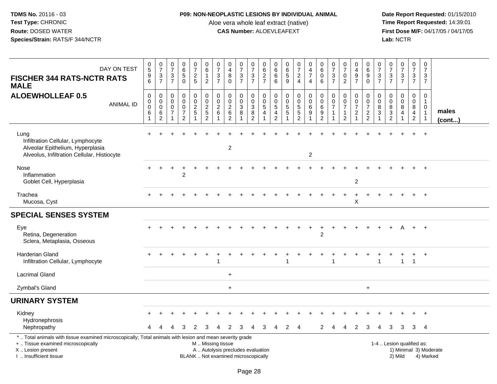### **P09: NON-NEOPLASTIC LESIONS BY INDIVIDUAL ANIMAL**

Aloe vera whole leaf extract (native)<br>**CAS Number:** ALOEVLEAFEXT

| DAY ON TEST<br><b>FISCHER 344 RATS-NCTR RATS</b><br><b>MALE</b>                                                                                                                               | $\begin{matrix} 0 \\ 5 \end{matrix}$<br>$\frac{9}{6}$                        | $\begin{array}{c} 0 \\ 7 \end{array}$<br>$\ensuremath{\mathsf{3}}$<br>$\overline{7}$ | $\frac{0}{7}$<br>$\sqrt{3}$<br>$\overline{7}$               | $\begin{array}{c} 0 \\ 6 \end{array}$<br>$\overline{5}$<br>$\Omega$                 | $\frac{0}{7}$<br>$\sqrt{2}$<br>5        | 0<br>$\,6\,$<br>$\mathbf{1}$<br>$\overline{2}$                            | $\frac{0}{7}$<br>$\sqrt{3}$<br>$\overline{7}$       | $\frac{0}{4}$<br>$\bf8$<br>$\Omega$                                      | $\frac{0}{7}$<br>$\sqrt{3}$<br>$\overline{7}$ | $\frac{0}{7}$<br>$\ensuremath{\mathsf{3}}$<br>$\overline{7}$               | $\begin{array}{c} 0 \\ 6 \end{array}$<br>$\frac{2}{7}$                   | 0<br>$\,6\,$<br>$6\phantom{1}6$<br>6                  | $\begin{matrix} 0 \\ 6 \end{matrix}$<br>$\sqrt{5}$<br>9             | $\frac{0}{7}$<br>$\overline{2}$<br>$\overline{4}$           | $\begin{smallmatrix}0\0\4\end{smallmatrix}$<br>$\overline{7}$<br>$\overline{4}$    | $\begin{matrix} 0 \\ 6 \end{matrix}$<br>$\bar{0}$<br>6        | $\frac{0}{7}$<br>$\sqrt{3}$<br>$\overline{7}$ | $\frac{0}{7}$<br>$\pmb{0}$<br>$\overline{2}$                                           | 0<br>$\overline{4}$<br>$\boldsymbol{9}$<br>$\overline{7}$ | $\begin{matrix}0\\6\end{matrix}$<br>$\boldsymbol{9}$<br>$\mathbf{0}$  | $\frac{0}{7}$<br>$\mathfrak{S}$<br>$\overline{7}$ | $\frac{0}{7}$<br>$\frac{3}{7}$                    | $\frac{0}{7}$<br>$\frac{3}{7}$                        | $\frac{0}{7}$<br>$\mathbf{3}$<br>$\overline{7}$                                   | $\boldsymbol{0}$<br>$\overline{7}$<br>$\mathbf{3}$<br>$\overline{7}$       |                        |
|-----------------------------------------------------------------------------------------------------------------------------------------------------------------------------------------------|------------------------------------------------------------------------------|--------------------------------------------------------------------------------------|-------------------------------------------------------------|-------------------------------------------------------------------------------------|-----------------------------------------|---------------------------------------------------------------------------|-----------------------------------------------------|--------------------------------------------------------------------------|-----------------------------------------------|----------------------------------------------------------------------------|--------------------------------------------------------------------------|-------------------------------------------------------|---------------------------------------------------------------------|-------------------------------------------------------------|------------------------------------------------------------------------------------|---------------------------------------------------------------|-----------------------------------------------|----------------------------------------------------------------------------------------|-----------------------------------------------------------|-----------------------------------------------------------------------|---------------------------------------------------|---------------------------------------------------|-------------------------------------------------------|-----------------------------------------------------------------------------------|----------------------------------------------------------------------------|------------------------|
| <b>ALOEWHOLLEAF 0.5</b><br><b>ANIMAL ID</b>                                                                                                                                                   | $\pmb{0}$<br>$\boldsymbol{0}$<br>$\overline{0}$<br>$\,6\,$<br>$\overline{1}$ | $\mathsf{O}\xspace$<br>$\mathsf 0$<br>$\mathbf 0$<br>6<br>$\overline{2}$             | $\mathbf 0$<br>$\mathbf 0$<br>$\mathbf 0$<br>$\overline{7}$ | $\mathbf 0$<br>$\mathsf{O}\xspace$<br>$\pmb{0}$<br>$\overline{7}$<br>$\overline{2}$ | 0<br>$\mathbf 0$<br>$\frac{2}{5}$<br>-1 | $\pmb{0}$<br>$\overline{0}$<br>$\sqrt{2}$<br>$\sqrt{5}$<br>$\overline{2}$ | $\mathbf 0$<br>$\mathbf 0$<br>$\boldsymbol{2}$<br>6 | $\pmb{0}$<br>$\mathbf 0$<br>$\overline{2}$<br>6<br>$\overline{2}$        | 0<br>$\mathsf{O}\xspace$<br>$\mathbf{3}$<br>8 | $\pmb{0}$<br>$\pmb{0}$<br>$\ensuremath{\mathsf{3}}$<br>8<br>$\overline{2}$ | $\mathsf 0$<br>$\pmb{0}$<br>$\sqrt{5}$<br>$\overline{4}$<br>$\mathbf{1}$ | $\mathbf 0$<br>0<br>$\sqrt{5}$<br>4<br>$\overline{2}$ | $\mathbf 0$<br>$\mathbf 0$<br>$\overline{5}$<br>5<br>$\overline{1}$ | 0<br>$\mathsf{O}\xspace$<br>$\frac{5}{5}$<br>$\overline{2}$ | $\begin{smallmatrix} 0\\0 \end{smallmatrix}$<br>$\,6\,$<br>$9\,$<br>$\overline{1}$ | $\pmb{0}$<br>$\overline{0}$<br>$\,6\,$<br>9<br>$\overline{2}$ | 0<br>0<br>$\overline{7}$<br>$\mathbf{1}$      | $\mathbf 0$<br>$\ddot{\mathbf{0}}$<br>$\overline{7}$<br>$\mathbf{1}$<br>$\overline{2}$ | 0<br>$\mathbf 0$<br>$\overline{7}$<br>$\sqrt{2}$<br>-1    | $\mathbf 0$<br>$\ddot{\mathbf{0}}$<br>$\overline{7}$<br>$\frac{2}{2}$ | 0<br>$\mathbf 0$<br>8<br>3                        | 0<br>$\boldsymbol{0}$<br>$\bf 8$<br>$\frac{3}{2}$ | $\mathsf{O}$<br>$\overline{0}$<br>8<br>$\overline{4}$ | $\mathbf 0$<br>$\mathsf{O}\xspace$<br>$\bf 8$<br>$\overline{4}$<br>$\overline{c}$ | $\mathbf 0$<br>$\mathbf{1}$<br>$\mathbf 0$<br>$\mathbf{1}$<br>$\mathbf{1}$ | males<br>(cont)        |
| Lung<br>Infiltration Cellular, Lymphocyte<br>Alveolar Epithelium, Hyperplasia<br>Alveolus, Infiltration Cellular, Histiocyte                                                                  |                                                                              |                                                                                      |                                                             |                                                                                     |                                         |                                                                           |                                                     | $\overline{c}$                                                           |                                               |                                                                            |                                                                          |                                                       |                                                                     |                                                             | $\overline{2}$                                                                     |                                                               |                                               |                                                                                        |                                                           |                                                                       |                                                   |                                                   |                                                       |                                                                                   | $\overline{+}$                                                             |                        |
| Nose<br>Inflammation<br>Goblet Cell, Hyperplasia                                                                                                                                              |                                                                              |                                                                                      | ÷                                                           | 2                                                                                   |                                         |                                                                           |                                                     |                                                                          |                                               |                                                                            |                                                                          |                                                       |                                                                     |                                                             |                                                                                    |                                                               |                                               |                                                                                        | $\overline{c}$                                            |                                                                       |                                                   |                                                   |                                                       |                                                                                   | $\overline{+}$                                                             |                        |
| Trachea<br>Mucosa, Cyst                                                                                                                                                                       |                                                                              |                                                                                      |                                                             |                                                                                     |                                         |                                                                           |                                                     |                                                                          |                                               |                                                                            |                                                                          |                                                       |                                                                     |                                                             |                                                                                    |                                                               |                                               |                                                                                        | Χ                                                         |                                                                       |                                                   |                                                   |                                                       |                                                                                   |                                                                            |                        |
| <b>SPECIAL SENSES SYSTEM</b>                                                                                                                                                                  |                                                                              |                                                                                      |                                                             |                                                                                     |                                         |                                                                           |                                                     |                                                                          |                                               |                                                                            |                                                                          |                                                       |                                                                     |                                                             |                                                                                    |                                                               |                                               |                                                                                        |                                                           |                                                                       |                                                   |                                                   |                                                       |                                                                                   |                                                                            |                        |
| Eye<br>Retina, Degeneration<br>Sclera, Metaplasia, Osseous                                                                                                                                    |                                                                              |                                                                                      |                                                             |                                                                                     |                                         |                                                                           |                                                     |                                                                          |                                               |                                                                            |                                                                          |                                                       |                                                                     |                                                             |                                                                                    | $\overline{c}$                                                |                                               |                                                                                        |                                                           |                                                                       |                                                   |                                                   |                                                       | $+$                                                                               | $+$                                                                        |                        |
| <b>Harderian Gland</b><br>Infiltration Cellular, Lymphocyte                                                                                                                                   |                                                                              |                                                                                      |                                                             |                                                                                     |                                         |                                                                           |                                                     |                                                                          |                                               |                                                                            |                                                                          |                                                       |                                                                     |                                                             |                                                                                    |                                                               |                                               |                                                                                        |                                                           |                                                                       | 1                                                 |                                                   | $\mathbf{1}$                                          | $\ddot{}$<br>$\overline{1}$                                                       | $+$                                                                        |                        |
| <b>Lacrimal Gland</b>                                                                                                                                                                         |                                                                              |                                                                                      |                                                             |                                                                                     |                                         |                                                                           |                                                     | $\ddot{}$                                                                |                                               |                                                                            |                                                                          |                                                       |                                                                     |                                                             |                                                                                    |                                                               |                                               |                                                                                        |                                                           |                                                                       |                                                   |                                                   |                                                       |                                                                                   |                                                                            |                        |
| Zymbal's Gland                                                                                                                                                                                |                                                                              |                                                                                      |                                                             |                                                                                     |                                         |                                                                           |                                                     | $\ddot{}$                                                                |                                               |                                                                            |                                                                          |                                                       |                                                                     |                                                             |                                                                                    |                                                               |                                               |                                                                                        |                                                           | $\ddot{}$                                                             |                                                   |                                                   |                                                       |                                                                                   |                                                                            |                        |
| <b>URINARY SYSTEM</b>                                                                                                                                                                         |                                                                              |                                                                                      |                                                             |                                                                                     |                                         |                                                                           |                                                     |                                                                          |                                               |                                                                            |                                                                          |                                                       |                                                                     |                                                             |                                                                                    |                                                               |                                               |                                                                                        |                                                           |                                                                       |                                                   |                                                   |                                                       |                                                                                   |                                                                            |                        |
| Kidney<br>Hydronephrosis<br>Nephropathy                                                                                                                                                       |                                                                              |                                                                                      |                                                             | З                                                                                   | 2                                       | 3                                                                         | 4                                                   | 2                                                                        | 3                                             | 4                                                                          | 3                                                                        | 4                                                     | 2                                                                   | $\overline{4}$                                              |                                                                                    | 2                                                             | 4                                             | 4                                                                                      | 2                                                         | 3                                                                     | 4                                                 | 3                                                 | 3                                                     | 3                                                                                 | $\overline{4}$                                                             |                        |
| *  Total animals with tissue examined microscopically; Total animals with lesion and mean severity grade<br>+  Tissue examined microscopically<br>X  Lesion present<br>I  Insufficient tissue |                                                                              |                                                                                      |                                                             |                                                                                     |                                         | M  Missing tissue                                                         |                                                     | A  Autolysis precludes evaluation<br>BLANK  Not examined microscopically |                                               |                                                                            |                                                                          |                                                       |                                                                     |                                                             |                                                                                    |                                                               |                                               |                                                                                        |                                                           |                                                                       |                                                   | 1-4  Lesion qualified as:                         | 2) Mild                                               |                                                                                   | 4) Marked                                                                  | 1) Minimal 3) Moderate |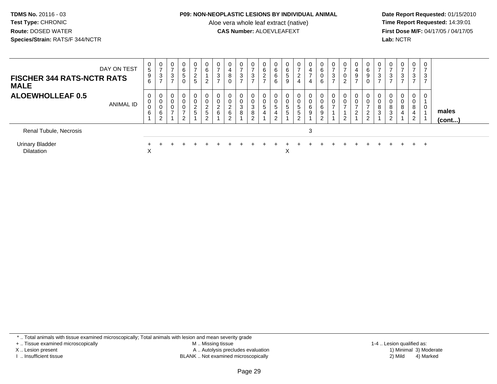#### **P09: NON-NEOPLASTIC LESIONS BY INDIVIDUAL ANIMAL**

Aloe vera whole leaf extract (native)<br>**CAS Number:** ALOEVLEAFEXT

Date Report Requested: 01/15/2010<br>Time Report Requested: 14:39:01 **First Dose M/F:** 04/17/05 / 04/17/05<br>**Lab:** NCTR **Lab:** NCTR

| <b>FISCHER 344 RATS-NCTR RATS</b><br><b>MALE</b> | DAY ON TEST | 0<br>$5\phantom{.0}$<br>9<br>6 | 0<br>$\rightarrow$<br>3<br>-    | 0<br>$\overline{ }$<br>3 | $\mathbf 0$<br>6<br>5              | 0<br>$\rightarrow$<br>$\frac{2}{5}$ | 0<br>$\,6\,$<br>າ                           | 0<br>$\overline{ }$<br>$\mathbf{3}$<br>$\overline{ }$ | 0<br>$\overline{4}$<br>8<br>0 | 0<br>$\overline{ }$<br>3<br>$\rightarrow$ | ⇁<br>3 | 6<br>$\sim$<br>$\epsilon$<br>$\rightarrow$ | 0<br>$\,6$<br>$\,6$<br>6 | $\mathbf{0}$<br>6<br>$\sqrt{5}$<br>9   | 0<br>$\overline{ }$<br>$\overline{c}$<br>4             | 0<br>$\overline{a}$<br>$\overline{ }$<br>4 | 0<br>6<br>0<br>6      | $\overline{ }$<br>ు | 0<br>$\rightarrow$<br>0<br>ົ | 0<br>4<br>9<br>$\rightarrow$ | 0<br>6<br>9<br>0     | 0<br>$\rightarrow$<br>3<br>$\overline{ }$ | 0<br>$\overline{ }$<br>3<br>$\overline{ }$ | $\mathbf{0}$<br>$\overline{ }$<br>3 | $\mathbf 0$<br>$\overline{ }$<br>3 | $\mathbf{0}$<br>3 |                 |  |
|--------------------------------------------------|-------------|--------------------------------|---------------------------------|--------------------------|------------------------------------|-------------------------------------|---------------------------------------------|-------------------------------------------------------|-------------------------------|-------------------------------------------|--------|--------------------------------------------|--------------------------|----------------------------------------|--------------------------------------------------------|--------------------------------------------|-----------------------|---------------------|------------------------------|------------------------------|----------------------|-------------------------------------------|--------------------------------------------|-------------------------------------|------------------------------------|-------------------|-----------------|--|
| <b>ALOEWHOLLEAF 0.5</b>                          | ANIMAL ID   | 0<br>0<br>0<br>6               | 0<br>$\mathbf 0$<br>0<br>6<br>2 | $\overline{ }$           | 0<br>0<br>$\overline{ }$<br>$\sim$ | 0<br>$\overline{c}$<br>5            | 0<br>0<br>C<br>$\epsilon$<br>$\overline{5}$ | 0<br>$\pmb{0}$<br>$\overline{c}$<br>$\,6\,$           | 0<br>$\overline{c}$<br>6<br>2 | 0<br>0<br>3<br>8                          | 3<br>8 | 5<br>4                                     | 5<br>4                   | 0<br>0<br>$\sqrt{5}$<br>$\overline{5}$ | $\mathbf 0$<br>0<br>$5\phantom{.0}$<br>$\sqrt{5}$<br>2 | 0<br>0<br>6<br>9                           | 0<br>0<br>6<br>9<br>⌒ |                     | 0<br>0<br>ົ                  | 0<br>0<br>∠                  | 0<br>ີ<br>$\epsilon$ | 0<br>$\pmb{0}$<br>8<br>3                  | 0<br>$\pmb{0}$<br>8<br>3<br>2              | 0<br>0<br>8<br>4                    | $\mathbf 0$<br>8<br>4<br>2         | 0<br>0            | males<br>(cont) |  |
| Renal Tubule, Necrosis                           |             |                                |                                 |                          |                                    |                                     |                                             |                                                       |                               |                                           |        |                                            |                          |                                        |                                                        | 3                                          |                       |                     |                              |                              |                      |                                           |                                            |                                     |                                    |                   |                 |  |
| <b>Urinary Bladder</b><br><b>Dilatation</b>      |             | X                              |                                 |                          |                                    |                                     |                                             |                                                       |                               |                                           |        |                                            |                          | X                                      |                                                        |                                            |                       |                     |                              |                              |                      |                                           |                                            |                                     |                                    | $+$               |                 |  |

\* .. Total animals with tissue examined microscopically; Total animals with lesion and mean severity grade

+ .. Tissue examined microscopically

X .. Lesion present

I .. Insufficient tissue

 M .. Missing tissueA .. Autolysis precludes evaluation

BLANK .. Not examined microscopically 2) Mild 4) Marked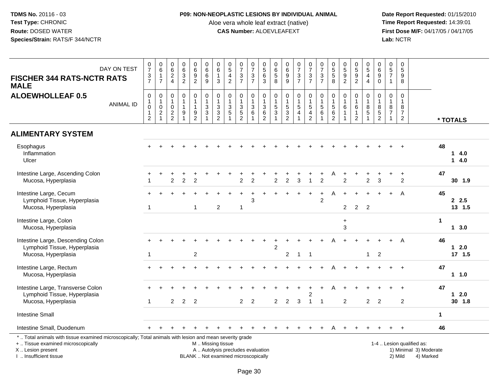### **P09: NON-NEOPLASTIC LESIONS BY INDIVIDUAL ANIMAL**

Aloe vera whole leaf extract (native)<br>**CAS Number:** ALOEVLEAFEXT

 **Date Report Requested:** 01/15/2010 **First Dose M/F:** 04/17/05 / 04/17/05<br>Lab: NCTR **Lab:** NCTR

| <b>FISCHER 344 RATS-NCTR RATS</b><br><b>MALE</b>                                                                                                                    | DAY ON TEST      | $\frac{0}{7}$<br>$\frac{3}{7}$                                                  | $_{6}^{\rm 0}$<br>$\mathbf{1}$<br>$\overline{7}$                           | $\begin{array}{c} 0 \\ 6 \end{array}$<br>$\frac{2}{4}$    | $063$<br>2                                     | $\begin{array}{c} 0 \\ 6 \end{array}$<br>$\overline{9}$<br>$\overline{2}$ | $\begin{array}{c} 0 \\ 6 \end{array}$<br>$\,6\,$<br>9                                     | 0<br>6<br>$\mathbf{1}$<br>3                                        | $\begin{array}{c} 0 \\ 5 \end{array}$<br>$\overline{4}$<br>$\overline{2}$ | $\frac{0}{7}$<br>$\mathbf{3}$<br>$\overline{7}$      | $\frac{0}{7}$<br>$\mathbf{3}$<br>$\overline{7}$ | $\begin{array}{c} 0 \\ 5 \end{array}$<br>$6\overline{6}$<br>3 | 0<br>6<br>5<br>8                             | $\begin{array}{c} 0 \\ 6 \end{array}$<br>$\overline{9}$<br>$\overline{9}$ | $\begin{array}{c} 0 \\ 7 \end{array}$<br>$\frac{3}{7}$ | $\frac{0}{7}$<br>$\sqrt{3}$<br>$\overline{7}$                    | $\frac{0}{7}$<br>$\sqrt{3}$<br>$\overline{7}$       | $\begin{array}{c} 0 \\ 5 \end{array}$<br>$\overline{5}$<br>8      | $\begin{array}{c} 0 \\ 5 \\ 9 \end{array}$<br>2        | $\begin{array}{c} 0 \\ 5 \\ 9 \end{array}$<br>$\overline{2}$               | $\begin{array}{c} 0 \\ 5 \end{array}$<br>$\overline{4}$<br>$\overline{4}$ | $\begin{array}{c} 0 \\ 6 \end{array}$<br>$\overline{9}$<br>$\Omega$ | $\begin{array}{c} 0 \\ 5 \\ 7 \end{array}$<br>$\overline{1}$         | $\pmb{0}$<br>$\overline{5}$<br>$\boldsymbol{9}$<br>8                   |                                                     |                      |                    |
|---------------------------------------------------------------------------------------------------------------------------------------------------------------------|------------------|---------------------------------------------------------------------------------|----------------------------------------------------------------------------|-----------------------------------------------------------|------------------------------------------------|---------------------------------------------------------------------------|-------------------------------------------------------------------------------------------|--------------------------------------------------------------------|---------------------------------------------------------------------------|------------------------------------------------------|-------------------------------------------------|---------------------------------------------------------------|----------------------------------------------|---------------------------------------------------------------------------|--------------------------------------------------------|------------------------------------------------------------------|-----------------------------------------------------|-------------------------------------------------------------------|--------------------------------------------------------|----------------------------------------------------------------------------|---------------------------------------------------------------------------|---------------------------------------------------------------------|----------------------------------------------------------------------|------------------------------------------------------------------------|-----------------------------------------------------|----------------------|--------------------|
| <b>ALOEWHOLLEAF 0.5</b>                                                                                                                                             | <b>ANIMAL ID</b> | $\pmb{0}$<br>$\mathbf{1}$<br>$\boldsymbol{0}$<br>$\mathbf{1}$<br>$\overline{2}$ | 0<br>$\mathbf{1}$<br>$\mathsf{O}\xspace$<br>$\overline{c}$<br>$\mathbf{1}$ | $\pmb{0}$<br>$\mathbf{1}$<br>$\mathbf 0$<br>$\frac{2}{2}$ | $\pmb{0}$<br>$\mathbf{1}$<br>$\mathbf{1}$<br>9 | $\mathbf 0$<br>$\overline{1}$<br>$\overline{1}$<br>9<br>$\overline{2}$    | $\begin{smallmatrix} 0\\ 1 \end{smallmatrix}$<br>$\frac{3}{3}$<br>$\overline{\mathbf{1}}$ | $\mathbf 0$<br>$\mathbf{1}$<br>$\mathbf{3}$<br>3<br>$\overline{2}$ | $\mathbf 0$<br>$\overline{1}$<br>$\mathbf{3}$<br>$\overline{5}$           | $\mathbf 0$<br>3<br>$\overline{5}$<br>$\overline{2}$ | 0<br>$\overline{1}$<br>$\frac{3}{6}$<br>1       | 0<br>$\mathbf{1}$<br>$\frac{3}{6}$<br>$\overline{2}$          | $\mathbf 0$<br>$\mathbf{1}$<br>$\frac{5}{3}$ | $\pmb{0}$<br>$\mathbf 1$<br>$\frac{5}{3}$<br>$\overline{2}$               | $\mathbf 0$<br>$\overline{1}$<br>$\frac{5}{4}$         | $\pmb{0}$<br>$\overline{1}$<br>$\sqrt{5}$<br>4<br>$\overline{2}$ | $\mathbf 0$<br>$\mathbf{1}$<br>$\sqrt{5}$<br>6<br>1 | $\mathbf 0$<br>$\mathbf{1}$<br>$\mathbf 5$<br>6<br>$\overline{2}$ | $\mathbf 0$<br>$\mathbf{1}$<br>$\,6\,$<br>$\mathbf{1}$ | $\mathbf 0$<br>$\overline{1}$<br>$\,6$<br>$\overline{1}$<br>$\overline{2}$ | 0<br>$\mathbf{1}$<br>$\bf 8$<br>$5\,$                                     | $\mathbf 0$<br>$\begin{array}{c} 8 \\ 5 \\ 2 \end{array}$           | $\mathbf 0$<br>$\mathbf{1}$<br>$\begin{array}{c} 8 \\ 7 \end{array}$ | $\mathbf 0$<br>$\overline{1}$<br>8<br>$\overline{7}$<br>$\overline{2}$ |                                                     |                      | * TOTALS           |
| <b>ALIMENTARY SYSTEM</b>                                                                                                                                            |                  |                                                                                 |                                                                            |                                                           |                                                |                                                                           |                                                                                           |                                                                    |                                                                           |                                                      |                                                 |                                                               |                                              |                                                                           |                                                        |                                                                  |                                                     |                                                                   |                                                        |                                                                            |                                                                           |                                                                     |                                                                      |                                                                        |                                                     |                      |                    |
| Esophagus<br>Inflammation<br>Ulcer                                                                                                                                  |                  |                                                                                 |                                                                            |                                                           |                                                |                                                                           |                                                                                           |                                                                    |                                                                           |                                                      |                                                 |                                                               |                                              |                                                                           |                                                        |                                                                  |                                                     |                                                                   |                                                        |                                                                            |                                                                           |                                                                     |                                                                      |                                                                        |                                                     | 48                   | 14.0<br>14.0       |
| Intestine Large, Ascending Colon<br>Mucosa, Hyperplasia                                                                                                             |                  |                                                                                 |                                                                            | $\overline{2}$                                            | $\overline{2}$                                 | $\overline{2}$                                                            |                                                                                           |                                                                    |                                                                           | $\overline{2}$                                       | 2                                               |                                                               | $\overline{2}$                               | $\overline{2}$                                                            | 3                                                      | $\overline{\mathbf{1}}$                                          | $\overline{c}$                                      |                                                                   | $\overline{2}$                                         |                                                                            | 2                                                                         | 3                                                                   |                                                                      | $\ddot{}$<br>$\overline{2}$                                            |                                                     | 47                   | 30 1.9             |
| Intestine Large, Cecum<br>Lymphoid Tissue, Hyperplasia<br>Mucosa, Hyperplasia                                                                                       |                  | -1                                                                              |                                                                            |                                                           |                                                | $\mathbf 1$                                                               |                                                                                           | $\overline{c}$                                                     |                                                                           | $\mathbf{1}$                                         | 3                                               |                                                               |                                              |                                                                           |                                                        |                                                                  | $\overline{c}$                                      |                                                                   | $\overline{2}$                                         | $\overline{2}$                                                             | 2                                                                         |                                                                     |                                                                      | A                                                                      |                                                     | 45                   | 2.5<br>13 1.5      |
| Intestine Large, Colon<br>Mucosa, Hyperplasia                                                                                                                       |                  |                                                                                 |                                                                            |                                                           |                                                |                                                                           |                                                                                           |                                                                    |                                                                           |                                                      |                                                 |                                                               |                                              |                                                                           |                                                        |                                                                  |                                                     |                                                                   | $\ddot{}$<br>3                                         |                                                                            |                                                                           |                                                                     |                                                                      |                                                                        |                                                     | $\mathbf 1$          | 13.0               |
| Intestine Large, Descending Colon<br>Lymphoid Tissue, Hyperplasia<br>Mucosa, Hyperplasia                                                                            |                  | -1                                                                              |                                                                            |                                                           |                                                | $\overline{c}$                                                            |                                                                                           |                                                                    |                                                                           |                                                      |                                                 |                                                               | $\overline{2}$                               | $\overline{2}$                                                            | $\overline{1}$                                         | $\overline{\mathbf{1}}$                                          |                                                     |                                                                   |                                                        |                                                                            | $\mathbf{1}$                                                              | $\overline{2}$                                                      |                                                                      | A                                                                      |                                                     | 46                   | $12.0$<br>$17$ 1.5 |
| Intestine Large, Rectum<br>Mucosa, Hyperplasia                                                                                                                      |                  |                                                                                 |                                                                            |                                                           |                                                |                                                                           |                                                                                           |                                                                    |                                                                           |                                                      |                                                 |                                                               |                                              |                                                                           |                                                        |                                                                  |                                                     |                                                                   |                                                        |                                                                            |                                                                           |                                                                     |                                                                      |                                                                        |                                                     | 47                   | 1 1.0              |
| Intestine Large, Transverse Colon<br>Lymphoid Tissue, Hyperplasia                                                                                                   |                  |                                                                                 |                                                                            |                                                           |                                                |                                                                           |                                                                                           |                                                                    |                                                                           |                                                      |                                                 |                                                               |                                              |                                                                           |                                                        | 2<br>$\overline{1}$                                              |                                                     |                                                                   |                                                        |                                                                            |                                                                           |                                                                     |                                                                      |                                                                        |                                                     | 47                   | $1 \quad 2.0$      |
| Mucosa, Hyperplasia<br><b>Intestine Small</b>                                                                                                                       |                  | $\overline{1}$                                                                  |                                                                            | $\overline{2}$                                            | $\overline{2}$                                 | 2                                                                         |                                                                                           |                                                                    |                                                                           | $\overline{2}$                                       | 2                                               |                                                               | $\overline{2}$                               | 2                                                                         | 3                                                      |                                                                  | $\overline{1}$                                      |                                                                   | $\overline{2}$                                         |                                                                            | $\overline{2}$                                                            | 2                                                                   |                                                                      | $\overline{2}$                                                         |                                                     | $\blacktriangleleft$ | 30 1.8             |
| Intestine Small, Duodenum                                                                                                                                           |                  |                                                                                 |                                                                            |                                                           |                                                |                                                                           |                                                                                           |                                                                    |                                                                           |                                                      |                                                 |                                                               |                                              |                                                                           |                                                        |                                                                  |                                                     | A                                                                 |                                                        |                                                                            |                                                                           |                                                                     |                                                                      | $+$                                                                    |                                                     | 46                   |                    |
| *  Total animals with tissue examined microscopically; Total animals with lesion and mean severity grade<br>+  Tissue examined microscopically<br>X  Lesion present |                  |                                                                                 |                                                                            |                                                           |                                                |                                                                           | M  Missing tissue                                                                         |                                                                    | A  Autolysis precludes evaluation                                         |                                                      |                                                 |                                                               |                                              |                                                                           |                                                        |                                                                  |                                                     |                                                                   |                                                        |                                                                            |                                                                           |                                                                     |                                                                      |                                                                        | 1-4  Lesion qualified as:<br>1) Minimal 3) Moderate |                      |                    |

I .. Insufficient tissue

BLANK .. Not examined microscopically and the contract of the contract of the contract of Modellin 2) Mild 4) Marked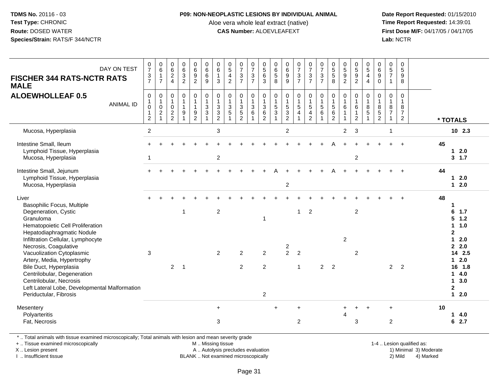#### **P09: NON-NEOPLASTIC LESIONS BY INDIVIDUAL ANIMAL**

Aloe vera whole leaf extract (native)<br>**CAS Number:** ALOEVLEAFEXT

Date Report Requested: 01/15/2010<br>Time Report Requested: 14:39:01 **First Dose M/F:** 04/17/05 / 04/17/05 Lab: NCTR **Lab:** NCTR

| DAY ON TEST<br><b>FISCHER 344 RATS-NCTR RATS</b><br><b>MALE</b>                                                                                                                                                                                 | $\frac{0}{7}$<br>$\frac{3}{7}$                                         | $\begin{array}{c} 0 \\ 6 \end{array}$<br>$\overline{7}$ | $_{6}^{\rm 0}$<br>$\frac{2}{4}$                           | 0<br>6<br>3<br>2                                                 | $\begin{array}{c} 0 \\ 6 \end{array}$<br>$\boldsymbol{9}$<br>$\overline{2}$ | $_{\rm 6}^{\rm 0}$<br>6<br>$\boldsymbol{9}$              | $\begin{array}{c} 0 \\ 6 \end{array}$<br>$\mathbf{1}$<br>3 | $0\frac{5}{4}$                                                   | $\frac{0}{7}$<br>$\frac{3}{7}$                               | $\frac{0}{7}$<br>3<br>$\overline{7}$   | $\begin{array}{c} 0 \\ 5 \end{array}$<br>$\,6\,$<br>3     | $\begin{matrix} 0 \\ 6 \\ 5 \end{matrix}$<br>8                              | 0<br>9<br>9                                                  | $07/3$<br>7                                                                  | $\frac{0}{7}$<br>$\mathbf{3}$<br>$\overline{7}$                                    | $\frac{0}{7}$<br>$\frac{3}{7}$                                  | $\begin{array}{c} 0 \\ 5 \\ 5 \end{array}$<br>8                      | $\begin{array}{c} 0 \\ 5 \\ 9 \\ 2 \end{array}$                  | $0$<br>$5$<br>$9$<br>$2$                                                   | $\begin{smallmatrix}0\0\5\end{smallmatrix}$<br>$\overline{4}$<br>$\overline{4}$ | $\mathbf 0$<br>$\overline{6}$<br>9<br>$\mathbf 0$                                | $\begin{array}{c} 0 \\ 5 \end{array}$<br>$\overline{7}$<br>$\mathbf{1}$ | $\mathbf 0$<br>5<br>$\boldsymbol{9}$<br>8                            |                                                                                                                   |
|-------------------------------------------------------------------------------------------------------------------------------------------------------------------------------------------------------------------------------------------------|------------------------------------------------------------------------|---------------------------------------------------------|-----------------------------------------------------------|------------------------------------------------------------------|-----------------------------------------------------------------------------|----------------------------------------------------------|------------------------------------------------------------|------------------------------------------------------------------|--------------------------------------------------------------|----------------------------------------|-----------------------------------------------------------|-----------------------------------------------------------------------------|--------------------------------------------------------------|------------------------------------------------------------------------------|------------------------------------------------------------------------------------|-----------------------------------------------------------------|----------------------------------------------------------------------|------------------------------------------------------------------|----------------------------------------------------------------------------|---------------------------------------------------------------------------------|----------------------------------------------------------------------------------|-------------------------------------------------------------------------|----------------------------------------------------------------------|-------------------------------------------------------------------------------------------------------------------|
| <b>ALOEWHOLLEAF 0.5</b><br><b>ANIMAL ID</b>                                                                                                                                                                                                     | $\mathbf 0$<br>$\mathbf{1}$<br>$\pmb{0}$<br>$\mathbf{1}$<br>$\sqrt{2}$ | 0<br>$\mathbf{1}$<br>$\mathsf 0$<br>$\overline{c}$      | $\pmb{0}$<br>$\mathbf{1}$<br>$\mathbf 0$<br>$\frac{2}{2}$ | $\pmb{0}$<br>$\mathbf{1}$<br>$\mathbf{1}$<br>9<br>$\overline{1}$ | $\mathsf 0$<br>$\mathbf{1}$<br>$\mathbf{1}$<br>9<br>$\overline{2}$          | $\pmb{0}$<br>$\frac{1}{3}$<br>$\sqrt{3}$<br>$\mathbf{1}$ | 0<br>$\mathbf{1}$<br>3<br>3<br>$\overline{2}$              | $\pmb{0}$<br>$\mathbf{1}$<br>$\mathbf{3}$<br>5<br>$\overline{1}$ | $\pmb{0}$<br>$\mathbf{1}$<br>$\frac{3}{5}$<br>$\overline{2}$ | 0<br>$\mathbf{1}$<br>$\mathbf{3}$<br>6 | $\mathsf 0$<br>$\frac{1}{3}$<br>$\,6\,$<br>$\overline{2}$ | $\mathbf 0$<br>$\mathbf{1}$<br>$\sqrt{5}$<br>$\ensuremath{\mathsf{3}}$<br>1 | $\pmb{0}$<br>$\begin{array}{c} 1 \\ 5 \\ 3 \\ 2 \end{array}$ | $\begin{smallmatrix}0\1\end{smallmatrix}$<br>$\frac{5}{4}$<br>$\overline{1}$ | $\mathsf{O}$<br>$\mathbf{1}$<br>$5\,$<br>$\overline{\mathbf{4}}$<br>$\overline{2}$ | $\pmb{0}$<br>$\frac{1}{5}$<br>$6\phantom{1}6$<br>$\overline{1}$ | $\pmb{0}$<br>$\mathbf{1}$<br>$\sqrt{5}$<br>$\,6\,$<br>$\overline{2}$ | $\mathsf 0$<br>$\mathbf{1}$<br>6<br>$\mathbf{1}$<br>$\mathbf{1}$ | $\mathsf{O}\xspace$<br>$\mathbf{1}$<br>6<br>$\mathbf{1}$<br>$\overline{2}$ | 0<br>1<br>8<br>$\sqrt{5}$                                                       | $\boldsymbol{0}$<br>$\overline{1}$<br>$\begin{array}{c} 8 \\ 5 \\ 2 \end{array}$ | $\pmb{0}$<br>$\mathbf{1}$<br>$\, 8$<br>$\overline{7}$<br>1              | $\mathsf 0$<br>$\mathbf{1}$<br>8<br>$\overline{7}$<br>$\overline{2}$ | * TOTALS                                                                                                          |
| Mucosa, Hyperplasia                                                                                                                                                                                                                             | $\sqrt{2}$                                                             |                                                         |                                                           |                                                                  |                                                                             |                                                          | 3                                                          |                                                                  |                                                              |                                        |                                                           |                                                                             | $\overline{2}$                                               |                                                                              |                                                                                    |                                                                 |                                                                      | $\overline{2}$                                                   | 3                                                                          |                                                                                 |                                                                                  | 1                                                                       |                                                                      | $10$ 2.3                                                                                                          |
| Intestine Small, Ileum<br>Lymphoid Tissue, Hyperplasia<br>Mucosa, Hyperplasia                                                                                                                                                                   | -1                                                                     |                                                         |                                                           |                                                                  |                                                                             |                                                          | $\overline{\mathbf{c}}$                                    |                                                                  |                                                              |                                        |                                                           |                                                                             |                                                              |                                                                              |                                                                                    |                                                                 |                                                                      |                                                                  | $\overline{c}$                                                             |                                                                                 |                                                                                  |                                                                         |                                                                      | 45<br>$12.0$<br>$3 \t1.7$                                                                                         |
| Intestine Small, Jejunum<br>Lymphoid Tissue, Hyperplasia<br>Mucosa, Hyperplasia                                                                                                                                                                 |                                                                        |                                                         |                                                           |                                                                  |                                                                             |                                                          |                                                            |                                                                  |                                                              |                                        |                                                           |                                                                             | $\overline{c}$                                               |                                                                              |                                                                                    |                                                                 |                                                                      |                                                                  |                                                                            |                                                                                 |                                                                                  |                                                                         |                                                                      | 44<br>2.0<br>$\mathbf{1}$<br>2.0<br>$\mathbf{1}$                                                                  |
| Liver<br>Basophilic Focus, Multiple<br>Degeneration, Cystic<br>Granuloma<br>Hematopoietic Cell Proliferation<br>Hepatodiaphragmatic Nodule<br>Infiltration Cellular, Lymphocyte                                                                 |                                                                        |                                                         |                                                           | $\mathbf 1$                                                      |                                                                             |                                                          | $\overline{c}$                                             |                                                                  |                                                              |                                        | $\overline{\mathbf{1}}$                                   |                                                                             |                                                              | $\mathbf{1}$                                                                 | $\overline{2}$                                                                     |                                                                 |                                                                      | $\overline{c}$                                                   | $\overline{c}$                                                             |                                                                                 |                                                                                  |                                                                         |                                                                      | 48<br>$\mathbf 1$<br>6<br>1.7<br>$5 \t1.2$<br>$\mathbf{1}$<br>1.0<br>$\mathbf{2}$<br>2.0<br>$\blacktriangleleft$  |
| Necrosis, Coagulative<br>Vacuolization Cytoplasmic<br>Artery, Media, Hypertrophy<br>Bile Duct, Hyperplasia<br>Centrilobular, Degeneration<br>Centrilobular, Necrosis<br>Left Lateral Lobe, Developmental Malformation<br>Periductular, Fibrosis | 3                                                                      |                                                         | $2^{\circ}$                                               | $\overline{1}$                                                   |                                                                             |                                                          | $\overline{2}$                                             |                                                                  | $\overline{2}$<br>2                                          |                                        | $\overline{2}$<br>2<br>2                                  |                                                                             | $\overline{c}$<br>$\overline{2}$                             | $\overline{2}$<br>$\mathbf{1}$                                               |                                                                                    | 2                                                               | $\overline{2}$                                                       |                                                                  | $\overline{2}$                                                             |                                                                                 |                                                                                  | $\overline{2}$                                                          | $\overline{2}$                                                       | 2, 2.0<br>14 2.5<br>$12.0$<br>1.8<br>16<br>4.0<br>$\mathbf{1}$<br>$\mathbf{1}$<br>3.0<br>$\overline{2}$<br>$12.0$ |
| Mesentery<br>Polyarteritis<br>Fat, Necrosis                                                                                                                                                                                                     |                                                                        |                                                         |                                                           |                                                                  |                                                                             |                                                          | $\ddot{}$<br>3                                             |                                                                  |                                                              |                                        |                                                           | $\ddot{}$                                                                   |                                                              | $\ddot{}$<br>$\overline{c}$                                                  |                                                                                    |                                                                 |                                                                      | 4                                                                | 3                                                                          |                                                                                 |                                                                                  | $\ddot{}$<br>$\overline{2}$                                             |                                                                      | 10<br>4.0<br>1<br>2.7<br>6                                                                                        |

\* .. Total animals with tissue examined microscopically; Total animals with lesion and mean severity grade

+ .. Tissue examined microscopically

X .. Lesion present

I .. Insufficient tissue

 M .. Missing tissueA .. Autolysis precludes evaluation

BLANK .. Not examined microscopically 2) Mild 4) Marked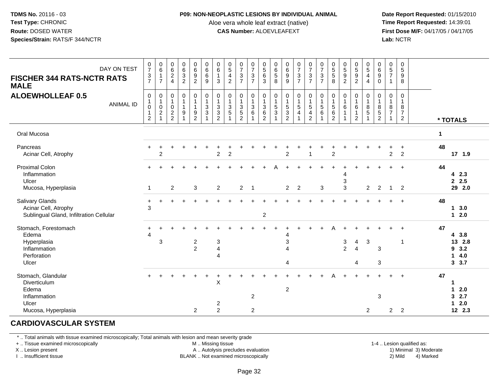#### **P09: NON-NEOPLASTIC LESIONS BY INDIVIDUAL ANIMAL**

Aloe vera whole leaf extract (native)<br>**CAS Number:** ALOEVLEAFEXT

Date Report Requested: 01/15/2010<br>Time Report Requested: 14:39:01 **First Dose M/F:** 04/17/05 / 04/17/05<br>**Lab:** NCTR **Lab:** NCTR

| DAY ON TEST<br><b>FISCHER 344 RATS-NCTR RATS</b><br><b>MALE</b>                             | $\frac{0}{7}$<br>$\frac{3}{7}$          | $\begin{array}{c} 0 \\ 6 \end{array}$<br>$\frac{1}{7}$                     | $\begin{array}{c} 0 \\ 6 \end{array}$<br>$\boldsymbol{2}$<br>$\overline{4}$ | 0<br>$6\phantom{a}$<br>$\mathbf{3}$<br>$\overline{2}$ | 0<br>$6\phantom{a}$<br>$9\,$<br>$\overline{2}$                                    | $\begin{array}{c} 0 \\ 6 \end{array}$<br>$\,6\,$<br>$\overline{9}$   | $\begin{array}{c} 0 \\ 6 \end{array}$<br>$\overline{1}$<br>3                                 | $\frac{0}{5}$<br>$\overline{4}$<br>$\overline{2}$                             | $\frac{0}{7}$<br>$\ensuremath{\mathsf{3}}$<br>$\overline{7}$ | $\frac{0}{7}$<br>$\frac{3}{7}$                                                             | $\begin{array}{c} 0 \\ 5 \end{array}$<br>$\,6\,$<br>$\overline{3}$ | $\begin{array}{c} 0 \\ 6 \end{array}$<br>$\begin{array}{c} 5 \\ 8 \end{array}$ | $_{\rm 6}^{\rm 0}$<br>$\boldsymbol{9}$<br>$\overline{9}$ | $\frac{0}{7}$<br>$\frac{3}{7}$                                  | $07/3$<br>7                                                                    | $\frac{0}{7}$<br>$\frac{3}{7}$                                       | $\begin{array}{c} 0 \\ 5 \end{array}$<br>$\sqrt{5}$<br>8 | $\begin{array}{c} 0 \\ 5 \end{array}$<br>$\boldsymbol{9}$<br>$\overline{2}$ | $\begin{array}{c} 0 \\ 5 \\ 9 \\ 2 \end{array}$                | $\begin{array}{c} 0 \\ 5 \\ 4 \end{array}$<br>$\overline{4}$ | 0<br>$\overline{6}$<br>$\boldsymbol{9}$<br>$\mathbf 0$  | $\begin{array}{c} 0 \\ 5 \end{array}$<br>$\overline{7}$<br>$\mathbf{1}$ | $\mathbf 0$<br>5<br>9<br>8                                           |              |                                                           |
|---------------------------------------------------------------------------------------------|-----------------------------------------|----------------------------------------------------------------------------|-----------------------------------------------------------------------------|-------------------------------------------------------|-----------------------------------------------------------------------------------|----------------------------------------------------------------------|----------------------------------------------------------------------------------------------|-------------------------------------------------------------------------------|--------------------------------------------------------------|--------------------------------------------------------------------------------------------|--------------------------------------------------------------------|--------------------------------------------------------------------------------|----------------------------------------------------------|-----------------------------------------------------------------|--------------------------------------------------------------------------------|----------------------------------------------------------------------|----------------------------------------------------------|-----------------------------------------------------------------------------|----------------------------------------------------------------|--------------------------------------------------------------|---------------------------------------------------------|-------------------------------------------------------------------------|----------------------------------------------------------------------|--------------|-----------------------------------------------------------|
| <b>ALOEWHOLLEAF 0.5</b><br><b>ANIMAL ID</b>                                                 | 0<br>0<br>$\mathbf 1$<br>$\overline{2}$ | $\mathbf 0$<br>$\begin{smallmatrix}1\\0\end{smallmatrix}$<br>$\frac{2}{1}$ | $\pmb{0}$<br>$\mathbf{1}$<br>$\pmb{0}$<br>$\overline{c}$<br>$\overline{2}$  | 0<br>$\mathbf{1}$<br>$\mathbf{1}$<br>9                | $\mathsf 0$<br>$\mathbf{1}$<br>$\mathbf{1}$<br>$\boldsymbol{9}$<br>$\overline{2}$ | $\pmb{0}$<br>$\mathbf{1}$<br>$\ensuremath{\mathsf{3}}$<br>$\sqrt{3}$ | $\mathbf 0$<br>$\overline{1}$<br>$\ensuremath{\mathsf{3}}$<br>$\mathbf{3}$<br>$\overline{2}$ | $\pmb{0}$<br>$\mathbf{1}$<br>$\mathbf{3}$<br>$\overline{5}$<br>$\overline{1}$ | 0<br>$\mathbf{1}$<br>$\frac{3}{5}$<br>$\overline{2}$         | $\pmb{0}$<br>$\mathbf{1}$<br>$\begin{array}{c} 3 \\ 6 \end{array}$<br>$\blacktriangleleft$ | 0<br>$\mathbf{1}$<br>$^3$ 6<br>$\overline{2}$                      | $\pmb{0}$<br>$\mathbf{1}$<br>$\mathbf 5$<br>$\mathbf 3$                        | $\pmb{0}$<br>$\frac{1}{5}$<br>$\overline{2}$             | $\mathbf 0$<br>$\mathbf{1}$<br>$\overline{5}$<br>$\overline{4}$ | $\pmb{0}$<br>$\overline{1}$<br>$\,$ 5 $\,$<br>$\overline{4}$<br>$\overline{2}$ | $\begin{smallmatrix}0\\1\end{smallmatrix}$<br>$\,$ 5 $\,$<br>$\,6\,$ | 0<br>$\overline{1}$<br>$\sqrt{5}$<br>6<br>$\overline{2}$ | 0<br>$\mathbf{1}$<br>$6\phantom{1}$<br>$\mathbf{1}$<br>$\overline{1}$       | 0<br>$\mathbf{1}$<br>$\,6\,$<br>$\mathbf{1}$<br>$\overline{2}$ | $\mathbf 0$<br>$\mathbf{1}$<br>$^8$ 5<br>$\overline{1}$      | $\mathbf 0$<br>$\mathbf{1}$<br>$^8_5$<br>$\overline{2}$ | 0<br>$\mathbf{1}$<br>8<br>$\overline{7}$<br>1                           | $\mathbf 0$<br>$\mathbf{1}$<br>8<br>$\overline{7}$<br>$\overline{2}$ |              | * TOTALS                                                  |
| Oral Mucosa                                                                                 |                                         |                                                                            |                                                                             |                                                       |                                                                                   |                                                                      |                                                                                              |                                                                               |                                                              |                                                                                            |                                                                    |                                                                                |                                                          |                                                                 |                                                                                |                                                                      |                                                          |                                                                             |                                                                |                                                              |                                                         |                                                                         |                                                                      | $\mathbf{1}$ |                                                           |
| Pancreas<br>Acinar Cell, Atrophy                                                            |                                         | 2                                                                          |                                                                             |                                                       |                                                                                   |                                                                      | $\overline{2}$                                                                               | $\overline{2}$                                                                |                                                              |                                                                                            |                                                                    |                                                                                | 2                                                        |                                                                 | 1                                                                              |                                                                      | $\overline{2}$                                           |                                                                             |                                                                |                                                              |                                                         | $\overline{c}$                                                          | $\overline{2}$                                                       | 48           | 17 1.9                                                    |
| <b>Proximal Colon</b><br>Inflammation<br>Ulcer<br>Mucosa, Hyperplasia                       | $\overline{1}$                          |                                                                            | $\overline{2}$                                                              |                                                       | 3                                                                                 |                                                                      | 2                                                                                            |                                                                               | $\overline{2}$                                               | $\overline{1}$                                                                             |                                                                    |                                                                                | $\overline{2}$                                           | $\overline{2}$                                                  |                                                                                | 3                                                                    |                                                          | 3<br>3                                                                      |                                                                | $\overline{2}$                                               | 2                                                       | $\mathbf{1}$                                                            | $\ddot{}$<br>$\overline{2}$                                          | 44           | 4 2.3<br>2.5<br>29 2.0                                    |
| Salivary Glands<br>Acinar Cell, Atrophy<br>Sublingual Gland, Infiltration Cellular          | $\ddot{}$<br>3                          |                                                                            |                                                                             |                                                       |                                                                                   |                                                                      |                                                                                              |                                                                               |                                                              |                                                                                            | $\boldsymbol{2}$                                                   |                                                                                |                                                          |                                                                 |                                                                                |                                                                      |                                                          |                                                                             |                                                                |                                                              |                                                         |                                                                         | $\ddot{}$                                                            | 48           | 3.0<br>$\mathbf 1$<br>$\mathbf 1$<br>2.0                  |
| Stomach, Forestomach<br>Edema<br>Hyperplasia<br>Inflammation<br>Perforation<br>Ulcer        | $\overline{4}$                          | 3                                                                          |                                                                             |                                                       | $\overline{c}$<br>$\overline{2}$                                                  |                                                                      | $\ensuremath{\mathsf{3}}$<br>$\overline{\mathbf{4}}$<br>4                                    |                                                                               |                                                              |                                                                                            |                                                                    |                                                                                | 4<br>3<br>4<br>4                                         |                                                                 |                                                                                |                                                                      |                                                          | 3<br>$\overline{2}$                                                         | $\overline{4}$<br>$\overline{4}$<br>4                          | $\mathbf{3}$                                                 | 3<br>3                                                  |                                                                         | 1                                                                    | 47           | 43.8<br>13 2.8<br>93.2<br>4.0<br>$\overline{1}$<br>3, 3.7 |
| Stomach, Glandular<br>Diverticulum<br>Edema<br>Inflammation<br>Ulcer<br>Mucosa, Hyperplasia |                                         |                                                                            |                                                                             |                                                       | $\overline{2}$                                                                    |                                                                      | $\mathsf X$<br>$\overline{c}$<br>$\overline{2}$                                              |                                                                               |                                                              | 2<br>$\overline{2}$                                                                        |                                                                    |                                                                                | $\overline{c}$                                           |                                                                 |                                                                                |                                                                      |                                                          |                                                                             |                                                                | $\overline{2}$                                               | 3                                                       | $\overline{c}$                                                          | $\overline{c}$                                                       | 47           | 1<br>2.0<br>1<br>2.7<br>3<br>2.0<br>1<br>12 2.3           |

# **CARDIOVASCULAR SYSTEM**

\* .. Total animals with tissue examined microscopically; Total animals with lesion and mean severity grade

+ .. Tissue examined microscopically

X .. Lesion present

I .. Insufficient tissue

M .. Missing tissue

A .. Autolysis precludes evaluation

BLANK .. Not examined microscopically 2) Mild 4) Marked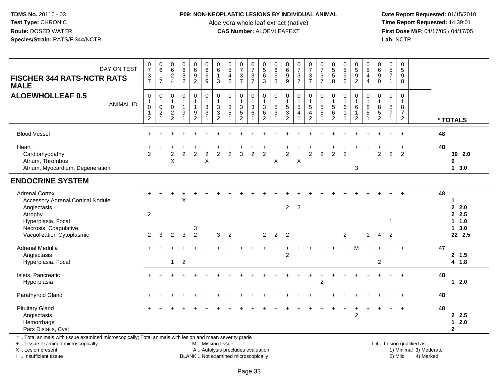### **P09: NON-NEOPLASTIC LESIONS BY INDIVIDUAL ANIMAL**

Aloe vera whole leaf extract (native)<br>**CAS Number:** ALOEVLEAFEXT

 **Date Report Requested:** 01/15/2010 **First Dose M/F:** 04/17/05 / 04/17/05 Lab: NCTR **Lab:** NCTR

| DAY ON TEST<br><b>FISCHER 344 RATS-NCTR RATS</b><br><b>MALE</b>                                                                                | $\frac{0}{7}$<br>$\frac{3}{7}$                                                    | $\begin{array}{c} 0 \\ 6 \end{array}$<br>$\mathbf{1}$<br>$\overline{7}$ | $\begin{array}{c} 0 \\ 6 \end{array}$<br>$\frac{2}{4}$      | $063$<br>2                             | $\begin{array}{c} 0 \\ 6 \end{array}$<br>$\frac{9}{2}$       | $\begin{matrix} 0 \\ 6 \\ 6 \end{matrix}$<br>$\boldsymbol{9}$ | $\begin{array}{c} 0 \\ 6 \end{array}$<br>$\overline{1}$<br>$\mathbf{3}$ | $\begin{array}{c} 0 \\ 5 \end{array}$<br>$\frac{4}{2}$         | $\frac{0}{7}$<br>$\mathbf{3}$<br>$\overline{7}$ | $\frac{0}{7}$<br>$\frac{3}{7}$       | $0$<br>$5$<br>$6$<br>$\overline{3}$                | 0<br>6<br>5<br>8                                         | 0<br>0<br>0<br>0<br>0                                | $\frac{0}{7}$<br>$\frac{3}{7}$                         | $\frac{0}{7}$<br>$\frac{3}{7}$              | $07/3$<br>7                                                  | 0<br>5<br>5<br>8    | 0<br>5<br>9<br>2                       | 0<br>5<br>9<br>2                                                             | $\begin{array}{c} 0 \\ 5 \\ 4 \end{array}$<br>$\overline{4}$        | $\begin{matrix} 0 \\ 6 \\ 9 \end{matrix}$<br>$\pmb{0}$            | $\begin{array}{c} 0 \\ 5 \\ 7 \end{array}$<br>$\mathbf{1}$                 | $\begin{array}{c} 0 \\ 5 \end{array}$<br>9<br>$\overline{8}$ |                           |    |                                                          |
|------------------------------------------------------------------------------------------------------------------------------------------------|-----------------------------------------------------------------------------------|-------------------------------------------------------------------------|-------------------------------------------------------------|----------------------------------------|--------------------------------------------------------------|---------------------------------------------------------------|-------------------------------------------------------------------------|----------------------------------------------------------------|-------------------------------------------------|--------------------------------------|----------------------------------------------------|----------------------------------------------------------|------------------------------------------------------|--------------------------------------------------------|---------------------------------------------|--------------------------------------------------------------|---------------------|----------------------------------------|------------------------------------------------------------------------------|---------------------------------------------------------------------|-------------------------------------------------------------------|----------------------------------------------------------------------------|--------------------------------------------------------------|---------------------------|----|----------------------------------------------------------|
| <b>ALOEWHOLLEAF 0.5</b><br><b>ANIMAL ID</b>                                                                                                    | $\boldsymbol{0}$<br>$\mathbf{1}$<br>$\mathbf 0$<br>$\mathbf{1}$<br>$\overline{2}$ | 0<br>$\mathbf{1}$<br>$\mathbf 0$<br>$\frac{2}{1}$                       | $\mathbf 0$<br>$\mathbf{1}$<br>$\mathbf 0$<br>$\frac{2}{2}$ | 0<br>$\mathbf{1}$<br>$\mathbf{1}$<br>9 | $\mathsf 0$<br>$\mathbf{1}$<br>$\mathbf{1}$<br>$\frac{9}{2}$ | 0<br>$\mathbf{1}$<br>$\sqrt{3}$<br>$\ensuremath{\mathsf{3}}$  | $\mathbf 0$<br>$\mathbf{1}$<br>$\sqrt{3}$<br>$\frac{3}{2}$              | $\pmb{0}$<br>$\frac{1}{3}$<br>$\overline{5}$<br>$\overline{1}$ | 0<br>$\mathbf{1}$<br>3<br>$\frac{5}{2}$         | 0<br>$\frac{1}{3}$<br>$\overline{1}$ | 0<br>$\mathbf{1}$<br>$\mathbf{3}$<br>$\frac{6}{2}$ | 0<br>$\begin{array}{c} 1 \\ 5 \end{array}$<br>$\sqrt{3}$ | 0<br>$\begin{array}{c} 1 \\ 5 \\ 3 \\ 2 \end{array}$ | 0<br>$\frac{1}{5}$<br>$\overline{4}$<br>$\overline{A}$ | $\pmb{0}$<br>$\frac{1}{5}$<br>$\frac{4}{2}$ | 0<br>$\begin{array}{c} 1 \\ 5 \end{array}$<br>$\overline{6}$ | $\mathbf 0$<br>1562 | $\mathbf 0$<br>$\mathbf{1}$<br>$\,6\,$ | 0<br>$\begin{array}{c} 1 \\ 6 \end{array}$<br>$\mathbf{1}$<br>$\overline{2}$ | $\Omega$<br>$\overline{1}$<br>8<br>$\overline{5}$<br>$\overline{1}$ | $\mathbf 0$<br>$\mathbf{1}$<br>8<br>$\mathbf 5$<br>$\overline{2}$ | $\mathsf{O}\xspace$<br>$\mathbf{1}$<br>8<br>$\overline{7}$<br>$\mathbf{1}$ | 0<br>$\mathbf{1}$<br>8<br>$\overline{7}$<br>$\overline{a}$   |                           |    | * TOTALS                                                 |
| <b>Blood Vessel</b>                                                                                                                            |                                                                                   |                                                                         |                                                             |                                        |                                                              |                                                               |                                                                         |                                                                |                                                 |                                      |                                                    |                                                          |                                                      |                                                        |                                             |                                                              |                     |                                        |                                                                              |                                                                     |                                                                   |                                                                            | $\ddot{}$                                                    |                           | 48 |                                                          |
| Heart<br>Cardiomyopathy<br>Atrium, Thrombus<br>Atrium, Myocardium, Degeneration                                                                | $\ddot{}$<br>2                                                                    |                                                                         | $\overline{c}$<br>X                                         | $\overline{2}$                         | $\overline{2}$                                               | $\overline{2}$<br>$\sf X$                                     | $\overline{2}$                                                          | $\overline{2}$                                                 | $\overline{3}$                                  | $\overline{2}$                       | $\overline{2}$                                     | X                                                        | $\overline{c}$                                       | X                                                      | $\overline{2}$                              | $\overline{2}$                                               | $\overline{2}$      | $\overline{2}$                         | 3                                                                            |                                                                     | 2                                                                 | $\overline{2}$                                                             | $\ddot{}$<br>2                                               |                           | 48 | 39 2.0<br>9<br>$1 \quad 3.0$                             |
| <b>ENDOCRINE SYSTEM</b>                                                                                                                        |                                                                                   |                                                                         |                                                             |                                        |                                                              |                                                               |                                                                         |                                                                |                                                 |                                      |                                                    |                                                          |                                                      |                                                        |                                             |                                                              |                     |                                        |                                                                              |                                                                     |                                                                   |                                                                            |                                                              |                           |    |                                                          |
| <b>Adrenal Cortex</b><br><b>Accessory Adrenal Cortical Nodule</b><br>Angiectasis<br>Atrophy<br>Hyperplasia, Focal<br>Necrosis, Coagulative     | $\overline{2}$                                                                    |                                                                         |                                                             | X                                      | 3                                                            |                                                               |                                                                         |                                                                |                                                 |                                      |                                                    |                                                          | $\overline{2}$                                       | $\overline{2}$                                         |                                             |                                                              |                     |                                        |                                                                              |                                                                     |                                                                   | 1                                                                          |                                                              |                           | 48 | $\mathbf{2}$<br>2.0<br>2.5<br>1.0<br>$\mathbf 1$<br>13.0 |
| Vacuolization Cytoplasmic                                                                                                                      | 2                                                                                 | 3                                                                       | $\overline{2}$                                              | $\mathbf{3}$                           | $\overline{2}$                                               |                                                               | 3                                                                       | $\overline{2}$                                                 |                                                 |                                      | $\overline{2}$                                     | $\overline{2}$                                           | $\overline{2}$                                       |                                                        |                                             |                                                              |                     | $\overline{2}$                         |                                                                              | $\overline{1}$                                                      | $\overline{4}$                                                    | 2                                                                          |                                                              |                           |    | 22 2.5                                                   |
| Adrenal Medulla<br>Angiectasis<br>Hyperplasia, Focal                                                                                           |                                                                                   |                                                                         | $\mathbf{1}$                                                | $\overline{2}$                         |                                                              |                                                               |                                                                         |                                                                |                                                 |                                      |                                                    |                                                          | $\overline{2}$                                       |                                                        |                                             |                                                              |                     |                                        | м                                                                            |                                                                     | $\overline{c}$                                                    |                                                                            |                                                              |                           | 47 | 2, 1.5<br>4 1.8                                          |
| Islets, Pancreatic<br>Hyperplasia                                                                                                              |                                                                                   |                                                                         |                                                             |                                        |                                                              |                                                               |                                                                         |                                                                |                                                 |                                      |                                                    |                                                          |                                                      |                                                        |                                             | $\overline{2}$                                               |                     |                                        |                                                                              |                                                                     |                                                                   |                                                                            | $\ddot{}$                                                    |                           | 48 | $12.0$                                                   |
| Parathyroid Gland                                                                                                                              |                                                                                   |                                                                         |                                                             |                                        |                                                              |                                                               |                                                                         |                                                                |                                                 |                                      |                                                    |                                                          |                                                      |                                                        |                                             |                                                              |                     |                                        |                                                                              |                                                                     |                                                                   |                                                                            | $\ddot{}$                                                    |                           | 48 |                                                          |
| <b>Pituitary Gland</b><br>Angiectasis<br>Hemorrhage<br>Pars Distalis, Cyst                                                                     |                                                                                   |                                                                         |                                                             |                                        |                                                              |                                                               |                                                                         |                                                                |                                                 |                                      |                                                    |                                                          |                                                      |                                                        |                                             |                                                              |                     |                                        | $\overline{c}$                                                               |                                                                     |                                                                   |                                                                            | $\ddot{}$                                                    |                           | 48 | 2.5<br>2.0<br>1<br>$\overline{\mathbf{2}}$               |
| *  Total animals with tissue examined microscopically; Total animals with lesion and mean severity grade<br>+  Tissue examined microscopically |                                                                                   |                                                                         |                                                             |                                        |                                                              | M  Missing tissue                                             |                                                                         |                                                                |                                                 |                                      |                                                    |                                                          |                                                      |                                                        |                                             |                                                              |                     |                                        |                                                                              |                                                                     |                                                                   |                                                                            |                                                              | 1-4  Lesion qualified as: |    |                                                          |

X .. Lesion present

I .. Insufficient tissue

BLANK .. Not examined microscopically

A .. Autolysis precludes evaluation and the service of the service of the service of the service of the service of the service of the service of the service of the service of the service of the service of the service of th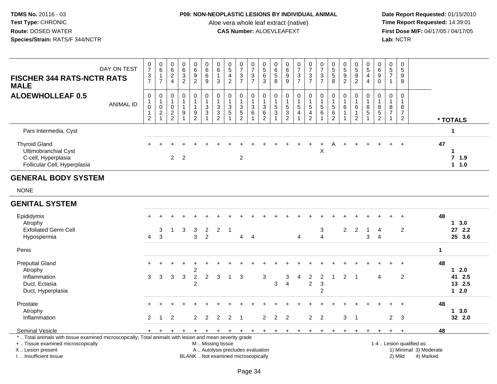## **P09: NON-NEOPLASTIC LESIONS BY INDIVIDUAL ANIMAL**

Aloe vera whole leaf extract (native)<br>**CAS Number:** ALOEVLEAFEXT

| <b>FISCHER 344 RATS-NCTR RATS</b><br><b>MALE</b>                                                                                                                                              | DAY ON TEST      | $\frac{0}{7}$<br>$\frac{3}{7}$                                     | $\begin{array}{c} 0 \\ 6 \end{array}$<br>$\mathbf{1}$<br>$\overline{7}$ | $\begin{array}{c} 0 \\ 6 \end{array}$<br>$\overline{2}$<br>$\overline{4}$ | $\begin{array}{c} 0 \\ 6 \end{array}$<br>$\overline{3}$<br>$\overline{c}$ | $\begin{array}{c} 0 \\ 6 \end{array}$<br>$\overline{9}$<br>$\overline{2}$ | $\begin{array}{c} 0 \\ 6 \end{array}$<br>6<br>9                             | 0<br>6<br>$\mathbf{1}$<br>3                   | $\begin{array}{c} 0 \\ 5 \end{array}$<br>$\overline{\mathbf{4}}$<br>$\overline{2}$     | $\frac{0}{7}$<br>$\sqrt{3}$<br>$\overline{7}$        | $\frac{0}{7}$<br>$\ensuremath{\mathsf{3}}$<br>$\overline{7}$ | $\begin{array}{c} 0 \\ 5 \end{array}$<br>$\,6\,$<br>$\mathbf{3}$         | 0<br>$\,6\,$<br>$\sqrt{5}$<br>8        | $\pmb{0}$<br>$\,6\,$<br>$\boldsymbol{9}$<br>9                             | $\frac{0}{7}$<br>$\frac{3}{7}$         | $\frac{0}{7}$<br>$\ensuremath{\mathsf{3}}$<br>$\overline{7}$ | $\frac{0}{7}$<br>$\ensuremath{\mathsf{3}}$<br>$\overline{7}$ | $\begin{array}{c} 0 \\ 5 \\ 5 \end{array}$<br>8                    | $\begin{array}{c} 0 \\ 5 \end{array}$<br>$\overline{9}$<br>$\overline{2}$ | $\begin{array}{c} 0 \\ 5 \end{array}$<br>$\overline{9}$<br>$\overline{2}$ | 0<br>5<br>4<br>$\overline{4}$                 | 0<br>$\overline{6}$<br>$\boldsymbol{9}$<br>$\mathsf{O}\xspace$ | $^{\rm 0}_{\rm 5}$<br>$\overline{7}$<br>$\mathbf{1}$             | $\mathbf 0$<br>$\overline{5}$<br>$\boldsymbol{9}$<br>8    |                                                                  |                                                          |  |
|-----------------------------------------------------------------------------------------------------------------------------------------------------------------------------------------------|------------------|--------------------------------------------------------------------|-------------------------------------------------------------------------|---------------------------------------------------------------------------|---------------------------------------------------------------------------|---------------------------------------------------------------------------|-----------------------------------------------------------------------------|-----------------------------------------------|----------------------------------------------------------------------------------------|------------------------------------------------------|--------------------------------------------------------------|--------------------------------------------------------------------------|----------------------------------------|---------------------------------------------------------------------------|----------------------------------------|--------------------------------------------------------------|--------------------------------------------------------------|--------------------------------------------------------------------|---------------------------------------------------------------------------|---------------------------------------------------------------------------|-----------------------------------------------|----------------------------------------------------------------|------------------------------------------------------------------|-----------------------------------------------------------|------------------------------------------------------------------|----------------------------------------------------------|--|
| <b>ALOEWHOLLEAF 0.5</b>                                                                                                                                                                       | <b>ANIMAL ID</b> | 0<br>$\mathbf{1}$<br>$\mathbf 0$<br>$\mathbf{1}$<br>$\overline{2}$ | 0<br>1<br>$\mathbf 0$<br>$\overline{c}$<br>$\mathbf{1}$                 | 0<br>$\mathbf 1$<br>$\mathsf{O}\xspace$<br>$\frac{2}{2}$                  | $\pmb{0}$<br>$\mathbf{1}$<br>1<br>9                                       | $\mathbf 0$<br>$\overline{1}$<br>$\overline{1}$<br>9<br>$\overline{2}$    | $\pmb{0}$<br>$\overline{1}$<br>$\mathbf{3}$<br>$\sqrt{3}$<br>$\overline{1}$ | 0<br>$\mathbf{1}$<br>3<br>3<br>$\overline{2}$ | $\pmb{0}$<br>$\mathbf{1}$<br>$\ensuremath{\mathsf{3}}$<br>$\sqrt{5}$<br>$\overline{1}$ | 0<br>$\mathbf{1}$<br>$\frac{3}{5}$<br>$\overline{2}$ | 0<br>$\ensuremath{\mathsf{3}}$<br>6                          | $\mathbf 0$<br>$\overline{1}$<br>$\sqrt{3}$<br>$\,6\,$<br>$\overline{2}$ | 0<br>$\overline{1}$<br>$\sqrt{5}$<br>3 | $\mathbf 0$<br>$\mathbf{1}$<br>$\sqrt{5}$<br>$\sqrt{3}$<br>$\overline{2}$ | 0<br>1<br>$\sqrt{5}$<br>$\overline{4}$ | 0<br>$\mathbf{1}$<br>$\sqrt{5}$<br>4<br>$\overline{c}$       | $\pmb{0}$<br>$\mathbf{1}$<br>$\sqrt{5}$<br>6<br>$\mathbf 1$  | $\mathbf 0$<br>$\overline{1}$<br>$\sqrt{5}$<br>6<br>$\overline{c}$ | $\mathbf 0$<br>$\overline{1}$<br>$6\phantom{1}6$<br>$\mathbf{1}$<br>-1    | 0<br>1<br>$\,6\,$<br>$\mathbf{1}$<br>$\overline{c}$                       | 0<br>$\overline{1}$<br>8<br>5<br>$\mathbf{1}$ | 0<br>8<br>$\sqrt{5}$<br>$\overline{2}$                         | $\pmb{0}$<br>$\mathbf{1}$<br>8<br>$\overline{7}$<br>$\mathbf{1}$ | $\mathbf 0$<br>1<br>8<br>$\overline{7}$<br>$\overline{2}$ |                                                                  | * TOTALS                                                 |  |
| Pars Intermedia, Cyst                                                                                                                                                                         |                  |                                                                    |                                                                         |                                                                           |                                                                           |                                                                           |                                                                             |                                               |                                                                                        |                                                      |                                                              |                                                                          |                                        |                                                                           |                                        |                                                              |                                                              |                                                                    |                                                                           |                                                                           |                                               |                                                                |                                                                  |                                                           |                                                                  | 1                                                        |  |
| <b>Thyroid Gland</b><br><b>Ultimobranchial Cyst</b><br>C-cell, Hyperplasia<br>Follicular Cell, Hyperplasia                                                                                    |                  |                                                                    |                                                                         | $\overline{2}$                                                            | 2                                                                         |                                                                           |                                                                             |                                               |                                                                                        | $\overline{2}$                                       |                                                              |                                                                          |                                        |                                                                           |                                        | $\ddot{}$                                                    | $\ddot{}$<br>X                                               | A                                                                  |                                                                           | $\ddot{}$                                                                 |                                               |                                                                |                                                                  | $\ddot{}$                                                 |                                                                  | 47<br>1<br>$7$ 1.9<br>11.0                               |  |
| <b>GENERAL BODY SYSTEM</b>                                                                                                                                                                    |                  |                                                                    |                                                                         |                                                                           |                                                                           |                                                                           |                                                                             |                                               |                                                                                        |                                                      |                                                              |                                                                          |                                        |                                                                           |                                        |                                                              |                                                              |                                                                    |                                                                           |                                                                           |                                               |                                                                |                                                                  |                                                           |                                                                  |                                                          |  |
| <b>NONE</b>                                                                                                                                                                                   |                  |                                                                    |                                                                         |                                                                           |                                                                           |                                                                           |                                                                             |                                               |                                                                                        |                                                      |                                                              |                                                                          |                                        |                                                                           |                                        |                                                              |                                                              |                                                                    |                                                                           |                                                                           |                                               |                                                                |                                                                  |                                                           |                                                                  |                                                          |  |
| <b>GENITAL SYSTEM</b>                                                                                                                                                                         |                  |                                                                    |                                                                         |                                                                           |                                                                           |                                                                           |                                                                             |                                               |                                                                                        |                                                      |                                                              |                                                                          |                                        |                                                                           |                                        |                                                              |                                                              |                                                                    |                                                                           |                                                                           |                                               |                                                                |                                                                  |                                                           |                                                                  |                                                          |  |
| Epididymis<br>Atrophy<br><b>Exfoliated Germ Cell</b><br>Hypospermia                                                                                                                           |                  | $\overline{4}$                                                     | 3<br>3                                                                  | 1                                                                         | 3                                                                         | 3<br>3                                                                    | $\overline{2}$<br>$\overline{2}$                                            | $\overline{2}$                                | $\overline{1}$                                                                         | $\overline{4}$                                       | $\overline{4}$                                               |                                                                          |                                        |                                                                           | $\overline{4}$                         |                                                              | $\sqrt{3}$<br>$\overline{4}$                                 |                                                                    | $\overline{2}$                                                            | 2                                                                         | -1<br>3                                       | $\overline{4}$<br>$\overline{4}$                               |                                                                  | $\overline{2}$                                            |                                                                  | 48<br>13.0<br>27 2.2<br>25 3.6                           |  |
| Penis                                                                                                                                                                                         |                  |                                                                    |                                                                         |                                                                           |                                                                           |                                                                           |                                                                             |                                               |                                                                                        |                                                      |                                                              |                                                                          |                                        |                                                                           |                                        |                                                              |                                                              |                                                                    |                                                                           |                                                                           |                                               |                                                                |                                                                  |                                                           | $\mathbf{1}$                                                     |                                                          |  |
| <b>Preputial Gland</b><br>Atrophy<br>Inflammation<br>Duct, Ectasia<br>Duct, Hyperplasia                                                                                                       |                  | 3                                                                  | 3                                                                       | 3                                                                         | 3                                                                         | 2<br>$\overline{2}$<br>$\overline{c}$                                     | $\overline{a}$                                                              | 3                                             | -1                                                                                     | 3                                                    |                                                              | $\mathbf{3}$                                                             | 3                                      | 3<br>$\overline{\mathbf{4}}$                                              | $\overline{4}$                         | $\overline{2}$<br>$\overline{2}$                             | $\overline{2}$<br>$\sqrt{3}$<br>$\overline{c}$               | $\overline{1}$                                                     | $2 \quad 1$                                                               |                                                                           |                                               | $\overline{4}$                                                 |                                                                  | $\overline{2}$                                            |                                                                  | 48<br>$1 \quad 2.0$<br>41 2.5<br>13 2.5<br>$1 \quad 2.0$ |  |
| Prostate<br>Atrophy<br>Inflammation                                                                                                                                                           |                  | $\overline{2}$                                                     | $\overline{1}$                                                          | 2                                                                         |                                                                           | $\overline{2}$                                                            | 2                                                                           | 2                                             | $\overline{2}$                                                                         | $\overline{1}$                                       |                                                              | $\overline{2}$                                                           | 2                                      | $\overline{2}$                                                            |                                        | $\overline{2}$                                               | $\overline{2}$                                               |                                                                    | 3                                                                         | $\overline{1}$                                                            |                                               |                                                                | $\overline{2}$                                                   | 3                                                         |                                                                  | 48<br>$1 \t3.0$<br>32 2.0                                |  |
| <b>Seminal Vesicle</b>                                                                                                                                                                        |                  |                                                                    | $\ddot{}$                                                               | +                                                                         | $\ddot{}$                                                                 | $\ddot{}$                                                                 | $+$                                                                         |                                               | $+$ $+$ $+$                                                                            |                                                      | $+$                                                          |                                                                          | $+$ $+$ $+$                            |                                                                           | $+$                                    | $+$                                                          | $\ddot{}$                                                    | $\ddot{}$                                                          | $\ddot{}$                                                                 | $\ddot{}$                                                                 |                                               |                                                                |                                                                  |                                                           |                                                                  | 48                                                       |  |
| *  Total animals with tissue examined microscopically; Total animals with lesion and mean severity grade<br>+  Tissue examined microscopically<br>X  Lesion present<br>I  Insufficient tissue |                  |                                                                    |                                                                         |                                                                           |                                                                           |                                                                           | M  Missing tissue                                                           |                                               | BLANK  Not examined microscopically                                                    | A  Autolysis precludes evaluation                    |                                                              |                                                                          |                                        |                                                                           |                                        |                                                              |                                                              |                                                                    |                                                                           |                                                                           |                                               |                                                                |                                                                  | 2) Mild                                                   | 1-4  Lesion qualified as:<br>1) Minimal 3) Moderate<br>4) Marked |                                                          |  |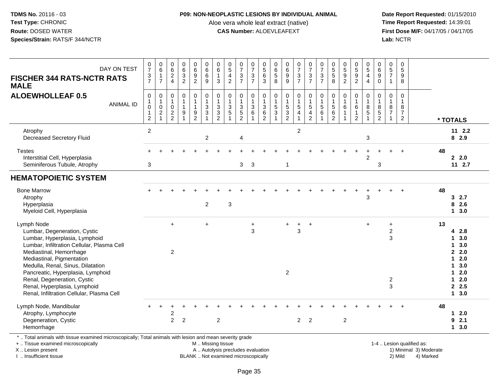### **P09: NON-NEOPLASTIC LESIONS BY INDIVIDUAL ANIMAL**

Aloe vera whole leaf extract (native)<br>**CAS Number:** ALOEVLEAFEXT

 **Date Report Requested:** 01/15/2010 **First Dose M/F:** 04/17/05 / 04/17/05<br>Lab: NCTR **Lab:** NCTR

| DAY ON TEST<br><b>FISCHER 344 RATS-NCTR RATS</b><br><b>MALE</b>                                                                                                                                                                                                                                                                                                         | $\frac{0}{7}$<br>$\frac{3}{7}$                                             | $\pmb{0}$<br>$6\overline{6}$<br>$\mathbf{1}$<br>$\overline{7}$    | $\mathbf 0$<br>6<br>$\overline{c}$<br>$\overline{4}$                        | 0<br>$6\overline{6}$<br>$\sqrt{3}$<br>$\overline{2}$  | $\pmb{0}$<br>$6\phantom{a}$<br>$\boldsymbol{9}$<br>$\overline{2}$                 | 0<br>6<br>$\,6$<br>9                                          | $\begin{array}{c} 0 \\ 6 \end{array}$<br>$\overline{1}$<br>3 | 0<br>$\overline{5}$<br>$\overline{4}$<br>$\overline{2}$     | $\frac{0}{7}$<br>$\frac{3}{7}$                  | 0<br>$\overline{7}$<br>$\ensuremath{\mathsf{3}}$<br>$\overline{7}$  | 0<br>$\overline{5}$<br>6<br>3                              | 0<br>$6\phantom{a}$<br>$\,$ 5 $\,$<br>8 | $\begin{array}{c} 0 \\ 6 \end{array}$<br>$\boldsymbol{9}$<br>9 | $\frac{0}{7}$<br>$\ensuremath{\mathsf{3}}$<br>$\overline{7}$                | 0<br>$\overline{7}$<br>$\sqrt{3}$<br>$\overline{7}$                           | 0<br>$\overline{7}$<br>$\ensuremath{\mathsf{3}}$<br>$\overline{7}$ | 0<br>5<br>$\sqrt{5}$<br>8                                                     | $\begin{array}{c} 0 \\ 5 \\ 9 \end{array}$<br>$\overline{2}$ | $^{\rm 0}_{\rm 5}$<br>$\boldsymbol{9}$<br>$\overline{2}$ | 0<br>$\overline{5}$<br>$\overline{\mathbf{4}}$<br>$\overline{4}$ | 0<br>$\,6\,$<br>$\boldsymbol{9}$<br>$\Omega$                         | $\mathbf 0$<br>$\overline{5}$<br>$\overline{7}$<br>$\mathbf{1}$    | 0<br>$\overline{5}$<br>$\boldsymbol{9}$<br>8                         |                                                     |                                                                                                                             |
|-------------------------------------------------------------------------------------------------------------------------------------------------------------------------------------------------------------------------------------------------------------------------------------------------------------------------------------------------------------------------|----------------------------------------------------------------------------|-------------------------------------------------------------------|-----------------------------------------------------------------------------|-------------------------------------------------------|-----------------------------------------------------------------------------------|---------------------------------------------------------------|--------------------------------------------------------------|-------------------------------------------------------------|-------------------------------------------------|---------------------------------------------------------------------|------------------------------------------------------------|-----------------------------------------|----------------------------------------------------------------|-----------------------------------------------------------------------------|-------------------------------------------------------------------------------|--------------------------------------------------------------------|-------------------------------------------------------------------------------|--------------------------------------------------------------|----------------------------------------------------------|------------------------------------------------------------------|----------------------------------------------------------------------|--------------------------------------------------------------------|----------------------------------------------------------------------|-----------------------------------------------------|-----------------------------------------------------------------------------------------------------------------------------|
| <b>ALOEWHOLLEAF 0.5</b><br><b>ANIMAL ID</b>                                                                                                                                                                                                                                                                                                                             | $\mathbf 0$<br>$\mathbf{1}$<br>$\mathbf 0$<br>$\overline{1}$<br>$\sqrt{2}$ | $\mathbf 0$<br>$\mathbf{1}$<br>$\mathbf 0$<br>$\overline{c}$<br>1 | $\Omega$<br>$\mathbf{1}$<br>$\mathbf 0$<br>$\overline{c}$<br>$\overline{2}$ | 0<br>$\mathbf 1$<br>$\mathbf{1}$<br>9<br>$\mathbf{1}$ | $\mathsf 0$<br>$\mathbf{1}$<br>$\mathbf{1}$<br>$\boldsymbol{9}$<br>$\overline{2}$ | $\pmb{0}$<br>$\overline{1}$<br>$\mathbf{3}$<br>$\overline{3}$ | $\mathbf 0$<br>$\mathbf{1}$<br>$_3^3$<br>$\overline{2}$      | $\pmb{0}$<br>$\mathbf{1}$<br>$\mathbf{3}$<br>$\overline{5}$ | 0<br>1<br>3<br>$\overline{5}$<br>$\overline{2}$ | 0<br>$\mathbf{1}$<br>$\mathbf{3}$<br>$\overline{6}$<br>$\mathbf{1}$ | 0<br>$\mathbf{1}$<br>3<br>$6\phantom{a}$<br>$\overline{2}$ | 0<br>$\mathbf{1}$<br>$\frac{5}{3}$      | $\pmb{0}$<br>$\mathbf{1}$<br>$\frac{5}{3}$<br>$\overline{2}$   | $\pmb{0}$<br>$\mathbf{1}$<br>$\sqrt{5}$<br>$\overline{4}$<br>$\overline{1}$ | $\pmb{0}$<br>$\overline{1}$<br>$\sqrt{5}$<br>$\overline{4}$<br>$\overline{2}$ | 0<br>5<br>$6\phantom{a}$<br>1                                      | $\mathbf 0$<br>$\mathbf{1}$<br>$\sqrt{5}$<br>$6\phantom{a}$<br>$\overline{2}$ | $\mathbf 0$<br>$\mathbf{1}$<br>$\,6$<br>1                    | $\mathbf 0$<br>$\,6\,$<br>1<br>$\overline{2}$            | $\mathbf 0$<br>$\overline{1}$<br>8<br>$\overline{5}$<br>-1       | $\mathbf 0$<br>$\mathbf{1}$<br>8<br>$\overline{5}$<br>$\overline{c}$ | $\mathbf 0$<br>$\overline{1}$<br>8<br>$\overline{7}$<br>1          | $\mathbf 0$<br>$\mathbf{1}$<br>8<br>$\overline{7}$<br>$\overline{2}$ |                                                     | * TOTALS                                                                                                                    |
| Atrophy<br><b>Decreased Secretory Fluid</b>                                                                                                                                                                                                                                                                                                                             | $\overline{2}$                                                             |                                                                   |                                                                             |                                                       |                                                                                   | $\overline{2}$                                                |                                                              |                                                             | 4                                               |                                                                     |                                                            |                                         |                                                                | $\overline{2}$                                                              |                                                                               |                                                                    |                                                                               |                                                              |                                                          | 3                                                                |                                                                      |                                                                    |                                                                      |                                                     | $11 \t2.2$<br>82.9                                                                                                          |
| <b>Testes</b><br>Interstitial Cell, Hyperplasia<br>Seminiferous Tubule, Atrophy                                                                                                                                                                                                                                                                                         | 3                                                                          |                                                                   |                                                                             |                                                       |                                                                                   |                                                               |                                                              |                                                             | 3                                               | $\mathbf{3}$                                                        |                                                            |                                         | $\mathbf{1}$                                                   |                                                                             |                                                                               |                                                                    |                                                                               |                                                              |                                                          | $\overline{2}$                                                   | 3                                                                    |                                                                    |                                                                      |                                                     | 48<br>2.0<br>112.7                                                                                                          |
| <b>HEMATOPOIETIC SYSTEM</b>                                                                                                                                                                                                                                                                                                                                             |                                                                            |                                                                   |                                                                             |                                                       |                                                                                   |                                                               |                                                              |                                                             |                                                 |                                                                     |                                                            |                                         |                                                                |                                                                             |                                                                               |                                                                    |                                                                               |                                                              |                                                          |                                                                  |                                                                      |                                                                    |                                                                      |                                                     |                                                                                                                             |
| <b>Bone Marrow</b><br>Atrophy<br>Hyperplasia<br>Myeloid Cell, Hyperplasia                                                                                                                                                                                                                                                                                               |                                                                            |                                                                   |                                                                             |                                                       |                                                                                   | $\overline{2}$                                                |                                                              | 3                                                           |                                                 |                                                                     |                                                            |                                         |                                                                |                                                                             |                                                                               |                                                                    |                                                                               |                                                              |                                                          | 3                                                                |                                                                      |                                                                    |                                                                      |                                                     | 48<br>32.7<br>8<br>2.6<br>13.0                                                                                              |
| Lymph Node<br>Lumbar, Degeneration, Cystic<br>Lumbar, Hyperplasia, Lymphoid<br>Lumbar, Infiltration Cellular, Plasma Cell<br>Mediastinal, Hemorrhage<br>Mediastinal, Pigmentation<br>Medulla, Renal, Sinus, Dilatation<br>Pancreatic, Hyperplasia, Lymphoid<br>Renal, Degeneration, Cystic<br>Renal, Hyperplasia, Lymphoid<br>Renal, Infiltration Cellular, Plasma Cell |                                                                            |                                                                   | $\ddot{}$<br>$\overline{c}$                                                 |                                                       |                                                                                   | $\ddot{}$                                                     |                                                              |                                                             |                                                 | $\ddot{}$<br>3                                                      |                                                            |                                         | $\ddot{}$<br>$\overline{2}$                                    | $\ddot{}$<br>3                                                              | $\overline{+}$                                                                |                                                                    |                                                                               |                                                              |                                                          | $\ddot{}$                                                        |                                                                      | $\ddot{}$<br>$\boldsymbol{2}$<br>3<br>$\overline{\mathbf{c}}$<br>3 |                                                                      |                                                     | 13<br>4 2.8<br>3.0<br>$\mathbf 1$<br>3.0<br>1<br>2.0<br>2.0<br>$\mathbf 1$<br>3.0<br>1<br>$12.0$<br>2.0<br>1<br>2.5<br>13.0 |
| Lymph Node, Mandibular<br>Atrophy, Lymphocyte<br>Degeneration, Cystic<br>Hemorrhage                                                                                                                                                                                                                                                                                     |                                                                            |                                                                   | 2<br>$\overline{2}$                                                         | $\overline{2}$                                        |                                                                                   |                                                               | $\overline{2}$                                               |                                                             |                                                 |                                                                     |                                                            |                                         |                                                                | $\overline{2}$                                                              | $\overline{2}$                                                                |                                                                    |                                                                               | $\overline{2}$                                               |                                                          |                                                                  |                                                                      |                                                                    |                                                                      |                                                     | 48<br>2.0<br>1<br>2.1<br>9<br>13.0                                                                                          |
| *  Total animals with tissue examined microscopically; Total animals with lesion and mean severity grade<br>+  Tissue examined microscopically<br>X  Lesion present                                                                                                                                                                                                     |                                                                            |                                                                   |                                                                             |                                                       |                                                                                   | M  Missing tissue                                             |                                                              | A  Autolysis precludes evaluation                           |                                                 |                                                                     |                                                            |                                         |                                                                |                                                                             |                                                                               |                                                                    |                                                                               |                                                              |                                                          |                                                                  |                                                                      |                                                                    |                                                                      | 1-4  Lesion qualified as:<br>1) Minimal 3) Moderate |                                                                                                                             |

I .. Insufficient tissue

BLANK .. Not examined microscopically and the contract of the contract of the contract of Modellin 2) Mild 4) Marked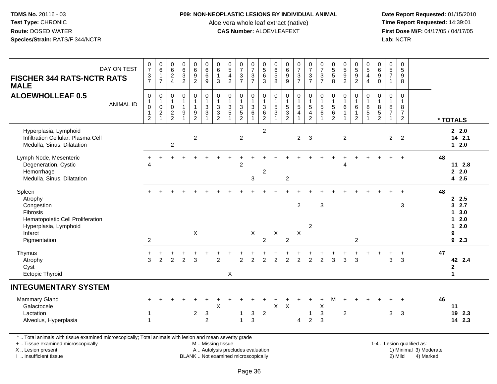#### **P09: NON-NEOPLASTIC LESIONS BY INDIVIDUAL ANIMAL**

Aloe vera whole leaf extract (native)<br>**CAS Number:** ALOEVLEAFEXT

 **Date Report Requested:** 01/15/2010 **First Dose M/F:** 04/17/05 / 04/17/05 Lab: NCTR **Lab:** NCTR

|                                                                                                                                                | DAY ON TEST      | $\frac{0}{7}$                                                                  | $\begin{array}{c} 0 \\ 6 \end{array}$                                      | $062$<br>4                                                  |                                                                    |                                                            | 0<br>6                                                                                     | $\begin{array}{c} 0 \\ 6 \end{array}$                                     | $\begin{array}{c} 0 \\ 5 \\ 4 \end{array}$                                                     | $\frac{0}{7}$                                   | $07/3$<br>7                                                                           | $\begin{array}{c} 0 \\ 5 \\ 6 \end{array}$         | $\pmb{0}$                                                    | $_{6}^{\rm 0}$                                           | $07/3$<br>7                                  | $\begin{array}{c} 0 \\ 7 \\ 3 \\ 7 \end{array}$                            | $07/3$<br>7                                          | 0<br>5<br>5<br>8                                   |                                                                |                                                                | $\begin{array}{c} 0 \\ 5 \\ 4 \end{array}$                            | 0<br>6                                            | $\begin{array}{c} 0 \\ 5 \\ 7 \end{array}$               | $\begin{array}{c} 0 \\ 5 \end{array}$                                      |                           |    |                                                              |
|------------------------------------------------------------------------------------------------------------------------------------------------|------------------|--------------------------------------------------------------------------------|----------------------------------------------------------------------------|-------------------------------------------------------------|--------------------------------------------------------------------|------------------------------------------------------------|--------------------------------------------------------------------------------------------|---------------------------------------------------------------------------|------------------------------------------------------------------------------------------------|-------------------------------------------------|---------------------------------------------------------------------------------------|----------------------------------------------------|--------------------------------------------------------------|----------------------------------------------------------|----------------------------------------------|----------------------------------------------------------------------------|------------------------------------------------------|----------------------------------------------------|----------------------------------------------------------------|----------------------------------------------------------------|-----------------------------------------------------------------------|---------------------------------------------------|----------------------------------------------------------|----------------------------------------------------------------------------|---------------------------|----|--------------------------------------------------------------|
| <b>FISCHER 344 RATS-NCTR RATS</b><br><b>MALE</b>                                                                                               |                  | $\frac{3}{7}$                                                                  | $\mathbf{1}$<br>$\overline{7}$                                             |                                                             | $063$<br>$2$                                                       | $\begin{array}{c} 0 \\ 6 \\ 9 \\ 2 \end{array}$            | $6\phantom{a}$<br>9                                                                        | $\mathbf{1}$<br>3                                                         | $\overline{2}$                                                                                 | $\frac{3}{7}$                                   |                                                                                       | $\overline{3}$                                     | $\begin{array}{c} 6 \\ 5 \\ 8 \end{array}$                   | $\frac{9}{9}$                                            |                                              |                                                                            |                                                      |                                                    | $\begin{array}{c} 0 \\ 5 \\ 9 \\ 2 \end{array}$                | $\begin{array}{c} 0 \\ 5 \\ 9 \\ 2 \end{array}$                | $\overline{4}$                                                        | $\boldsymbol{9}$<br>$\mathbf 0$                   | $\mathbf{1}$                                             | $\frac{9}{8}$                                                              |                           |    |                                                              |
| <b>ALOEWHOLLEAF 0.5</b>                                                                                                                        | <b>ANIMAL ID</b> | $\mathsf 0$<br>$\overline{1}$<br>$\pmb{0}$<br>$\overline{1}$<br>$\overline{c}$ | $\,0\,$<br>$\mathbf{1}$<br>$\mathbf 0$<br>$\boldsymbol{2}$<br>$\mathbf{1}$ | $\mathbf 0$<br>$\mathbf{1}$<br>$\mathbf 0$<br>$\frac{2}{2}$ | $\pmb{0}$<br>$\overline{1}$<br>$\mathbf{1}$<br>9<br>$\overline{1}$ | $\pmb{0}$<br>$\mathbf{1}$<br>$\mathbf{1}$<br>$\frac{9}{2}$ | $\mathbf 0$<br>$\mathbf{1}$<br>$\ensuremath{\mathsf{3}}$<br>$\ensuremath{\mathsf{3}}$<br>1 | $\pmb{0}$<br>$\overline{1}$<br>$\ensuremath{\mathsf{3}}$<br>$\frac{3}{2}$ | $\mathbf 0$<br>$\overline{1}$<br>$\ensuremath{\mathsf{3}}$<br>$\overline{5}$<br>$\overline{1}$ | 0<br>$\ensuremath{\mathsf{3}}$<br>$\frac{5}{2}$ | $\mathbf 0$<br>$\mathbf{1}$<br>$\ensuremath{\mathsf{3}}$<br>$\,6\,$<br>$\overline{1}$ | 0<br>$\overline{1}$<br>$\sqrt{3}$<br>$\frac{6}{2}$ | $\mathbf 0$<br>$\mathbf{1}$<br>$\sqrt{5}$<br>$\sqrt{3}$<br>1 | $\pmb{0}$<br>$\mathbf{1}$<br>$\sqrt{5}$<br>$\frac{3}{2}$ | 0<br>$\mathbf{1}$<br>$5\,$<br>$\overline{4}$ | $\begin{smallmatrix}0\\1\end{smallmatrix}$<br>$\,$ 5 $\,$<br>$\frac{4}{2}$ | $\pmb{0}$<br>$\overline{1}$<br>$\sqrt{5}$<br>$\,6\,$ | 0<br>$\overline{1}$<br>$\sqrt{5}$<br>$\frac{6}{2}$ | 0<br>$\mathbf{1}$<br>$\,6\,$<br>$\mathbf{1}$<br>$\overline{1}$ | 0<br>$\mathbf{1}$<br>$\,6\,$<br>$\mathbf{1}$<br>$\overline{2}$ | $\mathbf 0$<br>$\mathbf{1}$<br>$\bf 8$<br>$\,$ 5 $\,$<br>$\mathbf{1}$ | $\mathbf 0$<br>$\mathbf{1}$<br>8<br>$\frac{5}{2}$ | 0<br>$\mathbf{1}$<br>8<br>$\overline{7}$<br>$\mathbf{1}$ | $\mathbf 0$<br>$\mathbf{1}$<br>$\bf 8$<br>$\overline{7}$<br>$\overline{2}$ |                           |    | * TOTALS                                                     |
| Hyperplasia, Lymphoid<br>Infiltration Cellular, Plasma Cell<br>Medulla, Sinus, Dilatation                                                      |                  |                                                                                |                                                                            | $\overline{2}$                                              |                                                                    | $\overline{c}$                                             |                                                                                            |                                                                           |                                                                                                | $\overline{2}$                                  |                                                                                       | $\overline{2}$                                     |                                                              |                                                          | $\overline{2}$                               | $\mathbf{3}$                                                               |                                                      |                                                    | $\overline{c}$                                                 |                                                                |                                                                       |                                                   | $\overline{2}$                                           | $\overline{2}$                                                             |                           |    | 22.0<br>14 2.1<br>$1 \quad 2.0$                              |
| Lymph Node, Mesenteric<br>Degeneration, Cystic<br>Hemorrhage<br>Medulla, Sinus, Dilatation                                                     |                  | $\overline{4}$                                                                 |                                                                            |                                                             |                                                                    |                                                            |                                                                                            |                                                                           |                                                                                                | $\overline{2}$                                  | 3                                                                                     | $\overline{c}$                                     |                                                              | $\overline{2}$                                           |                                              |                                                                            |                                                      |                                                    | Δ                                                              |                                                                |                                                                       |                                                   |                                                          |                                                                            |                           | 48 | $11 \t2.8$<br>2.0<br>42.5                                    |
| Spleen<br>Atrophy<br>Congestion<br>Fibrosis<br>Hematopoietic Cell Proliferation<br>Hyperplasia, Lymphoid<br>Infarct<br>Pigmentation            |                  | 2                                                                              |                                                                            |                                                             |                                                                    | $\sf X$                                                    |                                                                                            |                                                                           |                                                                                                |                                                 | X                                                                                     | $\overline{2}$                                     | $\mathsf{X}$                                                 | 2                                                        | $\overline{2}$<br>X                          | $\overline{2}$                                                             | $\mathbf{3}$                                         |                                                    |                                                                | $\overline{c}$                                                 |                                                                       |                                                   |                                                          | 3                                                                          |                           | 48 | 2.5<br>32.7<br>3.0<br>1<br>2.0<br>1<br>2.0<br>1<br>9<br>92.3 |
| Thymus<br>Atrophy<br>Cyst<br><b>Ectopic Thyroid</b>                                                                                            |                  | +<br>3                                                                         | $\overline{2}$                                                             | 2                                                           | $\overline{2}$                                                     | 3                                                          |                                                                                            | $\overline{2}$                                                            | $\pmb{\times}$                                                                                 | $\overline{2}$                                  | 2                                                                                     | $\overline{2}$                                     | $\overline{2}$                                               | 2                                                        | $\overline{2}$                               | $\overline{2}$                                                             | $\overline{c}$                                       | 3                                                  | 3                                                              | 3                                                              |                                                                       |                                                   | 3                                                        | $\ddot{}$<br>$\mathbf{3}$                                                  |                           | 47 | 42 2.4<br>$\mathbf 2$<br>$\blacktriangleleft$                |
| <b>INTEGUMENTARY SYSTEM</b>                                                                                                                    |                  |                                                                                |                                                                            |                                                             |                                                                    |                                                            |                                                                                            |                                                                           |                                                                                                |                                                 |                                                                                       |                                                    |                                                              |                                                          |                                              |                                                                            |                                                      |                                                    |                                                                |                                                                |                                                                       |                                                   |                                                          |                                                                            |                           |    |                                                              |
| <b>Mammary Gland</b><br>Galactocele<br>Lactation<br>Alveolus, Hyperplasia                                                                      |                  |                                                                                |                                                                            |                                                             |                                                                    | $\overline{c}$                                             | $\ensuremath{\mathsf{3}}$<br>$\overline{c}$                                                | $\sf X$                                                                   |                                                                                                | $\mathbf 1$<br>$\mathbf{1}$                     | $\ensuremath{\mathsf{3}}$<br>$\mathbf{3}$                                             | $\sqrt{2}$                                         | X                                                            | $\boldsymbol{\mathsf{X}}$                                | 4                                            | 1<br>$\overline{2}$                                                        | X<br>$\sqrt{3}$<br>3                                 | м                                                  | $\boldsymbol{2}$                                               |                                                                |                                                                       |                                                   | 3                                                        | $\mathbf{3}$                                                               |                           | 46 | 11<br>19 2.3<br>14 2.3                                       |
| *  Total animals with tissue examined microscopically; Total animals with lesion and mean severity grade<br>+  Tissue examined microscopically |                  |                                                                                |                                                                            |                                                             |                                                                    |                                                            |                                                                                            | M  Missing tissue                                                         |                                                                                                |                                                 |                                                                                       |                                                    |                                                              |                                                          |                                              |                                                                            |                                                      |                                                    |                                                                |                                                                |                                                                       |                                                   |                                                          |                                                                            | 1-4  Lesion qualified as: |    |                                                              |

+ .. Tissue examined microscopicallyX .. Lesion present

I .. Insufficient tissue

A .. Autolysis precludes evaluation

BLANK .. Not examined microscopically 2) Mild 4) Marked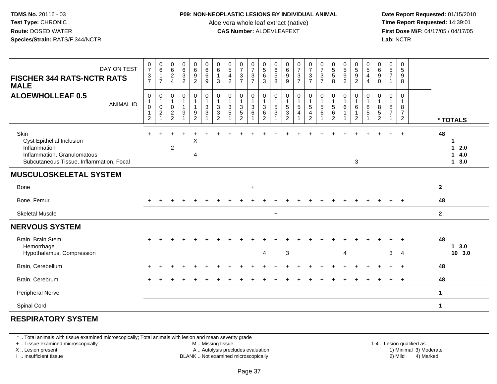#### **P09: NON-NEOPLASTIC LESIONS BY INDIVIDUAL ANIMAL**

Aloe vera whole leaf extract (native)<br>**CAS Number:** ALOEVLEAFEXT

 **Date Report Requested:** 01/15/2010 **First Dose M/F:** 04/17/05 / 04/17/05<br>**Lab:** NCTR **Lab:** NCTR

| DAY ON TEST<br><b>FISCHER 344 RATS-NCTR RATS</b><br><b>MALE</b>                                                              | $\frac{0}{7}$<br>$\frac{3}{7}$                                           | 0<br>$6\overline{6}$<br>$\overline{7}$    | $\begin{matrix} 0 \\ 6 \end{matrix}$<br>$\frac{2}{4}$    | $\begin{matrix} 0 \\ 6 \\ 3 \\ 2 \end{matrix}$ | $\begin{matrix} 0 \\ 6 \end{matrix}$<br>$9\,$<br>$\overline{2}$ | $\begin{array}{c} 0 \\ 6 \end{array}$<br>$\,6\,$<br>9       | $\pmb{0}$<br>$\,6\,$<br>$\mathbf{1}$<br>3                            | $\begin{array}{c} 0 \\ 5 \end{array}$<br>$\overline{4}$<br>$\overline{2}$ | $\frac{0}{7}$<br>3<br>$\overline{7}$                 | $\begin{array}{c} 0 \\ 7 \\ 3 \end{array}$<br>$\overline{7}$ | $\begin{array}{c} 0 \\ 5 \\ 6 \end{array}$<br>$\mathbf{3}$ | $\begin{array}{c} 0 \\ 6 \end{array}$<br>$\sqrt{5}$<br>8 | $\begin{array}{c} 0 \\ 6 \end{array}$<br>9<br>$\overline{9}$       | $\frac{0}{7}$<br>3<br>$\overline{7}$      | $\frac{0}{7}$<br>$\mathbf{3}$<br>$\overline{7}$               | $\frac{0}{7}$<br>$\mathbf{3}$<br>$\overline{7}$ | 0<br>5<br>5<br>8                                                         | $\begin{array}{c} 0 \\ 5 \end{array}$<br>$9\,$<br>$\overline{2}$ | $\begin{smallmatrix}0\0\0\end{smallmatrix}$<br>$\boldsymbol{9}$<br>$\overline{2}$ | $\begin{matrix} 0 \\ 5 \end{matrix}$<br>$\overline{4}$<br>$\overline{4}$ | 0<br>$\,6\,$<br>$\boldsymbol{9}$<br>0         | 0<br>$\sqrt{5}$<br>$\overline{7}$        | $\boldsymbol{0}$<br>$\sqrt{5}$<br>9<br>8                                    |                                                   |
|------------------------------------------------------------------------------------------------------------------------------|--------------------------------------------------------------------------|-------------------------------------------|----------------------------------------------------------|------------------------------------------------|-----------------------------------------------------------------|-------------------------------------------------------------|----------------------------------------------------------------------|---------------------------------------------------------------------------|------------------------------------------------------|--------------------------------------------------------------|------------------------------------------------------------|----------------------------------------------------------|--------------------------------------------------------------------|-------------------------------------------|---------------------------------------------------------------|-------------------------------------------------|--------------------------------------------------------------------------|------------------------------------------------------------------|-----------------------------------------------------------------------------------|--------------------------------------------------------------------------|-----------------------------------------------|------------------------------------------|-----------------------------------------------------------------------------|---------------------------------------------------|
| <b>ALOEWHOLLEAF 0.5</b><br><b>ANIMAL ID</b>                                                                                  | $\mathbf 0$<br>$\mathbf{1}$<br>$\mathbf 0$<br>$\mathbf{1}$<br>$\sqrt{2}$ | 0<br>1<br>$\mathsf 0$<br>$\boldsymbol{2}$ | 0<br>$\mathbf 1$<br>$\mathsf{O}\xspace$<br>$\frac{2}{2}$ | $\pmb{0}$<br>1<br>$\mathbf{1}$<br>9            | $\mathbf 0$<br>$\mathbf{1}$<br>$\mathbf{1}$<br>$\frac{9}{2}$    | $\pmb{0}$<br>$\overline{1}$<br>$\mathbf{3}$<br>$\mathbf{3}$ | $\mathbf 0$<br>$\overline{1}$<br>$\mathbf{3}$<br>3<br>$\overline{2}$ | $\mathbf 0$<br>$\mathbf{1}$<br>$\mathbf{3}$<br>5                          | 0<br>$\mathbf{1}$<br>$\frac{3}{5}$<br>$\overline{2}$ | $\pmb{0}$<br>$\mathbf{1}$<br>$^3$ 6                          | 0<br>$\mathbf{1}$<br>$\ensuremath{\mathsf{3}}$<br>6<br>2   | 0<br>$\mathbf{1}$<br>$\sqrt{5}$<br>3                     | $\pmb{0}$<br>$\mathbf{1}$<br>$\overline{5}$<br>3<br>$\overline{2}$ | 0<br>$\mathbf{1}$<br>$5\phantom{.0}$<br>4 | 0<br>$\overline{1}$<br>$5\phantom{.0}$<br>4<br>$\overline{2}$ | $\mathbf 0$<br>$\mathbf{1}$<br>$\sqrt{5}$<br>6  | $\mathbf 0$<br>$\overline{1}$<br>$\sqrt{5}$<br>$\,6\,$<br>$\overline{2}$ | $\pmb{0}$<br>$\mathbf{1}$<br>6                                   | 0<br>$\mathbf{1}$<br>$\,6\,$<br>$\overline{c}$                                    | 0<br>$\mathbf{1}$<br>$\bf 8$<br>$\sqrt{5}$                               | 0<br>$\mathbf{1}$<br>8<br>5<br>$\overline{2}$ | 0<br>$\mathbf{1}$<br>8<br>$\overline{7}$ | $\mathbf 0$<br>$\overline{1}$<br>$\bf8$<br>$\overline{7}$<br>$\overline{2}$ | * TOTALS                                          |
| Skin<br>Cyst Epithelial Inclusion<br>Inflammation<br>Inflammation, Granulomatous<br>Subcutaneous Tissue, Inflammation, Focal |                                                                          |                                           | $\overline{c}$                                           |                                                | X<br>4                                                          |                                                             |                                                                      |                                                                           |                                                      |                                                              |                                                            |                                                          |                                                                    |                                           |                                                               |                                                 |                                                                          |                                                                  | 3                                                                                 |                                                                          |                                               | +                                        | $\overline{1}$                                                              | 48<br>1<br>2.0<br>1<br>4.0<br>$\mathbf 1$<br>13.0 |
| <b>MUSCULOSKELETAL SYSTEM</b>                                                                                                |                                                                          |                                           |                                                          |                                                |                                                                 |                                                             |                                                                      |                                                                           |                                                      |                                                              |                                                            |                                                          |                                                                    |                                           |                                                               |                                                 |                                                                          |                                                                  |                                                                                   |                                                                          |                                               |                                          |                                                                             |                                                   |
| Bone                                                                                                                         |                                                                          |                                           |                                                          |                                                |                                                                 |                                                             |                                                                      |                                                                           |                                                      | $+$                                                          |                                                            |                                                          |                                                                    |                                           |                                                               |                                                 |                                                                          |                                                                  |                                                                                   |                                                                          |                                               |                                          |                                                                             | $\mathbf{2}$                                      |
| Bone, Femur                                                                                                                  |                                                                          |                                           |                                                          |                                                |                                                                 |                                                             |                                                                      |                                                                           |                                                      |                                                              |                                                            |                                                          |                                                                    |                                           |                                                               |                                                 |                                                                          |                                                                  |                                                                                   |                                                                          |                                               |                                          |                                                                             | 48                                                |
| <b>Skeletal Muscle</b>                                                                                                       |                                                                          |                                           |                                                          |                                                |                                                                 |                                                             |                                                                      |                                                                           |                                                      |                                                              |                                                            | $\ddot{}$                                                |                                                                    |                                           |                                                               |                                                 |                                                                          |                                                                  |                                                                                   |                                                                          |                                               |                                          |                                                                             | $\mathbf{2}$                                      |
| <b>NERVOUS SYSTEM</b>                                                                                                        |                                                                          |                                           |                                                          |                                                |                                                                 |                                                             |                                                                      |                                                                           |                                                      |                                                              |                                                            |                                                          |                                                                    |                                           |                                                               |                                                 |                                                                          |                                                                  |                                                                                   |                                                                          |                                               |                                          |                                                                             |                                                   |
| Brain, Brain Stem<br>Hemorrhage<br>Hypothalamus, Compression                                                                 |                                                                          |                                           |                                                          |                                                |                                                                 |                                                             |                                                                      |                                                                           |                                                      |                                                              | $\overline{4}$                                             |                                                          | $\mathbf{3}$                                                       |                                           |                                                               |                                                 |                                                                          | 4                                                                |                                                                                   |                                                                          |                                               | 3                                        | $\overline{4}$                                                              | 48<br>3.0<br>$\mathbf 1$<br>10 3.0                |
| Brain, Cerebellum                                                                                                            |                                                                          |                                           |                                                          |                                                |                                                                 |                                                             |                                                                      |                                                                           |                                                      |                                                              |                                                            |                                                          |                                                                    |                                           |                                                               |                                                 |                                                                          |                                                                  |                                                                                   |                                                                          |                                               |                                          |                                                                             | 48                                                |
| Brain, Cerebrum                                                                                                              |                                                                          |                                           |                                                          |                                                |                                                                 |                                                             |                                                                      |                                                                           |                                                      |                                                              |                                                            |                                                          |                                                                    |                                           |                                                               |                                                 |                                                                          |                                                                  |                                                                                   |                                                                          |                                               |                                          |                                                                             | 48                                                |
| Peripheral Nerve                                                                                                             |                                                                          |                                           |                                                          |                                                |                                                                 |                                                             |                                                                      |                                                                           |                                                      |                                                              |                                                            |                                                          |                                                                    |                                           |                                                               |                                                 |                                                                          |                                                                  |                                                                                   |                                                                          |                                               |                                          |                                                                             | $\mathbf{1}$                                      |
| Spinal Cord                                                                                                                  |                                                                          |                                           |                                                          |                                                |                                                                 |                                                             |                                                                      |                                                                           |                                                      |                                                              |                                                            |                                                          |                                                                    |                                           |                                                               |                                                 |                                                                          |                                                                  |                                                                                   |                                                                          |                                               |                                          |                                                                             | $\mathbf 1$                                       |
|                                                                                                                              |                                                                          |                                           |                                                          |                                                |                                                                 |                                                             |                                                                      |                                                                           |                                                      |                                                              |                                                            |                                                          |                                                                    |                                           |                                                               |                                                 |                                                                          |                                                                  |                                                                                   |                                                                          |                                               |                                          |                                                                             |                                                   |

# **RESPIRATORY SYSTEM**

\* .. Total animals with tissue examined microscopically; Total animals with lesion and mean severity grade

+ .. Tissue examined microscopically

X .. Lesion present

I .. Insufficient tissue

M .. Missing tissue

A .. Autolysis precludes evaluation

BLANK .. Not examined microscopically 2) Mild 4) Marked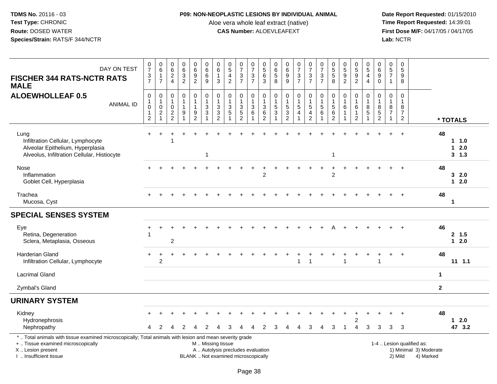# **P09: NON-NEOPLASTIC LESIONS BY INDIVIDUAL ANIMAL**

Aloe vera whole leaf extract (native)<br>**CAS Number:** ALOEVLEAFEXT

| DAY ON TEST<br><b>FISCHER 344 RATS-NCTR RATS</b><br><b>MALE</b>                                                                                                                               | $\frac{0}{7}$<br>$\frac{3}{7}$                                               | $_{6}^{\rm 0}$<br>$\mathbf{1}$<br>$\overline{7}$                           | $\begin{array}{c} 0 \\ 6 \end{array}$<br>$\overline{c}$<br>$\overline{4}$ | 0<br>$\,6\,$<br>$\ensuremath{\mathsf{3}}$<br>$\overline{2}$        | $_{6}^{\rm 0}$<br>$\overline{9}$<br>$\overline{2}$ | $\begin{array}{c} 0 \\ 6 \end{array}$<br>$6\overline{6}$<br>9   | $\begin{array}{c} 0 \\ 6 \end{array}$<br>$\mathbf{1}$<br>$\mathbf{3}$                  | $\begin{array}{c} 0 \\ 5 \end{array}$<br>$\overline{4}$<br>$\overline{2}$                  | $\frac{0}{7}$<br>$\ensuremath{\mathsf{3}}$<br>$\overline{7}$                                 | $\frac{0}{7}$<br>$\frac{3}{7}$                      | $\begin{array}{c} 0 \\ 5 \end{array}$<br>$6\phantom{a}$<br>3 | $_{6}^{\rm 0}$<br>$\overline{5}$<br>8            | $\begin{array}{c} 0 \\ 6 \end{array}$<br>$\boldsymbol{9}$<br>9 | $\begin{array}{c} 0 \\ 7 \end{array}$<br>$\frac{3}{7}$     | $\begin{smallmatrix}0\\7\end{smallmatrix}$<br>$\frac{3}{7}$          | $\frac{0}{7}$<br>$\ensuremath{\mathsf{3}}$<br>$\overline{7}$ | $\begin{array}{c} 0 \\ 5 \end{array}$<br>5<br>8 | $\begin{smallmatrix}0\0\5\end{smallmatrix}$<br>$\overline{9}$<br>$\overline{2}$ | 0592                                                                     | $\begin{array}{c} 0 \\ 5 \end{array}$<br>$\overline{4}$<br>$\overline{4}$ | $\begin{array}{c} 0 \\ 6 \end{array}$<br>$\boldsymbol{9}$<br>$\mathbf 0$               | $\begin{array}{c} 0 \\ 5 \end{array}$<br>$\overline{7}$<br>$\mathbf{1}$ | $\mathbf 0$<br>5<br>9<br>8                                           |                                                                  |                      |                                             |
|-----------------------------------------------------------------------------------------------------------------------------------------------------------------------------------------------|------------------------------------------------------------------------------|----------------------------------------------------------------------------|---------------------------------------------------------------------------|--------------------------------------------------------------------|----------------------------------------------------|-----------------------------------------------------------------|----------------------------------------------------------------------------------------|--------------------------------------------------------------------------------------------|----------------------------------------------------------------------------------------------|-----------------------------------------------------|--------------------------------------------------------------|--------------------------------------------------|----------------------------------------------------------------|------------------------------------------------------------|----------------------------------------------------------------------|--------------------------------------------------------------|-------------------------------------------------|---------------------------------------------------------------------------------|--------------------------------------------------------------------------|---------------------------------------------------------------------------|----------------------------------------------------------------------------------------|-------------------------------------------------------------------------|----------------------------------------------------------------------|------------------------------------------------------------------|----------------------|---------------------------------------------|
| <b>ALOEWHOLLEAF 0.5</b><br><b>ANIMAL ID</b>                                                                                                                                                   | $\mathbf 0$<br>$\mathbf{1}$<br>$\mathbf 0$<br>$\mathbf{1}$<br>$\overline{2}$ | $\mathbf 0$<br>$\mathbf{1}$<br>$\mathbf 0$<br>$\sqrt{2}$<br>$\overline{1}$ | 0<br>$\mathbf{1}$<br>$\mathbf 0$<br>$\overline{2}$<br>$\overline{c}$      | $\mathbf 0$<br>$\mathbf{1}$<br>$\mathbf{1}$<br>9<br>$\overline{1}$ | 0<br>$\mathbf{1}$<br>1<br>9<br>$\mathfrak{p}$      | 0<br>$\mathbf{1}$<br>$\sqrt{3}$<br>$\sqrt{3}$<br>$\overline{1}$ | $\pmb{0}$<br>$\mathbf{1}$<br>$\ensuremath{\mathsf{3}}$<br>$\sqrt{3}$<br>$\overline{2}$ | $\mathbf 0$<br>$\overline{1}$<br>$\ensuremath{\mathsf{3}}$<br>$\sqrt{5}$<br>$\overline{1}$ | $\mathbf 0$<br>$\mathbf{1}$<br>$\ensuremath{\mathsf{3}}$<br>$\overline{5}$<br>$\overline{2}$ | 0<br>$\mathbf{1}$<br>$\ensuremath{\mathsf{3}}$<br>6 | 0<br>$\mathbf{1}$<br>$\sqrt{3}$<br>$\,6\,$<br>$\overline{2}$ | 0<br>$\mathbf{1}$<br>$\,$ 5 $\,$<br>$\mathbf{3}$ | 0<br>1<br>$\sqrt{5}$<br>$\mathbf{3}$<br>$\overline{2}$         | $\mathbf 0$<br>$\mathbf 1$<br>$\sqrt{5}$<br>$\overline{4}$ | 0<br>$\mathbf{1}$<br>$\,$ 5 $\,$<br>$\overline{a}$<br>$\overline{c}$ | 0<br>$\mathbf{1}$<br>$\overline{5}$<br>6<br>1                | 0<br>$\mathbf{1}$<br>5<br>6<br>$\overline{2}$   | 0<br>$\mathbf{1}$<br>$\,6$<br>$\mathbf{1}$<br>$\overline{1}$                    | $\mathbf 0$<br>$\mathbf{1}$<br>$\,6\,$<br>$\mathbf{1}$<br>$\overline{2}$ | 0<br>$\mathbf{1}$<br>$\bf 8$<br>$\sqrt{5}$<br>$\overline{\mathbf{1}}$     | $\mathbf 0$<br>$\mathbf{1}$<br>$\begin{array}{c} 8 \\ 5 \end{array}$<br>$\overline{2}$ | 0<br>$\mathbf{1}$<br>8<br>$\overline{7}$<br>$\mathbf{1}$                | $\mathbf 0$<br>$\mathbf{1}$<br>8<br>$\overline{7}$<br>$\overline{2}$ |                                                                  |                      | * TOTALS                                    |
| Lung<br>Infiltration Cellular, Lymphocyte<br>Alveolar Epithelium, Hyperplasia<br>Alveolus, Infiltration Cellular, Histiocyte                                                                  | $\ddot{}$                                                                    |                                                                            |                                                                           |                                                                    |                                                    | -1                                                              |                                                                                        |                                                                                            |                                                                                              |                                                     |                                                              |                                                  |                                                                |                                                            |                                                                      |                                                              | $\overline{1}$                                  |                                                                                 |                                                                          |                                                                           |                                                                                        |                                                                         |                                                                      |                                                                  | 48                   | $1 1.0$<br>2.0<br>$\mathbf{1}$<br>$3 \t1.3$ |
| Nose<br>Inflammation<br>Goblet Cell, Hyperplasia                                                                                                                                              |                                                                              |                                                                            |                                                                           |                                                                    |                                                    |                                                                 |                                                                                        |                                                                                            |                                                                                              |                                                     | $\overline{2}$                                               |                                                  |                                                                |                                                            |                                                                      |                                                              | $\ddot{}$<br>$\overline{2}$                     |                                                                                 |                                                                          |                                                                           |                                                                                        |                                                                         |                                                                      |                                                                  | 48                   | 32.0<br>$12.0$                              |
| Trachea<br>Mucosa, Cyst                                                                                                                                                                       |                                                                              |                                                                            |                                                                           |                                                                    |                                                    |                                                                 |                                                                                        |                                                                                            |                                                                                              |                                                     |                                                              |                                                  |                                                                |                                                            |                                                                      |                                                              |                                                 |                                                                                 |                                                                          |                                                                           |                                                                                        |                                                                         |                                                                      |                                                                  | 48                   | $\mathbf 1$                                 |
| <b>SPECIAL SENSES SYSTEM</b>                                                                                                                                                                  |                                                                              |                                                                            |                                                                           |                                                                    |                                                    |                                                                 |                                                                                        |                                                                                            |                                                                                              |                                                     |                                                              |                                                  |                                                                |                                                            |                                                                      |                                                              |                                                 |                                                                                 |                                                                          |                                                                           |                                                                                        |                                                                         |                                                                      |                                                                  |                      |                                             |
| Eye<br>Retina, Degeneration<br>Sclera, Metaplasia, Osseous                                                                                                                                    |                                                                              |                                                                            | $\overline{c}$                                                            |                                                                    |                                                    |                                                                 |                                                                                        |                                                                                            |                                                                                              |                                                     |                                                              |                                                  |                                                                |                                                            |                                                                      |                                                              |                                                 |                                                                                 |                                                                          |                                                                           |                                                                                        |                                                                         |                                                                      |                                                                  | 46                   | 2, 1.5<br>$12.0$                            |
| <b>Harderian Gland</b><br>Infiltration Cellular, Lymphocyte                                                                                                                                   |                                                                              | 2                                                                          |                                                                           |                                                                    |                                                    |                                                                 |                                                                                        |                                                                                            |                                                                                              |                                                     |                                                              |                                                  |                                                                | $\overline{1}$                                             | 1                                                                    |                                                              |                                                 | 1                                                                               |                                                                          |                                                                           | 1                                                                                      |                                                                         |                                                                      |                                                                  | 48                   | $11$ 1.1                                    |
| <b>Lacrimal Gland</b>                                                                                                                                                                         |                                                                              |                                                                            |                                                                           |                                                                    |                                                    |                                                                 |                                                                                        |                                                                                            |                                                                                              |                                                     |                                                              |                                                  |                                                                |                                                            |                                                                      |                                                              |                                                 |                                                                                 |                                                                          |                                                                           |                                                                                        |                                                                         |                                                                      |                                                                  | $\blacktriangleleft$ |                                             |
| Zymbal's Gland                                                                                                                                                                                |                                                                              |                                                                            |                                                                           |                                                                    |                                                    |                                                                 |                                                                                        |                                                                                            |                                                                                              |                                                     |                                                              |                                                  |                                                                |                                                            |                                                                      |                                                              |                                                 |                                                                                 |                                                                          |                                                                           |                                                                                        |                                                                         |                                                                      |                                                                  | $\mathbf{2}$         |                                             |
| <b>URINARY SYSTEM</b>                                                                                                                                                                         |                                                                              |                                                                            |                                                                           |                                                                    |                                                    |                                                                 |                                                                                        |                                                                                            |                                                                                              |                                                     |                                                              |                                                  |                                                                |                                                            |                                                                      |                                                              |                                                 |                                                                                 |                                                                          |                                                                           |                                                                                        |                                                                         |                                                                      |                                                                  |                      |                                             |
| Kidney<br>Hydronephrosis<br>Nephropathy                                                                                                                                                       |                                                                              | 2                                                                          |                                                                           | 2                                                                  | Δ                                                  | 2                                                               | Δ                                                                                      | 3                                                                                          |                                                                                              |                                                     | 2                                                            | 3                                                | Δ                                                              | 4                                                          | 3                                                                    | 4                                                            | 3                                               | $\mathbf 1$                                                                     | $\overline{4}$                                                           | 3                                                                         | 3                                                                                      | 3                                                                       | 3                                                                    |                                                                  | 48                   | $1 \quad 2.0$<br>47 3.2                     |
| *  Total animals with tissue examined microscopically; Total animals with lesion and mean severity grade<br>+  Tissue examined microscopically<br>X  Lesion present<br>I. Insufficient tissue |                                                                              |                                                                            |                                                                           |                                                                    |                                                    | M  Missing tissue                                               |                                                                                        | A  Autolysis precludes evaluation<br>BLANK  Not examined microscopically                   |                                                                                              |                                                     |                                                              |                                                  |                                                                |                                                            |                                                                      |                                                              |                                                 |                                                                                 |                                                                          |                                                                           |                                                                                        |                                                                         | 2) Mild                                                              | 1-4  Lesion qualified as:<br>1) Minimal 3) Moderate<br>4) Marked |                      |                                             |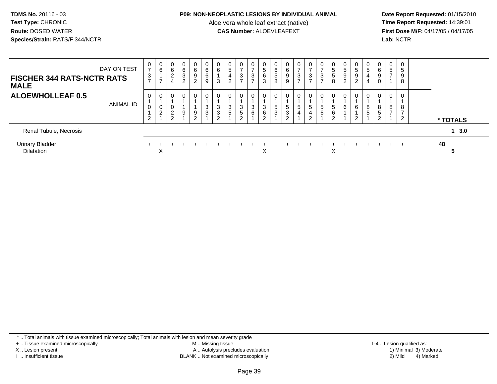#### **P09: NON-NEOPLASTIC LESIONS BY INDIVIDUAL ANIMAL**

Aloe vera whole leaf extract (native)<br>**CAS Number:** ALOEVLEAFEXT

 **Date Report Requested:** 01/15/2010 **First Dose M/F:** 04/17/05 / 04/17/05<br>Lab: NCTR **Lab:** NCTR

| <b>FISCHER 344 RATS-NCTR RATS</b><br><b>MALE</b> | DAY ON TEST      | $\overline{ }$<br>3<br>$\overline{ }$ | 0<br>6                   | 0<br>6<br>$\Omega$<br>∠                | $\mathbf 0$<br>$\,6\,$<br>$\sqrt{3}$<br>$\overline{2}$ | $\mathbf{0}$<br>6<br>9<br>$\overline{2}$ | 0<br>6<br>6           | 6<br>ົ<br>ۍ      | $\sqrt{5}$<br>∠ | 0<br>3                           | $\mathbf 0$<br>$\rightarrow$<br>3<br>$\rightarrow$ | 0<br>5<br>6<br>3 | 0<br>6<br>$\overline{5}$<br>8 | 0<br>6<br>9                                       | 0<br>$\overline{ }$<br>3<br>$\rightarrow$ | 0<br>$\rightarrow$<br>$\frac{3}{7}$ | 0<br>$\rightarrow$<br>3 | 0<br>$\sqrt{5}$<br>$5\phantom{.0}$<br>8 | 0<br>5<br>9<br>$\overline{2}$ | $\mathbf{0}$<br>5<br>9<br>$\sim$<br>∠ | $5\phantom{.0}$   | 0<br>6<br>9<br>0                      | U<br>$\overline{5}$<br>- | $\mathbf 0$<br>5<br>9<br>8 |    |          |
|--------------------------------------------------|------------------|---------------------------------------|--------------------------|----------------------------------------|--------------------------------------------------------|------------------------------------------|-----------------------|------------------|-----------------|----------------------------------|----------------------------------------------------|------------------|-------------------------------|---------------------------------------------------|-------------------------------------------|-------------------------------------|-------------------------|-----------------------------------------|-------------------------------|---------------------------------------|-------------------|---------------------------------------|--------------------------|----------------------------|----|----------|
| <b>ALOEWHOLLEAF 0.5</b>                          | <b>ANIMAL ID</b> | 2                                     | 0<br>0<br>$\overline{2}$ | 0<br>$\overline{\mathbf{c}}$<br>ົ<br>∠ | 0<br>9                                                 | 0<br>9<br>C.                             | $\mathbf 0$<br>3<br>3 | 3<br>3<br>$\sim$ | 0<br>3<br>5     | $\mathbf{0}$<br>3<br>5<br>$\sim$ | 0<br>3<br>6                                        | 0<br>3<br>6<br>2 | 0<br>5<br>3                   | $\mathbf 0$<br><sub>5</sub><br>3<br>$\mathcal{D}$ | 0<br>5<br>4                               | 0<br>5<br>4<br>ົ<br>ے               | 0<br>$\sqrt{5}$<br>6    | 0<br>5<br>6<br>2                        | 0<br>6                        | $\Omega$<br>6<br>ົ<br>ے               | 8<br><sub>5</sub> | $\mathbf{0}$<br>8<br>5<br>$\sim$<br>∠ | 8                        | 0<br>8<br>-<br>n           |    | * TOTALS |
| Renal Tubule, Necrosis                           |                  |                                       |                          |                                        |                                                        |                                          |                       |                  |                 |                                  |                                                    |                  |                               |                                                   |                                           |                                     |                         |                                         |                               |                                       |                   |                                       |                          |                            |    | 13.0     |
| <b>Urinary Bladder</b><br><b>Dilatation</b>      |                  |                                       | $\check{ }$<br>⌒         |                                        |                                                        |                                          |                       |                  |                 |                                  |                                                    | ∧                |                               |                                                   |                                           |                                     |                         | X                                       |                               |                                       |                   |                                       | $+$                      |                            | 48 |          |

\* .. Total animals with tissue examined microscopically; Total animals with lesion and mean severity grade

+ .. Tissue examined microscopically

X .. Lesion present

I .. Insufficient tissue

 M .. Missing tissueA .. Autolysis precludes evaluation

BLANK .. Not examined microscopically 2) Mild 4) Marked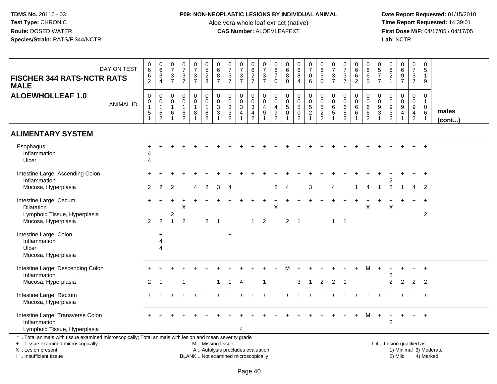## **P09: NON-NEOPLASTIC LESIONS BY INDIVIDUAL ANIMAL**

Aloe vera whole leaf extract (native)<br>**CAS Number:** ALOEVLEAFEXT

| DAY ON TEST<br><b>FISCHER 344 RATS-NCTR RATS</b><br><b>MALE</b>                                                                                                                               | $_{6}^{\rm 0}$<br>$\frac{6}{2}$                         | $_{6}^{\rm 0}$<br>$\frac{3}{4}$                           | $\begin{smallmatrix}0\\7\end{smallmatrix}$<br>$\mathbf{3}$<br>$\overline{7}$ | $\begin{array}{c} 0 \\ 7 \end{array}$<br>$\frac{3}{7}$        | $\frac{0}{7}$<br>$\sqrt{3}$<br>$\overline{7}$ | $\begin{array}{c} 0 \\ 5 \end{array}$<br>$\frac{2}{8}$              | 0<br>6<br>8<br>$\overline{7}$                                     | $\begin{array}{c} 0 \\ 7 \end{array}$<br>$\mathbf{3}$<br>$\overline{7}$  | $\frac{0}{7}$<br>$\frac{3}{7}$                          | $_{6}^{\rm 0}$<br>$\frac{2}{7}$                          | $\frac{0}{7}$<br>$\frac{3}{7}$                                              | $\pmb{0}$<br>$\,6\,$<br>$\overline{7}$<br>$\mathbf 0$ | $\begin{array}{c} 0 \\ 6 \\ 8 \end{array}$<br>$\overline{0}$                    | $\begin{array}{c} 0 \\ 6 \end{array}$<br>$\bf 8$<br>$\overline{4}$             | $\frac{0}{7}$<br>$\mathbf 0$<br>6 | $\mathbf 0$<br>$\overline{6}$<br>9<br>$\mathbf 0$ | $\frac{0}{7}$<br>$\mathbf{3}$<br>$\overline{7}$                     | $\frac{0}{7}$<br>$\frac{3}{7}$                                 | $\mathbf 0$<br>$\overline{6}$<br>6<br>$\overline{2}$ | $\pmb{0}$<br>$6\phantom{a}$<br>$\begin{array}{c} 6 \\ 5 \end{array}$ | 0<br>$\,$ 5 $\,$<br>$\overline{7}$<br>$\overline{7}$            | $062$<br>$1$                                             | $\begin{array}{c} 0 \\ 6 \end{array}$<br>$\frac{9}{7}$                                              | $\pmb{0}$<br>$\overline{7}$<br>$\sqrt{3}$<br>$\overline{7}$ | $\mathbf 0$<br>$\sqrt{5}$<br>$\mathbf{1}$<br>9                                  |                        |
|-----------------------------------------------------------------------------------------------------------------------------------------------------------------------------------------------|---------------------------------------------------------|-----------------------------------------------------------|------------------------------------------------------------------------------|---------------------------------------------------------------|-----------------------------------------------|---------------------------------------------------------------------|-------------------------------------------------------------------|--------------------------------------------------------------------------|---------------------------------------------------------|----------------------------------------------------------|-----------------------------------------------------------------------------|-------------------------------------------------------|---------------------------------------------------------------------------------|--------------------------------------------------------------------------------|-----------------------------------|---------------------------------------------------|---------------------------------------------------------------------|----------------------------------------------------------------|------------------------------------------------------|----------------------------------------------------------------------|-----------------------------------------------------------------|----------------------------------------------------------|-----------------------------------------------------------------------------------------------------|-------------------------------------------------------------|---------------------------------------------------------------------------------|------------------------|
| <b>ALOEWHOLLEAF 1.0</b><br><b>ANIMAL ID</b>                                                                                                                                                   | $\pmb{0}$<br>$\pmb{0}$<br>$\mathbf{1}$<br>$\frac{1}{1}$ | $\mathbf 0$<br>$\pmb{0}$<br>$\mathbf{1}$<br>$\frac{5}{2}$ | $\mathbf 0$<br>$\mathbf 0$<br>$\mathbf{1}$<br>6                              | $\mathbf 0$<br>$\mathbf 0$<br>$\overline{1}$<br>$\frac{6}{2}$ | 0<br>$\mathbf 0$<br>$\mathbf{1}$<br>8         | $\mathsf{O}\xspace$<br>$\mathbf 0$<br>$\mathbf{1}$<br>$\frac{8}{2}$ | $\mathbf 0$<br>$\mathsf 0$<br>3<br>$\ensuremath{\mathsf{3}}$<br>1 | $\mathsf{O}\xspace$<br>$\ddot{\mathbf{0}}$<br>$\frac{3}{2}$              | 0<br>$\mathbf 0$<br>3<br>$\overline{4}$<br>$\mathbf{1}$ | 0<br>$\mathsf{O}\xspace$<br>$\mathsf 3$<br>$\frac{4}{2}$ | $\mathbf 0$<br>$\ddot{\mathbf{0}}$<br>$\overline{4}$<br>$\overline{9}$<br>1 | 0<br>$\mathbf 0$<br>$\overline{4}$<br>$\frac{9}{2}$   | $\mathbf 0$<br>$\ddot{\mathbf{0}}$<br>$\sqrt{5}$<br>$\pmb{0}$<br>$\overline{1}$ | 0<br>$\mathbf 0$<br>$\sqrt{5}$<br>$\begin{smallmatrix} 0\\2 \end{smallmatrix}$ | $\mathbf 0$<br>0,52               | $\mathbf 0$<br>$\pmb{0}$<br>5<br>$\frac{2}{2}$    | $\mathbf 0$<br>$\pmb{0}$<br>$\,6\,$<br>$\sqrt{5}$<br>$\overline{1}$ | 0<br>$\mathbf 0$<br>$\begin{array}{c} 6 \\ 5 \\ 2 \end{array}$ | 0<br>$\mathbf 0$<br>$\,6\,$<br>$\,6\,$               | 0<br>$\mathbf 0$<br>$\,6$<br>$\frac{6}{2}$                           | 0<br>$\pmb{0}$<br>$\boldsymbol{9}$<br>$\ensuremath{\mathsf{3}}$ | $\boldsymbol{0}$<br>$\ddot{\mathbf{0}}$<br>$\frac{9}{2}$ | $\mathbf 0$<br>$\mathsf{O}\xspace$<br>$\boldsymbol{9}$<br>$\overline{\mathbf{4}}$<br>$\overline{1}$ | $\mathbf 0$<br>$\mathbf 0$<br>9<br>$\frac{4}{2}$            | $\mathbf 0$<br>$\mathbf{1}$<br>$\mathbf 0$<br>$6\phantom{1}6$<br>$\overline{1}$ | males<br>(cont)        |
| <b>ALIMENTARY SYSTEM</b>                                                                                                                                                                      |                                                         |                                                           |                                                                              |                                                               |                                               |                                                                     |                                                                   |                                                                          |                                                         |                                                          |                                                                             |                                                       |                                                                                 |                                                                                |                                   |                                                   |                                                                     |                                                                |                                                      |                                                                      |                                                                 |                                                          |                                                                                                     |                                                             |                                                                                 |                        |
| Esophagus<br>Inflammation<br>Ulcer                                                                                                                                                            | 4<br>$\overline{4}$                                     |                                                           |                                                                              |                                                               |                                               |                                                                     |                                                                   |                                                                          |                                                         |                                                          |                                                                             |                                                       |                                                                                 |                                                                                |                                   |                                                   |                                                                     |                                                                |                                                      |                                                                      |                                                                 |                                                          |                                                                                                     |                                                             |                                                                                 |                        |
| Intestine Large, Ascending Colon<br>Inflammation                                                                                                                                              |                                                         |                                                           |                                                                              |                                                               |                                               |                                                                     |                                                                   |                                                                          |                                                         |                                                          |                                                                             |                                                       |                                                                                 |                                                                                |                                   |                                                   |                                                                     |                                                                |                                                      |                                                                      |                                                                 |                                                          |                                                                                                     |                                                             | $+$                                                                             |                        |
| Mucosa, Hyperplasia                                                                                                                                                                           | $\overline{2}$                                          | $\overline{2}$                                            | 2                                                                            |                                                               | 4                                             | $\overline{2}$                                                      | 3                                                                 | 4                                                                        |                                                         |                                                          |                                                                             | 2                                                     | $\overline{A}$                                                                  |                                                                                | 3                                 |                                                   | 4                                                                   |                                                                |                                                      | 4                                                                    |                                                                 | $\overline{2}$                                           |                                                                                                     | 4                                                           | $\overline{2}$                                                                  |                        |
| Intestine Large, Cecum<br>Dilatation<br>Lymphoid Tissue, Hyperplasia<br>Mucosa, Hyperplasia                                                                                                   | $+$<br>$\overline{2}$                                   | $\div$<br>2                                               | 2<br>$\mathbf{1}$                                                            | X<br>$\overline{2}$                                           |                                               | $\overline{2}$                                                      | $\overline{1}$                                                    |                                                                          |                                                         | $\mathbf 1$                                              | 2                                                                           | X                                                     | $\overline{2}$                                                                  | $\overline{\phantom{0}}$                                                       |                                   |                                                   | $\mathbf{1}$                                                        | $\overline{\phantom{0}}$                                       |                                                      | X                                                                    |                                                                 | X                                                        |                                                                                                     |                                                             | $\overline{c}$                                                                  |                        |
| Intestine Large, Colon<br>Inflammation<br>Ulcer<br>Mucosa, Hyperplasia                                                                                                                        |                                                         | $\ddot{}$<br>$\overline{A}$<br>$\Delta$                   |                                                                              |                                                               |                                               |                                                                     |                                                                   | $\ddot{}$                                                                |                                                         |                                                          |                                                                             |                                                       |                                                                                 |                                                                                |                                   |                                                   |                                                                     |                                                                |                                                      |                                                                      |                                                                 |                                                          |                                                                                                     |                                                             |                                                                                 |                        |
| Intestine Large, Descending Colon<br>Inflammation                                                                                                                                             |                                                         |                                                           |                                                                              |                                                               |                                               |                                                                     |                                                                   |                                                                          |                                                         |                                                          |                                                                             |                                                       |                                                                                 |                                                                                |                                   |                                                   |                                                                     |                                                                |                                                      | м                                                                    |                                                                 | 2                                                        |                                                                                                     |                                                             |                                                                                 |                        |
| Mucosa, Hyperplasia                                                                                                                                                                           | 2                                                       | -1                                                        |                                                                              |                                                               |                                               |                                                                     | 1                                                                 |                                                                          | $\overline{4}$                                          |                                                          |                                                                             |                                                       |                                                                                 | 3                                                                              | $\mathbf{1}$                      | 2                                                 | $\overline{2}$                                                      | $\overline{\phantom{0}}$ 1                                     |                                                      |                                                                      |                                                                 | 2                                                        | $\overline{2}$                                                                                      | $\overline{2}$                                              | $\overline{2}$                                                                  |                        |
| Intestine Large, Rectum<br>Mucosa, Hyperplasia                                                                                                                                                |                                                         |                                                           |                                                                              |                                                               |                                               |                                                                     |                                                                   |                                                                          |                                                         |                                                          |                                                                             |                                                       |                                                                                 |                                                                                |                                   |                                                   |                                                                     |                                                                |                                                      |                                                                      |                                                                 |                                                          |                                                                                                     |                                                             | $+$                                                                             |                        |
| Intestine Large, Transverse Colon<br>Inflammation<br>Lymphoid Tissue, Hyperplasia                                                                                                             |                                                         |                                                           |                                                                              |                                                               |                                               |                                                                     |                                                                   |                                                                          | $\boldsymbol{\Lambda}$                                  |                                                          |                                                                             |                                                       |                                                                                 |                                                                                |                                   |                                                   |                                                                     |                                                                |                                                      | м                                                                    |                                                                 | $\boldsymbol{2}$                                         |                                                                                                     |                                                             | $+$                                                                             |                        |
| *  Total animals with tissue examined microscopically; Total animals with lesion and mean severity grade<br>+  Tissue examined microscopically<br>X  Lesion present<br>I. Insufficient tissue |                                                         |                                                           |                                                                              |                                                               |                                               | M  Missing tissue                                                   |                                                                   | A  Autolysis precludes evaluation<br>BLANK  Not examined microscopically |                                                         |                                                          |                                                                             |                                                       |                                                                                 |                                                                                |                                   |                                                   |                                                                     |                                                                |                                                      |                                                                      |                                                                 | 1-4  Lesion qualified as:                                | 2) Mild                                                                                             |                                                             | 4) Marked                                                                       | 1) Minimal 3) Moderate |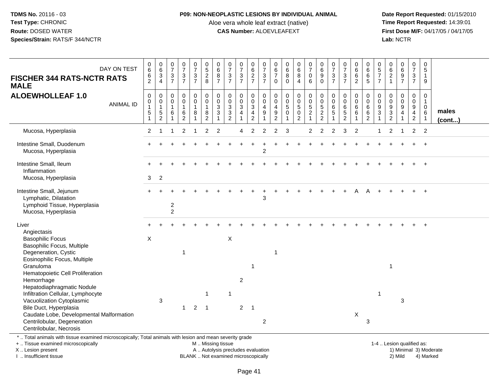## **P09: NON-NEOPLASTIC LESIONS BY INDIVIDUAL ANIMAL**

Aloe vera whole leaf extract (native)<br>**CAS Number:** ALOEVLEAFEXT

 **Date Report Requested:** 01/15/2010 **First Dose M/F:** 04/17/05 / 04/17/05<br>Lab: NCTR **Lab:** NCTR

| <b>FISCHER 344 RATS-NCTR RATS</b><br><b>MALE</b>                                                                                                                                                                                                                               | DAY ON TEST      | $_{6}^{\rm 0}$<br>6<br>$\overline{2}$                             | $_{6}^{\rm 0}$<br>3<br>$\overline{4}$                     | $\frac{0}{7}$<br>$\sqrt{3}$<br>$\overline{7}$ | $\begin{array}{c} 0 \\ 7 \end{array}$<br>$\frac{3}{7}$ | $\begin{array}{c} 0 \\ 7 \end{array}$<br>$\sqrt{3}$<br>$\overline{7}$ | $\begin{array}{c} 0 \\ 5 \end{array}$<br>$\overline{c}$<br>8          | $\pmb{0}$<br>$6\phantom{1}6$<br>$\, 8$<br>$\overline{7}$ | $\frac{0}{7}$<br>$\sqrt{3}$<br>$\overline{7}$                                | $\frac{0}{7}$<br>$\frac{3}{7}$                     | 0<br>$\overline{6}$<br>$\overline{c}$<br>$\overline{7}$                        | $\frac{0}{7}$<br>$\ensuremath{\mathsf{3}}$<br>$\overline{7}$ | $\begin{array}{c} 0 \\ 6 \end{array}$<br>$\overline{7}$<br>$\Omega$      | $\begin{array}{c} 0 \\ 6 \end{array}$<br>$\bf 8$<br>$\mathbf 0$ | $\begin{array}{c} 0 \\ 6 \end{array}$<br>$\bf 8$<br>$\overline{4}$          | $\begin{array}{c} 0 \\ 7 \end{array}$<br>$\mathbf 0$<br>6                              | $\pmb{0}$<br>$6\phantom{a}$<br>$\boldsymbol{9}$<br>$\Omega$                    | $\frac{0}{7}$<br>$\sqrt{3}$<br>$\overline{7}$ | $\frac{0}{7}$<br>$\sqrt{3}$<br>$\overline{7}$            | $_{6}^{\rm 0}$<br>$\,6\,$<br>$\overline{2}$ | $\begin{array}{c} 0 \\ 6 \end{array}$<br>$\,6\,$<br>5 | $\begin{array}{c} 0 \\ 5 \\ 7 \end{array}$<br>$\overline{7}$ | $\begin{array}{c} 0 \\ 6 \end{array}$<br>$\frac{2}{1}$                          | $\begin{array}{c} 0 \\ 6 \end{array}$<br>$\boldsymbol{9}$<br>$\overline{7}$ | $\pmb{0}$<br>$\overline{7}$<br>$\mathbf{3}$<br>$\overline{7}$                            | 0<br>5<br>$\mathbf 1$<br>9         |                 |
|--------------------------------------------------------------------------------------------------------------------------------------------------------------------------------------------------------------------------------------------------------------------------------|------------------|-------------------------------------------------------------------|-----------------------------------------------------------|-----------------------------------------------|--------------------------------------------------------|-----------------------------------------------------------------------|-----------------------------------------------------------------------|----------------------------------------------------------|------------------------------------------------------------------------------|----------------------------------------------------|--------------------------------------------------------------------------------|--------------------------------------------------------------|--------------------------------------------------------------------------|-----------------------------------------------------------------|-----------------------------------------------------------------------------|----------------------------------------------------------------------------------------|--------------------------------------------------------------------------------|-----------------------------------------------|----------------------------------------------------------|---------------------------------------------|-------------------------------------------------------|--------------------------------------------------------------|---------------------------------------------------------------------------------|-----------------------------------------------------------------------------|------------------------------------------------------------------------------------------|------------------------------------|-----------------|
| <b>ALOEWHOLLEAF 1.0</b>                                                                                                                                                                                                                                                        | <b>ANIMAL ID</b> | $\pmb{0}$<br>$\pmb{0}$<br>$\overline{1}$<br>$5\,$<br>$\mathbf{1}$ | $\mathbf 0$<br>0<br>$\overline{1}$<br>5<br>$\overline{2}$ | $\mathbf 0$<br>$\pmb{0}$<br>$\mathbf{1}$<br>6 | $\pmb{0}$<br>$\pmb{0}$<br>$\mathbf{1}$<br>$\,6\,$<br>2 | $\pmb{0}$<br>$\overline{0}$<br>$\mathbf{1}$<br>8<br>$\overline{1}$    | $\pmb{0}$<br>$\pmb{0}$<br>$\overline{1}$<br>$\bf 8$<br>$\overline{2}$ | $\pmb{0}$<br>$\mathbf 0$<br>3<br>3                       | $\mathbf 0$<br>$\pmb{0}$<br>$\overline{3}$<br>$\mathbf{3}$<br>$\overline{2}$ | 0<br>$\bar{0}$<br>$\overline{3}$<br>$\overline{4}$ | $\mathbf 0$<br>$\pmb{0}$<br>$\overline{3}$<br>$\overline{4}$<br>$\overline{2}$ | $\pmb{0}$<br>$\pmb{0}$<br>$\overline{4}$<br>$9\,$            | 0<br>$\mathbf 0$<br>$\overline{4}$<br>$\boldsymbol{9}$<br>$\overline{2}$ | $_{\rm 0}^{\rm 0}$<br>$\overline{5}$<br>$\mathbf 0$             | 0<br>$\mathsf{O}\xspace$<br>$\overline{5}$<br>$\mathbf 0$<br>$\overline{2}$ | $\mathbf 0$<br>$\ddot{\mathbf{0}}$<br>$\overline{5}$<br>$\overline{c}$<br>$\mathbf{1}$ | $\mathbf 0$<br>$\pmb{0}$<br>$\overline{5}$<br>$\overline{c}$<br>$\overline{2}$ | $\mathbf 0$<br>$\pmb{0}$<br>$\,6\,$<br>5      | 0<br>$\pmb{0}$<br>$6\overline{6}$<br>5<br>$\overline{2}$ | 0<br>$\pmb{0}$<br>$6\phantom{a}$<br>6       | $\mathsf 0$<br>$\mathbf 0$<br>$\,6\,$<br>$\,6$<br>2   | 0<br>$\pmb{0}$<br>$\boldsymbol{9}$<br>$\sqrt{3}$             | $\boldsymbol{0}$<br>$\pmb{0}$<br>$\overline{9}$<br>$\sqrt{3}$<br>$\overline{2}$ | 0<br>$\ddot{\mathbf{0}}$<br>$\overline{9}$<br>4<br>1                        | $\mathsf 0$<br>$\mathsf{O}\xspace$<br>$\overline{9}$<br>$\overline{4}$<br>$\overline{2}$ | 0<br>$\mathbf{1}$<br>$\Omega$<br>6 | males<br>(cont) |
| Mucosa, Hyperplasia                                                                                                                                                                                                                                                            |                  | $\overline{2}$                                                    |                                                           |                                               | $\overline{2}$                                         |                                                                       | $\overline{2}$                                                        | $\overline{2}$                                           |                                                                              | $\overline{4}$                                     | $\overline{2}$                                                                 | $\overline{2}$                                               | $\overline{2}$                                                           | 3                                                               |                                                                             | 2                                                                                      | 2                                                                              | $\mathfrak{p}$                                | 3                                                        | $\overline{2}$                              |                                                       | 1                                                            | $\overline{2}$                                                                  | -1                                                                          | $\overline{c}$                                                                           | $\overline{2}$                     |                 |
| Intestine Small, Duodenum<br>Mucosa, Hyperplasia                                                                                                                                                                                                                               |                  |                                                                   |                                                           |                                               |                                                        |                                                                       |                                                                       |                                                          |                                                                              |                                                    |                                                                                | $\overline{c}$                                               |                                                                          |                                                                 |                                                                             |                                                                                        |                                                                                |                                               |                                                          |                                             |                                                       |                                                              |                                                                                 |                                                                             |                                                                                          |                                    |                 |
| Intestine Small, Ileum<br>Inflammation<br>Mucosa, Hyperplasia                                                                                                                                                                                                                  |                  | 3                                                                 | $\overline{2}$                                            |                                               |                                                        |                                                                       |                                                                       |                                                          |                                                                              |                                                    |                                                                                |                                                              |                                                                          |                                                                 |                                                                             |                                                                                        |                                                                                |                                               |                                                          |                                             |                                                       |                                                              |                                                                                 |                                                                             |                                                                                          |                                    |                 |
| Intestine Small, Jejunum<br>Lymphatic, Dilatation<br>Lymphoid Tissue, Hyperplasia<br>Mucosa, Hyperplasia                                                                                                                                                                       |                  |                                                                   |                                                           | $\overline{c}$<br>$\overline{c}$              |                                                        |                                                                       |                                                                       |                                                          |                                                                              |                                                    |                                                                                | 3                                                            |                                                                          |                                                                 |                                                                             |                                                                                        |                                                                                |                                               |                                                          |                                             |                                                       |                                                              |                                                                                 |                                                                             |                                                                                          | $\ddot{+}$                         |                 |
| Liver<br>Angiectasis<br><b>Basophilic Focus</b><br>Basophilic Focus, Multiple<br>Degeneration, Cystic<br>Eosinophilic Focus, Multiple<br>Granuloma                                                                                                                             |                  | $\mathsf{X}$                                                      |                                                           |                                               | $\overline{1}$                                         |                                                                       |                                                                       |                                                          | $\mathsf X$                                                                  |                                                    | -1                                                                             |                                                              | $\overline{1}$                                                           |                                                                 |                                                                             |                                                                                        |                                                                                |                                               |                                                          |                                             |                                                       |                                                              | $\mathbf{1}$                                                                    |                                                                             |                                                                                          |                                    |                 |
| Hematopoietic Cell Proliferation<br>Hemorrhage<br>Hepatodiaphragmatic Nodule<br>Infiltration Cellular, Lymphocyte<br>Vacuolization Cytoplasmic<br>Bile Duct, Hyperplasia<br>Caudate Lobe, Developmental Malformation<br>Centrilobular, Degeneration<br>Centrilobular, Necrosis |                  |                                                                   | 3                                                         |                                               | $\mathbf 1$                                            | $\overline{2}$                                                        | $\overline{1}$<br>$\overline{1}$                                      |                                                          | -1                                                                           | $\overline{c}$<br>$\overline{2}$                   | $\overline{1}$                                                                 | $\overline{2}$                                               |                                                                          |                                                                 |                                                                             |                                                                                        |                                                                                |                                               |                                                          | X                                           | 3                                                     | $\overline{1}$                                               |                                                                                 | 3                                                                           |                                                                                          |                                    |                 |
| *  Total animals with tissue examined microscopically; Total animals with lesion and mean severity grade<br>+  Tissue examined microscopically                                                                                                                                 |                  |                                                                   |                                                           |                                               |                                                        |                                                                       | M  Missing tissue                                                     |                                                          |                                                                              |                                                    |                                                                                |                                                              |                                                                          |                                                                 |                                                                             |                                                                                        |                                                                                |                                               |                                                          |                                             |                                                       |                                                              | 1-4  Lesion qualified as:                                                       |                                                                             |                                                                                          |                                    |                 |

X .. Lesion present

I .. Insufficient tissue

BLANK .. Not examined microscopically and the state of the 2) Mild

A .. Autolysis precludes evaluation and the service of the service of the service of the service of the service of the service of the service of the service of the service of the service of the service of the service of th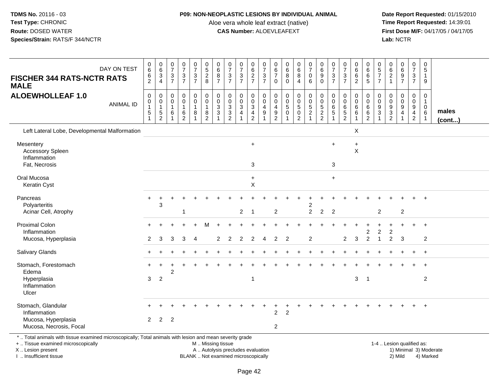#### **P09: NON-NEOPLASTIC LESIONS BY INDIVIDUAL ANIMAL**

Aloe vera whole leaf extract (native)<br>**CAS Number:** ALOEVLEAFEXT

 **Date Report Requested:** 01/15/2010 **First Dose M/F:** 04/17/05 / 04/17/05 Lab: NCTR **Lab:** NCTR

| DAY ON TEST<br><b>FISCHER 344 RATS-NCTR RATS</b><br><b>MALE</b>                                                                                | $\pmb{0}$<br>$6\overline{6}$<br>$\,6$<br>$\overline{2}$                       | $\begin{array}{c} 0 \\ 6 \end{array}$<br>$\overline{3}$<br>$\overline{4}$ | $\begin{array}{c} 0 \\ 7 \end{array}$<br>$\ensuremath{\mathsf{3}}$<br>$\overline{7}$ | $\frac{0}{7}$<br>$\frac{3}{7}$                                      | $\begin{array}{c} 0 \\ 7 \end{array}$<br>$\frac{3}{7}$        | $\begin{array}{c} 0 \\ 5 \end{array}$<br>$\overline{2}$<br>8        | $\pmb{0}$<br>6<br>$\bf 8$<br>$\overline{7}$ | $\frac{0}{7}$<br>$\frac{3}{7}$                 | $\frac{0}{7}$<br>$\frac{3}{7}$                               | $_{6}^{\rm 0}$<br>$\frac{2}{7}$      | $\frac{0}{7}$<br>$\ensuremath{\mathsf{3}}$<br>$\overline{7}$ | $\begin{array}{c} 0 \\ 6 \end{array}$<br>$\overline{7}$<br>$\mathbf 0$        | $\begin{array}{c} 0 \\ 6 \end{array}$<br>$\overline{8}$<br>$\Omega$       | $\begin{array}{c} 0 \\ 6 \end{array}$<br>$\overline{8}$<br>$\overline{4}$ | $\frac{0}{7}$<br>$\boldsymbol{0}$<br>6                          | $_{6}^{\rm 0}$<br>$\overline{9}$<br>$\mathbf 0$                   | $\pmb{0}$<br>$\overline{7}$<br>$\ensuremath{\mathsf{3}}$<br>$\overline{7}$ | $\frac{0}{7}$<br>$\frac{3}{7}$                                                 | $\begin{array}{c} 0 \\ 6 \end{array}$<br>$6\phantom{a}$<br>$\overline{c}$ | $\pmb{0}$<br>$6\overline{6}$<br>$6\phantom{1}6$<br>$\overline{5}$ | $\begin{array}{c} 0 \\ 5 \end{array}$<br>$\overline{7}$<br>$\overline{7}$ | $_{6}^{\rm 0}$<br>$\frac{2}{1}$ | 0697                                       | $\begin{array}{c} 0 \\ 7 \end{array}$<br>$\mathbf{3}$<br>$\overline{7}$ | $\boldsymbol{0}$<br>$\overline{5}$<br>$\mathbf{1}$<br>9 |                 |
|------------------------------------------------------------------------------------------------------------------------------------------------|-------------------------------------------------------------------------------|---------------------------------------------------------------------------|--------------------------------------------------------------------------------------|---------------------------------------------------------------------|---------------------------------------------------------------|---------------------------------------------------------------------|---------------------------------------------|------------------------------------------------|--------------------------------------------------------------|--------------------------------------|--------------------------------------------------------------|-------------------------------------------------------------------------------|---------------------------------------------------------------------------|---------------------------------------------------------------------------|-----------------------------------------------------------------|-------------------------------------------------------------------|----------------------------------------------------------------------------|--------------------------------------------------------------------------------|---------------------------------------------------------------------------|-------------------------------------------------------------------|---------------------------------------------------------------------------|---------------------------------|--------------------------------------------|-------------------------------------------------------------------------|---------------------------------------------------------|-----------------|
| <b>ALOEWHOLLEAF 1.0</b><br><b>ANIMAL ID</b>                                                                                                    | 0<br>$\begin{smallmatrix}0\\1\end{smallmatrix}$<br>$\sqrt{5}$<br>$\mathbf{1}$ | 0<br>$\boldsymbol{0}$<br>$\mathbf{1}$<br>5<br>$\overline{2}$              | 0<br>$\pmb{0}$<br>$\mathbf{1}$<br>6<br>$\mathbf{1}$                                  | $\pmb{0}$<br>$\pmb{0}$<br>$\mathbf{1}$<br>$\,6\,$<br>$\overline{2}$ | $\pmb{0}$<br>$\pmb{0}$<br>$\mathbf{1}$<br>8<br>$\overline{1}$ | $\pmb{0}$<br>$\pmb{0}$<br>$\mathbf{1}$<br>$\bf 8$<br>$\overline{2}$ | 0<br>$\mathbf 0$<br>$\mathbf{3}$<br>3       | $\mathbf 0$<br>$\frac{0}{3}$<br>$\overline{2}$ | $\mathbf 0$<br>$\pmb{0}$<br>$\overline{3}$<br>$\overline{4}$ | 0<br>$\frac{0}{3}$<br>$\overline{2}$ | $\mathbf 0$<br>$\mathsf 0$<br>4<br>$\boldsymbol{9}$          | 0<br>$\boldsymbol{0}$<br>$\overline{4}$<br>$\boldsymbol{9}$<br>$\overline{2}$ | $\mathbf 0$<br>$\mathbf 0$<br>$\sqrt{5}$<br>$\mathbf 0$<br>$\overline{1}$ | 0<br>$\begin{matrix}0\\5\end{matrix}$<br>0<br>$\overline{2}$              | $\begin{array}{c} 0 \\ 0 \\ 5 \\ 2 \end{array}$<br>$\mathbf{1}$ | 0<br>$\begin{array}{c} 0 \\ 5 \\ 2 \end{array}$<br>$\overline{2}$ | 0<br>0<br>6<br>5<br>$\overline{1}$                                         | $\mathbf 0$<br>$\pmb{0}$<br>$6\phantom{a}$<br>$\overline{5}$<br>$\overline{2}$ | 0<br>$_{6}^{\rm 0}$<br>$\,6\,$<br>$\overline{1}$                          | 0<br>$\mathbf 0$<br>6<br>$\,6\,$<br>$\overline{2}$                | $\mathbf 0$<br>$\mathbf 0$<br>9<br>3                                      | 0<br>$\pmb{0}$<br>$\frac{9}{3}$ | 0<br>$\mathsf{O}$<br>$\boldsymbol{9}$<br>4 | $\pmb{0}$<br>$_{9}^{\rm o}$<br>$\overline{4}$<br>$\overline{2}$         | 0<br>$\mathbf{1}$<br>$\mathbf 0$<br>6<br>$\overline{1}$ | males<br>(cont) |
| Left Lateral Lobe, Developmental Malformation                                                                                                  |                                                                               |                                                                           |                                                                                      |                                                                     |                                                               |                                                                     |                                             |                                                |                                                              |                                      |                                                              |                                                                               |                                                                           |                                                                           |                                                                 |                                                                   |                                                                            |                                                                                | X                                                                         |                                                                   |                                                                           |                                 |                                            |                                                                         |                                                         |                 |
| Mesentery<br><b>Accessory Spleen</b><br>Inflammation                                                                                           |                                                                               |                                                                           |                                                                                      |                                                                     |                                                               |                                                                     |                                             |                                                |                                                              | $\ddot{}$                            |                                                              |                                                                               |                                                                           |                                                                           |                                                                 |                                                                   | $+$                                                                        |                                                                                | $\ddot{}$<br>$\times$                                                     |                                                                   |                                                                           |                                 |                                            |                                                                         |                                                         |                 |
| Fat, Necrosis                                                                                                                                  |                                                                               |                                                                           |                                                                                      |                                                                     |                                                               |                                                                     |                                             |                                                |                                                              | 3                                    |                                                              |                                                                               |                                                                           |                                                                           |                                                                 |                                                                   | $\sqrt{3}$                                                                 |                                                                                |                                                                           |                                                                   |                                                                           |                                 |                                            |                                                                         |                                                         |                 |
| Oral Mucosa<br>Keratin Cyst                                                                                                                    |                                                                               |                                                                           |                                                                                      |                                                                     |                                                               |                                                                     |                                             |                                                |                                                              | $\ddot{}$<br>X                       |                                                              |                                                                               |                                                                           |                                                                           |                                                                 |                                                                   | $+$                                                                        |                                                                                |                                                                           |                                                                   |                                                                           |                                 |                                            |                                                                         |                                                         |                 |
| Pancreas<br>Polyarteritis<br>Acinar Cell, Atrophy                                                                                              |                                                                               | 3                                                                         |                                                                                      |                                                                     |                                                               |                                                                     |                                             |                                                | $\overline{2}$                                               | -1                                   |                                                              | $\overline{2}$                                                                |                                                                           |                                                                           | $\overline{c}$<br>$\overline{2}$                                | $\overline{2}$                                                    | $\overline{2}$                                                             |                                                                                |                                                                           |                                                                   | $\overline{c}$                                                            |                                 | $\overline{2}$                             |                                                                         |                                                         |                 |
| <b>Proximal Colon</b><br>Inflammation<br>Mucosa, Hyperplasia                                                                                   | 2                                                                             | 3                                                                         | з                                                                                    | 3                                                                   | Δ                                                             |                                                                     | 2                                           | 2                                              | $\mathcal{P}$                                                | 2                                    | Δ                                                            | 2                                                                             | $\mathcal{P}$                                                             |                                                                           | 2                                                               |                                                                   |                                                                            | 2                                                                              | 3                                                                         | 2                                                                 | $\overline{c}$<br>$\mathbf{1}$                                            | 2<br>2                          | 3                                          | $+$                                                                     | $\overline{1}$<br>2                                     |                 |
| Salivary Glands                                                                                                                                |                                                                               |                                                                           |                                                                                      |                                                                     |                                                               |                                                                     |                                             |                                                |                                                              |                                      |                                                              |                                                                               |                                                                           |                                                                           |                                                                 |                                                                   |                                                                            |                                                                                |                                                                           |                                                                   |                                                                           |                                 |                                            |                                                                         | $^{+}$                                                  |                 |
| Stomach, Forestomach<br>Edema                                                                                                                  |                                                                               |                                                                           | 2                                                                                    |                                                                     |                                                               |                                                                     |                                             |                                                |                                                              |                                      |                                                              |                                                                               |                                                                           |                                                                           |                                                                 |                                                                   |                                                                            |                                                                                |                                                                           |                                                                   |                                                                           |                                 |                                            |                                                                         |                                                         |                 |
| Hyperplasia<br>Inflammation<br>Ulcer                                                                                                           | 3                                                                             | $\overline{2}$                                                            |                                                                                      |                                                                     |                                                               |                                                                     |                                             |                                                |                                                              | $\mathbf 1$                          |                                                              |                                                                               |                                                                           |                                                                           |                                                                 |                                                                   |                                                                            |                                                                                | 3                                                                         | $\overline{1}$                                                    |                                                                           |                                 |                                            |                                                                         | $\overline{2}$                                          |                 |
| Stomach, Glandular<br>Inflammation                                                                                                             |                                                                               |                                                                           |                                                                                      |                                                                     |                                                               |                                                                     |                                             |                                                |                                                              |                                      |                                                              | $\overline{c}$                                                                | $\overline{2}$                                                            |                                                                           |                                                                 |                                                                   |                                                                            |                                                                                |                                                                           |                                                                   |                                                                           |                                 |                                            |                                                                         | $+$                                                     |                 |
| Mucosa, Hyperplasia<br>Mucosa, Necrosis, Focal                                                                                                 | $\overline{2}$                                                                | $\overline{2}$                                                            | $\overline{2}$                                                                       |                                                                     |                                                               |                                                                     |                                             |                                                |                                                              |                                      |                                                              | $\overline{2}$                                                                |                                                                           |                                                                           |                                                                 |                                                                   |                                                                            |                                                                                |                                                                           |                                                                   |                                                                           |                                 |                                            |                                                                         |                                                         |                 |
| *  Total animals with tissue examined microscopically; Total animals with lesion and mean severity grade<br>+  Tissue examined microscopically |                                                                               |                                                                           |                                                                                      |                                                                     |                                                               | M  Missing tissue                                                   |                                             |                                                |                                                              |                                      |                                                              |                                                                               |                                                                           |                                                                           |                                                                 |                                                                   |                                                                            |                                                                                |                                                                           |                                                                   |                                                                           | 1-4  Lesion qualified as:       |                                            |                                                                         |                                                         |                 |

X .. Lesion present

I .. Insufficient tissue

 M .. Missing tissueA .. Autolysis precludes evaluation

BLANK .. Not examined microscopically 2) Mild 4) Marked

1-4 .. Lesion qualified as:<br>1) Minimal 3) Moderate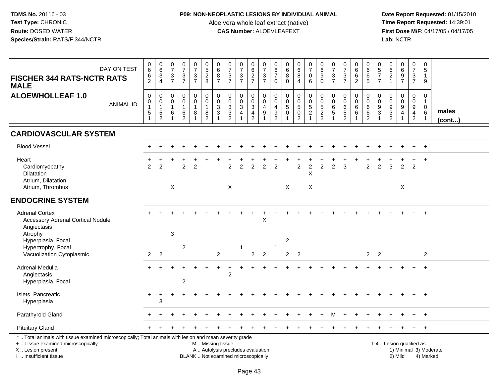# **P09: NON-NEOPLASTIC LESIONS BY INDIVIDUAL ANIMAL**

Aloe vera whole leaf extract (native)<br>**CAS Number:** ALOEVLEAFEXT

| DAY ON TEST<br><b>FISCHER 344 RATS-NCTR RATS</b><br><b>MALE</b>                                                                                                                               | $\begin{array}{c} 0 \\ 6 \end{array}$<br>6<br>2      | $\begin{array}{c} 0 \\ 6 \end{array}$<br>$\sqrt{3}$<br>$\overline{4}$          | $\frac{0}{7}$<br>$\ensuremath{\mathsf{3}}$<br>$\overline{7}$            | $\frac{0}{7}$<br>$\frac{3}{7}$                                  | $\begin{smallmatrix}0\\7\end{smallmatrix}$<br>$\mathbf{3}$<br>$\overline{7}$      | $\begin{array}{c} 0 \\ 5 \end{array}$<br>$\frac{2}{8}$     | $\begin{array}{c} 0 \\ 6 \end{array}$<br>$\,8\,$<br>$\overline{7}$                     | $\frac{0}{7}$<br>$\frac{3}{7}$                                             | $\frac{0}{7}$<br>$\frac{3}{7}$                                  | 0<br>$\overline{6}$<br>$\frac{2}{7}$                                                           | $\frac{0}{7}$<br>$\ensuremath{\mathsf{3}}$<br>$\overline{7}$ | $_{6}^{\rm 0}$<br>$\overline{7}$<br>$\mathbf 0$ | $\begin{array}{c} 0 \\ 6 \end{array}$<br>$\bf 8$<br>$\Omega$ | $\begin{array}{c} 0 \\ 6 \end{array}$<br>$\bf 8$<br>$\overline{4}$                            | $\begin{array}{c} 0 \\ 7 \end{array}$<br>$\mathbf 0$<br>6 | $\begin{array}{c} 0 \\ 6 \end{array}$<br>$\boldsymbol{9}$<br>$\Omega$ | $\frac{0}{7}$<br>$\ensuremath{\mathsf{3}}$<br>$\overline{7}$        | $\frac{0}{7}$<br>$\mathsf 3$<br>$\overline{7}$         | $_{6}^{\rm 0}$<br>$\,6\,$<br>$\overline{2}$                                        | $\mathbf 0$<br>$\overline{6}$<br>$\frac{6}{5}$                          | $\begin{array}{c} 0 \\ 5 \\ 7 \end{array}$<br>$\overline{7}$                   | $\begin{array}{c} 0 \\ 6 \end{array}$<br>$\sqrt{2}$<br>$\mathbf{1}$ | $\begin{array}{c} 0 \\ 6 \end{array}$<br>$\boldsymbol{9}$<br>$\overline{7}$ | $\begin{array}{c} 0 \\ 7 \end{array}$<br>$\mathbf{3}$<br>$\overline{7}$             | 0<br>5<br>$\mathbf{1}$<br>9                |                        |
|-----------------------------------------------------------------------------------------------------------------------------------------------------------------------------------------------|------------------------------------------------------|--------------------------------------------------------------------------------|-------------------------------------------------------------------------|-----------------------------------------------------------------|-----------------------------------------------------------------------------------|------------------------------------------------------------|----------------------------------------------------------------------------------------|----------------------------------------------------------------------------|-----------------------------------------------------------------|------------------------------------------------------------------------------------------------|--------------------------------------------------------------|-------------------------------------------------|--------------------------------------------------------------|-----------------------------------------------------------------------------------------------|-----------------------------------------------------------|-----------------------------------------------------------------------|---------------------------------------------------------------------|--------------------------------------------------------|------------------------------------------------------------------------------------|-------------------------------------------------------------------------|--------------------------------------------------------------------------------|---------------------------------------------------------------------|-----------------------------------------------------------------------------|-------------------------------------------------------------------------------------|--------------------------------------------|------------------------|
| <b>ALOEWHOLLEAF 1.0</b><br><b>ANIMAL ID</b>                                                                                                                                                   | $\mathbf 0$<br>$\pmb{0}$<br>$\overline{1}$<br>5<br>1 | $\mathbf 0$<br>$\mathbf 0$<br>$\mathbf{1}$<br>$\overline{5}$<br>$\overline{c}$ | $\mathsf{O}\xspace$<br>$\mathbf 0$<br>$\mathbf{1}$<br>6<br>$\mathbf{1}$ | 0<br>$\ddot{\mathbf{0}}$<br>$\mathbf{1}$<br>6<br>$\overline{2}$ | $\begin{smallmatrix} 0\\0 \end{smallmatrix}$<br>$\mathbf{1}$<br>8<br>$\mathbf{1}$ | 0<br>$\overline{0}$<br>$\mathbf{1}$<br>8<br>$\overline{2}$ | $\mathbf 0$<br>$\pmb{0}$<br>$\ensuremath{\mathsf{3}}$<br>$\mathbf 3$<br>$\overline{1}$ | $\mathbf 0$<br>$\mathbf 0$<br>$\sqrt{3}$<br>$\mathbf{3}$<br>$\overline{2}$ | 0<br>$\ddot{\mathbf{0}}$<br>$\ensuremath{\mathsf{3}}$<br>4<br>1 | $\mathbf 0$<br>$\overline{0}$<br>$\ensuremath{\mathsf{3}}$<br>$\overline{4}$<br>$\overline{2}$ | 0<br>$\mathbf 0$<br>$\overline{4}$<br>9<br>1                 | 0<br>0<br>$\overline{4}$<br>$\frac{9}{2}$       | 0<br>$\overline{0}$<br>$\mathbf 5$<br>$\pmb{0}$              | $\begin{smallmatrix} 0\\0 \end{smallmatrix}$<br>$\overline{5}$ <sup>0</sup><br>$\overline{2}$ | $\boldsymbol{0}$<br>$\overline{0}$<br>$\frac{5}{2}$       | $\mathbf 0$<br>$\mathbf 0$<br>5<br>$\boldsymbol{2}$<br>$\overline{2}$ | $\mathbf 0$<br>$\mathbf 0$<br>$\,6\,$<br>$\sqrt{5}$<br>$\mathbf{1}$ | 0<br>$\overline{0}$<br>$\frac{6}{5}$<br>$\overline{2}$ | $\pmb{0}$<br>$\overline{0}$<br>$\begin{matrix} 6 \\ 6 \end{matrix}$<br>$\mathbf 1$ | 0<br>$\ddot{\mathbf{0}}$<br>$6\phantom{1}$<br>$\,6\,$<br>$\overline{2}$ | $\mathbf 0$<br>$\mathbf 0$<br>$\boldsymbol{9}$<br>$\sqrt{3}$<br>$\overline{1}$ | $\mathbf 0$<br>$\mathsf{O}\xspace$<br>$\frac{9}{3}$                 | $\mathbf 0$<br>$\overline{0}$<br>$\boldsymbol{9}$<br>$\overline{4}$<br>1    | $\pmb{0}$<br>$\overline{0}$<br>$\boldsymbol{9}$<br>$\overline{4}$<br>$\overline{2}$ | 0<br>$\mathbf{1}$<br>$\mathbf 0$<br>6<br>1 | males<br>(cont)        |
| <b>CARDIOVASCULAR SYSTEM</b>                                                                                                                                                                  |                                                      |                                                                                |                                                                         |                                                                 |                                                                                   |                                                            |                                                                                        |                                                                            |                                                                 |                                                                                                |                                                              |                                                 |                                                              |                                                                                               |                                                           |                                                                       |                                                                     |                                                        |                                                                                    |                                                                         |                                                                                |                                                                     |                                                                             |                                                                                     |                                            |                        |
| <b>Blood Vessel</b>                                                                                                                                                                           |                                                      |                                                                                |                                                                         |                                                                 |                                                                                   |                                                            |                                                                                        |                                                                            |                                                                 |                                                                                                |                                                              |                                                 |                                                              |                                                                                               |                                                           |                                                                       |                                                                     |                                                        |                                                                                    |                                                                         |                                                                                |                                                                     |                                                                             |                                                                                     |                                            |                        |
| Heart<br>Cardiomyopathy<br>Dilatation<br>Atrium, Dilatation                                                                                                                                   | $\mathfrak{p}$                                       | $\mathfrak{p}$                                                                 |                                                                         | $\overline{2}$                                                  | $\overline{2}$                                                                    |                                                            |                                                                                        | $\overline{2}$                                                             | $\overline{2}$                                                  | $\overline{2}$                                                                                 | $\overline{2}$                                               | $\overline{2}$                                  |                                                              | $\overline{2}$                                                                                | $\overline{c}$<br>X                                       | $\overline{2}$                                                        | $\overline{2}$                                                      | 3                                                      |                                                                                    | $\overline{2}$                                                          | $\overline{2}$                                                                 | 3                                                                   | $\overline{2}$                                                              | $\overline{2}$                                                                      | $\ddot{}$                                  |                        |
| Atrium, Thrombus                                                                                                                                                                              |                                                      |                                                                                | $\mathsf{X}$                                                            |                                                                 |                                                                                   |                                                            |                                                                                        | X                                                                          |                                                                 |                                                                                                |                                                              |                                                 | $\times$                                                     |                                                                                               | X                                                         |                                                                       |                                                                     |                                                        |                                                                                    |                                                                         |                                                                                |                                                                     | $\times$                                                                    |                                                                                     |                                            |                        |
| <b>ENDOCRINE SYSTEM</b>                                                                                                                                                                       |                                                      |                                                                                |                                                                         |                                                                 |                                                                                   |                                                            |                                                                                        |                                                                            |                                                                 |                                                                                                |                                                              |                                                 |                                                              |                                                                                               |                                                           |                                                                       |                                                                     |                                                        |                                                                                    |                                                                         |                                                                                |                                                                     |                                                                             |                                                                                     |                                            |                        |
| <b>Adrenal Cortex</b><br><b>Accessory Adrenal Cortical Nodule</b><br>Angiectasis                                                                                                              |                                                      |                                                                                |                                                                         |                                                                 |                                                                                   |                                                            |                                                                                        |                                                                            |                                                                 |                                                                                                | X                                                            |                                                 |                                                              |                                                                                               |                                                           |                                                                       |                                                                     |                                                        |                                                                                    |                                                                         |                                                                                |                                                                     |                                                                             |                                                                                     | $\overline{+}$                             |                        |
| Atrophy<br>Hyperplasia, Focal<br>Hypertrophy, Focal                                                                                                                                           |                                                      |                                                                                | $\sqrt{3}$                                                              | $\overline{c}$                                                  |                                                                                   |                                                            |                                                                                        |                                                                            | 1                                                               |                                                                                                |                                                              | $\mathbf 1$                                     | 2                                                            |                                                                                               |                                                           |                                                                       |                                                                     |                                                        |                                                                                    |                                                                         |                                                                                |                                                                     |                                                                             |                                                                                     |                                            |                        |
| Vacuolization Cytoplasmic                                                                                                                                                                     | $\overline{2}$                                       | $\overline{2}$                                                                 |                                                                         |                                                                 |                                                                                   |                                                            | 2                                                                                      |                                                                            |                                                                 | $\overline{2}$                                                                                 | $\overline{2}$                                               |                                                 | $\overline{2}$                                               | $\overline{2}$                                                                                |                                                           |                                                                       |                                                                     |                                                        |                                                                                    | $\overline{2}$                                                          | $\overline{2}$                                                                 |                                                                     |                                                                             |                                                                                     | $\overline{2}$                             |                        |
| Adrenal Medulla<br>Angiectasis<br>Hyperplasia, Focal                                                                                                                                          |                                                      |                                                                                |                                                                         | $\overline{c}$                                                  |                                                                                   |                                                            |                                                                                        | $\overline{2}$                                                             |                                                                 |                                                                                                |                                                              |                                                 |                                                              |                                                                                               |                                                           |                                                                       |                                                                     |                                                        |                                                                                    |                                                                         |                                                                                |                                                                     |                                                                             |                                                                                     | $\ddot{}$                                  |                        |
| Islets, Pancreatic<br>Hyperplasia                                                                                                                                                             | $\ddot{}$                                            | $\ddot{}$<br>3                                                                 |                                                                         |                                                                 |                                                                                   |                                                            |                                                                                        |                                                                            |                                                                 |                                                                                                |                                                              |                                                 |                                                              |                                                                                               |                                                           |                                                                       |                                                                     |                                                        |                                                                                    |                                                                         |                                                                                |                                                                     |                                                                             |                                                                                     | $\ddot{}$                                  |                        |
| Parathyroid Gland                                                                                                                                                                             |                                                      |                                                                                |                                                                         |                                                                 |                                                                                   |                                                            |                                                                                        |                                                                            |                                                                 |                                                                                                |                                                              |                                                 |                                                              |                                                                                               |                                                           |                                                                       |                                                                     |                                                        |                                                                                    |                                                                         |                                                                                |                                                                     |                                                                             |                                                                                     |                                            |                        |
| <b>Pituitary Gland</b>                                                                                                                                                                        |                                                      |                                                                                |                                                                         |                                                                 |                                                                                   |                                                            |                                                                                        |                                                                            |                                                                 |                                                                                                |                                                              |                                                 |                                                              |                                                                                               |                                                           |                                                                       |                                                                     |                                                        |                                                                                    |                                                                         |                                                                                |                                                                     |                                                                             |                                                                                     | $\ddot{}$                                  |                        |
| *  Total animals with tissue examined microscopically; Total animals with lesion and mean severity grade<br>+  Tissue examined microscopically<br>X  Lesion present<br>I  Insufficient tissue |                                                      |                                                                                |                                                                         |                                                                 |                                                                                   | M  Missing tissue                                          |                                                                                        | A  Autolysis precludes evaluation<br>BLANK  Not examined microscopically   |                                                                 |                                                                                                |                                                              |                                                 |                                                              |                                                                                               |                                                           |                                                                       |                                                                     |                                                        |                                                                                    |                                                                         |                                                                                |                                                                     | 1-4  Lesion qualified as:<br>2) Mild                                        |                                                                                     | 4) Marked                                  | 1) Minimal 3) Moderate |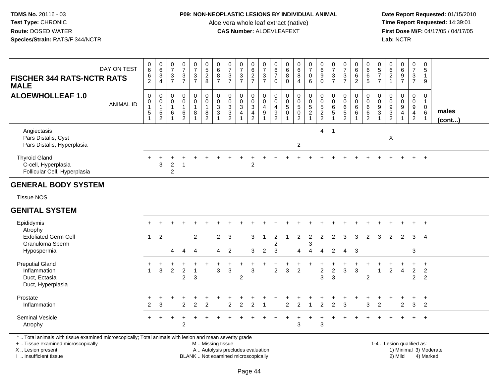### **P09: NON-NEOPLASTIC LESIONS BY INDIVIDUAL ANIMAL**

Aloe vera whole leaf extract (native)<br>**CAS Number:** ALOEVLEAFEXT

 **Date Report Requested:** 01/15/2010 **First Dose M/F:** 04/17/05 / 04/17/05<br>Lab: NCTR **Lab:** NCTR

| <b>FISCHER 344 RATS-NCTR RATS</b><br><b>MALE</b>                                                         | DAY ON TEST      | $\,0\,$<br>6<br>6<br>$\overline{c}$                                         | $\begin{array}{c} 0 \\ 6 \end{array}$<br>$\mathsf 3$<br>$\overline{4}$ | $\begin{array}{c} 0 \\ 7 \end{array}$<br>$\ensuremath{\mathsf{3}}$<br>$\overline{7}$ | $\frac{0}{7}$<br>$\ensuremath{\mathsf{3}}$<br>$\overline{7}$ | $\begin{array}{c} 0 \\ 7 \end{array}$<br>$\ensuremath{\mathsf{3}}$<br>$\overline{7}$ | $\begin{array}{c} 0 \\ 5 \\ 2 \end{array}$<br>8             | $\pmb{0}$<br>$\,6\,$<br>8<br>$\overline{7}$                | $\begin{array}{c} 0 \\ 7 \end{array}$<br>$\ensuremath{\mathsf{3}}$<br>$\overline{7}$ | $\begin{matrix}0\\7\end{matrix}$<br>$\frac{3}{7}$ | 0627                                 | $\begin{array}{c} 0 \\ 7 \\ 3 \end{array}$<br>$\overline{7}$ | $\pmb{0}$<br>$\frac{6}{7}$<br>$\Omega$              | $\begin{array}{c} 0 \\ 6 \end{array}$<br>8<br>$\Omega$ | $\begin{matrix} 0 \\ 6 \\ 8 \end{matrix}$<br>$\overline{4}$                         | $\frac{0}{7}$<br>$\mathbf 0$<br>6                                  | $\begin{smallmatrix}0\0\0\end{smallmatrix}$<br>9<br>$\mathbf 0$ | $\begin{array}{c} 0 \\ 7 \end{array}$<br>$\ensuremath{\mathsf{3}}$<br>$\overline{7}$ | $\frac{0}{7}$<br>$\ensuremath{\mathsf{3}}$<br>$\overline{7}$ | $066$<br>06                                           | 0<br>$\,6\,$<br>$\,6\,$<br>$\sqrt{5}$            | $\pmb{0}$<br>$\frac{5}{7}$<br>$\overline{7}$   | $\begin{array}{c} 0 \\ 6 \end{array}$<br>$\sqrt{2}$<br>$\mathbf{1}$ | 0697                                    | $\begin{array}{c} 0 \\ 7 \\ 3 \end{array}$<br>$\overline{7}$ | $\pmb{0}$<br>$\,$ 5 $\,$<br>$\mathbf{1}$<br>9 |                 |
|----------------------------------------------------------------------------------------------------------|------------------|-----------------------------------------------------------------------------|------------------------------------------------------------------------|--------------------------------------------------------------------------------------|--------------------------------------------------------------|--------------------------------------------------------------------------------------|-------------------------------------------------------------|------------------------------------------------------------|--------------------------------------------------------------------------------------|---------------------------------------------------|--------------------------------------|--------------------------------------------------------------|-----------------------------------------------------|--------------------------------------------------------|-------------------------------------------------------------------------------------|--------------------------------------------------------------------|-----------------------------------------------------------------|--------------------------------------------------------------------------------------|--------------------------------------------------------------|-------------------------------------------------------|--------------------------------------------------|------------------------------------------------|---------------------------------------------------------------------|-----------------------------------------|--------------------------------------------------------------|-----------------------------------------------|-----------------|
| <b>ALOEWHOLLEAF 1.0</b>                                                                                  | <b>ANIMAL ID</b> | $\mathbf 0$<br>$\mathbf 0$<br>$\mathbf{1}$<br>$\mathbf 5$<br>$\overline{1}$ | 0<br>$\pmb{0}$<br>$\mathbf{1}$<br>$\,$ 5 $\,$<br>$\overline{2}$        | 0<br>0<br>$\mathbf{1}$<br>6                                                          | 0<br>0<br>$\mathbf{1}$<br>$\frac{6}{2}$                      | $\mathbf 0$<br>$\mathbf 0$<br>$\overline{1}$<br>8                                    | $\mathbf 0$<br>$\pmb{0}$<br>$\overline{1}$<br>$\frac{8}{2}$ | $\mathbf 0$<br>$\mathbf 0$<br>$\mathbf{3}$<br>$\mathbf{3}$ | $\pmb{0}$<br>$\mathbf 0$<br>$\overline{3}$<br>$\frac{3}{2}$                          | 0<br>$_3^0$<br>4                                  | 0<br>$_{3}^{\rm 0}$<br>$\frac{4}{2}$ | 0<br>$\pmb{0}$<br>$\overline{4}$<br>$\boldsymbol{9}$         | 0<br>$\mathbf 0$<br>$\overline{4}$<br>$\frac{9}{2}$ | 0<br>$\mathbf 0$<br>$\sqrt{5}$<br>0                    | 0<br>$\ddot{\mathbf{0}}$<br>$\overline{5}$<br>$\mathsf{O}\xspace$<br>$\overline{2}$ | $\boldsymbol{0}$<br>$\mathbf 0$<br>$\overline{5}$<br>$\frac{2}{1}$ | 0<br>$\mathsf{O}$<br>$\frac{5}{2}$                              | 0<br>0<br>6<br>$\overline{5}$                                                        | $\mathbf 0$<br>$\pmb{0}$<br>$\overline{6}$<br>$\frac{5}{2}$  | $\mathbf 0$<br>$\mathbf 0$<br>$\overline{6}$<br>$\,6$ | 0<br>$\mathbf 0$<br>6<br>$\,6$<br>$\overline{2}$ | 0<br>$\mathbf 0$<br>$9\,$<br>3<br>$\mathbf{1}$ | 0<br>$\mathbf 0$<br>$\boldsymbol{9}$<br>$\frac{3}{2}$               | 0<br>$\mathbf 0$<br>$\overline{9}$<br>4 | 0<br>$\begin{array}{c} 0 \\ 9 \\ 4 \\ 2 \end{array}$         | 0<br>$\mathbf{1}$<br>$\mathbf 0$<br>$\,6\,$   | males<br>(cont) |
| Angiectasis<br>Pars Distalis, Cyst<br>Pars Distalis, Hyperplasia                                         |                  |                                                                             |                                                                        |                                                                                      |                                                              |                                                                                      |                                                             |                                                            |                                                                                      |                                                   |                                      |                                                              |                                                     |                                                        | $\overline{c}$                                                                      |                                                                    | $\overline{4}$                                                  | $\mathbf{1}$                                                                         |                                                              |                                                       |                                                  |                                                | $\mathsf{X}$                                                        |                                         |                                                              |                                               |                 |
| <b>Thyroid Gland</b><br>C-cell, Hyperplasia<br>Follicular Cell, Hyperplasia                              |                  |                                                                             | 3                                                                      | $\overline{a}$<br>$\overline{c}$                                                     | $\mathbf{1}$                                                 |                                                                                      |                                                             |                                                            |                                                                                      |                                                   | $\overline{c}$                       |                                                              |                                                     |                                                        |                                                                                     |                                                                    |                                                                 |                                                                                      |                                                              |                                                       |                                                  |                                                |                                                                     |                                         | $+$                                                          | $+$                                           |                 |
| <b>GENERAL BODY SYSTEM</b>                                                                               |                  |                                                                             |                                                                        |                                                                                      |                                                              |                                                                                      |                                                             |                                                            |                                                                                      |                                                   |                                      |                                                              |                                                     |                                                        |                                                                                     |                                                                    |                                                                 |                                                                                      |                                                              |                                                       |                                                  |                                                |                                                                     |                                         |                                                              |                                               |                 |
| <b>Tissue NOS</b>                                                                                        |                  |                                                                             |                                                                        |                                                                                      |                                                              |                                                                                      |                                                             |                                                            |                                                                                      |                                                   |                                      |                                                              |                                                     |                                                        |                                                                                     |                                                                    |                                                                 |                                                                                      |                                                              |                                                       |                                                  |                                                |                                                                     |                                         |                                                              |                                               |                 |
| <b>GENITAL SYSTEM</b>                                                                                    |                  |                                                                             |                                                                        |                                                                                      |                                                              |                                                                                      |                                                             |                                                            |                                                                                      |                                                   |                                      |                                                              |                                                     |                                                        |                                                                                     |                                                                    |                                                                 |                                                                                      |                                                              |                                                       |                                                  |                                                |                                                                     |                                         |                                                              |                                               |                 |
| Epididymis                                                                                               |                  |                                                                             |                                                                        |                                                                                      |                                                              |                                                                                      |                                                             |                                                            |                                                                                      |                                                   |                                      |                                                              |                                                     |                                                        |                                                                                     |                                                                    |                                                                 |                                                                                      |                                                              |                                                       |                                                  |                                                |                                                                     |                                         |                                                              | $\overline{1}$                                |                 |
| Atrophy<br><b>Exfoliated Germ Cell</b><br>Granuloma Sperm<br>Hypospermia                                 |                  | $\mathbf{1}$                                                                | 2                                                                      | 4                                                                                    | $\overline{4}$                                               | $\overline{2}$<br>4                                                                  |                                                             | $\overline{2}$<br>4                                        | $\mathbf{3}$<br>$\overline{2}$                                                       |                                                   | 3<br>3                               | $\mathbf 1$<br>2                                             | $\overline{c}$<br>2<br>3                            | $\overline{1}$                                         | $\overline{c}$<br>4                                                                 | $\overline{c}$<br>3<br>$\overline{4}$                              | 2<br>$\overline{4}$                                             | $\overline{2}$<br>$\overline{2}$                                                     | 3<br>$\boldsymbol{\Lambda}$                                  | 3<br>3                                                | 2                                                | 3                                              | $\overline{2}$                                                      | 2                                       | 3<br>3                                                       | $\overline{4}$                                |                 |
| <b>Preputial Gland</b><br>Inflammation<br>Duct, Ectasia<br>Duct, Hyperplasia                             |                  | $\ddot{}$<br>$\mathbf{1}$                                                   | $\mathbf{3}$                                                           | $\overline{2}$                                                                       | $\ddot{}$<br>$\boldsymbol{2}$<br>$\overline{c}$              | $\overline{1}$<br>3                                                                  |                                                             | 3                                                          | $\sqrt{3}$                                                                           | $\ddot{}$<br>$\overline{c}$                       | $\div$<br>3                          |                                                              | $\overline{2}$                                      | $\sqrt{3}$                                             | $\overline{a}$                                                                      |                                                                    | $\overline{c}$<br>3                                             | $\overline{c}$<br>3                                                                  | $\mathbf{3}$                                                 | $\sqrt{3}$                                            | $\overline{c}$                                   | $\mathbf{1}$                                   | $\overline{c}$                                                      | $\overline{4}$                          | $\ddot{}$<br>$\overline{2}$<br>$\overline{a}$                | $+$<br>$\overline{c}$<br>$\overline{c}$       |                 |
| Prostate<br>Inflammation                                                                                 |                  | $\overline{2}$                                                              | 3                                                                      | +                                                                                    | $\ddot{}$<br>$\mathcal{P}$                                   | $\mathfrak{p}$                                                                       | $\mathfrak{p}$                                              |                                                            | $\mathfrak{p}$                                                                       | $\mathcal{P}$                                     | $\mathfrak{p}$                       |                                                              |                                                     | $\mathfrak{p}$                                         | $\overline{2}$                                                                      |                                                                    | $\overline{2}$                                                  | $\mathfrak{p}$                                                                       | 3                                                            | +                                                     | $\ddot{}$<br>3                                   | $\mathfrak{p}$                                 |                                                                     | +<br>$\overline{2}$                     | $+$<br>3                                                     | $+$<br>2                                      |                 |
| Seminal Vesicle<br>Atrophy                                                                               |                  |                                                                             |                                                                        |                                                                                      | $\overline{2}$                                               |                                                                                      |                                                             |                                                            |                                                                                      |                                                   |                                      |                                                              |                                                     |                                                        | 3                                                                                   |                                                                    | 3                                                               |                                                                                      |                                                              |                                                       |                                                  |                                                |                                                                     |                                         | $+$                                                          | $+$                                           |                 |
| *  Total animals with tissue examined microscopically; Total animals with lesion and mean severity grade |                  |                                                                             |                                                                        |                                                                                      |                                                              |                                                                                      |                                                             |                                                            |                                                                                      |                                                   |                                      |                                                              |                                                     |                                                        |                                                                                     |                                                                    |                                                                 |                                                                                      |                                                              |                                                       |                                                  |                                                |                                                                     |                                         |                                                              |                                               |                 |

+ .. Tissue examined microscopically

X .. Lesion present

I .. Insufficient tissue

M .. Missing tissue

A .. Autolysis precludes evaluation 1) Minimal 3 ... Autolysis precludes evaluation 1, and 30 ... (1) Minimal 3<br>1) Minimal 30 ... Autor microscopically 1990 ... (1) Minimal 30 ... (1) Minimal 30 ... (1) Minimal 30 ... (1)

 1-4 .. Lesion qualified as: BLANK .. Not examined microscopically 2) Mild 4) Marked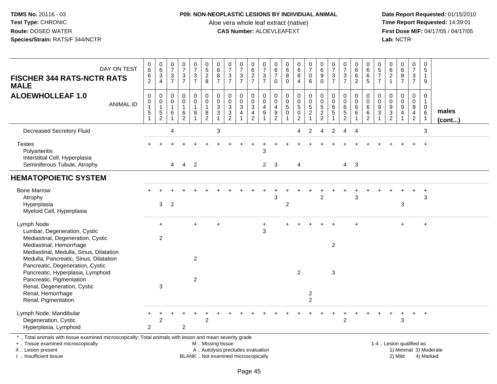## **P09: NON-NEOPLASTIC LESIONS BY INDIVIDUAL ANIMAL**

Aloe vera whole leaf extract (native)<br>**CAS Number:** ALOEVLEAFEXT

 **Date Report Requested:** 01/15/2010 **First Dose M/F:** 04/17/05 / 04/17/05<br>Lab: NCTR **Lab:** NCTR

| DAY ON TEST<br><b>FISCHER 344 RATS-NCTR RATS</b><br><b>MALE</b>                                                                                | $_6^0$<br>$\,6$<br>$\overline{c}$                       | $\begin{array}{c} 0 \\ 6 \end{array}$<br>$\ensuremath{\mathsf{3}}$<br>$\overline{4}$ | $\frac{0}{7}$<br>$\ensuremath{\mathsf{3}}$<br>$\overline{7}$    | $\frac{0}{7}$<br>$\ensuremath{\mathsf{3}}$<br>$\overline{7}$ | $\frac{0}{7}$<br>$\ensuremath{\mathsf{3}}$<br>$\overline{7}$ | $\begin{array}{c} 0 \\ 5 \\ 2 \end{array}$<br>8                                            | 0<br>$6\phantom{a}$<br>$\bf 8$<br>$\overline{7}$     | $\frac{0}{7}$<br>$\ensuremath{\mathsf{3}}$<br>$\overline{7}$                | $\frac{0}{7}$<br>$\frac{3}{7}$                 | 0<br>$6\phantom{a}$<br>$\frac{2}{7}$                               | $\frac{0}{7}$<br>$\frac{3}{7}$                                           | 0<br>$\,6\,$<br>$\overline{7}$<br>$\mathbf 0$             | 0<br>6<br>$\,8\,$<br>$\mathbf 0$                                          | $\begin{matrix} 0 \\ 6 \end{matrix}$<br>$\bf 8$<br>$\overline{4}$ | $\frac{0}{7}$<br>$\mathsf{O}\xspace$<br>6                 | $\begin{array}{c} 0 \\ 6 \end{array}$<br>$\overline{9}$<br>$\pmb{0}$ | $\frac{0}{7}$<br>$\ensuremath{\mathsf{3}}$<br>$\overline{7}$ | $\frac{0}{7}$<br>$\ensuremath{\mathsf{3}}$<br>$\overline{7}$ | 0<br>$6\phantom{a}$<br>$6\phantom{a}$<br>$\overline{2}$ | 0<br>$6\phantom{1}6$<br>$\,6\,$<br>$\overline{5}$            | 0<br>$\frac{5}{7}$<br>$\overline{7}$ | 062                                                 | 0<br>6<br>9<br>7                                                             | $\frac{0}{7}$<br>$\frac{3}{7}$                                                    | 0<br>$\overline{5}$<br>$\mathbf{1}$<br>9                    |                       |
|------------------------------------------------------------------------------------------------------------------------------------------------|---------------------------------------------------------|--------------------------------------------------------------------------------------|-----------------------------------------------------------------|--------------------------------------------------------------|--------------------------------------------------------------|--------------------------------------------------------------------------------------------|------------------------------------------------------|-----------------------------------------------------------------------------|------------------------------------------------|--------------------------------------------------------------------|--------------------------------------------------------------------------|-----------------------------------------------------------|---------------------------------------------------------------------------|-------------------------------------------------------------------|-----------------------------------------------------------|----------------------------------------------------------------------|--------------------------------------------------------------|--------------------------------------------------------------|---------------------------------------------------------|--------------------------------------------------------------|--------------------------------------|-----------------------------------------------------|------------------------------------------------------------------------------|-----------------------------------------------------------------------------------|-------------------------------------------------------------|-----------------------|
| <b>ALOEWHOLLEAF 1.0</b><br><b>ANIMAL ID</b>                                                                                                    | $\pmb{0}$<br>0<br>$\overline{1}$<br>5<br>$\overline{1}$ | $\pmb{0}$<br>$\mathbf 0$<br>$\mathbf{1}$<br>$\frac{5}{2}$                            | $\mathbf 0$<br>0<br>$\overline{1}$<br>$\,6\,$<br>$\overline{1}$ | $\pmb{0}$<br>$\overline{0}$<br>$\mathbf{1}$<br>$\frac{6}{2}$ | 0<br>$\pmb{0}$<br>$\mathbf{1}$<br>$\bf 8$<br>$\mathbf{1}$    | $\mathbf 0$<br>$\pmb{0}$<br>$\mathbf{1}$<br>$\begin{smallmatrix} 8 \\ 2 \end{smallmatrix}$ | $\pmb{0}$<br>$\pmb{0}$<br>$\mathbf{3}$<br>$\sqrt{3}$ | 0<br>$\pmb{0}$<br>$\sqrt{3}$<br>$\ensuremath{\mathsf{3}}$<br>$\overline{2}$ | 0<br>$\pmb{0}$<br>$\sqrt{3}$<br>$\overline{4}$ | 0<br>$\mathbf 0$<br>$\sqrt{3}$<br>$\overline{4}$<br>$\overline{2}$ | $\pmb{0}$<br>$\overline{0}$<br>$\overline{4}$<br>$9\,$<br>$\overline{1}$ | $\mathbf 0$<br>$\mathbf{0}$<br>4<br>$\boldsymbol{9}$<br>2 | $\mathbf 0$<br>$\mathsf 0$<br>$\sqrt{5}$<br>$\mathbf 0$<br>$\overline{1}$ | 0<br>$\pmb{0}$<br>$\sqrt{5}$<br>$\pmb{0}$<br>$\overline{2}$       | 0<br>$\overline{0}$<br>$\overline{5}$<br>$\boldsymbol{2}$ | $\pmb{0}$<br>$\overline{0}$<br>5<br>$\frac{2}{2}$                    | 0<br>0<br>$\,6\,$<br>$\sqrt{5}$                              | $\pmb{0}$<br>$\ddot{\mathbf{0}}$<br>$\,6\,$<br>$\frac{5}{2}$ | 0<br>0<br>$\,6\,$<br>6                                  | $\mathbf 0$<br>$\mathbf 0$<br>6<br>$\,6\,$<br>$\overline{2}$ | 0<br>$\Omega$<br>9<br>3              | 0<br>$\pmb{0}$<br>$\boldsymbol{9}$<br>$\frac{3}{2}$ | $\mathbf 0$<br>$\pmb{0}$<br>$\overline{9}$<br>$\overline{4}$<br>$\mathbf{1}$ | 0<br>$\mathbf 0$<br>$\boldsymbol{9}$<br>$\overline{\mathbf{4}}$<br>$\overline{2}$ | 0<br>$\mathbf{1}$<br>$\mathbf 0$<br>$\,6$<br>$\overline{1}$ | males<br>$($ cont $)$ |
| <b>Decreased Secretory Fluid</b>                                                                                                               |                                                         |                                                                                      | 4                                                               |                                                              |                                                              |                                                                                            | 3                                                    |                                                                             |                                                |                                                                    |                                                                          |                                                           |                                                                           | 4                                                                 | $\overline{2}$                                            | $\overline{4}$                                                       | $\overline{c}$                                               | 4                                                            | 4                                                       |                                                              |                                      |                                                     |                                                                              |                                                                                   | 3                                                           |                       |
| <b>Testes</b><br>Polyarteritis<br>Interstitial Cell, Hyperplasia<br>Seminiferous Tubule, Atrophy                                               |                                                         |                                                                                      | $\overline{4}$                                                  | $\overline{4}$                                               | $\overline{2}$                                               |                                                                                            |                                                      |                                                                             |                                                |                                                                    | $\sqrt{3}$<br>$\overline{2}$                                             | -3                                                        |                                                                           | 4                                                                 |                                                           |                                                                      |                                                              |                                                              | $4 \quad 3$                                             |                                                              |                                      |                                                     |                                                                              |                                                                                   | $\ddot{}$                                                   |                       |
| <b>HEMATOPOIETIC SYSTEM</b>                                                                                                                    |                                                         |                                                                                      |                                                                 |                                                              |                                                              |                                                                                            |                                                      |                                                                             |                                                |                                                                    |                                                                          |                                                           |                                                                           |                                                                   |                                                           |                                                                      |                                                              |                                                              |                                                         |                                                              |                                      |                                                     |                                                                              |                                                                                   |                                                             |                       |
|                                                                                                                                                |                                                         |                                                                                      |                                                                 |                                                              |                                                              |                                                                                            |                                                      |                                                                             |                                                |                                                                    |                                                                          |                                                           |                                                                           |                                                                   |                                                           |                                                                      |                                                              |                                                              |                                                         |                                                              |                                      |                                                     |                                                                              |                                                                                   |                                                             |                       |
| <b>Bone Marrow</b><br>Atrophy<br>Hyperplasia<br>Myeloid Cell, Hyperplasia                                                                      |                                                         | 3                                                                                    | $\overline{2}$                                                  |                                                              |                                                              |                                                                                            |                                                      |                                                                             |                                                |                                                                    |                                                                          | 3                                                         | $\overline{c}$                                                            |                                                                   |                                                           | $\overline{2}$                                                       |                                                              |                                                              | 3                                                       |                                                              |                                      |                                                     | $\ensuremath{\mathsf{3}}$                                                    |                                                                                   | 3                                                           |                       |
| Lymph Node<br>Lumbar, Degeneration, Cystic<br>Mediastinal, Degeneration, Cystic<br>Mediastinal, Hemorrhage                                     |                                                         | $\ddot{}$<br>2                                                                       |                                                                 |                                                              | $+$                                                          |                                                                                            | $\ddot{}$                                            |                                                                             |                                                |                                                                    | $\ddot{}$<br>3                                                           |                                                           |                                                                           |                                                                   |                                                           |                                                                      | $\overline{2}$                                               |                                                              | $\ddot{}$                                               |                                                              |                                      |                                                     | $\ddot{}$                                                                    |                                                                                   | $\ddot{}$                                                   |                       |
| Mediastinal, Medulla, Sinus, Dilatation<br>Medulla, Pancreatic, Sinus, Dilatation<br>Pancreatic, Degeneration, Cystic                          |                                                         |                                                                                      |                                                                 |                                                              | $\overline{c}$                                               |                                                                                            |                                                      |                                                                             |                                                |                                                                    |                                                                          |                                                           |                                                                           |                                                                   |                                                           |                                                                      |                                                              |                                                              |                                                         |                                                              |                                      |                                                     |                                                                              |                                                                                   |                                                             |                       |
| Pancreatic, Hyperplasia, Lymphoid<br>Pancreatic, Pigmentation                                                                                  |                                                         |                                                                                      |                                                                 |                                                              | $\overline{c}$                                               |                                                                                            |                                                      |                                                                             |                                                |                                                                    |                                                                          |                                                           |                                                                           | $\overline{2}$                                                    |                                                           |                                                                      | $\sqrt{3}$                                                   |                                                              |                                                         |                                                              |                                      |                                                     |                                                                              |                                                                                   |                                                             |                       |
| Renal, Degeneration, Cystic<br>Renal, Hemorrhage<br>Renal, Pigmentation                                                                        |                                                         | 3                                                                                    |                                                                 |                                                              |                                                              |                                                                                            |                                                      |                                                                             |                                                |                                                                    |                                                                          |                                                           |                                                                           |                                                                   | $\overline{a}$<br>$\overline{2}$                          |                                                                      |                                                              |                                                              |                                                         |                                                              |                                      |                                                     |                                                                              |                                                                                   |                                                             |                       |
| Lymph Node, Mandibular<br>Degeneration, Cystic<br>Hyperplasia, Lymphoid                                                                        | $\overline{2}$                                          | $\overline{2}$                                                                       |                                                                 | $\overline{c}$                                               |                                                              | $\overline{c}$                                                                             |                                                      |                                                                             |                                                |                                                                    |                                                                          |                                                           |                                                                           |                                                                   |                                                           |                                                                      |                                                              | $\overline{c}$                                               |                                                         |                                                              |                                      |                                                     | 3                                                                            |                                                                                   | $\overline{+}$                                              |                       |
| *  Total animals with tissue examined microscopically; Total animals with lesion and mean severity grade<br>+  Tissue examined microscopically |                                                         |                                                                                      |                                                                 |                                                              |                                                              |                                                                                            |                                                      | M  Missing tissue                                                           |                                                |                                                                    |                                                                          |                                                           |                                                                           |                                                                   |                                                           |                                                                      |                                                              |                                                              |                                                         |                                                              |                                      |                                                     | 1-4  Lesion qualified as:                                                    |                                                                                   |                                                             |                       |

X .. Lesion present

I .. Insufficient tissue

BLANK .. Not examined microscopically and the state of the 2) Mild

A .. Autolysis precludes evaluation and the service of the service of the service of the service of the service of the service of the service of the service of the service of the service of the service of the service of th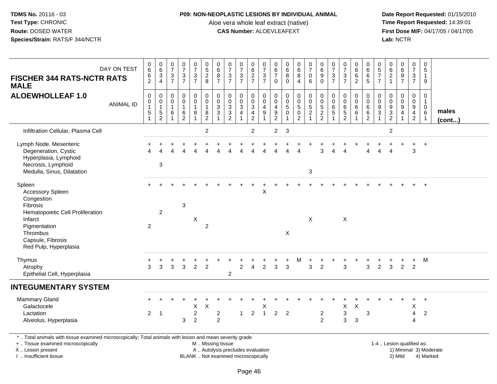# **P09: NON-NEOPLASTIC LESIONS BY INDIVIDUAL ANIMAL**

Aloe vera whole leaf extract (native)<br>**CAS Number:** ALOEVLEAFEXT

 **Date Report Requested:** 01/15/2010 **First Dose M/F:** 04/17/05 / 04/17/05<br>Lab: NCTR **Lab:** NCTR

| DAY ON TEST<br><b>FISCHER 344 RATS-NCTR RATS</b><br><b>MALE</b>                                                                                                               | $\begin{array}{c} 0 \\ 6 \end{array}$<br>$\frac{6}{2}$                      | $\begin{array}{c} 0 \\ 6 \end{array}$<br>$\frac{3}{4}$ | $\pmb{0}$<br>$\overline{7}$<br>$\ensuremath{\mathsf{3}}$<br>$\overline{7}$ | $\begin{array}{c} 0 \\ 7 \end{array}$<br>$\frac{3}{7}$                      | $\frac{0}{7}$<br>$\frac{3}{7}$                | $\begin{array}{c} 0 \\ 5 \\ 2 \\ 8 \end{array}$                                     | $_{6}^{\rm 0}$<br>$\overline{8}$<br>$\overline{7}$                      | $\begin{array}{c} 0 \\ 7 \end{array}$<br>$\ensuremath{\mathsf{3}}$<br>$\overline{7}$ | $\frac{0}{7}$<br>$\frac{3}{7}$                                                    | $_{6}^{\rm 0}$<br>$\frac{2}{7}$                                                | $\begin{array}{c} 0 \\ 7 \end{array}$<br>$\frac{3}{7}$                   | $\begin{array}{c} 0 \\ 6 \end{array}$<br>$\overline{7}$<br>$\Omega$ | $\begin{array}{c} 0 \\ 6 \end{array}$<br>$\overline{8}$<br>$\Omega$          | $\begin{array}{c} 0 \\ 6 \end{array}$<br>$\overline{8}$<br>$\overline{4}$          | $\frac{0}{7}$<br>$\mathsf{O}\xspace$<br>$\,6\,$                           | $\pmb{0}$<br>$\overline{6}$<br>$\boldsymbol{9}$<br>$\Omega$ | $\frac{0}{7}$<br>$\frac{3}{7}$                                                             | $\frac{0}{7}$<br>$\frac{3}{7}$                 | $_{6}^{\rm 0}$<br>$\overline{6}$<br>$\overline{2}$            | $\pmb{0}$<br>$\overline{6}$<br>$\overline{6}$<br>5                         | 0<br>$\frac{5}{7}$<br>$\overline{7}$                                        | $062$<br>$1$                        | $\begin{array}{c} 0 \\ 6 \end{array}$<br>$\frac{9}{7}$ | $\pmb{0}$<br>$\overline{7}$<br>$\sqrt{3}$<br>$\overline{7}$ | $\mathbf 0$<br>5<br>$\overline{1}$<br>-9                 |                        |
|-------------------------------------------------------------------------------------------------------------------------------------------------------------------------------|-----------------------------------------------------------------------------|--------------------------------------------------------|----------------------------------------------------------------------------|-----------------------------------------------------------------------------|-----------------------------------------------|-------------------------------------------------------------------------------------|-------------------------------------------------------------------------|--------------------------------------------------------------------------------------|-----------------------------------------------------------------------------------|--------------------------------------------------------------------------------|--------------------------------------------------------------------------|---------------------------------------------------------------------|------------------------------------------------------------------------------|------------------------------------------------------------------------------------|---------------------------------------------------------------------------|-------------------------------------------------------------|--------------------------------------------------------------------------------------------|------------------------------------------------|---------------------------------------------------------------|----------------------------------------------------------------------------|-----------------------------------------------------------------------------|-------------------------------------|--------------------------------------------------------|-------------------------------------------------------------|----------------------------------------------------------|------------------------|
| <b>ALOEWHOLLEAF 1.0</b><br><b>ANIMAL ID</b>                                                                                                                                   | $\mathbf 0$<br>$\mathsf{O}\xspace$<br>$\begin{array}{c} 1 \\ 5 \end{array}$ | $\mathbf 0$<br>$\overline{0}$<br>1<br>$\frac{5}{2}$    | $\mathbf 0$<br>$\mathbf 0$<br>$\overline{1}$<br>6                          | $\pmb{0}$<br>$\ddot{\mathbf{0}}$<br>$\mathbf{1}$<br>$\,6$<br>$\overline{2}$ | 0<br>$\ddot{\mathbf{0}}$<br>$\mathbf{1}$<br>8 | $\begin{smallmatrix} 0\\0 \end{smallmatrix}$<br>$\mathbf{1}$<br>8<br>$\overline{2}$ | $\mathbf 0$<br>$\ddot{\mathbf{0}}$<br>$\overline{3}$<br>$\sqrt{3}$<br>1 | $\pmb{0}$<br>$\mathbf 0$<br>$\frac{3}{2}$                                            | $\mathbf 0$<br>$\ddot{\mathbf{0}}$<br>$\ensuremath{\mathsf{3}}$<br>$\overline{4}$ | 0<br>$\ddot{\mathbf{0}}$<br>$\overline{3}$<br>$\overline{4}$<br>$\overline{c}$ | $\mathsf 0$<br>$\ddot{\mathbf{0}}$<br>$\overline{4}$<br>$\boldsymbol{9}$ | $\mathbf 0$<br>$\mathbf 0$<br>$\overline{4}$<br>$\frac{9}{2}$       | $\mathbf 0$<br>$\overline{0}$<br>$\sqrt{5}$<br>$\mathbf 0$<br>$\overline{1}$ | $\mathbf 0$<br>$\ddot{\mathbf{0}}$<br>$\,$ 5 $\,$<br>$\mathbf 0$<br>$\overline{2}$ | $\pmb{0}$<br>$\overline{0}$<br>$\begin{array}{c} 5 \\ 2 \\ 1 \end{array}$ | 0<br>$\mathbf 0$<br>$\frac{5}{2}$                           | $\mathsf{O}\xspace$<br>$\ddot{\mathbf{0}}$<br>$6\phantom{a}$<br>$\sqrt{5}$<br>$\mathbf{1}$ | 0<br>$\bar{0}$<br>$6\over 5$<br>$\overline{2}$ | $\pmb{0}$<br>$\ddot{\mathbf{0}}$<br>$6\phantom{a}$<br>$\,6\,$ | $\mathsf{O}\xspace$<br>$\ddot{\mathbf{0}}$<br>$^6_{\ 6}$<br>$\overline{2}$ | $\mathbf 0$<br>$\mathbf 0$<br>$\boldsymbol{9}$<br>$\ensuremath{\mathsf{3}}$ | $_{\rm 0}^{\rm 0}$<br>$\frac{9}{2}$ | $_{\rm 0}^{\rm 0}$<br>$\frac{9}{4}$<br>-1              | 0<br>$\mathbf 0$<br>9<br>$\overline{4}$<br>$\overline{2}$   | $\mathbf 0$<br>-1<br>$\mathbf{0}$<br>6<br>$\overline{1}$ | males<br>(cont)        |
| Infiltration Cellular, Plasma Cell                                                                                                                                            |                                                                             |                                                        |                                                                            |                                                                             |                                               | $\overline{2}$                                                                      |                                                                         |                                                                                      |                                                                                   | $\overline{2}$                                                                 |                                                                          | $\overline{c}$                                                      | $\mathbf{3}$                                                                 |                                                                                    |                                                                           |                                                             |                                                                                            |                                                |                                                               |                                                                            |                                                                             | $\overline{c}$                      |                                                        |                                                             |                                                          |                        |
| Lymph Node, Mesenteric<br>Degeneration, Cystic<br>Hyperplasia, Lymphoid<br>Necrosis, Lymphoid<br>Medulla, Sinus, Dilatation                                                   |                                                                             | 3                                                      |                                                                            |                                                                             |                                               |                                                                                     |                                                                         |                                                                                      |                                                                                   |                                                                                |                                                                          |                                                                     |                                                                              |                                                                                    | 3                                                                         |                                                             |                                                                                            |                                                |                                                               |                                                                            |                                                                             |                                     |                                                        | 3                                                           | $\overline{+}$                                           |                        |
| Spleen<br>Accessory Spleen<br>Congestion<br>Fibrosis<br>Hematopoietic Cell Proliferation<br>Infarct<br>Pigmentation<br>Thrombus<br>Capsule, Fibrosis<br>Red Pulp, Hyperplasia | 2                                                                           | $\overline{2}$                                         |                                                                            | 3                                                                           | Χ                                             | $\overline{2}$                                                                      |                                                                         |                                                                                      |                                                                                   |                                                                                | $\mathsf X$                                                              |                                                                     | X                                                                            |                                                                                    | $\sf X$                                                                   |                                                             |                                                                                            | $\pmb{\times}$                                 |                                                               |                                                                            |                                                                             |                                     |                                                        |                                                             |                                                          |                        |
| Thymus<br>Atrophy<br>Epithelial Cell, Hyperplasia                                                                                                                             | +<br>3                                                                      | 3                                                      | 3                                                                          | 3                                                                           | $\overline{2}$                                | $\overline{2}$                                                                      |                                                                         | $\overline{c}$                                                                       | $\overline{c}$                                                                    | $\overline{4}$                                                                 | $\overline{2}$                                                           | 3                                                                   | +<br>3                                                                       | M                                                                                  | 3                                                                         | $\overline{2}$                                              |                                                                                            | 3                                              | $\pm$                                                         | 3                                                                          | $\overline{2}$                                                              | $\mathbf{3}$                        | $\overline{2}$                                         | $+$<br>$\overline{2}$                                       | M                                                        |                        |
| <b>INTEGUMENTARY SYSTEM</b>                                                                                                                                                   |                                                                             |                                                        |                                                                            |                                                                             |                                               |                                                                                     |                                                                         |                                                                                      |                                                                                   |                                                                                |                                                                          |                                                                     |                                                                              |                                                                                    |                                                                           |                                                             |                                                                                            |                                                |                                                               |                                                                            |                                                                             |                                     |                                                        |                                                             |                                                          |                        |
| <b>Mammary Gland</b><br>Galactocele<br>Lactation<br>Alveolus, Hyperplasia                                                                                                     | $\overline{2}$                                                              | $\overline{\phantom{0}}$                               |                                                                            | 3                                                                           | Χ<br>$\overline{c}$<br>$\overline{2}$         | $\boldsymbol{\mathsf{X}}$                                                           | $\overline{c}$<br>$\overline{2}$                                        |                                                                                      | $\mathbf{1}$                                                                      | $\overline{2}$                                                                 | X<br>$\overline{1}$                                                      | $\overline{2}$                                                      | $\overline{2}$                                                               |                                                                                    |                                                                           | $\overline{\mathbf{c}}$<br>$\overline{2}$                   |                                                                                            | X<br>3<br>3                                    | $\sf X$<br>$\sqrt{3}$                                         | 3                                                                          |                                                                             |                                     |                                                        | X<br>4<br>$\Delta$                                          | $\ddot{}$<br>$\overline{2}$                              |                        |
| *  Total animals with tissue examined microscopically; Total animals with lesion and mean severity grade<br>+  Tissue examined microscopically<br>X  Lesion present           |                                                                             |                                                        |                                                                            |                                                                             |                                               | M  Missing tissue                                                                   |                                                                         | A  Autolysis precludes evaluation                                                    |                                                                                   |                                                                                |                                                                          |                                                                     |                                                                              |                                                                                    |                                                                           |                                                             |                                                                                            |                                                |                                                               |                                                                            |                                                                             | 1-4  Lesion qualified as:           |                                                        |                                                             |                                                          | 1) Minimal 3) Moderate |

I .. Insufficient tissue

BLANK .. Not examined microscopically and the contract of the contract of the contract of Modellin 2) Mild 4) Marked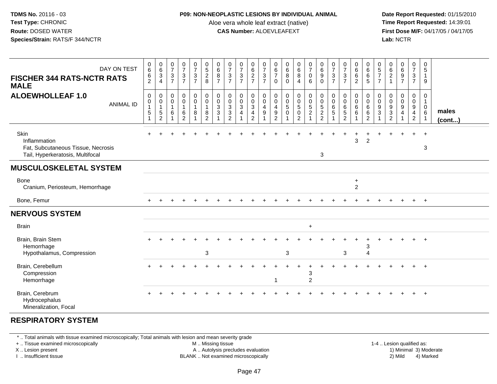#### **P09: NON-NEOPLASTIC LESIONS BY INDIVIDUAL ANIMAL**

Aloe vera whole leaf extract (native)<br>**CAS Number:** ALOEVLEAFEXT

 **Date Report Requested:** 01/15/2010 **First Dose M/F:** 04/17/05 / 04/17/05<br>**Lab:** NCTR **Lab:** NCTR

| DAY ON TEST<br><b>FISCHER 344 RATS-NCTR RATS</b><br><b>MALE</b>                                | 0<br>$\,6\,$<br>$\,6$<br>$\overline{2}$    | $\begin{matrix} 0 \\ 6 \end{matrix}$<br>$\mathbf{3}$<br>$\overline{4}$      | $\begin{smallmatrix}0\\7\end{smallmatrix}$<br>$\mathsf 3$<br>$\overline{7}$ | $\frac{0}{7}$<br>3<br>$\overline{7}$                     | $\frac{0}{7}$<br>$\frac{3}{7}$                                                            | $0$<br>5<br>2<br>8                                                                      | 0<br>$\,6$<br>8<br>$\overline{7}$   | $\frac{0}{7}$<br>$\mathbf{3}$<br>$\overline{7}$                             | $\frac{0}{7}$<br>$\mathbf{3}$<br>$\overline{7}$    | 0<br>$\frac{6}{2}$                                                                               | $\frac{0}{7}$<br>$\ensuremath{\mathsf{3}}$<br>$\overline{7}$          | 0<br>$\,6\,$<br>$\overline{7}$<br>$\Omega$                                         | $\begin{array}{c} 0 \\ 6 \end{array}$<br>8<br>$\Omega$ | $\begin{array}{c} 0 \\ 6 \end{array}$<br>8<br>$\overline{4}$              | $\frac{0}{7}$<br>$\mathbf 0$<br>6                                                                | $\begin{matrix} 0 \\ 6 \end{matrix}$<br>9<br>$\Omega$                          | 0<br>$\overline{7}$<br>$\sqrt{3}$<br>$\overline{7}$ | $\frac{0}{7}$<br>$\frac{3}{7}$                                        | 0<br>$\,6$<br>$\,6$<br>$\overline{c}$                     | 0<br>$\,6\,$<br>$\,6\,$<br>$\overline{5}$                          | 0<br>$5\,$<br>$\overline{7}$<br>$\overline{7}$ | 0<br>$\,6\,$<br>$\boldsymbol{2}$<br>$\overline{1}$ | 0697                                                       | 0<br>$\overline{7}$<br>$\mathsf 3$<br>$\overline{7}$         | 0<br>$\sqrt{5}$<br>$\mathbf{1}$<br>9                                      |                 |
|------------------------------------------------------------------------------------------------|--------------------------------------------|-----------------------------------------------------------------------------|-----------------------------------------------------------------------------|----------------------------------------------------------|-------------------------------------------------------------------------------------------|-----------------------------------------------------------------------------------------|-------------------------------------|-----------------------------------------------------------------------------|----------------------------------------------------|--------------------------------------------------------------------------------------------------|-----------------------------------------------------------------------|------------------------------------------------------------------------------------|--------------------------------------------------------|---------------------------------------------------------------------------|--------------------------------------------------------------------------------------------------|--------------------------------------------------------------------------------|-----------------------------------------------------|-----------------------------------------------------------------------|-----------------------------------------------------------|--------------------------------------------------------------------|------------------------------------------------|----------------------------------------------------|------------------------------------------------------------|--------------------------------------------------------------|---------------------------------------------------------------------------|-----------------|
| <b>ALOEWHOLLEAF 1.0</b><br><b>ANIMAL ID</b>                                                    | $\mathbf 0$<br>0<br>$\mathbf{1}$<br>5<br>1 | $\mathbf 0$<br>$\mathbf 0$<br>$\mathbf{1}$<br>$\mathbf 5$<br>$\overline{c}$ | 0<br>$\boldsymbol{0}$<br>$\mathbf{1}$<br>6<br>1                             | 0<br>$\mathsf{O}$<br>$\mathbf{1}$<br>6<br>$\overline{2}$ | $\begin{smallmatrix} 0\\0 \end{smallmatrix}$<br>$\mathbf{1}$<br>$\bf 8$<br>$\overline{1}$ | $\begin{smallmatrix}0\\0\end{smallmatrix}$<br>$\mathbf{1}$<br>$\bf 8$<br>$\overline{2}$ | 0<br>$\mathbf 0$<br>$\sqrt{3}$<br>3 | $\mathbf 0$<br>$\mathbf 0$<br>$\mathbf 3$<br>$\mathbf{3}$<br>$\overline{2}$ | 0<br>$\mathbf 0$<br>$\mathbf{3}$<br>$\overline{4}$ | $\begin{smallmatrix}0\\0\end{smallmatrix}$<br>$\overline{3}$<br>$\overline{4}$<br>$\overline{2}$ | $\pmb{0}$<br>$\pmb{0}$<br>$\overline{\mathbf{4}}$<br>$\boldsymbol{9}$ | $\mathbf 0$<br>$\mathbf 0$<br>$\overline{4}$<br>$\boldsymbol{9}$<br>$\overline{2}$ | $\mathbf 0$<br>$\mathbf 0$<br>5<br>$\Omega$            | $\pmb{0}$<br>$\mathbf 0$<br>$\overline{5}$<br>$\pmb{0}$<br>$\overline{c}$ | $\begin{smallmatrix} 0\\0 \end{smallmatrix}$<br>$\overline{5}$<br>$\overline{2}$<br>$\mathbf{1}$ | 0<br>$\mathsf{O}\xspace$<br>$\overline{5}$<br>$\overline{a}$<br>$\overline{a}$ | 0<br>0<br>6<br>5                                    | $\mathbf 0$<br>$\mathbf 0$<br>$\,6\,$<br>$\sqrt{5}$<br>$\overline{2}$ | 0<br>$\mathbf 0$<br>$\,6$<br>6<br>$\overline{\mathbf{A}}$ | $\mathbf 0$<br>$\mathbf 0$<br>$\,6\,$<br>$\,6\,$<br>$\overline{2}$ | 0<br>$\mathbf 0$<br>9<br>3                     | 0<br>0<br>$9\,$<br>$\mathbf{3}$<br>$\overline{2}$  | $\pmb{0}$<br>$\pmb{0}$<br>$\overline{9}$<br>$\overline{4}$ | 0<br>$\overline{0}$<br>9<br>$\overline{a}$<br>$\overline{2}$ | $\mathbf 0$<br>$\overline{1}$<br>$\mathbf 0$<br>$\,6\,$<br>$\overline{1}$ | males<br>(cont) |
| Skin<br>Inflammation<br>Fat, Subcutaneous Tissue, Necrosis<br>Tail, Hyperkeratosis, Multifocal |                                            |                                                                             |                                                                             |                                                          |                                                                                           |                                                                                         |                                     |                                                                             |                                                    |                                                                                                  |                                                                       |                                                                                    |                                                        |                                                                           |                                                                                                  | 3                                                                              |                                                     |                                                                       | 3                                                         | $\overline{2}$                                                     |                                                |                                                    |                                                            | $+$                                                          | $+$<br>3                                                                  |                 |
| <b>MUSCULOSKELETAL SYSTEM</b>                                                                  |                                            |                                                                             |                                                                             |                                                          |                                                                                           |                                                                                         |                                     |                                                                             |                                                    |                                                                                                  |                                                                       |                                                                                    |                                                        |                                                                           |                                                                                                  |                                                                                |                                                     |                                                                       |                                                           |                                                                    |                                                |                                                    |                                                            |                                                              |                                                                           |                 |
| <b>Bone</b><br>Cranium, Periosteum, Hemorrhage                                                 |                                            |                                                                             |                                                                             |                                                          |                                                                                           |                                                                                         |                                     |                                                                             |                                                    |                                                                                                  |                                                                       |                                                                                    |                                                        |                                                                           |                                                                                                  |                                                                                |                                                     |                                                                       | $\ddot{}$<br>$\overline{c}$                               |                                                                    |                                                |                                                    |                                                            |                                                              |                                                                           |                 |
| Bone, Femur                                                                                    |                                            |                                                                             |                                                                             |                                                          |                                                                                           |                                                                                         |                                     |                                                                             |                                                    |                                                                                                  |                                                                       |                                                                                    |                                                        |                                                                           |                                                                                                  |                                                                                |                                                     |                                                                       |                                                           |                                                                    |                                                |                                                    |                                                            | $+$                                                          | $+$                                                                       |                 |
| <b>NERVOUS SYSTEM</b>                                                                          |                                            |                                                                             |                                                                             |                                                          |                                                                                           |                                                                                         |                                     |                                                                             |                                                    |                                                                                                  |                                                                       |                                                                                    |                                                        |                                                                           |                                                                                                  |                                                                                |                                                     |                                                                       |                                                           |                                                                    |                                                |                                                    |                                                            |                                                              |                                                                           |                 |
| <b>Brain</b>                                                                                   |                                            |                                                                             |                                                                             |                                                          |                                                                                           |                                                                                         |                                     |                                                                             |                                                    |                                                                                                  |                                                                       |                                                                                    |                                                        |                                                                           | $\ddot{}$                                                                                        |                                                                                |                                                     |                                                                       |                                                           |                                                                    |                                                |                                                    |                                                            |                                                              |                                                                           |                 |
| Brain, Brain Stem<br>Hemorrhage<br>Hypothalamus, Compression                                   |                                            |                                                                             |                                                                             |                                                          |                                                                                           | $\mathbf{3}$                                                                            |                                     |                                                                             |                                                    |                                                                                                  |                                                                       |                                                                                    | 3                                                      |                                                                           |                                                                                                  |                                                                                |                                                     | 3                                                                     |                                                           | 3<br>$\overline{\mathbf{4}}$                                       |                                                |                                                    |                                                            |                                                              | $+$                                                                       |                 |
| Brain, Cerebellum<br>Compression<br>Hemorrhage                                                 |                                            |                                                                             |                                                                             |                                                          |                                                                                           |                                                                                         |                                     |                                                                             |                                                    |                                                                                                  |                                                                       | 1                                                                                  |                                                        |                                                                           | 3<br>$\boldsymbol{2}$                                                                            |                                                                                |                                                     |                                                                       |                                                           |                                                                    |                                                |                                                    |                                                            |                                                              | $\div$                                                                    |                 |
| Brain, Cerebrum<br>Hydrocephalus<br>Mineralization, Focal                                      |                                            |                                                                             |                                                                             |                                                          |                                                                                           |                                                                                         |                                     |                                                                             |                                                    |                                                                                                  |                                                                       |                                                                                    |                                                        |                                                                           |                                                                                                  |                                                                                |                                                     |                                                                       |                                                           |                                                                    |                                                |                                                    |                                                            |                                                              | $+$                                                                       |                 |

# **RESPIRATORY SYSTEM**

\* .. Total animals with tissue examined microscopically; Total animals with lesion and mean severity grade

+ .. Tissue examined microscopically

X .. Lesion present

I .. Insufficient tissue

M .. Missing tissue

A .. Autolysis precludes evaluation

BLANK .. Not examined microscopically 2) Mild 4) Marked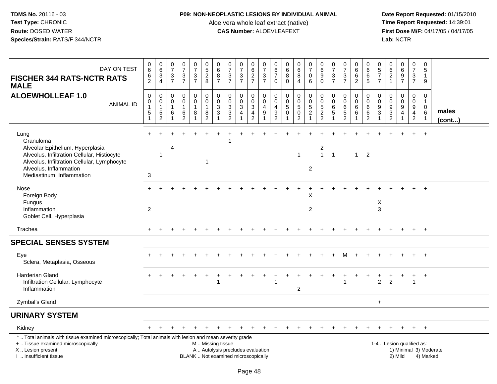## **P09: NON-NEOPLASTIC LESIONS BY INDIVIDUAL ANIMAL**

Aloe vera whole leaf extract (native)<br>**CAS Number:** ALOEVLEAFEXT

| DAY ON TEST<br><b>FISCHER 344 RATS-NCTR RATS</b><br><b>MALE</b>                                                                                                                                            | $_{6}^{\rm 0}$<br>6<br>$\overline{2}$                               | $\begin{array}{c} 0 \\ 6 \end{array}$<br>$\mathbf{3}$<br>$\overline{4}$  | 0<br>$\overline{7}$<br>3<br>$\overline{7}$        | $\begin{array}{c} 0 \\ 7 \end{array}$<br>$\frac{3}{7}$                      | $\frac{0}{7}$<br>$\mathbf{3}$<br>$\overline{7}$ | 0<br>$\overline{5}$<br>$\sqrt{2}$<br>8                               | 0<br>$\overline{6}$<br>8<br>$\overline{7}$                   | $\frac{0}{7}$<br>$\ensuremath{\mathsf{3}}$<br>$\overline{7}$                                            | $\begin{array}{c} 0 \\ 7 \end{array}$<br>$\ensuremath{\mathsf{3}}$<br>$\overline{7}$ | 0<br>$6\overline{6}$<br>$\overline{c}$<br>$\overline{7}$        | $\frac{0}{7}$<br>$\sqrt{3}$<br>$\overline{7}$                              | 0<br>$\,6\,$<br>$\overline{7}$<br>$\mathbf{0}$         | 0<br>$6\phantom{1}6$<br>8<br>$\Omega$            | $_{6}^{\rm 0}$<br>8<br>$\overline{4}$                      | $\begin{smallmatrix}0\\7\end{smallmatrix}$<br>$\mathbf 0$<br>6 | $\begin{array}{c} 0 \\ 6 \end{array}$<br>$\boldsymbol{9}$<br>$\mathbf 0$               | $\frac{0}{7}$<br>$\sqrt{3}$<br>$\overline{7}$                         | $\frac{0}{7}$<br>$\ensuremath{\mathsf{3}}$<br>$\overline{7}$        | 0<br>$\overline{6}$<br>$\,6\,$<br>2                         | 0<br>6<br>6<br>5                             | 0<br>$\overline{5}$<br>$\overline{7}$<br>$\overline{7}$ | 0<br>6<br>$\sqrt{2}$<br>$\overline{1}$    | $\begin{array}{c} 0 \\ 6 \end{array}$<br>$\boldsymbol{9}$<br>$\overline{7}$ | $\begin{smallmatrix} 0\\7 \end{smallmatrix}$<br>$\ensuremath{\mathsf{3}}$<br>$\overline{7}$ | $\mathbf 0$<br>5<br>$\mathbf{1}$<br>9                 |                 |
|------------------------------------------------------------------------------------------------------------------------------------------------------------------------------------------------------------|---------------------------------------------------------------------|--------------------------------------------------------------------------|---------------------------------------------------|-----------------------------------------------------------------------------|-------------------------------------------------|----------------------------------------------------------------------|--------------------------------------------------------------|---------------------------------------------------------------------------------------------------------|--------------------------------------------------------------------------------------|-----------------------------------------------------------------|----------------------------------------------------------------------------|--------------------------------------------------------|--------------------------------------------------|------------------------------------------------------------|----------------------------------------------------------------|----------------------------------------------------------------------------------------|-----------------------------------------------------------------------|---------------------------------------------------------------------|-------------------------------------------------------------|----------------------------------------------|---------------------------------------------------------|-------------------------------------------|-----------------------------------------------------------------------------|---------------------------------------------------------------------------------------------|-------------------------------------------------------|-----------------|
| <b>ALOEWHOLLEAF 1.0</b><br><b>ANIMAL ID</b>                                                                                                                                                                | $\pmb{0}$<br>$\pmb{0}$<br>$\mathbf{1}$<br>$\sqrt{5}$<br>$\mathbf 1$ | 0<br>$\mathsf{O}\xspace$<br>$\mathbf{1}$<br>$\sqrt{5}$<br>$\overline{c}$ | $\mathbf 0$<br>$\mathbf 0$<br>$\overline{1}$<br>6 | $\mathbf 0$<br>$\mathsf{O}\xspace$<br>$\overline{1}$<br>6<br>$\overline{2}$ | 0<br>$\mathbf 0$<br>$\mathbf{1}$<br>8<br>-1     | $\mathbf 0$<br>$\overline{0}$<br>$\mathbf{1}$<br>8<br>$\overline{2}$ | $\mathbf 0$<br>$\mathbf 0$<br>$\ensuremath{\mathsf{3}}$<br>3 | $\mathsf{O}\xspace$<br>$\mathsf{O}\xspace$<br>$\sqrt{3}$<br>$\ensuremath{\mathsf{3}}$<br>$\overline{2}$ | 0<br>$\pmb{0}$<br>$\sqrt{3}$<br>$\overline{4}$                                       | $\mathbf 0$<br>$\mathbf 0$<br>$\sqrt{3}$<br>4<br>$\overline{c}$ | $\mathbf 0$<br>$\overline{0}$<br>$\overline{4}$<br>$9\,$<br>$\overline{1}$ | 0<br>$\Omega$<br>$\overline{4}$<br>9<br>$\overline{2}$ | $\mathbf 0$<br>$\mathbf 0$<br>5<br>$\Omega$<br>1 | 0<br>$\boldsymbol{0}$<br>$\sqrt{5}$<br>0<br>$\overline{2}$ | 0<br>$\ddot{\mathbf{0}}$<br>$\frac{5}{2}$<br>$\mathbf{1}$      | $\mathbf 0$<br>$\ddot{\mathbf{0}}$<br>$\sqrt{5}$<br>$\boldsymbol{2}$<br>$\overline{2}$ | $\mathbf 0$<br>$\mathbf 0$<br>$\,6\,$<br>$\sqrt{5}$<br>$\overline{1}$ | $\mathbf 0$<br>$\mathbf 0$<br>$\,6$<br>$\sqrt{5}$<br>$\overline{2}$ | 0<br>$\mathsf{O}\xspace$<br>$\,6\,$<br>$6\phantom{1}6$<br>1 | 0<br>$\mathbf 0$<br>6<br>6<br>$\overline{2}$ | 0<br>$\mathbf 0$<br>9<br>3<br>1                         | 0<br>0<br>$\frac{9}{3}$<br>$\overline{2}$ | 0<br>$\ddot{\mathbf{0}}$<br>$\boldsymbol{9}$<br>$\overline{4}$              | 0<br>$\mathbf 0$<br>$\boldsymbol{9}$<br>$\overline{4}$<br>$\sqrt{2}$                        | 0<br>$\mathbf{1}$<br>$\mathbf 0$<br>6<br>$\mathbf{1}$ | males<br>(cont) |
| Lung<br>Granuloma<br>Alveolar Epithelium, Hyperplasia<br>Alveolus, Infiltration Cellular, Histiocyte<br>Alveolus, Infiltration Cellular, Lymphocyte<br>Alveolus, Inflammation<br>Mediastinum, Inflammation | 3                                                                   | $\mathbf{1}$                                                             | 4                                                 |                                                                             |                                                 | -1                                                                   |                                                              |                                                                                                         |                                                                                      |                                                                 |                                                                            |                                                        |                                                  | $\mathbf{1}$                                               | $\overline{2}$                                                 | $\overline{c}$<br>$\mathbf{1}$                                                         | $\overline{1}$                                                        |                                                                     | 1                                                           | $\overline{2}$                               |                                                         |                                           |                                                                             |                                                                                             |                                                       |                 |
| Nose<br>Foreign Body<br>Fungus<br>Inflammation<br>Goblet Cell, Hyperplasia                                                                                                                                 | 2                                                                   |                                                                          |                                                   |                                                                             |                                                 |                                                                      |                                                              |                                                                                                         |                                                                                      |                                                                 |                                                                            |                                                        |                                                  |                                                            | X<br>$\overline{2}$                                            |                                                                                        |                                                                       |                                                                     |                                                             |                                              | X<br>3                                                  |                                           |                                                                             |                                                                                             | $+$                                                   |                 |
| Trachea                                                                                                                                                                                                    |                                                                     |                                                                          |                                                   |                                                                             |                                                 |                                                                      |                                                              |                                                                                                         |                                                                                      |                                                                 |                                                                            |                                                        |                                                  |                                                            |                                                                |                                                                                        |                                                                       |                                                                     |                                                             |                                              |                                                         |                                           |                                                                             | $+$                                                                                         | $+$                                                   |                 |
| <b>SPECIAL SENSES SYSTEM</b>                                                                                                                                                                               |                                                                     |                                                                          |                                                   |                                                                             |                                                 |                                                                      |                                                              |                                                                                                         |                                                                                      |                                                                 |                                                                            |                                                        |                                                  |                                                            |                                                                |                                                                                        |                                                                       |                                                                     |                                                             |                                              |                                                         |                                           |                                                                             |                                                                                             |                                                       |                 |
| Eye<br>Sclera, Metaplasia, Osseous                                                                                                                                                                         |                                                                     |                                                                          |                                                   |                                                                             |                                                 |                                                                      |                                                              |                                                                                                         |                                                                                      |                                                                 |                                                                            |                                                        |                                                  |                                                            |                                                                |                                                                                        |                                                                       |                                                                     |                                                             |                                              |                                                         |                                           |                                                                             |                                                                                             | $+$                                                   |                 |
| <b>Harderian Gland</b><br>Infiltration Cellular, Lymphocyte<br>Inflammation                                                                                                                                |                                                                     |                                                                          |                                                   |                                                                             |                                                 |                                                                      | 1                                                            |                                                                                                         |                                                                                      |                                                                 |                                                                            | 1                                                      |                                                  | $\overline{c}$                                             |                                                                |                                                                                        |                                                                       |                                                                     |                                                             |                                              | $\overline{2}$                                          | $\overline{2}$                            |                                                                             | $\overline{1}$                                                                              | $\overline{+}$                                        |                 |
| Zymbal's Gland                                                                                                                                                                                             |                                                                     |                                                                          |                                                   |                                                                             |                                                 |                                                                      |                                                              |                                                                                                         |                                                                                      |                                                                 |                                                                            |                                                        |                                                  |                                                            |                                                                |                                                                                        |                                                                       |                                                                     |                                                             |                                              | $\ddot{}$                                               |                                           |                                                                             |                                                                                             |                                                       |                 |
| <b>URINARY SYSTEM</b>                                                                                                                                                                                      |                                                                     |                                                                          |                                                   |                                                                             |                                                 |                                                                      |                                                              |                                                                                                         |                                                                                      |                                                                 |                                                                            |                                                        |                                                  |                                                            |                                                                |                                                                                        |                                                                       |                                                                     |                                                             |                                              |                                                         |                                           |                                                                             |                                                                                             |                                                       |                 |
| Kidney                                                                                                                                                                                                     |                                                                     |                                                                          |                                                   |                                                                             |                                                 |                                                                      |                                                              |                                                                                                         |                                                                                      |                                                                 |                                                                            |                                                        |                                                  |                                                            |                                                                |                                                                                        |                                                                       |                                                                     |                                                             |                                              |                                                         |                                           |                                                                             |                                                                                             |                                                       |                 |
| *  Total animals with tissue examined microscopically; Total animals with lesion and mean severity grade<br>+  Tissue examined microscopically<br>X  Lesion present<br>I. Insufficient tissue              |                                                                     |                                                                          |                                                   |                                                                             |                                                 | M  Missing tissue                                                    |                                                              | A  Autolysis precludes evaluation<br>BLANK  Not examined microscopically                                |                                                                                      |                                                                 |                                                                            |                                                        |                                                  |                                                            |                                                                |                                                                                        |                                                                       |                                                                     |                                                             |                                              |                                                         |                                           | 1-4  Lesion qualified as:<br>1) Minimal 3) Moderate<br>2) Mild              |                                                                                             | 4) Marked                                             |                 |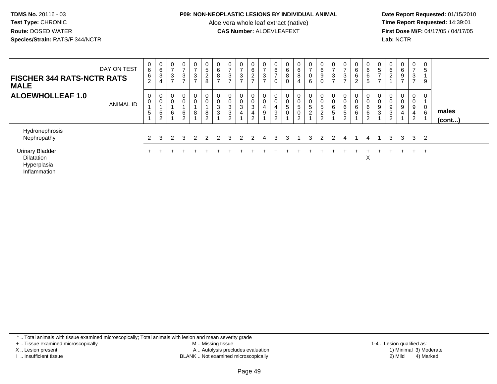#### **P09: NON-NEOPLASTIC LESIONS BY INDIVIDUAL ANIMAL**

Aloe vera whole leaf extract (native)<br>**CAS Number:** ALOEVLEAFEXT

 **Date Report Requested:** 01/15/2010 **First Dose M/F:** 04/17/05 / 04/17/05<br>**Lab:** NCTR **Lab:** NCTR

| <b>FISCHER 344 RATS-NCTR RATS</b><br><b>MALE</b>                    | DAY ON TEST      | 0<br>$6\phantom{a}$<br>$\frac{6}{2}$ | $\begin{array}{c} 0 \\ 6 \end{array}$<br>$\sqrt{3}$<br>4 | $\overline{7}$<br>$\ensuremath{\mathsf{3}}$<br>$\overline{ }$ | $\mathbf{0}$<br>$\rightarrow$<br>3<br>$\overline{ }$ | $\overline{0}$<br>$\overline{z}$<br>$\ensuremath{\mathsf{3}}$<br>$\overline{ }$ | 0<br>$\overline{5}$<br>$_{8}^2$ | $\begin{matrix} 0 \\ 6 \end{matrix}$<br>$\bf 8$<br>$\overline{z}$ | 0<br>$\overline{z}$<br>$\sqrt{3}$<br>$\overline{ }$          | $\frac{0}{7}$<br>$\frac{3}{7}$         | 0<br>6<br>$\boldsymbol{2}$<br>$\overline{ }$ | $\frac{0}{7}$<br>3<br>$\rightarrow$ | $\begin{array}{c} 0 \\ 6 \end{array}$<br>$\overline{7}$<br>$\mathbf 0$ | $\begin{matrix} 0 \\ 6 \end{matrix}$<br>8<br>$\pmb{0}$ | $\mathbf{0}$<br>$\overline{6}$<br>8<br>$\overline{4}$                  | $\frac{0}{7}$<br>$\begin{array}{c} 0 \\ 6 \end{array}$ | $\begin{array}{c} 0 \\ 6 \end{array}$<br>9<br>$\mathbf 0$                   | 0<br>$\overline{7}$<br>$\ensuremath{\mathsf{3}}$<br>$\overline{ }$ | $\overline{\phantom{0}}$<br>3<br>$\overline{ }$ | $\mathbf{0}$<br>$\overline{6}$<br>6<br>$\overline{2}$ | $\begin{matrix} 0 \\ 6 \end{matrix}$<br>6<br>5 | $\frac{0}{5}$<br>$\rightarrow$                     | $\begin{matrix} 0 \\ 6 \end{matrix}$<br>$\boldsymbol{2}$ | $\begin{matrix} 0 \\ 6 \end{matrix}$<br>$9\,$<br>$\overline{ }$ | 0<br>$\overline{7}$<br>3<br>$\overline{7}$   | 5<br>9 |                 |
|---------------------------------------------------------------------|------------------|--------------------------------------|----------------------------------------------------------|---------------------------------------------------------------|------------------------------------------------------|---------------------------------------------------------------------------------|---------------------------------|-------------------------------------------------------------------|--------------------------------------------------------------|----------------------------------------|----------------------------------------------|-------------------------------------|------------------------------------------------------------------------|--------------------------------------------------------|------------------------------------------------------------------------|--------------------------------------------------------|-----------------------------------------------------------------------------|--------------------------------------------------------------------|-------------------------------------------------|-------------------------------------------------------|------------------------------------------------|----------------------------------------------------|----------------------------------------------------------|-----------------------------------------------------------------|----------------------------------------------|--------|-----------------|
| <b>ALOEWHOLLEAF 1.0</b>                                             | <b>ANIMAL ID</b> | 0<br>$\pmb{0}$<br>5                  | 0<br>$\pmb{0}$<br>5<br>$\overline{2}$                    | $\mathbf 0$<br>6                                              | 0<br>0<br>6<br>$\Omega$                              | $\mathbf 0$<br>0<br>8                                                           | 0<br>0<br>$\bf 8$<br>$\Omega$   | $\mathbf 0$<br>$\pmb{0}$<br>3<br>$\sqrt{3}$                       | 0<br>$\pmb{0}$<br>$\sqrt{3}$<br>$\sqrt{3}$<br>$\overline{2}$ | 0<br>0<br>3<br>$\overline{\mathbf{4}}$ | $\mathbf 0$<br>3<br>4<br>$\sim$              | 4<br>9                              | $\boldsymbol{0}$<br>$\pmb{0}$<br>4<br>$\boldsymbol{9}$<br>$\Omega$     | 0<br>0<br>$\overline{5}$<br>$\mathbf 0$                | $\mathbf 0$<br>$\pmb{0}$<br>$5\phantom{.0}$<br>$\mathbf 0$<br>$\Omega$ | $\mathbf 0$<br>$\pmb{0}$<br>$\frac{5}{2}$              | $\boldsymbol{0}$<br>$\pmb{0}$<br>$\sqrt{5}$<br>$\sqrt{2}$<br>$\overline{2}$ | $\mathbf 0$<br>$\pmb{0}$<br>$\,6$<br>$\sqrt{5}$                    | 0<br>6<br>$5\phantom{.0}$<br>C                  | $\mathbf 0$<br>$\pmb{0}$<br>6<br>$\,6$                | $\pmb{0}$<br>6<br>6<br>$\sim$                  | 0<br>$\pmb{0}$<br>$\boldsymbol{9}$<br>$\mathbf{3}$ | 0<br>$_{9}^{\rm 0}$<br>$\sqrt{3}$<br>$\overline{2}$      | 0<br>$\mathsf{O}\xspace$<br>$\boldsymbol{9}$<br>4               | 0<br>$\mathbf 0$<br>9<br>4<br>$\overline{2}$ | 6      | males<br>(cont) |
| Hydronephrosis<br>Nephropathy                                       |                  | $\mathcal{P}$                        | $\mathbf{3}$                                             |                                                               | 2 3                                                  |                                                                                 | 2 2                             | $\overline{2}$                                                    | $\mathbf{3}$                                                 |                                        | 2 2                                          | $\overline{4}$                      | $\mathbf{3}$                                                           | 3                                                      | $\overline{1}$                                                         | $\mathcal{B}$                                          | $\overline{2}$                                                              | 2 4                                                                |                                                 |                                                       | 4                                              |                                                    |                                                          | 3 3                                                             | $3\quad 2$                                   |        |                 |
| <b>Urinary Bladder</b><br>Dilatation<br>Hyperplasia<br>Inflammation |                  |                                      |                                                          |                                                               |                                                      |                                                                                 |                                 |                                                                   |                                                              |                                        |                                              |                                     |                                                                        |                                                        |                                                                        |                                                        |                                                                             |                                                                    |                                                 |                                                       | X                                              |                                                    |                                                          |                                                                 | $+$                                          | $^+$   |                 |

\* .. Total animals with tissue examined microscopically; Total animals with lesion and mean severity grade

+ .. Tissue examined microscopically

X .. Lesion present

I .. Insufficient tissue

 M .. Missing tissueA .. Autolysis precludes evaluation

BLANK .. Not examined microscopically 2) Mild 4) Marked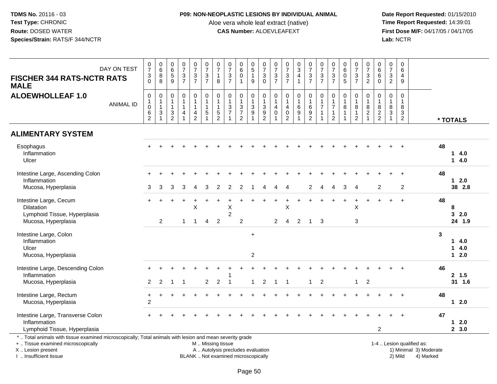## **P09: NON-NEOPLASTIC LESIONS BY INDIVIDUAL ANIMAL**

Aloe vera whole leaf extract (native)<br>**CAS Number:** ALOEVLEAFEXT

| <b>FISCHER 344 RATS-NCTR RATS</b><br><b>MALE</b>                                                                                                                                              | DAY ON TEST      | $\frac{0}{7}$<br>3<br>$\Omega$                         | $_{6}^{\rm 0}$<br>8<br>8                                                    | $\begin{array}{c} 0 \\ 6 \end{array}$<br>$\frac{5}{9}$                              | $\frac{0}{7}$<br>$\frac{3}{7}$                                                         | $\begin{smallmatrix}0\\7\end{smallmatrix}$<br>$\frac{3}{7}$ | $\frac{0}{7}$<br>$\frac{3}{7}$                                                | $\frac{0}{7}$<br>$\overline{1}$<br>8                                            | $\frac{0}{7}$<br>$\frac{3}{7}$                                                | $_{6}^{\rm 0}$<br>$\pmb{0}$<br>1                                                             | $\begin{array}{c} 0 \\ 5 \end{array}$<br>$\mathbf{1}$<br>9   | $\frac{0}{7}$<br>3<br>$\mathbf 0$                                  | $\frac{0}{7}$<br>$\frac{3}{7}$                                               | $\frac{0}{7}$<br>$\frac{3}{7}$                                             | $_{3}^{\rm 0}$<br>$\overline{4}$<br>$\overline{1}$                       | $\frac{0}{7}$<br>$\frac{3}{7}$                                                                     | $\begin{array}{c} 0 \\ 7 \end{array}$<br>$\frac{3}{7}$                      | $\begin{array}{c} 0 \\ 7 \end{array}$<br>$\frac{3}{7}$                          | $\begin{matrix} 0 \\ 6 \end{matrix}$<br>0<br>$\overline{5}$ | $\begin{array}{c} 0 \\ 7 \end{array}$<br>$\frac{3}{7}$                 | $\begin{array}{c} 0 \\ 7 \end{array}$<br>$\frac{3}{2}$                 | $\begin{array}{c} 0 \\ 6 \end{array}$<br>$\,6\,$<br>$\mathbf{0}$  | $\frac{0}{7}$<br>$\mathbf 3$<br>$\overline{2}$                     | $\pmb{0}$<br>$\,6\,$<br>$\overline{4}$<br>$\overline{9}$                     |                                                                  |    |                              |
|-----------------------------------------------------------------------------------------------------------------------------------------------------------------------------------------------|------------------|--------------------------------------------------------|-----------------------------------------------------------------------------|-------------------------------------------------------------------------------------|----------------------------------------------------------------------------------------|-------------------------------------------------------------|-------------------------------------------------------------------------------|---------------------------------------------------------------------------------|-------------------------------------------------------------------------------|----------------------------------------------------------------------------------------------|--------------------------------------------------------------|--------------------------------------------------------------------|------------------------------------------------------------------------------|----------------------------------------------------------------------------|--------------------------------------------------------------------------|----------------------------------------------------------------------------------------------------|-----------------------------------------------------------------------------|---------------------------------------------------------------------------------|-------------------------------------------------------------|------------------------------------------------------------------------|------------------------------------------------------------------------|-------------------------------------------------------------------|--------------------------------------------------------------------|------------------------------------------------------------------------------|------------------------------------------------------------------|----|------------------------------|
| <b>ALOEWHOLLEAF 1.0</b>                                                                                                                                                                       | <b>ANIMAL ID</b> | $\pmb{0}$<br>$\mathbf{1}$<br>$\mathbf 0$<br>$\,6$<br>2 | $\pmb{0}$<br>$\mathbf{1}$<br>$\mathbf{1}$<br>$\ensuremath{\mathsf{3}}$<br>1 | $\mathsf{O}\xspace$<br>$\mathbf{1}$<br>$\mathbf{1}$<br>$\sqrt{3}$<br>$\overline{2}$ | $\pmb{0}$<br>$\mathbf{1}$<br>$\mathbf{1}$<br>$\overline{\mathbf{4}}$<br>$\overline{1}$ | $\pmb{0}$<br>$\mathbf{1}$<br>1<br>4<br>$\overline{2}$       | $\pmb{0}$<br>$\overline{1}$<br>$\overline{1}$<br>$\sqrt{5}$<br>$\overline{1}$ | $\mathbf 0$<br>$\overline{1}$<br>$\overline{1}$<br>$\sqrt{5}$<br>$\overline{2}$ | $\mathbf 0$<br>$\mathbf{1}$<br>$\mathbf{3}$<br>$\overline{7}$<br>$\mathbf{1}$ | $\mathbf 0$<br>$\mathbf{1}$<br>$\ensuremath{\mathsf{3}}$<br>$\overline{7}$<br>$\overline{2}$ | $\pmb{0}$<br>$\frac{1}{3}$<br>$\overline{9}$<br>$\mathbf{1}$ | $\pmb{0}$<br>$\mathbf{1}$<br>3<br>$\overline{9}$<br>$\overline{2}$ | $\pmb{0}$<br>$\mathbf{1}$<br>$\overline{4}$<br>$\mathbf 0$<br>$\overline{1}$ | $\pmb{0}$<br>$\mathbf{1}$<br>$\overline{4}$<br>$\pmb{0}$<br>$\overline{2}$ | $\pmb{0}$<br>$\mathbf{1}$<br>$\,6\,$<br>$\overline{9}$<br>$\overline{1}$ | $\begin{smallmatrix}0\\1\end{smallmatrix}$<br>$\overline{6}$<br>$\boldsymbol{9}$<br>$\overline{2}$ | $\pmb{0}$<br>$\mathbf{1}$<br>$\overline{7}$<br>$\mathbf{1}$<br>$\mathbf{1}$ | $\mathbf 0$<br>$\mathbf{1}$<br>$\overline{7}$<br>$\mathbf{1}$<br>$\overline{2}$ | 0<br>$\mathbf{1}$<br>8<br>$\mathbf{1}$<br>$\mathbf{1}$      | $\pmb{0}$<br>$\mathbf{1}$<br>$\,8\,$<br>$\mathbf{1}$<br>$\overline{2}$ | $\,0\,$<br>$\mathbf{1}$<br>$\bf 8$<br>$\overline{2}$<br>$\overline{1}$ | $\mathsf{O}\xspace$<br>$\overline{1}$<br>$\bf 8$<br>$\frac{2}{2}$ | $\mathbf 0$<br>$\overline{1}$<br>8<br>$\sqrt{3}$<br>$\overline{1}$ | 0<br>$\overline{1}$<br>$\bf8$<br>$\ensuremath{\mathsf{3}}$<br>$\overline{2}$ |                                                                  |    | * TOTALS                     |
| <b>ALIMENTARY SYSTEM</b>                                                                                                                                                                      |                  |                                                        |                                                                             |                                                                                     |                                                                                        |                                                             |                                                                               |                                                                                 |                                                                               |                                                                                              |                                                              |                                                                    |                                                                              |                                                                            |                                                                          |                                                                                                    |                                                                             |                                                                                 |                                                             |                                                                        |                                                                        |                                                                   |                                                                    |                                                                              |                                                                  |    |                              |
| Esophagus<br>Inflammation<br>Ulcer                                                                                                                                                            |                  |                                                        |                                                                             |                                                                                     |                                                                                        |                                                             |                                                                               |                                                                                 |                                                                               |                                                                                              |                                                              |                                                                    |                                                                              |                                                                            |                                                                          |                                                                                                    |                                                                             |                                                                                 |                                                             |                                                                        |                                                                        |                                                                   |                                                                    |                                                                              |                                                                  | 48 | 14.0<br>14.0                 |
| Intestine Large, Ascending Colon<br>Inflammation<br>Mucosa, Hyperplasia                                                                                                                       |                  | 3                                                      | 3                                                                           | 3                                                                                   | 3                                                                                      | 4                                                           | 3                                                                             | 2                                                                               | 2                                                                             | 2                                                                                            |                                                              | 4                                                                  | 4                                                                            | 4                                                                          |                                                                          | $\overline{2}$                                                                                     | 4                                                                           | 4                                                                               | 3                                                           | $\overline{4}$                                                         |                                                                        | 2                                                                 |                                                                    | 2                                                                            |                                                                  | 48 | $12.0$<br>38 2.8             |
| Intestine Large, Cecum<br><b>Dilatation</b><br>Lymphoid Tissue, Hyperplasia<br>Mucosa, Hyperplasia                                                                                            |                  |                                                        | 2                                                                           |                                                                                     | $\mathbf{1}$                                                                           | X<br>$\mathbf{1}$                                           | $\overline{4}$                                                                | $\overline{2}$                                                                  | X<br>$\overline{2}$                                                           | $\overline{c}$                                                                               |                                                              |                                                                    | $\pm$<br>$\overline{2}$                                                      | $\ddot{}$<br>X<br>$\overline{4}$                                           | 2                                                                        | $\overline{1}$                                                                                     | 3                                                                           |                                                                                 | $\ddot{}$                                                   | $\ddot{}$<br>X<br>3                                                    |                                                                        |                                                                   |                                                                    | $+$                                                                          |                                                                  | 48 | 8<br>32.0<br>24 1.9          |
| Intestine Large, Colon<br>Inflammation<br>Ulcer<br>Mucosa, Hyperplasia                                                                                                                        |                  |                                                        |                                                                             |                                                                                     |                                                                                        |                                                             |                                                                               |                                                                                 |                                                                               |                                                                                              | $\ddot{}$<br>$\overline{c}$                                  |                                                                    |                                                                              |                                                                            |                                                                          |                                                                                                    |                                                                             |                                                                                 |                                                             |                                                                        |                                                                        |                                                                   |                                                                    |                                                                              |                                                                  | 3  | 14.0<br>14.0<br>$12.0$       |
| Intestine Large, Descending Colon<br>Inflammation<br>Mucosa, Hyperplasia                                                                                                                      |                  | $\overline{2}$                                         | $\overline{2}$                                                              |                                                                                     |                                                                                        |                                                             | $\overline{2}$                                                                | $\sqrt{2}$                                                                      |                                                                               |                                                                                              | 1                                                            | 2                                                                  | $\overline{1}$                                                               |                                                                            |                                                                          | 1                                                                                                  | $\boldsymbol{2}$                                                            |                                                                                 |                                                             | $\mathbf{1}$                                                           | $\overline{2}$                                                         |                                                                   |                                                                    |                                                                              |                                                                  | 46 | 2, 1.5<br>31 1.6             |
| Intestine Large, Rectum<br>Mucosa, Hyperplasia                                                                                                                                                |                  | $\ddot{}$<br>$\overline{2}$                            |                                                                             |                                                                                     |                                                                                        |                                                             |                                                                               |                                                                                 |                                                                               |                                                                                              |                                                              |                                                                    |                                                                              |                                                                            |                                                                          |                                                                                                    |                                                                             |                                                                                 |                                                             |                                                                        |                                                                        |                                                                   |                                                                    | $\overline{+}$                                                               |                                                                  | 48 | $12.0$                       |
| Intestine Large, Transverse Colon<br>Inflammation<br>Lymphoid Tissue, Hyperplasia                                                                                                             |                  |                                                        |                                                                             |                                                                                     |                                                                                        |                                                             |                                                                               |                                                                                 |                                                                               |                                                                                              |                                                              |                                                                    |                                                                              |                                                                            |                                                                          |                                                                                                    |                                                                             |                                                                                 |                                                             |                                                                        |                                                                        | 2                                                                 |                                                                    |                                                                              |                                                                  | 47 | 2.0<br>$\mathbf 1$<br>2, 3.0 |
| *  Total animals with tissue examined microscopically; Total animals with lesion and mean severity grade<br>+  Tissue examined microscopically<br>X  Lesion present<br>I  Insufficient tissue |                  |                                                        |                                                                             |                                                                                     |                                                                                        |                                                             | M  Missing tissue                                                             |                                                                                 | A  Autolysis precludes evaluation<br>BLANK  Not examined microscopically      |                                                                                              |                                                              |                                                                    |                                                                              |                                                                            |                                                                          |                                                                                                    |                                                                             |                                                                                 |                                                             |                                                                        |                                                                        |                                                                   |                                                                    | 2) Mild                                                                      | 1-4  Lesion qualified as:<br>1) Minimal 3) Moderate<br>4) Marked |    |                              |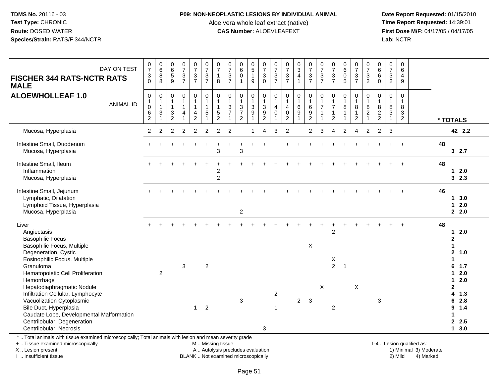#### **P09: NON-NEOPLASTIC LESIONS BY INDIVIDUAL ANIMAL**

Aloe vera whole leaf extract (native)<br>**CAS Number:** ALOEVLEAFEXT

 **Date Report Requested:** 01/15/2010 **First Dose M/F:** 04/17/05 / 04/17/05<br>Lab: NCTR **Lab:** NCTR

| DAY ON TEST<br><b>FISCHER 344 RATS-NCTR RATS</b><br><b>MALE</b>                                                                                                    | $\frac{0}{7}$<br>$\sqrt{3}$<br>$\Omega$                        | $\begin{array}{c} 0 \\ 6 \end{array}$<br>$\bf 8$<br>8                                    | $\begin{smallmatrix}0\0\0\end{smallmatrix}$<br>$\sqrt{5}$<br>9                  | $\frac{0}{7}$<br>$\frac{3}{7}$                         | $\begin{smallmatrix}0\\7\end{smallmatrix}$<br>$\frac{3}{7}$                                   | $\frac{0}{7}$<br>$\ensuremath{\mathsf{3}}$<br>$\overline{7}$ | $\frac{0}{7}$<br>$\overline{1}$<br>8                       | $\frac{0}{7}$<br>$\frac{3}{7}$                                 | 0<br>$\overline{6}$<br>$\pmb{0}$<br>$\mathbf{1}$           | $\begin{array}{c} 0 \\ 5 \\ 1 \end{array}$<br>$\boldsymbol{9}$     | $\frac{0}{7}$<br>3<br>$\overline{0}$          | $\begin{array}{c} 0 \\ 7 \end{array}$<br>$\frac{3}{7}$                        | $\begin{array}{c} 0 \\ 7 \end{array}$<br>$\frac{3}{7}$                     | $\begin{array}{c} 0 \\ 3 \\ 4 \\ 1 \end{array}$  | $\frac{0}{7}$<br>$\frac{3}{7}$                                  | $\frac{0}{7}$<br>$\mathbf{3}$<br>$\overline{7}$ | $\begin{array}{c} 0 \\ 7 \end{array}$<br>$\ensuremath{\mathsf{3}}$<br>$\overline{7}$ | $\begin{matrix} 0 \\ 6 \\ 0 \end{matrix}$<br>5 | $\frac{0}{7}$<br>$\frac{3}{7}$     | $\frac{0}{7}$<br>$\frac{3}{2}$                       | 0<br>$6\phantom{a}$<br>$\,6\,$<br>$\Omega$ | $\frac{0}{7}$<br>$\sqrt{3}$<br>$\overline{2}$                                     | 0<br>6<br>$\overline{4}$<br>9                                      |                           |                                   |                                             |
|--------------------------------------------------------------------------------------------------------------------------------------------------------------------|----------------------------------------------------------------|------------------------------------------------------------------------------------------|---------------------------------------------------------------------------------|--------------------------------------------------------|-----------------------------------------------------------------------------------------------|--------------------------------------------------------------|------------------------------------------------------------|----------------------------------------------------------------|------------------------------------------------------------|--------------------------------------------------------------------|-----------------------------------------------|-------------------------------------------------------------------------------|----------------------------------------------------------------------------|--------------------------------------------------|-----------------------------------------------------------------|-------------------------------------------------|--------------------------------------------------------------------------------------|------------------------------------------------|------------------------------------|------------------------------------------------------|--------------------------------------------|-----------------------------------------------------------------------------------|--------------------------------------------------------------------|---------------------------|-----------------------------------|---------------------------------------------|
| <b>ALOEWHOLLEAF 1.0</b><br><b>ANIMAL ID</b>                                                                                                                        | $\boldsymbol{0}$<br>$\mathbf{1}$<br>$\pmb{0}$<br>$\frac{6}{2}$ | $\mathbf 0$<br>$\mathbf{1}$<br>$\mathbf{1}$<br>$\ensuremath{\mathsf{3}}$<br>$\mathbf{1}$ | $\mathbf 0$<br>1<br>$\mathbf{1}$<br>$\ensuremath{\mathsf{3}}$<br>$\overline{c}$ | 0<br>$\mathbf{1}$<br>$\mathbf{1}$<br>4<br>$\mathbf{1}$ | $\boldsymbol{0}$<br>$\mathbf{1}$<br>$\mathbf{1}$<br>$\overline{\mathbf{4}}$<br>$\overline{a}$ | 0<br>$\mathbf{1}$<br>$\overline{1}$<br>$\sqrt{5}$            | $\pmb{0}$<br>$\mathbf{1}$<br>$\mathbf{1}$<br>$\frac{5}{2}$ | $\pmb{0}$<br>$\mathbf{1}$<br>$\sqrt{3}$<br>$\overline{7}$<br>1 | 0<br>$\mathbf{1}$<br>3<br>$\overline{7}$<br>$\overline{2}$ | 0<br>$\mathbf{1}$<br>$\sqrt{3}$<br>$\boldsymbol{9}$<br>$\mathbf 1$ | 0<br>$\mathbf{1}$<br>3<br>9<br>$\overline{c}$ | $\mathbf 0$<br>$\mathbf 1$<br>$\overline{4}$<br>$\mathbf 0$<br>$\overline{1}$ | $\pmb{0}$<br>$\mathbf{1}$<br>$\overline{4}$<br>$\pmb{0}$<br>$\overline{2}$ | 0<br>$\mathbf{1}$<br>$\,6\,$<br>$\boldsymbol{9}$ | $\pmb{0}$<br>$\overline{1}$<br>$6\phantom{1}6$<br>$\frac{9}{2}$ | $\mathbf 0$<br>$\overline{7}$                   | $\pmb{0}$<br>$\mathbf{1}$<br>$\overline{7}$<br>$\mathbf{1}$<br>$\overline{2}$        | 0<br>1<br>8<br>1                               | $\mathbf 0$<br>8<br>$\overline{c}$ | $\mathbf 0$<br>$\mathbf{1}$<br>$\,8\,$<br>$\sqrt{2}$ | 0<br>$\mathbf{1}$<br>8<br>$\frac{2}{2}$    | $\pmb{0}$<br>$\mathbf{1}$<br>$\,8\,$<br>$\ensuremath{\mathsf{3}}$<br>$\mathbf{1}$ | $\mathbf 0$<br>$\mathbf{1}$<br>8<br>$\mathbf{3}$<br>$\overline{2}$ |                           | * TOTALS                          |                                             |
| Mucosa, Hyperplasia                                                                                                                                                | $\overline{2}$                                                 | $\overline{2}$                                                                           | 2                                                                               | $\overline{2}$                                         | $\overline{2}$                                                                                | $\overline{2}$                                               | 2                                                          | 2                                                              |                                                            |                                                                    | Δ                                             | 3                                                                             | $\overline{2}$                                                             |                                                  | $\overline{2}$                                                  | 3                                               |                                                                                      | $\overline{2}$                                 | 4                                  | 2                                                    | $\overline{2}$                             | 3                                                                                 |                                                                    |                           |                                   | 42 2.2                                      |
| Intestine Small, Duodenum<br>Mucosa, Hyperplasia                                                                                                                   |                                                                |                                                                                          |                                                                                 |                                                        |                                                                                               |                                                              | 3                                                          |                                                                | 3                                                          |                                                                    |                                               |                                                                               |                                                                            |                                                  |                                                                 |                                                 |                                                                                      |                                                |                                    |                                                      |                                            |                                                                                   | $\ddot{}$                                                          |                           | 48                                | 32.7                                        |
| Intestine Small, Ileum<br>Inflammation<br>Mucosa, Hyperplasia                                                                                                      |                                                                |                                                                                          |                                                                                 |                                                        |                                                                                               |                                                              | 2<br>$\overline{c}$                                        |                                                                |                                                            |                                                                    |                                               |                                                                               |                                                                            |                                                  |                                                                 |                                                 |                                                                                      |                                                |                                    |                                                      |                                            |                                                                                   |                                                                    |                           | 48                                | 12.0<br>32.3                                |
| Intestine Small, Jejunum<br>Lymphatic, Dilatation<br>Lymphoid Tissue, Hyperplasia<br>Mucosa, Hyperplasia                                                           |                                                                |                                                                                          |                                                                                 |                                                        |                                                                                               |                                                              |                                                            |                                                                | $\overline{\mathbf{c}}$                                    |                                                                    |                                               |                                                                               |                                                                            |                                                  |                                                                 |                                                 |                                                                                      |                                                |                                    |                                                      |                                            |                                                                                   |                                                                    |                           | 46<br>1                           | 13.0<br>2.0<br>$2 \quad 2.0$                |
| Liver<br>Angiectasis<br><b>Basophilic Focus</b><br>Basophilic Focus, Multiple                                                                                      |                                                                |                                                                                          |                                                                                 |                                                        |                                                                                               |                                                              |                                                            |                                                                |                                                            |                                                                    |                                               |                                                                               |                                                                            |                                                  | X                                                               |                                                 | $\overline{2}$                                                                       | $\ddot{}$                                      |                                    |                                                      |                                            |                                                                                   |                                                                    |                           | 48<br>$\mathbf{2}$<br>$\mathbf 1$ | 12.0                                        |
| Degeneration, Cystic<br>Eosinophilic Focus, Multiple<br>Granuloma<br>Hematopoietic Cell Proliferation<br>Hemorrhage                                                |                                                                | $\overline{2}$                                                                           |                                                                                 | 3                                                      |                                                                                               | $\boldsymbol{2}$                                             |                                                            |                                                                |                                                            |                                                                    |                                               |                                                                               |                                                                            |                                                  |                                                                 |                                                 | Χ<br>$\overline{2}$                                                                  | $\mathbf{1}$                                   |                                    |                                                      |                                            |                                                                                   |                                                                    |                           | 6<br>$\mathbf 1$                  | $\mathbf{2}$<br>1.0<br>1.7<br>$12.0$<br>2.0 |
| Hepatodiaphragmatic Nodule<br>Infiltration Cellular, Lymphocyte<br>Vacuolization Cytoplasmic<br>Bile Duct, Hyperplasia<br>Caudate Lobe, Developmental Malformation |                                                                |                                                                                          |                                                                                 |                                                        | $\mathbf{1}$                                                                                  | $\overline{2}$                                               |                                                            |                                                                | 3                                                          |                                                                    |                                               | $\boldsymbol{2}$<br>1                                                         |                                                                            | $\overline{a}$                                   | $\mathbf{3}$                                                    | $\boldsymbol{\mathsf{X}}$                       | $\boldsymbol{2}$                                                                     |                                                | X                                  |                                                      | 3                                          |                                                                                   |                                                                    |                           | $\mathbf{2}$<br>4<br>6<br>9<br>1  | 1.3<br>2.8<br>1.4                           |
| Centrilobular, Degeneration<br>Centrilobular, Necrosis                                                                                                             |                                                                |                                                                                          |                                                                                 |                                                        |                                                                                               |                                                              |                                                            |                                                                |                                                            |                                                                    | 3                                             |                                                                               |                                                                            |                                                  |                                                                 |                                                 |                                                                                      |                                                |                                    |                                                      |                                            |                                                                                   |                                                                    |                           |                                   | 2.5<br>13.0                                 |
| *  Total animals with tissue examined microscopically; Total animals with lesion and mean severity grade<br>+  Tissue examined microscopically                     |                                                                |                                                                                          |                                                                                 |                                                        |                                                                                               | M  Missing tissue                                            |                                                            |                                                                |                                                            |                                                                    |                                               |                                                                               |                                                                            |                                                  |                                                                 |                                                 |                                                                                      |                                                |                                    |                                                      |                                            |                                                                                   |                                                                    | 1-4  Lesion qualified as: |                                   |                                             |

X .. Lesion present

I .. Insufficient tissue

 M .. Missing tissueA .. Autolysis precludes evaluation

BLANK .. Not examined microscopically 2) Mild 4) Marked

1-4 .. Lesion qualified as:<br>1) Minimal 3) Moderate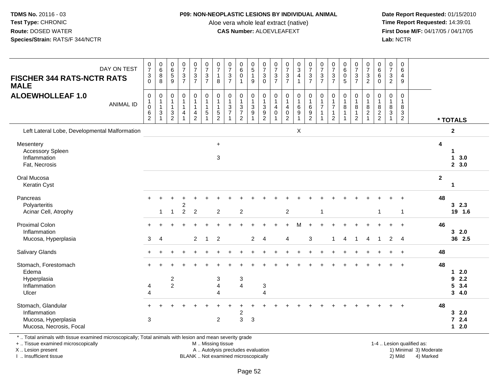#### **P09: NON-NEOPLASTIC LESIONS BY INDIVIDUAL ANIMAL**

Aloe vera whole leaf extract (native)<br>**CAS Number:** ALOEVLEAFEXT

 **Date Report Requested:** 01/15/2010 **First Dose M/F:** 04/17/05 / 04/17/05<br>**Lab:** NCTR **Lab:** NCTR

| DAY ON TEST<br><b>FISCHER 344 RATS-NCTR RATS</b><br><b>MALE</b><br><b>ALOEWHOLLEAF 1.0</b> | $\begin{array}{c} 0 \\ 7 \end{array}$<br>$\mathbf{3}$<br>$\Omega$   | $\begin{array}{c} 0 \\ 6 \end{array}$<br>8<br>8 | $\begin{array}{c} 0 \\ 6 \\ 5 \end{array}$<br>9    | $\frac{0}{7}$<br>$\mathfrak{S}$<br>$\overline{7}$     | $\begin{array}{c} 0 \\ 7 \end{array}$<br>$\overline{3}$<br>$\overline{7}$ | $\begin{array}{c} 0 \\ 7 \\ 3 \end{array}$<br>$\overline{7}$                  | $\begin{array}{c} 0 \\ 7 \end{array}$<br>$\mathbf{1}$<br>8          | $\frac{0}{7}$<br>$\ensuremath{\mathsf{3}}$<br>$\overline{7}$       | $\begin{matrix}0\6\0\end{matrix}$                                     | $\begin{array}{c} 0 \\ 5 \\ 1 \end{array}$<br>9            | $\frac{0}{7}$<br>$\overline{3}$<br>$\mathbf 0$                       | $\frac{0}{7}$<br>$rac{3}{7}$                                 | $\frac{0}{7}$<br>$\frac{3}{7}$                                                        | $\begin{array}{c} 0 \\ 3 \\ 4 \end{array}$<br>$\mathbf{1}$ | $\begin{array}{c} 0 \\ 7 \\ 3 \\ 7 \end{array}$              | $\frac{0}{7}$<br>$\overline{3}$<br>$\overline{7}$                       | $\frac{0}{7}$<br>$\ensuremath{\mathsf{3}}$<br>$\overline{7}$    | $\begin{smallmatrix}0\0\0\end{smallmatrix}$<br>5     | $\begin{array}{c} 0 \\ 7 \end{array}$<br>$\ensuremath{\mathsf{3}}$<br>$\overline{7}$ | $\frac{0}{7}$<br>$\overline{3}$<br>$\overline{2}$                          | $\begin{array}{c} 0 \\ 6 \end{array}$<br>6<br>$\Omega$ | $\begin{array}{c} 0 \\ 7 \end{array}$<br>$\mathsf 3$<br>$\overline{2}$       | $\pmb{0}$<br>$6\phantom{a}$<br>4<br>9                            |                                                |
|--------------------------------------------------------------------------------------------|---------------------------------------------------------------------|-------------------------------------------------|----------------------------------------------------|-------------------------------------------------------|---------------------------------------------------------------------------|-------------------------------------------------------------------------------|---------------------------------------------------------------------|--------------------------------------------------------------------|-----------------------------------------------------------------------|------------------------------------------------------------|----------------------------------------------------------------------|--------------------------------------------------------------|---------------------------------------------------------------------------------------|------------------------------------------------------------|--------------------------------------------------------------|-------------------------------------------------------------------------|-----------------------------------------------------------------|------------------------------------------------------|--------------------------------------------------------------------------------------|----------------------------------------------------------------------------|--------------------------------------------------------|------------------------------------------------------------------------------|------------------------------------------------------------------|------------------------------------------------|
| <b>ANIMAL ID</b>                                                                           | $\pmb{0}$<br>$\mathbf{1}$<br>$\pmb{0}$<br>$\,6\,$<br>$\overline{2}$ | 0<br>1<br>1<br>3                                | 0<br>$\mathbf{1}$<br>$\mathbf{1}$<br>$\frac{3}{2}$ | $\boldsymbol{0}$<br>$\mathbf{1}$<br>$\mathbf{1}$<br>4 | 0<br>4<br>$\overline{2}$                                                  | $\mathbf 0$<br>$\overline{1}$<br>$\overline{1}$<br>$\sqrt{5}$<br>$\mathbf{1}$ | 0<br>$\overline{1}$<br>$\mathbf{1}$<br>$\sqrt{5}$<br>$\overline{2}$ | $\pmb{0}$<br>$\mathbf{1}$<br>$\mathfrak{Z}$<br>$\overline{7}$<br>1 | 0<br>$\mathbf{1}$<br>$\mathbf{3}$<br>$\overline{7}$<br>$\overline{2}$ | 0<br>$\mathbf{1}$<br>$\sqrt{3}$<br>$9\,$<br>$\overline{1}$ | $\mathbf 0$<br>1<br>$\sqrt{3}$<br>$\boldsymbol{9}$<br>$\overline{2}$ | $\pmb{0}$<br>$\overline{1}$<br>$\overline{4}$<br>$\mathbf 0$ | $\pmb{0}$<br>$\overline{1}$<br>$\overline{\mathbf{4}}$<br>$\pmb{0}$<br>$\overline{2}$ | 0<br>$\mathbf{1}$<br>$\,6$<br>$\boldsymbol{9}$             | $\boldsymbol{0}$<br>$\mathbf{1}$<br>$\,6\,$<br>$\frac{9}{2}$ | $\boldsymbol{0}$<br>$\mathbf{1}$<br>$\overline{7}$<br>$\mathbf{1}$<br>1 | $\mathbf 0$<br>$\overline{7}$<br>$\mathbf{1}$<br>$\overline{2}$ | $\pmb{0}$<br>$\mathbf{1}$<br>$\,8\,$<br>$\mathbf{1}$ | 0<br>$\mathbf{1}$<br>8<br>$\mathbf{1}$<br>$\overline{c}$                             | $\mathbf 0$<br>$\overline{1}$<br>$\,8\,$<br>$\overline{c}$<br>$\mathbf{1}$ | $\mathbf 0$<br>$\mathbf{1}$<br>8<br>$\frac{2}{2}$      | $\boldsymbol{0}$<br>$\mathbf{1}$<br>$\,8\,$<br>$\mathsf 3$<br>$\overline{1}$ | $\pmb{0}$<br>$\mathbf{1}$<br>8<br>$\sqrt{3}$<br>$\boldsymbol{2}$ | * TOTALS                                       |
| Left Lateral Lobe, Developmental Malformation                                              |                                                                     |                                                 |                                                    |                                                       |                                                                           |                                                                               |                                                                     |                                                                    |                                                                       |                                                            |                                                                      |                                                              |                                                                                       | X                                                          |                                                              |                                                                         |                                                                 |                                                      |                                                                                      |                                                                            |                                                        |                                                                              |                                                                  | $\mathbf 2$                                    |
| Mesentery<br><b>Accessory Spleen</b><br>Inflammation<br>Fat, Necrosis                      |                                                                     |                                                 |                                                    |                                                       |                                                                           |                                                                               | $\ddot{}$<br>$\sqrt{3}$                                             |                                                                    |                                                                       |                                                            |                                                                      |                                                              |                                                                                       |                                                            |                                                              |                                                                         |                                                                 |                                                      |                                                                                      |                                                                            |                                                        |                                                                              |                                                                  | 4<br>3.0<br>$\mathbf 1$<br>2, 3.0              |
| Oral Mucosa<br>Keratin Cyst                                                                |                                                                     |                                                 |                                                    |                                                       |                                                                           |                                                                               |                                                                     |                                                                    |                                                                       |                                                            |                                                                      |                                                              |                                                                                       |                                                            |                                                              |                                                                         |                                                                 |                                                      |                                                                                      |                                                                            |                                                        |                                                                              |                                                                  | $\mathbf{2}$<br>1                              |
| Pancreas<br>Polyarteritis<br>Acinar Cell, Atrophy                                          |                                                                     | 1                                               | $\mathbf 1$                                        | 2<br>$\overline{2}$                                   | 2                                                                         |                                                                               | $\boldsymbol{2}$                                                    |                                                                    | $\overline{c}$                                                        |                                                            |                                                                      |                                                              | $\overline{c}$                                                                        |                                                            |                                                              | $\mathbf{1}$                                                            |                                                                 |                                                      |                                                                                      |                                                                            | $\mathbf{1}$                                           |                                                                              | $\mathbf{1}$                                                     | 48<br>$3\quad 2.3$<br>19 1.6                   |
| <b>Proximal Colon</b><br>Inflammation<br>Mucosa, Hyperplasia                               | 3                                                                   | $\overline{4}$                                  |                                                    |                                                       | $\overline{2}$                                                            | $\overline{1}$                                                                | $\overline{2}$                                                      |                                                                    |                                                                       | $\overline{2}$                                             | $\boldsymbol{\Lambda}$                                               |                                                              | 4                                                                                     | М                                                          | 3                                                            |                                                                         | $\overline{1}$                                                  | $\overline{4}$                                       | $\overline{1}$                                                                       | 4                                                                          | $\mathbf{1}$                                           | 2                                                                            | $\overline{4}$                                                   | 46<br>32.0<br>36 2.5                           |
| <b>Salivary Glands</b>                                                                     |                                                                     |                                                 |                                                    |                                                       |                                                                           |                                                                               |                                                                     |                                                                    |                                                                       |                                                            |                                                                      |                                                              |                                                                                       |                                                            |                                                              |                                                                         |                                                                 |                                                      |                                                                                      |                                                                            |                                                        |                                                                              | $\ddot{}$                                                        | 48                                             |
| Stomach, Forestomach<br>Edema<br>Hyperplasia<br>Inflammation<br>Ulcer                      | 4<br>$\overline{A}$                                                 |                                                 | $\boldsymbol{2}$<br>$\overline{2}$                 |                                                       |                                                                           |                                                                               | 3<br>$\overline{4}$<br>$\boldsymbol{\Lambda}$                       |                                                                    | 3<br>$\overline{4}$                                                   |                                                            | $\sqrt{3}$<br>$\boldsymbol{\varDelta}$                               |                                                              |                                                                                       |                                                            |                                                              |                                                                         |                                                                 |                                                      |                                                                                      |                                                                            |                                                        |                                                                              |                                                                  | 48<br>2.0<br>1<br>9<br>2.2<br>5<br>3.4<br>34.0 |
| Stomach, Glandular<br>Inflammation<br>Mucosa, Hyperplasia<br>Mucosa, Necrosis, Focal       | 3                                                                   |                                                 |                                                    |                                                       |                                                                           |                                                                               | $\overline{2}$                                                      |                                                                    | 2<br>$\overline{3}$                                                   | $\mathbf{3}$                                               |                                                                      |                                                              |                                                                                       |                                                            |                                                              |                                                                         |                                                                 |                                                      |                                                                                      |                                                                            |                                                        |                                                                              |                                                                  | 48<br>32.0<br>$72.4$<br>2.0<br>$\mathbf 1$     |

\* .. Total animals with tissue examined microscopically; Total animals with lesion and mean severity grade

+ .. Tissue examined microscopically

X .. Lesion present

I .. Insufficient tissue

 M .. Missing tissueA .. Autolysis precludes evaluation

1-4 .. Lesion qualified as:<br>1) Minimal 3) Moderate BLANK .. Not examined microscopically 2) Mild 4) Marked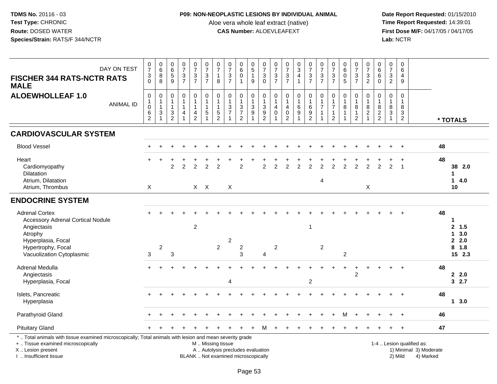# **P09: NON-NEOPLASTIC LESIONS BY INDIVIDUAL ANIMAL**

Aloe vera whole leaf extract (native)<br>**CAS Number:** ALOEVLEAFEXT

| DAY ON TEST<br><b>FISCHER 344 RATS-NCTR RATS</b><br><b>MALE</b>                                                                                                                               | $\frac{0}{7}$<br>$\sqrt{3}$<br>$\Omega$                       | $\begin{matrix} 0 \\ 6 \\ 8 \end{matrix}$<br>8                              | $\begin{array}{c} 0 \\ 6 \end{array}$<br>$\,$ 5 $\,$<br>9                                  | $\frac{0}{7}$<br>$\frac{3}{7}$                         | $\begin{array}{c} 0 \\ 7 \end{array}$<br>$\frac{3}{7}$                               | $\frac{0}{7}$<br>$\sqrt{3}$<br>$\overline{7}$                             | $\frac{0}{7}$<br>$\mathbf{1}$<br>8                             | $\frac{0}{7}$<br>$\frac{3}{7}$                                           | 0<br>$6\phantom{a}$<br>$\mathbf 0$                                              | $\begin{array}{c} 0 \\ 5 \\ 1 \end{array}$<br>9                                              | $\frac{0}{7}$<br>$\sqrt{3}$<br>$\mathbf 0$                            | $\frac{0}{7}$<br>$\frac{3}{7}$ | $\frac{0}{7}$<br>$rac{3}{7}$                                               | $\frac{0}{3}$<br>$\overline{4}$<br>$\overline{1}$                  | $\begin{array}{c} 0 \\ 7 \end{array}$<br>$\frac{3}{7}$                     | $\frac{0}{7}$<br>$\frac{3}{7}$                                     | $\frac{0}{7}$<br>$\frac{3}{7}$                                                  | $\begin{smallmatrix}0\0\0\end{smallmatrix}$<br>$\overline{5}$ | $\frac{0}{7}$<br>$rac{3}{7}$                                               | $\frac{0}{7}$<br>$\sqrt{3}$<br>$\overline{2}$                               | 0<br>$\,6\,$<br>$\,6\,$<br>$\Omega$          | $\frac{0}{7}$<br>$\sqrt{3}$<br>$\overline{2}$                                               | 0<br>6<br>4<br>9                                    |                                                                  |                                                |  |
|-----------------------------------------------------------------------------------------------------------------------------------------------------------------------------------------------|---------------------------------------------------------------|-----------------------------------------------------------------------------|--------------------------------------------------------------------------------------------|--------------------------------------------------------|--------------------------------------------------------------------------------------|---------------------------------------------------------------------------|----------------------------------------------------------------|--------------------------------------------------------------------------|---------------------------------------------------------------------------------|----------------------------------------------------------------------------------------------|-----------------------------------------------------------------------|--------------------------------|----------------------------------------------------------------------------|--------------------------------------------------------------------|----------------------------------------------------------------------------|--------------------------------------------------------------------|---------------------------------------------------------------------------------|---------------------------------------------------------------|----------------------------------------------------------------------------|-----------------------------------------------------------------------------|----------------------------------------------|---------------------------------------------------------------------------------------------|-----------------------------------------------------|------------------------------------------------------------------|------------------------------------------------|--|
| <b>ALOEWHOLLEAF 1.0</b><br><b>ANIMAL ID</b>                                                                                                                                                   | $\boldsymbol{0}$<br>$\mathbf{1}$<br>$\pmb{0}$<br>$\,6\,$<br>2 | $\mathbf 0$<br>$\mathbf{1}$<br>$\mathbf{1}$<br>$\mathbf{3}$<br>$\mathbf{1}$ | $\mathbf 0$<br>$\mathbf{1}$<br>$\mathbf{1}$<br>$\ensuremath{\mathsf{3}}$<br>$\overline{2}$ | 0<br>$\mathbf{1}$<br>$\mathbf{1}$<br>4<br>$\mathbf{1}$ | $\boldsymbol{0}$<br>$\mathbf{1}$<br>$\mathbf{1}$<br>$\overline{4}$<br>$\overline{2}$ | $\pmb{0}$<br>$\mathbf{1}$<br>$\mathbf{1}$<br>$\sqrt{5}$<br>$\overline{1}$ | $\mathbf 0$<br>$\overline{1}$<br>$\mathbf{1}$<br>$\frac{5}{2}$ | $\mathbf 0$<br>$\mathbf{1}$<br>$\frac{3}{7}$<br>$\overline{1}$           | $\mathbf 0$<br>$\mathbf{1}$<br>$\ensuremath{\mathsf{3}}$<br>$\overline{7}$<br>2 | $\pmb{0}$<br>$\mathbf{1}$<br>$\ensuremath{\mathsf{3}}$<br>$\boldsymbol{9}$<br>$\overline{1}$ | 0<br>$\mathbf{1}$<br>$\ensuremath{\mathsf{3}}$<br>9<br>$\overline{2}$ | $\mathbf 0$<br>4<br>0          | $\pmb{0}$<br>$\mathbf{1}$<br>$\overline{4}$<br>$\pmb{0}$<br>$\overline{2}$ | 0<br>$\mathbf{1}$<br>$\,6\,$<br>$\boldsymbol{9}$<br>$\overline{ }$ | $\pmb{0}$<br>$\mathbf{1}$<br>$\,6\,$<br>$\boldsymbol{9}$<br>$\overline{2}$ | $\mathbf 0$<br>$\mathbf{1}$<br>$\overline{7}$<br>$\mathbf{1}$<br>1 | $\mathbf 0$<br>$\mathbf{1}$<br>$\overline{7}$<br>$\mathbf{1}$<br>$\overline{2}$ | $\mathbf 0$<br>$\mathbf{1}$<br>$\bf 8$<br>$\mathbf{1}$        | $\mathbf 0$<br>$\overline{1}$<br>$\bf 8$<br>$\mathbf{1}$<br>$\overline{2}$ | $\mathbf 0$<br>$\mathbf{1}$<br>$\, 8$<br>$\boldsymbol{2}$<br>$\overline{1}$ | 0<br>$\mathbf{1}$<br>$\bf8$<br>$\frac{2}{2}$ | $\mathsf{O}\xspace$<br>$\mathbf{1}$<br>$\bf 8$<br>$\ensuremath{\mathsf{3}}$<br>$\mathbf{1}$ | 0<br>$\mathbf{1}$<br>$\bf 8$<br>3<br>$\overline{2}$ |                                                                  | * TOTALS                                       |  |
| <b>CARDIOVASCULAR SYSTEM</b>                                                                                                                                                                  |                                                               |                                                                             |                                                                                            |                                                        |                                                                                      |                                                                           |                                                                |                                                                          |                                                                                 |                                                                                              |                                                                       |                                |                                                                            |                                                                    |                                                                            |                                                                    |                                                                                 |                                                               |                                                                            |                                                                             |                                              |                                                                                             |                                                     |                                                                  |                                                |  |
| <b>Blood Vessel</b>                                                                                                                                                                           |                                                               |                                                                             |                                                                                            |                                                        |                                                                                      |                                                                           |                                                                |                                                                          |                                                                                 |                                                                                              |                                                                       |                                |                                                                            |                                                                    |                                                                            |                                                                    |                                                                                 |                                                               |                                                                            |                                                                             |                                              |                                                                                             |                                                     |                                                                  | 48                                             |  |
| Heart<br>Cardiomyopathy<br>Dilatation<br>Atrium, Dilatation<br>Atrium, Thrombus                                                                                                               | $\boldsymbol{\mathsf{X}}$                                     |                                                                             | $\overline{2}$                                                                             | $\overline{2}$                                         | $\overline{2}$                                                                       | $\overline{2}$<br>$X$ $X$                                                 | $\overline{2}$                                                 | X                                                                        | $\overline{2}$                                                                  |                                                                                              | $\overline{2}$                                                        | $\overline{2}$                 | $\overline{2}$                                                             | $\overline{2}$                                                     | $\overline{2}$                                                             | $\overline{2}$<br>$\overline{4}$                                   | $\overline{2}$                                                                  | $\overline{2}$                                                | $\overline{2}$                                                             | $\overline{2}$<br>X                                                         | $\mathfrak{p}$                               | $\overline{2}$                                                                              | $\ddot{}$<br>$\overline{1}$                         |                                                                  | 48<br>38 2.0<br>1<br>$\mathbf{1}$<br>4.0<br>10 |  |
| <b>ENDOCRINE SYSTEM</b>                                                                                                                                                                       |                                                               |                                                                             |                                                                                            |                                                        |                                                                                      |                                                                           |                                                                |                                                                          |                                                                                 |                                                                                              |                                                                       |                                |                                                                            |                                                                    |                                                                            |                                                                    |                                                                                 |                                                               |                                                                            |                                                                             |                                              |                                                                                             |                                                     |                                                                  |                                                |  |
| <b>Adrenal Cortex</b><br><b>Accessory Adrenal Cortical Nodule</b><br>Angiectasis<br>Atrophy                                                                                                   |                                                               |                                                                             |                                                                                            |                                                        | $\overline{c}$                                                                       |                                                                           |                                                                |                                                                          |                                                                                 |                                                                                              |                                                                       |                                |                                                                            |                                                                    | 1                                                                          |                                                                    |                                                                                 |                                                               |                                                                            |                                                                             |                                              |                                                                                             | $\ddot{}$                                           |                                                                  | 48<br>1<br>2, 1.5<br>3.0<br>$\mathbf 1$        |  |
| Hyperplasia, Focal<br>Hypertrophy, Focal<br>Vacuolization Cytoplasmic                                                                                                                         | 3                                                             | $\sqrt{2}$                                                                  | 3                                                                                          |                                                        |                                                                                      |                                                                           | $\overline{2}$                                                 | $\overline{c}$                                                           | $\overline{c}$<br>3                                                             |                                                                                              | $\overline{4}$                                                        | $\overline{2}$                 |                                                                            |                                                                    |                                                                            | $\overline{2}$                                                     |                                                                                 | $\overline{c}$                                                |                                                                            |                                                                             |                                              |                                                                                             |                                                     |                                                                  | 2.0<br>$8$ 1.8<br>15 2.3                       |  |
| Adrenal Medulla<br>Angiectasis<br>Hyperplasia, Focal                                                                                                                                          |                                                               |                                                                             |                                                                                            |                                                        |                                                                                      |                                                                           |                                                                | $\boldsymbol{\Lambda}$                                                   |                                                                                 |                                                                                              |                                                                       |                                |                                                                            |                                                                    | $\overline{c}$                                                             |                                                                    |                                                                                 |                                                               | $\overline{2}$                                                             |                                                                             |                                              |                                                                                             |                                                     |                                                                  | 48<br>2.0<br>32.7                              |  |
| Islets, Pancreatic<br>Hyperplasia                                                                                                                                                             |                                                               |                                                                             |                                                                                            |                                                        |                                                                                      |                                                                           |                                                                |                                                                          |                                                                                 |                                                                                              |                                                                       |                                |                                                                            |                                                                    |                                                                            |                                                                    |                                                                                 |                                                               |                                                                            |                                                                             |                                              |                                                                                             | $\ddot{}$                                           |                                                                  | 48<br>$1 \, 3.0$                               |  |
| Parathyroid Gland                                                                                                                                                                             |                                                               |                                                                             |                                                                                            |                                                        |                                                                                      |                                                                           |                                                                |                                                                          |                                                                                 |                                                                                              |                                                                       |                                |                                                                            |                                                                    |                                                                            |                                                                    |                                                                                 | м                                                             |                                                                            |                                                                             |                                              |                                                                                             |                                                     |                                                                  | 46                                             |  |
| <b>Pituitary Gland</b>                                                                                                                                                                        |                                                               |                                                                             |                                                                                            |                                                        |                                                                                      |                                                                           |                                                                |                                                                          |                                                                                 |                                                                                              | м                                                                     |                                |                                                                            |                                                                    |                                                                            |                                                                    |                                                                                 |                                                               |                                                                            |                                                                             |                                              |                                                                                             |                                                     |                                                                  | 47                                             |  |
| *  Total animals with tissue examined microscopically; Total animals with lesion and mean severity grade<br>+  Tissue examined microscopically<br>X  Lesion present<br>I  Insufficient tissue |                                                               |                                                                             |                                                                                            |                                                        |                                                                                      | M  Missing tissue                                                         |                                                                | A  Autolysis precludes evaluation<br>BLANK  Not examined microscopically |                                                                                 |                                                                                              |                                                                       |                                |                                                                            |                                                                    |                                                                            |                                                                    |                                                                                 |                                                               |                                                                            |                                                                             |                                              |                                                                                             | 2) Mild                                             | 1-4  Lesion qualified as:<br>1) Minimal 3) Moderate<br>4) Marked |                                                |  |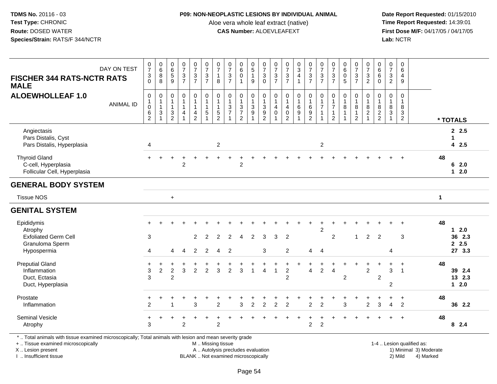#### **P09: NON-NEOPLASTIC LESIONS BY INDIVIDUAL ANIMAL**

Aloe vera whole leaf extract (native)<br>**CAS Number:** ALOEVLEAFEXT

 **Date Report Requested:** 01/15/2010 **First Dose M/F:** 04/17/05 / 04/17/05<br>Lab: NCTR **Lab:** NCTR

| DAY ON TEST                                                                  | $\begin{array}{c} 0 \\ 7 \end{array}$                                      | $\begin{array}{c} 0 \\ 6 \end{array}$    | $\begin{array}{c} 0 \\ 6 \\ 5 \end{array}$                                    | $\frac{0}{7}$                  | $\begin{array}{c} 0 \\ 7 \end{array}$                      | $\begin{array}{c} 0 \\ 7 \end{array}$                   | $\frac{0}{7}$                | $\begin{array}{c} 0 \\ 7 \end{array}$        | $\begin{array}{c} 0 \\ 6 \end{array}$                | $\begin{array}{c} 0 \\ 5 \\ 1 \end{array}$                    | $\frac{0}{7}$                                                           | $\begin{array}{c} 0 \\ 7 \end{array}$                        | $\begin{array}{c} 0 \\ 7 \end{array}$                         | $\begin{array}{c} 0 \\ 3 \\ 4 \end{array}$                  | $\frac{0}{7}$                                                          | $\frac{0}{7}$                  | $\frac{0}{7}$                                                                   |                                        | $\begin{smallmatrix}0\\7\end{smallmatrix}$     | $\frac{0}{7}$                                                   | $\begin{array}{c} 0 \\ 6 \end{array}$   | $\begin{array}{c} 0 \\ 7 \end{array}$                 | 0<br>$6\overline{6}$                                    |             |                            |
|------------------------------------------------------------------------------|----------------------------------------------------------------------------|------------------------------------------|-------------------------------------------------------------------------------|--------------------------------|------------------------------------------------------------|---------------------------------------------------------|------------------------------|----------------------------------------------|------------------------------------------------------|---------------------------------------------------------------|-------------------------------------------------------------------------|--------------------------------------------------------------|---------------------------------------------------------------|-------------------------------------------------------------|------------------------------------------------------------------------|--------------------------------|---------------------------------------------------------------------------------|----------------------------------------|------------------------------------------------|-----------------------------------------------------------------|-----------------------------------------|-------------------------------------------------------|---------------------------------------------------------|-------------|----------------------------|
| <b>FISCHER 344 RATS-NCTR RATS</b><br><b>MALE</b>                             | $\sqrt{3}$<br>$\mathbf 0$                                                  | $\overline{8}$<br>$\,8\,$                | $\overline{9}$                                                                | $\mathbf{3}$<br>$\overline{7}$ | $\frac{3}{7}$                                              | $rac{3}{7}$                                             | $\mathbf{1}$<br>8            | $\frac{3}{7}$                                | $\overline{0}$<br>$\mathbf{1}$                       | 9                                                             | $\mathbf{3}$<br>$\mathbf 0$                                             | $\frac{3}{7}$                                                | $rac{3}{7}$                                                   | $\overline{1}$                                              | $\frac{3}{7}$                                                          | $\mathbf{3}$<br>$\overline{7}$ | $rac{3}{7}$                                                                     |                                        | $\frac{3}{7}$                                  | $\frac{3}{2}$                                                   | $\,6\,$<br>$\Omega$                     | $\mathbf{3}$<br>$\overline{2}$                        | 4<br>9                                                  |             |                            |
| <b>ALOEWHOLLEAF 1.0</b><br><b>ANIMAL ID</b>                                  | $\mathbf 0$<br>$\mathbf{1}$<br>$\boldsymbol{0}$<br>$\,6$<br>$\overline{2}$ | 0<br>$\mathbf{1}$<br>$\overline{1}$<br>3 | $\mathbf 0$<br>$\mathbf{1}$<br>$\mathbf{1}$<br>$\mathbf{3}$<br>$\overline{2}$ | 0<br>4                         | 0<br>$\mathbf{1}$<br>$\overline{1}$<br>4<br>$\overline{2}$ | $\pmb{0}$<br>$\mathbf{1}$<br>$\mathbf{1}$<br>$\sqrt{5}$ | $\mathbf 0$<br>$\frac{5}{2}$ | $\mathbf 0$<br>$\mathbf{1}$<br>$\frac{3}{7}$ | 0<br>$\mathbf{1}$<br>$\frac{3}{7}$<br>$\overline{2}$ | $\mathbf 0$<br>$\mathbf{1}$<br>$\ensuremath{\mathsf{3}}$<br>9 | 0<br>$\mathbf{1}$<br>$\mathbf{3}$<br>$\boldsymbol{9}$<br>$\overline{2}$ | $\mathbf 0$<br>$\mathbf{1}$<br>$\overline{4}$<br>$\mathbf 0$ | $\pmb{0}$<br>$\mathbf{1}$<br>4<br>$\pmb{0}$<br>$\overline{2}$ | $\begin{smallmatrix}0\\1\end{smallmatrix}$<br>$\frac{6}{9}$ | $\begin{smallmatrix}0\\1\end{smallmatrix}$<br>$\,6\,$<br>$\frac{9}{2}$ | $\mathbf 0$<br>$\overline{7}$  | $\mathbf 0$<br>$\mathbf{1}$<br>$\overline{7}$<br>$\mathbf{1}$<br>$\overline{2}$ | 0<br>$\mathbf{1}$<br>8<br>$\mathbf{1}$ | 0<br>$\mathbf{1}$<br>$\bf 8$<br>$\overline{c}$ | $\mathbf 0$<br>$\mathbf{1}$<br>$\overline{8}$<br>$\overline{c}$ | 0<br>$\mathbf{1}$<br>8<br>$\frac{2}{2}$ | $\mathbf 0$<br>$\mathbf{1}$<br>8<br>$\mathbf{3}$<br>1 | $\mathbf 0$<br>$\mathbf{1}$<br>8<br>3<br>$\overline{2}$ |             | * TOTALS                   |
| Angiectasis<br>Pars Distalis, Cyst<br>Pars Distalis, Hyperplasia             | 4                                                                          |                                          |                                                                               |                                |                                                            |                                                         | $\overline{2}$               |                                              |                                                      |                                                               |                                                                         |                                                              |                                                               |                                                             |                                                                        | $\overline{c}$                 |                                                                                 |                                        |                                                |                                                                 |                                         |                                                       |                                                         |             | 2.5<br>1<br>42.5           |
| <b>Thyroid Gland</b><br>C-cell, Hyperplasia<br>Follicular Cell, Hyperplasia  |                                                                            |                                          |                                                                               | $\overline{2}$                 |                                                            |                                                         |                              |                                              | $\overline{2}$                                       |                                                               |                                                                         |                                                              |                                                               |                                                             |                                                                        |                                |                                                                                 |                                        |                                                |                                                                 |                                         |                                                       |                                                         | 48          | 62.0<br>$12.0$             |
| <b>GENERAL BODY SYSTEM</b>                                                   |                                                                            |                                          |                                                                               |                                |                                                            |                                                         |                              |                                              |                                                      |                                                               |                                                                         |                                                              |                                                               |                                                             |                                                                        |                                |                                                                                 |                                        |                                                |                                                                 |                                         |                                                       |                                                         |             |                            |
| <b>Tissue NOS</b>                                                            |                                                                            |                                          | $\ddot{}$                                                                     |                                |                                                            |                                                         |                              |                                              |                                                      |                                                               |                                                                         |                                                              |                                                               |                                                             |                                                                        |                                |                                                                                 |                                        |                                                |                                                                 |                                         |                                                       |                                                         | $\mathbf 1$ |                            |
| <b>GENITAL SYSTEM</b>                                                        |                                                                            |                                          |                                                                               |                                |                                                            |                                                         |                              |                                              |                                                      |                                                               |                                                                         |                                                              |                                                               |                                                             |                                                                        |                                |                                                                                 |                                        |                                                |                                                                 |                                         |                                                       |                                                         |             |                            |
| Epididymis<br>Atrophy                                                        |                                                                            |                                          |                                                                               |                                |                                                            |                                                         |                              |                                              |                                                      |                                                               |                                                                         |                                                              |                                                               |                                                             |                                                                        | $\boldsymbol{2}$               |                                                                                 |                                        |                                                |                                                                 |                                         |                                                       |                                                         | 48          | $12.0$                     |
| <b>Exfoliated Germ Cell</b><br>Granuloma Sperm                               | 3                                                                          |                                          |                                                                               |                                | $\overline{2}$                                             | $\overline{2}$                                          | 2                            | $\overline{c}$                               | $\overline{4}$                                       | 2                                                             | 3                                                                       | 3                                                            | $\overline{2}$                                                |                                                             |                                                                        |                                | $\boldsymbol{2}$                                                                |                                        | 1                                              | 2                                                               | $\overline{2}$                          |                                                       | 3                                                       |             | 36 2.3<br>2.5              |
| Hypospermia                                                                  | 4                                                                          |                                          | 4                                                                             | $\overline{4}$                 | $\overline{2}$                                             | 2                                                       | $\overline{4}$               | $\overline{2}$                               |                                                      |                                                               | 3                                                                       |                                                              | $\overline{2}$                                                |                                                             | 4                                                                      | $\overline{4}$                 |                                                                                 |                                        |                                                |                                                                 |                                         | 4                                                     |                                                         |             | 27 3.3                     |
| <b>Preputial Gland</b><br>Inflammation<br>Duct, Ectasia<br>Duct, Hyperplasia | $\ddot{}$<br>$\mathbf{3}$<br>3                                             | $\overline{c}$                           | $\overline{2}$<br>$\overline{2}$                                              | 3                              | $\overline{2}$                                             | $\overline{2}$                                          | 3                            | $\overline{2}$                               | 3                                                    |                                                               | $\boldsymbol{\Lambda}$                                                  | $\mathbf{1}$                                                 | +<br>$\overline{2}$<br>$\overline{2}$                         | $\pm$                                                       | $\overline{4}$                                                         | $\overline{c}$                 | $\overline{4}$                                                                  | $\overline{c}$                         | $\pm$                                          | $\overline{2}$                                                  | $\overline{2}$                          | 3<br>$\overline{2}$                                   | $\ddot{}$<br>$\overline{1}$                             | 48          | 39 2.4<br>13 2.3<br>$12.0$ |
| Prostate<br>Inflammation                                                     | 2                                                                          |                                          | 1                                                                             |                                | 3                                                          |                                                         | $\overline{2}$               |                                              | 3                                                    | $\overline{2}$                                                | $\overline{2}$                                                          | $\overline{2}$                                               | $\overline{2}$                                                |                                                             | $\overline{2}$                                                         | $\overline{2}$                 |                                                                                 | 3                                      |                                                | $\overline{c}$                                                  | 3                                       | $\overline{4}$                                        | $\ddot{}$<br>$\overline{2}$                             | 48          | 36 2.2                     |
| <b>Seminal Vesicle</b><br>Atrophy                                            | $\ddot{}$<br>3                                                             |                                          |                                                                               | $\overline{2}$                 |                                                            |                                                         | 2                            |                                              |                                                      |                                                               |                                                                         |                                                              |                                                               |                                                             | $\overline{a}$                                                         | $\overline{c}$                 |                                                                                 |                                        |                                                |                                                                 |                                         |                                                       |                                                         | 48          | 8 2.4                      |

\* .. Total animals with tissue examined microscopically; Total animals with lesion and mean severity grade

+ .. Tissue examined microscopically

X .. Lesion present

I .. Insufficient tissue

M .. Missing tissue

BLANK .. Not examined microscopically

1-4 .. Lesion qualified as:<br>1) Minimal 3) Moderate A .. Autolysis precludes evaluation 19 and 10 minimal 3) Moderate 1 and 20 minimal 3) Moderate 19 minimal 3) Moderat<br>19 and 19 and 19 and 19 and 19 and 19 and 19 and 19 and 19 and 19 and 19 and 19 and 19 and 19 and 19 and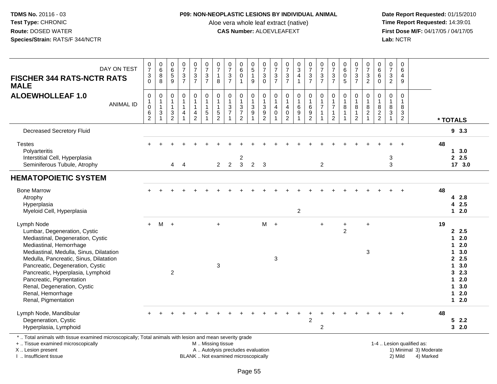## **P09: NON-NEOPLASTIC LESIONS BY INDIVIDUAL ANIMAL**

Aloe vera whole leaf extract (native)<br>**CAS Number:** ALOEVLEAFEXT

 **Date Report Requested:** 01/15/2010 **First Dose M/F:** 04/17/05 / 04/17/05<br>Lab: NCTR **Lab:** NCTR

| DAY ON TEST<br><b>FISCHER 344 RATS-NCTR RATS</b><br><b>MALE</b>                                                                                                                                                                                                                                                                                                                 | $\frac{0}{7}$<br>$\mathfrak{S}$<br>$\Omega$           | $\pmb{0}$<br>6<br>$\bf 8$<br>8                                                   | 0<br>$6\phantom{1}6$<br>$\overline{5}$<br>9                                                | $\begin{array}{c} 0 \\ 7 \end{array}$<br>$\mathfrak{S}$<br>$\overline{7}$ | $\frac{0}{7}$<br>$\frac{3}{7}$                                                 | $\begin{smallmatrix}0\\7\end{smallmatrix}$<br>$\frac{3}{7}$             | $\begin{array}{c} 0 \\ 7 \end{array}$<br>$\mathbf{1}$<br>8                   | $\begin{array}{c} 0 \\ 7 \end{array}$<br>$\frac{3}{7}$ | $\begin{array}{c} 0 \\ 6 \end{array}$<br>$\pmb{0}$<br>$\mathbf{1}$ | $\begin{array}{c} 0 \\ 5 \end{array}$<br>$\mathbf{1}$<br>9 | $\frac{0}{7}$<br>$\sqrt{3}$<br>$\mathbf 0$                   | $\frac{0}{7}$<br>$\frac{3}{7}$                                          | $\frac{0}{7}$<br>$\frac{3}{7}$                    | $_{3}^{\rm 0}$<br>$\overline{4}$<br>$\mathbf{1}$           | 0<br>$\overline{7}$<br>$\frac{3}{7}$                               | $\begin{array}{c} 0 \\ 7 \end{array}$<br>$\frac{3}{7}$                        | 0<br>$\overline{7}$<br>$\mathbf{3}$<br>$\overline{7}$                 | 0<br>$6\phantom{a}$<br>$\pmb{0}$<br>5              | $\frac{0}{7}$<br>$\frac{3}{7}$                                     | 0<br>$\overline{7}$<br>$\frac{3}{2}$                     | 0<br>6<br>$6\phantom{1}6$<br>$\Omega$                     | 0<br>$\overline{7}$<br>$\sqrt{3}$<br>$\overline{2}$                | 0<br>$6\phantom{a}$<br>4<br>9                |                                                     |                                                                                                    |  |
|---------------------------------------------------------------------------------------------------------------------------------------------------------------------------------------------------------------------------------------------------------------------------------------------------------------------------------------------------------------------------------|-------------------------------------------------------|----------------------------------------------------------------------------------|--------------------------------------------------------------------------------------------|---------------------------------------------------------------------------|--------------------------------------------------------------------------------|-------------------------------------------------------------------------|------------------------------------------------------------------------------|--------------------------------------------------------|--------------------------------------------------------------------|------------------------------------------------------------|--------------------------------------------------------------|-------------------------------------------------------------------------|---------------------------------------------------|------------------------------------------------------------|--------------------------------------------------------------------|-------------------------------------------------------------------------------|-----------------------------------------------------------------------|----------------------------------------------------|--------------------------------------------------------------------|----------------------------------------------------------|-----------------------------------------------------------|--------------------------------------------------------------------|----------------------------------------------|-----------------------------------------------------|----------------------------------------------------------------------------------------------------|--|
| <b>ALOEWHOLLEAF 1.0</b><br><b>ANIMAL ID</b>                                                                                                                                                                                                                                                                                                                                     | $\mathbf 0$<br>$\pmb{0}$<br>$\,6\,$<br>$\overline{2}$ | $\pmb{0}$<br>$\begin{array}{c} 1 \\ 1 \end{array}$<br>$\sqrt{3}$<br>$\mathbf{1}$ | $\mathbf 0$<br>$\mathbf{1}$<br>$\mathbf{1}$<br>$\ensuremath{\mathsf{3}}$<br>$\overline{c}$ | $\mathbf 0$<br>$\mathbf{1}$<br>$\mathbf{1}$<br>4<br>$\overline{1}$        | 0<br>$\mathbf{1}$<br>$\mathbf{1}$<br>$\overline{\mathbf{4}}$<br>$\overline{2}$ | $\pmb{0}$<br>$\mathbf{1}$<br>$\mathbf{1}$<br>$\sqrt{5}$<br>$\mathbf{1}$ | $\mathbf 0$<br>$\mathbf{1}$<br>$\mathbf{1}$<br>$\mathbf 5$<br>$\overline{2}$ | $\pmb{0}$<br>$\mathbf{1}$<br>$\frac{3}{7}$             | $\pmb{0}$<br>$\mathbf{1}$<br>$\frac{3}{7}$<br>$\overline{2}$       | 0<br>1<br>3<br>9<br>1                                      | $\pmb{0}$<br>$\mathbf{1}$<br>$\frac{3}{9}$<br>$\overline{2}$ | 0<br>$\mathbf{1}$<br>$\overline{4}$<br>$\Omega$<br>$\blacktriangleleft$ | $\mathbf 0$<br>4<br>$\mathbf 0$<br>$\overline{2}$ | $\mathbf 0$<br>$\mathbf{1}$<br>$\,6\,$<br>$\boldsymbol{9}$ | 0<br>$\mathbf{1}$<br>$\,6\,$<br>$\boldsymbol{9}$<br>$\overline{c}$ | $\pmb{0}$<br>$\mathbf{1}$<br>$\overline{7}$<br>$\overline{1}$<br>$\mathbf{1}$ | 0<br>$\mathbf{1}$<br>$\overline{7}$<br>$\mathbf{1}$<br>$\overline{2}$ | $\mathbf 0$<br>$\overline{1}$<br>8<br>$\mathbf{1}$ | $\mathbf 0$<br>$\mathbf{1}$<br>8<br>$\mathbf{1}$<br>$\overline{2}$ | $\mathbf 0$<br>$\mathbf{1}$<br>$\bf 8$<br>$\overline{2}$ | $\mathbf 0$<br>$\overline{1}$<br>$\bf 8$<br>$\frac{2}{2}$ | $\mathbf 0$<br>$\mathbf{1}$<br>8<br>$\overline{3}$<br>$\mathbf{1}$ | $\mathbf 0$<br>$\overline{1}$<br>8<br>3<br>2 |                                                     | * TOTALS                                                                                           |  |
| <b>Decreased Secretory Fluid</b>                                                                                                                                                                                                                                                                                                                                                |                                                       |                                                                                  |                                                                                            |                                                                           |                                                                                |                                                                         |                                                                              |                                                        |                                                                    |                                                            |                                                              |                                                                         |                                                   |                                                            |                                                                    |                                                                               |                                                                       |                                                    |                                                                    |                                                          |                                                           |                                                                    |                                              |                                                     | 93.3                                                                                               |  |
| <b>Testes</b><br>Polyarteritis<br>Interstitial Cell, Hyperplasia<br>Seminiferous Tubule, Atrophy                                                                                                                                                                                                                                                                                |                                                       |                                                                                  | 4                                                                                          | $\overline{4}$                                                            |                                                                                |                                                                         | $\overline{2}$                                                               | 2                                                      | 2<br>$\mathbf{3}$                                                  | $\overline{2}$                                             | $\overline{\mathbf{3}}$                                      |                                                                         |                                                   |                                                            |                                                                    | $\overline{2}$                                                                |                                                                       |                                                    |                                                                    |                                                          |                                                           | 3<br>3                                                             |                                              |                                                     | 48<br>13.0<br>2.5<br>17 3.0                                                                        |  |
| <b>HEMATOPOIETIC SYSTEM</b>                                                                                                                                                                                                                                                                                                                                                     |                                                       |                                                                                  |                                                                                            |                                                                           |                                                                                |                                                                         |                                                                              |                                                        |                                                                    |                                                            |                                                              |                                                                         |                                                   |                                                            |                                                                    |                                                                               |                                                                       |                                                    |                                                                    |                                                          |                                                           |                                                                    |                                              |                                                     |                                                                                                    |  |
| <b>Bone Marrow</b><br>Atrophy<br>Hyperplasia<br>Myeloid Cell, Hyperplasia                                                                                                                                                                                                                                                                                                       |                                                       |                                                                                  |                                                                                            |                                                                           |                                                                                |                                                                         |                                                                              |                                                        |                                                                    |                                                            |                                                              |                                                                         |                                                   | $\overline{c}$                                             |                                                                    |                                                                               |                                                                       |                                                    |                                                                    |                                                          |                                                           |                                                                    |                                              |                                                     | 48<br>4 2.8<br>4 2.5<br>$12.0$                                                                     |  |
| Lymph Node<br>Lumbar, Degeneration, Cystic<br>Mediastinal, Degeneration, Cystic<br>Mediastinal, Hemorrhage<br>Mediastinal, Medulla, Sinus, Dilatation<br>Medulla, Pancreatic, Sinus, Dilatation<br>Pancreatic, Degeneration, Cystic<br>Pancreatic, Hyperplasia, Lymphoid<br>Pancreatic, Pigmentation<br>Renal, Degeneration, Cystic<br>Renal, Hemorrhage<br>Renal, Pigmentation | $+$                                                   | M                                                                                | $+$<br>$\overline{2}$                                                                      |                                                                           |                                                                                |                                                                         | $\ddot{+}$<br>3                                                              |                                                        |                                                                    |                                                            | M                                                            | $+$<br>3                                                                |                                                   |                                                            |                                                                    | $\ddot{}$                                                                     |                                                                       | $\ddot{}$<br>$\overline{2}$                        |                                                                    | $\ddot{}$<br>3                                           |                                                           |                                                                    |                                              |                                                     | 19<br>2.5<br>$12.0$<br>$12.0$<br>13.0<br>2.5<br>13.0<br>32.3<br>$12.0$<br>13.0<br>$12.0$<br>$12.0$ |  |
| Lymph Node, Mandibular<br>Degeneration, Cystic<br>Hyperplasia, Lymphoid                                                                                                                                                                                                                                                                                                         |                                                       |                                                                                  |                                                                                            |                                                                           |                                                                                |                                                                         |                                                                              |                                                        |                                                                    |                                                            |                                                              |                                                                         |                                                   |                                                            | $\overline{2}$                                                     | $\overline{c}$                                                                |                                                                       |                                                    |                                                                    |                                                          |                                                           |                                                                    |                                              |                                                     | 48<br>52.2<br>32.0                                                                                 |  |
| *  Total animals with tissue examined microscopically; Total animals with lesion and mean severity grade<br>+  Tissue examined microscopically<br>X  Lesion present                                                                                                                                                                                                             |                                                       |                                                                                  |                                                                                            |                                                                           |                                                                                | M  Missing tissue<br>A  Autolysis precludes evaluation                  |                                                                              |                                                        |                                                                    |                                                            |                                                              |                                                                         |                                                   |                                                            |                                                                    |                                                                               |                                                                       |                                                    |                                                                    |                                                          |                                                           |                                                                    |                                              | 1-4  Lesion qualified as:<br>1) Minimal 3) Moderate |                                                                                                    |  |

I .. Insufficient tissue

BLANK .. Not examined microscopically 2) Mild 4) Marked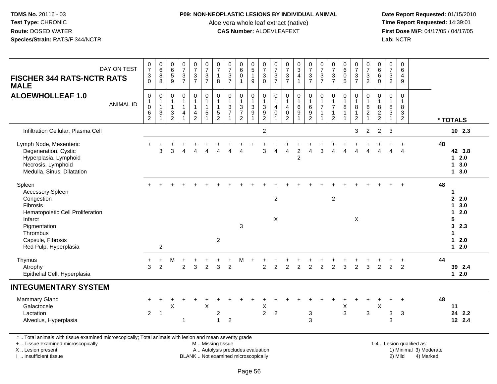### **P09: NON-NEOPLASTIC LESIONS BY INDIVIDUAL ANIMAL**

Aloe vera whole leaf extract (native)<br>**CAS Number:** ALOEVLEAFEXT

 **Date Report Requested:** 01/15/2010 **First Dose M/F:** 04/17/05 / 04/17/05<br>Lab: NCTR **Lab:** NCTR

| <b>FISCHER 344 RATS-NCTR RATS</b><br><b>MALE</b>                                                                                               | DAY ON TEST      | $\frac{0}{7}$<br>$\frac{3}{0}$                                        | $\begin{array}{c} 0 \\ 6 \end{array}$<br>$\bf 8$<br>8        | $\begin{array}{c} 0 \\ 6 \\ 5 \end{array}$<br>$9\,$     | $\frac{0}{7}$<br>$\frac{3}{7}$                                          | $\frac{0}{7}$<br>$rac{3}{7}$                                        | 0737                                                                      | $\frac{0}{7}$<br>$\mathbf{1}$<br>$\,8\,$                   | $\frac{0}{7}$<br>$\frac{3}{7}$                    | $\begin{smallmatrix}0\0\0\0\end{smallmatrix}$<br>$\overline{1}$           | $\begin{array}{c} 0 \\ 5 \\ 1 \end{array}$<br>9                         | $\begin{array}{c} 0 \\ 7 \\ 3 \\ 0 \end{array}$              | $\frac{0}{7}$<br>$\frac{3}{7}$                  | $\frac{0}{7}$<br>$rac{3}{7}$                                                 | $\begin{array}{c} 0 \\ 3 \\ 4 \end{array}$<br>$\overline{1}$                               | $\frac{0}{7}$<br>$\frac{3}{7}$                                      | $\begin{array}{c} 0 \\ 7 \\ 3 \\ 7 \end{array}$                            | $\frac{0}{7}$<br>$\sqrt{3}$<br>$\overline{7}$               |                                                              | $\frac{0}{7}$<br>$\frac{3}{7}$                                            | $\frac{0}{7}$<br>$\frac{3}{2}$ | $\begin{array}{c} 0 \\ 6 \\ 6 \end{array}$<br>$\mathbf 0$ | $\frac{0}{7}$<br>$\frac{3}{2}$                            | $\pmb{0}$<br>6<br>$\overline{4}$<br>9                              |                           |    |                                           |
|------------------------------------------------------------------------------------------------------------------------------------------------|------------------|-----------------------------------------------------------------------|--------------------------------------------------------------|---------------------------------------------------------|-------------------------------------------------------------------------|---------------------------------------------------------------------|---------------------------------------------------------------------------|------------------------------------------------------------|---------------------------------------------------|---------------------------------------------------------------------------|-------------------------------------------------------------------------|--------------------------------------------------------------|-------------------------------------------------|------------------------------------------------------------------------------|--------------------------------------------------------------------------------------------|---------------------------------------------------------------------|----------------------------------------------------------------------------|-------------------------------------------------------------|--------------------------------------------------------------|---------------------------------------------------------------------------|--------------------------------|-----------------------------------------------------------|-----------------------------------------------------------|--------------------------------------------------------------------|---------------------------|----|-------------------------------------------|
| <b>ALOEWHOLLEAF 1.0</b>                                                                                                                        | <b>ANIMAL ID</b> | $\pmb{0}$<br>$\mathbf 1$<br>$\begin{matrix} 0 \\ 6 \\ 2 \end{matrix}$ | $\pmb{0}$<br>$\begin{array}{c} 1 \\ 1 \\ 3 \\ 1 \end{array}$ | $\mathbf 0$<br>1<br>$\mathbf{1}$<br>3<br>$\overline{2}$ | $\pmb{0}$<br>$\begin{array}{c} 1 \\ 1 \end{array}$<br>4<br>$\mathbf{1}$ | $\mathsf{O}$<br>$\mathbf{1}$<br>$\mathbf{1}$<br>4<br>$\overline{2}$ | $\pmb{0}$<br>$\mathbf{1}$<br>$\mathbf{1}$<br>$\sqrt{5}$<br>$\overline{1}$ | $\pmb{0}$<br>$\mathbf{1}$<br>$\mathbf{1}$<br>$\frac{5}{2}$ | $\boldsymbol{0}$<br>$\mathbf{1}$<br>$\frac{3}{7}$ | $\pmb{0}$<br>$\begin{array}{c} 1 \\ 3 \\ 7 \end{array}$<br>$\overline{2}$ | 0<br>$\mathbf{1}$<br>$\ensuremath{\mathsf{3}}$<br>$\boldsymbol{9}$<br>1 | $\pmb{0}$<br>$\begin{array}{c} 1 \\ 3 \\ 9 \\ 2 \end{array}$ | $\mathbf 0$<br>$\mathbf{1}$<br>4<br>$\mathbf 0$ | $\mathbf 0$<br>$\mathbf{1}$<br>$\overline{4}$<br>$\pmb{0}$<br>$\overline{2}$ | $\mathsf 0$<br>$\begin{array}{c} 1 \\ 6 \end{array}$<br>$\boldsymbol{9}$<br>$\overline{1}$ | $\pmb{0}$<br>$\begin{array}{c} 1 \\ 6 \end{array}$<br>$\frac{9}{2}$ | $\begin{array}{c} 0 \\ 1 \\ 7 \end{array}$<br>$\mathbf{1}$<br>$\mathbf{1}$ | $\mathbf 0$<br>1<br>$\overline{7}$<br>1<br>$\boldsymbol{2}$ | $\pmb{0}$<br>$\frac{1}{8}$<br>$\mathbf{1}$<br>$\overline{1}$ | $\mathsf{O}$<br>$\mathbf{1}$<br>$\bf 8$<br>$\mathbf{1}$<br>$\overline{2}$ | 0<br>182                       | $\mathbf 0$<br>$\overline{1}$<br>$\frac{8}{2}$            | $\mathbf 0$<br>$\overline{1}$<br>$^8_3$<br>$\overline{1}$ | $\mathbf 0$<br>$\mathbf{1}$<br>8<br>$\mathbf{3}$<br>$\overline{2}$ |                           |    | * TOTALS                                  |
| Infiltration Cellular, Plasma Cell                                                                                                             |                  |                                                                       |                                                              |                                                         |                                                                         |                                                                     |                                                                           |                                                            |                                                   |                                                                           |                                                                         | $\overline{2}$                                               |                                                 |                                                                              |                                                                                            |                                                                     |                                                                            |                                                             |                                                              | 3                                                                         | 2                              | 2                                                         | 3                                                         |                                                                    |                           |    | $10$ 2.3                                  |
| Lymph Node, Mesenteric<br>Degeneration, Cystic<br>Hyperplasia, Lymphoid<br>Necrosis, Lymphoid<br>Medulla, Sinus, Dilatation                    |                  |                                                                       | 3                                                            | 3                                                       |                                                                         | $\boldsymbol{\varDelta}$                                            |                                                                           |                                                            | Δ                                                 | Δ                                                                         |                                                                         | 3                                                            | $\overline{4}$                                  | 4                                                                            | $\overline{c}$<br>$\overline{2}$                                                           | 4                                                                   | 3                                                                          | Δ                                                           |                                                              | 4                                                                         | Δ                              |                                                           | 4                                                         | Δ                                                                  |                           | 48 | 42 3.8<br>$12.0$<br>13.0<br>13.0          |
| Spleen<br>Accessory Spleen<br>Congestion<br>Fibrosis<br>Hematopoietic Cell Proliferation                                                       |                  |                                                                       |                                                              |                                                         |                                                                         |                                                                     |                                                                           |                                                            |                                                   |                                                                           |                                                                         |                                                              | $\overline{c}$                                  |                                                                              |                                                                                            |                                                                     |                                                                            | $\overline{c}$                                              |                                                              |                                                                           |                                |                                                           |                                                           |                                                                    |                           | 48 | 1<br>2.2.0<br>13.0<br>2.0<br>$\mathbf{1}$ |
| Infarct<br>Pigmentation<br>Thrombus<br>Capsule, Fibrosis<br>Red Pulp, Hyperplasia                                                              |                  |                                                                       | $\overline{c}$                                               |                                                         |                                                                         |                                                                     |                                                                           | $\overline{2}$                                             |                                                   | 3                                                                         |                                                                         |                                                              | $\times$                                        |                                                                              |                                                                                            |                                                                     |                                                                            |                                                             |                                                              | X                                                                         |                                |                                                           |                                                           |                                                                    |                           |    | 5<br>3<br>2.3<br>1<br>$12.0$<br>$12.0$    |
| Thymus<br>Atrophy<br>Epithelial Cell, Hyperplasia                                                                                              |                  | $\ddot{}$<br>3                                                        | $\ddot{}$<br>$\overline{2}$                                  | м                                                       | 2                                                                       | 3                                                                   | $\overline{2}$                                                            | 3                                                          | $\overline{2}$                                    | м                                                                         |                                                                         | 2                                                            | $\overline{2}$                                  | $\overline{2}$                                                               | $\overline{2}$                                                                             | $\overline{2}$                                                      | $\overline{2}$                                                             | 2                                                           | 3                                                            | $\overline{2}$                                                            | 3                              | 2                                                         | 2                                                         | $\overline{2}$                                                     |                           | 44 | 39 2.4<br>$12.0$                          |
| <b>INTEGUMENTARY SYSTEM</b>                                                                                                                    |                  |                                                                       |                                                              |                                                         |                                                                         |                                                                     |                                                                           |                                                            |                                                   |                                                                           |                                                                         |                                                              |                                                 |                                                                              |                                                                                            |                                                                     |                                                                            |                                                             |                                                              |                                                                           |                                |                                                           |                                                           |                                                                    |                           |    |                                           |
| <b>Mammary Gland</b><br>Galactocele<br>Lactation<br>Alveolus, Hyperplasia                                                                      |                  | $\overline{2}$                                                        | $\overline{1}$                                               | X                                                       | $\mathbf{1}$                                                            |                                                                     | $\boldsymbol{\mathsf{X}}$                                                 | $\sqrt{2}$<br>$\mathbf{1}$                                 | $\overline{2}$                                    |                                                                           |                                                                         | $\boldsymbol{\mathsf{X}}$<br>$\overline{2}$                  | $\overline{c}$                                  |                                                                              |                                                                                            | 3<br>3                                                              |                                                                            |                                                             | $\mathsf X$<br>$\mathbf{3}$                                  |                                                                           | 3                              | $\boldsymbol{\mathsf{X}}$                                 | 3<br>3                                                    | $\ddot{}$<br>$\sqrt{3}$                                            |                           | 48 | 11<br>24 2.2<br>12 2.4                    |
| *  Total animals with tissue examined microscopically; Total animals with lesion and mean severity grade<br>+  Tissue examined microscopically |                  |                                                                       |                                                              |                                                         |                                                                         |                                                                     | M  Missing tissue                                                         |                                                            |                                                   |                                                                           |                                                                         |                                                              |                                                 |                                                                              |                                                                                            |                                                                     |                                                                            |                                                             |                                                              |                                                                           |                                |                                                           |                                                           |                                                                    | 1-4  Lesion qualified as: |    |                                           |

X .. Lesion present

I .. Insufficient tissue

BLANK .. Not examined microscopically

A .. Autolysis precludes evaluation and the service of the service of the service of the service of the service of the service of the service of the service of the service of the service of the service of the service of th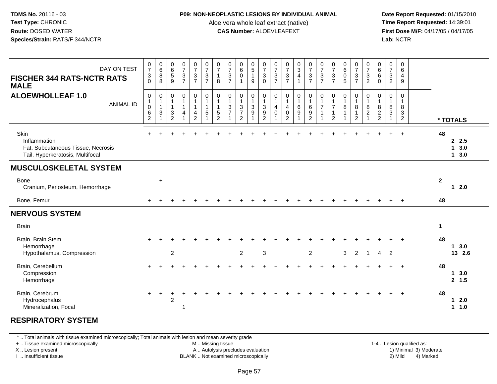#### **P09: NON-NEOPLASTIC LESIONS BY INDIVIDUAL ANIMAL**

Aloe vera whole leaf extract (native)<br>**CAS Number:** ALOEVLEAFEXT

 **Date Report Requested:** 01/15/2010 **First Dose M/F:** 04/17/05 / 04/17/05<br>**Lab:** NCTR **Lab:** NCTR

| DAY ON TEST<br><b>FISCHER 344 RATS-NCTR RATS</b><br><b>MALE</b>                                | $\frac{0}{7}$<br>3<br>$\Omega$                                        | $\begin{array}{c} 0 \\ 6 \end{array}$<br>$\bf 8$<br>8 | $_{6}^{\rm 0}$<br>$\sqrt{5}$<br>$\overline{9}$     | $\frac{0}{7}$<br>$\mathbf{3}$<br>$\overline{7}$  | $\frac{0}{7}$<br>$\mathfrak{S}$<br>$\overline{7}$   | $\frac{0}{7}$<br>$\mathbf 3$<br>$\overline{7}$                       | $\frac{0}{7}$<br>$\mathbf{1}$<br>8                                 | $\begin{matrix} 0 \\ 7 \\ 3 \end{matrix}$<br>$\overline{7}$              | $\begin{matrix} 0 \\ 6 \\ 0 \end{matrix}$                                                    | $\begin{matrix} 0 \\ 5 \end{matrix}$<br>$\mathbf{1}$<br>9          | $\begin{array}{c} 0 \\ 7 \\ 3 \end{array}$<br>$\Omega$            | $\frac{0}{7}$<br>$\sqrt{3}$<br>$\overline{7}$   | $\frac{0}{7}$<br>$\mathbf{3}$<br>$\overline{7}$                              | $\frac{0}{3}$<br>$\overline{4}$                           | $\frac{0}{7}$<br>$\frac{3}{7}$                        | $\frac{0}{7}$<br>$\sqrt{3}$<br>$\overline{7}$ | $\frac{0}{7}$<br>$\ensuremath{\mathsf{3}}$<br>$\overline{7}$ | $\begin{matrix}0\\6\end{matrix}$<br>$\boldsymbol{0}$<br>5 | $\frac{0}{7}$<br>3<br>$\overline{7}$ | $\begin{array}{c} 0 \\ 7 \\ 3 \end{array}$<br>$\overline{2}$  | $_{6}^{\rm 0}$<br>$\,6\,$<br>$\Omega$                 | $\begin{array}{c} 0 \\ 7 \\ 3 \\ 2 \end{array}$       | $\pmb{0}$<br>$6\phantom{1}6$<br>$\overline{4}$<br>9                |              |                     |
|------------------------------------------------------------------------------------------------|-----------------------------------------------------------------------|-------------------------------------------------------|----------------------------------------------------|--------------------------------------------------|-----------------------------------------------------|----------------------------------------------------------------------|--------------------------------------------------------------------|--------------------------------------------------------------------------|----------------------------------------------------------------------------------------------|--------------------------------------------------------------------|-------------------------------------------------------------------|-------------------------------------------------|------------------------------------------------------------------------------|-----------------------------------------------------------|-------------------------------------------------------|-----------------------------------------------|--------------------------------------------------------------|-----------------------------------------------------------|--------------------------------------|---------------------------------------------------------------|-------------------------------------------------------|-------------------------------------------------------|--------------------------------------------------------------------|--------------|---------------------|
| <b>ALOEWHOLLEAF 1.0</b><br><b>ANIMAL ID</b>                                                    | $\pmb{0}$<br>$\mathbf{1}$<br>$\mathsf 0$<br>$\,6\,$<br>$\overline{2}$ | 0<br>1<br>3                                           | 0<br>$\mathbf{1}$<br>$\mathbf{1}$<br>$\frac{3}{2}$ | $\pmb{0}$<br>1<br>$\mathbf{1}$<br>$\overline{4}$ | $\mathsf{O}$<br>$\mathbf{1}$<br>4<br>$\overline{c}$ | $\pmb{0}$<br>$\overline{1}$<br>$\overline{1}$<br>5<br>$\overline{ }$ | $\mathbf 0$<br>$\mathbf{1}$<br>$\mathbf{1}$<br>5<br>$\overline{c}$ | $\pmb{0}$<br>$\mathbf{1}$<br>$\ensuremath{\mathsf{3}}$<br>$\overline{7}$ | $\begin{smallmatrix}0\1\end{smallmatrix}$<br>$\mathbf 3$<br>$\overline{7}$<br>$\overline{2}$ | 0<br>$\mathbf{1}$<br>$\ensuremath{\mathsf{3}}$<br>$\boldsymbol{9}$ | $\boldsymbol{0}$<br>$\overline{1}$<br>$\sqrt{3}$<br>$\frac{9}{2}$ | 0<br>$\mathbf{1}$<br>$\overline{4}$<br>$\Omega$ | $\pmb{0}$<br>$\mathbf{1}$<br>$\overline{4}$<br>$\mathbf 0$<br>$\overline{2}$ | $\begin{smallmatrix}0\1\end{smallmatrix}$<br>$\,6\,$<br>9 | $\pmb{0}$<br>$\mathbf{1}$<br>$\,6\,$<br>$\frac{9}{2}$ | $\pmb{0}$<br>$\mathbf{1}$<br>$\overline{7}$   | 0<br>$\overline{1}$<br>$\overline{7}$<br>2                   | $\pmb{0}$<br>$\overline{1}$<br>8<br>1                     | 0<br>$\mathbf{1}$<br>8<br>2          | $\boldsymbol{0}$<br>$\mathbf{1}$<br>$\bf 8$<br>$\overline{c}$ | $\pmb{0}$<br>$\mathbf{1}$<br>$\bf 8$<br>$\frac{2}{2}$ | $\mathbf 0$<br>$\overline{1}$<br>$\bf8$<br>$\sqrt{3}$ | $\mathbf 0$<br>$\mathbf{1}$<br>8<br>$\mathbf{3}$<br>$\overline{2}$ |              | * TOTALS            |
| Skin<br>Inflammation<br>Fat, Subcutaneous Tissue, Necrosis<br>Tail, Hyperkeratosis, Multifocal |                                                                       |                                                       |                                                    |                                                  |                                                     |                                                                      |                                                                    |                                                                          |                                                                                              |                                                                    |                                                                   |                                                 |                                                                              |                                                           |                                                       |                                               |                                                              |                                                           |                                      |                                                               |                                                       |                                                       | $\ddot{}$                                                          | 48           | 2.5<br>13.0<br>13.0 |
| <b>MUSCULOSKELETAL SYSTEM</b>                                                                  |                                                                       |                                                       |                                                    |                                                  |                                                     |                                                                      |                                                                    |                                                                          |                                                                                              |                                                                    |                                                                   |                                                 |                                                                              |                                                           |                                                       |                                               |                                                              |                                                           |                                      |                                                               |                                                       |                                                       |                                                                    |              |                     |
| Bone<br>Cranium, Periosteum, Hemorrhage                                                        |                                                                       | $\ddot{}$                                             |                                                    |                                                  |                                                     |                                                                      |                                                                    |                                                                          |                                                                                              |                                                                    |                                                                   |                                                 |                                                                              |                                                           |                                                       |                                               |                                                              |                                                           |                                      |                                                               |                                                       |                                                       |                                                                    | $\mathbf{2}$ | $12.0$              |
| Bone, Femur                                                                                    |                                                                       |                                                       |                                                    |                                                  |                                                     |                                                                      |                                                                    |                                                                          |                                                                                              |                                                                    |                                                                   |                                                 |                                                                              |                                                           |                                                       |                                               |                                                              |                                                           |                                      |                                                               |                                                       |                                                       | $+$                                                                | 48           |                     |
| <b>NERVOUS SYSTEM</b>                                                                          |                                                                       |                                                       |                                                    |                                                  |                                                     |                                                                      |                                                                    |                                                                          |                                                                                              |                                                                    |                                                                   |                                                 |                                                                              |                                                           |                                                       |                                               |                                                              |                                                           |                                      |                                                               |                                                       |                                                       |                                                                    |              |                     |
| <b>Brain</b>                                                                                   |                                                                       |                                                       |                                                    |                                                  |                                                     |                                                                      |                                                                    |                                                                          |                                                                                              |                                                                    |                                                                   |                                                 |                                                                              |                                                           |                                                       |                                               |                                                              |                                                           |                                      |                                                               |                                                       |                                                       |                                                                    | $\mathbf 1$  |                     |
| Brain, Brain Stem<br>Hemorrhage<br>Hypothalamus, Compression                                   |                                                                       |                                                       | $\overline{c}$                                     |                                                  |                                                     |                                                                      |                                                                    |                                                                          | $\overline{2}$                                                                               |                                                                    | $\mathbf{3}$                                                      |                                                 |                                                                              |                                                           | $\overline{2}$                                        |                                               |                                                              | 3                                                         | $\overline{2}$                       | $\overline{1}$                                                | $\overline{4}$                                        | $\overline{2}$                                        |                                                                    | 48           | 13.0<br>13 2.6      |
| Brain, Cerebellum<br>Compression<br>Hemorrhage                                                 |                                                                       |                                                       |                                                    |                                                  |                                                     |                                                                      |                                                                    |                                                                          |                                                                                              |                                                                    |                                                                   |                                                 |                                                                              |                                                           |                                                       |                                               |                                                              |                                                           |                                      |                                                               |                                                       |                                                       | $+$                                                                | 48           | 13.0<br>2, 1.5      |
| Brain, Cerebrum<br>Hydrocephalus<br>Mineralization, Focal                                      | $\ddot{}$                                                             | $\ddot{}$                                             | $\overline{2}$                                     | 1                                                |                                                     |                                                                      |                                                                    |                                                                          |                                                                                              |                                                                    |                                                                   |                                                 |                                                                              |                                                           |                                                       |                                               |                                                              |                                                           |                                      |                                                               |                                                       |                                                       |                                                                    | 48           | 12.0<br>1 1.0       |

# **RESPIRATORY SYSTEM**

\* .. Total animals with tissue examined microscopically; Total animals with lesion and mean severity grade

+ .. Tissue examined microscopically

X .. Lesion present

I .. Insufficient tissue

M .. Missing tissue

A .. Autolysis precludes evaluation

BLANK .. Not examined microscopically 2) Mild 4) Marked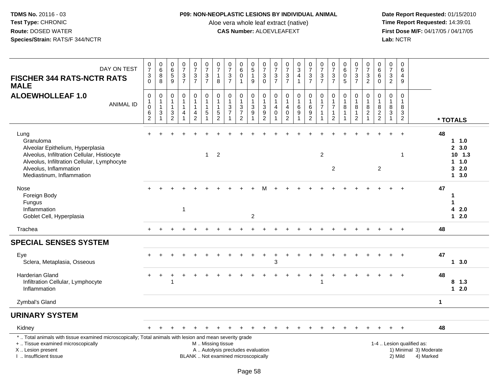### **P09: NON-NEOPLASTIC LESIONS BY INDIVIDUAL ANIMAL**

Aloe vera whole leaf extract (native)<br>**CAS Number:** ALOEVLEAFEXT

| DAY ON TEST<br><b>FISCHER 344 RATS-NCTR RATS</b><br><b>MALE</b>                                                                                                                                            | $\begin{array}{c} 0 \\ 7 \end{array}$<br>$\mathbf{3}$<br>$\Omega$ | $\begin{array}{c} 0 \\ 6 \end{array}$<br>8<br>8         | $\begin{array}{c} 0 \\ 6 \end{array}$<br>5<br>9       | $\frac{0}{7}$<br>$\frac{3}{7}$                                | $\begin{array}{c} 0 \\ 7 \end{array}$<br>$\frac{3}{7}$                          | $\frac{0}{7}$<br>$\ensuremath{\mathsf{3}}$<br>$\overline{7}$       | $\pmb{0}$<br>$\overline{7}$<br>$\overline{1}$<br>8                            | $\frac{0}{7}$<br>$\mathbf 3$<br>$\overline{7}$                                                | $_{6}^{\rm 0}$<br>$\mathbf 0$<br>$\mathbf{1}$                                   | $\begin{array}{c} 0 \\ 5 \end{array}$<br>$\overline{1}$<br>$\overline{9}$ | $\frac{0}{7}$<br>$\ensuremath{\mathsf{3}}$<br>$\Omega$  | $\frac{0}{7}$<br>$\ensuremath{\mathsf{3}}$<br>$\overline{7}$ | $\frac{0}{7}$<br>$\frac{3}{7}$                                       | $\begin{array}{c} 0 \\ 3 \\ 4 \end{array}$<br>$\mathbf{1}$ | $\frac{0}{7}$<br>$\frac{3}{7}$                                               | $\frac{0}{7}$<br>$\sqrt{3}$<br>$\overline{7}$         | $\frac{0}{7}$<br>$\ensuremath{\mathsf{3}}$<br>$\overline{7}$                    | $_{6}^{\rm 0}$<br>$\pmb{0}$<br>5 | $\frac{0}{7}$<br>$\frac{3}{7}$                                         | 0<br>$\overline{7}$<br>3<br>$\overline{2}$                        | $_{6}^{\rm 0}$<br>$\overline{6}$<br>$\mathbf 0$         | $\begin{array}{c} 0 \\ 7 \end{array}$<br>$\mathbf{3}$<br>$\overline{2}$ | $\mathbf 0$<br>$\,6\,$<br>$\overline{4}$<br>9            |                                                                  |             |                                                     |
|------------------------------------------------------------------------------------------------------------------------------------------------------------------------------------------------------------|-------------------------------------------------------------------|---------------------------------------------------------|-------------------------------------------------------|---------------------------------------------------------------|---------------------------------------------------------------------------------|--------------------------------------------------------------------|-------------------------------------------------------------------------------|-----------------------------------------------------------------------------------------------|---------------------------------------------------------------------------------|---------------------------------------------------------------------------|---------------------------------------------------------|--------------------------------------------------------------|----------------------------------------------------------------------|------------------------------------------------------------|------------------------------------------------------------------------------|-------------------------------------------------------|---------------------------------------------------------------------------------|----------------------------------|------------------------------------------------------------------------|-------------------------------------------------------------------|---------------------------------------------------------|-------------------------------------------------------------------------|----------------------------------------------------------|------------------------------------------------------------------|-------------|-----------------------------------------------------|
| <b>ALOEWHOLLEAF 1.0</b><br><b>ANIMAL ID</b>                                                                                                                                                                | $\mathbf 0$<br>$\mathbf{1}$<br>$\mathbf 0$<br>6<br>2              | $\mathbf 0$<br>$\overline{1}$<br>$\mathbf{1}$<br>3<br>1 | $\mathbf 0$<br>1<br>$\mathbf{1}$<br>$\mathbf{3}$<br>2 | $\mathbf 0$<br>$\mathbf{1}$<br>$\mathbf{1}$<br>$\overline{4}$ | $\mathbf 0$<br>$\mathbf{1}$<br>$\mathbf{1}$<br>$\overline{4}$<br>$\overline{c}$ | $\mathbf 0$<br>$\mathbf{1}$<br>$\mathbf{1}$<br>5<br>$\overline{1}$ | $\mathbf 0$<br>$\overline{1}$<br>$\mathbf{1}$<br>$\sqrt{5}$<br>$\overline{2}$ | $\mathbf 0$<br>$\mathbf{1}$<br>$\mathbf{3}$<br>$\overline{7}$<br>1                            | $\mathbf 0$<br>$\mathbf{1}$<br>$\ensuremath{\mathsf{3}}$<br>$\overline{7}$<br>2 | $\mathbf 0$<br>$\mathbf{1}$<br>$\mathbf{3}$<br>$9\,$<br>$\overline{1}$    | $\mathbf 0$<br>$\mathbf{1}$<br>$\mathfrak{Z}$<br>9<br>2 | $\mathbf 0$<br>$\mathbf{1}$<br>$\overline{4}$<br>$\Omega$    | 0<br>$\mathbf{1}$<br>$\overline{4}$<br>$\mathsf 0$<br>$\overline{2}$ | 0<br>$\mathbf{1}$<br>$\,6\,$<br>$\boldsymbol{9}$           | $\mathbf 0$<br>$\mathbf{1}$<br>$\,6\,$<br>$\boldsymbol{9}$<br>$\overline{2}$ | 0<br>$\mathbf{1}$<br>$\overline{7}$<br>$\overline{1}$ | $\mathbf 0$<br>$\mathbf{1}$<br>$\overline{7}$<br>$\mathbf{1}$<br>$\overline{2}$ | $\mathbf 0$<br>1<br>8            | $\pmb{0}$<br>$\mathbf{1}$<br>$\bf 8$<br>$\mathbf{1}$<br>$\overline{2}$ | $\mathbf 0$<br>$\mathbf 1$<br>8<br>$\overline{a}$<br>$\mathbf{1}$ | $\mathbf 0$<br>$\mathbf{1}$<br>$\bf 8$<br>$\frac{2}{2}$ | $\mathbf 0$<br>$\mathbf{1}$<br>$\bf 8$<br>$\mathsf 3$                   | $\mathbf 0$<br>$\mathbf{1}$<br>$\bf{8}$<br>$\frac{3}{2}$ |                                                                  |             | * TOTALS                                            |
| Lung<br>Granuloma<br>Alveolar Epithelium, Hyperplasia<br>Alveolus, Infiltration Cellular, Histiocyte<br>Alveolus, Infiltration Cellular, Lymphocyte<br>Alveolus, Inflammation<br>Mediastinum, Inflammation |                                                                   |                                                         |                                                       |                                                               |                                                                                 | $\mathbf{1}$                                                       | $\overline{2}$                                                                |                                                                                               |                                                                                 |                                                                           |                                                         |                                                              |                                                                      |                                                            |                                                                              | 2                                                     | $\overline{c}$                                                                  |                                  |                                                                        |                                                                   | $\overline{2}$                                          |                                                                         | 1                                                        |                                                                  | 48          | 1 1.0<br>2, 3.0<br>$10$ 1.3<br>11.0<br>32.0<br>13.0 |
| Nose<br>Foreign Body<br>Fungus<br>Inflammation<br>Goblet Cell, Hyperplasia                                                                                                                                 |                                                                   |                                                         |                                                       | $\mathbf{1}$                                                  |                                                                                 |                                                                    |                                                                               |                                                                                               |                                                                                 | $\overline{c}$                                                            |                                                         |                                                              |                                                                      |                                                            |                                                                              |                                                       |                                                                                 |                                  |                                                                        |                                                                   |                                                         |                                                                         |                                                          |                                                                  | 47          | 1<br>1<br>42.0<br>$12.0$                            |
| Trachea                                                                                                                                                                                                    |                                                                   |                                                         |                                                       |                                                               |                                                                                 |                                                                    |                                                                               |                                                                                               |                                                                                 |                                                                           |                                                         |                                                              |                                                                      |                                                            |                                                                              |                                                       |                                                                                 |                                  |                                                                        |                                                                   |                                                         |                                                                         | $\ddot{}$                                                |                                                                  | 48          |                                                     |
| <b>SPECIAL SENSES SYSTEM</b>                                                                                                                                                                               |                                                                   |                                                         |                                                       |                                                               |                                                                                 |                                                                    |                                                                               |                                                                                               |                                                                                 |                                                                           |                                                         |                                                              |                                                                      |                                                            |                                                                              |                                                       |                                                                                 |                                  |                                                                        |                                                                   |                                                         |                                                                         |                                                          |                                                                  |             |                                                     |
| Eye<br>Sclera, Metaplasia, Osseous                                                                                                                                                                         |                                                                   |                                                         |                                                       |                                                               |                                                                                 |                                                                    |                                                                               |                                                                                               |                                                                                 |                                                                           |                                                         | 3                                                            |                                                                      |                                                            |                                                                              |                                                       |                                                                                 |                                  |                                                                        |                                                                   |                                                         |                                                                         |                                                          |                                                                  | 47          | 1, 3.0                                              |
| <b>Harderian Gland</b><br>Infiltration Cellular, Lymphocyte<br>Inflammation                                                                                                                                |                                                                   |                                                         |                                                       |                                                               |                                                                                 |                                                                    |                                                                               |                                                                                               |                                                                                 |                                                                           |                                                         |                                                              |                                                                      |                                                            |                                                                              | 1                                                     |                                                                                 |                                  |                                                                        |                                                                   |                                                         |                                                                         |                                                          |                                                                  | 48          | $8$ 1.3<br>$12.0$                                   |
| Zymbal's Gland                                                                                                                                                                                             |                                                                   |                                                         |                                                       |                                                               |                                                                                 |                                                                    |                                                                               |                                                                                               |                                                                                 |                                                                           |                                                         |                                                              |                                                                      |                                                            |                                                                              |                                                       |                                                                                 |                                  |                                                                        |                                                                   |                                                         |                                                                         |                                                          |                                                                  | $\mathbf 1$ |                                                     |
| <b>URINARY SYSTEM</b>                                                                                                                                                                                      |                                                                   |                                                         |                                                       |                                                               |                                                                                 |                                                                    |                                                                               |                                                                                               |                                                                                 |                                                                           |                                                         |                                                              |                                                                      |                                                            |                                                                              |                                                       |                                                                                 |                                  |                                                                        |                                                                   |                                                         |                                                                         |                                                          |                                                                  |             |                                                     |
| Kidney                                                                                                                                                                                                     |                                                                   |                                                         |                                                       |                                                               |                                                                                 |                                                                    |                                                                               |                                                                                               |                                                                                 |                                                                           |                                                         |                                                              |                                                                      |                                                            |                                                                              |                                                       |                                                                                 |                                  |                                                                        |                                                                   |                                                         |                                                                         |                                                          |                                                                  | 48          |                                                     |
| *  Total animals with tissue examined microscopically; Total animals with lesion and mean severity grade<br>+  Tissue examined microscopically<br>X  Lesion present<br>I. Insufficient tissue              |                                                                   |                                                         |                                                       |                                                               |                                                                                 |                                                                    |                                                                               | M  Missing tissue<br>A  Autolysis precludes evaluation<br>BLANK  Not examined microscopically |                                                                                 |                                                                           |                                                         |                                                              |                                                                      |                                                            |                                                                              |                                                       |                                                                                 |                                  |                                                                        |                                                                   |                                                         |                                                                         | 2) Mild                                                  | 1-4  Lesion qualified as:<br>1) Minimal 3) Moderate<br>4) Marked |             |                                                     |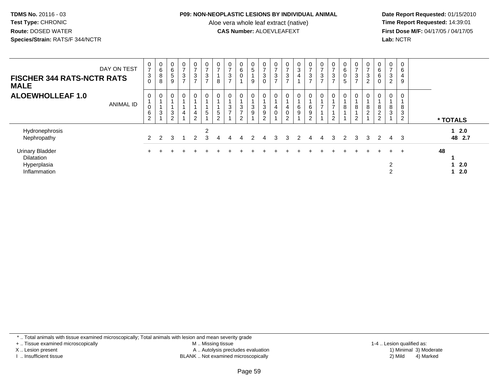#### **P09: NON-NEOPLASTIC LESIONS BY INDIVIDUAL ANIMAL**

Aloe vera whole leaf extract (native)<br>**CAS Number:** ALOEVLEAFEXT

 **Date Report Requested:** 01/15/2010 **First Dose M/F:** 04/17/05 / 04/17/05<br>Lab: NCTR **Lab:** NCTR

| DAY ON TEST<br><b>FISCHER 344 RATS-NCTR RATS</b><br><b>MALE</b>            | $\frac{0}{7}$<br>$\ensuremath{\mathsf{3}}$<br>$\mathbf 0$ | $\mathbf 0$<br>$\,6\,$<br>$\,8\,$<br>$\, 8$ | $_{6}^{\rm 0}$<br>5<br>9 | 0<br>$\overline{z}$<br>$\ensuremath{\mathsf{3}}$<br>$\rightarrow$ | $\mathbf 0$<br>$\rightarrow$<br>3<br>$\rightarrow$ | $\frac{0}{7}$<br>$\ensuremath{\mathsf{3}}$<br>$\overline{ }$ | 0<br>$\rightarrow$<br>8   | $\frac{0}{7}$<br>$\frac{3}{7}$ | $\begin{matrix} 0 \\ 6 \end{matrix}$<br>0           | $\begin{matrix} 0 \\ 5 \end{matrix}$<br>9 | $\frac{0}{7}$<br>3<br>$\mathbf 0$ | $\frac{0}{7}$<br>$\ensuremath{\mathsf{3}}$<br>$\rightarrow$ | $\frac{0}{7}$<br>3<br>$\rightarrow$ | $\frac{0}{3}$<br>$\overline{4}$  | $\frac{0}{7}$<br>$\frac{3}{7}$ | 0<br>$\overline{7}$<br>3<br>$\overline{ }$ | $\frac{0}{7}$<br>$\frac{3}{7}$ | $\begin{matrix} 0 \\ 6 \end{matrix}$<br>$\begin{array}{c} 0 \\ 5 \end{array}$ | 0<br>$\rightarrow$<br>$\mathsf 3$<br>$\rightarrow$ | $\frac{0}{7}$<br>$\frac{3}{2}$ | $\begin{matrix} 0 \\ 6 \end{matrix}$<br>$\,6\,$<br>$\mathbf 0$ | 0<br>$\rightarrow$<br>$\sqrt{3}$<br>$\overline{2}$ | 6<br>9                   |                  |  |
|----------------------------------------------------------------------------|-----------------------------------------------------------|---------------------------------------------|--------------------------|-------------------------------------------------------------------|----------------------------------------------------|--------------------------------------------------------------|---------------------------|--------------------------------|-----------------------------------------------------|-------------------------------------------|-----------------------------------|-------------------------------------------------------------|-------------------------------------|----------------------------------|--------------------------------|--------------------------------------------|--------------------------------|-------------------------------------------------------------------------------|----------------------------------------------------|--------------------------------|----------------------------------------------------------------|----------------------------------------------------|--------------------------|------------------|--|
| <b>ALOEWHOLLEAF 1.0</b><br>ANIMAL ID                                       | 0<br>0<br>$\,6$<br>$\overline{2}$                         | 0<br>$\sqrt{3}$                             | 0<br>3<br>$\overline{c}$ | 0<br>4                                                            | 0<br>4<br>$\sim$                                   | $\overline{0}$<br>$\sqrt{5}$                                 | 0<br>$\sqrt{5}$<br>$\sim$ | $\mathbf 0$<br>$\frac{3}{7}$   | 0<br>$\sqrt{3}$<br>$\overline{7}$<br>$\overline{2}$ | 0<br>3<br>9                               | 0<br>3<br>9<br>$\sim$             | 0<br>4<br>$\pmb{0}$                                         | 0<br>4<br>0<br>c                    | 0<br>$\,6\,$<br>$\boldsymbol{9}$ | 0<br>6<br>9<br>$\overline{2}$  | 0<br>$\overline{ }$                        | 0<br>$\rightarrow$<br>2        | 0<br>8                                                                        | $\mathbf{0}$<br>8<br>$\overline{2}$                | $\mathbf{0}$<br>$^8_2$         | 0<br>8<br>$\overline{2}$<br>$\overline{2}$                     | 0<br>8<br>3                                        | 8<br>3<br>$\overline{2}$ | * TOTALS         |  |
| Hydronephrosis<br>Nephropathy                                              |                                                           | $\mathcal{P}$                               | 3                        |                                                                   | $\mathcal{P}$                                      | 2<br>3                                                       | Δ                         |                                | Δ                                                   | $\mathcal{P}$                             | Δ                                 | 3                                                           | 3                                   | $\mathcal{P}$                    | 4                              | 4                                          | 3                              | 2                                                                             | 3                                                  | 3                              | 2                                                              | $\overline{4}$                                     | -3                       | 12.0<br>48 2.7   |  |
| <b>Urinary Bladder</b><br><b>Dilatation</b><br>Hyperplasia<br>Inflammation | ÷.                                                        |                                             |                          |                                                                   |                                                    |                                                              |                           |                                |                                                     |                                           |                                   |                                                             |                                     |                                  |                                |                                            |                                |                                                                               |                                                    |                                |                                                                | 2<br>2                                             | $\div$                   | 48<br>2.0<br>2.0 |  |

\* .. Total animals with tissue examined microscopically; Total animals with lesion and mean severity grade

+ .. Tissue examined microscopically

X .. Lesion present

I .. Insufficient tissue

 M .. Missing tissueA .. Autolysis precludes evaluation

BLANK .. Not examined microscopically 2) Mild 4) Marked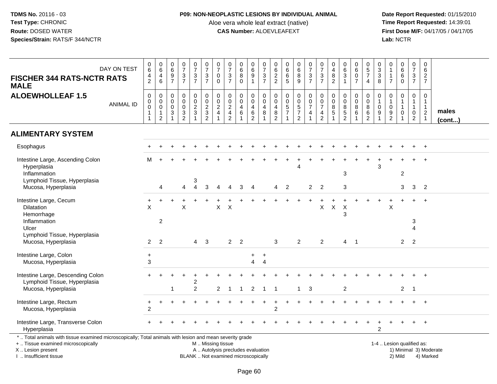# **P09: NON-NEOPLASTIC LESIONS BY INDIVIDUAL ANIMAL**

Aloe vera whole leaf extract (native)<br>**CAS Number:** ALOEVLEAFEXT

| DAY ON TEST<br><b>FISCHER 344 RATS-NCTR RATS</b><br><b>MALE</b>                                                                                                                               | $_{6}^{\rm 0}$<br>$\frac{4}{2}$                                     | $\begin{array}{c} 0 \\ 6 \end{array}$<br>$\overline{4}$<br>$\,6\,$        | $\begin{array}{c} 0 \\ 6 \end{array}$<br>$\frac{9}{7}$                           | $\begin{array}{c} 0 \\ 7 \end{array}$<br>$\frac{3}{7}$     | $\frac{0}{7}$<br>$\frac{3}{7}$                              | $\begin{array}{c} 0 \\ 7 \end{array}$<br>$\frac{3}{7}$ | $\frac{0}{7}$<br>$\mathbf 0$<br>$\mathbf 0$                        | $\frac{0}{7}$<br>$\frac{3}{7}$                                           | $_{6}^{\rm 0}$<br>$\bf 8$<br>$\mathbf 0$        | $_{6}^{\rm 0}$<br>$\frac{9}{1}$                        | $\frac{0}{7}$<br>$\frac{3}{7}$                   | $062$<br>22                                      | $\begin{array}{c} 0 \\ 6 \end{array}$<br>$\,6\,$<br>5  | $\begin{array}{c} 0 \\ 6 \end{array}$<br>$\frac{8}{9}$ | $\begin{smallmatrix}0\\7\end{smallmatrix}$<br>$\frac{3}{7}$ | $\begin{array}{c} 0 \\ 7 \end{array}$<br>$\frac{3}{7}$ | $\mathbf 0$<br>$\frac{4}{8}$<br>$\overline{2}$                      | $\pmb{0}$<br>$\overline{6}$<br>$\sqrt{3}$<br>$\mathbf{1}$ | 0<br>$\overline{6}$<br>$\begin{array}{c} 0 \\ 7 \end{array}$ | $\begin{array}{c} 0 \\ 5 \\ 7 \end{array}$<br>$\overline{4}$ | 0<br>$\sqrt{3}$<br>$\ensuremath{\mathsf{3}}$<br>8      | $\mathbf 0$<br>$\mathbf{1}$<br>$\overline{1}$<br>$\overline{7}$ | 0<br>$\overline{6}$<br>6<br>$\mathbf 0$               | $\frac{0}{7}$<br>$\frac{3}{7}$                                                              | 0<br>$6\overline{6}$<br>$\overline{2}$<br>$\overline{7}$            |                        |
|-----------------------------------------------------------------------------------------------------------------------------------------------------------------------------------------------|---------------------------------------------------------------------|---------------------------------------------------------------------------|----------------------------------------------------------------------------------|------------------------------------------------------------|-------------------------------------------------------------|--------------------------------------------------------|--------------------------------------------------------------------|--------------------------------------------------------------------------|-------------------------------------------------|--------------------------------------------------------|--------------------------------------------------|--------------------------------------------------|--------------------------------------------------------|--------------------------------------------------------|-------------------------------------------------------------|--------------------------------------------------------|---------------------------------------------------------------------|-----------------------------------------------------------|--------------------------------------------------------------|--------------------------------------------------------------|--------------------------------------------------------|-----------------------------------------------------------------|-------------------------------------------------------|---------------------------------------------------------------------------------------------|---------------------------------------------------------------------|------------------------|
| <b>ALOEWHOLLEAF 1.5</b><br><b>ANIMAL ID</b>                                                                                                                                                   | $\pmb{0}$<br>$\pmb{0}$<br>$\pmb{0}$<br>$\mathbf{1}$<br>$\mathbf{1}$ | $\mathbf 0$<br>$\pmb{0}$<br>$\mathbf 0$<br>$\mathbf{1}$<br>$\overline{2}$ | $\mathbf 0$<br>$\boldsymbol{0}$<br>$\mathbf 0$<br>$\mathbf{3}$<br>$\overline{1}$ | $\mathbf 0$<br>$\mathbf 0$<br>$\mathbf 0$<br>$\frac{3}{2}$ | $\mathbf 0$<br>$\mathsf 0$<br>$rac{2}{3}$<br>$\overline{1}$ | $\mathbf 0$<br>$\pmb{0}$<br>$\frac{2}{3}$              | 0<br>$\pmb{0}$<br>$\overline{c}$<br>$\overline{4}$<br>$\mathbf{1}$ | $_{\rm 0}^{\rm 0}$<br>$\overline{2}$<br>$\frac{4}{2}$                    | 0<br>$\ddot{\mathbf{0}}$<br>$\overline{4}$<br>6 | 0<br>$\overline{0}$<br>$\overline{4}$<br>$\frac{6}{2}$ | 0<br>$\overline{0}$<br>$\overline{4}$<br>$\bf 8$ | $\boldsymbol{0}$<br>$\mathbf 0$<br>$\frac{4}{8}$ | 0<br>$\overline{0}$<br>$\frac{5}{7}$<br>$\overline{1}$ | 0<br>$0$<br>5<br>7<br>2                                | 0<br>$\frac{0}{7}$<br>$\overline{4}$<br>$\mathbf{1}$        | $\boldsymbol{0}$<br>$\frac{0}{7}$<br>$\frac{4}{2}$     | 0<br>$\mathsf{O}\xspace$<br>$\bf 8$<br>$\sqrt{5}$<br>$\overline{1}$ | 0<br>$\mathbf 0$<br>$\frac{8}{2}$                         | $\mathbf 0$<br>$\mathbf 0$<br>$\bf 8$<br>6                   | $\mathbf 0$<br>$\overline{0}$<br>$rac{8}{6}$                 | 0<br>$\overline{1}$<br>$\mathbf 0$<br>$\boldsymbol{9}$ | $\mathbf 0$<br>$\mathbf{1}$<br>$\mathbf 0$<br>$\frac{9}{2}$     | 0<br>$\mathbf{1}$<br>$\mathbf{1}$<br>$\mathbf 0$<br>1 | $\mathbf 0$<br>$\mathbf{1}$<br>$\mathbf{1}$<br>$\begin{smallmatrix} 0\\2 \end{smallmatrix}$ | 0<br>$\mathbf{1}$<br>$\mathbf{1}$<br>$\overline{2}$<br>$\mathbf{1}$ | males<br>$($ cont $)$  |
| <b>ALIMENTARY SYSTEM</b>                                                                                                                                                                      |                                                                     |                                                                           |                                                                                  |                                                            |                                                             |                                                        |                                                                    |                                                                          |                                                 |                                                        |                                                  |                                                  |                                                        |                                                        |                                                             |                                                        |                                                                     |                                                           |                                                              |                                                              |                                                        |                                                                 |                                                       |                                                                                             |                                                                     |                        |
| Esophagus                                                                                                                                                                                     |                                                                     |                                                                           |                                                                                  |                                                            |                                                             |                                                        |                                                                    |                                                                          |                                                 |                                                        |                                                  |                                                  |                                                        |                                                        |                                                             |                                                        |                                                                     |                                                           |                                                              |                                                              |                                                        |                                                                 |                                                       |                                                                                             |                                                                     |                        |
| Intestine Large, Ascending Colon<br>Hyperplasia<br>Inflammation<br>Lymphoid Tissue, Hyperplasia                                                                                               | м                                                                   |                                                                           |                                                                                  |                                                            | 3                                                           |                                                        |                                                                    |                                                                          |                                                 |                                                        |                                                  |                                                  |                                                        | Δ                                                      |                                                             |                                                        |                                                                     | 3                                                         |                                                              |                                                              | 3                                                      |                                                                 | $\overline{c}$                                        |                                                                                             |                                                                     |                        |
| Mucosa, Hyperplasia                                                                                                                                                                           |                                                                     | $\overline{4}$                                                            |                                                                                  | 4                                                          | $\overline{4}$                                              | 3                                                      |                                                                    |                                                                          | 3                                               | 4                                                      |                                                  | 4                                                | $\overline{2}$                                         |                                                        | $2^{\circ}$                                                 | $\overline{2}$                                         |                                                                     | $\sqrt{3}$                                                |                                                              |                                                              |                                                        |                                                                 | 3                                                     | 3                                                                                           | $\overline{2}$                                                      |                        |
| Intestine Large, Cecum<br>Dilatation<br>Hemorrhage<br>Inflammation<br>Ulcer                                                                                                                   | $\ddot{}$<br>$\times$                                               | 2                                                                         |                                                                                  | $\times$                                                   |                                                             |                                                        | X                                                                  | $\times$                                                                 |                                                 |                                                        |                                                  |                                                  |                                                        |                                                        |                                                             | X                                                      | X                                                                   | X<br>3                                                    |                                                              |                                                              |                                                        | $\times$                                                        |                                                       | 3                                                                                           | $\ddot{}$                                                           |                        |
| Lymphoid Tissue, Hyperplasia<br>Mucosa, Hyperplasia                                                                                                                                           | $\overline{2}$                                                      | 2                                                                         |                                                                                  |                                                            | $\overline{4}$                                              | 3                                                      |                                                                    |                                                                          | 2 <sub>2</sub>                                  |                                                        |                                                  | 3                                                |                                                        | $\overline{2}$                                         |                                                             | 2                                                      |                                                                     | $\overline{4}$                                            | $\overline{\phantom{0}}$                                     |                                                              |                                                        |                                                                 | $\overline{2}$                                        | 2                                                                                           |                                                                     |                        |
| Intestine Large, Colon<br>Mucosa, Hyperplasia                                                                                                                                                 | $+$<br>$\mathbf{3}$                                                 |                                                                           |                                                                                  |                                                            |                                                             |                                                        |                                                                    |                                                                          |                                                 | $\ddot{}$<br>4                                         | $+$<br>$\overline{4}$                            |                                                  |                                                        |                                                        |                                                             |                                                        |                                                                     |                                                           |                                                              |                                                              |                                                        |                                                                 |                                                       |                                                                                             |                                                                     |                        |
| Intestine Large, Descending Colon<br>Lymphoid Tissue, Hyperplasia<br>Mucosa, Hyperplasia                                                                                                      |                                                                     |                                                                           |                                                                                  |                                                            | $\overline{2}$<br>$\overline{2}$                            |                                                        | $\overline{2}$                                                     | $\overline{1}$                                                           | $\mathbf{1}$                                    | 2                                                      | $\overline{1}$                                   | -1                                               |                                                        | $\mathbf{1}$                                           | -3                                                          |                                                        |                                                                     | $\overline{c}$                                            |                                                              |                                                              |                                                        |                                                                 | $\overline{2}$                                        | $\overline{\phantom{0}}$                                                                    |                                                                     |                        |
| Intestine Large, Rectum<br>Mucosa, Hyperplasia                                                                                                                                                | $\ddot{}$<br>2                                                      | $\ddot{}$                                                                 |                                                                                  |                                                            |                                                             |                                                        |                                                                    |                                                                          |                                                 |                                                        |                                                  | $\overline{c}$                                   |                                                        |                                                        |                                                             |                                                        |                                                                     |                                                           |                                                              |                                                              |                                                        |                                                                 |                                                       |                                                                                             | $+$                                                                 |                        |
| Intestine Large, Transverse Colon<br>Hyperplasia                                                                                                                                              |                                                                     |                                                                           |                                                                                  |                                                            |                                                             |                                                        |                                                                    |                                                                          |                                                 |                                                        |                                                  |                                                  |                                                        |                                                        |                                                             |                                                        |                                                                     |                                                           |                                                              |                                                              | $\overline{2}$                                         |                                                                 |                                                       |                                                                                             | $\overline{+}$                                                      |                        |
| *  Total animals with tissue examined microscopically; Total animals with lesion and mean severity grade<br>+  Tissue examined microscopically<br>X  Lesion present<br>I. Insufficient tissue |                                                                     |                                                                           |                                                                                  |                                                            |                                                             | M  Missing tissue                                      |                                                                    | A  Autolysis precludes evaluation<br>BLANK  Not examined microscopically |                                                 |                                                        |                                                  |                                                  |                                                        |                                                        |                                                             |                                                        |                                                                     |                                                           |                                                              |                                                              |                                                        | 1-4  Lesion qualified as:                                       | 2) Mild                                               |                                                                                             | 4) Marked                                                           | 1) Minimal 3) Moderate |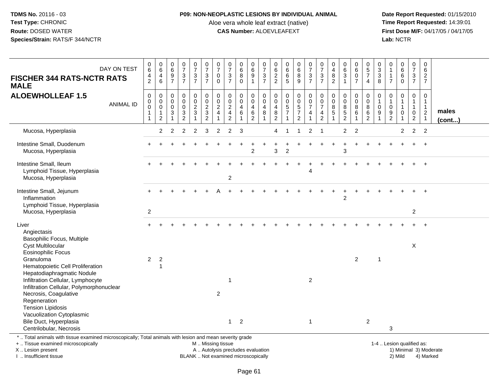### **P09: NON-NEOPLASTIC LESIONS BY INDIVIDUAL ANIMAL**

Aloe vera whole leaf extract (native)<br>**CAS Number:** ALOEVLEAFEXT

 **Date Report Requested:** 01/15/2010 **First Dose M/F:** 04/17/05 / 04/17/05<br>Lab: NCTR **Lab:** NCTR

| DAY ON TEST<br><b>FISCHER 344 RATS-NCTR RATS</b><br><b>MALE</b>                                                                                                                                                                                                                                                                                                                                                                                           | $_{6}^{\rm 0}$<br>$\frac{4}{2}$                                               | $\begin{array}{c} 0 \\ 6 \end{array}$<br>$\overline{4}$<br>6                  | $\begin{array}{c} 0 \\ 6 \end{array}$<br>$\frac{9}{7}$ | $\frac{0}{7}$<br>$\frac{3}{7}$                             | $\begin{smallmatrix}0\\7\end{smallmatrix}$<br>$\frac{3}{7}$       | $\frac{0}{7}$<br>$\frac{3}{7}$                                                                | $\frac{0}{7}$<br>0<br>$\mathbf 0$                            | $\frac{0}{7}$<br>$rac{3}{7}$                                                     | $\begin{matrix}0\6\8\end{matrix}$<br>$\Omega$    | $_{6}^{\rm 0}$<br>$\overline{9}$<br>1                   | $\frac{0}{7}$<br>$\frac{3}{7}$                    | $062$<br>22                                                                          | $\begin{array}{c} 0 \\ 6 \end{array}$<br>$\,6\,$<br>5                          | $\begin{array}{c} 0 \\ 6 \end{array}$<br>$\overline{8}$<br>$\boldsymbol{9}$ | $\frac{0}{7}$<br>$\frac{3}{7}$                                  | $\begin{matrix}0\\7\end{matrix}$<br>$\frac{3}{7}$                   | 0<br>$\overline{4}$<br>$\bf8$<br>$\overline{2}$        | $\begin{array}{c} 0 \\ 6 \end{array}$<br>$\overline{3}$<br>$\mathbf{1}$ | $\begin{array}{c} 0 \\ 6 \end{array}$<br>$\pmb{0}$<br>$\overline{7}$ | $\begin{array}{c} 0 \\ 5 \\ 7 \end{array}$<br>$\overline{4}$                   | 0<br>$\sqrt{3}$<br>$\ensuremath{\mathsf{3}}$<br>8 | $\mathbf 0$<br>$\mathbf{1}$<br>$\mathbf{1}$<br>$\overline{7}$ | $\begin{matrix} 0 \\ 6 \end{matrix}$<br>6<br>$\mathbf 0$ | $\frac{0}{7}$<br>$\frac{3}{7}$                                               | $\mathbf 0$<br>6<br>$\overline{c}$<br>$\overline{7}$                         |                        |
|-----------------------------------------------------------------------------------------------------------------------------------------------------------------------------------------------------------------------------------------------------------------------------------------------------------------------------------------------------------------------------------------------------------------------------------------------------------|-------------------------------------------------------------------------------|-------------------------------------------------------------------------------|--------------------------------------------------------|------------------------------------------------------------|-------------------------------------------------------------------|-----------------------------------------------------------------------------------------------|--------------------------------------------------------------|----------------------------------------------------------------------------------|--------------------------------------------------|---------------------------------------------------------|---------------------------------------------------|--------------------------------------------------------------------------------------|--------------------------------------------------------------------------------|-----------------------------------------------------------------------------|-----------------------------------------------------------------|---------------------------------------------------------------------|--------------------------------------------------------|-------------------------------------------------------------------------|----------------------------------------------------------------------|--------------------------------------------------------------------------------|---------------------------------------------------|---------------------------------------------------------------|----------------------------------------------------------|------------------------------------------------------------------------------|------------------------------------------------------------------------------|------------------------|
| <b>ALOEWHOLLEAF 1.5</b><br><b>ANIMAL ID</b>                                                                                                                                                                                                                                                                                                                                                                                                               | $\pmb{0}$<br>$\pmb{0}$<br>$\ddot{\mathbf{0}}$<br>$\mathbf{1}$<br>$\mathbf{1}$ | $\mathbf 0$<br>$\pmb{0}$<br>$\ddot{\mathbf{0}}$<br>$\mathbf{1}$<br>$\sqrt{2}$ | $\mathbf 0$<br>0<br>$\pmb{0}$<br>3<br>$\overline{1}$   | $\mathbf 0$<br>$\mathbf 0$<br>$\mathbf 0$<br>$\frac{3}{2}$ | $\mathbf 0$<br>$\mathbf 0$<br>$\overline{2}$<br>3<br>$\mathbf{1}$ | $\mathbf 0$<br>$\mathbf 0$<br>$\overline{2}$<br>$\sqrt{3}$<br>$\overline{2}$                  | $\mathbf 0$<br>$\pmb{0}$<br>$\overline{2}$<br>$\overline{4}$ | $\mathbf 0$<br>$\mathsf 0$<br>$\overline{2}$<br>$\overline{4}$<br>$\overline{2}$ | $\mathbf 0$<br>0<br>$\overline{\mathbf{4}}$<br>6 | 0<br>$\pmb{0}$<br>$\overline{4}$<br>6<br>$\overline{c}$ | $\mathbf 0$<br>$\mathbf 0$<br>$\overline{4}$<br>8 | 0<br>$\mathbf 0$<br>$\overline{4}$<br>$\begin{smallmatrix} 8 \\ 2 \end{smallmatrix}$ | $\pmb{0}$<br>$\mathbf 0$<br>$\overline{5}$<br>$\overline{7}$<br>$\overline{1}$ | 0<br>$\pmb{0}$<br>$\overline{5}$<br>$\boldsymbol{7}$<br>$\overline{2}$      | 0<br>$\mathsf{O}\xspace$<br>$\overline{7}$<br>4<br>$\mathbf{1}$ | $\mathbf 0$<br>$\pmb{0}$<br>$\boldsymbol{7}$<br>4<br>$\overline{2}$ | $\mathbf 0$<br>$\mathbf 0$<br>8<br>5<br>$\overline{1}$ | $\mathbf 0$<br>$\pmb{0}$<br>$\overline{8}$<br>$\frac{5}{2}$             | $\mathbf 0$<br>$\mathbf 0$<br>$\,8\,$<br>6                           | $\mathbf 0$<br>$\boldsymbol{0}$<br>$\overline{8}$<br>$\,6\,$<br>$\overline{2}$ | 0<br>$\Omega$<br>9                                | $\mathbf 0$<br>$\overline{1}$<br>$\mathbf 0$<br>$\frac{9}{2}$ | $\mathbf 0$<br>1<br>1<br>$\mathbf 0$<br>1                | $\mathbf 0$<br>$\mathbf{1}$<br>$\mathbf{1}$<br>$\mathbf 0$<br>$\overline{a}$ | $\mathbf 0$<br>$\mathbf{1}$<br>$\mathbf{1}$<br>$\overline{2}$<br>$\mathbf 1$ | males<br>$($ cont $)$  |
| Mucosa, Hyperplasia                                                                                                                                                                                                                                                                                                                                                                                                                                       |                                                                               | 2                                                                             | 2                                                      | $\overline{2}$                                             | $\overline{c}$                                                    | 3                                                                                             | 2                                                            | $\overline{2}$                                                                   | 3                                                |                                                         |                                                   | 4                                                                                    | -1                                                                             | $\mathbf{1}$                                                                | 2                                                               | $\overline{1}$                                                      |                                                        | $\overline{2}$                                                          | $\overline{2}$                                                       |                                                                                |                                                   |                                                               | $\overline{2}$                                           | $\overline{2}$                                                               | $\overline{2}$                                                               |                        |
| Intestine Small, Duodenum<br>Mucosa, Hyperplasia                                                                                                                                                                                                                                                                                                                                                                                                          |                                                                               |                                                                               |                                                        |                                                            |                                                                   |                                                                                               |                                                              |                                                                                  |                                                  | $\overline{c}$                                          |                                                   | 3                                                                                    | 2                                                                              |                                                                             |                                                                 |                                                                     |                                                        | $\ddot{}$<br>3                                                          |                                                                      |                                                                                |                                                   |                                                               |                                                          |                                                                              | $\ddot{}$                                                                    |                        |
| Intestine Small, Ileum<br>Lymphoid Tissue, Hyperplasia<br>Mucosa, Hyperplasia                                                                                                                                                                                                                                                                                                                                                                             |                                                                               |                                                                               |                                                        |                                                            |                                                                   |                                                                                               |                                                              | $\overline{c}$                                                                   |                                                  |                                                         |                                                   |                                                                                      |                                                                                |                                                                             | 4                                                               |                                                                     |                                                        |                                                                         |                                                                      |                                                                                |                                                   |                                                               |                                                          |                                                                              | $\ddot{}$                                                                    |                        |
| Intestine Small, Jejunum<br>Inflammation<br>Lymphoid Tissue, Hyperplasia                                                                                                                                                                                                                                                                                                                                                                                  |                                                                               |                                                                               |                                                        |                                                            |                                                                   |                                                                                               |                                                              |                                                                                  |                                                  |                                                         |                                                   |                                                                                      |                                                                                |                                                                             |                                                                 |                                                                     |                                                        | $\overline{2}$                                                          |                                                                      |                                                                                |                                                   |                                                               |                                                          | $\overline{2}$                                                               | $\ddot{}$                                                                    |                        |
| Mucosa, Hyperplasia<br>Liver<br>Angiectasis<br>Basophilic Focus, Multiple<br><b>Cyst Multilocular</b><br><b>Eosinophilic Focus</b><br>Granuloma<br>Hematopoietic Cell Proliferation<br>Hepatodiaphragmatic Nodule<br>Infiltration Cellular, Lymphocyte<br>Infiltration Cellular, Polymorphonuclear<br>Necrosis, Coagulative<br>Regeneration<br><b>Tension Lipidosis</b><br>Vacuolization Cytoplasmic<br>Bile Duct, Hyperplasia<br>Centrilobular, Necrosis | $\overline{2}$<br>$\overline{c}$                                              | $\overline{c}$<br>1                                                           |                                                        |                                                            |                                                                   |                                                                                               | 2                                                            | 1<br>$\mathbf{1}$                                                                | $\overline{2}$                                   |                                                         |                                                   |                                                                                      |                                                                                |                                                                             | $\overline{2}$<br>$\mathbf{1}$                                  |                                                                     |                                                        |                                                                         | 2                                                                    | $\overline{2}$                                                                 | $\overline{1}$                                    | 3                                                             |                                                          | X                                                                            |                                                                              |                        |
| *  Total animals with tissue examined microscopically; Total animals with lesion and mean severity grade<br>+  Tissue examined microscopically<br>X  Lesion present<br>I. Insufficient tissue                                                                                                                                                                                                                                                             |                                                                               |                                                                               |                                                        |                                                            |                                                                   | M  Missing tissue<br>A  Autolysis precludes evaluation<br>BLANK  Not examined microscopically |                                                              |                                                                                  |                                                  |                                                         |                                                   |                                                                                      |                                                                                |                                                                             |                                                                 |                                                                     |                                                        |                                                                         |                                                                      |                                                                                |                                                   | 1-4  Lesion qualified as:                                     | 2) Mild                                                  |                                                                              | 4) Marked                                                                    | 1) Minimal 3) Moderate |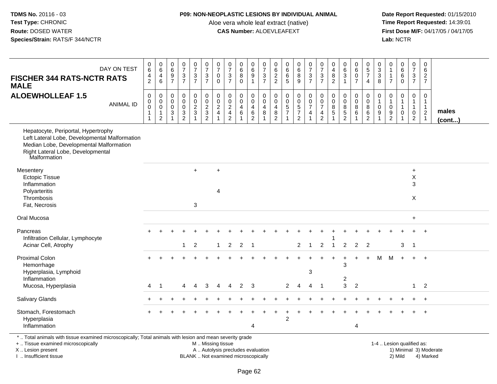#### **P09: NON-NEOPLASTIC LESIONS BY INDIVIDUAL ANIMAL**

Aloe vera whole leaf extract (native)<br>**CAS Number:** ALOEVLEAFEXT

 **Date Report Requested:** 01/15/2010 **First Dose M/F:** 04/17/05 / 04/17/05<br>Lab: NCTR **Lab:** NCTR

| DAY ON TEST<br><b>FISCHER 344 RATS-NCTR RATS</b><br><b>MALE</b>                                                                                                                      | $_{6}^{\rm 0}$<br>$\frac{4}{2}$                                  | $\begin{array}{c} 0 \\ 6 \end{array}$<br>$\overline{4}$<br>$6\phantom{a}$ | $\begin{array}{c} 0 \\ 6 \end{array}$<br>$\frac{9}{7}$          | $\begin{array}{c} 0 \\ 7 \end{array}$<br>$\frac{3}{7}$                | $\begin{smallmatrix}0\\7\end{smallmatrix}$<br>$\frac{3}{7}$ | $\begin{smallmatrix}0\\7\end{smallmatrix}$<br>$\frac{3}{7}$ | $\begin{array}{c} 0 \\ 7 \end{array}$<br>$\pmb{0}$<br>$\mathbf 0$ | $\begin{array}{c} 0 \\ 7 \end{array}$<br>$\mathbf{3}$<br>$\overline{7}$               | $\begin{array}{c} 0 \\ 6 \end{array}$<br>$\overline{8}$<br>$\mathbf{0}$   | 0<br>$6\phantom{a}$<br>$\overline{9}$<br>$\overline{1}$ | $\frac{0}{7}$<br>$\frac{3}{7}$                                         | $\pmb{0}$<br>$\,6\,$<br>$\frac{2}{2}$                         | $\begin{array}{c} 0 \\ 6 \\ 6 \end{array}$<br>$\overline{5}$        | $\begin{array}{c} 0 \\ 6 \end{array}$<br>$\overline{8}$<br>$\overline{9}$ | $\begin{smallmatrix} 0\\7 \end{smallmatrix}$<br>$\frac{3}{7}$ | $\begin{array}{c} 0 \\ 7 \end{array}$<br>$\frac{3}{7}$     | 0<br>$\overline{4}$<br>$\bf 8$<br>$\overline{2}$ | $\begin{matrix} 0 \\ 6 \\ 3 \end{matrix}$<br>$\mathbf{1}$    | $\begin{matrix} 0 \\ 6 \\ 0 \end{matrix}$<br>$\overline{7}$      | $\begin{array}{c} 0 \\ 5 \\ 7 \end{array}$<br>$\overline{4}$            | $\begin{array}{c} 0 \\ 3 \\ 8 \end{array}$                                         | $\pmb{0}$<br>$\overline{1}$<br>$\mathbf{1}$<br>$\overline{7}$ | 0<br>6<br>$\,6$<br>$\Omega$                | 0<br>$\overline{7}$<br>$\frac{3}{7}$                                         | $\mathsf 0$<br>$6\overline{6}$<br>$\frac{2}{7}$                               |                       |
|--------------------------------------------------------------------------------------------------------------------------------------------------------------------------------------|------------------------------------------------------------------|---------------------------------------------------------------------------|-----------------------------------------------------------------|-----------------------------------------------------------------------|-------------------------------------------------------------|-------------------------------------------------------------|-------------------------------------------------------------------|---------------------------------------------------------------------------------------|---------------------------------------------------------------------------|---------------------------------------------------------|------------------------------------------------------------------------|---------------------------------------------------------------|---------------------------------------------------------------------|---------------------------------------------------------------------------|---------------------------------------------------------------|------------------------------------------------------------|--------------------------------------------------|--------------------------------------------------------------|------------------------------------------------------------------|-------------------------------------------------------------------------|------------------------------------------------------------------------------------|---------------------------------------------------------------|--------------------------------------------|------------------------------------------------------------------------------|-------------------------------------------------------------------------------|-----------------------|
| <b>ALOEWHOLLEAF 1.5</b><br><b>ANIMAL ID</b>                                                                                                                                          | $\pmb{0}$<br>$\overline{0}$<br>0<br>$\mathbf{1}$<br>$\mathbf{1}$ | $\pmb{0}$<br>$\overline{0}$<br>$\mathbf{1}$<br>2                          | $\boldsymbol{0}$<br>$\overline{0}$<br>$\ensuremath{\mathsf{3}}$ | $\mathsf 0$<br>$\mathsf{O}\xspace$<br>$\overline{0}$<br>$\frac{3}{2}$ | $\mathbf 0$<br>$\frac{0}{2}$                                | $\begin{matrix} 0 \\ 0 \\ 2 \\ 3 \\ 2 \end{matrix}$         | $\begin{smallmatrix} 0\\0\\2 \end{smallmatrix}$<br>$\overline{4}$ | $\pmb{0}$<br>$\pmb{0}$<br>$\overline{2}$<br>$\overline{\mathbf{4}}$<br>$\overline{2}$ | $\begin{smallmatrix} 0\\0 \end{smallmatrix}$<br>$\overline{4}$<br>$\,6\,$ | 0<br>$\mathbf 0$<br>$\overline{4}$<br>$\frac{6}{2}$     | $\pmb{0}$<br>$\overline{0}$<br>$\overline{4}$<br>$\boldsymbol{8}$<br>1 | 0<br>$\pmb{0}$<br>$\overline{4}$<br>$\bf 8$<br>$\overline{2}$ | $\pmb{0}$<br>$\ddot{\mathbf{0}}$<br>$\frac{5}{7}$<br>$\overline{1}$ | $\begin{array}{c} 0 \\ 0 \\ 5 \\ 7 \end{array}$<br>2                      | $\begin{matrix} 0 \\ 0 \\ 7 \end{matrix}$<br>$\overline{4}$   | $\begin{matrix} 0 \\ 0 \\ 7 \end{matrix}$<br>$\frac{4}{2}$ | $\mathbf 0$<br>$\mathbf 0$<br>$\bf 8$<br>5       | $\begin{smallmatrix}0\0\0\end{smallmatrix}$<br>$\frac{8}{2}$ | $\begin{smallmatrix}0\0\0\8\end{smallmatrix}$<br>$6\overline{6}$ | 0<br>$\mathsf{O}\xspace$<br>$\overline{8}$<br>$\,6\,$<br>$\overline{2}$ | $\begin{smallmatrix}0\\1\end{smallmatrix}$<br>$\mathsf 0$<br>$\boldsymbol{9}$<br>1 | 0<br>$\mathbf{1}$<br>$\mathbf 0$<br>9<br>2                    | 0<br>1<br>$\mathbf{1}$<br>$\mathbf 0$<br>1 | $\mathbf 0$<br>$\mathbf{1}$<br>$\mathbf{1}$<br>$\mathbf 0$<br>$\overline{2}$ | $\mathbf 0$<br>$\mathbf{1}$<br>$\mathbf{1}$<br>$\overline{2}$<br>$\mathbf{1}$ | males<br>$($ cont $)$ |
| Hepatocyte, Periportal, Hypertrophy<br>Left Lateral Lobe, Developmental Malformation<br>Median Lobe, Developmental Malformation<br>Right Lateral Lobe, Developmental<br>Malformation |                                                                  |                                                                           |                                                                 |                                                                       |                                                             |                                                             |                                                                   |                                                                                       |                                                                           |                                                         |                                                                        |                                                               |                                                                     |                                                                           |                                                               |                                                            |                                                  |                                                              |                                                                  |                                                                         |                                                                                    |                                                               |                                            |                                                                              |                                                                               |                       |
| Mesentery<br><b>Ectopic Tissue</b><br>Inflammation<br>Polyarteritis<br>Thrombosis<br>Fat, Necrosis                                                                                   |                                                                  |                                                                           |                                                                 |                                                                       | $+$<br>3                                                    |                                                             | $\ddot{}$<br>$\overline{4}$                                       |                                                                                       |                                                                           |                                                         |                                                                        |                                                               |                                                                     |                                                                           |                                                               |                                                            |                                                  |                                                              |                                                                  |                                                                         |                                                                                    |                                                               |                                            | $\ddot{}$<br>$\pmb{\times}$<br>3<br>X                                        |                                                                               |                       |
| Oral Mucosa                                                                                                                                                                          |                                                                  |                                                                           |                                                                 |                                                                       |                                                             |                                                             |                                                                   |                                                                                       |                                                                           |                                                         |                                                                        |                                                               |                                                                     |                                                                           |                                                               |                                                            |                                                  |                                                              |                                                                  |                                                                         |                                                                                    |                                                               |                                            | $\ddot{}$                                                                    |                                                                               |                       |
| Pancreas<br>Infiltration Cellular, Lymphocyte<br>Acinar Cell, Atrophy                                                                                                                |                                                                  |                                                                           |                                                                 | $\mathbf{1}$                                                          | $\overline{c}$                                              |                                                             | $\mathbf{1}$                                                      | 2                                                                                     | 2                                                                         | $\overline{\phantom{0}}$                                |                                                                        |                                                               |                                                                     | $\overline{2}$                                                            | $\overline{1}$                                                | $\overline{2}$                                             | $\overline{1}$                                   | 2                                                            | 2                                                                | $\overline{2}$                                                          |                                                                                    |                                                               | 3                                          | $\overline{\phantom{0}}$                                                     |                                                                               |                       |
| <b>Proximal Colon</b><br>Hemorrhage<br>Hyperplasia, Lymphoid<br>Inflammation                                                                                                         | $\overline{4}$                                                   | $\overline{1}$                                                            |                                                                 |                                                                       |                                                             | 3                                                           |                                                                   |                                                                                       | $2 \quad 3$                                                               |                                                         |                                                                        |                                                               |                                                                     | $\overline{4}$                                                            | 3                                                             |                                                            |                                                  | 3<br>2<br>3                                                  | $\ddot{}$<br>$\overline{2}$                                      | $+$                                                                     | M                                                                                  | M                                                             | $+$                                        | $+$<br>$\mathbf{1}$                                                          | $+$<br>$\overline{2}$                                                         |                       |
| Mucosa, Hyperplasia                                                                                                                                                                  |                                                                  |                                                                           |                                                                 | 4                                                                     | $\overline{4}$                                              |                                                             | 4                                                                 | $\overline{4}$                                                                        |                                                                           |                                                         |                                                                        |                                                               | $\overline{2}$                                                      |                                                                           | $\overline{4}$                                                | $\overline{1}$                                             |                                                  |                                                              |                                                                  |                                                                         |                                                                                    |                                                               |                                            |                                                                              |                                                                               |                       |
| Salivary Glands                                                                                                                                                                      |                                                                  |                                                                           |                                                                 |                                                                       |                                                             |                                                             |                                                                   |                                                                                       |                                                                           |                                                         |                                                                        |                                                               |                                                                     |                                                                           |                                                               |                                                            |                                                  |                                                              |                                                                  |                                                                         |                                                                                    |                                                               |                                            |                                                                              | $+$                                                                           |                       |
| Stomach, Forestomach<br>Hyperplasia<br>Inflammation                                                                                                                                  |                                                                  |                                                                           |                                                                 |                                                                       |                                                             |                                                             |                                                                   |                                                                                       |                                                                           | 4                                                       |                                                                        |                                                               | $\overline{2}$                                                      |                                                                           |                                                               |                                                            |                                                  |                                                              | $\overline{4}$                                                   |                                                                         |                                                                                    |                                                               |                                            |                                                                              | $\overline{+}$                                                                |                       |

\* .. Total animals with tissue examined microscopically; Total animals with lesion and mean severity grade

+ .. Tissue examined microscopically

X .. Lesion present

I .. Insufficient tissue

M .. Missing tissue

Lesion present A .. Autolysis precludes evaluation 1) Minimal 3) Moderate

BLANK .. Not examined microscopically 2) Mild 4) Marked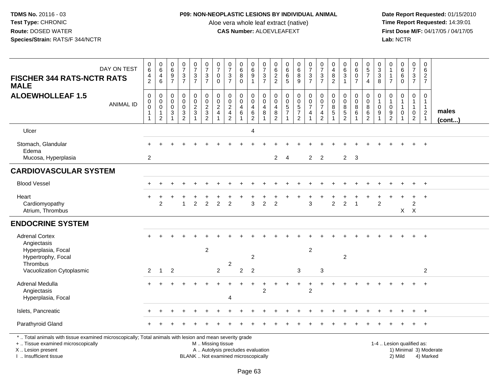# **P09: NON-NEOPLASTIC LESIONS BY INDIVIDUAL ANIMAL**

Aloe vera whole leaf extract (native)<br>**CAS Number:** ALOEVLEAFEXT

 **Date Report Requested:** 01/15/2010 **First Dose M/F:** 04/17/05 / 04/17/05<br>Lab: NCTR **Lab:** NCTR

| DAY ON TEST<br><b>FISCHER 344 RATS-NCTR RATS</b><br><b>MALE</b>                                                                                                                               | $\pmb{0}$<br>$\,6$<br>4<br>$\overline{2}$                                | $\begin{array}{c} 0 \\ 6 \end{array}$<br>4<br>6              | $\begin{array}{c} 0 \\ 6 \end{array}$<br>$\boldsymbol{9}$<br>$\overline{7}$ | $\begin{array}{c} 0 \\ 7 \end{array}$<br>$\ensuremath{\mathsf{3}}$<br>$\overline{7}$ | $\begin{array}{c} 0 \\ 7 \end{array}$<br>$\ensuremath{\mathsf{3}}$<br>$\overline{7}$ | $\frac{0}{7}$<br>$\sqrt{3}$<br>$\overline{7}$                                                 | $\frac{0}{7}$<br>0<br>$\Omega$                         | $\frac{0}{7}$<br>$\ensuremath{\mathsf{3}}$<br>$\overline{7}$  | $\pmb{0}$<br>$\overline{6}$<br>$\overline{8}$<br>$\Omega$ | $\begin{array}{c} 0 \\ 6 \end{array}$<br>$\overline{9}$<br>$\mathbf{1}$        | $\frac{0}{7}$<br>$\ensuremath{\mathsf{3}}$<br>$\overline{7}$ | $\begin{array}{c} 0 \\ 6 \end{array}$<br>$\overline{2}$<br>2  | $\begin{array}{c} 0 \\ 6 \end{array}$<br>$\,6\,$<br>5      | $\begin{array}{c} 0 \\ 6 \end{array}$<br>$\bf 8$<br>9       | $\frac{0}{7}$<br>$\sqrt{3}$<br>$\overline{7}$                                             | $\frac{0}{7}$<br>$\sqrt{3}$<br>$\overline{7}$                                     | 0<br>4<br>$\bf 8$<br>$\overline{2}$ | $\begin{array}{c} 0 \\ 6 \end{array}$<br>$\overline{3}$<br>$\overline{1}$ | $\begin{array}{c} 0 \\ 6 \end{array}$<br>$\mathsf 0$<br>$\overline{7}$ | $\begin{array}{c} 0 \\ 5 \end{array}$<br>$\overline{7}$<br>$\overline{4}$ | 0<br>$\sqrt{3}$<br>$\ensuremath{\mathsf{3}}$<br>8 | 0<br>$\mathbf{1}$<br>$\mathbf{1}$<br>$\overline{7}$      | $_6^0$<br>$\overline{6}$<br>$\Omega$            | $\begin{smallmatrix} 0\\7 \end{smallmatrix}$<br>$\mathbf{3}$<br>$\overline{7}$ | $\mathbf 0$<br>$6\phantom{1}6$<br>$\overline{c}$<br>$\overline{7}$ |                        |
|-----------------------------------------------------------------------------------------------------------------------------------------------------------------------------------------------|--------------------------------------------------------------------------|--------------------------------------------------------------|-----------------------------------------------------------------------------|--------------------------------------------------------------------------------------|--------------------------------------------------------------------------------------|-----------------------------------------------------------------------------------------------|--------------------------------------------------------|---------------------------------------------------------------|-----------------------------------------------------------|--------------------------------------------------------------------------------|--------------------------------------------------------------|---------------------------------------------------------------|------------------------------------------------------------|-------------------------------------------------------------|-------------------------------------------------------------------------------------------|-----------------------------------------------------------------------------------|-------------------------------------|---------------------------------------------------------------------------|------------------------------------------------------------------------|---------------------------------------------------------------------------|---------------------------------------------------|----------------------------------------------------------|-------------------------------------------------|--------------------------------------------------------------------------------|--------------------------------------------------------------------|------------------------|
| <b>ALOEWHOLLEAF 1.5</b><br><b>ANIMAL ID</b>                                                                                                                                                   | $\pmb{0}$<br>$\pmb{0}$<br>$\overline{0}$<br>$\mathbf{1}$<br>$\mathbf{1}$ | $\mathbf 0$<br>$\mathbf 0$<br>$\pmb{0}$<br>$\mathbf{1}$<br>2 | $\mathsf{O}\xspace$<br>0<br>$\pmb{0}$<br>3                                  | $\mathbf 0$<br>$\mathbf 0$<br>$\pmb{0}$<br>$\frac{3}{2}$                             | $\pmb{0}$<br>$\pmb{0}$<br>$\overline{2}$<br>$\ensuremath{\mathsf{3}}$                | $\mathbf 0$<br>$\overline{0}$<br>$\overline{2}$<br>$\frac{3}{2}$                              | 0<br>$\mathbf 0$<br>$\boldsymbol{2}$<br>$\overline{4}$ | $\mathbf 0$<br>$\mathbf 0$<br>$\frac{2}{4}$<br>$\overline{2}$ | 0<br>$\mathbf 0$<br>$\overline{4}$<br>6                   | $\pmb{0}$<br>$\pmb{0}$<br>$\overline{\mathbf{4}}$<br>$\,6\,$<br>$\overline{2}$ | 0<br>$\mathbf 0$<br>4<br>8                                   | $\mathbf 0$<br>$\mathbf 0$<br>$\overline{4}$<br>$\frac{8}{2}$ | $\mathbf 0$<br>$\Omega$<br>$\frac{5}{7}$<br>$\overline{1}$ | $\pmb{0}$<br>$\mathbf 0$<br>$\frac{5}{7}$<br>$\overline{2}$ | $\pmb{0}$<br>$\begin{smallmatrix}0\\7\end{smallmatrix}$<br>$\overline{4}$<br>$\mathbf{1}$ | $\mathsf{O}$<br>$\mathsf 0$<br>$\overline{7}$<br>$\overline{4}$<br>$\overline{2}$ | 0<br>0<br>$\bf 8$<br>$\sqrt{5}$     | $\mathbf 0$<br>$\mathbf 0$<br>$\bf 8$<br>$\sqrt{5}$<br>$\overline{2}$     | $\pmb{0}$<br>0<br>$\bf 8$<br>6                                         | $\mathbf 0$<br>$\mathbf 0$<br>$\, 8$<br>6<br>$\overline{c}$               | $\mathbf 0$<br>$\boldsymbol{0}$<br>9              | $\mathbf 0$<br>$\mathbf 1$<br>$\pmb{0}$<br>$\frac{9}{2}$ | 0<br>$\mathbf{1}$<br>$\mathbf 1$<br>$\mathbf 0$ | $\mathbf 0$<br>$\mathbf{1}$<br>$\mathbf{1}$<br>$\mathbf 0$<br>$\boldsymbol{2}$ | $\mathbf 0$<br>$\mathbf{1}$<br>$\mathbf{1}$<br>$\frac{2}{1}$       | males<br>(cont)        |
| Ulcer                                                                                                                                                                                         |                                                                          |                                                              |                                                                             |                                                                                      |                                                                                      |                                                                                               |                                                        |                                                               |                                                           | $\overline{4}$                                                                 |                                                              |                                                               |                                                            |                                                             |                                                                                           |                                                                                   |                                     |                                                                           |                                                                        |                                                                           |                                                   |                                                          |                                                 |                                                                                |                                                                    |                        |
| Stomach, Glandular<br>Edema<br>Mucosa, Hyperplasia                                                                                                                                            | $\overline{2}$                                                           |                                                              |                                                                             |                                                                                      |                                                                                      |                                                                                               |                                                        |                                                               |                                                           |                                                                                |                                                              | $\overline{2}$                                                | $\overline{4}$                                             |                                                             |                                                                                           | $2 \quad 2$                                                                       |                                     | $2 \quad 3$                                                               |                                                                        |                                                                           |                                                   |                                                          |                                                 |                                                                                |                                                                    |                        |
| <b>CARDIOVASCULAR SYSTEM</b>                                                                                                                                                                  |                                                                          |                                                              |                                                                             |                                                                                      |                                                                                      |                                                                                               |                                                        |                                                               |                                                           |                                                                                |                                                              |                                                               |                                                            |                                                             |                                                                                           |                                                                                   |                                     |                                                                           |                                                                        |                                                                           |                                                   |                                                          |                                                 |                                                                                |                                                                    |                        |
| <b>Blood Vessel</b>                                                                                                                                                                           |                                                                          |                                                              |                                                                             |                                                                                      |                                                                                      |                                                                                               |                                                        |                                                               |                                                           |                                                                                |                                                              |                                                               |                                                            |                                                             |                                                                                           |                                                                                   |                                     |                                                                           |                                                                        |                                                                           |                                                   |                                                          |                                                 |                                                                                | $^{+}$                                                             |                        |
| Heart<br>Cardiomyopathy<br>Atrium, Thrombus                                                                                                                                                   |                                                                          | 2                                                            |                                                                             | $\overline{1}$                                                                       | $\overline{c}$                                                                       | $\overline{2}$                                                                                | $\overline{2}$                                         | $\overline{2}$                                                |                                                           | 3                                                                              | 2                                                            | 2                                                             |                                                            |                                                             | 3                                                                                         |                                                                                   | $\overline{2}$                      | $\overline{2}$                                                            | $\overline{1}$                                                         |                                                                           | $\overline{c}$                                    |                                                          |                                                 | $\boldsymbol{2}$<br>$X$ $X$                                                    | $\overline{1}$                                                     |                        |
| <b>ENDOCRINE SYSTEM</b>                                                                                                                                                                       |                                                                          |                                                              |                                                                             |                                                                                      |                                                                                      |                                                                                               |                                                        |                                                               |                                                           |                                                                                |                                                              |                                                               |                                                            |                                                             |                                                                                           |                                                                                   |                                     |                                                                           |                                                                        |                                                                           |                                                   |                                                          |                                                 |                                                                                |                                                                    |                        |
| <b>Adrenal Cortex</b><br>Angiectasis<br>Hyperplasia, Focal<br>Hypertrophy, Focal<br>Thrombus<br>Vacuolization Cytoplasmic                                                                     | 2                                                                        | $\mathbf{1}$                                                 | $\overline{2}$                                                              |                                                                                      |                                                                                      | $\overline{c}$                                                                                | $\overline{c}$                                         | 2                                                             | $\overline{c}$                                            | 2<br>$\overline{2}$                                                            |                                                              |                                                               |                                                            | 3                                                           | $\overline{c}$                                                                            | 3                                                                                 |                                     | $\overline{2}$                                                            |                                                                        |                                                                           |                                                   |                                                          |                                                 |                                                                                | $+$<br>2                                                           |                        |
| Adrenal Medulla<br>Angiectasis<br>Hyperplasia, Focal                                                                                                                                          |                                                                          |                                                              |                                                                             |                                                                                      |                                                                                      |                                                                                               |                                                        | 4                                                             |                                                           |                                                                                | $\overline{2}$                                               |                                                               |                                                            |                                                             | $\overline{c}$                                                                            |                                                                                   |                                     |                                                                           |                                                                        |                                                                           |                                                   |                                                          |                                                 |                                                                                | $+$                                                                |                        |
| Islets, Pancreatic                                                                                                                                                                            |                                                                          |                                                              |                                                                             |                                                                                      |                                                                                      |                                                                                               |                                                        |                                                               |                                                           |                                                                                |                                                              |                                                               |                                                            |                                                             |                                                                                           |                                                                                   |                                     |                                                                           |                                                                        |                                                                           |                                                   |                                                          |                                                 |                                                                                |                                                                    |                        |
| Parathyroid Gland                                                                                                                                                                             |                                                                          |                                                              |                                                                             |                                                                                      |                                                                                      |                                                                                               |                                                        |                                                               |                                                           |                                                                                |                                                              |                                                               |                                                            |                                                             |                                                                                           |                                                                                   |                                     |                                                                           |                                                                        |                                                                           |                                                   |                                                          |                                                 |                                                                                |                                                                    |                        |
| *  Total animals with tissue examined microscopically; Total animals with lesion and mean severity grade<br>+  Tissue examined microscopically<br>X  Lesion present<br>I  Insufficient tissue |                                                                          |                                                              |                                                                             |                                                                                      |                                                                                      | M  Missing tissue<br>A  Autolysis precludes evaluation<br>BLANK  Not examined microscopically |                                                        |                                                               |                                                           |                                                                                |                                                              |                                                               |                                                            |                                                             |                                                                                           |                                                                                   |                                     |                                                                           |                                                                        |                                                                           |                                                   | 1-4  Lesion qualified as:                                | 2) Mild                                         |                                                                                | 4) Marked                                                          | 1) Minimal 3) Moderate |

I .. Insufficient tissue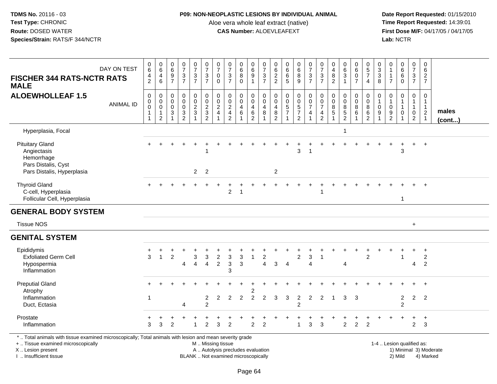# **P09: NON-NEOPLASTIC LESIONS BY INDIVIDUAL ANIMAL**

Aloe vera whole leaf extract (native)<br>**CAS Number:** ALOEVLEAFEXT

 **Date Report Requested:** 01/15/2010 **First Dose M/F:** 04/17/05 / 04/17/05<br>Lab: NCTR **Lab:** NCTR

| DAY ON TEST<br><b>FISCHER 344 RATS-NCTR RATS</b><br><b>MALE</b>                                                                                                     | $\pmb{0}$<br>6<br>$\frac{4}{2}$                                            | $\mathbf 0$<br>$6\overline{6}$<br>$\overline{4}$<br>6                     | 0<br>$6\overline{6}$<br>$\boldsymbol{9}$<br>$\overline{7}$ | $\frac{0}{7}$<br>$\frac{3}{7}$                          | $\begin{smallmatrix}0\\7\end{smallmatrix}$<br>$\frac{3}{7}$                               | $\frac{0}{7}$<br>$\sqrt{3}$<br>$\overline{7}$             | 0<br>$\overline{7}$<br>0<br>$\mathbf 0$                         | $\frac{0}{7}$<br>$\frac{3}{7}$                                | 0<br>$6\phantom{a}$<br>8<br>$\Omega$          | $_{6}^{\rm 0}$<br>$\boldsymbol{9}$<br>$\mathbf{1}$                    | 0<br>$\overline{7}$<br>$\frac{3}{7}$                 | 0<br>$6\phantom{a}$<br>$\frac{2}{2}$                         | $\begin{matrix} 0 \\ 6 \\ 6 \end{matrix}$<br>5                              | 0<br>$6\phantom{a}$<br>$\bf 8$<br>9                                  | $\frac{0}{7}$<br>$\ensuremath{\mathsf{3}}$<br>$\overline{7}$  | 0<br>$\overline{7}$<br>$\ensuremath{\mathsf{3}}$<br>$\overline{7}$ | 0<br>$\overline{\mathbf{4}}$<br>$\bf 8$<br>$\overline{2}$ | $\begin{matrix} 0 \\ 6 \\ 3 \end{matrix}$<br>1                             | 0<br>$6\overline{6}$<br>$\mathbf 0$<br>$\overline{7}$ | 0<br>$\frac{5}{7}$<br>$\overline{4}$                                    | 0<br>$\mathbf{3}$<br>$\mathsf 3$<br>8                           | 0<br>$\mathbf{1}$<br>$\mathbf{1}$<br>$\overline{7}$                    | $\begin{matrix}0\6\6\end{matrix}$<br>$\mathbf 0$                 | $\begin{array}{c} 0 \\ 7 \end{array}$<br>$\frac{3}{7}$                       | 0<br>$\,6\,$<br>$\overline{2}$<br>$\overline{7}$                              |                        |
|---------------------------------------------------------------------------------------------------------------------------------------------------------------------|----------------------------------------------------------------------------|---------------------------------------------------------------------------|------------------------------------------------------------|---------------------------------------------------------|-------------------------------------------------------------------------------------------|-----------------------------------------------------------|-----------------------------------------------------------------|---------------------------------------------------------------|-----------------------------------------------|-----------------------------------------------------------------------|------------------------------------------------------|--------------------------------------------------------------|-----------------------------------------------------------------------------|----------------------------------------------------------------------|---------------------------------------------------------------|--------------------------------------------------------------------|-----------------------------------------------------------|----------------------------------------------------------------------------|-------------------------------------------------------|-------------------------------------------------------------------------|-----------------------------------------------------------------|------------------------------------------------------------------------|------------------------------------------------------------------|------------------------------------------------------------------------------|-------------------------------------------------------------------------------|------------------------|
| <b>ALOEWHOLLEAF 1.5</b><br><b>ANIMAL ID</b>                                                                                                                         | $\mathsf 0$<br>$\mathbf 0$<br>$\mathsf 0$<br>$\mathbf 1$<br>$\overline{1}$ | $\mathbf 0$<br>$\mathbf 0$<br>$\pmb{0}$<br>$\mathbf{1}$<br>$\overline{c}$ | 0<br>$\mathbf 0$<br>$\mathbf 0$<br>3<br>1                  | 0<br>$\mathsf{O}$<br>$\mathbf 0$<br>3<br>$\overline{2}$ | $\pmb{0}$<br>$\begin{smallmatrix} 0\\2 \end{smallmatrix}$<br>$\mathbf{3}$<br>$\mathbf{1}$ | $\pmb{0}$<br>$\pmb{0}$<br>$\frac{2}{3}$<br>$\overline{2}$ | $\boldsymbol{0}$<br>$\mathbf 0$<br>$\sqrt{2}$<br>$\overline{4}$ | $\mathbf 0$<br>$\mathbf 0$<br>$\frac{2}{4}$<br>$\overline{2}$ | 0<br>$\mathbf 0$<br>$\overline{4}$<br>$\,6\,$ | $\pmb{0}$<br>$\pmb{0}$<br>$\overline{4}$<br>$\,6\,$<br>$\overline{2}$ | 0<br>$\mathsf{O}\xspace$<br>$\overline{4}$<br>8<br>1 | $\mathbf 0$<br>$\mathbf 0$<br>$\overline{4}$<br>$\bf 8$<br>2 | $\mathbf 0$<br>$\begin{array}{c} 0 \\ 5 \\ 7 \end{array}$<br>$\overline{1}$ | 0<br>$\pmb{0}$<br>$\overline{5}$<br>$\overline{7}$<br>$\overline{2}$ | $\pmb{0}$<br>$\pmb{0}$<br>$\overline{7}$<br>4<br>$\mathbf{1}$ | $\mathbf 0$<br>$\pmb{0}$<br>$\overline{7}$<br>4<br>$\overline{2}$  | $\mathbf 0$<br>$\mathbf 0$<br>$\bf8$<br>$\sqrt{5}$        | $\mathbf 0$<br>$\pmb{0}$<br>$\overline{8}$<br>$\sqrt{5}$<br>$\overline{2}$ | 0<br>$\mathbf 0$<br>$\overline{8}$<br>$\,6\,$         | $\mathbf 0$<br>$\boldsymbol{0}$<br>$\bf 8$<br>$\,6\,$<br>$\overline{2}$ | $\mathbf 0$<br>$\mathbf{1}$<br>$\mathbf 0$<br>9<br>$\mathbf{1}$ | 0<br>$\mathbf{1}$<br>$\mathsf 0$<br>$\boldsymbol{9}$<br>$\overline{2}$ | 0<br>$\mathbf{1}$<br>$\mathbf{1}$<br>$\mathbf 0$<br>$\mathbf{1}$ | $\mathbf 0$<br>$\mathbf{1}$<br>$\mathbf{1}$<br>$\mathbf 0$<br>$\overline{2}$ | $\mathbf 0$<br>$\mathbf{1}$<br>$\mathbf{1}$<br>$\overline{c}$<br>$\mathbf{1}$ | males<br>(cont)        |
| Hyperplasia, Focal                                                                                                                                                  |                                                                            |                                                                           |                                                            |                                                         |                                                                                           |                                                           |                                                                 |                                                               |                                               |                                                                       |                                                      |                                                              |                                                                             |                                                                      |                                                               |                                                                    |                                                           | $\overline{1}$                                                             |                                                       |                                                                         |                                                                 |                                                                        |                                                                  |                                                                              |                                                                               |                        |
| <b>Pituitary Gland</b><br>Angiectasis<br>Hemorrhage<br>Pars Distalis, Cyst<br>Pars Distalis, Hyperplasia                                                            |                                                                            |                                                                           |                                                            |                                                         | $2^{\circ}$                                                                               | 2                                                         |                                                                 |                                                               |                                               |                                                                       |                                                      | $\overline{2}$                                               |                                                                             | 3                                                                    |                                                               |                                                                    |                                                           |                                                                            |                                                       |                                                                         |                                                                 |                                                                        | 3                                                                |                                                                              | $\overline{+}$                                                                |                        |
| <b>Thyroid Gland</b><br>C-cell, Hyperplasia<br>Follicular Cell, Hyperplasia                                                                                         |                                                                            |                                                                           |                                                            |                                                         |                                                                                           |                                                           |                                                                 | 2                                                             | -1                                            |                                                                       |                                                      |                                                              |                                                                             |                                                                      |                                                               | -1                                                                 |                                                           |                                                                            |                                                       |                                                                         |                                                                 |                                                                        | 1                                                                |                                                                              |                                                                               |                        |
| <b>GENERAL BODY SYSTEM</b>                                                                                                                                          |                                                                            |                                                                           |                                                            |                                                         |                                                                                           |                                                           |                                                                 |                                                               |                                               |                                                                       |                                                      |                                                              |                                                                             |                                                                      |                                                               |                                                                    |                                                           |                                                                            |                                                       |                                                                         |                                                                 |                                                                        |                                                                  |                                                                              |                                                                               |                        |
| <b>Tissue NOS</b>                                                                                                                                                   |                                                                            |                                                                           |                                                            |                                                         |                                                                                           |                                                           |                                                                 |                                                               |                                               |                                                                       |                                                      |                                                              |                                                                             |                                                                      |                                                               |                                                                    |                                                           |                                                                            |                                                       |                                                                         |                                                                 |                                                                        |                                                                  | $+$                                                                          |                                                                               |                        |
| <b>GENITAL SYSTEM</b>                                                                                                                                               |                                                                            |                                                                           |                                                            |                                                         |                                                                                           |                                                           |                                                                 |                                                               |                                               |                                                                       |                                                      |                                                              |                                                                             |                                                                      |                                                               |                                                                    |                                                           |                                                                            |                                                       |                                                                         |                                                                 |                                                                        |                                                                  |                                                                              |                                                                               |                        |
| Epididymis<br><b>Exfoliated Germ Cell</b><br>Hypospermia<br>Inflammation                                                                                            | 3                                                                          |                                                                           | $\overline{2}$                                             | 4                                                       | 3<br>$\overline{4}$                                                                       | 3<br>4                                                    | $\overline{c}$<br>$\overline{2}$                                | 3<br>3<br>3                                                   | 3<br>3                                        | 1                                                                     | 2<br>$\overline{4}$                                  | 3                                                            | $\overline{4}$                                                              | $\overline{2}$                                                       | 3<br>4                                                        | $\mathbf 1$                                                        |                                                           | $\boldsymbol{\Lambda}$                                                     |                                                       | 2                                                                       |                                                                 |                                                                        | $\mathbf{1}$                                                     | 4                                                                            | $\ddot{}$<br>$\overline{2}$<br>$\overline{2}$                                 |                        |
| <b>Preputial Gland</b><br>Atrophy<br>Inflammation<br>Duct, Ectasia                                                                                                  | $\overline{\mathbf{1}}$                                                    |                                                                           |                                                            | 4                                                       |                                                                                           | $\overline{c}$<br>$\overline{2}$                          | $\overline{2}$                                                  | 2                                                             | $\overline{2}$                                | $\overline{2}$                                                        | 2                                                    | 3                                                            | 3                                                                           | $\overline{2}$<br>$\overline{2}$                                     | $\overline{2}$                                                | 2                                                                  | -1                                                        | 3                                                                          | 3                                                     |                                                                         |                                                                 |                                                                        | $\overline{2}$<br>2                                              | $\overline{2}$                                                               | $\div$<br>$\overline{2}$                                                      |                        |
| Prostate<br>Inflammation                                                                                                                                            | 3                                                                          | 3                                                                         | 2                                                          |                                                         |                                                                                           | $\overline{2}$                                            | 3                                                               | 2                                                             |                                               | $\overline{2}$                                                        | 2                                                    |                                                              |                                                                             | 1                                                                    | 3                                                             | 3                                                                  |                                                           | $\sqrt{2}$                                                                 | $\overline{c}$                                        | $\overline{2}$                                                          |                                                                 |                                                                        |                                                                  | $\overline{c}$                                                               | $\ddot{}$<br>$\mathbf{3}$                                                     |                        |
| *  Total animals with tissue examined microscopically; Total animals with lesion and mean severity grade<br>+  Tissue examined microscopically<br>X  Lesion present |                                                                            |                                                                           |                                                            |                                                         |                                                                                           | M  Missing tissue                                         |                                                                 | A  Autolysis precludes evaluation                             |                                               |                                                                       |                                                      |                                                              |                                                                             |                                                                      |                                                               |                                                                    |                                                           |                                                                            |                                                       |                                                                         |                                                                 | 1-4  Lesion qualified as:                                              |                                                                  |                                                                              |                                                                               | 1) Minimal 3) Moderate |

I .. Insufficient tissue

BLANK .. Not examined microscopically 2) Mild 4) Marked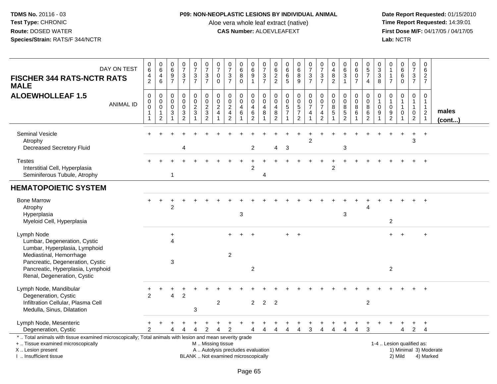## **P09: NON-NEOPLASTIC LESIONS BY INDIVIDUAL ANIMAL**

Aloe vera whole leaf extract (native)<br>**CAS Number:** ALOEVLEAFEXT

| DAY ON TEST<br><b>FISCHER 344 RATS-NCTR RATS</b><br><b>MALE</b>                                                                                                                                                | 0<br>$6\phantom{1}$<br>4<br>$\overline{2}$                        | $\pmb{0}$<br>6<br>$\overline{4}$<br>$\,6\,$                      | $\,0\,$<br>$6\overline{6}$<br>$\frac{9}{7}$                                    | $\frac{0}{7}$<br>$\frac{3}{7}$                               | $\frac{0}{7}$<br>$\frac{3}{7}$ | $\begin{array}{c} 0 \\ 7 \end{array}$<br>$\frac{3}{7}$ | $\begin{array}{c} 0 \\ 7 \end{array}$<br>0<br>$\mathbf 0$      | $\begin{array}{c} 0 \\ 7 \end{array}$<br>$\sqrt{3}$<br>$\overline{7}$    | 0<br>$\overline{6}$<br>8<br>$\mathbf 0$          | 0<br>6<br>$\begin{array}{c} 9 \\ 1 \end{array}$                    | $\frac{0}{7}$<br>$\frac{3}{7}$ | 0<br>$\,6\,$<br>$\frac{2}{2}$                                | $_{\rm 6}^{\rm 0}$<br>$\,6\,$<br>$\overline{5}$ | $\begin{array}{c} 0 \\ 6 \end{array}$<br>8<br>$\boldsymbol{9}$           | $\frac{0}{7}$<br>$\frac{3}{7}$                                      | $\frac{0}{7}$<br>3<br>$\overline{7}$                   | 0<br>$\overline{4}$<br>8<br>$\overline{2}$    | $\pmb{0}$<br>$\,6\,$<br>$\sqrt{3}$<br>1                     | 0<br>$6\phantom{1}$<br>$\mathbf 0$<br>$\overline{7}$ | $\mathbf 0$<br>$\sqrt{5}$<br>$\overline{7}$<br>$\overline{4}$          | 0<br>$\sqrt{3}$<br>$\mathbf{3}$<br>8                                               | 0<br>$\mathbf{1}$<br>$\mathbf 1$<br>$\overline{7}$                | $_6^0$<br>6<br>$\overline{0}$                    | $\pmb{0}$<br>$\overline{7}$<br>$\frac{3}{7}$                                 | $\pmb{0}$<br>6<br>$\overline{a}$<br>$\overline{7}$                          |                        |
|----------------------------------------------------------------------------------------------------------------------------------------------------------------------------------------------------------------|-------------------------------------------------------------------|------------------------------------------------------------------|--------------------------------------------------------------------------------|--------------------------------------------------------------|--------------------------------|--------------------------------------------------------|----------------------------------------------------------------|--------------------------------------------------------------------------|--------------------------------------------------|--------------------------------------------------------------------|--------------------------------|--------------------------------------------------------------|-------------------------------------------------|--------------------------------------------------------------------------|---------------------------------------------------------------------|--------------------------------------------------------|-----------------------------------------------|-------------------------------------------------------------|------------------------------------------------------|------------------------------------------------------------------------|------------------------------------------------------------------------------------|-------------------------------------------------------------------|--------------------------------------------------|------------------------------------------------------------------------------|-----------------------------------------------------------------------------|------------------------|
| <b>ALOEWHOLLEAF 1.5</b><br><b>ANIMAL ID</b>                                                                                                                                                                    | $\mathbf 0$<br>$\mathbf 0$<br>$\mathbf 0$<br>$\overline{1}$<br>-1 | $\mathbf 0$<br>$\mathbf 0$<br>$\mathbf 0$<br>1<br>$\overline{2}$ | $\mathsf{O}\xspace$<br>$\mathbf 0$<br>$\mathbf 0$<br>$\ensuremath{\mathsf{3}}$ | $\mathbf 0$<br>$\mathsf{O}$<br>$\mathsf{O}$<br>$\frac{3}{2}$ | $\pmb{0}$<br>$\frac{0}{2}$     | $\pmb{0}$<br>$\frac{0}{2}$<br>$\frac{3}{2}$            | $\mathbf 0$<br>$\mathbf 0$<br>$\overline{2}$<br>$\overline{4}$ | 0<br>$\mathbf 0$<br>$\frac{2}{4}$<br>$\overline{2}$                      | 0<br>$\mathbf 0$<br>$\overline{\mathbf{4}}$<br>6 | $\pmb{0}$<br>$\mathsf{O}\xspace$<br>$\overline{4}$<br>$\,6\,$<br>2 | $\mathbf 0$<br>0<br>4<br>8     | $\mathbf 0$<br>$\mathbf 0$<br>$\overline{4}$<br>$\bf 8$<br>2 | $\mathbf 0$<br>$\mathbf 0$<br>$\frac{5}{7}$     | 0<br>$\mathbf 0$<br>$\overline{5}$<br>$\boldsymbol{7}$<br>$\overline{2}$ | $\mathbf 0$<br>$\mathbf 0$<br>$\overline{7}$<br>$\overline{4}$<br>1 | $\mathbf 0$<br>$\mathbf 0$<br>$\overline{7}$<br>4<br>2 | $\mathbf 0$<br>$\mathbf 0$<br>8<br>$\sqrt{5}$ | $\mathbf 0$<br>0<br>$\bf 8$<br>$\sqrt{5}$<br>$\mathfrak{p}$ | 0<br>$\mathbf 0$<br>$\overline{8}$<br>$\,6\,$        | $\mathbf 0$<br>$\boldsymbol{0}$<br>$\, 8$<br>$\,6\,$<br>$\overline{2}$ | $\mathbf 0$<br>$\overline{1}$<br>$\mathbf 0$<br>$\boldsymbol{9}$<br>$\overline{1}$ | $\mathbf 0$<br>$\mathbf{1}$<br>$\mathbf 0$<br>9<br>$\overline{2}$ | 0<br>$\mathbf 1$<br>$\mathbf{1}$<br>$\mathsf{O}$ | $\mathbf 0$<br>$\mathbf{1}$<br>$\mathbf{1}$<br>$\mathbf 0$<br>$\overline{2}$ | $\mathbf 0$<br>$\mathbf{1}$<br>$\mathbf{1}$<br>$\sqrt{2}$<br>$\overline{1}$ | males<br>(cont)        |
| <b>Seminal Vesicle</b><br>Atrophy<br><b>Decreased Secretory Fluid</b>                                                                                                                                          |                                                                   |                                                                  |                                                                                | 4                                                            |                                |                                                        |                                                                |                                                                          |                                                  | 2                                                                  |                                | 4                                                            | 3                                               |                                                                          | 2                                                                   |                                                        |                                               | 3                                                           |                                                      |                                                                        |                                                                                    |                                                                   |                                                  | 3                                                                            | $+$                                                                         |                        |
| <b>Testes</b><br>Interstitial Cell, Hyperplasia<br>Seminiferous Tubule, Atrophy                                                                                                                                |                                                                   |                                                                  | $\mathbf{1}$                                                                   |                                                              |                                |                                                        |                                                                |                                                                          |                                                  | $\mathcal{P}$                                                      | $\overline{4}$                 |                                                              |                                                 |                                                                          |                                                                     |                                                        | 2                                             |                                                             |                                                      |                                                                        |                                                                                    |                                                                   |                                                  |                                                                              | $\overline{+}$                                                              |                        |
| <b>HEMATOPOIETIC SYSTEM</b>                                                                                                                                                                                    |                                                                   |                                                                  |                                                                                |                                                              |                                |                                                        |                                                                |                                                                          |                                                  |                                                                    |                                |                                                              |                                                 |                                                                          |                                                                     |                                                        |                                               |                                                             |                                                      |                                                                        |                                                                                    |                                                                   |                                                  |                                                                              |                                                                             |                        |
| <b>Bone Marrow</b><br>Atrophy<br>Hyperplasia<br>Myeloid Cell, Hyperplasia                                                                                                                                      |                                                                   |                                                                  | 2                                                                              |                                                              |                                |                                                        |                                                                |                                                                          | $\mathsf 3$                                      |                                                                    |                                |                                                              |                                                 |                                                                          |                                                                     |                                                        |                                               | $\sqrt{3}$                                                  |                                                      |                                                                        |                                                                                    | $\overline{c}$                                                    |                                                  |                                                                              |                                                                             |                        |
| Lymph Node<br>Lumbar, Degeneration, Cystic<br>Lumbar, Hyperplasia, Lymphoid<br>Mediastinal, Hemorrhage<br>Pancreatic, Degeneration, Cystic<br>Pancreatic, Hyperplasia, Lymphoid<br>Renal, Degeneration, Cystic |                                                                   |                                                                  | $\ddot{}$<br>Δ<br>$\sqrt{3}$                                                   |                                                              |                                |                                                        |                                                                | $\overline{2}$                                                           |                                                  | $\overline{2}$                                                     |                                |                                                              | $+$                                             | $+$                                                                      |                                                                     |                                                        |                                               |                                                             |                                                      |                                                                        |                                                                                    | $\overline{2}$                                                    |                                                  |                                                                              | $\ddot{}$                                                                   |                        |
| Lymph Node, Mandibular<br>Degeneration, Cystic<br>Infiltration Cellular, Plasma Cell<br>Medulla, Sinus, Dilatation                                                                                             | $\mathfrak{p}$                                                    |                                                                  | 4                                                                              | $\overline{2}$                                               | 3                              |                                                        | $\overline{2}$                                                 |                                                                          |                                                  | $2^{\circ}$                                                        | $\overline{2}$                 | 2                                                            |                                                 |                                                                          |                                                                     |                                                        |                                               |                                                             |                                                      | $\overline{2}$                                                         |                                                                                    |                                                                   |                                                  |                                                                              |                                                                             |                        |
| Lymph Node, Mesenteric<br>Degeneration, Cystic                                                                                                                                                                 | っ                                                                 |                                                                  |                                                                                |                                                              |                                | 2                                                      |                                                                | 2                                                                        |                                                  |                                                                    | $\Delta$                       | Δ                                                            | $\overline{4}$                                  | $\overline{4}$                                                           | 3                                                                   | $\overline{\mathbf{4}}$                                | $\Delta$                                      | $\ddot{}$<br>$\boldsymbol{\Lambda}$                         | ÷<br>$\overline{4}$                                  | 3                                                                      |                                                                                    |                                                                   | $\ddot{}$<br>$\overline{4}$                      | $+$<br>$\overline{2}$                                                        | $+$<br>$\boldsymbol{\Lambda}$                                               |                        |
| *  Total animals with tissue examined microscopically; Total animals with lesion and mean severity grade<br>+  Tissue examined microscopically<br>X Lesion present<br>I  Insufficient tissue                   |                                                                   |                                                                  |                                                                                |                                                              |                                | M  Missing tissue                                      |                                                                | A  Autolysis precludes evaluation<br>BLANK  Not examined microscopically |                                                  |                                                                    |                                |                                                              |                                                 |                                                                          |                                                                     |                                                        |                                               |                                                             |                                                      |                                                                        |                                                                                    | 1-4  Lesion qualified as:                                         | 2) Mild                                          |                                                                              | 4) Marked                                                                   | 1) Minimal 3) Moderate |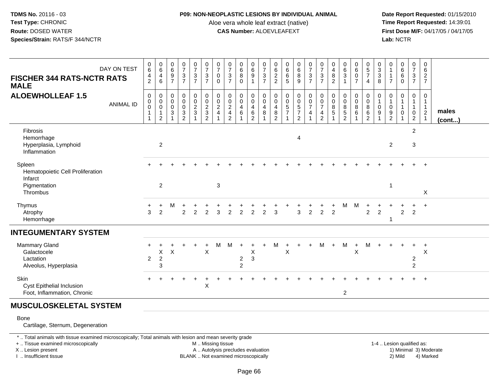## **P09: NON-NEOPLASTIC LESIONS BY INDIVIDUAL ANIMAL**

Aloe vera whole leaf extract (native)<br>**CAS Number:** ALOEVLEAFEXT

 **Date Report Requested:** 01/15/2010 **First Dose M/F:** 04/17/05 / 04/17/05<br>**Lab:** NCTR **Lab:** NCTR

| <b>FISCHER 344 RATS-NCTR RATS</b><br><b>MALE</b>                                  | DAY ON TEST      | 0<br>$6\overline{6}$<br>$\frac{4}{2}$                                       | 0<br>$6\phantom{a}$<br>$\overline{4}$<br>$\,6\,$          | $\begin{array}{c} 0 \\ 6 \end{array}$<br>$\boldsymbol{9}$<br>$\overline{7}$ | $\frac{0}{7}$<br>$\ensuremath{\mathsf{3}}$<br>$\overline{7}$                 | $\frac{0}{7}$<br>$\frac{3}{7}$                          | 0<br>$\overline{7}$<br>$\frac{3}{7}$                          | $\frac{0}{7}$<br>$\mathbf 0$<br>$\mathbf 0$                                     | $\frac{0}{7}$<br>$\ensuremath{\mathsf{3}}$<br>$\overline{7}$       | $\begin{array}{c} 0 \\ 6 \end{array}$<br>$\bf 8$<br>$\mathbf 0$ | $\begin{matrix} 0 \\ 6 \end{matrix}$<br>$\boldsymbol{9}$                        | $\frac{0}{7}$<br>$\sqrt{3}$<br>$\overline{7}$                | 0<br>$\,6\,$<br>$\sqrt{2}$<br>$\overline{c}$              | 0<br>$\,6\,$<br>6<br>5                                            | 0<br>$6\phantom{a}$<br>8<br>9                                     | 0<br>$\overline{7}$<br>$\ensuremath{\mathsf{3}}$<br>$\overline{7}$                | $\frac{0}{7}$<br>$\ensuremath{\mathsf{3}}$<br>$\overline{7}$             | 0<br>4<br>8<br>$\overline{2}$        | 0<br>$6\phantom{a}$<br>$\sqrt{3}$<br>$\overline{1}$                                    | 0<br>$\,6$<br>$\mathbf 0$<br>$\overline{7}$      | 0<br>$\sqrt{5}$<br>$\overline{7}$<br>$\overline{4}$ | 0<br>$\sqrt{3}$<br>$\ensuremath{\mathsf{3}}$<br>8 | 0<br>$\overline{7}$                    | $\begin{matrix} 0 \\ 6 \end{matrix}$<br>6<br>$\Omega$ | 0<br>$\overline{7}$<br>$\mathbf{3}$<br>$\overline{7}$ | 0<br>$\,6$<br>$\overline{a}$<br>$\overline{7}$          |                 |
|-----------------------------------------------------------------------------------|------------------|-----------------------------------------------------------------------------|-----------------------------------------------------------|-----------------------------------------------------------------------------|------------------------------------------------------------------------------|---------------------------------------------------------|---------------------------------------------------------------|---------------------------------------------------------------------------------|--------------------------------------------------------------------|-----------------------------------------------------------------|---------------------------------------------------------------------------------|--------------------------------------------------------------|-----------------------------------------------------------|-------------------------------------------------------------------|-------------------------------------------------------------------|-----------------------------------------------------------------------------------|--------------------------------------------------------------------------|--------------------------------------|----------------------------------------------------------------------------------------|--------------------------------------------------|-----------------------------------------------------|---------------------------------------------------|----------------------------------------|-------------------------------------------------------|-------------------------------------------------------|---------------------------------------------------------|-----------------|
| <b>ALOEWHOLLEAF 1.5</b>                                                           | <b>ANIMAL ID</b> | $\,0\,$<br>$\pmb{0}$<br>$\ddot{\mathbf{0}}$<br>$\mathbf{1}$<br>$\mathbf{1}$ | 0<br>$\overline{0}$<br>$\mathbf 0$<br>1<br>$\overline{2}$ | $\boldsymbol{0}$<br>$\,0\,$<br>$\pmb{0}$<br>$\ensuremath{\mathsf{3}}$       | $\begin{smallmatrix} 0\\0 \end{smallmatrix}$<br>$\mathbf 0$<br>$\frac{3}{2}$ | $\pmb{0}$<br>$\pmb{0}$<br>$\frac{2}{3}$<br>$\mathbf{1}$ | $\begin{smallmatrix} 0\\0 \end{smallmatrix}$<br>$\frac{2}{3}$ | $\begin{smallmatrix}0\0\0\end{smallmatrix}$<br>$\overline{c}$<br>$\overline{4}$ | 0<br>$\mathsf 0$<br>$\sqrt{2}$<br>$\overline{4}$<br>$\overline{c}$ | 0<br>$\pmb{0}$<br>$\overline{4}$<br>$\,6\,$                     | $\begin{smallmatrix} 0\\0 \end{smallmatrix}$<br>$\overline{4}$<br>$\frac{6}{2}$ | 0<br>$\overline{0}$<br>$\overline{4}$<br>8<br>$\overline{ }$ | 0<br>$\mathbf 0$<br>$\overline{4}$<br>8<br>$\overline{2}$ | $\pmb{0}$<br>$\ddot{\mathbf{0}}$<br>$\mathbf 5$<br>$\overline{7}$ | $\begin{smallmatrix}0\0\0\end{smallmatrix}$<br>$\frac{5}{7}$<br>2 | $\begin{smallmatrix}0\0\0\end{smallmatrix}$<br>$\boldsymbol{7}$<br>$\overline{4}$ | $_{\rm 0}^{\rm 0}$<br>$\overline{7}$<br>$\overline{4}$<br>$\overline{2}$ | 0<br>$\mathbf 0$<br>8<br>$\,$ 5 $\,$ | $\begin{smallmatrix} 0\\0 \end{smallmatrix}$<br>$\, 8$<br>$\sqrt{5}$<br>$\overline{2}$ | 0<br>$\pmb{0}$<br>$\,8\,$<br>6<br>$\overline{ }$ | 0<br>$\mathbf 0$<br>$\,8\,$<br>$\frac{6}{2}$        | 0<br>0<br>9                                       | 0<br>$\mathbf 1$<br>0<br>$\frac{9}{2}$ | 0<br>$\mathbf{1}$<br>$\mathbf{1}$<br>0                | 0<br>$\mathbf{1}$<br>$\mathbf 0$<br>$\overline{2}$    | 0<br>$\overline{1}$<br>$\overline{1}$<br>$\overline{2}$ | males<br>(cont) |
| Fibrosis<br>Hemorrhage<br>Hyperplasia, Lymphoid<br>Inflammation                   |                  |                                                                             | $\overline{2}$                                            |                                                                             |                                                                              |                                                         |                                                               |                                                                                 |                                                                    |                                                                 |                                                                                 |                                                              |                                                           |                                                                   | 4                                                                 |                                                                                   |                                                                          |                                      |                                                                                        |                                                  |                                                     |                                                   | $\overline{2}$                         |                                                       | $\overline{2}$<br>3                                   |                                                         |                 |
| Spleen<br>Hematopoietic Cell Proliferation<br>Infarct<br>Pigmentation<br>Thrombus |                  |                                                                             | $\overline{2}$                                            |                                                                             |                                                                              |                                                         |                                                               | 3                                                                               |                                                                    |                                                                 |                                                                                 |                                                              |                                                           |                                                                   |                                                                   |                                                                                   |                                                                          |                                      |                                                                                        |                                                  |                                                     |                                                   | -1                                     |                                                       |                                                       | $\ddot{}$<br>X                                          |                 |
| Thymus<br>Atrophy<br>Hemorrhage                                                   |                  | 3                                                                           | +<br>$\overline{2}$                                       | Μ                                                                           | $\overline{2}$                                                               | $\overline{c}$                                          | $\overline{2}$                                                | 3                                                                               | $\overline{c}$                                                     | $\overline{c}$                                                  | $\overline{c}$                                                                  | $\overline{2}$                                               | 3                                                         |                                                                   | 3                                                                 | $\overline{2}$                                                                    | $\overline{2}$                                                           | $\overline{2}$                       | м                                                                                      | M                                                | $\overline{2}$                                      | $\overline{c}$                                    |                                        | $\overline{2}$                                        | $\overline{2}$                                        | $\pm$                                                   |                 |
| <b>INTEGUMENTARY SYSTEM</b>                                                       |                  |                                                                             |                                                           |                                                                             |                                                                              |                                                         |                                                               |                                                                                 |                                                                    |                                                                 |                                                                                 |                                                              |                                                           |                                                                   |                                                                   |                                                                                   |                                                                          |                                      |                                                                                        |                                                  |                                                     |                                                   |                                        |                                                       |                                                       |                                                         |                 |
| Mammary Gland<br>Galactocele<br>Lactation<br>Alveolus, Hyperplasia                |                  | $\overline{2}$                                                              | $\mathsf X$<br>$\sqrt{2}$<br>3                            | $\boldsymbol{\mathsf{X}}$                                                   |                                                                              |                                                         | $\times$                                                      | м                                                                               | M                                                                  | $\overline{2}$<br>$\sqrt{2}$                                    | $\mathsf X$<br>3                                                                |                                                              | M                                                         | $\boldsymbol{\mathsf{X}}$                                         |                                                                   | $+$                                                                               | M                                                                        | $+$                                  | M                                                                                      | $\ddot{}$<br>$\mathsf{X}$                        | M                                                   |                                                   |                                        |                                                       | $\ddot{}$<br>$\overline{2}$<br>$\overline{c}$         | $\ddot{}$<br>$\pmb{\times}$                             |                 |
| Skin<br>Cyst Epithelial Inclusion<br>Foot, Inflammation, Chronic                  |                  |                                                                             |                                                           |                                                                             |                                                                              |                                                         | $\sf X$                                                       |                                                                                 |                                                                    |                                                                 |                                                                                 |                                                              |                                                           |                                                                   |                                                                   |                                                                                   |                                                                          |                                      | $\overline{2}$                                                                         |                                                  |                                                     |                                                   |                                        |                                                       |                                                       | $\ddot{}$                                               |                 |
| <b>MUSCULOSKELETAL SYSTEM</b>                                                     |                  |                                                                             |                                                           |                                                                             |                                                                              |                                                         |                                                               |                                                                                 |                                                                    |                                                                 |                                                                                 |                                                              |                                                           |                                                                   |                                                                   |                                                                                   |                                                                          |                                      |                                                                                        |                                                  |                                                     |                                                   |                                        |                                                       |                                                       |                                                         |                 |

Bone

Cartilage, Sternum, Degeneration

\* .. Total animals with tissue examined microscopically; Total animals with lesion and mean severity grade

+ .. Tissue examined microscopically

X .. Lesion present

I .. Insufficient tissue

M .. Missing tissue

A .. Autolysis precludes evaluation

BLANK .. Not examined microscopically 2) Mild 4) Marked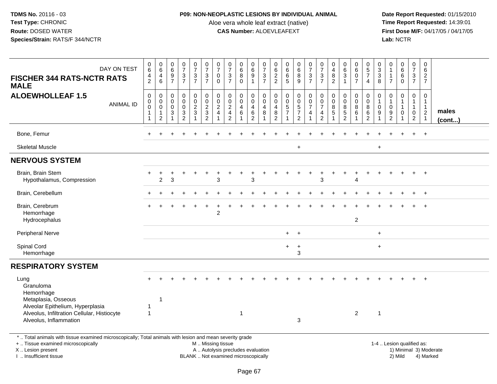# **P09: NON-NEOPLASTIC LESIONS BY INDIVIDUAL ANIMAL**

Aloe vera whole leaf extract (native)<br>**CAS Number:** ALOEVLEAFEXT

| DAY ON TEST<br><b>FISCHER 344 RATS-NCTR RATS</b><br><b>MALE</b>                                                                                                                               | $\begin{array}{c} 0 \\ 6 \end{array}$<br>4<br>2 | $\begin{array}{c} 0 \\ 6 \end{array}$<br>$\overline{4}$<br>$\,6\,$             | $\begin{array}{c} 0 \\ 6 \end{array}$<br>$\boldsymbol{9}$<br>$\overline{7}$ | $\frac{0}{7}$<br>$\frac{3}{7}$                            | $\frac{0}{7}$<br>$\mathbf{3}$<br>$\overline{7}$                 | $\frac{0}{7}$<br>$\ensuremath{\mathsf{3}}$<br>$\overline{7}$     | $\frac{0}{7}$<br>$\pmb{0}$<br>$\mathbf 0$      | $\frac{0}{7}$<br>$\frac{3}{7}$                                           | $_{6}^{\rm 0}$<br>$\bf 8$<br>$\mathbf 0$      | $\begin{array}{c} 0 \\ 6 \end{array}$<br>$\boldsymbol{9}$<br>$\mathbf{1}$  | $\frac{0}{7}$<br>3<br>$\overline{7}$ | $_{6}^{\rm 0}$<br>$\frac{2}{2}$                                                  | $\begin{array}{c} 0 \\ 6 \end{array}$<br>6<br>5 | $\begin{array}{c} 0 \\ 6 \end{array}$<br>8<br>9                          | $\frac{0}{7}$<br>$\sqrt{3}$<br>$\overline{7}$                | $\frac{0}{7}$<br>$\sqrt{3}$<br>$\overline{7}$             | 0<br>$\overline{4}$<br>$\, 8$<br>$\overline{c}$        | $_{6}^{\rm 0}$<br>$\mathbf{3}$<br>$\mathbf{1}$ | $_{6}^{\rm 0}$<br>$\mathbf 0$<br>$\overline{7}$             | $\begin{array}{c} 0 \\ 5 \\ 7 \end{array}$<br>$\overline{4}$ | $_3^0$<br>$\sqrt{3}$<br>8       | $\begin{smallmatrix}0\\1\end{smallmatrix}$<br>$\mathbf{1}$<br>$\overline{7}$ | $\begin{array}{c} 0 \\ 6 \end{array}$<br>6<br>$\mathbf 0$ | $\pmb{0}$<br>$\overline{7}$<br>$\sqrt{3}$<br>$\overline{7}$              | 0<br>6<br>$\overline{2}$<br>$\overline{7}$               |                        |
|-----------------------------------------------------------------------------------------------------------------------------------------------------------------------------------------------|-------------------------------------------------|--------------------------------------------------------------------------------|-----------------------------------------------------------------------------|-----------------------------------------------------------|-----------------------------------------------------------------|------------------------------------------------------------------|------------------------------------------------|--------------------------------------------------------------------------|-----------------------------------------------|----------------------------------------------------------------------------|--------------------------------------|----------------------------------------------------------------------------------|-------------------------------------------------|--------------------------------------------------------------------------|--------------------------------------------------------------|-----------------------------------------------------------|--------------------------------------------------------|------------------------------------------------|-------------------------------------------------------------|--------------------------------------------------------------|---------------------------------|------------------------------------------------------------------------------|-----------------------------------------------------------|--------------------------------------------------------------------------|----------------------------------------------------------|------------------------|
| <b>ALOEWHOLLEAF 1.5</b><br><b>ANIMAL ID</b>                                                                                                                                                   | $\mathsf 0$<br>$\pmb{0}$<br>$\Omega$<br>1<br>-1 | $\mathbf 0$<br>$\mathbf 0$<br>$\boldsymbol{0}$<br>$\overline{1}$<br>$\sqrt{2}$ | $\pmb{0}$<br>$\mathbf 0$<br>$\mathbf 0$<br>$\sqrt{3}$<br>$\overline{1}$     | 0<br>$\overline{0}$<br>$\mathbf 0$<br>3<br>$\overline{c}$ | $\begin{array}{c} 0 \\ 0 \\ 2 \\ 3 \end{array}$<br>$\mathbf{1}$ | $\mathbf 0$<br>$\overline{0}$<br>$\frac{2}{3}$<br>$\overline{2}$ | 0<br>$\pmb{0}$<br>$\sqrt{2}$<br>$\overline{4}$ | $\mathbf 0$<br>$\overline{0}$<br>$\frac{2}{4}$<br>2                      | 0<br>$\mathbf 0$<br>$\overline{4}$<br>$\,6\,$ | 0<br>$\overline{0}$<br>$\overline{4}$<br>$6\phantom{1}6$<br>$\overline{2}$ | 0<br>$\mathbf 0$<br>4<br>8           | $\pmb{0}$<br>$\mathbf 0$<br>$\overline{\mathbf{4}}$<br>$\bf 8$<br>$\overline{2}$ | 0<br>$\tilde{0}$<br>$\frac{5}{7}$               | 0<br>$\boldsymbol{0}$<br>$\mathbf 5$<br>$\overline{7}$<br>$\overline{c}$ | $\pmb{0}$<br>$\frac{0}{7}$<br>$\overline{4}$<br>$\mathbf{1}$ | 0<br>$\mathbf 0$<br>$\overline{7}$<br>4<br>$\overline{c}$ | $\mathbf 0$<br>$\mathbf 0$<br>8<br>5<br>$\overline{1}$ | 0<br>$\mathbf 0$<br>8<br>5<br>$\overline{2}$   | $\begin{smallmatrix}0\0\0\end{smallmatrix}$<br>8<br>6<br>-1 | 0<br>$\ddot{\mathbf{0}}$<br>$\bf 8$<br>6<br>$\overline{c}$   | $\mathbf 0$<br>$\mathbf 0$<br>9 | $\mathbf 0$<br>$\mathbf{1}$<br>$\pmb{0}$<br>$9\,$<br>$\overline{2}$          | 0<br>$\mathbf{1}$<br>$\mathbf{1}$<br>$\mathbf 0$<br>-1    | $\mathbf 0$<br>$\mathbf{1}$<br>$\mathbf{1}$<br>$\mathbf 0$<br>$\sqrt{2}$ | 0<br>1<br>$\mathbf{1}$<br>$\overline{2}$<br>$\mathbf{1}$ | males<br>(cont)        |
| Bone, Femur                                                                                                                                                                                   |                                                 |                                                                                |                                                                             |                                                           |                                                                 |                                                                  |                                                |                                                                          |                                               |                                                                            |                                      |                                                                                  |                                                 |                                                                          |                                                              |                                                           |                                                        |                                                |                                                             |                                                              |                                 |                                                                              |                                                           |                                                                          | $\ddot{}$                                                |                        |
| <b>Skeletal Muscle</b>                                                                                                                                                                        |                                                 |                                                                                |                                                                             |                                                           |                                                                 |                                                                  |                                                |                                                                          |                                               |                                                                            |                                      |                                                                                  |                                                 | $+$                                                                      |                                                              |                                                           |                                                        |                                                |                                                             |                                                              | $\ddot{}$                       |                                                                              |                                                           |                                                                          |                                                          |                        |
| <b>NERVOUS SYSTEM</b>                                                                                                                                                                         |                                                 |                                                                                |                                                                             |                                                           |                                                                 |                                                                  |                                                |                                                                          |                                               |                                                                            |                                      |                                                                                  |                                                 |                                                                          |                                                              |                                                           |                                                        |                                                |                                                             |                                                              |                                 |                                                                              |                                                           |                                                                          |                                                          |                        |
| Brain, Brain Stem<br>Hypothalamus, Compression                                                                                                                                                |                                                 | $\overline{2}$                                                                 | 3                                                                           |                                                           |                                                                 |                                                                  | 3                                              |                                                                          |                                               | 3                                                                          |                                      |                                                                                  |                                                 |                                                                          |                                                              | 3                                                         |                                                        |                                                | 4                                                           |                                                              |                                 |                                                                              |                                                           |                                                                          | $\ddot{}$                                                |                        |
| Brain, Cerebellum                                                                                                                                                                             |                                                 |                                                                                |                                                                             |                                                           |                                                                 |                                                                  |                                                |                                                                          |                                               |                                                                            |                                      |                                                                                  |                                                 |                                                                          |                                                              |                                                           |                                                        |                                                |                                                             |                                                              |                                 |                                                                              |                                                           |                                                                          | $\ddot{}$                                                |                        |
| Brain, Cerebrum<br>Hemorrhage<br>Hydrocephalus                                                                                                                                                |                                                 |                                                                                |                                                                             |                                                           |                                                                 |                                                                  | $\overline{2}$                                 |                                                                          |                                               |                                                                            |                                      |                                                                                  |                                                 |                                                                          |                                                              |                                                           |                                                        |                                                | $\overline{c}$                                              |                                                              |                                 |                                                                              |                                                           |                                                                          |                                                          |                        |
| <b>Peripheral Nerve</b>                                                                                                                                                                       |                                                 |                                                                                |                                                                             |                                                           |                                                                 |                                                                  |                                                |                                                                          |                                               |                                                                            |                                      |                                                                                  | $+$                                             | $\ddot{}$                                                                |                                                              |                                                           |                                                        |                                                |                                                             |                                                              | $\ddot{}$                       |                                                                              |                                                           |                                                                          |                                                          |                        |
| Spinal Cord<br>Hemorrhage                                                                                                                                                                     |                                                 |                                                                                |                                                                             |                                                           |                                                                 |                                                                  |                                                |                                                                          |                                               |                                                                            |                                      |                                                                                  | $+$                                             | $\ddot{}$<br>3                                                           |                                                              |                                                           |                                                        |                                                |                                                             |                                                              | $+$                             |                                                                              |                                                           |                                                                          |                                                          |                        |
| <b>RESPIRATORY SYSTEM</b>                                                                                                                                                                     |                                                 |                                                                                |                                                                             |                                                           |                                                                 |                                                                  |                                                |                                                                          |                                               |                                                                            |                                      |                                                                                  |                                                 |                                                                          |                                                              |                                                           |                                                        |                                                |                                                             |                                                              |                                 |                                                                              |                                                           |                                                                          |                                                          |                        |
| Lung<br>Granuloma<br>Hemorrhage                                                                                                                                                               |                                                 |                                                                                |                                                                             |                                                           |                                                                 |                                                                  |                                                |                                                                          |                                               |                                                                            |                                      |                                                                                  |                                                 |                                                                          |                                                              |                                                           |                                                        |                                                |                                                             |                                                              |                                 |                                                                              |                                                           |                                                                          |                                                          |                        |
| Metaplasia, Osseous<br>Alveolar Epithelium, Hyperplasia<br>Alveolus, Infiltration Cellular, Histiocyte<br>Alveolus, Inflammation                                                              | $\mathbf{1}$<br>$\overline{1}$                  | 1                                                                              |                                                                             |                                                           |                                                                 |                                                                  |                                                |                                                                          | -1                                            |                                                                            |                                      |                                                                                  |                                                 | 3                                                                        |                                                              |                                                           |                                                        |                                                | $\overline{2}$                                              |                                                              | $\overline{1}$                  |                                                                              |                                                           |                                                                          |                                                          |                        |
| *  Total animals with tissue examined microscopically; Total animals with lesion and mean severity grade<br>+  Tissue examined microscopically<br>X  Lesion present<br>I  Insufficient tissue |                                                 |                                                                                |                                                                             |                                                           |                                                                 | M  Missing tissue                                                |                                                | A  Autolysis precludes evaluation<br>BLANK  Not examined microscopically |                                               |                                                                            |                                      |                                                                                  |                                                 |                                                                          |                                                              |                                                           |                                                        |                                                |                                                             |                                                              |                                 | 1-4  Lesion qualified as:                                                    | 2) Mild                                                   |                                                                          | 4) Marked                                                | 1) Minimal 3) Moderate |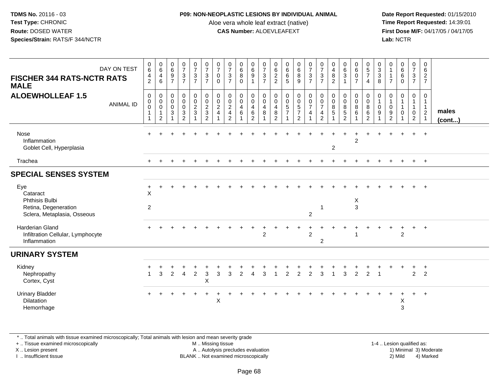#### **P09: NON-NEOPLASTIC LESIONS BY INDIVIDUAL ANIMAL**

Aloe vera whole leaf extract (native)<br>**CAS Number:** ALOEVLEAFEXT

 **Date Report Requested:** 01/15/2010 **First Dose M/F:** 04/17/05 / 04/17/05<br>**Lab:** NCTR **Lab:** NCTR

| <b>FISCHER 344 RATS-NCTR RATS</b><br><b>MALE</b>                     | DAY ON TEST      | $\boldsymbol{0}$<br>$6\phantom{1}$<br>$\frac{4}{2}$                          | $\boldsymbol{0}$<br>$\,6\,$<br>4<br>6                                | $_{6}^{\rm 0}$<br>$\frac{9}{7}$         | $\frac{0}{7}$<br>$\frac{3}{7}$                                       | $\frac{0}{7}$<br>$\frac{3}{7}$ | $\frac{0}{7}$<br>$\frac{3}{7}$                                    | $\frac{0}{7}$<br>$\pmb{0}$<br>$\mathbf{0}$ | $\frac{0}{7}$<br>$\mathbf{3}$<br>$\overline{7}$                                | $\begin{matrix} 0 \\ 6 \end{matrix}$<br>$\overline{8}$<br>$\mathbf{0}$ | 0<br>$\,6\,$<br>$\overline{9}$<br>$\mathbf{1}$                                   | $\frac{0}{7}$<br>$rac{3}{7}$                                        | $062$<br>22                                                             | $\begin{matrix} 0 \\ 6 \\ 6 \end{matrix}$<br>5          | $\begin{matrix} 0 \\ 6 \end{matrix}$<br>$\overline{8}$<br>9       | $\frac{0}{7}$<br>$\frac{3}{7}$                                                  | $\frac{0}{7}$<br>$\frac{3}{7}$                    | $\begin{smallmatrix}0\0\4\end{smallmatrix}$<br>$\bf 8$<br>$\overline{2}$ | $\begin{matrix} 0 \\ 6 \\ 3 \end{matrix}$<br>$\mathbf{1}$ | $\begin{array}{c} 0 \\ 6 \end{array}$<br>$\overline{0}$<br>$\overline{7}$ | $\begin{array}{c} 0 \\ 5 \\ 7 \end{array}$<br>$\overline{4}$ | $\mathbf 0$<br>$\mathbf{3}$<br>$\mathbf{3}$<br>8                 | 0<br>$\mathbf{1}$<br>$\mathbf{1}$<br>$\overline{7}$ | $\begin{matrix}0\6\6\end{matrix}$<br>$\mathbf 0$           | $\frac{0}{7}$<br>$\frac{3}{7}$                                     | 0<br>$\,6\,$<br>$\frac{2}{7}$                   |                       |
|----------------------------------------------------------------------|------------------|------------------------------------------------------------------------------|----------------------------------------------------------------------|-----------------------------------------|----------------------------------------------------------------------|--------------------------------|-------------------------------------------------------------------|--------------------------------------------|--------------------------------------------------------------------------------|------------------------------------------------------------------------|----------------------------------------------------------------------------------|---------------------------------------------------------------------|-------------------------------------------------------------------------|---------------------------------------------------------|-------------------------------------------------------------------|---------------------------------------------------------------------------------|---------------------------------------------------|--------------------------------------------------------------------------|-----------------------------------------------------------|---------------------------------------------------------------------------|--------------------------------------------------------------|------------------------------------------------------------------|-----------------------------------------------------|------------------------------------------------------------|--------------------------------------------------------------------|-------------------------------------------------|-----------------------|
| <b>ALOEWHOLLEAF 1.5</b>                                              | <b>ANIMAL ID</b> | $\mathbf 0$<br>$\boldsymbol{0}$<br>$\,0\,$<br>$\mathbf{1}$<br>$\overline{1}$ | 0<br>$\boldsymbol{0}$<br>$\pmb{0}$<br>$\mathbf{1}$<br>$\overline{c}$ | 0<br>$_{\rm 0}^{\rm 0}$<br>$\mathbf{3}$ | $\mathbf 0$<br>$\overline{0}$<br>0<br>$\mathbf{3}$<br>$\overline{2}$ | 0<br>$\frac{0}{2}$             | $\begin{array}{c} 0 \\ 0 \\ 2 \\ 3 \end{array}$<br>$\overline{2}$ | 0<br>$\frac{0}{2}$<br>$\overline{4}$       | $\boldsymbol{0}$<br>$\frac{0}{2}$<br>$\overline{\mathbf{4}}$<br>$\overline{2}$ | 0<br>$\mathbf 0$<br>$\overline{4}$<br>6                                | 0<br>$\mathsf{O}\xspace$<br>$\overline{\mathbf{4}}$<br>$\,6\,$<br>$\overline{2}$ | $\,0\,$<br>$\pmb{0}$<br>$\overline{4}$<br>$\bf 8$<br>$\overline{A}$ | $\mathbf 0$<br>$\pmb{0}$<br>$\overline{4}$<br>$\bf 8$<br>$\overline{2}$ | $\pmb{0}$<br>$\begin{array}{c} 0 \\ 5 \\ 7 \end{array}$ | 0<br>$\begin{array}{c} 0 \\ 5 \\ 7 \end{array}$<br>$\overline{2}$ | $\mathbf 0$<br>$\begin{array}{c} 0 \\ 7 \end{array}$<br>$\overline{\mathbf{4}}$ | $\pmb{0}$<br>$\frac{0}{7}$<br>4<br>$\overline{2}$ | $\mathbf 0$<br>$\pmb{0}$<br>$\,8\,$<br>$\sqrt{5}$                        | $\pmb{0}$<br>$\frac{0}{8}$<br>$\overline{5}$<br>2         | 0<br>$\frac{0}{8}$<br>$\,6\,$                                             | $\mathbf 0$<br>$\mathbf 0$<br>8<br>$\,6\,$<br>$\overline{2}$ | $\mathbf 0$<br>$\overline{1}$<br>$\mathbf 0$<br>$\boldsymbol{9}$ | 0<br>$\mathbf{1}$<br>0<br>$\boldsymbol{9}$<br>2     | $\mathbf 0$<br>$\mathbf{1}$<br>$\mathbf{1}$<br>$\mathbf 0$ | 0<br>$\mathbf{1}$<br>$\mathbf{1}$<br>$\mathsf 0$<br>$\overline{2}$ | 0<br>$\mathbf{1}$<br>$\mathbf{1}$<br>$\sqrt{2}$ | males<br>$($ cont $)$ |
| Nose<br>Inflammation<br>Goblet Cell, Hyperplasia                     |                  |                                                                              |                                                                      |                                         |                                                                      |                                |                                                                   |                                            |                                                                                |                                                                        |                                                                                  |                                                                     |                                                                         |                                                         |                                                                   |                                                                                 |                                                   | $\overline{c}$                                                           |                                                           | $\overline{2}$                                                            |                                                              |                                                                  |                                                     | $\ddot{}$                                                  | $+$                                                                | $+$                                             |                       |
| Trachea                                                              |                  |                                                                              |                                                                      |                                         |                                                                      |                                |                                                                   |                                            |                                                                                |                                                                        |                                                                                  |                                                                     |                                                                         |                                                         |                                                                   |                                                                                 |                                                   |                                                                          |                                                           |                                                                           |                                                              |                                                                  |                                                     |                                                            | $+$                                                                | $+$                                             |                       |
| <b>SPECIAL SENSES SYSTEM</b>                                         |                  |                                                                              |                                                                      |                                         |                                                                      |                                |                                                                   |                                            |                                                                                |                                                                        |                                                                                  |                                                                     |                                                                         |                                                         |                                                                   |                                                                                 |                                                   |                                                                          |                                                           |                                                                           |                                                              |                                                                  |                                                     |                                                            |                                                                    |                                                 |                       |
| Eye<br>Cataract<br>Phthisis Bulbi                                    |                  | $\ddot{}$<br>X                                                               |                                                                      |                                         |                                                                      |                                |                                                                   |                                            |                                                                                |                                                                        |                                                                                  |                                                                     |                                                                         |                                                         |                                                                   |                                                                                 |                                                   |                                                                          |                                                           | X                                                                         |                                                              |                                                                  |                                                     |                                                            |                                                                    | $+$                                             |                       |
| Retina, Degeneration<br>Sclera, Metaplasia, Osseous                  |                  | $\overline{2}$                                                               |                                                                      |                                         |                                                                      |                                |                                                                   |                                            |                                                                                |                                                                        |                                                                                  |                                                                     |                                                                         |                                                         |                                                                   | $\overline{c}$                                                                  | -1                                                |                                                                          |                                                           | 3                                                                         |                                                              |                                                                  |                                                     |                                                            |                                                                    |                                                 |                       |
| Harderian Gland<br>Infiltration Cellular, Lymphocyte<br>Inflammation |                  |                                                                              |                                                                      |                                         |                                                                      |                                |                                                                   |                                            |                                                                                |                                                                        |                                                                                  | ٠<br>$\overline{2}$                                                 |                                                                         |                                                         |                                                                   | $\overline{2}$                                                                  | $\overline{2}$                                    |                                                                          |                                                           |                                                                           |                                                              |                                                                  |                                                     | $\ddot{}$<br>$\mathcal{P}$                                 | $+$                                                                | $+$                                             |                       |
| <b>URINARY SYSTEM</b>                                                |                  |                                                                              |                                                                      |                                         |                                                                      |                                |                                                                   |                                            |                                                                                |                                                                        |                                                                                  |                                                                     |                                                                         |                                                         |                                                                   |                                                                                 |                                                   |                                                                          |                                                           |                                                                           |                                                              |                                                                  |                                                     |                                                            |                                                                    |                                                 |                       |
| Kidney<br>Nephropathy<br>Cortex, Cyst                                |                  |                                                                              | 3                                                                    | 2                                       | $\overline{4}$                                                       | $\overline{2}$                 | 3<br>X                                                            | 3                                          | 3                                                                              | $\overline{2}$                                                         |                                                                                  | 3                                                                   |                                                                         | $\overline{2}$                                          | $\overline{2}$                                                    | $\overline{2}$                                                                  | 3                                                 |                                                                          | 3                                                         | $\overline{2}$                                                            | $\overline{2}$                                               |                                                                  |                                                     |                                                            | $\overline{2}$                                                     | $\ddot{}$<br>$\overline{2}$                     |                       |
| <b>Urinary Bladder</b><br><b>Dilatation</b><br>Hemorrhage            |                  |                                                                              |                                                                      |                                         |                                                                      |                                |                                                                   | X                                          |                                                                                |                                                                        |                                                                                  |                                                                     |                                                                         |                                                         |                                                                   |                                                                                 |                                                   |                                                                          |                                                           |                                                                           |                                                              |                                                                  |                                                     | Х<br>3                                                     | $+$                                                                | $+$                                             |                       |

\* .. Total animals with tissue examined microscopically; Total animals with lesion and mean severity grade

+ .. Tissue examined microscopically

X .. Lesion present

I .. Insufficient tissue

 M .. Missing tissueA .. Autolysis precludes evaluation

 1-4 .. Lesion qualified as: BLANK .. Not examined microscopically 2) Mild 4) Marked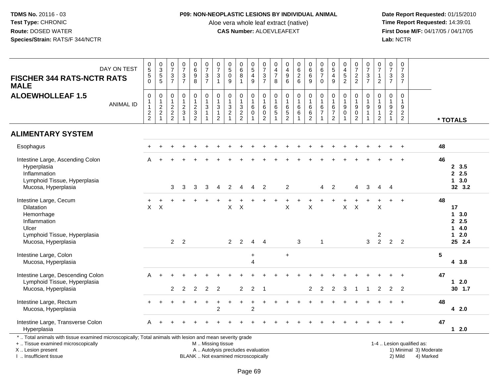# **P09: NON-NEOPLASTIC LESIONS BY INDIVIDUAL ANIMAL**

Aloe vera whole leaf extract (native)<br>**CAS Number:** ALOEVLEAFEXT

| DAY ON TEST<br><b>FISCHER 344 RATS-NCTR RATS</b><br><b>MALE</b>                                                                                                                               | $\begin{array}{c} 0 \\ 5 \end{array}$<br>$\begin{array}{c} 5 \\ 0 \end{array}$ | $\begin{array}{c} 0 \\ 3 \\ 5 \\ 5 \end{array}$                                | $\begin{smallmatrix}0\\7\end{smallmatrix}$<br>$\frac{3}{7}$  | $\frac{0}{7}$<br>$\frac{3}{7}$             | $\begin{array}{c} 0 \\ 6 \end{array}$<br>$\frac{9}{8}$         | $\begin{array}{c} 0 \\ 7 \end{array}$<br>$\frac{3}{7}$                                         | $\frac{0}{7}$<br>$\ensuremath{\mathsf{3}}$<br>$\mathbf{1}$                  | $\begin{array}{c} 0 \\ 5 \end{array}$<br>$\pmb{0}$<br>9                                        | $_6^0$<br>8<br>$\mathbf{1}$                          | $\begin{array}{c} 0 \\ 5 \end{array}$<br>$\begin{array}{c} 4 \\ 9 \end{array}$ | $\frac{0}{7}$<br>$\frac{3}{7}$                                                  | 0<br>$\overline{\mathbf{4}}$<br>$\overline{7}$<br>8   | $\begin{array}{c} 0 \\ 4 \\ 9 \end{array}$<br>6       | 0626                                                      | 0<br>$\,6\,$<br>$\,6\,$<br>9                                                       | $_{6}^{\rm 0}$<br>$\overline{7}$<br>$\mathbf 0$                              | $\begin{array}{c} 0 \\ 5 \end{array}$<br>$\overline{4}$<br>9             | 0452                                                                                   | $\begin{array}{c} 0 \\ 7 \end{array}$<br>$\frac{2}{2}$                                      | $\frac{0}{7}$<br>$\frac{3}{7}$                                          | $\begin{array}{c} 0 \\ 7 \end{array}$<br>$\mathbf{1}$<br>$\overline{c}$     | $\begin{smallmatrix}0\\7\end{smallmatrix}$<br>$\frac{3}{7}$ | 0<br>$\overline{7}$<br>$\mathbf{3}$<br>$\overline{7}$                         |                                                                  |                                               |
|-----------------------------------------------------------------------------------------------------------------------------------------------------------------------------------------------|--------------------------------------------------------------------------------|--------------------------------------------------------------------------------|--------------------------------------------------------------|--------------------------------------------|----------------------------------------------------------------|------------------------------------------------------------------------------------------------|-----------------------------------------------------------------------------|------------------------------------------------------------------------------------------------|------------------------------------------------------|--------------------------------------------------------------------------------|---------------------------------------------------------------------------------|-------------------------------------------------------|-------------------------------------------------------|-----------------------------------------------------------|------------------------------------------------------------------------------------|------------------------------------------------------------------------------|--------------------------------------------------------------------------|----------------------------------------------------------------------------------------|---------------------------------------------------------------------------------------------|-------------------------------------------------------------------------|-----------------------------------------------------------------------------|-------------------------------------------------------------|-------------------------------------------------------------------------------|------------------------------------------------------------------|-----------------------------------------------|
| <b>ALOEWHOLLEAF 1.5</b><br><b>ANIMAL ID</b>                                                                                                                                                   | $\pmb{0}$<br>$\frac{1}{1}$<br>$\frac{2}{2}$                                    | $\boldsymbol{0}$<br>$\begin{array}{c} 1 \\ 2 \\ 2 \end{array}$<br>$\mathbf{1}$ | $\pmb{0}$<br>$\begin{array}{c} 1 \\ 2 \\ 2 \\ 2 \end{array}$ | $\pmb{0}$<br>$\mathbf{1}$<br>$\frac{2}{3}$ | $\mathbf 0$<br>$\begin{array}{c} 1 \\ 2 \\ 3 \\ 2 \end{array}$ | $\begin{smallmatrix}0\\1\end{smallmatrix}$<br>$\overline{3}$<br>$\mathbf{1}$<br>$\overline{1}$ | $\pmb{0}$<br>$\overline{1}$<br>$\sqrt{3}$<br>$\mathbf{1}$<br>$\overline{2}$ | $\begin{smallmatrix}0\\1\end{smallmatrix}$<br>$\overline{3}$<br>$\overline{2}$<br>$\mathbf{1}$ | 0<br>$\mathbf{1}$<br>$\frac{3}{2}$<br>$\overline{2}$ | $\pmb{0}$<br>$\mathbf{1}$<br>$\,6\,$<br>$\mathbf 0$<br>$\overline{1}$          | $\,0\,$<br>$\begin{array}{c} 1 \\ 6 \end{array}$<br>$\bar{0}$<br>$\overline{2}$ | $\pmb{0}$<br>$\overline{1}$<br>$\,6\,$<br>$\,$ 5 $\,$ | $\pmb{0}$<br>$\mathbf{1}$<br>$\,6\,$<br>$\frac{5}{2}$ | $\pmb{0}$<br>$\mathbf{1}$<br>$\,6\,$<br>6<br>$\mathbf{1}$ | $\begin{smallmatrix}0\\1\end{smallmatrix}$<br>$\,6\,$<br>$\,6\,$<br>$\overline{c}$ | 0<br>$\begin{array}{c} 1 \\ 6 \end{array}$<br>$\overline{7}$<br>$\mathbf{1}$ | $\pmb{0}$<br>$\mathbf{1}$<br>$\,6\,$<br>$\overline{7}$<br>$\overline{2}$ | $\pmb{0}$<br>$\mathbf{1}$<br>$\boldsymbol{9}$<br>$\ddot{\mathbf{0}}$<br>$\overline{ }$ | $\mathsf{O}$<br>$\overline{1}$<br>$\boldsymbol{9}$<br>$\mathsf{O}\xspace$<br>$\overline{2}$ | $\pmb{0}$<br>$\begin{array}{c} 1 \\ 9 \\ 1 \end{array}$<br>$\mathbf{1}$ | 0<br>$\overline{1}$<br>$\boldsymbol{9}$<br>$\overline{1}$<br>$\overline{2}$ | $\,0\,$<br>$\mathbf{1}$<br>$\overline{9}$<br>$\frac{2}{1}$  | $\pmb{0}$<br>$\mathbf{1}$<br>$\boldsymbol{9}$<br>$\sqrt{2}$<br>$\overline{2}$ |                                                                  | * TOTALS                                      |
| <b>ALIMENTARY SYSTEM</b>                                                                                                                                                                      |                                                                                |                                                                                |                                                              |                                            |                                                                |                                                                                                |                                                                             |                                                                                                |                                                      |                                                                                |                                                                                 |                                                       |                                                       |                                                           |                                                                                    |                                                                              |                                                                          |                                                                                        |                                                                                             |                                                                         |                                                                             |                                                             |                                                                               |                                                                  |                                               |
| Esophagus                                                                                                                                                                                     |                                                                                |                                                                                |                                                              |                                            |                                                                |                                                                                                |                                                                             |                                                                                                |                                                      |                                                                                |                                                                                 |                                                       |                                                       |                                                           |                                                                                    |                                                                              |                                                                          |                                                                                        |                                                                                             |                                                                         |                                                                             |                                                             |                                                                               | 48                                                               |                                               |
| Intestine Large, Ascending Colon<br>Hyperplasia<br>Inflammation<br>Lymphoid Tissue, Hyperplasia<br>Mucosa, Hyperplasia                                                                        |                                                                                |                                                                                | 3                                                            | 3                                          | 3                                                              | 3                                                                                              | $\overline{4}$                                                              | $\overline{2}$                                                                                 | -4                                                   | $\overline{4}$                                                                 | 2                                                                               |                                                       | 2                                                     |                                                           |                                                                                    | $\overline{4}$                                                               | 2                                                                        |                                                                                        | 4                                                                                           | 3                                                                       | 4                                                                           | 4                                                           |                                                                               | 46                                                               | 2, 3.5<br>2.5<br>13.0<br>32 3.2               |
| Intestine Large, Cecum<br>Dilatation<br>Hemorrhage<br>Inflammation<br>Ulcer<br>Lymphoid Tissue, Hyperplasia<br>Mucosa, Hyperplasia                                                            | $\mathsf{X}$                                                                   | $\mathsf{X}$                                                                   | $2^{\circ}$                                                  | 2                                          |                                                                |                                                                                                |                                                                             | X<br>$\overline{2}$                                                                            | $\times$<br>$\overline{2}$                           | 4                                                                              | 4                                                                               |                                                       | X                                                     | $\ddot{}$<br>3                                            | $\boldsymbol{\mathsf{X}}$                                                          | $\mathbf{1}$                                                                 |                                                                          | X                                                                                      | $\pmb{\times}$                                                                              | 3                                                                       | X<br>2<br>2                                                                 | $\overline{2}$                                              | $+$<br>$\overline{2}$                                                         | 48                                                               | 17<br>13.0<br>2.5<br>14.0<br>$12.0$<br>25 2.4 |
| Intestine Large, Colon<br>Mucosa, Hyperplasia                                                                                                                                                 |                                                                                |                                                                                |                                                              |                                            |                                                                |                                                                                                |                                                                             |                                                                                                |                                                      | $\ddot{}$<br>$\boldsymbol{\Lambda}$                                            |                                                                                 |                                                       | $\ddot{}$                                             |                                                           |                                                                                    |                                                                              |                                                                          |                                                                                        |                                                                                             |                                                                         |                                                                             |                                                             |                                                                               | $5\phantom{.0}$                                                  | 4 3.8                                         |
| Intestine Large, Descending Colon<br>Lymphoid Tissue, Hyperplasia<br>Mucosa, Hyperplasia                                                                                                      | А                                                                              |                                                                                | $\overline{2}$                                               | $\overline{2}$                             | $\overline{2}$                                                 | 2                                                                                              | $\overline{2}$                                                              |                                                                                                | $\overline{2}$                                       | $\overline{2}$                                                                 | -1                                                                              |                                                       |                                                       |                                                           | $\overline{2}$                                                                     | $\overline{c}$                                                               | $\overline{2}$                                                           | 3                                                                                      | $\overline{1}$                                                                              | $\overline{1}$                                                          | 2                                                                           | $\overline{2}$                                              | $\overline{2}$                                                                | 47                                                               | $12.0$<br>30 1.7                              |
| Intestine Large, Rectum<br>Mucosa, Hyperplasia                                                                                                                                                |                                                                                |                                                                                |                                                              |                                            |                                                                |                                                                                                | $\overline{2}$                                                              |                                                                                                |                                                      | $\overline{2}$                                                                 |                                                                                 |                                                       |                                                       |                                                           |                                                                                    |                                                                              |                                                                          |                                                                                        |                                                                                             |                                                                         |                                                                             |                                                             | $\overline{+}$                                                                | 48                                                               | 42.0                                          |
| Intestine Large, Transverse Colon<br>Hyperplasia                                                                                                                                              |                                                                                |                                                                                |                                                              |                                            |                                                                |                                                                                                |                                                                             |                                                                                                |                                                      |                                                                                |                                                                                 |                                                       |                                                       |                                                           |                                                                                    |                                                                              |                                                                          |                                                                                        |                                                                                             |                                                                         |                                                                             |                                                             |                                                                               | 47                                                               | $12.0$                                        |
| *  Total animals with tissue examined microscopically; Total animals with lesion and mean severity grade<br>+  Tissue examined microscopically<br>X  Lesion present<br>I  Insufficient tissue |                                                                                |                                                                                |                                                              |                                            |                                                                |                                                                                                |                                                                             | M  Missing tissue<br>A  Autolysis precludes evaluation<br>BLANK  Not examined microscopically  |                                                      |                                                                                |                                                                                 |                                                       |                                                       |                                                           |                                                                                    |                                                                              |                                                                          |                                                                                        |                                                                                             |                                                                         |                                                                             |                                                             | 2) Mild                                                                       | 1-4  Lesion qualified as:<br>1) Minimal 3) Moderate<br>4) Marked |                                               |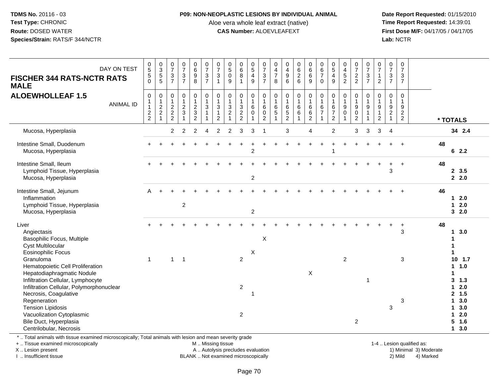#### **P09: NON-NEOPLASTIC LESIONS BY INDIVIDUAL ANIMAL**

Aloe vera whole leaf extract (native)<br>**CAS Number:** ALOEVLEAFEXT

 **Date Report Requested:** 01/15/2010 **First Dose M/F:** 04/17/05 / 04/17/05<br>Lab: NCTR **Lab:** NCTR

| DAY ON TEST<br><b>FISCHER 344 RATS-NCTR RATS</b>                                                                                                                                                                                                                | $\begin{array}{c} 0 \\ 5 \end{array}$<br>5         | 0<br>3<br>5<br>5                                        | $\frac{0}{7}$<br>$rac{3}{7}$                                 | $\frac{0}{7}$<br>$rac{3}{7}$                                    | 0<br>0<br>0<br>0<br>0                                                   | $\frac{0}{7}$<br>$\frac{3}{7}$                                                             | $\frac{0}{7}$<br>$\mathbf{3}$                                    | $\begin{array}{c} 0 \\ 5 \\ 0 \end{array}$                                     | $\begin{array}{c} 0 \\ 6 \\ 8 \end{array}$ | $\begin{array}{c} 0 \\ 5 \\ 4 \\ 9 \end{array}$    | $\frac{0}{7}$<br>$rac{3}{7}$                                  | 0<br>$\frac{4}{7}$          | $\begin{array}{c} 0 \\ 4 \\ 9 \\ 6 \end{array}$                         | 0626                                    | $\begin{matrix} 0 \\ 6 \\ 6 \end{matrix}$                             | 0<br>$\frac{6}{7}$ | $0$<br>$5$<br>$4$<br>$9$                                         | $045$<br>$2$                          | $072$<br>2                         | $\frac{0}{7}$<br>$rac{3}{7}$                                    | $\frac{0}{7}$<br>$\frac{1}{2}$                                            | $\frac{0}{7}$<br>$\frac{3}{7}$               | $\frac{0}{7}$<br>$\frac{3}{7}$                         |                                                            |
|-----------------------------------------------------------------------------------------------------------------------------------------------------------------------------------------------------------------------------------------------------------------|----------------------------------------------------|---------------------------------------------------------|--------------------------------------------------------------|-----------------------------------------------------------------|-------------------------------------------------------------------------|--------------------------------------------------------------------------------------------|------------------------------------------------------------------|--------------------------------------------------------------------------------|--------------------------------------------|----------------------------------------------------|---------------------------------------------------------------|-----------------------------|-------------------------------------------------------------------------|-----------------------------------------|-----------------------------------------------------------------------|--------------------|------------------------------------------------------------------|---------------------------------------|------------------------------------|-----------------------------------------------------------------|---------------------------------------------------------------------------|----------------------------------------------|--------------------------------------------------------|------------------------------------------------------------|
| <b>MALE</b>                                                                                                                                                                                                                                                     | $\Omega$                                           |                                                         |                                                              |                                                                 |                                                                         |                                                                                            | $\overline{1}$                                                   | 9                                                                              | $\mathbf{1}$                               |                                                    |                                                               | 8                           |                                                                         |                                         | 9                                                                     | $\mathbf 0$        |                                                                  |                                       |                                    |                                                                 |                                                                           |                                              |                                                        |                                                            |
| <b>ALOEWHOLLEAF 1.5</b><br><b>ANIMAL ID</b>                                                                                                                                                                                                                     | 0<br>$\mathbf{1}$<br>$\mathbf{1}$<br>$\frac{2}{2}$ | $\pmb{0}$<br>$\begin{array}{c} 1 \\ 2 \\ 2 \end{array}$ | $\pmb{0}$<br>$\mathbf{1}$<br>$\overline{c}$<br>$\frac{2}{2}$ | $\pmb{0}$<br>$\mathbf{1}$<br>$\boldsymbol{2}$<br>$\overline{3}$ | $\pmb{0}$<br>$\mathbf{1}$<br>$\begin{array}{c} 2 \\ 3 \\ 2 \end{array}$ | $\begin{smallmatrix}0\\1\end{smallmatrix}$<br>$\sqrt{3}$<br>$\mathbf{1}$<br>$\overline{1}$ | $\pmb{0}$<br>$\mathbf{1}$<br>3<br>$\mathbf{1}$<br>$\overline{2}$ | $\mathbf 0$<br>$\mathbf{1}$<br>$\mathsf 3$<br>$\overline{c}$<br>$\overline{1}$ | 0<br>$\mathbf{1}$<br>3<br>$\frac{2}{2}$    | 0<br>$\overline{1}$<br>$\,6\,$<br>$\mathbf 0$<br>1 | 0<br>$\mathbf{1}$<br>$\,6\,$<br>$\mathbf 0$<br>$\overline{2}$ | 0<br>$\mathbf{1}$<br>6<br>5 | $\pmb{0}$<br>$\mathbf{1}$<br>$\begin{array}{c} 6 \\ 5 \\ 2 \end{array}$ | 0<br>$\mathbf{1}$<br>$\,6\,$<br>$\,6\,$ | $\pmb{0}$<br>$\overline{1}$<br>$6\phantom{1}6$<br>6<br>$\overline{2}$ | 0<br>6<br>7        | 0<br>$\mathbf{1}$<br>$\,6$<br>$\boldsymbol{7}$<br>$\overline{2}$ | 0<br>$\mathbf{1}$<br>9<br>$\mathbf 0$ | 0<br>$\mathbf{1}$<br>$\frac{9}{2}$ | $\mathbf 0$<br>$\mathbf{1}$<br>$\boldsymbol{9}$<br>$\mathbf{1}$ | $\mathbf 0$<br>$\mathbf{1}$<br>$\begin{array}{c} 9 \\ 1 \\ 2 \end{array}$ | $\pmb{0}$<br>$\overline{1}$<br>$\frac{9}{2}$ | 0<br>$\mathbf{1}$<br>$\boldsymbol{9}$<br>$\frac{2}{2}$ | * TOTALS                                                   |
| Mucosa, Hyperplasia                                                                                                                                                                                                                                             |                                                    |                                                         | $\overline{2}$                                               | $\overline{2}$                                                  | $\overline{c}$                                                          | 4                                                                                          | $\overline{c}$                                                   | $\overline{2}$                                                                 | 3                                          | 3                                                  | -1                                                            |                             | 3                                                                       |                                         | 4                                                                     |                    | $\overline{2}$                                                   |                                       | 3                                  | 3                                                               | 3                                                                         | $\overline{4}$                               |                                                        | 34 2.4                                                     |
| Intestine Small, Duodenum<br>Mucosa, Hyperplasia                                                                                                                                                                                                                |                                                    |                                                         |                                                              |                                                                 |                                                                         |                                                                                            |                                                                  |                                                                                |                                            | $\overline{2}$                                     |                                                               |                             |                                                                         |                                         |                                                                       |                    |                                                                  |                                       |                                    |                                                                 |                                                                           |                                              | $+$                                                    | 48<br>62.2                                                 |
| Intestine Small, Ileum<br>Lymphoid Tissue, Hyperplasia<br>Mucosa, Hyperplasia                                                                                                                                                                                   |                                                    |                                                         |                                                              |                                                                 |                                                                         |                                                                                            |                                                                  |                                                                                |                                            | $\overline{c}$                                     |                                                               |                             |                                                                         |                                         |                                                                       |                    |                                                                  |                                       |                                    |                                                                 |                                                                           | 3                                            |                                                        | 48<br>2, 3.5<br>2.0                                        |
| Intestine Small, Jejunum<br>Inflammation<br>Lymphoid Tissue, Hyperplasia<br>Mucosa, Hyperplasia                                                                                                                                                                 | A                                                  |                                                         |                                                              | $\overline{2}$                                                  |                                                                         |                                                                                            |                                                                  |                                                                                |                                            | $\overline{c}$                                     |                                                               |                             |                                                                         |                                         |                                                                       |                    |                                                                  |                                       |                                    |                                                                 |                                                                           |                                              |                                                        | 46<br>$12.0$<br>2.0<br>1<br>32.0                           |
| Liver<br>Angiectasis<br>Basophilic Focus, Multiple<br><b>Cyst Multilocular</b><br><b>Eosinophilic Focus</b>                                                                                                                                                     |                                                    |                                                         |                                                              |                                                                 |                                                                         |                                                                                            |                                                                  |                                                                                |                                            |                                                    | X                                                             |                             |                                                                         |                                         |                                                                       |                    |                                                                  |                                       |                                    |                                                                 |                                                                           |                                              | $+$<br>3                                               | 48<br>3.0<br>1                                             |
| Granuloma<br>Hematopoietic Cell Proliferation<br>Hepatodiaphragmatic Nodule<br>Infiltration Cellular, Lymphocyte<br>Infiltration Cellular, Polymorphonuclear                                                                                                    | $\mathbf{1}$                                       |                                                         | $\mathbf{1}$                                                 | $\overline{1}$                                                  |                                                                         |                                                                                            |                                                                  |                                                                                | $\overline{c}$<br>$\boldsymbol{2}$         | X                                                  |                                                               |                             |                                                                         |                                         | X                                                                     |                    |                                                                  | $\overline{c}$                        |                                    | 1                                                               |                                                                           |                                              | 3                                                      | $10$ 1.7<br>1 1.0<br>3, 1.3<br>2.0<br>1                    |
| Necrosis, Coagulative<br>Regeneration<br><b>Tension Lipidosis</b><br>Vacuolization Cytoplasmic<br>Bile Duct, Hyperplasia<br>Centrilobular, Necrosis<br>*  Total animals with tissue examined microscopically; Total animals with lesion and mean severity grade |                                                    |                                                         |                                                              |                                                                 |                                                                         |                                                                                            |                                                                  |                                                                                | $\overline{2}$                             | -1                                                 |                                                               |                             |                                                                         |                                         |                                                                       |                    |                                                                  |                                       | $\overline{2}$                     |                                                                 |                                                                           | 3                                            | 3                                                      | 2, 1.5<br>3.0<br>1.<br>3.0<br>2.0<br>1<br>5<br>1.6<br>13.0 |

. Total animals with tissue examined microscopically; Total animals with lesion and mean severity grade

+ .. Tissue examined microscopically

X .. Lesion present

I .. Insufficient tissue

M .. Missing tissue

BLANK .. Not examined microscopically

1-4 .. Lesion qualified as:<br>1) Minimal 3) Moderate A .. Autolysis precludes evaluation 19 and 10 minimal 3) Moderate 1 and 20 minimal 3) Moderate 19 minimal 3) Moderat<br>19 and 19 and 19 and 19 and 19 and 19 and 19 and 19 and 19 and 19 and 19 and 19 and 19 and 19 and 19 and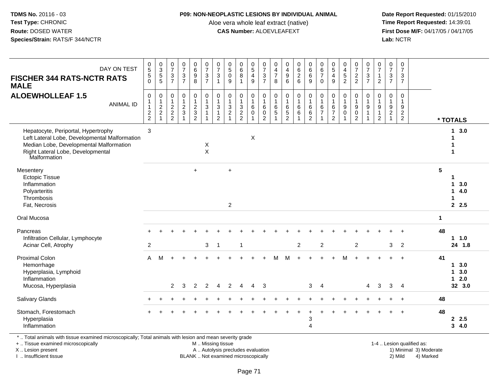#### **P09: NON-NEOPLASTIC LESIONS BY INDIVIDUAL ANIMAL**

Aloe vera whole leaf extract (native)<br>**CAS Number:** ALOEVLEAFEXT

 **Date Report Requested:** 01/15/2010 **First Dose M/F:** 04/17/05 / 04/17/05<br>**Lab:** NCTR **Lab:** NCTR

| DAY ON TEST<br><b>FISCHER 344 RATS-NCTR RATS</b><br><b>MALE</b>                                                                                                                      | $\begin{array}{c} 0 \\ 5 \end{array}$<br>$\sqrt{5}$<br>$\Omega$           | $\begin{array}{c} 0 \\ 3 \\ 5 \end{array}$<br>$\overline{5}$ | $\frac{0}{7}$<br>$\frac{3}{7}$               | $\frac{0}{7}$<br>$rac{3}{7}$                 | $\begin{array}{c} 0 \\ 6 \\ 9 \end{array}$<br>8                | $\frac{0}{7}$<br>$\frac{3}{7}$                                      | $\frac{0}{7}$<br>$\mathbf 3$<br>$\mathbf{1}$                                | $\begin{smallmatrix}0\0\0\end{smallmatrix}$<br>$9\,$           | $\begin{matrix}0\\6\\8\end{matrix}$<br>$\mathbf{1}$ | $\begin{array}{c} 0 \\ 5 \\ 4 \end{array}$<br>9 | $\begin{array}{c} 0 \\ 7 \\ 3 \end{array}$<br>$\overline{7}$               | 0<br>$\frac{4}{7}$<br>8                             | $\begin{array}{c} 0 \\ 4 \\ 9 \end{array}$<br>6 |                                            | $0$<br>6<br>6<br>9                                    | $\begin{array}{c} 0 \\ 6 \\ 7 \end{array}$<br>$\mathbf 0$ | $\begin{array}{c} 0 \\ 5 \end{array}$<br>$\overline{\mathbf{4}}$<br>9 | $\begin{array}{c} 0 \\ 4 \\ 5 \end{array}$<br>$\overline{2}$ | $\begin{array}{c} 0 \\ 7 \end{array}$<br>$\frac{2}{2}$ | $\frac{0}{7}$<br>$\frac{3}{7}$                                | $\begin{smallmatrix}0\\7\end{smallmatrix}$<br>$\mathbf{1}$<br>$\overline{2}$   | $\frac{0}{7}$<br>3<br>$\overline{7}$                       | $\frac{0}{7}$<br>3<br>$\overline{7}$                |                |                                                       |
|--------------------------------------------------------------------------------------------------------------------------------------------------------------------------------------|---------------------------------------------------------------------------|--------------------------------------------------------------|----------------------------------------------|----------------------------------------------|----------------------------------------------------------------|---------------------------------------------------------------------|-----------------------------------------------------------------------------|----------------------------------------------------------------|-----------------------------------------------------|-------------------------------------------------|----------------------------------------------------------------------------|-----------------------------------------------------|-------------------------------------------------|--------------------------------------------|-------------------------------------------------------|-----------------------------------------------------------|-----------------------------------------------------------------------|--------------------------------------------------------------|--------------------------------------------------------|---------------------------------------------------------------|--------------------------------------------------------------------------------|------------------------------------------------------------|-----------------------------------------------------|----------------|-------------------------------------------------------|
| <b>ALOEWHOLLEAF 1.5</b><br><b>ANIMAL ID</b>                                                                                                                                          | $\mathsf 0$<br>$\mathbf{1}$<br>$\begin{array}{c} 1 \\ 2 \\ 2 \end{array}$ | $\pmb{0}$<br>$\overline{1}$<br>$\frac{2}{2}$<br>1            | $\mathbf 0$<br>$\mathbf{1}$<br>$\frac{2}{2}$ | $\pmb{0}$<br>$\overline{1}$<br>$\frac{2}{3}$ | $\mathbf 0$<br>$\mathbf{1}$<br>$\frac{2}{3}$<br>$\overline{2}$ | $\pmb{0}$<br>$\overline{1}$<br>$\mathbf{3}$<br>$\overline{1}$<br>-1 | $\pmb{0}$<br>$\mathbf{1}$<br>$\mathbf{3}$<br>$\mathbf{1}$<br>$\overline{2}$ | $\pmb{0}$<br>$\overline{1}$<br>$\frac{3}{2}$<br>$\overline{1}$ | $\pmb{0}$<br>$\mathbf{1}$<br>$\frac{3}{2}$          | 0<br>$\mathbf{1}$<br>6<br>$\mathbf 0$           | $\pmb{0}$<br>$\overline{1}$<br>$\,6\,$<br>$\overline{0}$<br>$\overline{2}$ | 0<br>$\mathbf{1}$<br>$\,6\,$<br>$\overline{5}$<br>1 | $\pmb{0}$<br>$\mathbf{1}$<br>6<br>$\frac{5}{2}$ | $\boldsymbol{0}$<br>$\mathbf{1}$<br>$^6_6$ | $\pmb{0}$<br>$\mathbf{1}$<br>$^6_6$<br>$\overline{2}$ | $\mathsf 0$<br>$\overline{1}$<br>$\frac{6}{7}$            | $\pmb{0}$<br>$\mathbf{1}$<br>6<br>$\overline{7}$<br>$\overline{2}$    | $\pmb{0}$<br>$\mathbf{1}$<br>$\boldsymbol{9}$<br>$\mathbf 0$ | 0<br>$\mathbf{1}$<br>$_{0}^{9}$<br>$\overline{2}$      | $\pmb{0}$<br>$\mathbf{1}$<br>$\boldsymbol{9}$<br>$\mathbf{1}$ | $\mathsf{O}\xspace$<br>$\overline{1}$<br>$\boldsymbol{9}$<br>$\mathbf{1}$<br>2 | 0<br>$\mathbf{1}$<br>9<br>$\overline{2}$<br>$\overline{1}$ | $\mathbf 0$<br>$\overline{1}$<br>9<br>$\frac{2}{2}$ |                | * TOTALS                                              |
| Hepatocyte, Periportal, Hypertrophy<br>Left Lateral Lobe, Developmental Malformation<br>Median Lobe, Developmental Malformation<br>Right Lateral Lobe, Developmental<br>Malformation | $\mathbf{3}$                                                              |                                                              |                                              |                                              |                                                                | X<br>$\boldsymbol{\mathsf{X}}$                                      |                                                                             |                                                                |                                                     | X                                               |                                                                            |                                                     |                                                 |                                            |                                                       |                                                           |                                                                       |                                                              |                                                        |                                                               |                                                                                |                                                            |                                                     |                | 3.0<br>$\mathbf{1}$<br>1<br>1                         |
| Mesentery<br><b>Ectopic Tissue</b><br>Inflammation<br>Polyarteritis<br>Thrombosis<br>Fat, Necrosis                                                                                   |                                                                           |                                                              |                                              |                                              | $+$                                                            |                                                                     |                                                                             | $\ddot{}$<br>$\overline{2}$                                    |                                                     |                                                 |                                                                            |                                                     |                                                 |                                            |                                                       |                                                           |                                                                       |                                                              |                                                        |                                                               |                                                                                |                                                            |                                                     | $5\phantom{1}$ | 1<br>3.0<br>$\mathbf 1$<br>14.0<br>$\mathbf 1$<br>2.5 |
| Oral Mucosa                                                                                                                                                                          |                                                                           |                                                              |                                              |                                              |                                                                |                                                                     |                                                                             |                                                                |                                                     |                                                 |                                                                            |                                                     |                                                 |                                            |                                                       |                                                           |                                                                       |                                                              |                                                        |                                                               |                                                                                |                                                            |                                                     | $\mathbf{1}$   |                                                       |
| Pancreas<br>Infiltration Cellular, Lymphocyte<br>Acinar Cell, Atrophy                                                                                                                | $\sqrt{2}$                                                                |                                                              |                                              |                                              |                                                                | 3                                                                   | $\overline{1}$                                                              |                                                                | $\overline{1}$                                      |                                                 |                                                                            |                                                     |                                                 | $\overline{2}$                             |                                                       | $\overline{2}$                                            |                                                                       |                                                              | $\overline{2}$                                         |                                                               |                                                                                | 3                                                          | $\overline{2}$                                      | 48             | $1 1.0$<br>24 1.8                                     |
| <b>Proximal Colon</b><br>Hemorrhage<br>Hyperplasia, Lymphoid<br>Inflammation<br>Mucosa, Hyperplasia                                                                                  | $\mathsf{A}$                                                              | M                                                            | $\overline{2}$                               | 3                                            | 2                                                              | $\overline{2}$                                                      | $\overline{4}$                                                              | $\overline{2}$                                                 | $\overline{4}$                                      | $\overline{4}$                                  | 3                                                                          | м                                                   | м                                               |                                            | 3                                                     | $\overline{4}$                                            |                                                                       | м                                                            |                                                        | $\overline{4}$                                                | 3                                                                              | $\mathbf{3}$                                               | $\ddot{+}$<br>$\overline{4}$                        | 41             | 13.0<br>13.0<br>$12.0$<br>32 3.0                      |
| <b>Salivary Glands</b>                                                                                                                                                               |                                                                           |                                                              |                                              |                                              |                                                                |                                                                     |                                                                             |                                                                |                                                     |                                                 |                                                                            |                                                     |                                                 |                                            |                                                       |                                                           |                                                                       |                                                              |                                                        |                                                               |                                                                                |                                                            |                                                     | 48             |                                                       |
| Stomach, Forestomach<br>Hyperplasia<br>Inflammation                                                                                                                                  |                                                                           |                                                              |                                              |                                              |                                                                |                                                                     |                                                                             |                                                                |                                                     |                                                 |                                                                            |                                                     |                                                 |                                            | 3<br>$\overline{A}$                                   |                                                           |                                                                       |                                                              |                                                        |                                                               |                                                                                |                                                            |                                                     | 48             | 2.5<br>34.0                                           |

\* .. Total animals with tissue examined microscopically; Total animals with lesion and mean severity grade

+ .. Tissue examined microscopically

X .. Lesion present

I .. Insufficient tissue

 M .. Missing tissueA .. Autolysis precludes evaluation

BLANK .. Not examined microscopically 2) Mild 4) Marked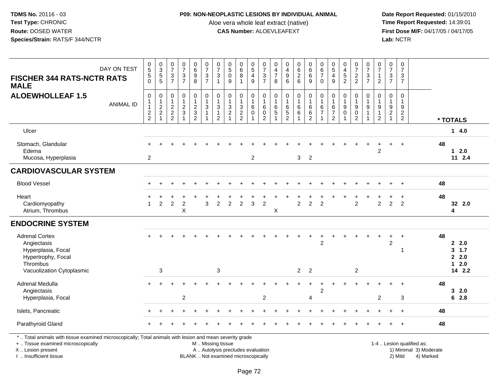# **P09: NON-NEOPLASTIC LESIONS BY INDIVIDUAL ANIMAL**

Aloe vera whole leaf extract (native)<br>**CAS Number:** ALOEVLEAFEXT

| <b>FISCHER 344 RATS-NCTR RATS</b><br><b>MALE</b>                                                                                                                                              | DAY ON TEST      | $\begin{array}{c} 0 \\ 5 \end{array}$<br>$\mathbf 5$<br>$\Omega$ | $_{3}^{\rm 0}$<br>5<br>5          | $\frac{0}{7}$<br>$\ensuremath{\mathsf{3}}$<br>$\overline{7}$            | $\frac{0}{7}$<br>$\frac{3}{7}$             | $\begin{array}{c} 0 \\ 6 \end{array}$<br>$\overline{9}$<br>8 | $\frac{0}{7}$<br>$rac{3}{7}$                                                  | 0<br>$\overline{7}$<br>$\mathbf{3}$<br>$\overline{1}$    | $\begin{array}{c} 0 \\ 5 \end{array}$<br>$\mathbf 0$<br>9                     | $\begin{array}{c} 0 \\ 6 \\ 8 \end{array}$<br>1                 | $\begin{array}{c} 0 \\ 5 \\ 4 \end{array}$<br>9       | $\pmb{0}$<br>$\overline{7}$<br>$\sqrt{3}$<br>$\overline{7}$  | $\mathbf 0$<br>$\overline{4}$<br>$\overline{7}$<br>8                | 0<br>$\overline{4}$<br>$\boldsymbol{9}$<br>6                          | $\begin{matrix} 0 \\ 6 \\ 2 \end{matrix}$<br>6 | $_{6}^{\rm 0}$<br>$\overline{6}$<br>$9\,$                                | $\begin{array}{c} 0 \\ 6 \\ 7 \end{array}$<br>$\Omega$      | 0<br>$\sqrt{5}$<br>$\overline{\mathbf{4}}$<br>9      | $\pmb{0}$<br>$\overline{4}$<br>$\frac{1}{2}$                   | $\frac{0}{7}$<br>$\frac{2}{2}$                          | $\pmb{0}$<br>$\overline{7}$<br>$\mathbf{3}$<br>$\overline{7}$                       | 0<br>$\overline{7}$<br>$\overline{2}$ | $\begin{array}{c} 0 \\ 7 \end{array}$<br>3<br>$\overline{7}$     | $\pmb{0}$<br>$\overline{7}$<br>3<br>$\overline{7}$ |                                                                  |                                          |
|-----------------------------------------------------------------------------------------------------------------------------------------------------------------------------------------------|------------------|------------------------------------------------------------------|-----------------------------------|-------------------------------------------------------------------------|--------------------------------------------|--------------------------------------------------------------|-------------------------------------------------------------------------------|----------------------------------------------------------|-------------------------------------------------------------------------------|-----------------------------------------------------------------|-------------------------------------------------------|--------------------------------------------------------------|---------------------------------------------------------------------|-----------------------------------------------------------------------|------------------------------------------------|--------------------------------------------------------------------------|-------------------------------------------------------------|------------------------------------------------------|----------------------------------------------------------------|---------------------------------------------------------|-------------------------------------------------------------------------------------|---------------------------------------|------------------------------------------------------------------|----------------------------------------------------|------------------------------------------------------------------|------------------------------------------|
| <b>ALOEWHOLLEAF 1.5</b>                                                                                                                                                                       | <b>ANIMAL ID</b> | $\mathbf 0$<br>$\mathbf{1}$<br>$\overline{1}$<br>$\frac{2}{2}$   | $\mathbf 0$<br>1<br>$\frac{2}{2}$ | $\pmb{0}$<br>$\mathbf{1}$<br>$\begin{array}{c} 2 \\ 2 \\ 2 \end{array}$ | $\pmb{0}$<br>$\mathbf{1}$<br>$\frac{2}{3}$ | 0<br>$\frac{2}{3}$<br>$\overline{2}$                         | $\pmb{0}$<br>$\overline{1}$<br>$\sqrt{3}$<br>$\overline{1}$<br>$\overline{1}$ | 0<br>$\mathbf{1}$<br>$\mathbf{3}$<br>$\overline{1}$<br>2 | $\pmb{0}$<br>$\mathbf{1}$<br>$\sqrt{3}$<br>$\boldsymbol{2}$<br>$\overline{1}$ | 0<br>$\mathbf{1}$<br>$\ensuremath{\mathsf{3}}$<br>$\frac{2}{2}$ | $\mathbf 0$<br>$\mathbf{1}$<br>$\,6\,$<br>$\mathbf 0$ | $\mathbf 0$<br>$\overline{1}$<br>$\,6\,$<br>$\mathsf 0$<br>2 | $\boldsymbol{0}$<br>$\overline{1}$<br>$6\phantom{1}6$<br>$\sqrt{5}$ | $\pmb{0}$<br>$\mathbf{1}$<br>$\,6\,$<br>$\,$ 5 $\,$<br>$\overline{2}$ | $\pmb{0}$<br>$\mathbf{1}$<br>$\,6$<br>$\,6\,$  | $\pmb{0}$<br>$\mathbf{1}$<br>$\overline{6}$<br>$\,6\,$<br>$\overline{2}$ | $\mathsf 0$<br>$\mathbf{1}$<br>$\,6$<br>$\overline{7}$<br>1 | $\mathbf 0$<br>6<br>$\overline{7}$<br>$\overline{2}$ | $\mathbf 0$<br>$\overline{1}$<br>$\boldsymbol{9}$<br>$\pmb{0}$ | 0<br>$\mathbf{1}$<br>$\boldsymbol{9}$<br>$\pmb{0}$<br>2 | $\pmb{0}$<br>$\overline{1}$<br>$\boldsymbol{9}$<br>$\overline{1}$<br>$\overline{1}$ | 0<br>9<br>1<br>$\overline{2}$         | $\mathbf 0$<br>$\mathbf{1}$<br>9<br>$\sqrt{2}$<br>$\overline{1}$ | $\pmb{0}$<br>$\mathbf{1}$<br>9<br>$\frac{2}{2}$    |                                                                  | * TOTALS                                 |
| Ulcer                                                                                                                                                                                         |                  |                                                                  |                                   |                                                                         |                                            |                                                              |                                                                               |                                                          |                                                                               |                                                                 |                                                       |                                                              |                                                                     |                                                                       |                                                |                                                                          |                                                             |                                                      |                                                                |                                                         |                                                                                     |                                       |                                                                  |                                                    |                                                                  | 14.0                                     |
| Stomach, Glandular<br>Edema<br>Mucosa, Hyperplasia                                                                                                                                            |                  | 2                                                                |                                   |                                                                         |                                            |                                                              |                                                                               |                                                          |                                                                               |                                                                 | $\overline{2}$                                        |                                                              |                                                                     |                                                                       | 3 <sup>1</sup>                                 | $\overline{2}$                                                           |                                                             |                                                      |                                                                |                                                         |                                                                                     | $\overline{c}$                        | $+$                                                              | $\ddot{}$                                          | 48                                                               | $1 \quad 2.0$<br>112.4                   |
| <b>CARDIOVASCULAR SYSTEM</b>                                                                                                                                                                  |                  |                                                                  |                                   |                                                                         |                                            |                                                              |                                                                               |                                                          |                                                                               |                                                                 |                                                       |                                                              |                                                                     |                                                                       |                                                |                                                                          |                                                             |                                                      |                                                                |                                                         |                                                                                     |                                       |                                                                  |                                                    |                                                                  |                                          |
| <b>Blood Vessel</b>                                                                                                                                                                           |                  |                                                                  |                                   |                                                                         |                                            |                                                              |                                                                               |                                                          |                                                                               |                                                                 |                                                       |                                                              |                                                                     |                                                                       |                                                |                                                                          |                                                             |                                                      |                                                                |                                                         |                                                                                     |                                       |                                                                  |                                                    | 48                                                               |                                          |
| Heart<br>Cardiomyopathy<br>Atrium, Thrombus                                                                                                                                                   |                  | $\overline{1}$                                                   | $\overline{2}$                    | 2                                                                       | $\overline{2}$<br>X                        |                                                              | 3                                                                             | $\overline{2}$                                           | 2                                                                             | $\overline{2}$                                                  | 3                                                     | $\overline{2}$                                               | X                                                                   |                                                                       | $\overline{2}$                                 | $\overline{2}$                                                           | $\overline{2}$                                              |                                                      |                                                                | $\overline{2}$                                          |                                                                                     | $\overline{2}$                        | $\overline{2}$                                                   | $\overline{2}$                                     | 48                                                               | 32 2.0<br>4                              |
| <b>ENDOCRINE SYSTEM</b>                                                                                                                                                                       |                  |                                                                  |                                   |                                                                         |                                            |                                                              |                                                                               |                                                          |                                                                               |                                                                 |                                                       |                                                              |                                                                     |                                                                       |                                                |                                                                          |                                                             |                                                      |                                                                |                                                         |                                                                                     |                                       |                                                                  |                                                    |                                                                  |                                          |
| <b>Adrenal Cortex</b><br>Angiectasis<br>Hyperplasia, Focal<br>Hypertrophy, Focal<br>Thrombus<br>Vacuolization Cytoplasmic                                                                     |                  |                                                                  | 3                                 |                                                                         |                                            |                                                              |                                                                               | $\mathbf{3}$                                             |                                                                               |                                                                 |                                                       |                                                              |                                                                     |                                                                       | $\overline{2}$                                 | $\overline{2}$                                                           | $\overline{c}$                                              |                                                      |                                                                | $\overline{\mathbf{c}}$                                 |                                                                                     |                                       | $\overline{c}$                                                   | $\div$<br>-1                                       | 48                                                               | 2.0<br>3, 1.7<br>2.0<br>$12.0$<br>14 2.2 |
| Adrenal Medulla<br>Angiectasis<br>Hyperplasia, Focal                                                                                                                                          |                  |                                                                  |                                   |                                                                         | $\overline{c}$                             |                                                              |                                                                               |                                                          |                                                                               |                                                                 |                                                       | 2                                                            |                                                                     |                                                                       |                                                | 4                                                                        | $\overline{2}$                                              |                                                      |                                                                |                                                         |                                                                                     | 2                                     |                                                                  | 3                                                  | 48                                                               | 32.0<br>62.8                             |
| Islets, Pancreatic                                                                                                                                                                            |                  |                                                                  |                                   |                                                                         |                                            |                                                              |                                                                               |                                                          |                                                                               |                                                                 |                                                       |                                                              |                                                                     |                                                                       |                                                |                                                                          |                                                             |                                                      |                                                                |                                                         |                                                                                     |                                       |                                                                  |                                                    | 48                                                               |                                          |
| Parathyroid Gland                                                                                                                                                                             |                  |                                                                  |                                   |                                                                         |                                            |                                                              |                                                                               |                                                          |                                                                               |                                                                 |                                                       |                                                              |                                                                     |                                                                       |                                                |                                                                          |                                                             |                                                      |                                                                |                                                         |                                                                                     |                                       |                                                                  | $\ddot{}$                                          | 48                                                               |                                          |
| *  Total animals with tissue examined microscopically; Total animals with lesion and mean severity grade<br>+  Tissue examined microscopically<br>X  Lesion present<br>I  Insufficient tissue |                  |                                                                  |                                   |                                                                         |                                            |                                                              | M  Missing tissue                                                             |                                                          | A  Autolysis precludes evaluation<br>BLANK  Not examined microscopically      |                                                                 |                                                       |                                                              |                                                                     |                                                                       |                                                |                                                                          |                                                             |                                                      |                                                                |                                                         |                                                                                     |                                       |                                                                  | 2) Mild                                            | 1-4  Lesion qualified as:<br>1) Minimal 3) Moderate<br>4) Marked |                                          |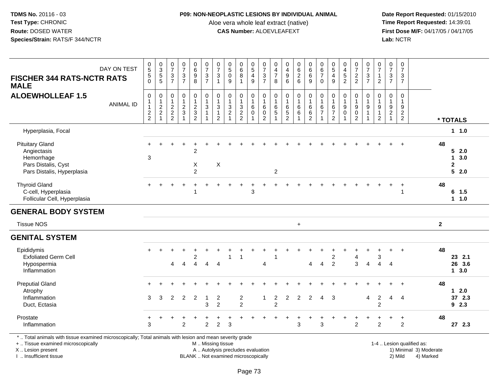## **P09: NON-NEOPLASTIC LESIONS BY INDIVIDUAL ANIMAL**

Aloe vera whole leaf extract (native)<br>**CAS Number:** ALOEVLEAFEXT

 **Date Report Requested:** 01/15/2010 **First Dose M/F:** 04/17/05 / 04/17/05<br>Lab: NCTR **Lab:** NCTR

| $\overline{5}$ |                                                          |                                                                     |                                |                                                  |                                                                                                                                                                            |                                                                 |                                            |                                                                                                                                               |                                                                                |                                                                      |                                                             |                                                                                 |                                                                                              |                                                             |                                                                                         |                                                           |                                                                                     |                                                          | $\overline{7}$                                                                            | $\overline{7}$               |                                            |                                                                                                |                                                                      |                     |
|----------------|----------------------------------------------------------|---------------------------------------------------------------------|--------------------------------|--------------------------------------------------|----------------------------------------------------------------------------------------------------------------------------------------------------------------------------|-----------------------------------------------------------------|--------------------------------------------|-----------------------------------------------------------------------------------------------------------------------------------------------|--------------------------------------------------------------------------------|----------------------------------------------------------------------|-------------------------------------------------------------|---------------------------------------------------------------------------------|----------------------------------------------------------------------------------------------|-------------------------------------------------------------|-----------------------------------------------------------------------------------------|-----------------------------------------------------------|-------------------------------------------------------------------------------------|----------------------------------------------------------|-------------------------------------------------------------------------------------------|------------------------------|--------------------------------------------|------------------------------------------------------------------------------------------------|----------------------------------------------------------------------|---------------------|
| $\,$ 5 $\,$    |                                                          | $\ensuremath{\mathsf{3}}$                                           |                                |                                                  | $\sqrt{3}$                                                                                                                                                                 | $\sqrt{3}$                                                      |                                            |                                                                                                                                               |                                                                                | $\ensuremath{\mathsf{3}}$                                            |                                                             |                                                                                 |                                                                                              |                                                             |                                                                                         | $\overline{\mathbf{4}}$                                   |                                                                                     |                                                          | $\sqrt{3}$                                                                                | $\overline{1}$               | $\mathbf{3}$                               | 3                                                                                              |                                                                      |                     |
|                |                                                          |                                                                     |                                |                                                  |                                                                                                                                                                            |                                                                 |                                            |                                                                                                                                               |                                                                                |                                                                      |                                                             |                                                                                 |                                                                                              |                                                             |                                                                                         |                                                           |                                                                                     |                                                          |                                                                                           |                              |                                            |                                                                                                |                                                                      |                     |
| $\pmb{0}$      | $\boldsymbol{0}$                                         | $\pmb{0}$                                                           |                                | $\pmb{0}$                                        | $\pmb{0}$                                                                                                                                                                  | $\mathbf 0$                                                     | $\pmb{0}$                                  | 0                                                                                                                                             | $\pmb{0}$                                                                      | 0                                                                    | $\mathbf 0$                                                 | $\pmb{0}$                                                                       | 0                                                                                            | $\pmb{0}$                                                   | 0                                                                                       | $\mathbf 0$                                               | 0                                                                                   | 0                                                        | $\mathbf 0$                                                                               | 0                            | $\mathsf 0$                                | $\mathbf 0$                                                                                    |                                                                      |                     |
| $\mathbf{1}$   | $\mathbf{1}$                                             |                                                                     | $\mathbf{1}$                   |                                                  |                                                                                                                                                                            | $\overline{1}$                                                  |                                            |                                                                                                                                               |                                                                                | $\mathbf{1}$                                                         |                                                             | $\mathbf{1}$                                                                    | $\mathbf{1}$                                                                                 |                                                             | 1                                                                                       | 1                                                         |                                                                                     |                                                          | $\mathbf{1}$                                                                              | $\mathbf{1}$                 | 1                                          | $\mathbf 1$                                                                                    |                                                                      |                     |
|                |                                                          |                                                                     |                                |                                                  | $\overline{1}$                                                                                                                                                             | $\mathbf{1}$                                                    |                                            |                                                                                                                                               | $\mathbf 0$                                                                    |                                                                      |                                                             |                                                                                 | 6                                                                                            |                                                             | $\overline{7}$                                                                          |                                                           | $\mathbf 0$                                                                         | 0                                                        | $\mathbf{1}$                                                                              | 1                            |                                            |                                                                                                |                                                                      |                     |
|                | $\mathbf{1}$                                             |                                                                     | $\mathbf{1}$                   |                                                  |                                                                                                                                                                            | $\overline{2}$                                                  |                                            |                                                                                                                                               | $\mathbf{1}$                                                                   |                                                                      |                                                             |                                                                                 |                                                                                              |                                                             |                                                                                         | $\overline{2}$                                            |                                                                                     |                                                          | 1                                                                                         |                              |                                            |                                                                                                |                                                                      | * TOTALS            |
|                |                                                          |                                                                     |                                |                                                  |                                                                                                                                                                            |                                                                 |                                            |                                                                                                                                               |                                                                                |                                                                      |                                                             |                                                                                 |                                                                                              |                                                             |                                                                                         |                                                           |                                                                                     |                                                          |                                                                                           |                              |                                            |                                                                                                |                                                                      | $1 1.0$             |
|                |                                                          |                                                                     |                                |                                                  |                                                                                                                                                                            |                                                                 |                                            |                                                                                                                                               |                                                                                |                                                                      |                                                             |                                                                                 |                                                                                              |                                                             |                                                                                         |                                                           |                                                                                     |                                                          |                                                                                           |                              |                                            |                                                                                                |                                                                      | 48                  |
|                |                                                          |                                                                     |                                | $\overline{c}$                                   |                                                                                                                                                                            |                                                                 |                                            |                                                                                                                                               |                                                                                |                                                                      |                                                             |                                                                                 |                                                                                              |                                                             |                                                                                         |                                                           |                                                                                     |                                                          |                                                                                           |                              |                                            |                                                                                                |                                                                      | 52.0                |
| $\mathbf{3}$   |                                                          |                                                                     |                                |                                                  |                                                                                                                                                                            |                                                                 |                                            |                                                                                                                                               |                                                                                |                                                                      |                                                             |                                                                                 |                                                                                              |                                                             |                                                                                         |                                                           |                                                                                     |                                                          |                                                                                           |                              |                                            |                                                                                                |                                                                      | $\mathbf{1}$<br>3.0 |
|                |                                                          |                                                                     |                                |                                                  |                                                                                                                                                                            |                                                                 |                                            |                                                                                                                                               |                                                                                |                                                                      |                                                             |                                                                                 |                                                                                              |                                                             |                                                                                         |                                                           |                                                                                     |                                                          |                                                                                           |                              |                                            |                                                                                                |                                                                      | $\mathbf{2}$        |
|                |                                                          |                                                                     |                                |                                                  |                                                                                                                                                                            |                                                                 |                                            |                                                                                                                                               |                                                                                |                                                                      |                                                             |                                                                                 |                                                                                              |                                                             |                                                                                         |                                                           |                                                                                     |                                                          |                                                                                           |                              |                                            |                                                                                                |                                                                      | $5 \quad 2.0$       |
|                |                                                          |                                                                     |                                |                                                  |                                                                                                                                                                            |                                                                 |                                            |                                                                                                                                               |                                                                                |                                                                      |                                                             |                                                                                 |                                                                                              |                                                             |                                                                                         |                                                           |                                                                                     |                                                          |                                                                                           |                              |                                            |                                                                                                |                                                                      | 48                  |
|                |                                                          |                                                                     |                                |                                                  |                                                                                                                                                                            |                                                                 |                                            |                                                                                                                                               | 3                                                                              |                                                                      |                                                             |                                                                                 |                                                                                              |                                                             |                                                                                         |                                                           |                                                                                     |                                                          |                                                                                           |                              |                                            | $\mathbf{1}$                                                                                   |                                                                      | 6 1.5               |
|                |                                                          |                                                                     |                                |                                                  |                                                                                                                                                                            |                                                                 |                                            |                                                                                                                                               |                                                                                |                                                                      |                                                             |                                                                                 |                                                                                              |                                                             |                                                                                         |                                                           |                                                                                     |                                                          |                                                                                           |                              |                                            |                                                                                                |                                                                      | 1 1.0               |
|                |                                                          |                                                                     |                                |                                                  |                                                                                                                                                                            |                                                                 |                                            |                                                                                                                                               |                                                                                |                                                                      |                                                             |                                                                                 |                                                                                              |                                                             |                                                                                         |                                                           |                                                                                     |                                                          |                                                                                           |                              |                                            |                                                                                                |                                                                      |                     |
|                |                                                          |                                                                     |                                |                                                  |                                                                                                                                                                            |                                                                 |                                            |                                                                                                                                               |                                                                                |                                                                      |                                                             |                                                                                 | $+$                                                                                          |                                                             |                                                                                         |                                                           |                                                                                     |                                                          |                                                                                           |                              |                                            |                                                                                                |                                                                      |                     |
|                |                                                          |                                                                     |                                |                                                  |                                                                                                                                                                            |                                                                 |                                            |                                                                                                                                               |                                                                                |                                                                      |                                                             |                                                                                 |                                                                                              |                                                             |                                                                                         |                                                           |                                                                                     |                                                          |                                                                                           |                              |                                            |                                                                                                |                                                                      |                     |
|                |                                                          |                                                                     |                                |                                                  |                                                                                                                                                                            |                                                                 |                                            |                                                                                                                                               |                                                                                |                                                                      |                                                             |                                                                                 |                                                                                              |                                                             |                                                                                         |                                                           |                                                                                     |                                                          |                                                                                           |                              |                                            |                                                                                                |                                                                      | 48                  |
|                |                                                          |                                                                     |                                | 2                                                |                                                                                                                                                                            |                                                                 | 1                                          | -1                                                                                                                                            |                                                                                |                                                                      |                                                             |                                                                                 |                                                                                              |                                                             |                                                                                         | 2                                                         |                                                                                     | 4                                                        |                                                                                           | 3                            |                                            |                                                                                                |                                                                      | 23 2.1              |
|                |                                                          | 4                                                                   | $\overline{4}$                 | $\overline{4}$                                   | 4                                                                                                                                                                          | 4                                                               |                                            |                                                                                                                                               |                                                                                | $\boldsymbol{\varDelta}$                                             |                                                             |                                                                                 |                                                                                              | 4                                                           | $\overline{4}$                                                                          |                                                           |                                                                                     | 3                                                        | 4                                                                                         | 4                            | 4                                          |                                                                                                |                                                                      | 26 3.6              |
|                |                                                          |                                                                     |                                |                                                  |                                                                                                                                                                            |                                                                 |                                            |                                                                                                                                               |                                                                                |                                                                      |                                                             |                                                                                 |                                                                                              |                                                             |                                                                                         |                                                           |                                                                                     |                                                          |                                                                                           |                              |                                            |                                                                                                |                                                                      | $1 \quad 3.0$       |
|                |                                                          |                                                                     |                                |                                                  |                                                                                                                                                                            |                                                                 |                                            |                                                                                                                                               |                                                                                |                                                                      |                                                             |                                                                                 |                                                                                              |                                                             |                                                                                         |                                                           |                                                                                     |                                                          |                                                                                           |                              |                                            |                                                                                                |                                                                      | 48                  |
|                |                                                          |                                                                     |                                |                                                  |                                                                                                                                                                            |                                                                 |                                            |                                                                                                                                               |                                                                                |                                                                      |                                                             |                                                                                 |                                                                                              |                                                             |                                                                                         |                                                           |                                                                                     |                                                          |                                                                                           |                              |                                            |                                                                                                |                                                                      |                     |
|                |                                                          |                                                                     |                                |                                                  |                                                                                                                                                                            |                                                                 |                                            |                                                                                                                                               |                                                                                |                                                                      |                                                             |                                                                                 |                                                                                              |                                                             |                                                                                         |                                                           |                                                                                     |                                                          |                                                                                           |                              |                                            |                                                                                                |                                                                      | $12.0$              |
| 3              | 3                                                        | $\overline{2}$                                                      | 2                              | $\overline{2}$                                   | $\overline{1}$                                                                                                                                                             | $\boldsymbol{2}$                                                |                                            | $\overline{c}$                                                                                                                                |                                                                                | $\mathbf{1}$                                                         | $\overline{c}$                                              | $\overline{2}$                                                                  | $\overline{2}$                                                                               | $\overline{2}$                                              | 4                                                                                       | 3                                                         |                                                                                     |                                                          | 4                                                                                         | $\mathbf{2}$                 | 4                                          | $\overline{4}$                                                                                 |                                                                      | 37 2.3              |
|                |                                                          |                                                                     |                                |                                                  | 3                                                                                                                                                                          | $\overline{2}$                                                  |                                            | $\overline{2}$                                                                                                                                |                                                                                |                                                                      | $\overline{2}$                                              |                                                                                 |                                                                                              |                                                             |                                                                                         |                                                           |                                                                                     |                                                          |                                                                                           | $\overline{2}$               |                                            |                                                                                                |                                                                      | 92.3                |
|                |                                                          |                                                                     |                                |                                                  |                                                                                                                                                                            |                                                                 |                                            |                                                                                                                                               |                                                                                |                                                                      |                                                             |                                                                                 |                                                                                              |                                                             |                                                                                         |                                                           |                                                                                     |                                                          |                                                                                           |                              |                                            | $\ddot{}$                                                                                      |                                                                      | 48                  |
|                | $\mathbf 0$<br>$\Omega$<br>$\mathbf{1}$<br>$\frac{2}{2}$ | $_{3}^{\rm 0}$<br>$\overline{5}$<br>$\overline{5}$<br>$\frac{2}{2}$ | $\overline{7}$<br>$\mathbf{1}$ | $\frac{0}{7}$<br>$\overline{7}$<br>$\frac{2}{2}$ | $\frac{0}{7}$<br>$_{6}^{\rm 0}$<br>$\overline{9}$<br>3<br>8<br>$\boldsymbol{0}$<br>$\mathbf{1}$<br>$\frac{2}{3}$<br>$\frac{2}{3}$<br>$\overline{2}$<br>Χ<br>$\overline{2}$ | $\frac{0}{7}$<br>$\overline{7}$<br>$\overline{1}$<br>$\sqrt{3}$ | $\frac{0}{7}$<br>-1<br>3<br>$\pmb{\times}$ | $\begin{array}{c} 0 \\ 5 \end{array}$<br>$\overline{0}$<br>9<br>$\mathbf{1}$<br>$\ensuremath{\mathsf{3}}$<br>$\overline{2}$<br>$\overline{1}$ | 0<br>$\overline{6}$<br>$\overline{8}$<br>3<br>$\overline{c}$<br>$\overline{2}$ | $\begin{array}{c} 0 \\ 5 \\ 4 \\ 9 \end{array}$<br>$\mathbf{1}$<br>6 | $\frac{0}{7}$<br>$\overline{7}$<br>6<br>0<br>$\overline{2}$ | 0<br>$\overline{4}$<br>$\overline{7}$<br>8<br>6<br>$\sqrt{5}$<br>$\overline{2}$ | $\begin{array}{c} 0 \\ 4 \\ 9 \end{array}$<br>6<br>$\,6$<br>$\overline{5}$<br>$\overline{2}$ | 0<br>$\overline{6}$<br>$\overline{2}$<br>$\,6\,$<br>$\,6\,$ | 0<br>6<br>$\overline{6}$<br>$9\,$<br>$\mathbf{1}$<br>$\,6\,$<br>$\,6$<br>$\overline{c}$ | 0<br>$6\phantom{a}$<br>$\overline{7}$<br>$\mathbf 0$<br>6 | $\begin{array}{c} 0 \\ 5 \end{array}$<br>9<br>6<br>$\overline{7}$<br>$\overline{2}$ | 0<br>$\frac{4}{5}$<br>$\overline{2}$<br>$\boldsymbol{9}$ | 0<br>$\overline{7}$<br>$\sqrt{2}$<br>$\overline{2}$<br>$\boldsymbol{9}$<br>$\overline{2}$ | 0<br>$\overline{7}$<br>$9\,$ | 0<br>$\overline{c}$<br>9<br>$\overline{c}$ | $\frac{0}{7}$<br>$\overline{7}$<br>$\boldsymbol{9}$<br>$\overline{\mathbf{c}}$<br>$\mathbf{1}$ | $\frac{0}{7}$<br>$\overline{7}$<br>$\boldsymbol{9}$<br>$\frac{2}{2}$ | $\mathbf 2$         |

I .. Insufficient tissue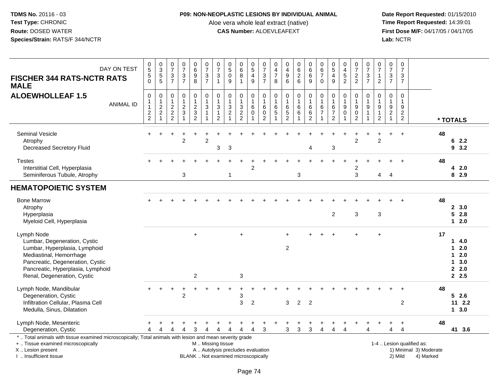## **P09: NON-NEOPLASTIC LESIONS BY INDIVIDUAL ANIMAL**

Aloe vera whole leaf extract (native)<br>**CAS Number:** ALOEVLEAFEXT

| DAY ON TEST<br><b>FISCHER 344 RATS-NCTR RATS</b><br><b>MALE</b>                                                                                                                                                | $\begin{array}{c} 0 \\ 5 \end{array}$<br>$\mathbf 5$<br>$\Omega$ | $\begin{smallmatrix}0\3\5\end{smallmatrix}$<br>5 | $\frac{0}{7}$<br>$\ensuremath{\mathsf{3}}$<br>$\overline{7}$             | $\frac{0}{7}$<br>$\frac{3}{7}$                     | $\begin{array}{c} 0 \\ 6 \end{array}$<br>$\overline{9}$<br>8 | $\frac{0}{7}$<br>$\frac{3}{7}$                                                         | $\frac{0}{7}$<br>$\mathbf{3}$<br>$\overline{1}$                                    | $\begin{array}{c} 0 \\ 5 \end{array}$<br>$\mathbf 0$<br>9                                     | $\begin{array}{c} 0 \\ 6 \\ 8 \end{array}$<br>1   | $\begin{array}{c} 0 \\ 5 \end{array}$<br>$\overline{4}$<br>9 | $\begin{array}{c} 0 \\ 7 \end{array}$<br>$\ensuremath{\mathsf{3}}$<br>$\overline{7}$ | $\mathbf 0$<br>$\frac{4}{7}$<br>8                          | $\begin{smallmatrix}0\\4\end{smallmatrix}$<br>$\boldsymbol{9}$<br>$6\phantom{a}$ | $\begin{matrix} 0 \\ 6 \\ 2 \end{matrix}$<br>$6\phantom{a}$ | $_{6}^{\rm 0}$<br>$\overline{6}$<br>9                     | $\begin{array}{c} 0 \\ 6 \\ 7 \end{array}$<br>$\mathbf 0$   | $\begin{smallmatrix}0\0\5\end{smallmatrix}$<br>$\overline{4}$<br>9   | $\begin{smallmatrix}0\\4\end{smallmatrix}$<br>$\frac{5}{2}$    | $\frac{0}{7}$<br>$\frac{2}{2}$                            | $\frac{0}{7}$<br>$\sqrt{3}$<br>$\overline{7}$                                         | 0<br>$\overline{7}$<br>1<br>$\overline{2}$               | $\begin{array}{c} 0 \\ 7 \end{array}$<br>3<br>$\overline{7}$ | $\pmb{0}$<br>$\overline{7}$<br>$\ensuremath{\mathsf{3}}$<br>$\overline{7}$ |                                                                  |                                                                                |
|----------------------------------------------------------------------------------------------------------------------------------------------------------------------------------------------------------------|------------------------------------------------------------------|--------------------------------------------------|--------------------------------------------------------------------------|----------------------------------------------------|--------------------------------------------------------------|----------------------------------------------------------------------------------------|------------------------------------------------------------------------------------|-----------------------------------------------------------------------------------------------|---------------------------------------------------|--------------------------------------------------------------|--------------------------------------------------------------------------------------|------------------------------------------------------------|----------------------------------------------------------------------------------|-------------------------------------------------------------|-----------------------------------------------------------|-------------------------------------------------------------|----------------------------------------------------------------------|----------------------------------------------------------------|-----------------------------------------------------------|---------------------------------------------------------------------------------------|----------------------------------------------------------|--------------------------------------------------------------|----------------------------------------------------------------------------|------------------------------------------------------------------|--------------------------------------------------------------------------------|
| <b>ALOEWHOLLEAF 1.5</b><br><b>ANIMAL ID</b>                                                                                                                                                                    | $\mathbf 0$<br>$\mathbf{1}$<br>$\mathbf{1}$<br>$\frac{2}{2}$     | 0<br>1<br>$\boldsymbol{2}$<br>$\overline{c}$     | $\mathbf 0$<br>$\mathbf 1$<br>$\begin{array}{c} 2 \\ 2 \\ 2 \end{array}$ | $\mathsf 0$<br>$\mathbf{1}$<br>$\overline{2}$<br>3 | 0<br>1<br>$\sqrt{2}$<br>$\mathfrak{Z}$<br>$\overline{2}$     | $\pmb{0}$<br>$\overline{1}$<br>$\sqrt{3}$<br>$\overline{1}$<br>$\overline{\mathbf{1}}$ | 0<br>$\overline{1}$<br>$\ensuremath{\mathsf{3}}$<br>$\mathbf{1}$<br>$\overline{2}$ | $\mathbf 0$<br>$\mathbf{1}$<br>$\ensuremath{\mathsf{3}}$<br>$\overline{c}$<br>1               | $\mathbf 0$<br>$\mathbf{1}$<br>3<br>$\frac{2}{2}$ | 0<br>1<br>6<br>$\mathbf 0$                                   | $\mathbf 0$<br>$\overline{1}$<br>$\,6\,$<br>$\pmb{0}$<br>2                           | $\mathbf 0$<br>$\overline{1}$<br>$\,6\,$<br>$\overline{5}$ | $\pmb{0}$<br>$\mathbf{1}$<br>$\,6\,$<br>$\sqrt{5}$<br>$\overline{2}$             | 0<br>$\mathbf{1}$<br>$\,6\,$<br>$\,6$                       | $\pmb{0}$<br>$\mathbf{1}$<br>$\,6$<br>6<br>$\overline{2}$ | $\mathsf 0$<br>$\mathbf{1}$<br>$\,6$<br>$\overline{7}$<br>1 | $\mathbf 0$<br>$\mathbf{1}$<br>6<br>$\overline{7}$<br>$\overline{2}$ | $\mathbf 0$<br>$\mathbf{1}$<br>$\boldsymbol{9}$<br>$\mathbf 0$ | 0<br>$\mathbf{1}$<br>$\boldsymbol{9}$<br>$\mathbf 0$<br>2 | $\mathbf 0$<br>$\overline{1}$<br>$\boldsymbol{9}$<br>$\overline{1}$<br>$\overline{1}$ | 0<br>$\mathbf{1}$<br>9<br>$\mathbf{1}$<br>$\overline{2}$ | 0<br>1<br>9<br>$\overline{\mathbf{c}}$<br>$\overline{1}$     | $\mathbf 0$<br>$\mathbf{1}$<br>$\boldsymbol{9}$<br>$\frac{2}{2}$           |                                                                  | * TOTALS                                                                       |
| Seminal Vesicle<br>Atrophy<br><b>Decreased Secretory Fluid</b>                                                                                                                                                 |                                                                  |                                                  |                                                                          | $\overline{2}$                                     |                                                              | $\overline{2}$                                                                         | 3                                                                                  | 3                                                                                             |                                                   |                                                              |                                                                                      |                                                            |                                                                                  |                                                             | 4                                                         |                                                             | $\mathbf{3}$                                                         |                                                                | $\overline{2}$                                            |                                                                                       | $\overline{2}$                                           |                                                              | $\overline{1}$                                                             |                                                                  | 48<br>62.2<br>93.2                                                             |
| <b>Testes</b><br>Interstitial Cell, Hyperplasia<br>Seminiferous Tubule, Atrophy                                                                                                                                |                                                                  |                                                  |                                                                          | 3                                                  |                                                              |                                                                                        |                                                                                    | -1                                                                                            |                                                   | $\overline{2}$                                               |                                                                                      |                                                            |                                                                                  | 3                                                           |                                                           |                                                             |                                                                      |                                                                | 2<br>3                                                    |                                                                                       | 4                                                        | $\overline{4}$                                               |                                                                            |                                                                  | 48<br>42.0<br>8 2.9                                                            |
| <b>HEMATOPOIETIC SYSTEM</b>                                                                                                                                                                                    |                                                                  |                                                  |                                                                          |                                                    |                                                              |                                                                                        |                                                                                    |                                                                                               |                                                   |                                                              |                                                                                      |                                                            |                                                                                  |                                                             |                                                           |                                                             |                                                                      |                                                                |                                                           |                                                                                       |                                                          |                                                              |                                                                            |                                                                  |                                                                                |
| <b>Bone Marrow</b><br>Atrophy<br>Hyperplasia<br>Myeloid Cell, Hyperplasia                                                                                                                                      |                                                                  |                                                  |                                                                          |                                                    |                                                              |                                                                                        |                                                                                    |                                                                                               |                                                   |                                                              |                                                                                      |                                                            |                                                                                  |                                                             |                                                           |                                                             | $\overline{2}$                                                       |                                                                | 3                                                         |                                                                                       | 3                                                        |                                                              |                                                                            |                                                                  | 48<br>2, 3.0<br>52.8<br>$12.0$                                                 |
| Lymph Node<br>Lumbar, Degeneration, Cystic<br>Lumbar, Hyperplasia, Lymphoid<br>Mediastinal, Hemorrhage<br>Pancreatic, Degeneration, Cystic<br>Pancreatic, Hyperplasia, Lymphoid<br>Renal, Degeneration, Cystic |                                                                  |                                                  |                                                                          |                                                    | $+$<br>$\boldsymbol{2}$                                      |                                                                                        |                                                                                    |                                                                                               | $\div$<br>3                                       |                                                              |                                                                                      |                                                            | $\overline{2}$                                                                   |                                                             |                                                           |                                                             |                                                                      |                                                                |                                                           |                                                                                       | $\ddot{}$                                                |                                                              |                                                                            |                                                                  | 17<br>14.0<br>$\mathbf 1$<br>2.0<br>$12.0$<br>3.0<br>$\mathbf 1$<br>2.0<br>2.5 |
| Lymph Node, Mandibular<br>Degeneration, Cystic<br>Infiltration Cellular, Plasma Cell<br>Medulla, Sinus, Dilatation                                                                                             |                                                                  |                                                  |                                                                          | $\overline{2}$                                     |                                                              |                                                                                        |                                                                                    |                                                                                               | 3<br>3                                            | $\overline{2}$                                               |                                                                                      |                                                            | 3                                                                                | $\overline{2}$                                              | $\overline{2}$                                            |                                                             |                                                                      |                                                                |                                                           |                                                                                       |                                                          |                                                              | $\overline{c}$                                                             |                                                                  | 48<br>$5$ 2.6<br>$11 \t2.2$<br>13.0                                            |
| Lymph Node, Mesenteric<br>Degeneration, Cystic                                                                                                                                                                 | Δ                                                                | 4                                                | Δ                                                                        | 4                                                  | 3                                                            | 4                                                                                      | 4                                                                                  | 4                                                                                             | $\overline{4}$                                    | 4                                                            | $\sqrt{3}$                                                                           |                                                            | 3                                                                                | $\sqrt{3}$                                                  | 3                                                         | 4                                                           | 4                                                                    | Δ                                                              |                                                           | Δ                                                                                     |                                                          | 4                                                            | $\ddot{}$<br>$\overline{4}$                                                |                                                                  | 48<br>41 3.6                                                                   |
| *  Total animals with tissue examined microscopically; Total animals with lesion and mean severity grade<br>+  Tissue examined microscopically<br>X  Lesion present<br>I. Insufficient tissue                  |                                                                  |                                                  |                                                                          |                                                    |                                                              |                                                                                        |                                                                                    | M  Missing tissue<br>A  Autolysis precludes evaluation<br>BLANK  Not examined microscopically |                                                   |                                                              |                                                                                      |                                                            |                                                                                  |                                                             |                                                           |                                                             |                                                                      |                                                                |                                                           |                                                                                       |                                                          |                                                              | 2) Mild                                                                    | 1-4  Lesion qualified as:<br>1) Minimal 3) Moderate<br>4) Marked |                                                                                |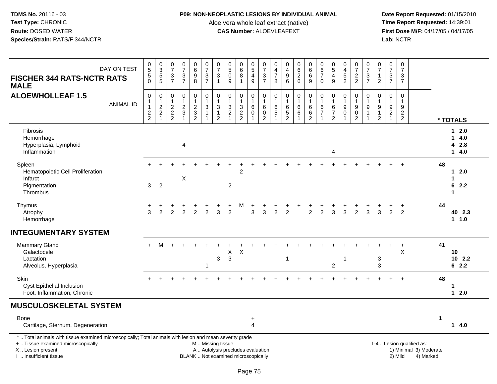## **P09: NON-NEOPLASTIC LESIONS BY INDIVIDUAL ANIMAL**

Aloe vera whole leaf extract (native)<br>**CAS Number:** ALOEVLEAFEXT

| DAY ON TEST<br><b>FISCHER 344 RATS-NCTR RATS</b><br><b>MALE</b>                                                                                                                               | $\begin{array}{c} 0 \\ 5 \end{array}$<br>$\frac{5}{0}$ | 0<br>3<br>5<br>5                                                        | $\frac{0}{7}$<br>$\frac{3}{7}$                                      | $\frac{0}{7}$<br>$\frac{3}{7}$                               | $\begin{array}{c} 0 \\ 6 \\ 9 \end{array}$<br>$\overline{8}$    | $\frac{0}{7}$<br>$\frac{3}{7}$                                             | $\frac{0}{7}$<br>3<br>$\mathbf{1}$                                          | $\begin{smallmatrix}0\0\5\end{smallmatrix}$<br>$\pmb{0}$<br>9                       | $_{6}^{\rm o}$<br>$\,8\,$<br>$\overline{1}$ | $\begin{array}{c} 0 \\ 5 \end{array}$<br>$\overline{4}$<br>$\boldsymbol{9}$ | $\frac{0}{7}$<br>$\frac{3}{7}$                                                      | 0<br>$\overline{4}$<br>7<br>8                 | 0<br>$\overline{4}$<br>$\boldsymbol{9}$<br>6            | 0626                                          | $\begin{array}{c} 0 \\ 6 \end{array}$<br>6<br>9                     | 0<br>$\overline{6}$<br>$\overline{7}$<br>$\mathbf 0$                         | $\begin{array}{c} 0 \\ 5 \end{array}$<br>4<br>9                            | $_4^{\rm O}$<br>$\frac{5}{2}$                                              | $\frac{0}{7}$<br>$\frac{2}{2}$                                       | $\frac{0}{7}$<br>$\frac{3}{7}$                                            | $\begin{array}{c} 0 \\ 7 \end{array}$<br>$\mathbf{1}$<br>$\overline{2}$ | $\frac{0}{7}$<br>$\frac{3}{7}$                                   | $\pmb{0}$<br>$\overline{7}$<br>$\mathbf{3}$<br>$\overline{7}$ |                                                                  |             |                                      |
|-----------------------------------------------------------------------------------------------------------------------------------------------------------------------------------------------|--------------------------------------------------------|-------------------------------------------------------------------------|---------------------------------------------------------------------|--------------------------------------------------------------|-----------------------------------------------------------------|----------------------------------------------------------------------------|-----------------------------------------------------------------------------|-------------------------------------------------------------------------------------|---------------------------------------------|-----------------------------------------------------------------------------|-------------------------------------------------------------------------------------|-----------------------------------------------|---------------------------------------------------------|-----------------------------------------------|---------------------------------------------------------------------|------------------------------------------------------------------------------|----------------------------------------------------------------------------|----------------------------------------------------------------------------|----------------------------------------------------------------------|---------------------------------------------------------------------------|-------------------------------------------------------------------------|------------------------------------------------------------------|---------------------------------------------------------------|------------------------------------------------------------------|-------------|--------------------------------------|
| <b>ALOEWHOLLEAF 1.5</b><br><b>ANIMAL ID</b>                                                                                                                                                   | $\mathsf 0$<br>1<br>$\mathbf{1}$<br>$\frac{2}{2}$      | $\,0\,$<br>$\begin{array}{c} 1 \\ 2 \\ 2 \end{array}$<br>$\overline{1}$ | $\boldsymbol{0}$<br>$\begin{array}{c} 1 \\ 2 \\ 2 \\ 2 \end{array}$ | $\pmb{0}$<br>$\mathbf{1}$<br>$\frac{2}{3}$<br>$\overline{1}$ | 0<br>$\mathbf{1}$<br>$\begin{array}{c} 2 \\ 3 \\ 2 \end{array}$ | $\begin{array}{c} 0 \\ 1 \\ 3 \end{array}$<br>$\mathbf{1}$<br>$\mathbf{1}$ | $\pmb{0}$<br>$\mathbf{1}$<br>$\mathbf{3}$<br>$\mathbf{1}$<br>$\overline{2}$ | $\pmb{0}$<br>$\mathbf 1$<br>$\ensuremath{\mathsf{3}}$<br>$\sqrt{2}$<br>$\mathbf{1}$ | $\pmb{0}$<br>$\mathbf{1}$<br>$\frac{3}{2}$  | 0<br>$\overline{1}$<br>$\,6\,$<br>$\pmb{0}$                                 | $\pmb{0}$<br>$\overline{1}$<br>$\overline{6}$<br>$\boldsymbol{0}$<br>$\overline{2}$ | 0<br>1<br>$\,6$<br>$\sqrt{5}$<br>$\mathbf{1}$ | $\pmb{0}$<br>$\overline{1}$<br>$\,6\,$<br>$\frac{5}{2}$ | $\pmb{0}$<br>$\mathbf{1}$<br>$\,6$<br>$\,6\,$ | $\mathbf 0$<br>$\mathbf{1}$<br>$\,6\,$<br>$\,6\,$<br>$\overline{2}$ | $\pmb{0}$<br>$\overline{1}$<br>$\,6\,$<br>$\boldsymbol{7}$<br>$\overline{1}$ | $\pmb{0}$<br>$\mathbf{1}$<br>$\,6\,$<br>$\boldsymbol{7}$<br>$\overline{2}$ | $\pmb{0}$<br>$\mathbf{1}$<br>$\overline{9}$<br>$\mathbf 0$<br>$\mathbf{1}$ | 0<br>$\mathbf{1}$<br>$\boldsymbol{9}$<br>$\pmb{0}$<br>$\overline{2}$ | $\,0\,$<br>$\mathbf{1}$<br>$\overline{9}$<br>$\mathbf{1}$<br>$\mathbf{1}$ | 0<br>$\mathbf{1}$<br>$\boldsymbol{9}$<br>$\mathbf{1}$<br>$\overline{2}$ | $\pmb{0}$<br>$\overline{1}$<br>$\boldsymbol{9}$<br>$\frac{2}{1}$ | $\mathbf 0$<br>$\overline{1}$<br>$9\,$<br>$\frac{2}{2}$       |                                                                  |             | * TOTALS                             |
| <b>Fibrosis</b><br>Hemorrhage<br>Hyperplasia, Lymphoid<br>Inflammation                                                                                                                        |                                                        |                                                                         |                                                                     | 4                                                            |                                                                 |                                                                            |                                                                             |                                                                                     |                                             |                                                                             |                                                                                     |                                               |                                                         |                                               |                                                                     |                                                                              | 4                                                                          |                                                                            |                                                                      |                                                                           |                                                                         |                                                                  |                                                               |                                                                  |             | 12.0<br>14.0<br>4 2.8<br>$14.0$      |
| Spleen<br>Hematopoietic Cell Proliferation<br>Infarct<br>Pigmentation<br>Thrombus                                                                                                             | 3                                                      | 2                                                                       |                                                                     | $\boldsymbol{\mathsf{X}}$                                    |                                                                 |                                                                            |                                                                             | $\overline{2}$                                                                      | $\overline{c}$                              |                                                                             |                                                                                     |                                               |                                                         |                                               |                                                                     |                                                                              |                                                                            |                                                                            |                                                                      |                                                                           |                                                                         |                                                                  |                                                               |                                                                  | 48          | 12.0<br>1<br>6<br>2.2<br>$\mathbf 1$ |
| Thymus<br>Atrophy<br>Hemorrhage                                                                                                                                                               | 3                                                      | 2                                                                       | 2                                                                   | 2                                                            | $\overline{2}$                                                  | $\overline{2}$                                                             | 3                                                                           | 2                                                                                   | м                                           | 3                                                                           | 3                                                                                   | 2                                             | 2                                                       |                                               | $\overline{2}$                                                      | $\overline{2}$                                                               | 3                                                                          | 3                                                                          | $\overline{2}$                                                       | 3                                                                         | 3                                                                       | $\overline{2}$                                                   | $\overline{2}$                                                |                                                                  | 44          | 40 2.3<br>1.1.0                      |
| <b>INTEGUMENTARY SYSTEM</b>                                                                                                                                                                   |                                                        |                                                                         |                                                                     |                                                              |                                                                 |                                                                            |                                                                             |                                                                                     |                                             |                                                                             |                                                                                     |                                               |                                                         |                                               |                                                                     |                                                                              |                                                                            |                                                                            |                                                                      |                                                                           |                                                                         |                                                                  |                                                               |                                                                  |             |                                      |
| <b>Mammary Gland</b><br>Galactocele<br>Lactation<br>Alveolus, Hyperplasia                                                                                                                     | $+$                                                    | м                                                                       |                                                                     |                                                              |                                                                 | -1                                                                         | $\sqrt{3}$                                                                  | X<br>$\mathfrak{Z}$                                                                 | $\boldsymbol{\mathsf{X}}$                   |                                                                             |                                                                                     |                                               | -1                                                      |                                               |                                                                     |                                                                              | $\overline{c}$                                                             | 1                                                                          |                                                                      |                                                                           | $\sqrt{3}$<br>$\mathbf{3}$                                              |                                                                  | $\ddot{}$<br>X                                                |                                                                  | 41          | 10<br>$10$ 2.2<br>62.2               |
| Skin<br><b>Cyst Epithelial Inclusion</b><br>Foot, Inflammation, Chronic                                                                                                                       |                                                        |                                                                         |                                                                     |                                                              |                                                                 |                                                                            |                                                                             |                                                                                     |                                             |                                                                             |                                                                                     |                                               |                                                         |                                               |                                                                     |                                                                              |                                                                            |                                                                            |                                                                      |                                                                           |                                                                         | ÷.                                                               | $\ddot{}$                                                     |                                                                  | 48          | 1<br>$12.0$                          |
| <b>MUSCULOSKELETAL SYSTEM</b>                                                                                                                                                                 |                                                        |                                                                         |                                                                     |                                                              |                                                                 |                                                                            |                                                                             |                                                                                     |                                             |                                                                             |                                                                                     |                                               |                                                         |                                               |                                                                     |                                                                              |                                                                            |                                                                            |                                                                      |                                                                           |                                                                         |                                                                  |                                                               |                                                                  |             |                                      |
| <b>Bone</b><br>Cartilage, Sternum, Degeneration                                                                                                                                               |                                                        |                                                                         |                                                                     |                                                              |                                                                 |                                                                            |                                                                             |                                                                                     |                                             | $\ddot{}$<br>4                                                              |                                                                                     |                                               |                                                         |                                               |                                                                     |                                                                              |                                                                            |                                                                            |                                                                      |                                                                           |                                                                         |                                                                  |                                                               |                                                                  | $\mathbf 1$ | 14.0                                 |
| *  Total animals with tissue examined microscopically; Total animals with lesion and mean severity grade<br>+  Tissue examined microscopically<br>X  Lesion present<br>I. Insufficient tissue |                                                        |                                                                         |                                                                     |                                                              |                                                                 | M  Missing tissue                                                          |                                                                             | A  Autolysis precludes evaluation<br>BLANK  Not examined microscopically            |                                             |                                                                             |                                                                                     |                                               |                                                         |                                               |                                                                     |                                                                              |                                                                            |                                                                            |                                                                      |                                                                           |                                                                         |                                                                  | 2) Mild                                                       | 1-4  Lesion qualified as:<br>1) Minimal 3) Moderate<br>4) Marked |             |                                      |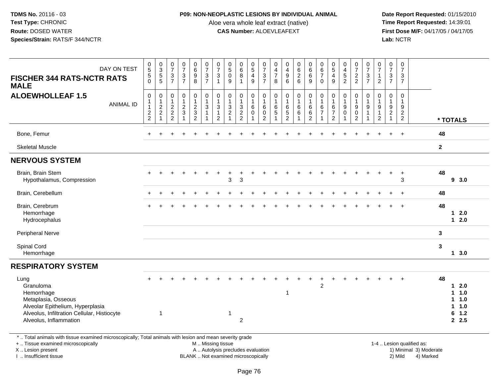## **P09: NON-NEOPLASTIC LESIONS BY INDIVIDUAL ANIMAL**

Aloe vera whole leaf extract (native)<br>**CAS Number:** ALOEVLEAFEXT

 **Date Report Requested:** 01/15/2010 **First Dose M/F:** 04/17/05 / 04/17/05<br>Lab: NCTR **Lab:** NCTR

| DAY ON TEST                                                                                                                                                         | $\pmb{0}$<br>$\overline{5}$                                           | 0<br>$\frac{3}{5}$                                                    | $\begin{array}{c} 0 \\ 7 \end{array}$                                     | $\begin{array}{c} 0 \\ 7 \end{array}$                         | $_{\rm 6}^{\rm 0}$                          | $\frac{0}{7}$                                                                 | $\frac{0}{7}$                                | $\begin{array}{c} 0 \\ 5 \end{array}$                                           | $_{6}^{\rm 0}$                                                           | $\begin{smallmatrix}0\0\5\end{smallmatrix}$                             | 0<br>$\overline{7}$                                                     | 0<br>$\overline{\mathbf{4}}$ | $\begin{array}{c} 0 \\ 4 \\ 9 \end{array}$        |                                                             | $\begin{array}{c} 0 \\ 6 \end{array}$                               | 0<br>$6\phantom{a}$                                                      | $\begin{array}{c} 0 \\ 5 \end{array}$                 |                                                                                  | $\frac{0}{7}$                                                                  | $\frac{0}{7}$                     | 0<br>$\overline{7}$                                                              | $\pmb{0}$<br>$\overline{7}$                                 | $\pmb{0}$<br>$\overline{7}$                                              |                                                     |              |                                                                    |
|---------------------------------------------------------------------------------------------------------------------------------------------------------------------|-----------------------------------------------------------------------|-----------------------------------------------------------------------|---------------------------------------------------------------------------|---------------------------------------------------------------|---------------------------------------------|-------------------------------------------------------------------------------|----------------------------------------------|---------------------------------------------------------------------------------|--------------------------------------------------------------------------|-------------------------------------------------------------------------|-------------------------------------------------------------------------|------------------------------|---------------------------------------------------|-------------------------------------------------------------|---------------------------------------------------------------------|--------------------------------------------------------------------------|-------------------------------------------------------|----------------------------------------------------------------------------------|--------------------------------------------------------------------------------|-----------------------------------|----------------------------------------------------------------------------------|-------------------------------------------------------------|--------------------------------------------------------------------------|-----------------------------------------------------|--------------|--------------------------------------------------------------------|
| <b>FISCHER 344 RATS-NCTR RATS</b><br><b>MALE</b>                                                                                                                    | $\overline{5}$<br>$\Omega$                                            | $\overline{5}$                                                        | $\frac{3}{7}$                                                             | $\frac{3}{7}$                                                 | $_{8}^{\rm 9}$                              | $\frac{3}{7}$                                                                 | 3<br>$\mathbf{1}$                            | $\mathbf 0$<br>9                                                                | $\bf 8$<br>$\overline{1}$                                                | $\overline{4}$<br>$\overline{9}$                                        | $\frac{3}{7}$                                                           | $\overline{7}$<br>8          | 6                                                 | 0626                                                        | 6<br>9                                                              | $\overline{7}$<br>$\mathbf 0$                                            | $\overline{\mathbf{4}}$<br>9                          | $\frac{0}{4}$<br>52                                                              | $\frac{2}{2}$                                                                  | $\mathbf{3}$<br>$\overline{7}$    | $\mathbf{1}$<br>$\overline{2}$                                                   | 3<br>$\overline{7}$                                         | 3<br>$\overline{7}$                                                      |                                                     |              |                                                                    |
| <b>ALOEWHOLLEAF 1.5</b><br><b>ANIMAL ID</b>                                                                                                                         | $\mathbf 0$<br>$\begin{array}{c} 1 \\ 1 \end{array}$<br>$\frac{2}{2}$ | 0<br>$\mathbf{1}$<br>$\overline{c}$<br>$\overline{c}$<br>$\mathbf{1}$ | 0<br>$\mathbf{1}$<br>$\boldsymbol{2}$<br>$\overline{c}$<br>$\overline{2}$ | $\pmb{0}$<br>$\mathbf{1}$<br>$\overline{c}$<br>$\mathfrak{Z}$ | $\pmb{0}$<br>$\frac{1}{2}$<br>$\frac{3}{2}$ | $\pmb{0}$<br>$\mathbf{1}$<br>$\mathbf{3}$<br>$\overline{1}$<br>$\overline{1}$ | $\mathbf 0$<br>1<br>3<br>1<br>$\overline{c}$ | $\mathbf 0$<br>$\overline{1}$<br>$\sqrt{3}$<br>$\overline{c}$<br>$\overline{1}$ | $\mathbf 0$<br>$\mathbf 1$<br>$\ensuremath{\mathsf{3}}$<br>$\frac{2}{2}$ | $\mathbf 0$<br>$\mathbf{1}$<br>$\,6\,$<br>$\mathbf 0$<br>$\overline{1}$ | $\mathbf 0$<br>$\mathbf{1}$<br>$\,6\,$<br>$\mathsf 0$<br>$\overline{2}$ | 0<br>6<br>5                  | $\mathbf 0$<br>$\mathbf{1}$<br>6<br>$\frac{5}{2}$ | $\mathsf 0$<br>$\mathbf{1}$<br>$\,6$<br>6<br>$\overline{1}$ | $\mathbf 0$<br>$\mathbf{1}$<br>$\,6\,$<br>$\,6\,$<br>$\overline{2}$ | $\mathbf 0$<br>$\mathbf{1}$<br>$\,6\,$<br>$\overline{7}$<br>$\mathbf{1}$ | 0<br>1<br>$\,6\,$<br>$\overline{7}$<br>$\overline{2}$ | $\mathbf 0$<br>$\mathbf{1}$<br>$\boldsymbol{9}$<br>$\mathbf 0$<br>$\overline{1}$ | $\mathbf 0$<br>$\mathbf{1}$<br>$\boldsymbol{9}$<br>$\pmb{0}$<br>$\overline{2}$ | $\Omega$<br>$9\,$<br>$\mathbf{1}$ | $\Omega$<br>$\overline{1}$<br>$\boldsymbol{9}$<br>$\mathbf{1}$<br>$\overline{2}$ | $\mathbf 0$<br>$\mathbf{1}$<br>$9\,$<br>$\overline{c}$<br>1 | $\mathbf 0$<br>$\mathbf{1}$<br>$9\,$<br>$\overline{2}$<br>$\overline{2}$ |                                                     |              | * TOTALS                                                           |
| Bone, Femur                                                                                                                                                         |                                                                       |                                                                       |                                                                           |                                                               |                                             |                                                                               |                                              |                                                                                 |                                                                          |                                                                         |                                                                         |                              |                                                   |                                                             |                                                                     |                                                                          |                                                       |                                                                                  |                                                                                |                                   |                                                                                  |                                                             | $\div$                                                                   |                                                     | 48           |                                                                    |
| <b>Skeletal Muscle</b>                                                                                                                                              |                                                                       |                                                                       |                                                                           |                                                               |                                             |                                                                               |                                              |                                                                                 |                                                                          |                                                                         |                                                                         |                              |                                                   |                                                             |                                                                     |                                                                          |                                                       |                                                                                  |                                                                                |                                   |                                                                                  |                                                             |                                                                          |                                                     | $\mathbf{2}$ |                                                                    |
| <b>NERVOUS SYSTEM</b>                                                                                                                                               |                                                                       |                                                                       |                                                                           |                                                               |                                             |                                                                               |                                              |                                                                                 |                                                                          |                                                                         |                                                                         |                              |                                                   |                                                             |                                                                     |                                                                          |                                                       |                                                                                  |                                                                                |                                   |                                                                                  |                                                             |                                                                          |                                                     |              |                                                                    |
| Brain, Brain Stem<br>Hypothalamus, Compression                                                                                                                      |                                                                       |                                                                       |                                                                           |                                                               |                                             |                                                                               |                                              | 3                                                                               | 3                                                                        |                                                                         |                                                                         |                              |                                                   |                                                             |                                                                     |                                                                          |                                                       |                                                                                  |                                                                                |                                   |                                                                                  | $\ddot{}$                                                   | $\div$<br>3                                                              |                                                     | 48           | 93.0                                                               |
| Brain, Cerebellum                                                                                                                                                   |                                                                       |                                                                       |                                                                           |                                                               |                                             |                                                                               |                                              |                                                                                 |                                                                          |                                                                         |                                                                         |                              |                                                   |                                                             |                                                                     |                                                                          |                                                       |                                                                                  |                                                                                |                                   |                                                                                  |                                                             |                                                                          |                                                     | 48           |                                                                    |
| Brain, Cerebrum<br>Hemorrhage<br>Hydrocephalus                                                                                                                      |                                                                       |                                                                       |                                                                           |                                                               |                                             |                                                                               |                                              |                                                                                 |                                                                          |                                                                         |                                                                         |                              |                                                   |                                                             |                                                                     |                                                                          |                                                       |                                                                                  |                                                                                |                                   |                                                                                  |                                                             |                                                                          |                                                     | 48           | $12.0$<br>$12.0$                                                   |
| Peripheral Nerve                                                                                                                                                    |                                                                       |                                                                       |                                                                           |                                                               |                                             |                                                                               |                                              |                                                                                 |                                                                          |                                                                         |                                                                         |                              |                                                   |                                                             |                                                                     |                                                                          |                                                       |                                                                                  |                                                                                |                                   |                                                                                  |                                                             |                                                                          |                                                     | 3            |                                                                    |
| Spinal Cord<br>Hemorrhage                                                                                                                                           |                                                                       |                                                                       |                                                                           |                                                               |                                             |                                                                               |                                              |                                                                                 |                                                                          |                                                                         |                                                                         |                              |                                                   |                                                             |                                                                     |                                                                          |                                                       |                                                                                  |                                                                                |                                   |                                                                                  |                                                             |                                                                          |                                                     | 3            | $1 \quad 3.0$                                                      |
| <b>RESPIRATORY SYSTEM</b>                                                                                                                                           |                                                                       |                                                                       |                                                                           |                                                               |                                             |                                                                               |                                              |                                                                                 |                                                                          |                                                                         |                                                                         |                              |                                                   |                                                             |                                                                     |                                                                          |                                                       |                                                                                  |                                                                                |                                   |                                                                                  |                                                             |                                                                          |                                                     |              |                                                                    |
| Lung<br>Granuloma<br>Hemorrhage<br>Metaplasia, Osseous<br>Alveolar Epithelium, Hyperplasia<br>Alveolus, Infiltration Cellular, Histiocyte<br>Alveolus, Inflammation | $\div$                                                                | $\mathbf{1}$                                                          |                                                                           |                                                               |                                             |                                                                               |                                              | -1                                                                              | $\overline{2}$                                                           |                                                                         |                                                                         |                              | $\mathbf 1$                                       |                                                             |                                                                     | $\overline{2}$                                                           |                                                       |                                                                                  |                                                                                |                                   |                                                                                  |                                                             |                                                                          |                                                     | 48           | 2.0<br>$\mathbf 1$<br>11.0<br>$1 1.0$<br>$1 \t1.0$<br>6 1.2<br>2.5 |
| *  Total animals with tissue examined microscopically; Total animals with lesion and mean severity grade<br>+  Tissue examined microscopically<br>X  Lesion present |                                                                       |                                                                       |                                                                           |                                                               |                                             | M  Missing tissue<br>A  Autolysis precludes evaluation                        |                                              |                                                                                 |                                                                          |                                                                         |                                                                         |                              |                                                   |                                                             |                                                                     |                                                                          |                                                       |                                                                                  |                                                                                |                                   |                                                                                  |                                                             |                                                                          | 1-4  Lesion qualified as:<br>1) Minimal 3) Moderate |              |                                                                    |

I .. Insufficient tissue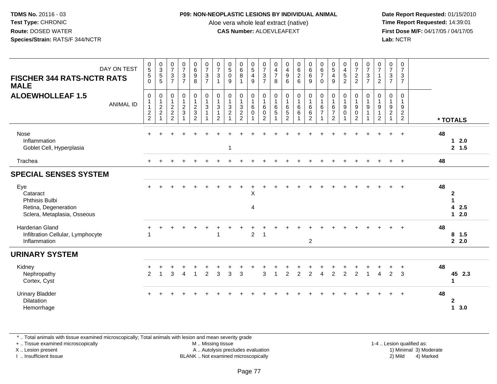#### **P09: NON-NEOPLASTIC LESIONS BY INDIVIDUAL ANIMAL**

Aloe vera whole leaf extract (native)<br>**CAS Number:** ALOEVLEAFEXT

 **Date Report Requested:** 01/15/2010 **First Dose M/F:** 04/17/05 / 04/17/05<br>**Lab:** NCTR **Lab:** NCTR

| DAY ON TEST<br><b>FISCHER 344 RATS-NCTR RATS</b><br><b>MALE</b>                          | $\begin{array}{c} 0 \\ 5 \end{array}$<br>$\sqrt{5}$<br>$\Omega$ | $_{3}^{\rm 0}$<br>$\frac{5}{5}$                    | $\frac{0}{7}$<br>$\sqrt{3}$<br>$\overline{7}$                  | $\frac{0}{7}$<br>$\frac{3}{7}$     | $_{6}^{\rm 0}$<br>$\frac{9}{8}$                                               | $\frac{0}{7}$<br>$\frac{3}{7}$               | $\frac{0}{7}$<br>$\mathbf{3}$<br>-1                                 | $\begin{array}{c} 0 \\ 5 \end{array}$<br>$\pmb{0}$<br>9                       | $\begin{matrix} 0 \\ 6 \end{matrix}$<br>8<br>$\mathbf{1}$                          | $\begin{array}{c} 0 \\ 5 \end{array}$<br>$\overline{4}$<br>$\mathsf g$ | $\frac{0}{7}$<br>$\frac{3}{7}$                                             | 0<br>$\overline{4}$<br>$\overline{7}$<br>8       | $_4^{\rm O}$<br>$\boldsymbol{9}$<br>6                                                 | $\begin{matrix} 0 \\ 6 \end{matrix}$<br>$\frac{2}{6}$ | $_6^0$<br>$\overline{6}$<br>$\overline{9}$                             | $\begin{array}{c} 0 \\ 6 \end{array}$<br>$\overline{7}$<br>$\Omega$           | $\begin{matrix} 0 \\ 5 \end{matrix}$<br>$\overline{4}$<br>9 | $\begin{smallmatrix}0\\4\end{smallmatrix}$<br>$\frac{5}{2}$                   | $\frac{0}{7}$<br>$\frac{2}{2}$                          | $\frac{0}{7}$<br>$\frac{3}{7}$                                       | $\frac{0}{7}$<br>$\mathbf{1}$<br>$\overline{2}$          | $\frac{0}{7}$<br>$\frac{3}{7}$                                          | $\pmb{0}$<br>$\overline{7}$<br>$\frac{3}{7}$                                    |    |                                         |
|------------------------------------------------------------------------------------------|-----------------------------------------------------------------|----------------------------------------------------|----------------------------------------------------------------|------------------------------------|-------------------------------------------------------------------------------|----------------------------------------------|---------------------------------------------------------------------|-------------------------------------------------------------------------------|------------------------------------------------------------------------------------|------------------------------------------------------------------------|----------------------------------------------------------------------------|--------------------------------------------------|---------------------------------------------------------------------------------------|-------------------------------------------------------|------------------------------------------------------------------------|-------------------------------------------------------------------------------|-------------------------------------------------------------|-------------------------------------------------------------------------------|---------------------------------------------------------|----------------------------------------------------------------------|----------------------------------------------------------|-------------------------------------------------------------------------|---------------------------------------------------------------------------------|----|-----------------------------------------|
| <b>ALOEWHOLLEAF 1.5</b><br><b>ANIMAL ID</b>                                              | $\mathbf 0$<br>$\mathbf{1}$<br>$\mathbf{1}$<br>$\frac{2}{2}$    | 0<br>$\mathbf{1}$<br>$\frac{2}{2}$<br>$\mathbf{1}$ | $\mathbf 0$<br>$\mathbf{1}$<br>$\frac{2}{2}$<br>$\overline{2}$ | 0<br>$\mathbf{1}$<br>$\frac{2}{3}$ | $\begin{smallmatrix}0\\1\end{smallmatrix}$<br>$\frac{2}{3}$<br>$\overline{2}$ | $\pmb{0}$<br>$\mathbf{1}$<br>$\sqrt{3}$<br>1 | 0<br>$\mathbf{1}$<br>$\sqrt{3}$<br>$\overline{1}$<br>$\overline{2}$ | $\pmb{0}$<br>$\mathbf{1}$<br>$\mathbf{3}$<br>$\overline{c}$<br>$\overline{1}$ | 0<br>$\mathbf{1}$<br>$\ensuremath{\mathsf{3}}$<br>$\overline{c}$<br>$\overline{2}$ | 0<br>$\mathbf{1}$<br>$\,6\,$<br>$\mathbf 0$<br>$\overline{1}$          | $\boldsymbol{0}$<br>$\mathbf{1}$<br>$\,6\,$<br>$\pmb{0}$<br>$\overline{2}$ | $\boldsymbol{0}$<br>$\overline{1}$<br>$6\over 5$ | $\begin{smallmatrix}0\\1\end{smallmatrix}$<br>$\,6\,$<br>$\sqrt{5}$<br>$\overline{2}$ | 0<br>$\mathbf{1}$<br>$6\phantom{.}6$<br>$\,6\,$       | $\begin{smallmatrix}0\\1\end{smallmatrix}$<br>$^6_6$<br>$\overline{c}$ | $\begin{smallmatrix}0\\1\end{smallmatrix}$<br>$\frac{6}{7}$<br>$\overline{1}$ | 0<br>$\mathbf{1}$<br>6<br>$\overline{7}$<br>$\overline{c}$  | $\begin{smallmatrix}0\\1\end{smallmatrix}$<br>$\boldsymbol{9}$<br>$\mathbf 0$ | 0<br>$\mathbf{1}$<br>$\boldsymbol{9}$<br>$\pmb{0}$<br>2 | 0<br>$\mathbf{1}$<br>$\boldsymbol{9}$<br>$\mathbf{1}$<br>$\mathbf 1$ | 0<br>$\mathbf{1}$<br>9<br>$\mathbf{1}$<br>$\overline{2}$ | $\pmb{0}$<br>$\mathbf{1}$<br>$\begin{array}{c} 9 \\ 2 \\ 1 \end{array}$ | $\mathbf 0$<br>$\mathbf{1}$<br>$\boldsymbol{9}$<br>$\sqrt{2}$<br>$\overline{2}$ |    | * TOTALS                                |
| Nose<br>Inflammation<br>Goblet Cell, Hyperplasia                                         |                                                                 |                                                    |                                                                |                                    |                                                                               |                                              |                                                                     | $\mathbf 1$                                                                   |                                                                                    |                                                                        |                                                                            |                                                  |                                                                                       |                                                       |                                                                        |                                                                               |                                                             |                                                                               |                                                         |                                                                      |                                                          | $+$                                                                     | $\overline{+}$                                                                  | 48 | 2.0<br>$\mathbf 1$<br>2, 1.5            |
| Trachea                                                                                  |                                                                 |                                                    |                                                                |                                    |                                                                               |                                              |                                                                     |                                                                               |                                                                                    |                                                                        |                                                                            |                                                  |                                                                                       |                                                       |                                                                        |                                                                               |                                                             |                                                                               |                                                         |                                                                      |                                                          | $+$                                                                     | $+$                                                                             | 48 |                                         |
| <b>SPECIAL SENSES SYSTEM</b>                                                             |                                                                 |                                                    |                                                                |                                    |                                                                               |                                              |                                                                     |                                                                               |                                                                                    |                                                                        |                                                                            |                                                  |                                                                                       |                                                       |                                                                        |                                                                               |                                                             |                                                                               |                                                         |                                                                      |                                                          |                                                                         |                                                                                 |    |                                         |
| Eye<br>Cataract<br>Phthisis Bulbi<br>Retina, Degeneration<br>Sclera, Metaplasia, Osseous |                                                                 |                                                    |                                                                |                                    |                                                                               |                                              |                                                                     |                                                                               |                                                                                    | $\mathsf X$<br>4                                                       |                                                                            |                                                  |                                                                                       |                                                       |                                                                        |                                                                               |                                                             |                                                                               |                                                         |                                                                      |                                                          |                                                                         |                                                                                 | 48 | $\boldsymbol{2}$<br>1<br>42.5<br>$12.0$ |
| <b>Harderian Gland</b><br>Infiltration Cellular, Lymphocyte<br>Inflammation              | $\pm$                                                           | $\ddot{}$                                          |                                                                |                                    |                                                                               |                                              |                                                                     |                                                                               |                                                                                    | +<br>$\overline{c}$                                                    | $\overline{1}$                                                             |                                                  |                                                                                       |                                                       | $\overline{2}$                                                         |                                                                               |                                                             |                                                                               |                                                         |                                                                      |                                                          |                                                                         |                                                                                 | 48 | $8$ 1.5<br>2.2.0                        |
| <b>URINARY SYSTEM</b>                                                                    |                                                                 |                                                    |                                                                |                                    |                                                                               |                                              |                                                                     |                                                                               |                                                                                    |                                                                        |                                                                            |                                                  |                                                                                       |                                                       |                                                                        |                                                                               |                                                             |                                                                               |                                                         |                                                                      |                                                          |                                                                         |                                                                                 |    |                                         |
| Kidney<br>Nephropathy<br>Cortex, Cyst                                                    | $\mathcal{P}$                                                   |                                                    | 3                                                              |                                    |                                                                               | $\mathcal{P}$                                | 3                                                                   | 3                                                                             | 3                                                                                  |                                                                        | 3                                                                          |                                                  | $\mathfrak{p}$                                                                        | $\mathfrak{p}$                                        | $\mathfrak{p}$                                                         | $\boldsymbol{\Lambda}$                                                        | $\mathfrak{p}$                                              | $\mathfrak{p}$                                                                | $\overline{2}$                                          |                                                                      | $\boldsymbol{\Delta}$                                    | $\mathfrak{p}$                                                          | $\overline{ }$<br>3                                                             | 48 | 45 2.3<br>1                             |
| <b>Urinary Bladder</b><br>Dilatation<br>Hemorrhage                                       |                                                                 |                                                    |                                                                |                                    |                                                                               |                                              |                                                                     |                                                                               |                                                                                    |                                                                        |                                                                            |                                                  |                                                                                       |                                                       |                                                                        |                                                                               |                                                             |                                                                               |                                                         |                                                                      |                                                          |                                                                         |                                                                                 | 48 | $\mathbf{2}$<br>$\mathbf{1}$<br>3.0     |

\* .. Total animals with tissue examined microscopically; Total animals with lesion and mean severity grade

+ .. Tissue examined microscopically

X .. Lesion present

I .. Insufficient tissue

 M .. Missing tissueA .. Autolysis precludes evaluation

1-4 .. Lesion qualified as:<br>1) Minimal 3) Moderate BLANK .. Not examined microscopically 2) Mild 4) Marked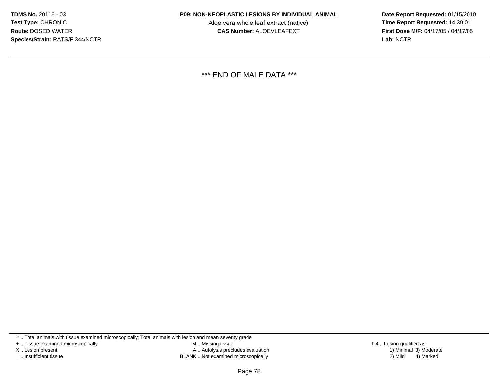Aloe vera whole leaf extract (native)<br>**CAS Number:** ALOEVLEAFEXT

 **Date Report Requested:** 01/15/2010 **First Dose M/F:** 04/17/05 / 04/17/05<br>**Lab:** NCTR **Lab:** NCTR

\*\*\* END OF MALE DATA \*\*\*

\* .. Total animals with tissue examined microscopically; Total animals with lesion and mean severity grade

+ .. Tissue examined microscopically

X .. Lesion present

I .. Insufficient tissue

 M .. Missing tissueA .. Autolysis precludes evaluation

BLANK .. Not examined microscopically 2) Mild 4) Marked

1-4 .. Lesion qualified as:<br>1) Minimal 3) Moderate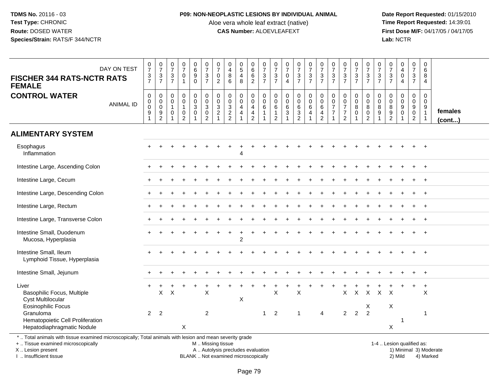#### **P09: NON-NEOPLASTIC LESIONS BY INDIVIDUAL ANIMAL**

Aloe vera whole leaf extract (native)<br>**CAS Number:** ALOEVLEAFEXT

 **Date Report Requested:** 01/15/2010 **First Dose M/F:** 04/17/05 / 04/17/05 Lab: NCTR **Lab:** NCTR

| DAY ON TEST<br><b>FISCHER 344 RATS-NCTR RATS</b><br><b>FEMALE</b>                                        | $\frac{0}{7}$<br>$\frac{3}{7}$                                  | $\frac{0}{7}$<br>$\ensuremath{\mathsf{3}}$<br>$\overline{7}$ | $\frac{0}{7}$<br>$\frac{3}{7}$ | $\frac{0}{7}$<br>$\pmb{0}$<br>$\mathbf{1}$                    | $\begin{array}{c} 0 \\ 6 \\ 9 \end{array}$<br>$\mathbf 0$ | $\frac{0}{7}$<br>$\frac{3}{7}$                                     | $\frac{0}{7}$<br>$\mathbf 0$<br>2                                                   | 0<br>$\overline{\mathbf{4}}$<br>8<br>6                    | $\begin{array}{c} 0 \\ 5 \\ 4 \end{array}$<br>8 | $066$<br>06                        | $\frac{0}{7}$<br>$rac{3}{7}$             | $\frac{0}{7}$<br>$\frac{3}{7}$                              | $\frac{0}{7}$<br>$\pmb{0}$<br>$\overline{4}$        | $\begin{array}{c} 0 \\ 7 \\ 3 \\ 7 \end{array}$             | $\begin{array}{c} 0 \\ 7 \\ 3 \\ 7 \end{array}$    | $\frac{0}{7}$<br>$\frac{3}{7}$                           | $\frac{0}{7}$<br>$\frac{3}{7}$             | $\frac{0}{7}$<br>$\frac{3}{7}$                                   | $\frac{0}{7}$<br>$\frac{3}{7}$             | $\frac{0}{7}$<br>$\frac{3}{7}$                                                    | $\frac{0}{7}$<br>$\mathsf 3$<br>$\overline{7}$ | $\frac{0}{7}$<br>$\frac{3}{7}$       | $_4^{\rm 0}$<br>$\ddot{\mathbf{0}}$<br>$\overline{4}$ | $\frac{0}{7}$<br>$\frac{3}{7}$                         | 0<br>6<br>8<br>$\overline{4}$                                       |                         |
|----------------------------------------------------------------------------------------------------------|-----------------------------------------------------------------|--------------------------------------------------------------|--------------------------------|---------------------------------------------------------------|-----------------------------------------------------------|--------------------------------------------------------------------|-------------------------------------------------------------------------------------|-----------------------------------------------------------|-------------------------------------------------|------------------------------------|------------------------------------------|-------------------------------------------------------------|-----------------------------------------------------|-------------------------------------------------------------|----------------------------------------------------|----------------------------------------------------------|--------------------------------------------|------------------------------------------------------------------|--------------------------------------------|-----------------------------------------------------------------------------------|------------------------------------------------|--------------------------------------|-------------------------------------------------------|--------------------------------------------------------|---------------------------------------------------------------------|-------------------------|
| <b>CONTROL WATER</b><br><b>ANIMAL ID</b>                                                                 | $\pmb{0}$<br>$\pmb{0}$<br>$\boldsymbol{0}$<br>9<br>$\mathbf{1}$ | 0<br>0<br>$\mathbf 0$<br>9<br>2                              | 0<br>0<br>$\overline{1}$<br>0  | $\pmb{0}$<br>0<br>$\mathbf{1}$<br>$\pmb{0}$<br>$\overline{2}$ | $\mathbf 0$<br>$\mathbf 0$<br>3<br>0                      | $_{\rm 0}^{\rm 0}$<br>$\mathbf 3$<br>$\mathbf 0$<br>$\overline{2}$ | $\boldsymbol{0}$<br>$\mathbf 0$<br>$\mathbf{3}$<br>$\overline{2}$<br>$\overline{1}$ | $\pmb{0}$<br>$\mathbf 0$<br>$\mathbf{3}$<br>$\frac{2}{2}$ | 0<br>0<br>4<br>4                                | 0<br>0<br>4<br>4<br>$\overline{2}$ | $\mathbf 0$<br>$\pmb{0}$<br>$\,6\,$<br>1 | $\mathbf 0$<br>$\boldsymbol{0}$<br>$\,6\,$<br>$\frac{1}{2}$ | $\pmb{0}$<br>$\mathbf 0$<br>$\,6\,$<br>$\mathbf{3}$ | $\pmb{0}$<br>$\mathbf 0$<br>$6\phantom{a}$<br>$\frac{3}{2}$ | $\pmb{0}$<br>$\mathbf 0$<br>6<br>4<br>$\mathbf{1}$ | $\pmb{0}$<br>$\pmb{0}$<br>$\,6\,$<br>4<br>$\overline{2}$ | 0<br>0<br>$\overline{7}$<br>$\overline{7}$ | $\mathbf 0$<br>$\frac{0}{7}$<br>$\overline{7}$<br>$\overline{2}$ | $\mathbf 0$<br>$\mathbf 0$<br>$\bf 8$<br>0 | $\boldsymbol{0}$<br>$\frac{0}{8}$<br>$\begin{smallmatrix} 0\\2 \end{smallmatrix}$ | $\mathbf 0$<br>$\mathbf 0$<br>8<br>9           | $\pmb{0}$<br>0<br>8<br>$\frac{9}{2}$ | $\mathbf 0$<br>$\mathsf{O}$<br>9<br>$\mathsf{O}$<br>1 | 0<br>$\mathbf 0$<br>9<br>$\mathbf 0$<br>$\overline{2}$ | $\mathbf 0$<br>$\mathbf 0$<br>9<br>$\overline{1}$<br>$\overline{1}$ | females<br>$($ cont $)$ |
| <b>ALIMENTARY SYSTEM</b>                                                                                 |                                                                 |                                                              |                                |                                                               |                                                           |                                                                    |                                                                                     |                                                           |                                                 |                                    |                                          |                                                             |                                                     |                                                             |                                                    |                                                          |                                            |                                                                  |                                            |                                                                                   |                                                |                                      |                                                       |                                                        |                                                                     |                         |
| Esophagus<br>Inflammation                                                                                |                                                                 |                                                              |                                |                                                               |                                                           |                                                                    |                                                                                     |                                                           |                                                 |                                    |                                          |                                                             |                                                     |                                                             |                                                    |                                                          |                                            |                                                                  |                                            |                                                                                   |                                                |                                      |                                                       |                                                        |                                                                     |                         |
| Intestine Large, Ascending Colon                                                                         |                                                                 |                                                              |                                |                                                               |                                                           |                                                                    |                                                                                     |                                                           |                                                 |                                    |                                          |                                                             |                                                     |                                                             |                                                    |                                                          |                                            |                                                                  |                                            |                                                                                   |                                                |                                      |                                                       |                                                        |                                                                     |                         |
| Intestine Large, Cecum                                                                                   |                                                                 |                                                              |                                |                                                               |                                                           |                                                                    |                                                                                     |                                                           |                                                 |                                    |                                          |                                                             |                                                     |                                                             |                                                    |                                                          |                                            |                                                                  |                                            |                                                                                   |                                                |                                      |                                                       |                                                        |                                                                     |                         |
| Intestine Large, Descending Colon                                                                        |                                                                 |                                                              |                                |                                                               |                                                           |                                                                    |                                                                                     |                                                           |                                                 |                                    |                                          |                                                             |                                                     |                                                             |                                                    |                                                          |                                            |                                                                  |                                            |                                                                                   |                                                |                                      |                                                       |                                                        |                                                                     |                         |
| Intestine Large, Rectum                                                                                  |                                                                 |                                                              |                                |                                                               |                                                           |                                                                    |                                                                                     |                                                           |                                                 |                                    |                                          |                                                             |                                                     |                                                             |                                                    |                                                          |                                            |                                                                  |                                            |                                                                                   |                                                |                                      |                                                       |                                                        |                                                                     |                         |
| Intestine Large, Transverse Colon                                                                        |                                                                 |                                                              |                                |                                                               |                                                           |                                                                    |                                                                                     |                                                           |                                                 |                                    |                                          |                                                             |                                                     |                                                             |                                                    |                                                          |                                            |                                                                  |                                            |                                                                                   |                                                |                                      |                                                       |                                                        |                                                                     |                         |
| Intestine Small, Duodenum<br>Mucosa, Hyperplasia                                                         |                                                                 |                                                              |                                |                                                               |                                                           |                                                                    |                                                                                     |                                                           | $\overline{2}$                                  |                                    |                                          |                                                             |                                                     |                                                             |                                                    |                                                          |                                            |                                                                  |                                            |                                                                                   |                                                |                                      |                                                       |                                                        |                                                                     |                         |
| Intestine Small, Ileum<br>Lymphoid Tissue, Hyperplasia                                                   |                                                                 |                                                              |                                |                                                               |                                                           |                                                                    |                                                                                     |                                                           |                                                 |                                    |                                          |                                                             |                                                     |                                                             |                                                    |                                                          |                                            |                                                                  |                                            |                                                                                   |                                                |                                      |                                                       |                                                        | $\overline{+}$                                                      |                         |
| Intestine Small, Jejunum                                                                                 |                                                                 |                                                              |                                |                                                               |                                                           |                                                                    |                                                                                     |                                                           |                                                 |                                    |                                          |                                                             |                                                     |                                                             |                                                    |                                                          |                                            |                                                                  |                                            |                                                                                   |                                                |                                      |                                                       |                                                        |                                                                     |                         |
| Liver<br>Basophilic Focus, Multiple<br>Cyst Multilocular<br><b>Eosinophilic Focus</b>                    |                                                                 | X                                                            | $\boldsymbol{\mathsf{X}}$      |                                                               |                                                           | $\times$                                                           |                                                                                     |                                                           | Χ                                               |                                    |                                          | X                                                           |                                                     | $\times$                                                    |                                                    |                                                          |                                            | X                                                                | $\mathsf X$                                | $\mathsf{X}$<br>X                                                                 | $\mathsf{X}$                                   | $\mathsf{X}$<br>Χ                    |                                                       |                                                        | $\ddot{}$<br>X                                                      |                         |
| Granuloma<br>Hematopoietic Cell Proliferation<br>Hepatodiaphragmatic Nodule                              | $\overline{2}$                                                  | $\overline{2}$                                               |                                | X                                                             |                                                           | $\overline{2}$                                                     |                                                                                     |                                                           |                                                 |                                    | -1                                       | 2                                                           |                                                     | 1                                                           |                                                    | $\overline{4}$                                           |                                            | $\overline{2}$                                                   | 2                                          | $\overline{2}$                                                                    |                                                | X                                    | $\mathbf{1}$                                          |                                                        | $\overline{1}$                                                      |                         |
| *  Total animals with tissue examined microscopically; Total animals with lesion and mean severity grade |                                                                 |                                                              |                                |                                                               |                                                           |                                                                    |                                                                                     |                                                           |                                                 |                                    |                                          |                                                             |                                                     |                                                             |                                                    |                                                          |                                            |                                                                  |                                            |                                                                                   |                                                |                                      |                                                       |                                                        |                                                                     |                         |

+ .. Tissue examined microscopically

X .. Lesion present

I .. Insufficient tissue

M .. Missing tissue

BLANK .. Not examined microscopically

1-4 .. Lesion qualified as:<br>1) Minimal 3) Moderate A .. Autolysis precludes evaluation 19 and 10 minimal 3) Moderate 1 and 20 minimal 3) Moderate 19 minimal 3) Moderat<br>19 and 19 and 19 and 19 and 19 and 19 and 19 and 19 and 19 and 19 and 19 and 19 and 19 and 19 and 19 and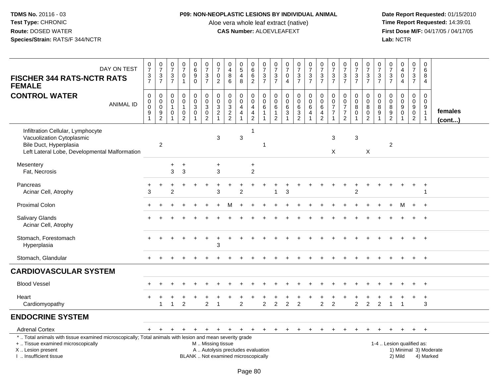## **P09: NON-NEOPLASTIC LESIONS BY INDIVIDUAL ANIMAL**

Aloe vera whole leaf extract (native)<br>**CAS Number:** ALOEVLEAFEXT

| DAY ON TEST<br><b>FISCHER 344 RATS-NCTR RATS</b><br><b>FEMALE</b>                                                                                                                             | $\frac{0}{7}$<br>$\frac{3}{7}$                                                      | $\frac{0}{7}$<br>$\frac{3}{7}$                              | $\frac{0}{7}$<br>$\frac{3}{7}$                                      | $\frac{0}{7}$<br>$\pmb{0}$<br>$\overline{1}$                    | $\begin{array}{c} 0 \\ 6 \end{array}$<br>$\overline{9}$<br>$\mathbf 0$    | $\begin{smallmatrix}0\\7\end{smallmatrix}$<br>$\frac{3}{7}$                         | $\frac{0}{7}$<br>0<br>$\overline{2}$                               | $\pmb{0}$<br>$\overline{4}$<br>$\bf8$<br>$\,6\,$                         | $\begin{array}{c} 0 \\ 5 \end{array}$<br>$\overline{4}$<br>8 | $\begin{array}{c} 0 \\ 6 \end{array}$<br>$\frac{6}{2}$                           | $\frac{0}{7}$<br>$\frac{3}{7}$                                          | $\begin{matrix} 0 \\ 7 \end{matrix}$<br>$\ensuremath{\mathsf{3}}$<br>$\overline{7}$ | $\begin{array}{c} 0 \\ 7 \end{array}$<br>$\pmb{0}$<br>$\overline{4}$ | $\frac{0}{7}$<br>$\frac{3}{7}$ | $\frac{0}{7}$<br>$\frac{3}{7}$                   | $\frac{0}{7}$<br>$\frac{3}{7}$                                                        | $\frac{0}{7}$<br>$\frac{3}{7}$                                         | $\frac{0}{7}$<br>$\frac{3}{7}$                                                        | $\frac{0}{7}$<br>$\frac{3}{7}$                     | $\begin{array}{c} 0 \\ 7 \end{array}$<br>$\frac{3}{7}$                             | $\frac{0}{7}$<br>$\ensuremath{\mathsf{3}}$<br>$\overline{7}$ | $\frac{0}{7}$<br>$\ensuremath{\mathsf{3}}$<br>$\overline{7}$ | $_4^{\rm 0}$<br>$\mathsf 0$<br>$\overline{4}$                   | 0<br>$\boldsymbol{7}$<br>$\frac{3}{7}$                                        | $\mathbf 0$<br>6<br>8<br>$\overline{4}$                                          |                         |
|-----------------------------------------------------------------------------------------------------------------------------------------------------------------------------------------------|-------------------------------------------------------------------------------------|-------------------------------------------------------------|---------------------------------------------------------------------|-----------------------------------------------------------------|---------------------------------------------------------------------------|-------------------------------------------------------------------------------------|--------------------------------------------------------------------|--------------------------------------------------------------------------|--------------------------------------------------------------|----------------------------------------------------------------------------------|-------------------------------------------------------------------------|-------------------------------------------------------------------------------------|----------------------------------------------------------------------|--------------------------------|--------------------------------------------------|---------------------------------------------------------------------------------------|------------------------------------------------------------------------|---------------------------------------------------------------------------------------|----------------------------------------------------|------------------------------------------------------------------------------------|--------------------------------------------------------------|--------------------------------------------------------------|-----------------------------------------------------------------|-------------------------------------------------------------------------------|----------------------------------------------------------------------------------|-------------------------|
| <b>CONTROL WATER</b><br><b>ANIMAL ID</b>                                                                                                                                                      | $\pmb{0}$<br>$\pmb{0}$<br>$\ddot{\mathbf{0}}$<br>$\boldsymbol{9}$<br>$\overline{1}$ | $\mathsf 0$<br>$\pmb{0}$<br>$\overline{0}$<br>$\frac{9}{2}$ | $\mathbf 0$<br>0<br>$\overline{1}$<br>$\mathbf 0$<br>$\overline{1}$ | $\pmb{0}$<br>0<br>$\mathbf{1}$<br>$\mathbf 0$<br>$\overline{2}$ | $\mathbf 0$<br>$\mathbf 0$<br>$\overline{3}$<br>$\pmb{0}$<br>$\mathbf{1}$ | $\pmb{0}$<br>$\mathsf{O}\xspace$<br>$\overline{3}$<br>$\mathbf 0$<br>$\overline{2}$ | 0<br>$\pmb{0}$<br>$\overline{3}$<br>$\overline{c}$<br>$\mathbf{1}$ | $\mathbf 0$<br>$\mathbf 0$<br>$\overline{3}$<br>$\frac{2}{2}$            | 0<br>$\pmb{0}$<br>4<br>$\overline{4}$                        | $\mathbf 0$<br>$\mathbf 0$<br>$\overline{4}$<br>$\overline{4}$<br>$\overline{2}$ | $\mathbf 0$<br>$\mathbf 0$<br>$\,6\,$<br>$\mathbf{1}$<br>$\overline{1}$ | $\mathbf 0$<br>$\mathbf 0$<br>6<br>$\mathbf{1}$<br>$\overline{2}$                   | $\pmb{0}$<br>$\mathbf 0$<br>$\,6\,$<br>3<br>1                        | 0<br>0<br>6<br>$\frac{3}{2}$   | $\mathbf 0$<br>$\mathbf 0$<br>$\,6\,$<br>4<br>-1 | $\pmb{0}$<br>$\pmb{0}$<br>$6\phantom{a}$<br>$\overline{\mathbf{4}}$<br>$\overline{2}$ | $\mathbf 0$<br>0<br>$\overline{7}$<br>$\overline{7}$<br>$\overline{1}$ | $\boldsymbol{0}$<br>$\mathbf 0$<br>$\overline{7}$<br>$\overline{7}$<br>$\overline{2}$ | 0<br>0<br>$\bf 8$<br>$\mathbf 0$<br>$\overline{1}$ | $\mathbf 0$<br>$\mathbf 0$<br>$\overline{8}$<br>$\boldsymbol{0}$<br>$\overline{2}$ | $\mathbf 0$<br>0<br>8<br>9<br>1                              | 0<br>$\mathbf 0$<br>$\bf 8$<br>$\frac{9}{2}$                 | 0<br>$\pmb{0}$<br>$\overline{9}$<br>$\mathsf 0$<br>$\mathbf{1}$ | $\mathbf 0$<br>$\mathbf 0$<br>$\overline{9}$<br>$\mathbf 0$<br>$\overline{2}$ | $\mathbf 0$<br>$\mathbf 0$<br>$\boldsymbol{9}$<br>$\mathbf{1}$<br>$\overline{1}$ | females<br>$($ cont $)$ |
| Infiltration Cellular, Lymphocyte<br>Vacuolization Cytoplasmic<br>Bile Duct, Hyperplasia<br>Left Lateral Lobe, Developmental Malformation                                                     |                                                                                     | $\overline{2}$                                              |                                                                     |                                                                 |                                                                           |                                                                                     | 3                                                                  |                                                                          | $\mathfrak{Z}$                                               | $\mathbf 1$                                                                      | -1                                                                      |                                                                                     |                                                                      |                                |                                                  |                                                                                       | $\mathbf{3}$<br>X                                                      |                                                                                       | 3                                                  | $\times$                                                                           |                                                              | $\overline{2}$                                               |                                                                 |                                                                               |                                                                                  |                         |
| Mesentery<br>Fat, Necrosis                                                                                                                                                                    |                                                                                     |                                                             | +<br>3                                                              | $\ddot{}$<br>3                                                  |                                                                           |                                                                                     | $\ddot{}$<br>3                                                     |                                                                          |                                                              | $\ddot{}$<br>$\overline{c}$                                                      |                                                                         |                                                                                     |                                                                      |                                |                                                  |                                                                                       |                                                                        |                                                                                       |                                                    |                                                                                    |                                                              |                                                              |                                                                 |                                                                               |                                                                                  |                         |
| Pancreas<br>Acinar Cell, Atrophy                                                                                                                                                              | ٠<br>3                                                                              | $\ddot{}$                                                   | 2                                                                   |                                                                 |                                                                           |                                                                                     | 3                                                                  |                                                                          | $\mathcal{P}$                                                |                                                                                  |                                                                         |                                                                                     | 3                                                                    |                                |                                                  |                                                                                       |                                                                        |                                                                                       | $\ddot{}$<br>$\overline{2}$                        |                                                                                    |                                                              |                                                              |                                                                 | $\ddot{}$                                                                     | $\ddot{}$<br>-1                                                                  |                         |
| <b>Proximal Colon</b>                                                                                                                                                                         |                                                                                     |                                                             |                                                                     |                                                                 |                                                                           |                                                                                     |                                                                    | м                                                                        |                                                              |                                                                                  |                                                                         |                                                                                     |                                                                      |                                |                                                  |                                                                                       |                                                                        |                                                                                       |                                                    |                                                                                    |                                                              | $\ddot{}$                                                    | M                                                               | $+$                                                                           | $+$                                                                              |                         |
| <b>Salivary Glands</b><br>Acinar Cell, Atrophy                                                                                                                                                |                                                                                     |                                                             |                                                                     |                                                                 |                                                                           |                                                                                     |                                                                    |                                                                          |                                                              |                                                                                  |                                                                         |                                                                                     |                                                                      |                                |                                                  |                                                                                       |                                                                        |                                                                                       |                                                    |                                                                                    |                                                              |                                                              |                                                                 |                                                                               |                                                                                  |                         |
| Stomach, Forestomach<br>Hyperplasia                                                                                                                                                           |                                                                                     |                                                             |                                                                     |                                                                 |                                                                           |                                                                                     | 3                                                                  |                                                                          |                                                              |                                                                                  |                                                                         |                                                                                     |                                                                      |                                |                                                  |                                                                                       |                                                                        |                                                                                       |                                                    |                                                                                    |                                                              |                                                              |                                                                 |                                                                               | $\overline{+}$                                                                   |                         |
| Stomach, Glandular                                                                                                                                                                            |                                                                                     |                                                             |                                                                     |                                                                 |                                                                           |                                                                                     |                                                                    |                                                                          |                                                              |                                                                                  |                                                                         |                                                                                     |                                                                      |                                |                                                  |                                                                                       |                                                                        |                                                                                       |                                                    |                                                                                    |                                                              |                                                              |                                                                 | $\ddot{}$                                                                     | $+$                                                                              |                         |
| <b>CARDIOVASCULAR SYSTEM</b>                                                                                                                                                                  |                                                                                     |                                                             |                                                                     |                                                                 |                                                                           |                                                                                     |                                                                    |                                                                          |                                                              |                                                                                  |                                                                         |                                                                                     |                                                                      |                                |                                                  |                                                                                       |                                                                        |                                                                                       |                                                    |                                                                                    |                                                              |                                                              |                                                                 |                                                                               |                                                                                  |                         |
| <b>Blood Vessel</b>                                                                                                                                                                           |                                                                                     |                                                             |                                                                     |                                                                 |                                                                           |                                                                                     |                                                                    |                                                                          |                                                              |                                                                                  |                                                                         |                                                                                     |                                                                      |                                |                                                  |                                                                                       |                                                                        |                                                                                       |                                                    |                                                                                    |                                                              |                                                              |                                                                 |                                                                               | $\overline{+}$                                                                   |                         |
| Heart<br>Cardiomyopathy                                                                                                                                                                       |                                                                                     | -1                                                          |                                                                     | $\overline{2}$                                                  |                                                                           | $\overline{2}$                                                                      | $\overline{1}$                                                     |                                                                          | $\ddot{}$<br>2                                               |                                                                                  | $\overline{c}$                                                          | $\overline{2}$                                                                      | $\overline{2}$                                                       | $\overline{2}$                 |                                                  | $\overline{2}$                                                                        | $\overline{2}$                                                         |                                                                                       | $\overline{2}$                                     | $\overline{c}$                                                                     | $\overline{2}$                                               |                                                              | $\overline{1}$                                                  | $\ddot{}$                                                                     | $+$<br>3                                                                         |                         |
| <b>ENDOCRINE SYSTEM</b>                                                                                                                                                                       |                                                                                     |                                                             |                                                                     |                                                                 |                                                                           |                                                                                     |                                                                    |                                                                          |                                                              |                                                                                  |                                                                         |                                                                                     |                                                                      |                                |                                                  |                                                                                       |                                                                        |                                                                                       |                                                    |                                                                                    |                                                              |                                                              |                                                                 |                                                                               |                                                                                  |                         |
| <b>Adrenal Cortex</b>                                                                                                                                                                         | $+$                                                                                 | $+$                                                         | $+$                                                                 | $+$                                                             | $+$                                                                       | $+$                                                                                 |                                                                    | $+$ $+$ $+$                                                              |                                                              | $+$                                                                              | $+$                                                                     | $+$                                                                                 | $+$                                                                  | $+$                            | $+$                                              | $\ddot{}$                                                                             | $\pm$                                                                  | $\pm$                                                                                 | $\pm$                                              |                                                                                    |                                                              | $\pm$                                                        | $\ddot{}$                                                       | $+$                                                                           | $+$                                                                              |                         |
| *  Total animals with tissue examined microscopically; Total animals with lesion and mean severity grade<br>+  Tissue examined microscopically<br>X  Lesion present<br>I. Insufficient tissue |                                                                                     |                                                             |                                                                     |                                                                 |                                                                           |                                                                                     | M  Missing tissue                                                  | A  Autolysis precludes evaluation<br>BLANK  Not examined microscopically |                                                              |                                                                                  |                                                                         |                                                                                     |                                                                      |                                |                                                  |                                                                                       |                                                                        |                                                                                       |                                                    |                                                                                    |                                                              |                                                              | 2) Mild                                                         | 1-4  Lesion qualified as:                                                     | 4) Marked                                                                        | 1) Minimal 3) Moderate  |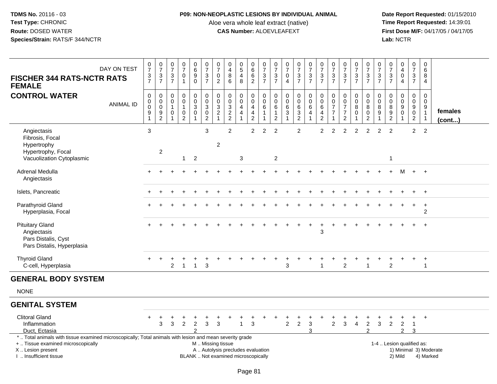## **P09: NON-NEOPLASTIC LESIONS BY INDIVIDUAL ANIMAL**

Aloe vera whole leaf extract (native)<br>**CAS Number:** ALOEVLEAFEXT

 **Date Report Requested:** 01/15/2010 **First Dose M/F:** 04/17/05 / 04/17/05<br>Lab: NCTR **Lab:** NCTR

| DAY ON TEST<br><b>FISCHER 344 RATS-NCTR RATS</b><br><b>FEMALE</b>                                                                                                                             | $\frac{0}{7}$<br>$\frac{3}{7}$                     | $\frac{0}{7}$<br>$\frac{3}{7}$                         | 0<br>$\overline{7}$<br>$\sqrt{3}$<br>$\overline{7}$ | $\frac{0}{7}$<br>$\pmb{0}$<br>$\overline{1}$                                             | 0<br>$6\phantom{a}$<br>$\boldsymbol{9}$<br>0 | $\pmb{0}$<br>$\overline{7}$<br>$\frac{3}{7}$                                | $\begin{array}{c} 0 \\ 7 \end{array}$<br>$\mathbf 0$<br>$\overline{c}$ | 0<br>$\overline{4}$<br>$\bf8$<br>6                                       | $\begin{array}{c} 0 \\ 5 \end{array}$<br>$\overline{\mathbf{4}}$<br>8 | 0<br>$6\overline{6}$<br>6<br>$\overline{2}$                                             | $\frac{0}{7}$<br>$\frac{3}{7}$                  | $\frac{0}{7}$<br>$\sqrt{3}$<br>$\overline{7}$                     | $\frac{0}{7}$<br>$\pmb{0}$<br>$\overline{4}$                          | $\frac{0}{7}$<br>$\mathbf{3}$<br>$\overline{7}$                   | $\frac{0}{7}$<br>$\frac{3}{7}$                     | $\frac{0}{7}$<br>$\frac{3}{7}$                                 | 0<br>$\overline{7}$<br>$\ensuremath{\mathsf{3}}$<br>$\overline{7}$ | $\frac{0}{7}$<br>$\frac{3}{7}$                                              | $\frac{0}{7}$<br>$\frac{3}{7}$               | 0<br>$\overline{7}$<br>$\frac{3}{7}$                                       | 0<br>$\overline{7}$<br>3<br>$\overline{7}$ | 0<br>$\overline{7}$<br>$\frac{3}{7}$                        | $_4^{\rm 0}$<br>$\pmb{0}$<br>$\overline{4}$                    | 0<br>$\overline{7}$<br>$\frac{3}{7}$                           | 0<br>6<br>8<br>4                                                                      |                   |
|-----------------------------------------------------------------------------------------------------------------------------------------------------------------------------------------------|----------------------------------------------------|--------------------------------------------------------|-----------------------------------------------------|------------------------------------------------------------------------------------------|----------------------------------------------|-----------------------------------------------------------------------------|------------------------------------------------------------------------|--------------------------------------------------------------------------|-----------------------------------------------------------------------|-----------------------------------------------------------------------------------------|-------------------------------------------------|-------------------------------------------------------------------|-----------------------------------------------------------------------|-------------------------------------------------------------------|----------------------------------------------------|----------------------------------------------------------------|--------------------------------------------------------------------|-----------------------------------------------------------------------------|----------------------------------------------|----------------------------------------------------------------------------|--------------------------------------------|-------------------------------------------------------------|----------------------------------------------------------------|----------------------------------------------------------------|---------------------------------------------------------------------------------------|-------------------|
| <b>CONTROL WATER</b><br><b>ANIMAL ID</b>                                                                                                                                                      | $\mathbf 0$<br>$\pmb{0}$<br>$\mathbf 0$<br>9<br>-1 | 0<br>$\mathbf 0$<br>$\mathsf 0$<br>9<br>$\overline{2}$ | 0<br>0<br>0                                         | $\mathbf 0$<br>$\ddot{\mathbf{0}}$<br>$\mathbf{1}$<br>$\boldsymbol{0}$<br>$\overline{2}$ | 0<br>$\mathbf 0$<br>3<br>$\mathbf 0$         | $\pmb{0}$<br>$\overline{0}$<br>$\sqrt{3}$<br>$\boldsymbol{0}$<br>$\sqrt{2}$ | 0<br>$\mathbf 0$<br>$\mathbf{3}$<br>$\boldsymbol{2}$                   | 0<br>$\begin{array}{c} 0 \\ 3 \\ 2 \\ 2 \end{array}$                     | 0<br>$\ddot{\mathbf{0}}$<br>$\overline{4}$<br>$\overline{4}$          | 0<br>$\ddot{\mathbf{0}}$<br>$\overline{4}$<br>$\overline{\mathbf{4}}$<br>$\overline{c}$ | $\mathbf 0$<br>$\mathbf 0$<br>6<br>$\mathbf{1}$ | $\mathbf 0$<br>$\mathbf 0$<br>6<br>$\mathbf{1}$<br>$\overline{2}$ | $\mathbf 0$<br>$\mathbf 0$<br>$\,6\,$<br>$\sqrt{3}$<br>$\overline{1}$ | 0<br>$\ddot{\mathbf{0}}$<br>6<br>$\overline{3}$<br>$\overline{2}$ | $_{\rm 0}^{\rm 0}$<br>$\,6$<br>4<br>$\overline{1}$ | $\pmb{0}$<br>$\ddot{\mathbf{0}}$<br>6<br>4<br>$\boldsymbol{2}$ | $\mathbf 0$<br>0<br>$\overline{7}$<br>$\overline{7}$               | $\mathbf 0$<br>$\ddot{\mathbf{0}}$<br>$\overline{7}$<br>$\overline{7}$<br>2 | 0<br>$\ddot{\mathbf{0}}$<br>8<br>$\mathbf 0$ | $\mathbf 0$<br>$\overline{0}$<br>8<br>$\boldsymbol{0}$<br>$\boldsymbol{2}$ | 0<br>$\mathbf 0$<br>8<br>9                 | $\mathbf 0$<br>$\boldsymbol{0}$<br>$^8_9$<br>$\overline{2}$ | 0<br>$\overline{0}$<br>9<br>$\bar{0}$                          | 0<br>$\overline{0}$<br>9<br>$\overline{0}$<br>$\boldsymbol{2}$ | $\mathbf 0$<br>$\mathbf 0$<br>$\begin{array}{c} 9 \\ 1 \end{array}$<br>$\overline{1}$ | females<br>(cont) |
| Angiectasis<br>Fibrosis, Focal<br>Hypertrophy<br>Hypertrophy, Focal<br>Vacuolization Cytoplasmic                                                                                              | 3                                                  | $\overline{2}$                                         |                                                     | $\mathbf{1}$                                                                             | $\overline{2}$                               | 3                                                                           | $\overline{c}$                                                         | $\overline{c}$                                                           | $\mathbf{3}$                                                          | $\overline{2}$                                                                          | 2                                               | $\overline{c}$<br>$\overline{c}$                                  |                                                                       | $\overline{2}$                                                    |                                                    | $\overline{c}$                                                 | $\overline{c}$                                                     | $\overline{2}$                                                              | $\overline{c}$                               | $\overline{2}$                                                             | $\overline{2}$                             | $\overline{2}$<br>-1                                        |                                                                | $\overline{2}$                                                 | $\overline{2}$                                                                        |                   |
| Adrenal Medulla<br>Angiectasis                                                                                                                                                                |                                                    |                                                        |                                                     |                                                                                          |                                              |                                                                             |                                                                        |                                                                          |                                                                       |                                                                                         |                                                 |                                                                   |                                                                       |                                                                   |                                                    |                                                                |                                                                    |                                                                             |                                              |                                                                            |                                            |                                                             | м                                                              | $+$                                                            | $+$                                                                                   |                   |
| Islets, Pancreatic                                                                                                                                                                            |                                                    |                                                        |                                                     |                                                                                          |                                              |                                                                             |                                                                        |                                                                          |                                                                       |                                                                                         |                                                 |                                                                   |                                                                       |                                                                   |                                                    |                                                                |                                                                    |                                                                             |                                              |                                                                            |                                            |                                                             |                                                                |                                                                | $\overline{+}$                                                                        |                   |
| Parathyroid Gland<br>Hyperplasia, Focal                                                                                                                                                       |                                                    |                                                        |                                                     |                                                                                          |                                              |                                                                             |                                                                        |                                                                          |                                                                       |                                                                                         |                                                 |                                                                   |                                                                       |                                                                   |                                                    |                                                                |                                                                    |                                                                             |                                              |                                                                            |                                            |                                                             |                                                                | $\ddot{}$                                                      | $\ddot{}$<br>$\overline{c}$                                                           |                   |
| <b>Pituitary Gland</b><br>Angiectasis<br>Pars Distalis, Cyst<br>Pars Distalis, Hyperplasia                                                                                                    |                                                    |                                                        |                                                     |                                                                                          |                                              |                                                                             |                                                                        |                                                                          |                                                                       |                                                                                         |                                                 |                                                                   |                                                                       |                                                                   |                                                    | $\ddot{}$<br>3                                                 |                                                                    |                                                                             |                                              |                                                                            |                                            |                                                             |                                                                |                                                                |                                                                                       |                   |
| <b>Thyroid Gland</b><br>C-cell, Hyperplasia                                                                                                                                                   |                                                    |                                                        | 2                                                   | $\overline{1}$                                                                           | $\overline{1}$                               | $\mathbf{3}$                                                                |                                                                        |                                                                          |                                                                       |                                                                                         |                                                 |                                                                   | 3                                                                     |                                                                   |                                                    | $\mathbf{1}$                                                   |                                                                    | $\overline{2}$                                                              |                                              | 1                                                                          |                                            | 2                                                           |                                                                |                                                                | $\overline{1}$<br>$\overline{1}$                                                      |                   |
| <b>GENERAL BODY SYSTEM</b>                                                                                                                                                                    |                                                    |                                                        |                                                     |                                                                                          |                                              |                                                                             |                                                                        |                                                                          |                                                                       |                                                                                         |                                                 |                                                                   |                                                                       |                                                                   |                                                    |                                                                |                                                                    |                                                                             |                                              |                                                                            |                                            |                                                             |                                                                |                                                                |                                                                                       |                   |
| <b>NONE</b>                                                                                                                                                                                   |                                                    |                                                        |                                                     |                                                                                          |                                              |                                                                             |                                                                        |                                                                          |                                                                       |                                                                                         |                                                 |                                                                   |                                                                       |                                                                   |                                                    |                                                                |                                                                    |                                                                             |                                              |                                                                            |                                            |                                                             |                                                                |                                                                |                                                                                       |                   |
| <b>GENITAL SYSTEM</b>                                                                                                                                                                         |                                                    |                                                        |                                                     |                                                                                          |                                              |                                                                             |                                                                        |                                                                          |                                                                       |                                                                                         |                                                 |                                                                   |                                                                       |                                                                   |                                                    |                                                                |                                                                    |                                                                             |                                              |                                                                            |                                            |                                                             |                                                                |                                                                |                                                                                       |                   |
| <b>Clitoral Gland</b><br>Inflammation<br>Duct, Ectasia                                                                                                                                        |                                                    | 3                                                      | 3                                                   | 2                                                                                        | $\overline{2}$                               | 3                                                                           | 3                                                                      |                                                                          | 1                                                                     | 3                                                                                       |                                                 |                                                                   | $\overline{2}$                                                        | $\overline{2}$                                                    | 3<br>3                                             |                                                                | $\overline{2}$                                                     | 3                                                                           | $\overline{4}$                               | $\overline{2}$                                                             | 3                                          | 2                                                           | $\overline{2}$<br>$\mathcal{D}$                                | +<br>$\overline{1}$<br>З                                       | $+$                                                                                   |                   |
| *  Total animals with tissue examined microscopically; Total animals with lesion and mean severity grade<br>+  Tissue examined microscopically<br>X  Lesion present<br>I  Insufficient tissue |                                                    |                                                        |                                                     |                                                                                          |                                              | M  Missing tissue                                                           |                                                                        | A  Autolysis precludes evaluation<br>BLANK  Not examined microscopically |                                                                       |                                                                                         |                                                 |                                                                   |                                                                       |                                                                   |                                                    |                                                                |                                                                    |                                                                             |                                              |                                                                            |                                            |                                                             | 1-4  Lesion qualified as:<br>1) Minimal 3) Moderate<br>2) Mild |                                                                | 4) Marked                                                                             |                   |

I .. Insufficient tissue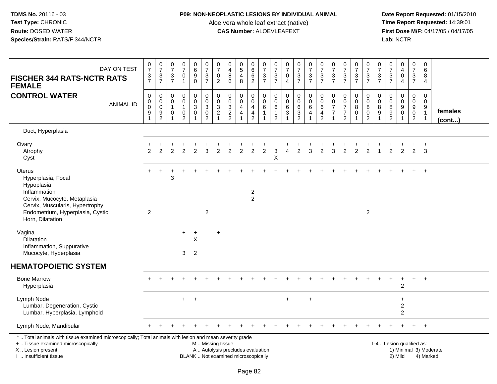## **P09: NON-NEOPLASTIC LESIONS BY INDIVIDUAL ANIMAL**

Aloe vera whole leaf extract (native)<br>**CAS Number:** ALOEVLEAFEXT

| DAY ON TEST<br><b>FISCHER 344 RATS-NCTR RATS</b><br><b>FEMALE</b>                                                                                                                             | $\frac{0}{7}$<br>$\frac{3}{7}$                          | $\frac{0}{7}$<br>$\frac{3}{7}$                                         | $\frac{0}{7}$<br>$\ensuremath{\mathsf{3}}$<br>$\overline{7}$ | $\begin{array}{c} 0 \\ 7 \end{array}$<br>$\pmb{0}$<br>$\overline{1}$                | $\begin{array}{c} 0 \\ 6 \end{array}$<br>$\boldsymbol{9}$<br>$\mathbf 0$ | $\begin{array}{c} 0 \\ 7 \end{array}$<br>$\frac{3}{7}$          | $\frac{0}{7}$<br>$\mathbf 0$<br>$\overline{2}$   | 0<br>$\overline{4}$<br>8<br>6                                | $\begin{array}{c} 0 \\ 5 \end{array}$<br>$\overline{4}$<br>8             | $_{6}^{\rm 0}$<br>$\,6\,$<br>$\overline{2}$                                            | $\frac{0}{7}$<br>$\frac{3}{7}$                                                  | $\frac{0}{7}$<br>$\mathbf{3}$<br>$\overline{7}$         | $\begin{array}{c} 0 \\ 7 \end{array}$<br>$\pmb{0}$<br>$\overline{4}$    | $\frac{0}{7}$<br>$\frac{3}{7}$                                        | $\begin{array}{c} 0 \\ 7 \end{array}$<br>$\frac{3}{7}$                         | $\frac{0}{7}$<br>$\frac{3}{7}$                                                  | $\begin{array}{c} 0 \\ 7 \end{array}$<br>$\ensuremath{\mathsf{3}}$<br>$\overline{7}$ | $\frac{0}{7}$<br>$\frac{3}{7}$                                                           | $\frac{0}{7}$<br>$\frac{3}{7}$                        | $\begin{array}{c} 0 \\ 7 \end{array}$<br>$\frac{3}{7}$                 | $\frac{0}{7}$<br>$\frac{3}{7}$ | $\frac{0}{7}$<br>$\frac{3}{7}$                                                 | $_4^{\rm 0}$<br>$\pmb{0}$<br>$\overline{4}$   | $\begin{array}{c} 0 \\ 7 \end{array}$<br>$\ensuremath{\mathsf{3}}$<br>$\overline{7}$ | $\pmb{0}$<br>$\,6\,$<br>8<br>$\overline{4}$                                           |                        |
|-----------------------------------------------------------------------------------------------------------------------------------------------------------------------------------------------|---------------------------------------------------------|------------------------------------------------------------------------|--------------------------------------------------------------|-------------------------------------------------------------------------------------|--------------------------------------------------------------------------|-----------------------------------------------------------------|--------------------------------------------------|--------------------------------------------------------------|--------------------------------------------------------------------------|----------------------------------------------------------------------------------------|---------------------------------------------------------------------------------|---------------------------------------------------------|-------------------------------------------------------------------------|-----------------------------------------------------------------------|--------------------------------------------------------------------------------|---------------------------------------------------------------------------------|--------------------------------------------------------------------------------------|------------------------------------------------------------------------------------------|-------------------------------------------------------|------------------------------------------------------------------------|--------------------------------|--------------------------------------------------------------------------------|-----------------------------------------------|--------------------------------------------------------------------------------------|---------------------------------------------------------------------------------------|------------------------|
| <b>CONTROL WATER</b><br><b>ANIMAL ID</b>                                                                                                                                                      | $\pmb{0}$<br>$_{\rm 0}^{\rm 0}$<br>$\overline{9}$<br>-1 | $\pmb{0}$<br>$\mathbf 0$<br>$\mathsf{O}\xspace$<br>9<br>$\overline{2}$ | 0<br>$\mathbf 0$<br>-1<br>0                                  | $\mathbf 0$<br>$\ddot{\mathbf{0}}$<br>$\mathbf{1}$<br>$\mathbf 0$<br>$\overline{2}$ | 0<br>$\mathsf{O}\xspace$<br>3<br>$\mathbf 0$<br>$\overline{ }$           | $\pmb{0}$<br>$\overline{0}$<br>$\overline{3}$<br>$\overline{2}$ | 0<br>$\pmb{0}$<br>$\mathbf{3}$<br>$\overline{c}$ | $\pmb{0}$<br>$\begin{array}{c} 0 \\ 3 \\ 2 \\ 2 \end{array}$ | $\mathbf 0$<br>$\bar{0}$<br>$\overline{4}$<br>$\overline{4}$             | $\pmb{0}$<br>$\ddot{\mathbf{0}}$<br>$\overline{4}$<br>$\overline{4}$<br>$\overline{2}$ | $\mathsf{O}\xspace$<br>$\mathbf 0$<br>$\,6\,$<br>$\mathbf{1}$<br>$\overline{1}$ | 0<br>$\mathbf 0$<br>6<br>$\mathbf{1}$<br>$\overline{c}$ | $\pmb{0}$<br>$\mathbf 0$<br>$\,6\,$<br>$\overline{3}$<br>$\overline{1}$ | $\pmb{0}$<br>$\pmb{0}$<br>$\,6\,$<br>$\overline{3}$<br>$\overline{c}$ | $\begin{array}{c} 0 \\ 0 \\ 6 \end{array}$<br>$\overline{4}$<br>$\overline{1}$ | $\pmb{0}$<br>$\ddot{\mathbf{0}}$<br>$\,6\,$<br>$\overline{4}$<br>$\overline{2}$ | 0<br>0<br>$\overline{7}$<br>$\overline{7}$                                           | $\mathbf 0$<br>$\ddot{\mathbf{0}}$<br>$\overline{7}$<br>$\overline{7}$<br>$\overline{2}$ | $\mathbf 0$<br>$\pmb{0}$<br>$\bf 8$<br>$\overline{0}$ | $\mathbf 0$<br>$\overline{0}$<br>8<br>$\overline{0}$<br>$\overline{2}$ | 0<br>$\mathbf 0$<br>8<br>9     | $\mathsf{O}\xspace$<br>$\pmb{0}$<br>$\begin{array}{c} 8 \\ 9 \\ 2 \end{array}$ | $\mathsf{O}$<br>$\overline{0}$<br>$_{0}^{9}$  | $\pmb{0}$<br>$\overline{0}$<br>$_{0}^{9}$<br>$\overline{2}$                          | $\mathbf 0$<br>$\mathbf 0$<br>$\begin{array}{c} 9 \\ 1 \end{array}$<br>$\overline{1}$ | females<br>(cont)      |
| Duct, Hyperplasia                                                                                                                                                                             |                                                         |                                                                        |                                                              |                                                                                     |                                                                          |                                                                 |                                                  |                                                              |                                                                          |                                                                                        |                                                                                 |                                                         |                                                                         |                                                                       |                                                                                |                                                                                 |                                                                                      |                                                                                          |                                                       |                                                                        |                                |                                                                                |                                               |                                                                                      |                                                                                       |                        |
| Ovary<br>Atrophy<br>Cyst                                                                                                                                                                      | 2                                                       | 2                                                                      | 2                                                            | $\overline{2}$                                                                      | $\overline{2}$                                                           | 3                                                               | 2                                                | 2                                                            | 2                                                                        | $\overline{2}$                                                                         | 2                                                                               | 3<br>X                                                  | 4                                                                       | $\overline{2}$                                                        | 3                                                                              | $\overline{2}$                                                                  | 3                                                                                    | $\overline{2}$                                                                           | $\overline{2}$                                        | 2                                                                      |                                | 2                                                                              | $\overline{2}$                                | $\overline{2}$                                                                       | $\ddot{}$<br>3                                                                        |                        |
| <b>Uterus</b><br>Hyperplasia, Focal<br>Hypoplasia<br>Inflammation<br>Cervix, Mucocyte, Metaplasia<br>Cervix, Muscularis, Hypertrophy<br>Endometrium, Hyperplasia, Cystic<br>Horn, Dilatation  | 2                                                       |                                                                        | 3                                                            |                                                                                     |                                                                          | 2                                                               |                                                  |                                                              |                                                                          | $\overline{c}$<br>$\overline{2}$                                                       |                                                                                 |                                                         |                                                                         |                                                                       |                                                                                |                                                                                 |                                                                                      |                                                                                          |                                                       | 2                                                                      |                                |                                                                                |                                               |                                                                                      | $\overline{+}$                                                                        |                        |
| Vagina<br>Dilatation<br>Inflammation, Suppurative<br>Mucocyte, Hyperplasia                                                                                                                    |                                                         |                                                                        |                                                              | $+$<br>3                                                                            | $\ddot{}$<br>$\times$<br>2                                               |                                                                 | $\ddot{}$                                        |                                                              |                                                                          |                                                                                        |                                                                                 |                                                         |                                                                         |                                                                       |                                                                                |                                                                                 |                                                                                      |                                                                                          |                                                       |                                                                        |                                |                                                                                |                                               |                                                                                      |                                                                                       |                        |
| <b>HEMATOPOIETIC SYSTEM</b>                                                                                                                                                                   |                                                         |                                                                        |                                                              |                                                                                     |                                                                          |                                                                 |                                                  |                                                              |                                                                          |                                                                                        |                                                                                 |                                                         |                                                                         |                                                                       |                                                                                |                                                                                 |                                                                                      |                                                                                          |                                                       |                                                                        |                                |                                                                                |                                               |                                                                                      |                                                                                       |                        |
| <b>Bone Marrow</b><br>Hyperplasia                                                                                                                                                             |                                                         |                                                                        |                                                              |                                                                                     |                                                                          |                                                                 |                                                  |                                                              |                                                                          |                                                                                        |                                                                                 |                                                         |                                                                         |                                                                       |                                                                                |                                                                                 |                                                                                      |                                                                                          |                                                       |                                                                        |                                |                                                                                | $\overline{1}$<br>$\overline{2}$              | $+$                                                                                  | $+$                                                                                   |                        |
| Lymph Node<br>Lumbar, Degeneration, Cystic<br>Lumbar, Hyperplasia, Lymphoid                                                                                                                   |                                                         |                                                                        |                                                              | $+$                                                                                 | $+$                                                                      |                                                                 |                                                  |                                                              |                                                                          |                                                                                        |                                                                                 |                                                         | $\ddot{}$                                                               |                                                                       | $\ddot{}$                                                                      |                                                                                 |                                                                                      |                                                                                          |                                                       |                                                                        |                                |                                                                                | $\ddot{}$<br>$\overline{c}$<br>$\overline{2}$ |                                                                                      |                                                                                       |                        |
| Lymph Node, Mandibular                                                                                                                                                                        |                                                         |                                                                        |                                                              |                                                                                     |                                                                          |                                                                 |                                                  |                                                              |                                                                          |                                                                                        |                                                                                 |                                                         |                                                                         |                                                                       |                                                                                |                                                                                 |                                                                                      |                                                                                          |                                                       |                                                                        |                                |                                                                                |                                               | $\pm$                                                                                | $+$                                                                                   |                        |
| *  Total animals with tissue examined microscopically; Total animals with lesion and mean severity grade<br>+  Tissue examined microscopically<br>X  Lesion present<br>I  Insufficient tissue |                                                         |                                                                        |                                                              |                                                                                     |                                                                          | M  Missing tissue                                               |                                                  |                                                              | A  Autolysis precludes evaluation<br>BLANK  Not examined microscopically |                                                                                        |                                                                                 |                                                         |                                                                         |                                                                       |                                                                                |                                                                                 |                                                                                      |                                                                                          |                                                       |                                                                        |                                |                                                                                | 1-4  Lesion qualified as:<br>2) Mild          |                                                                                      | 4) Marked                                                                             | 1) Minimal 3) Moderate |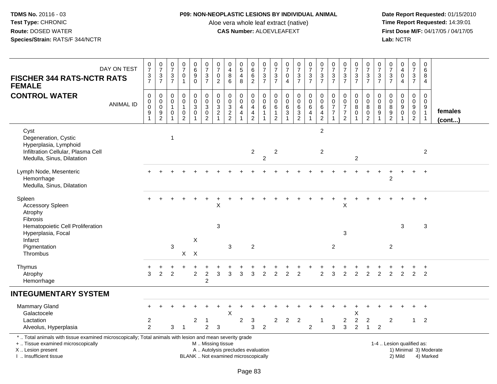## **P09: NON-NEOPLASTIC LESIONS BY INDIVIDUAL ANIMAL**

Aloe vera whole leaf extract (native)<br>**CAS Number:** ALOEVLEAFEXT

| <b>FISCHER 344 RATS-NCTR RATS</b><br><b>FEMALE</b>                                                                                                                                                                    | DAY ON TEST      | $\frac{0}{7}$<br>$\frac{3}{7}$                                              | $\frac{0}{7}$<br>$\frac{3}{7}$                            | $\begin{array}{c} 0 \\ 7 \end{array}$<br>$\frac{3}{7}$            | $\frac{0}{7}$<br>$\pmb{0}$<br>$\overline{1}$                                | $\begin{array}{c} 0 \\ 6 \end{array}$<br>$\overline{9}$<br>$\pmb{0}$        | $\frac{0}{7}$<br>$\frac{3}{7}$                                              | $\frac{0}{7}$<br>0<br>$\overline{2}$                               | $\pmb{0}$<br>$\overline{4}$<br>$\bf8$<br>$6\phantom{1}$                  | $\begin{array}{c} 0 \\ 5 \end{array}$<br>$\overline{4}$<br>8 | $\begin{array}{c} 0 \\ 6 \end{array}$<br>$\frac{6}{2}$                           | $\begin{array}{c} 0 \\ 7 \end{array}$<br>$\frac{3}{7}$                    | $\begin{array}{c} 0 \\ 7 \end{array}$<br>$\sqrt{3}$<br>$\overline{7}$ | $\frac{0}{7}$<br>$\pmb{0}$<br>$\overline{4}$  | $\begin{matrix}0\\7\end{matrix}$<br>$\frac{3}{7}$ | $\frac{0}{7}$<br>$\frac{3}{7}$                                                         | $\begin{array}{c} 0 \\ 7 \end{array}$<br>$\frac{3}{7}$      | $\frac{0}{7}$<br>$\frac{3}{7}$                                                   | $\begin{array}{c} 0 \\ 7 \end{array}$<br>$\frac{3}{7}$                             | $\frac{0}{7}$<br>$\frac{3}{7}$                  | $\frac{0}{7}$<br>$\frac{3}{7}$                               | $\frac{0}{7}$<br>$\frac{3}{7}$ | $\frac{0}{7}$<br>$\ensuremath{\mathsf{3}}$<br>$\overline{7}$ | $\begin{smallmatrix}0\\4\end{smallmatrix}$<br>$\mathbf 0$<br>$\overline{4}$ | $\pmb{0}$<br>$\overline{7}$<br>$\frac{3}{7}$                                            | $\mathbf 0$<br>6<br>8<br>4                                          |                         |
|-----------------------------------------------------------------------------------------------------------------------------------------------------------------------------------------------------------------------|------------------|-----------------------------------------------------------------------------|-----------------------------------------------------------|-------------------------------------------------------------------|-----------------------------------------------------------------------------|-----------------------------------------------------------------------------|-----------------------------------------------------------------------------|--------------------------------------------------------------------|--------------------------------------------------------------------------|--------------------------------------------------------------|----------------------------------------------------------------------------------|---------------------------------------------------------------------------|-----------------------------------------------------------------------|-----------------------------------------------|---------------------------------------------------|----------------------------------------------------------------------------------------|-------------------------------------------------------------|----------------------------------------------------------------------------------|------------------------------------------------------------------------------------|-------------------------------------------------|--------------------------------------------------------------|--------------------------------|--------------------------------------------------------------|-----------------------------------------------------------------------------|-----------------------------------------------------------------------------------------|---------------------------------------------------------------------|-------------------------|
| <b>CONTROL WATER</b>                                                                                                                                                                                                  | <b>ANIMAL ID</b> | $\mathbf 0$<br>$\pmb{0}$<br>$\pmb{0}$<br>$\boldsymbol{9}$<br>$\overline{1}$ | $\mathbf 0$<br>$\,0\,$<br>$\overline{0}$<br>$\frac{9}{2}$ | $\mathbf 0$<br>$\mathbf 0$<br>$\overline{1}$<br>$\mathbf 0$<br>-1 | $\mathbf 0$<br>$\mathbf 0$<br>$\mathbf{1}$<br>$\mathbf 0$<br>$\overline{2}$ | $\mathbf 0$<br>$\mathbf 0$<br>$\overline{3}$<br>$\mathbf 0$<br>$\mathbf{1}$ | $\pmb{0}$<br>$\mathbf 0$<br>$\overline{3}$<br>$\mathsf 0$<br>$\overline{2}$ | 0<br>$\pmb{0}$<br>$\overline{3}$<br>$\overline{c}$<br>$\mathbf{1}$ | $\mathbf 0$<br>$\mathbf 0$<br>$\overline{3}$<br>$\frac{2}{2}$            | $\mathbf 0$<br>$\pmb{0}$<br>$\overline{4}$<br>$\overline{4}$ | $\mathbf 0$<br>$\mathbf 0$<br>$\overline{4}$<br>$\overline{4}$<br>$\overline{2}$ | $\mathbf 0$<br>$\mathbf 0$<br>$\,6\,$<br>$\overline{1}$<br>$\overline{1}$ | $\mathbf 0$<br>0<br>$\,6\,$<br>$\mathbf{1}$<br>$\overline{2}$         | $\pmb{0}$<br>$\mathbf 0$<br>$\,6\,$<br>3<br>1 | 0<br>0<br>$6\phantom{a}$<br>$\frac{3}{2}$         | $\mathsf 0$<br>$\mathsf{O}\xspace$<br>$6\phantom{a}$<br>$\overline{4}$<br>$\mathbf{1}$ | $\mathbf 0$<br>$\pmb{0}$<br>$6\phantom{a}$<br>$\frac{4}{2}$ | $\mathbf 0$<br>$\mathbf 0$<br>$\overline{7}$<br>$\overline{7}$<br>$\overline{1}$ | $\mathbf 0$<br>$\mathbf 0$<br>$\boldsymbol{7}$<br>$\overline{7}$<br>$\overline{2}$ | 0<br>0<br>$\bf8$<br>$\mathbf 0$<br>$\mathbf{1}$ | $\mathbf 0$<br>$\mathbf 0$<br>$\bf 8$<br>0<br>$\overline{c}$ | 0<br>0<br>8<br>$9\,$           | $\mathbf 0$<br>$\mathbf 0$<br>$\bf 8$<br>$\frac{9}{2}$       | $\mathbf 0$<br>$\pmb{0}$<br>$\overline{9}$<br>$\pmb{0}$                     | $\mathbf 0$<br>$\mathsf{O}\xspace$<br>$\boldsymbol{9}$<br>$\mathbf 0$<br>$\overline{2}$ | $\mathbf 0$<br>$\mathbf 0$<br>9<br>$\overline{1}$<br>$\overline{1}$ | females<br>$($ cont $)$ |
| Cyst<br>Degeneration, Cystic<br>Hyperplasia, Lymphoid<br>Infiltration Cellular, Plasma Cell<br>Medulla, Sinus, Dilatation                                                                                             |                  |                                                                             |                                                           | $\overline{1}$                                                    |                                                                             |                                                                             |                                                                             |                                                                    |                                                                          |                                                              | $\mathbf{2}$                                                                     | $\overline{2}$                                                            | $\overline{c}$                                                        |                                               |                                                   |                                                                                        | $\overline{2}$<br>$\overline{2}$                            |                                                                                  |                                                                                    | $\overline{c}$                                  |                                                              |                                |                                                              |                                                                             |                                                                                         | $\overline{2}$                                                      |                         |
| Lymph Node, Mesenteric<br>Hemorrhage<br>Medulla, Sinus, Dilatation                                                                                                                                                    |                  |                                                                             |                                                           |                                                                   |                                                                             |                                                                             |                                                                             |                                                                    |                                                                          |                                                              |                                                                                  |                                                                           |                                                                       |                                               |                                                   |                                                                                        |                                                             |                                                                                  |                                                                                    |                                                 |                                                              |                                | 2                                                            |                                                                             |                                                                                         | $\ddot{}$                                                           |                         |
| Spleen<br><b>Accessory Spleen</b><br>Atrophy<br><b>Fibrosis</b>                                                                                                                                                       |                  |                                                                             |                                                           |                                                                   |                                                                             |                                                                             |                                                                             | $\sf X$                                                            |                                                                          |                                                              |                                                                                  |                                                                           |                                                                       |                                               |                                                   |                                                                                        |                                                             |                                                                                  | $\boldsymbol{\mathsf{X}}$                                                          |                                                 |                                                              |                                |                                                              |                                                                             |                                                                                         | $\ddot{}$                                                           |                         |
| Hematopoietic Cell Proliferation<br>Hyperplasia, Focal<br>Infarct<br>Pigmentation<br>Thrombus                                                                                                                         |                  |                                                                             |                                                           | $\mathbf{3}$                                                      | X                                                                           | X<br>$\boldsymbol{\mathsf{X}}$                                              |                                                                             | 3                                                                  | 3                                                                        |                                                              | $\overline{2}$                                                                   |                                                                           |                                                                       |                                               |                                                   |                                                                                        |                                                             | $\overline{2}$                                                                   | $\mathbf 3$                                                                        |                                                 |                                                              |                                | $\overline{2}$                                               | $\sqrt{3}$                                                                  |                                                                                         | $\sqrt{3}$                                                          |                         |
| Thymus<br>Atrophy<br>Hemorrhage                                                                                                                                                                                       |                  | 3                                                                           | 2                                                         | 2                                                                 |                                                                             | $\overline{c}$                                                              | $\overline{c}$<br>2                                                         | 3                                                                  | 3                                                                        | 3                                                            | 3                                                                                | $\overline{c}$                                                            | $\overline{2}$                                                        | $\mathfrak{p}$                                | $\overline{2}$                                    |                                                                                        | $\overline{2}$                                              | 3                                                                                | 2                                                                                  | $\overline{2}$                                  | $\overline{2}$                                               | $\overline{2}$                 | $\overline{2}$                                               | $\overline{2}$                                                              | $\overline{2}$                                                                          | $\overline{2}$                                                      |                         |
| <b>INTEGUMENTARY SYSTEM</b>                                                                                                                                                                                           |                  |                                                                             |                                                           |                                                                   |                                                                             |                                                                             |                                                                             |                                                                    |                                                                          |                                                              |                                                                                  |                                                                           |                                                                       |                                               |                                                   |                                                                                        |                                                             |                                                                                  |                                                                                    |                                                 |                                                              |                                |                                                              |                                                                             |                                                                                         |                                                                     |                         |
| <b>Mammary Gland</b><br>Galactocele<br>Lactation                                                                                                                                                                      |                  | $\overline{2}$                                                              |                                                           |                                                                   |                                                                             | 2                                                                           | -1                                                                          |                                                                    | X                                                                        | $\overline{2}$                                               | 3                                                                                |                                                                           | $\overline{2}$                                                        | $\overline{2}$                                | $\overline{2}$                                    |                                                                                        | -1                                                          |                                                                                  | 2                                                                                  | Χ<br>$\sqrt{2}$                                 | $\overline{c}$                                               |                                | $\overline{2}$                                               |                                                                             | $\mathbf{1}$                                                                            | $\overline{2}$                                                      |                         |
| Alveolus, Hyperplasia<br>*  Total animals with tissue examined microscopically; Total animals with lesion and mean severity grade<br>+  Tissue examined microscopically<br>X Lesion present<br>I. Insufficient tissue |                  | $\overline{2}$                                                              |                                                           | 3                                                                 | $\overline{1}$                                                              |                                                                             | $\overline{a}$<br>M  Missing tissue                                         | 3                                                                  | A  Autolysis precludes evaluation<br>BLANK  Not examined microscopically |                                                              | 3                                                                                | $\overline{2}$                                                            |                                                                       |                                               |                                                   | $\overline{2}$                                                                         |                                                             | 3                                                                                | $\mathbf{3}$                                                                       | $\overline{2}$                                  | $\mathbf{1}$                                                 | 2                              |                                                              | 1-4  Lesion qualified as:<br>2) Mild                                        |                                                                                         | 4) Marked                                                           | 1) Minimal 3) Moderate  |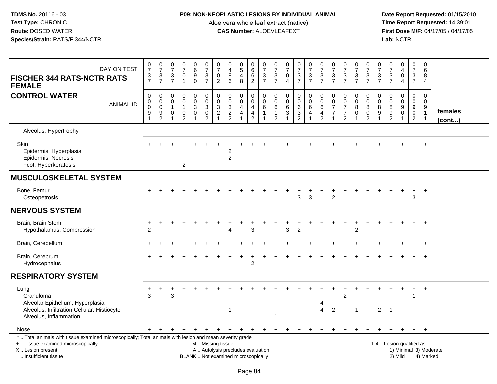# **P09: NON-NEOPLASTIC LESIONS BY INDIVIDUAL ANIMAL**

Aloe vera whole leaf extract (native)<br>**CAS Number:** ALOEVLEAFEXT

| DAY ON TEST<br><b>FISCHER 344 RATS-NCTR RATS</b><br><b>FEMALE</b>                                                                                                                             | $\frac{0}{7}$<br>$\frac{3}{7}$  | $\frac{0}{7}$<br>$\ensuremath{\mathsf{3}}$<br>$\overline{7}$ | 0<br>$\overline{7}$<br>$\sqrt{3}$<br>$\overline{7}$ | $\frac{0}{7}$<br>$\pmb{0}$<br>$\mathbf{1}$      | 0<br>6<br>9<br>$\mathbf 0$          | $\frac{0}{7}$<br>$\frac{3}{7}$                                                    | $\pmb{0}$<br>$\overline{7}$<br>0<br>$\overline{2}$               | $\mathbf 0$<br>4<br>8<br>6                                               | 0<br>5<br>4<br>8           | 0<br>$\,6$<br>$\,6\,$<br>$\overline{2}$                     | 0<br>$\overline{7}$<br>3<br>$\overline{7}$ | 0<br>$\overline{7}$<br>$\frac{3}{7}$                    | $\begin{array}{c} 0 \\ 7 \end{array}$<br>$\pmb{0}$<br>$\overline{4}$ | $\begin{smallmatrix}0\\7\end{smallmatrix}$<br>$\frac{3}{7}$ | $\frac{0}{7}$<br>$\frac{3}{7}$                                | $\pmb{0}$<br>$\overline{7}$<br>3<br>$\overline{7}$             | $\pmb{0}$<br>$\overline{7}$<br>$\frac{3}{7}$                                   | $\frac{0}{7}$<br>3<br>$\overline{7}$                                   | 0<br>$\overline{7}$<br>$\frac{3}{7}$         | $\pmb{0}$<br>$\overline{7}$<br>$\frac{3}{7}$    | 0<br>$\overline{7}$<br>$\mathbf{3}$<br>$\overline{7}$ | $\pmb{0}$<br>$\overline{7}$<br>$\frac{3}{7}$             | 0<br>$\overline{4}$<br>0<br>$\overline{4}$                            | $\pmb{0}$<br>$\overline{7}$<br>$\sqrt{3}$<br>$\overline{7}$  | 0<br>6<br>8<br>4                           |                        |
|-----------------------------------------------------------------------------------------------------------------------------------------------------------------------------------------------|---------------------------------|--------------------------------------------------------------|-----------------------------------------------------|-------------------------------------------------|-------------------------------------|-----------------------------------------------------------------------------------|------------------------------------------------------------------|--------------------------------------------------------------------------|----------------------------|-------------------------------------------------------------|--------------------------------------------|---------------------------------------------------------|----------------------------------------------------------------------|-------------------------------------------------------------|---------------------------------------------------------------|----------------------------------------------------------------|--------------------------------------------------------------------------------|------------------------------------------------------------------------|----------------------------------------------|-------------------------------------------------|-------------------------------------------------------|----------------------------------------------------------|-----------------------------------------------------------------------|--------------------------------------------------------------|--------------------------------------------|------------------------|
| <b>CONTROL WATER</b><br><b>ANIMAL ID</b>                                                                                                                                                      | $\mathbf 0$<br>0<br>0<br>9<br>1 | $\mathbf 0$<br>$\pmb{0}$<br>$\pmb{0}$<br>$\frac{9}{2}$       | $\mathbf 0$<br>$\mathbf 0$<br>$\overline{1}$<br>0   | 0<br>$\pmb{0}$<br>$\mathbf{1}$<br>$\frac{0}{2}$ | 0<br>$\mathbf 0$<br>$\sqrt{3}$<br>0 | $\pmb{0}$<br>$\pmb{0}$<br>$\overline{3}$<br>$\mathsf{O}\xspace$<br>$\overline{2}$ | 0<br>$\mathbf 0$<br>$\mathbf{3}$<br>$\sqrt{2}$<br>$\overline{A}$ | $\pmb{0}$<br>$\boldsymbol{0}$<br>$\sqrt{3}$<br>$\frac{2}{2}$             | 0<br>$\mathbf 0$<br>4<br>4 | 0<br>$\mathsf{O}\xspace$<br>$\overline{4}$<br>$\frac{4}{2}$ | $\mathbf 0$<br>0<br>6<br>$\mathbf{1}$      | 0<br>$\mathbf 0$<br>6<br>$\mathbf{1}$<br>$\overline{c}$ | $\mathbf 0$<br>$\mathsf 0$<br>$\,6\,$<br>$\sqrt{3}$                  | $\mathbf 0$<br>$\pmb{0}$<br>$\,6\,$<br>$\frac{3}{2}$        | 0<br>$\mathbf 0$<br>$\,6\,$<br>$\overline{4}$<br>$\mathbf{1}$ | $\mathbf 0$<br>$\mathbf 0$<br>$6\phantom{1}6$<br>$\frac{4}{2}$ | $\mathbf 0$<br>$\mathbf 0$<br>$\overline{7}$<br>$\overline{7}$<br>$\mathbf{1}$ | 0<br>$\mathbf 0$<br>$\overline{7}$<br>$\overline{7}$<br>$\overline{2}$ | 0<br>$\mathbf 0$<br>8<br>0<br>$\overline{1}$ | 0<br>$\pmb{0}$<br>$\bf 8$<br>$^{\rm 0}_{\rm 2}$ | $\mathbf 0$<br>$\mathbf 0$<br>8<br>9                  | $\mathbf 0$<br>$\mathsf{O}\xspace$<br>8<br>$\frac{9}{2}$ | 0<br>$\mathbf 0$<br>$\boldsymbol{9}$<br>$\mathbf 0$<br>$\overline{1}$ | $\mathbf 0$<br>$\mathbf 0$<br>9<br>$\mathbf 0$<br>$\sqrt{2}$ | 0<br>0<br>9<br>$\mathbf{1}$<br>$\mathbf 1$ | females<br>(cont)      |
| Alveolus, Hypertrophy                                                                                                                                                                         |                                 |                                                              |                                                     |                                                 |                                     |                                                                                   |                                                                  |                                                                          |                            |                                                             |                                            |                                                         |                                                                      |                                                             |                                                               |                                                                |                                                                                |                                                                        |                                              |                                                 |                                                       |                                                          |                                                                       |                                                              |                                            |                        |
| Skin<br>Epidermis, Hyperplasia<br>Epidermis, Necrosis<br>Foot, Hyperkeratosis                                                                                                                 |                                 |                                                              |                                                     | $\overline{2}$                                  |                                     |                                                                                   |                                                                  | $\overline{c}$                                                           |                            |                                                             |                                            |                                                         |                                                                      |                                                             |                                                               |                                                                |                                                                                |                                                                        |                                              |                                                 |                                                       |                                                          |                                                                       |                                                              |                                            |                        |
| <b>MUSCULOSKELETAL SYSTEM</b>                                                                                                                                                                 |                                 |                                                              |                                                     |                                                 |                                     |                                                                                   |                                                                  |                                                                          |                            |                                                             |                                            |                                                         |                                                                      |                                                             |                                                               |                                                                |                                                                                |                                                                        |                                              |                                                 |                                                       |                                                          |                                                                       |                                                              |                                            |                        |
| Bone, Femur<br>Osteopetrosis                                                                                                                                                                  |                                 |                                                              |                                                     |                                                 |                                     |                                                                                   |                                                                  |                                                                          |                            |                                                             |                                            |                                                         |                                                                      | 3                                                           | 3                                                             |                                                                | 2                                                                              |                                                                        |                                              |                                                 |                                                       |                                                          |                                                                       | 3                                                            | $\overline{+}$                             |                        |
| <b>NERVOUS SYSTEM</b>                                                                                                                                                                         |                                 |                                                              |                                                     |                                                 |                                     |                                                                                   |                                                                  |                                                                          |                            |                                                             |                                            |                                                         |                                                                      |                                                             |                                                               |                                                                |                                                                                |                                                                        |                                              |                                                 |                                                       |                                                          |                                                                       |                                                              |                                            |                        |
| Brain, Brain Stem<br>Hypothalamus, Compression                                                                                                                                                | $\overline{2}$                  |                                                              |                                                     |                                                 |                                     |                                                                                   |                                                                  | Δ                                                                        |                            | 3                                                           |                                            |                                                         | $\mathbf{3}$                                                         | $\overline{2}$                                              |                                                               |                                                                |                                                                                |                                                                        | $\overline{c}$                               |                                                 |                                                       |                                                          |                                                                       |                                                              |                                            |                        |
| Brain, Cerebellum                                                                                                                                                                             |                                 |                                                              |                                                     |                                                 |                                     |                                                                                   |                                                                  |                                                                          |                            |                                                             |                                            |                                                         |                                                                      |                                                             |                                                               |                                                                |                                                                                |                                                                        |                                              |                                                 |                                                       |                                                          |                                                                       |                                                              |                                            |                        |
| Brain, Cerebrum<br>Hydrocephalus                                                                                                                                                              |                                 |                                                              |                                                     |                                                 |                                     |                                                                                   |                                                                  |                                                                          |                            | $\overline{2}$                                              |                                            |                                                         |                                                                      |                                                             |                                                               |                                                                |                                                                                |                                                                        |                                              |                                                 |                                                       |                                                          |                                                                       |                                                              | $\overline{+}$                             |                        |
| <b>RESPIRATORY SYSTEM</b>                                                                                                                                                                     |                                 |                                                              |                                                     |                                                 |                                     |                                                                                   |                                                                  |                                                                          |                            |                                                             |                                            |                                                         |                                                                      |                                                             |                                                               |                                                                |                                                                                |                                                                        |                                              |                                                 |                                                       |                                                          |                                                                       |                                                              |                                            |                        |
| Lung<br>Granuloma<br>Alveolar Epithelium, Hyperplasia<br>Alveolus, Infiltration Cellular, Histiocyte<br>Alveolus, Inflammation                                                                | +<br>3                          | +                                                            | 3                                                   |                                                 |                                     |                                                                                   |                                                                  | 1                                                                        |                            |                                                             |                                            |                                                         |                                                                      |                                                             |                                                               | 4<br>$\overline{4}$                                            | $\overline{2}$                                                                 | $\ddot{}$<br>$\overline{2}$                                            | $\ddot{}$<br>$\mathbf{1}$                    |                                                 | 2                                                     | $\overline{1}$                                           | +                                                                     | $\ddot{}$<br>-1                                              | $^{+}$                                     |                        |
| Nose                                                                                                                                                                                          |                                 |                                                              |                                                     |                                                 | $\ddot{}$                           |                                                                                   | +                                                                | $\ddot{}$                                                                | $\ddot{}$                  |                                                             | $+$                                        | $^{+}$                                                  | $\ddot{}$                                                            | $\ddot{}$                                                   |                                                               |                                                                |                                                                                |                                                                        |                                              |                                                 |                                                       |                                                          | $+$                                                                   | $+$                                                          | $+$                                        |                        |
| *  Total animals with tissue examined microscopically; Total animals with lesion and mean severity grade<br>+  Tissue examined microscopically<br>X  Lesion present<br>I  Insufficient tissue |                                 |                                                              |                                                     |                                                 |                                     | M  Missing tissue                                                                 |                                                                  | A  Autolysis precludes evaluation<br>BLANK  Not examined microscopically |                            |                                                             |                                            |                                                         |                                                                      |                                                             |                                                               |                                                                |                                                                                |                                                                        |                                              |                                                 |                                                       | 1-4  Lesion qualified as:                                | 2) Mild                                                               |                                                              | 4) Marked                                  | 1) Minimal 3) Moderate |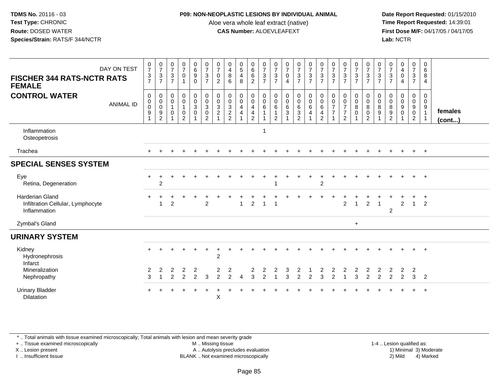## **P09: NON-NEOPLASTIC LESIONS BY INDIVIDUAL ANIMAL**

Aloe vera whole leaf extract (native)<br>**CAS Number:** ALOEVLEAFEXT

 **Date Report Requested:** 01/15/2010 **First Dose M/F:** 04/17/05 / 04/17/05<br>**Lab:** NCTR **Lab:** NCTR

| DAY ON TEST<br><b>FISCHER 344 RATS-NCTR RATS</b><br><b>FEMALE</b>    | 0<br>$\overline{7}$<br>$\mathbf{3}$<br>$\overline{7}$ | $\frac{0}{7}$<br>$\mathbf{3}$<br>$\overline{7}$ | 0<br>$\overline{7}$<br>$\mathbf{3}$<br>$\overline{7}$   | $\frac{0}{7}$<br>$\pmb{0}$                         | $\begin{array}{c} 0 \\ 6 \end{array}$<br>$\overline{9}$<br>$\mathbf 0$ | $\frac{0}{7}$<br>$\mathbf{3}$<br>$\overline{7}$                           | 0<br>$\overline{7}$<br>0<br>$\overline{2}$                                    | 0<br>$\overline{4}$<br>8<br>6                                           | $\begin{array}{c} 0 \\ 5 \end{array}$<br>4<br>8 | 0<br>$6\overline{6}$<br>$\overline{6}$<br>$\overline{2}$                      | $\frac{0}{7}$<br>$\mathbf{3}$<br>$\overline{7}$ | 0<br>$\overline{7}$<br>$\mathbf{3}$<br>$\overline{7}$              | $\frac{0}{7}$<br>$\pmb{0}$<br>4                      | $\frac{0}{7}$<br>$\ensuremath{\mathsf{3}}$<br>$\overline{7}$                 | $\frac{0}{7}$<br>$\mathbf{3}$<br>$\overline{7}$ | $\frac{0}{7}$<br>$\mathbf{3}$<br>$\overline{7}$ | $\frac{0}{7}$<br>$\sqrt{3}$<br>$\overline{7}$ | $\frac{0}{7}$<br>$\ensuremath{\mathsf{3}}$<br>$\overline{7}$      | $\begin{array}{c} 0 \\ 7 \end{array}$<br>$\ensuremath{\mathsf{3}}$<br>$\overline{7}$ | 0<br>$\overline{7}$<br>$\sqrt{3}$<br>$\overline{7}$                       | 0<br>$\overline{7}$<br>$\mathbf{3}$<br>$\overline{7}$ | $\frac{0}{7}$<br>3<br>$\overline{7}$                   | 0<br>4<br>$\boldsymbol{0}$<br>4 | 0<br>$\overline{7}$<br>3<br>$\overline{7}$                                    | 0<br>6<br>8<br>4                      |                         |
|----------------------------------------------------------------------|-------------------------------------------------------|-------------------------------------------------|---------------------------------------------------------|----------------------------------------------------|------------------------------------------------------------------------|---------------------------------------------------------------------------|-------------------------------------------------------------------------------|-------------------------------------------------------------------------|-------------------------------------------------|-------------------------------------------------------------------------------|-------------------------------------------------|--------------------------------------------------------------------|------------------------------------------------------|------------------------------------------------------------------------------|-------------------------------------------------|-------------------------------------------------|-----------------------------------------------|-------------------------------------------------------------------|--------------------------------------------------------------------------------------|---------------------------------------------------------------------------|-------------------------------------------------------|--------------------------------------------------------|---------------------------------|-------------------------------------------------------------------------------|---------------------------------------|-------------------------|
| <b>CONTROL WATER</b><br><b>ANIMAL ID</b>                             | $\mathbf 0$<br>$\mathbf 0$<br>$\mathbf 0$<br>9<br>1   | 0<br>$_{\rm 0}^{\rm 0}$<br>9<br>$\overline{2}$  | 0<br>0<br>$\mathbf{1}$<br>$\mathbf 0$<br>$\overline{1}$ | $\pmb{0}$<br>0<br>1<br>$\pmb{0}$<br>$\overline{2}$ | $\mathbf 0$<br>$\pmb{0}$<br>$\mathsf 3$<br>$\mathbf 0$                 | $\pmb{0}$<br>$\mathbf 0$<br>$\overline{3}$<br>$\pmb{0}$<br>$\overline{2}$ | $\boldsymbol{0}$<br>$\mathbf 0$<br>$\sqrt{3}$<br>$\sqrt{2}$<br>$\overline{1}$ | $\boldsymbol{0}$<br>$\boldsymbol{0}$<br>$\overline{3}$<br>$\frac{2}{2}$ | 0<br>0<br>4<br>4                                | 0<br>$\pmb{0}$<br>$\overline{4}$<br>$\overline{\mathbf{4}}$<br>$\overline{2}$ | $\pmb{0}$<br>$\pmb{0}$<br>$\,6$<br>$\mathbf{1}$ | 0<br>$\boldsymbol{0}$<br>$\,6\,$<br>$\mathbf{1}$<br>$\overline{2}$ | $\mathbf 0$<br>$\mathbf 0$<br>$\,6\,$<br>$\mathbf 3$ | $\mathbf 0$<br>$\mathbf 0$<br>$\overline{6}$<br>$\sqrt{3}$<br>$\overline{2}$ | $\pmb{0}$<br>$\pmb{0}$<br>$\,6\,$<br>4          | 0<br>$_{6}^{\rm 0}$<br>4<br>$\overline{c}$      | 0<br>0<br>$\overline{7}$<br>$\overline{7}$    | 0<br>$\begin{array}{c} 0 \\ 7 \end{array}$<br>$\overline{7}$<br>2 | 0<br>$\mathbf 0$<br>$\bf8$<br>$\mathbf 0$                                            | 0<br>$\mathsf{O}\xspace$<br>$\overline{8}$<br>$\pmb{0}$<br>$\overline{2}$ | 0<br>0<br>8<br>$9\,$<br>1                             | $\mathbf 0$<br>$\mathbf 0$<br>8<br>9<br>$\overline{2}$ | 0<br>$\mathbf 0$<br>9<br>0      | 0<br>$\mathbf 0$<br>$\boldsymbol{9}$<br>$\ddot{\mathbf{0}}$<br>$\overline{2}$ | 0<br>$\mathbf 0$<br>9<br>$\mathbf{1}$ | females<br>$($ cont $)$ |
| Inflammation<br>Osteopetrosis                                        |                                                       |                                                 |                                                         |                                                    |                                                                        |                                                                           |                                                                               |                                                                         |                                                 |                                                                               |                                                 |                                                                    |                                                      |                                                                              |                                                 |                                                 |                                               |                                                                   |                                                                                      |                                                                           |                                                       |                                                        |                                 |                                                                               |                                       |                         |
| Trachea                                                              |                                                       |                                                 |                                                         |                                                    |                                                                        |                                                                           |                                                                               |                                                                         |                                                 |                                                                               |                                                 |                                                                    |                                                      |                                                                              |                                                 |                                                 |                                               |                                                                   |                                                                                      |                                                                           |                                                       |                                                        |                                 | $+$                                                                           | $+$                                   |                         |
| <b>SPECIAL SENSES SYSTEM</b>                                         |                                                       |                                                 |                                                         |                                                    |                                                                        |                                                                           |                                                                               |                                                                         |                                                 |                                                                               |                                                 |                                                                    |                                                      |                                                                              |                                                 |                                                 |                                               |                                                                   |                                                                                      |                                                                           |                                                       |                                                        |                                 |                                                                               |                                       |                         |
| Eye<br>Retina, Degeneration                                          |                                                       | $\overline{2}$                                  |                                                         |                                                    |                                                                        |                                                                           |                                                                               |                                                                         |                                                 |                                                                               |                                                 |                                                                    |                                                      |                                                                              |                                                 | $\overline{2}$                                  |                                               |                                                                   |                                                                                      |                                                                           |                                                       |                                                        |                                 | $+$                                                                           | $+$                                   |                         |
| Harderian Gland<br>Infiltration Cellular, Lymphocyte<br>Inflammation |                                                       |                                                 | 2                                                       |                                                    |                                                                        | $\overline{2}$                                                            |                                                                               |                                                                         |                                                 | 2                                                                             | $\overline{1}$                                  |                                                                    |                                                      |                                                                              |                                                 |                                                 |                                               | $\overline{2}$                                                    | $\overline{1}$                                                                       | $\overline{2}$                                                            | $\overline{1}$                                        | $\overline{c}$                                         | $\overline{c}$                  | $\mathbf{1}$                                                                  | $\div$<br>2                           |                         |
| Zymbal's Gland                                                       |                                                       |                                                 |                                                         |                                                    |                                                                        |                                                                           |                                                                               |                                                                         |                                                 |                                                                               |                                                 |                                                                    |                                                      |                                                                              |                                                 |                                                 |                                               |                                                                   | $+$                                                                                  |                                                                           |                                                       |                                                        |                                 |                                                                               |                                       |                         |
| <b>URINARY SYSTEM</b>                                                |                                                       |                                                 |                                                         |                                                    |                                                                        |                                                                           |                                                                               |                                                                         |                                                 |                                                                               |                                                 |                                                                    |                                                      |                                                                              |                                                 |                                                 |                                               |                                                                   |                                                                                      |                                                                           |                                                       |                                                        |                                 |                                                                               |                                       |                         |
| Kidney<br>Hydronephrosis<br>Infarct                                  |                                                       |                                                 |                                                         |                                                    |                                                                        |                                                                           | $\overline{2}$                                                                |                                                                         |                                                 |                                                                               |                                                 |                                                                    |                                                      |                                                                              |                                                 |                                                 |                                               |                                                                   |                                                                                      |                                                                           |                                                       |                                                        |                                 |                                                                               | $+$                                   |                         |
| Mineralization<br>Nephropathy                                        | 2<br>3                                                | 2                                               | 2<br>2                                                  | $\overline{2}$<br>2                                | 2<br>2                                                                 | 3                                                                         | 2<br>$\overline{2}$                                                           | 2<br>$\mathfrak{p}$                                                     |                                                 | 2<br>3                                                                        | 2<br>$\mathcal{P}$                              | 2                                                                  | 3<br>3                                               | 2<br>2                                                                       | $\mathcal{P}$                                   | 2<br>3                                          | 2<br>$\mathcal{P}$                            | 2                                                                 | 2<br>3                                                                               | 2<br>2                                                                    | 2<br>2                                                | 2<br>$\mathfrak{p}$                                    | 2<br>$\overline{2}$             | $\overline{2}$<br>3                                                           | $\overline{2}$                        |                         |
| <b>Urinary Bladder</b><br><b>Dilatation</b>                          |                                                       |                                                 |                                                         |                                                    |                                                                        |                                                                           | X                                                                             |                                                                         |                                                 |                                                                               |                                                 |                                                                    |                                                      |                                                                              |                                                 |                                                 |                                               |                                                                   |                                                                                      |                                                                           |                                                       |                                                        |                                 |                                                                               | $\overline{ }$                        |                         |

\* .. Total animals with tissue examined microscopically; Total animals with lesion and mean severity grade

+ .. Tissue examined microscopically

X .. Lesion present

I .. Insufficient tissue

 M .. Missing tissueA .. Autolysis precludes evaluation

1-4 .. Lesion qualified as:<br>1) Minimal 3) Moderate BLANK .. Not examined microscopically 2) Mild 4) Marked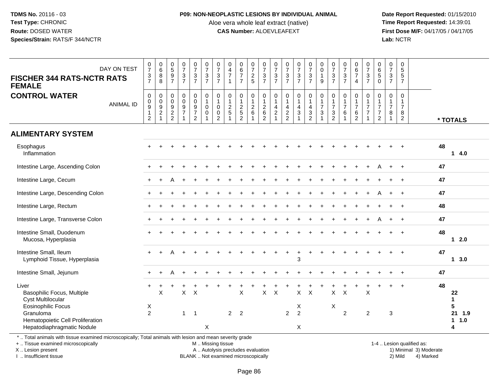### **P09: NON-NEOPLASTIC LESIONS BY INDIVIDUAL ANIMAL**

Aloe vera whole leaf extract (native)<br>**CAS Number:** ALOEVLEAFEXT

 **Date Report Requested:** 01/15/2010 **First Dose M/F:** 04/17/05 / 04/17/05<br>**Lab:** NCTR **Lab:** NCTR

| DAY ON TEST<br><b>FISCHER 344 RATS-NCTR RATS</b><br><b>FEMALE</b>                                         | $\frac{0}{7}$<br>$\mathfrak{S}$<br>$\overline{7}$                      | $\begin{matrix} 0 \\ 6 \\ 8 \end{matrix}$<br>8      | $0$<br>$5$<br>$9$<br>$7$                                    | $\frac{0}{7}$<br>$\frac{3}{7}$                                 | $\begin{array}{c} 0 \\ 7 \end{array}$<br>$\frac{3}{7}$    | $\begin{array}{c} 0 \\ 7 \end{array}$<br>$\frac{3}{7}$                      | $\frac{0}{7}$<br>$\mathbf{3}$<br>$\overline{7}$        | $\begin{array}{c} 0 \\ 4 \\ 7 \end{array}$<br>$\mathbf{1}$   | $\begin{array}{c} 0 \\ 6 \\ 7 \end{array}$<br>$\overline{7}$  | 0725                                            | $\frac{0}{7}$<br>$\frac{3}{7}$                                 | $\frac{0}{7}$<br>$\mathbf{3}$<br>$\overline{7}$        | $\frac{0}{7}$<br>$\frac{3}{7}$                               | $\frac{0}{7}$<br>$\frac{3}{7}$                      | 07/3/7                                                                                      | $\begin{smallmatrix}0\\0\end{smallmatrix}$<br>$\mathbf{1}$<br>$\boldsymbol{9}$ | $\frac{0}{7}$<br>$\ensuremath{\mathsf{3}}$<br>$\overline{7}$    | $\frac{0}{7}$<br>$\frac{3}{7}$                         | $\begin{array}{c} 0 \\ 6 \\ 7 \end{array}$<br>$\overline{4}$                 | $\frac{0}{7}$<br>$\mathfrak{S}$<br>$\overline{7}$                 | $\begin{array}{c} 0 \\ 6 \\ 5 \end{array}$<br>0                     | $\begin{array}{c} 0 \\ 7 \end{array}$<br>$\ensuremath{\mathsf{3}}$<br>$\overline{7}$ | $\pmb{0}$<br>$\overline{5}$<br>$\sqrt{5}$<br>$\overline{7}$          |                                 |
|-----------------------------------------------------------------------------------------------------------|------------------------------------------------------------------------|-----------------------------------------------------|-------------------------------------------------------------|----------------------------------------------------------------|-----------------------------------------------------------|-----------------------------------------------------------------------------|--------------------------------------------------------|--------------------------------------------------------------|---------------------------------------------------------------|-------------------------------------------------|----------------------------------------------------------------|--------------------------------------------------------|--------------------------------------------------------------|-----------------------------------------------------|---------------------------------------------------------------------------------------------|--------------------------------------------------------------------------------|-----------------------------------------------------------------|--------------------------------------------------------|------------------------------------------------------------------------------|-------------------------------------------------------------------|---------------------------------------------------------------------|--------------------------------------------------------------------------------------|----------------------------------------------------------------------|---------------------------------|
| <b>CONTROL WATER</b><br><b>ANIMAL ID</b>                                                                  | $\mathbf 0$<br>0<br>$\boldsymbol{9}$<br>$\mathbf{1}$<br>$\overline{2}$ | 0<br>$\mathbf 0$<br>$\overline{9}$<br>$\frac{2}{1}$ | $\pmb{0}$<br>$\pmb{0}$<br>$\boldsymbol{9}$<br>$\frac{2}{2}$ | $\mathsf 0$<br>$\pmb{0}$<br>$\boldsymbol{9}$<br>$\overline{7}$ | $\pmb{0}$<br>$\pmb{0}$<br>$\frac{9}{7}$<br>$\overline{2}$ | $\pmb{0}$<br>$\overline{1}$<br>$\mathbf 0$<br>$\mathbf 0$<br>$\overline{1}$ | $\mathbf 0$<br>1<br>$\mathbf 0$<br>0<br>$\overline{2}$ | $\pmb{0}$<br>$\mathbf{1}$<br>$\frac{2}{5}$<br>$\overline{1}$ | $\mathsf{O}$<br>$\mathbf{1}$<br>$rac{2}{5}$<br>$\overline{2}$ | $\mathbf 0$<br>$\mathbf{1}$<br>$^2\phantom{1}6$ | $\mathbf 0$<br>$\mathbf{1}$<br>$\frac{2}{6}$<br>$\overline{2}$ | $\mathbf 0$<br>$\overline{1}$<br>4<br>$\boldsymbol{2}$ | $\pmb{0}$<br>$\mathbf{1}$<br>$\overline{4}$<br>$\frac{2}{2}$ | 0<br>$\mathbf{1}$<br>$\overline{4}$<br>$\mathbf{3}$ | 0<br>$\mathbf{1}$<br>$\overline{\mathbf{4}}$<br>$\ensuremath{\mathsf{3}}$<br>$\overline{2}$ | $\pmb{0}$<br>$\mathbf{1}$<br>$\overline{7}$<br>$\ensuremath{\mathsf{3}}$       | $\mathbf{0}$<br>$\mathbf{1}$<br>$\overline{7}$<br>$\frac{3}{2}$ | $\mathbf 0$<br>$\mathbf{1}$<br>$\overline{7}$<br>$\,6$ | $\mathbf 0$<br>$\mathbf{1}$<br>$\boldsymbol{7}$<br>$\,6\,$<br>$\overline{2}$ | $\Omega$<br>$\mathbf{1}$<br>$\overline{7}$<br>$\overline{7}$<br>1 | $\Omega$<br>1<br>$\overline{7}$<br>$\overline{7}$<br>$\overline{2}$ | $\mathbf 0$<br>$\mathbf{1}$<br>$\overline{7}$<br>8<br>$\overline{1}$                 | $\mathbf 0$<br>$\mathbf{1}$<br>$\overline{7}$<br>8<br>$\overline{2}$ | * TOTALS                        |
| <b>ALIMENTARY SYSTEM</b>                                                                                  |                                                                        |                                                     |                                                             |                                                                |                                                           |                                                                             |                                                        |                                                              |                                                               |                                                 |                                                                |                                                        |                                                              |                                                     |                                                                                             |                                                                                |                                                                 |                                                        |                                                                              |                                                                   |                                                                     |                                                                                      |                                                                      |                                 |
| Esophagus<br>Inflammation                                                                                 |                                                                        |                                                     |                                                             |                                                                |                                                           |                                                                             |                                                        |                                                              |                                                               |                                                 |                                                                |                                                        |                                                              |                                                     |                                                                                             |                                                                                |                                                                 |                                                        |                                                                              |                                                                   |                                                                     |                                                                                      |                                                                      | 48<br>14.0                      |
| Intestine Large, Ascending Colon                                                                          |                                                                        |                                                     |                                                             |                                                                |                                                           |                                                                             |                                                        |                                                              |                                                               |                                                 |                                                                |                                                        |                                                              |                                                     |                                                                                             |                                                                                |                                                                 |                                                        |                                                                              |                                                                   |                                                                     |                                                                                      | $\ddot{}$                                                            | 47                              |
| Intestine Large, Cecum                                                                                    |                                                                        |                                                     |                                                             |                                                                |                                                           |                                                                             |                                                        |                                                              |                                                               |                                                 |                                                                |                                                        |                                                              |                                                     |                                                                                             |                                                                                |                                                                 |                                                        |                                                                              |                                                                   |                                                                     |                                                                                      |                                                                      | 47                              |
| Intestine Large, Descending Colon                                                                         |                                                                        |                                                     |                                                             |                                                                |                                                           |                                                                             |                                                        |                                                              |                                                               |                                                 |                                                                |                                                        |                                                              |                                                     |                                                                                             |                                                                                |                                                                 |                                                        |                                                                              |                                                                   |                                                                     |                                                                                      | $\overline{+}$                                                       | 47                              |
| Intestine Large, Rectum                                                                                   |                                                                        |                                                     |                                                             |                                                                |                                                           |                                                                             |                                                        |                                                              |                                                               |                                                 |                                                                |                                                        |                                                              |                                                     |                                                                                             |                                                                                |                                                                 |                                                        |                                                                              |                                                                   |                                                                     |                                                                                      |                                                                      | 48                              |
| Intestine Large, Transverse Colon                                                                         |                                                                        |                                                     |                                                             |                                                                |                                                           |                                                                             |                                                        |                                                              |                                                               |                                                 |                                                                |                                                        |                                                              |                                                     |                                                                                             |                                                                                |                                                                 |                                                        |                                                                              |                                                                   |                                                                     |                                                                                      | $+$                                                                  | 47                              |
| Intestine Small, Duodenum<br>Mucosa, Hyperplasia                                                          |                                                                        |                                                     |                                                             |                                                                |                                                           |                                                                             |                                                        |                                                              |                                                               |                                                 |                                                                |                                                        |                                                              |                                                     |                                                                                             |                                                                                |                                                                 |                                                        |                                                                              |                                                                   |                                                                     |                                                                                      | $\ddot{}$                                                            | 48<br>$12.0$                    |
| Intestine Small, Ileum<br>Lymphoid Tissue, Hyperplasia                                                    |                                                                        |                                                     |                                                             |                                                                |                                                           |                                                                             |                                                        |                                                              |                                                               |                                                 |                                                                |                                                        |                                                              | 3                                                   |                                                                                             |                                                                                |                                                                 |                                                        |                                                                              |                                                                   |                                                                     |                                                                                      |                                                                      | 47<br>13.0                      |
| Intestine Small, Jejunum                                                                                  |                                                                        |                                                     |                                                             | $\ddot{}$                                                      |                                                           |                                                                             |                                                        |                                                              |                                                               |                                                 |                                                                |                                                        |                                                              |                                                     |                                                                                             |                                                                                |                                                                 |                                                        |                                                                              |                                                                   |                                                                     |                                                                                      | $\ddot{}$                                                            | 47                              |
| Liver<br>Basophilic Focus, Multiple<br><b>Cyst Multilocular</b><br><b>Eosinophilic Focus</b><br>Granuloma | X<br>$\overline{2}$                                                    | X                                                   |                                                             | X<br>$\mathbf{1}$                                              | X<br>$\overline{\mathbf{1}}$                              |                                                                             |                                                        | 2 <sub>2</sub>                                               | X                                                             |                                                 | $\pmb{\times}$                                                 | $\boldsymbol{\mathsf{X}}$                              | $\overline{2}$                                               | X<br>X<br>$\overline{2}$                            | $\times$                                                                                    |                                                                                | $\mathsf{X}$<br>X                                               | $\times$<br>$\overline{2}$                             |                                                                              | X<br>$\overline{2}$                                               |                                                                     | 3                                                                                    | $\overline{1}$                                                       | 48<br>22<br>1<br>5<br>21<br>1.9 |
| Hematopoietic Cell Proliferation<br>Hepatodiaphragmatic Nodule                                            |                                                                        |                                                     |                                                             |                                                                |                                                           | X                                                                           |                                                        |                                                              |                                                               |                                                 |                                                                |                                                        |                                                              | X                                                   |                                                                                             |                                                                                |                                                                 |                                                        |                                                                              |                                                                   |                                                                     |                                                                                      |                                                                      | $\mathbf 1$<br>1.0<br>4         |

\* .. Total animals with tissue examined microscopically; Total animals with lesion and mean severity grade

+ .. Tissue examined microscopically

X .. Lesion present

I .. Insufficient tissue

M .. Missing tissue

A .. Autolysis precludes evaluation

BLANK .. Not examined microscopically 2) Mild 4) Marked

1-4 .. Lesion qualified as:<br>1) Minimal 3) Moderate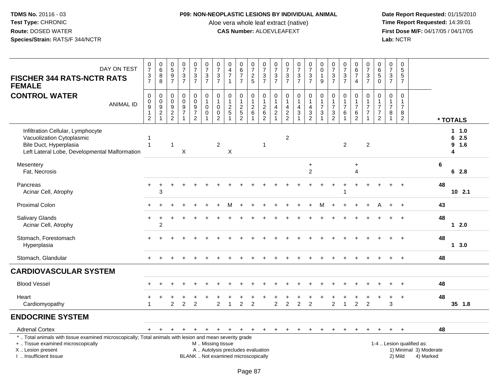## **P09: NON-NEOPLASTIC LESIONS BY INDIVIDUAL ANIMAL**

Aloe vera whole leaf extract (native)<br>**CAS Number:** ALOEVLEAFEXT

| DAY ON TEST<br><b>FISCHER 344 RATS-NCTR RATS</b><br><b>FEMALE</b>                                                                                                                             | $\frac{0}{7}$<br>$\frac{3}{7}$                                                         | $\begin{array}{c} 0 \\ 6 \end{array}$<br>$\bf 8$<br>$\overline{8}$        | $\begin{array}{c} 0 \\ 5 \end{array}$<br>$\frac{9}{7}$ | $\frac{0}{7}$<br>$\frac{3}{7}$                                    | $\frac{0}{7}$<br>$\frac{3}{7}$                    | $\frac{0}{7}$<br>$\frac{3}{7}$                                        | $\frac{0}{7}$<br>$\frac{3}{7}$                                  | $\pmb{0}$<br>$\overline{4}$<br>$\overline{7}$<br>$\overline{1}$          | $\begin{array}{c} 0 \\ 6 \end{array}$<br>$\overline{7}$<br>$\overline{7}$ | $\frac{0}{7}$<br>$\frac{2}{5}$          | $\frac{0}{7}$<br>$\frac{3}{7}$                                          | $\begin{array}{c} 0 \\ 7 \end{array}$<br>$\ensuremath{\mathsf{3}}$<br>$\overline{7}$ | $\frac{0}{7}$<br>$\frac{3}{7}$            | $\frac{0}{7}$<br>$\frac{3}{7}$                                                    | $\frac{0}{7}$<br>$\frac{3}{7}$                                                  | 0<br>$\mathbf 0$<br>$\mathbf{1}$<br>9                                   | $\frac{0}{7}$<br>$\ensuremath{\mathsf{3}}$<br>$\overline{7}$                | $\frac{0}{7}$<br>$\frac{3}{7}$                                       | $_{6}^{\rm 0}$<br>$\overline{7}$<br>$\overline{4}$                   | $\frac{0}{7}$<br>$\frac{3}{7}$                                                | $\begin{array}{c} 0 \\ 6 \end{array}$<br>5<br>$\overline{0}$                        | $\frac{0}{7}$<br>$\frac{3}{7}$                                       | $\pmb{0}$<br>$\overline{5}$<br>$\overline{5}$<br>$\overline{7}$      |                                                                  |    |                           |
|-----------------------------------------------------------------------------------------------------------------------------------------------------------------------------------------------|----------------------------------------------------------------------------------------|---------------------------------------------------------------------------|--------------------------------------------------------|-------------------------------------------------------------------|---------------------------------------------------|-----------------------------------------------------------------------|-----------------------------------------------------------------|--------------------------------------------------------------------------|---------------------------------------------------------------------------|-----------------------------------------|-------------------------------------------------------------------------|--------------------------------------------------------------------------------------|-------------------------------------------|-----------------------------------------------------------------------------------|---------------------------------------------------------------------------------|-------------------------------------------------------------------------|-----------------------------------------------------------------------------|----------------------------------------------------------------------|----------------------------------------------------------------------|-------------------------------------------------------------------------------|-------------------------------------------------------------------------------------|----------------------------------------------------------------------|----------------------------------------------------------------------|------------------------------------------------------------------|----|---------------------------|
| <b>CONTROL WATER</b><br><b>ANIMAL ID</b>                                                                                                                                                      | $\mathsf{O}\xspace$<br>$\pmb{0}$<br>$\boldsymbol{9}$<br>$\mathbf{1}$<br>$\overline{2}$ | $\pmb{0}$<br>$\begin{array}{c} 0 \\ 9 \\ 2 \end{array}$<br>$\overline{1}$ | $\boldsymbol{0}$<br>$\pmb{0}$<br>$\frac{9}{2}$         | $\pmb{0}$<br>$\mathbf 0$<br>9<br>$\overline{7}$<br>$\overline{1}$ | 0<br>$\pmb{0}$<br>$\frac{9}{7}$<br>$\overline{2}$ | $\pmb{0}$<br>$\mathbf{1}$<br>$\mathbf 0$<br>$\pmb{0}$<br>$\mathbf{1}$ | $\pmb{0}$<br>$\mathbf{1}$<br>$\mathbf 0$<br>0<br>$\overline{2}$ | $\pmb{0}$<br>$\mathbf{1}$<br>$\frac{2}{5}$                               | $\pmb{0}$<br>$\mathbf{1}$<br>$\frac{2}{5}$<br>$\overline{2}$              | 0<br>$\overline{1}$<br>$^2\phantom{1}6$ | $\,0\,$<br>$\begin{array}{c} 1 \\ 2 \\ 6 \end{array}$<br>$\overline{2}$ | $\pmb{0}$<br>$\mathbf{1}$<br>4<br>$\boldsymbol{2}$<br>$\mathbf{1}$                   | 0<br>$\overline{1}$<br>4<br>$\frac{2}{2}$ | $\pmb{0}$<br>$\mathbf{1}$<br>$\overline{\mathbf{4}}$<br>$\ensuremath{\mathsf{3}}$ | $\mathbf 0$<br>$\overline{1}$<br>$\overline{a}$<br>$\sqrt{3}$<br>$\overline{2}$ | 0<br>$\overline{1}$<br>$\overline{7}$<br>$\mathbf{3}$<br>$\overline{1}$ | $\pmb{0}$<br>$\mathbf{1}$<br>$\overline{7}$<br>$\sqrt{3}$<br>$\overline{2}$ | $\pmb{0}$<br>$\mathbf{1}$<br>$\overline{7}$<br>$\,6$<br>$\mathbf{1}$ | $\mathbf 0$<br>$\mathbf{1}$<br>$\overline{7}$<br>6<br>$\overline{2}$ | $\pmb{0}$<br>$\mathbf{1}$<br>$\overline{7}$<br>$\overline{7}$<br>$\mathbf{1}$ | $\mathbf 0$<br>$\mathbf{1}$<br>$\overline{7}$<br>$\boldsymbol{7}$<br>$\overline{2}$ | $\pmb{0}$<br>$\overline{1}$<br>$\overline{7}$<br>8<br>$\overline{1}$ | $\pmb{0}$<br>$\overline{1}$<br>$\overline{7}$<br>8<br>$\overline{2}$ |                                                                  |    | * TOTALS                  |
| Infiltration Cellular, Lymphocyte<br>Vacuolization Cytoplasmic<br>Bile Duct, Hyperplasia<br>Left Lateral Lobe, Developmental Malformation                                                     |                                                                                        |                                                                           | -1                                                     | X                                                                 |                                                   |                                                                       | $\overline{2}$                                                  | X                                                                        |                                                                           |                                         | 1                                                                       |                                                                                      | $\overline{c}$                            |                                                                                   |                                                                                 |                                                                         |                                                                             | $\overline{2}$                                                       |                                                                      | $\overline{2}$                                                                |                                                                                     |                                                                      |                                                                      |                                                                  |    | 1.0<br>62.5<br>9 1.6<br>4 |
| Mesentery<br>Fat, Necrosis                                                                                                                                                                    |                                                                                        |                                                                           |                                                        |                                                                   |                                                   |                                                                       |                                                                 |                                                                          |                                                                           |                                         |                                                                         |                                                                                      |                                           |                                                                                   | $\ddot{}$<br>2                                                                  |                                                                         |                                                                             |                                                                      | $\ddot{}$<br>4                                                       |                                                                               |                                                                                     |                                                                      |                                                                      |                                                                  | 6  | 62.8                      |
| Pancreas<br>Acinar Cell, Atrophy                                                                                                                                                              | $+$                                                                                    | $\ddot{}$<br>3                                                            |                                                        |                                                                   |                                                   |                                                                       |                                                                 |                                                                          |                                                                           |                                         |                                                                         |                                                                                      |                                           |                                                                                   |                                                                                 |                                                                         |                                                                             |                                                                      | $\ddot{}$                                                            |                                                                               |                                                                                     |                                                                      |                                                                      |                                                                  | 48 | $10$ 2.1                  |
| Proximal Colon                                                                                                                                                                                | $+$                                                                                    |                                                                           |                                                        |                                                                   |                                                   |                                                                       |                                                                 | M                                                                        |                                                                           |                                         |                                                                         |                                                                                      |                                           |                                                                                   |                                                                                 | м                                                                       |                                                                             |                                                                      |                                                                      |                                                                               |                                                                                     | $\pm$                                                                | $\ddot{}$                                                            |                                                                  | 43 |                           |
| Salivary Glands<br>Acinar Cell, Atrophy                                                                                                                                                       | $+$                                                                                    | $\overline{c}$                                                            |                                                        |                                                                   |                                                   |                                                                       |                                                                 |                                                                          |                                                                           |                                         |                                                                         |                                                                                      |                                           |                                                                                   |                                                                                 |                                                                         |                                                                             |                                                                      |                                                                      |                                                                               |                                                                                     |                                                                      |                                                                      |                                                                  | 48 | $12.0$                    |
| Stomach, Forestomach<br>Hyperplasia                                                                                                                                                           |                                                                                        |                                                                           |                                                        |                                                                   |                                                   |                                                                       |                                                                 |                                                                          |                                                                           |                                         |                                                                         |                                                                                      |                                           |                                                                                   |                                                                                 |                                                                         |                                                                             |                                                                      |                                                                      |                                                                               |                                                                                     |                                                                      |                                                                      |                                                                  | 48 | 13.0                      |
| Stomach, Glandular                                                                                                                                                                            |                                                                                        |                                                                           |                                                        |                                                                   |                                                   |                                                                       |                                                                 |                                                                          |                                                                           |                                         |                                                                         |                                                                                      |                                           |                                                                                   |                                                                                 |                                                                         |                                                                             |                                                                      |                                                                      |                                                                               |                                                                                     |                                                                      | $\div$                                                               |                                                                  | 48 |                           |
| <b>CARDIOVASCULAR SYSTEM</b>                                                                                                                                                                  |                                                                                        |                                                                           |                                                        |                                                                   |                                                   |                                                                       |                                                                 |                                                                          |                                                                           |                                         |                                                                         |                                                                                      |                                           |                                                                                   |                                                                                 |                                                                         |                                                                             |                                                                      |                                                                      |                                                                               |                                                                                     |                                                                      |                                                                      |                                                                  |    |                           |
| <b>Blood Vessel</b>                                                                                                                                                                           |                                                                                        |                                                                           |                                                        |                                                                   |                                                   |                                                                       |                                                                 |                                                                          |                                                                           |                                         |                                                                         |                                                                                      |                                           |                                                                                   |                                                                                 |                                                                         |                                                                             |                                                                      |                                                                      |                                                                               |                                                                                     |                                                                      |                                                                      |                                                                  | 48 |                           |
| Heart<br>Cardiomyopathy                                                                                                                                                                       |                                                                                        |                                                                           | $\overline{c}$                                         | 2                                                                 | $\overline{2}$                                    |                                                                       | $\overline{2}$                                                  |                                                                          | $\overline{2}$                                                            | $\overline{2}$                          |                                                                         | $\overline{2}$                                                                       | $\overline{2}$                            | $\overline{2}$                                                                    | $\overline{2}$                                                                  |                                                                         | $\overline{2}$                                                              |                                                                      | $\overline{2}$                                                       | $\overline{2}$                                                                |                                                                                     | 3                                                                    | $\ddot{}$                                                            |                                                                  | 48 | 35 1.8                    |
| <b>ENDOCRINE SYSTEM</b>                                                                                                                                                                       |                                                                                        |                                                                           |                                                        |                                                                   |                                                   |                                                                       |                                                                 |                                                                          |                                                                           |                                         |                                                                         |                                                                                      |                                           |                                                                                   |                                                                                 |                                                                         |                                                                             |                                                                      |                                                                      |                                                                               |                                                                                     |                                                                      |                                                                      |                                                                  |    |                           |
| <b>Adrenal Cortex</b>                                                                                                                                                                         | $+$                                                                                    | $\ddot{}$                                                                 | $+$                                                    | $\ddot{}$                                                         | $\overline{+}$                                    | $+$                                                                   | $+$                                                             | $+$                                                                      | $+$                                                                       | $+$                                     | $+$                                                                     | $+$                                                                                  | $+$                                       | $+$                                                                               | $+$                                                                             | $\ddot{}$                                                               | $\ddot{}$                                                                   |                                                                      | $\ddot{}$                                                            | $\ddot{}$                                                                     |                                                                                     | $+$                                                                  |                                                                      |                                                                  | 48 |                           |
| *  Total animals with tissue examined microscopically; Total animals with lesion and mean severity grade<br>+  Tissue examined microscopically<br>X  Lesion present<br>I. Insufficient tissue |                                                                                        |                                                                           |                                                        |                                                                   |                                                   | M  Missing tissue                                                     |                                                                 | A  Autolysis precludes evaluation<br>BLANK  Not examined microscopically |                                                                           |                                         |                                                                         |                                                                                      |                                           |                                                                                   |                                                                                 |                                                                         |                                                                             |                                                                      |                                                                      |                                                                               |                                                                                     |                                                                      | 2) Mild                                                              | 1-4  Lesion qualified as:<br>1) Minimal 3) Moderate<br>4) Marked |    |                           |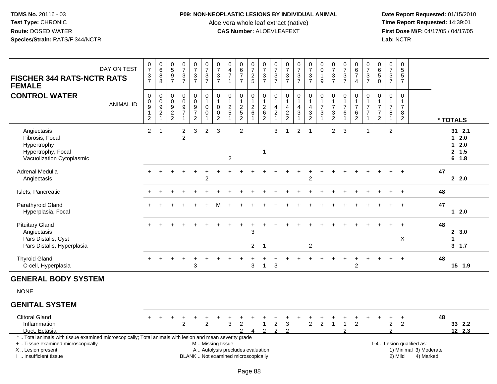### **P09: NON-NEOPLASTIC LESIONS BY INDIVIDUAL ANIMAL**

Aloe vera whole leaf extract (native)<br>**CAS Number:** ALOEVLEAFEXT

 **Date Report Requested:** 01/15/2010 **First Dose M/F:** 04/17/05 / 04/17/05<br>Lab: NCTR **Lab:** NCTR

| <b>FISCHER 344 RATS-NCTR RATS</b><br><b>FEMALE</b>                                                                                                                                            | DAY ON TEST      | $\frac{0}{7}$<br>$\frac{3}{7}$                                         | $\begin{array}{c} 0 \\ 6 \end{array}$<br>$\bf 8$<br>8                  | $\begin{array}{c} 0 \\ 5 \end{array}$<br>$\overline{9}$<br>$\overline{7}$ | $\frac{0}{7}$<br>$\ensuremath{\mathsf{3}}$<br>$\overline{7}$                           | $\frac{0}{7}$<br>$\sqrt{3}$<br>$\overline{7}$                                    | $\frac{0}{7}$<br>$\sqrt{3}$<br>$\overline{7}$                             | $\begin{array}{c} 0 \\ 7 \end{array}$<br>$\ensuremath{\mathsf{3}}$<br>$\overline{7}$ | 0<br>$\overline{4}$<br>$\overline{7}$<br>$\overline{1}$                  | $\begin{array}{c} 0 \\ 6 \\ 7 \end{array}$<br>$\overline{7}$            | $\frac{0}{7}$<br>$\frac{2}{5}$       | $\begin{array}{c} 0 \\ 7 \end{array}$<br>$\sqrt{3}$<br>$\overline{7}$  | $\frac{0}{7}$<br>$\mathbf{3}$<br>$\overline{7}$                                   | $\frac{0}{7}$<br>3<br>$\overline{7}$                       | $\frac{0}{7}$<br>$\frac{3}{7}$              | $\begin{smallmatrix}0\\7\end{smallmatrix}$<br>$\ensuremath{\mathsf{3}}$<br>$\overline{7}$         | $_{\rm 0}^{\rm 0}$<br>$\mathbf{1}$<br>9                                                        | $\begin{array}{c} 0 \\ 7 \end{array}$<br>3<br>$\overline{7}$ | $\frac{0}{7}$<br>$\ensuremath{\mathsf{3}}$<br>$\overline{7}$       | $_{6}^{\rm 0}$<br>$\overline{7}$<br>$\overline{4}$ | $\frac{0}{7}$<br>$\ensuremath{\mathsf{3}}$<br>$\overline{7}$            | $_{6}^{\rm 0}$<br>$\overline{5}$<br>$\mathbf 0$                         | $\begin{array}{c} 0 \\ 7 \end{array}$<br>$\mathbf{3}$<br>$\overline{7}$ | $\pmb{0}$<br>$\sqrt{5}$<br>5<br>$\overline{7}$                       |                                                                  |    |                                                        |
|-----------------------------------------------------------------------------------------------------------------------------------------------------------------------------------------------|------------------|------------------------------------------------------------------------|------------------------------------------------------------------------|---------------------------------------------------------------------------|----------------------------------------------------------------------------------------|----------------------------------------------------------------------------------|---------------------------------------------------------------------------|--------------------------------------------------------------------------------------|--------------------------------------------------------------------------|-------------------------------------------------------------------------|--------------------------------------|------------------------------------------------------------------------|-----------------------------------------------------------------------------------|------------------------------------------------------------|---------------------------------------------|---------------------------------------------------------------------------------------------------|------------------------------------------------------------------------------------------------|--------------------------------------------------------------|--------------------------------------------------------------------|----------------------------------------------------|-------------------------------------------------------------------------|-------------------------------------------------------------------------|-------------------------------------------------------------------------|----------------------------------------------------------------------|------------------------------------------------------------------|----|--------------------------------------------------------|
| <b>CONTROL WATER</b>                                                                                                                                                                          | <b>ANIMAL ID</b> | $\mathbf 0$<br>0<br>$\boldsymbol{9}$<br>$\mathbf{1}$<br>$\overline{c}$ | $\mathbf 0$<br>0<br>$\overline{9}$<br>$\boldsymbol{2}$<br>$\mathbf{1}$ | $\pmb{0}$<br>0<br>$\boldsymbol{9}$<br>$\frac{2}{2}$                       | $\mathsf 0$<br>$\ddot{\mathbf{0}}$<br>$\overline{9}$<br>$\overline{7}$<br>$\mathbf{1}$ | $\pmb{0}$<br>$\mathbf 0$<br>$\boldsymbol{9}$<br>$\overline{7}$<br>$\overline{2}$ | $\pmb{0}$<br>$\overline{1}$<br>$\mathbf 0$<br>$\mathbf 0$<br>$\mathbf{1}$ | 0<br>1<br>$\mathbf 0$<br>$\mathbf 0$<br>$\overline{c}$                               | 0<br>$\mathbf{1}$<br>$\boldsymbol{2}$<br>$\sqrt{5}$<br>$\overline{1}$    | $\pmb{0}$<br>$\mathbf{1}$<br>$\sqrt{2}$<br>$\sqrt{5}$<br>$\overline{2}$ | 0<br>$\mathbf{1}$<br>$\sqrt{2}$<br>6 | $\pmb{0}$<br>$\overline{1}$<br>$\sqrt{2}$<br>$\,6\,$<br>$\overline{2}$ | $\mathbf 0$<br>$\mathbf{1}$<br>$\overline{a}$<br>$\boldsymbol{2}$<br>$\mathbf{1}$ | $\pmb{0}$<br>1<br>$\overline{\mathbf{4}}$<br>$\frac{2}{2}$ | 0<br>$\mathbf{1}$<br>4<br>3<br>$\mathbf{1}$ | $\boldsymbol{0}$<br>$\mathbf{1}$<br>$\overline{4}$<br>$\ensuremath{\mathsf{3}}$<br>$\overline{2}$ | $\mathsf 0$<br>$\mathbf{1}$<br>$\boldsymbol{7}$<br>$\ensuremath{\mathsf{3}}$<br>$\overline{1}$ | 0<br>$\mathbf{1}$<br>$\overline{7}$<br>3<br>2                | $\pmb{0}$<br>$\mathbf{1}$<br>$\overline{7}$<br>6<br>$\overline{1}$ | 0<br>$\overline{7}$<br>6<br>$\overline{2}$         | 0<br>$\overline{1}$<br>$\overline{7}$<br>$\overline{7}$<br>$\mathbf{1}$ | 0<br>$\mathbf{1}$<br>$\overline{7}$<br>$\overline{7}$<br>$\overline{2}$ | 0<br>$\overline{7}$<br>8<br>$\mathbf{1}$                                | $\pmb{0}$<br>$\overline{1}$<br>$\overline{7}$<br>8<br>$\overline{2}$ |                                                                  |    | * TOTALS                                               |
| Angiectasis<br>Fibrosis, Focal<br>Hypertrophy<br>Hypertrophy, Focal<br>Vacuolization Cytoplasmic                                                                                              |                  | $\overline{2}$                                                         | $\overline{1}$                                                         |                                                                           | $\overline{c}$<br>$\overline{c}$                                                       | 3                                                                                | $\overline{c}$                                                            | $\mathbf{3}$                                                                         | $\overline{c}$                                                           | $\overline{2}$                                                          |                                      | $\overline{1}$                                                         | 3                                                                                 | 1                                                          | $\overline{c}$                              | $\overline{1}$                                                                                    |                                                                                                | $\overline{2}$                                               | 3                                                                  |                                                    | -1                                                                      |                                                                         | $\overline{2}$                                                          |                                                                      |                                                                  |    | $31$ 2.1<br>$1 \quad 2.0$<br>$12.0$<br>2, 1.5<br>6 1.8 |
| Adrenal Medulla<br>Angiectasis                                                                                                                                                                |                  |                                                                        |                                                                        |                                                                           |                                                                                        |                                                                                  | 2                                                                         |                                                                                      |                                                                          |                                                                         |                                      |                                                                        |                                                                                   |                                                            |                                             | 2                                                                                                 |                                                                                                |                                                              |                                                                    |                                                    |                                                                         |                                                                         |                                                                         |                                                                      |                                                                  | 47 | 2.2.0                                                  |
| Islets, Pancreatic                                                                                                                                                                            |                  |                                                                        |                                                                        |                                                                           |                                                                                        |                                                                                  |                                                                           |                                                                                      |                                                                          |                                                                         |                                      |                                                                        |                                                                                   |                                                            |                                             |                                                                                                   |                                                                                                |                                                              |                                                                    |                                                    |                                                                         |                                                                         |                                                                         |                                                                      |                                                                  | 48 |                                                        |
| Parathyroid Gland<br>Hyperplasia, Focal                                                                                                                                                       |                  |                                                                        |                                                                        |                                                                           |                                                                                        |                                                                                  |                                                                           | M                                                                                    |                                                                          |                                                                         |                                      |                                                                        |                                                                                   |                                                            |                                             |                                                                                                   |                                                                                                |                                                              |                                                                    |                                                    |                                                                         |                                                                         |                                                                         |                                                                      |                                                                  | 47 | $1 2.0$                                                |
| <b>Pituitary Gland</b><br>Angiectasis<br>Pars Distalis, Cyst                                                                                                                                  |                  |                                                                        |                                                                        |                                                                           |                                                                                        |                                                                                  |                                                                           |                                                                                      |                                                                          |                                                                         | 3<br>$\overline{2}$                  | $\overline{1}$                                                         |                                                                                   |                                                            |                                             | $\overline{c}$                                                                                    |                                                                                                |                                                              |                                                                    |                                                    |                                                                         |                                                                         |                                                                         | $\mathsf X$                                                          |                                                                  | 48 | 2, 3.0<br>1<br>3, 1.7                                  |
| Pars Distalis, Hyperplasia<br><b>Thyroid Gland</b><br>C-cell, Hyperplasia                                                                                                                     |                  |                                                                        |                                                                        |                                                                           |                                                                                        | 3                                                                                |                                                                           |                                                                                      |                                                                          |                                                                         | 3                                    | $\overline{1}$                                                         | 3                                                                                 |                                                            |                                             |                                                                                                   |                                                                                                |                                                              |                                                                    | $\overline{c}$                                     |                                                                         |                                                                         |                                                                         | $\overline{+}$                                                       |                                                                  | 48 | 15 1.9                                                 |
| <b>GENERAL BODY SYSTEM</b>                                                                                                                                                                    |                  |                                                                        |                                                                        |                                                                           |                                                                                        |                                                                                  |                                                                           |                                                                                      |                                                                          |                                                                         |                                      |                                                                        |                                                                                   |                                                            |                                             |                                                                                                   |                                                                                                |                                                              |                                                                    |                                                    |                                                                         |                                                                         |                                                                         |                                                                      |                                                                  |    |                                                        |
| <b>NONE</b>                                                                                                                                                                                   |                  |                                                                        |                                                                        |                                                                           |                                                                                        |                                                                                  |                                                                           |                                                                                      |                                                                          |                                                                         |                                      |                                                                        |                                                                                   |                                                            |                                             |                                                                                                   |                                                                                                |                                                              |                                                                    |                                                    |                                                                         |                                                                         |                                                                         |                                                                      |                                                                  |    |                                                        |
| <b>GENITAL SYSTEM</b>                                                                                                                                                                         |                  |                                                                        |                                                                        |                                                                           |                                                                                        |                                                                                  |                                                                           |                                                                                      |                                                                          |                                                                         |                                      |                                                                        |                                                                                   |                                                            |                                             |                                                                                                   |                                                                                                |                                                              |                                                                    |                                                    |                                                                         |                                                                         |                                                                         |                                                                      |                                                                  |    |                                                        |
| <b>Clitoral Gland</b><br>Inflammation<br>Duct, Ectasia                                                                                                                                        |                  |                                                                        |                                                                        |                                                                           | 2                                                                                      |                                                                                  | $\overline{2}$                                                            |                                                                                      | 3                                                                        | $\overline{c}$                                                          |                                      | $\mathbf{1}$<br>$\mathfrak{p}$                                         | $\overline{\mathbf{c}}$<br>$\mathfrak{p}$                                         | 3<br>$\mathfrak{p}$                                        |                                             | $\overline{2}$                                                                                    | $\overline{2}$                                                                                 | $\overline{1}$                                               | $\mathbf{1}$<br>っ                                                  | $\overline{2}$                                     |                                                                         |                                                                         | $\overline{c}$<br>$\mathcal{P}$                                         | $\ddot{}$<br>$\overline{2}$                                          |                                                                  | 48 | 33 2.2<br>12 2.3                                       |
| *  Total animals with tissue examined microscopically; Total animals with lesion and mean severity grade<br>+  Tissue examined microscopically<br>X  Lesion present<br>I  Insufficient tissue |                  |                                                                        |                                                                        |                                                                           |                                                                                        |                                                                                  | M  Missing tissue                                                         |                                                                                      | A  Autolysis precludes evaluation<br>BLANK  Not examined microscopically |                                                                         |                                      |                                                                        |                                                                                   |                                                            |                                             |                                                                                                   |                                                                                                |                                                              |                                                                    |                                                    |                                                                         |                                                                         |                                                                         | 2) Mild                                                              | 1-4  Lesion qualified as:<br>1) Minimal 3) Moderate<br>4) Marked |    |                                                        |

I .. Insufficient tissue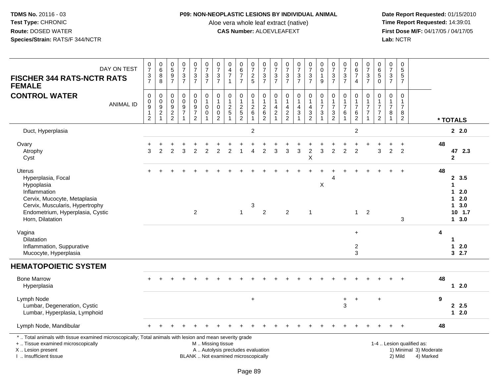## **P09: NON-NEOPLASTIC LESIONS BY INDIVIDUAL ANIMAL**

Aloe vera whole leaf extract (native)<br>**CAS Number:** ALOEVLEAFEXT

| DAY ON TEST<br><b>FISCHER 344 RATS-NCTR RATS</b><br><b>FEMALE</b>                                                                                                                             | $\frac{0}{7}$<br>$\frac{3}{7}$                                                 | $\begin{array}{c} 0 \\ 6 \end{array}$<br>$\bf 8$<br>8     | $\begin{array}{c} 0 \\ 5 \end{array}$<br>$\frac{9}{7}$              | $\begin{array}{c} 0 \\ 7 \end{array}$<br>$\frac{3}{7}$                         | $\frac{0}{7}$<br>$\frac{3}{7}$                                 | $\begin{array}{c} 0 \\ 7 \end{array}$<br>$\frac{3}{7}$          | $\frac{0}{7}$<br>$\frac{3}{7}$                                          | $\pmb{0}$<br>$\overline{4}$<br>$\overline{7}$<br>$\overline{1}$          | $\begin{array}{c} 0 \\ 6 \end{array}$<br>$\overline{7}$<br>$\overline{7}$ | $\frac{0}{7}$<br>$\frac{2}{5}$        | $\begin{array}{c} 0 \\ 7 \end{array}$<br>$\frac{3}{7}$ | $\frac{0}{7}$<br>$\frac{3}{7}$                                                | $\begin{smallmatrix}0\\7\end{smallmatrix}$<br>$\frac{3}{7}$ | $\frac{0}{7}$<br>$\frac{3}{7}$                                                  | $\frac{0}{7}$<br>$\frac{3}{7}$                                                  | 0<br>$\pmb{0}$<br>$\mathbf{1}$<br>9                                              | $\frac{0}{7}$<br>$\frac{3}{7}$                                                             | $\frac{0}{7}$<br>$\frac{3}{7}$                                       | $\begin{array}{c} 0 \\ 6 \\ 7 \end{array}$<br>$\overline{4}$      | $\begin{array}{c} 0 \\ 7 \end{array}$<br>$\ensuremath{\mathsf{3}}$<br>$\overline{7}$ | $\pmb{0}$<br>$\overline{6}$<br>$\sqrt{5}$<br>$\Omega$                               | $\frac{0}{7}$<br>$\frac{3}{7}$                                   | $\pmb{0}$<br>5<br>5<br>$\overline{7}$                              |                                                                  |    |                                                                    |
|-----------------------------------------------------------------------------------------------------------------------------------------------------------------------------------------------|--------------------------------------------------------------------------------|-----------------------------------------------------------|---------------------------------------------------------------------|--------------------------------------------------------------------------------|----------------------------------------------------------------|-----------------------------------------------------------------|-------------------------------------------------------------------------|--------------------------------------------------------------------------|---------------------------------------------------------------------------|---------------------------------------|--------------------------------------------------------|-------------------------------------------------------------------------------|-------------------------------------------------------------|---------------------------------------------------------------------------------|---------------------------------------------------------------------------------|----------------------------------------------------------------------------------|--------------------------------------------------------------------------------------------|----------------------------------------------------------------------|-------------------------------------------------------------------|--------------------------------------------------------------------------------------|-------------------------------------------------------------------------------------|------------------------------------------------------------------|--------------------------------------------------------------------|------------------------------------------------------------------|----|--------------------------------------------------------------------|
| <b>CONTROL WATER</b><br><b>ANIMAL ID</b>                                                                                                                                                      | $\pmb{0}$<br>$\pmb{0}$<br>$\boldsymbol{9}$<br>$\overline{1}$<br>$\overline{2}$ | $\pmb{0}$<br>$\pmb{0}$<br>$\frac{9}{2}$<br>$\overline{1}$ | $\mathbf 0$<br>$\mathbf 0$<br>9<br>$\overline{2}$<br>$\overline{2}$ | $\mathbf 0$<br>$\pmb{0}$<br>$\boldsymbol{9}$<br>$\overline{7}$<br>$\mathbf{1}$ | $\pmb{0}$<br>$\overline{0}$<br>$\frac{9}{7}$<br>$\overline{2}$ | 0<br>$\mathbf{1}$<br>$\pmb{0}$<br>$\mathbf 0$<br>$\overline{1}$ | $\pmb{0}$<br>$\mathbf{1}$<br>$\mathbf 0$<br>$\pmb{0}$<br>$\overline{c}$ | $\pmb{0}$<br>$\overline{1}$<br>$\frac{2}{5}$<br>$\overline{1}$           | $\pmb{0}$<br>$\mathbf{1}$<br>$rac{2}{5}$<br>$\overline{2}$                | 0<br>$\mathbf{1}$<br>$^2\phantom{1}6$ | $\pmb{0}$<br>$\mathbf{1}$<br>$^2$ 6<br>$\overline{2}$  | $\pmb{0}$<br>$\mathbf{1}$<br>$\overline{4}$<br>$\overline{2}$<br>$\mathbf{1}$ | 0<br>4<br>$\frac{2}{2}$                                     | $\pmb{0}$<br>$\mathbf{1}$<br>$\overline{4}$<br>$\overline{3}$<br>$\overline{1}$ | $\pmb{0}$<br>$\mathbf{1}$<br>$\overline{4}$<br>$\overline{3}$<br>$\overline{c}$ | 0<br>$\mathbf{1}$<br>$\overline{7}$<br>$\ensuremath{\mathsf{3}}$<br>$\mathbf{1}$ | $\pmb{0}$<br>$\mathbf{1}$<br>$\overline{7}$<br>$\ensuremath{\mathsf{3}}$<br>$\overline{c}$ | $\pmb{0}$<br>$\mathbf{1}$<br>$\overline{7}$<br>$\,6$<br>$\mathbf{1}$ | $\mathsf{O}\xspace$<br>1<br>$\overline{7}$<br>6<br>$\overline{c}$ | $\mathbf 0$<br>$\mathbf{1}$<br>$\overline{7}$<br>$\overline{7}$<br>$\mathbf{1}$      | $\mathsf 0$<br>$\overline{1}$<br>$\overline{7}$<br>$\overline{7}$<br>$\overline{c}$ | $\pmb{0}$<br>$\mathbf{1}$<br>$\overline{7}$<br>8<br>$\mathbf{1}$ | $\pmb{0}$<br>$\mathbf{1}$<br>$\overline{7}$<br>8<br>$\overline{2}$ |                                                                  |    | * TOTALS                                                           |
| Duct, Hyperplasia                                                                                                                                                                             |                                                                                |                                                           |                                                                     |                                                                                |                                                                |                                                                 |                                                                         |                                                                          |                                                                           | $\overline{c}$                        |                                                        |                                                                               |                                                             |                                                                                 |                                                                                 |                                                                                  |                                                                                            |                                                                      | $\overline{2}$                                                    |                                                                                      |                                                                                     |                                                                  |                                                                    |                                                                  |    | 2.0                                                                |
| Ovary<br>Atrophy<br>Cyst                                                                                                                                                                      | 3                                                                              | 2                                                         | $\mathfrak{p}$                                                      | 3                                                                              | $\overline{2}$                                                 | $\overline{2}$                                                  | 2                                                                       | $\overline{c}$                                                           |                                                                           | $\overline{4}$                        | $\overline{2}$                                         | 3                                                                             | 3                                                           | $\mathbf{3}$                                                                    | $\overline{c}$<br>X                                                             | 3                                                                                | $\overline{2}$                                                                             | $\overline{2}$                                                       | $\ddot{}$<br>$\overline{2}$                                       |                                                                                      | 3                                                                                   | $\overline{2}$                                                   | ÷<br>$\overline{2}$                                                |                                                                  | 48 | 47 2.3<br>$\mathbf{2}$                                             |
| <b>Uterus</b><br>Hyperplasia, Focal<br>Hypoplasia<br>Inflammation<br>Cervix, Mucocyte, Metaplasia<br>Cervix, Muscularis, Hypertrophy<br>Endometrium, Hyperplasia, Cystic<br>Horn, Dilatation  |                                                                                |                                                           |                                                                     |                                                                                | $\overline{2}$                                                 |                                                                 |                                                                         |                                                                          | $\mathbf{1}$                                                              | 3                                     | 2                                                      |                                                                               | $\overline{2}$                                              |                                                                                 | $\mathbf{1}$                                                                    | X                                                                                | $\boldsymbol{\Lambda}$                                                                     |                                                                      | $\mathbf{1}$                                                      | $\overline{2}$                                                                       |                                                                                     |                                                                  | $\ensuremath{\mathsf{3}}$                                          |                                                                  | 48 | 2, 3.5<br>$\mathbf 1$<br>12.0<br>$12.0$<br>13.0<br>10, 1.7<br>13.0 |
| Vagina<br>Dilatation<br>Inflammation, Suppurative<br>Mucocyte, Hyperplasia                                                                                                                    |                                                                                |                                                           |                                                                     |                                                                                |                                                                |                                                                 |                                                                         |                                                                          |                                                                           |                                       |                                                        |                                                                               |                                                             |                                                                                 |                                                                                 |                                                                                  |                                                                                            |                                                                      | $\ddot{}$<br>$\overline{2}$<br>3                                  |                                                                                      |                                                                                     |                                                                  |                                                                    |                                                                  | 4  | 1<br>$12.0$<br>32.7                                                |
| <b>HEMATOPOIETIC SYSTEM</b>                                                                                                                                                                   |                                                                                |                                                           |                                                                     |                                                                                |                                                                |                                                                 |                                                                         |                                                                          |                                                                           |                                       |                                                        |                                                                               |                                                             |                                                                                 |                                                                                 |                                                                                  |                                                                                            |                                                                      |                                                                   |                                                                                      |                                                                                     |                                                                  |                                                                    |                                                                  |    |                                                                    |
| <b>Bone Marrow</b><br>Hyperplasia                                                                                                                                                             |                                                                                |                                                           |                                                                     |                                                                                |                                                                |                                                                 |                                                                         |                                                                          |                                                                           |                                       |                                                        |                                                                               |                                                             |                                                                                 |                                                                                 |                                                                                  |                                                                                            |                                                                      |                                                                   |                                                                                      |                                                                                     |                                                                  |                                                                    |                                                                  | 48 | $12.0$                                                             |
| Lymph Node<br>Lumbar, Degeneration, Cystic<br>Lumbar, Hyperplasia, Lymphoid                                                                                                                   |                                                                                |                                                           |                                                                     |                                                                                |                                                                |                                                                 |                                                                         |                                                                          |                                                                           | +                                     |                                                        |                                                                               |                                                             |                                                                                 |                                                                                 |                                                                                  |                                                                                            | $\ddot{}$<br>3                                                       | $\ddot{}$                                                         |                                                                                      | $\ddot{}$                                                                           |                                                                  |                                                                    |                                                                  | 9  | 2.5<br>$12.0$                                                      |
| Lymph Node, Mandibular                                                                                                                                                                        |                                                                                |                                                           |                                                                     |                                                                                |                                                                |                                                                 |                                                                         |                                                                          |                                                                           |                                       |                                                        |                                                                               |                                                             |                                                                                 |                                                                                 |                                                                                  |                                                                                            |                                                                      |                                                                   |                                                                                      |                                                                                     |                                                                  |                                                                    |                                                                  | 48 |                                                                    |
| *  Total animals with tissue examined microscopically; Total animals with lesion and mean severity grade<br>+  Tissue examined microscopically<br>X  Lesion present<br>I  Insufficient tissue |                                                                                |                                                           |                                                                     |                                                                                |                                                                | M  Missing tissue                                               |                                                                         | A  Autolysis precludes evaluation<br>BLANK  Not examined microscopically |                                                                           |                                       |                                                        |                                                                               |                                                             |                                                                                 |                                                                                 |                                                                                  |                                                                                            |                                                                      |                                                                   |                                                                                      |                                                                                     |                                                                  | 2) Mild                                                            | 1-4  Lesion qualified as:<br>1) Minimal 3) Moderate<br>4) Marked |    |                                                                    |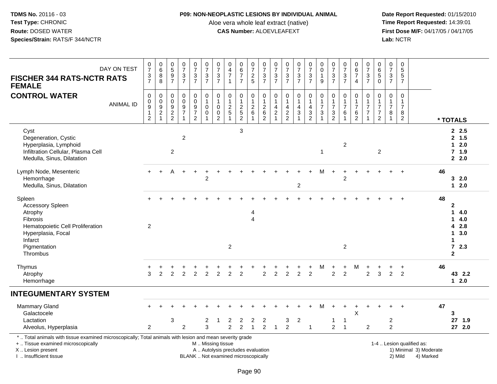## **P09: NON-NEOPLASTIC LESIONS BY INDIVIDUAL ANIMAL**

Aloe vera whole leaf extract (native)<br>**CAS Number:** ALOEVLEAFEXT

| DAY ON TEST<br><b>FISCHER 344 RATS-NCTR RATS</b><br><b>FEMALE</b>                                                                                                                             | $\frac{0}{7}$<br>$\frac{3}{7}$                        | $\begin{array}{c} 0 \\ 6 \end{array}$<br>$\, 8$<br>8                             | $\begin{array}{c} 0 \\ 5 \end{array}$<br>$\boldsymbol{9}$<br>$\overline{7}$ | $\frac{0}{7}$<br>$\frac{3}{7}$                                  | $\frac{0}{7}$<br>$\frac{3}{7}$                                                   | 0<br>$\overline{7}$<br>$\frac{3}{7}$  | $\begin{array}{c} 0 \\ 7 \end{array}$<br>$\frac{3}{7}$                    | 0<br>$\overline{4}$<br>$\overline{7}$<br>$\mathbf{1}$                    | $\begin{array}{c} 0 \\ 6 \end{array}$<br>$\overline{7}$<br>$\overline{7}$ | $\frac{0}{7}$<br>$\frac{2}{5}$                          | $\frac{0}{7}$<br>$\frac{3}{7}$                                 | $\begin{array}{c} 0 \\ 7 \end{array}$<br>$\frac{3}{7}$              | $\frac{0}{7}$<br>$\frac{3}{7}$                         | $\frac{0}{7}$<br>$\frac{3}{7}$                            | $\frac{0}{7}$<br>$\frac{3}{7}$                                                  | 0<br>$\pmb{0}$<br>$\mathbf{1}$<br>9                                                | $\frac{0}{7}$<br>$\ensuremath{\mathsf{3}}$<br>$\overline{7}$                | $\frac{0}{7}$<br>$\frac{3}{7}$                                       | $\begin{array}{c} 0 \\ 6 \end{array}$<br>$\overline{7}$<br>4 | $\frac{0}{7}$<br>$\frac{3}{7}$                                                | $\begin{array}{c} 0 \\ 6 \end{array}$<br>$\sqrt{5}$<br>$\ddot{\mathbf{0}}$ | $\frac{0}{7}$<br>$\frac{3}{7}$                                                  | $\pmb{0}$<br>$\sqrt{5}$<br>$\sqrt{5}$<br>$\overline{7}$            |                                                                  |    |                                                                                                                             |
|-----------------------------------------------------------------------------------------------------------------------------------------------------------------------------------------------|-------------------------------------------------------|----------------------------------------------------------------------------------|-----------------------------------------------------------------------------|-----------------------------------------------------------------|----------------------------------------------------------------------------------|---------------------------------------|---------------------------------------------------------------------------|--------------------------------------------------------------------------|---------------------------------------------------------------------------|---------------------------------------------------------|----------------------------------------------------------------|---------------------------------------------------------------------|--------------------------------------------------------|-----------------------------------------------------------|---------------------------------------------------------------------------------|------------------------------------------------------------------------------------|-----------------------------------------------------------------------------|----------------------------------------------------------------------|--------------------------------------------------------------|-------------------------------------------------------------------------------|----------------------------------------------------------------------------|---------------------------------------------------------------------------------|--------------------------------------------------------------------|------------------------------------------------------------------|----|-----------------------------------------------------------------------------------------------------------------------------|
| <b>CONTROL WATER</b><br><b>ANIMAL ID</b>                                                                                                                                                      | 0<br>$_{9}^{\rm 0}$<br>$\mathbf{1}$<br>$\overline{2}$ | $\boldsymbol{0}$<br>$\begin{array}{c} 0 \\ 9 \\ 2 \end{array}$<br>$\overline{1}$ | 0<br>$\mathbf 0$<br>9<br>$\sqrt{2}$<br>$\overline{2}$                       | $\pmb{0}$<br>$\mathbf 0$<br>9<br>$\overline{7}$<br>$\mathbf{1}$ | $\boldsymbol{0}$<br>$\mathsf{O}\xspace$<br>9<br>$\overline{7}$<br>$\overline{2}$ | 0<br>$\mathbf{1}$<br>0<br>$\mathbf 0$ | $\pmb{0}$<br>$\mathbf{1}$<br>$\mathbf 0$<br>$\mathsf 0$<br>$\overline{c}$ | $\mathbf 0$<br>$\overline{1}$<br>$\frac{2}{5}$                           | $\pmb{0}$<br>$\mathbf{1}$<br>$\frac{2}{5}$<br>$\overline{2}$              | 0<br>$\mathbf{1}$<br>$^2\phantom{1}6$<br>$\overline{A}$ | $\mathbf 0$<br>$\mathbf{1}$<br>$\frac{2}{6}$<br>$\overline{2}$ | 0<br>1<br>$\overline{\mathbf{4}}$<br>$\overline{c}$<br>$\mathbf{1}$ | 0<br>$\overline{1}$<br>$\overline{4}$<br>$\frac{2}{2}$ | $\pmb{0}$<br>$\mathbf{1}$<br>$\overline{4}$<br>$\sqrt{3}$ | $\mathbf 0$<br>$\overline{1}$<br>$\overline{4}$<br>$\sqrt{3}$<br>$\overline{2}$ | 0<br>$\mathbf{1}$<br>$\overline{7}$<br>$\ensuremath{\mathsf{3}}$<br>$\overline{1}$ | $\pmb{0}$<br>$\mathbf{1}$<br>$\overline{7}$<br>$\sqrt{3}$<br>$\overline{c}$ | $\pmb{0}$<br>$\mathbf{1}$<br>$\overline{7}$<br>$\,6$<br>$\mathbf{1}$ | 0<br>$\mathbf{1}$<br>$\overline{7}$<br>6<br>$\overline{2}$   | $\pmb{0}$<br>$\mathbf{1}$<br>$\overline{7}$<br>$\overline{7}$<br>$\mathbf{1}$ | $\mathbf 0$<br>$\overline{7}$<br>$\overline{7}$<br>$\overline{2}$          | $\mathbf 0$<br>$\overline{\mathbf{1}}$<br>$\overline{7}$<br>8<br>$\overline{1}$ | $\pmb{0}$<br>$\mathbf{1}$<br>$\overline{7}$<br>8<br>$\overline{2}$ |                                                                  |    | * TOTALS                                                                                                                    |
| Cyst<br>Degeneration, Cystic<br>Hyperplasia, Lymphoid<br>Infiltration Cellular, Plasma Cell<br>Medulla, Sinus, Dilatation                                                                     |                                                       |                                                                                  | 2                                                                           | $\overline{c}$                                                  |                                                                                  |                                       |                                                                           |                                                                          | 3                                                                         |                                                         |                                                                |                                                                     |                                                        |                                                           |                                                                                 | $\overline{1}$                                                                     |                                                                             | $\overline{c}$                                                       |                                                              |                                                                               | 2                                                                          |                                                                                 |                                                                    |                                                                  |    | 2.5<br>2, 1.5<br>$12.0$<br>7, 1.9<br>2.0                                                                                    |
| Lymph Node, Mesenteric<br>Hemorrhage<br>Medulla, Sinus, Dilatation                                                                                                                            | $+$                                                   |                                                                                  | А                                                                           |                                                                 |                                                                                  | $\overline{c}$                        |                                                                           |                                                                          |                                                                           |                                                         |                                                                |                                                                     |                                                        | $\sqrt{2}$                                                |                                                                                 |                                                                                    |                                                                             | $\overline{2}$                                                       |                                                              |                                                                               |                                                                            |                                                                                 |                                                                    |                                                                  | 46 | 32.0<br>$12.0$                                                                                                              |
| Spleen<br>Accessory Spleen<br>Atrophy<br><b>Fibrosis</b><br>Hematopoietic Cell Proliferation<br>Hyperplasia, Focal<br>Infarct<br>Pigmentation<br>Thrombus                                     | 2                                                     |                                                                                  |                                                                             |                                                                 |                                                                                  |                                       |                                                                           | $\overline{2}$                                                           |                                                                           | 4<br>4                                                  |                                                                |                                                                     |                                                        |                                                           |                                                                                 |                                                                                    |                                                                             | $\overline{c}$                                                       |                                                              |                                                                               |                                                                            |                                                                                 |                                                                    |                                                                  | 48 | $\mathbf{2}$<br>1<br>4.0<br>$\mathbf 1$<br>4.0<br>4 2.8<br>$\mathbf 1$<br>3.0<br>1<br>$\overline{7}$<br>2.3<br>$\mathbf{2}$ |
| Thymus<br>Atrophy<br>Hemorrhage                                                                                                                                                               | 3                                                     | 2                                                                                | 2                                                                           | $\overline{2}$                                                  | 2                                                                                | $\overline{2}$                        | $\overline{2}$                                                            | 2                                                                        | 2                                                                         |                                                         | 2                                                              | $\overline{2}$                                                      | $\overline{2}$                                         | $\overline{2}$                                            | $\overline{2}$                                                                  | M                                                                                  | 2                                                                           | 2                                                                    | М                                                            | $\overline{2}$                                                                | 3                                                                          | 2                                                                               | 2                                                                  |                                                                  | 46 | 43 2.2<br>$12.0$                                                                                                            |
| <b>INTEGUMENTARY SYSTEM</b>                                                                                                                                                                   |                                                       |                                                                                  |                                                                             |                                                                 |                                                                                  |                                       |                                                                           |                                                                          |                                                                           |                                                         |                                                                |                                                                     |                                                        |                                                           |                                                                                 |                                                                                    |                                                                             |                                                                      |                                                              |                                                                               |                                                                            |                                                                                 |                                                                    |                                                                  |    |                                                                                                                             |
| Mammary Gland<br>Galactocele<br>Lactation<br>Alveolus, Hyperplasia                                                                                                                            | $\overline{2}$                                        |                                                                                  | 3                                                                           | $\overline{2}$                                                  |                                                                                  | 2<br>3                                |                                                                           | 2<br>$\overline{2}$                                                      | 2<br>$\mathfrak{D}$                                                       | 2<br>$\blacktriangleleft$                               | 2<br>$\overline{2}$                                            | $\mathbf{1}$                                                        | 3<br>$\overline{2}$                                    | $\overline{2}$                                            | $\overline{1}$                                                                  |                                                                                    | 1<br>$\overline{2}$                                                         | -1<br>$\overline{1}$                                                 | X                                                            | $\overline{2}$                                                                |                                                                            | $\overline{c}$<br>$\overline{2}$                                                |                                                                    |                                                                  | 47 | 3<br>27 1.9<br>27 2.0                                                                                                       |
| *  Total animals with tissue examined microscopically; Total animals with lesion and mean severity grade<br>+  Tissue examined microscopically<br>X  Lesion present<br>I. Insufficient tissue |                                                       |                                                                                  |                                                                             |                                                                 |                                                                                  | M  Missing tissue                     |                                                                           | A  Autolysis precludes evaluation<br>BLANK  Not examined microscopically |                                                                           |                                                         |                                                                |                                                                     |                                                        |                                                           |                                                                                 |                                                                                    |                                                                             |                                                                      |                                                              |                                                                               |                                                                            |                                                                                 | 2) Mild                                                            | 1-4  Lesion qualified as:<br>1) Minimal 3) Moderate<br>4) Marked |    |                                                                                                                             |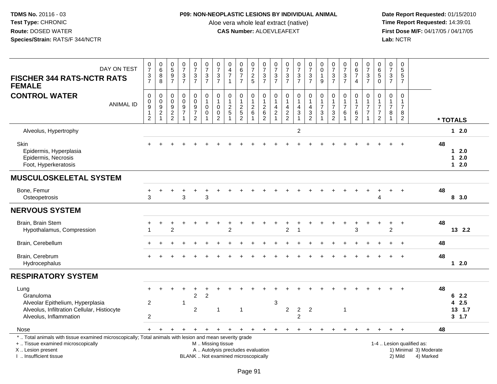# **P09: NON-NEOPLASTIC LESIONS BY INDIVIDUAL ANIMAL**

Aloe vera whole leaf extract (native)<br>**CAS Number:** ALOEVLEAFEXT

| DAY ON TEST<br><b>FISCHER 344 RATS-NCTR RATS</b><br><b>FEMALE</b>                                                                                                                             | $\frac{0}{7}$<br>$\frac{3}{7}$                                     | $\begin{array}{c} 0 \\ 6 \end{array}$<br>$\bf 8$<br>8 | $\begin{array}{c} 0 \\ 5 \end{array}$<br>$\frac{9}{7}$ | $\frac{0}{7}$<br>$\frac{3}{7}$                                                   | $\frac{0}{7}$<br>$\frac{3}{7}$                                           | $\frac{0}{7}$<br>$\frac{3}{7}$                           | $\frac{0}{7}$<br>$\frac{3}{7}$                                          | 0<br>$\overline{4}$<br>$\overline{7}$<br>$\overline{1}$                  | $\begin{array}{c} 0 \\ 6 \\ 7 \end{array}$<br>$\overline{7}$              | 0<br>$\overline{7}$<br>$\frac{2}{5}$            | $\frac{0}{7}$<br>$\mathbf{3}$<br>$\overline{7}$                            | $\frac{0}{7}$<br>$\ensuremath{\mathsf{3}}$<br>$\overline{7}$ | $\frac{0}{7}$<br>$\frac{3}{7}$                    | $\frac{0}{7}$<br>$\frac{3}{7}$                              | $\frac{0}{7}$<br>$\frac{3}{7}$                                   | $\pmb{0}$<br>$\mathbf 0$<br>$\mathbf{1}$<br>9                               | $\frac{0}{7}$<br>$\sqrt{3}$<br>$\overline{7}$   | $\frac{0}{7}$<br>$\ensuremath{\mathsf{3}}$<br>$\overline{7}$         | $\begin{array}{c} 0 \\ 6 \\ 7 \end{array}$<br>$\overline{4}$ | $\frac{0}{7}$<br>3<br>$\overline{7}$  | $\begin{array}{c} 0 \\ 6 \end{array}$<br>$\sqrt{5}$<br>$\Omega$                     | 0<br>$\overline{7}$<br>3<br>$\overline{7}$                         | 0<br>$\overline{5}$<br>5<br>$\overline{7}$                |                                                                  |    |                                   |
|-----------------------------------------------------------------------------------------------------------------------------------------------------------------------------------------------|--------------------------------------------------------------------|-------------------------------------------------------|--------------------------------------------------------|----------------------------------------------------------------------------------|--------------------------------------------------------------------------|----------------------------------------------------------|-------------------------------------------------------------------------|--------------------------------------------------------------------------|---------------------------------------------------------------------------|-------------------------------------------------|----------------------------------------------------------------------------|--------------------------------------------------------------|---------------------------------------------------|-------------------------------------------------------------|------------------------------------------------------------------|-----------------------------------------------------------------------------|-------------------------------------------------|----------------------------------------------------------------------|--------------------------------------------------------------|---------------------------------------|-------------------------------------------------------------------------------------|--------------------------------------------------------------------|-----------------------------------------------------------|------------------------------------------------------------------|----|-----------------------------------|
| <b>CONTROL WATER</b><br><b>ANIMAL ID</b>                                                                                                                                                      | 0<br>$\pmb{0}$<br>$\overline{9}$<br>$\mathbf{1}$<br>$\overline{2}$ | 0<br>$\pmb{0}$<br>$\frac{9}{2}$<br>$\mathbf{1}$       | $\mathbf 0$<br>$\boldsymbol{0}$<br>$\frac{9}{2}$       | $\pmb{0}$<br>$\mathbf 0$<br>$\boldsymbol{9}$<br>$\boldsymbol{7}$<br>$\mathbf{1}$ | 0<br>$\mathbf 0$<br>$\boldsymbol{9}$<br>$\overline{7}$<br>$\overline{2}$ | $\pmb{0}$<br>$\mathbf{1}$<br>$\pmb{0}$<br>$\pmb{0}$<br>1 | $\mathbf 0$<br>$\mathbf{1}$<br>$\pmb{0}$<br>$\pmb{0}$<br>$\overline{2}$ | 0<br>$\mathbf{1}$<br>$\sqrt{2}$<br>$\sqrt{5}$                            | $\mathbf 0$<br>$\mathbf{1}$<br>$\sqrt{2}$<br>$\sqrt{5}$<br>$\overline{2}$ | 0<br>$\mathbf{1}$<br>$\sqrt{2}$<br>$\,6\,$<br>1 | $\mathbf 0$<br>$\mathbf{1}$<br>$\overline{c}$<br>$\,6\,$<br>$\overline{2}$ | 0<br>$\mathbf{1}$<br>4<br>$\overline{c}$<br>$\overline{1}$   | $\mathbf 0$<br>$\mathbf{1}$<br>4<br>$\frac{2}{2}$ | $\mathbf 0$<br>$\mathbf{1}$<br>$\overline{4}$<br>$\sqrt{3}$ | $\mathbf 0$<br>$\overline{1}$<br>$\overline{4}$<br>$\frac{3}{2}$ | $\pmb{0}$<br>$\mathbf{1}$<br>$\overline{7}$<br>$\sqrt{3}$<br>$\overline{1}$ | 0<br>1<br>$\overline{7}$<br>3<br>$\overline{2}$ | $\mathbf 0$<br>$\mathbf{1}$<br>$\overline{7}$<br>6<br>$\overline{1}$ | 0<br>$\mathbf{1}$<br>$\overline{7}$<br>6<br>$\overline{2}$   | 0<br>$\overline{7}$<br>$\overline{7}$ | $\mathbf 0$<br>$\overline{1}$<br>$\overline{7}$<br>$\overline{7}$<br>$\overline{2}$ | $\mathbf 0$<br>$\mathbf{1}$<br>$\overline{7}$<br>8<br>$\mathbf{1}$ | $\mathbf 0$<br>1<br>$\overline{7}$<br>8<br>$\overline{2}$ |                                                                  |    | * TOTALS                          |
| Alveolus, Hypertrophy                                                                                                                                                                         |                                                                    |                                                       |                                                        |                                                                                  |                                                                          |                                                          |                                                                         |                                                                          |                                                                           |                                                 |                                                                            |                                                              |                                                   | $\overline{2}$                                              |                                                                  |                                                                             |                                                 |                                                                      |                                                              |                                       |                                                                                     |                                                                    |                                                           |                                                                  |    | $12.0$                            |
| <b>Skin</b><br>Epidermis, Hyperplasia<br>Epidermis, Necrosis<br>Foot, Hyperkeratosis                                                                                                          |                                                                    |                                                       |                                                        |                                                                                  |                                                                          |                                                          |                                                                         |                                                                          |                                                                           |                                                 |                                                                            |                                                              |                                                   |                                                             |                                                                  |                                                                             |                                                 |                                                                      |                                                              |                                       |                                                                                     |                                                                    |                                                           |                                                                  | 48 | $12.0$<br>$12.0$<br>$12.0$        |
| <b>MUSCULOSKELETAL SYSTEM</b>                                                                                                                                                                 |                                                                    |                                                       |                                                        |                                                                                  |                                                                          |                                                          |                                                                         |                                                                          |                                                                           |                                                 |                                                                            |                                                              |                                                   |                                                             |                                                                  |                                                                             |                                                 |                                                                      |                                                              |                                       |                                                                                     |                                                                    |                                                           |                                                                  |    |                                   |
| Bone, Femur<br>Osteopetrosis                                                                                                                                                                  | 3                                                                  |                                                       |                                                        | 3                                                                                |                                                                          | 3                                                        |                                                                         |                                                                          |                                                                           |                                                 |                                                                            |                                                              |                                                   |                                                             |                                                                  |                                                                             |                                                 |                                                                      |                                                              |                                       | 4                                                                                   |                                                                    |                                                           |                                                                  | 48 | 8 3.0                             |
| <b>NERVOUS SYSTEM</b>                                                                                                                                                                         |                                                                    |                                                       |                                                        |                                                                                  |                                                                          |                                                          |                                                                         |                                                                          |                                                                           |                                                 |                                                                            |                                                              |                                                   |                                                             |                                                                  |                                                                             |                                                 |                                                                      |                                                              |                                       |                                                                                     |                                                                    |                                                           |                                                                  |    |                                   |
| Brain, Brain Stem<br>Hypothalamus, Compression                                                                                                                                                |                                                                    |                                                       | $\overline{2}$                                         |                                                                                  |                                                                          |                                                          |                                                                         | $\overline{2}$                                                           |                                                                           |                                                 |                                                                            |                                                              | $\overline{2}$                                    |                                                             |                                                                  |                                                                             |                                                 |                                                                      | 3                                                            |                                       |                                                                                     | +<br>$\overline{2}$                                                | $\ddot{}$                                                 |                                                                  | 48 | 13 2.2                            |
| Brain, Cerebellum                                                                                                                                                                             |                                                                    |                                                       |                                                        |                                                                                  |                                                                          |                                                          |                                                                         |                                                                          |                                                                           |                                                 |                                                                            |                                                              |                                                   |                                                             |                                                                  |                                                                             |                                                 |                                                                      |                                                              |                                       |                                                                                     |                                                                    |                                                           |                                                                  | 48 |                                   |
| Brain, Cerebrum<br>Hydrocephalus                                                                                                                                                              |                                                                    |                                                       |                                                        |                                                                                  |                                                                          |                                                          |                                                                         |                                                                          |                                                                           |                                                 |                                                                            |                                                              |                                                   |                                                             |                                                                  |                                                                             |                                                 |                                                                      |                                                              |                                       |                                                                                     |                                                                    |                                                           |                                                                  | 48 | $12.0$                            |
| <b>RESPIRATORY SYSTEM</b>                                                                                                                                                                     |                                                                    |                                                       |                                                        |                                                                                  |                                                                          |                                                          |                                                                         |                                                                          |                                                                           |                                                 |                                                                            |                                                              |                                                   |                                                             |                                                                  |                                                                             |                                                 |                                                                      |                                                              |                                       |                                                                                     |                                                                    |                                                           |                                                                  |    |                                   |
| Lung<br>Granuloma<br>Alveolar Epithelium, Hyperplasia<br>Alveolus, Infiltration Cellular, Histiocyte<br>Alveolus, Inflammation                                                                | $\overline{2}$<br>$\overline{c}$                                   |                                                       |                                                        | $\mathbf{1}$                                                                     | $\overline{2}$<br>$\overline{2}$                                         | $\overline{2}$                                           | $\mathbf{1}$                                                            |                                                                          | $\overline{1}$                                                            |                                                 |                                                                            | 3                                                            | $\overline{2}$                                    | $\overline{2}$<br>$\overline{c}$                            | $\overline{2}$                                                   |                                                                             |                                                 | $\mathbf{1}$                                                         |                                                              |                                       |                                                                                     |                                                                    |                                                           |                                                                  | 48 | 62.2<br>42.5<br>13, 1.7<br>3, 1.7 |
| Nose                                                                                                                                                                                          | $+$                                                                |                                                       |                                                        |                                                                                  |                                                                          |                                                          | $\ddot{}$                                                               | $\ddot{}$                                                                |                                                                           | $\overline{+}$                                  |                                                                            |                                                              | $\pm$                                             | $\div$                                                      | +                                                                |                                                                             |                                                 |                                                                      |                                                              |                                       |                                                                                     |                                                                    |                                                           |                                                                  | 48 |                                   |
| *  Total animals with tissue examined microscopically; Total animals with lesion and mean severity grade<br>+  Tissue examined microscopically<br>X  Lesion present<br>I. Insufficient tissue |                                                                    |                                                       |                                                        |                                                                                  |                                                                          | M  Missing tissue                                        |                                                                         | A  Autolysis precludes evaluation<br>BLANK  Not examined microscopically |                                                                           |                                                 |                                                                            |                                                              |                                                   |                                                             |                                                                  |                                                                             |                                                 |                                                                      |                                                              |                                       |                                                                                     |                                                                    | 2) Mild                                                   | 1-4  Lesion qualified as:<br>1) Minimal 3) Moderate<br>4) Marked |    |                                   |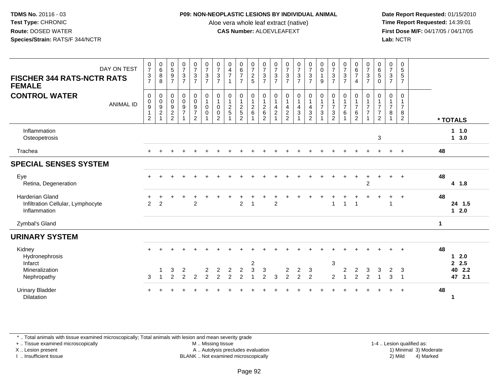## **P09: NON-NEOPLASTIC LESIONS BY INDIVIDUAL ANIMAL**

Aloe vera whole leaf extract (native)<br>**CAS Number:** ALOEVLEAFEXT

 **Date Report Requested:** 01/15/2010 **First Dose M/F:** 04/17/05 / 04/17/05 Lab: NCTR **Lab:** NCTR

| <b>FISCHER 344 RATS-NCTR RATS</b><br><b>FEMALE</b>                          | DAY ON TEST      | $\frac{0}{7}$<br>$\frac{3}{7}$                                | $\begin{array}{c} 0 \\ 6 \end{array}$<br>8<br>8                                  | $\begin{array}{c} 0 \\ 5 \end{array}$<br>$\boldsymbol{9}$<br>$\overline{7}$ | $\begin{smallmatrix} 0\\7 \end{smallmatrix}$<br>$\frac{3}{7}$ | $\begin{array}{c} 0 \\ 7 \end{array}$<br>$\frac{3}{7}$                           | $\frac{0}{7}$<br>$\frac{3}{7}$                        | $\frac{0}{7}$<br>$\mathbf 3$<br>$\overline{7}$                    | 0<br>$\overline{4}$<br>$\overline{7}$             | $\begin{array}{c} 0 \\ 6 \\ 7 \end{array}$<br>$\overline{7}$ | $\frac{0}{7}$<br>$\frac{2}{5}$                     | $\frac{0}{7}$<br>$\sqrt{3}$<br>$\overline{7}$                  | $\frac{0}{7}$<br>$\mathsf 3$<br>$\overline{7}$        | $\frac{0}{7}$<br>$\frac{3}{7}$                                | $\frac{0}{7}$<br>$\frac{3}{7}$                       | $\frac{0}{7}$<br>$\frac{3}{7}$                                                                 | $\begin{smallmatrix} 0\\0 \end{smallmatrix}$<br>$\mathbf{1}$<br>9 | $\frac{0}{7}$<br>3<br>$\overline{7}$       | $\frac{0}{7}$<br>$\ensuremath{\mathsf{3}}$<br>$\overline{7}$ | $\begin{array}{c} 0 \\ 6 \\ 7 \end{array}$<br>$\overline{4}$   | $\frac{0}{7}$<br>$\sqrt{3}$<br>$\overline{7}$ | $\begin{array}{c} 0 \\ 6 \end{array}$<br>$\sqrt{5}$<br>$\Omega$                     | $\frac{0}{7}$<br>$\mathbf{3}$<br>$\overline{7}$          | $\mathbf 0$<br>5<br>5<br>$\overline{7}$                |                      |                                   |
|-----------------------------------------------------------------------------|------------------|---------------------------------------------------------------|----------------------------------------------------------------------------------|-----------------------------------------------------------------------------|---------------------------------------------------------------|----------------------------------------------------------------------------------|-------------------------------------------------------|-------------------------------------------------------------------|---------------------------------------------------|--------------------------------------------------------------|----------------------------------------------------|----------------------------------------------------------------|-------------------------------------------------------|---------------------------------------------------------------|------------------------------------------------------|------------------------------------------------------------------------------------------------|-------------------------------------------------------------------|--------------------------------------------|--------------------------------------------------------------|----------------------------------------------------------------|-----------------------------------------------|-------------------------------------------------------------------------------------|----------------------------------------------------------|--------------------------------------------------------|----------------------|-----------------------------------|
| <b>CONTROL WATER</b>                                                        | <b>ANIMAL ID</b> | $\pmb{0}$<br>$_{9}^{\rm 0}$<br>$\mathbf{1}$<br>$\overline{2}$ | $\mathbf 0$<br>$\mathbf 0$<br>$\overline{9}$<br>$\overline{c}$<br>$\overline{ }$ | 0<br>$\pmb{0}$<br>$\boldsymbol{9}$<br>$\frac{2}{2}$                         | $\pmb{0}$<br>$\pmb{0}$<br>$\overline{9}$<br>$\overline{7}$    | $\mathbf 0$<br>$\pmb{0}$<br>$\boldsymbol{9}$<br>$\overline{7}$<br>$\overline{2}$ | $\mathbf 0$<br>$\mathbf{1}$<br>$\pmb{0}$<br>$\pmb{0}$ | $\mathbf 0$<br>$\mathbf{1}$<br>$\mathbf 0$<br>0<br>$\overline{2}$ | 0<br>$\mathbf{1}$<br>$\overline{c}$<br>$\sqrt{5}$ | $\pmb{0}$<br>$\mathbf 1$<br>$\frac{2}{5}$<br>$\overline{2}$  | 0<br>$\overline{1}$<br>$\boldsymbol{2}$<br>$\,6\,$ | $\boldsymbol{0}$<br>$\frac{1}{2}$<br>$\,6\,$<br>$\overline{2}$ | 0<br>1<br>$\overline{\mathbf{4}}$<br>$\boldsymbol{2}$ | 0<br>$\mathbf{1}$<br>$\overline{\mathbf{4}}$<br>$\frac{2}{2}$ | $\mathbf 0$<br>$\overline{\mathbf{4}}$<br>$\sqrt{3}$ | $\mathbf 0$<br>$\overline{1}$<br>$\overline{4}$<br>$\ensuremath{\mathsf{3}}$<br>$\overline{2}$ | $\mathbf 0$<br>$\frac{1}{7}$<br>$\sqrt{3}$<br>$\overline{A}$      | 0<br>$\overline{7}$<br>3<br>$\overline{2}$ | 0<br>$\frac{1}{7}$<br>6                                      | 0<br>$\mathbf{1}$<br>$\overline{7}$<br>$\,6$<br>$\overline{2}$ | 0<br>$\overline{7}$<br>$\overline{7}$         | $\mathbf 0$<br>$\overline{1}$<br>$\overline{7}$<br>$\overline{7}$<br>$\overline{2}$ | 0<br>$\mathbf{1}$<br>$\overline{7}$<br>8<br>$\mathbf{1}$ | $\Omega$<br>1<br>$\overline{7}$<br>8<br>$\overline{2}$ |                      | * TOTALS                          |
| Inflammation<br>Osteopetrosis                                               |                  |                                                               |                                                                                  |                                                                             |                                                               |                                                                                  |                                                       |                                                                   |                                                   |                                                              |                                                    |                                                                |                                                       |                                                               |                                                      |                                                                                                |                                                                   |                                            |                                                              |                                                                |                                               | 3                                                                                   |                                                          |                                                        |                      | 1 1.0<br>13.0                     |
| Trachea                                                                     |                  |                                                               |                                                                                  |                                                                             |                                                               |                                                                                  |                                                       |                                                                   |                                                   |                                                              |                                                    |                                                                |                                                       |                                                               |                                                      |                                                                                                |                                                                   |                                            |                                                              |                                                                |                                               |                                                                                     |                                                          | $\overline{1}$                                         | 48                   |                                   |
| <b>SPECIAL SENSES SYSTEM</b>                                                |                  |                                                               |                                                                                  |                                                                             |                                                               |                                                                                  |                                                       |                                                                   |                                                   |                                                              |                                                    |                                                                |                                                       |                                                               |                                                      |                                                                                                |                                                                   |                                            |                                                              |                                                                |                                               |                                                                                     |                                                          |                                                        |                      |                                   |
| Eye<br>Retina, Degeneration                                                 |                  |                                                               |                                                                                  |                                                                             |                                                               |                                                                                  |                                                       |                                                                   |                                                   |                                                              |                                                    |                                                                |                                                       |                                                               |                                                      |                                                                                                |                                                                   |                                            |                                                              |                                                                | $\overline{2}$                                |                                                                                     |                                                          |                                                        | 48                   | 4 1.8                             |
| <b>Harderian Gland</b><br>Infiltration Cellular, Lymphocyte<br>Inflammation |                  | 2                                                             | $\overline{2}$                                                                   |                                                                             |                                                               | $\mathfrak{p}$                                                                   |                                                       |                                                                   |                                                   | $\overline{2}$                                               | $\overline{\phantom{a}}$                           |                                                                | $\overline{2}$                                        |                                                               |                                                      |                                                                                                |                                                                   |                                            | -1                                                           | $\overline{1}$                                                 |                                               |                                                                                     | 1                                                        | $\overline{1}$                                         | 48                   | 24 1.5<br>$12.0$                  |
| Zymbal's Gland                                                              |                  |                                                               |                                                                                  |                                                                             |                                                               |                                                                                  |                                                       |                                                                   |                                                   |                                                              |                                                    |                                                                |                                                       |                                                               |                                                      |                                                                                                |                                                                   |                                            |                                                              |                                                                |                                               |                                                                                     |                                                          |                                                        | $\blacktriangleleft$ |                                   |
| <b>URINARY SYSTEM</b>                                                       |                  |                                                               |                                                                                  |                                                                             |                                                               |                                                                                  |                                                       |                                                                   |                                                   |                                                              |                                                    |                                                                |                                                       |                                                               |                                                      |                                                                                                |                                                                   |                                            |                                                              |                                                                |                                               |                                                                                     |                                                          |                                                        |                      |                                   |
| Kidney<br>Hydronephrosis<br>Infarct<br>Mineralization<br>Nephropathy        |                  | 3                                                             | $\overline{1}$                                                                   | 3<br>2                                                                      | 2<br>$\overline{2}$                                           | $\overline{2}$                                                                   | 2<br>$\overline{2}$                                   | 2<br>$\overline{2}$                                               | 2<br>$\overline{2}$                               | $\overline{c}$<br>$\overline{2}$                             | 2<br>3<br>1                                        | 3<br>2                                                         | 3                                                     | 2<br>$\overline{2}$                                           | $\overline{2}$<br>2                                  | 3<br>2                                                                                         |                                                                   | $\sqrt{3}$<br>2                            | 2                                                            | 2<br>$\overline{2}$                                            | 3<br>2                                        | 3<br>$\overline{ }$                                                                 | 2<br>3                                                   | 3<br>$\overline{1}$                                    | 48                   | $12.0$<br>2.5<br>40 2.2<br>47 2.1 |
| <b>Urinary Bladder</b><br>Dilatation                                        |                  |                                                               |                                                                                  |                                                                             |                                                               |                                                                                  |                                                       |                                                                   |                                                   |                                                              |                                                    |                                                                |                                                       |                                                               |                                                      |                                                                                                |                                                                   |                                            |                                                              |                                                                |                                               |                                                                                     |                                                          |                                                        | 48                   | 1                                 |

\* .. Total animals with tissue examined microscopically; Total animals with lesion and mean severity grade

+ .. Tissue examined microscopically

X .. Lesion present

I .. Insufficient tissue

 M .. Missing tissueA .. Autolysis precludes evaluation

1-4 .. Lesion qualified as:<br>1) Minimal 3) Moderate BLANK .. Not examined microscopically 2) Mild 4) Marked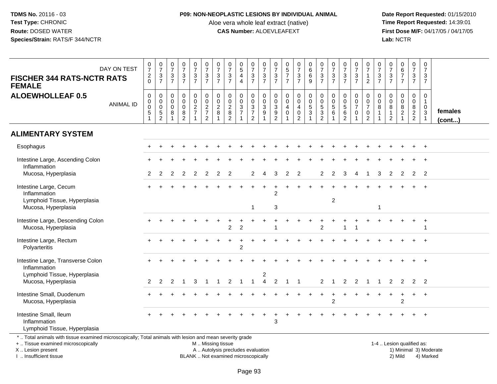# **P09: NON-NEOPLASTIC LESIONS BY INDIVIDUAL ANIMAL**

Aloe vera whole leaf extract (native)<br>**CAS Number:** ALOEVLEAFEXT

 **Date Report Requested:** 01/15/2010 **First Dose M/F:** 04/17/05 / 04/17/05 Lab: NCTR **Lab:** NCTR

| <b>FISCHER 344 RATS-NCTR RATS</b><br><b>FEMALE</b>                                                                                             | DAY ON TEST      | $\frac{0}{7}$<br>$\frac{2}{0}$                                  | $\begin{array}{c} 0 \\ 7 \end{array}$<br>$\frac{3}{7}$                             | $\frac{0}{7}$<br>$\sqrt{3}$<br>$\overline{7}$ | $\begin{array}{c} 0 \\ 7 \end{array}$<br>$\frac{3}{7}$           | $\frac{0}{7}$<br>$\mathbf{3}$<br>$\overline{7}$ | $\begin{array}{c} 0 \\ 7 \end{array}$<br>$\frac{3}{7}$            | $\frac{0}{7}$<br>3<br>$\overline{7}$              | $\frac{0}{7}$<br>$\mathbf 3$<br>$\overline{7}$                                  | $\begin{array}{c} 0 \\ 5 \end{array}$<br>$\overline{4}$<br>$\overline{4}$ | $\frac{0}{7}$<br>$\sqrt{3}$<br>$\overline{7}$   | $\frac{0}{7}$<br>$\frac{3}{7}$                                               | $\frac{0}{7}$<br>$\frac{3}{7}$                                                      | $\begin{array}{c} 0 \\ 5 \\ 7 \end{array}$<br>$\overline{7}$                  | $\frac{0}{7}$<br>$\frac{3}{7}$                                              | $\begin{array}{c} 0 \\ 6 \end{array}$<br>$\,6\,$<br>9                           | $\begin{array}{c} 0 \\ 7 \end{array}$<br>$\frac{3}{7}$                          | $\frac{0}{7}$<br>$\ensuremath{\mathsf{3}}$<br>$\overline{7}$ | $\frac{0}{7}$<br>$\frac{3}{7}$                                    | $\frac{0}{7}$<br>$\sqrt{3}$<br>$\overline{7}$                     | $\frac{0}{7}$<br>$\mathbf{1}$<br>$\overline{2}$                                  | $\frac{0}{7}$<br>3<br>$\overline{7}$ | $\frac{0}{7}$<br>$\frac{3}{7}$                                                    | $\begin{array}{c} 0 \\ 6 \\ 7 \end{array}$<br>$\overline{7}$    | $\frac{0}{7}$<br>3<br>$\overline{7}$                                             | 0<br>$\overline{7}$<br>3<br>$\overline{7}$                                |                         |
|------------------------------------------------------------------------------------------------------------------------------------------------|------------------|-----------------------------------------------------------------|------------------------------------------------------------------------------------|-----------------------------------------------|------------------------------------------------------------------|-------------------------------------------------|-------------------------------------------------------------------|---------------------------------------------------|---------------------------------------------------------------------------------|---------------------------------------------------------------------------|-------------------------------------------------|------------------------------------------------------------------------------|-------------------------------------------------------------------------------------|-------------------------------------------------------------------------------|-----------------------------------------------------------------------------|---------------------------------------------------------------------------------|---------------------------------------------------------------------------------|--------------------------------------------------------------|-------------------------------------------------------------------|-------------------------------------------------------------------|----------------------------------------------------------------------------------|--------------------------------------|-----------------------------------------------------------------------------------|-----------------------------------------------------------------|----------------------------------------------------------------------------------|---------------------------------------------------------------------------|-------------------------|
| <b>ALOEWHOLLEAF 0.5</b>                                                                                                                        | <b>ANIMAL ID</b> | $\pmb{0}$<br>$\pmb{0}$<br>$\overline{0}$<br>5<br>$\overline{1}$ | $\pmb{0}$<br>$\mathsf{O}\xspace$<br>$\ddot{\mathbf{0}}$<br>$5\,$<br>$\overline{2}$ | $\mathbf 0$<br>0<br>$\mathbf 0$<br>8          | $_{\rm 0}^{\rm 0}$<br>$\overline{0}$<br>$\, 8$<br>$\overline{2}$ | 0<br>$\overline{0}$<br>$\frac{2}{7}$            | $\begin{array}{c} 0 \\ 0 \\ 2 \\ 7 \end{array}$<br>$\overline{2}$ | $\mathbf 0$<br>$\mathbf 0$<br>$\overline{2}$<br>8 | $\begin{smallmatrix} 0\\0 \end{smallmatrix}$<br>$\frac{2}{8}$<br>$\overline{2}$ | 0<br>$\mathsf{O}\xspace$<br>$\frac{3}{7}$<br>$\mathbf{1}$                 | $\mathsf{O}$<br>$\frac{0}{3}$<br>$\overline{2}$ | $\mathsf{O}\xspace$<br>$\overline{0}$<br>$\overline{3}$<br>9<br>$\mathbf{1}$ | 0<br>$\mathbf 0$<br>$\ensuremath{\mathsf{3}}$<br>$\boldsymbol{9}$<br>$\overline{c}$ | $\mathbf 0$<br>$\mathbf 0$<br>$\overline{4}$<br>$\mathbf 0$<br>$\overline{1}$ | 0<br>$\ddot{\mathbf{0}}$<br>$\overline{4}$<br>$\mathbf 0$<br>$\overline{2}$ | $\begin{smallmatrix}0\0\0\5\end{smallmatrix}$<br>$\mathbf{3}$<br>$\overline{1}$ | $\begin{smallmatrix}0\0\0\5\end{smallmatrix}$<br>$\mathbf{3}$<br>$\overline{2}$ | 0<br>$\pmb{0}$<br>$\overline{5}$<br>6                        | $\begin{array}{c} 0 \\ 0 \\ 5 \\ 6 \end{array}$<br>$\overline{2}$ | 0<br>$\pmb{0}$<br>$\overline{7}$<br>$\mathbf 0$<br>$\overline{1}$ | $\mathbf 0$<br>$\overline{0}$<br>$\overline{7}$<br>$\mathbf 0$<br>$\overline{2}$ | 0<br>$\mathbf 0$<br>8                | $\mathbf 0$<br>$\overline{0}$<br>$\overline{8}$<br>$\mathbf{1}$<br>$\overline{2}$ | $\begin{array}{c} 0 \\ 0 \\ 8 \\ 2 \end{array}$<br>$\mathbf{1}$ | $\mathbf 0$<br>$\mathbf 0$<br>$\overline{8}$<br>$\overline{2}$<br>$\overline{2}$ | $\mathbf 0$<br>$\mathbf{1}$<br>$\mathbf 0$<br>$\mathbf 3$<br>$\mathbf{1}$ | females<br>$($ cont $)$ |
| <b>ALIMENTARY SYSTEM</b>                                                                                                                       |                  |                                                                 |                                                                                    |                                               |                                                                  |                                                 |                                                                   |                                                   |                                                                                 |                                                                           |                                                 |                                                                              |                                                                                     |                                                                               |                                                                             |                                                                                 |                                                                                 |                                                              |                                                                   |                                                                   |                                                                                  |                                      |                                                                                   |                                                                 |                                                                                  |                                                                           |                         |
| Esophagus                                                                                                                                      |                  |                                                                 |                                                                                    |                                               |                                                                  |                                                 |                                                                   |                                                   |                                                                                 |                                                                           |                                                 |                                                                              |                                                                                     |                                                                               |                                                                             |                                                                                 |                                                                                 |                                                              |                                                                   |                                                                   |                                                                                  |                                      |                                                                                   |                                                                 |                                                                                  |                                                                           |                         |
| Intestine Large, Ascending Colon                                                                                                               |                  |                                                                 |                                                                                    |                                               |                                                                  |                                                 |                                                                   |                                                   |                                                                                 |                                                                           |                                                 |                                                                              |                                                                                     |                                                                               |                                                                             |                                                                                 |                                                                                 |                                                              |                                                                   |                                                                   |                                                                                  |                                      |                                                                                   |                                                                 |                                                                                  |                                                                           |                         |
| Inflammation<br>Mucosa, Hyperplasia                                                                                                            |                  | 2                                                               | 2                                                                                  | 2                                             | 2                                                                | 2                                               | 2                                                                 | 2                                                 | 2                                                                               |                                                                           |                                                 |                                                                              | 3                                                                                   | 2                                                                             | $\overline{2}$                                                              |                                                                                 | 2                                                                               | 2                                                            | 3                                                                 |                                                                   |                                                                                  | 3                                    | 2                                                                                 | 2                                                               | 2                                                                                | $\overline{2}$                                                            |                         |
| Intestine Large, Cecum<br>Inflammation<br>Lymphoid Tissue, Hyperplasia                                                                         |                  |                                                                 |                                                                                    |                                               |                                                                  |                                                 |                                                                   |                                                   |                                                                                 |                                                                           |                                                 |                                                                              | 2                                                                                   |                                                                               |                                                                             |                                                                                 |                                                                                 | $\overline{2}$                                               |                                                                   |                                                                   |                                                                                  |                                      |                                                                                   |                                                                 |                                                                                  |                                                                           |                         |
| Mucosa, Hyperplasia                                                                                                                            |                  |                                                                 |                                                                                    |                                               |                                                                  |                                                 |                                                                   |                                                   |                                                                                 |                                                                           | $\mathbf 1$                                     |                                                                              | 3                                                                                   |                                                                               |                                                                             |                                                                                 |                                                                                 |                                                              |                                                                   |                                                                   |                                                                                  | $\overline{1}$                       |                                                                                   |                                                                 |                                                                                  |                                                                           |                         |
| Intestine Large, Descending Colon<br>Mucosa, Hyperplasia                                                                                       |                  |                                                                 |                                                                                    |                                               |                                                                  |                                                 |                                                                   |                                                   | $\overline{2}$                                                                  | $\overline{c}$                                                            |                                                 |                                                                              |                                                                                     |                                                                               |                                                                             |                                                                                 | $\overline{2}$                                                                  |                                                              | $\overline{1}$                                                    |                                                                   |                                                                                  |                                      |                                                                                   |                                                                 |                                                                                  |                                                                           |                         |
| Intestine Large, Rectum<br>Polyarteritis                                                                                                       |                  |                                                                 |                                                                                    |                                               |                                                                  |                                                 |                                                                   |                                                   |                                                                                 | $\ddot{}$<br>$\overline{2}$                                               | $\pm$                                           |                                                                              |                                                                                     |                                                                               |                                                                             |                                                                                 |                                                                                 |                                                              |                                                                   |                                                                   |                                                                                  |                                      |                                                                                   |                                                                 |                                                                                  |                                                                           |                         |
| Intestine Large, Transverse Colon<br>Inflammation                                                                                              |                  |                                                                 |                                                                                    |                                               |                                                                  |                                                 |                                                                   |                                                   |                                                                                 |                                                                           |                                                 |                                                                              |                                                                                     |                                                                               |                                                                             |                                                                                 |                                                                                 |                                                              |                                                                   |                                                                   |                                                                                  |                                      |                                                                                   |                                                                 |                                                                                  |                                                                           |                         |
| Lymphoid Tissue, Hyperplasia<br>Mucosa, Hyperplasia                                                                                            |                  | $\overline{2}$                                                  | 2                                                                                  | 2                                             |                                                                  | 3                                               | $\overline{1}$                                                    | 1                                                 | 2                                                                               | $\overline{1}$                                                            | $\mathbf{1}$                                    | $\overline{2}$<br>$\overline{4}$                                             | $\overline{2}$                                                                      | $\mathbf{1}$                                                                  | -1                                                                          |                                                                                 | $\overline{2}$                                                                  |                                                              | $\overline{2}$                                                    | $\overline{2}$                                                    | $\overline{1}$                                                                   | 1                                    | $\overline{2}$                                                                    | $\overline{2}$                                                  |                                                                                  | $2 \quad 2$                                                               |                         |
| Intestine Small, Duodenum<br>Mucosa, Hyperplasia                                                                                               |                  |                                                                 |                                                                                    |                                               |                                                                  |                                                 |                                                                   |                                                   |                                                                                 |                                                                           |                                                 |                                                                              |                                                                                     |                                                                               |                                                                             |                                                                                 |                                                                                 | $\overline{2}$                                               |                                                                   |                                                                   |                                                                                  |                                      |                                                                                   | $\ddot{}$<br>$\overline{2}$                                     | $+$                                                                              | $+$                                                                       |                         |
| Intestine Small, Ileum<br>Inflammation<br>Lymphoid Tissue, Hyperplasia                                                                         |                  |                                                                 |                                                                                    |                                               |                                                                  |                                                 |                                                                   |                                                   |                                                                                 |                                                                           |                                                 |                                                                              | 3                                                                                   |                                                                               |                                                                             |                                                                                 |                                                                                 |                                                              |                                                                   |                                                                   |                                                                                  |                                      |                                                                                   |                                                                 |                                                                                  |                                                                           |                         |
| *  Total animals with tissue examined microscopically; Total animals with lesion and mean severity grade<br>+  Tissue examined microscopically |                  |                                                                 |                                                                                    |                                               |                                                                  |                                                 | M  Missing tissue                                                 |                                                   |                                                                                 |                                                                           |                                                 |                                                                              |                                                                                     |                                                                               |                                                                             |                                                                                 |                                                                                 |                                                              |                                                                   |                                                                   |                                                                                  |                                      | 1-4  Lesion qualified as:                                                         |                                                                 |                                                                                  |                                                                           |                         |

X .. Lesion present

I .. Insufficient tissue

BLANK .. Not examined microscopically

A .. Autolysis precludes evaluation and the service of the service of the service of the service of the service of the service of the service of the service of the service of the service of the service of the service of th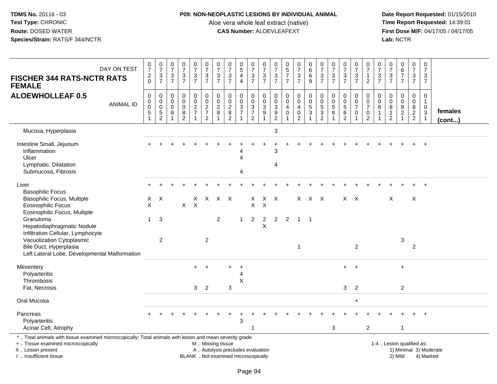## **P09: NON-NEOPLASTIC LESIONS BY INDIVIDUAL ANIMAL**

Aloe vera whole leaf extract (native)<br>**CAS Number:** ALOEVLEAFEXT

 **Date Report Requested:** 01/15/2010 **First Dose M/F:** 04/17/05 / 04/17/05 Lab: NCTR **Lab:** NCTR

| DAY ON TEST<br><b>FISCHER 344 RATS-NCTR RATS</b><br><b>FEMALE</b>                                                                                                                             | $\frac{0}{7}$<br>$\frac{2}{0}$                                     | $\frac{0}{7}$<br>$\frac{3}{7}$                 | $\frac{0}{7}$<br>$\frac{3}{7}$                                         | $\begin{array}{c} 0 \\ 7 \end{array}$<br>$\frac{3}{7}$               | $\begin{array}{c} 0 \\ 7 \end{array}$<br>$\frac{3}{7}$                       | $\frac{0}{7}$<br>$\frac{3}{7}$                   | $\begin{matrix}0\\7\end{matrix}$<br>$\frac{3}{7}$ | $\begin{array}{c} 0 \\ 7 \end{array}$<br>$\frac{3}{7}$                    | $\begin{array}{c} 0 \\ 5 \end{array}$<br>4<br>$\overline{4}$ | $\begin{array}{c} 0 \\ 7 \end{array}$<br>$\frac{3}{7}$              | $\frac{0}{7}$<br>$\frac{3}{7}$                                                          | 0<br>$\overline{7}$<br>$\sqrt{3}$<br>$\overline{7}$ | $\begin{array}{c} 0 \\ 5 \end{array}$<br>$\overline{7}$<br>$\overline{7}$ | $\frac{0}{7}$<br>$\frac{3}{7}$                         | $_{6}^{\rm 0}$<br>$\,6\,$<br>9                         | $\frac{0}{7}$<br>$\frac{3}{7}$                                                                         | $\pmb{0}$<br>$\overline{7}$<br>$\frac{3}{7}$            | $\frac{0}{7}$<br>$\frac{3}{7}$                                  | $\frac{0}{7}$<br>$\sqrt{3}$<br>$\overline{7}$                     | $\frac{0}{7}$<br>$\mathbf{1}$<br>$\overline{2}$                               | $\frac{0}{7}$<br>$\ensuremath{\mathsf{3}}$<br>$\overline{7}$ | 0<br>$\overline{7}$<br>$\frac{3}{7}$        | $\begin{array}{c} 0 \\ 6 \\ 7 \end{array}$<br>$\overline{7}$         | 0<br>$\boldsymbol{7}$<br>$\frac{3}{7}$                    | $\pmb{0}$<br>$\overline{7}$<br>3<br>$\overline{7}$                           |                        |
|-----------------------------------------------------------------------------------------------------------------------------------------------------------------------------------------------|--------------------------------------------------------------------|------------------------------------------------|------------------------------------------------------------------------|----------------------------------------------------------------------|------------------------------------------------------------------------------|--------------------------------------------------|---------------------------------------------------|---------------------------------------------------------------------------|--------------------------------------------------------------|---------------------------------------------------------------------|-----------------------------------------------------------------------------------------|-----------------------------------------------------|---------------------------------------------------------------------------|--------------------------------------------------------|--------------------------------------------------------|--------------------------------------------------------------------------------------------------------|---------------------------------------------------------|-----------------------------------------------------------------|-------------------------------------------------------------------|-------------------------------------------------------------------------------|--------------------------------------------------------------|---------------------------------------------|----------------------------------------------------------------------|-----------------------------------------------------------|------------------------------------------------------------------------------|------------------------|
| <b>ALOEWHOLLEAF 0.5</b><br><b>ANIMAL ID</b>                                                                                                                                                   | $\mathbf 0$<br>$_{\rm 0}^{\rm 0}$<br>$\mathbf 5$<br>$\overline{1}$ | $\mathsf 0$<br>0<br>$\pmb{0}$<br>$\frac{5}{2}$ | $\mathbf 0$<br>$\mathbf 0$<br>$\mathbf 0$<br>$\,8\,$<br>$\overline{1}$ | $\pmb{0}$<br>$\mathbf 0$<br>$\mathbf 0$<br>$\bf 8$<br>$\overline{2}$ | 0<br>$\mathsf{O}\xspace$<br>$\overline{2}$<br>$\overline{7}$<br>$\mathbf{1}$ | $\mathbf 0$<br>$\mathbf 0$<br>$\frac{2}{7}$<br>2 | 0<br>$_{2}^{\rm 0}$<br>8<br>1                     | $\mathbf 0$<br>$\mathbf 0$<br>$\overline{2}$<br>$\bf 8$<br>$\overline{2}$ | $\mathbf 0$<br>$\pmb{0}$<br>$\overline{3}$<br>$\overline{7}$ | $\mathbf 0$<br>$\mathbf 0$<br>$\overline{3}$<br>$\overline{7}$<br>2 | $\mathbf 0$<br>$\boldsymbol{0}$<br>$\overline{3}$<br>$\boldsymbol{9}$<br>$\overline{1}$ | 0<br>$\mathbf 0$<br>3<br>$\boldsymbol{9}$<br>2      | $\pmb{0}$<br>$\mathbf 0$<br>4<br>$\mathbf 0$<br>1                         | 0<br>$\mathbf 0$<br>4<br>$\mathsf 0$<br>$\overline{2}$ | $\mathbf 0$<br>$\mathbf 0$<br>$\overline{5}$<br>3<br>1 | $\pmb{0}$<br>$\begin{smallmatrix}0\\5\end{smallmatrix}$<br>$\ensuremath{\mathsf{3}}$<br>$\overline{2}$ | $\mathbf 0$<br>$\mathbf 0$<br>$\overline{5}$<br>$\,6\,$ | 0<br>$\mathbf 0$<br>$\overline{5}$<br>$\,6\,$<br>$\overline{2}$ | 0<br>$\mathbf 0$<br>$\overline{7}$<br>$\mathbf 0$<br>$\mathbf{1}$ | 0<br>$\boldsymbol{0}$<br>$\overline{7}$<br>$\boldsymbol{0}$<br>$\overline{2}$ | 0<br>0<br>8                                                  | 0<br>$\mathbf 0$<br>$\, 8$<br>$\frac{1}{2}$ | 0<br>$\mathsf 0$<br>$\overline{8}$<br>$\overline{2}$<br>$\mathbf{1}$ | 0<br>$\mathbf 0$<br>8<br>$\overline{a}$<br>$\overline{2}$ | $\mathbf 0$<br>$\mathbf{1}$<br>$\mathbf 0$<br>$\mathbf{3}$<br>$\overline{1}$ | females<br>(cont)      |
| Mucosa, Hyperplasia                                                                                                                                                                           |                                                                    |                                                |                                                                        |                                                                      |                                                                              |                                                  |                                                   |                                                                           |                                                              |                                                                     |                                                                                         | 3                                                   |                                                                           |                                                        |                                                        |                                                                                                        |                                                         |                                                                 |                                                                   |                                                                               |                                                              |                                             |                                                                      |                                                           |                                                                              |                        |
| Intestine Small, Jejunum<br>Inflammation<br>Ulcer<br>Lymphatic, Dilatation<br>Submucosa, Fibrosis                                                                                             |                                                                    |                                                |                                                                        |                                                                      |                                                                              |                                                  |                                                   |                                                                           | Δ<br>Λ                                                       |                                                                     |                                                                                         | 3<br>4                                              |                                                                           |                                                        |                                                        |                                                                                                        |                                                         |                                                                 |                                                                   |                                                                               |                                                              |                                             |                                                                      |                                                           |                                                                              |                        |
| Liver<br><b>Basophilic Focus</b><br>Basophilic Focus, Multiple<br><b>Eosinophilic Focus</b><br>Eosinophilic Focus, Multiple                                                                   | X<br>X                                                             | $\times$                                       |                                                                        | $\mathsf{X}$                                                         | X<br>$\times$                                                                | X.                                               | x x                                               |                                                                           |                                                              | X<br>$\pmb{\times}$                                                 | $\times$                                                                                | $X$ $X$                                             |                                                                           |                                                        | $X$ $X$ $X$                                            |                                                                                                        |                                                         | $X$ $X$                                                         |                                                                   |                                                                               |                                                              | $\times$                                    |                                                                      | X                                                         |                                                                              |                        |
| Granuloma<br>Hepatodiaphragmatic Nodule<br>Infiltration Cellular, Lymphocyte<br>Vacuolization Cytoplasmic<br>Bile Duct, Hyperplasia<br>Left Lateral Lobe, Developmental Malformation          | $\mathbf 1$                                                        | $\mathbf{3}$<br>2                              |                                                                        |                                                                      |                                                                              | 2                                                | $\overline{c}$                                    |                                                                           | $\mathbf{1}$                                                 | $\overline{2}$                                                      | $\boldsymbol{2}$<br>$\sf X$                                                             | $\overline{2}$                                      | $\overline{2}$                                                            | $\overline{1}$<br>$\mathbf{1}$                         | - 1                                                    |                                                                                                        |                                                         |                                                                 | $\overline{c}$                                                    |                                                                               |                                                              |                                             | 3                                                                    | $\overline{2}$                                            |                                                                              |                        |
| Mesentery<br>Polyarteritis<br><b>Thrombosis</b><br>Fat, Necrosis                                                                                                                              |                                                                    |                                                |                                                                        |                                                                      | $+$<br>3 <sup>1</sup>                                                        | $\overline{2}$                                   |                                                   | 3                                                                         | $\overline{1}$<br>$\overline{4}$<br>X                        |                                                                     |                                                                                         |                                                     |                                                                           |                                                        |                                                        |                                                                                                        |                                                         | 3                                                               | $+$<br>$\overline{2}$                                             |                                                                               |                                                              |                                             | $\ddot{}$<br>$\overline{2}$                                          |                                                           |                                                                              |                        |
| Oral Mucosa                                                                                                                                                                                   |                                                                    |                                                |                                                                        |                                                                      |                                                                              |                                                  |                                                   |                                                                           |                                                              |                                                                     |                                                                                         |                                                     |                                                                           |                                                        |                                                        |                                                                                                        |                                                         |                                                                 | $\ddot{}$                                                         |                                                                               |                                                              |                                             |                                                                      |                                                           |                                                                              |                        |
| Pancreas<br>Polyarteritis<br>Acinar Cell, Atrophy                                                                                                                                             |                                                                    |                                                |                                                                        |                                                                      |                                                                              |                                                  |                                                   |                                                                           | 3                                                            |                                                                     |                                                                                         |                                                     |                                                                           |                                                        |                                                        |                                                                                                        | $\mathbf{3}$                                            |                                                                 |                                                                   | $\overline{2}$                                                                |                                                              |                                             | $\overline{1}$                                                       |                                                           |                                                                              |                        |
| *  Total animals with tissue examined microscopically; Total animals with lesion and mean severity grade<br>+  Tissue examined microscopically<br>X  Lesion present<br>I  Insufficient tissue |                                                                    |                                                |                                                                        |                                                                      |                                                                              |                                                  | M  Missing tissue                                 | A  Autolysis precludes evaluation<br>BLANK  Not examined microscopically  |                                                              |                                                                     |                                                                                         |                                                     |                                                                           |                                                        |                                                        |                                                                                                        |                                                         |                                                                 |                                                                   |                                                                               |                                                              |                                             | 1-4  Lesion qualified as:<br>2) Mild                                 |                                                           | 4) Marked                                                                    | 1) Minimal 3) Moderate |

I .. Insufficient tissue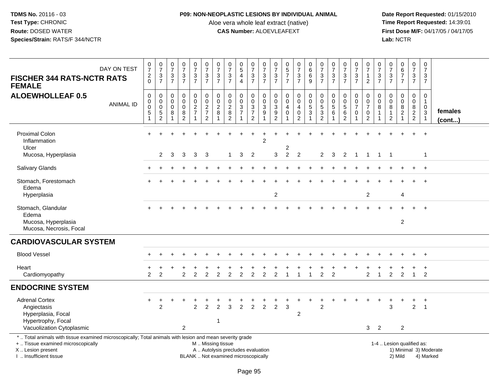## **P09: NON-NEOPLASTIC LESIONS BY INDIVIDUAL ANIMAL**

Aloe vera whole leaf extract (native)<br>**CAS Number:** ALOEVLEAFEXT

| DAY ON TEST<br><b>FISCHER 344 RATS-NCTR RATS</b><br><b>FEMALE</b>                                                                                                                             | $\frac{0}{7}$<br>$\frac{2}{0}$                                        | $\begin{smallmatrix}0\\7\end{smallmatrix}$<br>$\frac{3}{7}$ | 0<br>$\overline{7}$<br>$\frac{3}{7}$        | $\frac{0}{7}$<br>$\frac{3}{7}$                 | $\frac{0}{7}$<br>$\frac{3}{7}$                                                          | $\frac{0}{7}$<br>$\frac{3}{7}$                              | $\frac{0}{7}$<br>3<br>$\overline{7}$    | $\frac{0}{7}$<br>$\sqrt{3}$<br>$\overline{7}$                            | $\begin{array}{c} 0 \\ 5 \end{array}$<br>$\overline{4}$<br>$\overline{4}$ | 0<br>$\overline{7}$<br>$\frac{3}{7}$                                           | $\begin{array}{c} 0 \\ 7 \end{array}$<br>$\frac{3}{7}$              | 0<br>$\overline{7}$<br>3<br>$\overline{7}$                           | $\begin{array}{c} 0 \\ 5 \\ 7 \end{array}$<br>$\overline{7}$                  | $\frac{0}{7}$<br>$\frac{3}{7}$                         | $\pmb{0}$<br>$\,6\,$<br>$\,6\,$<br>$\overline{9}$                         | $\frac{0}{7}$<br>$\frac{3}{7}$                                             | 0<br>$\overline{7}$<br>$\mathbf{3}$<br>$\overline{7}$ | $\frac{0}{7}$<br>$\frac{3}{7}$                                | 0<br>$\overline{7}$<br>3<br>$\overline{7}$             | $\pmb{0}$<br>$\overline{7}$<br>$\mathbf{1}$<br>$\overline{2}$               | 0<br>$\overline{7}$<br>$\ensuremath{\mathsf{3}}$<br>$\overline{7}$ | 0<br>$\overline{7}$<br>$\sqrt{3}$<br>$\overline{7}$     | $\begin{array}{c} 0 \\ 6 \\ 7 \end{array}$<br>$\overline{7}$         | $\pmb{0}$<br>$\overline{7}$<br>$\frac{3}{7}$           | $\pmb{0}$<br>$\overline{7}$<br>$\mathbf{3}$<br>$\overline{7}$                             |                        |
|-----------------------------------------------------------------------------------------------------------------------------------------------------------------------------------------------|-----------------------------------------------------------------------|-------------------------------------------------------------|---------------------------------------------|------------------------------------------------|-----------------------------------------------------------------------------------------|-------------------------------------------------------------|-----------------------------------------|--------------------------------------------------------------------------|---------------------------------------------------------------------------|--------------------------------------------------------------------------------|---------------------------------------------------------------------|----------------------------------------------------------------------|-------------------------------------------------------------------------------|--------------------------------------------------------|---------------------------------------------------------------------------|----------------------------------------------------------------------------|-------------------------------------------------------|---------------------------------------------------------------|--------------------------------------------------------|-----------------------------------------------------------------------------|--------------------------------------------------------------------|---------------------------------------------------------|----------------------------------------------------------------------|--------------------------------------------------------|-------------------------------------------------------------------------------------------|------------------------|
| <b>ALOEWHOLLEAF 0.5</b><br><b>ANIMAL ID</b>                                                                                                                                                   | $\,0\,$<br>$\pmb{0}$<br>$\overline{0}$<br>$\mathbf 5$<br>$\mathbf{1}$ | $\mathbf 0$<br>0<br>0<br>5<br>$\overline{2}$                | $\mathbf 0$<br>$\mathbf 0$<br>$\Omega$<br>8 | 0<br>$\pmb{0}$<br>$\mathsf 0$<br>$\frac{8}{2}$ | $\pmb{0}$<br>$\mathbf 0$<br>$\overline{2}$<br>$\overline{7}$<br>$\overline{\mathbf{1}}$ | $\pmb{0}$<br>$\mathbf 0$<br>$\frac{2}{7}$<br>$\overline{2}$ | 0<br>$\mathbf 0$<br>$\overline{c}$<br>8 | 0<br>$\mathbf 0$<br>$\overline{2}$<br>8<br>$\overline{2}$                | 0<br>$\mathbf 0$<br>$\mathbf{3}$<br>$\overline{7}$                        | 0<br>$\mathsf{O}\xspace$<br>$\overline{3}$<br>$\overline{7}$<br>$\overline{c}$ | $\mathbf 0$<br>$\pmb{0}$<br>$\overline{3}$<br>$\boldsymbol{9}$<br>1 | 0<br>$\mathbf 0$<br>$\sqrt{3}$<br>$\boldsymbol{9}$<br>$\overline{2}$ | $\mathbf 0$<br>$\mathbf 0$<br>$\overline{a}$<br>$\mathbf 0$<br>$\overline{1}$ | 0<br>$\mathbf 0$<br>4<br>$\mathbf 0$<br>$\overline{2}$ | $\pmb{0}$<br>$\mathsf{O}\xspace$<br>$\overline{5}$<br>3<br>$\overline{1}$ | $\boldsymbol{0}$<br>$\begin{array}{c} 0 \\ 5 \end{array}$<br>$\frac{3}{2}$ | 0<br>$\mathbf 0$<br>$\overline{5}$<br>6               | 0<br>$\pmb{0}$<br>$\overline{5}$<br>$\,6\,$<br>$\overline{2}$ | 0<br>$\mathbf 0$<br>$\overline{7}$<br>$\mathbf 0$<br>1 | $\mathbf 0$<br>$\pmb{0}$<br>$\overline{7}$<br>$\mathbf 0$<br>$\overline{2}$ | $\mathbf 0$<br>$\mathbf 0$<br>8                                    | 0<br>$\mathbf 0$<br>8<br>$\mathbf{1}$<br>$\overline{2}$ | 0<br>$\pmb{0}$<br>$\overline{8}$<br>$\overline{c}$<br>$\overline{ }$ | $\mathbf 0$<br>$\mathbf 0$<br>$\bf 8$<br>$\frac{2}{2}$ | $\mathbf 0$<br>$\mathbf{1}$<br>$\mathbf 0$<br>$\ensuremath{\mathsf{3}}$<br>$\overline{1}$ | females<br>(cont)      |
| <b>Proximal Colon</b><br>Inflammation<br>Ulcer<br>Mucosa, Hyperplasia                                                                                                                         |                                                                       | $\overline{2}$                                              | 3                                           | 3                                              | 3                                                                                       | 3                                                           |                                         | 1                                                                        | 3                                                                         | 2                                                                              | $\overline{2}$                                                      | 3                                                                    | 2<br>$\overline{c}$                                                           | $\overline{2}$                                         |                                                                           | $\overline{2}$                                                             | 3                                                     | $\overline{2}$                                                | $\overline{1}$                                         | $\mathbf{1}$                                                                | $\mathbf{1}$                                                       | -1                                                      |                                                                      |                                                        | $\ddot{}$<br>$\overline{1}$                                                               |                        |
| Salivary Glands                                                                                                                                                                               |                                                                       |                                                             |                                             |                                                |                                                                                         |                                                             |                                         |                                                                          |                                                                           |                                                                                |                                                                     |                                                                      |                                                                               |                                                        |                                                                           |                                                                            |                                                       |                                                               |                                                        |                                                                             |                                                                    |                                                         |                                                                      |                                                        | $+$                                                                                       |                        |
| Stomach, Forestomach<br>Edema<br>Hyperplasia                                                                                                                                                  |                                                                       |                                                             |                                             |                                                |                                                                                         |                                                             |                                         |                                                                          |                                                                           |                                                                                |                                                                     | $\overline{c}$                                                       |                                                                               |                                                        |                                                                           |                                                                            |                                                       |                                                               |                                                        | $\overline{c}$                                                              |                                                                    |                                                         | $\overline{4}$                                                       |                                                        | $\ddot{+}$                                                                                |                        |
| Stomach, Glandular<br>Edema<br>Mucosa, Hyperplasia<br>Mucosa, Necrosis, Focal                                                                                                                 |                                                                       |                                                             |                                             |                                                |                                                                                         |                                                             |                                         |                                                                          |                                                                           |                                                                                |                                                                     |                                                                      |                                                                               |                                                        |                                                                           |                                                                            |                                                       |                                                               |                                                        |                                                                             |                                                                    |                                                         | $\overline{2}$                                                       |                                                        |                                                                                           |                        |
| <b>CARDIOVASCULAR SYSTEM</b>                                                                                                                                                                  |                                                                       |                                                             |                                             |                                                |                                                                                         |                                                             |                                         |                                                                          |                                                                           |                                                                                |                                                                     |                                                                      |                                                                               |                                                        |                                                                           |                                                                            |                                                       |                                                               |                                                        |                                                                             |                                                                    |                                                         |                                                                      |                                                        |                                                                                           |                        |
| <b>Blood Vessel</b>                                                                                                                                                                           |                                                                       |                                                             |                                             |                                                |                                                                                         |                                                             |                                         |                                                                          |                                                                           |                                                                                |                                                                     |                                                                      |                                                                               |                                                        |                                                                           |                                                                            |                                                       |                                                               |                                                        |                                                                             |                                                                    |                                                         |                                                                      |                                                        | $+$                                                                                       |                        |
| Heart<br>Cardiomyopathy                                                                                                                                                                       | $\overline{2}$                                                        | 2                                                           |                                             | $\overline{2}$                                 | $\overline{2}$                                                                          | 2                                                           | $\overline{2}$                          |                                                                          | $\overline{2}$                                                            | $\overline{2}$                                                                 | 2                                                                   | 2                                                                    |                                                                               |                                                        | -1                                                                        | $\overline{c}$                                                             | 2                                                     |                                                               |                                                        | $\overline{c}$                                                              | 1                                                                  | $\overline{2}$                                          | $\overline{2}$                                                       | $\mathbf{1}$                                           | $\overline{2}$                                                                            |                        |
| <b>ENDOCRINE SYSTEM</b>                                                                                                                                                                       |                                                                       |                                                             |                                             |                                                |                                                                                         |                                                             |                                         |                                                                          |                                                                           |                                                                                |                                                                     |                                                                      |                                                                               |                                                        |                                                                           |                                                                            |                                                       |                                                               |                                                        |                                                                             |                                                                    |                                                         |                                                                      |                                                        |                                                                                           |                        |
| <b>Adrenal Cortex</b><br>Angiectasis<br>Hyperplasia, Focal<br>Hypertrophy, Focal<br>Vacuolization Cytoplasmic                                                                                 |                                                                       | $\overline{c}$                                              |                                             | $\overline{2}$                                 | $\overline{c}$                                                                          | $\overline{c}$                                              | $\overline{2}$<br>1                     | 3                                                                        | $\overline{2}$                                                            | $\overline{2}$                                                                 | 2                                                                   | $\overline{2}$                                                       | 3                                                                             | $\overline{c}$                                         |                                                                           | $\overline{2}$                                                             |                                                       |                                                               |                                                        | 3                                                                           | $\overline{2}$                                                     | 3                                                       | 2                                                                    | $\overline{2}$                                         | $\overline{\mathbf{1}}$                                                                   |                        |
| *  Total animals with tissue examined microscopically; Total animals with lesion and mean severity grade<br>+  Tissue examined microscopically<br>X  Lesion present<br>I  Insufficient tissue |                                                                       |                                                             |                                             |                                                |                                                                                         | M  Missing tissue                                           |                                         | A  Autolysis precludes evaluation<br>BLANK  Not examined microscopically |                                                                           |                                                                                |                                                                     |                                                                      |                                                                               |                                                        |                                                                           |                                                                            |                                                       |                                                               |                                                        |                                                                             |                                                                    |                                                         | 1-4  Lesion qualified as:<br>2) Mild                                 |                                                        | 4) Marked                                                                                 | 1) Minimal 3) Moderate |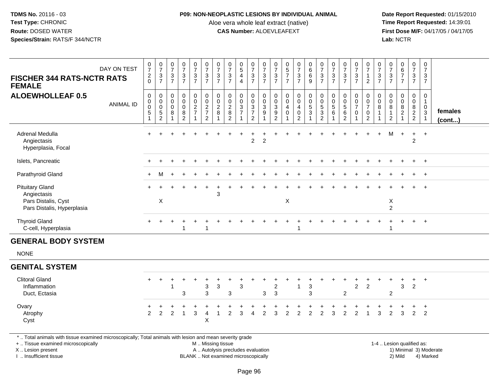#### **P09: NON-NEOPLASTIC LESIONS BY INDIVIDUAL ANIMAL**

Aloe vera whole leaf extract (native)<br>**CAS Number:** ALOEVLEAFEXT

 **Date Report Requested:** 01/15/2010 **First Dose M/F:** 04/17/05 / 04/17/05 Lab: NCTR **Lab:** NCTR

| DAY ON TEST<br><b>FISCHER 344 RATS-NCTR RATS</b><br><b>FEMALE</b>                                       | $\frac{0}{7}$<br>$\frac{2}{0}$                    | $\frac{0}{7}$<br>$\sqrt{3}$<br>$\overline{7}$                              | $\frac{0}{7}$<br>$\ensuremath{\mathsf{3}}$<br>$\overline{7}$ | $\frac{0}{7}$<br>3<br>$\overline{7}$            | $\frac{0}{7}$<br>$\frac{3}{7}$            | $\frac{0}{7}$<br>$\frac{3}{7}$                                        | $\frac{0}{7}$<br>$\ensuremath{\mathsf{3}}$<br>$\overline{7}$ | $\frac{0}{7}$<br>$\ensuremath{\mathsf{3}}$<br>$\overline{7}$ | $\begin{array}{c} 0 \\ 5 \end{array}$<br>$\overline{\mathbf{4}}$<br>$\overline{4}$ | $\frac{0}{7}$<br>$\frac{3}{7}$                              | $\frac{0}{7}$<br>$\ensuremath{\mathsf{3}}$<br>$\overline{7}$      | 0<br>$\overline{7}$<br>$\sqrt{3}$<br>$\overline{7}$ | $\begin{array}{c} 0 \\ 5 \\ 7 \end{array}$<br>$\overline{7}$ | $\frac{0}{7}$<br>$\frac{3}{7}$                               | 0<br>$\,6\,$<br>$\,6\,$<br>9                                         | $\frac{0}{7}$<br>$\ensuremath{\mathsf{3}}$<br>$\overline{7}$ | $\frac{0}{7}$<br>$\ensuremath{\mathsf{3}}$<br>$\overline{7}$ | $\frac{0}{7}$<br>$\frac{3}{7}$                            | 0<br>$\overline{7}$<br>$\frac{3}{7}$              | 0<br>$\overline{7}$<br>$\mathbf{1}$<br>$\sqrt{2}$                   | 0<br>$\overline{7}$<br>$\ensuremath{\mathsf{3}}$<br>$\overline{7}$ | 0<br>$\overline{7}$<br>3<br>$\overline{7}$             | $\begin{array}{c} 0 \\ 6 \\ 7 \end{array}$<br>$\overline{7}$ | $\frac{0}{7}$<br>$\frac{3}{7}$       | 0<br>$\overline{7}$<br>$\mathbf{3}$<br>$\overline{7}$ |                         |
|---------------------------------------------------------------------------------------------------------|---------------------------------------------------|----------------------------------------------------------------------------|--------------------------------------------------------------|-------------------------------------------------|-------------------------------------------|-----------------------------------------------------------------------|--------------------------------------------------------------|--------------------------------------------------------------|------------------------------------------------------------------------------------|-------------------------------------------------------------|-------------------------------------------------------------------|-----------------------------------------------------|--------------------------------------------------------------|--------------------------------------------------------------|----------------------------------------------------------------------|--------------------------------------------------------------|--------------------------------------------------------------|-----------------------------------------------------------|---------------------------------------------------|---------------------------------------------------------------------|--------------------------------------------------------------------|--------------------------------------------------------|--------------------------------------------------------------|--------------------------------------|-------------------------------------------------------|-------------------------|
| <b>ALOEWHOLLEAF 0.5</b><br><b>ANIMAL ID</b>                                                             | $\mathbf 0$<br>$\mathbf 0$<br>0<br>$\overline{5}$ | $\mathbf 0$<br>$\mathbf 0$<br>$\mathbf 0$<br>$\,$ 5 $\,$<br>$\overline{2}$ | 0<br>$\mathbf 0$<br>0<br>8                                   | 0<br>$\overline{0}$<br>0<br>8<br>$\overline{2}$ | 0<br>$\ddot{\mathbf{0}}$<br>$\frac{2}{7}$ | $\mathbf 0$<br>$\ddot{\mathbf{0}}$<br>$\frac{2}{7}$<br>$\overline{2}$ | 0<br>$\mathbf 0$<br>$\overline{c}$<br>8                      | 0<br>$\pmb{0}$<br>$\sqrt{2}$<br>$\,8\,$<br>2                 | 0<br>$\mathbf 0$<br>3<br>$\overline{7}$                                            | 0<br>$\ddot{\mathbf{0}}$<br>$\frac{3}{7}$<br>$\overline{2}$ | 0<br>$\mathbf 0$<br>$\ensuremath{\mathsf{3}}$<br>$\boldsymbol{9}$ | 0<br>0<br>3<br>$\boldsymbol{9}$<br>$\overline{2}$   | $\mathbf 0$<br>$\ddot{\mathbf{0}}$<br>4<br>$\pmb{0}$         | 0<br>$\ddot{\mathbf{0}}$<br>4<br>$\pmb{0}$<br>$\overline{2}$ | $\pmb{0}$<br>$\ddot{\mathbf{0}}$<br>$\overline{5}$<br>$\overline{3}$ | 0<br>$\mathbf 0$<br>5<br>$\overline{3}$<br>$\overline{2}$    | $\mathbf 0$<br>$\mathbf 0$<br>$\mathbf 5$<br>$\,6\,$         | 0<br>$\pmb{0}$<br>$\sqrt{5}$<br>$\,6\,$<br>$\overline{2}$ | 0<br>$\mathbf 0$<br>$\overline{7}$<br>$\mathbf 0$ | 0<br>$\mathbf 0$<br>$\overline{7}$<br>$\mathbf 0$<br>$\overline{2}$ | 0<br>$\mathbf 0$<br>8<br>$\mathbf{1}$                              | $\mathbf 0$<br>$\mathbf 0$<br>8<br>1<br>$\overline{2}$ | 0<br>$\mathbf 0$<br>8<br>$\overline{2}$                      | 0<br>$\overline{0}$<br>$\frac{8}{2}$ | 0<br>$\mathbf{1}$<br>$\mathbf 0$<br>$\overline{3}$    | females<br>$($ cont $)$ |
| Adrenal Medulla<br>Angiectasis<br>Hyperplasia, Focal                                                    |                                                   |                                                                            |                                                              |                                                 |                                           |                                                                       |                                                              |                                                              |                                                                                    | $\overline{2}$                                              | $\overline{c}$                                                    |                                                     |                                                              |                                                              |                                                                      |                                                              |                                                              |                                                           |                                                   |                                                                     | $+$                                                                | M                                                      | $\ddot{}$                                                    | $+$<br>$\overline{2}$                | $+$                                                   |                         |
| Islets, Pancreatic                                                                                      |                                                   |                                                                            |                                                              |                                                 |                                           |                                                                       |                                                              |                                                              |                                                                                    |                                                             |                                                                   |                                                     |                                                              |                                                              |                                                                      |                                                              |                                                              |                                                           |                                                   |                                                                     |                                                                    |                                                        |                                                              | $\ddot{}$                            | $+$                                                   |                         |
| Parathyroid Gland                                                                                       |                                                   | M                                                                          |                                                              |                                                 |                                           |                                                                       |                                                              |                                                              |                                                                                    |                                                             |                                                                   |                                                     |                                                              |                                                              |                                                                      |                                                              |                                                              |                                                           |                                                   |                                                                     |                                                                    |                                                        |                                                              |                                      | $^{+}$                                                |                         |
| <b>Pituitary Gland</b><br>Angiectasis<br>Pars Distalis, Cyst                                            |                                                   | X                                                                          |                                                              |                                                 |                                           |                                                                       | 3                                                            |                                                              |                                                                                    |                                                             |                                                                   |                                                     | X                                                            |                                                              |                                                                      |                                                              |                                                              |                                                           |                                                   |                                                                     |                                                                    | X                                                      |                                                              |                                      | $+$                                                   |                         |
| Pars Distalis, Hyperplasia                                                                              |                                                   |                                                                            |                                                              |                                                 |                                           |                                                                       |                                                              |                                                              |                                                                                    |                                                             |                                                                   |                                                     |                                                              |                                                              |                                                                      |                                                              |                                                              |                                                           |                                                   |                                                                     |                                                                    | $\overline{c}$                                         |                                                              |                                      |                                                       |                         |
| <b>Thyroid Gland</b><br>C-cell, Hyperplasia                                                             |                                                   |                                                                            |                                                              | 1                                               |                                           | $\overline{1}$                                                        |                                                              |                                                              |                                                                                    |                                                             |                                                                   |                                                     |                                                              | -1                                                           |                                                                      |                                                              |                                                              |                                                           |                                                   |                                                                     |                                                                    | -1                                                     |                                                              | $+$                                  | $+$                                                   |                         |
| <b>GENERAL BODY SYSTEM</b>                                                                              |                                                   |                                                                            |                                                              |                                                 |                                           |                                                                       |                                                              |                                                              |                                                                                    |                                                             |                                                                   |                                                     |                                                              |                                                              |                                                                      |                                                              |                                                              |                                                           |                                                   |                                                                     |                                                                    |                                                        |                                                              |                                      |                                                       |                         |
| <b>NONE</b>                                                                                             |                                                   |                                                                            |                                                              |                                                 |                                           |                                                                       |                                                              |                                                              |                                                                                    |                                                             |                                                                   |                                                     |                                                              |                                                              |                                                                      |                                                              |                                                              |                                                           |                                                   |                                                                     |                                                                    |                                                        |                                                              |                                      |                                                       |                         |
| <b>GENITAL SYSTEM</b>                                                                                   |                                                   |                                                                            |                                                              |                                                 |                                           |                                                                       |                                                              |                                                              |                                                                                    |                                                             |                                                                   |                                                     |                                                              |                                                              |                                                                      |                                                              |                                                              |                                                           |                                                   |                                                                     |                                                                    |                                                        |                                                              |                                      |                                                       |                         |
| <b>Clitoral Gland</b><br>Inflammation<br>Duct, Ectasia                                                  | $\div$                                            | $\ddot{}$                                                                  |                                                              | 3                                               |                                           | $\ensuremath{\mathsf{3}}$<br>$\mathbf{3}$                             | 3                                                            | 3                                                            | $\mathbf 3$                                                                        |                                                             | 3                                                                 | 2<br>$\mathbf{3}$                                   |                                                              | 1                                                            | 3<br>3                                                               |                                                              |                                                              | $\overline{2}$                                            | $\overline{2}$                                    | $\overline{c}$                                                      |                                                                    | $\overline{c}$                                         | 3                                                            | $+$<br>$\overline{2}$                | $+$                                                   |                         |
| Ovary<br>Atrophy<br>Cyst                                                                                | 2                                                 | $\overline{2}$                                                             | $\overline{2}$                                               | $\overline{1}$                                  | 3                                         | $\overline{4}$<br>X                                                   |                                                              | $\overline{2}$                                               | $\mathbf{3}$                                                                       | $\overline{4}$                                              | 2                                                                 | 3                                                   | $\overline{2}$                                               | $\overline{2}$                                               | $\overline{2}$                                                       | $\overline{2}$                                               | 3                                                            | $\overline{2}$                                            | $\overline{2}$                                    | $\overline{1}$                                                      | 3                                                                  | $\overline{2}$                                         | 3                                                            | $+$<br>$\overline{2}$                | $\ddot{}$<br>$\overline{2}$                           |                         |
| * Total animals with tissue examined microscopically: Total animals with lesion and mean severity grade |                                                   |                                                                            |                                                              |                                                 |                                           |                                                                       |                                                              |                                                              |                                                                                    |                                                             |                                                                   |                                                     |                                                              |                                                              |                                                                      |                                                              |                                                              |                                                           |                                                   |                                                                     |                                                                    |                                                        |                                                              |                                      |                                                       |                         |

\* .. Total animals with tissue examined microscopically; Total animals with lesion and mean severity grade

+ .. Tissue examined microscopicallyX .. Lesion present

M .. Missing tissue

BLANK .. Not examined microscopically

1-4 .. Lesion qualified as:<br>1) Minimal 3) Moderate A .. Autolysis precludes evaluation 19 and 10 minimal 3) Moderate 1 and 20 minimal 3) Moderate 19 minimal 3) Moderat<br>19 and 19 and 19 and 19 and 19 and 19 and 19 and 19 and 19 and 19 and 19 and 19 and 19 and 19 and 19 and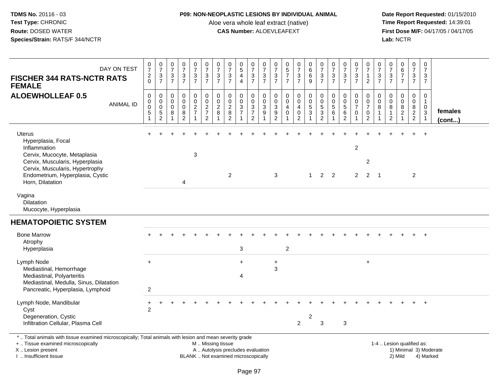## **P09: NON-NEOPLASTIC LESIONS BY INDIVIDUAL ANIMAL**

Aloe vera whole leaf extract (native)<br>**CAS Number:** ALOEVLEAFEXT

 **Date Report Requested:** 01/15/2010 **First Dose M/F:** 04/17/05 / 04/17/05 Lab: NCTR **Lab:** NCTR

| DAY ON TEST<br><b>FISCHER 344 RATS-NCTR RATS</b><br><b>FEMALE</b>                                                                                                                             | $\begin{smallmatrix}0\\7\end{smallmatrix}$<br>$\overline{2}$<br>$\Omega$ | $\frac{0}{7}$<br>$\mathbf{3}$<br>$\overline{7}$ | $\begin{array}{c} 0 \\ 7 \end{array}$<br>$\mathbf{3}$<br>$\overline{7}$ | $\frac{0}{7}$<br>$\frac{3}{7}$                   | $\frac{0}{7}$<br>$\frac{3}{7}$                    | $\pmb{0}$<br>$\overline{7}$<br>$\frac{3}{7}$                  | 0<br>$\overline{7}$<br>$\mathbf{3}$<br>$\overline{7}$ | $\frac{0}{7}$<br>$\frac{3}{7}$                                     | $\begin{array}{c} 0 \\ 5 \\ 4 \end{array}$<br>$\overline{4}$ | 0<br>$\overline{7}$<br>$rac{3}{7}$                  | $\frac{0}{7}$<br>$\frac{3}{7}$                          | 0<br>$\overline{7}$<br>$\frac{3}{7}$                                                 | $\begin{array}{c} 0 \\ 5 \\ 7 \end{array}$<br>$\overline{7}$ | $\frac{0}{7}$<br>$\frac{3}{7}$                                    | $_{6}^{\rm 0}$<br>$^6_9$                                                 | $\frac{0}{7}$<br>$\frac{3}{7}$                          | 0<br>$\overline{7}$<br>3<br>$\overline{7}$ | $\frac{0}{7}$<br>$\frac{3}{7}$                                           | $\begin{array}{c} 0 \\ 7 \end{array}$<br>$\ensuremath{\mathsf{3}}$<br>$\overline{7}$ | 0<br>$\boldsymbol{7}$<br>$\mathbf{1}$<br>$\overline{2}$ | 0<br>$\overline{7}$<br>$\frac{3}{7}$ | 0<br>$\overline{7}$<br>$\frac{3}{7}$                          | $\begin{array}{c} 0 \\ 6 \\ 7 \end{array}$<br>$\overline{7}$              | 0<br>$\boldsymbol{7}$<br>$\frac{3}{7}$       | $\mathbf 0$<br>$\overline{7}$<br>3<br>$\overline{7}$             |                   |
|-----------------------------------------------------------------------------------------------------------------------------------------------------------------------------------------------|--------------------------------------------------------------------------|-------------------------------------------------|-------------------------------------------------------------------------|--------------------------------------------------|---------------------------------------------------|---------------------------------------------------------------|-------------------------------------------------------|--------------------------------------------------------------------|--------------------------------------------------------------|-----------------------------------------------------|---------------------------------------------------------|--------------------------------------------------------------------------------------|--------------------------------------------------------------|-------------------------------------------------------------------|--------------------------------------------------------------------------|---------------------------------------------------------|--------------------------------------------|--------------------------------------------------------------------------|--------------------------------------------------------------------------------------|---------------------------------------------------------|--------------------------------------|---------------------------------------------------------------|---------------------------------------------------------------------------|----------------------------------------------|------------------------------------------------------------------|-------------------|
| <b>ALOEWHOLLEAF 0.5</b><br><b>ANIMAL ID</b>                                                                                                                                                   | $\mathbf 0$<br>$\boldsymbol{0}$<br>$\mathbf 0$<br>5<br>1                 | 0<br>0<br>$\mathbf 0$<br>$\frac{5}{2}$          | 0<br>$\mathbf 0$<br>$\mathbf 0$<br>8<br>$\overline{1}$                  | 0<br>$\mathbf 0$<br>$\mathbf 0$<br>$\frac{8}{2}$ | 0<br>$\mathbf 0$<br>$\frac{2}{7}$<br>$\mathbf{1}$ | $\mathbf 0$<br>$\mathsf 0$<br>$\frac{2}{7}$<br>$\overline{2}$ | 0<br>$\mathbf 0$<br>$\overline{2}$<br>8               | $\mathbf 0$<br>$\pmb{0}$<br>$\sqrt{2}$<br>$\, 8$<br>$\overline{2}$ | 0<br>$\pmb{0}$<br>$\mathbf{3}$<br>$\overline{7}$             | 0<br>$\mathbf 0$<br>$\frac{3}{7}$<br>$\overline{2}$ | $\mathbf 0$<br>$\mathsf{O}\xspace$<br>$\mathbf{3}$<br>9 | $\mathbf 0$<br>$\boldsymbol{0}$<br>$\mathsf 3$<br>$\boldsymbol{9}$<br>$\overline{2}$ | $\mathbf 0$<br>$\mathbf 0$<br>$\overline{4}$<br>0            | 0<br>$\mathsf{O}\xspace$<br>$\overline{4}$<br>0<br>$\overline{2}$ | 0<br>$\pmb{0}$<br>$\sqrt{5}$<br>$\ensuremath{\mathsf{3}}$<br>$\mathbf 1$ | 0<br>$\mathsf{O}\xspace$<br>$\sqrt{5}$<br>$\frac{3}{2}$ | $\mathbf{0}$<br>0<br>$\sqrt{5}$<br>6       | $\mathbf 0$<br>$\boldsymbol{0}$<br>$\sqrt{5}$<br>$\,6$<br>$\overline{2}$ | 0<br>$\pmb{0}$<br>$\overline{7}$<br>$\mathbf 0$<br>$\mathbf{1}$                      | 0<br>0<br>$\overline{7}$<br>0<br>$\overline{2}$         | $\Omega$<br>0<br>8<br>1<br>1         | 0<br>$\mathbf 0$<br>$\bf 8$<br>$\mathbf{1}$<br>$\overline{2}$ | $\mathbf 0$<br>$\mathbf 0$<br>$\bf 8$<br>$\overline{2}$<br>$\overline{1}$ | 0<br>$\mathbf 0$<br>$\bf 8$<br>$\frac{2}{2}$ | $\Omega$<br>$\overline{1}$<br>$\mathbf 0$<br>3<br>$\overline{1}$ | females<br>(cont) |
| <b>Uterus</b><br>Hyperplasia, Focal<br>Inflammation<br>Cervix, Mucocyte, Metaplasia<br>Cervix, Muscularis, Hyperplasia<br>Cervix, Muscularis, Hypertrophy<br>Endometrium, Hyperplasia, Cystic |                                                                          |                                                 |                                                                         |                                                  | $\mathbf{3}$                                      |                                                               |                                                       | $\overline{2}$                                                     |                                                              |                                                     |                                                         | 3                                                                                    |                                                              |                                                                   | $\mathbf{1}$                                                             | $2^{\circ}$                                             | 2                                          |                                                                          | $\overline{c}$<br>$\overline{2}$                                                     | $\overline{2}$<br>2                                     | $\overline{1}$                       |                                                               |                                                                           | $\overline{2}$                               | $\ddot{+}$                                                       |                   |
| Horn, Dilatation<br>Vagina<br><b>Dilatation</b><br>Mucocyte, Hyperplasia                                                                                                                      |                                                                          |                                                 |                                                                         | 4                                                |                                                   |                                                               |                                                       |                                                                    |                                                              |                                                     |                                                         |                                                                                      |                                                              |                                                                   |                                                                          |                                                         |                                            |                                                                          |                                                                                      |                                                         |                                      |                                                               |                                                                           |                                              |                                                                  |                   |
| <b>HEMATOPOIETIC SYSTEM</b>                                                                                                                                                                   |                                                                          |                                                 |                                                                         |                                                  |                                                   |                                                               |                                                       |                                                                    |                                                              |                                                     |                                                         |                                                                                      |                                                              |                                                                   |                                                                          |                                                         |                                            |                                                                          |                                                                                      |                                                         |                                      |                                                               |                                                                           |                                              |                                                                  |                   |
| <b>Bone Marrow</b><br>Atrophy<br>Hyperplasia                                                                                                                                                  |                                                                          |                                                 |                                                                         |                                                  |                                                   |                                                               |                                                       |                                                                    | 3                                                            |                                                     |                                                         |                                                                                      | $\overline{c}$                                               |                                                                   |                                                                          |                                                         |                                            |                                                                          |                                                                                      |                                                         |                                      |                                                               |                                                                           |                                              | $\ddot{}$                                                        |                   |
| Lymph Node<br>Mediastinal, Hemorrhage<br>Mediastinal, Polyarteritis<br>Mediastinal, Medulla, Sinus, Dilatation<br>Pancreatic, Hyperplasia, Lymphoid                                           | $\ddot{}$<br>2                                                           |                                                 |                                                                         |                                                  |                                                   |                                                               |                                                       |                                                                    | $\ddot{}$<br>$\overline{4}$                                  |                                                     |                                                         | $\ddot{}$<br>$\sqrt{3}$                                                              |                                                              |                                                                   |                                                                          |                                                         |                                            |                                                                          |                                                                                      | $\ddot{}$                                               |                                      |                                                               |                                                                           |                                              |                                                                  |                   |
| Lymph Node, Mandibular<br>Cyst<br>Degeneration, Cystic<br>Infiltration Cellular, Plasma Cell                                                                                                  | $\ddot{}$<br>2                                                           |                                                 |                                                                         |                                                  |                                                   |                                                               |                                                       |                                                                    |                                                              |                                                     |                                                         |                                                                                      |                                                              | $\overline{2}$                                                    | 2                                                                        | 3                                                       |                                            | $\mathbf{3}$                                                             |                                                                                      |                                                         |                                      |                                                               |                                                                           |                                              |                                                                  |                   |
| *  Total animals with tissue examined microscopically; Total animals with lesion and mean severity grade<br>+  Tissue examined microscopically                                                |                                                                          |                                                 |                                                                         |                                                  |                                                   | M  Missing tissue                                             |                                                       |                                                                    |                                                              |                                                     |                                                         |                                                                                      |                                                              |                                                                   |                                                                          |                                                         |                                            |                                                                          |                                                                                      |                                                         |                                      |                                                               | 1-4  Lesion qualified as:                                                 |                                              |                                                                  |                   |

X .. Lesion present

I .. Insufficient tissue

M .. Missing tissue

A .. Autolysis precludes evaluation

BLANK .. Not examined microscopically 2) Mild 4) Marked

1-4 .. Lesion qualified as:<br>1) Minimal 3) Moderate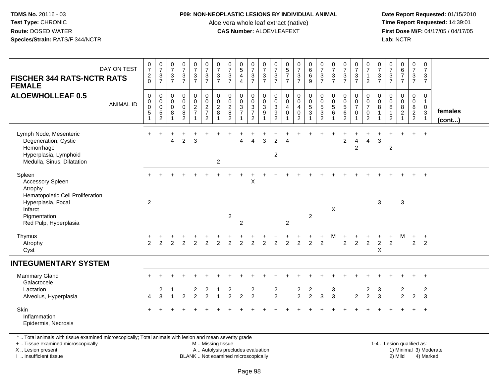#### **P09: NON-NEOPLASTIC LESIONS BY INDIVIDUAL ANIMAL**

Aloe vera whole leaf extract (native)<br>**CAS Number:** ALOEVLEAFEXT

 **Date Report Requested:** 01/15/2010 **First Dose M/F:** 04/17/05 / 04/17/05<br>**Lab:** NCTR **Lab:** NCTR

| <b>FISCHER 344 RATS-NCTR RATS</b><br><b>FEMALE</b>                                                                  | DAY ON TEST      | $\frac{0}{7}$<br>$\frac{2}{0}$                           | $\frac{0}{7}$<br>$\frac{3}{7}$                               | $\frac{0}{7}$<br>$\frac{3}{7}$ | $\frac{0}{7}$<br>$rac{3}{7}$                                     | $\begin{smallmatrix}0\\7\end{smallmatrix}$<br>$\frac{3}{7}$ | $\frac{0}{7}$<br>$\frac{3}{7}$                                               | $\frac{0}{7}$<br>$\mathbf 3$<br>$\overline{7}$ | $\frac{0}{7}$<br>$\frac{3}{7}$                              | $\begin{array}{c} 0 \\ 5 \\ 4 \end{array}$<br>$\overline{4}$ | $\begin{array}{c} 0 \\ 7 \\ 3 \\ 7 \end{array}$                                   | $\frac{0}{7}$<br>$\frac{3}{7}$                                            | $\frac{0}{7}$<br>$\frac{3}{7}$                             | $\begin{array}{c} 0 \\ 5 \\ 7 \end{array}$<br>$\overline{7}$                | $\begin{array}{c} 0 \\ 7 \\ 3 \\ 7 \end{array}$      | $0$<br>$6$<br>$9$                                                         | $\begin{smallmatrix}0\\7\end{smallmatrix}$<br>$\frac{3}{7}$                          | $\frac{0}{7}$<br>$\mathbf{3}$<br>$\overline{7}$ | $\frac{0}{7}$<br>$rac{3}{7}$                                               | $\frac{0}{7}$<br>$\frac{3}{7}$                                  | $\frac{0}{7}$<br>$\mathbf{1}$<br>$\overline{2}$                   | $\frac{0}{7}$<br>$\frac{3}{7}$ | $\frac{0}{7}$<br>$rac{3}{7}$                  | $\begin{array}{c} 0 \\ 6 \\ 7 \end{array}$<br>$\overline{7}$ | $\begin{smallmatrix}0\\7\end{smallmatrix}$<br>$\frac{3}{7}$    | 0<br>$\overline{7}$<br>$\mathbf{3}$<br>$\overline{7}$            |                         |
|---------------------------------------------------------------------------------------------------------------------|------------------|----------------------------------------------------------|--------------------------------------------------------------|--------------------------------|------------------------------------------------------------------|-------------------------------------------------------------|------------------------------------------------------------------------------|------------------------------------------------|-------------------------------------------------------------|--------------------------------------------------------------|-----------------------------------------------------------------------------------|---------------------------------------------------------------------------|------------------------------------------------------------|-----------------------------------------------------------------------------|------------------------------------------------------|---------------------------------------------------------------------------|--------------------------------------------------------------------------------------|-------------------------------------------------|----------------------------------------------------------------------------|-----------------------------------------------------------------|-------------------------------------------------------------------|--------------------------------|-----------------------------------------------|--------------------------------------------------------------|----------------------------------------------------------------|------------------------------------------------------------------|-------------------------|
| <b>ALOEWHOLLEAF 0.5</b>                                                                                             | <b>ANIMAL ID</b> | $\mathbf 0$<br>$\pmb{0}$<br>$\pmb{0}$<br>$\sqrt{5}$<br>1 | 0<br>$\pmb{0}$<br>$\pmb{0}$<br>$\,$ 5 $\,$<br>$\overline{2}$ | 0<br>$\mathbf 0$<br>0<br>8     | $\pmb{0}$<br>$\pmb{0}$<br>$\pmb{0}$<br>$\,8\,$<br>$\overline{2}$ | $\mathbf 0$<br>$\mathsf 0$<br>$\sqrt{2}$<br>$\overline{7}$  | $\pmb{0}$<br>$\mathbf 0$<br>$\sqrt{2}$<br>$\boldsymbol{7}$<br>$\overline{2}$ | 0<br>$\pmb{0}$<br>$\overline{c}$<br>8<br>1     | $\pmb{0}$<br>$\pmb{0}$<br>$\sqrt{2}$<br>8<br>$\overline{2}$ | 0<br>$\mathbf 0$<br>$\sqrt{3}$<br>$\overline{7}$             | 0<br>$\mathbf 0$<br>$\ensuremath{\mathsf{3}}$<br>$\overline{7}$<br>$\overline{2}$ | $\mathbf 0$<br>$\pmb{0}$<br>$\ensuremath{\mathsf{3}}$<br>$\boldsymbol{9}$ | 0<br>0<br>$\sqrt{3}$<br>$\boldsymbol{9}$<br>$\overline{2}$ | $\pmb{0}$<br>$\mathbf 0$<br>$\overline{4}$<br>$\mathbf 0$<br>$\overline{1}$ | 0<br>$\mathsf 0$<br>4<br>$\pmb{0}$<br>$\overline{2}$ | $\begin{smallmatrix}0\\0\end{smallmatrix}$<br>$\,$ 5 $\,$<br>$\mathbf{3}$ | $\pmb{0}$<br>$\pmb{0}$<br>$\,$ 5 $\,$<br>$\ensuremath{\mathsf{3}}$<br>$\overline{2}$ | 0<br>0<br>$\,$ 5 $\,$<br>$\,6\,$                | $\boldsymbol{0}$<br>$\mathbf 0$<br>$\sqrt{5}$<br>$\,6\,$<br>$\overline{2}$ | 0<br>$\pmb{0}$<br>$\overline{7}$<br>$\mathbf 0$<br>$\mathbf{1}$ | 0<br>$\pmb{0}$<br>$\boldsymbol{7}$<br>$\pmb{0}$<br>$\overline{2}$ | 0<br>0<br>8<br>-1<br>1         | 0<br>0<br>8<br>$\mathbf{1}$<br>$\overline{c}$ | $\mathbf 0$<br>$\pmb{0}$<br>8<br>$\overline{a}$              | 0<br>$\mathbf 0$<br>$\begin{array}{c} 8 \\ 2 \\ 2 \end{array}$ | 0<br>$\mathbf{1}$<br>$\mathbf 0$<br>$\mathbf{3}$<br>$\mathbf{1}$ | females<br>$($ cont $)$ |
| Lymph Node, Mesenteric<br>Degeneration, Cystic<br>Hemorrhage<br>Hyperplasia, Lymphoid<br>Medulla, Sinus, Dilatation |                  |                                                          |                                                              | 4                              | $\overline{c}$                                                   | 3                                                           |                                                                              | $\boldsymbol{2}$                               |                                                             | $\overline{4}$                                               | $\overline{4}$                                                                    | $\mathbf{3}$                                                              | $\overline{2}$<br>$\overline{2}$                           | $\Delta$                                                                    |                                                      |                                                                           |                                                                                      |                                                 | $\overline{c}$                                                             | $\overline{4}$<br>$\overline{2}$                                | $\overline{4}$                                                    | 3                              | $\overline{c}$                                |                                                              | $+$                                                            | $+$                                                              |                         |
| Spleen<br>Accessory Spleen<br>Atrophy<br>Hematopoietic Cell Proliferation<br>Hyperplasia, Focal<br>Infarct          |                  | $\overline{c}$                                           |                                                              |                                |                                                                  |                                                             |                                                                              |                                                |                                                             |                                                              | X                                                                                 |                                                                           |                                                            |                                                                             |                                                      |                                                                           |                                                                                      | X                                               |                                                                            |                                                                 |                                                                   | 3                              |                                               | $\sqrt{3}$                                                   |                                                                | $+$                                                              |                         |
| Pigmentation<br>Red Pulp, Hyperplasia                                                                               |                  |                                                          |                                                              |                                |                                                                  |                                                             |                                                                              |                                                | $\overline{c}$                                              | $\overline{2}$                                               |                                                                                   |                                                                           |                                                            | $\overline{2}$                                                              |                                                      | $\overline{2}$                                                            |                                                                                      |                                                 |                                                                            |                                                                 |                                                                   |                                |                                               |                                                              |                                                                |                                                                  |                         |
| Thymus<br>Atrophy<br>Cyst                                                                                           |                  | $\overline{2}$                                           | 2                                                            | 2                              | $\overline{2}$                                                   | 2                                                           | $\overline{2}$                                                               | $\overline{2}$                                 | 2                                                           | $\overline{2}$                                               | $\overline{c}$                                                                    | $\overline{2}$                                                            | $\overline{c}$                                             | $\overline{2}$                                                              | $\overline{2}$                                       | $\overline{2}$                                                            | $\overline{2}$                                                                       | M                                               | $\overline{2}$                                                             | $\overline{2}$                                                  | $\overline{2}$                                                    | $\overline{c}$<br>X            | $\ddot{}$<br>$\overline{2}$                   | м                                                            | $\ddot{}$<br>$\overline{2}$                                    | $+$<br>$\overline{2}$                                            |                         |
| <b>INTEGUMENTARY SYSTEM</b>                                                                                         |                  |                                                          |                                                              |                                |                                                                  |                                                             |                                                                              |                                                |                                                             |                                                              |                                                                                   |                                                                           |                                                            |                                                                             |                                                      |                                                                           |                                                                                      |                                                 |                                                                            |                                                                 |                                                                   |                                |                                               |                                                              |                                                                |                                                                  |                         |
| Mammary Gland<br>Galactocele                                                                                        |                  |                                                          |                                                              |                                |                                                                  |                                                             |                                                                              |                                                |                                                             |                                                              |                                                                                   |                                                                           |                                                            |                                                                             |                                                      |                                                                           |                                                                                      |                                                 |                                                                            |                                                                 |                                                                   |                                |                                               |                                                              |                                                                | $\ddot{}$                                                        |                         |
| Lactation<br>Alveolus, Hyperplasia                                                                                  |                  | $\overline{4}$                                           | $\overline{\mathbf{c}}$<br>$\overline{3}$                    |                                | $\overline{2}$                                                   | 2<br>$\overline{2}$                                         | 2<br>$\overline{2}$                                                          |                                                | 2<br>$\overline{2}$                                         | $\overline{2}$                                               | $\overline{\mathbf{c}}$<br>$\overline{2}$                                         |                                                                           | $\frac{2}{2}$                                              |                                                                             | $\frac{2}{2}$                                        | $\overline{\mathbf{c}}$<br>$\overline{a}$                                 | 3                                                                                    | $\ensuremath{\mathsf{3}}$<br>$\overline{3}$     |                                                                            | $\overline{2}$                                                  | $\overline{\mathbf{c}}$<br>$\overline{2}$                         | 3<br>$\mathbf{3}$              |                                               | $\overline{c}$<br>$\overline{2}$                             | $\overline{2}$                                                 | $\overline{c}$<br>$\mathbf{3}$                                   |                         |
| Skin<br>Inflammation<br>Epidermis, Necrosis                                                                         |                  |                                                          |                                                              |                                |                                                                  |                                                             |                                                                              |                                                |                                                             |                                                              |                                                                                   |                                                                           |                                                            |                                                                             |                                                      |                                                                           |                                                                                      |                                                 |                                                                            |                                                                 |                                                                   |                                |                                               |                                                              |                                                                | $\ddot{}$                                                        |                         |
| * Tetal subsets with theme emerges algorization that the subsets with leaful and several mode and the substitution  |                  |                                                          |                                                              |                                |                                                                  |                                                             |                                                                              |                                                |                                                             |                                                              |                                                                                   |                                                                           |                                                            |                                                                             |                                                      |                                                                           |                                                                                      |                                                 |                                                                            |                                                                 |                                                                   |                                |                                               |                                                              |                                                                |                                                                  |                         |

\* .. Total animals with tissue examined microscopically; Total animals with lesion and mean severity grade

+ .. Tissue examined microscopically

X .. Lesion present

I .. Insufficient tissue

 M .. Missing tissueA .. Autolysis precludes evaluation

1-4 .. Lesion qualified as:<br>1) Minimal 3) Moderate BLANK .. Not examined microscopically 2) Mild 4) Marked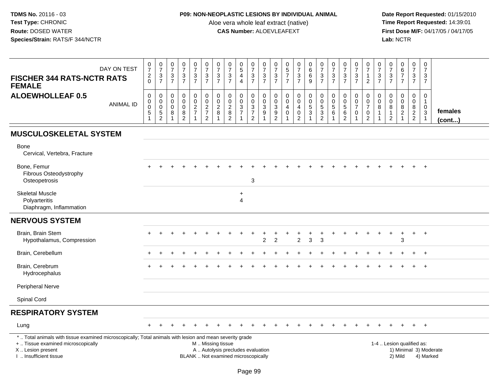## **P09: NON-NEOPLASTIC LESIONS BY INDIVIDUAL ANIMAL**

Aloe vera whole leaf extract (native)<br>**CAS Number:** ALOEVLEAFEXT

| <b>FISCHER 344 RATS-NCTR RATS</b><br><b>FEMALE</b>                                                                                                                                           | DAY ON TEST      | $\frac{0}{7}$<br>$\frac{2}{0}$             | $\frac{0}{7}$<br>$\frac{3}{7}$                                        | $\begin{array}{c} 0 \\ 7 \end{array}$<br>$\ensuremath{\mathsf{3}}$<br>$\overline{7}$ | $\begin{array}{c} 0 \\ 7 \end{array}$<br>$\frac{3}{7}$             | $\begin{smallmatrix}0\\7\end{smallmatrix}$<br>$\frac{3}{7}$ | $\frac{0}{7}$<br>$\frac{3}{7}$                             | $\frac{0}{7}$<br>$\ensuremath{\mathsf{3}}$<br>$\overline{7}$ | $\frac{0}{7}$<br>$\sqrt{3}$<br>$\overline{7}$                            | $\begin{array}{c} 0 \\ 5 \end{array}$<br>$\overline{\mathbf{4}}$<br>$\overline{4}$ | $\frac{0}{7}$<br>$\frac{3}{7}$                                      | $\begin{array}{c} 0 \\ 7 \end{array}$<br>$\frac{3}{7}$ | $\begin{array}{c} 0 \\ 7 \end{array}$<br>$\frac{3}{7}$    | $\begin{array}{c} 0 \\ 5 \\ 7 \end{array}$<br>$\overline{7}$                | $\frac{0}{7}$<br>$\frac{3}{7}$                                                     | $_{6}^{\rm 0}$<br>6<br>$\overline{9}$      | $\frac{0}{7}$<br>$\frac{3}{7}$                                     | $\begin{array}{c} 0 \\ 7 \end{array}$<br>$\sqrt{3}$<br>$\overline{7}$      | $\begin{array}{c} 0 \\ 7 \end{array}$<br>$\frac{3}{7}$                                 | $\begin{array}{c} 0 \\ 7 \end{array}$<br>$\frac{3}{7}$                      | $\begin{array}{c} 0 \\ 7 \end{array}$<br>$\mathbf{1}$<br>$\overline{2}$      | 0<br>$\overline{7}$<br>3<br>$\overline{7}$           | $\frac{0}{7}$<br>$\ensuremath{\mathsf{3}}$<br>$\overline{7}$     | $_{6}^{\rm 0}$<br>$\overline{7}$<br>$\overline{7}$      | $\frac{0}{7}$<br>$\frac{3}{7}$                      | $\frac{0}{7}$<br>3<br>$\overline{7}$                             |                         |
|----------------------------------------------------------------------------------------------------------------------------------------------------------------------------------------------|------------------|--------------------------------------------|-----------------------------------------------------------------------|--------------------------------------------------------------------------------------|--------------------------------------------------------------------|-------------------------------------------------------------|------------------------------------------------------------|--------------------------------------------------------------|--------------------------------------------------------------------------|------------------------------------------------------------------------------------|---------------------------------------------------------------------|--------------------------------------------------------|-----------------------------------------------------------|-----------------------------------------------------------------------------|------------------------------------------------------------------------------------|--------------------------------------------|--------------------------------------------------------------------|----------------------------------------------------------------------------|----------------------------------------------------------------------------------------|-----------------------------------------------------------------------------|------------------------------------------------------------------------------|------------------------------------------------------|------------------------------------------------------------------|---------------------------------------------------------|-----------------------------------------------------|------------------------------------------------------------------|-------------------------|
| <b>ALOEWHOLLEAF 0.5</b>                                                                                                                                                                      | <b>ANIMAL ID</b> | 0<br>0<br>$\pmb{0}$<br>5<br>$\overline{1}$ | $\,0\,$<br>$\pmb{0}$<br>$\pmb{0}$<br>$\overline{5}$<br>$\overline{c}$ | $\mathbf 0$<br>$\mathbf 0$<br>$\mathbf 0$<br>8<br>$\overline{1}$                     | $\mathbf 0$<br>$\mathbf 0$<br>$\mathsf{O}\xspace$<br>$\frac{8}{2}$ | $\pmb{0}$<br>$\mathbf 0$<br>$\frac{2}{7}$<br>$\mathbf{1}$   | $\Omega$<br>$\mathbf 0$<br>$\frac{2}{7}$<br>$\overline{c}$ | $\mathbf 0$<br>$\mathbf 0$<br>$\boldsymbol{2}$<br>8          | $\pmb{0}$<br>$\mathbf 0$<br>$\overline{2}$<br>$\bf 8$<br>$\overline{2}$  | $\mathbf 0$<br>$\mathbf 0$<br>3<br>$\overline{7}$<br>$\mathbf{1}$                  | $\pmb{0}$<br>$\mathsf{O}\xspace$<br>$\frac{3}{7}$<br>$\overline{2}$ | 0<br>$\mathbf 0$<br>$\sqrt{3}$<br>$\overline{9}$<br>1  | $\mathbf 0$<br>$\mathsf 0$<br>$\sqrt{3}$<br>$\frac{9}{2}$ | $\mathbf 0$<br>$\mathbf 0$<br>$\overline{4}$<br>$\pmb{0}$<br>$\overline{1}$ | $\pmb{0}$<br>$\mathbf 0$<br>$\overline{\mathbf{4}}$<br>$\pmb{0}$<br>$\overline{c}$ | $\pmb{0}$<br>$\frac{0}{5}$<br>$\mathbf{1}$ | 0<br>$\mathbf 0$<br>$\sqrt{5}$<br>$\overline{3}$<br>$\overline{2}$ | $\mathbf 0$<br>$\mathbf 0$<br>$\sqrt{5}$<br>$6\phantom{a}$<br>$\mathbf{1}$ | $\pmb{0}$<br>$\mathsf{O}\xspace$<br>$\overline{5}$<br>$6\phantom{a}$<br>$\overline{2}$ | $\mathbf 0$<br>$\mathbf 0$<br>$\overline{7}$<br>$\pmb{0}$<br>$\overline{1}$ | $\mathbf{0}$<br>$\mathbf 0$<br>$\overline{7}$<br>$\pmb{0}$<br>$\overline{2}$ | $\mathbf 0$<br>$\mathbf 0$<br>8<br>$\mathbf{1}$<br>1 | $\mathbf 0$<br>$\mathbf 0$<br>8<br>$\mathbf 1$<br>$\overline{c}$ | 0<br>$\mathsf 0$<br>8<br>$\overline{2}$<br>$\mathbf{1}$ | $\Omega$<br>$\mathbf 0$<br>$\bf 8$<br>$\frac{2}{2}$ | $\mathbf 0$<br>$\mathbf{1}$<br>0<br>$\mathbf{3}$<br>$\mathbf{1}$ | females<br>$($ cont $)$ |
| <b>MUSCULOSKELETAL SYSTEM</b>                                                                                                                                                                |                  |                                            |                                                                       |                                                                                      |                                                                    |                                                             |                                                            |                                                              |                                                                          |                                                                                    |                                                                     |                                                        |                                                           |                                                                             |                                                                                    |                                            |                                                                    |                                                                            |                                                                                        |                                                                             |                                                                              |                                                      |                                                                  |                                                         |                                                     |                                                                  |                         |
| Bone<br>Cervical, Vertebra, Fracture                                                                                                                                                         |                  |                                            |                                                                       |                                                                                      |                                                                    |                                                             |                                                            |                                                              |                                                                          |                                                                                    |                                                                     |                                                        |                                                           |                                                                             |                                                                                    |                                            |                                                                    |                                                                            |                                                                                        |                                                                             |                                                                              |                                                      |                                                                  |                                                         |                                                     |                                                                  |                         |
| Bone, Femur<br>Fibrous Osteodystrophy<br>Osteopetrosis                                                                                                                                       |                  |                                            |                                                                       |                                                                                      |                                                                    |                                                             |                                                            |                                                              |                                                                          |                                                                                    | 3                                                                   |                                                        |                                                           |                                                                             |                                                                                    |                                            |                                                                    |                                                                            |                                                                                        |                                                                             |                                                                              |                                                      |                                                                  |                                                         |                                                     | $\ddot{+}$                                                       |                         |
| <b>Skeletal Muscle</b><br>Polyarteritis<br>Diaphragm, Inflammation                                                                                                                           |                  |                                            |                                                                       |                                                                                      |                                                                    |                                                             |                                                            |                                                              |                                                                          | $\ddot{}$<br>$\overline{4}$                                                        |                                                                     |                                                        |                                                           |                                                                             |                                                                                    |                                            |                                                                    |                                                                            |                                                                                        |                                                                             |                                                                              |                                                      |                                                                  |                                                         |                                                     |                                                                  |                         |
| <b>NERVOUS SYSTEM</b>                                                                                                                                                                        |                  |                                            |                                                                       |                                                                                      |                                                                    |                                                             |                                                            |                                                              |                                                                          |                                                                                    |                                                                     |                                                        |                                                           |                                                                             |                                                                                    |                                            |                                                                    |                                                                            |                                                                                        |                                                                             |                                                                              |                                                      |                                                                  |                                                         |                                                     |                                                                  |                         |
| Brain, Brain Stem<br>Hypothalamus, Compression                                                                                                                                               |                  |                                            |                                                                       |                                                                                      |                                                                    |                                                             |                                                            |                                                              |                                                                          |                                                                                    |                                                                     | $\overline{2}$                                         | $\overline{2}$                                            |                                                                             | $\overline{2}$                                                                     | 3                                          | 3                                                                  |                                                                            |                                                                                        |                                                                             |                                                                              |                                                      |                                                                  | $\ddot{}$<br>3                                          | $+$                                                 | $+$                                                              |                         |
| Brain, Cerebellum                                                                                                                                                                            |                  |                                            |                                                                       |                                                                                      |                                                                    |                                                             |                                                            |                                                              |                                                                          |                                                                                    |                                                                     |                                                        |                                                           |                                                                             |                                                                                    |                                            |                                                                    |                                                                            |                                                                                        |                                                                             |                                                                              |                                                      |                                                                  |                                                         |                                                     | $\overline{+}$                                                   |                         |
| Brain, Cerebrum<br>Hydrocephalus                                                                                                                                                             |                  |                                            |                                                                       |                                                                                      |                                                                    |                                                             |                                                            |                                                              |                                                                          |                                                                                    |                                                                     |                                                        |                                                           |                                                                             |                                                                                    |                                            |                                                                    |                                                                            |                                                                                        |                                                                             |                                                                              |                                                      |                                                                  |                                                         |                                                     | $+$                                                              |                         |
| Peripheral Nerve                                                                                                                                                                             |                  |                                            |                                                                       |                                                                                      |                                                                    |                                                             |                                                            |                                                              |                                                                          |                                                                                    |                                                                     |                                                        |                                                           |                                                                             |                                                                                    |                                            |                                                                    |                                                                            |                                                                                        |                                                                             |                                                                              |                                                      |                                                                  |                                                         |                                                     |                                                                  |                         |
| Spinal Cord                                                                                                                                                                                  |                  |                                            |                                                                       |                                                                                      |                                                                    |                                                             |                                                            |                                                              |                                                                          |                                                                                    |                                                                     |                                                        |                                                           |                                                                             |                                                                                    |                                            |                                                                    |                                                                            |                                                                                        |                                                                             |                                                                              |                                                      |                                                                  |                                                         |                                                     |                                                                  |                         |
| <b>RESPIRATORY SYSTEM</b>                                                                                                                                                                    |                  |                                            |                                                                       |                                                                                      |                                                                    |                                                             |                                                            |                                                              |                                                                          |                                                                                    |                                                                     |                                                        |                                                           |                                                                             |                                                                                    |                                            |                                                                    |                                                                            |                                                                                        |                                                                             |                                                                              |                                                      |                                                                  |                                                         |                                                     |                                                                  |                         |
| Lung                                                                                                                                                                                         |                  |                                            |                                                                       |                                                                                      |                                                                    |                                                             |                                                            |                                                              |                                                                          |                                                                                    |                                                                     |                                                        |                                                           |                                                                             |                                                                                    |                                            |                                                                    |                                                                            |                                                                                        |                                                                             |                                                                              |                                                      |                                                                  |                                                         |                                                     | $+$                                                              |                         |
| *  Total animals with tissue examined microscopically; Total animals with lesion and mean severity grade<br>+  Tissue examined microscopically<br>X Lesion present<br>I. Insufficient tissue |                  |                                            |                                                                       |                                                                                      |                                                                    |                                                             | M  Missing tissue                                          |                                                              | A  Autolysis precludes evaluation<br>BLANK  Not examined microscopically |                                                                                    |                                                                     |                                                        |                                                           |                                                                             |                                                                                    |                                            |                                                                    |                                                                            |                                                                                        |                                                                             |                                                                              |                                                      | 1-4  Lesion qualified as:                                        | 2) Mild                                                 |                                                     | 4) Marked                                                        | 1) Minimal 3) Moderate  |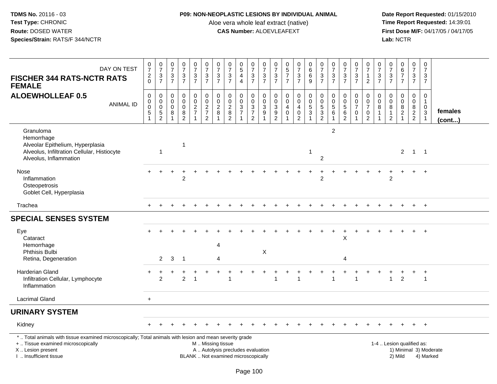# **P09: NON-NEOPLASTIC LESIONS BY INDIVIDUAL ANIMAL**

Aloe vera whole leaf extract (native)<br>**CAS Number:** ALOEVLEAFEXT

| DAY ON TEST<br><b>FISCHER 344 RATS-NCTR RATS</b><br><b>FEMALE</b>                                                                                                                            | $\begin{array}{c} 0 \\ 7 \end{array}$<br>$\frac{2}{0}$ | $\frac{0}{7}$<br>$\frac{3}{7}$                                               | $\frac{0}{7}$<br>$\frac{3}{7}$                 | $\begin{array}{c} 0 \\ 7 \\ 3 \\ 7 \end{array}$                 | $\frac{0}{7}$<br>$\frac{3}{7}$                       | $\frac{0}{7}$<br>$\frac{3}{7}$ | $\begin{array}{c} 0 \\ 7 \end{array}$<br>$\frac{3}{7}$ | $\begin{smallmatrix}0\\7\end{smallmatrix}$<br>$\frac{3}{7}$                     | $\begin{smallmatrix}0\0\5\end{smallmatrix}$<br>$\overline{4}$<br>$\overline{4}$ | $\frac{0}{7}$<br>$\frac{3}{7}$         | $\frac{0}{7}$<br>$\frac{3}{7}$                                   | $\pmb{0}$<br>$\overline{7}$<br>$\mathbf{3}$<br>$\overline{7}$      | $\begin{array}{c} 0 \\ 5 \end{array}$<br>$\overline{7}$<br>$\overline{7}$   | $\frac{0}{7}$<br>$\frac{3}{7}$                                      | $_{6}^{\rm 0}$<br>6<br>$\overline{9}$                                      | $\frac{0}{7}$<br>$rac{3}{7}$                                        | $\frac{0}{7}$<br>$\frac{3}{7}$                                          | $\frac{0}{7}$<br>$\frac{3}{7}$                      | $\frac{0}{7}$<br>$\frac{3}{7}$                                              | 0<br>$\overline{7}$<br>$\mathbf{1}$<br>$\overline{2}$                         | $\frac{0}{7}$<br>$\ensuremath{\mathsf{3}}$<br>$\overline{7}$            | $\frac{0}{7}$<br>$\frac{3}{7}$                   | $\begin{array}{c} 0 \\ 6 \\ 7 \end{array}$<br>$\overline{7}$         | $\begin{smallmatrix}0\\7\end{smallmatrix}$<br>$\frac{3}{7}$ | $\pmb{0}$<br>$\overline{7}$<br>$\mathbf{3}$<br>$\overline{7}$            |                        |
|----------------------------------------------------------------------------------------------------------------------------------------------------------------------------------------------|--------------------------------------------------------|------------------------------------------------------------------------------|------------------------------------------------|-----------------------------------------------------------------|------------------------------------------------------|--------------------------------|--------------------------------------------------------|---------------------------------------------------------------------------------|---------------------------------------------------------------------------------|----------------------------------------|------------------------------------------------------------------|--------------------------------------------------------------------|-----------------------------------------------------------------------------|---------------------------------------------------------------------|----------------------------------------------------------------------------|---------------------------------------------------------------------|-------------------------------------------------------------------------|-----------------------------------------------------|-----------------------------------------------------------------------------|-------------------------------------------------------------------------------|-------------------------------------------------------------------------|--------------------------------------------------|----------------------------------------------------------------------|-------------------------------------------------------------|--------------------------------------------------------------------------|------------------------|
| <b>ALOEWHOLLEAF 0.5</b><br><b>ANIMAL ID</b>                                                                                                                                                  | $\mathbf 0$<br>0<br>$\pmb{0}$<br>$\sqrt{5}$            | $\mathbf 0$<br>$\begin{smallmatrix} 0\\0 \end{smallmatrix}$<br>$\frac{5}{2}$ | $\mathbf 0$<br>$\mathbf 0$<br>$\mathbf 0$<br>8 | $\mathbf 0$<br>$\boldsymbol{0}$<br>$\mathbf 0$<br>$\frac{8}{2}$ | 0<br>$\mathbf 0$<br>$\overline{2}$<br>$\overline{7}$ | 000272                         | $\mathbf 0$<br>$_2^0$<br>8<br>1                        | $\mathbf 0$<br>$_{2}^{\rm 0}$<br>$\begin{smallmatrix} 8 \\ 2 \end{smallmatrix}$ | $\mathbf 0$<br>$\mathsf{O}\xspace$<br>$\frac{3}{7}$                             | 0<br>$\mathbf 0$<br>$\frac{3}{7}$<br>2 | $\mathbf 0$<br>$\overline{0}$<br>$\frac{3}{9}$<br>$\overline{1}$ | $\mathbf 0$<br>$\mathbf 0$<br>$\mathsf 3$<br>$\boldsymbol{9}$<br>2 | $\mathbf 0$<br>$\mathbf 0$<br>$\overline{4}$<br>$\pmb{0}$<br>$\overline{1}$ | 0<br>$\mathbf 0$<br>$\overline{4}$<br>$\mathbf 0$<br>$\overline{2}$ | $\begin{array}{c} 0 \\ 0 \\ 5 \end{array}$<br>$\sqrt{3}$<br>$\overline{1}$ | $\pmb{0}$<br>$\begin{array}{c} 0 \\ 5 \end{array}$<br>$\frac{3}{2}$ | 0<br>$\begin{array}{c} 0 \\ 5 \end{array}$<br>$\,6\,$<br>$\overline{1}$ | $\mathbf 0$<br>$\overline{0}$<br>5<br>$\frac{6}{2}$ | 0<br>$\begin{array}{c} 0 \\ 7 \end{array}$<br>$\mathbf 0$<br>$\overline{1}$ | $\mathbf 0$<br>$\mathsf 0$<br>$\overline{7}$<br>$\mathbf 0$<br>$\overline{2}$ | $\mathbf 0$<br>$\mathbf 0$<br>8<br>$\mathbf{1}$<br>$\blacktriangleleft$ | $\mathbf 0$<br>$\mathbf 0$<br>8<br>$\frac{1}{2}$ | 0<br>$\mathbf 0$<br>$\overline{8}$<br>$\overline{c}$<br>$\mathbf{1}$ | $\mathbf 0$<br>$\mathbf 0$<br>$\bf 8$<br>$\frac{2}{2}$      | $\mathbf 0$<br>$\mathbf{1}$<br>$\pmb{0}$<br>$\sqrt{3}$<br>$\overline{1}$ | females<br>(cont)      |
| Granuloma<br>Hemorrhage<br>Alveolar Epithelium, Hyperplasia<br>Alveolus, Infiltration Cellular, Histiocyte<br>Alveolus, Inflammation                                                         |                                                        | $\overline{1}$                                                               |                                                | $\mathbf{1}$                                                    |                                                      |                                |                                                        |                                                                                 |                                                                                 |                                        |                                                                  |                                                                    |                                                                             |                                                                     | $\overline{1}$                                                             | $\overline{c}$                                                      | $\overline{2}$                                                          |                                                     |                                                                             |                                                                               |                                                                         |                                                  | $2^{\circ}$                                                          |                                                             | $1 \quad 1$                                                              |                        |
| Nose<br>Inflammation<br>Osteopetrosis<br>Goblet Cell, Hyperplasia                                                                                                                            |                                                        |                                                                              |                                                | $\overline{2}$                                                  |                                                      |                                |                                                        |                                                                                 |                                                                                 |                                        |                                                                  |                                                                    |                                                                             |                                                                     |                                                                            | $\overline{c}$                                                      |                                                                         |                                                     |                                                                             |                                                                               |                                                                         | $\overline{2}$                                   |                                                                      |                                                             | $\overline{1}$                                                           |                        |
| Trachea                                                                                                                                                                                      | $+$                                                    |                                                                              |                                                |                                                                 |                                                      |                                |                                                        |                                                                                 |                                                                                 |                                        |                                                                  |                                                                    |                                                                             |                                                                     |                                                                            |                                                                     |                                                                         |                                                     |                                                                             |                                                                               |                                                                         |                                                  | $\ddot{}$                                                            | $+$                                                         | $+$                                                                      |                        |
| <b>SPECIAL SENSES SYSTEM</b>                                                                                                                                                                 |                                                        |                                                                              |                                                |                                                                 |                                                      |                                |                                                        |                                                                                 |                                                                                 |                                        |                                                                  |                                                                    |                                                                             |                                                                     |                                                                            |                                                                     |                                                                         |                                                     |                                                                             |                                                                               |                                                                         |                                                  |                                                                      |                                                             |                                                                          |                        |
| Eye<br>Cataract<br>Hemorrhage<br>Phthisis Bulbi                                                                                                                                              |                                                        | $\overline{2}$                                                               |                                                |                                                                 |                                                      |                                | $\overline{4}$                                         |                                                                                 |                                                                                 |                                        | $\boldsymbol{\mathsf{X}}$                                        |                                                                    |                                                                             |                                                                     |                                                                            |                                                                     |                                                                         | X                                                   |                                                                             |                                                                               |                                                                         |                                                  |                                                                      |                                                             |                                                                          |                        |
| Retina, Degeneration                                                                                                                                                                         |                                                        |                                                                              | 3                                              | $\overline{1}$                                                  |                                                      |                                | 4                                                      |                                                                                 |                                                                                 |                                        |                                                                  |                                                                    |                                                                             |                                                                     |                                                                            |                                                                     |                                                                         | $\overline{4}$                                      |                                                                             |                                                                               |                                                                         |                                                  |                                                                      |                                                             |                                                                          |                        |
| Harderian Gland<br>Infiltration Cellular, Lymphocyte<br>Inflammation                                                                                                                         |                                                        | $\overline{2}$                                                               |                                                | $\overline{a}$                                                  | 1                                                    |                                |                                                        | 1                                                                               |                                                                                 |                                        |                                                                  | 1                                                                  |                                                                             | 1                                                                   |                                                                            |                                                                     | 1                                                                       |                                                     | $\overline{1}$                                                              |                                                                               |                                                                         | $\mathbf{1}$                                     | $\overline{2}$                                                       | $\ddot{}$                                                   | $\ddot{}$<br>$\overline{1}$                                              |                        |
| <b>Lacrimal Gland</b>                                                                                                                                                                        | $\ddot{}$                                              |                                                                              |                                                |                                                                 |                                                      |                                |                                                        |                                                                                 |                                                                                 |                                        |                                                                  |                                                                    |                                                                             |                                                                     |                                                                            |                                                                     |                                                                         |                                                     |                                                                             |                                                                               |                                                                         |                                                  |                                                                      |                                                             |                                                                          |                        |
| <b>URINARY SYSTEM</b>                                                                                                                                                                        |                                                        |                                                                              |                                                |                                                                 |                                                      |                                |                                                        |                                                                                 |                                                                                 |                                        |                                                                  |                                                                    |                                                                             |                                                                     |                                                                            |                                                                     |                                                                         |                                                     |                                                                             |                                                                               |                                                                         |                                                  |                                                                      |                                                             |                                                                          |                        |
| Kidney                                                                                                                                                                                       |                                                        |                                                                              |                                                |                                                                 |                                                      |                                |                                                        |                                                                                 |                                                                                 |                                        |                                                                  |                                                                    |                                                                             |                                                                     |                                                                            |                                                                     |                                                                         |                                                     |                                                                             |                                                                               |                                                                         |                                                  |                                                                      |                                                             |                                                                          |                        |
| *  Total animals with tissue examined microscopically; Total animals with lesion and mean severity grade<br>+  Tissue examined microscopically<br>X Lesion present<br>I  Insufficient tissue |                                                        |                                                                              |                                                |                                                                 |                                                      |                                | M  Missing tissue                                      | A  Autolysis precludes evaluation<br>BLANK  Not examined microscopically        |                                                                                 |                                        |                                                                  |                                                                    |                                                                             |                                                                     |                                                                            |                                                                     |                                                                         |                                                     |                                                                             |                                                                               |                                                                         | 1-4  Lesion qualified as:                        | 2) Mild                                                              |                                                             | 4) Marked                                                                | 1) Minimal 3) Moderate |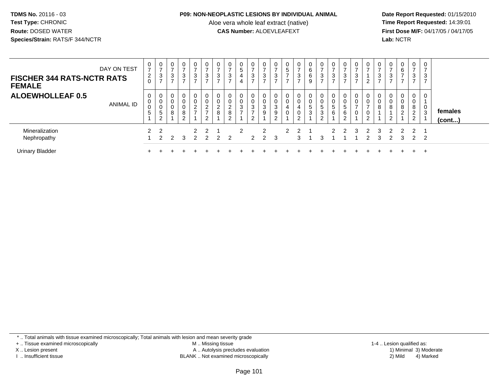#### **P09: NON-NEOPLASTIC LESIONS BY INDIVIDUAL ANIMAL**

Aloe vera whole leaf extract (native)<br>**CAS Number:** ALOEVLEAFEXT

 **Date Report Requested:** 01/15/2010 **First Dose M/F:** 04/17/05 / 04/17/05<br>**Lab:** NCTR **Lab:** NCTR

| DAY ON TEST<br><b>FISCHER 344 RATS-NCTR RATS</b><br><b>FEMALE</b> | 0<br>$\overline{ }$<br>$\overline{2}$<br>0 | 0<br>$\rightarrow$<br>3<br>$\rightarrow$ | $\sim$<br>చ | 3<br>- | 0<br>3<br>$\rightarrow$         | 0<br>3                | 0<br>3                        | 0<br>$\rightarrow$<br>3<br>$\rightarrow$ | 0<br>5<br>4<br>4             | 3<br>⇁                   | $\sim$<br>J        | -<br>3<br>$\rightarrow$ | 0<br>5<br>–      | 0<br>$\overline{ }$<br>3<br>$\rightarrow$ | 0<br>6<br>6<br>9            | 0<br>$\rightarrow$<br>3<br>$\rightarrow$ | ⇁<br>3 | -<br>ົ<br>J | 0<br>3<br>$\rightarrow$ | 0<br>ີ      | 0<br>3      | 0<br>$\overline{ }$<br>3<br>$\overline{ }$ | $\mathbf{0}$<br>6<br>$\overline{ }$<br>$\overline{ }$ | 0<br>$\overline{ }$<br>3<br>⇁                | ົ<br>J. |                   |
|-------------------------------------------------------------------|--------------------------------------------|------------------------------------------|-------------|--------|---------------------------------|-----------------------|-------------------------------|------------------------------------------|------------------------------|--------------------------|--------------------|-------------------------|------------------|-------------------------------------------|-----------------------------|------------------------------------------|--------|-------------|-------------------------|-------------|-------------|--------------------------------------------|-------------------------------------------------------|----------------------------------------------|---------|-------------------|
| <b>ALOEWHOLLEAF 0.5</b><br>ANIMAL ID                              | 0<br>0<br>0<br>5                           | 0<br>0<br>0<br>5<br>2                    | 8           | 8<br>⌒ | $\overline{2}$<br>$\rightarrow$ | 0<br>U<br>◠<br>∠<br>- | 0<br>0<br>$\overline{c}$<br>8 | 0<br>$\overline{c}$<br>8<br>C            | 0<br>0<br>3<br>$\rightarrow$ | ົ<br>3<br>$\overline{ }$ | ົ<br>J<br>9        | 3<br>9<br>$\sim$        | 0<br>0<br>4<br>U | $\mathbf{0}$<br>0<br>4<br>0<br>◠          | 0<br>0<br>5<br>$\mathbf{3}$ | 0<br>0<br>5<br>3<br>C<br>▵               | G<br>6 | 5<br>6      | 0                       | 0<br>U<br>U | 0<br>0<br>8 | 0<br>0<br>8<br>າ                           | 0<br>0<br>8<br>2                                      | $\mathbf 0$<br>0<br>8<br>$\overline{2}$<br>2 | 3       | females<br>(cont) |
| Mineralization<br>Nephropathy                                     | 2                                          | $\overline{2}$<br>າ                      |             | 3      | $\overline{2}$                  | $\mathcal{P}$<br>っ    | 2                             | 2                                        | 2                            | $\mathcal{P}$            | 2<br>$\mathcal{P}$ | 3                       | $\mathcal{P}$    | $\mathcal{D}$                             |                             | З                                        |        |             | 3                       |             | 3<br>З      | 2<br>っ                                     | $\overline{2}$<br>3                                   | $\mathcal{P}$<br>$\mathcal{P}$               | - 2     |                   |
| <b>Urinary Bladder</b>                                            |                                            |                                          |             |        |                                 |                       |                               |                                          |                              |                          |                    |                         |                  |                                           |                             |                                          |        |             |                         |             |             |                                            |                                                       | $+$                                          | э.      |                   |

\* .. Total animals with tissue examined microscopically; Total animals with lesion and mean severity grade

+ .. Tissue examined microscopically

X .. Lesion present

I .. Insufficient tissue

 M .. Missing tissueA .. Autolysis precludes evaluation

BLANK .. Not examined microscopically 2) Mild 4) Marked

1-4 .. Lesion qualified as:<br>1) Minimal 3) Moderate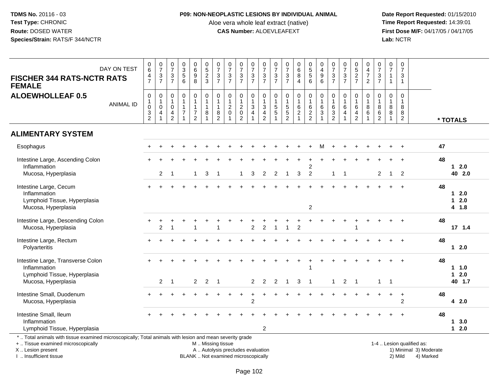# **P09: NON-NEOPLASTIC LESIONS BY INDIVIDUAL ANIMAL**

Aloe vera whole leaf extract (native)<br>**CAS Number:** ALOEVLEAFEXT

 **Date Report Requested:** 01/15/2010 **First Dose M/F:** 04/17/05 / 04/17/05<br>Lab: NCTR **Lab:** NCTR

| <b>FISCHER 344 RATS-NCTR RATS</b><br><b>FEMALE</b>                                                                                                                  | DAY ON TEST      | $_{6}^{\rm 0}$<br>$\frac{4}{7}$                                                         | $\begin{smallmatrix} 0\\7 \end{smallmatrix}$<br>$\frac{3}{7}$ | $\begin{array}{c} 0 \\ 7 \end{array}$<br>$\frac{3}{7}$ | $\begin{array}{c} 0 \\ 3 \\ 5 \\ 6 \end{array}$               | $\begin{array}{c} 0 \\ 6 \\ 9 \end{array}$<br>8                       | $\begin{array}{c} 0 \\ 5 \\ 2 \\ 3 \end{array}$                  | $\begin{array}{c} 0 \\ 7 \end{array}$<br>$\frac{3}{7}$ | $\frac{0}{7}$<br>$\frac{3}{7}$                                  | $\frac{0}{7}$<br>$\frac{3}{7}$                                    | 0<br>$\overline{7}$<br>$\frac{3}{7}$                | $\frac{0}{7}$<br>$\frac{3}{7}$                                                         | $\frac{0}{7}$<br>$\sqrt{3}$<br>$\overline{7}$ | $\begin{array}{c} 0 \\ 7 \end{array}$<br>$\frac{3}{7}$       | $\begin{matrix}0\6\8\end{matrix}$<br>$\overline{4}$ | 0<br>5<br>5<br>6                           | $\begin{smallmatrix}0\\4\end{smallmatrix}$<br>$\boldsymbol{9}$<br>6 | $\frac{0}{7}$<br>$\frac{3}{7}$                            | $\frac{0}{7}$<br>$\frac{3}{7}$                       | $0,52$<br>7                                                                | 0<br>$\frac{4}{7}$<br>$\overline{2}$ | $07/3$<br>7                                         | $\pmb{0}$<br>$\overline{7}$<br>$\mathbf{1}$<br>$\mathbf{1}$      | $\pmb{0}$<br>$\overline{7}$<br>$\mathbf{3}$<br>$\mathbf{1}$ |                                                     |    |                                       |
|---------------------------------------------------------------------------------------------------------------------------------------------------------------------|------------------|-----------------------------------------------------------------------------------------|---------------------------------------------------------------|--------------------------------------------------------|---------------------------------------------------------------|-----------------------------------------------------------------------|------------------------------------------------------------------|--------------------------------------------------------|-----------------------------------------------------------------|-------------------------------------------------------------------|-----------------------------------------------------|----------------------------------------------------------------------------------------|-----------------------------------------------|--------------------------------------------------------------|-----------------------------------------------------|--------------------------------------------|---------------------------------------------------------------------|-----------------------------------------------------------|------------------------------------------------------|----------------------------------------------------------------------------|--------------------------------------|-----------------------------------------------------|------------------------------------------------------------------|-------------------------------------------------------------|-----------------------------------------------------|----|---------------------------------------|
| <b>ALOEWHOLLEAF 0.5</b>                                                                                                                                             | <b>ANIMAL ID</b> | $\pmb{0}$<br>$\mathbf{1}$<br>$\mathsf 0$<br>$\ensuremath{\mathsf{3}}$<br>$\overline{2}$ | $\pmb{0}$<br>$\mathbf{1}$<br>$\pmb{0}$<br>$\overline{4}$      | 0<br>$\mathbf 1$<br>$\pmb{0}$<br>4<br>$\overline{2}$   | $\mathbf 0$<br>$\mathbf{1}$<br>$\mathbf{1}$<br>$\overline{7}$ | 0<br>$\mathbf{1}$<br>$\mathbf{1}$<br>$\overline{7}$<br>$\overline{2}$ | $\pmb{0}$<br>$\mathbf{1}$<br>$\mathbf{1}$<br>8<br>$\overline{1}$ | 0<br>$\mathbf{1}$<br>$\mathbf{1}$<br>8<br>2            | $\pmb{0}$<br>$\overline{1}$<br>$\boldsymbol{2}$<br>$\mathbf{0}$ | $\pmb{0}$<br>$\mathbf{1}$<br>$\boldsymbol{2}$<br>$\mathbf 0$<br>2 | 0<br>$\overline{1}$<br>$\sqrt{3}$<br>$\overline{4}$ | $\boldsymbol{0}$<br>$\overline{1}$<br>$\mathbf{3}$<br>$\overline{4}$<br>$\overline{2}$ | 0<br>$\mathbf{1}$<br>$\sqrt{5}$<br>$\sqrt{5}$ | $\pmb{0}$<br>$\mathbf{1}$<br>$\overline{5}$<br>$\frac{5}{2}$ | 0<br>$\mathbf{1}$<br>$6\over 2$                     | $\pmb{0}$<br>$\mathbf{1}$<br>$\frac{6}{2}$ | $\pmb{0}$<br>$\overline{1}$<br>$\,6\,$<br>$\mathfrak{Z}$            | $\mathbf 0$<br>$\overline{1}$<br>$\,6\,$<br>$\frac{3}{2}$ | $\pmb{0}$<br>$\mathbf{1}$<br>$\,6$<br>$\overline{4}$ | $\mathbf 0$<br>$\mathbf{1}$<br>$\,6\,$<br>$\overline{4}$<br>$\overline{c}$ | 0<br>$\mathbf{1}$<br>$\,8\,$<br>6    | 0<br>$\mathbf{1}$<br>$\bf 8$<br>6<br>$\overline{c}$ | $\pmb{0}$<br>$\mathbf{1}$<br>$\bf 8$<br>$\bf8$<br>$\overline{1}$ | $\mathbf 0$<br>$\mathbf{1}$<br>8<br>8<br>$\overline{2}$     |                                                     |    | * TOTALS                              |
| <b>ALIMENTARY SYSTEM</b>                                                                                                                                            |                  |                                                                                         |                                                               |                                                        |                                                               |                                                                       |                                                                  |                                                        |                                                                 |                                                                   |                                                     |                                                                                        |                                               |                                                              |                                                     |                                            |                                                                     |                                                           |                                                      |                                                                            |                                      |                                                     |                                                                  |                                                             |                                                     |    |                                       |
| Esophagus                                                                                                                                                           |                  |                                                                                         |                                                               |                                                        |                                                               |                                                                       |                                                                  |                                                        |                                                                 |                                                                   |                                                     |                                                                                        |                                               |                                                              |                                                     |                                            | м                                                                   |                                                           |                                                      |                                                                            |                                      |                                                     |                                                                  | $\div$                                                      |                                                     | 47 |                                       |
| Intestine Large, Ascending Colon                                                                                                                                    |                  |                                                                                         |                                                               |                                                        |                                                               |                                                                       |                                                                  |                                                        |                                                                 |                                                                   |                                                     |                                                                                        |                                               |                                                              |                                                     |                                            |                                                                     |                                                           |                                                      |                                                                            |                                      |                                                     |                                                                  |                                                             |                                                     | 48 | $12.0$                                |
| Inflammation<br>Mucosa, Hyperplasia                                                                                                                                 |                  |                                                                                         | 2                                                             |                                                        |                                                               | $\mathbf{1}$                                                          | 3                                                                | $\overline{1}$                                         |                                                                 | $\overline{1}$                                                    | 3                                                   | $\overline{2}$                                                                         | $\overline{2}$                                | $\overline{1}$                                               | $\mathbf{3}$                                        | 2<br>$\overline{2}$                        |                                                                     | $1 \quad 1$                                               |                                                      |                                                                            |                                      | $\overline{2}$                                      | $\mathbf{1}$                                                     | $\overline{2}$                                              |                                                     |    | 40 2.0                                |
| Intestine Large, Cecum<br>Inflammation<br>Lymphoid Tissue, Hyperplasia<br>Mucosa, Hyperplasia                                                                       |                  |                                                                                         |                                                               |                                                        |                                                               |                                                                       |                                                                  |                                                        |                                                                 |                                                                   |                                                     |                                                                                        |                                               |                                                              |                                                     | $\overline{2}$                             |                                                                     |                                                           |                                                      |                                                                            |                                      |                                                     |                                                                  | $\ddot{}$                                                   |                                                     | 48 | $12.0$<br>2.0<br>$\mathbf 1$<br>4 1.8 |
| Intestine Large, Descending Colon<br>Mucosa, Hyperplasia                                                                                                            |                  |                                                                                         | $\overline{2}$                                                |                                                        |                                                               |                                                                       |                                                                  |                                                        |                                                                 |                                                                   | $\overline{2}$                                      | $\mathfrak{p}$                                                                         |                                               |                                                              | $\mathfrak{p}$                                      |                                            |                                                                     |                                                           |                                                      |                                                                            |                                      |                                                     |                                                                  |                                                             |                                                     | 48 | 17, 1.4                               |
| Intestine Large, Rectum<br>Polyarteritis                                                                                                                            |                  |                                                                                         |                                                               |                                                        |                                                               |                                                                       |                                                                  |                                                        |                                                                 |                                                                   |                                                     |                                                                                        |                                               |                                                              |                                                     |                                            |                                                                     |                                                           |                                                      |                                                                            |                                      |                                                     |                                                                  |                                                             |                                                     | 48 | $12.0$                                |
| Intestine Large, Transverse Colon<br>Inflammation<br>Lymphoid Tissue, Hyperplasia<br>Mucosa, Hyperplasia                                                            |                  |                                                                                         | $\overline{2}$                                                | $\overline{1}$                                         |                                                               | $\overline{2}$                                                        | 2                                                                | $\overline{1}$                                         |                                                                 |                                                                   | $\overline{2}$                                      | $\overline{2}$                                                                         | 2                                             | $\overline{1}$                                               | 3                                                   | $\overline{1}$                             |                                                                     | $\mathbf{1}$                                              | 2                                                    | $\overline{\phantom{0}}$                                                   |                                      | $\mathbf{1}$                                        | $\overline{1}$                                                   |                                                             |                                                     | 48 | 1 1.0<br>$12.0$<br>40 1.7             |
| Intestine Small, Duodenum<br>Mucosa, Hyperplasia                                                                                                                    |                  |                                                                                         |                                                               |                                                        |                                                               |                                                                       |                                                                  |                                                        |                                                                 |                                                                   | $\overline{c}$                                      |                                                                                        |                                               |                                                              |                                                     |                                            |                                                                     |                                                           |                                                      |                                                                            |                                      |                                                     |                                                                  | $\ddot{}$<br>$\overline{2}$                                 |                                                     | 48 | 4 2.0                                 |
| Intestine Small, Ileum<br>Inflammation<br>Lymphoid Tissue, Hyperplasia                                                                                              |                  |                                                                                         |                                                               |                                                        |                                                               |                                                                       |                                                                  |                                                        |                                                                 |                                                                   |                                                     | $\overline{2}$                                                                         |                                               |                                                              |                                                     |                                            |                                                                     |                                                           |                                                      |                                                                            |                                      |                                                     |                                                                  |                                                             |                                                     | 48 | 13.0<br>$12.0$                        |
| *  Total animals with tissue examined microscopically; Total animals with lesion and mean severity grade<br>+  Tissue examined microscopically<br>X  Lesion present |                  |                                                                                         |                                                               |                                                        |                                                               |                                                                       | M  Missing tissue                                                |                                                        | A  Autolysis precludes evaluation                               |                                                                   |                                                     |                                                                                        |                                               |                                                              |                                                     |                                            |                                                                     |                                                           |                                                      |                                                                            |                                      |                                                     |                                                                  |                                                             | 1-4  Lesion qualified as:<br>1) Minimal 3) Moderate |    |                                       |

I .. Insufficient tissue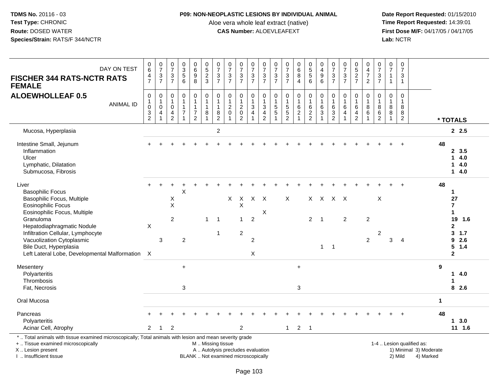## **P09: NON-NEOPLASTIC LESIONS BY INDIVIDUAL ANIMAL**

Aloe vera whole leaf extract (native)<br>**CAS Number:** ALOEVLEAFEXT

 **Date Report Requested:** 01/15/2010 **First Dose M/F:** 04/17/05 / 04/17/05 Lab: NCTR **Lab:** NCTR

| DAY ON TEST<br><b>FISCHER 344 RATS-NCTR RATS</b><br><b>FEMALE</b>                                                                                                         | $\begin{matrix} 0 \\ 6 \end{matrix}$<br>$\frac{4}{7}$                                  | $\frac{0}{7}$<br>$\frac{3}{7}$                                                              | $\pmb{0}$<br>$\overline{7}$<br>3<br>$\overline{7}$                | $\begin{smallmatrix} 0\\ 3 \end{smallmatrix}$<br>$\overline{5}$<br>6 | 0<br>0<br>0<br>0<br>0                                                 | $\begin{array}{c} 0 \\ 5 \\ 2 \\ 3 \end{array}$                  | $\frac{0}{7}$<br>$\frac{3}{7}$                                          | $\frac{0}{7}$<br>$\frac{3}{7}$                 | $\frac{0}{7}$<br>$\frac{3}{7}$                                           | $\frac{0}{7}$<br>$\frac{3}{7}$                                                           | $\frac{0}{7}$<br>$\frac{3}{7}$                                        | $\frac{0}{7}$<br>$\frac{3}{7}$     | $\frac{0}{7}$<br>$\frac{3}{7}$                                                         | $\begin{matrix}0\\6\\8\end{matrix}$<br>$\overline{4}$    | 0<br>5<br>5<br>6                                      | 0<br>$\frac{4}{9}$<br>6                                                               | 0<br>$\overline{7}$<br>$\sqrt{3}$<br>$\overline{7}$           | $\frac{0}{7}$<br>$\frac{3}{7}$                                         | $0$<br>5<br>2<br>7                                   | $\begin{array}{c} 0 \\ 4 \\ 7 \end{array}$<br>$\overline{2}$  | $\frac{0}{7}$<br>$\frac{3}{7}$                                      | $\frac{0}{7}$<br>$\overline{1}$<br>$\overline{1}$ | $\pmb{0}$<br>$\overline{7}$<br>$\mathbf{3}$<br>$\mathbf{1}$ |                                                     |              |                                                            |
|---------------------------------------------------------------------------------------------------------------------------------------------------------------------------|----------------------------------------------------------------------------------------|---------------------------------------------------------------------------------------------|-------------------------------------------------------------------|----------------------------------------------------------------------|-----------------------------------------------------------------------|------------------------------------------------------------------|-------------------------------------------------------------------------|------------------------------------------------|--------------------------------------------------------------------------|------------------------------------------------------------------------------------------|-----------------------------------------------------------------------|------------------------------------|----------------------------------------------------------------------------------------|----------------------------------------------------------|-------------------------------------------------------|---------------------------------------------------------------------------------------|---------------------------------------------------------------|------------------------------------------------------------------------|------------------------------------------------------|---------------------------------------------------------------|---------------------------------------------------------------------|---------------------------------------------------|-------------------------------------------------------------|-----------------------------------------------------|--------------|------------------------------------------------------------|
| <b>ALOEWHOLLEAF 0.5</b><br><b>ANIMAL ID</b>                                                                                                                               | $\mathbf 0$<br>1<br>$\mathsf{O}\xspace$<br>$\ensuremath{\mathsf{3}}$<br>$\overline{2}$ | $\begin{smallmatrix}0\\1\end{smallmatrix}$<br>$\pmb{0}$<br>$\overline{4}$<br>$\overline{1}$ | $\mathbf 0$<br>$\mathbf{1}$<br>$\mathbf 0$<br>4<br>$\overline{2}$ | $\mathbf 0$<br>$\overline{1}$<br>$\mathbf{1}$<br>$\overline{7}$      | 0<br>$\mathbf{1}$<br>$\mathbf{1}$<br>$\overline{7}$<br>$\overline{2}$ | $\mathsf 0$<br>$\mathbf{1}$<br>$\mathbf{1}$<br>8<br>$\mathbf{1}$ | $\pmb{0}$<br>$\overline{1}$<br>$\mathbf{1}$<br>$\bf8$<br>$\overline{2}$ | $\mathbf 0$<br>$\overline{1}$<br>$\frac{2}{0}$ | $\pmb{0}$<br>$\mathbf{1}$<br>$\sqrt{2}$<br>$\mathbf 0$<br>$\overline{2}$ | $\pmb{0}$<br>$\mathbf{1}$<br>$\ensuremath{\mathsf{3}}$<br>$\overline{4}$<br>$\mathbf{1}$ | 0<br>$\mathbf{1}$<br>$\mathbf{3}$<br>$\overline{4}$<br>$\overline{2}$ | 0<br>$\mathbf{1}$<br>$\frac{5}{5}$ | $\mathbf 0$<br>$\mathbf{1}$<br>$\begin{array}{c} 5 \\ 5 \end{array}$<br>$\overline{2}$ | $\pmb{0}$<br>$\mathbf{1}$<br>$\,6\,$<br>$\boldsymbol{2}$ | $\pmb{0}$<br>$\mathbf{1}$<br>$\,6\,$<br>$\frac{2}{2}$ | $\begin{smallmatrix}0\\1\end{smallmatrix}$<br>$\,6\,$<br>$\mathbf{3}$<br>$\mathbf{1}$ | $\mathbf 0$<br>$\mathbf{1}$<br>$\,6\,$<br>3<br>$\overline{2}$ | $\pmb{0}$<br>$\mathbf{1}$<br>$\,6\,$<br>$\overline{4}$<br>$\mathbf{1}$ | $\mathbf 0$<br>6<br>$\overline{4}$<br>$\overline{2}$ | $\mathsf{O}\xspace$<br>$\mathbf{1}$<br>$^8_6$<br>$\mathbf{1}$ | $\mathbf 0$<br>$\mathbf{1}$<br>$\bf 8$<br>$\,6\,$<br>$\overline{2}$ | $\mathbf 0$<br>$\overline{1}$<br>8<br>$\bf 8$     | $\mathbf 0$<br>$\mathbf{1}$<br>8<br>8<br>$\overline{2}$     |                                                     |              | * TOTALS                                                   |
| Mucosa, Hyperplasia                                                                                                                                                       |                                                                                        |                                                                                             |                                                                   |                                                                      |                                                                       |                                                                  | $\boldsymbol{2}$                                                        |                                                |                                                                          |                                                                                          |                                                                       |                                    |                                                                                        |                                                          |                                                       |                                                                                       |                                                               |                                                                        |                                                      |                                                               |                                                                     |                                                   |                                                             |                                                     |              | 2.5                                                        |
| Intestine Small, Jejunum<br>Inflammation<br>Ulcer<br>Lymphatic, Dilatation<br>Submucosa, Fibrosis                                                                         |                                                                                        |                                                                                             |                                                                   |                                                                      |                                                                       |                                                                  |                                                                         |                                                |                                                                          |                                                                                          |                                                                       |                                    |                                                                                        |                                                          |                                                       |                                                                                       |                                                               |                                                                        |                                                      |                                                               |                                                                     |                                                   |                                                             |                                                     | 48           | 2, 3.5<br>14.0<br>14.0<br>14.0                             |
| Liver<br><b>Basophilic Focus</b><br>Basophilic Focus, Multiple<br><b>Eosinophilic Focus</b><br>Eosinophilic Focus, Multiple<br>Granuloma                                  |                                                                                        |                                                                                             | X<br>$\sf X$<br>$\overline{2}$                                    | X                                                                    |                                                                       | $\mathbf{1}$                                                     | $\overline{1}$                                                          | X                                              | $\times$<br>X<br>$\overline{1}$                                          | $\sf X$<br>$\overline{2}$                                                                | X<br>X                                                                |                                    | X                                                                                      |                                                          | X<br>$\overline{2}$                                   | $\boldsymbol{\mathsf{X}}$<br>$\overline{1}$                                           | $X$ $X$                                                       | $\overline{2}$                                                         |                                                      | $\overline{2}$                                                | X                                                                   |                                                   |                                                             |                                                     | 48           | 1<br>27<br>$\overline{7}$<br>$\mathbf{1}$<br>19<br>1.6     |
| Hepatodiaphragmatic Nodule<br>Infiltration Cellular, Lymphocyte<br>Vacuolization Cytoplasmic<br>Bile Duct, Hyperplasia<br>Left Lateral Lobe, Developmental Malformation X | X                                                                                      | 3                                                                                           |                                                                   | $\overline{c}$                                                       |                                                                       |                                                                  | $\mathbf{1}$                                                            |                                                | $\overline{c}$                                                           | $\overline{c}$<br>X                                                                      |                                                                       |                                    |                                                                                        |                                                          |                                                       | $\mathbf{1}$                                                                          | $\overline{1}$                                                |                                                                        |                                                      | $\overline{2}$                                                | $\overline{2}$                                                      | $\mathbf{3}$                                      | $\overline{4}$                                              |                                                     |              | $\mathbf 2$<br>3, 1.7<br>9<br>2.6<br>5 1.4<br>$\mathbf{2}$ |
| Mesentery<br>Polyarteritis<br>Thrombosis<br>Fat, Necrosis                                                                                                                 |                                                                                        |                                                                                             |                                                                   | $\ddot{}$<br>3                                                       |                                                                       |                                                                  |                                                                         |                                                |                                                                          |                                                                                          |                                                                       |                                    |                                                                                        | $+$<br>3                                                 |                                                       |                                                                                       |                                                               |                                                                        |                                                      |                                                               |                                                                     |                                                   |                                                             |                                                     | 9            | 4.0<br>1<br>1<br>82.6                                      |
| Oral Mucosa                                                                                                                                                               |                                                                                        |                                                                                             |                                                                   |                                                                      |                                                                       |                                                                  |                                                                         |                                                |                                                                          |                                                                                          |                                                                       |                                    |                                                                                        |                                                          |                                                       |                                                                                       |                                                               |                                                                        |                                                      |                                                               |                                                                     |                                                   |                                                             |                                                     | $\mathbf{1}$ |                                                            |
| Pancreas<br>Polyarteritis<br>Acinar Cell, Atrophy                                                                                                                         | $\overline{2}$                                                                         | $\overline{1}$                                                                              | $\overline{c}$                                                    |                                                                      |                                                                       |                                                                  |                                                                         |                                                | $\overline{2}$                                                           |                                                                                          |                                                                       |                                    | $\mathbf{1}$                                                                           | $\overline{2}$                                           | $\overline{\phantom{0}}$ 1                            |                                                                                       |                                                               |                                                                        |                                                      |                                                               |                                                                     |                                                   |                                                             |                                                     | 48           | $1 \t3.0$<br>11 1.6                                        |
| *  Total animals with tissue examined microscopically; Total animals with lesion and mean severity grade<br>+  Tissue examined microscopically<br>X Lesion present        |                                                                                        |                                                                                             |                                                                   |                                                                      |                                                                       | M  Missing tissue                                                |                                                                         | A  Autolysis precludes evaluation              |                                                                          |                                                                                          |                                                                       |                                    |                                                                                        |                                                          |                                                       |                                                                                       |                                                               |                                                                        |                                                      |                                                               |                                                                     |                                                   |                                                             | 1-4  Lesion qualified as:<br>1) Minimal 3) Moderate |              |                                                            |

I .. Insufficient tissue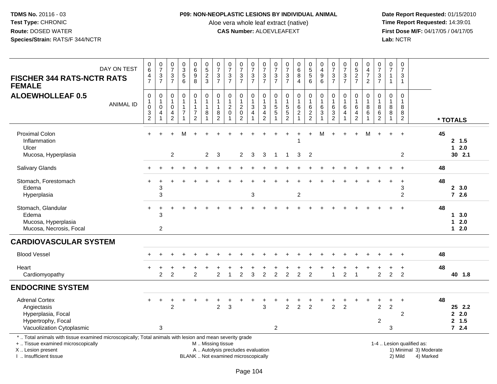## **P09: NON-NEOPLASTIC LESIONS BY INDIVIDUAL ANIMAL**

Aloe vera whole leaf extract (native)<br>**CAS Number:** ALOEVLEAFEXT

 **Date Report Requested:** 01/15/2010 **First Dose M/F:** 04/17/05 / 04/17/05<br>Lab: NCTR **Lab:** NCTR

| DAY ON TEST<br><b>FISCHER 344 RATS-NCTR RATS</b><br><b>FEMALE</b>                                                                                                   | 0<br>$6\phantom{1}$<br>4<br>$\overline{7}$                                            | $\frac{0}{7}$<br>$\ensuremath{\mathsf{3}}$<br>$\overline{7}$ | $\frac{0}{7}$<br>$\sqrt{3}$<br>$\overline{7}$ | $\begin{array}{c} 0 \\ 3 \\ 5 \end{array}$<br>6  | $\begin{array}{c} 0 \\ 6 \end{array}$<br>$\boldsymbol{9}$<br>8                      | $\begin{array}{c} 0 \\ 5 \end{array}$<br>$\overline{2}$<br>3 | $\frac{0}{7}$<br>$\ensuremath{\mathsf{3}}$<br>$\overline{7}$ | $\frac{0}{7}$<br>$\ensuremath{\mathsf{3}}$<br>$\overline{7}$    | $\frac{0}{7}$<br>$\mathbf 3$<br>$\overline{7}$                                         | $\frac{0}{7}$<br>$\ensuremath{\mathsf{3}}$<br>$\overline{7}$ | $\frac{0}{7}$<br>$\sqrt{3}$<br>$\overline{7}$                                     | 0<br>$\overline{7}$<br>$\sqrt{3}$<br>$\overline{7}$ | $\begin{array}{c} 0 \\ 7 \end{array}$<br>$\ensuremath{\mathsf{3}}$<br>$\overline{7}$ | $_{6}^{\rm 0}$<br>8<br>$\overline{4}$       | $\begin{array}{c} 0 \\ 5 \\ 5 \end{array}$<br>6                      | $_4^{\rm 0}$<br>$\boldsymbol{9}$<br>6                                | $\begin{array}{c} 0 \\ 7 \end{array}$<br>$\sqrt{3}$<br>$\overline{7}$ | $\frac{0}{7}$<br>$\frac{3}{7}$      | $\begin{array}{c} 0 \\ 5 \end{array}$<br>$\sqrt{2}$<br>$\overline{7}$ | 0<br>$\overline{4}$<br>$\boldsymbol{7}$<br>$\overline{2}$ | $\frac{0}{7}$<br>$\ensuremath{\mathsf{3}}$<br>$\overline{7}$         | 0<br>$\overline{7}$<br>$\mathbf{1}$<br>$\overline{1}$ | 0<br>$\overline{7}$<br>$\sqrt{3}$<br>$\overline{1}$       |                                                     |          |                                   |
|---------------------------------------------------------------------------------------------------------------------------------------------------------------------|---------------------------------------------------------------------------------------|--------------------------------------------------------------|-----------------------------------------------|--------------------------------------------------|-------------------------------------------------------------------------------------|--------------------------------------------------------------|--------------------------------------------------------------|-----------------------------------------------------------------|----------------------------------------------------------------------------------------|--------------------------------------------------------------|-----------------------------------------------------------------------------------|-----------------------------------------------------|--------------------------------------------------------------------------------------|---------------------------------------------|----------------------------------------------------------------------|----------------------------------------------------------------------|-----------------------------------------------------------------------|-------------------------------------|-----------------------------------------------------------------------|-----------------------------------------------------------|----------------------------------------------------------------------|-------------------------------------------------------|-----------------------------------------------------------|-----------------------------------------------------|----------|-----------------------------------|
| <b>ALOEWHOLLEAF 0.5</b><br><b>ANIMAL ID</b>                                                                                                                         | $\mathbf 0$<br>$\mathbf{1}$<br>$\mathbf 0$<br>$\ensuremath{\mathsf{3}}$<br>$\sqrt{2}$ | 0<br>$\mathbf{1}$<br>$\mathbf 0$<br>4<br>1                   | $\mathbf 0$<br>1<br>0<br>4<br>$\overline{2}$  | $\pmb{0}$<br>$\mathbf{1}$<br>1<br>$\overline{7}$ | $\mathbf 0$<br>$\overline{1}$<br>$\mathbf{1}$<br>$\boldsymbol{7}$<br>$\overline{2}$ | $\pmb{0}$<br>$\mathbf{1}$<br>$\mathbf{1}$<br>8<br>1          | 0<br>$\mathbf{1}$<br>1<br>8<br>$\overline{2}$                | $\mathbf 0$<br>$\mathbf{1}$<br>$\overline{c}$<br>$\pmb{0}$<br>1 | $\mathsf{O}\xspace$<br>$\mathbf{1}$<br>$\overline{c}$<br>$\mathsf 0$<br>$\overline{2}$ | 0<br>$\mathbf{1}$<br>$\ensuremath{\mathsf{3}}$<br>4          | $\mathbf 0$<br>$\overline{1}$<br>$\mathbf{3}$<br>$\overline{4}$<br>$\overline{2}$ | 0<br>$\mathbf{1}$<br>5<br>$\sqrt{5}$                | $\mathbf 0$<br>$\mathbf{1}$<br>$\sqrt{5}$<br>$\overline{5}$<br>$\overline{2}$        | 0<br>$\mathbf{1}$<br>$^6_2$<br>$\mathbf{1}$ | $\mathsf 0$<br>$\mathbf{1}$<br>6<br>$\overline{2}$<br>$\overline{2}$ | $\pmb{0}$<br>$\mathbf{1}$<br>$\,6\,$<br>$\sqrt{3}$<br>$\overline{ }$ | $\mathbf 0$<br>$\mathbf{1}$<br>6<br>$\ensuremath{\mathsf{3}}$<br>2    | $\pmb{0}$<br>$\mathbf{1}$<br>6<br>4 | 0<br>6<br>4<br>$\overline{c}$                                         | 0<br>$\mathbf{1}$<br>8<br>$6\overline{6}$<br>1            | $\mathbf 0$<br>$\mathbf{1}$<br>8<br>$6\phantom{a}$<br>$\overline{2}$ | 0<br>$\mathbf{1}$<br>8<br>8<br>$\mathbf 1$            | $\mathbf 0$<br>$\overline{1}$<br>8<br>8<br>$\overline{2}$ |                                                     | * TOTALS |                                   |
| <b>Proximal Colon</b><br>Inflammation<br>Ulcer                                                                                                                      | $+$                                                                                   |                                                              | $\ddot{}$                                     | M                                                |                                                                                     | $\overline{2}$                                               |                                                              |                                                                 |                                                                                        |                                                              |                                                                                   |                                                     |                                                                                      |                                             | $+$                                                                  | м                                                                    |                                                                       |                                     | $\ddot{}$                                                             | м                                                         |                                                                      | ÷.                                                    | $\ddot{}$                                                 |                                                     | 45       | 2, 1.5<br>$12.0$<br>30 2.1        |
| Mucosa, Hyperplasia                                                                                                                                                 |                                                                                       |                                                              | $\overline{c}$                                |                                                  |                                                                                     |                                                              | $\mathbf{3}$                                                 |                                                                 | $\overline{2}$                                                                         | 3                                                            | 3                                                                                 | $\overline{1}$                                      | $\overline{1}$                                                                       | 3                                           | $\overline{2}$                                                       |                                                                      |                                                                       |                                     |                                                                       |                                                           |                                                                      |                                                       | $\overline{2}$                                            |                                                     |          |                                   |
| <b>Salivary Glands</b>                                                                                                                                              |                                                                                       |                                                              |                                               |                                                  |                                                                                     |                                                              |                                                              |                                                                 |                                                                                        |                                                              |                                                                                   |                                                     |                                                                                      |                                             |                                                                      |                                                                      |                                                                       |                                     |                                                                       |                                                           |                                                                      |                                                       |                                                           |                                                     | 48       |                                   |
| Stomach, Forestomach<br>Edema<br>Hyperplasia                                                                                                                        | ÷                                                                                     | 3<br>3                                                       |                                               |                                                  |                                                                                     |                                                              |                                                              |                                                                 |                                                                                        | $\mathbf{3}$                                                 |                                                                                   |                                                     |                                                                                      | $\boldsymbol{2}$                            |                                                                      |                                                                      |                                                                       |                                     |                                                                       |                                                           |                                                                      |                                                       | 3<br>$\overline{c}$                                       |                                                     | 48       | 2, 3.0<br>$72.6$                  |
| Stomach, Glandular<br>Edema<br>Mucosa, Hyperplasia<br>Mucosa, Necrosis, Focal                                                                                       | $\ddot{}$                                                                             | 3<br>$\overline{2}$                                          |                                               |                                                  |                                                                                     |                                                              |                                                              |                                                                 |                                                                                        |                                                              |                                                                                   |                                                     |                                                                                      |                                             |                                                                      |                                                                      |                                                                       |                                     |                                                                       |                                                           |                                                                      |                                                       |                                                           |                                                     | 48       | 13.0<br>$12.0$<br>$12.0$          |
| <b>CARDIOVASCULAR SYSTEM</b>                                                                                                                                        |                                                                                       |                                                              |                                               |                                                  |                                                                                     |                                                              |                                                              |                                                                 |                                                                                        |                                                              |                                                                                   |                                                     |                                                                                      |                                             |                                                                      |                                                                      |                                                                       |                                     |                                                                       |                                                           |                                                                      |                                                       |                                                           |                                                     |          |                                   |
| <b>Blood Vessel</b>                                                                                                                                                 |                                                                                       |                                                              |                                               |                                                  |                                                                                     |                                                              |                                                              |                                                                 |                                                                                        |                                                              |                                                                                   |                                                     |                                                                                      |                                             |                                                                      |                                                                      |                                                                       |                                     |                                                                       |                                                           |                                                                      |                                                       |                                                           |                                                     | 48       |                                   |
| Heart<br>Cardiomyopathy                                                                                                                                             |                                                                                       | $\overline{2}$                                               | $\overline{2}$                                | $\ddot{}$                                        | $\overline{2}$                                                                      |                                                              | $\mathfrak{p}$                                               |                                                                 | $\div$<br>$\overline{2}$                                                               | 3                                                            | $\overline{2}$                                                                    | $\overline{2}$                                      | $\overline{2}$                                                                       | $\overline{2}$                              | $\overline{2}$                                                       |                                                                      | 1                                                                     | $\overline{2}$                      | $\overline{1}$                                                        |                                                           | +<br>$\overline{2}$                                                  | +<br>$\overline{2}$                                   | $+$<br>$\mathcal{P}$                                      |                                                     | 48       | 40 1.8                            |
| <b>ENDOCRINE SYSTEM</b>                                                                                                                                             |                                                                                       |                                                              |                                               |                                                  |                                                                                     |                                                              |                                                              |                                                                 |                                                                                        |                                                              |                                                                                   |                                                     |                                                                                      |                                             |                                                                      |                                                                      |                                                                       |                                     |                                                                       |                                                           |                                                                      |                                                       |                                                           |                                                     |          |                                   |
| <b>Adrenal Cortex</b><br>Angiectasis<br>Hyperplasia, Focal<br>Hypertrophy, Focal<br>Vacuolization Cytoplasmic                                                       | $+$                                                                                   | $\ddot{}$<br>3                                               | $\ddot{}$<br>$\overline{2}$                   |                                                  |                                                                                     |                                                              | $\overline{2}$                                               | 3                                                               |                                                                                        | $\ddot{}$                                                    | 3                                                                                 | $\overline{c}$                                      | $\overline{2}$                                                                       | $\overline{2}$                              | $\overline{2}$                                                       |                                                                      | $\overline{2}$                                                        | 2                                   |                                                                       |                                                           | $\ddot{}$<br>2<br>$\overline{c}$                                     | +<br>$\overline{2}$<br>3                              | $\ddot{}$<br>2                                            |                                                     | 48       | 25 2.2<br>2.0<br>2, 1.5<br>$72.4$ |
| *  Total animals with tissue examined microscopically; Total animals with lesion and mean severity grade<br>+  Tissue examined microscopically<br>X  Lesion present |                                                                                       |                                                              |                                               |                                                  |                                                                                     | M  Missing tissue                                            |                                                              | A  Autolysis precludes evaluation                               |                                                                                        |                                                              |                                                                                   |                                                     |                                                                                      |                                             |                                                                      |                                                                      |                                                                       |                                     |                                                                       |                                                           |                                                                      |                                                       |                                                           | 1-4  Lesion qualified as:<br>1) Minimal 3) Moderate |          |                                   |

I .. Insufficient tissue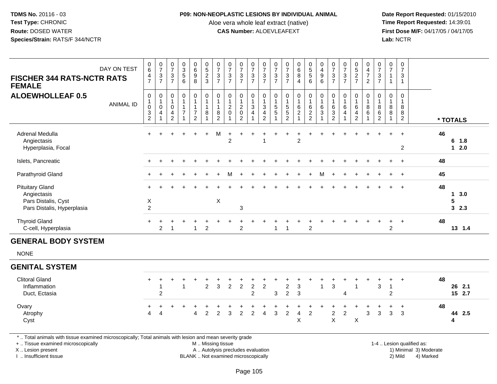## **P09: NON-NEOPLASTIC LESIONS BY INDIVIDUAL ANIMAL**

Aloe vera whole leaf extract (native)<br>**CAS Number:** ALOEVLEAFEXT

 **Date Report Requested:** 01/15/2010 **First Dose M/F:** 04/17/05 / 04/17/05 Lab: NCTR **Lab:** NCTR

| <b>FISCHER 344 RATS-NCTR RATS</b>                                                                                                              | DAY ON TEST      | $\begin{array}{c} 0 \\ 6 \end{array}$<br>4<br>$\overline{7}$ | $\frac{0}{7}$<br>$\frac{3}{7}$                | $\frac{0}{7}$<br>$\frac{3}{7}$                                  | $\begin{matrix} 0 \\ 3 \\ 5 \end{matrix}$<br>$6\phantom{a}$ | 0<br>0<br>0<br>0<br>0                                                     | $\begin{array}{c} 0 \\ 5 \\ 2 \end{array}$<br>$\sqrt{3}$ | $\frac{0}{7}$<br>$\frac{3}{7}$                                           | $\frac{0}{7}$<br>$\frac{3}{7}$                           | $\frac{0}{7}$<br>$\frac{3}{7}$                                         | $\frac{0}{7}$<br>$\frac{3}{7}$            | $\frac{0}{7}$<br>$\frac{3}{7}$                | $\frac{0}{7}$<br>$\frac{3}{7}$                 | $\begin{array}{c} 0 \\ 7 \end{array}$<br>$\frac{3}{7}$ | $\begin{matrix} 0 \\ 6 \\ 8 \end{matrix}$<br>$\overline{4}$                 | $\begin{array}{c} 0 \\ 5 \\ 5 \end{array}$<br>$\,6\,$   | $\begin{smallmatrix}0\0\4\end{smallmatrix}$<br>$\frac{9}{6}$ | $\frac{0}{7}$<br>$\frac{3}{7}$                                              | $\frac{0}{7}$<br>$rac{3}{7}$ | $0$<br>5<br>2<br>7                            | 0<br>$\overline{4}$<br>$\overline{7}$<br>$\overline{2}$       | $\frac{0}{7}$<br>$\ensuremath{\mathsf{3}}$<br>$\overline{7}$ | $\frac{0}{7}$<br>$\mathbf{1}$<br>$\mathbf{1}$             | $\pmb{0}$<br>$\overline{7}$<br>$\mathbf{3}$<br>$\mathbf{1}$ |                           |          |                   |  |
|------------------------------------------------------------------------------------------------------------------------------------------------|------------------|--------------------------------------------------------------|-----------------------------------------------|-----------------------------------------------------------------|-------------------------------------------------------------|---------------------------------------------------------------------------|----------------------------------------------------------|--------------------------------------------------------------------------|----------------------------------------------------------|------------------------------------------------------------------------|-------------------------------------------|-----------------------------------------------|------------------------------------------------|--------------------------------------------------------|-----------------------------------------------------------------------------|---------------------------------------------------------|--------------------------------------------------------------|-----------------------------------------------------------------------------|------------------------------|-----------------------------------------------|---------------------------------------------------------------|--------------------------------------------------------------|-----------------------------------------------------------|-------------------------------------------------------------|---------------------------|----------|-------------------|--|
| <b>FEMALE</b><br><b>ALOEWHOLLEAF 0.5</b>                                                                                                       | <b>ANIMAL ID</b> | 0<br>1<br>$\mathbf 0$<br>$\frac{3}{2}$                       | $\mathbf 0$<br>$\mathbf{1}$<br>$\pmb{0}$<br>4 | $\pmb{0}$<br>$\mathbf{1}$<br>$\mathbf 0$<br>4<br>$\overline{2}$ | 0<br>$\mathbf{1}$<br>$\mathbf{1}$<br>$\overline{7}$         | 0<br>$\mathbf{1}$<br>$\overline{1}$<br>$\boldsymbol{7}$<br>$\overline{2}$ | $\pmb{0}$<br>$\mathbf{1}$<br>$\mathbf{1}$<br>8           | $\mathbf 0$<br>$\mathbf{1}$<br>$\mathbf{1}$<br>$\bf 8$<br>$\overline{2}$ | $\mathbf 0$<br>$\mathbf{1}$<br>$\sqrt{2}$<br>$\mathbf 0$ | 0<br>$\mathbf{1}$<br>$\boldsymbol{2}$<br>$\mathbf 0$<br>$\overline{2}$ | 0<br>$\mathbf{1}$<br>$\sqrt{3}$<br>4<br>1 | 0<br>$\mathbf{1}$<br>3<br>4<br>$\overline{2}$ | $\mathbf 0$<br>1<br>$\,$ 5 $\,$<br>$\,$ 5 $\,$ | $\mathbf 0$<br>$\mathbf{1}$<br>$\frac{5}{2}$           | 0<br>$\mathbf{1}$<br>$\,6\,$<br>$\boldsymbol{2}$<br>$\overline{\mathbf{A}}$ | $\mathbf 0$<br>$\mathbf{1}$<br>$\,6\,$<br>$\frac{2}{2}$ | 0<br>1<br>$\,6\,$<br>3                                       | 0<br>$\mathbf{1}$<br>$\,6\,$<br>$\ensuremath{\mathsf{3}}$<br>$\overline{2}$ | 0<br>$\,6\,$<br>4            | 0<br>$\mathbf{1}$<br>$\,6\,$<br>$\frac{4}{2}$ | $\mathbf 0$<br>$\mathbf{1}$<br>$\,8\,$<br>6<br>$\overline{1}$ | 0<br>8<br>6<br>$\overline{c}$                                | 0<br>$\mathbf{1}$<br>$\bf 8$<br>$\bf 8$<br>$\overline{1}$ | 0<br>$\mathbf{1}$<br>8<br>8<br>$\overline{2}$               |                           | * TOTALS |                   |  |
| Adrenal Medulla<br>Angiectasis<br>Hyperplasia, Focal                                                                                           |                  |                                                              |                                               |                                                                 |                                                             |                                                                           |                                                          | M                                                                        | $\overline{c}$                                           |                                                                        |                                           | 1                                             |                                                |                                                        | $\overline{c}$                                                              |                                                         |                                                              |                                                                             |                              |                                               |                                                               |                                                              |                                                           | $\overline{2}$                                              |                           | 46       | 6 1.8<br>$12.0$   |  |
| Islets, Pancreatic                                                                                                                             |                  |                                                              |                                               |                                                                 |                                                             |                                                                           |                                                          |                                                                          |                                                          |                                                                        |                                           |                                               |                                                |                                                        |                                                                             |                                                         |                                                              |                                                                             |                              |                                               |                                                               |                                                              |                                                           | $\ddot{}$                                                   |                           | 48       |                   |  |
| Parathyroid Gland                                                                                                                              |                  |                                                              |                                               |                                                                 |                                                             |                                                                           |                                                          |                                                                          | м                                                        |                                                                        |                                           |                                               |                                                |                                                        |                                                                             |                                                         | м                                                            |                                                                             |                              |                                               |                                                               |                                                              |                                                           | $\overline{+}$                                              |                           | 45       |                   |  |
| <b>Pituitary Gland</b><br>Angiectasis<br>Pars Distalis, Cyst<br>Pars Distalis, Hyperplasia                                                     |                  | X<br>$\overline{c}$                                          |                                               |                                                                 |                                                             |                                                                           |                                                          | $\pmb{\times}$                                                           |                                                          | 3                                                                      |                                           |                                               |                                                |                                                        |                                                                             |                                                         |                                                              |                                                                             |                              |                                               |                                                               |                                                              |                                                           | $\overline{1}$                                              |                           | 48       | 13.0<br>5<br>32.3 |  |
| <b>Thyroid Gland</b><br>C-cell, Hyperplasia                                                                                                    |                  |                                                              | 2                                             | 1                                                               |                                                             | $\mathbf{1}$                                                              | $\overline{c}$                                           |                                                                          |                                                          | $\overline{c}$                                                         |                                           |                                               | $\mathbf{1}$                                   | $\overline{1}$                                         |                                                                             | $\boldsymbol{2}$                                        |                                                              |                                                                             |                              |                                               |                                                               |                                                              | $\overline{2}$                                            |                                                             |                           | 48       | 13 1.4            |  |
| <b>GENERAL BODY SYSTEM</b>                                                                                                                     |                  |                                                              |                                               |                                                                 |                                                             |                                                                           |                                                          |                                                                          |                                                          |                                                                        |                                           |                                               |                                                |                                                        |                                                                             |                                                         |                                                              |                                                                             |                              |                                               |                                                               |                                                              |                                                           |                                                             |                           |          |                   |  |
| <b>NONE</b>                                                                                                                                    |                  |                                                              |                                               |                                                                 |                                                             |                                                                           |                                                          |                                                                          |                                                          |                                                                        |                                           |                                               |                                                |                                                        |                                                                             |                                                         |                                                              |                                                                             |                              |                                               |                                                               |                                                              |                                                           |                                                             |                           |          |                   |  |
| <b>GENITAL SYSTEM</b>                                                                                                                          |                  |                                                              |                                               |                                                                 |                                                             |                                                                           |                                                          |                                                                          |                                                          |                                                                        |                                           |                                               |                                                |                                                        |                                                                             |                                                         |                                                              |                                                                             |                              |                                               |                                                               |                                                              |                                                           |                                                             |                           |          |                   |  |
| <b>Clitoral Gland</b><br>Inflammation<br>Duct, Ectasia                                                                                         |                  | $\ddot{}$                                                    | +<br>-1<br>$\overline{c}$                     |                                                                 | $\div$<br>$\overline{1}$                                    |                                                                           | $\overline{c}$                                           | $\ensuremath{\mathsf{3}}$                                                | $\overline{c}$                                           | $\sqrt{2}$                                                             | $\boldsymbol{2}$<br>$\overline{2}$        | $\boldsymbol{2}$                              | 3                                              | $\overline{\mathbf{c}}$<br>$\overline{2}$              | 3<br>$\mathfrak{S}$                                                         |                                                         | $\mathbf{1}$                                                 | $\ensuremath{\mathsf{3}}$                                                   | $\overline{4}$               | 1                                             |                                                               | $\ensuremath{\mathsf{3}}$                                    | -1<br>$\overline{2}$                                      | $\overline{+}$                                              |                           | 48       | 26 2.1<br>15 2.7  |  |
| Ovary<br>Atrophy<br>Cyst                                                                                                                       |                  | $\overline{4}$                                               | 4                                             |                                                                 |                                                             | $\boldsymbol{\Lambda}$                                                    | $\overline{c}$                                           | $\overline{c}$                                                           | 3                                                        | $\overline{c}$                                                         | $\overline{c}$                            | $\overline{4}$                                | 3                                              | $\overline{2}$                                         | 4<br>$\mathsf X$                                                            | $\overline{c}$                                          |                                                              | $\overline{c}$<br>$\pmb{\times}$                                            | $\overline{c}$               | $\mathsf X$                                   | 3                                                             | 3                                                            | 3                                                         | $\ddot{}$<br>$\mathbf{3}$                                   |                           | 48       | 44 2.5<br>4       |  |
| *  Total animals with tissue examined microscopically; Total animals with lesion and mean severity grade<br>+  Tissue examined microscopically |                  |                                                              |                                               |                                                                 |                                                             |                                                                           | M  Missing tissue                                        |                                                                          |                                                          |                                                                        |                                           |                                               |                                                |                                                        |                                                                             |                                                         |                                                              |                                                                             |                              |                                               |                                                               |                                                              |                                                           |                                                             | 1-4  Lesion qualified as: |          |                   |  |

X .. Lesion present

I .. Insufficient tissue

BLANK .. Not examined microscopically

A .. Autolysis precludes evaluation and the service of the service of the service of the service of the service of the service of the service of the service of the service of the service of the service of the service of th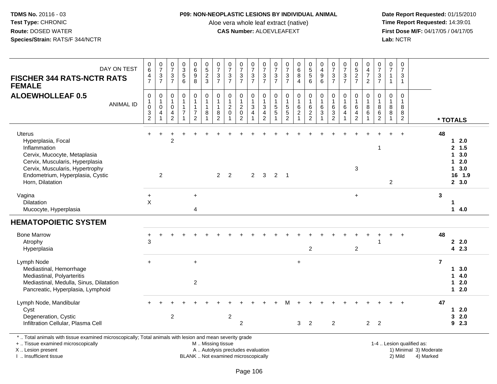## **P09: NON-NEOPLASTIC LESIONS BY INDIVIDUAL ANIMAL**

Aloe vera whole leaf extract (native)<br>**CAS Number:** ALOEVLEAFEXT

 **Date Report Requested:** 01/15/2010 **First Dose M/F:** 04/17/05 / 04/17/05 Lab: NCTR **Lab:** NCTR

| DAY ON TEST<br><b>FISCHER 344 RATS-NCTR RATS</b><br><b>FEMALE</b>                                                                                                                                                 | $\boldsymbol{0}$<br>$\overline{6}$<br>4<br>$\overline{7}$                     | $\frac{0}{7}$<br>$\ensuremath{\mathsf{3}}$<br>$\overline{7}$ | $\frac{0}{7}$<br>$\ensuremath{\mathsf{3}}$<br>$\overline{7}$        | $\begin{array}{c} 0 \\ 3 \\ 5 \end{array}$<br>6                    | 0<br>0<br>0<br>0<br>0                                                           | 0523                                                   | 0<br>$\overline{7}$<br>$\mathbf 3$<br>$\overline{7}$         | $\frac{0}{7}$<br>$\sqrt{3}$<br>$\overline{7}$           | $\frac{0}{7}$<br>$\mathbf{3}$<br>$\overline{7}$     | 0<br>$\overline{7}$<br>$\ensuremath{\mathsf{3}}$<br>$\overline{7}$ | $\frac{0}{7}$<br>$\ensuremath{\mathsf{3}}$<br>$\overline{7}$                  | 0<br>$\overline{7}$<br>$\sqrt{3}$<br>$\overline{7}$ | $\frac{0}{7}$<br>$\sqrt{3}$<br>$\overline{7}$                               | $\begin{matrix} 0 \\ 6 \\ 8 \end{matrix}$<br>$\overline{4}$    | 0<br>5<br>5<br>6                                             | 0<br>$\overline{4}$<br>$\boldsymbol{9}$<br>6                         | 0<br>$\overline{7}$<br>$\sqrt{3}$<br>$\overline{7}$      | $\frac{0}{7}$<br>$\ensuremath{\mathsf{3}}$<br>$\overline{7}$     | $\begin{array}{c} 0 \\ 5 \\ 2 \end{array}$<br>$\overline{7}$     | 0<br>$\frac{4}{7}$<br>$\overline{2}$ | $\frac{0}{7}$<br>$\mathbf{3}$<br>$\overline{7}$                            | $\pmb{0}$<br>$\overline{7}$<br>$\mathbf{1}$<br>$\mathbf{1}$    | $\mathbf 0$<br>$\overline{7}$<br>$\sqrt{3}$<br>$\mathbf{1}$    |                                                     |                |                                                                |
|-------------------------------------------------------------------------------------------------------------------------------------------------------------------------------------------------------------------|-------------------------------------------------------------------------------|--------------------------------------------------------------|---------------------------------------------------------------------|--------------------------------------------------------------------|---------------------------------------------------------------------------------|--------------------------------------------------------|--------------------------------------------------------------|---------------------------------------------------------|-----------------------------------------------------|--------------------------------------------------------------------|-------------------------------------------------------------------------------|-----------------------------------------------------|-----------------------------------------------------------------------------|----------------------------------------------------------------|--------------------------------------------------------------|----------------------------------------------------------------------|----------------------------------------------------------|------------------------------------------------------------------|------------------------------------------------------------------|--------------------------------------|----------------------------------------------------------------------------|----------------------------------------------------------------|----------------------------------------------------------------|-----------------------------------------------------|----------------|----------------------------------------------------------------|
| <b>ALOEWHOLLEAF 0.5</b><br><b>ANIMAL ID</b>                                                                                                                                                                       | $\pmb{0}$<br>$\mathbf{1}$<br>$\boldsymbol{0}$<br>$\sqrt{3}$<br>$\overline{2}$ | 0<br>$\mathbf{1}$<br>$\mathbf 0$<br>4<br>$\mathbf{1}$        | $\mathbf 0$<br>$\overline{1}$<br>$\mathbf 0$<br>4<br>$\overline{2}$ | 0<br>$\mathbf{1}$<br>$\mathbf{1}$<br>$\overline{7}$<br>$\mathbf 1$ | $\pmb{0}$<br>$\mathbf{1}$<br>$\mathbf{1}$<br>$\boldsymbol{7}$<br>$\overline{2}$ | $\pmb{0}$<br>$\mathbf{1}$<br>$\mathbf{1}$<br>8<br>1    | 0<br>$\overline{1}$<br>$\overline{1}$<br>8<br>$\overline{2}$ | $\pmb{0}$<br>$\mathbf{1}$<br>$^2_{0}$<br>$\overline{1}$ | 0<br>$\mathbf{1}$<br>$^2_{\rm 0}$<br>$\overline{2}$ | 0<br>$\mathbf{1}$<br>$\ensuremath{\mathsf{3}}$<br>$\overline{4}$   | $\mathbf 0$<br>$\mathbf{1}$<br>$\sqrt{3}$<br>$\overline{4}$<br>$\overline{2}$ | $\mathbf 0$<br>$\mathbf{1}$<br>$\frac{5}{5}$        | $\pmb{0}$<br>$\mathbf{1}$<br>$\sqrt{5}$<br>$\overline{5}$<br>$\overline{2}$ | 0<br>$\mathbf{1}$<br>$\,6\,$<br>$\overline{2}$<br>$\mathbf{1}$ | $\pmb{0}$<br>$\begin{array}{c} 1 \\ 6 \\ 2 \\ 2 \end{array}$ | $\pmb{0}$<br>$\mathbf{1}$<br>$\,6$<br>$\overline{3}$<br>$\mathbf{1}$ | 0<br>$\mathbf{1}$<br>6<br>$\mathbf{3}$<br>$\overline{2}$ | $\mathbf 0$<br>$\mathbf{1}$<br>$6\phantom{1}6$<br>$\overline{4}$ | 0<br>$\mathbf{1}$<br>$\,6\,$<br>$\overline{4}$<br>$\overline{2}$ | 0<br>$\mathbf{1}$<br>8<br>6<br>1     | $\mathbf 0$<br>$\mathbf{1}$<br>$\bf 8$<br>$\overline{6}$<br>$\overline{2}$ | 0<br>$\mathbf{1}$<br>$\bf 8$<br>$\overline{8}$<br>$\mathbf{1}$ | $\mathbf 0$<br>$\overline{1}$<br>$\bf8$<br>8<br>$\overline{2}$ |                                                     |                | * TOTALS                                                       |
| <b>Uterus</b><br>Hyperplasia, Focal<br>Inflammation<br>Cervix, Mucocyte, Metaplasia<br>Cervix, Muscularis, Hyperplasia<br>Cervix, Muscularis, Hypertrophy<br>Endometrium, Hyperplasia, Cystic<br>Horn, Dilatation |                                                                               | $\overline{2}$                                               | 2                                                                   |                                                                    |                                                                                 |                                                        |                                                              | $2 \quad 2$                                             |                                                     | $\overline{2}$                                                     | $\mathbf{3}$                                                                  | $2 \quad 1$                                         |                                                                             |                                                                |                                                              |                                                                      |                                                          |                                                                  | 3                                                                |                                      | $\overline{1}$                                                             | $\overline{2}$                                                 |                                                                |                                                     | 48             | $12.0$<br>2, 1.5<br>13.0<br>$12.0$<br>13.0<br>16 1.9<br>2, 3.0 |
| Vagina<br>Dilatation<br>Mucocyte, Hyperplasia                                                                                                                                                                     | $\ddot{}$<br>$\sf X$                                                          |                                                              |                                                                     |                                                                    | $+$<br>$\overline{4}$                                                           |                                                        |                                                              |                                                         |                                                     |                                                                    |                                                                               |                                                     |                                                                             |                                                                |                                                              |                                                                      |                                                          |                                                                  | $\ddot{}$                                                        |                                      |                                                                            |                                                                |                                                                |                                                     | 3              | 1<br>14.0                                                      |
| <b>HEMATOPOIETIC SYSTEM</b>                                                                                                                                                                                       |                                                                               |                                                              |                                                                     |                                                                    |                                                                                 |                                                        |                                                              |                                                         |                                                     |                                                                    |                                                                               |                                                     |                                                                             |                                                                |                                                              |                                                                      |                                                          |                                                                  |                                                                  |                                      |                                                                            |                                                                |                                                                |                                                     |                |                                                                |
| <b>Bone Marrow</b><br>Atrophy<br>Hyperplasia                                                                                                                                                                      | +<br>3                                                                        |                                                              |                                                                     |                                                                    |                                                                                 |                                                        |                                                              |                                                         |                                                     |                                                                    |                                                                               |                                                     |                                                                             |                                                                | $\overline{2}$                                               |                                                                      |                                                          |                                                                  | $\overline{c}$                                                   |                                      |                                                                            |                                                                |                                                                |                                                     | 48             | 2.2.0<br>42.3                                                  |
| Lymph Node<br>Mediastinal, Hemorrhage<br>Mediastinal, Polyarteritis<br>Mediastinal, Medulla, Sinus, Dilatation<br>Pancreatic, Hyperplasia, Lymphoid                                                               | $+$                                                                           |                                                              |                                                                     |                                                                    | $+$<br>$\overline{2}$                                                           |                                                        |                                                              |                                                         |                                                     |                                                                    |                                                                               |                                                     |                                                                             | $\ddot{}$                                                      |                                                              |                                                                      |                                                          |                                                                  |                                                                  |                                      |                                                                            |                                                                |                                                                |                                                     | $\overline{7}$ | 13.0<br>14.0<br>$12.0$<br>$12.0$                               |
| Lymph Node, Mandibular<br>Cyst<br>Degeneration, Cystic<br>Infiltration Cellular, Plasma Cell                                                                                                                      |                                                                               |                                                              | $\overline{2}$                                                      |                                                                    |                                                                                 |                                                        |                                                              | $\overline{\mathbf{c}}$                                 | $\overline{c}$                                      |                                                                    |                                                                               |                                                     |                                                                             | 3                                                              | $\overline{2}$                                               |                                                                      | $\overline{c}$                                           |                                                                  |                                                                  |                                      | 2 <sub>2</sub>                                                             |                                                                |                                                                |                                                     | 47             | $12.0$<br>32.0<br>92.3                                         |
| *  Total animals with tissue examined microscopically; Total animals with lesion and mean severity grade<br>+  Tissue examined microscopically<br>X  Lesion present                                               |                                                                               |                                                              |                                                                     |                                                                    |                                                                                 | M  Missing tissue<br>A  Autolysis precludes evaluation |                                                              |                                                         |                                                     |                                                                    |                                                                               |                                                     |                                                                             |                                                                |                                                              |                                                                      |                                                          |                                                                  |                                                                  |                                      |                                                                            |                                                                |                                                                | 1-4  Lesion qualified as:<br>1) Minimal 3) Moderate |                |                                                                |

X .. Lesion present

I .. Insufficient tissue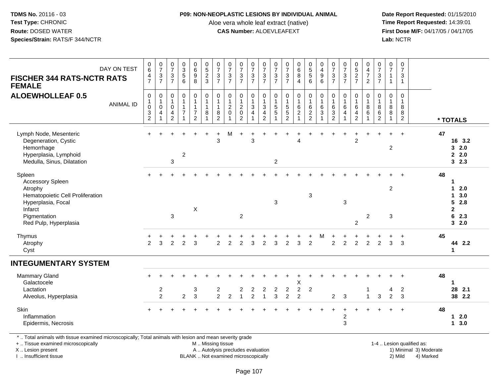#### **P09: NON-NEOPLASTIC LESIONS BY INDIVIDUAL ANIMAL**

Aloe vera whole leaf extract (native)<br>**CAS Number:** ALOEVLEAFEXT

 **Date Report Requested:** 01/15/2010 **First Dose M/F:** 04/17/05 / 04/17/05<br>**Lab:** NCTR **Lab:** NCTR

| <b>FISCHER 344 RATS-NCTR RATS</b><br><b>FEMALE</b>                                                                                                         | DAY ON TEST                               | 0<br>6<br>$\overline{\mathbf{4}}$<br>$\overline{7}$                    | $\frac{0}{7}$<br>$\frac{3}{7}$        | $\begin{array}{c} 0 \\ 7 \end{array}$<br>$\sqrt{3}$<br>$\overline{7}$      | $\begin{array}{c} 0 \\ 3 \\ 5 \end{array}$<br>$6\phantom{1}$ | $\begin{matrix} 0 \\ 6 \\ 9 \end{matrix}$<br>8                        | $\begin{array}{c} 0 \\ 5 \\ 2 \end{array}$<br>$\mathbf{3}$           | $\frac{0}{7}$<br>$\ensuremath{\mathsf{3}}$<br>$\overline{7}$ | $\frac{0}{7}$<br>$\ensuremath{\mathsf{3}}$<br>$\overline{7}$ | $\frac{0}{7}$<br>$\frac{3}{7}$                                  | $\frac{0}{7}$<br>$\frac{3}{7}$                              | $\frac{0}{7}$<br>$\frac{3}{7}$                                          | $\frac{0}{7}$<br>$\ensuremath{\mathsf{3}}$<br>$\overline{7}$ | $07/3$<br>7                                     | $\begin{array}{c} 0 \\ 6 \\ 8 \end{array}$<br>$\overline{4}$          | 0<br>5<br>5<br>6                                                | $0$<br>9<br>9<br>6                                                                    | $\frac{0}{7}$<br>$\sqrt{3}$<br>$\overline{7}$             | $\frac{0}{7}$<br>$\ensuremath{\mathsf{3}}$<br>$\overline{7}$ | $0$<br>5<br>2<br>7                                                  | $\begin{array}{c} 0 \\ 4 \\ 7 \end{array}$<br>$\overline{2}$ | $\frac{0}{7}$<br>$\ensuremath{\mathsf{3}}$<br>$\overline{7}$ | $\frac{0}{7}$<br>$\overline{1}$<br>$\mathbf{1}$ | $\pmb{0}$<br>$\overline{7}$<br>$\sqrt{3}$<br>$\overline{1}$ |    |                                                                          |
|------------------------------------------------------------------------------------------------------------------------------------------------------------|-------------------------------------------|------------------------------------------------------------------------|---------------------------------------|----------------------------------------------------------------------------|--------------------------------------------------------------|-----------------------------------------------------------------------|----------------------------------------------------------------------|--------------------------------------------------------------|--------------------------------------------------------------|-----------------------------------------------------------------|-------------------------------------------------------------|-------------------------------------------------------------------------|--------------------------------------------------------------|-------------------------------------------------|-----------------------------------------------------------------------|-----------------------------------------------------------------|---------------------------------------------------------------------------------------|-----------------------------------------------------------|--------------------------------------------------------------|---------------------------------------------------------------------|--------------------------------------------------------------|--------------------------------------------------------------|-------------------------------------------------|-------------------------------------------------------------|----|--------------------------------------------------------------------------|
| <b>ALOEWHOLLEAF 0.5</b>                                                                                                                                    | <b>ANIMAL ID</b>                          | $\mathbf 0$<br>$\mathbf{1}$<br>$\boldsymbol{0}$<br>3<br>$\overline{c}$ | 0<br>$\mathbf{1}$<br>$\pmb{0}$<br>4   | $\,0\,$<br>$\mathbf{1}$<br>$\mathbf 0$<br>$\overline{4}$<br>$\overline{2}$ | $\pmb{0}$<br>$\mathbf{1}$<br>$\mathbf{1}$<br>$\overline{7}$  | 0<br>$\mathbf{1}$<br>$\mathbf{1}$<br>$\overline{7}$<br>$\overline{2}$ | $\mathbf 0$<br>$\overline{1}$<br>$\mathbf{1}$<br>8<br>$\overline{1}$ | 0<br>$\mathbf{1}$<br>1<br>8<br>2                             | $\pmb{0}$<br>$\mathbf 1$<br>$\boldsymbol{2}$<br>$\mathbf 0$  | $\pmb{0}$<br>$\mathbf{1}$<br>$\boldsymbol{2}$<br>$\pmb{0}$<br>2 | $\mathbf 0$<br>$\mathbf{1}$<br>$\sqrt{3}$<br>$\overline{a}$ | 0<br>$\mathbf{1}$<br>$\overline{3}$<br>$\overline{4}$<br>$\overline{2}$ | 0<br>$\mathbf{1}$<br>5<br>5                                  | $\pmb{0}$<br>$1\overline{5}$<br>$5\overline{2}$ | $\begin{smallmatrix}0\1\end{smallmatrix}$<br>$^6_2$<br>$\overline{A}$ | 0<br>$\mathbf{1}$<br>$\begin{array}{c} 6 \\ 2 \\ 2 \end{array}$ | $\begin{smallmatrix}0\\1\end{smallmatrix}$<br>$\,6\,$<br>$\sqrt{3}$<br>$\overline{1}$ | $\pmb{0}$<br>$\overline{1}$<br>$\,6$<br>$\mathbf{3}$<br>2 | 0<br>$\mathbf{1}$<br>6<br>4                                  | 0<br>$\mathbf{1}$<br>6<br>$\overline{\mathbf{4}}$<br>$\overline{2}$ | $\mathbf 0$<br>$\mathbf{1}$<br>$^8_6$<br>$\overline{1}$      | 0<br>$\mathbf{1}$<br>$\bf 8$<br>$^6_2$                       | 0<br>$\overline{1}$<br>8<br>8<br>-1             | $\pmb{0}$<br>$\overline{1}$<br>8<br>8<br>$\overline{2}$     |    | * TOTALS                                                                 |
| Lymph Node, Mesenteric<br>Degeneration, Cystic<br>Hemorrhage<br>Hyperplasia, Lymphoid<br>Medulla, Sinus, Dilatation                                        |                                           |                                                                        |                                       | $\sqrt{3}$                                                                 | $\overline{c}$                                               |                                                                       |                                                                      | $\ddot{}$<br>3                                               | М                                                            |                                                                 | 3                                                           |                                                                         | $\boldsymbol{2}$                                             |                                                 | $\overline{4}$                                                        |                                                                 |                                                                                       |                                                           |                                                              | $\overline{c}$                                                      |                                                              |                                                              | $\overline{c}$                                  | $\ddot{}$                                                   | 47 | 16 3.2<br>32.0<br>2.0<br>32.3                                            |
| Spleen<br><b>Accessory Spleen</b><br>Atrophy<br>Hematopoietic Cell Proliferation<br>Hyperplasia, Focal<br>Infarct<br>Pigmentation<br>Red Pulp, Hyperplasia |                                           |                                                                        |                                       | $\mathfrak{S}$                                                             |                                                              | $\boldsymbol{\mathsf{X}}$                                             |                                                                      |                                                              |                                                              | $\overline{2}$                                                  |                                                             |                                                                         | 3                                                            |                                                 |                                                                       | 3                                                               |                                                                                       |                                                           | $\mathbf 3$                                                  | $\overline{2}$                                                      | $\overline{2}$                                               |                                                              | $\overline{c}$<br>3                             |                                                             | 48 | 1<br>$12.0$<br>$1 \quad 3.0$<br>52.8<br>$\mathbf{2}$<br>6<br>2.3<br>32.0 |
| Thymus<br>Atrophy<br>Cyst                                                                                                                                  |                                           | 2                                                                      | 3                                     | $\overline{2}$                                                             | 2                                                            | 3                                                                     |                                                                      | $\overline{2}$                                               | 2                                                            | $\overline{2}$                                                  | 3                                                           | 2                                                                       | 3                                                            | $\overline{2}$                                  | 3                                                                     | $\overline{2}$                                                  | м                                                                                     | $\overline{2}$                                            | 2                                                            | $\overline{2}$                                                      | 2                                                            | $\overline{2}$                                               | 3                                               | 3                                                           | 45 | 44 2.2<br>$\mathbf{1}$                                                   |
| <b>INTEGUMENTARY SYSTEM</b>                                                                                                                                |                                           |                                                                        |                                       |                                                                            |                                                              |                                                                       |                                                                      |                                                              |                                                              |                                                                 |                                                             |                                                                         |                                                              |                                                 |                                                                       |                                                                 |                                                                                       |                                                           |                                                              |                                                                     |                                                              |                                                              |                                                 |                                                             |    |                                                                          |
| <b>Mammary Gland</b><br>Galactocele<br>Lactation<br>Alveolus, Hyperplasia                                                                                  |                                           | $+$                                                                    | $\begin{array}{c} 2 \\ 2 \end{array}$ |                                                                            | $\overline{c}$                                               | 3<br>$\mathbf{3}$                                                     |                                                                      | $\frac{2}{2}$                                                | $\sqrt{2}$                                                   | $\overline{\mathbf{c}}$<br>$\overline{1}$                       | $\overline{\mathbf{c}}$<br>$\overline{c}$                   | $\overline{\mathbf{c}}$<br>$\overline{1}$                               | $\boldsymbol{2}$<br>3                                        | $\boldsymbol{2}$<br>$\overline{2}$              | X<br>$\sqrt{2}$<br>$\overline{2}$                                     | $\boldsymbol{2}$                                                |                                                                                       | $\overline{2}$                                            | $\mathbf{3}$                                                 |                                                                     | $\mathbf{1}$                                                 | $\mathbf{3}$                                                 | 4<br>$\overline{c}$                             | $\div$<br>$\overline{c}$<br>3                               | 48 | $\mathbf 1$<br>28<br>2.1<br>38 2.2                                       |
| Skin<br>Inflammation<br>Epidermis, Necrosis                                                                                                                |                                           |                                                                        |                                       |                                                                            |                                                              |                                                                       |                                                                      |                                                              |                                                              |                                                                 |                                                             |                                                                         |                                                              |                                                 |                                                                       |                                                                 |                                                                                       |                                                           | $\overline{c}$<br>$\mathbf{3}$                               |                                                                     |                                                              |                                                              |                                                 |                                                             | 48 | $12.0$<br>13.0                                                           |
| .                                                                                                                                                          | $\sim$ $\sim$ $\sim$ $\sim$ $\sim$ $\sim$ |                                                                        |                                       |                                                                            |                                                              |                                                                       |                                                                      |                                                              |                                                              |                                                                 |                                                             |                                                                         |                                                              |                                                 |                                                                       |                                                                 |                                                                                       |                                                           |                                                              |                                                                     |                                                              |                                                              |                                                 |                                                             |    |                                                                          |

\* .. Total animals with tissue examined microscopically; Total animals with lesion and mean severity grade

+ .. Tissue examined microscopically

X .. Lesion present

I .. Insufficient tissue

 M .. Missing tissueA .. Autolysis precludes evaluation

BLANK .. Not examined microscopically 2) Mild 4) Marked

1-4 .. Lesion qualified as:<br>1) Minimal 3) Moderate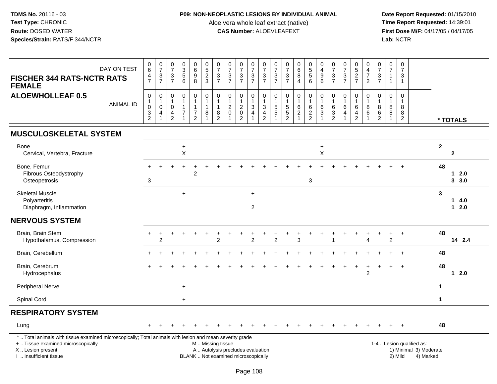# **P09: NON-NEOPLASTIC LESIONS BY INDIVIDUAL ANIMAL**

Aloe vera whole leaf extract (native)<br>**CAS Number:** ALOEVLEAFEXT

| DAY ON TEST<br><b>FISCHER 344 RATS-NCTR RATS</b><br><b>FEMALE</b>                                                                                                                             | $_{6}^{\rm 0}$<br>$\frac{4}{7}$                         | $\frac{0}{7}$<br>$\frac{3}{7}$                                                         | $\frac{0}{7}$<br>$\sqrt{3}$<br>$\overline{7}$           | $_{3}^{\rm 0}$<br>$\,$ 5 $\,$<br>6                               | $_6^0$<br>9<br>8                                             | $\begin{array}{c} 0 \\ 5 \end{array}$<br>$\frac{2}{3}$         | $\frac{0}{7}$<br>$\frac{3}{7}$                                    | $\begin{array}{c} 0 \\ 7 \end{array}$<br>$\sqrt{3}$<br>$\overline{7}$    | $\frac{0}{7}$<br>$\frac{3}{7}$                                | $\frac{0}{7}$<br>$\frac{3}{7}$   | $\begin{array}{c} 0 \\ 7 \end{array}$<br>$\frac{3}{7}$                                     | $\frac{0}{7}$<br>$\frac{3}{7}$                             | $\begin{array}{c} 0 \\ 7 \end{array}$<br>$\frac{3}{7}$                  | $\begin{array}{c} 0 \\ 6 \end{array}$<br>$\overline{8}$<br>$\overline{4}$ | $\begin{array}{c} 0 \\ 5 \\ 5 \end{array}$<br>6                           | $\begin{smallmatrix}0\\4\end{smallmatrix}$<br>$\boldsymbol{9}$<br>6               | $\frac{0}{7}$<br>$\frac{3}{7}$                | $\frac{0}{7}$<br>$\frac{3}{7}$                                         | $0$<br>5<br>2<br>7                                                   | $\begin{smallmatrix}0\0\4\end{smallmatrix}$<br>$\overline{7}$<br>$\overline{2}$ | $\frac{0}{7}$<br>$\ensuremath{\mathsf{3}}$<br>$\overline{7}$        | $\begin{array}{c} 0 \\ 7 \end{array}$<br>$\overline{1}$<br>$\overline{1}$ | $\mathbf 0$<br>$\overline{7}$<br>$\mathbf{3}$<br>$\mathbf{1}$ |                                                                  |                      |                |
|-----------------------------------------------------------------------------------------------------------------------------------------------------------------------------------------------|---------------------------------------------------------|----------------------------------------------------------------------------------------|---------------------------------------------------------|------------------------------------------------------------------|--------------------------------------------------------------|----------------------------------------------------------------|-------------------------------------------------------------------|--------------------------------------------------------------------------|---------------------------------------------------------------|----------------------------------|--------------------------------------------------------------------------------------------|------------------------------------------------------------|-------------------------------------------------------------------------|---------------------------------------------------------------------------|---------------------------------------------------------------------------|-----------------------------------------------------------------------------------|-----------------------------------------------|------------------------------------------------------------------------|----------------------------------------------------------------------|---------------------------------------------------------------------------------|---------------------------------------------------------------------|---------------------------------------------------------------------------|---------------------------------------------------------------|------------------------------------------------------------------|----------------------|----------------|
| <b>ALOEWHOLLEAF 0.5</b><br><b>ANIMAL ID</b>                                                                                                                                                   | $\pmb{0}$<br>$\mathbf{1}$<br>$\pmb{0}$<br>$\frac{3}{2}$ | $\mathsf{O}\xspace$<br>$\mathbf{1}$<br>$\mathbf 0$<br>$\overline{4}$<br>$\overline{1}$ | 0<br>$\mathbf{1}$<br>$\mathbf 0$<br>4<br>$\overline{2}$ | $\pmb{0}$<br>1<br>$\mathbf{1}$<br>$\overline{7}$<br>$\mathbf{1}$ | $\boldsymbol{0}$<br>$\mathbf{1}$<br>1<br>7<br>$\overline{2}$ | $\pmb{0}$<br>$\mathbf{1}$<br>$\mathbf{1}$<br>8<br>$\mathbf{1}$ | $\pmb{0}$<br>$\overline{1}$<br>$\mathbf 1$<br>8<br>$\overline{c}$ | $\boldsymbol{0}$<br>$\overline{1}$<br>$^2_{\rm 0}$<br>$\overline{A}$     | $\mathbf 0$<br>$\mathbf{1}$<br>$^2_{\rm 0}$<br>$\overline{2}$ | 0<br>$\mathbf{1}$<br>3<br>4<br>1 | $\pmb{0}$<br>$\mathbf{1}$<br>$\ensuremath{\mathsf{3}}$<br>$\overline{4}$<br>$\overline{2}$ | 0<br>$\mathbf{1}$<br>$\begin{array}{c} 5 \\ 5 \end{array}$ | $\pmb{0}$<br>$\mathbf{1}$<br>$\begin{array}{c} 5 \\ 5 \\ 2 \end{array}$ | $\mathsf 0$<br>$\mathbf{1}$<br>$^6_2$<br>$\overline{1}$                   | $\pmb{0}$<br>$\overline{1}$<br>$\begin{array}{c} 6 \\ 2 \\ 2 \end{array}$ | $\begin{smallmatrix}0\\1\end{smallmatrix}$<br>6<br>$\overline{3}$<br>$\mathbf{1}$ | 0<br>$\mathbf{1}$<br>6<br>3<br>$\overline{2}$ | $\pmb{0}$<br>$\mathbf{1}$<br>$\,6$<br>$\overline{4}$<br>$\overline{1}$ | $\mathbf 0$<br>$\mathbf{1}$<br>6<br>$\overline{4}$<br>$\overline{2}$ | $\pmb{0}$<br>$\mathbf{1}$<br>$^8_6$<br>$\overline{1}$                           | $\mathsf{O}\xspace$<br>$\mathbf{1}$<br>8<br>$\,6$<br>$\overline{c}$ | 0<br>$\overline{1}$<br>8<br>8<br>$\overline{1}$                           | $\mathbf 0$<br>$\overline{1}$<br>8<br>8<br>$\overline{2}$     |                                                                  |                      | * TOTALS       |
| <b>MUSCULOSKELETAL SYSTEM</b>                                                                                                                                                                 |                                                         |                                                                                        |                                                         |                                                                  |                                                              |                                                                |                                                                   |                                                                          |                                                               |                                  |                                                                                            |                                                            |                                                                         |                                                                           |                                                                           |                                                                                   |                                               |                                                                        |                                                                      |                                                                                 |                                                                     |                                                                           |                                                               |                                                                  |                      |                |
| <b>Bone</b><br>Cervical, Vertebra, Fracture                                                                                                                                                   |                                                         |                                                                                        |                                                         | +<br>$\mathsf X$                                                 |                                                              |                                                                |                                                                   |                                                                          |                                                               |                                  |                                                                                            |                                                            |                                                                         |                                                                           |                                                                           | $\ddot{}$<br>$\boldsymbol{\mathsf{X}}$                                            |                                               |                                                                        |                                                                      |                                                                                 |                                                                     |                                                                           |                                                               |                                                                  | $\mathbf{2}$         | $\mathbf{2}$   |
| Bone, Femur<br>Fibrous Osteodystrophy<br>Osteopetrosis                                                                                                                                        | $+$<br>3                                                |                                                                                        |                                                         |                                                                  | $\overline{2}$                                               |                                                                |                                                                   |                                                                          |                                                               |                                  |                                                                                            |                                                            |                                                                         |                                                                           | 3                                                                         |                                                                                   |                                               |                                                                        |                                                                      |                                                                                 |                                                                     |                                                                           |                                                               |                                                                  | 48                   | 12.0<br>3.0    |
| <b>Skeletal Muscle</b><br>Polyarteritis<br>Diaphragm, Inflammation                                                                                                                            |                                                         |                                                                                        |                                                         | $+$                                                              |                                                              |                                                                |                                                                   |                                                                          |                                                               | $\ddot{}$<br>$\overline{2}$      |                                                                                            |                                                            |                                                                         |                                                                           |                                                                           |                                                                                   |                                               |                                                                        |                                                                      |                                                                                 |                                                                     |                                                                           |                                                               |                                                                  | 3                    | 14.0<br>$12.0$ |
| <b>NERVOUS SYSTEM</b>                                                                                                                                                                         |                                                         |                                                                                        |                                                         |                                                                  |                                                              |                                                                |                                                                   |                                                                          |                                                               |                                  |                                                                                            |                                                            |                                                                         |                                                                           |                                                                           |                                                                                   |                                               |                                                                        |                                                                      |                                                                                 |                                                                     |                                                                           |                                                               |                                                                  |                      |                |
| Brain, Brain Stem<br>Hypothalamus, Compression                                                                                                                                                | $\ddot{}$                                               | $\ddot{}$<br>2                                                                         |                                                         |                                                                  |                                                              |                                                                | $\mathfrak{p}$                                                    |                                                                          |                                                               | $\overline{2}$                   |                                                                                            | $\overline{2}$                                             |                                                                         | 3                                                                         |                                                                           |                                                                                   |                                               |                                                                        |                                                                      | ٠<br>Δ                                                                          |                                                                     | +<br>$\overline{c}$                                                       | $\ddot{}$                                                     |                                                                  | 48                   | 14 2.4         |
| Brain, Cerebellum                                                                                                                                                                             |                                                         |                                                                                        |                                                         |                                                                  |                                                              |                                                                |                                                                   |                                                                          |                                                               |                                  |                                                                                            |                                                            |                                                                         |                                                                           |                                                                           |                                                                                   |                                               |                                                                        |                                                                      |                                                                                 |                                                                     |                                                                           | $\ddot{}$                                                     |                                                                  | 48                   |                |
| Brain, Cerebrum<br>Hydrocephalus                                                                                                                                                              |                                                         |                                                                                        |                                                         |                                                                  |                                                              |                                                                |                                                                   |                                                                          |                                                               |                                  |                                                                                            |                                                            |                                                                         |                                                                           |                                                                           |                                                                                   |                                               |                                                                        | $\ddot{}$                                                            | $\ddot{}$<br>$\overline{c}$                                                     |                                                                     | $+$                                                                       | $\ddot{+}$                                                    |                                                                  | 48                   | $12.0$         |
| <b>Peripheral Nerve</b>                                                                                                                                                                       |                                                         |                                                                                        |                                                         | $\ddot{}$                                                        |                                                              |                                                                |                                                                   |                                                                          |                                                               |                                  |                                                                                            |                                                            |                                                                         |                                                                           |                                                                           |                                                                                   |                                               |                                                                        |                                                                      |                                                                                 |                                                                     |                                                                           |                                                               |                                                                  | $\mathbf{1}$         |                |
| Spinal Cord                                                                                                                                                                                   |                                                         |                                                                                        |                                                         | $+$                                                              |                                                              |                                                                |                                                                   |                                                                          |                                                               |                                  |                                                                                            |                                                            |                                                                         |                                                                           |                                                                           |                                                                                   |                                               |                                                                        |                                                                      |                                                                                 |                                                                     |                                                                           |                                                               |                                                                  | $\blacktriangleleft$ |                |
| <b>RESPIRATORY SYSTEM</b>                                                                                                                                                                     |                                                         |                                                                                        |                                                         |                                                                  |                                                              |                                                                |                                                                   |                                                                          |                                                               |                                  |                                                                                            |                                                            |                                                                         |                                                                           |                                                                           |                                                                                   |                                               |                                                                        |                                                                      |                                                                                 |                                                                     |                                                                           |                                                               |                                                                  |                      |                |
| Lung                                                                                                                                                                                          |                                                         |                                                                                        |                                                         |                                                                  |                                                              |                                                                |                                                                   |                                                                          |                                                               |                                  |                                                                                            |                                                            |                                                                         |                                                                           |                                                                           |                                                                                   |                                               |                                                                        |                                                                      |                                                                                 |                                                                     |                                                                           |                                                               |                                                                  | 48                   |                |
| *  Total animals with tissue examined microscopically; Total animals with lesion and mean severity grade<br>+  Tissue examined microscopically<br>X  Lesion present<br>I  Insufficient tissue |                                                         |                                                                                        |                                                         |                                                                  |                                                              | M  Missing tissue                                              |                                                                   | A  Autolysis precludes evaluation<br>BLANK  Not examined microscopically |                                                               |                                  |                                                                                            |                                                            |                                                                         |                                                                           |                                                                           |                                                                                   |                                               |                                                                        |                                                                      |                                                                                 |                                                                     |                                                                           | 2) Mild                                                       | 1-4  Lesion qualified as:<br>1) Minimal 3) Moderate<br>4) Marked |                      |                |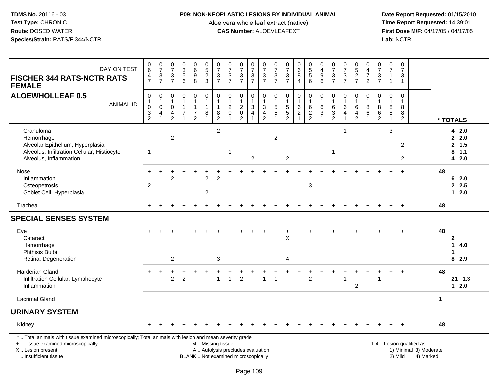### **P09: NON-NEOPLASTIC LESIONS BY INDIVIDUAL ANIMAL**

Aloe vera whole leaf extract (native)<br>**CAS Number:** ALOEVLEAFEXT

| DAY ON TEST<br><b>FISCHER 344 RATS-NCTR RATS</b><br><b>FEMALE</b>                                                                                                                             | $_{6}^{\rm 0}$<br>$\frac{4}{7}$                                         | $\begin{smallmatrix}0\\7\end{smallmatrix}$<br>$\frac{3}{7}$ | $\begin{array}{c} 0 \\ 7 \end{array}$<br>$\ensuremath{\mathsf{3}}$<br>$\overline{7}$ | 0<br>5<br>5<br>6                                                      | $\begin{array}{c} 0 \\ 6 \end{array}$<br>$\boldsymbol{9}$<br>8                  | $\begin{array}{c} 0 \\ 5 \end{array}$<br>$\frac{2}{3}$               | $\frac{0}{7}$<br>$\frac{3}{7}$ | $\frac{0}{7}$<br>$\frac{3}{7}$                                           | $\frac{0}{7}$<br>$\frac{3}{7}$                                        | $\frac{0}{7}$<br>$\frac{3}{7}$                     | $\frac{0}{7}$<br>$\frac{3}{7}$                               | $\frac{0}{7}$<br>$\ensuremath{\mathsf{3}}$<br>$\overline{7}$ | $\frac{0}{7}$<br>$\frac{3}{7}$                                 | $_{6}^{\rm 0}$<br>8<br>$\overline{4}$             | $\begin{array}{c} 0 \\ 5 \end{array}$<br>$\overline{5}$<br>6 | $\begin{smallmatrix}0\\4\end{smallmatrix}$<br>$\boldsymbol{9}$<br>6 | $\frac{0}{7}$<br>$\mathbf{3}$<br>$\overline{7}$                           | $\frac{0}{7}$<br>$\frac{3}{7}$                                                    | $^{\rm 0}_{\rm 5}$<br>$\frac{2}{7}$                                       | $\mathbf 0$<br>$\overline{4}$<br>$\overline{7}$<br>$\overline{2}$ | $\frac{0}{7}$<br>$\frac{3}{7}$     | $\frac{0}{7}$<br>$\mathbf{1}$<br>$\overline{1}$         | $\pmb{0}$<br>$\overline{7}$<br>$\mathbf{3}$<br>$\mathbf{1}$ |                                                                  |              |                                           |
|-----------------------------------------------------------------------------------------------------------------------------------------------------------------------------------------------|-------------------------------------------------------------------------|-------------------------------------------------------------|--------------------------------------------------------------------------------------|-----------------------------------------------------------------------|---------------------------------------------------------------------------------|----------------------------------------------------------------------|--------------------------------|--------------------------------------------------------------------------|-----------------------------------------------------------------------|----------------------------------------------------|--------------------------------------------------------------|--------------------------------------------------------------|----------------------------------------------------------------|---------------------------------------------------|--------------------------------------------------------------|---------------------------------------------------------------------|---------------------------------------------------------------------------|-----------------------------------------------------------------------------------|---------------------------------------------------------------------------|-------------------------------------------------------------------|------------------------------------|---------------------------------------------------------|-------------------------------------------------------------|------------------------------------------------------------------|--------------|-------------------------------------------|
| <b>ALOEWHOLLEAF 0.5</b><br><b>ANIMAL ID</b>                                                                                                                                                   | $\pmb{0}$<br>$\begin{smallmatrix}1\0\end{smallmatrix}$<br>$\frac{3}{2}$ | $\boldsymbol{0}$<br>$\mathbf{1}$<br>$\mathbf 0$<br>4        | 0<br>$\mathbf 1$<br>0<br>4<br>$\overline{c}$                                         | $\mathsf{O}\xspace$<br>$\mathbf{1}$<br>$\mathbf{1}$<br>$\overline{7}$ | $\pmb{0}$<br>$\overline{1}$<br>$\mathbf{1}$<br>$\overline{7}$<br>$\overline{c}$ | $\pmb{0}$<br>$\overline{1}$<br>$\overline{1}$<br>8<br>$\overline{1}$ | 0<br>1<br>8<br>$\overline{c}$  | $\pmb{0}$<br>$\mathbf{1}$<br>$^2_{\rm 0}$<br>$\overline{1}$              | $\mathsf{O}\xspace$<br>$\mathbf{1}$<br>$^2_{\rm 0}$<br>$\overline{2}$ | 0<br>$\mathbf 1$<br>$\ensuremath{\mathsf{3}}$<br>4 | $\pmb{0}$<br>$\mathbf{1}$<br>$\frac{3}{4}$<br>$\overline{2}$ | 0<br>$\overline{1}$<br>$\sqrt{5}$<br>$\overline{5}$          | $\mathbf 0$<br>$\mathbf{1}$<br>$\frac{5}{5}$<br>$\overline{2}$ | $\mathbf 0$<br>$\mathbf 1$<br>6<br>$\overline{2}$ | $\pmb{0}$<br>$\mathbf{1}$<br>$\,6\,$<br>$\frac{2}{2}$        | $\pmb{0}$<br>$\mathbf{1}$<br>$^6_3$<br>$\mathbf{1}$                 | $\mathbf 0$<br>$\overline{1}$<br>$\,6\,$<br>$\mathbf 3$<br>$\overline{c}$ | $\pmb{0}$<br>$\mathbf{1}$<br>$\,6\,$<br>$\overline{4}$<br>$\overline{\mathbf{1}}$ | 0<br>$\mathbf{1}$<br>$\,6\,$<br>$\overline{\mathbf{4}}$<br>$\overline{c}$ | $\mathbf 0$<br>$\mathbf{1}$<br>8<br>6<br>$\mathbf{1}$             | 0<br>1<br>8<br>6<br>$\overline{c}$ | $\pmb{0}$<br>$\overline{1}$<br>8<br>8<br>$\overline{1}$ | $\pmb{0}$<br>$\mathbf 1$<br>8<br>8<br>$\overline{2}$        |                                                                  |              | * TOTALS                                  |
| Granuloma<br>Hemorrhage<br>Alveolar Epithelium, Hyperplasia<br>Alveolus, Infiltration Cellular, Histiocyte<br>Alveolus, Inflammation                                                          | $\mathbf{1}$                                                            |                                                             | $\overline{2}$                                                                       |                                                                       |                                                                                 |                                                                      | $\overline{c}$                 | 1                                                                        |                                                                       | $\mathbf{2}$                                       |                                                              | $\overline{c}$                                               | $\overline{c}$                                                 |                                                   |                                                              |                                                                     | $\mathbf{1}$                                                              | $\overline{1}$                                                                    |                                                                           |                                                                   |                                    | 3                                                       | 2<br>2                                                      |                                                                  |              | 42.0<br>2.0<br>2, 1.5<br>$8$ 1.1<br>4 2.0 |
| Nose<br>Inflammation<br>Osteopetrosis<br>Goblet Cell, Hyperplasia                                                                                                                             | $\overline{c}$                                                          |                                                             | $\overline{2}$                                                                       |                                                                       |                                                                                 | $\overline{c}$<br>$\overline{c}$                                     | $\overline{c}$                 |                                                                          |                                                                       |                                                    |                                                              |                                                              |                                                                |                                                   | 3                                                            |                                                                     |                                                                           |                                                                                   |                                                                           |                                                                   |                                    |                                                         | $\div$                                                      |                                                                  | 48           | 6<br>2.0<br>2.5<br>$12.0$                 |
| Trachea                                                                                                                                                                                       |                                                                         |                                                             |                                                                                      |                                                                       |                                                                                 |                                                                      |                                |                                                                          |                                                                       |                                                    |                                                              |                                                              |                                                                |                                                   |                                                              |                                                                     |                                                                           |                                                                                   |                                                                           |                                                                   |                                    |                                                         | $\overline{+}$                                              |                                                                  | 48           |                                           |
| <b>SPECIAL SENSES SYSTEM</b>                                                                                                                                                                  |                                                                         |                                                             |                                                                                      |                                                                       |                                                                                 |                                                                      |                                |                                                                          |                                                                       |                                                    |                                                              |                                                              |                                                                |                                                   |                                                              |                                                                     |                                                                           |                                                                                   |                                                                           |                                                                   |                                    |                                                         |                                                             |                                                                  |              |                                           |
| Eye<br>Cataract<br>Hemorrhage<br>Phthisis Bulbi<br>Retina, Degeneration                                                                                                                       |                                                                         |                                                             | $\overline{2}$                                                                       |                                                                       |                                                                                 |                                                                      | 3                              |                                                                          |                                                                       |                                                    |                                                              |                                                              | X<br>4                                                         |                                                   |                                                              |                                                                     |                                                                           |                                                                                   |                                                                           |                                                                   |                                    |                                                         |                                                             |                                                                  | 48           | $\mathbf{2}$<br>1<br>4.0<br>1<br>8 2.9    |
| <b>Harderian Gland</b><br>Infiltration Cellular, Lymphocyte<br>Inflammation                                                                                                                   |                                                                         | $\ddot{}$                                                   | $\overline{2}$                                                                       | $\overline{2}$                                                        |                                                                                 |                                                                      | 1                              | $\mathbf{1}$                                                             | $\overline{2}$                                                        |                                                    | $\overline{1}$                                               | $\overline{1}$                                               |                                                                |                                                   | $\overline{2}$                                               |                                                                     |                                                                           | $\overline{\mathbf{1}}$                                                           | 2                                                                         |                                                                   | 1                                  |                                                         | $\overline{+}$                                              |                                                                  | 48           | 21 1.3<br>$12.0$                          |
| <b>Lacrimal Gland</b>                                                                                                                                                                         |                                                                         |                                                             |                                                                                      |                                                                       |                                                                                 |                                                                      |                                |                                                                          |                                                                       |                                                    |                                                              |                                                              |                                                                |                                                   |                                                              |                                                                     |                                                                           |                                                                                   |                                                                           |                                                                   |                                    |                                                         |                                                             |                                                                  | $\mathbf{1}$ |                                           |
| <b>URINARY SYSTEM</b>                                                                                                                                                                         |                                                                         |                                                             |                                                                                      |                                                                       |                                                                                 |                                                                      |                                |                                                                          |                                                                       |                                                    |                                                              |                                                              |                                                                |                                                   |                                                              |                                                                     |                                                                           |                                                                                   |                                                                           |                                                                   |                                    |                                                         |                                                             |                                                                  |              |                                           |
| Kidney                                                                                                                                                                                        |                                                                         |                                                             |                                                                                      |                                                                       |                                                                                 |                                                                      |                                |                                                                          |                                                                       |                                                    |                                                              |                                                              |                                                                |                                                   |                                                              |                                                                     |                                                                           |                                                                                   |                                                                           |                                                                   |                                    |                                                         | $\ddot{}$                                                   |                                                                  | 48           |                                           |
| *  Total animals with tissue examined microscopically; Total animals with lesion and mean severity grade<br>+  Tissue examined microscopically<br>X  Lesion present<br>I  Insufficient tissue |                                                                         |                                                             |                                                                                      |                                                                       |                                                                                 | M  Missing tissue                                                    |                                | A  Autolysis precludes evaluation<br>BLANK  Not examined microscopically |                                                                       |                                                    |                                                              |                                                              |                                                                |                                                   |                                                              |                                                                     |                                                                           |                                                                                   |                                                                           |                                                                   |                                    |                                                         | 2) Mild                                                     | 1-4  Lesion qualified as:<br>1) Minimal 3) Moderate<br>4) Marked |              |                                           |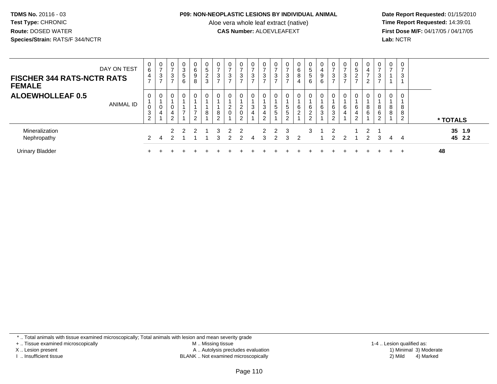#### **P09: NON-NEOPLASTIC LESIONS BY INDIVIDUAL ANIMAL**

Aloe vera whole leaf extract (native)<br>**CAS Number:** ALOEVLEAFEXT

 **Date Report Requested:** 01/15/2010 **First Dose M/F:** 04/17/05 / 04/17/05 Lab: NCTR **Lab:** NCTR

| <b>FISCHER 344 RATS-NCTR RATS</b><br><b>FEMALE</b> | DAY ON TEST | 0<br>6<br>$\overline{4}$<br>$\overline{ }$ | $\mathbf{0}$<br>3 | 0<br>3           | 0<br>3<br>$\sqrt{5}$<br>6 | 0<br>6<br>9<br>8              | $5\phantom{.0}$<br>$\overline{c}$<br>3 | 0<br>$\rightarrow$<br>3<br>$\rightarrow$ | 3<br>-                              | 0<br>$\overline{ }$<br>3<br>$\overline{ }$ | 0<br>$\overline{ }$<br>3<br>$\overline{ }$ | 3<br>$\rightarrow$ | ົ<br>J<br>-   | ⇁<br>3<br>$\overline{ }$ | 0<br>6<br>8<br>4          | $\mathbf 0$<br>$\sqrt{5}$<br>$\,$ 5 $\,$<br>6 | 0<br>$\overline{4}$<br>9<br>6 | ົ<br>J           | $\overline{ }$<br>3 | 0<br>$5\phantom{.0}$<br>$\sim$<br>∠ | 0<br>4<br>$\rightarrow$<br>⌒ | 0<br>$\rightarrow$<br>3<br>$\rightarrow$ | 0<br>$\rightarrow$ | 0<br>$\overline{ }$<br>3   |          |                  |  |
|----------------------------------------------------|-------------|--------------------------------------------|-------------------|------------------|---------------------------|-------------------------------|----------------------------------------|------------------------------------------|-------------------------------------|--------------------------------------------|--------------------------------------------|--------------------|---------------|--------------------------|---------------------------|-----------------------------------------------|-------------------------------|------------------|---------------------|-------------------------------------|------------------------------|------------------------------------------|--------------------|----------------------------|----------|------------------|--|
| <b>ALOEWHOLLEAF 0.5</b>                            | ANIMAL ID   | 0<br>0<br>3<br>2                           | 0<br>U<br>4       | 0<br>0<br>4<br>2 | 0<br>$\overline{ }$       | 0<br>$\overline{ }$<br>$\sim$ | 8                                      | 0<br>8<br>$\sim$                         | 0<br>ົ<br>$\epsilon$<br>$\mathbf 0$ | 0<br>2<br>$\mathbf 0$<br>ົ                 | 0<br>3<br>4                                | 3<br>4<br>ົ        | 5<br>-<br>G   | 5<br>5<br>$\sim$         | 0<br>6<br>ົ<br>$\epsilon$ | 0<br>6<br>$\boldsymbol{2}$<br>$\overline{c}$  | 0<br>$\,6$<br>$\mathbf{3}$    | 6<br>3<br>$\sim$ | 0<br>6<br>4         | 0<br>6<br>4<br>$\sim$               | 0<br>8<br>6                  | 8<br>$\,6$<br>2                          | 0<br>8<br>8        | $\mathbf 0$<br>8<br>8<br>2 | * TOTALS |                  |  |
| Mineralization<br>Nephropathy                      |             | $\mathcal{P}$                              |                   | 2<br>ົ           | ຳ                         | 2                             |                                        | 3<br>3                                   | 2<br>2                              | 2<br>$\mathcal{P}$                         | 4                                          | $\mathcal{P}$<br>3 | $\mathcal{P}$ | 3<br>3                   | 2                         | 3                                             |                               | 2<br>2           |                     |                                     | $\overline{2}$<br>2          | 3                                        | 4                  | 4                          |          | 35 1.9<br>45 2.2 |  |
| <b>Urinary Bladder</b>                             |             |                                            |                   |                  |                           |                               |                                        |                                          |                                     |                                            |                                            |                    |               |                          |                           |                                               |                               |                  |                     |                                     |                              |                                          |                    | $\div$                     | 48       |                  |  |

\* .. Total animals with tissue examined microscopically; Total animals with lesion and mean severity grade

+ .. Tissue examined microscopically

X .. Lesion present

I .. Insufficient tissue

 M .. Missing tissueA .. Autolysis precludes evaluation

BLANK .. Not examined microscopically 2) Mild 4) Marked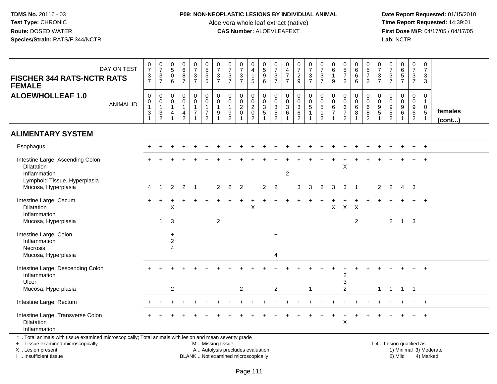### **P09: NON-NEOPLASTIC LESIONS BY INDIVIDUAL ANIMAL**

Aloe vera whole leaf extract (native)<br>**CAS Number:** ALOEVLEAFEXT

 **Date Report Requested:** 01/15/2010 **First Dose M/F:** 04/17/05 / 04/17/05 Lab: NCTR **Lab:** NCTR

| DAY ON TEST<br><b>FISCHER 344 RATS-NCTR RATS</b><br><b>FEMALE</b>                                                                                                   |                  | $\frac{0}{7}$<br>$\frac{3}{7}$                                                                         | $\begin{array}{c} 0 \\ 7 \end{array}$<br>$\frac{3}{7}$ | $\begin{array}{c} 0 \\ 5 \end{array}$<br>$\pmb{0}$<br>6              | $\begin{array}{c} 0 \\ 6 \end{array}$<br>$\frac{8}{7}$                    | $\begin{smallmatrix} 0\\7 \end{smallmatrix}$<br>$\frac{3}{7}$                  | $\begin{array}{c} 0 \\ 5 \end{array}$<br>$\overline{5}$<br>$5\phantom{.0}$         | $\begin{array}{c} 0 \\ 7 \end{array}$<br>3<br>$\overline{7}$ | $\frac{0}{7}$<br>$\frac{3}{7}$                                      | $\frac{0}{7}$<br>3<br>$\overline{7}$                       | $\mathbf 0$<br>$\overline{4}$<br>$\mathbf 1$<br>5                                             | 0<br>5<br>6<br>6                                        | $\mathbf 0$<br>$\overline{7}$<br>$\frac{3}{7}$                | $\begin{smallmatrix}0\\4\end{smallmatrix}$<br>$\overline{7}$<br>$\overline{7}$ | $\begin{smallmatrix}0\\7\end{smallmatrix}$<br>$\frac{2}{9}$        | $\begin{array}{c} 0 \\ 7 \end{array}$<br>$\frac{3}{7}$        | $\frac{0}{7}$<br>3<br>$\overline{7}$ | $\mathbf 0$<br>$\,6\,$<br>$\mathbf{1}$<br>9     | $\begin{array}{c} 0 \\ 5 \\ 7 \end{array}$<br>$\overline{2}$ | $\begin{array}{c} 0 \\ 6 \end{array}$<br>6<br>6 | $\begin{array}{c} 0 \\ 5 \\ 7 \end{array}$<br>$\overline{2}$ | 0<br>$\overline{7}$<br>3<br>$\overline{7}$ | $\begin{array}{c} 0 \\ 7 \end{array}$<br>$\frac{3}{7}$            | $_{6}^{\rm 0}$<br>$\overline{5}$<br>$\overline{7}$     | $\frac{0}{7}$<br>$\frac{3}{7}$                                      | 0<br>$\overline{7}$<br>3<br>3                           |                        |
|---------------------------------------------------------------------------------------------------------------------------------------------------------------------|------------------|--------------------------------------------------------------------------------------------------------|--------------------------------------------------------|----------------------------------------------------------------------|---------------------------------------------------------------------------|--------------------------------------------------------------------------------|------------------------------------------------------------------------------------|--------------------------------------------------------------|---------------------------------------------------------------------|------------------------------------------------------------|-----------------------------------------------------------------------------------------------|---------------------------------------------------------|---------------------------------------------------------------|--------------------------------------------------------------------------------|--------------------------------------------------------------------|---------------------------------------------------------------|--------------------------------------|-------------------------------------------------|--------------------------------------------------------------|-------------------------------------------------|--------------------------------------------------------------|--------------------------------------------|-------------------------------------------------------------------|--------------------------------------------------------|---------------------------------------------------------------------|---------------------------------------------------------|------------------------|
| <b>ALOEWHOLLEAF 1.0</b>                                                                                                                                             | <b>ANIMAL ID</b> | $\pmb{0}$<br>$\begin{smallmatrix}0\\1\end{smallmatrix}$<br>$\ensuremath{\mathsf{3}}$<br>$\overline{1}$ | $\mathsf{O}$<br>$\mathbf 0$<br>$\mathbf{1}$<br>3<br>2  | $\mathsf{O}\xspace$<br>$\mathbf 0$<br>$\mathbf{1}$<br>$\overline{4}$ | $\mathbf 0$<br>$\ddot{\mathbf{0}}$<br>$\mathbf{1}$<br>$\overline{4}$<br>2 | $\begin{smallmatrix}0\\0\end{smallmatrix}$<br>$\overline{1}$<br>$\overline{7}$ | $\mathsf{O}$<br>$\overline{0}$<br>$\mathbf{1}$<br>$\overline{7}$<br>$\overline{2}$ | $\mathbf 0$<br>$\mathbf 0$<br>$\mathbf{1}$<br>9              | $\mathbf 0$<br>$\mathbf 0$<br>$\mathbf{1}$<br>$\boldsymbol{9}$<br>2 | 0<br>$\ddot{\mathbf{0}}$<br>$\overline{2}$<br>$\mathbf{0}$ | $\begin{smallmatrix}0\\0\end{smallmatrix}$<br>$\overline{2}$<br>$\mathbf 0$<br>$\overline{2}$ | 0<br>$\overline{0}$<br>$\overline{3}$<br>$\overline{5}$ | $\mathbf 0$<br>$\mathbf 0$<br>$\overline{3}$<br>$\frac{5}{2}$ | $\mathbf 0$<br>$\overline{0}$<br>$\overline{3}$<br>$6\phantom{1}6$             | 0<br>$\overline{0}$<br>$\overline{3}$<br>$\,6\,$<br>$\overline{2}$ | $\pmb{0}$<br>$\overline{0}$<br>$\overline{5}$<br>$\mathbf{1}$ | 0<br>$\pmb{0}$<br>5<br>1<br>2        | $\pmb{0}$<br>$\mathbf 0$<br>6<br>$\overline{7}$ | 0<br>$\pmb{0}$<br>$\,6$<br>$\overline{7}$<br>$\mathfrak{p}$  | $\mathbf 0$<br>$\mathbf 0$<br>$\,6\,$<br>8      | $\mathbf 0$<br>$\overline{0}$<br>$\overline{6}$<br>8<br>2    | $\mathbf 0$<br>$\Omega$<br>9<br>$\sqrt{5}$ | $\mathbf 0$<br>$\mathbf 0$<br>$\boldsymbol{9}$<br>$\sqrt{5}$<br>2 | 0<br>$\mathbf 0$<br>$\boldsymbol{9}$<br>$6\phantom{1}$ | $\pmb{0}$<br>$\ddot{\mathbf{0}}$<br>$\frac{9}{6}$<br>$\overline{2}$ | 0<br>$\mathbf{1}$<br>$\mathbf 0$<br>$\overline{5}$<br>1 | females<br>(cont)      |
| <b>ALIMENTARY SYSTEM</b>                                                                                                                                            |                  |                                                                                                        |                                                        |                                                                      |                                                                           |                                                                                |                                                                                    |                                                              |                                                                     |                                                            |                                                                                               |                                                         |                                                               |                                                                                |                                                                    |                                                               |                                      |                                                 |                                                              |                                                 |                                                              |                                            |                                                                   |                                                        |                                                                     |                                                         |                        |
| Esophagus                                                                                                                                                           |                  |                                                                                                        |                                                        |                                                                      |                                                                           |                                                                                |                                                                                    |                                                              |                                                                     |                                                            |                                                                                               |                                                         |                                                               |                                                                                |                                                                    |                                                               |                                      |                                                 |                                                              |                                                 |                                                              |                                            |                                                                   |                                                        |                                                                     | $+$                                                     |                        |
| Intestine Large, Ascending Colon<br><b>Dilatation</b><br>Inflammation<br>Lymphoid Tissue, Hyperplasia                                                               |                  |                                                                                                        |                                                        |                                                                      |                                                                           |                                                                                |                                                                                    |                                                              |                                                                     |                                                            |                                                                                               |                                                         |                                                               | 2                                                                              |                                                                    |                                                               |                                      |                                                 | X                                                            |                                                 |                                                              |                                            |                                                                   |                                                        |                                                                     |                                                         |                        |
| Mucosa, Hyperplasia                                                                                                                                                 |                  | 4                                                                                                      |                                                        | $\overline{2}$                                                       | $\overline{2}$                                                            | $\overline{1}$                                                                 |                                                                                    | 2                                                            | $\overline{2}$                                                      | $\overline{2}$                                             |                                                                                               | 2                                                       | 2                                                             |                                                                                | 3                                                                  | 3                                                             | $\overline{2}$                       | 3                                               | 3                                                            | -1                                              |                                                              | 2                                          | $\overline{2}$                                                    | 4                                                      | $\mathbf{3}$                                                        |                                                         |                        |
| Intestine Large, Cecum<br>Dilatation<br>Inflammation                                                                                                                |                  |                                                                                                        |                                                        | X                                                                    |                                                                           |                                                                                |                                                                                    |                                                              |                                                                     |                                                            | $\mathsf{X}$                                                                                  |                                                         |                                                               |                                                                                |                                                                    |                                                               |                                      | X                                               | $\mathsf X$                                                  | X                                               |                                                              |                                            |                                                                   |                                                        |                                                                     | $\overline{+}$                                          |                        |
| Mucosa, Hyperplasia                                                                                                                                                 |                  |                                                                                                        | $\mathbf{1}$                                           | 3                                                                    |                                                                           |                                                                                |                                                                                    | $\sqrt{2}$                                                   |                                                                     |                                                            |                                                                                               |                                                         |                                                               |                                                                                |                                                                    |                                                               |                                      |                                                 |                                                              | $\overline{2}$                                  |                                                              |                                            | $\overline{2}$                                                    | $\overline{1}$                                         | $\overline{\mathbf{3}}$                                             |                                                         |                        |
| Intestine Large, Colon<br>Inflammation<br>Necrosis<br>Mucosa, Hyperplasia                                                                                           |                  |                                                                                                        |                                                        | $\ddot{}$<br>$\overline{c}$<br>$\overline{\mathbf{A}}$               |                                                                           |                                                                                |                                                                                    |                                                              |                                                                     |                                                            |                                                                                               |                                                         | $+$<br>4                                                      |                                                                                |                                                                    |                                                               |                                      |                                                 |                                                              |                                                 |                                                              |                                            |                                                                   |                                                        |                                                                     |                                                         |                        |
| Intestine Large, Descending Colon<br>Inflammation<br>Ulcer                                                                                                          |                  |                                                                                                        |                                                        |                                                                      |                                                                           |                                                                                |                                                                                    |                                                              |                                                                     |                                                            |                                                                                               |                                                         |                                                               |                                                                                |                                                                    |                                                               |                                      |                                                 | 2<br>3                                                       |                                                 |                                                              |                                            |                                                                   |                                                        |                                                                     |                                                         |                        |
| Mucosa, Hyperplasia                                                                                                                                                 |                  |                                                                                                        |                                                        | $\overline{2}$                                                       |                                                                           |                                                                                |                                                                                    |                                                              |                                                                     | $\overline{2}$                                             |                                                                                               |                                                         | $\overline{2}$                                                |                                                                                |                                                                    | -1                                                            |                                      |                                                 | $\overline{2}$                                               |                                                 |                                                              | $\mathbf{1}$                               | $1 \quad 1$                                                       |                                                        | $\overline{\phantom{1}}$                                            |                                                         |                        |
| Intestine Large, Rectum                                                                                                                                             |                  |                                                                                                        |                                                        |                                                                      |                                                                           |                                                                                |                                                                                    |                                                              |                                                                     |                                                            |                                                                                               |                                                         |                                                               |                                                                                |                                                                    |                                                               |                                      |                                                 |                                                              |                                                 |                                                              |                                            |                                                                   |                                                        |                                                                     |                                                         |                        |
| Intestine Large, Transverse Colon<br>Dilatation<br>Inflammation                                                                                                     |                  |                                                                                                        |                                                        |                                                                      |                                                                           |                                                                                |                                                                                    |                                                              |                                                                     |                                                            |                                                                                               |                                                         |                                                               |                                                                                |                                                                    |                                                               |                                      |                                                 | X                                                            |                                                 |                                                              |                                            |                                                                   |                                                        |                                                                     | $\ddot{}$                                               |                        |
| *  Total animals with tissue examined microscopically; Total animals with lesion and mean severity grade<br>+  Tissue examined microscopically<br>X  Lesion present |                  |                                                                                                        |                                                        |                                                                      |                                                                           |                                                                                | M  Missing tissue<br>A  Autolysis precludes evaluation                             |                                                              |                                                                     |                                                            |                                                                                               |                                                         |                                                               |                                                                                |                                                                    |                                                               |                                      |                                                 |                                                              |                                                 |                                                              |                                            | 1-4  Lesion qualified as:                                         |                                                        |                                                                     |                                                         | 1) Minimal 3) Moderate |

I .. Insufficient tissue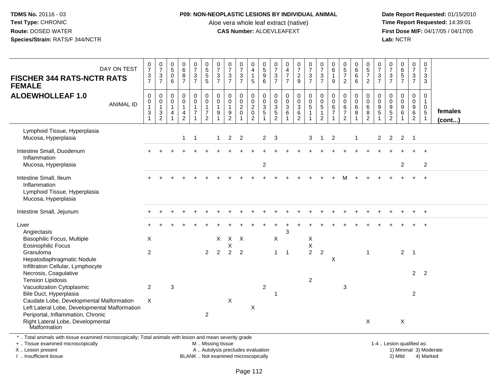### **P09: NON-NEOPLASTIC LESIONS BY INDIVIDUAL ANIMAL**

Aloe vera whole leaf extract (native)<br>**CAS Number:** ALOEVLEAFEXT

 **Date Report Requested:** 01/15/2010 **First Dose M/F:** 04/17/05 / 04/17/05 Lab: NCTR **Lab:** NCTR

| DAY ON TEST                                                                                                                                                                                                                                                 | $\frac{0}{7}$                             | $\frac{0}{7}$                                             | $\begin{array}{c} 0 \\ 5 \end{array}$        | $\begin{array}{c} 0 \\ 6 \end{array}$              | $\frac{0}{7}$                    | 0<br>5<br>5<br>5                                             | $\frac{0}{7}$                              | $\frac{0}{7}$                               | $\begin{array}{c} 0 \\ 7 \\ 3 \end{array}$ | 0<br>$\overline{\mathbf{4}}$       | $\begin{array}{c} 0 \\ 5 \\ 9 \end{array}$        | $\frac{0}{7}$                               | $\begin{array}{c} 0 \\ 4 \\ 7 \end{array}$ | $\frac{0}{7}$              | $\begin{smallmatrix}0\\7\end{smallmatrix}$       | $\frac{0}{7}$                        | $\pmb{0}$<br>$\,6\,$             | $\begin{array}{c} 0 \\ 5 \\ 7 \end{array}$ | $\begin{matrix}0\0\0\0\end{matrix}$ | $\begin{array}{c} 0 \\ 5 \\ 7 \end{array}$ | $\boldsymbol{0}$<br>$\boldsymbol{7}$         | $\frac{0}{7}$                               | $0$<br>$6$<br>$5$             | $\frac{0}{7}$                                  | $\begin{smallmatrix}0\\7\end{smallmatrix}$  |                         |
|-------------------------------------------------------------------------------------------------------------------------------------------------------------------------------------------------------------------------------------------------------------|-------------------------------------------|-----------------------------------------------------------|----------------------------------------------|----------------------------------------------------|----------------------------------|--------------------------------------------------------------|--------------------------------------------|---------------------------------------------|--------------------------------------------|------------------------------------|---------------------------------------------------|---------------------------------------------|--------------------------------------------|----------------------------|--------------------------------------------------|--------------------------------------|----------------------------------|--------------------------------------------|-------------------------------------|--------------------------------------------|----------------------------------------------|---------------------------------------------|-------------------------------|------------------------------------------------|---------------------------------------------|-------------------------|
| <b>FISCHER 344 RATS-NCTR RATS</b><br><b>FEMALE</b>                                                                                                                                                                                                          | $\frac{3}{7}$                             | $\ensuremath{\mathsf{3}}$<br>$\overline{7}$               | $\mathbf 0$<br>6                             | $\bf 8$<br>$\overline{7}$                          | $\mathbf{3}$<br>$\overline{7}$   |                                                              | $\mathbf{3}$<br>$\overline{7}$             | $\ensuremath{\mathsf{3}}$<br>$\overline{7}$ | $\overline{7}$                             | $\overline{1}$<br>5                | 6                                                 | $\ensuremath{\mathsf{3}}$<br>$\overline{7}$ | $\overline{7}$                             | $\frac{2}{9}$              | $\mathbf{3}$<br>$\overline{7}$                   | $\sqrt{3}$<br>$\overline{7}$         | $\mathbf{1}$<br>9                | $\overline{c}$                             | 6                                   | $\overline{2}$                             | $\ensuremath{\mathsf{3}}$<br>$\overline{7}$  | $\ensuremath{\mathsf{3}}$<br>$\overline{7}$ | $\overline{7}$                | $\frac{3}{7}$                                  | $\mathbf{3}$<br>3                           |                         |
| <b>ALOEWHOLLEAF 1.0</b><br><b>ANIMAL ID</b>                                                                                                                                                                                                                 | $\pmb{0}$<br>$\pmb{0}$<br>$\mathbf{1}$    | $\mathsf 0$<br>$\begin{smallmatrix}0\\1\end{smallmatrix}$ | $\mathbf 0$<br>$\mathbf 0$<br>$\overline{1}$ | $\mathsf{O}\xspace$<br>$\mathbf 0$<br>$\mathbf{1}$ | 0<br>$\mathbf 0$<br>$\mathbf{1}$ | $\begin{smallmatrix} 0\\0 \end{smallmatrix}$<br>$\mathbf{1}$ | $\mathbf 0$<br>$\mathbf 0$<br>$\mathbf{1}$ | 0<br>0<br>$\mathbf{1}$                      | $\pmb{0}$<br>$\overline{0}$                | 0<br>$\mathbf 0$<br>$\overline{2}$ | $\boldsymbol{0}$<br>$\mathbf 0$<br>$\overline{3}$ | 0<br>0<br>$\mathbf{3}$                      | $\pmb{0}$<br>$\pmb{0}$<br>$\overline{3}$   | $\pmb{0}$<br>$\frac{0}{3}$ | $\mathsf{O}$<br>$\overline{0}$<br>$\overline{5}$ | $_{\rm 0}^{\rm 0}$<br>$\overline{5}$ | $\pmb{0}$<br>$\mathbf 0$<br>6    | $\pmb{0}$<br>$\mathbf 0$<br>$\,6\,$        | 0<br>0<br>$6\overline{6}$           | $\mathbf 0$<br>0<br>$6\phantom{1}$         | $\mathbf 0$<br>$\mathsf 0$<br>$\overline{9}$ | $\mathbf 0$<br>$\mathbf 0$                  | $\pmb{0}$<br>$\mathbf 0$<br>9 | $\mathbf 0$<br>$\mathbf 0$<br>$\boldsymbol{9}$ | $\mathsf{O}$<br>$\mathbf{1}$<br>$\mathbf 0$ |                         |
|                                                                                                                                                                                                                                                             | $\ensuremath{\mathsf{3}}$<br>$\mathbf{1}$ | $\frac{3}{2}$                                             | $\overline{4}$                               | $\frac{4}{2}$                                      | $\overline{7}$                   | $\frac{7}{2}$                                                | $\boldsymbol{9}$                           | $\frac{9}{2}$                               | $\frac{2}{0}$                              | $\pmb{0}$<br>$\overline{c}$        | $\sqrt{5}$<br>$\overline{1}$                      | $\sqrt{5}$<br>$\overline{c}$                | 6<br>$\overline{1}$                        | $\frac{6}{2}$              | $\mathbf{1}$                                     | $\mathbf{1}$<br>$\overline{2}$       | $\overline{7}$<br>$\overline{1}$ | $\overline{\mathcal{I}}$<br>$\overline{2}$ | 8                                   | 8<br>$\overline{2}$                        | $\overline{5}$                               | $\frac{9}{5}$                               | $\,6$                         | $\overline{6}$<br>$\boldsymbol{2}$             | $\overline{5}$<br>$\mathbf{1}$              | females<br>$($ cont $)$ |
| Lymphoid Tissue, Hyperplasia<br>Mucosa, Hyperplasia                                                                                                                                                                                                         |                                           |                                                           |                                              | $\mathbf{1}$                                       | $\overline{1}$                   |                                                              | $\mathbf{1}$                               | $\overline{2}$                              | 2                                          |                                    | $\overline{2}$                                    | 3                                           |                                            |                            | 3                                                | $\overline{1}$                       | $\overline{2}$                   |                                            | $\mathbf{1}$                        |                                            | $\overline{2}$                               | $\overline{2}$                              | $2 \quad 1$                   |                                                |                                             |                         |
| Intestine Small, Duodenum<br>Inflammation                                                                                                                                                                                                                   |                                           |                                                           |                                              |                                                    |                                  |                                                              |                                            |                                             |                                            |                                    |                                                   |                                             |                                            |                            |                                                  |                                      |                                  |                                            |                                     |                                            |                                              |                                             |                               |                                                |                                             |                         |
| Mucosa, Hyperplasia                                                                                                                                                                                                                                         |                                           |                                                           |                                              |                                                    |                                  |                                                              |                                            |                                             |                                            |                                    | $\overline{c}$                                    |                                             |                                            |                            |                                                  |                                      |                                  |                                            |                                     |                                            |                                              |                                             | $\overline{2}$                |                                                | $\overline{2}$                              |                         |
| Intestine Small, Ileum<br>Inflammation<br>Lymphoid Tissue, Hyperplasia<br>Mucosa, Hyperplasia                                                                                                                                                               |                                           |                                                           |                                              |                                                    |                                  |                                                              |                                            |                                             |                                            |                                    |                                                   |                                             |                                            |                            |                                                  |                                      |                                  |                                            |                                     |                                            |                                              |                                             |                               |                                                |                                             |                         |
| Intestine Small, Jejunum                                                                                                                                                                                                                                    |                                           |                                                           |                                              |                                                    |                                  |                                                              |                                            |                                             |                                            |                                    |                                                   |                                             |                                            |                            |                                                  |                                      |                                  |                                            |                                     |                                            |                                              |                                             |                               |                                                | $\overline{+}$                              |                         |
| Liver<br>Angiectasis                                                                                                                                                                                                                                        |                                           |                                                           |                                              |                                                    |                                  |                                                              |                                            |                                             |                                            |                                    |                                                   |                                             | 3                                          |                            |                                                  |                                      |                                  |                                            |                                     |                                            |                                              |                                             |                               |                                                |                                             |                         |
| Basophilic Focus, Multiple<br><b>Eosinophilic Focus</b>                                                                                                                                                                                                     | X                                         |                                                           |                                              |                                                    |                                  |                                                              | $\times$                                   | $X$ $X$<br>Χ                                |                                            |                                    |                                                   | X                                           |                                            |                            | X<br>$\mathsf X$                                 |                                      |                                  |                                            |                                     |                                            |                                              |                                             |                               |                                                |                                             |                         |
| Granuloma<br>Hepatodiaphragmatic Nodule                                                                                                                                                                                                                     | $\overline{2}$                            |                                                           |                                              |                                                    |                                  | $\mathbf{2}^{\circ}$                                         | 2                                          | $\overline{2}$                              | $\overline{2}$                             |                                    |                                                   | $\mathbf{1}$                                | $\overline{1}$                             |                            | $\overline{2}$                                   | $\overline{2}$                       | X                                |                                            |                                     | $\blacktriangleleft$                       |                                              |                                             |                               |                                                |                                             |                         |
| Necrosis, Coagulative<br><b>Tension Lipidosis</b>                                                                                                                                                                                                           |                                           |                                                           |                                              |                                                    |                                  |                                                              |                                            |                                             |                                            |                                    |                                                   |                                             |                                            |                            | $\overline{2}$                                   |                                      |                                  |                                            |                                     |                                            |                                              |                                             |                               | $\overline{2}$                                 | $\overline{2}$                              |                         |
| Bile Duct, Hyperplasia                                                                                                                                                                                                                                      |                                           |                                                           |                                              |                                                    |                                  |                                                              |                                            |                                             |                                            |                                    |                                                   | $\mathbf 1$                                 |                                            |                            |                                                  |                                      |                                  |                                            |                                     |                                            |                                              |                                             |                               | $\overline{c}$                                 |                                             |                         |
| Left Lateral Lobe, Developmental Malformation                                                                                                                                                                                                               |                                           |                                                           |                                              |                                                    |                                  |                                                              |                                            |                                             |                                            | $\mathsf X$                        |                                                   |                                             |                                            |                            |                                                  |                                      |                                  |                                            |                                     |                                            |                                              |                                             |                               |                                                |                                             |                         |
| Right Lateral Lobe, Developmental<br>Malformation                                                                                                                                                                                                           |                                           |                                                           |                                              |                                                    |                                  |                                                              |                                            |                                             |                                            |                                    |                                                   |                                             |                                            |                            |                                                  |                                      |                                  |                                            |                                     | X                                          |                                              |                                             | $\boldsymbol{\mathsf{X}}$     |                                                |                                             |                         |
| Infiltration Cellular, Lymphocyte<br>Vacuolization Cytoplasmic<br>Caudate Lobe, Developmental Malformation<br>Periportal, Inflammation, Chronic<br>*  Total animals with tissue examined microscopically; Total animals with lesion and mean severity grade | $\overline{2}$<br>X                       |                                                           | 3                                            |                                                    |                                  | $\overline{2}$                                               |                                            | $\pmb{\times}$                              |                                            |                                    | $\overline{c}$                                    |                                             |                                            |                            |                                                  |                                      |                                  | $\ensuremath{\mathsf{3}}$                  |                                     |                                            |                                              |                                             |                               | $2 \quad 1$                                    |                                             |                         |

+ .. Tissue examined microscopically

X .. Lesion present

I .. Insufficient tissue

M .. Missing tissue

A .. Autolysis precludes evaluation 1) Minimal 3 ... Autolysis precludes evaluation 1, and 30 ... (1) Minimal 3<br>1) Minimal 30 ... Autor microscopically 1990 ... (1) Minimal 30 ... (1) Minimal 30 ... (1) Minimal 30 ... (1)

BLANK .. Not examined microscopically 2) Mild 4) Marked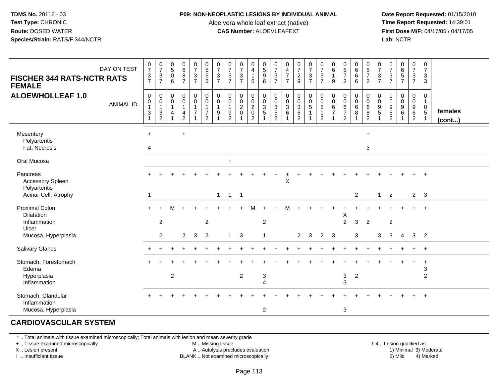#### **P09: NON-NEOPLASTIC LESIONS BY INDIVIDUAL ANIMAL**

Aloe vera whole leaf extract (native)<br>**CAS Number:** ALOEVLEAFEXT

 **Date Report Requested:** 01/15/2010 **First Dose M/F:** 04/17/05 / 04/17/05<br>**Lab:** NCTR **Lab:** NCTR

| DAY ON TEST<br><b>FISCHER 344 RATS-NCTR RATS</b><br><b>FEMALE</b> | $\begin{smallmatrix}0\\7\end{smallmatrix}$<br>$\ensuremath{\mathsf{3}}$<br>$\overline{7}$ | $\frac{0}{7}$<br>3<br>$\overline{7}$          | $^{\rm 0}_{\rm 5}$<br>$\mathbf 0$<br>6 | $\begin{matrix} 0 \\ 6 \\ 8 \end{matrix}$<br>$\overline{7}$ | $\frac{0}{7}$<br>$\mathfrak{S}$<br>$\overline{7}$ | $\begin{array}{c} 0 \\ 5 \\ 5 \end{array}$<br>5                              | 0<br>$\overline{7}$<br>$\mathbf{3}$<br>$\overline{7}$ | $\pmb{0}$<br>$\overline{7}$<br>$\mathbf{3}$<br>$\overline{7}$       | $\frac{0}{7}$<br>3<br>$\overline{7}$              | 0<br>$\overline{4}$<br>$\mathbf{1}$<br>5                            | $\begin{array}{c} 0 \\ 5 \\ 9 \end{array}$<br>6 | $\frac{0}{7}$<br>$\mathbf{3}$<br>$\overline{7}$     | 0<br>$\frac{4}{7}$<br>$\overline{7}$                                  | $\frac{0}{7}$<br>$\overline{2}$<br>$\overline{9}$     | $\begin{smallmatrix}0\\7\end{smallmatrix}$<br>$\sqrt{3}$<br>$\overline{7}$ | $\frac{0}{7}$<br>$\mathsf 3$<br>$\overline{7}$                    | 0<br>$\,6\,$<br>$\mathbf{1}$<br>9 | $\begin{array}{c} 0 \\ 5 \\ 7 \end{array}$<br>$\overline{2}$    | 0<br>$\,6\,$<br>$6\phantom{1}$<br>6 | $\pmb{0}$<br>$\frac{5}{7}$<br>2                             | 0<br>$\overline{7}$<br>$\mathbf{3}$<br>$\overline{7}$ | $\frac{0}{7}$<br>$\sqrt{3}$<br>$\overline{7}$ | $\pmb{0}$<br>$\overline{6}$<br>5<br>$\overline{7}$ | $\mathbf 0$<br>$\boldsymbol{7}$<br>3<br>$\overline{7}$    | 0<br>$\overline{7}$<br>3<br>3                    |                   |
|-------------------------------------------------------------------|-------------------------------------------------------------------------------------------|-----------------------------------------------|----------------------------------------|-------------------------------------------------------------|---------------------------------------------------|------------------------------------------------------------------------------|-------------------------------------------------------|---------------------------------------------------------------------|---------------------------------------------------|---------------------------------------------------------------------|-------------------------------------------------|-----------------------------------------------------|-----------------------------------------------------------------------|-------------------------------------------------------|----------------------------------------------------------------------------|-------------------------------------------------------------------|-----------------------------------|-----------------------------------------------------------------|-------------------------------------|-------------------------------------------------------------|-------------------------------------------------------|-----------------------------------------------|----------------------------------------------------|-----------------------------------------------------------|--------------------------------------------------|-------------------|
| <b>ALOEWHOLLEAF 1.0</b><br><b>ANIMAL ID</b>                       | $\pmb{0}$<br>$\pmb{0}$<br>$\mathbf{1}$<br>$\sqrt{3}$<br>$\mathbf{1}$                      | 0<br>0<br>$\mathbf{1}$<br>3<br>$\overline{2}$ | 0<br>$\mathbf 0$<br>$\mathbf{1}$<br>4  | $\pmb{0}$<br>0<br>$\mathbf{1}$<br>4<br>$\overline{2}$       | 0<br>0<br>1<br>$\overline{7}$                     | $\pmb{0}$<br>$\pmb{0}$<br>$\mathbf{1}$<br>$\boldsymbol{7}$<br>$\overline{2}$ | 0<br>$\mathbf 0$<br>$\overline{1}$<br>9               | $\mathbf 0$<br>$\mathbf 0$<br>$\mathbf{1}$<br>$\boldsymbol{9}$<br>2 | 0<br>$\mathbf 0$<br>$\overline{2}$<br>$\mathbf 0$ | 0<br>$\mathbf 0$<br>$\overline{2}$<br>$\mathbf 0$<br>$\overline{2}$ | 0<br>$\pmb{0}$<br>$\frac{3}{5}$                 | 0<br>$\mathbf 0$<br>$\frac{3}{5}$<br>$\overline{2}$ | $\mathbf 0$<br>$\pmb{0}$<br>$\mathbf{3}$<br>$\,6\,$<br>$\overline{ }$ | 0<br>$\overline{0}$<br>3<br>$\,6\,$<br>$\overline{2}$ | $\begin{matrix} 0 \\ 0 \\ 5 \end{matrix}$<br>$\mathbf{1}$<br>$\mathbf{1}$  | $\mathbf 0$<br>$\mathbf 0$<br>5<br>$\mathbf{1}$<br>$\overline{2}$ | 0<br>0<br>6<br>7                  | 0<br>$\mathbf 0$<br>$\,6\,$<br>$\overline{7}$<br>$\overline{2}$ | 0<br>$\mathbf 0$<br>$\,6\,$<br>8    | $\mathbf 0$<br>$\mathbf 0$<br>6<br>$\, 8$<br>$\overline{2}$ | 0<br>$\mathbf 0$<br>9<br>$\mathbf 5$                  | $\mathbf 0$<br>0<br>$\frac{9}{5}$<br>2        | 0<br>0<br>$\frac{9}{6}$                            | 0<br>$\overline{0}$<br>$9\,$<br>$\,6\,$<br>$\overline{2}$ | 0<br>$\overline{1}$<br>$\mathbf 0$<br>$\sqrt{5}$ | females<br>(cont) |
| Mesentery<br>Polyarteritis<br>Fat, Necrosis                       | $+$<br>$\overline{4}$                                                                     |                                               |                                        | $\ddot{}$                                                   |                                                   |                                                                              |                                                       |                                                                     |                                                   |                                                                     |                                                 |                                                     |                                                                       |                                                       |                                                                            |                                                                   |                                   |                                                                 |                                     | $\ddot{}$<br>3                                              |                                                       |                                               |                                                    |                                                           |                                                  |                   |
| Oral Mucosa                                                       |                                                                                           |                                               |                                        |                                                             |                                                   |                                                                              |                                                       | $\ddot{}$                                                           |                                                   |                                                                     |                                                 |                                                     |                                                                       |                                                       |                                                                            |                                                                   |                                   |                                                                 |                                     |                                                             |                                                       |                                               |                                                    |                                                           |                                                  |                   |
| Pancreas<br>Accessory Spleen<br>Polyarteritis                     |                                                                                           |                                               |                                        |                                                             |                                                   |                                                                              |                                                       |                                                                     |                                                   |                                                                     |                                                 |                                                     | X                                                                     |                                                       |                                                                            |                                                                   |                                   |                                                                 |                                     |                                                             |                                                       |                                               |                                                    |                                                           | $\ddot{}$                                        |                   |
| Acinar Cell, Atrophy                                              | -1                                                                                        |                                               |                                        |                                                             |                                                   |                                                                              | $\mathbf{1}$                                          | $\overline{1}$                                                      | $\overline{\phantom{0}}$ 1                        |                                                                     |                                                 |                                                     |                                                                       |                                                       |                                                                            |                                                                   |                                   |                                                                 | $\overline{2}$                      |                                                             | $\mathbf{1}$                                          | $\overline{2}$                                |                                                    |                                                           | $2 \quad 3$                                      |                   |
| <b>Proximal Colon</b><br><b>Dilatation</b>                        | $\ddot{}$                                                                                 | ÷                                             | м                                      | $\overline{ }$                                              |                                                   |                                                                              |                                                       |                                                                     |                                                   |                                                                     |                                                 |                                                     | м                                                                     | ÷                                                     |                                                                            |                                                                   |                                   | Х                                                               |                                     |                                                             |                                                       |                                               |                                                    | $\div$                                                    | $+$                                              |                   |
| Inflammation<br>Ulcer                                             |                                                                                           | $\overline{2}$                                |                                        |                                                             |                                                   | $\overline{2}$                                                               |                                                       |                                                                     |                                                   |                                                                     | 2                                               |                                                     |                                                                       |                                                       |                                                                            |                                                                   |                                   | 2                                                               | 3                                   | $\overline{2}$                                              |                                                       | $\overline{2}$                                |                                                    |                                                           |                                                  |                   |
| Mucosa, Hyperplasia                                               |                                                                                           | $\overline{c}$                                |                                        | $\overline{2}$                                              | 3                                                 | $\overline{2}$                                                               |                                                       | $\mathbf{1}$                                                        | $\overline{\mathbf{3}}$                           |                                                                     | $\overline{1}$                                  |                                                     |                                                                       | $\overline{2}$                                        | 3                                                                          | 2                                                                 | 3                                 |                                                                 | $\mathbf{3}$                        |                                                             | 3                                                     | 3                                             | $\overline{4}$                                     | 3                                                         | $\overline{2}$                                   |                   |
| <b>Salivary Glands</b>                                            |                                                                                           |                                               |                                        |                                                             |                                                   |                                                                              |                                                       |                                                                     |                                                   |                                                                     |                                                 |                                                     |                                                                       |                                                       |                                                                            |                                                                   |                                   |                                                                 |                                     |                                                             |                                                       |                                               |                                                    |                                                           | $+$                                              |                   |
| Stomach, Forestomach<br>Edema                                     |                                                                                           |                                               |                                        |                                                             |                                                   |                                                                              |                                                       |                                                                     |                                                   |                                                                     |                                                 |                                                     |                                                                       |                                                       |                                                                            |                                                                   |                                   |                                                                 |                                     |                                                             |                                                       |                                               |                                                    |                                                           | $\ddot{}$<br>$\sqrt{3}$                          |                   |
| Hyperplasia<br>Inflammation                                       |                                                                                           |                                               | $\overline{c}$                         |                                                             |                                                   |                                                                              |                                                       |                                                                     | $\overline{c}$                                    |                                                                     | $\mathbf{3}$<br>$\overline{A}$                  |                                                     |                                                                       |                                                       |                                                                            |                                                                   |                                   | 3<br>3                                                          | $\boldsymbol{2}$                    |                                                             |                                                       |                                               |                                                    |                                                           | $\overline{2}$                                   |                   |
| Stomach, Glandular<br>Inflammation<br>Mucosa, Hyperplasia         |                                                                                           |                                               |                                        |                                                             |                                                   |                                                                              |                                                       |                                                                     |                                                   |                                                                     | $\overline{2}$                                  |                                                     |                                                                       |                                                       |                                                                            |                                                                   |                                   | 3                                                               |                                     |                                                             |                                                       |                                               |                                                    |                                                           | $+$                                              |                   |

### **CARDIOVASCULAR SYSTEM**

\* .. Total animals with tissue examined microscopically; Total animals with lesion and mean severity grade

+ .. Tissue examined microscopically

X .. Lesion present

I .. Insufficient tissue

M .. Missing tissue

A .. Autolysis precludes evaluation

BLANK .. Not examined microscopically 2) Mild 4) Marked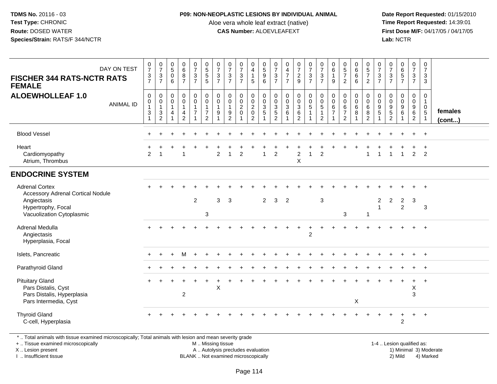#### **P09: NON-NEOPLASTIC LESIONS BY INDIVIDUAL ANIMAL**

Aloe vera whole leaf extract (native)<br>**CAS Number:** ALOEVLEAFEXT

 **Date Report Requested:** 01/15/2010 **First Dose M/F:** 04/17/05 / 04/17/05<br>**Lab:** NCTR **Lab:** NCTR

| DAY ON TEST<br><b>FISCHER 344 RATS-NCTR RATS</b><br><b>FEMALE</b>                                                                   | $\frac{0}{7}$<br>$\frac{3}{7}$                                                    | $\frac{0}{7}$<br>$\sqrt{3}$<br>$\overline{7}$                    | $\begin{array}{c} 0 \\ 5 \end{array}$<br>$\mathbf 0$<br>$6\phantom{a}$ | $_6^0$<br>8<br>$\overline{7}$                                     | $\frac{0}{7}$<br>$\mathbf{3}$<br>$\overline{7}$            | $\begin{array}{c} 0 \\ 5 \\ 5 \end{array}$<br>$\overline{5}$                 | $\frac{0}{7}$<br>$\frac{3}{7}$                  | $\frac{0}{7}$<br>$\sqrt{3}$<br>$\overline{7}$                                      | $\frac{0}{7}$<br>$\mathbf{3}$<br>$\overline{7}$   | $\begin{smallmatrix}0\0\4\end{smallmatrix}$<br>$\mathbf{1}$<br>5    | $\begin{array}{c} 0 \\ 5 \\ 9 \end{array}$<br>$\overline{6}$    | $\frac{0}{7}$<br>$\mathbf{3}$<br>$\overline{7}$ | $\begin{array}{c} 0 \\ 4 \\ 7 \end{array}$<br>$\overline{7}$ | $\frac{0}{7}$<br>$\frac{2}{9}$                                 | $\frac{0}{7}$<br>$\mathbf{3}$<br>$\overline{7}$    | $\frac{0}{7}$<br>$\frac{3}{7}$                                                    | $\begin{array}{c} 0 \\ 6 \end{array}$<br>$\mathbf{1}$<br>$\boldsymbol{9}$ | $\begin{array}{c} 0 \\ 5 \\ 7 \end{array}$<br>$\overline{2}$              | $\begin{array}{c} 0 \\ 6 \end{array}$<br>$6\overline{6}$<br>6 | $\begin{array}{c} 0 \\ 5 \\ 7 \end{array}$<br>$\overline{2}$              | $\frac{0}{7}$<br>$\mathfrak{S}$<br>$\overline{7}$ | $\frac{0}{7}$<br>$\mathbf{3}$<br>$\overline{7}$ | 0<br>6<br>5<br>7                 | $\frac{0}{7}$<br>$\frac{3}{7}$               | $\mathbf 0$<br>$\overline{7}$<br>3<br>$\mathbf{3}$                         |                         |
|-------------------------------------------------------------------------------------------------------------------------------------|-----------------------------------------------------------------------------------|------------------------------------------------------------------|------------------------------------------------------------------------|-------------------------------------------------------------------|------------------------------------------------------------|------------------------------------------------------------------------------|-------------------------------------------------|------------------------------------------------------------------------------------|---------------------------------------------------|---------------------------------------------------------------------|-----------------------------------------------------------------|-------------------------------------------------|--------------------------------------------------------------|----------------------------------------------------------------|----------------------------------------------------|-----------------------------------------------------------------------------------|---------------------------------------------------------------------------|---------------------------------------------------------------------------|---------------------------------------------------------------|---------------------------------------------------------------------------|---------------------------------------------------|-------------------------------------------------|----------------------------------|----------------------------------------------|----------------------------------------------------------------------------|-------------------------|
| <b>ALOEWHOLLEAF 1.0</b><br><b>ANIMAL ID</b>                                                                                         | $\boldsymbol{0}$<br>$\pmb{0}$<br>$\overline{1}$<br>$\mathbf{3}$<br>$\overline{1}$ | 0<br>$\mathbf 0$<br>$\mathbf{1}$<br>$\sqrt{3}$<br>$\overline{2}$ | $\mathbf 0$<br>$\mathbf 0$<br>$\overline{1}$<br>$\overline{4}$         | $\mathbf 0$<br>$\mathbf 0$<br>$\mathbf{1}$<br>4<br>$\overline{2}$ | $\pmb{0}$<br>$\mathbf 0$<br>$\mathbf{1}$<br>$\overline{7}$ | $\mathbf 0$<br>$\pmb{0}$<br>$\mathbf{1}$<br>$\overline{7}$<br>$\overline{2}$ | $\mathbf 0$<br>$\pmb{0}$<br>$\overline{1}$<br>9 | $\mathbf 0$<br>$\mathbf 0$<br>$\overline{1}$<br>$\boldsymbol{9}$<br>$\overline{2}$ | 0<br>$\mathbf 0$<br>$\overline{2}$<br>$\mathbf 0$ | $\pmb{0}$<br>$\ddot{\mathbf{0}}$<br>$\frac{2}{0}$<br>$\overline{2}$ | $\pmb{0}$<br>$\mathbf 0$<br>$\mathbf{3}$<br>$\overline{5}$<br>1 | $\mathbf 0$<br>$\mathbf 0$<br>$\frac{3}{5}$     | $_{\rm 0}^{\rm 0}$<br>$\ensuremath{\mathsf{3}}$<br>6         | 0<br>$\mathsf{O}\xspace$<br>$\mathsf 3$<br>6<br>$\overline{2}$ | $\pmb{0}$<br>$\mathbf 0$<br>5<br>$\mathbf{1}$<br>1 | $\mathsf{O}\xspace$<br>$\mathsf{O}\xspace$<br>5<br>$\mathbf{1}$<br>$\overline{2}$ | 0<br>$\mathbf 0$<br>$\,6\,$<br>$\overline{7}$<br>$\mathbf{1}$             | $\mathbf 0$<br>$\mathbf 0$<br>$\,6\,$<br>$\overline{7}$<br>$\overline{2}$ | $\pmb{0}$<br>$\mathbf 0$<br>6<br>8                            | $\mathbf 0$<br>$\mathbf 0$<br>$\,6\,$<br>$\overline{8}$<br>$\overline{2}$ | 0<br>$\mathbf 0$<br>9<br>$\overline{5}$           | $\mathbf 0$<br>$\mathsf 0$<br>$\frac{9}{2}$     | 0<br>$\pmb{0}$<br>$\frac{9}{6}$  | 0<br>$\mathbf 0$<br>9<br>6<br>$\overline{2}$ | $\mathbf 0$<br>$\mathbf{1}$<br>$\mathbf 0$<br>$\sqrt{5}$<br>$\overline{1}$ | females<br>$($ cont $)$ |
| <b>Blood Vessel</b>                                                                                                                 |                                                                                   |                                                                  |                                                                        |                                                                   |                                                            |                                                                              |                                                 |                                                                                    |                                                   |                                                                     |                                                                 |                                                 |                                                              |                                                                |                                                    |                                                                                   |                                                                           |                                                                           |                                                               |                                                                           |                                                   |                                                 |                                  |                                              | $+$                                                                        |                         |
| Heart<br>Cardiomyopathy<br>Atrium, Thrombus                                                                                         | 2                                                                                 | -1                                                               |                                                                        | -1                                                                |                                                            |                                                                              | $\overline{2}$                                  | $\overline{1}$                                                                     | $\overline{2}$                                    |                                                                     | $\mathbf{1}$                                                    | 2                                               |                                                              | $\overline{c}$<br>X                                            |                                                    | $\overline{2}$                                                                    |                                                                           |                                                                           |                                                               | 1                                                                         | 1                                                 | -1                                              | $\overline{1}$                   | $\overline{2}$                               | 2                                                                          |                         |
| <b>ENDOCRINE SYSTEM</b>                                                                                                             |                                                                                   |                                                                  |                                                                        |                                                                   |                                                            |                                                                              |                                                 |                                                                                    |                                                   |                                                                     |                                                                 |                                                 |                                                              |                                                                |                                                    |                                                                                   |                                                                           |                                                                           |                                                               |                                                                           |                                                   |                                                 |                                  |                                              |                                                                            |                         |
| <b>Adrenal Cortex</b><br><b>Accessory Adrenal Cortical Nodule</b><br>Angiectasis<br>Hypertrophy, Focal<br>Vacuolization Cytoplasmic |                                                                                   |                                                                  |                                                                        |                                                                   | $\overline{2}$                                             | 3                                                                            | 3                                               | 3                                                                                  |                                                   |                                                                     | $\overline{2}$                                                  | $\mathbf{3}$                                    | $\overline{2}$                                               |                                                                |                                                    | $\mathbf{3}$                                                                      |                                                                           | 3                                                                         |                                                               | -1                                                                        | $\boldsymbol{2}$<br>$\overline{1}$                | $\overline{2}$                                  | $\overline{2}$<br>$\overline{2}$ | 3                                            | 3                                                                          |                         |
| <b>Adrenal Medulla</b><br>Angiectasis<br>Hyperplasia, Focal                                                                         |                                                                                   |                                                                  |                                                                        |                                                                   |                                                            |                                                                              |                                                 |                                                                                    |                                                   |                                                                     |                                                                 |                                                 |                                                              |                                                                | 2                                                  |                                                                                   |                                                                           |                                                                           |                                                               |                                                                           |                                                   |                                                 |                                  |                                              | $+$                                                                        |                         |
| Islets, Pancreatic                                                                                                                  |                                                                                   |                                                                  |                                                                        | M                                                                 |                                                            |                                                                              |                                                 |                                                                                    |                                                   |                                                                     |                                                                 |                                                 |                                                              |                                                                |                                                    |                                                                                   |                                                                           |                                                                           |                                                               |                                                                           |                                                   |                                                 |                                  |                                              | $\overline{+}$                                                             |                         |
| Parathyroid Gland                                                                                                                   |                                                                                   |                                                                  |                                                                        |                                                                   |                                                            |                                                                              |                                                 |                                                                                    |                                                   |                                                                     |                                                                 |                                                 |                                                              |                                                                |                                                    |                                                                                   |                                                                           |                                                                           |                                                               |                                                                           |                                                   |                                                 |                                  |                                              | $+$                                                                        |                         |
| <b>Pituitary Gland</b><br>Pars Distalis, Cyst<br>Pars Distalis, Hyperplasia<br>Pars Intermedia, Cyst                                |                                                                                   |                                                                  |                                                                        | $\overline{2}$                                                    |                                                            |                                                                              | $\sf X$                                         |                                                                                    |                                                   |                                                                     |                                                                 |                                                 |                                                              |                                                                |                                                    |                                                                                   |                                                                           |                                                                           | X                                                             |                                                                           |                                                   |                                                 |                                  | $\ddot{}$<br>Χ<br>3                          | $+$                                                                        |                         |
| <b>Thyroid Gland</b><br>C-cell, Hyperplasia                                                                                         |                                                                                   |                                                                  |                                                                        |                                                                   |                                                            |                                                                              |                                                 |                                                                                    |                                                   |                                                                     |                                                                 |                                                 |                                                              |                                                                |                                                    |                                                                                   |                                                                           |                                                                           |                                                               |                                                                           |                                                   |                                                 | $\overline{2}$                   |                                              | $+$                                                                        |                         |

\* .. Total animals with tissue examined microscopically; Total animals with lesion and mean severity grade

+ .. Tissue examined microscopically

X .. Lesion present

I .. Insufficient tissue

M .. Missing tissue

A .. Autolysis precludes evaluation

BLANK .. Not examined microscopically 2) Mild 4) Marked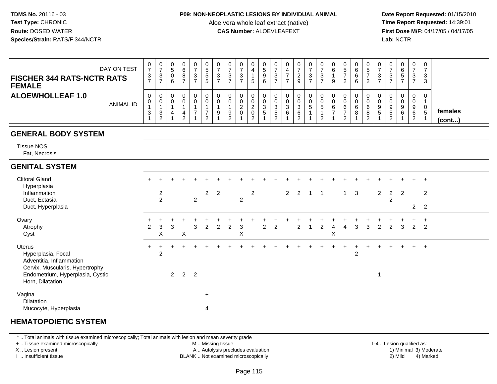#### **P09: NON-NEOPLASTIC LESIONS BY INDIVIDUAL ANIMAL**

Aloe vera whole leaf extract (native)<br>**CAS Number:** ALOEVLEAFEXT

 **Date Report Requested:** 01/15/2010 **First Dose M/F:** 04/17/05 / 04/17/05 Lab: NCTR **Lab:** NCTR

| DAY ON TEST<br><b>FISCHER 344 RATS-NCTR RATS</b><br><b>FEMALE</b> | 0<br>3<br>-                 | ◡<br>د. | 0<br>G<br>υ<br>6 | υ<br>о<br>o<br>о | 0<br>-<br>3<br>- | 0<br>ູບ<br>G<br>5 | -3 | υ<br>ົ<br>۰J | υ<br>ົ<br><b>N</b> | 0<br>5                       | 0<br>9<br>6                      | ν<br>$\sqrt{2}$<br>◡        | ν<br>∼<br>9 | 0<br>3<br>-            | U<br>ت<br>- | 0<br>6<br>9 | <b>U</b><br>⌒<br>O<br>O<br>6 | 0<br>ັ<br>∼                                | 0<br>◠<br>ູບ                | 0<br>-3                | υ<br>ັ      | 0<br>د.<br>-  | 0<br>3<br>3            |                         |
|-------------------------------------------------------------------|-----------------------------|---------|------------------|------------------|------------------|-------------------|----|--------------|--------------------|------------------------------|----------------------------------|-----------------------------|-------------|------------------------|-------------|-------------|------------------------------|--------------------------------------------|-----------------------------|------------------------|-------------|---------------|------------------------|-------------------------|
| <b>ALOEWHOLLEAF 1.0</b><br>ANIMAL ID                              | 0<br>U<br><sup>o</sup><br>◡ | ۰J      | 0<br>υ           |                  | 0<br>-           | 0<br>0<br>$\sim$  |    | 0<br>$\sim$  | 0<br><u>.</u>      | 0<br>0<br>0<br>ົ<br><u>_</u> | 0<br>U<br><sup>o</sup><br>ັ<br>G | $\sim$<br>ັ<br>.5<br>$\sim$ | U<br>6      | 0<br>0<br><sub>5</sub> | 0<br>U<br>C | 0<br>0<br>6 | 0<br>6                       | 0<br>0<br>6<br>$\circ$<br>O<br>$\sim$<br>∼ | 0<br>0<br>9<br>$\mathbf{b}$ | 0<br>0<br>9<br>.5<br>າ | υ<br>റ<br>6 | $\Omega$<br>6 | 0<br>0<br>$\mathbf{p}$ | females<br>$($ cont $)$ |

## **GENERAL BODY SYSTEM**

Tissue NOS

Fat, Necrosis

## **GENITAL SYSTEM**

| <b>Clitoral Gland</b><br>Hyperplasia                                | $\div$         |                                  |   |             |                |                |             |   |   |   |                |                |                |                |   |   |              | $+$ |   |                | $+$                 | $\ddot{}$      | $+$          | $+$            |  |
|---------------------------------------------------------------------|----------------|----------------------------------|---|-------------|----------------|----------------|-------------|---|---|---|----------------|----------------|----------------|----------------|---|---|--------------|-----|---|----------------|---------------------|----------------|--------------|----------------|--|
| Inflammation<br>Duct, Ectasia                                       |                | $\overline{c}$<br>$\overline{2}$ |   |             | $\overline{2}$ |                | $2 \quad 2$ |   | 2 | 2 |                |                | $\overline{2}$ | 2              |   |   | $\mathbf{1}$ | 3   |   | $\overline{2}$ | $\overline{2}$<br>2 | $\overline{2}$ |              | $\overline{2}$ |  |
| Duct, Hyperplasia                                                   |                |                                  |   |             |                |                |             |   |   |   |                |                |                |                |   |   |              |     |   |                |                     |                |              | $2 \quad 2$    |  |
| Ovary                                                               |                |                                  |   |             |                |                |             |   |   |   |                |                |                |                |   |   |              |     |   |                |                     |                |              | $\pm$          |  |
| Atrophy                                                             | $\overline{2}$ | 3                                | 3 |             | 3              | $\overline{2}$ | 2           | 2 | 3 |   | $\overline{2}$ | $\overline{2}$ |                | $\overline{2}$ | 2 | 4 | 4            | 3   | 3 | $\overline{2}$ | $\mathcal{P}$       | 3              | $\mathbf{2}$ | $\overline{2}$ |  |
| Cyst                                                                |                | X                                |   | X           |                |                |             |   | X |   |                |                |                |                |   | X |              |     |   |                |                     |                |              |                |  |
| Uterus                                                              | $\div$         |                                  |   |             |                |                |             |   |   |   |                |                |                |                |   |   |              |     |   |                |                     | $+$            | $+$ $+$      |                |  |
| Hyperplasia, Focal<br>Adventitia, Inflammation                      |                | $\overline{2}$                   |   |             |                |                |             |   |   |   |                |                |                |                |   |   |              | 2   |   |                |                     |                |              |                |  |
| Cervix, Muscularis, Hypertrophy<br>Endometrium, Hyperplasia, Cystic |                |                                  |   | $2 \quad 2$ | $\overline{2}$ |                |             |   |   |   |                |                |                |                |   |   |              |     |   | 1              |                     |                |              |                |  |
| Horn, Dilatation                                                    |                |                                  |   |             |                |                |             |   |   |   |                |                |                |                |   |   |              |     |   |                |                     |                |              |                |  |
| Vagina                                                              |                |                                  |   |             |                | $\ddot{}$      |             |   |   |   |                |                |                |                |   |   |              |     |   |                |                     |                |              |                |  |
| Dilatation                                                          |                |                                  |   |             |                |                |             |   |   |   |                |                |                |                |   |   |              |     |   |                |                     |                |              |                |  |
| Mucocyte, Hyperplasia                                               |                |                                  |   |             |                | 4              |             |   |   |   |                |                |                |                |   |   |              |     |   |                |                     |                |              |                |  |

# **HEMATOPOIETIC SYSTEM**

\* .. Total animals with tissue examined microscopically; Total animals with lesion and mean severity grade

+ .. Tissue examined microscopically

X .. Lesion present

I .. Insufficient tissue

M .. Missing tissue

A .. Autolysis precludes evaluation

BLANK .. Not examined microscopically 2) Mild 4) Marked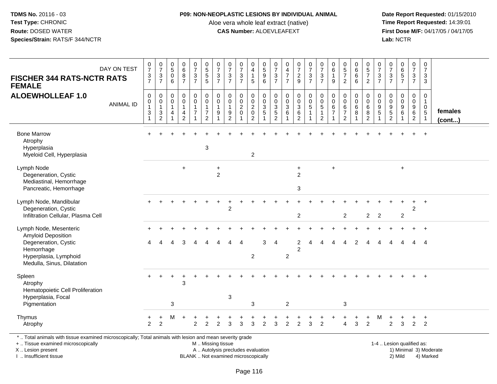#### **P09: NON-NEOPLASTIC LESIONS BY INDIVIDUAL ANIMAL**

Aloe vera whole leaf extract (native)<br>**CAS Number:** ALOEVLEAFEXT

 **Date Report Requested:** 01/15/2010 **First Dose M/F:** 04/17/05 / 04/17/05 Lab: NCTR **Lab:** NCTR

| <b>FISCHER 344 RATS-NCTR RATS</b><br><b>FEMALE</b>                                                       | DAY ON TEST      | $\frac{0}{7}$<br>$\frac{3}{7}$                                                            | $\frac{0}{7}$<br>$\mathbf{3}$<br>$\overline{7}$           | $\begin{array}{c} 0 \\ 5 \end{array}$<br>$\mathbf 0$<br>6 | 0<br>6<br>8<br>7                                      | $\frac{0}{7}$<br>$\frac{3}{7}$                               | 0<br>5<br>5<br>5                                                                  | $\frac{0}{7}$<br>$\mathbf{3}$<br>$\overline{7}$   | $\frac{0}{7}$<br>$\mathfrak{Z}$<br>$\overline{7}$                                        | $\frac{0}{7}$<br>$\frac{3}{7}$                    | $_4^{\rm o}$<br>$\mathbf{1}$<br>$5\phantom{.0}$                        | 0<br>5<br>9<br>6                                                  | $\begin{array}{c} 0 \\ 7 \end{array}$<br>$\frac{3}{7}$   | $\begin{array}{c} 0 \\ 4 \\ 7 \end{array}$<br>$\overline{7}$                  | $\frac{0}{7}$<br>$\frac{2}{9}$                               | $\frac{0}{7}$<br>$\frac{3}{7}$                     | $\frac{0}{7}$<br>$\frac{3}{7}$                                                  | $\begin{array}{c} 0 \\ 6 \end{array}$<br>$\overline{1}$<br>9 | $\begin{array}{c} 0 \\ 5 \\ 7 \end{array}$<br>$\overline{2}$ | $\begin{matrix} 0 \\ 6 \\ 6 \end{matrix}$<br>$\overline{6}$ | $\begin{array}{c} 0 \\ 5 \\ 7 \end{array}$<br>$\overline{2}$ | $\frac{0}{7}$<br>$\frac{3}{7}$ | $\frac{0}{7}$<br>$\frac{3}{7}$                                 | $065$<br>$57$                                                   | $\begin{array}{c} 0 \\ 7 \end{array}$<br>$\frac{3}{7}$                | 0<br>$\overline{7}$<br>3<br>3                                              |                   |
|----------------------------------------------------------------------------------------------------------|------------------|-------------------------------------------------------------------------------------------|-----------------------------------------------------------|-----------------------------------------------------------|-------------------------------------------------------|--------------------------------------------------------------|-----------------------------------------------------------------------------------|---------------------------------------------------|------------------------------------------------------------------------------------------|---------------------------------------------------|------------------------------------------------------------------------|-------------------------------------------------------------------|----------------------------------------------------------|-------------------------------------------------------------------------------|--------------------------------------------------------------|----------------------------------------------------|---------------------------------------------------------------------------------|--------------------------------------------------------------|--------------------------------------------------------------|-------------------------------------------------------------|--------------------------------------------------------------|--------------------------------|----------------------------------------------------------------|-----------------------------------------------------------------|-----------------------------------------------------------------------|----------------------------------------------------------------------------|-------------------|
| <b>ALOEWHOLLEAF 1.0</b>                                                                                  | <b>ANIMAL ID</b> | $\mathbf 0$<br>$\pmb{0}$<br>$\overline{1}$<br>$\ensuremath{\mathsf{3}}$<br>$\overline{ }$ | $\mathbf 0$<br>$\pmb{0}$<br>$\mathbf{1}$<br>$\frac{3}{2}$ | 0<br>$\pmb{0}$<br>$\mathbf{1}$<br>4<br>1                  | 0<br>$\bar{0}$<br>$\mathbf{1}$<br>4<br>$\overline{2}$ | $\pmb{0}$<br>$\overline{0}$<br>$\mathbf 1$<br>$\overline{7}$ | $\mathbf 0$<br>$\overline{0}$<br>$\mathbf{1}$<br>$\overline{7}$<br>$\overline{2}$ | $\mathbf 0$<br>$\mathbf 0$<br>$\overline{1}$<br>9 | $\mathbf 0$<br>$\mathsf{O}\xspace$<br>$\mathbf{1}$<br>$\boldsymbol{9}$<br>$\overline{2}$ | 0<br>$\mathbf 0$<br>$\overline{2}$<br>$\mathbf 0$ | 0<br>$\overline{0}$<br>$\overline{2}$<br>$\mathsf 0$<br>$\overline{2}$ | $\mathbf 0$<br>$\overline{0}$<br>$\overline{3}$<br>$\overline{5}$ | $\boldsymbol{0}$<br>$\ddot{\mathbf{0}}$<br>$\frac{3}{2}$ | $\mathbf 0$<br>$\mathsf{O}\xspace$<br>$\sqrt{3}$<br>$\,6\,$<br>$\overline{1}$ | 0<br>$\overline{0}$<br>$\overline{3}$<br>6<br>$\overline{2}$ | $\begin{smallmatrix}0\0\0\5\end{smallmatrix}$<br>1 | $\begin{smallmatrix}0\\0\\5\end{smallmatrix}$<br>$\mathbf{1}$<br>$\overline{2}$ | 0<br>$\mathbf 0$<br>6<br>$\overline{7}$                      | 0<br>0<br>$\,6\,$<br>$\overline{7}$<br>2                     | 0<br>$\pmb{0}$<br>$\,6\,$<br>$\bf8$<br>$\mathbf{1}$         | 0<br>$\mathsf{O}\xspace$<br>$\,6\,$<br>8<br>$\overline{2}$   | 0<br>$\mathbf 0$<br>9<br>5     | $\mathbf 0$<br>0<br>$\begin{array}{c} 9 \\ 5 \\ 2 \end{array}$ | $\mathbf 0$<br>$\mathsf{O}\xspace$<br>$\overline{9}$<br>$\,6\,$ | $\mathbf{0}$<br>$\mathbf 0$<br>9<br>$6\overline{6}$<br>$\overline{2}$ | $\mathbf 0$<br>$\mathbf{1}$<br>$\mathbf 0$<br>$\sqrt{5}$<br>$\overline{1}$ | females<br>(cont) |
| <b>Bone Marrow</b><br>Atrophy<br>Hyperplasia<br>Myeloid Cell, Hyperplasia                                |                  |                                                                                           |                                                           |                                                           |                                                       |                                                              | $\sqrt{3}$                                                                        |                                                   |                                                                                          |                                                   | $\overline{2}$                                                         |                                                                   |                                                          |                                                                               |                                                              |                                                    |                                                                                 |                                                              |                                                              |                                                             |                                                              |                                |                                                                |                                                                 |                                                                       | $\ddot{}$                                                                  |                   |
| Lymph Node<br>Degeneration, Cystic<br>Mediastinal, Hemorrhage<br>Pancreatic, Hemorrhage                  |                  |                                                                                           |                                                           |                                                           | $\ddot{}$                                             |                                                              |                                                                                   | $\ddot{}$<br>$\overline{c}$                       |                                                                                          |                                                   |                                                                        |                                                                   |                                                          |                                                                               | $\ddot{}$<br>$\overline{2}$<br>$\sqrt{3}$                    |                                                    |                                                                                 | $\ddot{}$                                                    |                                                              |                                                             |                                                              |                                |                                                                | $\ddot{}$                                                       |                                                                       |                                                                            |                   |
| Lymph Node, Mandibular<br>Degeneration, Cystic<br>Infiltration Cellular, Plasma Cell                     |                  |                                                                                           |                                                           |                                                           |                                                       |                                                              |                                                                                   |                                                   | 2                                                                                        |                                                   |                                                                        |                                                                   |                                                          |                                                                               | $\overline{2}$                                               |                                                    |                                                                                 |                                                              | $\overline{2}$                                               |                                                             | $\overline{2}$                                               | $\overline{2}$                 |                                                                | $\overline{2}$                                                  | 2                                                                     |                                                                            |                   |
| Lymph Node, Mesenteric<br><b>Amyloid Deposition</b><br>Degeneration, Cystic<br>Hemorrhage                |                  | 4                                                                                         |                                                           |                                                           | 3                                                     |                                                              |                                                                                   | Δ                                                 | Δ                                                                                        | 4                                                 |                                                                        | 3                                                                 | 4                                                        |                                                                               | $\overline{c}$<br>$\overline{2}$                             | Δ                                                  | Δ                                                                               | Δ                                                            | Δ                                                            | $\overline{2}$                                              | Δ                                                            |                                |                                                                |                                                                 | 4                                                                     | 4                                                                          |                   |
| Hyperplasia, Lymphoid<br>Medulla, Sinus, Dilatation                                                      |                  |                                                                                           |                                                           |                                                           |                                                       |                                                              |                                                                                   |                                                   |                                                                                          |                                                   | $\overline{2}$                                                         |                                                                   |                                                          | $\overline{c}$                                                                |                                                              |                                                    |                                                                                 |                                                              |                                                              |                                                             |                                                              |                                |                                                                |                                                                 |                                                                       |                                                                            |                   |
| Spleen<br>Atrophy<br>Hematopoietic Cell Proliferation<br>Hyperplasia, Focal                              |                  |                                                                                           |                                                           |                                                           | 3                                                     |                                                              |                                                                                   |                                                   | $\ensuremath{\mathsf{3}}$                                                                |                                                   | 3                                                                      |                                                                   |                                                          | $\overline{c}$                                                                |                                                              |                                                    |                                                                                 |                                                              | $\mathbf{3}$                                                 |                                                             |                                                              |                                |                                                                |                                                                 |                                                                       | $\ddot{}$                                                                  |                   |
| Pigmentation<br>Thymus<br>Atrophy                                                                        |                  | 2                                                                                         | $\ddot{}$<br>$\overline{2}$                               | 3<br>м                                                    | $\div$                                                | $\overline{2}$                                               | 2                                                                                 | $\overline{2}$                                    | з                                                                                        | 3                                                 | 3                                                                      | $\mathcal{P}$                                                     | 3                                                        | $\overline{2}$                                                                | 2                                                            | 3                                                  | $\overline{2}$                                                                  |                                                              | Δ                                                            | 3                                                           | 2                                                            | М                              | 2                                                              | 3                                                               | +<br>$\overline{2}$                                                   | $\ddot{}$<br>2                                                             |                   |
| *  Total animals with tissue examined microscopically; Total animals with lesion and mean severity grade |                  |                                                                                           |                                                           |                                                           |                                                       |                                                              |                                                                                   |                                                   |                                                                                          |                                                   |                                                                        |                                                                   |                                                          |                                                                               |                                                              |                                                    |                                                                                 |                                                              |                                                              |                                                             |                                                              |                                |                                                                |                                                                 |                                                                       |                                                                            |                   |

+ .. Tissue examined microscopically

X .. Lesion present

I .. Insufficient tissue

M .. Missing tissue

A .. Autolysis precludes evaluation 1) Minimal 3 ... Autolysis precludes evaluation 1, and 30 ... (1) Minimal 3<br>1) Minimal 30 ... Autor microscopically 1990 ... (1) Minimal 30 ... (1) Minimal 30 ... (1) Minimal 30 ... (1) BLANK .. Not examined microscopically 2) Mild 4) Marked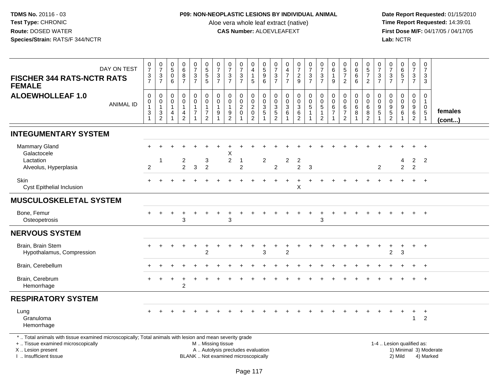### **P09: NON-NEOPLASTIC LESIONS BY INDIVIDUAL ANIMAL**

Aloe vera whole leaf extract (native)<br>**CAS Number:** ALOEVLEAFEXT

| DAY ON TEST<br><b>FISCHER 344 RATS-NCTR RATS</b><br><b>FEMALE</b>                                                                                                                             | $\frac{0}{7}$<br>$\frac{3}{7}$                          | $\frac{0}{7}$<br>$\frac{3}{7}$                                             | $\begin{array}{c} 0 \\ 5 \end{array}$<br>0<br>$6\phantom{1}$ | $\begin{array}{c} 0 \\ 6 \end{array}$<br>8<br>$\overline{7}$ | $\frac{0}{7}$<br>$\frac{3}{7}$                                     | $\begin{array}{c} 0 \\ 5 \end{array}$<br>$\begin{array}{c} 5 \\ 5 \end{array}$     | $\frac{0}{7}$<br>3<br>$\overline{7}$  | $\frac{0}{7}$<br>$\frac{3}{7}$                                           | $\frac{0}{7}$<br>$\mathbf{3}$<br>$\overline{7}$   | 0<br>$\overline{4}$<br>$\mathbf{1}$<br>5   | 0<br>5<br>9<br>6                               | $\frac{0}{7}$<br>$\frac{3}{7}$              | $\begin{array}{c} 0 \\ 4 \\ 7 \end{array}$<br>$\overline{7}$              | $\frac{0}{7}$<br>$\frac{2}{9}$                              | $\frac{0}{7}$<br>$\frac{3}{7}$                                                | $\frac{0}{7}$<br>3<br>$\overline{7}$                                          | 0<br>$\,6$<br>$\mathbf{1}$<br>$9\,$             | $\begin{array}{c} 0 \\ 5 \\ 7 \end{array}$<br>$\overline{2}$  | $\begin{array}{c} 0 \\ 6 \end{array}$<br>6<br>$6\overline{6}$           | $\begin{array}{c} 0 \\ 5 \\ 7 \end{array}$<br>$\overline{2}$ | $\pmb{0}$<br>$\overline{7}$<br>3<br>$\overline{7}$                | $\frac{0}{7}$<br>$\frac{3}{7}$                                  | 0<br>6<br>5<br>7                          | 0<br>$\overline{7}$<br>$\frac{3}{7}$                              | $\pmb{0}$<br>$\overline{7}$<br>3<br>$\mathfrak{S}$                     |                        |
|-----------------------------------------------------------------------------------------------------------------------------------------------------------------------------------------------|---------------------------------------------------------|----------------------------------------------------------------------------|--------------------------------------------------------------|--------------------------------------------------------------|--------------------------------------------------------------------|------------------------------------------------------------------------------------|---------------------------------------|--------------------------------------------------------------------------|---------------------------------------------------|--------------------------------------------|------------------------------------------------|---------------------------------------------|---------------------------------------------------------------------------|-------------------------------------------------------------|-------------------------------------------------------------------------------|-------------------------------------------------------------------------------|-------------------------------------------------|---------------------------------------------------------------|-------------------------------------------------------------------------|--------------------------------------------------------------|-------------------------------------------------------------------|-----------------------------------------------------------------|-------------------------------------------|-------------------------------------------------------------------|------------------------------------------------------------------------|------------------------|
| <b>ALOEWHOLLEAF 1.0</b><br><b>ANIMAL ID</b>                                                                                                                                                   | $\mathbf 0$<br>0<br>$\mathbf{1}$<br>3<br>$\overline{1}$ | $\mathbf 0$<br>$\begin{smallmatrix}0\\1\end{smallmatrix}$<br>$\frac{3}{2}$ | $\mathbf 0$<br>0<br>$\mathbf{1}$<br>4<br>$\mathbf{1}$        | $\pmb{0}$<br>$\mathbf 0$<br>$\mathbf{1}$<br>$\frac{4}{2}$    | 0<br>$\mathbf 0$<br>$\mathbf{1}$<br>$\overline{7}$<br>$\mathbf{1}$ | $\mathbf 0$<br>$\mathbf 0$<br>$\overline{1}$<br>$\boldsymbol{7}$<br>$\overline{2}$ | 0<br>$\mathbf 0$<br>$\mathbf{1}$<br>9 | $\pmb{0}$<br>$\mathbf 0$<br>$\mathbf{1}$<br>$\frac{9}{2}$                | 0<br>$\mathbf 0$<br>$\overline{2}$<br>$\mathbf 0$ | 0<br>$_2^0$<br>$\pmb{0}$<br>$\overline{2}$ | $\mathbf 0$<br>$\frac{0}{3}$<br>$\overline{1}$ | $\mathbf 0$<br>$\mathbf 0$<br>$\frac{3}{2}$ | $\mathbf 0$<br>$\mathbf 0$<br>$\overline{3}$<br>$\,6\,$<br>$\overline{1}$ | 0<br>$\mathsf{O}\xspace$<br>$\overline{3}$<br>$\frac{6}{2}$ | $\begin{smallmatrix}0\0\0\5\end{smallmatrix}$<br>$\mathbf{1}$<br>$\mathbf{1}$ | $\mathsf{O}$<br>$\pmb{0}$<br>$\overline{5}$<br>$\mathbf{1}$<br>$\overline{2}$ | 0<br>0<br>6<br>$\boldsymbol{7}$<br>$\mathbf{1}$ | 0<br>$\pmb{0}$<br>$\,6\,$<br>$\overline{7}$<br>$\overline{2}$ | $\mathbf 0$<br>$\pmb{0}$<br>$\overline{6}$<br>$\,8\,$<br>$\overline{1}$ | $\mathbf 0$<br>$\mathsf{O}$<br>$\,6\,$<br>$\frac{8}{2}$      | $\mathbf 0$<br>$\mathbf 0$<br>$9\,$<br>$\sqrt{5}$<br>$\mathbf{1}$ | $\mathbf 0$<br>$\mathbf 0$<br>$\boldsymbol{9}$<br>$\frac{5}{2}$ | 0<br>$\mathsf 0$<br>$\boldsymbol{9}$<br>6 | 0<br>$\mathbf 0$<br>$\boldsymbol{9}$<br>$\,6\,$<br>$\overline{2}$ | $\mathbf 0$<br>$\mathbf{1}$<br>$\pmb{0}$<br>$\sqrt{5}$<br>$\mathbf{1}$ | females<br>(cont)      |
| <b>INTEGUMENTARY SYSTEM</b>                                                                                                                                                                   |                                                         |                                                                            |                                                              |                                                              |                                                                    |                                                                                    |                                       |                                                                          |                                                   |                                            |                                                |                                             |                                                                           |                                                             |                                                                               |                                                                               |                                                 |                                                               |                                                                         |                                                              |                                                                   |                                                                 |                                           |                                                                   |                                                                        |                        |
| <b>Mammary Gland</b><br>Galactocele                                                                                                                                                           |                                                         |                                                                            |                                                              |                                                              |                                                                    |                                                                                    |                                       | х                                                                        |                                                   |                                            |                                                |                                             |                                                                           |                                                             |                                                                               |                                                                               |                                                 |                                                               |                                                                         |                                                              |                                                                   |                                                                 |                                           |                                                                   |                                                                        |                        |
| Lactation<br>Alveolus, Hyperplasia                                                                                                                                                            | $\overline{2}$                                          |                                                                            |                                                              | 2<br>$\overline{2}$                                          | $\mathbf{3}$                                                       | 3<br>$\overline{2}$                                                                |                                       | $\overline{2}$                                                           | $\overline{1}$<br>$\overline{2}$                  |                                            | 2                                              | $\overline{c}$                              | $\overline{\mathbf{c}}$                                                   | $\overline{c}$<br>$\overline{2}$                            | 3                                                                             |                                                                               |                                                 |                                                               |                                                                         |                                                              | $\overline{2}$                                                    |                                                                 | 4<br>$\overline{2}$                       | $\mathbf{2}$<br>$\overline{2}$                                    | $\overline{2}$                                                         |                        |
| Skin<br>Cyst Epithelial Inclusion                                                                                                                                                             | $+$                                                     |                                                                            |                                                              |                                                              |                                                                    |                                                                                    |                                       |                                                                          |                                                   |                                            |                                                |                                             |                                                                           | X                                                           |                                                                               |                                                                               |                                                 |                                                               |                                                                         |                                                              |                                                                   |                                                                 |                                           |                                                                   | $\ddot{}$                                                              |                        |
| <b>MUSCULOSKELETAL SYSTEM</b>                                                                                                                                                                 |                                                         |                                                                            |                                                              |                                                              |                                                                    |                                                                                    |                                       |                                                                          |                                                   |                                            |                                                |                                             |                                                                           |                                                             |                                                                               |                                                                               |                                                 |                                                               |                                                                         |                                                              |                                                                   |                                                                 |                                           |                                                                   |                                                                        |                        |
| Bone, Femur<br>Osteopetrosis                                                                                                                                                                  | $+$                                                     |                                                                            |                                                              | 3                                                            |                                                                    |                                                                                    |                                       | 3                                                                        |                                                   |                                            |                                                |                                             |                                                                           |                                                             |                                                                               | 3                                                                             |                                                 |                                                               |                                                                         |                                                              |                                                                   |                                                                 |                                           |                                                                   | $\overline{+}$                                                         |                        |
| <b>NERVOUS SYSTEM</b>                                                                                                                                                                         |                                                         |                                                                            |                                                              |                                                              |                                                                    |                                                                                    |                                       |                                                                          |                                                   |                                            |                                                |                                             |                                                                           |                                                             |                                                                               |                                                                               |                                                 |                                                               |                                                                         |                                                              |                                                                   |                                                                 |                                           |                                                                   |                                                                        |                        |
| Brain, Brain Stem<br>Hypothalamus, Compression                                                                                                                                                |                                                         |                                                                            |                                                              |                                                              | $\div$                                                             | $\overline{2}$                                                                     |                                       |                                                                          |                                                   |                                            | 3                                              |                                             | $\overline{2}$                                                            |                                                             |                                                                               |                                                                               |                                                 |                                                               |                                                                         |                                                              |                                                                   | $\overline{2}$                                                  | 3                                         | $+$                                                               | $+$                                                                    |                        |
| Brain, Cerebellum                                                                                                                                                                             |                                                         |                                                                            |                                                              |                                                              |                                                                    |                                                                                    |                                       |                                                                          |                                                   |                                            |                                                |                                             |                                                                           |                                                             |                                                                               |                                                                               |                                                 |                                                               |                                                                         |                                                              |                                                                   |                                                                 |                                           |                                                                   | $\overline{+}$                                                         |                        |
| Brain, Cerebrum<br>Hemorrhage                                                                                                                                                                 |                                                         |                                                                            |                                                              | 2                                                            |                                                                    |                                                                                    |                                       |                                                                          |                                                   |                                            |                                                |                                             |                                                                           |                                                             |                                                                               |                                                                               |                                                 |                                                               |                                                                         |                                                              |                                                                   |                                                                 |                                           |                                                                   | $\overline{+}$                                                         |                        |
| <b>RESPIRATORY SYSTEM</b>                                                                                                                                                                     |                                                         |                                                                            |                                                              |                                                              |                                                                    |                                                                                    |                                       |                                                                          |                                                   |                                            |                                                |                                             |                                                                           |                                                             |                                                                               |                                                                               |                                                 |                                                               |                                                                         |                                                              |                                                                   |                                                                 |                                           |                                                                   |                                                                        |                        |
| Lung<br>Granuloma<br>Hemorrhage                                                                                                                                                               |                                                         |                                                                            |                                                              |                                                              |                                                                    |                                                                                    |                                       |                                                                          |                                                   |                                            |                                                |                                             |                                                                           |                                                             |                                                                               |                                                                               |                                                 |                                                               |                                                                         |                                                              |                                                                   |                                                                 |                                           | 1                                                                 | $\ddot{}$<br>$\overline{2}$                                            |                        |
| *  Total animals with tissue examined microscopically; Total animals with lesion and mean severity grade<br>+  Tissue examined microscopically<br>X  Lesion present<br>I  Insufficient tissue |                                                         |                                                                            |                                                              |                                                              |                                                                    | M. Missing tissue                                                                  |                                       | A  Autolysis precludes evaluation<br>BLANK  Not examined microscopically |                                                   |                                            |                                                |                                             |                                                                           |                                                             |                                                                               |                                                                               |                                                 |                                                               |                                                                         |                                                              |                                                                   | 1-4  Lesion qualified as:                                       | 2) Mild                                   |                                                                   | 4) Marked                                                              | 1) Minimal 3) Moderate |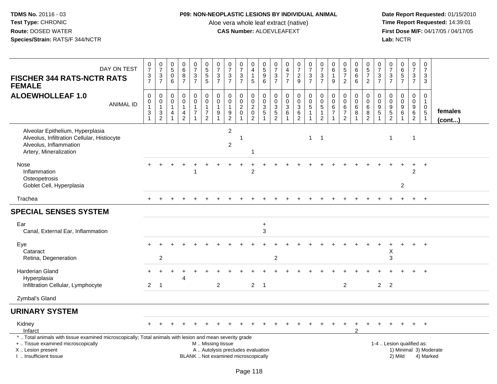### **P09: NON-NEOPLASTIC LESIONS BY INDIVIDUAL ANIMAL**

Aloe vera whole leaf extract (native)<br>**CAS Number:** ALOEVLEAFEXT

| DAY ON TEST<br><b>FISCHER 344 RATS-NCTR RATS</b><br><b>FEMALE</b>                                                                                                                             | $\frac{0}{7}$<br>$\frac{3}{7}$                                                                         | $\begin{array}{c} 0 \\ 7 \end{array}$<br>$\frac{3}{7}$                                  | $\begin{array}{c} 0 \\ 5 \end{array}$<br>0<br>6   | $\begin{array}{c} 0 \\ 6 \end{array}$<br>$\begin{array}{c} 8 \\ 7 \end{array}$         | $\begin{array}{c} 0 \\ 7 \end{array}$<br>$\frac{3}{7}$                                        | $\begin{array}{c} 0 \\ 5 \end{array}$<br>$\frac{5}{5}$                         | $\begin{array}{c} 0 \\ 7 \end{array}$<br>3<br>$\overline{7}$ | $\frac{0}{7}$<br>$\frac{3}{7}$                                           | $\begin{array}{c} 0 \\ 7 \end{array}$<br>$\frac{3}{7}$ | 0<br>$\overline{4}$<br>$\mathbf{1}$<br>5                                              | 0<br>5<br>9<br>6                                                    | $\frac{0}{7}$<br>$\sqrt{3}$<br>$\overline{7}$                     | 0<br>$\overline{4}$<br>$\overline{7}$<br>$\overline{7}$               | $\frac{0}{7}$<br>$\frac{2}{9}$                            | $\begin{array}{c} 0 \\ 7 \end{array}$<br>$\frac{3}{7}$                       | $\begin{array}{c} 0 \\ 7 \end{array}$<br>$\sqrt{3}$<br>$\overline{7}$  | $\begin{array}{c} 0 \\ 6 \end{array}$<br>$\mathbf{1}$<br>9            | 0<br>$\overline{5}$<br>$\overline{7}$<br>$\overline{2}$ | $\begin{array}{c} 0 \\ 6 \end{array}$<br>$6\phantom{1}6$<br>$6\phantom{1}6$ | 0<br>$\overline{5}$<br>$\overline{7}$<br>$\overline{2}$      | $\frac{0}{7}$<br>$\frac{3}{7}$          | $\frac{0}{7}$<br>$\frac{3}{7}$                 | 0657                                                             | $\frac{0}{7}$<br>$\frac{3}{7}$                            | $\pmb{0}$<br>$\overline{7}$<br>3<br>3                                     |                         |
|-----------------------------------------------------------------------------------------------------------------------------------------------------------------------------------------------|--------------------------------------------------------------------------------------------------------|-----------------------------------------------------------------------------------------|---------------------------------------------------|----------------------------------------------------------------------------------------|-----------------------------------------------------------------------------------------------|--------------------------------------------------------------------------------|--------------------------------------------------------------|--------------------------------------------------------------------------|--------------------------------------------------------|---------------------------------------------------------------------------------------|---------------------------------------------------------------------|-------------------------------------------------------------------|-----------------------------------------------------------------------|-----------------------------------------------------------|------------------------------------------------------------------------------|------------------------------------------------------------------------|-----------------------------------------------------------------------|---------------------------------------------------------|-----------------------------------------------------------------------------|--------------------------------------------------------------|-----------------------------------------|------------------------------------------------|------------------------------------------------------------------|-----------------------------------------------------------|---------------------------------------------------------------------------|-------------------------|
| <b>ALOEWHOLLEAF 1.0</b><br><b>ANIMAL ID</b>                                                                                                                                                   | $\pmb{0}$<br>$\begin{smallmatrix}0\\1\end{smallmatrix}$<br>$\ensuremath{\mathsf{3}}$<br>$\overline{1}$ | $\pmb{0}$<br>$\mathbf 0$<br>$\mathbf{1}$<br>$\ensuremath{\mathsf{3}}$<br>$\overline{2}$ | $\mathbf 0$<br>$\mathbf 0$<br>$\overline{1}$<br>4 | $\mathbf 0$<br>$\mathsf{O}\xspace$<br>$\mathbf{1}$<br>$\overline{4}$<br>$\overline{2}$ | $\pmb{0}$<br>$\mathsf{O}\xspace$<br>$\mathbf{1}$<br>$\overline{7}$<br>$\overline{\mathbf{A}}$ | $\pmb{0}$<br>$\mathbf 0$<br>$\mathbf{1}$<br>$\boldsymbol{7}$<br>$\overline{2}$ | $\mathbf 0$<br>$\mathbf 0$<br>$\mathbf{1}$<br>9              | $\pmb{0}$<br>$\mathbf 0$<br>$\mathbf{1}$<br>$\frac{9}{2}$                | $\pmb{0}$<br>$\frac{0}{2}$<br>$\mathbf 0$              | $\mathbf 0$<br>$\mathbf 0$<br>$\overline{2}$<br>$\mathsf{O}\xspace$<br>$\overline{2}$ | $\pmb{0}$<br>$\ddot{\mathbf{0}}$<br>$\frac{3}{5}$<br>$\overline{1}$ | $\pmb{0}$<br>$\mathbf 0$<br>3<br>$\overline{5}$<br>$\overline{2}$ | $\pmb{0}$<br>$\mathbf 0$<br>$\mathbf{3}$<br>$\,6\,$<br>$\overline{1}$ | 0<br>$\mathbf 0$<br>3<br>$6\phantom{a}$<br>$\overline{2}$ | $\pmb{0}$<br>$\mathbf 0$<br>$\overline{5}$<br>$\mathbf{1}$<br>$\overline{1}$ | $\pmb{0}$<br>$\pmb{0}$<br>$\sqrt{5}$<br>$\mathbf{1}$<br>$\overline{2}$ | $\mathbf 0$<br>$\pmb{0}$<br>$\,6$<br>$\overline{7}$<br>$\overline{1}$ | $\mathbf 0$<br>$\mathbf 0$<br>6<br>$\overline{7}$<br>2  | $\pmb{0}$<br>$\pmb{0}$<br>$\,6\,$<br>$\overline{8}$<br>$\mathbf{1}$         | $\mathbf 0$<br>$\mathsf 0$<br>$\,6\,$<br>8<br>$\overline{2}$ | $\mathbf 0$<br>0<br>9<br>$\overline{5}$ | $\pmb{0}$<br>$\boldsymbol{0}$<br>$\frac{9}{5}$ | $\mathbf 0$<br>$\mathbf 0$<br>$\boldsymbol{9}$<br>$6\phantom{a}$ | $\pmb{0}$<br>$\pmb{0}$<br>$\frac{9}{6}$<br>$\overline{2}$ | $\mathbf 0$<br>$\mathbf{1}$<br>$\mathbf 0$<br>$\,$ 5 $\,$<br>$\mathbf{1}$ | females<br>$($ cont $)$ |
| Alveolar Epithelium, Hyperplasia<br>Alveolus, Infiltration Cellular, Histiocyte<br>Alveolus, Inflammation<br>Artery, Mineralization                                                           |                                                                                                        |                                                                                         |                                                   |                                                                                        |                                                                                               |                                                                                |                                                              | $\overline{c}$<br>$\overline{2}$                                         | -1                                                     |                                                                                       |                                                                     |                                                                   |                                                                       |                                                           | $\mathbf{1}$                                                                 | $\overline{\phantom{0}}$ 1                                             |                                                                       |                                                         |                                                                             |                                                              |                                         | $\mathbf{1}$                                   |                                                                  | $\overline{1}$                                            |                                                                           |                         |
| Nose<br>Inflammation<br>Osteopetrosis<br>Goblet Cell, Hyperplasia                                                                                                                             |                                                                                                        |                                                                                         |                                                   |                                                                                        |                                                                                               |                                                                                |                                                              |                                                                          |                                                        | $\overline{2}$                                                                        |                                                                     |                                                                   |                                                                       |                                                           |                                                                              |                                                                        |                                                                       |                                                         |                                                                             |                                                              |                                         |                                                | 2                                                                | $\ddot{}$<br>2                                            | $+$                                                                       |                         |
| Trachea                                                                                                                                                                                       |                                                                                                        |                                                                                         |                                                   |                                                                                        |                                                                                               |                                                                                |                                                              |                                                                          |                                                        |                                                                                       |                                                                     |                                                                   |                                                                       |                                                           |                                                                              |                                                                        |                                                                       |                                                         |                                                                             |                                                              |                                         |                                                |                                                                  |                                                           | $+$                                                                       |                         |
| <b>SPECIAL SENSES SYSTEM</b>                                                                                                                                                                  |                                                                                                        |                                                                                         |                                                   |                                                                                        |                                                                                               |                                                                                |                                                              |                                                                          |                                                        |                                                                                       |                                                                     |                                                                   |                                                                       |                                                           |                                                                              |                                                                        |                                                                       |                                                         |                                                                             |                                                              |                                         |                                                |                                                                  |                                                           |                                                                           |                         |
| Ear<br>Canal, External Ear, Inflammation                                                                                                                                                      |                                                                                                        |                                                                                         |                                                   |                                                                                        |                                                                                               |                                                                                |                                                              |                                                                          |                                                        |                                                                                       | $\ddot{}$<br>3                                                      |                                                                   |                                                                       |                                                           |                                                                              |                                                                        |                                                                       |                                                         |                                                                             |                                                              |                                         |                                                |                                                                  |                                                           |                                                                           |                         |
| Eye<br>Cataract<br>Retina, Degeneration                                                                                                                                                       |                                                                                                        | $\overline{2}$                                                                          |                                                   |                                                                                        |                                                                                               |                                                                                |                                                              |                                                                          |                                                        |                                                                                       |                                                                     | 2                                                                 |                                                                       |                                                           |                                                                              |                                                                        |                                                                       |                                                         |                                                                             |                                                              |                                         | Χ<br>3                                         |                                                                  |                                                           |                                                                           |                         |
| Harderian Gland<br>Hyperplasia<br>Infiltration Cellular, Lymphocyte                                                                                                                           | $\overline{2}$                                                                                         | ÷.<br>$\overline{1}$                                                                    |                                                   | Δ                                                                                      |                                                                                               |                                                                                | $\overline{c}$                                               |                                                                          |                                                        | $\overline{2}$                                                                        | $\overline{1}$                                                      |                                                                   |                                                                       |                                                           |                                                                              |                                                                        |                                                                       | $\overline{2}$                                          |                                                                             |                                                              | $\overline{2}$                          | 2                                              |                                                                  |                                                           | $+$                                                                       |                         |
| Zymbal's Gland                                                                                                                                                                                |                                                                                                        |                                                                                         |                                                   |                                                                                        |                                                                                               |                                                                                |                                                              |                                                                          |                                                        |                                                                                       |                                                                     |                                                                   |                                                                       |                                                           |                                                                              |                                                                        |                                                                       |                                                         |                                                                             |                                                              |                                         |                                                |                                                                  |                                                           |                                                                           |                         |
| <b>URINARY SYSTEM</b>                                                                                                                                                                         |                                                                                                        |                                                                                         |                                                   |                                                                                        |                                                                                               |                                                                                |                                                              |                                                                          |                                                        |                                                                                       |                                                                     |                                                                   |                                                                       |                                                           |                                                                              |                                                                        |                                                                       |                                                         |                                                                             |                                                              |                                         |                                                |                                                                  |                                                           |                                                                           |                         |
| Kidney<br>Infarct                                                                                                                                                                             |                                                                                                        |                                                                                         |                                                   |                                                                                        |                                                                                               |                                                                                |                                                              |                                                                          |                                                        |                                                                                       |                                                                     |                                                                   |                                                                       |                                                           |                                                                              |                                                                        |                                                                       |                                                         |                                                                             |                                                              |                                         |                                                |                                                                  | $\pm$                                                     | $+$                                                                       |                         |
| *  Total animals with tissue examined microscopically; Total animals with lesion and mean severity grade<br>+  Tissue examined microscopically<br>X  Lesion present<br>I  Insufficient tissue |                                                                                                        |                                                                                         |                                                   |                                                                                        |                                                                                               | M  Missing tissue                                                              |                                                              | A  Autolysis precludes evaluation<br>BLANK  Not examined microscopically |                                                        |                                                                                       |                                                                     |                                                                   |                                                                       |                                                           |                                                                              |                                                                        |                                                                       |                                                         |                                                                             |                                                              |                                         |                                                | 1-4  Lesion qualified as:<br>2) Mild                             |                                                           | 4) Marked                                                                 | 1) Minimal 3) Moderate  |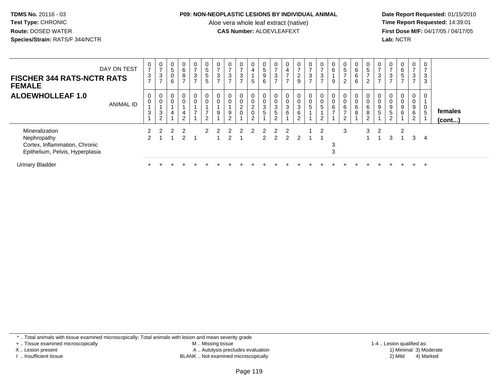#### **P09: NON-NEOPLASTIC LESIONS BY INDIVIDUAL ANIMAL**

Aloe vera whole leaf extract (native)<br>**CAS Number:** ALOEVLEAFEXT

 **Date Report Requested:** 01/15/2010 **First Dose M/F:** 04/17/05 / 04/17/05<br>**Lab:** NCTR **Lab:** NCTR

| <b>FISCHER 344 RATS-NCTR RATS</b><br><b>FEMALE</b>                                                | DAY ON TEST      | $\overline{ }$<br>3<br>$\overline{ }$ | $\overline{0}$<br>$\rightarrow$<br>$\ensuremath{\mathsf{3}}$<br>$\rightarrow$ | $\sqrt{5}$<br>$\mathbf 0$<br>6 | $\overline{0}$<br>6<br>8<br>$\overline{ }$         | $\mathbf 0$<br>$\overline{ }$<br>$\mathbf{3}$<br>$\overline{ }$ | $\mathbf 0$<br>$\sqrt{5}$<br>$\,$ 5 $\,$<br>$5\phantom{.0}$                      | 0<br>$\overline{ }$<br>3<br>$\rightarrow$ | 0<br>$\overline{ }$<br>3<br>$\overline{ }$ | 0<br>$\overline{ }$<br>3<br>$\overline{ }$ | $\mathbf 0$<br>4<br>5                                                     | 0<br>$\sqrt{5}$<br>9<br>6 | $\frac{0}{7}$<br>3<br>$\overline{7}$                | 0<br>$\overline{\mathbf{4}}$<br>$\overline{ }$<br>$\overline{ }$ | $\mathbf 0$<br>$\overline{ }$<br>$\frac{2}{9}$ | $\mathbf 0$<br>$\overline{ }$<br>3<br>$\overline{7}$ | $\overline{ }$<br>3<br>$\overline{ }$ | $\begin{matrix} 0 \\ 6 \end{matrix}$<br>9 | 0<br>5<br>$\overline{2}$ | 0<br>6<br>6<br>6           | $\begin{array}{c} 0 \\ 5 \end{array}$<br>$\overline{ }$<br>2 | 0<br>$\overline{ }$<br>3<br>$\overline{ }$ | 0<br>$\overline{7}$<br>3<br>$\overline{ }$                       | $\overline{0}$<br>6<br>5<br>$\overline{ }$ | $\mathbf 0$<br>$\overline{ }$<br>$\mathbf{3}$<br>$\overline{7}$ | 0<br>$\overline{ }$<br>3<br>3 |                         |  |
|---------------------------------------------------------------------------------------------------|------------------|---------------------------------------|-------------------------------------------------------------------------------|--------------------------------|----------------------------------------------------|-----------------------------------------------------------------|----------------------------------------------------------------------------------|-------------------------------------------|--------------------------------------------|--------------------------------------------|---------------------------------------------------------------------------|---------------------------|-----------------------------------------------------|------------------------------------------------------------------|------------------------------------------------|------------------------------------------------------|---------------------------------------|-------------------------------------------|--------------------------|----------------------------|--------------------------------------------------------------|--------------------------------------------|------------------------------------------------------------------|--------------------------------------------|-----------------------------------------------------------------|-------------------------------|-------------------------|--|
| <b>ALOEWHOLLEAF 1.0</b>                                                                           | <b>ANIMAL ID</b> | 0<br>3                                | 0<br>$\pmb{0}$<br>3<br>$\overline{c}$                                         | 4                              | $\overline{0}$<br>$\pmb{0}$<br>4<br>$\overline{2}$ | $\mathbf 0$<br>$\pmb{0}$<br>$\overline{ }$                      | $\begin{smallmatrix} 0\\0 \end{smallmatrix}$<br>$\overline{7}$<br>$\overline{2}$ | 0<br>$\pmb{0}$<br>9                       | $\mathbf 0$<br>9<br>ົ                      | 0<br>0<br>$\overline{2}$<br>$\overline{0}$ | 0<br>$\begin{smallmatrix} 0 \ 2 \end{smallmatrix}$<br>0<br>$\overline{2}$ | 0<br>$\,0\,$<br>3<br>5    | 0<br>$\pmb{0}$<br>$\sqrt{3}$<br>$\overline{5}$<br>2 | 0<br>$_3^0$<br>6                                                 | 0<br>$\frac{0}{3}$<br>6<br>2                   | 0<br>5                                               | 0<br>5<br>$\sim$                      | $\,6$                                     | 6<br>$\sim$              | 0<br>$\mathbf 0$<br>6<br>8 | 0<br>$\pmb{0}$<br>$\,6\,$<br>8<br>$\overline{2}$             | 0<br>0<br>$\boldsymbol{9}$<br>5            | 0<br>$\boldsymbol{0}$<br>$\boldsymbol{9}$<br>5<br>$\overline{2}$ | $\overline{0}$<br>0<br>9<br>6              | 0<br>$\boldsymbol{0}$<br>9<br>6<br>$\overline{2}$               | 0<br>0<br>5                   | females<br>$($ cont $)$ |  |
| Mineralization<br>Nephropathy<br>Cortex, Inflammation, Chronic<br>Epithelium, Pelvis, Hyperplasia |                  |                                       |                                                                               | 2                              | 2<br>$\overline{2}$                                |                                                                 |                                                                                  |                                           |                                            |                                            |                                                                           |                           | $2 \quad 2$                                         | 2                                                                | 2                                              |                                                      | 2                                     | 3                                         | 3                        |                            | 3                                                            | -2                                         | 3                                                                | $\mathcal{P}$                              | 3                                                               | 4                             |                         |  |
| <b>Urinary Bladder</b>                                                                            |                  |                                       |                                                                               |                                |                                                    |                                                                 |                                                                                  |                                           |                                            |                                            |                                                                           |                           |                                                     |                                                                  |                                                |                                                      |                                       |                                           |                          |                            |                                                              |                                            |                                                                  |                                            |                                                                 | $\pm$                         |                         |  |

\* .. Total animals with tissue examined microscopically; Total animals with lesion and mean severity grade

+ .. Tissue examined microscopically

X .. Lesion present

I .. Insufficient tissue

 M .. Missing tissueA .. Autolysis precludes evaluation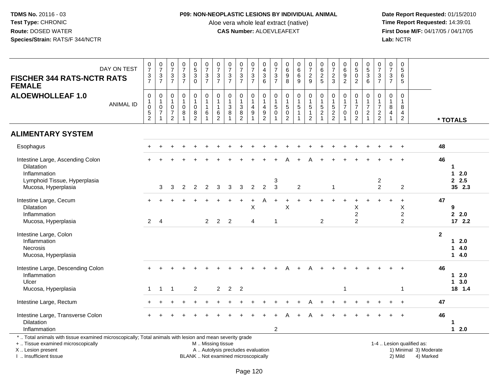### **P09: NON-NEOPLASTIC LESIONS BY INDIVIDUAL ANIMAL**

Aloe vera whole leaf extract (native)<br>**CAS Number:** ALOEVLEAFEXT

 **Date Report Requested:** 01/15/2010 **First Dose M/F:** 04/17/05 / 04/17/05<br>Lab: NCTR **Lab:** NCTR

| DAY ON TEST<br><b>FISCHER 344 RATS-NCTR RATS</b><br><b>FEMALE</b>                                                                                                   |                  | $\frac{0}{7}$<br>$\frac{3}{7}$                                                  | $\frac{0}{7}$<br>$\frac{3}{7}$                                               | $\frac{0}{7}$<br>$\frac{3}{7}$                         | $\begin{array}{c} 0 \\ 7 \end{array}$<br>$\frac{3}{7}$        | $\begin{array}{c} 0 \\ 5 \\ 3 \\ 0 \end{array}$           | $\begin{array}{c} 0 \\ 7 \end{array}$<br>$\frac{3}{7}$                                | $\frac{0}{7}$<br>$\frac{3}{7}$                                                   | $\frac{0}{7}$<br>$\frac{3}{7}$                             | $\frac{0}{7}$<br>$\frac{3}{7}$                | $\frac{0}{7}$<br>$\frac{3}{7}$                          | 0436                                                                                      | 0<br>$\overline{7}$<br>$\frac{3}{7}$           | 0<br>0<br>0<br>0<br>0                                        | $_{6}^{\rm 0}$<br>6<br>9                          | $\begin{array}{c} 0 \\ 7 \end{array}$<br>$rac{2}{9}$                                       | $\begin{array}{c} 0 \\ 6 \end{array}$<br>$\frac{2}{5}$ | $\frac{0}{7}$<br>$\frac{2}{3}$                                    | 0<br>6<br>9<br>2                                   | $\begin{array}{c} 0 \\ 5 \\ 0 \\ 2 \end{array}$                            | 0<br>5<br>3<br>6                                                 | $\frac{0}{7}$<br>$\frac{3}{7}$                                 | $\begin{array}{c} 0 \\ 7 \end{array}$<br>$\sqrt{3}$<br>$\overline{7}$ | $\begin{array}{c} 0 \\ 5 \end{array}$<br>$6\phantom{1}6$<br>$\sqrt{5}$ |                                                     |                |                                |
|---------------------------------------------------------------------------------------------------------------------------------------------------------------------|------------------|---------------------------------------------------------------------------------|------------------------------------------------------------------------------|--------------------------------------------------------|---------------------------------------------------------------|-----------------------------------------------------------|---------------------------------------------------------------------------------------|----------------------------------------------------------------------------------|------------------------------------------------------------|-----------------------------------------------|---------------------------------------------------------|-------------------------------------------------------------------------------------------|------------------------------------------------|--------------------------------------------------------------|---------------------------------------------------|--------------------------------------------------------------------------------------------|--------------------------------------------------------|-------------------------------------------------------------------|----------------------------------------------------|----------------------------------------------------------------------------|------------------------------------------------------------------|----------------------------------------------------------------|-----------------------------------------------------------------------|------------------------------------------------------------------------|-----------------------------------------------------|----------------|--------------------------------|
| <b>ALOEWHOLLEAF 1.0</b>                                                                                                                                             | <b>ANIMAL ID</b> | $\mathsf{O}\xspace$<br>1<br>$\mathsf{O}\xspace$<br>$\sqrt{5}$<br>$\overline{2}$ | $\mathbf 0$<br>$\mathbf{1}$<br>$\mathbf 0$<br>$\overline{7}$<br>$\mathbf{1}$ | 0<br>$\mathbf 1$<br>$\mathsf 0$<br>$\overline{7}$<br>2 | $\mathbf 0$<br>$\mathbf{1}$<br>$\mathsf{O}\xspace$<br>$\bf 8$ | $\pmb{0}$<br>$\mathbf{1}$<br>$\mathbf 0$<br>$\frac{8}{2}$ | $\begin{smallmatrix}0\\1\end{smallmatrix}$<br>$\mathbf{1}$<br>$\,6\,$<br>$\mathbf{1}$ | $\mathbf 0$<br>$\mathbf{1}$<br>$\mathbf{1}$<br>$6\phantom{1}6$<br>$\overline{2}$ | $\mathbf 0$<br>$\mathbf{1}$<br>$\sqrt{3}$<br>$\bf{8}$<br>1 | 0<br>$\mathbf{1}$<br>3<br>8<br>$\overline{2}$ | 0<br>$\mathbf{1}$<br>$\overline{4}$<br>$\boldsymbol{9}$ | $\,0\,$<br>$\mathbf{1}$<br>$\overline{\mathcal{A}}$<br>$\boldsymbol{9}$<br>$\overline{2}$ | 0<br>$\mathbf{1}$<br>$\sqrt{5}$<br>$\mathbf 0$ | $\pmb{0}$<br>$\mathbf{1}$<br>$\frac{5}{0}$<br>$\overline{2}$ | 0<br>$\mathbf{1}$<br>$\sqrt{5}$<br>$\overline{1}$ | $\begin{smallmatrix}0\\1\end{smallmatrix}$<br>$\sqrt{5}$<br>$\mathbf{1}$<br>$\overline{2}$ | 0<br>1<br>5<br>$\overline{c}$                          | 0<br>$\begin{array}{c} 1 \\ 5 \\ 2 \end{array}$<br>$\overline{2}$ | 0<br>$\mathbf{1}$<br>$\overline{7}$<br>$\mathbf 0$ | $\pmb{0}$<br>$\mathbf{1}$<br>$\overline{7}$<br>$\pmb{0}$<br>$\overline{c}$ | $\mathbf 0$<br>$\mathbf 1$<br>$\overline{7}$<br>$\boldsymbol{2}$ | $\mathbf 0$<br>$\mathbf{1}$<br>$\overline{7}$<br>$\frac{2}{2}$ | $\mathsf 0$<br>$\mathbf{1}$<br>$\,8\,$<br>4<br>$\overline{1}$         | $\mathbf 0$<br>$\mathbf{1}$<br>8<br>$\overline{4}$<br>$\overline{2}$   |                                                     |                | * TOTALS                       |
| <b>ALIMENTARY SYSTEM</b>                                                                                                                                            |                  |                                                                                 |                                                                              |                                                        |                                                               |                                                           |                                                                                       |                                                                                  |                                                            |                                               |                                                         |                                                                                           |                                                |                                                              |                                                   |                                                                                            |                                                        |                                                                   |                                                    |                                                                            |                                                                  |                                                                |                                                                       |                                                                        |                                                     |                |                                |
| Esophagus                                                                                                                                                           |                  |                                                                                 | $\ddot{}$                                                                    |                                                        |                                                               |                                                           |                                                                                       |                                                                                  |                                                            |                                               |                                                         |                                                                                           |                                                |                                                              |                                                   |                                                                                            |                                                        |                                                                   |                                                    |                                                                            |                                                                  |                                                                |                                                                       | $+$                                                                    |                                                     | 48             |                                |
| Intestine Large, Ascending Colon<br><b>Dilatation</b><br>Inflammation<br>Lymphoid Tissue, Hyperplasia<br>Mucosa, Hyperplasia                                        |                  |                                                                                 | 3                                                                            | 3                                                      | $\overline{2}$                                                | 2                                                         | 2                                                                                     | 3                                                                                | 3                                                          | 3                                             | $\overline{2}$                                          | 2                                                                                         | 3<br>$\mathbf{3}$                              |                                                              | $\overline{c}$                                    |                                                                                            |                                                        | $\mathbf{1}$                                                      |                                                    |                                                                            |                                                                  | $\overline{\mathbf{c}}$<br>$\overline{2}$                      |                                                                       | $\overline{2}$                                                         |                                                     | 46             | 1<br>2.0<br>1<br>2.5<br>35 2.3 |
| Intestine Large, Cecum<br><b>Dilatation</b><br>Inflammation<br>Mucosa, Hyperplasia                                                                                  |                  | $\overline{2}$                                                                  | $\overline{4}$                                                               |                                                        |                                                               |                                                           | $\mathbf{2}$                                                                          | $\overline{2}$                                                                   | $\overline{2}$                                             |                                               | $\mathsf{X}$<br>4                                       |                                                                                           | -1                                             | $\boldsymbol{\mathsf{X}}$                                    |                                                   |                                                                                            | $\overline{2}$                                         |                                                                   |                                                    | X<br>$\overline{2}$<br>$\overline{2}$                                      |                                                                  |                                                                |                                                                       | $\ddot{}$<br>X<br>$\overline{c}$<br>$\overline{2}$                     |                                                     | 47             | 9<br>2.2.0<br>172.2            |
| Intestine Large, Colon<br>Inflammation<br>Necrosis<br>Mucosa, Hyperplasia                                                                                           |                  |                                                                                 |                                                                              |                                                        |                                                               |                                                           |                                                                                       |                                                                                  |                                                            |                                               |                                                         |                                                                                           |                                                |                                                              |                                                   |                                                                                            |                                                        |                                                                   |                                                    |                                                                            |                                                                  |                                                                |                                                                       |                                                                        |                                                     | $\overline{2}$ | 12.0<br>14.0<br>14.0           |
| Intestine Large, Descending Colon<br>Inflammation<br>Ulcer                                                                                                          |                  |                                                                                 |                                                                              |                                                        |                                                               |                                                           |                                                                                       |                                                                                  |                                                            |                                               |                                                         |                                                                                           |                                                |                                                              |                                                   |                                                                                            |                                                        |                                                                   |                                                    |                                                                            |                                                                  |                                                                |                                                                       |                                                                        |                                                     | 46             | $12.0$<br>13.0                 |
| Mucosa, Hyperplasia                                                                                                                                                 |                  |                                                                                 | $\mathbf{1}$                                                                 | $\overline{1}$                                         |                                                               | 2                                                         |                                                                                       | $\overline{2}$                                                                   | $\overline{2}$                                             | $\overline{\phantom{0}}$ 2                    |                                                         |                                                                                           |                                                |                                                              |                                                   |                                                                                            |                                                        |                                                                   | 1                                                  |                                                                            |                                                                  |                                                                |                                                                       | $\mathbf{1}$                                                           |                                                     |                | 18 1.4                         |
| Intestine Large, Rectum                                                                                                                                             |                  |                                                                                 |                                                                              |                                                        |                                                               |                                                           |                                                                                       |                                                                                  |                                                            |                                               |                                                         |                                                                                           |                                                |                                                              |                                                   |                                                                                            |                                                        |                                                                   |                                                    |                                                                            |                                                                  |                                                                |                                                                       |                                                                        |                                                     | 47             |                                |
| Intestine Large, Transverse Colon<br>Dilatation<br>Inflammation                                                                                                     |                  |                                                                                 |                                                                              |                                                        |                                                               |                                                           |                                                                                       |                                                                                  |                                                            |                                               |                                                         |                                                                                           | 2                                              |                                                              |                                                   |                                                                                            |                                                        |                                                                   |                                                    |                                                                            |                                                                  |                                                                |                                                                       |                                                                        |                                                     | 46             | $12.0$                         |
| *  Total animals with tissue examined microscopically; Total animals with lesion and mean severity grade<br>+  Tissue examined microscopically<br>X  Lesion present |                  |                                                                                 |                                                                              |                                                        |                                                               |                                                           | M  Missing tissue<br>A  Autolysis precludes evaluation                                |                                                                                  |                                                            |                                               |                                                         |                                                                                           |                                                |                                                              |                                                   |                                                                                            |                                                        |                                                                   |                                                    |                                                                            |                                                                  |                                                                |                                                                       |                                                                        | 1-4  Lesion qualified as:<br>1) Minimal 3) Moderate |                |                                |

I .. Insufficient tissue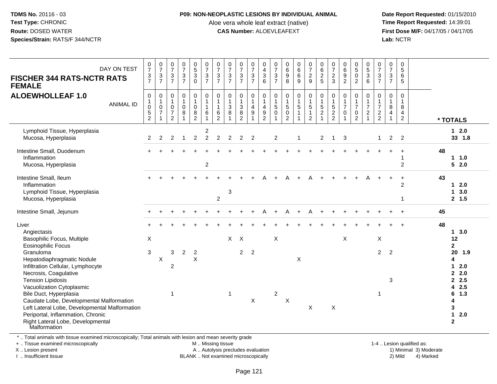#### **P09: NON-NEOPLASTIC LESIONS BY INDIVIDUAL ANIMAL**

Aloe vera whole leaf extract (native)<br>**CAS Number:** ALOEVLEAFEXT

 **Date Report Requested:** 01/15/2010 **First Dose M/F:** 04/17/05 / 04/17/05<br>**Lab:** NCTR **Lab:** NCTR

| DAY ON TEST<br><b>FISCHER 344 RATS-NCTR RATS</b><br><b>FEMALE</b>                                                                                                                                                                                                                                                              | $\frac{0}{7}$<br>$\frac{3}{7}$                                                    | $\frac{0}{7}$<br>$\frac{3}{7}$                                                       | $\begin{smallmatrix}0\\7\end{smallmatrix}$<br>$\mathsf 3$<br>$\overline{7}$ | $\begin{smallmatrix} 0\\7 \end{smallmatrix}$<br>$\frac{3}{7}$ | $\begin{array}{c} 0 \\ 5 \end{array}$<br>$\ensuremath{\mathsf{3}}$<br>$\Omega$ | $\frac{0}{7}$<br>$\mathbf{3}$<br>$\overline{7}$                    | $\frac{0}{7}$<br>$\mathbf{3}$<br>$\overline{7}$                      | $\begin{array}{c} 0 \\ 7 \end{array}$<br>$\ensuremath{\mathsf{3}}$<br>$\overline{7}$ | $\frac{0}{7}$<br>$\ensuremath{\mathsf{3}}$<br>$\overline{7}$ | $\begin{array}{c} 0 \\ 7 \end{array}$<br>$\frac{3}{7}$            | $\pmb{0}$<br>$\overline{4}$<br>$\ensuremath{\mathsf{3}}$<br>6                         | $\frac{0}{7}$<br>$\sqrt{3}$<br>$\overline{7}$                                | $\begin{array}{c} 0 \\ 6 \end{array}$<br>$\boldsymbol{9}$<br>8                  | $\begin{matrix} 0\ 6\ 6 \end{matrix}$<br>9 | $\frac{0}{7}$<br>$\frac{2}{9}$                               | $\begin{array}{c} 0 \\ 6 \end{array}$<br>$\frac{2}{5}$                 | $\begin{array}{c} 0 \\ 7 \end{array}$<br>$\frac{2}{3}$              | $\begin{array}{c} 0 \\ 6 \end{array}$<br>$\boldsymbol{9}$<br>$\overline{2}$ | $\begin{array}{c} 0 \\ 5 \end{array}$<br>$\pmb{0}$<br>$\overline{2}$ | $\begin{array}{c} 0 \\ 5 \end{array}$<br>$\mathbf{3}$<br>6 | $\frac{0}{7}$<br>$\ensuremath{\mathsf{3}}$<br>$\overline{7}$ | 0<br>$\boldsymbol{7}$<br>$\mathsf 3$<br>$\overline{7}$ | $\pmb{0}$<br>$\overline{5}$<br>$\,6\,$<br>$\sqrt{5}$                       |                                                                                  |
|--------------------------------------------------------------------------------------------------------------------------------------------------------------------------------------------------------------------------------------------------------------------------------------------------------------------------------|-----------------------------------------------------------------------------------|--------------------------------------------------------------------------------------|-----------------------------------------------------------------------------|---------------------------------------------------------------|--------------------------------------------------------------------------------|--------------------------------------------------------------------|----------------------------------------------------------------------|--------------------------------------------------------------------------------------|--------------------------------------------------------------|-------------------------------------------------------------------|---------------------------------------------------------------------------------------|------------------------------------------------------------------------------|---------------------------------------------------------------------------------|--------------------------------------------|--------------------------------------------------------------|------------------------------------------------------------------------|---------------------------------------------------------------------|-----------------------------------------------------------------------------|----------------------------------------------------------------------|------------------------------------------------------------|--------------------------------------------------------------|--------------------------------------------------------|----------------------------------------------------------------------------|----------------------------------------------------------------------------------|
| <b>ALOEWHOLLEAF 1.0</b><br><b>ANIMAL ID</b>                                                                                                                                                                                                                                                                                    | $\pmb{0}$<br>$\mathbf{1}$<br>$\mathsf{O}\xspace$<br>$\,$ 5 $\,$<br>$\overline{c}$ | $\pmb{0}$<br>$\mathbf{1}$<br>$\mathsf{O}\xspace$<br>$\overline{7}$<br>$\overline{1}$ | 0<br>$\mathbf{1}$<br>$\mathbf 0$<br>$\overline{7}$<br>$\overline{2}$        | $\pmb{0}$<br>$\mathbf{1}$<br>$\pmb{0}$<br>$\bf 8$             | 0<br>$\mathbf{1}$<br>$\mathsf 0$<br>$\,8\,$<br>$\overline{2}$                  | $\mathbf 0$<br>$\mathbf{1}$<br>$\mathbf{1}$<br>6<br>$\overline{1}$ | $\pmb{0}$<br>$\mathbf{1}$<br>$\mathbf{1}$<br>$\,6$<br>$\overline{2}$ | 0<br>$\mathbf{1}$<br>3<br>8<br>$\overline{\mathbf{1}}$                               | 0<br>$\mathbf{1}$<br>$\sqrt{3}$<br>$\bf 8$<br>$\overline{2}$ | $\mathbf 0$<br>$\mathbf{1}$<br>$\overline{4}$<br>$\boldsymbol{9}$ | $\mathbf 0$<br>$\overline{1}$<br>$\overline{4}$<br>$\boldsymbol{9}$<br>$\overline{2}$ | $\mathbf 0$<br>$\mathbf{1}$<br>$\overline{5}$<br>$\mathbf 0$<br>$\mathbf{1}$ | $\mathbf 0$<br>$\mathbf{1}$<br>$5\phantom{.0}$<br>$\mathbf 0$<br>$\overline{2}$ | 0<br>$\mathbf{1}$<br>5<br>$\mathbf{1}$     | $\pmb{0}$<br>$\frac{1}{5}$<br>$\mathbf{1}$<br>$\overline{2}$ | $\pmb{0}$<br>$\begin{array}{c} 1 \\ 5 \end{array}$<br>$\boldsymbol{2}$ | $\pmb{0}$<br>$\begin{array}{c} 1 \\ 5 \end{array}$<br>$\frac{2}{2}$ | $\pmb{0}$<br>$\frac{1}{7}$<br>$\mathbf 0$<br>$\overline{1}$                 | 0<br>$\mathbf 1$<br>$\dot{7}$<br>0<br>$\overline{2}$                 | 0<br>$\frac{1}{7}$<br>$\overline{c}$<br>$\overline{1}$     | 0<br>$\frac{1}{7}$<br>$\frac{2}{2}$                          | 0<br>1<br>$\bf 8$<br>$\overline{4}$                    | $\mathbf 0$<br>$\mathbf{1}$<br>$\,8\,$<br>$\overline{a}$<br>$\overline{2}$ | * TOTALS                                                                         |
| Lymphoid Tissue, Hyperplasia<br>Mucosa, Hyperplasia                                                                                                                                                                                                                                                                            | $\overline{2}$                                                                    | 2                                                                                    | $\overline{c}$                                                              | $\overline{1}$                                                | $\overline{c}$                                                                 | 2<br>$\overline{c}$                                                | $\overline{2}$                                                       | $\overline{2}$                                                                       | $\overline{2}$                                               | $\overline{2}$                                                    |                                                                                       | $\overline{c}$                                                               |                                                                                 | 1                                          |                                                              | $\overline{2}$                                                         | -1                                                                  | 3                                                                           |                                                                      |                                                            | $\mathbf{1}$                                                 | $2^{\circ}$                                            | $\overline{2}$                                                             | $12.0$<br>33 1.8                                                                 |
| Intestine Small, Duodenum<br>Inflammation<br>Mucosa, Hyperplasia                                                                                                                                                                                                                                                               |                                                                                   |                                                                                      |                                                                             |                                                               |                                                                                | $\overline{2}$                                                     |                                                                      |                                                                                      |                                                              |                                                                   |                                                                                       |                                                                              |                                                                                 |                                            |                                                              |                                                                        |                                                                     |                                                                             |                                                                      |                                                            |                                                              |                                                        | 2                                                                          | 48<br>1 1.0<br>52.0                                                              |
| Intestine Small, Ileum<br>Inflammation<br>Lymphoid Tissue, Hyperplasia<br>Mucosa, Hyperplasia                                                                                                                                                                                                                                  |                                                                                   |                                                                                      |                                                                             |                                                               |                                                                                |                                                                    | $\overline{c}$                                                       | 3                                                                                    |                                                              |                                                                   |                                                                                       |                                                                              |                                                                                 |                                            |                                                              |                                                                        |                                                                     |                                                                             |                                                                      |                                                            |                                                              |                                                        | $\ddot{}$<br>2<br>$\mathbf{1}$                                             | 43<br>12.0<br>13.0<br>2, 1.5                                                     |
| Intestine Small, Jejunum                                                                                                                                                                                                                                                                                                       |                                                                                   |                                                                                      |                                                                             |                                                               |                                                                                |                                                                    |                                                                      |                                                                                      |                                                              |                                                                   |                                                                                       |                                                                              |                                                                                 |                                            |                                                              |                                                                        |                                                                     |                                                                             |                                                                      |                                                            |                                                              |                                                        |                                                                            | 45                                                                               |
| Liver<br>Angiectasis<br>Basophilic Focus, Multiple<br><b>Eosinophilic Focus</b><br>Granuloma                                                                                                                                                                                                                                   | X<br>3                                                                            |                                                                                      | 3                                                                           | $\overline{2}$                                                | $\overline{2}$                                                                 |                                                                    |                                                                      | $X$ $X$                                                                              | $2^{\circ}$                                                  | $\overline{2}$                                                    |                                                                                       | X                                                                            |                                                                                 |                                            |                                                              |                                                                        |                                                                     | $\boldsymbol{\mathsf{X}}$                                                   |                                                                      |                                                            | X<br>2                                                       | 2                                                      |                                                                            | 48<br>13.0<br>12<br>$\overline{2}$<br>20 1.9                                     |
| Hepatodiaphragmatic Nodule<br>Infiltration Cellular, Lymphocyte<br>Necrosis, Coagulative<br><b>Tension Lipidosis</b><br>Vacuolization Cytoplasmic<br>Bile Duct, Hyperplasia<br>Caudate Lobe, Developmental Malformation<br>Left Lateral Lobe, Developmental Malformation<br>Periportal, Inflammation, Chronic                  |                                                                                   | X                                                                                    | $\overline{c}$<br>$\overline{1}$                                            |                                                               | $\sf X$                                                                        |                                                                    |                                                                      | $\mathbf{1}$                                                                         |                                                              | X                                                                 |                                                                                       | $\overline{c}$                                                               | $\boldsymbol{\mathsf{X}}$                                                       | X                                          | X                                                            |                                                                        | $\pmb{\times}$                                                      |                                                                             |                                                                      |                                                            | $\mathbf 1$                                                  | 3                                                      |                                                                            | 4<br>2.0<br>1<br>2.0<br>2.5<br>4 2.5<br>1.3<br>6<br>4<br>3<br>$\mathbf 1$<br>2.0 |
| Right Lateral Lobe, Developmental<br>Malformation<br>the contract of the contract of the contract of the contract of the contract of the contract of the contract of<br>the contract of the contract of the contract of the contract of the contract of the contract of the contract of<br>the contract of the contract of the |                                                                                   |                                                                                      |                                                                             | $\sim$ 100 $\sim$ 100 $\sim$                                  |                                                                                |                                                                    |                                                                      |                                                                                      |                                                              |                                                                   |                                                                                       |                                                                              |                                                                                 |                                            |                                                              |                                                                        |                                                                     |                                                                             |                                                                      |                                                            |                                                              |                                                        |                                                                            | $\mathbf{2}$                                                                     |

\* .. Total animals with tissue examined microscopically; Total animals with lesion and mean severity grade

+ .. Tissue examined microscopically

X .. Lesion present

I .. Insufficient tissue

M .. Missing tissue

A .. Autolysis precludes evaluation

BLANK .. Not examined microscopically 2) Mild 4) Marked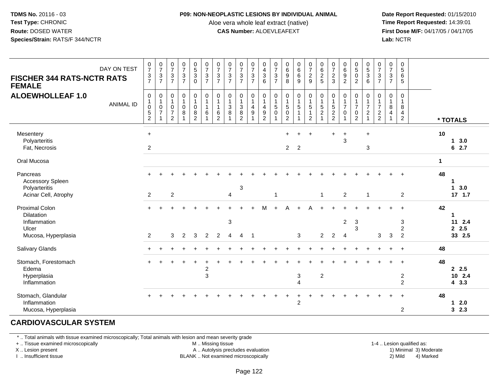#### **P09: NON-NEOPLASTIC LESIONS BY INDIVIDUAL ANIMAL**

Aloe vera whole leaf extract (native)<br>**CAS Number:** ALOEVLEAFEXT

 **Date Report Requested:** 01/15/2010 **First Dose M/F:** 04/17/05 / 04/17/05<br>**Lab:** NCTR **Lab:** NCTR

| <b>FISCHER 344 RATS-NCTR RATS</b><br><b>FEMALE</b>           | DAY ON TEST      | $\frac{0}{7}$<br>$\frac{3}{7}$                                                          | $\begin{array}{c} 0 \\ 7 \end{array}$<br>3<br>$\overline{7}$ | $\frac{0}{7}$<br>$\mathbf{3}$<br>$\overline{7}$ | $\frac{0}{7}$<br>$\ensuremath{\mathsf{3}}$<br>$\overline{7}$ | $\begin{array}{c} 0 \\ 5 \\ 3 \end{array}$<br>$\Omega$ | $\frac{0}{7}$<br>$\mathbf{3}$<br>$\overline{7}$ | $\frac{0}{7}$<br>$\ensuremath{\mathsf{3}}$<br>$\overline{7}$   | $\begin{smallmatrix}0\\7\end{smallmatrix}$<br>$\sqrt{3}$<br>$\overline{7}$ | $\frac{0}{7}$<br>$\ensuremath{\mathsf{3}}$<br>$\overline{7}$  | $\frac{0}{7}$<br>$\sqrt{3}$<br>$\overline{7}$ | $\pmb{0}$<br>$\frac{4}{3}$<br>6                           | $\frac{0}{7}$<br>$\mathsf 3$<br>$\overline{7}$  | $\begin{array}{c} 0 \\ 6 \\ 9 \end{array}$<br>8               | $0$<br>6<br>6<br>9                     | $\frac{0}{7}$<br>$\frac{2}{9}$                                                         |                                              | $\frac{0}{7}$<br>$\sqrt{2}$<br>3                                          | $\begin{array}{c} 0 \\ 6 \end{array}$<br>$\boldsymbol{9}$<br>$\overline{2}$ | $\begin{smallmatrix}0\5\0\end{smallmatrix}$<br>$\overline{2}$      | $\begin{array}{c} 0 \\ 5 \end{array}$<br>$\sqrt{3}$<br>6 | $\frac{0}{7}$<br>$\mathbf{3}$<br>$\overline{7}$        | $\frac{0}{7}$<br>$\mathbf{3}$<br>$\overline{7}$ | $\begin{array}{c} 0 \\ 5 \end{array}$<br>6<br>5         |              |                            |
|--------------------------------------------------------------|------------------|-----------------------------------------------------------------------------------------|--------------------------------------------------------------|-------------------------------------------------|--------------------------------------------------------------|--------------------------------------------------------|-------------------------------------------------|----------------------------------------------------------------|----------------------------------------------------------------------------|---------------------------------------------------------------|-----------------------------------------------|-----------------------------------------------------------|-------------------------------------------------|---------------------------------------------------------------|----------------------------------------|----------------------------------------------------------------------------------------|----------------------------------------------|---------------------------------------------------------------------------|-----------------------------------------------------------------------------|--------------------------------------------------------------------|----------------------------------------------------------|--------------------------------------------------------|-------------------------------------------------|---------------------------------------------------------|--------------|----------------------------|
| <b>ALOEWHOLLEAF 1.0</b>                                      | <b>ANIMAL ID</b> | $\pmb{0}$<br>$\begin{smallmatrix}1\0\end{smallmatrix}$<br>$\,$ 5 $\,$<br>$\overline{2}$ | 0<br>$\mathbf{1}$<br>$\mathbf 0$<br>$\overline{7}$           | 0<br>$\mathbf{1}$<br>0<br>$\overline{7}$<br>2   | $\pmb{0}$<br>$\mathbf{1}$<br>$\pmb{0}$<br>$\,8\,$            | 0<br>$\mathbf{1}$<br>$\mathbf 0$<br>$\,8\,$<br>2       | $\pmb{0}$<br>$\mathbf{1}$<br>$\mathbf{1}$<br>6  | 0<br>$\mathbf{1}$<br>$\mathbf{1}$<br>$\,6\,$<br>$\overline{2}$ | $\pmb{0}$<br>$\mathbf{1}$<br>$\mathfrak{Z}$<br>8                           | $\mathbf 0$<br>$\mathbf{1}$<br>$\overline{3}$<br>$\bf 8$<br>2 | 0<br>$\mathbf{1}$<br>$\overline{4}$<br>9      | $\mathbf 0$<br>$\overline{1}$<br>$\overline{4}$<br>9<br>2 | 0<br>$\mathbf{1}$<br>$\overline{5}$<br>$\Omega$ | $\pmb{0}$<br>$\mathbf{1}$<br>$\overline{5}$<br>$\pmb{0}$<br>2 | 0<br>$\mathbf{1}$<br>$\overline{5}$    | $\pmb{0}$<br>$\begin{array}{c} 1 \\ 5 \end{array}$<br>$\overline{1}$<br>$\overline{2}$ | $\pmb{0}$<br>$\frac{1}{5}$<br>$\overline{2}$ | 0<br>$\mathbf{1}$<br>$\overline{5}$<br>$\boldsymbol{2}$<br>$\overline{2}$ | $\pmb{0}$<br>$\overline{1}$<br>$\overline{7}$<br>$\Omega$                   | 0<br>$\mathbf{1}$<br>$\overline{7}$<br>$\pmb{0}$<br>$\overline{2}$ | $\mathbf 0$<br>$\frac{1}{7}$<br>$\boldsymbol{2}$         | 0<br>$\overline{1}$<br>$\overline{7}$<br>$\frac{2}{2}$ | 0<br>$\mathbf{1}$<br>8<br>4                     | $\mathbf 0$<br>$\mathbf{1}$<br>8<br>4<br>$\overline{2}$ |              | * TOTALS                   |
| Mesentery<br>Polyarteritis<br>Fat, Necrosis                  |                  | $\ddot{}$<br>$\overline{2}$                                                             |                                                              |                                                 |                                                              |                                                        |                                                 |                                                                |                                                                            |                                                               |                                               |                                                           |                                                 | +<br>2 <sup>1</sup>                                           | $\overline{2}$                         |                                                                                        |                                              | ÷                                                                         | $\ddot{}$<br>3                                                              |                                                                    | $\ddot{}$<br>$\mathbf{3}$                                |                                                        |                                                 |                                                         | 10           | $1 \quad 3.0$<br>62.7      |
| Oral Mucosa                                                  |                  |                                                                                         |                                                              |                                                 |                                                              |                                                        |                                                 |                                                                |                                                                            |                                                               |                                               |                                                           |                                                 |                                                               |                                        |                                                                                        |                                              |                                                                           |                                                                             |                                                                    |                                                          |                                                        |                                                 |                                                         | $\mathbf{1}$ |                            |
| Pancreas<br>Accessory Spleen<br>Polyarteritis                |                  |                                                                                         |                                                              |                                                 |                                                              |                                                        |                                                 |                                                                |                                                                            | 3                                                             |                                               |                                                           |                                                 |                                                               |                                        |                                                                                        |                                              |                                                                           |                                                                             |                                                                    |                                                          |                                                        |                                                 |                                                         | 48           | -1<br>$\mathbf 1$<br>3.0   |
| Acinar Cell, Atrophy                                         |                  | $\overline{2}$                                                                          |                                                              | $\overline{2}$                                  |                                                              |                                                        |                                                 |                                                                | $\overline{4}$                                                             |                                                               |                                               |                                                           | $\mathbf{1}$                                    |                                                               |                                        |                                                                                        | $\mathbf{1}$                                 |                                                                           | $\overline{c}$                                                              |                                                                    | $\mathbf{1}$                                             |                                                        |                                                 | $\overline{2}$                                          |              | $17$ 1.7                   |
| <b>Proximal Colon</b><br>Dilatation<br>Inflammation<br>Ulcer |                  |                                                                                         |                                                              |                                                 |                                                              |                                                        |                                                 |                                                                | $\sqrt{3}$                                                                 |                                                               |                                               | м                                                         |                                                 | Δ                                                             |                                        |                                                                                        |                                              |                                                                           | $\overline{2}$                                                              | $\mathbf{3}$<br>3                                                  |                                                          |                                                        |                                                 | 3<br>$\overline{2}$                                     | 42           | -1<br>11 2.4<br>2.5        |
| Mucosa, Hyperplasia                                          |                  | $\overline{2}$                                                                          |                                                              | 3                                               | $\overline{2}$                                               | 3                                                      | $\overline{2}$                                  | $\overline{2}$                                                 | 4                                                                          | 4                                                             | -1                                            |                                                           |                                                 |                                                               | 3                                      |                                                                                        | $\overline{2}$                               | $\overline{2}$                                                            | 4                                                                           |                                                                    |                                                          | 3                                                      | 3                                               | $\overline{2}$                                          |              | 33 2.5                     |
| <b>Salivary Glands</b>                                       |                  |                                                                                         |                                                              |                                                 |                                                              |                                                        |                                                 |                                                                |                                                                            |                                                               |                                               |                                                           |                                                 |                                                               |                                        |                                                                                        |                                              |                                                                           |                                                                             |                                                                    |                                                          |                                                        |                                                 |                                                         | 48           |                            |
| Stomach, Forestomach<br>Edema<br>Hyperplasia<br>Inflammation |                  |                                                                                         |                                                              |                                                 |                                                              |                                                        | $\overline{\mathbf{c}}$<br>$\mathbf{3}$         |                                                                |                                                                            |                                                               |                                               |                                                           |                                                 |                                                               | $\mathbf{3}$<br>$\boldsymbol{\Lambda}$ |                                                                                        | $\overline{2}$                               |                                                                           |                                                                             |                                                                    |                                                          |                                                        |                                                 | $\overline{c}$<br>2                                     | 48           | 2.5<br>10 2.4<br>43.3      |
| Stomach, Glandular<br>Inflammation<br>Mucosa, Hyperplasia    |                  |                                                                                         |                                                              |                                                 |                                                              |                                                        |                                                 |                                                                |                                                                            |                                                               |                                               |                                                           |                                                 |                                                               | $\overline{2}$                         |                                                                                        |                                              |                                                                           |                                                                             |                                                                    |                                                          |                                                        |                                                 | $\overline{2}$                                          | 48           | 2.0<br>$\mathbf 1$<br>32.3 |

## **CARDIOVASCULAR SYSTEM**

\* .. Total animals with tissue examined microscopically; Total animals with lesion and mean severity grade

+ .. Tissue examined microscopically

X .. Lesion present

I .. Insufficient tissue

M .. Missing tissue

A .. Autolysis precludes evaluation

BLANK .. Not examined microscopically 2) Mild 4) Marked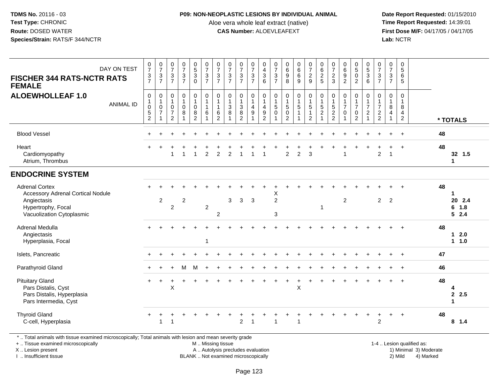#### **P09: NON-NEOPLASTIC LESIONS BY INDIVIDUAL ANIMAL**

Aloe vera whole leaf extract (native)<br>**CAS Number:** ALOEVLEAFEXT

 **Date Report Requested:** 01/15/2010 **First Dose M/F:** 04/17/05 / 04/17/05<br>**Lab:** NCTR **Lab:** NCTR

| DAY ON TEST<br><b>FISCHER 344 RATS-NCTR RATS</b><br><b>FEMALE</b>                                                            | $\begin{smallmatrix}0\\7\end{smallmatrix}$<br>$\frac{3}{7}$                             | $\frac{0}{7}$<br>3<br>$\overline{7}$               | $\frac{0}{7}$<br>$\frac{3}{7}$                                         | $\frac{0}{7}$<br>$\frac{3}{7}$      | $\begin{array}{c} 0 \\ 5 \\ 3 \end{array}$<br>$\mathbf 0$               | $\frac{0}{7}$<br>$\frac{3}{7}$                                           | $\frac{0}{7}$<br>$\mathbf{3}$<br>$\overline{7}$                | $\frac{0}{7}$<br>$\frac{3}{7}$                                     | $\frac{0}{7}$<br>$\frac{3}{7}$                                           | $\frac{0}{7}$<br>$\frac{3}{7}$                                   | 0<br>$\overline{4}$<br>$\overline{3}$<br>6                             | $\frac{0}{7}$<br>$\mathbf{3}$<br>$\overline{7}$             | $\begin{matrix} 0 \\ 6 \\ 9 \end{matrix}$<br>8                                 | 0<br>6<br>9                                              | $\frac{0}{7}$<br>$\frac{2}{9}$                                             | 0625                                                                       | $\frac{0}{7}$<br>$\sqrt{2}$<br>3                                          | $\begin{matrix} 0 \\ 6 \\ 9 \end{matrix}$<br>$\overline{2}$                | $\begin{smallmatrix}0\5\0\end{smallmatrix}$<br>$\overline{2}$                | 0<br>5<br>3<br>6                                       | $\frac{0}{7}$<br>$rac{3}{7}$                                                      | $\frac{0}{7}$<br>$\mathsf 3$<br>$\overline{7}$                         | 0<br>$\overline{5}$<br>6<br>5                                        |    |                              |
|------------------------------------------------------------------------------------------------------------------------------|-----------------------------------------------------------------------------------------|----------------------------------------------------|------------------------------------------------------------------------|-------------------------------------|-------------------------------------------------------------------------|--------------------------------------------------------------------------|----------------------------------------------------------------|--------------------------------------------------------------------|--------------------------------------------------------------------------|------------------------------------------------------------------|------------------------------------------------------------------------|-------------------------------------------------------------|--------------------------------------------------------------------------------|----------------------------------------------------------|----------------------------------------------------------------------------|----------------------------------------------------------------------------|---------------------------------------------------------------------------|----------------------------------------------------------------------------|------------------------------------------------------------------------------|--------------------------------------------------------|-----------------------------------------------------------------------------------|------------------------------------------------------------------------|----------------------------------------------------------------------|----|------------------------------|
| <b>ALOEWHOLLEAF 1.0</b><br><b>ANIMAL ID</b>                                                                                  | $\pmb{0}$<br>$\begin{smallmatrix}1\\0\end{smallmatrix}$<br>$\sqrt{5}$<br>$\overline{2}$ | 0<br>$\mathbf{1}$<br>$\mathbf 0$<br>$\overline{7}$ | 0<br>$\mathbf{1}$<br>$\mathbf 0$<br>$\boldsymbol{7}$<br>$\overline{2}$ | $\pmb{0}$<br>$\mathbf{1}$<br>0<br>8 | $\mathbf 0$<br>$\mathbf{1}$<br>$\mathbf 0$<br>$\bf 8$<br>$\overline{2}$ | $\pmb{0}$<br>$\overline{1}$<br>$\mathbf{1}$<br>$\,6\,$<br>$\overline{1}$ | 0<br>$\mathbf{1}$<br>$\mathbf{1}$<br>$\,6\,$<br>$\overline{2}$ | $\pmb{0}$<br>$\mathbf{1}$<br>$\sqrt{3}$<br>$\bf 8$<br>$\mathbf{1}$ | $\mathsf{O}\xspace$<br>$\mathbf{1}$<br>$\sqrt{3}$<br>8<br>$\overline{2}$ | 0<br>$\mathbf{1}$<br>$\overline{\mathbf{4}}$<br>$\boldsymbol{9}$ | $\mathbf 0$<br>$\mathbf{1}$<br>$\overline{a}$<br>$\boldsymbol{9}$<br>2 | $\pmb{0}$<br>$\mathbf{1}$<br>$\sqrt{5}$<br>$\mathbf 0$<br>1 | $\mathbf 0$<br>$\mathbf{1}$<br>$\overline{5}$<br>$\mathbf 0$<br>$\overline{2}$ | $\mathsf{O}\xspace$<br>$\mathbf{1}$<br>5<br>$\mathbf{1}$ | $\pmb{0}$<br>$\mathbf{1}$<br>$\,$ 5 $\,$<br>$\mathbf{1}$<br>$\overline{2}$ | $\pmb{0}$<br>$\overline{1}$<br>$\,$ 5 $\,$<br>$\sqrt{2}$<br>$\overline{1}$ | $\pmb{0}$<br>$\overline{1}$<br>$\sqrt{5}$<br>$\sqrt{2}$<br>$\overline{2}$ | $\pmb{0}$<br>$\mathbf{1}$<br>$\overline{7}$<br>$\pmb{0}$<br>$\overline{1}$ | $\mathbf 0$<br>$\mathbf{1}$<br>$\overline{7}$<br>$\pmb{0}$<br>$\overline{2}$ | 0<br>$\frac{1}{7}$<br>$\boldsymbol{2}$<br>$\mathbf{1}$ | $\pmb{0}$<br>$\mathbf{1}$<br>$\overline{7}$<br>$\boldsymbol{2}$<br>$\overline{2}$ | $\mathbf 0$<br>$\overline{1}$<br>8<br>$\overline{a}$<br>$\overline{1}$ | $\pmb{0}$<br>$\overline{1}$<br>8<br>$\overline{4}$<br>$\overline{2}$ |    | * TOTALS                     |
| <b>Blood Vessel</b>                                                                                                          |                                                                                         |                                                    |                                                                        |                                     |                                                                         |                                                                          |                                                                |                                                                    |                                                                          |                                                                  |                                                                        |                                                             |                                                                                |                                                          |                                                                            |                                                                            |                                                                           |                                                                            |                                                                              |                                                        |                                                                                   |                                                                        | $\ddot{}$                                                            | 48 |                              |
| Heart<br>Cardiomyopathy<br>Atrium, Thrombus                                                                                  |                                                                                         |                                                    |                                                                        | $\overline{\mathbf{1}}$             | $\overline{1}$                                                          | 2                                                                        | $\overline{2}$                                                 | $\overline{2}$                                                     | $\overline{1}$                                                           |                                                                  | $\overline{1}$                                                         |                                                             | $\overline{2}$                                                                 | $\overline{2}$                                           | 3                                                                          |                                                                            |                                                                           | -1                                                                         |                                                                              |                                                        | $\overline{c}$                                                                    | -1                                                                     | $\ddot{}$                                                            | 48 | 32 1.5<br>1                  |
| <b>ENDOCRINE SYSTEM</b>                                                                                                      |                                                                                         |                                                    |                                                                        |                                     |                                                                         |                                                                          |                                                                |                                                                    |                                                                          |                                                                  |                                                                        |                                                             |                                                                                |                                                          |                                                                            |                                                                            |                                                                           |                                                                            |                                                                              |                                                        |                                                                                   |                                                                        |                                                                      |    |                              |
| <b>Adrenal Cortex</b><br>Accessory Adrenal Cortical Nodule<br>Angiectasis<br>Hypertrophy, Focal<br>Vacuolization Cytoplasmic |                                                                                         | $\overline{c}$                                     | $\overline{2}$                                                         | $\overline{2}$                      |                                                                         | $\overline{2}$                                                           | $\sqrt{2}$                                                     | 3                                                                  | 3                                                                        | 3                                                                |                                                                        | X<br>$\overline{2}$<br>3                                    |                                                                                |                                                          |                                                                            | $\mathbf 1$                                                                |                                                                           | $\overline{2}$                                                             |                                                                              |                                                        | $\overline{2}$                                                                    | 2                                                                      |                                                                      | 48 | 1<br>20 2.4<br>6 1.8<br>52.4 |
| Adrenal Medulla<br>Angiectasis<br>Hyperplasia, Focal                                                                         |                                                                                         |                                                    |                                                                        |                                     |                                                                         | $\overline{\mathbf{1}}$                                                  |                                                                |                                                                    |                                                                          |                                                                  |                                                                        |                                                             |                                                                                |                                                          |                                                                            |                                                                            |                                                                           |                                                                            |                                                                              |                                                        |                                                                                   |                                                                        |                                                                      | 48 | $1 2.0$<br>1 1.0             |
| Islets, Pancreatic                                                                                                           |                                                                                         |                                                    |                                                                        |                                     |                                                                         |                                                                          |                                                                |                                                                    |                                                                          |                                                                  |                                                                        |                                                             |                                                                                |                                                          |                                                                            |                                                                            |                                                                           |                                                                            |                                                                              |                                                        |                                                                                   |                                                                        |                                                                      | 47 |                              |
| Parathyroid Gland                                                                                                            |                                                                                         |                                                    |                                                                        | M                                   | M                                                                       |                                                                          |                                                                |                                                                    |                                                                          |                                                                  |                                                                        |                                                             |                                                                                |                                                          |                                                                            |                                                                            |                                                                           |                                                                            |                                                                              |                                                        |                                                                                   |                                                                        |                                                                      | 46 |                              |
| <b>Pituitary Gland</b><br>Pars Distalis, Cyst<br>Pars Distalis, Hyperplasia<br>Pars Intermedia, Cyst                         | $\pm$                                                                                   |                                                    | $\times$                                                               |                                     |                                                                         |                                                                          |                                                                |                                                                    |                                                                          |                                                                  |                                                                        |                                                             |                                                                                | X                                                        |                                                                            |                                                                            |                                                                           |                                                                            |                                                                              |                                                        |                                                                                   |                                                                        |                                                                      | 48 | 4<br>2.5<br>1                |
| <b>Thyroid Gland</b><br>C-cell, Hyperplasia                                                                                  |                                                                                         | $\overline{1}$                                     |                                                                        |                                     |                                                                         |                                                                          |                                                                |                                                                    | $\overline{2}$                                                           | $\overline{1}$                                                   |                                                                        | 1                                                           |                                                                                | $\mathbf 1$                                              |                                                                            |                                                                            |                                                                           |                                                                            |                                                                              |                                                        | 2                                                                                 |                                                                        |                                                                      | 48 | $8 \t1.4$                    |

\* .. Total animals with tissue examined microscopically; Total animals with lesion and mean severity grade

+ .. Tissue examined microscopically

X .. Lesion present

I .. Insufficient tissue

 M .. Missing tissueA .. Autolysis precludes evaluation

BLANK .. Not examined microscopically 2) Mild 4) Marked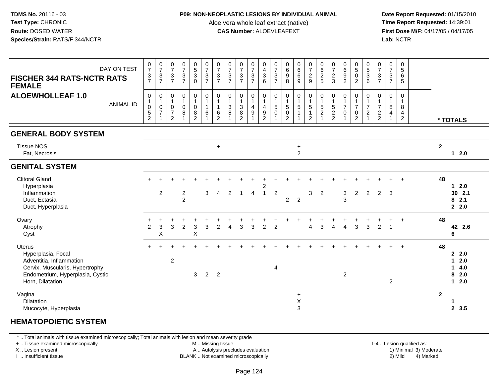#### **P09: NON-NEOPLASTIC LESIONS BY INDIVIDUAL ANIMAL**

Aloe vera whole leaf extract (native)<br>**CAS Number:** ALOEVLEAFEXT

 **Date Report Requested:** 01/15/2010 **First Dose M/F:** 04/17/05 / 04/17/05<br>**Lab:** NCTR **Lab:** NCTR

| <b>FISCHER 344 RATS-NCTR RATS</b><br><b>FEMALE</b><br><b>ALOEWHOLLEAF 1.0</b>                                                                              | DAY ON TEST<br><b>ANIMAL ID</b> | $\frac{0}{7}$<br>$\frac{3}{7}$<br>$\pmb{0}$<br>$\mathbf{1}$<br>$\pmb{0}$<br>$\overline{5}$<br>$\overline{c}$ | $\frac{0}{7}$<br>$\frac{3}{7}$<br>0<br>$\mathbf{1}$<br>$\mathbf 0$<br>$\overline{7}$ | $07/3$<br>7<br>$\boldsymbol{0}$<br>$\overline{1}$<br>$\mathsf{O}\xspace$<br>$\overline{7}$<br>$\overline{2}$ | $\begin{array}{c} 0 \\ 7 \\ 3 \end{array}$<br>$\overline{7}$<br>$\pmb{0}$<br>$\mathbf 1$<br>$\pmb{0}$<br>$\, 8$ | $\begin{array}{c} 0 \\ 5 \\ 3 \end{array}$<br>$\mathbf 0$<br>0<br>1<br>0<br>$\bf 8$<br>$\overline{2}$ | 07/3/7<br>$\pmb{0}$<br>$\mathbf{1}$<br>$\mathbf{1}$<br>$\,6\,$ | $\begin{array}{c} 0 \\ 7 \end{array}$<br>$\frac{3}{7}$<br>$\pmb{0}$<br>$\mathbf{1}$<br>$\mathbf{1}$<br>6<br>$\overline{c}$ | $\frac{0}{7}$<br>$\mathbf{3}$<br>$\overline{7}$<br>$\pmb{0}$<br>$\mathbf{1}$<br>$\mathbf{3}$<br>8 | $\frac{0}{7}$<br>$\sqrt{3}$<br>$\overline{7}$<br>$\boldsymbol{0}$<br>$\frac{1}{3}$<br>$\, 8$<br>$\overline{2}$ | $\frac{0}{7}$<br>$\mathbf{3}$<br>$\overline{7}$<br>0<br>$\mathbf{1}$<br>4<br>9 | 0<br>$\frac{4}{3}$<br>$6\phantom{1}$<br>$\,0\,$<br>$\mathbf{1}$<br>$\overline{\mathbf{4}}$<br>$\boldsymbol{9}$<br>$\overline{c}$ | $\frac{0}{7}$<br>$\mathbf{3}$<br>$\overline{7}$<br>0<br>$\mathbf{1}$<br>5<br>$\mathbf 0$ | $\begin{array}{c} 0 \\ 6 \\ 9 \end{array}$<br>8<br>$\pmb{0}$<br>$\mathbf{1}$<br>5<br>$\mathsf 0$<br>$\overline{2}$ | $\begin{matrix} 0 \\ 6 \\ 6 \end{matrix}$<br>$\overline{9}$<br>$\pmb{0}$<br>$\mathbf{1}$<br>$\overline{5}$ | 0729<br>$\frac{0}{1}$<br>$\frac{1}{5}$<br>$\overline{2}$ | 0625<br>$\begin{array}{c} 0 \\ 1 \\ 5 \end{array}$<br>$\overline{2}$<br>1 | $\frac{0}{7}$<br>$\overline{c}$<br>3<br>0<br>$\frac{1}{5}$<br>$\boldsymbol{2}$<br>$\overline{2}$ | $\begin{array}{c} 0 \\ 6 \\ 9 \end{array}$<br>$\overline{c}$<br>$\pmb{0}$<br>$\frac{1}{7}$<br>0 | $0$<br>$5$<br>$0$<br>$\overline{2}$<br>$\mathbf 0$<br>$\mathbf{1}$<br>$\overline{7}$<br>$\pmb{0}$<br>$\overline{2}$ | $\begin{array}{c} 0 \\ 5 \\ 3 \end{array}$<br>6<br>0<br>$\frac{1}{7}$<br>$\boldsymbol{2}$ | $\frac{0}{7}$<br>$\frac{3}{7}$<br>0<br>$\mathbf{1}$<br>$\overline{7}$<br>$\frac{2}{2}$ | $\frac{0}{7}$<br>$\sqrt{3}$<br>$\overline{7}$<br>$\pmb{0}$<br>$\mathbf{1}$<br>8<br>4<br>1 | $\pmb{0}$<br>$\sqrt{5}$<br>6<br>5<br>$\mathbf 0$<br>$\overline{1}$<br>8<br>4<br>$\overline{2}$ |                |                                          |
|------------------------------------------------------------------------------------------------------------------------------------------------------------|---------------------------------|--------------------------------------------------------------------------------------------------------------|--------------------------------------------------------------------------------------|--------------------------------------------------------------------------------------------------------------|-----------------------------------------------------------------------------------------------------------------|-------------------------------------------------------------------------------------------------------|----------------------------------------------------------------|----------------------------------------------------------------------------------------------------------------------------|---------------------------------------------------------------------------------------------------|----------------------------------------------------------------------------------------------------------------|--------------------------------------------------------------------------------|----------------------------------------------------------------------------------------------------------------------------------|------------------------------------------------------------------------------------------|--------------------------------------------------------------------------------------------------------------------|------------------------------------------------------------------------------------------------------------|----------------------------------------------------------|---------------------------------------------------------------------------|--------------------------------------------------------------------------------------------------|-------------------------------------------------------------------------------------------------|---------------------------------------------------------------------------------------------------------------------|-------------------------------------------------------------------------------------------|----------------------------------------------------------------------------------------|-------------------------------------------------------------------------------------------|------------------------------------------------------------------------------------------------|----------------|------------------------------------------|
| <b>GENERAL BODY SYSTEM</b>                                                                                                                                 |                                 |                                                                                                              |                                                                                      |                                                                                                              |                                                                                                                 |                                                                                                       |                                                                |                                                                                                                            |                                                                                                   |                                                                                                                |                                                                                |                                                                                                                                  |                                                                                          |                                                                                                                    |                                                                                                            |                                                          |                                                                           |                                                                                                  |                                                                                                 |                                                                                                                     |                                                                                           |                                                                                        |                                                                                           |                                                                                                |                | * TOTALS                                 |
| <b>Tissue NOS</b><br>Fat, Necrosis                                                                                                                         |                                 |                                                                                                              |                                                                                      |                                                                                                              |                                                                                                                 |                                                                                                       |                                                                | $\ddot{}$                                                                                                                  |                                                                                                   |                                                                                                                |                                                                                |                                                                                                                                  |                                                                                          |                                                                                                                    | $\ddot{}$<br>$\overline{2}$                                                                                |                                                          |                                                                           |                                                                                                  |                                                                                                 |                                                                                                                     |                                                                                           |                                                                                        |                                                                                           |                                                                                                | $\overline{2}$ | $12.0$                                   |
| <b>GENITAL SYSTEM</b>                                                                                                                                      |                                 |                                                                                                              |                                                                                      |                                                                                                              |                                                                                                                 |                                                                                                       |                                                                |                                                                                                                            |                                                                                                   |                                                                                                                |                                                                                |                                                                                                                                  |                                                                                          |                                                                                                                    |                                                                                                            |                                                          |                                                                           |                                                                                                  |                                                                                                 |                                                                                                                     |                                                                                           |                                                                                        |                                                                                           |                                                                                                |                |                                          |
| <b>Clitoral Gland</b><br>Hyperplasia<br>Inflammation<br>Duct, Ectasia<br>Duct, Hyperplasia                                                                 |                                 | $+$                                                                                                          | 2                                                                                    |                                                                                                              | $\boldsymbol{2}$<br>$\overline{2}$                                                                              |                                                                                                       | 3                                                              | $\overline{4}$                                                                                                             | $\overline{2}$                                                                                    | $\overline{1}$                                                                                                 | $\overline{4}$                                                                 | 2<br>$\mathbf{1}$                                                                                                                | $\overline{2}$                                                                           | $\overline{2}$                                                                                                     | $\overline{2}$                                                                                             | 3                                                        | $\overline{2}$                                                            |                                                                                                  | 3<br>$\mathbf{3}$                                                                               | $\overline{2}$                                                                                                      | 2                                                                                         | 2                                                                                      | 3                                                                                         |                                                                                                | 48             | $12.0$<br>30 2.1<br>82.1<br>2.2.0        |
| Ovary<br>Atrophy<br>Cyst                                                                                                                                   |                                 | $\ddot{}$<br>$\overline{2}$                                                                                  | 3<br>$\sf X$                                                                         | 3                                                                                                            | $\overline{c}$                                                                                                  | 3<br>X                                                                                                | 3                                                              | $\overline{2}$                                                                                                             | 4                                                                                                 | 3                                                                                                              | 3                                                                              | $\overline{2}$                                                                                                                   | $\overline{2}$                                                                           |                                                                                                                    |                                                                                                            | 4                                                        | 3                                                                         | $\overline{4}$                                                                                   | $\overline{4}$                                                                                  | 3                                                                                                                   | $\overline{3}$                                                                            | $\overline{2}$                                                                         | $\overline{1}$                                                                            | $+$                                                                                            | 48             | 42 2.6<br>6                              |
| <b>Uterus</b><br>Hyperplasia, Focal<br>Adventitia, Inflammation<br>Cervix, Muscularis, Hypertrophy<br>Endometrium, Hyperplasia, Cystic<br>Horn, Dilatation |                                 |                                                                                                              |                                                                                      | $\overline{c}$                                                                                               |                                                                                                                 | 3                                                                                                     | $\overline{2}$                                                 | $\overline{2}$                                                                                                             |                                                                                                   |                                                                                                                |                                                                                |                                                                                                                                  | $\overline{4}$                                                                           |                                                                                                                    |                                                                                                            |                                                          |                                                                           |                                                                                                  | $\overline{2}$                                                                                  |                                                                                                                     |                                                                                           |                                                                                        | 2                                                                                         | $\ddot{}$                                                                                      | 48             | 22.0<br>$12.0$<br>14.0<br>82.0<br>$12.0$ |
| Vagina<br><b>Dilatation</b><br>Mucocyte, Hyperplasia                                                                                                       |                                 |                                                                                                              |                                                                                      |                                                                                                              |                                                                                                                 |                                                                                                       |                                                                |                                                                                                                            |                                                                                                   |                                                                                                                |                                                                                |                                                                                                                                  |                                                                                          |                                                                                                                    | $\ddot{}$<br>X<br>3                                                                                        |                                                          |                                                                           |                                                                                                  |                                                                                                 |                                                                                                                     |                                                                                           |                                                                                        |                                                                                           |                                                                                                | $\mathbf{2}$   | 1<br>2, 3.5                              |

## **HEMATOPOIETIC SYSTEM**

\* .. Total animals with tissue examined microscopically; Total animals with lesion and mean severity grade

+ .. Tissue examined microscopically

X .. Lesion present

I .. Insufficient tissue

M .. Missing tissue

A .. Autolysis precludes evaluation

BLANK .. Not examined microscopically 2) Mild 4) Marked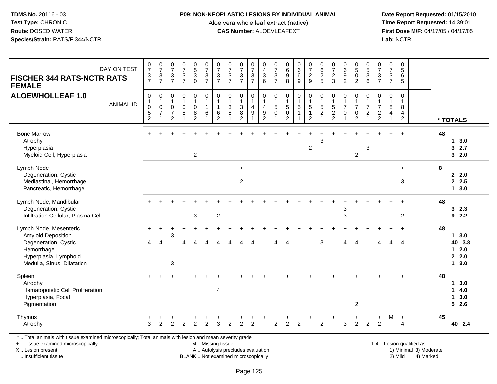### **P09: NON-NEOPLASTIC LESIONS BY INDIVIDUAL ANIMAL**

Aloe vera whole leaf extract (native)<br>**CAS Number:** ALOEVLEAFEXT

 **Date Report Requested:** 01/15/2010 **First Dose M/F:** 04/17/05 / 04/17/05<br>Lab: NCTR **Lab:** NCTR

| <b>FISCHER 344 RATS-NCTR RATS</b><br><b>FEMALE</b>                                                                                                                  | DAY ON TEST      | $\frac{0}{7}$<br>$\frac{3}{7}$                                          | $\frac{0}{7}$<br>$\frac{3}{7}$                                       | 0<br>$\overline{7}$<br>$\sqrt{3}$<br>$\overline{7}$       | $\frac{0}{7}$<br>$\frac{3}{7}$                              | $\begin{array}{c} 0 \\ 5 \\ 3 \end{array}$<br>$\overline{0}$ | $\frac{0}{7}$<br>$\frac{3}{7}$              | $\frac{0}{7}$<br>$\frac{3}{7}$                           | $\pmb{0}$<br>$\overline{7}$<br>$\frac{3}{7}$ | $\frac{0}{7}$<br>$\frac{3}{7}$                                                        | $\frac{0}{7}$<br>$\sqrt{3}$<br>$\overline{7}$ | 0<br>$\overline{\mathbf{4}}$<br>$\ensuremath{\mathsf{3}}$<br>6           | 0<br>$\overline{7}$<br>$\frac{3}{7}$ | $\pmb{0}$<br>$\,6\,$<br>$\boldsymbol{9}$<br>$\overline{8}$               | $\begin{matrix} 0 \\ 6 \\ 6 \end{matrix}$<br>$\overline{9}$ | $\frac{0}{7}$<br>$\frac{2}{9}$                                 | $\pmb{0}$<br>$\,6\,$<br>$\frac{2}{5}$                                       | $\begin{array}{c} 0 \\ 7 \end{array}$<br>$\frac{2}{3}$          | $\pmb{0}$<br>6<br>$\frac{9}{2}$                    | $^{\rm 0}_{\rm 5}$<br>$\pmb{0}$<br>$\overline{2}$                  | $\begin{array}{c} 0 \\ 5 \end{array}$<br>$\ensuremath{\mathsf{3}}$<br>6      | $\frac{0}{7}$<br>$\frac{3}{7}$                                      | $\frac{0}{7}$<br>3<br>$\overline{7}$ | $\begin{array}{c} 0 \\ 5 \end{array}$<br>6<br>5                            |                                                     |    |                                                               |
|---------------------------------------------------------------------------------------------------------------------------------------------------------------------|------------------|-------------------------------------------------------------------------|----------------------------------------------------------------------|-----------------------------------------------------------|-------------------------------------------------------------|--------------------------------------------------------------|---------------------------------------------|----------------------------------------------------------|----------------------------------------------|---------------------------------------------------------------------------------------|-----------------------------------------------|--------------------------------------------------------------------------|--------------------------------------|--------------------------------------------------------------------------|-------------------------------------------------------------|----------------------------------------------------------------|-----------------------------------------------------------------------------|-----------------------------------------------------------------|----------------------------------------------------|--------------------------------------------------------------------|------------------------------------------------------------------------------|---------------------------------------------------------------------|--------------------------------------|----------------------------------------------------------------------------|-----------------------------------------------------|----|---------------------------------------------------------------|
| <b>ALOEWHOLLEAF 1.0</b>                                                                                                                                             | <b>ANIMAL ID</b> | $\pmb{0}$<br>$\mathbf{1}$<br>$\pmb{0}$<br>$\mathbf 5$<br>$\overline{2}$ | 0<br>$\mathbf{1}$<br>$\mathsf 0$<br>$\overline{7}$<br>$\overline{1}$ | 0<br>$\mathbf 1$<br>0<br>$\overline{7}$<br>$\overline{2}$ | $\mathsf{O}\xspace$<br>$\mathbf{1}$<br>$\pmb{0}$<br>$\bf 8$ | 0<br>$\mathbf{1}$<br>$\pmb{0}$<br>$\,8\,$<br>$\overline{2}$  | 0<br>$\mathbf{1}$<br>$\mathbf{1}$<br>6<br>1 | 0<br>$\mathbf{1}$<br>$\mathbf{1}$<br>6<br>$\overline{2}$ | 0<br>$\mathbf{1}$<br>$\sqrt{3}$<br>8         | $\mathbf 0$<br>$\mathbf{1}$<br>$\ensuremath{\mathsf{3}}$<br>$\bf 8$<br>$\overline{2}$ | 0<br>$\mathbf{1}$<br>4<br>$\boldsymbol{9}$    | $\mathbf 0$<br>$\mathbf{1}$<br>$\overline{4}$<br>$9\,$<br>$\overline{2}$ | 0<br>1<br>$\mathbf 5$<br>$\mathbf 0$ | 0<br>$\mathbf{1}$<br>$\sqrt{5}$<br>$\mathsf{O}\xspace$<br>$\overline{2}$ | 0<br>$\mathbf{1}$<br>$\sqrt{5}$<br>$\mathbf{1}$             | $\mathbf 0$<br>$\mathbf{1}$<br>$\frac{5}{1}$<br>$\overline{2}$ | $\begin{smallmatrix}0\\1\end{smallmatrix}$<br>$\frac{5}{2}$<br>$\mathbf{1}$ | 0<br>$\mathbf{1}$<br>$\sqrt{5}$<br>$\sqrt{2}$<br>$\overline{2}$ | 0<br>$\mathbf{1}$<br>$\overline{7}$<br>$\mathbf 0$ | 0<br>$\mathbf{1}$<br>$\overline{7}$<br>$\pmb{0}$<br>$\overline{2}$ | $\mathbf 0$<br>$\mathbf 1$<br>$\overline{7}$<br>$\sqrt{2}$<br>$\overline{1}$ | 0<br>$\mathbf{1}$<br>$\overline{7}$<br>$\sqrt{2}$<br>$\overline{2}$ | 0<br>1<br>8<br>$\overline{4}$<br>1   | $\mathsf 0$<br>$\mathbf{1}$<br>$\bf 8$<br>$\overline{4}$<br>$\overline{2}$ |                                                     |    | * TOTALS                                                      |
| <b>Bone Marrow</b><br>Atrophy<br>Hyperplasia<br>Myeloid Cell, Hyperplasia                                                                                           |                  |                                                                         |                                                                      |                                                           |                                                             | $\overline{2}$                                               |                                             |                                                          |                                              |                                                                                       |                                               |                                                                          |                                      |                                                                          |                                                             | $\overline{c}$                                                 | 3                                                                           |                                                                 |                                                    | $\overline{2}$                                                     | 3                                                                            |                                                                     |                                      |                                                                            |                                                     | 48 | 3.0<br>$\mathbf 1$<br>32.7<br>32.0                            |
| Lymph Node<br>Degeneration, Cystic<br>Mediastinal, Hemorrhage<br>Pancreatic, Hemorrhage                                                                             |                  |                                                                         |                                                                      |                                                           |                                                             |                                                              |                                             |                                                          |                                              | $+$<br>2                                                                              |                                               |                                                                          |                                      |                                                                          |                                                             |                                                                | $+$                                                                         |                                                                 |                                                    |                                                                    |                                                                              |                                                                     |                                      | $\ddot{}$<br>3                                                             |                                                     | 8  | 2.2.0<br>2.5<br>$1 \quad 3.0$                                 |
| Lymph Node, Mandibular<br>Degeneration, Cystic<br>Infiltration Cellular, Plasma Cell                                                                                |                  |                                                                         |                                                                      |                                                           |                                                             | 3                                                            |                                             | $\sqrt{2}$                                               |                                              |                                                                                       |                                               |                                                                          |                                      |                                                                          |                                                             |                                                                |                                                                             |                                                                 | 3<br>3                                             |                                                                    |                                                                              |                                                                     |                                      | $\overline{c}$                                                             |                                                     | 48 | 32.3<br>92.2                                                  |
| Lymph Node, Mesenteric<br>Amyloid Deposition<br>Degeneration, Cystic<br>Hemorrhage<br>Hyperplasia, Lymphoid<br>Medulla, Sinus, Dilatation                           |                  | 4                                                                       | $\ddot{}$<br>$\overline{4}$                                          | 3<br>$\sqrt{3}$                                           | Λ                                                           | Δ                                                            |                                             |                                                          |                                              |                                                                                       | Δ                                             |                                                                          | Δ                                    | 4                                                                        |                                                             |                                                                | 3                                                                           |                                                                 | $\mathbf 4$                                        | $\boldsymbol{\Lambda}$                                             |                                                                              | Δ                                                                   | 4                                    | 4                                                                          |                                                     | 48 | 13.0<br>40 3.8<br>$12.0$<br>2.0<br>$1 \quad 3.0$              |
| Spleen<br>Atrophy<br>Hematopoietic Cell Proliferation<br>Hyperplasia, Focal<br>Pigmentation                                                                         |                  |                                                                         |                                                                      |                                                           |                                                             |                                                              |                                             | 4                                                        |                                              |                                                                                       |                                               |                                                                          |                                      |                                                                          |                                                             |                                                                |                                                                             |                                                                 |                                                    | $\overline{2}$                                                     |                                                                              |                                                                     |                                      |                                                                            |                                                     | 48 | $1 3.0$<br>4.0<br>$\mathbf{1}$<br>3.0<br>$\mathbf{1}$<br>52.6 |
| Thymus<br>Atrophy                                                                                                                                                   |                  | 3                                                                       | $\overline{2}$                                                       | 2                                                         | 2                                                           | $\overline{2}$                                               | 2                                           | 3                                                        | 2                                            | 2                                                                                     | $\overline{2}$                                |                                                                          | $\overline{2}$                       | $\overline{2}$                                                           | $\overline{2}$                                              |                                                                | $\overline{c}$                                                              |                                                                 | 3                                                  | $\overline{c}$                                                     | $\overline{c}$                                                               | $\overline{c}$                                                      | Μ                                    | $\ddot{}$<br>4                                                             |                                                     | 45 | 40 2.4                                                        |
| *  Total animals with tissue examined microscopically; Total animals with lesion and mean severity grade<br>+  Tissue examined microscopically<br>X  Lesion present |                  |                                                                         |                                                                      |                                                           |                                                             |                                                              | M  Missing tissue                           |                                                          | A  Autolysis precludes evaluation            |                                                                                       |                                               |                                                                          |                                      |                                                                          |                                                             |                                                                |                                                                             |                                                                 |                                                    |                                                                    |                                                                              |                                                                     |                                      |                                                                            | 1-4  Lesion qualified as:<br>1) Minimal 3) Moderate |    |                                                               |

I .. Insufficient tissue

BLANK .. Not examined microscopically and the contract of the contract of the contract of Modellin 2) Mild 4) Marked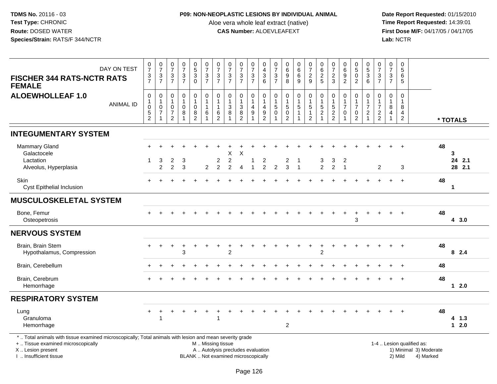### **P09: NON-NEOPLASTIC LESIONS BY INDIVIDUAL ANIMAL**

Aloe vera whole leaf extract (native)<br>**CAS Number:** ALOEVLEAFEXT

| DAY ON TEST<br><b>FISCHER 344 RATS-NCTR RATS</b><br><b>FEMALE</b>                                                                                                                            | $\frac{0}{7}$<br>$\frac{3}{7}$                              | $\frac{0}{7}$<br>$\frac{3}{7}$                             | $\frac{0}{7}$<br>$\frac{3}{7}$                                                          | $\frac{0}{7}$<br>$\frac{3}{7}$                                    | $\begin{array}{c} 0 \\ 5 \\ 3 \end{array}$<br>$\overline{0}$ | $07/3$<br>7                                               | $\frac{0}{7}$<br>$\frac{3}{7}$                               | $\frac{0}{7}$<br>$\mathbf{3}$<br>$\overline{7}$                          | $\frac{0}{7}$<br>$\frac{3}{7}$                                                  | 0<br>$\overline{7}$<br>$\sqrt{3}$<br>$\overline{7}$ | 0<br>$\overline{\mathbf{4}}$<br>$\sqrt{3}$<br>$\overline{6}$   | $\frac{0}{7}$<br>$\mathbf{3}$<br>$\overline{7}$ | $\begin{matrix} 0 \\ 6 \\ 9 \end{matrix}$<br>$\overline{8}$                            | $\begin{matrix} 0 \\ 6 \\ 6 \end{matrix}$<br>$\overline{9}$ | 0729                                                                      | 0625                | $\frac{0}{7}$<br>$\overline{c}$<br>3   | $\begin{array}{c} 0 \\ 6 \\ 9 \end{array}$<br>$\overline{2}$    | $0$<br>$5$<br>$0$<br>$\overline{2}$                                          | $\begin{array}{c} 0 \\ 5 \\ 3 \end{array}$<br>$6^{\circ}$ | $\frac{0}{7}$<br>$\frac{3}{7}$                                   | 0<br>$\overline{7}$<br>3<br>$\overline{7}$                         | 0<br>$\overline{5}$<br>6<br>5              |                                                                  |    |                       |
|----------------------------------------------------------------------------------------------------------------------------------------------------------------------------------------------|-------------------------------------------------------------|------------------------------------------------------------|-----------------------------------------------------------------------------------------|-------------------------------------------------------------------|--------------------------------------------------------------|-----------------------------------------------------------|--------------------------------------------------------------|--------------------------------------------------------------------------|---------------------------------------------------------------------------------|-----------------------------------------------------|----------------------------------------------------------------|-------------------------------------------------|----------------------------------------------------------------------------------------|-------------------------------------------------------------|---------------------------------------------------------------------------|---------------------|----------------------------------------|-----------------------------------------------------------------|------------------------------------------------------------------------------|-----------------------------------------------------------|------------------------------------------------------------------|--------------------------------------------------------------------|--------------------------------------------|------------------------------------------------------------------|----|-----------------------|
| <b>ALOEWHOLLEAF 1.0</b><br><b>ANIMAL ID</b>                                                                                                                                                  | $\mathbf 0$<br>$\mathbf{1}$<br>$\mathbf 0$<br>$\frac{5}{2}$ | $\pmb{0}$<br>$\mathbf{1}$<br>$\mathbf 0$<br>$\overline{7}$ | $\boldsymbol{0}$<br>$\overline{1}$<br>$\mathbf 0$<br>$\boldsymbol{7}$<br>$\overline{2}$ | $\pmb{0}$<br>$\mathbf{1}$<br>$\pmb{0}$<br>$\,8\,$<br>$\mathbf{1}$ | $\mathbf 0$<br>1<br>$\mathsf{O}\xspace$<br>$\frac{8}{2}$     | $\pmb{0}$<br>$\mathbf{1}$<br>$\mathbf{1}$<br>$\,6\,$<br>1 | $\mathbf 0$<br>$\mathbf{1}$<br>$\mathbf{1}$<br>$\frac{6}{2}$ | $\pmb{0}$<br>$\mathbf{1}$<br>$\mathsf 3$<br>8                            | $\boldsymbol{0}$<br>$\mathbf{1}$<br>$\overline{3}$<br>$\bf 8$<br>$\overline{2}$ | 0<br>$\mathbf{1}$<br>4<br>$\boldsymbol{9}$          | $\mathbf 0$<br>$\mathbf{1}$<br>$\overline{4}$<br>$\frac{9}{2}$ | $\mathbf 0$<br>$\mathbf{1}$<br>5<br>$\mathbf 0$ | $\mathbf 0$<br>$\mathbf{1}$<br>$\overline{5}$<br>$\ddot{\mathbf{0}}$<br>$\overline{2}$ | $\pmb{0}$<br>$\mathbf{1}$<br>$\sqrt{5}$<br>$\mathbf{1}$     | $\pmb{0}$<br>$\begin{array}{c} 1 \\ 5 \\ 1 \end{array}$<br>$\overline{2}$ | $0$ 1<br>$5$ 2<br>1 | $\mathbf 0$<br>1<br>5<br>$\frac{2}{2}$ | $\mathbf 0$<br>$\mathbf{1}$<br>$\overline{7}$<br>$\pmb{0}$<br>1 | $\mathbf 0$<br>$\mathbf{1}$<br>$\overline{7}$<br>$\pmb{0}$<br>$\overline{2}$ | $\mathbf 0$<br>$\overline{7}$<br>$\overline{c}$           | $\mathbf 0$<br>$\overline{1}$<br>$\overline{7}$<br>$\frac{2}{2}$ | $\mathbf 0$<br>$\mathbf{1}$<br>8<br>$\overline{4}$<br>$\mathbf{1}$ | $\Omega$<br>-1<br>8<br>4<br>$\overline{2}$ |                                                                  |    | * TOTALS              |
| <b>INTEGUMENTARY SYSTEM</b>                                                                                                                                                                  |                                                             |                                                            |                                                                                         |                                                                   |                                                              |                                                           |                                                              |                                                                          |                                                                                 |                                                     |                                                                |                                                 |                                                                                        |                                                             |                                                                           |                     |                                        |                                                                 |                                                                              |                                                           |                                                                  |                                                                    |                                            |                                                                  |    |                       |
| Mammary Gland<br>Galactocele<br>Lactation<br>Alveolus, Hyperplasia                                                                                                                           | 1.                                                          | 3<br>$\overline{2}$                                        | 2<br>$\overline{2}$                                                                     | 3<br>3                                                            |                                                              | 2                                                         | $\boldsymbol{2}$<br>$\overline{2}$                           | X<br>$\boldsymbol{2}$<br>$\overline{2}$                                  | X<br>$\overline{A}$                                                             | 1<br>1                                              | 2<br>$\overline{2}$                                            | $\overline{2}$                                  | $\overline{a}$<br>3                                                                    | $\overline{1}$                                              |                                                                           | 3<br>$\overline{a}$ | 3<br>$\overline{c}$                    | 2<br>$\overline{1}$                                             |                                                                              |                                                           | 2                                                                |                                                                    | 3                                          |                                                                  | 48 | 3<br>24 2.1<br>28 2.1 |
| Skin<br><b>Cyst Epithelial Inclusion</b>                                                                                                                                                     |                                                             |                                                            |                                                                                         |                                                                   |                                                              |                                                           |                                                              |                                                                          |                                                                                 |                                                     |                                                                |                                                 |                                                                                        |                                                             |                                                                           |                     |                                        |                                                                 |                                                                              |                                                           |                                                                  | ÷.                                                                 | $+$                                        |                                                                  | 48 | $\mathbf 1$           |
| <b>MUSCULOSKELETAL SYSTEM</b>                                                                                                                                                                |                                                             |                                                            |                                                                                         |                                                                   |                                                              |                                                           |                                                              |                                                                          |                                                                                 |                                                     |                                                                |                                                 |                                                                                        |                                                             |                                                                           |                     |                                        |                                                                 |                                                                              |                                                           |                                                                  |                                                                    |                                            |                                                                  |    |                       |
| Bone, Femur<br>Osteopetrosis                                                                                                                                                                 |                                                             |                                                            |                                                                                         |                                                                   |                                                              |                                                           |                                                              |                                                                          |                                                                                 |                                                     |                                                                |                                                 |                                                                                        |                                                             |                                                                           |                     |                                        |                                                                 | 3                                                                            |                                                           |                                                                  |                                                                    |                                            |                                                                  | 48 | 4 3.0                 |
| <b>NERVOUS SYSTEM</b>                                                                                                                                                                        |                                                             |                                                            |                                                                                         |                                                                   |                                                              |                                                           |                                                              |                                                                          |                                                                                 |                                                     |                                                                |                                                 |                                                                                        |                                                             |                                                                           |                     |                                        |                                                                 |                                                                              |                                                           |                                                                  |                                                                    |                                            |                                                                  |    |                       |
| Brain, Brain Stem<br>Hypothalamus, Compression                                                                                                                                               |                                                             |                                                            |                                                                                         | 3                                                                 |                                                              |                                                           |                                                              | $\overline{2}$                                                           |                                                                                 |                                                     |                                                                |                                                 |                                                                                        |                                                             |                                                                           | $\overline{2}$      |                                        |                                                                 |                                                                              |                                                           |                                                                  |                                                                    |                                            |                                                                  | 48 | 82.4                  |
| Brain, Cerebellum                                                                                                                                                                            |                                                             |                                                            |                                                                                         |                                                                   |                                                              |                                                           |                                                              |                                                                          |                                                                                 |                                                     |                                                                |                                                 |                                                                                        |                                                             |                                                                           |                     |                                        |                                                                 |                                                                              |                                                           |                                                                  |                                                                    |                                            |                                                                  | 48 |                       |
| Brain, Cerebrum<br>Hemorrhage                                                                                                                                                                |                                                             |                                                            |                                                                                         |                                                                   |                                                              |                                                           |                                                              |                                                                          |                                                                                 |                                                     |                                                                |                                                 |                                                                                        |                                                             |                                                                           |                     |                                        |                                                                 |                                                                              |                                                           |                                                                  |                                                                    |                                            |                                                                  | 48 | $12.0$                |
| <b>RESPIRATORY SYSTEM</b>                                                                                                                                                                    |                                                             |                                                            |                                                                                         |                                                                   |                                                              |                                                           |                                                              |                                                                          |                                                                                 |                                                     |                                                                |                                                 |                                                                                        |                                                             |                                                                           |                     |                                        |                                                                 |                                                                              |                                                           |                                                                  |                                                                    |                                            |                                                                  |    |                       |
| Lung<br>Granuloma<br>Hemorrhage                                                                                                                                                              | $+$                                                         |                                                            |                                                                                         |                                                                   |                                                              |                                                           | $\mathbf{1}$                                                 |                                                                          |                                                                                 |                                                     |                                                                |                                                 | $\overline{2}$                                                                         |                                                             |                                                                           |                     |                                        |                                                                 |                                                                              |                                                           |                                                                  |                                                                    |                                            |                                                                  | 48 | 4 1.3<br>$12.0$       |
| *  Total animals with tissue examined microscopically; Total animals with lesion and mean severity grade<br>+  Tissue examined microscopically<br>X Lesion present<br>I. Insufficient tissue |                                                             |                                                            |                                                                                         |                                                                   |                                                              | M  Missing tissue                                         |                                                              | A  Autolysis precludes evaluation<br>BLANK  Not examined microscopically |                                                                                 |                                                     |                                                                |                                                 |                                                                                        |                                                             |                                                                           |                     |                                        |                                                                 |                                                                              |                                                           |                                                                  |                                                                    | 2) Mild                                    | 1-4  Lesion qualified as:<br>1) Minimal 3) Moderate<br>4) Marked |    |                       |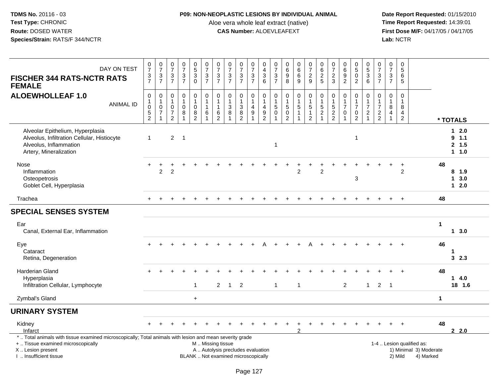### **P09: NON-NEOPLASTIC LESIONS BY INDIVIDUAL ANIMAL**

Aloe vera whole leaf extract (native)<br>**CAS Number:** ALOEVLEAFEXT

| DAY ON TEST<br><b>FISCHER 344 RATS-NCTR RATS</b><br><b>FEMALE</b>                                                                                                                             | $\frac{0}{7}$<br>$\frac{3}{7}$                                  | $\frac{0}{7}$<br>$\frac{3}{7}$                                   | $\frac{0}{7}$<br>$\sqrt{3}$<br>$\overline{7}$                     | $\frac{0}{7}$<br>$\ensuremath{\mathsf{3}}$<br>$\overline{7}$      | $\begin{array}{c} 0 \\ 5 \\ 3 \end{array}$<br>$\mathbf 0$ | $\begin{array}{c} 0 \\ 7 \end{array}$<br>$\frac{3}{7}$             | $\frac{0}{7}$<br>$\frac{3}{7}$                                 | $\begin{array}{c} 0 \\ 7 \end{array}$<br>$\frac{3}{7}$                             | $\frac{0}{7}$<br>$\frac{3}{7}$                                   | $\frac{0}{7}$<br>$\frac{3}{7}$                                   | $\begin{smallmatrix}0\0\4\end{smallmatrix}$<br>$\frac{3}{6}$            | $\frac{0}{7}$<br>$rac{3}{7}$                                        | $\begin{matrix} 0 \\ 6 \\ 9 \end{matrix}$<br>8                           | $\begin{matrix} 0 \\ 6 \\ 6 \end{matrix}$<br>9                     | $\frac{0}{7}$<br>$\boldsymbol{2}$<br>9                             | 0<br>$\,6$<br>$\overline{2}$<br>5                              | $\frac{0}{7}$<br>$\boldsymbol{2}$<br>3                    | $\begin{matrix} 0 \\ 6 \\ 9 \end{matrix}$<br>$\overline{2}$                    | $\begin{smallmatrix}0\5\0\end{smallmatrix}$<br>$\overline{2}$   | 0<br>5<br>3<br>6                                                                  | $\frac{0}{7}$<br>$\frac{3}{7}$                                 | $\begin{array}{c} 0 \\ 7 \end{array}$<br>$\mathsf 3$<br>$\overline{7}$ | $\begin{array}{c} 0 \\ 5 \end{array}$<br>6<br>5              |                                                                  |                      |                                      |
|-----------------------------------------------------------------------------------------------------------------------------------------------------------------------------------------------|-----------------------------------------------------------------|------------------------------------------------------------------|-------------------------------------------------------------------|-------------------------------------------------------------------|-----------------------------------------------------------|--------------------------------------------------------------------|----------------------------------------------------------------|------------------------------------------------------------------------------------|------------------------------------------------------------------|------------------------------------------------------------------|-------------------------------------------------------------------------|---------------------------------------------------------------------|--------------------------------------------------------------------------|--------------------------------------------------------------------|--------------------------------------------------------------------|----------------------------------------------------------------|-----------------------------------------------------------|--------------------------------------------------------------------------------|-----------------------------------------------------------------|-----------------------------------------------------------------------------------|----------------------------------------------------------------|------------------------------------------------------------------------|--------------------------------------------------------------|------------------------------------------------------------------|----------------------|--------------------------------------|
| <b>ALOEWHOLLEAF 1.0</b><br><b>ANIMAL ID</b>                                                                                                                                                   | $\mathbf 0$<br>1<br>$\mathbf 0$<br>$\sqrt{5}$<br>$\overline{2}$ | $\mathbf 0$<br>$\overline{1}$<br>$\frac{0}{7}$<br>$\overline{1}$ | $\mathbf 0$<br>$\mathbf{1}$<br>$\mathsf 0$<br>$\overline{7}$<br>2 | $\mathbf 0$<br>$\mathbf{1}$<br>$\mathbf 0$<br>8<br>$\overline{1}$ | 0<br>$\mathbf{1}$<br>$\pmb{0}$<br>8<br>$\overline{2}$     | $\mathsf 0$<br>$\mathbf{1}$<br>$\overline{1}$<br>6<br>$\mathbf{1}$ | 0<br>$\mathbf{1}$<br>$\mathbf{1}$<br>$\,6\,$<br>$\overline{2}$ | $\pmb{0}$<br>$\mathbf{1}$<br>$\ensuremath{\mathsf{3}}$<br>$\bf8$<br>$\overline{1}$ | $\pmb{0}$<br>$\mathbf{1}$<br>$\ensuremath{\mathsf{3}}$<br>8<br>2 | 0<br>$\mathbf{1}$<br>$\overline{\mathbf{4}}$<br>$\boldsymbol{9}$ | $\pmb{0}$<br>$\mathbf{1}$<br>$\begin{array}{c} 4 \\ 9 \\ 2 \end{array}$ | $\mathsf{O}\xspace$<br>$\mathbf{1}$<br>$5\,$<br>$\mathsf{O}\xspace$ | $\mathbf 0$<br>$\mathbf{1}$<br>$\sqrt{5}$<br>$\pmb{0}$<br>$\overline{2}$ | $\mathbf 0$<br>$\mathbf{1}$<br>$\,$ 5 $\,$<br>$\overline{1}$<br>-1 | 0<br>$\mathbf{1}$<br>$\,$ 5 $\,$<br>$\mathbf{1}$<br>$\overline{2}$ | $\mathbf 0$<br>$\mathbf{1}$<br>$\overline{5}$<br>$\frac{2}{1}$ | $\pmb{0}$<br>$\mathbf{1}$<br>$\,$ 5 $\,$<br>$\frac{2}{2}$ | $\mathbf 0$<br>$\mathbf{1}$<br>$\overline{7}$<br>$\mathbf 0$<br>$\overline{1}$ | $\mathbf 0$<br>$\mathbf{1}$<br>$\overline{7}$<br>$\pmb{0}$<br>2 | $\mathbf 0$<br>$\mathbf{1}$<br>$\overline{7}$<br>$\overline{c}$<br>$\overline{1}$ | $\mathsf 0$<br>$\mathbf{1}$<br>$\overline{7}$<br>$\frac{2}{2}$ | $\mathbf 0$<br>$\mathbf{1}$<br>$\,8\,$<br>$\overline{4}$<br>1          | $\mathbf 0$<br>$\mathbf{1}$<br>$\, 8$<br>4<br>$\overline{2}$ |                                                                  |                      | * TOTALS                             |
| Alveolar Epithelium, Hyperplasia<br>Alveolus, Infiltration Cellular, Histiocyte<br>Alveolus, Inflammation<br>Artery, Mineralization                                                           | $\mathbf{1}$                                                    |                                                                  | $\overline{c}$                                                    | $\overline{1}$                                                    |                                                           |                                                                    |                                                                |                                                                                    |                                                                  |                                                                  |                                                                         | $\mathbf{1}$                                                        |                                                                          |                                                                    |                                                                    |                                                                |                                                           |                                                                                | $\mathbf 1$                                                     |                                                                                   |                                                                |                                                                        |                                                              |                                                                  |                      | $12.0$<br>9.1.1<br>2, 1.5<br>$1 1.0$ |
| Nose<br>Inflammation<br>Osteopetrosis<br>Goblet Cell, Hyperplasia                                                                                                                             |                                                                 | $\overline{2}$                                                   | 2                                                                 |                                                                   |                                                           |                                                                    |                                                                |                                                                                    |                                                                  |                                                                  |                                                                         |                                                                     |                                                                          | 2                                                                  |                                                                    | $\overline{2}$                                                 |                                                           |                                                                                | 3                                                               |                                                                                   |                                                                |                                                                        | $\overline{2}$                                               |                                                                  | 48                   | 8 1.9<br>13.0<br>$12.0$              |
| Trachea                                                                                                                                                                                       |                                                                 |                                                                  |                                                                   |                                                                   |                                                           |                                                                    |                                                                |                                                                                    |                                                                  |                                                                  |                                                                         |                                                                     |                                                                          |                                                                    |                                                                    |                                                                |                                                           |                                                                                |                                                                 |                                                                                   |                                                                |                                                                        |                                                              |                                                                  | 48                   |                                      |
| <b>SPECIAL SENSES SYSTEM</b>                                                                                                                                                                  |                                                                 |                                                                  |                                                                   |                                                                   |                                                           |                                                                    |                                                                |                                                                                    |                                                                  |                                                                  |                                                                         |                                                                     |                                                                          |                                                                    |                                                                    |                                                                |                                                           |                                                                                |                                                                 |                                                                                   |                                                                |                                                                        |                                                              |                                                                  |                      |                                      |
| Ear<br>Canal, External Ear, Inflammation                                                                                                                                                      |                                                                 |                                                                  |                                                                   |                                                                   |                                                           |                                                                    |                                                                |                                                                                    |                                                                  |                                                                  |                                                                         |                                                                     |                                                                          |                                                                    |                                                                    |                                                                |                                                           |                                                                                |                                                                 |                                                                                   |                                                                |                                                                        |                                                              |                                                                  | $\blacktriangleleft$ | $1 \quad 3.0$                        |
| Eye<br>Cataract<br>Retina, Degeneration                                                                                                                                                       |                                                                 |                                                                  |                                                                   |                                                                   |                                                           |                                                                    |                                                                |                                                                                    |                                                                  |                                                                  |                                                                         |                                                                     |                                                                          |                                                                    |                                                                    |                                                                |                                                           |                                                                                |                                                                 |                                                                                   |                                                                |                                                                        |                                                              |                                                                  | 46                   | 1<br>3, 2.3                          |
| Harderian Gland<br>Hyperplasia<br>Infiltration Cellular, Lymphocyte                                                                                                                           |                                                                 |                                                                  |                                                                   |                                                                   | $\mathbf{1}$                                              |                                                                    | 2                                                              | $\overline{1}$                                                                     | $\overline{2}$                                                   |                                                                  |                                                                         | $\mathbf{1}$                                                        |                                                                          | $\overline{1}$                                                     |                                                                    |                                                                |                                                           | $\overline{2}$                                                                 |                                                                 | $\mathbf{1}$                                                                      | $\overline{2}$                                                 | $\overline{1}$                                                         |                                                              |                                                                  | 48                   | $1 \quad 4.0$<br>18 1.6              |
| Zymbal's Gland                                                                                                                                                                                |                                                                 |                                                                  |                                                                   |                                                                   | $+$                                                       |                                                                    |                                                                |                                                                                    |                                                                  |                                                                  |                                                                         |                                                                     |                                                                          |                                                                    |                                                                    |                                                                |                                                           |                                                                                |                                                                 |                                                                                   |                                                                |                                                                        |                                                              |                                                                  | $\mathbf 1$          |                                      |
| <b>URINARY SYSTEM</b>                                                                                                                                                                         |                                                                 |                                                                  |                                                                   |                                                                   |                                                           |                                                                    |                                                                |                                                                                    |                                                                  |                                                                  |                                                                         |                                                                     |                                                                          |                                                                    |                                                                    |                                                                |                                                           |                                                                                |                                                                 |                                                                                   |                                                                |                                                                        |                                                              |                                                                  |                      |                                      |
| Kidney<br>Infarct                                                                                                                                                                             |                                                                 |                                                                  |                                                                   |                                                                   |                                                           |                                                                    |                                                                |                                                                                    |                                                                  |                                                                  |                                                                         |                                                                     |                                                                          | 2                                                                  |                                                                    |                                                                |                                                           |                                                                                |                                                                 |                                                                                   |                                                                |                                                                        |                                                              |                                                                  | 48                   | 2.2.0                                |
| *  Total animals with tissue examined microscopically; Total animals with lesion and mean severity grade<br>+  Tissue examined microscopically<br>X  Lesion present<br>I  Insufficient tissue |                                                                 |                                                                  |                                                                   |                                                                   |                                                           | M  Missing tissue                                                  |                                                                | A  Autolysis precludes evaluation<br>BLANK  Not examined microscopically           |                                                                  |                                                                  |                                                                         |                                                                     |                                                                          |                                                                    |                                                                    |                                                                |                                                           |                                                                                |                                                                 |                                                                                   |                                                                |                                                                        | 2) Mild                                                      | 1-4  Lesion qualified as:<br>1) Minimal 3) Moderate<br>4) Marked |                      |                                      |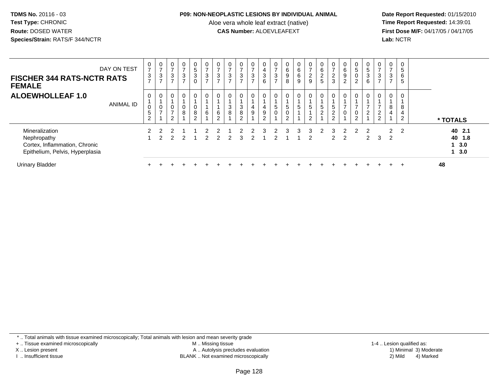#### **P09: NON-NEOPLASTIC LESIONS BY INDIVIDUAL ANIMAL**

Aloe vera whole leaf extract (native)<br>**CAS Number:** ALOEVLEAFEXT

 **Date Report Requested:** 01/15/2010 **First Dose M/F:** 04/17/05 / 04/17/05 Lab: NCTR **Lab:** NCTR

| <b>FISCHER 344 RATS-NCTR RATS</b><br><b>FEMALE</b>                                                | DAY ON TEST      | 0<br>$\overline{ }$<br>$\frac{3}{7}$ | $\mathbf 0$<br>$\overline{7}$<br>$\mathbf{3}$<br>$\overline{ }$ | 0<br>$\overline{ }$<br>3   | $\overline{0}$<br>$\overline{ }$<br>3 | 0<br>$\sqrt{5}$<br>$\mathbf{3}$<br>$\mathbf 0$ | $\mathbf{0}$<br>$\overline{ }$<br>3<br>$\rightarrow$ | $\frac{0}{7}$<br>$\mathbf{3}$<br>$\overline{ }$ | 0<br>$\overline{ }$<br>$\mathbf{3}$<br>$\overline{ }$ | $\overline{ }$<br>3<br>$\rightarrow$ | $\overline{ }$<br>3<br>$\rightarrow$ | 0<br>$\overline{4}$<br>$\ensuremath{\mathsf{3}}$<br>$\overline{6}$ | 0<br>$\rightarrow$<br>$\mathbf{3}$<br>$\rightarrow$ | $\begin{array}{c} 0 \\ 6 \end{array}$<br>$_{8}^{\rm 9}$ | $\begin{matrix} 0 \\ 6 \end{matrix}$<br>$^6_9$ | 0<br>$\overline{ }$<br>$\frac{2}{9}$ | $\begin{matrix} 0 \\ 6 \end{matrix}$<br>$\frac{2}{5}$ | $\frac{0}{7}$<br>$\frac{2}{3}$ | 6<br>$\boldsymbol{9}$<br>$\overline{2}$ | 0<br>$\overline{5}$<br>$\pmb{0}$<br>$\overline{2}$ | 0<br>5<br>3<br>6    | 0<br>$\overline{ }$<br>3<br>$\overline{ }$     | 0<br>$\overline{ }$<br>3<br>$\overline{ }$ | 5<br>6<br>5         |                                   |
|---------------------------------------------------------------------------------------------------|------------------|--------------------------------------|-----------------------------------------------------------------|----------------------------|---------------------------------------|------------------------------------------------|------------------------------------------------------|-------------------------------------------------|-------------------------------------------------------|--------------------------------------|--------------------------------------|--------------------------------------------------------------------|-----------------------------------------------------|---------------------------------------------------------|------------------------------------------------|--------------------------------------|-------------------------------------------------------|--------------------------------|-----------------------------------------|----------------------------------------------------|---------------------|------------------------------------------------|--------------------------------------------|---------------------|-----------------------------------|
| <b>ALOEWHOLLEAF 1.0</b>                                                                           | <b>ANIMAL ID</b> | 0<br>0<br>5<br>$\overline{c}$        | $\mathbf 0$<br>$\boldsymbol{0}$<br>$\overline{ }$               | $\mathbf 0$<br>–<br>$\sim$ | $\mathbf 0$<br>8                      | $\mathbf 0$<br>0<br>8<br>$\Omega$<br>∠         | 0<br>6                                               | $\boldsymbol{0}$<br>$\,6\,$<br>$\overline{2}$   | 0<br>$\mathbf{3}$<br>8                                | 3<br>8<br>$\mathcal{D}$              | 0<br>4<br>9                          | $\mathbf 0$<br>4<br>$\boldsymbol{9}$<br>$\overline{c}$             | 0<br>5<br>$\mathbf 0$                               | 0<br>$\sqrt{5}$<br>$\pmb{0}$<br>$\overline{c}$          | 0<br>$5\phantom{.0}$<br>1                      | 0<br>5<br>C                          | 0<br>$\sqrt{5}$<br>$\overline{2}$                     | 0<br>5<br>$\frac{2}{2}$<br>۷   |                                         | 0<br>0<br>$\Omega$                                 | 0<br>$\overline{2}$ | $\mathbf 0$<br>$\overline{2}$<br>$\mathcal{P}$ | 8<br>4                                     | 8<br>$\overline{2}$ | * TOTALS                          |
| Mineralization<br>Nephropathy<br>Cortex, Inflammation, Chronic<br>Epithelium, Pelvis, Hyperplasia |                  |                                      |                                                                 |                            |                                       |                                                |                                                      |                                                 | 2                                                     | 3                                    |                                      |                                                                    |                                                     |                                                         | ર                                              | 3<br>2                               |                                                       | З<br>$\mathbf{2}^{\circ}$      | 2                                       |                                                    | 2<br>$\mathbf{2}$   | 3                                              | $\mathcal{P}$<br>2                         | $\overline{2}$      | 40 2.1<br>40 1.8<br>1, 3.0<br>3.0 |
| <b>Urinary Bladder</b>                                                                            |                  |                                      |                                                                 |                            |                                       |                                                |                                                      |                                                 |                                                       |                                      |                                      |                                                                    |                                                     |                                                         |                                                |                                      |                                                       |                                |                                         |                                                    |                     |                                                |                                            |                     | 48                                |

\* .. Total animals with tissue examined microscopically; Total animals with lesion and mean severity grade

+ .. Tissue examined microscopically

X .. Lesion present

I .. Insufficient tissue

 M .. Missing tissueA .. Autolysis precludes evaluation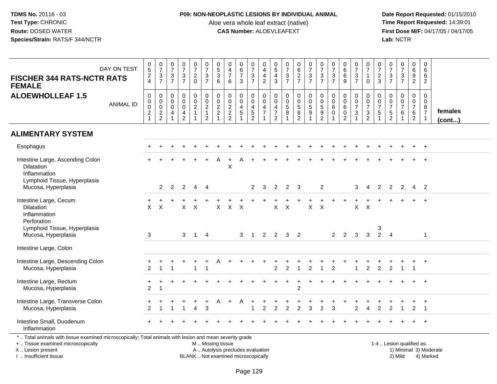### **P09: NON-NEOPLASTIC LESIONS BY INDIVIDUAL ANIMAL**

Aloe vera whole leaf extract (native)<br>**CAS Number:** ALOEVLEAFEXT

 **Date Report Requested:** 01/15/2010 **First Dose M/F:** 04/17/05 / 04/17/05 Lab: NCTR **Lab:** NCTR

| DAY ON TEST<br><b>FISCHER 344 RATS-NCTR RATS</b><br><b>FEMALE</b>                                                                                                   | $\frac{0}{5}$<br>2<br>4                                       | $\begin{array}{c} 0 \\ 7 \end{array}$<br>$\frac{3}{7}$      | $\begin{array}{c} 0 \\ 7 \end{array}$<br>$\frac{3}{7}$                                | $\frac{0}{7}$<br>$\frac{3}{7}$                                                   | $\frac{0}{7}$<br>$\frac{2}{0}$                                                  | $\frac{0}{7}$<br>$\frac{3}{7}$                                                                  | $\begin{array}{c} 0 \\ 5 \\ 3 \end{array}$<br>$6\phantom{1}$ | $\begin{smallmatrix}0\0\4\end{smallmatrix}$<br>$\overline{7}$<br>$6\phantom{1}$ | $\begin{array}{c} 0 \\ 6 \end{array}$<br>$\overline{7}$<br>3                                   | $\begin{array}{c} 0 \\ 7 \end{array}$<br>$\frac{3}{7}$           | 0<br>$\overline{4}$<br>$\overline{4}$<br>$\overline{2}$ | $\begin{array}{c} 0 \\ 5 \\ 4 \\ 3 \end{array}$     | $\frac{0}{7}$<br>$\frac{3}{7}$                       | $062$<br>$7$                                                   | $\frac{0}{7}$<br>$\frac{3}{7}$                                  | $\frac{0}{7}$<br>$\frac{3}{7}$                                       | $\frac{0}{7}$<br>$\frac{3}{7}$                                 | $_6^0$<br>$\,6$<br>9                                            | $\begin{smallmatrix}0\\7\end{smallmatrix}$<br>$\frac{3}{7}$    | $\frac{0}{7}$<br>$\mathbf{1}$<br>$\mathbf 0$ | $\begin{smallmatrix}0\\7\end{smallmatrix}$<br>$\frac{2}{3}$ | $\begin{array}{c} 0 \\ 7 \end{array}$<br>$\frac{3}{7}$ | $\begin{smallmatrix}0\\7\end{smallmatrix}$<br>$\frac{3}{7}$            | $\pmb{0}$<br>6<br>$\boldsymbol{9}$<br>$\overline{2}$                            | 0<br>$6\phantom{1}6$<br>6<br>$\overline{2}$                       |                        |
|---------------------------------------------------------------------------------------------------------------------------------------------------------------------|---------------------------------------------------------------|-------------------------------------------------------------|---------------------------------------------------------------------------------------|----------------------------------------------------------------------------------|---------------------------------------------------------------------------------|-------------------------------------------------------------------------------------------------|--------------------------------------------------------------|---------------------------------------------------------------------------------|------------------------------------------------------------------------------------------------|------------------------------------------------------------------|---------------------------------------------------------|-----------------------------------------------------|------------------------------------------------------|----------------------------------------------------------------|-----------------------------------------------------------------|----------------------------------------------------------------------|----------------------------------------------------------------|-----------------------------------------------------------------|----------------------------------------------------------------|----------------------------------------------|-------------------------------------------------------------|--------------------------------------------------------|------------------------------------------------------------------------|---------------------------------------------------------------------------------|-------------------------------------------------------------------|------------------------|
| <b>ALOEWHOLLEAF 1.5</b><br><b>ANIMAL ID</b>                                                                                                                         | $\mathsf 0$<br>$\mathbf 0$<br>$\mathbf 0$<br>$\boldsymbol{2}$ | $\mathbf 0$<br>$\overline{0}$ <sub>0</sub><br>$\frac{2}{2}$ | $\mathsf{O}\xspace$<br>$\mathbf 0$<br>$\mathbf 0$<br>$\overline{4}$<br>$\overline{1}$ | $\mathbf 0$<br>$\overline{0}$<br>$\mathbf 0$<br>$\overline{4}$<br>$\overline{2}$ | $\begin{smallmatrix} 0\\0\\2 \end{smallmatrix}$<br>$\mathbf{1}$<br>$\mathbf{1}$ | $\begin{smallmatrix}0\0\0\end{smallmatrix}$<br>$\overline{2}$<br>$\mathbf{1}$<br>$\overline{2}$ | $\pmb{0}$<br>$\pmb{0}$<br>$\overline{2}$<br>$\overline{2}$   | $\mathbf 0$<br>$\overline{0}$<br>$\frac{2}{2}$                                  | $\mathbf 0$<br>$\mathbf 0$<br>$\begin{array}{c} 4 \\ 5 \end{array}$<br>$\overline{\mathbf{1}}$ | $\mathsf 0$<br>$\overline{0}$<br>$\frac{4}{5}$<br>$\overline{2}$ | 0<br>$\mathbf 0$<br>4<br>$\overline{7}$                 | $\mathbf 0$<br>$\ddot{\mathbf{0}}$<br>$\frac{4}{7}$ | $\mathbf 0$<br>$\overline{0}$<br>$\overline{5}$<br>8 | $\begin{smallmatrix}0\0\0\5\end{smallmatrix}$<br>$\frac{8}{2}$ | $\begin{array}{c} 0 \\ 0 \\ 5 \\ 9 \end{array}$<br>$\mathbf{1}$ | 0<br>$\mathbf 0$<br>$\sqrt{5}$<br>$\boldsymbol{9}$<br>$\overline{2}$ | $\pmb{0}$<br>$\mathbf 0$<br>6<br>$\mathbf 0$<br>$\overline{1}$ | 0<br>$\overline{0}$<br>$\,6\,$<br>$\mathbf 0$<br>$\mathfrak{p}$ | $\mathbf 0$<br>$\frac{0}{7}$<br>$\mathbf{3}$<br>$\overline{1}$ | $\pmb{0}$<br>$\frac{0}{7}$<br>$\frac{3}{2}$  | 0<br>$\mathbf 0$<br>$\overline{7}$<br>$\sqrt{5}$            | $\boldsymbol{0}$<br>$\frac{0}{7}$<br>$\frac{5}{2}$     | $\mathbf 0$<br>$\ddot{\mathbf{0}}$<br>$\overline{7}$<br>$6\phantom{a}$ | $\pmb{0}$<br>$\ddot{\mathbf{0}}$<br>$\overline{7}$<br>$\,6\,$<br>$\overline{2}$ | $\mathbf 0$<br>$\mathbf 0$<br>8<br>$\overline{7}$<br>$\mathbf{1}$ | females<br>(cont)      |
| <b>ALIMENTARY SYSTEM</b>                                                                                                                                            |                                                               |                                                             |                                                                                       |                                                                                  |                                                                                 |                                                                                                 |                                                              |                                                                                 |                                                                                                |                                                                  |                                                         |                                                     |                                                      |                                                                |                                                                 |                                                                      |                                                                |                                                                 |                                                                |                                              |                                                             |                                                        |                                                                        |                                                                                 |                                                                   |                        |
| Esophagus                                                                                                                                                           |                                                               |                                                             |                                                                                       |                                                                                  |                                                                                 |                                                                                                 |                                                              |                                                                                 |                                                                                                |                                                                  |                                                         |                                                     |                                                      |                                                                |                                                                 |                                                                      |                                                                |                                                                 |                                                                |                                              |                                                             |                                                        |                                                                        |                                                                                 | $\overline{+}$                                                    |                        |
| Intestine Large, Ascending Colon<br>Dilatation<br>Inflammation<br>Lymphoid Tissue, Hyperplasia                                                                      |                                                               |                                                             |                                                                                       |                                                                                  |                                                                                 |                                                                                                 |                                                              | $\mathsf X$                                                                     |                                                                                                |                                                                  |                                                         |                                                     |                                                      |                                                                |                                                                 |                                                                      |                                                                |                                                                 |                                                                |                                              |                                                             |                                                        |                                                                        |                                                                                 |                                                                   |                        |
| Mucosa, Hyperplasia                                                                                                                                                 |                                                               | 2                                                           | $\overline{2}$                                                                        | $\overline{2}$                                                                   | $\overline{4}$                                                                  | $\overline{4}$                                                                                  |                                                              |                                                                                 |                                                                                                | $\overline{2}$                                                   | 3                                                       | 2                                                   | $\overline{\phantom{0}}$ 2                           | $\overline{\mathbf{3}}$                                        |                                                                 | 2                                                                    |                                                                |                                                                 | 3                                                              | 4                                            | 2                                                           | 2                                                      | $\overline{2}$                                                         | $\overline{4}$                                                                  | $\overline{2}$                                                    |                        |
| Intestine Large, Cecum<br><b>Dilatation</b><br>Inflammation<br>Perforation                                                                                          | X                                                             | X                                                           |                                                                                       | X.                                                                               | $\boldsymbol{\mathsf{X}}$                                                       |                                                                                                 | X                                                            | X                                                                               | $\times$                                                                                       |                                                                  |                                                         | X                                                   | $\boldsymbol{\mathsf{X}}$                            |                                                                | $\pmb{\times}$                                                  | $\pmb{\times}$                                                       |                                                                |                                                                 | $\mathsf{X}$                                                   | $\mathsf{X}$                                 |                                                             |                                                        |                                                                        |                                                                                 |                                                                   |                        |
| Lymphoid Tissue, Hyperplasia<br>Mucosa, Hyperplasia                                                                                                                 | 3                                                             |                                                             |                                                                                       | 3                                                                                | $\mathbf{1}$                                                                    | $\overline{4}$                                                                                  |                                                              |                                                                                 | 3                                                                                              | $\overline{1}$                                                   |                                                         |                                                     | $2 \quad 2 \quad 3 \quad 2$                          |                                                                |                                                                 |                                                                      | 2                                                              | $\overline{2}$                                                  | 3                                                              | 3                                            | 3<br>$\overline{2}$                                         | $\overline{4}$                                         |                                                                        |                                                                                 | $\mathbf{1}$                                                      |                        |
| Intestine Large, Colon                                                                                                                                              |                                                               |                                                             |                                                                                       |                                                                                  |                                                                                 |                                                                                                 |                                                              |                                                                                 |                                                                                                |                                                                  |                                                         |                                                     |                                                      |                                                                |                                                                 |                                                                      |                                                                |                                                                 |                                                                |                                              |                                                             |                                                        |                                                                        |                                                                                 |                                                                   |                        |
| Intestine Large, Descending Colon<br>Mucosa, Hyperplasia                                                                                                            | 2                                                             | 1                                                           | 1                                                                                     |                                                                                  |                                                                                 | $\div$                                                                                          | A                                                            |                                                                                 |                                                                                                |                                                                  |                                                         | 2                                                   | $\overline{2}$                                       |                                                                | $\overline{c}$                                                  | $\overline{1}$                                                       | $\overline{c}$                                                 |                                                                 | $\mathbf{1}$                                                   | $\overline{c}$                               | $\overline{2}$                                              | 2                                                      | $\overline{1}$                                                         |                                                                                 | $+$                                                               |                        |
| Intestine Large, Rectum<br>Mucosa, Hyperplasia                                                                                                                      | 2                                                             | $\overline{\phantom{a}}$                                    |                                                                                       |                                                                                  |                                                                                 |                                                                                                 |                                                              |                                                                                 |                                                                                                |                                                                  |                                                         |                                                     |                                                      | $\overline{2}$                                                 |                                                                 |                                                                      |                                                                |                                                                 |                                                                |                                              |                                                             |                                                        |                                                                        |                                                                                 | $\overline{+}$                                                    |                        |
| Intestine Large, Transverse Colon<br>Mucosa, Hyperplasia                                                                                                            | 2                                                             | -1                                                          |                                                                                       | 1                                                                                | 4                                                                               | 3                                                                                               |                                                              |                                                                                 |                                                                                                |                                                                  | $\overline{2}$                                          | 2                                                   | $\overline{2}$                                       | $\overline{2}$                                                 | 3                                                               | 2                                                                    | 3                                                              |                                                                 | $\overline{2}$                                                 | $\overline{4}$                               | 2                                                           | 2                                                      | $\overline{1}$                                                         | $\overline{2}$                                                                  | $\overline{1}$                                                    |                        |
| Intestine Small, Duodenum<br>Inflammation                                                                                                                           |                                                               |                                                             |                                                                                       |                                                                                  |                                                                                 |                                                                                                 |                                                              |                                                                                 |                                                                                                |                                                                  |                                                         |                                                     |                                                      |                                                                |                                                                 |                                                                      |                                                                |                                                                 |                                                                |                                              |                                                             |                                                        |                                                                        |                                                                                 |                                                                   |                        |
| *  Total animals with tissue examined microscopically; Total animals with lesion and mean severity grade<br>+  Tissue examined microscopically<br>X  Lesion present |                                                               |                                                             |                                                                                       |                                                                                  |                                                                                 | M  Missing tissue                                                                               |                                                              | A  Autolysis precludes evaluation                                               |                                                                                                |                                                                  |                                                         |                                                     |                                                      |                                                                |                                                                 |                                                                      |                                                                |                                                                 |                                                                |                                              |                                                             | 1-4  Lesion qualified as:                              |                                                                        |                                                                                 |                                                                   | 1) Minimal 3) Moderate |

I .. Insufficient tissue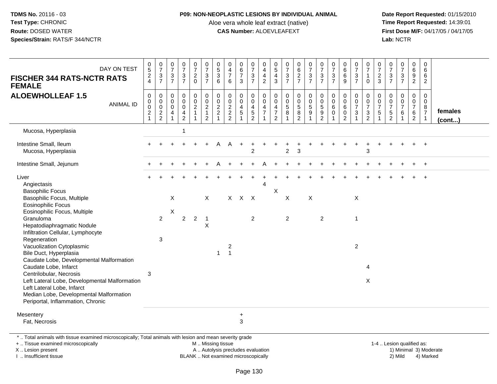### **P09: NON-NEOPLASTIC LESIONS BY INDIVIDUAL ANIMAL**

Aloe vera whole leaf extract (native)<br>**CAS Number:** ALOEVLEAFEXT

 **Date Report Requested:** 01/15/2010 **First Dose M/F:** 04/17/05 / 04/17/05 Lab: NCTR **Lab:** NCTR

| DAY ON TEST<br><b>FISCHER 344 RATS-NCTR RATS</b><br><b>FEMALE</b>                                                                                                                                               | $\begin{array}{c} 0 \\ 5 \end{array}$<br>$\frac{2}{4}$    | $\begin{array}{c} 0 \\ 7 \end{array}$<br>$\frac{3}{7}$                        | $\begin{array}{c} 0 \\ 7 \end{array}$<br>$\frac{3}{7}$ | $\frac{0}{7}$<br>$\frac{3}{7}$                                                      | $\frac{0}{7}$<br>$^2_{\rm 0}$                              | $\frac{0}{7}$<br>$\frac{3}{7}$                                             | 0<br>5<br>3<br>6     | $\pmb{0}$<br>$\overline{4}$<br>$\overline{\mathcal{I}}$<br>$6\phantom{1}$ | $\begin{array}{c} 0 \\ 6 \end{array}$<br>$\overline{7}$<br>$\mathbf{3}$ | $\pmb{0}$<br>$\overline{7}$<br>$\frac{3}{7}$                                  | 0<br>$\overline{4}$<br>4<br>$\sqrt{2}$                  | $\begin{array}{c} 0 \\ 5 \end{array}$<br>$\frac{4}{3}$                           | $\frac{0}{7}$<br>$\frac{3}{7}$                     | 0627                                                                           | $\begin{array}{c} 0 \\ 7 \\ 3 \\ 7 \end{array}$ | $\begin{array}{c} 0 \\ 7 \end{array}$<br>$\frac{3}{7}$ | $\frac{0}{7}$<br>$\frac{3}{7}$                 | $_{6}^{\rm 0}$<br>$\,6\,$<br>9                                     | $\frac{0}{7}$<br>$\frac{3}{7}$             | $\frac{0}{7}$<br>$\mathbf{1}$<br>$\mathbf 0$                                              | 0<br>$\overline{7}$<br>$\frac{2}{3}$    | $\pmb{0}$<br>$\overline{7}$<br>$\frac{3}{7}$ | $\frac{0}{7}$<br>$\frac{3}{7}$                                 | $\pmb{0}$<br>$6\phantom{a}$<br>$\frac{9}{2}$                            | $\pmb{0}$<br>$\,6\,$<br>6<br>$\overline{2}$                        |                         |
|-----------------------------------------------------------------------------------------------------------------------------------------------------------------------------------------------------------------|-----------------------------------------------------------|-------------------------------------------------------------------------------|--------------------------------------------------------|-------------------------------------------------------------------------------------|------------------------------------------------------------|----------------------------------------------------------------------------|----------------------|---------------------------------------------------------------------------|-------------------------------------------------------------------------|-------------------------------------------------------------------------------|---------------------------------------------------------|----------------------------------------------------------------------------------|----------------------------------------------------|--------------------------------------------------------------------------------|-------------------------------------------------|--------------------------------------------------------|------------------------------------------------|--------------------------------------------------------------------|--------------------------------------------|-------------------------------------------------------------------------------------------|-----------------------------------------|----------------------------------------------|----------------------------------------------------------------|-------------------------------------------------------------------------|--------------------------------------------------------------------|-------------------------|
| <b>ALOEWHOLLEAF 1.5</b><br><b>ANIMAL ID</b>                                                                                                                                                                     | $\mathsf 0$<br>0<br>$\ddot{\mathbf{0}}$<br>$\overline{c}$ | $\pmb{0}$<br>$\pmb{0}$<br>$\ddot{\mathbf{0}}$<br>$\sqrt{2}$<br>$\overline{2}$ | $\mathbf 0$<br>$\mathbf 0$<br>$\mathbf 0$<br>4         | $\boldsymbol{0}$<br>$\overline{0}$<br>$\pmb{0}$<br>$\overline{4}$<br>$\overline{c}$ | $\pmb{0}$<br>$\mathbf 0$<br>$\overline{2}$<br>$\mathbf{1}$ | $\pmb{0}$<br>$\pmb{0}$<br>$\overline{c}$<br>$\mathbf{1}$<br>$\overline{2}$ | 0002<br>$\mathbf{1}$ | $\mathbf 0$<br>$\mathsf 0$<br>$\frac{2}{2}$<br>$\overline{2}$             | $\mathbf 0$<br>$\mathbf 0$<br>$\overline{4}$<br>$\sqrt{5}$              | $\mathbf 0$<br>$\mathbf 0$<br>$\overline{4}$<br>$\,$ 5 $\,$<br>$\overline{2}$ | 0<br>$\Omega$<br>$\overline{4}$<br>$\overline{7}$<br>-1 | $\pmb{0}$<br>$\mathbf 0$<br>$\overline{4}$<br>$\boldsymbol{7}$<br>$\overline{2}$ | $\mathbf 0$<br>$\pmb{0}$<br>$\mathbf 5$<br>$\bf 8$ | $\begin{smallmatrix}0\0\0\end{smallmatrix}$<br>$\frac{5}{8}$<br>$\overline{2}$ | $\begin{array}{c} 0 \\ 0 \\ 5 \\ 9 \end{array}$ | $_{\rm 0}^{\rm 0}$<br>$\frac{5}{9}$<br>$\overline{c}$  | $\pmb{0}$<br>$\pmb{0}$<br>$\,6\,$<br>$\pmb{0}$ | $\pmb{0}$<br>$\mathbf 0$<br>$\,6\,$<br>$\pmb{0}$<br>$\overline{2}$ | 0<br>$\pmb{0}$<br>$\overline{7}$<br>3<br>1 | 0<br>$\mathsf{O}\xspace$<br>$\overline{7}$<br>$\ensuremath{\mathsf{3}}$<br>$\overline{2}$ | 0<br>$\mathbf 0$<br>$\overline{7}$<br>5 | 0<br>0<br>$\overline{7}$<br>$\frac{5}{2}$    | $\pmb{0}$<br>$\check{\mathbf{0}}$<br>$\overline{7}$<br>$\,6\,$ | $\pmb{0}$<br>$\pmb{0}$<br>$\boldsymbol{7}$<br>$\,6\,$<br>$\overline{2}$ | $\mathbf 0$<br>$\mathbf{0}$<br>8<br>$\overline{7}$<br>$\mathbf{1}$ | females<br>$($ cont $)$ |
| Mucosa, Hyperplasia                                                                                                                                                                                             |                                                           |                                                                               |                                                        | $\overline{1}$                                                                      |                                                            |                                                                            |                      |                                                                           |                                                                         |                                                                               |                                                         |                                                                                  |                                                    |                                                                                |                                                 |                                                        |                                                |                                                                    |                                            |                                                                                           |                                         |                                              |                                                                |                                                                         |                                                                    |                         |
| Intestine Small, Ileum<br>Mucosa, Hyperplasia                                                                                                                                                                   |                                                           |                                                                               |                                                        |                                                                                     |                                                            |                                                                            |                      |                                                                           |                                                                         | $\overline{2}$                                                                |                                                         |                                                                                  | $\overline{c}$                                     | 3                                                                              |                                                 |                                                        |                                                |                                                                    |                                            | 3                                                                                         |                                         |                                              |                                                                |                                                                         |                                                                    |                         |
| Intestine Small, Jejunum                                                                                                                                                                                        |                                                           |                                                                               |                                                        |                                                                                     |                                                            |                                                                            |                      |                                                                           |                                                                         |                                                                               |                                                         |                                                                                  |                                                    |                                                                                |                                                 |                                                        |                                                |                                                                    |                                            |                                                                                           |                                         |                                              |                                                                |                                                                         | $\ddot{}$                                                          |                         |
| Liver<br>Angiectasis<br><b>Basophilic Focus</b><br>Basophilic Focus, Multiple                                                                                                                                   |                                                           |                                                                               | X                                                      |                                                                                     |                                                            | $\times$                                                                   |                      |                                                                           | $X$ $X$ $X$                                                             |                                                                               | 4                                                       | X                                                                                | X                                                  |                                                                                | $\boldsymbol{\mathsf{X}}$                       |                                                        |                                                |                                                                    | X                                          |                                                                                           |                                         |                                              |                                                                |                                                                         |                                                                    |                         |
| <b>Eosinophilic Focus</b><br>Eosinophilic Focus, Multiple<br>Granuloma<br>Hepatodiaphragmatic Nodule<br>Infiltration Cellular, Lymphocyte                                                                       |                                                           | $\overline{2}$                                                                | X                                                      | $\overline{2}$                                                                      | $\overline{2}$                                             | $\overline{1}$<br>$\times$                                                 |                      |                                                                           |                                                                         | $\overline{2}$                                                                |                                                         |                                                                                  | $\overline{2}$                                     |                                                                                |                                                 | $\overline{2}$                                         |                                                |                                                                    | 1                                          |                                                                                           |                                         |                                              |                                                                |                                                                         |                                                                    |                         |
| Regeneration<br>Vacuolization Cytoplasmic<br>Bile Duct, Hyperplasia<br>Caudate Lobe, Developmental Malformation                                                                                                 |                                                           | $\sqrt{3}$                                                                    |                                                        |                                                                                     |                                                            |                                                                            | $\mathbf{1}$         | $\overline{\mathbf{c}}$<br>$\mathbf{1}$                                   |                                                                         |                                                                               |                                                         |                                                                                  |                                                    |                                                                                |                                                 |                                                        |                                                |                                                                    | $\overline{\mathbf{c}}$                    |                                                                                           |                                         |                                              |                                                                |                                                                         |                                                                    |                         |
| Caudate Lobe, Infarct<br>Centrilobular, Necrosis<br>Left Lateral Lobe, Developmental Malformation<br>Left Lateral Lobe, Infarct<br>Median Lobe, Developmental Malformation<br>Periportal, Inflammation, Chronic | 3                                                         |                                                                               |                                                        |                                                                                     |                                                            |                                                                            |                      |                                                                           |                                                                         |                                                                               |                                                         |                                                                                  |                                                    |                                                                                |                                                 |                                                        |                                                |                                                                    |                                            | 4<br>X                                                                                    |                                         |                                              |                                                                |                                                                         |                                                                    |                         |
| Mesentery<br>Fat, Necrosis                                                                                                                                                                                      |                                                           |                                                                               |                                                        |                                                                                     |                                                            |                                                                            |                      |                                                                           | $+$<br>$\mathbf{3}$                                                     |                                                                               |                                                         |                                                                                  |                                                    |                                                                                |                                                 |                                                        |                                                |                                                                    |                                            |                                                                                           |                                         |                                              |                                                                |                                                                         |                                                                    |                         |
| *  Total animals with tissue examined microscopically; Total animals with lesion and mean severity grade<br>+  Tissue examined microscopically<br>X  Lesion present                                             |                                                           |                                                                               |                                                        |                                                                                     |                                                            | M  Missing tissue                                                          |                      | A  Autolysis precludes evaluation                                         |                                                                         |                                                                               |                                                         |                                                                                  |                                                    |                                                                                |                                                 |                                                        |                                                |                                                                    |                                            |                                                                                           |                                         |                                              | 1-4  Lesion qualified as:                                      |                                                                         |                                                                    | 1) Minimal 3) Moderate  |

I .. Insufficient tissue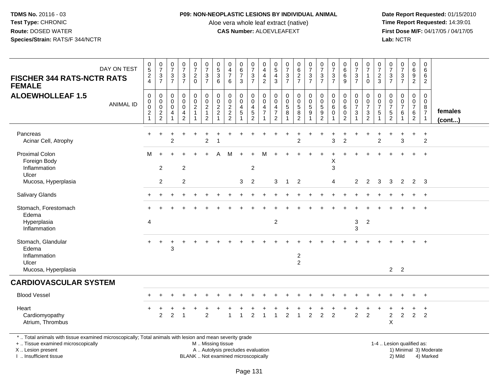### **P09: NON-NEOPLASTIC LESIONS BY INDIVIDUAL ANIMAL**

Aloe vera whole leaf extract (native)<br>**CAS Number:** ALOEVLEAFEXT

 **Date Report Requested:** 01/15/2010 **First Dose M/F:** 04/17/05 / 04/17/05<br>Lab: NCTR **Lab:** NCTR

| DAY ON TEST<br><b>FISCHER 344 RATS-NCTR RATS</b><br><b>FEMALE</b>                                                                                                   | $\begin{array}{c} 0 \\ 5 \end{array}$<br>$\frac{2}{4}$                           | $\begin{array}{c} 0 \\ 7 \end{array}$<br>$\frac{3}{7}$     | $\begin{array}{c} 0 \\ 7 \end{array}$<br>$\frac{3}{7}$ | $\begin{smallmatrix}0\\7\end{smallmatrix}$<br>$\frac{3}{7}$            | $\frac{0}{7}$<br>$\frac{2}{0}$                                    | $\frac{0}{7}$<br>$\frac{3}{7}$                                   | $\begin{array}{c} 0 \\ 5 \end{array}$<br>3<br>6               | $\pmb{0}$<br>$\frac{4}{7}$<br>$\,6\,$                                  | $\begin{array}{c} 0 \\ 6 \\ 7 \end{array}$<br>3      | $\frac{0}{7}$<br>$\frac{3}{7}$                                                        | $\mathbf 0$<br>$\overline{4}$<br>$\overline{4}$<br>$\sqrt{2}$          | 0<br>$\overline{5}$<br>4<br>$\mathbf{3}$      | $\frac{0}{7}$<br>$\frac{3}{7}$                | $_{6}^{\rm 0}$<br>$\frac{2}{7}$                            | $\begin{array}{c} 0 \\ 7 \end{array}$<br>$\frac{3}{7}$                        | $\frac{0}{7}$<br>$\frac{3}{7}$                                                   | $\begin{array}{c} 0 \\ 7 \end{array}$<br>$\sqrt{3}$<br>$\overline{7}$ | $\mathbf 0$<br>$\overline{6}$<br>$\,6\,$<br>9             | $\frac{0}{7}$<br>$\frac{3}{7}$                   | $\frac{0}{7}$<br>$\mathbf{1}$<br>$\mathbf 0$                       | $\frac{0}{7}$<br>$\frac{2}{3}$                | $\frac{0}{7}$<br>$\ensuremath{\mathsf{3}}$<br>$\overline{7}$  | $\frac{0}{7}$<br>$\frac{3}{7}$                        | $\mathbf 0$<br>$6\overline{6}$<br>$\frac{9}{2}$                     | $\mathsf 0$<br>$\,6\,$<br>6<br>$\overline{2}$                     |                        |
|---------------------------------------------------------------------------------------------------------------------------------------------------------------------|----------------------------------------------------------------------------------|------------------------------------------------------------|--------------------------------------------------------|------------------------------------------------------------------------|-------------------------------------------------------------------|------------------------------------------------------------------|---------------------------------------------------------------|------------------------------------------------------------------------|------------------------------------------------------|---------------------------------------------------------------------------------------|------------------------------------------------------------------------|-----------------------------------------------|-----------------------------------------------|------------------------------------------------------------|-------------------------------------------------------------------------------|----------------------------------------------------------------------------------|-----------------------------------------------------------------------|-----------------------------------------------------------|--------------------------------------------------|--------------------------------------------------------------------|-----------------------------------------------|---------------------------------------------------------------|-------------------------------------------------------|---------------------------------------------------------------------|-------------------------------------------------------------------|------------------------|
| <b>ALOEWHOLLEAF 1.5</b><br><b>ANIMAL ID</b>                                                                                                                         | $\pmb{0}$<br>$\boldsymbol{0}$<br>$\mathbf 0$<br>$\overline{c}$<br>$\overline{1}$ | $\mathbf 0$<br>$\mathbf 0$<br>$\mathbf 0$<br>$\frac{2}{2}$ | $\mathsf{O}\xspace$<br>0<br>$\mathbf 0$<br>4<br>-1     | $\mathsf 0$<br>$\ddot{\mathbf{0}}$<br>$\pmb{0}$<br>4<br>$\overline{c}$ | $\mathbf 0$<br>$\overline{0}$<br>$\overline{2}$<br>$\overline{1}$ | $\mathbf 0$<br>$\overline{0}$<br>$\frac{2}{1}$<br>$\overline{2}$ | 0<br>$\mathbf 0$<br>$\overline{\mathbf{c}}$<br>$\overline{c}$ | $\mathsf{O}\xspace$<br>$\begin{array}{c} 0 \\ 2 \\ 2 \\ 2 \end{array}$ | $\mathbf 0$<br>$\overline{0}$<br>$\overline{4}$<br>5 | $\pmb{0}$<br>$\bar{0}$<br>$\overline{\mathbf{4}}$<br>$\overline{5}$<br>$\overline{2}$ | $\boldsymbol{0}$<br>$\overline{0}$<br>$\overline{4}$<br>$\overline{7}$ | 0<br>$\mathbf{0}$<br>4<br>$\overline{7}$<br>2 | $\mathbf 0$<br>$\mathbf 0$<br>$\sqrt{5}$<br>8 | $\mathbf 0$<br>$\ddot{\mathbf{0}}$<br>$\sqrt{5}$<br>8<br>2 | $\boldsymbol{0}$<br>$\ddot{\mathbf{0}}$<br>$\overline{5}$<br>$\boldsymbol{9}$ | $\pmb{0}$<br>$\overline{0}$<br>$\,$ 5 $\,$<br>$\boldsymbol{9}$<br>$\overline{c}$ | $\mathbf 0$<br>$\mathbf 0$<br>6<br>$\mathbf 0$                        | $\mathbf 0$<br>$\mathbf 0$<br>$\,6\,$<br>$\mathbf 0$<br>2 | 0<br>$\pmb{0}$<br>$\overline{7}$<br>$\mathbf{3}$ | 0<br>$\pmb{0}$<br>$\overline{7}$<br>$\mathbf{3}$<br>$\overline{c}$ | $\Omega$<br>0<br>$\overline{7}$<br>$\sqrt{5}$ | $\mathbf 0$<br>$\mathbf 0$<br>$\overline{7}$<br>$\frac{5}{2}$ | $\mathbf 0$<br>$\pmb{0}$<br>$\overline{7}$<br>$\,6\,$ | $\mathbf 0$<br>$\mathbf 0$<br>$\overline{7}$<br>6<br>$\overline{2}$ | $\mathbf 0$<br>$\mathbf 0$<br>8<br>$\overline{7}$<br>$\mathbf{1}$ | females<br>(cont)      |
| Pancreas<br>Acinar Cell, Atrophy                                                                                                                                    | $\ddot{}$                                                                        | $\div$                                                     | $\overline{2}$                                         |                                                                        |                                                                   | $\overline{c}$                                                   |                                                               |                                                                        |                                                      |                                                                                       |                                                                        |                                               |                                               | $\mathcal{P}$                                              |                                                                               |                                                                                  | 3                                                                     | $\overline{2}$                                            |                                                  |                                                                    | $\overline{2}$                                |                                                               | 3                                                     | $\ddot{}$                                                           | $\ddot{}$<br>$\overline{2}$                                       |                        |
| Proximal Colon<br>Foreign Body<br>Inflammation<br>Ulcer                                                                                                             | М                                                                                | 2                                                          |                                                        | $\overline{2}$                                                         |                                                                   |                                                                  |                                                               |                                                                        |                                                      | $\overline{2}$                                                                        |                                                                        |                                               |                                               |                                                            |                                                                               |                                                                                  | Х<br>3                                                                |                                                           |                                                  |                                                                    |                                               |                                                               |                                                       |                                                                     | $\ddot{}$                                                         |                        |
| Mucosa, Hyperplasia                                                                                                                                                 |                                                                                  | $\overline{2}$                                             |                                                        | 2                                                                      |                                                                   |                                                                  |                                                               |                                                                        | 3                                                    | $\overline{2}$                                                                        |                                                                        | 3                                             | $\overline{1}$                                | $\overline{2}$                                             |                                                                               |                                                                                  | 4                                                                     |                                                           | 2                                                | $\overline{2}$                                                     | 3                                             | 3                                                             | $\overline{2}$                                        |                                                                     | $2 \quad 3$                                                       |                        |
| Salivary Glands                                                                                                                                                     |                                                                                  |                                                            |                                                        |                                                                        |                                                                   |                                                                  |                                                               |                                                                        |                                                      |                                                                                       |                                                                        |                                               |                                               |                                                            |                                                                               |                                                                                  |                                                                       |                                                           |                                                  |                                                                    |                                               |                                                               |                                                       | $+$                                                                 | $+$                                                               |                        |
| Stomach, Forestomach<br>Edema                                                                                                                                       |                                                                                  |                                                            |                                                        |                                                                        |                                                                   |                                                                  |                                                               |                                                                        |                                                      |                                                                                       |                                                                        |                                               |                                               |                                                            |                                                                               |                                                                                  |                                                                       |                                                           |                                                  |                                                                    |                                               |                                                               |                                                       |                                                                     | $^{+}$                                                            |                        |
| Hyperplasia<br>Inflammation                                                                                                                                         | 4                                                                                |                                                            |                                                        |                                                                        |                                                                   |                                                                  |                                                               |                                                                        |                                                      |                                                                                       |                                                                        | $\overline{c}$                                |                                               |                                                            |                                                                               |                                                                                  |                                                                       |                                                           | 3<br>3                                           | $\overline{c}$                                                     |                                               |                                                               |                                                       |                                                                     |                                                                   |                        |
| Stomach, Glandular<br>Edema<br>Inflammation<br>Ulcer                                                                                                                |                                                                                  | $\ddot{}$                                                  | 3                                                      |                                                                        |                                                                   |                                                                  |                                                               |                                                                        |                                                      |                                                                                       |                                                                        |                                               |                                               | $\boldsymbol{2}$<br>$\overline{2}$                         |                                                                               |                                                                                  |                                                                       |                                                           |                                                  |                                                                    |                                               |                                                               |                                                       |                                                                     | $+$                                                               |                        |
| Mucosa, Hyperplasia                                                                                                                                                 |                                                                                  |                                                            |                                                        |                                                                        |                                                                   |                                                                  |                                                               |                                                                        |                                                      |                                                                                       |                                                                        |                                               |                                               |                                                            |                                                                               |                                                                                  |                                                                       |                                                           |                                                  |                                                                    |                                               |                                                               | 2 <sub>2</sub>                                        |                                                                     |                                                                   |                        |
| <b>CARDIOVASCULAR SYSTEM</b>                                                                                                                                        |                                                                                  |                                                            |                                                        |                                                                        |                                                                   |                                                                  |                                                               |                                                                        |                                                      |                                                                                       |                                                                        |                                               |                                               |                                                            |                                                                               |                                                                                  |                                                                       |                                                           |                                                  |                                                                    |                                               |                                                               |                                                       |                                                                     |                                                                   |                        |
| <b>Blood Vessel</b>                                                                                                                                                 |                                                                                  |                                                            |                                                        |                                                                        |                                                                   |                                                                  |                                                               |                                                                        |                                                      |                                                                                       |                                                                        |                                               |                                               |                                                            |                                                                               |                                                                                  |                                                                       |                                                           |                                                  |                                                                    |                                               |                                                               |                                                       | $\ddot{}$                                                           | $+$                                                               |                        |
| Heart<br>Cardiomyopathy<br>Atrium, Thrombus                                                                                                                         |                                                                                  | 2                                                          | $\overline{2}$                                         |                                                                        |                                                                   | $\overline{2}$                                                   |                                                               |                                                                        | $\overline{1}$                                       | $\overline{2}$                                                                        | $\overline{1}$                                                         |                                               | $\overline{c}$                                | $\mathbf{1}$                                               | $\overline{a}$                                                                | $\overline{c}$                                                                   | $\overline{2}$                                                        |                                                           | $\overline{2}$                                   | $\overline{2}$                                                     |                                               | $\overline{c}$<br>X                                           | $\overline{c}$                                        | ÷<br>2                                                              | $\ddot{}$<br>2                                                    |                        |
| *  Total animals with tissue examined microscopically; Total animals with lesion and mean severity grade<br>+  Tissue examined microscopically<br>X  Lesion present |                                                                                  |                                                            |                                                        |                                                                        |                                                                   | M  Missing tissue                                                |                                                               | A  Autolysis precludes evaluation                                      |                                                      |                                                                                       |                                                                        |                                               |                                               |                                                            |                                                                               |                                                                                  |                                                                       |                                                           |                                                  |                                                                    |                                               | 1-4  Lesion qualified as:                                     |                                                       |                                                                     |                                                                   | 1) Minimal 3) Moderate |

I .. Insufficient tissue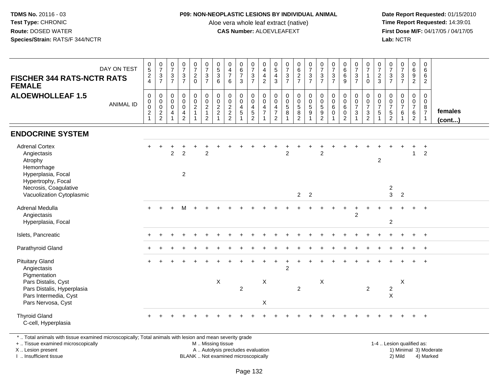### **P09: NON-NEOPLASTIC LESIONS BY INDIVIDUAL ANIMAL**

Aloe vera whole leaf extract (native)<br>**CAS Number:** ALOEVLEAFEXT

 **Date Report Requested:** 01/15/2010 **First Dose M/F:** 04/17/05 / 04/17/05<br>**Lab:** NCTR **Lab:** NCTR

| <b>FISCHER 344 RATS-NCTR RATS</b><br><b>FEMALE</b>                                                        | DAY ON TEST      | $\begin{matrix} 0 \\ 5 \end{matrix}$<br>$\frac{2}{4}$ | $\frac{0}{7}$<br>$\frac{3}{7}$      | $\frac{0}{7}$<br>$\mathsf 3$<br>$\overline{7}$                                   | $\frac{0}{7}$<br>$\overline{3}$<br>$\overline{7}$                                            | $\frac{0}{7}$<br>$\frac{2}{0}$                           | $\frac{0}{7}$<br>$\frac{3}{7}$                                                    | $\begin{array}{c} 0 \\ 5 \\ 3 \end{array}$<br>$\,6\,$ | $\begin{array}{c} 0 \\ 4 \\ 7 \end{array}$<br>6                    | $\begin{array}{c} 0 \\ 6 \\ 7 \end{array}$<br>$\mathbf{3}$                                         | $\begin{array}{c} 0 \\ 7 \\ 3 \\ 7 \end{array}$                        | $\begin{array}{c} 0 \\ 4 \\ 2 \end{array}$                                   | $\begin{array}{c} 0 \\ 5 \\ 4 \end{array}$<br>3                                                   | $\frac{0}{7}$<br>$\frac{3}{7}$                                | 0627                                                              | $\begin{array}{c} 0 \\ 7 \\ 3 \\ 7 \end{array}$ | $\begin{array}{c} 0 \\ 7 \\ 3 \\ 7 \end{array}$                                                      | $\begin{array}{c} 0 \\ 7 \\ 3 \\ 7 \end{array}$      | $\begin{matrix} 0 \\ 6 \\ 6 \end{matrix}$<br>9                 | $\frac{0}{7}$<br>$rac{3}{7}$     | $\frac{0}{7}$<br>$\mathbf{1}$<br>$\mathbf 0$                                         | $\frac{0}{7}$<br>$\frac{2}{3}$                                        | $\frac{0}{7}$<br>$\mathsf 3$<br>$\overline{7}$                         | $\begin{array}{c} 0 \\ 7 \\ 3 \end{array}$<br>$\overline{7}$          | $\begin{array}{c} 0 \\ 6 \\ 9 \end{array}$<br>$\overline{2}$ | $\begin{array}{c} 0 \\ 6 \end{array}$<br>6<br>$\overline{2}$  |                   |
|-----------------------------------------------------------------------------------------------------------|------------------|-------------------------------------------------------|-------------------------------------|----------------------------------------------------------------------------------|----------------------------------------------------------------------------------------------|----------------------------------------------------------|-----------------------------------------------------------------------------------|-------------------------------------------------------|--------------------------------------------------------------------|----------------------------------------------------------------------------------------------------|------------------------------------------------------------------------|------------------------------------------------------------------------------|---------------------------------------------------------------------------------------------------|---------------------------------------------------------------|-------------------------------------------------------------------|-------------------------------------------------|------------------------------------------------------------------------------------------------------|------------------------------------------------------|----------------------------------------------------------------|----------------------------------|--------------------------------------------------------------------------------------|-----------------------------------------------------------------------|------------------------------------------------------------------------|-----------------------------------------------------------------------|--------------------------------------------------------------|---------------------------------------------------------------|-------------------|
| <b>ALOEWHOLLEAF 1.5</b>                                                                                   | <b>ANIMAL ID</b> | 0<br>0<br>0<br>$\boldsymbol{2}$<br>$\mathbf{1}$       | $_{\rm 0}^{\rm 0}$<br>$\frac{0}{2}$ | $\mathbf 0$<br>$\boldsymbol{0}$<br>$\mathbf 0$<br>$\overline{a}$<br>$\mathbf{1}$ | $\pmb{0}$<br>$\ddot{\mathbf{0}}$<br>$\mathbf 0$<br>$\overline{\mathbf{4}}$<br>$\overline{2}$ | $_0^0$<br>$\overline{c}$<br>$\mathbf{1}$<br>$\mathbf{1}$ | $\begin{smallmatrix} 0\\0\\2 \end{smallmatrix}$<br>$\mathbf{1}$<br>$\overline{2}$ | $_{\rm 0}^{\rm 0}$<br>$\frac{2}{2}$                   | $\begin{smallmatrix} 0\\0 \end{smallmatrix}$<br>$\frac{2}{2}$<br>2 | $\begin{smallmatrix} 0\\0 \end{smallmatrix}$<br>$\overline{4}$<br>$\overline{5}$<br>$\overline{1}$ | 0<br>$\overline{0}$<br>$\overline{4}$<br>$\,$ 5 $\,$<br>$\overline{2}$ | $\begin{smallmatrix}0\0\0\end{smallmatrix}$<br>$\frac{4}{7}$<br>$\mathbf{1}$ | $\begin{smallmatrix}0\0\0\end{smallmatrix}$<br>$\overline{4}$<br>$\overline{7}$<br>$\overline{2}$ | $\pmb{0}$<br>$\begin{array}{c} 0 \\ 5 \end{array}$<br>$\bf 8$ | $\begin{array}{c} 0 \\ 0 \\ 5 \\ 8 \end{array}$<br>$\overline{2}$ | $_0^0$<br>$\sqrt{5}$<br>$\boldsymbol{9}$        | $\begin{smallmatrix} 0\\0 \end{smallmatrix}$<br>$\overline{5}$<br>$\boldsymbol{9}$<br>$\overline{2}$ | $\mathbf 0$<br>$\ddot{\mathbf{0}}$<br>6<br>$\pmb{0}$ | $\pmb{0}$<br>$\mathbf 0$<br>6<br>$\mathbf 0$<br>$\overline{2}$ | 0<br>$\frac{0}{7}$<br>$\sqrt{3}$ | 0<br>$\overline{0}$<br>$\overline{7}$<br>$\ensuremath{\mathsf{3}}$<br>$\overline{2}$ | 0<br>$\overline{0}$<br>$\overline{7}$<br>$\sqrt{5}$<br>$\overline{1}$ | 0<br>$\mathbf 0$<br>$\overline{7}$<br>$\overline{5}$<br>$\overline{2}$ | $\pmb{0}$<br>$\mathbf 0$<br>$\overline{7}$<br>$\,6\,$<br>$\mathbf{1}$ | $_0^0$<br>$\frac{7}{6}$<br>$\overline{2}$                    | $\mathbf 0$<br>$\mathbf 0$<br>$\frac{8}{7}$<br>$\overline{1}$ | females<br>(cont) |
| <b>ENDOCRINE SYSTEM</b>                                                                                   |                  |                                                       |                                     |                                                                                  |                                                                                              |                                                          |                                                                                   |                                                       |                                                                    |                                                                                                    |                                                                        |                                                                              |                                                                                                   |                                                               |                                                                   |                                                 |                                                                                                      |                                                      |                                                                |                                  |                                                                                      |                                                                       |                                                                        |                                                                       |                                                              |                                                               |                   |
| <b>Adrenal Cortex</b><br>Angiectasis<br>Atrophy<br>Hemorrhage<br>Hyperplasia, Focal<br>Hypertrophy, Focal |                  |                                                       |                                     | $\overline{2}$                                                                   | $\overline{2}$<br>$\overline{a}$                                                             |                                                          | $\overline{2}$                                                                    |                                                       |                                                                    |                                                                                                    |                                                                        |                                                                              |                                                                                                   | $\overline{2}$                                                |                                                                   |                                                 | $\overline{2}$                                                                                       |                                                      |                                                                |                                  |                                                                                      | $\overline{2}$                                                        |                                                                        |                                                                       | $\mathbf{1}$                                                 | $\ddot{}$<br>$\overline{2}$                                   |                   |
| Necrosis, Coagulative<br>Vacuolization Cytoplasmic                                                        |                  |                                                       |                                     |                                                                                  |                                                                                              |                                                          |                                                                                   |                                                       |                                                                    |                                                                                                    |                                                                        |                                                                              |                                                                                                   |                                                               | $2^{\circ}$                                                       | $\overline{\phantom{a}}$                        |                                                                                                      |                                                      |                                                                |                                  |                                                                                      |                                                                       | $\overline{\mathbf{c}}$<br>3                                           | $\overline{2}$                                                        |                                                              |                                                               |                   |
| <b>Adrenal Medulla</b><br>Angiectasis<br>Hyperplasia, Focal                                               |                  |                                                       |                                     |                                                                                  |                                                                                              |                                                          |                                                                                   |                                                       |                                                                    |                                                                                                    |                                                                        |                                                                              |                                                                                                   |                                                               |                                                                   |                                                 |                                                                                                      |                                                      |                                                                | $\overline{2}$                   |                                                                                      |                                                                       | $\overline{c}$                                                         |                                                                       |                                                              |                                                               |                   |
| Islets, Pancreatic                                                                                        |                  |                                                       |                                     |                                                                                  |                                                                                              |                                                          |                                                                                   |                                                       |                                                                    |                                                                                                    |                                                                        |                                                                              |                                                                                                   |                                                               |                                                                   |                                                 |                                                                                                      |                                                      |                                                                |                                  |                                                                                      |                                                                       |                                                                        |                                                                       | $+$                                                          | $+$                                                           |                   |
| Parathyroid Gland                                                                                         |                  |                                                       |                                     |                                                                                  |                                                                                              |                                                          |                                                                                   |                                                       |                                                                    |                                                                                                    |                                                                        |                                                                              |                                                                                                   |                                                               |                                                                   |                                                 |                                                                                                      |                                                      |                                                                |                                  |                                                                                      |                                                                       |                                                                        |                                                                       |                                                              | $\ddot{}$                                                     |                   |
| <b>Pituitary Gland</b><br>Angiectasis<br>Pigmentation                                                     |                  |                                                       |                                     |                                                                                  |                                                                                              |                                                          |                                                                                   |                                                       |                                                                    |                                                                                                    |                                                                        |                                                                              |                                                                                                   | $\overline{c}$                                                |                                                                   |                                                 |                                                                                                      |                                                      |                                                                |                                  |                                                                                      |                                                                       |                                                                        |                                                                       |                                                              |                                                               |                   |
| Pars Distalis, Cyst<br>Pars Distalis, Hyperplasia<br>Pars Intermedia, Cyst<br>Pars Nervosa, Cyst          |                  |                                                       |                                     |                                                                                  |                                                                                              |                                                          |                                                                                   | X                                                     |                                                                    | $\overline{c}$                                                                                     |                                                                        | X<br>X                                                                       |                                                                                                   |                                                               | $\overline{2}$                                                    |                                                 | $\boldsymbol{\mathsf{X}}$                                                                            |                                                      |                                                                |                                  | $\overline{2}$                                                                       |                                                                       | $\boldsymbol{2}$<br>$\mathsf{x}$                                       | $\boldsymbol{\mathsf{X}}$                                             |                                                              |                                                               |                   |
| <b>Thyroid Gland</b><br>C-cell, Hyperplasia                                                               |                  |                                                       |                                     |                                                                                  |                                                                                              |                                                          |                                                                                   |                                                       |                                                                    |                                                                                                    |                                                                        |                                                                              |                                                                                                   |                                                               |                                                                   |                                                 |                                                                                                      |                                                      |                                                                |                                  |                                                                                      |                                                                       |                                                                        |                                                                       |                                                              |                                                               |                   |

\* .. Total animals with tissue examined microscopically; Total animals with lesion and mean severity grade

+ .. Tissue examined microscopically

X .. Lesion present

I .. Insufficient tissue

M .. Missing tissue

A .. Autolysis precludes evaluation

BLANK .. Not examined microscopically 2) Mild 4) Marked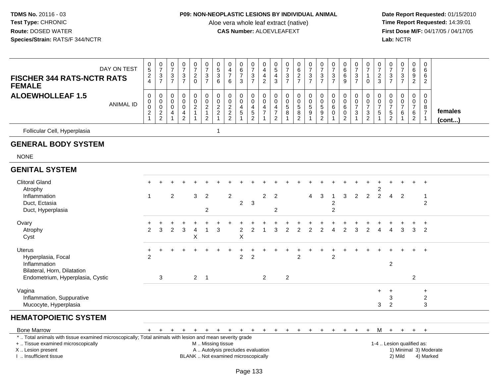### **P09: NON-NEOPLASTIC LESIONS BY INDIVIDUAL ANIMAL**

Aloe vera whole leaf extract (native)<br>**CAS Number:** ALOEVLEAFEXT

| DAY ON TEST<br><b>FISCHER 344 RATS-NCTR RATS</b><br><b>FEMALE</b>                                                              | $\frac{0}{5}$<br>2<br>4                                                 | $\begin{array}{c} 0 \\ 7 \end{array}$<br>$\frac{3}{7}$     | $\frac{0}{7}$<br>3<br>$\overline{7}$                      | $\frac{0}{7}$<br>$\frac{3}{7}$                           | $\frac{0}{7}$<br>$\frac{2}{0}$                                                            | $\frac{0}{7}$<br>$\frac{3}{7}$                                                 | $\begin{smallmatrix}0\\5\end{smallmatrix}$<br>$\overline{3}$<br>$\,6\,$      | $\mathbf 0$<br>$\overline{4}$<br>$\overline{7}$<br>$\,6\,$               | $\begin{array}{c} 0 \\ 6 \end{array}$<br>$\overline{7}$<br>3                               | $\frac{0}{7}$<br>$\frac{3}{7}$              | $\mathbf 0$<br>$\overline{4}$<br>$\overline{4}$<br>$\sqrt{2}$                  | $\begin{array}{c} 0 \\ 5 \end{array}$<br>4<br>$\mathbf{3}$ | $\begin{smallmatrix}0\\7\end{smallmatrix}$<br>$\frac{3}{7}$     | 0627                                           | $\begin{array}{c} 0 \\ 7 \end{array}$<br>$\frac{3}{7}$             | $\frac{0}{7}$<br>$\frac{3}{7}$                               | $\begin{array}{c} 0 \\ 7 \end{array}$<br>$\frac{3}{7}$                           | $\begin{array}{c} 0 \\ 6 \end{array}$<br>$\,6\,$<br>9          | $\frac{0}{7}$<br>$\frac{3}{7}$                        | $\frac{0}{7}$<br>$\mathbf{1}$<br>$\Omega$                         | $\frac{0}{7}$<br>$\frac{2}{3}$                                | $\frac{0}{7}$<br>$\frac{3}{7}$                    | $\frac{0}{7}$<br>$\frac{3}{7}$                                  | $\mathbf 0$<br>$6\phantom{1}6$<br>$\frac{9}{2}$                     | $\mathbf 0$<br>6<br>6<br>$\overline{2}$                                       |                         |
|--------------------------------------------------------------------------------------------------------------------------------|-------------------------------------------------------------------------|------------------------------------------------------------|-----------------------------------------------------------|----------------------------------------------------------|-------------------------------------------------------------------------------------------|--------------------------------------------------------------------------------|------------------------------------------------------------------------------|--------------------------------------------------------------------------|--------------------------------------------------------------------------------------------|---------------------------------------------|--------------------------------------------------------------------------------|------------------------------------------------------------|-----------------------------------------------------------------|------------------------------------------------|--------------------------------------------------------------------|--------------------------------------------------------------|----------------------------------------------------------------------------------|----------------------------------------------------------------|-------------------------------------------------------|-------------------------------------------------------------------|---------------------------------------------------------------|---------------------------------------------------|-----------------------------------------------------------------|---------------------------------------------------------------------|-------------------------------------------------------------------------------|-------------------------|
| <b>ALOEWHOLLEAF 1.5</b><br><b>ANIMAL ID</b>                                                                                    | $\pmb{0}$<br>$\pmb{0}$<br>$\pmb{0}$<br>$\overline{c}$<br>$\overline{1}$ | $\mathsf 0$<br>$\mathbf 0$<br>$\mathbf 0$<br>$\frac{2}{2}$ | $\boldsymbol{0}$<br>0<br>$\mathbf 0$<br>4<br>$\mathbf{1}$ | $\pmb{0}$<br>$\mathbf 0$<br>$\mathbf 0$<br>$\frac{4}{2}$ | $\boldsymbol{0}$<br>$\mathsf{O}\xspace$<br>$\overline{c}$<br>$\mathbf{1}$<br>$\mathbf{1}$ | $\mathsf 0$<br>$\mathsf{O}\xspace$<br>$\sqrt{2}$<br>$\mathbf{1}$<br>$\sqrt{2}$ | $\pmb{0}$<br>$\pmb{0}$<br>$\boldsymbol{2}$<br>$\overline{c}$<br>$\mathbf{1}$ | $\mathbf 0$<br>$\mathbf 0$<br>$\sqrt{2}$<br>$\frac{2}{2}$                | $\boldsymbol{0}$<br>$\mathbf 0$<br>$\overline{4}$<br>$\sqrt{5}$<br>$\overline{\mathbf{1}}$ | 0<br>0<br>4<br>$\sqrt{5}$<br>$\overline{2}$ | $\pmb{0}$<br>$\mathbf 0$<br>$\overline{4}$<br>$\boldsymbol{7}$<br>$\mathbf{1}$ | 0<br>0<br>4<br>7<br>$\overline{c}$                         | $\pmb{0}$<br>$\pmb{0}$<br>$\overline{5}$<br>8<br>$\overline{1}$ | 0<br>$\pmb{0}$<br>$\,$ 5 $\,$<br>$\frac{8}{2}$ | $\pmb{0}$<br>$\boldsymbol{0}$<br>$\sqrt{5}$<br>9<br>$\overline{1}$ | $\mathbf 0$<br>$\overline{0}$<br>$\sqrt{5}$<br>$\frac{9}{2}$ | $\pmb{0}$<br>$\boldsymbol{0}$<br>$\,6$<br>$\mathbf 0$<br>$\overline{\mathbf{1}}$ | $\pmb{0}$<br>$\mathbf 0$<br>6<br>$\mathbf 0$<br>$\overline{2}$ | 0<br>$\pmb{0}$<br>$\overline{7}$<br>3<br>$\mathbf{1}$ | $\mathbf 0$<br>$\pmb{0}$<br>$\overline{7}$<br>3<br>$\overline{2}$ | $\pmb{0}$<br>$\pmb{0}$<br>$\overline{7}$<br>5<br>$\mathbf{1}$ | $\pmb{0}$<br>0<br>$\overline{7}$<br>$\frac{5}{2}$ | $\pmb{0}$<br>$\pmb{0}$<br>$\overline{7}$<br>6<br>$\overline{1}$ | $\mathbf 0$<br>$\mathbf 0$<br>$\overline{7}$<br>6<br>$\overline{2}$ | $\mathsf{O}\xspace$<br>$\mathbf 0$<br>8<br>$\boldsymbol{7}$<br>$\overline{1}$ | females<br>$($ cont $)$ |
| Follicular Cell, Hyperplasia                                                                                                   |                                                                         |                                                            |                                                           |                                                          |                                                                                           |                                                                                | $\mathbf{1}$                                                                 |                                                                          |                                                                                            |                                             |                                                                                |                                                            |                                                                 |                                                |                                                                    |                                                              |                                                                                  |                                                                |                                                       |                                                                   |                                                               |                                                   |                                                                 |                                                                     |                                                                               |                         |
| <b>GENERAL BODY SYSTEM</b>                                                                                                     |                                                                         |                                                            |                                                           |                                                          |                                                                                           |                                                                                |                                                                              |                                                                          |                                                                                            |                                             |                                                                                |                                                            |                                                                 |                                                |                                                                    |                                                              |                                                                                  |                                                                |                                                       |                                                                   |                                                               |                                                   |                                                                 |                                                                     |                                                                               |                         |
| <b>NONE</b>                                                                                                                    |                                                                         |                                                            |                                                           |                                                          |                                                                                           |                                                                                |                                                                              |                                                                          |                                                                                            |                                             |                                                                                |                                                            |                                                                 |                                                |                                                                    |                                                              |                                                                                  |                                                                |                                                       |                                                                   |                                                               |                                                   |                                                                 |                                                                     |                                                                               |                         |
| <b>GENITAL SYSTEM</b>                                                                                                          |                                                                         |                                                            |                                                           |                                                          |                                                                                           |                                                                                |                                                                              |                                                                          |                                                                                            |                                             |                                                                                |                                                            |                                                                 |                                                |                                                                    |                                                              |                                                                                  |                                                                |                                                       |                                                                   |                                                               |                                                   |                                                                 |                                                                     |                                                                               |                         |
| <b>Clitoral Gland</b><br>Atrophy                                                                                               |                                                                         |                                                            |                                                           |                                                          |                                                                                           |                                                                                |                                                                              |                                                                          |                                                                                            |                                             |                                                                                |                                                            |                                                                 |                                                |                                                                    |                                                              |                                                                                  |                                                                |                                                       |                                                                   | 2                                                             |                                                   |                                                                 |                                                                     | $\overline{+}$                                                                |                         |
| Inflammation<br>Duct, Ectasia<br>Duct, Hyperplasia                                                                             | -1                                                                      |                                                            | $\overline{2}$                                            |                                                          | 3                                                                                         | $\overline{2}$<br>$\overline{c}$                                               |                                                                              | $\sqrt{2}$                                                               | $\overline{2}$                                                                             | 3                                           | $\overline{2}$                                                                 | $\overline{2}$<br>$\overline{2}$                           |                                                                 |                                                | 4                                                                  | 3                                                            | $\overline{c}$<br>$\overline{c}$                                                 | 3                                                              | 2                                                     | $\overline{2}$                                                    | $\overline{2}$                                                | $\overline{4}$                                    | $\overline{2}$                                                  |                                                                     | $\overline{1}$<br>$\overline{2}$                                              |                         |
| Ovary<br>Atrophy<br>Cyst                                                                                                       | $\mathfrak{p}$                                                          | 3                                                          | 2                                                         | 3                                                        | 4<br>X                                                                                    | 1                                                                              | 3                                                                            |                                                                          | $\boldsymbol{2}$<br>$\pmb{\times}$                                                         | $\overline{2}$                              | $\mathbf{1}$                                                                   | 3                                                          | $\mathfrak{p}$                                                  | $\overline{2}$                                 | 2                                                                  | $\overline{2}$                                               | 4                                                                                | $\mathfrak{p}$                                                 | 3                                                     | $\mathfrak{p}$                                                    | $\boldsymbol{\Lambda}$                                        | $\overline{4}$                                    | 3                                                               | 3                                                                   | $\ddot{}$<br>$\overline{2}$                                                   |                         |
| <b>Uterus</b><br>Hyperplasia, Focal<br>Inflammation<br>Bilateral, Horn, Dilatation                                             | $\ddot{}$<br>2                                                          | $\div$                                                     |                                                           |                                                          |                                                                                           |                                                                                |                                                                              |                                                                          | $\overline{2}$                                                                             | +<br>$\overline{2}$                         |                                                                                |                                                            |                                                                 | $\ddot{}$<br>$\overline{2}$                    | ٠                                                                  |                                                              | $\overline{c}$                                                                   |                                                                |                                                       |                                                                   |                                                               | $\overline{c}$                                    |                                                                 |                                                                     | $+$                                                                           |                         |
| Endometrium, Hyperplasia, Cystic                                                                                               |                                                                         | 3                                                          |                                                           |                                                          |                                                                                           | $2 \quad 1$                                                                    |                                                                              |                                                                          |                                                                                            |                                             | $\overline{2}$                                                                 |                                                            | $\overline{2}$                                                  |                                                |                                                                    |                                                              |                                                                                  |                                                                |                                                       |                                                                   |                                                               |                                                   |                                                                 | $\overline{2}$                                                      |                                                                               |                         |
| Vagina<br>Inflammation, Suppurative<br>Mucocyte, Hyperplasia                                                                   |                                                                         |                                                            |                                                           |                                                          |                                                                                           |                                                                                |                                                                              |                                                                          |                                                                                            |                                             |                                                                                |                                                            |                                                                 |                                                |                                                                    |                                                              |                                                                                  |                                                                |                                                       |                                                                   | $\ddot{}$<br>3                                                | $\ddot{}$<br>3<br>2                               |                                                                 |                                                                     | $\ddot{}$<br>$\overline{c}$<br>3                                              |                         |
| <b>HEMATOPOIETIC SYSTEM</b>                                                                                                    |                                                                         |                                                            |                                                           |                                                          |                                                                                           |                                                                                |                                                                              |                                                                          |                                                                                            |                                             |                                                                                |                                                            |                                                                 |                                                |                                                                    |                                                              |                                                                                  |                                                                |                                                       |                                                                   |                                                               |                                                   |                                                                 |                                                                     |                                                                               |                         |
| <b>Bone Marrow</b><br>*  Total animals with tissue examined microscopically; Total animals with lesion and mean severity grade | $+$                                                                     | $+$                                                        | $\ddot{}$                                                 | $+$                                                      | $+$                                                                                       | $+$                                                                            |                                                                              | $+$ $+$ $+$                                                              |                                                                                            | $+$                                         | $+$                                                                            |                                                            | $+$ $+$ $+$                                                     |                                                | $+$                                                                | $+$                                                          | $+$                                                                              | $+$                                                            | $+$                                                   | $+$                                                               | M                                                             |                                                   | $+$ $+$                                                         | $+$ $+$                                                             |                                                                               |                         |
| +  Tissue examined microscopically<br>X  Lesion present<br>I. Insufficient tissue                                              |                                                                         |                                                            |                                                           |                                                          |                                                                                           | M  Missing tissue                                                              |                                                                              | A  Autolysis precludes evaluation<br>BLANK  Not examined microscopically |                                                                                            |                                             |                                                                                |                                                            |                                                                 |                                                |                                                                    |                                                              |                                                                                  |                                                                |                                                       |                                                                   |                                                               |                                                   | 1-4  Lesion qualified as:<br>2) Mild                            |                                                                     | 4) Marked                                                                     | 1) Minimal 3) Moderate  |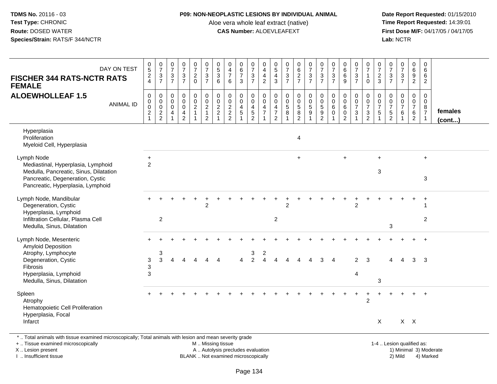### **P09: NON-NEOPLASTIC LESIONS BY INDIVIDUAL ANIMAL**

Aloe vera whole leaf extract (native)<br>**CAS Number:** ALOEVLEAFEXT

 **Date Report Requested:** 01/15/2010 **First Dose M/F:** 04/17/05 / 04/17/05<br>Lab: NCTR **Lab:** NCTR

| DAY ON TEST<br><b>FISCHER 344 RATS-NCTR RATS</b><br><b>FEMALE</b>                                                                                                     | $\begin{array}{c} 0 \\ 5 \end{array}$<br>$\frac{2}{4}$  | $\frac{0}{7}$<br>$\frac{3}{7}$                                                    | $\pmb{0}$<br>$\overline{7}$<br>$\mathbf{3}$<br>$\overline{7}$               | $\pmb{0}$<br>$\overline{7}$<br>3<br>$\overline{7}$               | $\frac{0}{7}$<br>$\frac{2}{0}$                            | $\frac{0}{7}$<br>$\frac{3}{7}$                                               | $\begin{array}{c} 0 \\ 5 \end{array}$<br>$\sqrt{3}$<br>$6\phantom{1}$     | $\pmb{0}$<br>$\overline{4}$<br>$\overline{7}$<br>6                           | $\pmb{0}$<br>$\,6\,$<br>$\overline{7}$<br>3                | $\pmb{0}$<br>$\overline{7}$<br>$\frac{3}{7}$                                | 0<br>4<br>4<br>$\overline{2}$                             | $^{\rm 0}_{\rm 5}$<br>$rac{4}{3}$                         | 0<br>$\overline{7}$<br>$\frac{3}{7}$             | $_{6}^{\rm 0}$<br>$\frac{2}{7}$                                        | $\begin{smallmatrix}0\\7\end{smallmatrix}$<br>$\frac{3}{7}$   | $\frac{0}{7}$<br>$\frac{3}{7}$                                                    | $\frac{0}{7}$<br>$\frac{3}{7}$       | $\begin{array}{c} 0 \\ 6 \end{array}$<br>$^6_9$                        | $\frac{0}{7}$<br>$\frac{3}{7}$          | $\frac{0}{7}$<br>$\mathbf{1}$<br>$\mathbf 0$                                    | $\frac{0}{7}$<br>$\frac{2}{3}$                             | $\frac{0}{7}$<br>$\frac{3}{7}$                      | $\begin{smallmatrix}0\\7\end{smallmatrix}$<br>$\frac{3}{7}$               | 0<br>$\,6\,$<br>9<br>$\overline{2}$                             | 0<br>6<br>6<br>$\overline{2}$                                     |                   |
|-----------------------------------------------------------------------------------------------------------------------------------------------------------------------|---------------------------------------------------------|-----------------------------------------------------------------------------------|-----------------------------------------------------------------------------|------------------------------------------------------------------|-----------------------------------------------------------|------------------------------------------------------------------------------|---------------------------------------------------------------------------|------------------------------------------------------------------------------|------------------------------------------------------------|-----------------------------------------------------------------------------|-----------------------------------------------------------|-----------------------------------------------------------|--------------------------------------------------|------------------------------------------------------------------------|---------------------------------------------------------------|-----------------------------------------------------------------------------------|--------------------------------------|------------------------------------------------------------------------|-----------------------------------------|---------------------------------------------------------------------------------|------------------------------------------------------------|-----------------------------------------------------|---------------------------------------------------------------------------|-----------------------------------------------------------------|-------------------------------------------------------------------|-------------------|
| <b>ALOEWHOLLEAF 1.5</b><br><b>ANIMAL ID</b>                                                                                                                           | 0<br>0<br>$\mathbf 0$<br>$\overline{2}$<br>$\mathbf{1}$ | $\mathbf 0$<br>$\mathsf{O}$<br>$\overline{0}$<br>$\overline{2}$<br>$\overline{2}$ | $\mathbf 0$<br>$\mathbf 0$<br>$\mathbf 0$<br>$\overline{4}$<br>$\mathbf{1}$ | $\mathbf 0$<br>$\mathbf 0$<br>$\mathbf 0$<br>4<br>$\overline{2}$ | 0<br>$\mathbf 0$<br>$\boldsymbol{2}$<br>$\mathbf{1}$<br>1 | $\pmb{0}$<br>$\mathbf 0$<br>$\overline{2}$<br>$\mathbf{1}$<br>$\overline{2}$ | $\pmb{0}$<br>$\pmb{0}$<br>$\overline{2}$<br>$\mathbf 2$<br>$\overline{1}$ | $\mathbf 0$<br>$\mathbf 0$<br>$\overline{c}$<br>$\sqrt{2}$<br>$\overline{2}$ | $\mathbf 0$<br>$\mathbf 0$<br>$\overline{a}$<br>$\sqrt{5}$ | 0<br>$\mathbf 0$<br>$\overline{\mathbf{4}}$<br>$\sqrt{5}$<br>$\overline{2}$ | 0<br>$\mathbf 0$<br>4<br>$\overline{7}$<br>$\overline{1}$ | 0<br>$\mathbf 0$<br>4<br>$\overline{7}$<br>$\overline{2}$ | 0<br>$\mathbf 0$<br>$\sqrt{5}$<br>$\overline{8}$ | 0<br>$\mathbf 0$<br>$\overline{5}$<br>$\overline{8}$<br>$\overline{2}$ | $\mathbf 0$<br>$\mathbf 0$<br>$\frac{5}{9}$<br>$\overline{1}$ | $\boldsymbol{0}$<br>$\mathbf 0$<br>$\sqrt{5}$<br>$\overline{9}$<br>$\overline{2}$ | 0<br>$\mathbf 0$<br>6<br>$\mathbf 0$ | $\mathbf 0$<br>$\mathbf 0$<br>$\,6\,$<br>$\mathbf 0$<br>$\overline{2}$ | 0<br>$\mathbf 0$<br>$\overline{7}$<br>3 | 0<br>$\pmb{0}$<br>$\overline{7}$<br>$\ensuremath{\mathsf{3}}$<br>$\overline{2}$ | $\mathbf 0$<br>$\mathbf 0$<br>$\overline{7}$<br>$\sqrt{5}$ | 0<br>$\mathbf 0$<br>$\overline{7}$<br>$\frac{5}{2}$ | $\mathbf 0$<br>$\mathbf 0$<br>$\overline{7}$<br>$\,6\,$<br>$\overline{1}$ | 0<br>$\mathbf 0$<br>$\overline{7}$<br>$\,6\,$<br>$\overline{2}$ | $\mathbf 0$<br>$\mathbf 0$<br>8<br>$\overline{7}$<br>$\mathbf{1}$ | females<br>(cont) |
| Hyperplasia<br>Proliferation<br>Myeloid Cell, Hyperplasia                                                                                                             |                                                         |                                                                                   |                                                                             |                                                                  |                                                           |                                                                              |                                                                           |                                                                              |                                                            |                                                                             |                                                           |                                                           |                                                  | $\overline{4}$                                                         |                                                               |                                                                                   |                                      |                                                                        |                                         |                                                                                 |                                                            |                                                     |                                                                           |                                                                 |                                                                   |                   |
| Lymph Node<br>Mediastinal, Hyperplasia, Lymphoid<br>Medulla, Pancreatic, Sinus, Dilatation<br>Pancreatic, Degeneration, Cystic<br>Pancreatic, Hyperplasia, Lymphoid   | $\ddot{}$<br>$\overline{2}$                             |                                                                                   |                                                                             |                                                                  |                                                           |                                                                              |                                                                           |                                                                              |                                                            |                                                                             |                                                           |                                                           |                                                  | $\ddot{}$                                                              |                                                               |                                                                                   |                                      | $\ddot{}$                                                              |                                         |                                                                                 | $+$<br>3                                                   |                                                     |                                                                           |                                                                 | $+$<br>3                                                          |                   |
| Lymph Node, Mandibular<br>Degeneration, Cystic<br>Hyperplasia, Lymphoid<br>Infiltration Cellular, Plasma Cell<br>Medulla, Sinus, Dilatation                           |                                                         | $\overline{2}$                                                                    |                                                                             |                                                                  |                                                           | $\overline{c}$                                                               |                                                                           |                                                                              |                                                            |                                                                             |                                                           | $\overline{c}$                                            | 2                                                |                                                                        |                                                               |                                                                                   |                                      |                                                                        | $\overline{2}$                          |                                                                                 |                                                            | 3                                                   |                                                                           |                                                                 | -1<br>$\overline{2}$                                              |                   |
| Lymph Node, Mesenteric<br><b>Amyloid Deposition</b><br>Atrophy, Lymphocyte<br>Degeneration, Cystic<br>Fibrosis<br>Hyperplasia, Lymphoid<br>Medulla, Sinus, Dilatation | $\sqrt{3}$<br>3<br>3                                    | 3<br>3                                                                            | Λ                                                                           |                                                                  |                                                           |                                                                              |                                                                           |                                                                              |                                                            | 3<br>$\mathcal{P}$                                                          | 2                                                         |                                                           |                                                  |                                                                        |                                                               |                                                                                   | Δ                                    |                                                                        | $\mathfrak{p}$<br>4                     | 3                                                                               | 3                                                          | Δ                                                   |                                                                           | 3                                                               | 3                                                                 |                   |
| Spleen<br>Atrophy<br>Hematopoietic Cell Proliferation<br>Hyperplasia, Focal<br>Infarct                                                                                |                                                         |                                                                                   |                                                                             |                                                                  |                                                           |                                                                              |                                                                           |                                                                              |                                                            |                                                                             |                                                           |                                                           |                                                  |                                                                        |                                                               |                                                                                   |                                      |                                                                        |                                         | $\overline{2}$                                                                  | Χ                                                          |                                                     |                                                                           | $X$ $X$                                                         |                                                                   |                   |
| *  Total animals with tissue examined microscopically; Total animals with lesion and mean severity grade<br>+  Tissue examined microscopically<br>X  Lesion present   |                                                         |                                                                                   |                                                                             |                                                                  |                                                           | M  Missing tissue                                                            |                                                                           | A  Autolysis precludes evaluation                                            |                                                            |                                                                             |                                                           |                                                           |                                                  |                                                                        |                                                               |                                                                                   |                                      |                                                                        |                                         |                                                                                 |                                                            |                                                     | 1-4  Lesion qualified as:                                                 |                                                                 | 1) Minimal 3) Moderate                                            |                   |

I .. Insufficient tissue

BLANK .. Not examined microscopically and the contract of the contract of the contract of Modellin 2) Mild 4) Marked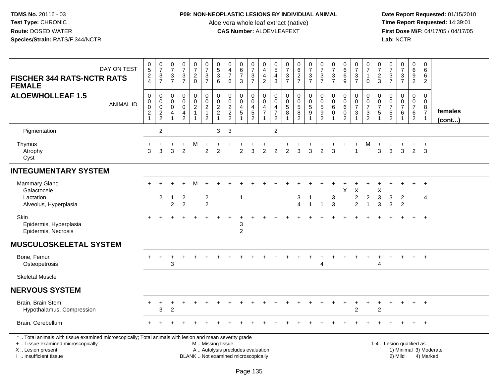### **P09: NON-NEOPLASTIC LESIONS BY INDIVIDUAL ANIMAL**

Aloe vera whole leaf extract (native)<br>**CAS Number:** ALOEVLEAFEXT

| DAY ON TEST<br><b>FISCHER 344 RATS-NCTR RATS</b><br><b>FEMALE</b>                                                                                                                             | 0<br>5<br>$\frac{2}{4}$                                 | $\frac{0}{7}$<br>$\ensuremath{\mathsf{3}}$<br>$\overline{7}$ | $\frac{0}{7}$<br>$\sqrt{3}$<br>$\overline{7}$                            | $\begin{array}{c} 0 \\ 7 \end{array}$<br>$\ensuremath{\mathsf{3}}$<br>$\overline{7}$ | $\begin{smallmatrix}0\\7\end{smallmatrix}$<br>$\sqrt{2}$<br>$\mathbf 0$ | $\begin{array}{c} 0 \\ 7 \end{array}$<br>$\ensuremath{\mathsf{3}}$<br>$\overline{7}$ | $\begin{array}{c} 0 \\ 5 \end{array}$<br>$\ensuremath{\mathsf{3}}$<br>6 | $\pmb{0}$<br>$\overline{\mathbf{4}}$<br>$\overline{7}$<br>6              | $\begin{array}{c} 0 \\ 6 \end{array}$<br>$\overline{7}$<br>3 | $\frac{0}{7}$<br>$\mathbf{3}$<br>$\overline{7}$ | $\pmb{0}$<br>$\overline{4}$<br>$\overline{\mathbf{4}}$<br>$\overline{2}$ | $\begin{array}{c} 0 \\ 5 \end{array}$<br>$\overline{4}$<br>3 | $\frac{0}{7}$<br>$\frac{3}{7}$                             | $\begin{array}{c} 0 \\ 6 \end{array}$<br>$\frac{2}{7}$ | $\frac{0}{7}$<br>$\ensuremath{\mathsf{3}}$<br>$\overline{7}$      | $\frac{0}{7}$<br>$\ensuremath{\mathsf{3}}$<br>$\overline{7}$                       | $\frac{0}{7}$<br>$\sqrt{3}$<br>$\overline{7}$        | $_{6}^{\rm 0}$<br>$\,6$<br>9                  | $\begin{array}{c} 0 \\ 7 \end{array}$<br>$\ensuremath{\mathsf{3}}$<br>$\overline{7}$ | $\frac{0}{7}$<br>$\mathbf{1}$<br>$\mathbf 0$                                    | $\frac{0}{7}$<br>$\overline{c}$<br>3                   | $\frac{0}{7}$<br>$\ensuremath{\mathsf{3}}$<br>$\overline{7}$                 | $\frac{0}{7}$<br>$\frac{3}{7}$             | 0<br>$\,6\,$<br>9<br>$\overline{2}$                                     | 0<br>6<br>6<br>$\overline{2}$                                             |                        |
|-----------------------------------------------------------------------------------------------------------------------------------------------------------------------------------------------|---------------------------------------------------------|--------------------------------------------------------------|--------------------------------------------------------------------------|--------------------------------------------------------------------------------------|-------------------------------------------------------------------------|--------------------------------------------------------------------------------------|-------------------------------------------------------------------------|--------------------------------------------------------------------------|--------------------------------------------------------------|-------------------------------------------------|--------------------------------------------------------------------------|--------------------------------------------------------------|------------------------------------------------------------|--------------------------------------------------------|-------------------------------------------------------------------|------------------------------------------------------------------------------------|------------------------------------------------------|-----------------------------------------------|--------------------------------------------------------------------------------------|---------------------------------------------------------------------------------|--------------------------------------------------------|------------------------------------------------------------------------------|--------------------------------------------|-------------------------------------------------------------------------|---------------------------------------------------------------------------|------------------------|
| <b>ALOEWHOLLEAF 1.5</b><br><b>ANIMAL ID</b>                                                                                                                                                   | 0<br>0<br>$\mathbf 0$<br>$\overline{c}$<br>$\mathbf{1}$ | 0<br>$\pmb{0}$<br>$\mathbf 0$<br>$\frac{2}{2}$               | $\mathsf{O}\xspace$<br>$\mathbf 0$<br>$\mathbf 0$<br>4<br>$\overline{1}$ | 0<br>$\mathbf 0$<br>$\pmb{0}$<br>$\overline{4}$<br>$\overline{2}$                    | $\mathbf 0$<br>$\overline{0}$<br>$\frac{2}{1}$<br>-1                    | 0<br>$\ddot{\mathbf{0}}$<br>$\frac{2}{1}$<br>$\overline{2}$                          | $\mathbf 0$<br>$\mathbf 0$<br>$\frac{2}{2}$<br>$\mathbf{1}$             | $\pmb{0}$<br>$\pmb{0}$<br>$\frac{2}{2}$                                  | 0<br>$\ddot{\mathbf{0}}$<br>$\frac{4}{5}$<br>-1              | 0<br>$\overline{0}$<br>$\frac{4}{5}$            | $\mathbf 0$<br>$\overline{0}$<br>$\frac{4}{7}$<br>-1                     | $\mathbf 0$<br>$\mathbf 0$<br>$\frac{4}{7}$<br>$\sqrt{2}$    | $\mathbf 0$<br>$\overline{0}$<br>$\overline{5}$<br>8<br>-1 | 0<br>$\pmb{0}$<br>$\frac{5}{8}$<br>$\overline{2}$      | 0<br>$\pmb{0}$<br>$\,$ 5 $\,$<br>$\boldsymbol{9}$<br>$\mathbf{1}$ | $\mathbf 0$<br>$\overline{0}$<br>$\mathbf 5$<br>$\boldsymbol{9}$<br>$\overline{2}$ | $\mathbf 0$<br>$\mathbf 0$<br>6<br>$\mathbf 0$<br>-1 | 0<br>$\pmb{0}$<br>$\,6\,$<br>$\mathbf 0$<br>2 | 0<br>$\pmb{0}$<br>$\boldsymbol{7}$<br>$\sqrt{3}$<br>-1                               | $\mathbf 0$<br>$\overline{0}$<br>$\overline{7}$<br>$\sqrt{3}$<br>$\overline{2}$ | $\mathbf 0$<br>$\mathbf 0$<br>$\overline{7}$<br>5<br>1 | $\mathbf 0$<br>$\mathbf 0$<br>$\overline{7}$<br>$\sqrt{5}$<br>$\overline{2}$ | 0<br>$\overline{0}$<br>$\overline{7}$<br>6 | 0<br>$\mathsf{O}\xspace$<br>$\overline{7}$<br>$\,6\,$<br>$\overline{2}$ | 0<br>$\pmb{0}$<br>$\begin{array}{c} 8 \\ 7 \end{array}$<br>$\overline{1}$ | females<br>(cont)      |
| Pigmentation                                                                                                                                                                                  |                                                         | $\overline{c}$                                               |                                                                          |                                                                                      |                                                                         |                                                                                      | 3                                                                       | $\sqrt{3}$                                                               |                                                              |                                                 |                                                                          | $\overline{\mathbf{c}}$                                      |                                                            |                                                        |                                                                   |                                                                                    |                                                      |                                               |                                                                                      |                                                                                 |                                                        |                                                                              |                                            |                                                                         |                                                                           |                        |
| Thymus<br>Atrophy<br>Cyst                                                                                                                                                                     | 3                                                       | 3                                                            | 3                                                                        | $\div$<br>$\overline{2}$                                                             | M                                                                       | $\mathcal{P}$                                                                        | $\overline{2}$                                                          |                                                                          | $\mathfrak{p}$                                               | 3                                               | 2                                                                        | 2                                                            | 2                                                          | 3                                                      | 3                                                                 | $\overline{c}$                                                                     | 3                                                    |                                               | +                                                                                    | м                                                                               | 3                                                      | 3                                                                            | 3                                          | $\pm$<br>$\overline{2}$                                                 | $\ddot{}$<br>3                                                            |                        |
| <b>INTEGUMENTARY SYSTEM</b>                                                                                                                                                                   |                                                         |                                                              |                                                                          |                                                                                      |                                                                         |                                                                                      |                                                                         |                                                                          |                                                              |                                                 |                                                                          |                                                              |                                                            |                                                        |                                                                   |                                                                                    |                                                      |                                               |                                                                                      |                                                                                 |                                                        |                                                                              |                                            |                                                                         |                                                                           |                        |
| Mammary Gland<br>Galactocele<br>Lactation                                                                                                                                                     |                                                         | $\overline{2}$                                               | $\mathbf{1}$                                                             | $\overline{c}$                                                                       |                                                                         | $\overline{c}$                                                                       |                                                                         |                                                                          | $\overline{1}$                                               |                                                 |                                                                          |                                                              |                                                            | 3                                                      | -1                                                                |                                                                                    | 3                                                    | Χ                                             | $\mathsf X$<br>$\overline{c}$                                                        | $\boldsymbol{2}$                                                                | X<br>$\ensuremath{\mathsf{3}}$                         | 3                                                                            | $\overline{2}$                             |                                                                         | $+$<br>$\overline{4}$                                                     |                        |
| Alveolus, Hyperplasia                                                                                                                                                                         |                                                         |                                                              | $\overline{2}$                                                           | $\overline{2}$                                                                       |                                                                         | $\overline{c}$                                                                       |                                                                         |                                                                          |                                                              |                                                 |                                                                          |                                                              |                                                            | $\overline{4}$                                         | $\mathbf{1}$                                                      | $\mathbf{1}$                                                                       | $\mathbf{3}$                                         |                                               | $\overline{2}$                                                                       | $\overline{1}$                                                                  | 3                                                      | $\mathbf{3}$                                                                 | $\overline{2}$                             |                                                                         |                                                                           |                        |
| Skin<br>Epidermis, Hyperplasia<br>Epidermis, Necrosis                                                                                                                                         |                                                         |                                                              |                                                                          |                                                                                      |                                                                         |                                                                                      |                                                                         |                                                                          | 3<br>$\overline{2}$                                          |                                                 |                                                                          |                                                              |                                                            |                                                        |                                                                   |                                                                                    |                                                      |                                               |                                                                                      |                                                                                 |                                                        |                                                                              |                                            |                                                                         | $\overline{+}$                                                            |                        |
| <b>MUSCULOSKELETAL SYSTEM</b>                                                                                                                                                                 |                                                         |                                                              |                                                                          |                                                                                      |                                                                         |                                                                                      |                                                                         |                                                                          |                                                              |                                                 |                                                                          |                                                              |                                                            |                                                        |                                                                   |                                                                                    |                                                      |                                               |                                                                                      |                                                                                 |                                                        |                                                                              |                                            |                                                                         |                                                                           |                        |
| Bone, Femur<br>Osteopetrosis                                                                                                                                                                  |                                                         | $\ddot{}$                                                    | $\ddot{}$<br>3                                                           |                                                                                      |                                                                         |                                                                                      |                                                                         |                                                                          |                                                              |                                                 |                                                                          |                                                              |                                                            |                                                        |                                                                   | 4                                                                                  |                                                      |                                               |                                                                                      | $\pm$                                                                           | $\ddot{}$<br>4                                         |                                                                              |                                            | $+$                                                                     | $+$                                                                       |                        |
| <b>Skeletal Muscle</b>                                                                                                                                                                        |                                                         |                                                              |                                                                          |                                                                                      |                                                                         |                                                                                      |                                                                         |                                                                          |                                                              |                                                 |                                                                          |                                                              |                                                            |                                                        |                                                                   |                                                                                    |                                                      |                                               |                                                                                      |                                                                                 |                                                        |                                                                              |                                            |                                                                         |                                                                           |                        |
| <b>NERVOUS SYSTEM</b>                                                                                                                                                                         |                                                         |                                                              |                                                                          |                                                                                      |                                                                         |                                                                                      |                                                                         |                                                                          |                                                              |                                                 |                                                                          |                                                              |                                                            |                                                        |                                                                   |                                                                                    |                                                      |                                               |                                                                                      |                                                                                 |                                                        |                                                                              |                                            |                                                                         |                                                                           |                        |
| Brain, Brain Stem<br>Hypothalamus, Compression                                                                                                                                                |                                                         | 3                                                            | 2                                                                        |                                                                                      |                                                                         |                                                                                      |                                                                         |                                                                          |                                                              |                                                 |                                                                          |                                                              |                                                            |                                                        |                                                                   |                                                                                    |                                                      |                                               | 2                                                                                    |                                                                                 | $\overline{2}$                                         |                                                                              |                                            | $+$                                                                     | $+$                                                                       |                        |
| Brain, Cerebellum                                                                                                                                                                             |                                                         |                                                              |                                                                          |                                                                                      |                                                                         |                                                                                      |                                                                         |                                                                          |                                                              |                                                 |                                                                          |                                                              |                                                            |                                                        |                                                                   |                                                                                    |                                                      |                                               |                                                                                      |                                                                                 |                                                        |                                                                              |                                            |                                                                         | $\overline{+}$                                                            |                        |
| *  Total animals with tissue examined microscopically; Total animals with lesion and mean severity grade<br>+  Tissue examined microscopically<br>X  Lesion present<br>I. Insufficient tissue |                                                         |                                                              |                                                                          |                                                                                      |                                                                         | M  Missing tissue                                                                    |                                                                         | A  Autolysis precludes evaluation<br>BLANK  Not examined microscopically |                                                              |                                                 |                                                                          |                                                              |                                                            |                                                        |                                                                   |                                                                                    |                                                      |                                               |                                                                                      |                                                                                 |                                                        | 1-4  Lesion qualified as:                                                    | 2) Mild                                    |                                                                         | 4) Marked                                                                 | 1) Minimal 3) Moderate |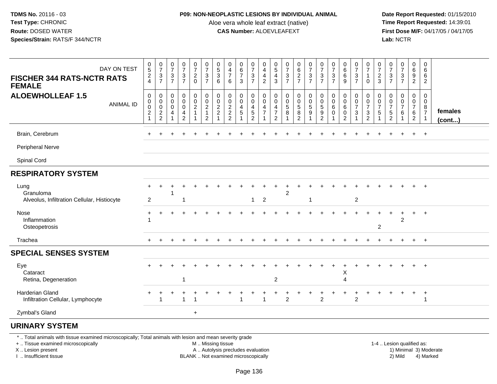### **P09: NON-NEOPLASTIC LESIONS BY INDIVIDUAL ANIMAL**

Aloe vera whole leaf extract (native)<br>**CAS Number:** ALOEVLEAFEXT

 **Date Report Requested:** 01/15/2010 **First Dose M/F:** 04/17/05 / 04/17/05 Lab: NCTR **Lab:** NCTR

| DAY ON TEST<br><b>FISCHER 344 RATS-NCTR RATS</b><br><b>FEMALE</b>                                                                              | $\begin{array}{c} 0 \\ 5 \end{array}$<br>$\overline{c}$<br>4                     | $\frac{0}{7}$<br>$\mathbf{3}$<br>$\overline{7}$ | $\boldsymbol{0}$<br>$\overline{7}$<br>3<br>$\overline{7}$ | $\frac{0}{7}$<br>$\frac{3}{7}$               | 0<br>$\overline{7}$<br>$\frac{2}{0}$                               | $\mathbf 0$<br>$\overline{7}$<br>$\frac{3}{7}$            | $\boldsymbol{0}$<br>$\sqrt{5}$<br>$\ensuremath{\mathsf{3}}$<br>6 | 0<br>$\frac{4}{7}$<br>6                           | 0<br>$\frac{6}{7}$<br>3                          | $\frac{0}{7}$<br>$\frac{3}{7}$                                       | 0<br>$\overline{4}$<br>4<br>$\overline{c}$   | 0<br>$\sqrt{5}$<br>$\overline{4}$<br>3 | $\frac{0}{7}$<br>$\frac{3}{7}$    | 0<br>$rac{6}{2}$                                            | 0<br>$\boldsymbol{7}$<br>$\frac{3}{7}$ | 0<br>$\boldsymbol{7}$<br>$\frac{3}{7}$        | 0<br>$\overline{7}$<br>3<br>$\overline{7}$ | $\begin{matrix} 0 \\ 6 \\ 6 \end{matrix}$<br>9                         | 0<br>$\overline{7}$<br>$\frac{3}{7}$                                                      | $\pmb{0}$<br>$\overline{7}$<br>$\mathbf{1}$<br>$\mathbf 0$ | 0<br>$\overline{7}$<br>$\frac{2}{3}$            | 0<br>$\overline{7}$<br>$\frac{3}{7}$      | $\frac{0}{7}$<br>$\frac{3}{7}$               | 0<br>6<br>9<br>$\overline{2}$                                                        | $\mathbf 0$<br>6<br>6<br>$\overline{2}$                          |                         |
|------------------------------------------------------------------------------------------------------------------------------------------------|----------------------------------------------------------------------------------|-------------------------------------------------|-----------------------------------------------------------|----------------------------------------------|--------------------------------------------------------------------|-----------------------------------------------------------|------------------------------------------------------------------|---------------------------------------------------|--------------------------------------------------|----------------------------------------------------------------------|----------------------------------------------|----------------------------------------|-----------------------------------|-------------------------------------------------------------|----------------------------------------|-----------------------------------------------|--------------------------------------------|------------------------------------------------------------------------|-------------------------------------------------------------------------------------------|------------------------------------------------------------|-------------------------------------------------|-------------------------------------------|----------------------------------------------|--------------------------------------------------------------------------------------|------------------------------------------------------------------|-------------------------|
| <b>ALOEWHOLLEAF 1.5</b><br><b>ANIMAL ID</b>                                                                                                    | $\mathbf 0$<br>$\pmb{0}$<br>$\boldsymbol{0}$<br>$\overline{c}$<br>$\overline{1}$ | 0<br>0<br>$\mathbf 0$<br>$\frac{2}{2}$          | 0<br>$\mathbf 0$<br>$\mathbf 0$<br>-1                     | 0<br>$\mathsf 0$<br>0<br>4<br>$\overline{2}$ | 0<br>$\mathbf 0$<br>$\overline{c}$<br>$\mathbf{1}$<br>$\mathbf{1}$ | 0<br>$\pmb{0}$<br>$\boldsymbol{2}$<br>1<br>$\overline{2}$ | 0<br>$\pmb{0}$<br>$\sqrt{2}$<br>$\overline{c}$                   | 0<br>$\pmb{0}$<br>$\overline{c}$<br>$\frac{2}{2}$ | 0<br>$\mathbf 0$<br>$\overline{\mathbf{4}}$<br>5 | 0<br>$\mathsf{O}\xspace$<br>$\overline{\mathbf{4}}$<br>$\frac{5}{2}$ | 0<br>$\mathbf 0$<br>4<br>$\overline{7}$<br>1 | 0<br>0<br>4<br>7<br>$\overline{2}$     | 0<br>$\pmb{0}$<br>$\sqrt{5}$<br>8 | 0<br>$\mathsf 0$<br>$\sqrt{5}$<br>$\,8\,$<br>$\overline{2}$ | 0<br>0<br>5<br>9<br>$\mathbf{1}$       | 0<br>$\pmb{0}$<br>$\sqrt{5}$<br>$\frac{9}{2}$ | 0<br>$\mathbf 0$<br>6<br>0<br>$\mathbf 1$  | $\mathbf 0$<br>$\mathbf 0$<br>$\,6\,$<br>$\mathbf 0$<br>$\overline{2}$ | 0<br>$\mathsf{O}\xspace$<br>$\overline{7}$<br>$\ensuremath{\mathsf{3}}$<br>$\overline{1}$ | 0<br>$\mathbf 0$<br>$\overline{7}$<br>$\frac{3}{2}$        | 0<br>0<br>$\overline{7}$<br>5<br>$\overline{1}$ | 0<br>0<br>$\overline{7}$<br>$\frac{5}{2}$ | 0<br>$\mathsf 0$<br>$\overline{7}$<br>6<br>1 | $\mathbf 0$<br>$\overline{0}$<br>$\overline{7}$<br>$6\overline{6}$<br>$\overline{2}$ | $\Omega$<br>$\mathbf 0$<br>8<br>$\overline{7}$<br>$\overline{1}$ | females<br>$($ cont $)$ |
| Brain, Cerebrum                                                                                                                                |                                                                                  |                                                 |                                                           |                                              |                                                                    |                                                           |                                                                  |                                                   |                                                  |                                                                      |                                              |                                        |                                   |                                                             |                                        |                                               |                                            |                                                                        |                                                                                           |                                                            |                                                 |                                           |                                              | $\ddot{}$                                                                            | $+$                                                              |                         |
| Peripheral Nerve                                                                                                                               |                                                                                  |                                                 |                                                           |                                              |                                                                    |                                                           |                                                                  |                                                   |                                                  |                                                                      |                                              |                                        |                                   |                                                             |                                        |                                               |                                            |                                                                        |                                                                                           |                                                            |                                                 |                                           |                                              |                                                                                      |                                                                  |                         |
| Spinal Cord                                                                                                                                    |                                                                                  |                                                 |                                                           |                                              |                                                                    |                                                           |                                                                  |                                                   |                                                  |                                                                      |                                              |                                        |                                   |                                                             |                                        |                                               |                                            |                                                                        |                                                                                           |                                                            |                                                 |                                           |                                              |                                                                                      |                                                                  |                         |
| <b>RESPIRATORY SYSTEM</b>                                                                                                                      |                                                                                  |                                                 |                                                           |                                              |                                                                    |                                                           |                                                                  |                                                   |                                                  |                                                                      |                                              |                                        |                                   |                                                             |                                        |                                               |                                            |                                                                        |                                                                                           |                                                            |                                                 |                                           |                                              |                                                                                      |                                                                  |                         |
| Lung<br>Granuloma<br>Alveolus, Infiltration Cellular, Histiocyte                                                                               | $\overline{2}$                                                                   |                                                 |                                                           |                                              |                                                                    |                                                           |                                                                  |                                                   |                                                  | 1.                                                                   | 2                                            |                                        | 2                                 |                                                             |                                        |                                               |                                            |                                                                        | 2                                                                                         |                                                            |                                                 |                                           |                                              |                                                                                      |                                                                  |                         |
| Nose<br>Inflammation<br>Osteopetrosis                                                                                                          | $\ddot{}$                                                                        | $\ddot{}$                                       |                                                           |                                              |                                                                    |                                                           |                                                                  |                                                   |                                                  |                                                                      |                                              |                                        |                                   |                                                             |                                        |                                               |                                            |                                                                        |                                                                                           |                                                            | $\boldsymbol{2}$                                |                                           | $\overline{2}$                               | $\ddot{}$                                                                            | $+$                                                              |                         |
| Trachea                                                                                                                                        |                                                                                  |                                                 |                                                           |                                              |                                                                    |                                                           |                                                                  |                                                   |                                                  |                                                                      |                                              |                                        |                                   |                                                             |                                        |                                               |                                            |                                                                        |                                                                                           |                                                            |                                                 |                                           |                                              | $\pm$                                                                                | $+$                                                              |                         |
| <b>SPECIAL SENSES SYSTEM</b>                                                                                                                   |                                                                                  |                                                 |                                                           |                                              |                                                                    |                                                           |                                                                  |                                                   |                                                  |                                                                      |                                              |                                        |                                   |                                                             |                                        |                                               |                                            |                                                                        |                                                                                           |                                                            |                                                 |                                           |                                              |                                                                                      |                                                                  |                         |
| Eye<br>Cataract<br>Retina, Degeneration                                                                                                        |                                                                                  |                                                 |                                                           | $\mathbf 1$                                  |                                                                    |                                                           |                                                                  |                                                   |                                                  |                                                                      |                                              | 2                                      |                                   |                                                             |                                        |                                               |                                            | Χ<br>4                                                                 |                                                                                           |                                                            |                                                 |                                           |                                              |                                                                                      |                                                                  |                         |
| Harderian Gland<br>Infiltration Cellular, Lymphocyte                                                                                           |                                                                                  | 1                                               |                                                           | $\mathbf{1}$                                 |                                                                    |                                                           |                                                                  |                                                   |                                                  |                                                                      | $\overline{ }$                               |                                        | $\mathfrak{p}$                    |                                                             |                                        | $\overline{2}$                                |                                            |                                                                        | $\overline{2}$                                                                            |                                                            |                                                 |                                           |                                              |                                                                                      | $\ddot{}$<br>-1                                                  |                         |
| Zymbal's Gland                                                                                                                                 |                                                                                  |                                                 |                                                           |                                              | $\ddot{}$                                                          |                                                           |                                                                  |                                                   |                                                  |                                                                      |                                              |                                        |                                   |                                                             |                                        |                                               |                                            |                                                                        |                                                                                           |                                                            |                                                 |                                           |                                              |                                                                                      |                                                                  |                         |
| <b>URINARY SYSTEM</b>                                                                                                                          |                                                                                  |                                                 |                                                           |                                              |                                                                    |                                                           |                                                                  |                                                   |                                                  |                                                                      |                                              |                                        |                                   |                                                             |                                        |                                               |                                            |                                                                        |                                                                                           |                                                            |                                                 |                                           |                                              |                                                                                      |                                                                  |                         |
| *  Total animals with tissue examined microscopically; Total animals with lesion and mean severity grade<br>+  Tissue examined microscopically |                                                                                  |                                                 |                                                           |                                              |                                                                    | M  Missing tissue                                         |                                                                  |                                                   |                                                  |                                                                      |                                              |                                        |                                   |                                                             |                                        |                                               |                                            |                                                                        |                                                                                           |                                                            |                                                 |                                           | 1-4  Lesion qualified as:                    |                                                                                      |                                                                  |                         |

X .. Lesion present

I .. Insufficient tissue

M .. Missing tissue

A .. Autolysis precludes evaluation

BLANK .. Not examined microscopically 2) Mild 4) Marked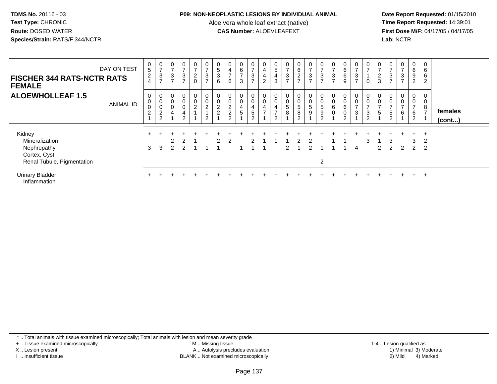### **P09: NON-NEOPLASTIC LESIONS BY INDIVIDUAL ANIMAL**

Aloe vera whole leaf extract (native)<br>**CAS Number:** ALOEVLEAFEXT

 **Date Report Requested:** 01/15/2010 **First Dose M/F:** 04/17/05 / 04/17/05<br>**Lab:** NCTR **Lab:** NCTR

|                                                                                       | DAY ON TEST      | 0                                                   | $\frac{0}{7}$                                                     | 0<br>$\overline{7}$                         | 0<br>$\overline{ }$                                                    | $\mathbf 0$<br>$\overline{z}$ | $\frac{0}{7}$                                                               | 0                                                    |                            | 0                                     | 0<br>$\overline{ }$                          | 0                                                 | 0                                                       | 0<br>$\overline{7}$                            | $\overline{0}$                        | 0<br>$\overline{ }$                         | 0<br>$\rightarrow$                                            | $\rightarrow$ | 0                                                                         | $\frac{0}{7}$                                                 | 0<br>$\overline{ }$                        | $\overline{ }$      | 0<br>$\overline{ }$                                | 0<br>$\overline{ }$                         | 0                                                         | 0                                          |                         |
|---------------------------------------------------------------------------------------|------------------|-----------------------------------------------------|-------------------------------------------------------------------|---------------------------------------------|------------------------------------------------------------------------|-------------------------------|-----------------------------------------------------------------------------|------------------------------------------------------|----------------------------|---------------------------------------|----------------------------------------------|---------------------------------------------------|---------------------------------------------------------|------------------------------------------------|---------------------------------------|---------------------------------------------|---------------------------------------------------------------|---------------|---------------------------------------------------------------------------|---------------------------------------------------------------|--------------------------------------------|---------------------|----------------------------------------------------|---------------------------------------------|-----------------------------------------------------------|--------------------------------------------|-------------------------|
| <b>FISCHER 344 RATS-NCTR RATS</b><br><b>FEMALE</b>                                    |                  | 5<br>$\overline{c}$<br>$\overline{4}$               | 3<br>$\overline{ }$                                               | $\ensuremath{\mathsf{3}}$<br>$\overline{7}$ | $\sqrt{3}$<br>$\overline{ }$                                           | $^2_{\rm 0}$                  | $\frac{3}{7}$                                                               | $\mathbf 5$<br>3<br>6                                | 4<br>$\overline{ }$<br>6   | 6<br>$\overline{ }$<br>3              | $\ensuremath{\mathsf{3}}$<br>$\overline{ }$  | 4<br>$\overline{a}$<br>$\overline{2}$             | $\sqrt{5}$<br>4<br>$\mathfrak{S}$                       | $\mathbf{3}$<br>$\overline{7}$                 | 6<br>$\overline{2}$<br>$\overline{ }$ | $\ensuremath{\mathsf{3}}$<br>$\overline{ }$ | 3<br>$\rightarrow$                                            | $\sqrt{3}$    | $\,6\,$<br>$\,6$<br>$\boldsymbol{9}$                                      | $\ensuremath{\mathsf{3}}$<br>$\overline{ }$                   | $\mathbf 0$                                | $\frac{2}{3}$       | 3<br>$\overline{7}$                                | $\ensuremath{\mathsf{3}}$<br>$\overline{ }$ | 6<br>9<br>$\overline{2}$                                  | 6<br>6<br>$\overline{2}$                   |                         |
| <b>ALOEWHOLLEAF 1.5</b>                                                               | <b>ANIMAL ID</b> | 0<br>$\mathbf 0$<br>$\mathbf 0$<br>$\boldsymbol{2}$ | 0<br>$\begin{smallmatrix}0\0\0\end{smallmatrix}$<br>$\frac{2}{2}$ | 0<br>$\pmb{0}$<br>$\mathbf 0$<br>4          | $\overline{0}$<br>$\mathbf 0$<br>0<br>$\overline{4}$<br>$\overline{2}$ | $\mathbf 0$<br>$\frac{0}{2}$  | $\begin{matrix} 0 \\ 0 \\ 2 \end{matrix}$<br>$\mathbf{1}$<br>$\overline{2}$ | 0<br>$\pmb{0}$<br>$\overline{c}$<br>$\boldsymbol{2}$ | $\pmb{0}$<br>$\frac{2}{2}$ | 0<br>$\pmb{0}$<br>4<br>$\overline{5}$ | 0<br>0<br>4<br>$\,$ 5 $\,$<br>$\overline{2}$ | 0<br>$\pmb{0}$<br>$\overline{4}$<br>$\rightarrow$ | 0<br>$\pmb{0}$<br>4<br>$\overline{ }$<br>$\overline{2}$ | $\boldsymbol{0}$<br>$\pmb{0}$<br>$\frac{5}{8}$ | 0<br>$\mathbf 0$<br>5<br>8<br>$\sim$  | 0<br>5<br>9                                 | 0<br>$\pmb{0}$<br>$\,$ 5 $\,$<br>$\boldsymbol{9}$<br>$\Omega$ | 0<br>6<br>0   | 0<br>$\pmb{0}$<br>$\,6\,$<br>$\begin{smallmatrix} 0\\2 \end{smallmatrix}$ | 0<br>$\pmb{0}$<br>$\overline{ }$<br>$\ensuremath{\mathsf{3}}$ | 0<br>$\overline{ }$<br>3<br>$\overline{2}$ | $\overline{ }$<br>5 | $\pmb{0}$<br>$\overline{ }$<br>5<br>$\overline{2}$ | 0<br>0<br>-<br>6                            | 0<br>$\mathbf 0$<br>$\overline{ }$<br>6<br>$\overline{2}$ | 0<br>0<br>8<br>$\overline{z}$              | females<br>$($ cont $)$ |
| Kidney<br>Mineralization<br>Nephropathy<br>Cortex, Cyst<br>Renal Tubule, Pigmentation |                  | 3                                                   | 3                                                                 | 2                                           | 2                                                                      |                               |                                                                             | 2                                                    | 2                          |                                       |                                              |                                                   |                                                         |                                                |                                       |                                             | $\overline{2}$                                                |               |                                                                           | 4                                                             | 3                                          | 2                   | 3<br>$\mathcal{P}$                                 | $\mathcal{P}$                               | 3<br>2                                                    | $\div$<br>$\overline{2}$<br>$\overline{2}$ |                         |
| <b>Urinary Bladder</b><br>Inflammation                                                |                  |                                                     |                                                                   |                                             |                                                                        |                               |                                                                             |                                                      |                            |                                       |                                              |                                                   |                                                         |                                                |                                       |                                             |                                                               |               |                                                                           |                                                               |                                            |                     |                                                    |                                             | $+$                                                       | $^{+}$                                     |                         |

\* .. Total animals with tissue examined microscopically; Total animals with lesion and mean severity grade

+ .. Tissue examined microscopically

X .. Lesion present

I .. Insufficient tissue

 M .. Missing tissueA .. Autolysis precludes evaluation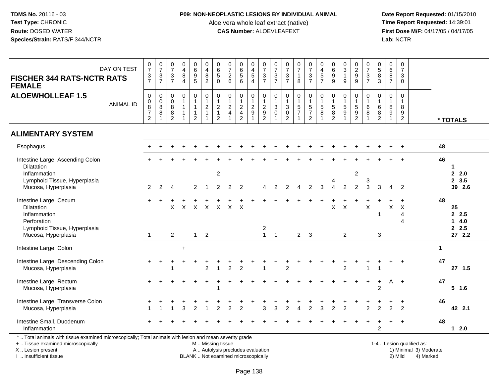### **P09: NON-NEOPLASTIC LESIONS BY INDIVIDUAL ANIMAL**

Aloe vera whole leaf extract (native)<br>**CAS Number:** ALOEVLEAFEXT

 **Date Report Requested:** 01/15/2010 **First Dose M/F:** 04/17/05 / 04/17/05<br>Lab: NCTR **Lab:** NCTR

| <b>FISCHER 344 RATS-NCTR RATS</b><br><b>FEMALE</b>                                                                                                                  | DAY ON TEST      | $\frac{0}{7}$<br>$\frac{3}{7}$                                       | $\frac{0}{7}$<br>$\frac{3}{7}$                          | $\frac{0}{7}$<br>3<br>$\overline{7}$      | $\boldsymbol{0}$<br>$\overline{4}$<br>$\bf 8$<br>$\overline{4}$ | $\pmb{0}$<br>$\,6\,$<br>9<br>$\overline{5}$                                        | 0<br>$\overline{\mathbf{4}}$<br>$\bf 8$<br>$\overline{2}$                     | 0<br>$\overline{6}$<br>$\sqrt{5}$<br>$\mathbf 0$                                | $\frac{0}{7}$<br>$^2$ 6                                                | 0<br>6<br>5<br>6                                     | 0<br>$\overline{\mathbf{4}}$<br>$\,$ 5 $\,$<br>$\overline{4}$ | $\frac{0}{7}$<br>$\frac{3}{7}$               | $\frac{0}{7}$<br>$\frac{3}{7}$        | $\frac{0}{7}$<br>$\frac{3}{7}$                                              | $\frac{0}{7}$<br>$\mathbf{1}$<br>8           | $\frac{0}{7}$<br>$\frac{3}{7}$                 | $\begin{smallmatrix}0\0\4\end{smallmatrix}$<br>$\frac{5}{7}$                        | 0<br>$6\phantom{a}$<br>$\boldsymbol{9}$<br>9               | $_{3}^{\rm 0}$<br>$\mathbf{1}$<br>9                | 0<br>$\overline{2}$<br>$_{9}^9$                                     | $\frac{0}{7}$<br>$\frac{3}{7}$                           | $\begin{array}{c} 0 \\ 5 \end{array}$<br>8<br>$\overline{3}$ | 0<br>$6\overline{6}$<br>$\frac{8}{7}$                      | $\frac{0}{7}$<br>3<br>$\mathbf 0$                                      |                                                     |              |                         |
|---------------------------------------------------------------------------------------------------------------------------------------------------------------------|------------------|----------------------------------------------------------------------|---------------------------------------------------------|-------------------------------------------|-----------------------------------------------------------------|------------------------------------------------------------------------------------|-------------------------------------------------------------------------------|---------------------------------------------------------------------------------|------------------------------------------------------------------------|------------------------------------------------------|---------------------------------------------------------------|----------------------------------------------|---------------------------------------|-----------------------------------------------------------------------------|----------------------------------------------|------------------------------------------------|-------------------------------------------------------------------------------------|------------------------------------------------------------|----------------------------------------------------|---------------------------------------------------------------------|----------------------------------------------------------|--------------------------------------------------------------|------------------------------------------------------------|------------------------------------------------------------------------|-----------------------------------------------------|--------------|-------------------------|
| <b>ALOEWHOLLEAF 1.5</b>                                                                                                                                             | <b>ANIMAL ID</b> | $\pmb{0}$<br>0<br>$\overline{8}$<br>$\overline{7}$<br>$\overline{2}$ | $\pmb{0}$<br>$_{\rm 8}^{\rm 0}$<br>$\overline{8}$<br>-1 | $\mathbf 0$<br>$\mathbf 0$<br>8<br>8<br>2 | $\mathbf 0$<br>$\mathbf{1}$<br>$\mathbf{1}$<br>$\mathbf{1}$     | $\boldsymbol{0}$<br>$\mathbf{1}$<br>$\mathbf{1}$<br>$\mathbf{1}$<br>$\overline{2}$ | $\pmb{0}$<br>$\mathbf{1}$<br>$\overline{c}$<br>$\mathbf{1}$<br>$\overline{1}$ | $\mathbf 0$<br>$\mathbf{1}$<br>$\overline{c}$<br>$\mathbf{1}$<br>$\overline{2}$ | $\mathsf{O}\xspace$<br>$\mathbf 1$<br>$\overline{2}$<br>$\overline{4}$ | 0<br>$\mathbf{1}$<br>$\frac{2}{4}$<br>$\overline{2}$ | 0<br>$\overline{c}$<br>$\mathsf g$                            | $\pmb{0}$<br>$\frac{1}{2}$<br>$\overline{2}$ | 0<br>$\mathbf{1}$<br>3<br>$\mathbf 0$ | $\pmb{0}$<br>$\mathbf{1}$<br>$\sqrt{3}$<br>$\overline{0}$<br>$\overline{2}$ | $\mathbf 0$<br>$\mathbf{1}$<br>$\frac{5}{7}$ | $\mathbf 0$<br>$\frac{1}{5}$<br>$\overline{2}$ | $\pmb{0}$<br>$\begin{array}{c} 1 \\ 5 \end{array}$<br>$\overline{8}$<br>$\mathbf 1$ | 0<br>$\mathbf{1}$<br>$\overline{5}$<br>8<br>$\overline{2}$ | $\mathbf 0$<br>$\mathbf{1}$<br>$\frac{5}{9}$<br>-1 | 0<br>$\mathbf{1}$<br>$\sqrt{5}$<br>$\overline{9}$<br>$\overline{2}$ | $\mathbf 0$<br>$\overline{1}$<br>$\,6\,$<br>$\,8\,$<br>1 | 0<br>$\,6\,$<br>$\,8\,$<br>$\overline{2}$                    | 0<br>$\mathbf{1}$<br>8<br>$\overline{9}$<br>$\overline{1}$ | $\mathbf 0$<br>$\mathbf{1}$<br>8<br>$\boldsymbol{9}$<br>$\overline{2}$ |                                                     |              | * TOTALS                |
| <b>ALIMENTARY SYSTEM</b>                                                                                                                                            |                  |                                                                      |                                                         |                                           |                                                                 |                                                                                    |                                                                               |                                                                                 |                                                                        |                                                      |                                                               |                                              |                                       |                                                                             |                                              |                                                |                                                                                     |                                                            |                                                    |                                                                     |                                                          |                                                              |                                                            |                                                                        |                                                     |              |                         |
| Esophagus                                                                                                                                                           |                  |                                                                      |                                                         |                                           |                                                                 |                                                                                    |                                                                               |                                                                                 |                                                                        |                                                      |                                                               |                                              |                                       |                                                                             |                                              |                                                |                                                                                     |                                                            |                                                    |                                                                     |                                                          |                                                              |                                                            | $\overline{+}$                                                         |                                                     | 48           |                         |
| Intestine Large, Ascending Colon<br><b>Dilatation</b>                                                                                                               |                  |                                                                      |                                                         |                                           |                                                                 |                                                                                    |                                                                               |                                                                                 |                                                                        |                                                      |                                                               |                                              |                                       |                                                                             |                                              |                                                |                                                                                     |                                                            |                                                    |                                                                     |                                                          |                                                              |                                                            |                                                                        |                                                     | 46           | 1                       |
| Inflammation<br>Lymphoid Tissue, Hyperplasia<br>Mucosa, Hyperplasia                                                                                                 |                  | $\overline{2}$                                                       | 2                                                       | 4                                         |                                                                 | 2                                                                                  |                                                                               | $\overline{c}$<br>$\overline{2}$                                                | 2                                                                      | $\overline{2}$                                       |                                                               |                                              | 2                                     | $\mathfrak{p}$                                                              | 4                                            | 2                                              | 3                                                                                   |                                                            | 2                                                  | 2<br>$\overline{2}$                                                 | 3<br>3                                                   | 3                                                            | $\Delta$                                                   | $\overline{2}$                                                         |                                                     |              | 2.0<br>2, 3.5<br>39 2.6 |
| Intestine Large, Cecum<br><b>Dilatation</b><br>Inflammation<br>Perforation                                                                                          |                  |                                                                      |                                                         | X                                         | $\times$                                                        | $\mathsf{X}$                                                                       | X                                                                             |                                                                                 | $X \times$                                                             | $\mathsf{X}$                                         |                                                               |                                              |                                       |                                                                             |                                              |                                                |                                                                                     | X                                                          | $\boldsymbol{\mathsf{X}}$                          |                                                                     | $\boldsymbol{\mathsf{X}}$                                | 1                                                            | X                                                          | $\ddot{}$<br>$\times$<br>$\overline{4}$<br>$\boldsymbol{\varDelta}$    |                                                     | 48           | 25<br>2.5<br>14.0       |
| Lymphoid Tissue, Hyperplasia<br>Mucosa, Hyperplasia                                                                                                                 |                  | $\mathbf 1$                                                          |                                                         | 2                                         |                                                                 | $\mathbf{1}$                                                                       | $\overline{2}$                                                                |                                                                                 |                                                                        |                                                      |                                                               | 2<br>$\overline{1}$                          | $\overline{1}$                        |                                                                             | $\overline{2}$                               | $\mathbf{3}$                                   |                                                                                     |                                                            | $\overline{2}$                                     |                                                                     |                                                          | 3                                                            |                                                            |                                                                        |                                                     |              | 2.5<br>272.2            |
| Intestine Large, Colon                                                                                                                                              |                  |                                                                      |                                                         |                                           | $\ddot{}$                                                       |                                                                                    |                                                                               |                                                                                 |                                                                        |                                                      |                                                               |                                              |                                       |                                                                             |                                              |                                                |                                                                                     |                                                            |                                                    |                                                                     |                                                          |                                                              |                                                            |                                                                        |                                                     | $\mathbf{1}$ |                         |
| Intestine Large, Descending Colon<br>Mucosa, Hyperplasia                                                                                                            |                  |                                                                      |                                                         |                                           |                                                                 |                                                                                    | $\overline{2}$                                                                |                                                                                 | $\overline{2}$                                                         | $\overline{2}$                                       |                                                               | 1                                            |                                       | 2                                                                           |                                              |                                                |                                                                                     |                                                            | $\overline{c}$                                     |                                                                     | 1                                                        | 1                                                            |                                                            | $\overline{1}$                                                         |                                                     | 47           | 27, 1.5                 |
| Intestine Large, Rectum<br>Mucosa, Hyperplasia                                                                                                                      |                  |                                                                      |                                                         |                                           |                                                                 |                                                                                    |                                                                               | 1                                                                               |                                                                        |                                                      |                                                               |                                              |                                       |                                                                             |                                              |                                                |                                                                                     |                                                            |                                                    |                                                                     |                                                          | $\div$<br>$\overline{2}$                                     | A                                                          | $+$                                                                    |                                                     | 47           | $5$ 1.6                 |
| Intestine Large, Transverse Colon<br>Mucosa, Hyperplasia                                                                                                            |                  |                                                                      |                                                         |                                           | 3                                                               | $\overline{\mathbf{c}}$                                                            |                                                                               | $\overline{c}$                                                                  | 2                                                                      | $\overline{2}$                                       |                                                               | 3                                            | 3                                     | 2                                                                           | $\overline{4}$                               | $\overline{c}$                                 | 3                                                                                   | $\overline{2}$                                             | $\overline{2}$                                     |                                                                     | 2                                                        | $\overline{c}$                                               | 2                                                          | $\ddot{}$<br>$\overline{2}$                                            |                                                     | 46           | 42 2.1                  |
| Intestine Small, Duodenum<br>Inflammation                                                                                                                           |                  |                                                                      |                                                         |                                           |                                                                 |                                                                                    |                                                                               |                                                                                 |                                                                        |                                                      |                                                               |                                              |                                       |                                                                             |                                              |                                                |                                                                                     |                                                            |                                                    |                                                                     |                                                          | $\overline{c}$                                               |                                                            |                                                                        |                                                     | 48           | $12.0$                  |
| *  Total animals with tissue examined microscopically; Total animals with lesion and mean severity grade<br>+  Tissue examined microscopically<br>X  Lesion present |                  |                                                                      |                                                         |                                           |                                                                 |                                                                                    | M  Missing tissue                                                             |                                                                                 | A  Autolysis precludes evaluation                                      |                                                      |                                                               |                                              |                                       |                                                                             |                                              |                                                |                                                                                     |                                                            |                                                    |                                                                     |                                                          |                                                              |                                                            |                                                                        | 1-4  Lesion qualified as:<br>1) Minimal 3) Moderate |              |                         |

I .. Insufficient tissue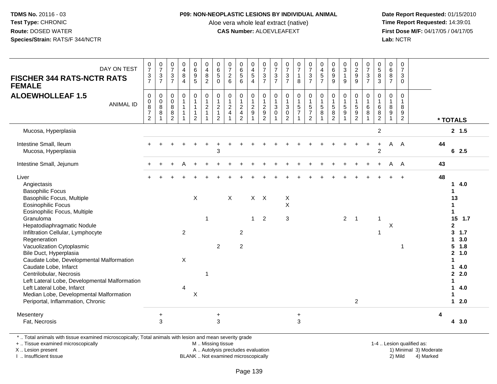#### **P09: NON-NEOPLASTIC LESIONS BY INDIVIDUAL ANIMAL**

Aloe vera whole leaf extract (native)<br>**CAS Number:** ALOEVLEAFEXT

 **Date Report Requested:** 01/15/2010 **First Dose M/F:** 04/17/05 / 04/17/05<br>**Lab:** NCTR **Lab:** NCTR

| DAY ON TEST<br><b>FISCHER 344 RATS-NCTR RATS</b><br><b>FEMALE</b>                                                                                                                                                                                                                                                                                                                                                                                                                                                                                                | $\frac{0}{7}$<br>$\frac{3}{7}$                                         | $\frac{0}{7}$<br>$\frac{3}{7}$               | $\begin{smallmatrix}0\\7\end{smallmatrix}$<br>$\frac{3}{7}$          | $\begin{array}{c} 0 \\ 4 \\ 8 \end{array}$<br>$\overline{4}$ | 0<br>0<br>0<br>5                                           | $\begin{array}{c} 0 \\ 4 \\ 8 \end{array}$<br>$\overline{2}$                      | $\begin{matrix} 0 \\ 6 \\ 5 \end{matrix}$<br>$\mathbf 0$                      | $\begin{array}{c} 0 \\ 7 \\ 2 \end{array}$<br>$\,6\,$ | 0<br>6<br>5<br>6                                          | $\begin{array}{c} 0 \\ 4 \\ 5 \end{array}$<br>$\overline{4}$ | $\frac{0}{7}$<br>$\frac{3}{7}$                                 | $\frac{0}{7}$<br>$\mathbf{3}$<br>$\overline{7}$        | $\frac{0}{7}$<br>$\frac{3}{7}$                                            | $\frac{0}{7}$<br>$\mathbf{1}$<br>8                                           | $\begin{array}{c} 0 \\ 7 \\ 3 \\ 7 \end{array}$ | $0$<br>4<br>5<br>7                                 | $\begin{array}{c} 0 \\ 6 \\ 9 \end{array}$<br>$\overline{9}$         | $\begin{array}{c} 0 \\ 3 \\ 1 \end{array}$<br>$9\,$                             | $\begin{array}{c} 0 \\ 2 \\ 9 \end{array}$ | 07/3/7                                                        | $\begin{array}{c} 0 \\ 5 \\ 8 \end{array}$<br>$\overline{3}$ | $\begin{array}{c} 0 \\ 6 \end{array}$<br>$\overline{8}$<br>$\overline{7}$ | $\frac{0}{7}$<br>$\mathbf{3}$<br>$\mathbf 0$            |    |                                                                                                                                                                                       |
|------------------------------------------------------------------------------------------------------------------------------------------------------------------------------------------------------------------------------------------------------------------------------------------------------------------------------------------------------------------------------------------------------------------------------------------------------------------------------------------------------------------------------------------------------------------|------------------------------------------------------------------------|----------------------------------------------|----------------------------------------------------------------------|--------------------------------------------------------------|------------------------------------------------------------|-----------------------------------------------------------------------------------|-------------------------------------------------------------------------------|-------------------------------------------------------|-----------------------------------------------------------|--------------------------------------------------------------|----------------------------------------------------------------|--------------------------------------------------------|---------------------------------------------------------------------------|------------------------------------------------------------------------------|-------------------------------------------------|----------------------------------------------------|----------------------------------------------------------------------|---------------------------------------------------------------------------------|--------------------------------------------|---------------------------------------------------------------|--------------------------------------------------------------|---------------------------------------------------------------------------|---------------------------------------------------------|----|---------------------------------------------------------------------------------------------------------------------------------------------------------------------------------------|
| <b>ALOEWHOLLEAF 1.5</b><br><b>ANIMAL ID</b>                                                                                                                                                                                                                                                                                                                                                                                                                                                                                                                      | $\boldsymbol{0}$<br>$\pmb{0}$<br>8<br>$\overline{7}$<br>$\overline{2}$ | $\boldsymbol{0}$<br>$\overline{0}$<br>8<br>8 | $\mathbf 0$<br>$\ddot{\mathbf{0}}$<br>8<br>$\bf 8$<br>$\overline{2}$ | $\mathbf 0$<br>$\overline{1}$<br>$\mathbf{1}$                | 0<br>$\mathbf{1}$<br>$\overline{1}$<br>1<br>$\overline{c}$ | $\mathbf 0$<br>$\overline{1}$<br>$\overline{2}$<br>$\mathbf{1}$<br>$\overline{1}$ | $\pmb{0}$<br>$\mathbf{1}$<br>$\overline{c}$<br>$\mathbf{1}$<br>$\overline{2}$ | $\mathsf 0$<br>$\mathbf{1}$<br>$\frac{2}{4}$          | $\mathsf{O}\xspace$<br>$\mathbf{1}$<br>$\frac{2}{4}$<br>2 | $\pmb{0}$<br>$\begin{array}{c} 1 \\ 2 \\ 9 \end{array}$      | $\pmb{0}$<br>$\overline{1}$<br>$\frac{2}{9}$<br>$\overline{2}$ | $\pmb{0}$<br>$\mathbf{1}$<br>$\sqrt{3}$<br>$\mathbf 0$ | $\pmb{0}$<br>$\begin{array}{c} 1 \\ 3 \\ 0 \end{array}$<br>$\overline{2}$ | $\begin{smallmatrix}0\1\end{smallmatrix}$<br>$\frac{5}{7}$<br>$\overline{1}$ | 0<br>$\frac{1}{5}$<br>$\overline{a}$            | $\pmb{0}$<br>$\overline{1}$<br>$\overline{5}$<br>8 | $\pmb{0}$<br>$\mathbf{1}$<br>$\,$ 5 $\,$<br>$\, 8$<br>$\overline{c}$ | $\mathbf 0$<br>$\mathbf{1}$<br>$\sqrt{5}$<br>$\boldsymbol{9}$<br>$\overline{1}$ | $\pmb{0}$<br>$\mathbf{1}$<br>$\frac{5}{2}$ | $\pmb{0}$<br>$\mathbf{1}$<br>$\,6$<br>$\bf 8$<br>$\mathbf{1}$ | $\pmb{0}$<br>$\mathbf{1}$<br>$^6_8$<br>$\sqrt{2}$            | 0<br>$\mathbf{1}$<br>8<br>$\boldsymbol{9}$                                | $\pmb{0}$<br>$\overline{1}$<br>8<br>9<br>$\overline{2}$ |    | * TOTALS                                                                                                                                                                              |
| Mucosa, Hyperplasia                                                                                                                                                                                                                                                                                                                                                                                                                                                                                                                                              |                                                                        |                                              |                                                                      |                                                              |                                                            |                                                                                   |                                                                               |                                                       |                                                           |                                                              |                                                                |                                                        |                                                                           |                                                                              |                                                 |                                                    |                                                                      |                                                                                 |                                            |                                                               | $\overline{2}$                                               |                                                                           |                                                         |    | 2, 1.5                                                                                                                                                                                |
| Intestine Small, Ileum<br>Mucosa, Hyperplasia                                                                                                                                                                                                                                                                                                                                                                                                                                                                                                                    |                                                                        |                                              |                                                                      |                                                              |                                                            |                                                                                   | 3                                                                             |                                                       |                                                           |                                                              |                                                                |                                                        |                                                                           |                                                                              |                                                 |                                                    |                                                                      |                                                                                 |                                            | $\div$                                                        | $\ddot{}$<br>$\overline{c}$                                  | A                                                                         | A                                                       | 44 | 62.5                                                                                                                                                                                  |
| Intestine Small, Jejunum                                                                                                                                                                                                                                                                                                                                                                                                                                                                                                                                         |                                                                        |                                              |                                                                      |                                                              |                                                            |                                                                                   |                                                                               |                                                       |                                                           |                                                              |                                                                |                                                        |                                                                           |                                                                              |                                                 |                                                    |                                                                      |                                                                                 |                                            |                                                               |                                                              | A                                                                         | A                                                       | 43 |                                                                                                                                                                                       |
| Liver<br>Angiectasis<br><b>Basophilic Focus</b><br>Basophilic Focus, Multiple<br><b>Eosinophilic Focus</b><br>Eosinophilic Focus, Multiple<br>Granuloma<br>Hepatodiaphragmatic Nodule<br>Infiltration Cellular, Lymphocyte<br>Regeneration<br>Vacuolization Cytoplasmic<br>Bile Duct, Hyperplasia<br>Caudate Lobe, Developmental Malformation<br>Caudate Lobe, Infarct<br>Centrilobular, Necrosis<br>Left Lateral Lobe, Developmental Malformation<br>Left Lateral Lobe, Infarct<br>Median Lobe, Developmental Malformation<br>Periportal, Inflammation, Chronic |                                                                        |                                              |                                                                      | $\overline{2}$<br>X<br>$\overline{4}$                        | X<br>$\pmb{\times}$                                        | $\overline{1}$<br>-1                                                              | $\overline{2}$                                                                | $\mathsf X$                                           | $\overline{2}$<br>$\overline{c}$                          | $X$ $X$<br>$\mathbf{1}$                                      | 2                                                              |                                                        | X<br>X<br>3                                                               |                                                                              |                                                 |                                                    |                                                                      | $\overline{2}$                                                                  | $\overline{1}$<br>$\overline{2}$           |                                                               | $\overline{1}$<br>$\overline{1}$                             | $\times$                                                                  | $\overline{\phantom{a}}$                                | 48 | 4.0<br>1<br>$\mathbf 1$<br>13<br>1<br>15<br>1.7<br>$\mathbf{2}$<br>3, 1.7<br>3.0<br>$\mathbf 1$<br>$5$ 1.8<br>2, 1.0<br>1<br>$\mathbf 1$<br>4.0<br>2.0<br>-1<br>1<br>4.0<br>1<br>12.0 |
| Mesentery<br>Fat, Necrosis                                                                                                                                                                                                                                                                                                                                                                                                                                                                                                                                       |                                                                        | $\ddot{}$<br>3                               |                                                                      |                                                              |                                                            |                                                                                   | $\ddot{}$<br>3                                                                |                                                       |                                                           |                                                              |                                                                |                                                        |                                                                           | $\ddot{}$<br>3                                                               |                                                 |                                                    |                                                                      |                                                                                 |                                            |                                                               |                                                              |                                                                           |                                                         | 4  | 4 3.0                                                                                                                                                                                 |
|                                                                                                                                                                                                                                                                                                                                                                                                                                                                                                                                                                  |                                                                        |                                              |                                                                      |                                                              |                                                            |                                                                                   |                                                                               |                                                       |                                                           |                                                              |                                                                |                                                        |                                                                           |                                                                              |                                                 |                                                    |                                                                      |                                                                                 |                                            |                                                               |                                                              |                                                                           |                                                         |    |                                                                                                                                                                                       |

\* .. Total animals with tissue examined microscopically; Total animals with lesion and mean severity grade

+ .. Tissue examined microscopically

X .. Lesion present

I .. Insufficient tissue

 M .. Missing tissueA .. Autolysis precludes evaluation

 1-4 .. Lesion qualified as: BLANK .. Not examined microscopically 2) Mild 4) Marked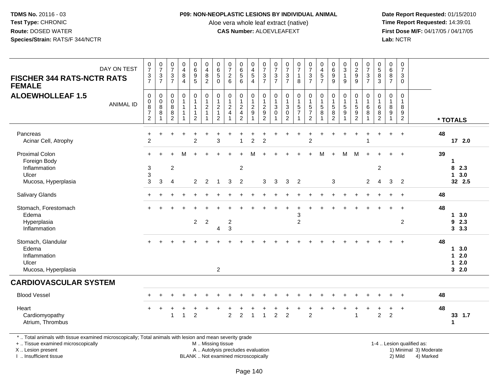### **P09: NON-NEOPLASTIC LESIONS BY INDIVIDUAL ANIMAL**

Aloe vera whole leaf extract (native)<br>**CAS Number:** ALOEVLEAFEXT

 **Date Report Requested:** 01/15/2010 **First Dose M/F:** 04/17/05 / 04/17/05 Lab: NCTR **Lab:** NCTR

| DAY ON TEST                                                                                                                                    | $\begin{smallmatrix}0\\7\end{smallmatrix}$                                               | $\frac{0}{7}$<br>3                    | $\frac{0}{7}$<br>$\ensuremath{\mathsf{3}}$ | $_4^{\rm O}$<br>8                                   | $_{6}^{\rm 0}$<br>$\boldsymbol{9}$ | $\begin{smallmatrix}0\\4\end{smallmatrix}$<br>$\, 8$                                         | $\begin{array}{c} 0 \\ 6 \end{array}$<br>$\sqrt{5}$                           | $\begin{array}{c} 0 \\ 7 \end{array}$<br>$\sqrt{2}$                             | 0<br>$\overline{6}$<br>5                                                         | 0<br>$\overline{\mathbf{4}}$<br>$\,$ 5 $\,$                    | $\begin{array}{c} 0 \\ 7 \end{array}$                        | $\frac{0}{7}$<br>$\ensuremath{\mathsf{3}}$                 | $\begin{array}{c} 0 \\ 7 \end{array}$<br>$\sqrt{3}$                                       | $\begin{array}{c} 0 \\ 7 \end{array}$<br>$\mathbf{1}$            | $\frac{0}{7}$<br>3                                                          | $\begin{smallmatrix}0\0\4\end{smallmatrix}$  | $\begin{array}{c} 0 \\ 6 \\ 9 \end{array}$                   | $_{3}^{\rm 0}$<br>$\mathbf{1}$ | $\begin{smallmatrix} 0\\2\\9 \end{smallmatrix}$                | $\pmb{0}$<br>$\overline{7}$<br>$\sqrt{3}$       | $\begin{array}{c} 0 \\ 5 \end{array}$<br>$\, 8$                       | $\pmb{0}$<br>$6\overline{6}$<br>8                                                  | $\mathbf 0$<br>$\overline{7}$<br>$\sqrt{3}$                  |                           |    |                                          |
|------------------------------------------------------------------------------------------------------------------------------------------------|------------------------------------------------------------------------------------------|---------------------------------------|--------------------------------------------|-----------------------------------------------------|------------------------------------|----------------------------------------------------------------------------------------------|-------------------------------------------------------------------------------|---------------------------------------------------------------------------------|----------------------------------------------------------------------------------|----------------------------------------------------------------|--------------------------------------------------------------|------------------------------------------------------------|-------------------------------------------------------------------------------------------|------------------------------------------------------------------|-----------------------------------------------------------------------------|----------------------------------------------|--------------------------------------------------------------|--------------------------------|----------------------------------------------------------------|-------------------------------------------------|-----------------------------------------------------------------------|------------------------------------------------------------------------------------|--------------------------------------------------------------|---------------------------|----|------------------------------------------|
| <b>FISCHER 344 RATS-NCTR RATS</b><br><b>FEMALE</b>                                                                                             | $\frac{3}{7}$                                                                            | $\overline{7}$                        | $\overline{7}$                             | $\overline{4}$                                      | 5                                  | $\overline{2}$                                                                               | $\mathbf{0}$                                                                  | $6\phantom{1}6$                                                                 | 6                                                                                | $\overline{4}$                                                 | $\frac{3}{7}$                                                | $\overline{7}$                                             | $\overline{7}$                                                                            | 8                                                                | $\overline{7}$                                                              | $\frac{5}{7}$                                | 9                                                            | 9                              | $\overline{9}$                                                 | $\overline{7}$                                  | 3                                                                     | $\overline{7}$                                                                     | $\mathbf 0$                                                  |                           |    |                                          |
| <b>ALOEWHOLLEAF 1.5</b><br><b>ANIMAL ID</b>                                                                                                    | $\boldsymbol{0}$<br>$\boldsymbol{0}$<br>$\overline{8}$<br>$\boldsymbol{7}$<br>$\sqrt{2}$ | 0<br>$\pmb{0}$<br>$\overline{8}$<br>8 | 0<br>0<br>$\bf8$<br>8<br>$\overline{2}$    | $\pmb{0}$<br>$\mathbf{1}$<br>$\mathbf{1}$<br>1<br>1 | 0<br>1<br>$\overline{2}$           | $\begin{smallmatrix}0\\1\end{smallmatrix}$<br>$\sqrt{2}$<br>$\overline{1}$<br>$\overline{1}$ | $\mathbf 0$<br>$\overline{1}$<br>$\sqrt{2}$<br>$\mathbf{1}$<br>$\overline{2}$ | $\pmb{0}$<br>$\mathbf{1}$<br>$\overline{c}$<br>$\overline{4}$<br>$\overline{1}$ | 0<br>$\mathbf{1}$<br>$\overline{c}$<br>$\overline{\mathbf{4}}$<br>$\overline{2}$ | $\pmb{0}$<br>$\overline{1}$<br>$\frac{2}{9}$<br>$\overline{1}$ | $\pmb{0}$<br>$\mathbf{1}$<br>$\frac{2}{9}$<br>$\overline{2}$ | 0<br>$\mathbf{1}$<br>$\ensuremath{\mathsf{3}}$<br>$\Omega$ | $\begin{smallmatrix}0\\1\end{smallmatrix}$<br>$\sqrt{3}$<br>$\mathbf 0$<br>$\overline{2}$ | $\mathbf 0$<br>$\mathbf{1}$<br>$\sqrt{5}$<br>$\overline{7}$<br>1 | $\pmb{0}$<br>$\mathbf{1}$<br>$\sqrt{5}$<br>$\overline{7}$<br>$\overline{2}$ | $\pmb{0}$<br>$\mathbf{1}$<br>$\sqrt{5}$<br>8 | 0<br>$\mathbf{1}$<br>$\sqrt{5}$<br>$\,8\,$<br>$\overline{2}$ | $\mathbf 0$<br>$\sqrt{5}$<br>9 | $\mathbf 0$<br>$\mathbf{1}$<br>$\frac{5}{9}$<br>$\overline{2}$ | 0<br>$\mathbf{1}$<br>$\,6$<br>8<br>$\mathbf{1}$ | $\mathbf 0$<br>$\mathbf{1}$<br>$6\phantom{1}6$<br>8<br>$\overline{c}$ | $\mathsf{O}\xspace$<br>$\mathbf{1}$<br>$\bf 8$<br>$\boldsymbol{9}$<br>$\mathbf{1}$ | 0<br>$\mathbf{1}$<br>8<br>$\boldsymbol{9}$<br>$\overline{2}$ |                           |    | * TOTALS                                 |
| Pancreas<br>Acinar Cell, Atrophy                                                                                                               | +<br>$\overline{2}$                                                                      |                                       |                                            |                                                     | $\overline{2}$                     |                                                                                              | 3                                                                             |                                                                                 | $\mathbf{1}$                                                                     | $\overline{c}$                                                 | $\overline{2}$                                               |                                                            |                                                                                           |                                                                  | $\overline{c}$                                                              |                                              |                                                              |                                |                                                                |                                                 |                                                                       |                                                                                    | $\ddot{}$                                                    |                           | 48 | 17 2.0                                   |
| <b>Proximal Colon</b><br>Foreign Body<br>Inflammation<br>Ulcer                                                                                 | $\sqrt{3}$<br>3                                                                          |                                       | $\overline{c}$                             | M                                                   |                                    |                                                                                              |                                                                               |                                                                                 | $\overline{c}$                                                                   |                                                                |                                                              |                                                            |                                                                                           |                                                                  |                                                                             | м                                            |                                                              | M                              | м                                                              |                                                 | $\overline{c}$                                                        |                                                                                    |                                                              |                           | 39 | 1<br>8 2.3<br>3.0<br>$\mathbf 1$         |
| Mucosa, Hyperplasia                                                                                                                            | 3                                                                                        | 3                                     | $\overline{4}$                             |                                                     | $\overline{2}$                     | $\overline{2}$                                                                               | $\overline{1}$                                                                | 3                                                                               | $\overline{2}$                                                                   |                                                                | 3                                                            | 3                                                          | 3                                                                                         | $\overline{2}$                                                   |                                                                             |                                              | 3                                                            |                                |                                                                | $\overline{c}$                                  | 4                                                                     | 3                                                                                  | $\overline{2}$                                               |                           |    | 32 2.5                                   |
| <b>Salivary Glands</b>                                                                                                                         |                                                                                          |                                       |                                            |                                                     |                                    |                                                                                              |                                                                               |                                                                                 |                                                                                  |                                                                |                                                              |                                                            |                                                                                           |                                                                  |                                                                             |                                              |                                                              |                                |                                                                |                                                 |                                                                       |                                                                                    |                                                              |                           | 48 |                                          |
| Stomach, Forestomach<br>Edema<br>Hyperplasia<br>Inflammation                                                                                   |                                                                                          |                                       |                                            |                                                     | $\overline{2}$                     | $\sqrt{2}$                                                                                   | 4                                                                             | $\overline{\mathbf{c}}$<br>$\sqrt{3}$                                           |                                                                                  |                                                                |                                                              |                                                            |                                                                                           | 3<br>$\overline{c}$                                              |                                                                             |                                              |                                                              |                                |                                                                |                                                 |                                                                       |                                                                                    | $\overline{ }$<br>$\overline{c}$                             |                           | 48 | 3.0<br>1<br>9<br>2.3<br>$3\quad 3.3$     |
| Stomach, Glandular<br>Edema<br>Inflammation<br>Ulcer<br>Mucosa, Hyperplasia                                                                    |                                                                                          |                                       |                                            |                                                     |                                    |                                                                                              | 2                                                                             |                                                                                 |                                                                                  |                                                                |                                                              |                                                            |                                                                                           |                                                                  |                                                                             |                                              |                                                              |                                |                                                                |                                                 |                                                                       |                                                                                    |                                                              |                           | 48 | 3.0<br>1<br>2.0<br>1<br>2.0<br>1<br>32.0 |
| <b>CARDIOVASCULAR SYSTEM</b>                                                                                                                   |                                                                                          |                                       |                                            |                                                     |                                    |                                                                                              |                                                                               |                                                                                 |                                                                                  |                                                                |                                                              |                                                            |                                                                                           |                                                                  |                                                                             |                                              |                                                              |                                |                                                                |                                                 |                                                                       |                                                                                    |                                                              |                           |    |                                          |
| <b>Blood Vessel</b>                                                                                                                            |                                                                                          |                                       |                                            |                                                     |                                    |                                                                                              |                                                                               |                                                                                 |                                                                                  |                                                                |                                                              |                                                            |                                                                                           |                                                                  |                                                                             |                                              |                                                              |                                |                                                                |                                                 |                                                                       |                                                                                    |                                                              |                           | 48 |                                          |
| Heart<br>Cardiomyopathy<br>Atrium, Thrombus                                                                                                    |                                                                                          |                                       | -1                                         | $\overline{1}$                                      | $\overline{2}$                     |                                                                                              |                                                                               | $\overline{2}$                                                                  | $\overline{2}$                                                                   | $\mathbf{1}$                                                   | $\overline{1}$                                               | $\overline{2}$                                             | $\overline{2}$                                                                            |                                                                  | $\overline{2}$                                                              |                                              |                                                              |                                | 1                                                              |                                                 | $\overline{2}$                                                        | 2                                                                                  | $\overline{1}$                                               |                           | 48 | 33 1.7<br>1                              |
| *  Total animals with tissue examined microscopically; Total animals with lesion and mean severity grade<br>+  Tissue examined microscopically |                                                                                          |                                       |                                            |                                                     |                                    | M  Missing tissue                                                                            |                                                                               |                                                                                 |                                                                                  |                                                                |                                                              |                                                            |                                                                                           |                                                                  |                                                                             |                                              |                                                              |                                |                                                                |                                                 |                                                                       |                                                                                    |                                                              | 1-4  Lesion qualified as: |    |                                          |

X .. Lesion present

I .. Insufficient tissue

BLANK .. Not examined microscopically

A .. Autolysis precludes evaluation and the service of the service of the service of the service of the service of the service of the service of the service of the service of the service of the service of the service of th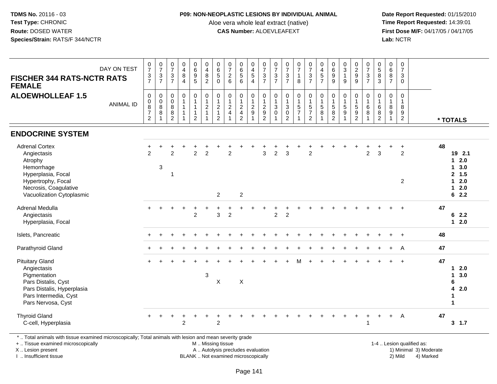#### **P09: NON-NEOPLASTIC LESIONS BY INDIVIDUAL ANIMAL**

Aloe vera whole leaf extract (native)<br>**CAS Number:** ALOEVLEAFEXT

 **Date Report Requested:** 01/15/2010 **First Dose M/F:** 04/17/05 / 04/17/05<br>**Lab:** NCTR **Lab:** NCTR

| DAY ON TEST<br><b>FISCHER 344 RATS-NCTR RATS</b><br><b>FEMALE</b>                                                                                               | $\frac{0}{7}$<br>$\frac{3}{7}$                                                | $\begin{array}{c} 0 \\ 7 \end{array}$<br>$\frac{3}{7}$ | $\begin{smallmatrix}0\\7\end{smallmatrix}$<br>$\frac{3}{7}$    | $\begin{array}{c} 0 \\ 4 \\ 8 \end{array}$<br>$\overline{4}$ | 0<br>0<br>0<br>5                                                                                 | $\begin{array}{c} 0 \\ 4 \\ 8 \end{array}$<br>$\overline{2}$                                      | $\begin{matrix} 0 \\ 6 \\ 5 \end{matrix}$<br>0                       | 0726                                                                       | 0<br>6<br>5<br>6                                                            | $\begin{array}{c} 0 \\ 4 \\ 5 \end{array}$<br>$\overline{4}$ | $\frac{0}{7}$<br>$\frac{3}{7}$                                                              | $\frac{0}{7}$<br>$\mathsf 3$<br>$\overline{7}$                     | $\begin{array}{c} 0 \\ 7 \\ 3 \end{array}$<br>$\overline{7}$              | $\frac{0}{7}$<br>$\mathbf{1}$<br>8 | $\frac{0}{7}$<br>$\frac{3}{7}$                                                | 0457                                                                   | 0<br>0<br>0<br>0<br>0                                                 | $\begin{array}{c} 0 \\ 3 \\ 1 \end{array}$<br>9                | $\frac{0}{2}$<br>$\overline{9}$                                                | $\begin{array}{c} 0 \\ 7 \\ 3 \\ 7 \end{array}$               | $\begin{array}{c} 0 \\ 5 \\ 3 \end{array}$                        | $\begin{array}{c} 0 \\ 6 \\ 8 \end{array}$<br>$\overline{7}$ | $\begin{array}{c} 0 \\ 7 \end{array}$<br>$\ensuremath{\mathsf{3}}$<br>$\mathsf{O}\xspace$ |                                                                         |
|-----------------------------------------------------------------------------------------------------------------------------------------------------------------|-------------------------------------------------------------------------------|--------------------------------------------------------|----------------------------------------------------------------|--------------------------------------------------------------|--------------------------------------------------------------------------------------------------|---------------------------------------------------------------------------------------------------|----------------------------------------------------------------------|----------------------------------------------------------------------------|-----------------------------------------------------------------------------|--------------------------------------------------------------|---------------------------------------------------------------------------------------------|--------------------------------------------------------------------|---------------------------------------------------------------------------|------------------------------------|-------------------------------------------------------------------------------|------------------------------------------------------------------------|-----------------------------------------------------------------------|----------------------------------------------------------------|--------------------------------------------------------------------------------|---------------------------------------------------------------|-------------------------------------------------------------------|--------------------------------------------------------------|-------------------------------------------------------------------------------------------|-------------------------------------------------------------------------|
| <b>ALOEWHOLLEAF 1.5</b><br><b>ANIMAL ID</b>                                                                                                                     | $\mathbf 0$<br>$\mathbf 0$<br>8<br>$\overline{\mathcal{I}}$<br>$\overline{c}$ | $\mathbf 0$<br>$\pmb{0}$<br>$\bf 8$<br>8<br>1          | $\pmb{0}$<br>$\mathbf 0$<br>$\, 8$<br>$\, 8$<br>$\overline{2}$ | $\pmb{0}$<br>$\mathbf{1}$<br>$\overline{1}$                  | $\begin{smallmatrix}0\\1\end{smallmatrix}$<br>$\overline{1}$<br>$\overline{1}$<br>$\overline{c}$ | $\begin{smallmatrix} 0\\ 1 \end{smallmatrix}$<br>$\overline{c}$<br>$\mathbf{1}$<br>$\overline{1}$ | $\mathbf 0$<br>$\mathbf{1}$<br>$\overline{c}$<br>1<br>$\overline{2}$ | $\begin{smallmatrix}0\\1\end{smallmatrix}$<br>$\sqrt{2}$<br>$\overline{4}$ | $\pmb{0}$<br>$\mathbf{1}$<br>$\sqrt{2}$<br>$\overline{4}$<br>$\overline{2}$ | 0<br>$\mathbf{1}$<br>$\sqrt{2}$<br>$9\,$                     | $\begin{smallmatrix} 0\\ 1 \end{smallmatrix}$<br>$\begin{array}{c} 2 \\ 9 \\ 2 \end{array}$ | 0<br>$\mathbf{1}$<br>$\ensuremath{\mathsf{3}}$<br>$\mathbf 0$<br>1 | $\mathsf{O}\xspace$<br>$\mathbf{1}$<br>3<br>$\mathbf 0$<br>$\overline{c}$ | 0<br>$\mathbf{1}$<br>$\frac{5}{7}$ | $\begin{smallmatrix}0\\1\end{smallmatrix}$<br>$\frac{5}{7}$<br>$\overline{2}$ | $\begin{smallmatrix} 0\\ 1 \end{smallmatrix}$<br>$\sqrt{5}$<br>$\bf 8$ | $\pmb{0}$<br>$\overline{1}$<br>$\sqrt{5}$<br>$\bf8$<br>$\overline{2}$ | $\pmb{0}$<br>$\mathbf{1}$<br>$\sqrt{5}$<br>9<br>$\overline{1}$ | $\pmb{0}$<br>$\mathbf{1}$<br>$\,$ 5 $\,$<br>$\boldsymbol{9}$<br>$\overline{c}$ | $\begin{smallmatrix}0\\1\end{smallmatrix}$<br>$\,6$<br>8<br>1 | $\pmb{0}$<br>$\mathbf{1}$<br>$\,6\,$<br>$\,8\,$<br>$\overline{2}$ | $\boldsymbol{0}$<br>$\mathbf{1}$<br>8<br>9                   | $\mathbf 0$<br>$\overline{1}$<br>$\bf 8$<br>$\boldsymbol{9}$<br>$\overline{2}$            | * TOTALS                                                                |
| <b>ENDOCRINE SYSTEM</b>                                                                                                                                         |                                                                               |                                                        |                                                                |                                                              |                                                                                                  |                                                                                                   |                                                                      |                                                                            |                                                                             |                                                              |                                                                                             |                                                                    |                                                                           |                                    |                                                                               |                                                                        |                                                                       |                                                                |                                                                                |                                                               |                                                                   |                                                              |                                                                                           |                                                                         |
| <b>Adrenal Cortex</b><br>Angiectasis<br>Atrophy<br>Hemorrhage<br>Hyperplasia, Focal<br>Hypertrophy, Focal<br>Necrosis, Coagulative<br>Vacuolization Cytoplasmic | $\overline{2}$                                                                | 3                                                      | $\mathfrak{p}$<br>$\mathbf{1}$                                 |                                                              | $\overline{2}$                                                                                   | $\overline{2}$                                                                                    | $\overline{2}$                                                       | $\overline{2}$                                                             | $\overline{2}$                                                              |                                                              | 3                                                                                           | $\overline{2}$                                                     | 3                                                                         |                                    | $\overline{c}$                                                                |                                                                        |                                                                       |                                                                |                                                                                | $\overline{2}$                                                | $\mathbf{3}$                                                      |                                                              | $\overline{2}$<br>$\overline{2}$                                                          | 48<br>19 2.1<br>$12.0$<br>13.0<br>2, 1.5<br>$12.0$<br>$12.0$<br>62.2    |
| Adrenal Medulla<br>Angiectasis<br>Hyperplasia, Focal                                                                                                            |                                                                               |                                                        |                                                                |                                                              | $\overline{2}$                                                                                   |                                                                                                   | 3                                                                    | $\overline{c}$                                                             |                                                                             |                                                              |                                                                                             | $\overline{c}$                                                     | $\overline{c}$                                                            |                                    |                                                                               |                                                                        |                                                                       |                                                                |                                                                                |                                                               |                                                                   |                                                              |                                                                                           | 47<br>62.2<br>$12.0$                                                    |
| Islets, Pancreatic                                                                                                                                              |                                                                               |                                                        |                                                                |                                                              |                                                                                                  |                                                                                                   |                                                                      |                                                                            |                                                                             |                                                              |                                                                                             |                                                                    |                                                                           |                                    |                                                                               |                                                                        |                                                                       |                                                                |                                                                                |                                                               |                                                                   |                                                              | $\div$                                                                                    | 48                                                                      |
| Parathyroid Gland                                                                                                                                               |                                                                               |                                                        |                                                                |                                                              |                                                                                                  |                                                                                                   |                                                                      |                                                                            |                                                                             |                                                              |                                                                                             |                                                                    |                                                                           |                                    |                                                                               |                                                                        |                                                                       |                                                                |                                                                                |                                                               |                                                                   |                                                              | A                                                                                         | 47                                                                      |
| <b>Pituitary Gland</b><br>Angiectasis<br>Pigmentation<br>Pars Distalis, Cyst<br>Pars Distalis, Hyperplasia<br>Pars Intermedia, Cyst<br>Pars Nervosa, Cyst       |                                                                               |                                                        |                                                                |                                                              |                                                                                                  | $\sqrt{3}$                                                                                        | $\sf X$                                                              |                                                                            | X                                                                           |                                                              |                                                                                             |                                                                    |                                                                           |                                    |                                                                               |                                                                        |                                                                       |                                                                |                                                                                |                                                               |                                                                   |                                                              | $\overline{ }$                                                                            | 47<br>$12.0$<br>3.0<br>$\mathbf 1$<br>6<br>4<br>2.0<br>$\mathbf 1$<br>1 |
| <b>Thyroid Gland</b><br>C-cell, Hyperplasia                                                                                                                     |                                                                               | $\ddot{}$                                              | $\ddot{}$                                                      | $\overline{2}$                                               |                                                                                                  |                                                                                                   | $\ddot{}$<br>$\overline{2}$                                          |                                                                            |                                                                             |                                                              |                                                                                             |                                                                    |                                                                           |                                    |                                                                               |                                                                        |                                                                       |                                                                |                                                                                | $\ddot{}$                                                     | $+$                                                               | $+$                                                          | $\overline{A}$                                                                            | 47<br>3, 1.7                                                            |

\* .. Total animals with tissue examined microscopically; Total animals with lesion and mean severity grade

+ .. Tissue examined microscopically

X .. Lesion present

I .. Insufficient tissue

M .. Missing tissue

A .. Autolysis precludes evaluation

BLANK .. Not examined microscopically 2) Mild 4) Marked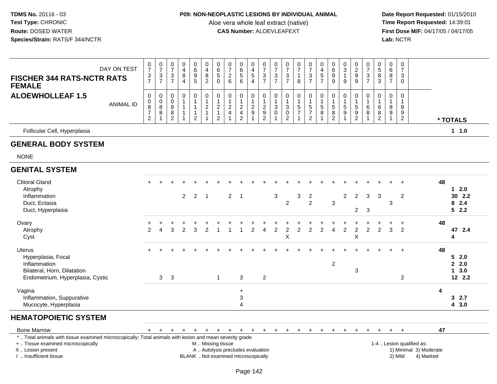### **P09: NON-NEOPLASTIC LESIONS BY INDIVIDUAL ANIMAL**

Aloe vera whole leaf extract (native)<br>**CAS Number:** ALOEVLEAFEXT

 **Date Report Requested:** 01/15/2010 **First Dose M/F:** 04/17/05 / 04/17/05<br>Lab: NCTR **Lab:** NCTR

| DAY ON TEST<br><b>FISCHER 344 RATS-NCTR RATS</b><br><b>FEMALE</b>                                                                                                                             | $\frac{0}{7}$<br>$\frac{3}{7}$     | $\frac{0}{7}$<br>$\sqrt{3}$<br>$\overline{7}$                               | $\pmb{0}$<br>$\overline{7}$<br>3<br>$\overline{7}$ | 0<br>$\overline{4}$<br>$\bf 8$<br>$\overline{4}$ | $_{6}^{\rm 0}$<br>$\overline{9}$<br>5               | 0<br>$\overline{\mathbf{4}}$<br>$\bf 8$<br>$\overline{2}$ | $\begin{array}{c} 0 \\ 6 \end{array}$<br>$\overline{5}$<br>$\mathbf{0}$   | $\frac{0}{7}$<br>$\sqrt{2}$<br>6                                         | $\pmb{0}$<br>$\,6\,$<br>$\overline{5}$<br>6                                          | 0<br>4<br>5<br>$\overline{4}$ | $\frac{0}{7}$<br>$\ensuremath{\mathsf{3}}$<br>$\overline{7}$ | $\pmb{0}$<br>$\overline{7}$<br>$\sqrt{3}$<br>$\overline{7}$ | 0<br>$\overline{7}$<br>3<br>$\overline{7}$                              | $\begin{smallmatrix}0\\7\end{smallmatrix}$<br>$\mathbf{1}$<br>8 | $\frac{0}{7}$<br>3<br>$\overline{7}$                                  | $\pmb{0}$<br>$\overline{4}$<br>$\sqrt{5}$<br>$\overline{7}$         | 0<br>6<br>$\boldsymbol{9}$<br>9 | $_3^0$<br>$\mathbf{1}$<br>9                                                | $\begin{smallmatrix} 0\\2\\9 \end{smallmatrix}$<br>9              | $\frac{0}{7}$<br>$\ensuremath{\mathsf{3}}$<br>$\overline{7}$ | $\pmb{0}$<br>$\overline{5}$<br>$\, 8$<br>3                         | 0<br>6<br>8<br>$\overline{7}$ | $\mathbf 0$<br>$\overline{7}$<br>3<br>$\Omega$         |                                                                  |                         |                                        |
|-----------------------------------------------------------------------------------------------------------------------------------------------------------------------------------------------|------------------------------------|-----------------------------------------------------------------------------|----------------------------------------------------|--------------------------------------------------|-----------------------------------------------------|-----------------------------------------------------------|---------------------------------------------------------------------------|--------------------------------------------------------------------------|--------------------------------------------------------------------------------------|-------------------------------|--------------------------------------------------------------|-------------------------------------------------------------|-------------------------------------------------------------------------|-----------------------------------------------------------------|-----------------------------------------------------------------------|---------------------------------------------------------------------|---------------------------------|----------------------------------------------------------------------------|-------------------------------------------------------------------|--------------------------------------------------------------|--------------------------------------------------------------------|-------------------------------|--------------------------------------------------------|------------------------------------------------------------------|-------------------------|----------------------------------------|
| <b>ALOEWHOLLEAF 1.5</b><br><b>ANIMAL ID</b>                                                                                                                                                   | 0<br>0<br>8<br>$\overline{7}$<br>2 | $\boldsymbol{0}$<br>$\boldsymbol{0}$<br>$\overline{8}$<br>8<br>$\mathbf{1}$ | 0<br>$\mathbf 0$<br>$\bf 8$<br>8<br>2              | $\pmb{0}$<br>1<br>$\overline{1}$<br>-1           | $\pmb{0}$<br>$\mathbf{1}$<br>1<br>$\mathbf{1}$<br>2 | 0<br>$\overline{a}$<br>$\overline{1}$                     | $\pmb{0}$<br>$\mathbf{1}$<br>$\sqrt{2}$<br>$\mathbf{1}$<br>$\overline{2}$ | 0<br>$\overline{1}$<br>$\boldsymbol{2}$<br>$\overline{4}$                | $\boldsymbol{0}$<br>$\overline{1}$<br>$\sqrt{2}$<br>$\overline{4}$<br>$\overline{2}$ | 0<br>$\boldsymbol{2}$<br>9    | $\pmb{0}$<br>$\mathbf{1}$<br>$\frac{2}{9}$<br>$\overline{2}$ | $\pmb{0}$<br>$\mathbf{1}$<br>$\sqrt{3}$<br>0                | $\mathbf 0$<br>$\ensuremath{\mathsf{3}}$<br>$\pmb{0}$<br>$\overline{2}$ | $\mathbf 0$<br>$\mathbf{1}$<br>$\frac{5}{7}$                    | 0<br>$\overline{1}$<br>$\sqrt{5}$<br>$\overline{7}$<br>$\overline{2}$ | $\pmb{0}$<br>$\mathbf{1}$<br>$\sqrt{5}$<br>$\bf8$<br>$\overline{1}$ | 0<br>5<br>8<br>2                | $\mathsf{O}\xspace$<br>$\mathbf{1}$<br>$\sqrt{5}$<br>$9$<br>$\overline{1}$ | $\mathbf 0$<br>$\mathbf{1}$<br>$\,$ 5 $\,$<br>9<br>$\overline{2}$ | 0<br>$\,6\,$<br>8                                            | $\mathbf 0$<br>$\mathbf{1}$<br>$\,6\,$<br>$\, 8$<br>$\overline{2}$ | 0<br>8<br>9                   | $\Omega$<br>$\overline{1}$<br>8<br>9<br>$\overline{2}$ |                                                                  |                         | * TOTALS                               |
| Follicular Cell, Hyperplasia                                                                                                                                                                  |                                    |                                                                             |                                                    |                                                  |                                                     |                                                           |                                                                           |                                                                          |                                                                                      |                               |                                                              |                                                             |                                                                         |                                                                 |                                                                       |                                                                     |                                 |                                                                            |                                                                   |                                                              |                                                                    |                               |                                                        |                                                                  |                         | 1 1.0                                  |
| <b>GENERAL BODY SYSTEM</b>                                                                                                                                                                    |                                    |                                                                             |                                                    |                                                  |                                                     |                                                           |                                                                           |                                                                          |                                                                                      |                               |                                                              |                                                             |                                                                         |                                                                 |                                                                       |                                                                     |                                 |                                                                            |                                                                   |                                                              |                                                                    |                               |                                                        |                                                                  |                         |                                        |
| <b>NONE</b>                                                                                                                                                                                   |                                    |                                                                             |                                                    |                                                  |                                                     |                                                           |                                                                           |                                                                          |                                                                                      |                               |                                                              |                                                             |                                                                         |                                                                 |                                                                       |                                                                     |                                 |                                                                            |                                                                   |                                                              |                                                                    |                               |                                                        |                                                                  |                         |                                        |
| <b>GENITAL SYSTEM</b>                                                                                                                                                                         |                                    |                                                                             |                                                    |                                                  |                                                     |                                                           |                                                                           |                                                                          |                                                                                      |                               |                                                              |                                                             |                                                                         |                                                                 |                                                                       |                                                                     |                                 |                                                                            |                                                                   |                                                              |                                                                    |                               |                                                        |                                                                  |                         |                                        |
| <b>Clitoral Gland</b><br>Atrophy<br>Inflammation<br>Duct, Ectasia<br>Duct, Hyperplasia                                                                                                        |                                    |                                                                             |                                                    | $\overline{2}$                                   | $\overline{2}$                                      | $\overline{\phantom{0}}$ 1                                |                                                                           | $2^{\circ}$                                                              | $\overline{1}$                                                                       |                               |                                                              | $\mathbf{3}$                                                | $\overline{2}$                                                          | 3                                                               | $\overline{2}$<br>2                                                   |                                                                     | 3                               | $\overline{2}$                                                             | $\overline{2}$<br>$\overline{2}$                                  | 3<br>3                                                       | 3                                                                  | 3                             | $\overline{c}$                                         |                                                                  | 48                      | $12.0$<br>30 2.2<br>82.4<br>52.2       |
| Ovary<br>Atrophy<br>Cyst                                                                                                                                                                      | +<br>2                             | 4                                                                           | 3                                                  | $\overline{2}$                                   | 3                                                   | $\overline{2}$                                            |                                                                           |                                                                          |                                                                                      | $\overline{2}$                | $\overline{4}$                                               | $\overline{2}$                                              | $\overline{c}$<br>X                                                     | $\overline{2}$                                                  | $\overline{2}$                                                        | 2                                                                   | $\overline{4}$                  | $\overline{2}$                                                             | $\ddot{}$<br>$\overline{2}$<br>$\mathsf X$                        | +<br>$\overline{2}$                                          | 2                                                                  | +<br>3                        | $\ddot{}$<br>$\overline{2}$                            |                                                                  | 48                      | 47 2.4<br>4                            |
| Uterus<br>Hyperplasia, Focal<br>Inflammation<br>Bilateral, Horn, Dilatation<br>Endometrium, Hyperplasia, Cystic                                                                               |                                    | 3                                                                           | $\overline{\mathbf{3}}$                            |                                                  |                                                     |                                                           | $\mathbf{1}$                                                              |                                                                          | 3                                                                                    |                               | $\overline{2}$                                               |                                                             |                                                                         |                                                                 |                                                                       |                                                                     | $\overline{2}$                  |                                                                            | $\mathbf 3$                                                       |                                                              |                                                                    |                               | $\overline{2}$                                         |                                                                  | 48                      | 52.0<br>2.0<br>$1 \quad 3.0$<br>12 2.2 |
| Vagina<br>Inflammation, Suppurative<br>Mucocyte, Hyperplasia                                                                                                                                  |                                    |                                                                             |                                                    |                                                  |                                                     |                                                           |                                                                           |                                                                          | $\ddot{}$<br>3<br>$\overline{4}$                                                     |                               |                                                              |                                                             |                                                                         |                                                                 |                                                                       |                                                                     |                                 |                                                                            |                                                                   |                                                              |                                                                    |                               |                                                        |                                                                  | $\overline{\mathbf{4}}$ | 32.7<br>4 3.0                          |
| <b>HEMATOPOIETIC SYSTEM</b>                                                                                                                                                                   |                                    |                                                                             |                                                    |                                                  |                                                     |                                                           |                                                                           |                                                                          |                                                                                      |                               |                                                              |                                                             |                                                                         |                                                                 |                                                                       |                                                                     |                                 |                                                                            |                                                                   |                                                              |                                                                    |                               |                                                        |                                                                  |                         |                                        |
| <b>Bone Marrow</b>                                                                                                                                                                            | $+$                                |                                                                             |                                                    |                                                  | $\ddot{}$                                           | $+$                                                       | $+$                                                                       | $+$                                                                      | $+$                                                                                  | $+$                           | $+$                                                          | $+$                                                         | $+$                                                                     | $+$                                                             | $+$                                                                   | $+$                                                                 | $\ddot{}$                       | $+$                                                                        | $\ddot{}$                                                         | ÷                                                            |                                                                    | $+$                           |                                                        |                                                                  | 47                      |                                        |
| *  Total animals with tissue examined microscopically; Total animals with lesion and mean severity grade<br>+  Tissue examined microscopically<br>X  Lesion present<br>I  Insufficient tissue |                                    |                                                                             |                                                    |                                                  |                                                     | M  Missing tissue                                         |                                                                           | A  Autolysis precludes evaluation<br>BLANK  Not examined microscopically |                                                                                      |                               |                                                              |                                                             |                                                                         |                                                                 |                                                                       |                                                                     |                                 |                                                                            |                                                                   |                                                              |                                                                    |                               | 2) Mild                                                | 1-4  Lesion qualified as:<br>1) Minimal 3) Moderate<br>4) Marked |                         |                                        |

I .. Insufficient tissue

Page 142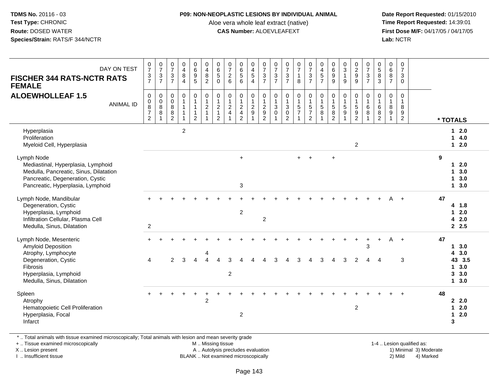#### **P09: NON-NEOPLASTIC LESIONS BY INDIVIDUAL ANIMAL**

Aloe vera whole leaf extract (native)<br>**CAS Number:** ALOEVLEAFEXT

 **Date Report Requested:** 01/15/2010 **First Dose M/F:** 04/17/05 / 04/17/05<br>**Lab:** NCTR **Lab:** NCTR

| DAY ON TEST<br><b>FISCHER 344 RATS-NCTR RATS</b><br><b>FEMALE</b><br><b>ALOEWHOLLEAF 1.5</b><br><b>ANIMAL ID</b>                                                      | $\frac{0}{7}$<br>$\frac{3}{7}$<br>0<br>$\mathsf{O}\xspace$<br>$\overline{8}$<br>$\overline{7}$<br>$\overline{2}$ | $\frac{0}{7}$<br>$\frac{3}{7}$<br>$\pmb{0}$<br>$\overline{0}$<br>88<br>$\overline{1}$ | $\frac{0}{7}$<br>$\mathbf{3}$<br>$\overline{7}$<br>0<br>$\mathbf 0$<br>$\bf 8$<br>$\boldsymbol{8}$<br>$\overline{2}$ | $\begin{array}{c} 0 \\ 4 \\ 8 \end{array}$<br>4<br>$\pmb{0}$<br>$\mathbf{1}$<br>$\mathbf{1}$<br>$\mathbf{1}$ | 0<br>0<br>0<br>5<br>0<br>$\mathbf{1}$<br>$\mathbf{1}$<br>$\mathbf{1}$<br>$\overline{2}$ | $\begin{array}{c} 0 \\ 4 \\ 8 \\ 2 \end{array}$<br>$\begin{smallmatrix}0\\1\end{smallmatrix}$<br>$\sqrt{2}$<br>$\mathbf{1}$ | $\begin{array}{c} 0 \\ 6 \\ 5 \end{array}$<br>$\mathsf{O}\xspace$<br>$\pmb{0}$<br>$\mathbf{1}$<br>$\boldsymbol{2}$<br>$\mathbf{1}$<br>$\overline{2}$ | $\frac{0}{7}$<br>6<br>$\mathbf 0$<br>$\frac{1}{2}$<br>$\overline{4}$ | 0<br>6<br>5<br>6<br>$\pmb{0}$<br>$\overline{1}$<br>$\sqrt{2}$<br>$\overline{4}$<br>$\overline{2}$ | $\begin{array}{c} 0 \\ 4 \\ 5 \end{array}$<br>$\overline{4}$<br>0<br>$\mathbf{1}$<br>$\frac{2}{9}$<br>$\mathbf{1}$ | $\frac{0}{7}$<br>$\overline{3}$<br>$\overline{7}$<br>0<br>$\mathbf{1}$<br>$\overline{c}$<br>$\boldsymbol{9}$<br>$\overline{2}$ | $\begin{array}{c} 0 \\ 7 \\ 3 \\ 7 \end{array}$<br>0<br>$\mathbf{1}$<br>$\mathbf{3}$<br>$\mathbf 0$ | $07/3$<br>7<br>$\pmb{0}$<br>$\overline{1}$<br>$\frac{3}{0}$ | $\frac{0}{7}$<br>$\mathbf{1}$<br>$\overline{8}$<br>$\pmb{0}$<br>$\overline{1}$<br>$\frac{5}{7}$ | $\frac{0}{7}$<br>$\frac{3}{7}$<br>$\mathbf 0$<br>$\overline{1}$<br>$\frac{5}{7}$<br>$\overline{2}$ | $0$<br>4<br>5<br>7<br>$\begin{smallmatrix}0\\1\end{smallmatrix}$<br>$\overline{5}$<br>$\overline{8}$ | $\begin{matrix} 0 \\ 6 \\ 9 \end{matrix}$<br>$\boldsymbol{9}$<br>0<br>$\mathbf{1}$<br>$\sqrt{5}$<br>$\overline{8}$<br>$\overline{2}$ | $\begin{array}{c} 0 \\ 3 \\ 1 \end{array}$<br>$9\,$<br>$\begin{smallmatrix}0\\1\end{smallmatrix}$<br>$\overline{5}$<br>$\overline{9}$<br>1 | $\begin{array}{c} 0 \\ 2 \\ 9 \end{array}$<br>0<br>$\mathbf{1}$<br>$\frac{5}{2}$ | $\begin{array}{c} 0 \\ 7 \\ 3 \\ 7 \end{array}$<br>$\pmb{0}$<br>$\overline{1}$<br>$\,6\,$<br>$\overline{8}$<br>$\overline{1}$ | $\begin{array}{c} 0 \\ 5 \\ 3 \end{array}$<br>$\mathbf 0$<br>$\overline{1}$<br>$\,6$<br>$\overline{8}$<br>$\overline{2}$ | 0687<br>$\mathbf 0$<br>$\overline{1}$<br>$\bf 8$<br>$\overline{9}$<br>1 | $\frac{0}{7}$<br>$\mathbf{3}$<br>$\mathbf{0}$<br>$\mathbf 0$<br>$\mathbf{1}$<br>$\boldsymbol{8}$<br>9<br>$\overline{2}$ | * TOTALS                                               |
|-----------------------------------------------------------------------------------------------------------------------------------------------------------------------|------------------------------------------------------------------------------------------------------------------|---------------------------------------------------------------------------------------|----------------------------------------------------------------------------------------------------------------------|--------------------------------------------------------------------------------------------------------------|-----------------------------------------------------------------------------------------|-----------------------------------------------------------------------------------------------------------------------------|------------------------------------------------------------------------------------------------------------------------------------------------------|----------------------------------------------------------------------|---------------------------------------------------------------------------------------------------|--------------------------------------------------------------------------------------------------------------------|--------------------------------------------------------------------------------------------------------------------------------|-----------------------------------------------------------------------------------------------------|-------------------------------------------------------------|-------------------------------------------------------------------------------------------------|----------------------------------------------------------------------------------------------------|------------------------------------------------------------------------------------------------------|--------------------------------------------------------------------------------------------------------------------------------------|--------------------------------------------------------------------------------------------------------------------------------------------|----------------------------------------------------------------------------------|-------------------------------------------------------------------------------------------------------------------------------|--------------------------------------------------------------------------------------------------------------------------|-------------------------------------------------------------------------|-------------------------------------------------------------------------------------------------------------------------|--------------------------------------------------------|
| Hyperplasia<br>Proliferation<br>Myeloid Cell, Hyperplasia                                                                                                             |                                                                                                                  |                                                                                       |                                                                                                                      | $\boldsymbol{2}$                                                                                             |                                                                                         |                                                                                                                             |                                                                                                                                                      |                                                                      |                                                                                                   |                                                                                                                    |                                                                                                                                |                                                                                                     |                                                             |                                                                                                 |                                                                                                    |                                                                                                      |                                                                                                                                      |                                                                                                                                            | $\overline{2}$                                                                   |                                                                                                                               |                                                                                                                          |                                                                         |                                                                                                                         | $12.0$<br>14.0<br>$12.0$                               |
| Lymph Node<br>Mediastinal, Hyperplasia, Lymphoid<br>Medulla, Pancreatic, Sinus, Dilatation<br>Pancreatic, Degeneration, Cystic<br>Pancreatic, Hyperplasia, Lymphoid   |                                                                                                                  |                                                                                       |                                                                                                                      |                                                                                                              |                                                                                         |                                                                                                                             |                                                                                                                                                      |                                                                      | $\ddot{}$<br>$\sqrt{3}$                                                                           |                                                                                                                    |                                                                                                                                |                                                                                                     |                                                             | $+$                                                                                             | $+$                                                                                                |                                                                                                      | $\ddot{}$                                                                                                                            |                                                                                                                                            |                                                                                  |                                                                                                                               |                                                                                                                          |                                                                         |                                                                                                                         | 9<br>$12.0$<br>13.0<br>13.0<br>13.0                    |
| Lymph Node, Mandibular<br>Degeneration, Cystic<br>Hyperplasia, Lymphoid<br>Infiltration Cellular, Plasma Cell<br>Medulla, Sinus, Dilatation                           | $\boldsymbol{2}$                                                                                                 |                                                                                       |                                                                                                                      |                                                                                                              |                                                                                         |                                                                                                                             |                                                                                                                                                      |                                                                      | $\overline{2}$                                                                                    |                                                                                                                    | $\overline{c}$                                                                                                                 |                                                                                                     |                                                             |                                                                                                 |                                                                                                    |                                                                                                      |                                                                                                                                      |                                                                                                                                            |                                                                                  |                                                                                                                               |                                                                                                                          | А                                                                       | $+$                                                                                                                     | 47<br>4 1.8<br>$12.0$<br>42.0<br>2.5                   |
| Lymph Node, Mesenteric<br><b>Amyloid Deposition</b><br>Atrophy, Lymphocyte<br>Degeneration, Cystic<br>Fibrosis<br>Hyperplasia, Lymphoid<br>Medulla, Sinus, Dilatation | 4                                                                                                                |                                                                                       | $\overline{2}$                                                                                                       | 3                                                                                                            | $\boldsymbol{\Lambda}$                                                                  |                                                                                                                             | $\Delta$                                                                                                                                             | 3<br>$\overline{2}$                                                  |                                                                                                   |                                                                                                                    |                                                                                                                                |                                                                                                     |                                                             | 3                                                                                               |                                                                                                    | 3                                                                                                    |                                                                                                                                      | 3                                                                                                                                          | $\ddot{}$<br>$\overline{2}$                                                      | $\ddot{}$<br>3<br>Δ                                                                                                           | $+$<br>Δ                                                                                                                 | A                                                                       | $\ddot{+}$<br>3                                                                                                         | 47<br>13.0<br>43.0<br>43 3.5<br>13.0<br>3, 3.0<br>13.0 |
| Spleen<br>Atrophy<br>Hematopoietic Cell Proliferation<br>Hyperplasia, Focal<br>Infarct                                                                                |                                                                                                                  |                                                                                       |                                                                                                                      |                                                                                                              |                                                                                         | $\overline{2}$                                                                                                              |                                                                                                                                                      |                                                                      | $\boldsymbol{2}$                                                                                  |                                                                                                                    |                                                                                                                                |                                                                                                     |                                                             |                                                                                                 |                                                                                                    |                                                                                                      |                                                                                                                                      |                                                                                                                                            | $\boldsymbol{2}$                                                                 |                                                                                                                               |                                                                                                                          |                                                                         |                                                                                                                         | 48<br>22.0<br>2.0<br>$\mathbf 1$<br>$12.0$<br>3        |

\* .. Total animals with tissue examined microscopically; Total animals with lesion and mean severity grade

+ .. Tissue examined microscopically

X .. Lesion present

I .. Insufficient tissue

M .. Missing tissue

A .. Autolysis precludes evaluation

BLANK .. Not examined microscopically 2) Mild 4) Marked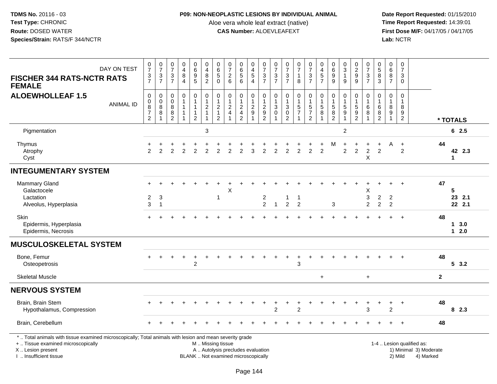### **P09: NON-NEOPLASTIC LESIONS BY INDIVIDUAL ANIMAL**

Aloe vera whole leaf extract (native)<br>**CAS Number:** ALOEVLEAFEXT

| DAY ON TEST<br><b>FISCHER 344 RATS-NCTR RATS</b><br><b>FEMALE</b>                                                                                                                             | $\frac{0}{7}$<br>$\frac{3}{7}$                                                                | $\begin{array}{c} 0 \\ 7 \end{array}$<br>$\frac{3}{7}$ | $\frac{0}{7}$<br>$\frac{3}{7}$                                      | $_4^{\rm 0}$<br>$\,8\,$<br>$\overline{4}$                                       | $\begin{array}{c} 0 \\ 6 \\ 9 \end{array}$<br>$\overline{5}$                  | $\pmb{0}$<br>$\overline{\mathbf{4}}$<br>$\bf 8$<br>$\overline{2}$             | $\begin{array}{c} 0 \\ 6 \\ 5 \end{array}$<br>$\mathbf 0$                     | $\begin{array}{c} 0 \\ 7 \end{array}$<br>$\frac{2}{6}$                      | $\begin{array}{c} 0 \\ 6 \\ 5 \end{array}$<br>6                                       | $\begin{array}{c} 0 \\ 4 \\ 5 \\ 4 \end{array}$                                 | $\frac{0}{7}$<br>$\frac{3}{7}$                             | $\frac{0}{7}$<br>$\sqrt{3}$<br>$\overline{7}$                    | $\frac{0}{7}$<br>3<br>$\overline{7}$                                        | $\frac{0}{7}$<br>$\mathbf{1}$<br>8                 | $\frac{0}{7}$<br>$rac{3}{7}$                                   | $_4^{\rm 0}$<br>$\sqrt{5}$<br>$\overline{7}$   | $\begin{array}{c} 0 \\ 6 \\ 9 \end{array}$<br>$9\,$                   | $\begin{array}{c} 0 \\ 3 \\ 1 \end{array}$<br>9                  | $\begin{array}{c} 0 \\ 2 \\ 9 \end{array}$<br>$\overline{9}$                    | $\frac{0}{7}$<br>$\sqrt{3}$<br>$\overline{7}$              | $\begin{array}{c} 0 \\ 5 \\ 8 \end{array}$<br>3 | $\begin{array}{c} 0 \\ 6 \end{array}$<br>$\overline{8}$<br>$\overline{7}$ | $\pmb{0}$<br>$\overline{7}$<br>$\mathbf{3}$<br>$\mathbf 0$                   |              |                       |
|-----------------------------------------------------------------------------------------------------------------------------------------------------------------------------------------------|-----------------------------------------------------------------------------------------------|--------------------------------------------------------|---------------------------------------------------------------------|---------------------------------------------------------------------------------|-------------------------------------------------------------------------------|-------------------------------------------------------------------------------|-------------------------------------------------------------------------------|-----------------------------------------------------------------------------|---------------------------------------------------------------------------------------|---------------------------------------------------------------------------------|------------------------------------------------------------|------------------------------------------------------------------|-----------------------------------------------------------------------------|----------------------------------------------------|----------------------------------------------------------------|------------------------------------------------|-----------------------------------------------------------------------|------------------------------------------------------------------|---------------------------------------------------------------------------------|------------------------------------------------------------|-------------------------------------------------|---------------------------------------------------------------------------|------------------------------------------------------------------------------|--------------|-----------------------|
| <b>ALOEWHOLLEAF 1.5</b><br><b>ANIMAL ID</b>                                                                                                                                                   | $\mathsf{O}\xspace$<br>$\begin{array}{c} 0 \\ 8 \\ 7 \end{array}$<br>$\overline{2}$           | $_{\rm 0}^{\rm 0}$<br>$\overline{8}$<br>$\, 8$         | $\mathbf 0$<br>$\mathbf 0$<br>$\overline{8}$<br>8<br>$\overline{2}$ | $\pmb{0}$<br>$\overline{1}$<br>$\mathbf{1}$<br>$\overline{1}$<br>$\overline{1}$ | $\mathbf 0$<br>$\mathbf{1}$<br>$\mathbf{1}$<br>$\mathbf{1}$<br>$\overline{2}$ | $\pmb{0}$<br>$\mathbf{1}$<br>$\boldsymbol{2}$<br>$\mathbf{1}$<br>$\mathbf{1}$ | $\pmb{0}$<br>$\mathbf{1}$<br>$\overline{c}$<br>$\mathbf{1}$<br>$\overline{2}$ | $\mathbf 0$<br>$\mathbf{1}$<br>$\sqrt{2}$<br>$\overline{4}$<br>$\mathbf{1}$ | $\mathsf{O}\xspace$<br>$\mathbf{1}$<br>$\sqrt{2}$<br>$\overline{4}$<br>$\overline{2}$ | $\mathbf 0$<br>$\mathbf{1}$<br>$\sqrt{2}$<br>$\boldsymbol{9}$<br>$\overline{1}$ | $\mathsf 0$<br>$\mathbf{1}$<br>$\sqrt{2}$<br>$\frac{9}{2}$ | $\mathbf 0$<br>$\mathbf{1}$<br>$\sqrt{3}$<br>$\overline{0}$<br>1 | $\mathbf 0$<br>$\mathbf{1}$<br>$\sqrt{3}$<br>$\mathbf 0$<br>$\overline{2}$  | 0<br>$\mathbf{1}$<br>$\frac{5}{7}$<br>$\mathbf{1}$ | $\mathsf 0$<br>$\mathbf{1}$<br>$\frac{5}{7}$<br>$\overline{2}$ | $\mathbf 0$<br>$\mathbf{1}$<br>$\sqrt{5}$<br>8 | $\mathbf 0$<br>$\begin{array}{c} 1 \\ 5 \end{array}$<br>$\frac{8}{2}$ | $\mathbf 0$<br>$\mathbf{1}$<br>$\sqrt{5}$<br>9<br>$\overline{1}$ | $\mathbf 0$<br>$\mathbf{1}$<br>$\sqrt{5}$<br>$\boldsymbol{9}$<br>$\overline{2}$ | $\mathbf 0$<br>$\overline{1}$<br>$6\phantom{1}6$<br>8<br>1 | $\mathbf 0$<br>1<br>$\,6\,$<br>$\frac{8}{2}$    | $\mathbf 0$<br>$\mathbf{1}$<br>$\bf 8$<br>9<br>$\overline{1}$             | $\mathbf 0$<br>$\mathbf{1}$<br>$\,8\,$<br>$\boldsymbol{9}$<br>$\overline{2}$ |              | * TOTALS              |
| Pigmentation                                                                                                                                                                                  |                                                                                               |                                                        |                                                                     |                                                                                 |                                                                               | $\mathbf{3}$                                                                  |                                                                               |                                                                             |                                                                                       |                                                                                 |                                                            |                                                                  |                                                                             |                                                    |                                                                |                                                |                                                                       | $\overline{c}$                                                   |                                                                                 |                                                            |                                                 |                                                                           |                                                                              |              | 62.5                  |
| Thymus<br>Atrophy<br>Cyst                                                                                                                                                                     | 2                                                                                             | $\overline{2}$                                         | 2                                                                   | $\overline{2}$                                                                  | $\overline{2}$                                                                | $\overline{2}$                                                                | $\overline{2}$                                                                | $\overline{2}$                                                              | $\overline{2}$                                                                        | 3                                                                               | 2                                                          | $\overline{2}$                                                   | $\overline{2}$                                                              | $\overline{2}$                                     | $\overline{2}$                                                 | $\overline{2}$                                 | M                                                                     | 2                                                                | $\overline{c}$                                                                  | $\overline{c}$<br>$\mathsf X$                              | $\overline{2}$                                  | A                                                                         | $\ddot{}$<br>2                                                               | 44           | 42 2.3<br>1           |
| <b>INTEGUMENTARY SYSTEM</b>                                                                                                                                                                   |                                                                                               |                                                        |                                                                     |                                                                                 |                                                                               |                                                                               |                                                                               |                                                                             |                                                                                       |                                                                                 |                                                            |                                                                  |                                                                             |                                                    |                                                                |                                                |                                                                       |                                                                  |                                                                                 |                                                            |                                                 |                                                                           |                                                                              |              |                       |
| Mammary Gland<br>Galactocele<br>Lactation<br>Alveolus, Hyperplasia                                                                                                                            | $\overline{c}$<br>3                                                                           | 3<br>$\overline{1}$                                    |                                                                     |                                                                                 |                                                                               |                                                                               | 1                                                                             | Х                                                                           |                                                                                       |                                                                                 | $\overline{\mathbf{c}}$<br>$\overline{2}$                  | $\mathbf{1}$                                                     | 1<br>$\overline{2}$                                                         | $\mathbf{1}$<br>$\overline{2}$                     |                                                                |                                                | 3                                                                     |                                                                  |                                                                                 | Х<br>3<br>$\overline{c}$                                   | $\overline{c}$<br>$\overline{c}$                | $\overline{c}$<br>2                                                       |                                                                              | 47           | 5<br>23 2.1<br>22 2.1 |
| <b>Skin</b><br>Epidermis, Hyperplasia<br>Epidermis, Necrosis                                                                                                                                  |                                                                                               |                                                        |                                                                     |                                                                                 |                                                                               |                                                                               |                                                                               |                                                                             |                                                                                       |                                                                                 |                                                            |                                                                  |                                                                             |                                                    |                                                                |                                                |                                                                       |                                                                  |                                                                                 |                                                            |                                                 |                                                                           | $\ddot{}$                                                                    | 48           | 13.0<br>$12.0$        |
| <b>MUSCULOSKELETAL SYSTEM</b>                                                                                                                                                                 |                                                                                               |                                                        |                                                                     |                                                                                 |                                                                               |                                                                               |                                                                               |                                                                             |                                                                                       |                                                                                 |                                                            |                                                                  |                                                                             |                                                    |                                                                |                                                |                                                                       |                                                                  |                                                                                 |                                                            |                                                 |                                                                           |                                                                              |              |                       |
| Bone, Femur<br>Osteopetrosis                                                                                                                                                                  | $+$                                                                                           |                                                        |                                                                     |                                                                                 | $\overline{2}$                                                                |                                                                               |                                                                               |                                                                             |                                                                                       |                                                                                 |                                                            |                                                                  |                                                                             | 3                                                  |                                                                |                                                |                                                                       |                                                                  |                                                                                 |                                                            |                                                 |                                                                           |                                                                              | 48           | 53.2                  |
| <b>Skeletal Muscle</b>                                                                                                                                                                        |                                                                                               |                                                        |                                                                     |                                                                                 |                                                                               |                                                                               |                                                                               |                                                                             |                                                                                       |                                                                                 |                                                            |                                                                  |                                                                             |                                                    |                                                                | $+$                                            |                                                                       |                                                                  |                                                                                 | $+$                                                        |                                                 |                                                                           |                                                                              | $\mathbf{2}$ |                       |
| <b>NERVOUS SYSTEM</b>                                                                                                                                                                         |                                                                                               |                                                        |                                                                     |                                                                                 |                                                                               |                                                                               |                                                                               |                                                                             |                                                                                       |                                                                                 |                                                            |                                                                  |                                                                             |                                                    |                                                                |                                                |                                                                       |                                                                  |                                                                                 |                                                            |                                                 |                                                                           |                                                                              |              |                       |
| Brain, Brain Stem<br>Hypothalamus, Compression                                                                                                                                                |                                                                                               |                                                        |                                                                     |                                                                                 |                                                                               |                                                                               |                                                                               |                                                                             |                                                                                       |                                                                                 |                                                            | $\overline{2}$                                                   |                                                                             | $\overline{2}$                                     |                                                                |                                                |                                                                       |                                                                  |                                                                                 | 3                                                          |                                                 | +<br>$\overline{2}$                                                       | $\ddot{}$                                                                    | 48           | 82.3                  |
| Brain, Cerebellum                                                                                                                                                                             |                                                                                               |                                                        |                                                                     |                                                                                 |                                                                               |                                                                               |                                                                               |                                                                             |                                                                                       |                                                                                 |                                                            |                                                                  |                                                                             |                                                    |                                                                |                                                |                                                                       |                                                                  |                                                                                 |                                                            |                                                 |                                                                           |                                                                              | 48           |                       |
| *  Total animals with tissue examined microscopically; Total animals with lesion and mean severity grade<br>+  Tissue examined microscopically<br>X  Lesion present<br>I. Insufficient tissue | M  Missing tissue<br>A  Autolysis precludes evaluation<br>BLANK  Not examined microscopically |                                                        |                                                                     |                                                                                 |                                                                               |                                                                               |                                                                               |                                                                             |                                                                                       |                                                                                 |                                                            |                                                                  | 1-4  Lesion qualified as:<br>1) Minimal 3) Moderate<br>2) Mild<br>4) Marked |                                                    |                                                                |                                                |                                                                       |                                                                  |                                                                                 |                                                            |                                                 |                                                                           |                                                                              |              |                       |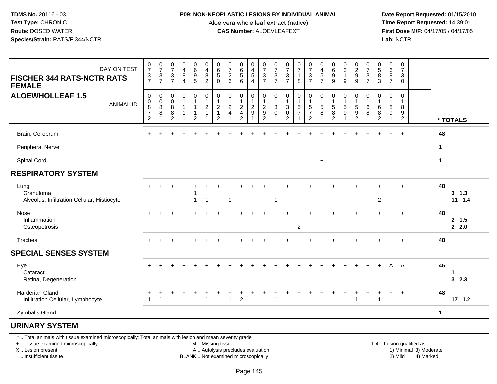**TDMS No.** 20116 - 03**Test Type:** CHRONIC**Route:** DOSED WATER**Species/Strain:** RATS/F 344/NCTR

## **P09: NON-NEOPLASTIC LESIONS BY INDIVIDUAL ANIMAL**

Aloe vera whole leaf extract (native)<br>**CAS Number:** ALOEVLEAFEXT

 **Date Report Requested:** 01/15/2010 **First Dose M/F:** 04/17/05 / 04/17/05<br>**Lab:** NCTR **Lab:** NCTR

| $\frac{0}{7}$                                  | $\frac{0}{7}$    | $\frac{0}{7}$                                | 0<br>$\overline{4}$        | 0<br>$\,6\,$                                                          | $\pmb{0}$<br>$\overline{\mathbf{4}}$               | 0<br>$\,6\,$                                                              | $\mathbf 0$<br>$\overline{7}$                                   | 0<br>$\,6\,$                                               | 0<br>$\overline{\mathbf{4}}$       | 0<br>$\overline{7}$                                  | 0<br>$\overline{7}$         | $\frac{0}{7}$                                           | $\frac{0}{7}$                      |                                                              | 0<br>$\overline{\mathbf{4}}$     | 0<br>$\,6\,$                                           |                             | 0                                                    | $\frac{0}{7}$                                | 0<br>$\,$ 5 $\,$                              | $\mathbf 0$<br>$\,6\,$           | 0<br>$\overline{7}$                |          |                           |
|------------------------------------------------|------------------|----------------------------------------------|----------------------------|-----------------------------------------------------------------------|----------------------------------------------------|---------------------------------------------------------------------------|-----------------------------------------------------------------|------------------------------------------------------------|------------------------------------|------------------------------------------------------|-----------------------------|---------------------------------------------------------|------------------------------------|--------------------------------------------------------------|----------------------------------|--------------------------------------------------------|-----------------------------|------------------------------------------------------|----------------------------------------------|-----------------------------------------------|----------------------------------|------------------------------------|----------|---------------------------|
|                                                |                  | $\overline{7}$                               | $\overline{4}$             | $5\phantom{.0}$                                                       | $\overline{c}$                                     | $\mathbf 0$                                                               | $6\phantom{1}6$                                                 | $6\phantom{1}$                                             | $\overline{4}$                     | $\overline{7}$                                       | $\overline{7}$              | $\overline{7}$                                          | $\mathbf{1}$<br>8                  | $\overline{7}$                                               | $\overline{7}$                   | 9                                                      | 9                           | $\overline{9}$                                       |                                              | 3                                             | $\overline{7}$                   | $\mathbf 0$                        |          |                           |
| 0<br>$\mathsf{O}\xspace$<br>$\frac{8}{7}$<br>2 | 0<br>0<br>8<br>8 | 0<br>$\mathbf 0$<br>8<br>8<br>$\overline{2}$ | 0<br>$\mathbf 1$<br>1<br>1 | 0<br>$\mathbf{1}$<br>$\mathbf{1}$<br>$\overline{1}$<br>$\overline{2}$ | 0<br>$\mathbf 1$<br>$\overline{c}$<br>$\mathbf{1}$ | 0<br>$\overline{1}$<br>$\overline{2}$<br>$\overline{1}$<br>$\overline{2}$ | $\mathbf 0$<br>$\mathbf{1}$<br>$\overline{2}$<br>$\overline{4}$ | 0<br>$\mathbf{1}$<br>$\overline{c}$<br>4<br>$\overline{2}$ | 0<br>1<br>$\overline{c}$<br>9<br>1 | 0<br>$\mathbf{1}$<br>$\overline{c}$<br>$\frac{1}{2}$ | 0<br>$\mathbf{1}$<br>3<br>0 | 0<br>1<br>$\mathbf{3}$<br>$\mathbf 0$<br>$\overline{2}$ | 0<br>$\mathbf{1}$<br>$\frac{5}{7}$ | $\pmb{0}$<br>$\mathbf{1}$<br>$\frac{5}{7}$<br>$\overline{2}$ | 0<br>-1<br>5<br>8                | 0<br>$\mathbf{1}$<br>$\sqrt{5}$<br>8<br>$\overline{2}$ | 0<br>$\mathbf{1}$<br>5<br>9 | 0<br>1<br>$\begin{array}{c} 5 \\ 9 \\ 2 \end{array}$ | $\mathbf 0$<br>$\overline{1}$<br>6<br>8<br>1 | 0<br>$\mathbf{1}$<br>6<br>8<br>$\overline{c}$ | 0<br>$\mathbf{1}$<br>8<br>9<br>1 | 0<br>1<br>8<br>9<br>$\overline{2}$ |          | * TOTALS                  |
|                                                |                  |                                              |                            |                                                                       |                                                    |                                                                           |                                                                 |                                                            |                                    |                                                      |                             |                                                         |                                    |                                                              |                                  |                                                        |                             |                                                      |                                              |                                               | ÷                                | $\overline{+}$                     |          | 48                        |
|                                                |                  |                                              |                            |                                                                       |                                                    |                                                                           |                                                                 |                                                            |                                    |                                                      |                             |                                                         |                                    |                                                              | $\ddot{}$                        |                                                        |                             |                                                      |                                              |                                               |                                  |                                    |          | $\mathbf{1}$              |
|                                                |                  |                                              |                            |                                                                       |                                                    |                                                                           |                                                                 |                                                            |                                    |                                                      |                             |                                                         |                                    |                                                              | $\begin{array}{c} + \end{array}$ |                                                        |                             |                                                      |                                              |                                               |                                  |                                    |          | 1                         |
|                                                |                  |                                              |                            |                                                                       |                                                    |                                                                           |                                                                 |                                                            |                                    |                                                      |                             |                                                         |                                    |                                                              |                                  |                                                        |                             |                                                      |                                              |                                               |                                  |                                    |          |                           |
|                                                |                  |                                              |                            | -1                                                                    | $\overline{1}$                                     |                                                                           | $\overline{1}$                                                  |                                                            |                                    |                                                      | $\mathbf{1}$                |                                                         |                                    |                                                              |                                  |                                                        |                             |                                                      |                                              | $\overline{c}$                                |                                  |                                    |          | 48<br>$3 \t1.3$<br>11 1.4 |
|                                                |                  |                                              |                            |                                                                       |                                                    |                                                                           |                                                                 |                                                            |                                    |                                                      |                             |                                                         | $\overline{2}$                     |                                                              |                                  |                                                        |                             |                                                      |                                              |                                               |                                  |                                    |          | 48<br>2, 1.5<br>2.0       |
|                                                |                  |                                              |                            |                                                                       |                                                    |                                                                           |                                                                 |                                                            |                                    |                                                      |                             |                                                         |                                    |                                                              |                                  |                                                        |                             |                                                      |                                              |                                               |                                  | $\ddot{}$                          |          | 48                        |
|                                                |                  |                                              |                            |                                                                       |                                                    |                                                                           |                                                                 |                                                            |                                    |                                                      |                             |                                                         |                                    |                                                              |                                  |                                                        |                             |                                                      |                                              |                                               |                                  |                                    |          |                           |
|                                                |                  |                                              |                            |                                                                       |                                                    |                                                                           |                                                                 |                                                            |                                    |                                                      |                             |                                                         |                                    |                                                              |                                  |                                                        |                             |                                                      |                                              |                                               | A                                |                                    |          | 46<br>1<br>32.3           |
|                                                |                  |                                              |                            |                                                                       | -1                                                 |                                                                           | 1                                                               | $\overline{c}$                                             |                                    |                                                      |                             |                                                         |                                    |                                                              |                                  |                                                        |                             |                                                      |                                              | 1                                             |                                  | $\ddot{}$                          |          | 48<br>$17$ 1.2            |
|                                                |                  |                                              |                            |                                                                       |                                                    |                                                                           |                                                                 |                                                            |                                    |                                                      |                             |                                                         |                                    |                                                              |                                  |                                                        |                             |                                                      |                                              |                                               |                                  |                                    |          | $\mathbf{1}$              |
|                                                |                  |                                              |                            |                                                                       |                                                    |                                                                           |                                                                 |                                                            |                                    |                                                      |                             |                                                         |                                    |                                                              |                                  |                                                        |                             |                                                      |                                              |                                               |                                  |                                    |          |                           |
|                                                | $\frac{3}{7}$    | $\frac{3}{7}$                                | $\sqrt{3}$                 | 8                                                                     | $\boldsymbol{9}$                                   | $\bf 8$                                                                   | $\sqrt{5}$                                                      | $\overline{2}$                                             | $\overline{5}$                     | $\sqrt{5}$                                           | $\ensuremath{\mathsf{3}}$   | $\ensuremath{\mathsf{3}}$                               | $\ensuremath{\mathsf{3}}$          |                                                              | $\frac{0}{7}$<br>$\sqrt{3}$      | $\sqrt{5}$                                             | $\boldsymbol{9}$            | $\frac{0}{3}$<br>$\mathbf{1}$                        | $\frac{2}{9}$                                | $\frac{3}{7}$                                 | $\bf 8$                          | 8                                  | 3<br>- A |                           |

\* .. Total animals with tissue examined microscopically; Total animals with lesion and mean severity grade

+ .. Tissue examined microscopically

X .. Lesion present

I .. Insufficient tissue

M .. Missing tissue

A .. Autolysis precludes evaluation

BLANK .. Not examined microscopically 2) Mild 4) Marked

1-4 .. Lesion qualified as:<br>1) Minimal 3) Moderate